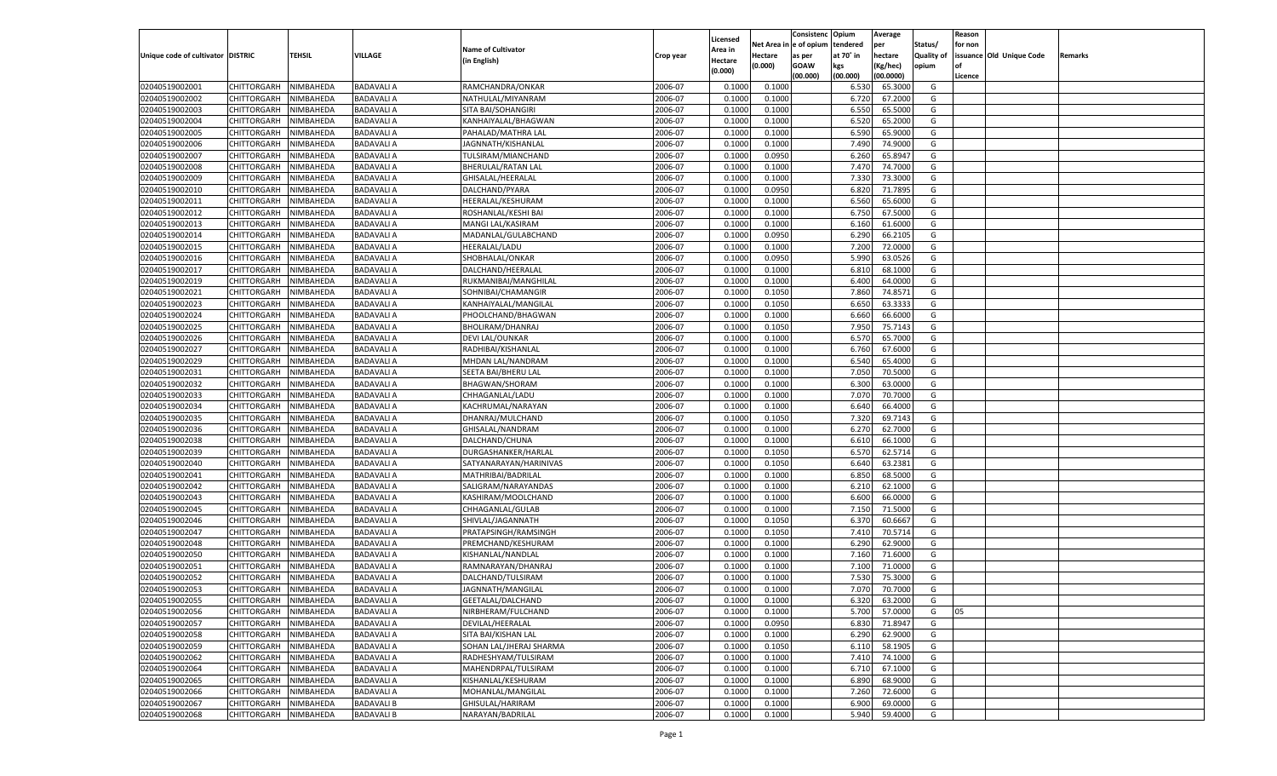|                                   |                       |               |                   |                           |                    |                           |          | Consistenc  | Opium     | Average            |                   | Reason  |                          |         |
|-----------------------------------|-----------------------|---------------|-------------------|---------------------------|--------------------|---------------------------|----------|-------------|-----------|--------------------|-------------------|---------|--------------------------|---------|
|                                   |                       |               |                   | <b>Name of Cultivator</b> |                    | Licensed                  | Net Area | e of opium  | tendered  | per                | Status/           | for non |                          |         |
| Unique code of cultivator DISTRIC |                       | <b>TEHSIL</b> | VILLAGE           | (in English)              | Crop year          | <b>Area in</b><br>Hectare | Hectare  | as per      | at 70° in | hectare            | <b>Quality of</b> |         | issuance Old Unique Code | Remarks |
|                                   |                       |               |                   |                           |                    | (0.000)                   | (0.000)  | <b>GOAW</b> | kgs       | (Kg/hec)           | opium             |         |                          |         |
|                                   |                       |               |                   |                           |                    |                           |          | (00.000)    | (00.000)  | (00.0000)          |                   | Licence |                          |         |
| 02040519002001                    | CHITTORGARH           | NIMBAHEDA     | <b>BADAVALI A</b> | RAMCHANDRA/ONKAR          | 2006-07            | 0.1000                    | 0.1000   |             | 6.530     | 65.3000            | G                 |         |                          |         |
| 02040519002002                    | CHITTORGARH           | NIMBAHEDA     | <b>BADAVALI A</b> | NATHULAL/MIYANRAM         | 2006-07            | 0.1000                    | 0.1000   |             | 6.720     | 67.2000            | G                 |         |                          |         |
| 02040519002003                    | CHITTORGARH           | NIMBAHEDA     | <b>BADAVALI A</b> | SITA BAI/SOHANGIRI        | 2006-07            | 0.1000                    | 0.1000   |             | 6.550     | 65.5000            | G                 |         |                          |         |
| 02040519002004                    | CHITTORGARH           | NIMBAHEDA     | <b>BADAVALI A</b> | KANHAIYALAL/BHAGWAN       | 2006-07            | 0.1000                    | 0.1000   |             | 6.520     | 65.2000            | G                 |         |                          |         |
| 02040519002005                    | CHITTORGARH           | NIMBAHEDA     | <b>BADAVALI A</b> | PAHALAD/MATHRA LAL        | 2006-07            | 0.1000                    | 0.1000   |             | 6.590     | 65.9000            | G                 |         |                          |         |
| 02040519002006                    | CHITTORGARH           | NIMBAHEDA     | <b>BADAVALI A</b> | JAGNNATH/KISHANLAL        | 2006-07            | 0.1000                    | 0.1000   |             | 7.490     | 74.9000            | G                 |         |                          |         |
| 02040519002007                    | CHITTORGARH           | NIMBAHEDA     | <b>BADAVALI A</b> | TULSIRAM/MIANCHAND        | 2006-07            | 0.1000                    | 0.0950   |             | 6.260     | 65.8947            | G                 |         |                          |         |
| 02040519002008                    | CHITTORGARH           | NIMBAHEDA     | <b>BADAVALI A</b> | <b>BHERULAL/RATAN LAL</b> | 2006-07            | 0.1000                    | 0.1000   |             | 7.47      | 74.7000            | G                 |         |                          |         |
| 02040519002009                    | CHITTORGARH           | NIMBAHEDA     | <b>BADAVALI A</b> | GHISALAL/HEERALAL         | 2006-07            | 0.1000                    | 0.1000   |             | 7.330     | 73.3000            | G                 |         |                          |         |
| 02040519002010                    | CHITTORGARH           | NIMBAHEDA     | <b>BADAVALI A</b> | DALCHAND/PYARA            | 2006-07            | 0.1000                    | 0.0950   |             | 6.820     | 71.7895            | G                 |         |                          |         |
| 02040519002011                    | CHITTORGARH           | NIMBAHEDA     | <b>BADAVALI A</b> | HEERALAL/KESHURAM         | 2006-07            | 0.1000                    | 0.1000   |             | 6.560     | 65.6000            | G                 |         |                          |         |
| 02040519002012                    | CHITTORGARH           | NIMBAHEDA     | <b>BADAVALI A</b> | ROSHANLAL/KESHI BAI       | 2006-07            | 0.1000                    | 0.1000   |             | 6.750     | 67.5000            | G                 |         |                          |         |
| 02040519002013                    | CHITTORGARH           | NIMBAHEDA     | <b>BADAVALI A</b> | MANGI LAL/KASIRAM         | 2006-07            | 0.1000                    | 0.1000   |             | 6.160     | 61.6000            | G                 |         |                          |         |
| 02040519002014                    | CHITTORGARH           | NIMBAHEDA     | <b>BADAVALI A</b> | MADANLAL/GULABCHAND       | 2006-07            | 0.1000                    | 0.0950   |             | 6.290     | 66.2105            | G                 |         |                          |         |
| 02040519002015                    | CHITTORGARH           | NIMBAHEDA     | <b>BADAVALI A</b> | HEERALAL/LADU             | 2006-07            | 0.1000                    | 0.1000   |             | 7.200     | 72.0000            | G                 |         |                          |         |
| 02040519002016                    | CHITTORGARH           | NIMBAHEDA     | <b>BADAVALI A</b> | SHOBHALAL/ONKAR           | 2006-07            | 0.1000                    | 0.0950   |             | 5.990     | 63.0526            | G                 |         |                          |         |
| 02040519002017                    | CHITTORGARH           | NIMBAHEDA     | <b>BADAVALI A</b> | DALCHAND/HEERALAL         | 2006-07            | 0.1000                    | 0.1000   |             | 6.810     | 68.1000            | G                 |         |                          |         |
| 02040519002019                    | CHITTORGARH           | NIMBAHEDA     | <b>BADAVALI A</b> | RUKMANIBAI/MANGHILAL      | 2006-07            | 0.1000                    | 0.1000   |             | 6.400     | 64.0000            | G                 |         |                          |         |
| 02040519002021                    | CHITTORGARH           | NIMBAHEDA     | <b>BADAVALI A</b> | SOHNIBAI/CHAMANGIR        | 2006-07            | 0.1000                    | 0.1050   |             | 7.860     | 74.8571            | G                 |         |                          |         |
| 02040519002023                    | CHITTORGARH           | NIMBAHEDA     | <b>BADAVALI A</b> | KANHAIYALAL/MANGILAL      | 2006-07            | 0.1000                    | 0.1050   |             | 6.650     | 63.3333            | G                 |         |                          |         |
| 02040519002024                    | CHITTORGARH           | NIMBAHEDA     | <b>BADAVALI A</b> | PHOOLCHAND/BHAGWAN        | 2006-07            | 0.1000                    | 0.1000   |             | 6.660     | 66.6000            | G                 |         |                          |         |
| 02040519002025                    | CHITTORGARH           | NIMBAHEDA     | <b>BADAVALI A</b> | BHOLIRAM/DHANRAJ          | 2006-07            | 0.1000                    | 0.1050   |             | 7.950     | 75.7143            | G                 |         |                          |         |
| 02040519002026                    | CHITTORGARH           | NIMBAHEDA     | <b>BADAVALI A</b> | DEVI LAL/OUNKAR           | 2006-07            | 0.1000                    | 0.1000   |             | 6.570     | 65.7000            | G                 |         |                          |         |
| 02040519002027                    | CHITTORGARH           | NIMBAHEDA     | <b>BADAVALI A</b> | RADHIBAI/KISHANLAI        | 2006-07            | 0.1000                    | 0.1000   |             | 6.760     | 67.6000            | G                 |         |                          |         |
| 02040519002029                    | CHITTORGARH           | NIMBAHEDA     | <b>BADAVALI A</b> | MHDAN LAL/NANDRAM         | 2006-07            | 0.1000                    | 0.1000   |             | 6.540     | 65.4000            | G                 |         |                          |         |
| 02040519002031                    | CHITTORGARH           | NIMBAHEDA     | <b>BADAVALI A</b> | SEETA BAI/BHERU LAI       | 2006-07            | 0.1000                    | 0.1000   |             | 7.050     | 70.5000            | G                 |         |                          |         |
| 02040519002032                    | CHITTORGARH           | NIMBAHEDA     | <b>BADAVALI A</b> | <b>BHAGWAN/SHORAM</b>     | 2006-07            | 0.1000                    | 0.1000   |             | 6.300     | 63.0000            | G                 |         |                          |         |
| 02040519002033                    | CHITTORGARH           | NIMBAHEDA     | <b>BADAVALI A</b> | CHHAGANLAL/LADU           | 2006-07            | 0.1000                    | 0.1000   |             | 7.070     | 70.7000            | G                 |         |                          |         |
| 02040519002034                    | CHITTORGARH           | NIMBAHEDA     | <b>BADAVALI A</b> | KACHRUMAL/NARAYAN         | 2006-07            | 0.1000                    | 0.1000   |             | 6.640     | 66.4000            | G                 |         |                          |         |
| 02040519002035                    | CHITTORGARH           | NIMBAHEDA     | <b>BADAVALI A</b> | DHANRAJ/MULCHAND          | 2006-07            | 0.1000                    | 0.1050   |             | 7.320     | 69.7143            | G                 |         |                          |         |
| 02040519002036                    | CHITTORGARH           | NIMBAHEDA     | <b>BADAVALI A</b> | GHISALAL/NANDRAM          | 2006-07            | 0.1000                    | 0.1000   |             | 6.27      | 62.7000            | G                 |         |                          |         |
| 02040519002038                    | CHITTORGARH           | NIMBAHEDA     | <b>BADAVALI A</b> | DALCHAND/CHUNA            | 2006-07            | 0.1000                    | 0.1000   |             | 6.610     | 66.1000            | G                 |         |                          |         |
| 02040519002039                    | CHITTORGARH           | NIMBAHEDA     | <b>BADAVALI A</b> | DURGASHANKER/HARLAL       | 2006-07            | 0.1000                    | 0.1050   |             | 6.570     | 62.5714            | G                 |         |                          |         |
| 02040519002040                    | CHITTORGARH           | NIMBAHEDA     | <b>BADAVALI A</b> | SATYANARAYAN/HARINIVAS    | 2006-07            | 0.1000                    | 0.1050   |             | 6.640     | 63.2381            | G                 |         |                          |         |
| 02040519002041                    |                       | NIMBAHEDA     | <b>BADAVALI A</b> |                           | 2006-07            | 0.1000                    | 0.1000   |             | 6.850     | 68.5000            | G                 |         |                          |         |
|                                   | CHITTORGARH           |               |                   | MATHRIBAI/BADRILAL        |                    |                           |          |             |           |                    |                   |         |                          |         |
| 02040519002042                    | CHITTORGARH           | NIMBAHEDA     | <b>BADAVALI A</b> | SALIGRAM/NARAYANDAS       | 2006-07<br>2006-07 | 0.1000<br>0.1000          | 0.1000   |             | 6.210     | 62.1000<br>66.0000 | G                 |         |                          |         |
| 02040519002043                    | CHITTORGARH           | NIMBAHEDA     | <b>BADAVALI A</b> | KASHIRAM/MOOLCHAND        |                    |                           | 0.1000   |             | 6.600     |                    | G                 |         |                          |         |
| 02040519002045                    | CHITTORGARH           | NIMBAHEDA     | <b>BADAVALI A</b> | CHHAGANLAL/GULAB          | 2006-07            | 0.1000                    | 0.1000   |             | 7.150     | 71.5000            | G                 |         |                          |         |
| 02040519002046                    | CHITTORGARH           | NIMBAHEDA     | <b>BADAVALI A</b> | SHIVLAL/JAGANNATH         | 2006-07            | 0.1000                    | 0.1050   |             | 6.370     | 60.6667            | G                 |         |                          |         |
| 02040519002047                    | CHITTORGARH           | NIMBAHEDA     | <b>BADAVALI A</b> | PRATAPSINGH/RAMSINGH      | 2006-07            | 0.1000                    | 0.1050   |             | 7.41      | 70.5714            | G                 |         |                          |         |
| 02040519002048                    | CHITTORGARH           | NIMBAHEDA     | <b>BADAVALI A</b> | PREMCHAND/KESHURAM        | 2006-07            | 0.1000                    | 0.1000   |             | 6.290     | 62.9000            | G                 |         |                          |         |
| 02040519002050                    | CHITTORGARH           | NIMBAHEDA     | <b>BADAVALI A</b> | KISHANLAL/NANDLAL         | 2006-07            | 0.1000                    | 0.1000   |             | 7.160     | 71.6000            | G                 |         |                          |         |
| 02040519002051                    | CHITTORGARH           | NIMBAHEDA     | <b>BADAVALI A</b> | RAMNARAYAN/DHANRAJ        | 2006-07            | 0.1000                    | 0.1000   |             | 7.100     | 71.0000            | G                 |         |                          |         |
| 02040519002052                    | CHITTORGARH           | NIMBAHEDA     | <b>BADAVALI A</b> | DALCHAND/TULSIRAM         | 2006-07            | 0.1000                    | 0.1000   |             | 7.530     | 75.3000            | G                 |         |                          |         |
| 02040519002053                    | CHITTORGARH           | NIMBAHEDA     | <b>BADAVALI A</b> | JAGNNATH/MANGILAL         | 2006-07            | 0.1000                    | 0.1000   |             | 7.070     | 70.7000            | G                 |         |                          |         |
| 02040519002055                    | CHITTORGARH NIMBAHEDA |               | <b>BADAVALI A</b> | GEETALAL/DALCHAND         | 2006-07            | 0.1000                    | 0.1000   |             | 6.320     | 63.2000            | G                 |         |                          |         |
| 02040519002056                    | <b>CHITTORGARH</b>    | NIMBAHEDA     | <b>BADAVALI A</b> | NIRBHERAM/FULCHAND        | 2006-07            | 0.1000                    | 0.1000   |             | 5.700     | 57.0000            | G                 | 05      |                          |         |
| 02040519002057                    | CHITTORGARH           | NIMBAHEDA     | <b>BADAVALI A</b> | DEVILAL/HEERALAL          | 2006-07            | 0.1000                    | 0.0950   |             | 6.830     | 71.8947            | G                 |         |                          |         |
| 02040519002058                    | <b>CHITTORGARH</b>    | NIMBAHEDA     | <b>BADAVALI A</b> | SITA BAI/KISHAN LAL       | 2006-07            | 0.1000                    | 0.1000   |             | 6.290     | 62.9000            | G                 |         |                          |         |
| 02040519002059                    | <b>CHITTORGARH</b>    | NIMBAHEDA     | <b>BADAVALI A</b> | SOHAN LAL/JHERAJ SHARMA   | 2006-07            | 0.1000                    | 0.1050   |             | 6.110     | 58.1905            | G                 |         |                          |         |
| 02040519002062                    | <b>CHITTORGARH</b>    | NIMBAHEDA     | <b>BADAVALI A</b> | RADHESHYAM/TULSIRAM       | 2006-07            | 0.1000                    | 0.1000   |             | 7.410     | 74.1000            | G                 |         |                          |         |
| 02040519002064                    | <b>CHITTORGARH</b>    | NIMBAHEDA     | <b>BADAVALI A</b> | MAHENDRPAL/TULSIRAM       | 2006-07            | 0.1000                    | 0.1000   |             | 6.710     | 67.1000            | G                 |         |                          |         |
| 02040519002065                    | <b>CHITTORGARH</b>    | NIMBAHEDA     | <b>BADAVALI A</b> | KISHANLAL/KESHURAM        | 2006-07            | 0.1000                    | 0.1000   |             | 6.890     | 68.9000            | G                 |         |                          |         |
| 02040519002066                    | <b>CHITTORGARH</b>    | NIMBAHEDA     | <b>BADAVALI A</b> | MOHANLAL/MANGILAL         | 2006-07            | 0.1000                    | 0.1000   |             | 7.260     | 72.6000            | G                 |         |                          |         |
| 02040519002067                    | <b>CHITTORGARH</b>    | NIMBAHEDA     | <b>BADAVALI B</b> | GHISULAL/HARIRAM          | 2006-07            | 0.1000                    | 0.1000   |             | 6.900     | 69.0000            | G                 |         |                          |         |
| 02040519002068                    | <b>CHITTORGARH</b>    | NIMBAHEDA     | <b>BADAVALI B</b> | NARAYAN/BADRILAL          | 2006-07            | 0.1000                    | 0.1000   |             | 5.940     | 59.4000            | G                 |         |                          |         |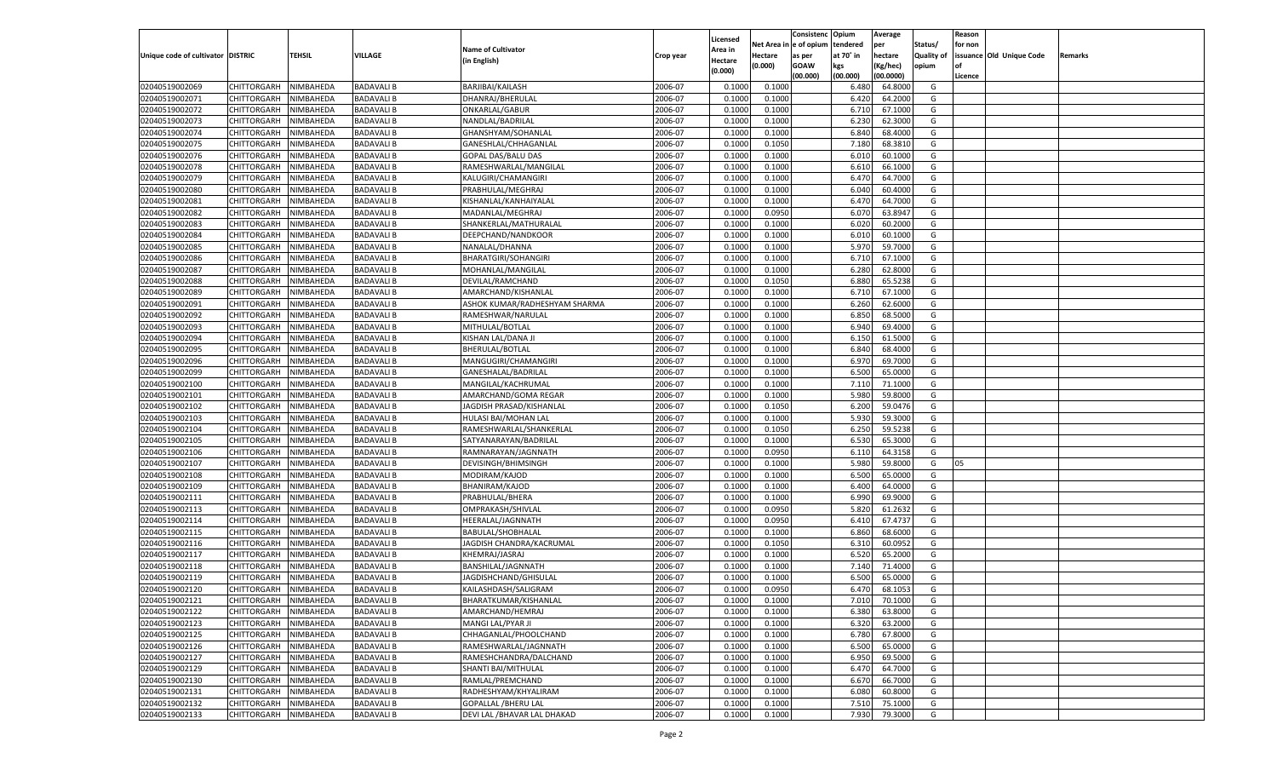|                                   |                                   |               |                   |                                               |                    |                           |                  | Consistenc  | Opium          | Average   |                   | Reason  |                          |         |
|-----------------------------------|-----------------------------------|---------------|-------------------|-----------------------------------------------|--------------------|---------------------------|------------------|-------------|----------------|-----------|-------------------|---------|--------------------------|---------|
|                                   |                                   |               |                   | <b>Name of Cultivator</b>                     |                    | Licensed                  | Net Area         | e of opium  | tendered       | per       | Status/           | for non |                          |         |
| Unique code of cultivator DISTRIC |                                   | <b>TEHSIL</b> | VILLAGE           | (in English)                                  | Crop year          | <b>Area in</b><br>Hectare | Hectare          | as per      | at 70° in      | hectare   | <b>Quality of</b> |         | issuance Old Unique Code | Remarks |
|                                   |                                   |               |                   |                                               |                    | (0.000)                   | (0.000)          | <b>GOAW</b> | kgs            | (Kg/hec)  | opium             |         |                          |         |
|                                   |                                   |               |                   |                                               |                    |                           |                  | (00.000)    | (00.000)       | (00.0000) |                   | Licence |                          |         |
| 02040519002069                    | CHITTORGARH                       | NIMBAHEDA     | <b>BADAVALI B</b> | BARJIBAI/KAILASH                              | 2006-07            | 0.1000                    | 0.1000           |             | 6.480          | 64.8000   | G                 |         |                          |         |
| 02040519002071                    | CHITTORGARH                       | NIMBAHEDA     | <b>BADAVALI B</b> | DHANRAJ/BHERULAL                              | 2006-07            | 0.1000                    | 0.1000           |             | 6.420          | 64.2000   | G                 |         |                          |         |
| 02040519002072                    | CHITTORGARH                       | NIMBAHEDA     | <b>BADAVALI B</b> | ONKARLAL/GABUR                                | 2006-07            | 0.1000                    | 0.1000           |             | 6.710          | 67.1000   | G                 |         |                          |         |
| 02040519002073                    | CHITTORGARH                       | NIMBAHEDA     | <b>BADAVALI B</b> | NANDLAL/BADRILAL                              | 2006-07            | 0.1000                    | 0.1000           |             | 6.23           | 62.3000   | G                 |         |                          |         |
| 02040519002074                    | CHITTORGARH                       | NIMBAHEDA     | <b>BADAVALI B</b> | GHANSHYAM/SOHANLAL                            | 2006-07            | 0.1000                    | 0.1000           |             | 6.840          | 68.4000   | G                 |         |                          |         |
| 02040519002075                    | CHITTORGARH                       | NIMBAHEDA     | <b>BADAVALI B</b> | GANESHLAL/CHHAGANLAL                          | 2006-07            | 0.1000                    | 0.1050           |             | 7.180          | 68.3810   | G                 |         |                          |         |
| 02040519002076                    | CHITTORGARH                       | NIMBAHEDA     | <b>BADAVALI B</b> | GOPAL DAS/BALU DAS                            | 2006-07            | 0.1000                    | 0.1000           |             | 6.010          | 60.1000   | G                 |         |                          |         |
| 02040519002078                    | CHITTORGARH                       | NIMBAHEDA     | <b>BADAVALI B</b> | RAMESHWARLAL/MANGILAL                         | 2006-07            | 0.1000                    | 0.1000           |             | 6.610          | 66.1000   | G                 |         |                          |         |
| 02040519002079                    | CHITTORGARH                       | NIMBAHEDA     | <b>BADAVALI B</b> | KALUGIRI/CHAMANGIRI                           | 2006-07            | 0.1000                    | 0.1000           |             | 6.470          | 64.7000   | G                 |         |                          |         |
| 02040519002080                    | CHITTORGARH                       | NIMBAHEDA     | <b>BADAVALI B</b> | PRABHULAL/MEGHRAJ                             | 2006-07            | 0.1000                    | 0.1000           |             | 6.040          | 60.4000   | G                 |         |                          |         |
| 02040519002081                    | CHITTORGARH                       | NIMBAHEDA     | <b>BADAVALI B</b> | KISHANLAL/KANHAIYALAL                         | 2006-07            | 0.1000                    | 0.1000           |             | 6.470          | 64.7000   | G                 |         |                          |         |
| 02040519002082                    | CHITTORGARH                       | NIMBAHEDA     | <b>BADAVALI B</b> | MADANLAL/MEGHRAJ                              | 2006-07            | 0.1000                    | 0.0950           |             | 6.070          | 63.8947   | G                 |         |                          |         |
| 02040519002083                    | CHITTORGARH                       | NIMBAHEDA     | <b>BADAVALI B</b> | SHANKERLAL/MATHURALAL                         | 2006-07            | 0.1000                    | 0.1000           |             | 6.020          | 60.2000   | G                 |         |                          |         |
| 02040519002084                    | CHITTORGARH                       | NIMBAHEDA     | <b>BADAVALI B</b> | DEEPCHAND/NANDKOOR                            | 2006-07            | 0.1000                    | 0.1000           |             | 6.010          | 60.1000   | G                 |         |                          |         |
| 02040519002085                    | CHITTORGARH                       | NIMBAHEDA     | <b>BADAVALI B</b> | NANALAL/DHANNA                                | 2006-07            | 0.1000                    | 0.1000           |             | 5.970          | 59.7000   | G                 |         |                          |         |
| 02040519002086                    | CHITTORGARH                       | NIMBAHEDA     | <b>BADAVALI B</b> | <b>BHARATGIRI/SOHANGIRI</b>                   | 2006-07            | 0.1000                    | 0.1000           |             | 6.710          | 67.1000   | G                 |         |                          |         |
| 02040519002087                    | CHITTORGARH                       | NIMBAHEDA     | <b>BADAVALI B</b> | MOHANLAL/MANGILAL                             | 2006-07            | 0.1000                    | 0.1000           |             | 6.280          | 62.8000   | G                 |         |                          |         |
| 02040519002088                    | CHITTORGARH                       | NIMBAHEDA     | <b>BADAVALI B</b> | DEVILAL/RAMCHAND                              | 2006-07            | 0.1000                    | 0.1050           |             | 6.880          | 65.5238   | G                 |         |                          |         |
| 02040519002089                    | CHITTORGARH                       | NIMBAHEDA     | <b>BADAVALI B</b> | AMARCHAND/KISHANLAI                           | 2006-07            | 0.1000                    | 0.1000           |             | 6.710          | 67.1000   | G                 |         |                          |         |
| 02040519002091                    | CHITTORGARH                       | NIMBAHEDA     | <b>BADAVALI B</b> | ASHOK KUMAR/RADHESHYAM SHARMA                 | 2006-07            | 0.1000                    | 0.1000           |             | 6.260          | 62.6000   | G                 |         |                          |         |
| 02040519002092                    | CHITTORGARH                       | NIMBAHEDA     | <b>BADAVALI B</b> | RAMESHWAR/NARULAL                             | 2006-07            | 0.1000                    | 0.1000           |             | 6.850          | 68.5000   | G                 |         |                          |         |
| 02040519002093                    | CHITTORGARH                       | NIMBAHEDA     | <b>BADAVALI B</b> | MITHULAL/BOTLAL                               | 2006-07            | 0.1000                    | 0.1000           |             | 6.940          | 69.4000   | G                 |         |                          |         |
| 02040519002094                    | CHITTORGARH                       | NIMBAHEDA     | <b>BADAVALI B</b> | KISHAN LAL/DANA JI                            | 2006-07            | 0.1000                    | 0.1000           |             | 6.150          | 61.5000   | G                 |         |                          |         |
| 02040519002095                    | CHITTORGARH                       | NIMBAHEDA     | <b>BADAVALI B</b> | <b>BHERULAL/BOTLAL</b>                        | 2006-07            | 0.1000                    | 0.1000           |             | 6.840          | 68.4000   | G                 |         |                          |         |
| 02040519002096                    | CHITTORGARH                       | NIMBAHEDA     | <b>BADAVALI B</b> | MANGUGIRI/CHAMANGIRI                          | 2006-07            | 0.1000                    | 0.1000           |             | 6.970          | 69.7000   | G                 |         |                          |         |
| 02040519002099                    | CHITTORGARH                       | NIMBAHEDA     | <b>BADAVALI B</b> | GANESHALAL/BADRILAL                           | 2006-07            | 0.1000                    | 0.1000           |             | 6.500          | 65.0000   | G                 |         |                          |         |
| 02040519002100                    | CHITTORGARH                       | NIMBAHEDA     | <b>BADAVALI B</b> | MANGILAL/KACHRUMAL                            | 2006-07            | 0.1000                    | 0.1000           |             | 7.110          | 71.1000   | G                 |         |                          |         |
| 02040519002101                    | CHITTORGARH                       | NIMBAHEDA     | <b>BADAVALI B</b> | AMARCHAND/GOMA REGAR                          | 2006-07            | 0.1000                    | 0.1000           |             | 5.980          | 59.8000   | G                 |         |                          |         |
| 02040519002102                    | CHITTORGARH                       | NIMBAHEDA     | <b>BADAVALI B</b> | JAGDISH PRASAD/KISHANLAL                      | 2006-07            | 0.1000                    | 0.1050           |             | 6.200          | 59.0476   | G                 |         |                          |         |
| 02040519002103                    | CHITTORGARH                       | NIMBAHEDA     | <b>BADAVALI B</b> | HULASI BAI/MOHAN LAL                          | 2006-07            | 0.1000                    | 0.1000           |             | 5.930          | 59.3000   | G                 |         |                          |         |
| 02040519002104                    | CHITTORGARH                       | NIMBAHEDA     | <b>BADAVALI B</b> | RAMESHWARLAL/SHANKERLAL                       | 2006-07            | 0.1000                    | 0.1050           |             | 6.250          | 59.5238   | G                 |         |                          |         |
| 02040519002105                    | CHITTORGARH                       | NIMBAHEDA     | <b>BADAVALI B</b> | SATYANARAYAN/BADRILAI                         | 2006-07            | 0.1000                    | 0.1000           |             | 6.530          | 65.3000   | G                 |         |                          |         |
| 02040519002106                    | CHITTORGARH                       | NIMBAHEDA     | <b>BADAVALI B</b> | RAMNARAYAN/JAGNNATH                           | 2006-07            | 0.1000                    | 0.0950           |             | 6.110          | 64.3158   | G                 |         |                          |         |
| 02040519002107                    | CHITTORGARH                       | NIMBAHEDA     | <b>BADAVALI B</b> | DEVISINGH/BHIMSINGH                           | 2006-07            | 0.1000                    | 0.1000           |             | 5.980          | 59.8000   | G                 | 05      |                          |         |
| 02040519002108                    | CHITTORGARH                       | NIMBAHEDA     | <b>BADAVALI B</b> | MODIRAM/KAJOD                                 | 2006-07            | 0.1000                    | 0.1000           |             | 6.500          | 65.0000   | G                 |         |                          |         |
| 02040519002109                    | CHITTORGARH                       | NIMBAHEDA     | <b>BADAVALI B</b> | BHANIRAM/KAJOD                                | 2006-07            | 0.1000                    | 0.1000           |             | 6.400          | 64.0000   | G                 |         |                          |         |
| 02040519002111                    | CHITTORGARH                       | NIMBAHEDA     | <b>BADAVALI B</b> | PRABHULAL/BHERA                               | 2006-07            | 0.1000                    | 0.1000           |             | 6.990          | 69.9000   | G                 |         |                          |         |
| 02040519002113                    | CHITTORGARH                       | NIMBAHEDA     | <b>BADAVALI B</b> | OMPRAKASH/SHIVLAL                             | 2006-07            | 0.1000                    | 0.0950           |             | 5.820          | 61.2632   | G                 |         |                          |         |
| 02040519002114                    | CHITTORGARH                       | NIMBAHEDA     | <b>BADAVALI B</b> | HEERALAL/JAGNNATH                             | 2006-07            | 0.1000                    | 0.0950           |             | 6.41           | 67.4737   | G                 |         |                          |         |
| 02040519002115                    | CHITTORGARH                       | NIMBAHEDA     | <b>BADAVALI B</b> | BABULAL/SHOBHALAL                             | 2006-07            | 0.1000                    | 0.1000           |             | 6.860          | 68.6000   | G                 |         |                          |         |
| 02040519002116                    | CHITTORGARH                       | NIMBAHEDA     | <b>BADAVALI B</b> | JAGDISH CHANDRA/KACRUMAL                      | 2006-07            | 0.1000                    | 0.1050           |             | 6.310          | 60.0952   | G                 |         |                          |         |
| 02040519002117                    | CHITTORGARH                       | NIMBAHEDA     | <b>BADAVALI B</b> | KHEMRAJ/JASRAJ                                | 2006-07            | 0.1000                    | 0.1000           |             | 6.520          | 65.2000   | G                 |         |                          |         |
| 02040519002118                    | CHITTORGARH                       | NIMBAHEDA     | <b>BADAVALI B</b> | BANSHILAL/JAGNNATH                            | 2006-07            | 0.1000                    | 0.1000           |             | 7.140          | 71.4000   | G                 |         |                          |         |
| 02040519002119                    | CHITTORGARH                       | NIMBAHEDA     | <b>BADAVALI B</b> | JAGDISHCHAND/GHISULAL                         | 2006-07            | 0.1000                    | 0.1000           |             | 6.500          | 65.0000   | G                 |         |                          |         |
| 02040519002120                    |                                   | NIMBAHEDA     | <b>BADAVALI B</b> |                                               | 2006-07            | 0.1000                    | 0.0950           |             | 6.470          | 68.1053   | G                 |         |                          |         |
|                                   | CHITTORGARH                       |               | <b>BADAVALIB</b>  | KAILASHDASH/SALIGRAM<br>BHARATKUMAR/KISHANLAL |                    |                           |                  |             |                |           | G                 |         |                          |         |
| 02040519002121<br>02040519002122  | CHITTORGARH NIMBAHEDA             | NIMBAHEDA     | <b>BADAVALI B</b> | AMARCHAND/HEMRAJ                              | 2006-07<br>2006-07 | 0.1000<br>0.1000          | 0.1000<br>0.1000 |             | 7.010<br>6.380 | 70.1000   | G                 |         |                          |         |
|                                   | <b>CHITTORGARH</b><br>CHITTORGARH |               |                   |                                               |                    |                           |                  |             |                | 63.8000   |                   |         |                          |         |
| 02040519002123<br>02040519002125  |                                   | NIMBAHEDA     | <b>BADAVALI B</b> | MANGI LAL/PYAR JI                             | 2006-07<br>2006-07 | 0.1000                    | 0.1000           |             | 6.320          | 63.2000   | G                 |         |                          |         |
|                                   | <b>CHITTORGARH</b>                | NIMBAHEDA     | <b>BADAVALI B</b> | CHHAGANLAL/PHOOLCHAND                         |                    | 0.1000                    | 0.1000           |             | 6.780          | 67.8000   | G                 |         |                          |         |
| 02040519002126                    | <b>CHITTORGARH</b>                | NIMBAHEDA     | <b>BADAVALI B</b> | RAMESHWARLAL/JAGNNATH                         | 2006-07            | 0.1000                    | 0.1000           |             | 6.500          | 65.0000   | G                 |         |                          |         |
| 02040519002127                    | <b>CHITTORGARH</b>                | NIMBAHEDA     | <b>BADAVALI B</b> | RAMESHCHANDRA/DALCHAND                        | 2006-07            | 0.1000                    | 0.1000           |             | 6.950          | 69.5000   | G                 |         |                          |         |
| 02040519002129                    | <b>CHITTORGARH</b>                | NIMBAHEDA     | <b>BADAVALI B</b> | SHANTI BAI/MITHULAL                           | 2006-07            | 0.1000                    | 0.1000           |             | 6.470          | 64.7000   | G                 |         |                          |         |
| 02040519002130                    | <b>CHITTORGARH</b>                | NIMBAHEDA     | <b>BADAVALI B</b> | RAMLAL/PREMCHAND                              | 2006-07            | 0.1000                    | 0.1000           |             | 6.670          | 66.7000   | G                 |         |                          |         |
| 02040519002131                    | <b>CHITTORGARH</b>                | NIMBAHEDA     | <b>BADAVALI B</b> | RADHESHYAM/KHYALIRAM                          | 2006-07            | 0.1000                    | 0.1000           |             | 6.080          | 60.8000   | G                 |         |                          |         |
| 02040519002132                    | <b>CHITTORGARH</b>                | NIMBAHEDA     | <b>BADAVALI B</b> | <b>GOPALLAL /BHERU LAL</b>                    | 2006-07            | 0.1000                    | 0.1000           |             | 7.510          | 75.1000   | G                 |         |                          |         |
| 02040519002133                    | <b>CHITTORGARH</b>                | NIMBAHEDA     | <b>BADAVALI B</b> | DEVI LAL / BHAVAR LAL DHAKAD                  | 2006-07            | 0.1000                    | 0.1000           |             | 7.930          | 79.3000   | G                 |         |                          |         |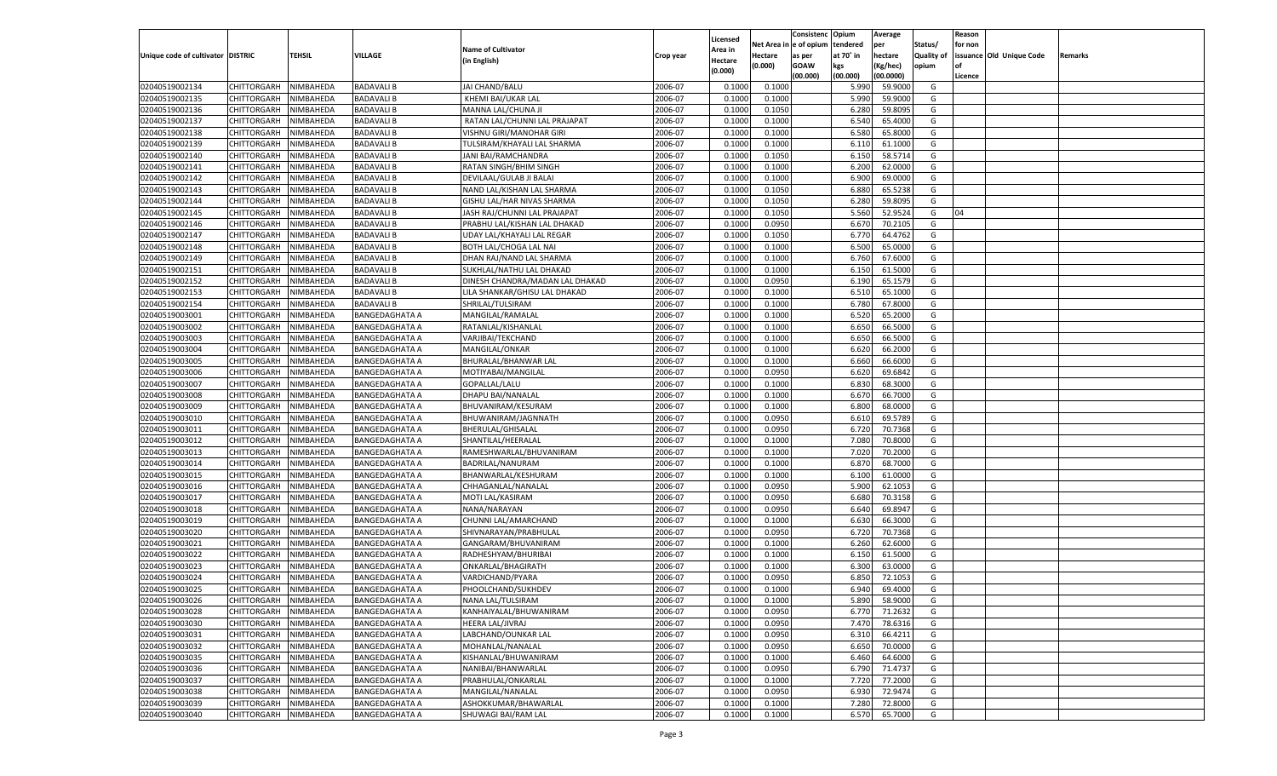|                                   |                       |           |                       |                                 |           |          |          | Consistenc Opium |           | Average   |                   | Reason    |                          |         |
|-----------------------------------|-----------------------|-----------|-----------------------|---------------------------------|-----------|----------|----------|------------------|-----------|-----------|-------------------|-----------|--------------------------|---------|
|                                   |                       |           |                       |                                 |           | Licensed | Net Area | e of opium       | tendered  | per       | Status/           | for non   |                          |         |
| Unique code of cultivator DISTRIC |                       | TEHSIL    | VILLAGE               | <b>Name of Cultivator</b>       | Crop year | Area in  | Hectare  | as per           | at 70˚ in | hectare   | <b>Quality of</b> |           | issuance Old Unique Code | Remarks |
|                                   |                       |           |                       | (in English)                    |           | Hectare  | (0.000)  | <b>GOAW</b>      | kgs       | (Kg/hec)  | opium             | <b>of</b> |                          |         |
|                                   |                       |           |                       |                                 |           | (0.000)  |          | (00.000)         | (00.000)  | (00.0000) |                   | Licence   |                          |         |
|                                   |                       |           |                       |                                 |           |          |          |                  |           |           |                   |           |                          |         |
| 02040519002134                    | CHITTORGARH           | NIMBAHEDA | <b>BADAVALI B</b>     | JAI CHAND/BALU                  | 2006-07   | 0.1000   | 0.1000   |                  | 5.990     | 59.9000   | G                 |           |                          |         |
| 02040519002135                    | CHITTORGARH           | NIMBAHEDA | <b>BADAVALI B</b>     | KHEMI BAI/UKAR LAL              | 2006-07   | 0.1000   | 0.1000   |                  | 5.990     | 59.9000   | G                 |           |                          |         |
| 02040519002136                    | <b>CHITTORGARH</b>    | NIMBAHEDA | <b>BADAVALI B</b>     | MANNA LAL/CHUNA JI              | 2006-07   | 0.1000   | 0.1050   |                  | 6.280     | 59.8095   | G                 |           |                          |         |
| 02040519002137                    | CHITTORGARH           | NIMBAHEDA | <b>BADAVALI B</b>     | RATAN LAL/CHUNNI LAL PRAJAPAT   | 2006-07   | 0.1000   | 0.1000   |                  | 6.540     | 65.4000   | G                 |           |                          |         |
| 02040519002138                    | CHITTORGARH           | NIMBAHEDA | <b>BADAVALI B</b>     | VISHNU GIRI/MANOHAR GIRI        | 2006-07   | 0.1000   | 0.1000   |                  | 6.580     | 65.8000   | G                 |           |                          |         |
| 02040519002139                    | CHITTORGARH           | NIMBAHEDA | <b>BADAVALI B</b>     | TULSIRAM/KHAYALI LAL SHARMA     | 2006-07   | 0.1000   | 0.1000   |                  | 6.110     | 61.1000   | G                 |           |                          |         |
| 02040519002140                    | CHITTORGARH           | NIMBAHEDA | <b>BADAVALI B</b>     | JANI BAI/RAMCHANDRA             | 2006-07   | 0.1000   | 0.1050   |                  | 6.150     | 58.5714   | G                 |           |                          |         |
| 02040519002141                    | CHITTORGARH           | NIMBAHEDA | <b>BADAVALI B</b>     | RATAN SINGH/BHIM SINGH          | 2006-07   | 0.1000   | 0.1000   |                  | 6.200     | 62.0000   | G                 |           |                          |         |
| 02040519002142                    | CHITTORGARH           | NIMBAHEDA | <b>BADAVALI B</b>     | DEVILAAL/GULAB JI BALAI         | 2006-07   | 0.1000   | 0.1000   |                  | 6.900     | 69.0000   | G                 |           |                          |         |
| 02040519002143                    | CHITTORGARH           | NIMBAHEDA | <b>BADAVALI B</b>     | NAND LAL/KISHAN LAL SHARMA      | 2006-07   | 0.1000   | 0.1050   |                  | 6.880     | 65.5238   | G                 |           |                          |         |
| 02040519002144                    | CHITTORGARH           | NIMBAHEDA | <b>BADAVALI B</b>     | GISHU LAL/HAR NIVAS SHARMA      | 2006-07   | 0.1000   | 0.1050   |                  | 6.280     | 59.8095   | G                 |           |                          |         |
| 02040519002145                    | CHITTORGARH           | NIMBAHEDA | <b>BADAVALI B</b>     | JASH RAJ/CHUNNI LAL PRAJAPAT    | 2006-07   | 0.1000   | 0.1050   |                  | 5.560     | 52.9524   | G                 | 04        |                          |         |
| 02040519002146                    | CHITTORGARH           | NIMBAHEDA | <b>BADAVALI B</b>     | PRABHU LAL/KISHAN LAL DHAKAD    | 2006-07   | 0.1000   | 0.0950   |                  | 6.670     | 70.2105   | G                 |           |                          |         |
|                                   |                       |           |                       |                                 |           |          |          |                  |           |           |                   |           |                          |         |
| 02040519002147                    | CHITTORGARH           | NIMBAHEDA | <b>BADAVALI B</b>     | UDAY LAL/KHAYALI LAL REGAR      | 2006-07   | 0.1000   | 0.1050   |                  | 6.77      | 64.4762   | G                 |           |                          |         |
| 02040519002148                    | <b>CHITTORGARH</b>    | NIMBAHEDA | <b>BADAVALI B</b>     | BOTH LAL/CHOGA LAL NAI          | 2006-07   | 0.1000   | 0.1000   |                  | 6.500     | 65.0000   | G                 |           |                          |         |
| 02040519002149                    | CHITTORGARH           | NIMBAHEDA | <b>BADAVALI B</b>     | DHAN RAJ/NAND LAL SHARMA        | 2006-07   | 0.1000   | 0.1000   |                  | 6.760     | 67.6000   | G                 |           |                          |         |
| 02040519002151                    | <b>CHITTORGARH</b>    | NIMBAHEDA | <b>BADAVALI B</b>     | SUKHLAL/NATHU LAL DHAKAD        | 2006-07   | 0.1000   | 0.1000   |                  | 6.150     | 61.5000   | G                 |           |                          |         |
| 02040519002152                    | CHITTORGARH           | NIMBAHEDA | <b>BADAVALI B</b>     | DINESH CHANDRA/MADAN LAL DHAKAD | 2006-07   | 0.1000   | 0.0950   |                  | 6.190     | 65.1579   | G                 |           |                          |         |
| 02040519002153                    | <b>CHITTORGARH</b>    | NIMBAHEDA | <b>BADAVALI B</b>     | LILA SHANKAR/GHISU LAL DHAKAD   | 2006-07   | 0.1000   | 0.1000   |                  | 6.510     | 65.1000   | G                 |           |                          |         |
| 02040519002154                    | CHITTORGARH           | NIMBAHEDA | <b>BADAVALI B</b>     | SHRILAL/TULSIRAM                | 2006-07   | 0.1000   | 0.1000   |                  | 6.780     | 67.8000   | G                 |           |                          |         |
| 02040519003001                    | <b>CHITTORGARH</b>    | NIMBAHEDA | <b>BANGEDAGHATA A</b> | MANGILAL/RAMALAL                | 2006-07   | 0.1000   | 0.1000   |                  | 6.520     | 65.2000   | G                 |           |                          |         |
| 02040519003002                    | CHITTORGARH           | NIMBAHEDA | <b>BANGEDAGHATA A</b> | RATANLAL/KISHANLAL              | 2006-07   | 0.1000   | 0.1000   |                  | 6.650     | 66.5000   | G                 |           |                          |         |
| 02040519003003                    | <b>CHITTORGARH</b>    | NIMBAHEDA | <b>BANGEDAGHATA A</b> | VARJIBAI/TEKCHAND               | 2006-07   | 0.1000   | 0.1000   |                  | 6.650     | 66.5000   | G                 |           |                          |         |
| 02040519003004                    | CHITTORGARH           | NIMBAHEDA | <b>BANGEDAGHATA A</b> | MANGILAL/ONKAR                  | 2006-07   | 0.1000   | 0.1000   |                  | 6.620     | 66.2000   | G                 |           |                          |         |
| 02040519003005                    | <b>CHITTORGARH</b>    | NIMBAHEDA | <b>BANGEDAGHATA A</b> | BHURALAL/BHANWAR LAL            | 2006-07   | 0.1000   | 0.1000   |                  | 6.660     | 66.6000   | G                 |           |                          |         |
| 02040519003006                    | CHITTORGARH           | NIMBAHEDA | <b>BANGEDAGHATA A</b> | MOTIYABAI/MANGILAL              | 2006-07   | 0.1000   | 0.0950   |                  | 6.620     | 69.6842   | G                 |           |                          |         |
| 02040519003007                    | <b>CHITTORGARH</b>    | NIMBAHEDA | <b>BANGEDAGHATA A</b> | GOPALLAL/LALU                   | 2006-07   | 0.1000   | 0.1000   |                  | 6.830     | 68.3000   | G                 |           |                          |         |
| 02040519003008                    | CHITTORGARH           | NIMBAHEDA | <b>BANGEDAGHATA A</b> | DHAPU BAI/NANALAL               | 2006-07   | 0.1000   | 0.1000   |                  | 6.670     | 66.7000   | G                 |           |                          |         |
| 02040519003009                    | <b>CHITTORGARH</b>    | NIMBAHEDA |                       | BHUVANIRAM/KESURAM              | 2006-07   | 0.1000   | 0.1000   |                  | 6.800     | 68.0000   | G                 |           |                          |         |
|                                   |                       |           | BANGEDAGHATA A        |                                 |           |          |          |                  |           |           |                   |           |                          |         |
| 02040519003010                    | CHITTORGARH           | NIMBAHEDA | BANGEDAGHATA A        | BHUWANIRAM/JAGNNATH             | 2006-07   | 0.1000   | 0.0950   |                  | 6.610     | 69.5789   | G                 |           |                          |         |
| 02040519003011                    | CHITTORGARH           | NIMBAHEDA | <b>BANGEDAGHATA A</b> | BHERULAL/GHISALAI               | 2006-07   | 0.1000   | 0.0950   |                  | 6.720     | 70.7368   | G                 |           |                          |         |
| 02040519003012                    | CHITTORGARH           | NIMBAHEDA | <b>BANGEDAGHATA A</b> | SHANTILAL/HEERALAL              | 2006-07   | 0.1000   | 0.1000   |                  | 7.080     | 70.8000   | G                 |           |                          |         |
| 02040519003013                    | <b>CHITTORGARH</b>    | NIMBAHEDA | <b>BANGEDAGHATA A</b> | RAMESHWARLAL/BHUVANIRAM         | 2006-07   | 0.1000   | 0.1000   |                  | 7.020     | 70.2000   | G                 |           |                          |         |
| 02040519003014                    | CHITTORGARH           | NIMBAHEDA | BANGEDAGHATA A        | BADRILAL/NANURAM                | 2006-07   | 0.1000   | 0.1000   |                  | 6.87      | 68.7000   | G                 |           |                          |         |
| 02040519003015                    | CHITTORGARH           | NIMBAHEDA | <b>BANGEDAGHATA A</b> | BHANWARLAL/KESHURAM             | 2006-07   | 0.1000   | 0.1000   |                  | 6.100     | 61.0000   | G                 |           |                          |         |
| 02040519003016                    | CHITTORGARH           | NIMBAHEDA | <b>BANGEDAGHATA A</b> | CHHAGANLAL/NANALAL              | 2006-07   | 0.1000   | 0.0950   |                  | 5.900     | 62.1053   | G                 |           |                          |         |
| 02040519003017                    | CHITTORGARH           | NIMBAHEDA | <b>BANGEDAGHATA A</b> | MOTI LAL/KASIRAM                | 2006-07   | 0.1000   | 0.0950   |                  | 6.680     | 70.3158   | G                 |           |                          |         |
| 02040519003018                    | CHITTORGARH           | NIMBAHEDA | BANGEDAGHATA A        | NANA/NARAYAN                    | 2006-07   | 0.1000   | 0.0950   |                  | 6.640     | 69.894    | G                 |           |                          |         |
| 02040519003019                    | CHITTORGARH           | NIMBAHEDA | <b>BANGEDAGHATA A</b> | CHUNNI LAL/AMARCHAND            | 2006-07   | 0.1000   | 0.1000   |                  | 6.630     | 66.3000   | G                 |           |                          |         |
| 02040519003020                    | CHITTORGARH           | NIMBAHEDA | <b>BANGEDAGHATA A</b> | SHIVNARAYAN/PRABHULAL           | 2006-07   | 0.1000   | 0.0950   |                  | 6.72      | 70.7368   | G                 |           |                          |         |
| 02040519003021                    | CHITTORGARH           | NIMBAHEDA | <b>BANGEDAGHATA A</b> | GANGARAM/BHUVANIRAM             | 2006-07   | 0.1000   | 0.1000   |                  | 6.260     | 62.6000   | G                 |           |                          |         |
| 02040519003022                    | CHITTORGARH           | NIMBAHEDA | BANGEDAGHATA A        | RADHESHYAM/BHURIBAI             | 2006-07   | 0.1000   | 0.1000   |                  | 6.150     | 61.5000   | G                 |           |                          |         |
| 02040519003023                    | CHITTORGARH           | NIMBAHEDA | <b>BANGEDAGHATA A</b> | ONKARLAL/BHAGIRATH              | 2006-07   | 0.1000   | 0.1000   |                  | 6.300     | 63.0000   | G                 |           |                          |         |
| 02040519003024                    | CHITTORGARH           | NIMBAHEDA | <b>BANGEDAGHATA A</b> | VARDICHAND/PYARA                | 2006-07   | 0.1000   | 0.0950   |                  | 6.85      | 72.105    | G                 |           |                          |         |
| 02040519003025                    | CHITTORGARH           | NIMBAHEDA | <b>BANGEDAGHATA A</b> | PHOOLCHAND/SUKHDEV              | 2006-07   | 0.1000   | 0.1000   |                  | 6.940     | 69.4000   | G                 |           |                          |         |
|                                   |                       |           |                       |                                 |           |          |          |                  |           |           | G                 |           |                          |         |
| 02040519003026                    | CHITTORGARH NIMBAHEDA |           | <b>BANGEDAGHATA A</b> | NANA LAL/TULSIRAM               | 2006-07   | 0.1000   | 0.1000   |                  | 5.890     | 58.9000   |                   |           |                          |         |
| 02040519003028                    | <b>CHITTORGARH</b>    | NIMBAHEDA | <b>BANGEDAGHATA A</b> | KANHAIYALAL/BHUWANIRAM          | 2006-07   | 0.1000   | 0.0950   |                  | 6.770     | 71.2632   | G                 |           |                          |         |
| 02040519003030                    | CHITTORGARH           | NIMBAHEDA | <b>BANGEDAGHATA A</b> | HEERA LAL/JIVRAJ                | 2006-07   | 0.1000   | 0.0950   |                  | 7.470     | 78.6316   | G                 |           |                          |         |
| 02040519003031                    | <b>CHITTORGARH</b>    | NIMBAHEDA | <b>BANGEDAGHATA A</b> | LABCHAND/OUNKAR LAL             | 2006-07   | 0.1000   | 0.0950   |                  | 6.310     | 66.4211   | G                 |           |                          |         |
| 02040519003032                    | <b>CHITTORGARH</b>    | NIMBAHEDA | <b>BANGEDAGHATA A</b> | MOHANLAL/NANALAL                | 2006-07   | 0.1000   | 0.0950   |                  | 6.650     | 70.0000   | G                 |           |                          |         |
| 02040519003035                    | <b>CHITTORGARH</b>    | NIMBAHEDA | <b>BANGEDAGHATA A</b> | KISHANLAL/BHUWANIRAM            | 2006-07   | 0.1000   | 0.1000   |                  | 6.460     | 64.6000   | G                 |           |                          |         |
| 02040519003036                    | <b>CHITTORGARH</b>    | NIMBAHEDA | <b>BANGEDAGHATA A</b> | NANIBAI/BHANWARLAL              | 2006-07   | 0.1000   | 0.0950   |                  | 6.790     | 71.4737   | G                 |           |                          |         |
| 02040519003037                    | <b>CHITTORGARH</b>    | NIMBAHEDA | <b>BANGEDAGHATA A</b> | PRABHULAL/ONKARLAL              | 2006-07   | 0.1000   | 0.1000   |                  | 7.720     | 77.2000   | G                 |           |                          |         |
| 02040519003038                    | <b>CHITTORGARH</b>    | NIMBAHEDA | <b>BANGEDAGHATA A</b> | MANGILAL/NANALAL                | 2006-07   | 0.1000   | 0.0950   |                  | 6.930     | 72.9474   | G                 |           |                          |         |
| 02040519003039                    | <b>CHITTORGARH</b>    | NIMBAHEDA | <b>BANGEDAGHATA A</b> | ASHOKKUMAR/BHAWARLAL            | 2006-07   | 0.1000   | 0.1000   |                  | 7.280     | 72.8000   | G                 |           |                          |         |
| 02040519003040                    | CHITTORGARH           | NIMBAHEDA | <b>BANGEDAGHATA A</b> | SHUWAGI BAI/RAM LAL             | 2006-07   | 0.1000   | 0.1000   |                  | 6.570     | 65.7000   | G                 |           |                          |         |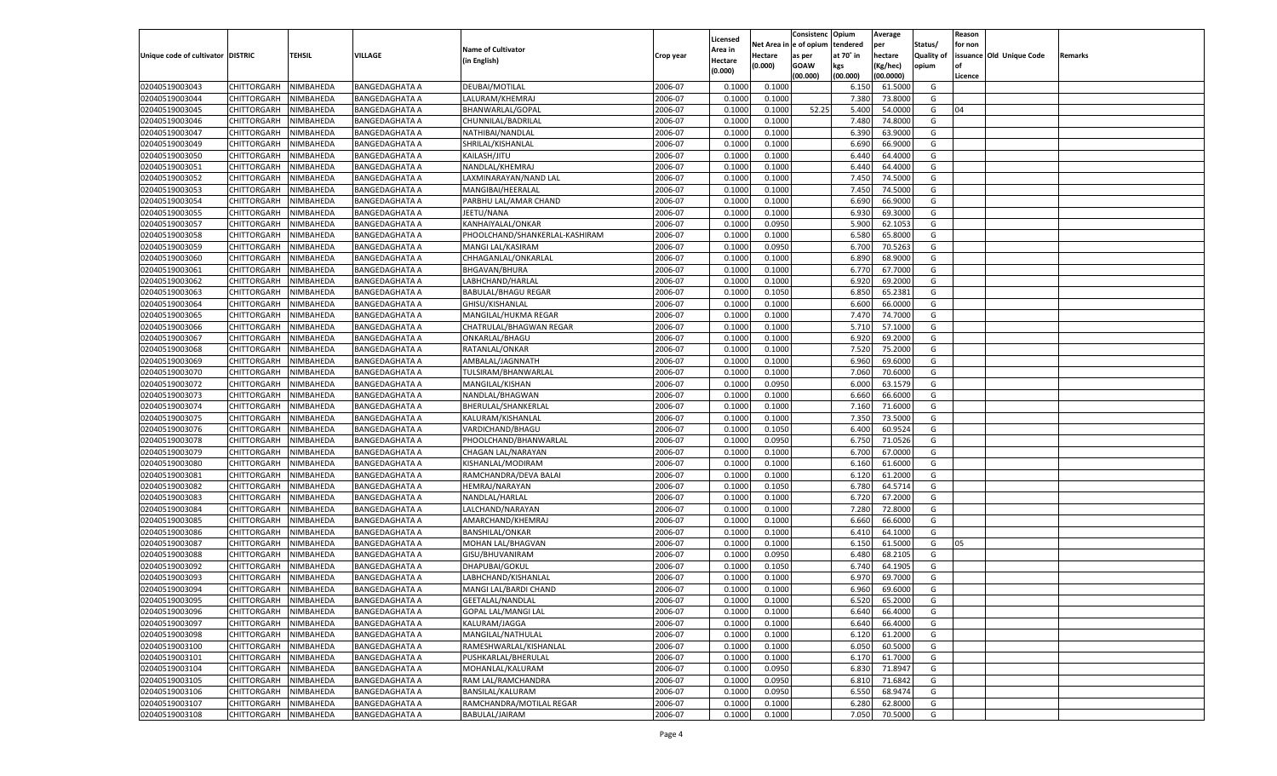|                                   |                       |               |                       |                                        |           |                           |                  | Consistenc  | Opium     | Average   |                   | Reason  |                          |         |
|-----------------------------------|-----------------------|---------------|-----------------------|----------------------------------------|-----------|---------------------------|------------------|-------------|-----------|-----------|-------------------|---------|--------------------------|---------|
|                                   |                       |               |                       | <b>Name of Cultivator</b>              |           | Licensed                  | Net Area         | e of opium  | tendered  | per       | Status/           | for non |                          |         |
| Unique code of cultivator DISTRIC |                       | <b>TEHSIL</b> | VILLAGE               | (in English)                           | Crop year | <b>Area in</b><br>Hectare | Hectare          | as per      | at 70° in | hectare   | <b>Quality of</b> |         | issuance Old Unique Code | Remarks |
|                                   |                       |               |                       |                                        |           | (0.000)                   | (0.000)          | <b>GOAW</b> | kgs       | (Kg/hec)  | opium             |         |                          |         |
|                                   |                       |               |                       |                                        |           |                           |                  | (00.000)    | (00.000)  | (00.0000) |                   | Licence |                          |         |
| 02040519003043                    | CHITTORGARH           | NIMBAHEDA     | <b>BANGEDAGHATA A</b> | DEUBAI/MOTILAL                         | 2006-07   | 0.1000                    | 0.1000           |             | 6.150     | 61.5000   | G                 |         |                          |         |
| 02040519003044                    | CHITTORGARH           | NIMBAHEDA     | BANGEDAGHATA A        | LALURAM/KHEMRAJ                        | 2006-07   | 0.1000                    | 0.1000           |             | 7.380     | 73.8000   | G                 |         |                          |         |
| 02040519003045                    | CHITTORGARH           | NIMBAHEDA     | <b>BANGEDAGHATA A</b> | BHANWARLAL/GOPAL                       | 2006-07   | 0.1000                    | 0.1000           | 52.25       | 5.400     | 54.0000   | G                 | 04      |                          |         |
| 02040519003046                    | CHITTORGARH           | NIMBAHEDA     | <b>BANGEDAGHATA A</b> | CHUNNILAL/BADRILAL                     | 2006-07   | 0.1000                    | 0.1000           |             | 7.480     | 74.8000   | G                 |         |                          |         |
| 02040519003047                    | CHITTORGARH           | NIMBAHEDA     | <b>BANGEDAGHATA A</b> | NATHIBAI/NANDLAL                       | 2006-07   | 0.1000                    | 0.1000           |             | 6.390     | 63.9000   | G                 |         |                          |         |
| 02040519003049                    | CHITTORGARH           | NIMBAHEDA     | BANGEDAGHATA A        | SHRILAL/KISHANLAL                      | 2006-07   | 0.1000                    | 0.1000           |             | 6.690     | 66.9000   | G                 |         |                          |         |
| 02040519003050                    | CHITTORGARH           | NIMBAHEDA     | <b>BANGEDAGHATA A</b> | KAILASH/JITU                           | 2006-07   | 0.1000                    | 0.1000           |             | 6.440     | 64.4000   | G                 |         |                          |         |
| 02040519003051                    | CHITTORGARH           | NIMBAHEDA     | <b>BANGEDAGHATA A</b> | NANDLAL/KHEMRAJ                        | 2006-07   | 0.1000                    | 0.1000           |             | 6.440     | 64.4000   | G                 |         |                          |         |
| 02040519003052                    | CHITTORGARH           | NIMBAHEDA     | <b>BANGEDAGHATA A</b> | LAXMINARAYAN/NAND LAL                  | 2006-07   | 0.1000                    | 0.1000           |             | 7.450     | 74.5000   | G                 |         |                          |         |
| 02040519003053                    | CHITTORGARH           | NIMBAHEDA     | BANGEDAGHATA A        | MANGIBAI/HEERALAL                      | 2006-07   | 0.1000                    | 0.1000           |             | 7.450     | 74.5000   | G                 |         |                          |         |
| 02040519003054                    | CHITTORGARH           | NIMBAHEDA     | <b>BANGEDAGHATA A</b> | PARBHU LAL/AMAR CHAND                  | 2006-07   | 0.1000                    | 0.1000           |             | 6.690     | 66.9000   | G                 |         |                          |         |
| 02040519003055                    | CHITTORGARH           | NIMBAHEDA     | <b>BANGEDAGHATA A</b> | JEETU/NANA                             | 2006-07   | 0.1000                    | 0.1000           |             | 6.930     | 69.3000   | G                 |         |                          |         |
| 02040519003057                    | CHITTORGARH           | NIMBAHEDA     | <b>BANGEDAGHATA A</b> | KANHAIYALAL/ONKAR                      | 2006-07   | 0.1000                    | 0.0950           |             | 5.900     | 62.105    | G                 |         |                          |         |
| 02040519003058                    | CHITTORGARH           | NIMBAHEDA     | <b>BANGEDAGHATA A</b> | PHOOLCHAND/SHANKERLAL-KASHIRAM         | 2006-07   | 0.1000                    | 0.1000           |             | 6.580     | 65.8000   | G                 |         |                          |         |
| 02040519003059                    | CHITTORGARH           | NIMBAHEDA     | <b>BANGEDAGHATA A</b> | MANGI LAL/KASIRAM                      | 2006-07   | 0.1000                    | 0.0950           |             | 6.700     | 70.5263   | G                 |         |                          |         |
| 02040519003060                    | CHITTORGARH           | NIMBAHEDA     | BANGEDAGHATA A        | CHHAGANLAL/ONKARLAL                    | 2006-07   | 0.1000                    | 0.1000           |             | 6.890     | 68.9000   | G                 |         |                          |         |
| 02040519003061                    | CHITTORGARH           | NIMBAHEDA     | <b>BANGEDAGHATA A</b> | <b>BHGAVAN/BHURA</b>                   | 2006-07   | 0.1000                    | 0.1000           |             | 6.770     | 67.7000   | G                 |         |                          |         |
| 02040519003062                    | CHITTORGARH           | NIMBAHEDA     | BANGEDAGHATA A        | LABHCHAND/HARLAL                       | 2006-07   | 0.1000                    | 0.1000           |             | 6.920     | 69.2000   | G                 |         |                          |         |
| 02040519003063                    | CHITTORGARH           | NIMBAHEDA     | <b>BANGEDAGHATA A</b> | <b>BABULAL/BHAGU REGAR</b>             | 2006-07   | 0.1000                    | 0.1050           |             | 6.850     | 65.2381   | G                 |         |                          |         |
| 02040519003064                    | CHITTORGARH           | NIMBAHEDA     | <b>BANGEDAGHATA A</b> | GHISU/KISHANLAL                        | 2006-07   | 0.1000                    | 0.1000           |             | 6.600     | 66.0000   | G                 |         |                          |         |
| 02040519003065                    | CHITTORGARH           | NIMBAHEDA     | <b>BANGEDAGHATA A</b> | MANGILAL/HUKMA REGAR                   | 2006-07   | 0.1000                    | 0.1000           |             | 7.470     | 74.7000   | G                 |         |                          |         |
| 02040519003066                    | CHITTORGARH           | NIMBAHEDA     | <b>BANGEDAGHATA A</b> | CHATRULAL/BHAGWAN REGAR                | 2006-07   | 0.1000                    | 0.1000           |             | 5.710     | 57.1000   | G                 |         |                          |         |
| 02040519003067                    | CHITTORGARH           | NIMBAHEDA     | <b>BANGEDAGHATA A</b> | ONKARLAL/BHAGU                         | 2006-07   | 0.1000                    | 0.1000           |             | 6.920     | 69.2000   | G                 |         |                          |         |
| 02040519003068                    | CHITTORGARH           | NIMBAHEDA     | <b>BANGEDAGHATA A</b> | RATANLAL/ONKAR                         | 2006-07   | 0.1000                    | 0.1000           |             | 7.520     | 75.2000   | G                 |         |                          |         |
| 02040519003069                    | CHITTORGARH           | NIMBAHEDA     | <b>BANGEDAGHATA A</b> | AMBALAL/JAGNNATH                       | 2006-07   | 0.1000                    | 0.1000           |             | 6.960     | 69.6000   | G                 |         |                          |         |
| 02040519003070                    |                       |               |                       |                                        | 2006-07   | 0.1000                    |                  |             | 7.060     | 70.6000   | G                 |         |                          |         |
| 02040519003072                    | CHITTORGARH           | NIMBAHEDA     | BANGEDAGHATA A        | TULSIRAM/BHANWARLAL<br>MANGILAL/KISHAN | 2006-07   | 0.1000                    | 0.1000<br>0.0950 |             | 6.000     | 63.1579   | G                 |         |                          |         |
|                                   | CHITTORGARH           | NIMBAHEDA     | <b>BANGEDAGHATA A</b> |                                        |           |                           |                  |             |           | 66.6000   |                   |         |                          |         |
| 02040519003073                    | CHITTORGARH           | NIMBAHEDA     | <b>BANGEDAGHATA A</b> | NANDLAL/BHAGWAN                        | 2006-07   | 0.1000                    | 0.1000           |             | 6.660     | 71.6000   | G<br>G            |         |                          |         |
| 02040519003074                    | CHITTORGARH           | NIMBAHEDA     | <b>BANGEDAGHATA A</b> | BHERULAL/SHANKERLAL                    | 2006-07   | 0.1000                    | 0.1000           |             | 7.160     |           |                   |         |                          |         |
| 02040519003075                    | CHITTORGARH           | NIMBAHEDA     | <b>BANGEDAGHATA A</b> | KALURAM/KISHANLAL                      | 2006-07   | 0.1000                    | 0.1000           |             | 7.350     | 73.5000   | G                 |         |                          |         |
| 02040519003076                    | CHITTORGARH           | NIMBAHEDA     | <b>BANGEDAGHATA A</b> | VARDICHAND/BHAGU                       | 2006-07   | 0.1000                    | 0.1050           |             | 6.400     | 60.9524   | G                 |         |                          |         |
| 02040519003078                    | CHITTORGARH           | NIMBAHEDA     | <b>BANGEDAGHATA A</b> | PHOOLCHAND/BHANWARLAL                  | 2006-07   | 0.1000                    | 0.0950           |             | 6.750     | 71.0526   | G                 |         |                          |         |
| 02040519003079                    | CHITTORGARH           | NIMBAHEDA     | <b>BANGEDAGHATA A</b> | CHAGAN LAL/NARAYAN                     | 2006-07   | 0.1000                    | 0.1000           |             | 6.700     | 67.0000   | G                 |         |                          |         |
| 02040519003080                    | CHITTORGARH           | NIMBAHEDA     | <b>BANGEDAGHATA A</b> | KISHANLAL/MODIRAM                      | 2006-07   | 0.1000                    | 0.1000           |             | 6.160     | 61.6000   | G                 |         |                          |         |
| 02040519003081                    | CHITTORGARH           | NIMBAHEDA     | <b>BANGEDAGHATA A</b> | RAMCHANDRA/DEVA BALAI                  | 2006-07   | 0.1000                    | 0.1000           |             | 6.120     | 61.2000   | G                 |         |                          |         |
| 02040519003082                    | CHITTORGARH           | NIMBAHEDA     | <b>BANGEDAGHATA A</b> | HEMRAJ/NARAYAN                         | 2006-07   | 0.1000                    | 0.1050           |             | 6.780     | 64.5714   | G                 |         |                          |         |
| 02040519003083                    | CHITTORGARH           | NIMBAHEDA     | <b>BANGEDAGHATA A</b> | NANDLAL/HARLAL                         | 2006-07   | 0.1000                    | 0.1000           |             | 6.720     | 67.2000   | G                 |         |                          |         |
| 02040519003084                    | CHITTORGARH           | NIMBAHEDA     | <b>BANGEDAGHATA A</b> | LALCHAND/NARAYAN                       | 2006-07   | 0.1000                    | 0.1000           |             | 7.280     | 72.8000   | G                 |         |                          |         |
| 02040519003085                    | CHITTORGARH           | NIMBAHEDA     | <b>BANGEDAGHATA A</b> | AMARCHAND/KHEMRAJ                      | 2006-07   | 0.1000                    | 0.1000           |             | 6.660     | 66.6000   | G                 |         |                          |         |
| 02040519003086                    | CHITTORGARH           | NIMBAHEDA     | <b>BANGEDAGHATA A</b> | <b>BANSHILAL/ONKAR</b>                 | 2006-07   | 0.1000                    | 0.1000           |             | 6.41      | 64.1000   | G                 |         |                          |         |
| 02040519003087                    | CHITTORGARH           | NIMBAHEDA     | <b>BANGEDAGHATA A</b> | MOHAN LAL/BHAGVAN                      | 2006-07   | 0.1000                    | 0.1000           |             | 6.150     | 61.5000   | G                 | 05      |                          |         |
| 02040519003088                    | CHITTORGARH           | NIMBAHEDA     | <b>BANGEDAGHATA A</b> | GISU/BHUVANIRAM                        | 2006-07   | 0.1000                    | 0.0950           |             | 6.480     | 68.2105   | G                 |         |                          |         |
| 02040519003092                    | CHITTORGARH           | NIMBAHEDA     | <b>BANGEDAGHATA A</b> | DHAPUBAI/GOKUL                         | 2006-07   | 0.1000                    | 0.1050           |             | 6.740     | 64.1905   | G                 |         |                          |         |
| 02040519003093                    | CHITTORGARH           | NIMBAHEDA     | <b>BANGEDAGHATA A</b> | LABHCHAND/KISHANLAL                    | 2006-07   | 0.1000                    | 0.1000           |             | 6.97      | 69.7000   | G                 |         |                          |         |
| 02040519003094                    | CHITTORGARH           | NIMBAHEDA     | <b>BANGEDAGHATA A</b> | MANGI LAL/BARDI CHAND                  | 2006-07   | 0.1000                    | 0.1000           |             | 6.960     | 69.6000   | G                 |         |                          |         |
| 02040519003095                    | CHITTORGARH NIMBAHEDA |               | <b>BANGEDAGHATA A</b> | GEETALAL/NANDLAL                       | 2006-07   | 0.1000                    | 0.1000           |             | 6.520     | 65.2000   | G                 |         |                          |         |
| 02040519003096                    | <b>CHITTORGARH</b>    | NIMBAHEDA     | <b>BANGEDAGHATA A</b> | <b>GOPAL LAL/MANGI LAL</b>             | 2006-07   | 0.1000                    | 0.1000           |             | 6.640     | 66.4000   | G                 |         |                          |         |
| 02040519003097                    | CHITTORGARH           | NIMBAHEDA     | <b>BANGEDAGHATA A</b> | KALURAM/JAGGA                          | 2006-07   | 0.1000                    | 0.1000           |             | 6.640     | 66.4000   | G                 |         |                          |         |
| 02040519003098                    | <b>CHITTORGARH</b>    | NIMBAHEDA     | <b>BANGEDAGHATA A</b> | MANGILAL/NATHULAL                      | 2006-07   | 0.1000                    | 0.1000           |             | 6.120     | 61.2000   | G                 |         |                          |         |
| 02040519003100                    | <b>CHITTORGARH</b>    | NIMBAHEDA     | <b>BANGEDAGHATA A</b> | RAMESHWARLAL/KISHANLAL                 | 2006-07   | 0.1000                    | 0.1000           |             | 6.050     | 60.5000   | G                 |         |                          |         |
| 02040519003101                    | <b>CHITTORGARH</b>    | NIMBAHEDA     | <b>BANGEDAGHATA A</b> | PUSHKARLAL/BHERULAL                    | 2006-07   | 0.1000                    | 0.1000           |             | 6.170     | 61.7000   | G                 |         |                          |         |
| 02040519003104                    | <b>CHITTORGARH</b>    | NIMBAHEDA     | <b>BANGEDAGHATA A</b> | MOHANLAL/KALURAM                       | 2006-07   | 0.1000                    | 0.0950           |             | 6.830     | 71.8947   | G                 |         |                          |         |
| 02040519003105                    | <b>CHITTORGARH</b>    | NIMBAHEDA     | <b>BANGEDAGHATA A</b> | RAM LAL/RAMCHANDRA                     | 2006-07   | 0.1000                    | 0.0950           |             | 6.810     | 71.6842   | G                 |         |                          |         |
| 02040519003106                    | <b>CHITTORGARH</b>    | NIMBAHEDA     | <b>BANGEDAGHATA A</b> | BANSILAL/KALURAM                       | 2006-07   | 0.1000                    | 0.0950           |             | 6.550     | 68.9474   | G                 |         |                          |         |
| 02040519003107                    | <b>CHITTORGARH</b>    | NIMBAHEDA     | <b>BANGEDAGHATA A</b> | RAMCHANDRA/MOTILAL REGAR               | 2006-07   | 0.1000                    | 0.1000           |             | 6.280     | 62.8000   | G                 |         |                          |         |
| 02040519003108                    | <b>CHITTORGARH</b>    | NIMBAHEDA     | <b>BANGEDAGHATA A</b> | BABULAL/JAIRAM                         | 2006-07   | 0.1000                    | 0.1000           |             | 7.050     | 70.5000   | G                 |         |                          |         |
|                                   |                       |               |                       |                                        |           |                           |                  |             |           |           |                   |         |                          |         |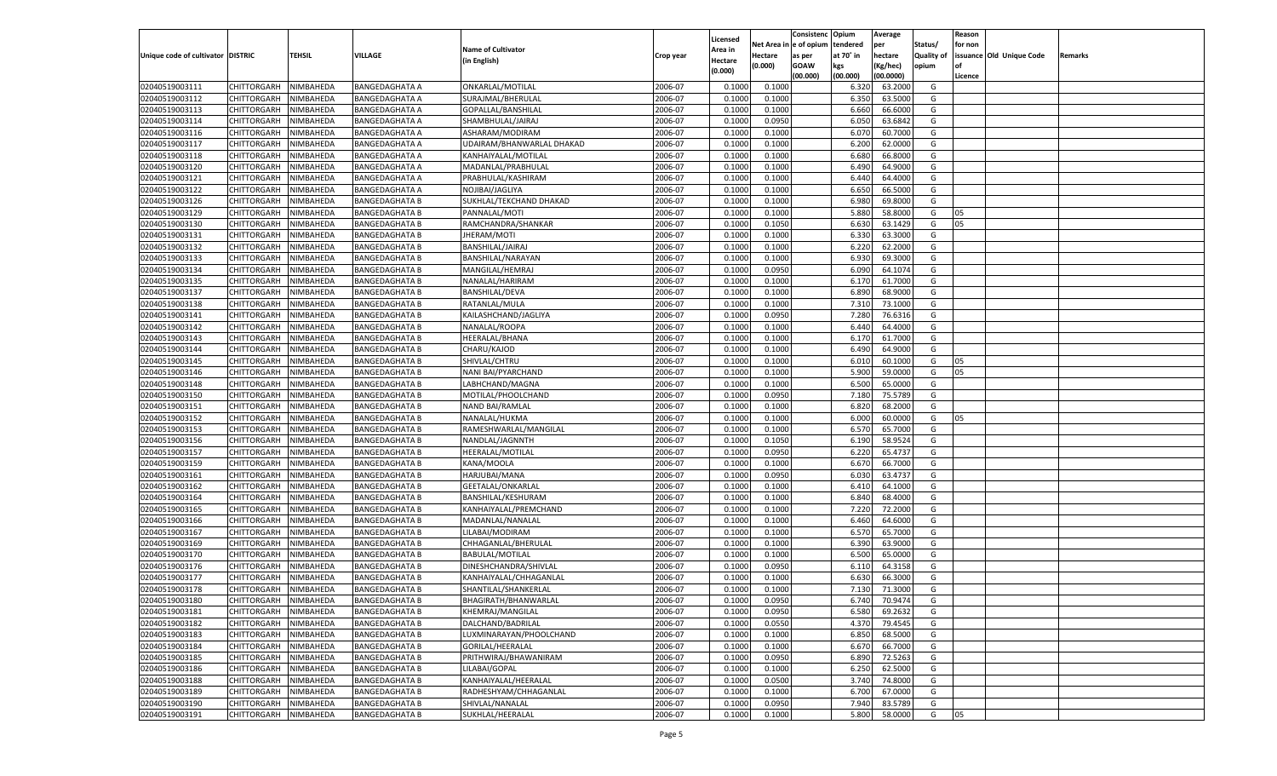|                                   |                                      |               |                       |                           |           |                           |          | Consistenc  | Opium     | Average   |                   | Reason  |                          |         |
|-----------------------------------|--------------------------------------|---------------|-----------------------|---------------------------|-----------|---------------------------|----------|-------------|-----------|-----------|-------------------|---------|--------------------------|---------|
|                                   |                                      |               |                       | <b>Name of Cultivator</b> |           | Licensed                  | Net Area | e of opium  | tendered  | per       | Status/           | for non |                          |         |
| Unique code of cultivator DISTRIC |                                      | <b>TEHSIL</b> | VILLAGE               | (in English)              | Crop year | <b>Area in</b><br>Hectare | Hectare  | as per      | at 70° in | hectare   | <b>Quality of</b> |         | issuance Old Unique Code | Remarks |
|                                   |                                      |               |                       |                           |           | (0.000)                   | (0.000)  | <b>GOAW</b> | kgs       | (Kg/hec)  | opium             |         |                          |         |
|                                   |                                      |               |                       |                           |           |                           |          | (00.000)    | (00.000)  | (00.0000) |                   | Licence |                          |         |
| 02040519003111                    | CHITTORGARH                          | NIMBAHEDA     | <b>BANGEDAGHATA A</b> | ONKARLAL/MOTILAL          | 2006-07   | 0.1000                    | 0.1000   |             | 6.320     | 63.2000   | G                 |         |                          |         |
| 02040519003112                    | CHITTORGARH                          | NIMBAHEDA     | <b>BANGEDAGHATA A</b> | SURAJMAL/BHERULAL         | 2006-07   | 0.1000                    | 0.1000   |             | 6.350     | 63.5000   | G                 |         |                          |         |
| 02040519003113                    | CHITTORGARH                          | NIMBAHEDA     | <b>BANGEDAGHATA A</b> | GOPALLAL/BANSHILAL        | 2006-07   | 0.1000                    | 0.1000   |             | 6.660     | 66.6000   | G                 |         |                          |         |
| 02040519003114                    | CHITTORGARH                          | NIMBAHEDA     | <b>BANGEDAGHATA A</b> | SHAMBHULAL/JAIRAJ         | 2006-07   | 0.1000                    | 0.0950   |             | 6.050     | 63.6842   | G                 |         |                          |         |
| 02040519003116                    | CHITTORGARH                          | NIMBAHEDA     | <b>BANGEDAGHATA A</b> | ASHARAM/MODIRAM           | 2006-07   | 0.1000                    | 0.1000   |             | 6.070     | 60.7000   | G                 |         |                          |         |
| 02040519003117                    | CHITTORGARH                          | NIMBAHEDA     | <b>BANGEDAGHATA A</b> | UDAIRAM/BHANWARLAL DHAKAD | 2006-07   | 0.1000                    | 0.1000   |             | 6.200     | 62.0000   | G                 |         |                          |         |
| 02040519003118                    | CHITTORGARH                          | NIMBAHEDA     | <b>BANGEDAGHATA A</b> | KANHAIYALAL/MOTILAL       | 2006-07   | 0.1000                    | 0.1000   |             | 6.680     | 66.8000   | G                 |         |                          |         |
| 02040519003120                    | CHITTORGARH                          | NIMBAHEDA     | <b>BANGEDAGHATA A</b> | MADANLAL/PRABHULAL        | 2006-07   | 0.1000                    | 0.1000   |             | 6.490     | 64.9000   | G                 |         |                          |         |
| 02040519003121                    | CHITTORGARH                          | NIMBAHEDA     | <b>BANGEDAGHATA A</b> | PRABHULAL/KASHIRAM        | 2006-07   | 0.1000                    | 0.1000   |             | 6.440     | 64.4000   | G                 |         |                          |         |
| 02040519003122                    | CHITTORGARH                          | NIMBAHEDA     | <b>BANGEDAGHATA A</b> | NOJIBAI/JAGLIYA           | 2006-07   | 0.1000                    | 0.1000   |             | 6.650     | 66.5000   | G                 |         |                          |         |
| 02040519003126                    | CHITTORGARH                          | NIMBAHEDA     | <b>BANGEDAGHATA B</b> | SUKHLAL/TEKCHAND DHAKAD   | 2006-07   | 0.1000                    | 0.1000   |             | 6.980     | 69.8000   | G                 |         |                          |         |
| 02040519003129                    | CHITTORGARH                          | NIMBAHEDA     | <b>BANGEDAGHATA B</b> | PANNALAL/MOTI             | 2006-07   | 0.1000                    | 0.1000   |             | 5.880     | 58.8000   | G                 | 05      |                          |         |
| 02040519003130                    | CHITTORGARH                          | NIMBAHEDA     | <b>BANGEDAGHATA B</b> | RAMCHANDRA/SHANKAR        | 2006-07   | 0.1000                    | 0.1050   |             | 6.630     | 63.1429   | G                 | 05      |                          |         |
| 02040519003131                    | CHITTORGARH                          | NIMBAHEDA     | <b>BANGEDAGHATA B</b> | JHERAM/MOTI               | 2006-07   | 0.1000                    | 0.1000   |             | 6.330     | 63.3000   | G                 |         |                          |         |
| 02040519003132                    | CHITTORGARH                          | NIMBAHEDA     | <b>BANGEDAGHATA B</b> | BANSHILAL/JAIRAJ          | 2006-07   | 0.1000                    | 0.1000   |             | 6.220     | 62.2000   | G                 |         |                          |         |
| 02040519003133                    | CHITTORGARH                          | NIMBAHEDA     | <b>BANGEDAGHATA B</b> | BANSHILAL/NARAYAN         | 2006-07   | 0.1000                    | 0.1000   |             | 6.930     | 69.3000   | G                 |         |                          |         |
| 02040519003134                    | CHITTORGARH                          | NIMBAHEDA     | <b>BANGEDAGHATA B</b> | MANGILAL/HEMRAJ           | 2006-07   | 0.1000                    | 0.0950   |             | 6.090     | 64.1074   | G                 |         |                          |         |
| 02040519003135                    | CHITTORGARH                          | NIMBAHEDA     | <b>BANGEDAGHATA B</b> | NANALAL/HARIRAM           | 2006-07   | 0.1000                    | 0.1000   |             | 6.170     | 61.7000   | G                 |         |                          |         |
| 02040519003137                    | CHITTORGARH                          | NIMBAHEDA     | <b>BANGEDAGHATA B</b> | <b>BANSHILAL/DEVA</b>     | 2006-07   | 0.1000                    | 0.1000   |             | 6.890     | 68.9000   | G                 |         |                          |         |
| 02040519003138                    | CHITTORGARH                          | NIMBAHEDA     | <b>BANGEDAGHATA B</b> | RATANLAL/MULA             | 2006-07   | 0.1000                    | 0.1000   |             | 7.310     | 73.1000   | G                 |         |                          |         |
| 02040519003141                    | CHITTORGARH                          | NIMBAHEDA     | <b>BANGEDAGHATA B</b> | KAILASHCHAND/JAGLIYA      | 2006-07   | 0.1000                    | 0.0950   |             | 7.280     | 76.6316   | G                 |         |                          |         |
| 02040519003142                    | CHITTORGARH                          | NIMBAHEDA     | <b>BANGEDAGHATA B</b> | NANALAL/ROOPA             | 2006-07   | 0.1000                    | 0.1000   |             | 6.440     | 64.4000   | G                 |         |                          |         |
| 02040519003143                    | CHITTORGARH                          | NIMBAHEDA     | <b>BANGEDAGHATA B</b> | HEERALAL/BHANA            | 2006-07   | 0.1000                    | 0.1000   |             | 6.170     | 61.7000   | G                 |         |                          |         |
| 02040519003144                    | CHITTORGARH                          | NIMBAHEDA     | <b>BANGEDAGHATA B</b> | CHARU/KAJOD               | 2006-07   | 0.1000                    | 0.1000   |             | 6.490     | 64.9000   | G                 |         |                          |         |
| 02040519003145                    | CHITTORGARH                          | NIMBAHEDA     | <b>BANGEDAGHATA B</b> | SHIVLAL/CHTRU             | 2006-07   | 0.1000                    | 0.1000   |             | 6.010     | 60.1000   | G                 | 05      |                          |         |
| 02040519003146                    | CHITTORGARH                          | NIMBAHEDA     | <b>BANGEDAGHATA B</b> | NANI BAI/PYARCHAND        | 2006-07   | 0.1000                    | 0.1000   |             | 5.900     | 59.0000   | G                 | 05      |                          |         |
| 02040519003148                    | CHITTORGARH                          | NIMBAHEDA     | <b>BANGEDAGHATA B</b> | LABHCHAND/MAGNA           | 2006-07   | 0.1000                    | 0.1000   |             | 6.500     | 65.0000   | G                 |         |                          |         |
| 02040519003150                    | CHITTORGARH                          | NIMBAHEDA     | <b>BANGEDAGHATA B</b> | MOTILAL/PHOOLCHAND        | 2006-07   | 0.1000                    | 0.0950   |             | 7.180     | 75.5789   | G                 |         |                          |         |
| 02040519003151                    | CHITTORGARH                          | NIMBAHEDA     | <b>BANGEDAGHATA B</b> | NAND BAI/RAMLAL           | 2006-07   | 0.1000                    | 0.1000   |             | 6.820     | 68.2000   | G                 |         |                          |         |
| 02040519003152                    | CHITTORGARH                          | NIMBAHEDA     | <b>BANGEDAGHATA B</b> | NANALAL/HUKMA             | 2006-07   | 0.1000                    | 0.1000   |             | 6.000     | 60.0000   | G                 | 05      |                          |         |
| 02040519003153                    | CHITTORGARH                          | NIMBAHEDA     | <b>BANGEDAGHATA B</b> | RAMESHWARLAL/MANGILAL     | 2006-07   | 0.1000                    | 0.1000   |             | 6.570     | 65.7000   | G                 |         |                          |         |
| 02040519003156                    | CHITTORGARH                          | NIMBAHEDA     | <b>BANGEDAGHATA B</b> | NANDLAL/JAGNNTH           | 2006-07   | 0.1000                    | 0.1050   |             | 6.190     | 58.9524   | G                 |         |                          |         |
| 02040519003157                    | CHITTORGARH                          | NIMBAHEDA     | <b>BANGEDAGHATA B</b> | HEERALAL/MOTILAL          | 2006-07   | 0.1000                    | 0.0950   |             | 6.220     | 65.4737   | G                 |         |                          |         |
| 02040519003159                    | CHITTORGARH                          | NIMBAHEDA     | <b>BANGEDAGHATA B</b> | KANA/MOOLA                | 2006-07   | 0.1000                    | 0.1000   |             | 6.670     | 66.7000   | G                 |         |                          |         |
| 02040519003161                    | CHITTORGARH                          | NIMBAHEDA     | <b>BANGEDAGHATA B</b> | HARJUBAI/MANA             | 2006-07   | 0.1000                    | 0.0950   |             | 6.030     | 63.4737   | G                 |         |                          |         |
| 02040519003162                    | CHITTORGARH                          | NIMBAHEDA     | <b>BANGEDAGHATA B</b> | GEETALAL/ONKARLAL         | 2006-07   | 0.1000                    | 0.1000   |             | 6.41      | 64.1000   | G                 |         |                          |         |
| 02040519003164                    | CHITTORGARH                          | NIMBAHEDA     | <b>BANGEDAGHATA B</b> | BANSHILAL/KESHURAM        | 2006-07   | 0.1000                    | 0.1000   |             | 6.840     | 68.4000   | G                 |         |                          |         |
| 02040519003165                    | CHITTORGARH                          | NIMBAHEDA     | <b>BANGEDAGHATA B</b> | KANHAIYALAL/PREMCHAND     | 2006-07   | 0.1000                    | 0.1000   |             | 7.220     | 72.2000   | G                 |         |                          |         |
| 02040519003166                    | CHITTORGARH                          | NIMBAHEDA     | <b>BANGEDAGHATA B</b> | MADANLAL/NANALAL          | 2006-07   | 0.1000                    | 0.1000   |             | 6.460     | 64.6000   | G                 |         |                          |         |
| 02040519003167                    | CHITTORGARH                          | NIMBAHEDA     | <b>BANGEDAGHATA B</b> | LILABAI/MODIRAM           | 2006-07   | 0.1000                    | 0.1000   |             | 6.570     | 65.7000   | G                 |         |                          |         |
| 02040519003169                    | CHITTORGARH                          | NIMBAHEDA     | <b>BANGEDAGHATA B</b> | CHHAGANLAL/BHERULAL       | 2006-07   | 0.1000                    | 0.1000   |             | 6.390     | 63.9000   | G                 |         |                          |         |
| 02040519003170                    | CHITTORGARH                          | NIMBAHEDA     | <b>BANGEDAGHATA B</b> | <b>BABULAL/MOTILAL</b>    | 2006-07   | 0.1000                    | 0.1000   |             | 6.500     | 65.0000   | G                 |         |                          |         |
| 02040519003176                    | CHITTORGARH                          | NIMBAHEDA     | <b>BANGEDAGHATA B</b> | DINESHCHANDRA/SHIVLAL     | 2006-07   | 0.1000                    | 0.0950   |             | 6.110     | 64.3158   | G                 |         |                          |         |
| 02040519003177                    | CHITTORGARH                          | NIMBAHEDA     | <b>BANGEDAGHATA B</b> | KANHAIYALAL/CHHAGANLAL    | 2006-07   | 0.1000                    | 0.1000   |             | 6.630     | 66.3000   | G                 |         |                          |         |
| 02040519003178                    |                                      | NIMBAHEDA     |                       |                           | 2006-07   | 0.1000                    | 0.1000   |             | 7.130     | 71.3000   | G                 |         |                          |         |
|                                   | CHITTORGARH<br>CHITTORGARH NIMBAHEDA |               | <b>BANGEDAGHATA B</b> | SHANTILAL/SHANKERLAI      |           |                           |          |             |           |           |                   |         |                          |         |
| 02040519003180                    |                                      |               | <b>BANGEDAGHATA B</b> | BHAGIRATH/BHANWARLAL      | 2006-07   | 0.1000                    | 0.0950   |             | 6.740     | 70.9474   | G                 |         |                          |         |
| 02040519003181                    | <b>CHITTORGARH</b>                   | NIMBAHEDA     | <b>BANGEDAGHATA B</b> | KHEMRAJ/MANGILAL          | 2006-07   | 0.1000                    | 0.0950   |             | 6.580     | 69.2632   | G                 |         |                          |         |
| 02040519003182                    | CHITTORGARH                          | NIMBAHEDA     | <b>BANGEDAGHATA B</b> | DALCHAND/BADRILAL         | 2006-07   | 0.1000                    | 0.0550   |             | 4.370     | 79.4545   | G                 |         |                          |         |
| 02040519003183                    | <b>CHITTORGARH</b>                   | NIMBAHEDA     | <b>BANGEDAGHATA B</b> | LUXMINARAYAN/PHOOLCHAND   | 2006-07   | 0.1000                    | 0.1000   |             | 6.850     | 68.5000   | G                 |         |                          |         |
| 02040519003184                    | <b>CHITTORGARH</b>                   | NIMBAHEDA     | <b>BANGEDAGHATA B</b> | <b>GORILAL/HEERALAL</b>   | 2006-07   | 0.1000                    | 0.1000   |             | 6.670     | 66.7000   | G                 |         |                          |         |
| 02040519003185                    | <b>CHITTORGARH</b>                   | NIMBAHEDA     | <b>BANGEDAGHATA B</b> | PRITHWIRAJ/BHAWANIRAM     | 2006-07   | 0.1000                    | 0.0950   |             | 6.890     | 72.5263   | G                 |         |                          |         |
| 02040519003186                    | <b>CHITTORGARH</b>                   | NIMBAHEDA     | <b>BANGEDAGHATA B</b> | LILABAI/GOPAL             | 2006-07   | 0.1000                    | 0.1000   |             | 6.250     | 62.5000   | G                 |         |                          |         |
| 02040519003188                    | <b>CHITTORGARH</b>                   | NIMBAHEDA     | <b>BANGEDAGHATA B</b> | KANHAIYALAL/HEERALAL      | 2006-07   | 0.1000                    | 0.0500   |             | 3.740     | 74.8000   | G                 |         |                          |         |
| 02040519003189                    | <b>CHITTORGARH</b>                   | NIMBAHEDA     | <b>BANGEDAGHATA B</b> | RADHESHYAM/CHHAGANLAL     | 2006-07   | 0.1000                    | 0.1000   |             | 6.700     | 67.0000   | G                 |         |                          |         |
| 02040519003190                    | <b>CHITTORGARH</b>                   | NIMBAHEDA     | <b>BANGEDAGHATA B</b> | SHIVLAL/NANALAL           | 2006-07   | 0.1000                    | 0.0950   |             | 7.940     | 83.5789   | G                 |         |                          |         |
| 02040519003191                    | <b>CHITTORGARH</b>                   | NIMBAHEDA     | <b>BANGEDAGHATA B</b> | SUKHLAL/HEERALAL          | 2006-07   | 0.1000                    | 0.1000   |             | 5.800     | 58.0000   | G                 | 05      |                          |         |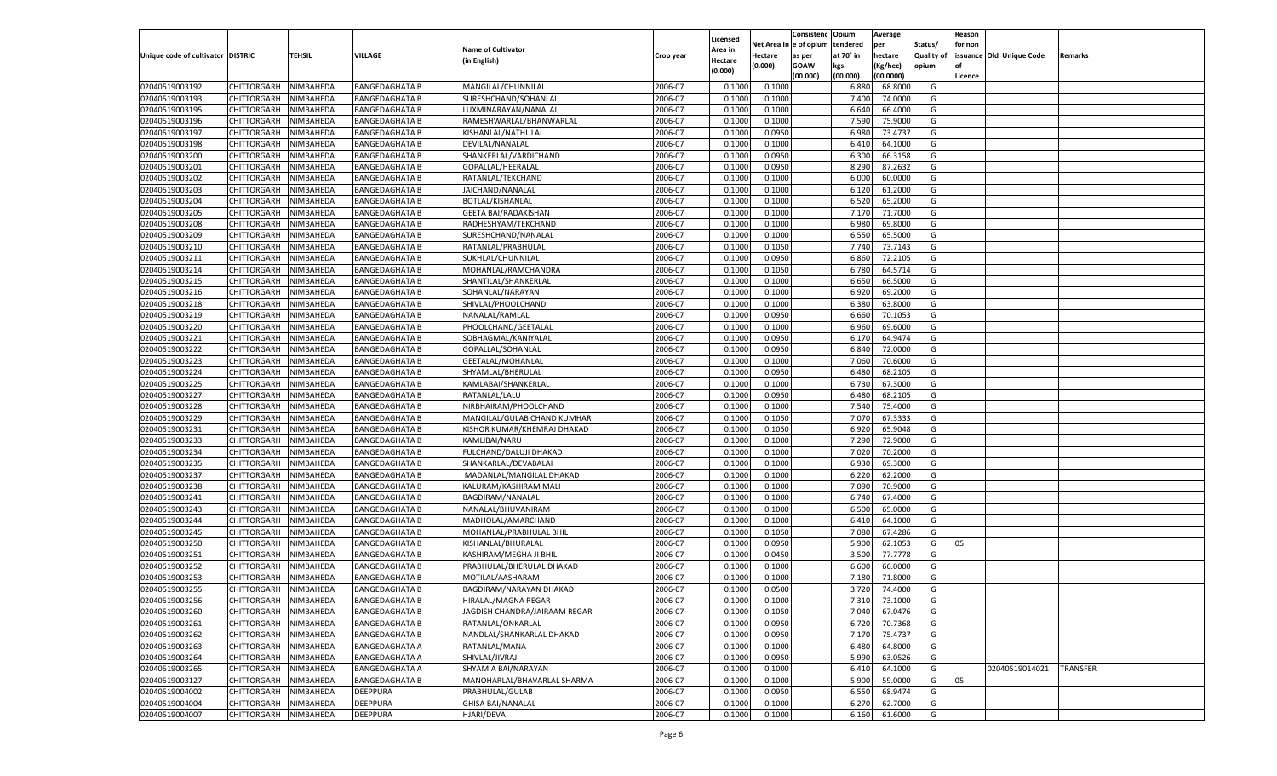|                                   |                    |           |                       |                                |           |          |          | Consistenc Opium |           | Average   |                   | Reason    |                          |          |
|-----------------------------------|--------------------|-----------|-----------------------|--------------------------------|-----------|----------|----------|------------------|-----------|-----------|-------------------|-----------|--------------------------|----------|
|                                   |                    |           |                       |                                |           | Licensed | Net Area | e of opium       | tendered  | per       | Status/           | for non   |                          |          |
| Unique code of cultivator DISTRIC |                    | TEHSIL    | VILLAGE               | <b>Name of Cultivator</b>      | Crop year | Area in  | Hectare  | as per           | at 70˚ in | hectare   | <b>Quality of</b> |           | issuance Old Unique Code | Remarks  |
|                                   |                    |           |                       | (in English)                   |           | Hectare  | (0.000)  | <b>GOAW</b>      | kgs       | (Kg/hec)  | opium             | <b>of</b> |                          |          |
|                                   |                    |           |                       |                                |           | (0.000)  |          | (00.000)         | (00.000)  | (00.0000) |                   | Licence   |                          |          |
| 02040519003192                    | CHITTORGARH        | NIMBAHEDA | <b>BANGEDAGHATA B</b> | MANGILAL/CHUNNILAL             | 2006-07   | 0.1000   | 0.1000   |                  | 6.88      | 68.8000   | G                 |           |                          |          |
| 02040519003193                    | CHITTORGARH        | NIMBAHEDA | <b>BANGEDAGHATA B</b> | SURESHCHAND/SOHANLAL           | 2006-07   | 0.1000   | 0.1000   |                  | 7.400     | 74.0000   | G                 |           |                          |          |
| 02040519003195                    |                    | NIMBAHEDA |                       |                                | 2006-07   | 0.1000   |          |                  | 6.640     | 66.4000   | G                 |           |                          |          |
|                                   | <b>CHITTORGARH</b> |           | <b>BANGEDAGHATA B</b> | LUXMINARAYAN/NANALAL           |           |          | 0.1000   |                  |           |           |                   |           |                          |          |
| 02040519003196                    | CHITTORGARH        | NIMBAHEDA | <b>BANGEDAGHATA B</b> | RAMESHWARLAL/BHANWARLAL        | 2006-07   | 0.1000   | 0.1000   |                  | 7.590     | 75.9000   | G                 |           |                          |          |
| 02040519003197                    | CHITTORGARH        | NIMBAHEDA | <b>BANGEDAGHATA B</b> | KISHANLAL/NATHULAL             | 2006-07   | 0.1000   | 0.0950   |                  | 6.980     | 73.4737   | G                 |           |                          |          |
| 02040519003198                    | CHITTORGARH        | NIMBAHEDA | <b>BANGEDAGHATA B</b> | DEVILAL/NANALAL                | 2006-07   | 0.1000   | 0.1000   |                  | 6.41      | 64.1000   | G                 |           |                          |          |
| 02040519003200                    | <b>CHITTORGARH</b> | NIMBAHEDA | <b>BANGEDAGHATA B</b> | SHANKERLAL/VARDICHAND          | 2006-07   | 0.1000   | 0.0950   |                  | 6.300     | 66.3158   | G                 |           |                          |          |
| 02040519003201                    | CHITTORGARH        | NIMBAHEDA | <b>BANGEDAGHATA B</b> | GOPALLAL/HEERALAL              | 2006-07   | 0.1000   | 0.0950   |                  | 8.290     | 87.2632   | G                 |           |                          |          |
| 02040519003202                    | CHITTORGARH        | NIMBAHEDA | <b>BANGEDAGHATA B</b> | RATANLAL/TEKCHAND              | 2006-07   | 0.1000   | 0.1000   |                  | 6.000     | 60.0000   | G                 |           |                          |          |
| 02040519003203                    | CHITTORGARH        | NIMBAHEDA | <b>BANGEDAGHATA B</b> | JAICHAND/NANALAL               | 2006-07   | 0.1000   | 0.1000   |                  | 6.120     | 61.2000   | G                 |           |                          |          |
| 02040519003204                    | CHITTORGARH        | NIMBAHEDA | <b>BANGEDAGHATA B</b> | BOTLAL/KISHANLAL               | 2006-07   | 0.1000   | 0.1000   |                  | 6.520     | 65.2000   | G                 |           |                          |          |
| 02040519003205                    | CHITTORGARH        | NIMBAHEDA | <b>BANGEDAGHATA B</b> | <b>GEETA BAI/RADAKISHAN</b>    | 2006-07   | 0.1000   | 0.1000   |                  | 7.170     | 71.7000   | G                 |           |                          |          |
| 02040519003208                    | CHITTORGARH        | NIMBAHEDA | <b>BANGEDAGHATA B</b> | RADHESHYAM/TEKCHAND            | 2006-07   | 0.1000   | 0.1000   |                  | 6.980     | 69.8000   | G                 |           |                          |          |
| 02040519003209                    | CHITTORGARH        | NIMBAHEDA | <b>BANGEDAGHATA B</b> | SURESHCHAND/NANALAL            | 2006-07   | 0.1000   | 0.1000   |                  | 6.550     | 65.5000   | G                 |           |                          |          |
| 02040519003210                    | <b>CHITTORGARH</b> | NIMBAHEDA | <b>BANGEDAGHATA B</b> | RATANLAL/PRABHULAL             | 2006-07   | 0.1000   | 0.1050   |                  | 7.740     | 73.7143   | G                 |           |                          |          |
| 02040519003211                    | CHITTORGARH        | NIMBAHEDA | <b>BANGEDAGHATA B</b> | SUKHLAL/CHUNNILAL              | 2006-07   | 0.1000   | 0.0950   |                  | 6.860     | 72.2105   | G                 |           |                          |          |
|                                   |                    |           |                       |                                |           |          |          |                  |           |           |                   |           |                          |          |
| 02040519003214                    | <b>CHITTORGARH</b> | NIMBAHEDA | <b>BANGEDAGHATA B</b> | MOHANLAL/RAMCHANDRA            | 2006-07   | 0.1000   | 0.1050   |                  | 6.780     | 64.5714   | G                 |           |                          |          |
| 02040519003215                    | CHITTORGARH        | NIMBAHEDA | <b>BANGEDAGHATA B</b> | SHANTILAL/SHANKERLAI           | 2006-07   | 0.1000   | 0.1000   |                  | 6.650     | 66.5000   | G                 |           |                          |          |
| 02040519003216                    | <b>CHITTORGARH</b> | NIMBAHEDA | <b>BANGEDAGHATA B</b> | SOHANLAL/NARAYAN               | 2006-07   | 0.1000   | 0.1000   |                  | 6.920     | 69.2000   | G                 |           |                          |          |
| 02040519003218                    | CHITTORGARH        | NIMBAHEDA | <b>BANGEDAGHATA B</b> | SHIVLAL/PHOOLCHAND             | 2006-07   | 0.1000   | 0.1000   |                  | 6.380     | 63.8000   | G                 |           |                          |          |
| 02040519003219                    | <b>CHITTORGARH</b> | NIMBAHEDA | <b>BANGEDAGHATA B</b> | NANALAL/RAMLAL                 | 2006-07   | 0.1000   | 0.0950   |                  | 6.660     | 70.1053   | G                 |           |                          |          |
| 02040519003220                    | CHITTORGARH        | NIMBAHEDA | <b>BANGEDAGHATA B</b> | PHOOLCHAND/GEETALAL            | 2006-07   | 0.1000   | 0.1000   |                  | 6.960     | 69.6000   | G                 |           |                          |          |
| 02040519003221                    | <b>CHITTORGARH</b> | NIMBAHEDA | <b>BANGEDAGHATA B</b> | SOBHAGMAL/KANIYALAL            | 2006-07   | 0.1000   | 0.0950   |                  | 6.170     | 64.9474   | G                 |           |                          |          |
| 02040519003222                    | CHITTORGARH        | NIMBAHEDA | <b>BANGEDAGHATA B</b> | GOPALLAL/SOHANLAL              | 2006-07   | 0.1000   | 0.0950   |                  | 6.840     | 72.0000   | G                 |           |                          |          |
| 02040519003223                    | <b>CHITTORGARH</b> | NIMBAHEDA | <b>BANGEDAGHATA B</b> | GEETALAL/MOHANLAL              | 2006-07   | 0.1000   | 0.1000   |                  | 7.060     | 70.6000   | G                 |           |                          |          |
| 02040519003224                    | CHITTORGARH        | NIMBAHEDA | <b>BANGEDAGHATA B</b> | SHYAMLAL/BHERULAL              | 2006-07   | 0.1000   | 0.0950   |                  | 6.480     | 68.2105   | G                 |           |                          |          |
| 02040519003225                    | <b>CHITTORGARH</b> | NIMBAHEDA | <b>BANGEDAGHATA B</b> | KAMLABAI/SHANKERLAL            | 2006-07   | 0.1000   | 0.1000   |                  | 6.730     | 67.3000   | G                 |           |                          |          |
| 02040519003227                    | CHITTORGARH        | NIMBAHEDA | <b>BANGEDAGHATA B</b> | RATANLAL/LALU                  | 2006-07   | 0.1000   | 0.0950   |                  | 6.480     | 68.2105   | G                 |           |                          |          |
| 02040519003228                    | <b>CHITTORGARH</b> | NIMBAHEDA | <b>BANGEDAGHATA B</b> | NIRBHAIRAM/PHOOLCHAND          | 2006-07   | 0.1000   | 0.1000   |                  | 7.540     | 75.4000   | G                 |           |                          |          |
|                                   | CHITTORGARH        |           |                       |                                |           |          |          |                  |           |           | G                 |           |                          |          |
| 02040519003229                    |                    | NIMBAHEDA | <b>BANGEDAGHATA B</b> | MANGILAL/GULAB CHAND KUMHAR    | 2006-07   | 0.1000   | 0.1050   |                  | 7.070     | 67.3333   |                   |           |                          |          |
| 02040519003231                    | CHITTORGARH        | NIMBAHEDA | <b>BANGEDAGHATA B</b> | KISHOR KUMAR/KHEMRAJ DHAKAD    | 2006-07   | 0.1000   | 0.1050   |                  | 6.920     | 65.9048   | G                 |           |                          |          |
| 02040519003233                    | CHITTORGARH        | NIMBAHEDA | <b>BANGEDAGHATA B</b> | KAMLIBAI/NARU                  | 2006-07   | 0.1000   | 0.1000   |                  | 7.290     | 72.9000   | G                 |           |                          |          |
| 02040519003234                    | CHITTORGARH        | NIMBAHEDA | <b>BANGEDAGHATA B</b> | FULCHAND/DALUJI DHAKAD         | 2006-07   | 0.1000   | 0.1000   |                  | 7.020     | 70.2000   | G                 |           |                          |          |
| 02040519003235                    | CHITTORGARH        | NIMBAHEDA | <b>BANGEDAGHATA B</b> | SHANKARLAL/DEVABALAI           | 2006-07   | 0.1000   | 0.1000   |                  | 6.93      | 69.3000   | G                 |           |                          |          |
| 02040519003237                    | CHITTORGARH        | NIMBAHEDA | <b>BANGEDAGHATA B</b> | MADANLAL/MANGILAL DHAKAD       | 2006-07   | 0.1000   | 0.1000   |                  | 6.220     | 62.2000   | G                 |           |                          |          |
| 02040519003238                    | CHITTORGARH        | NIMBAHEDA | <b>BANGEDAGHATA B</b> | KALURAM/KASHIRAM MALI          | 2006-07   | 0.1000   | 0.1000   |                  | 7.090     | 70.9000   | G                 |           |                          |          |
| 02040519003241                    | CHITTORGARH        | NIMBAHEDA | <b>BANGEDAGHATA B</b> | BAGDIRAM/NANALAL               | 2006-07   | 0.1000   | 0.1000   |                  | 6.740     | 67.4000   | G                 |           |                          |          |
| 02040519003243                    | CHITTORGARH        | NIMBAHEDA | <b>BANGEDAGHATA B</b> | NANALAL/BHUVANIRAM             | 2006-07   | 0.1000   | 0.1000   |                  | 6.500     | 65.0000   | G                 |           |                          |          |
| 02040519003244                    | CHITTORGARH        | NIMBAHEDA | <b>BANGEDAGHATA B</b> | MADHOLAL/AMARCHAND             | 2006-07   | 0.1000   | 0.1000   |                  | 6.41      | 64.1000   | G                 |           |                          |          |
| 02040519003245                    | CHITTORGARH        | NIMBAHEDA | <b>BANGEDAGHATA B</b> | MOHANLAL/PRABHULAL BHII        | 2006-07   | 0.1000   | 0.1050   |                  | 7.080     | 67.4286   | G                 |           |                          |          |
| 02040519003250                    | CHITTORGARH        | NIMBAHEDA | <b>BANGEDAGHATA B</b> | KISHANLAL/BHURALAL             | 2006-07   | 0.1000   | 0.0950   |                  | 5.900     | 62.105    | G                 | 05        |                          |          |
| 02040519003251                    | CHITTORGARH        | NIMBAHEDA | <b>BANGEDAGHATA B</b> | KASHIRAM/MEGHA JI BHIL         | 2006-07   | 0.1000   | 0.0450   |                  | 3.500     | 77.7778   | G                 |           |                          |          |
| 02040519003252                    | CHITTORGARH        | NIMBAHEDA | <b>BANGEDAGHATA B</b> | PRABHULAL/BHERULAL DHAKAD      | 2006-07   | 0.1000   | 0.1000   |                  | 6.600     | 66.0000   | G                 |           |                          |          |
| 02040519003253                    | CHITTORGARH        | NIMBAHEDA | <b>BANGEDAGHATA B</b> | MOTILAL/AASHARAM               | 2006-07   | 0.1000   | 0.1000   |                  | 7.18      | 71.8000   | G                 |           |                          |          |
| 02040519003255                    | CHITTORGARH        | NIMBAHEDA | <b>BANGEDAGHATA B</b> | <b>BAGDIRAM/NARAYAN DHAKAD</b> | 2006-07   | 0.1000   | 0.0500   |                  | 3.720     | 74.4000   | G                 |           |                          |          |
|                                   |                    |           |                       |                                |           |          |          |                  |           |           |                   |           |                          |          |
| 02040519003256                    | CHITTORGARH        | NIMBAHEDA | <b>BANGEDAGHATA B</b> | HIRALAL/MAGNA REGAR            | 2006-07   | 0.1000   | 0.1000   |                  | 7.310     | 73.1000   | G                 |           |                          |          |
| 02040519003260                    | <b>CHITTORGARH</b> | NIMBAHEDA | <b>BANGEDAGHATA B</b> | JAGDISH CHANDRA/JAIRAAM REGAR  | 2006-07   | 0.1000   | 0.1050   |                  | 7.040     | 67.0476   | G                 |           |                          |          |
| 02040519003261                    | <b>CHITTORGARH</b> | NIMBAHEDA | <b>BANGEDAGHATA B</b> | RATANLAL/ONKARLAL              | 2006-07   | 0.1000   | 0.0950   |                  | 6.720     | 70.7368   | G                 |           |                          |          |
| 02040519003262                    | <b>CHITTORGARH</b> | NIMBAHEDA | <b>BANGEDAGHATA B</b> | NANDLAL/SHANKARLAL DHAKAD      | 2006-07   | 0.1000   | 0.0950   |                  | 7.17      | 75.4737   | G                 |           |                          |          |
| 02040519003263                    | <b>CHITTORGARH</b> | NIMBAHEDA | <b>BANGEDAGHATA A</b> | RATANLAL/MANA                  | 2006-07   | 0.1000   | 0.1000   |                  | 6.480     | 64.8000   | G                 |           |                          |          |
| 02040519003264                    | <b>CHITTORGARH</b> | NIMBAHEDA | <b>BANGEDAGHATA A</b> | SHIVLAL/JIVRAJ                 | 2006-07   | 0.1000   | 0.0950   |                  | 5.990     | 63.0526   | G                 |           |                          |          |
| 02040519003265                    | <b>CHITTORGARH</b> | NIMBAHEDA | <b>BANGEDAGHATA A</b> | SHYAMIA BAI/NARAYAN            | 2006-07   | 0.1000   | 0.1000   |                  | 6.41      | 64.1000   | G                 |           | 02040519014021           | TRANSFER |
| 02040519003127                    | <b>CHITTORGARH</b> | NIMBAHEDA | <b>BANGEDAGHATA B</b> | MANOHARLAL/BHAVARLAL SHARMA    | 2006-07   | 0.1000   | 0.1000   |                  | 5.900     | 59.0000   | G                 | 05        |                          |          |
| 02040519004002                    | <b>CHITTORGARH</b> | NIMBAHEDA | DEEPPURA              | PRABHULAL/GULAB                | 2006-07   | 0.1000   | 0.0950   |                  | 6.550     | 68.9474   | G                 |           |                          |          |
| 02040519004004                    | CHITTORGARH        | NIMBAHEDA | <b>DEEPPURA</b>       | <b>GHISA BAI/NANALAL</b>       | 2006-07   | 0.1000   | 0.1000   |                  | 6.270     | 62.7000   | G                 |           |                          |          |
| 02040519004007                    | CHITTORGARH        | NIMBAHEDA | <b>DEEPPURA</b>       | HJARI/DEVA                     | 2006-07   | 0.1000   | 0.1000   |                  | 6.160     | 61.6000   | G                 |           |                          |          |
|                                   |                    |           |                       |                                |           |          |          |                  |           |           |                   |           |                          |          |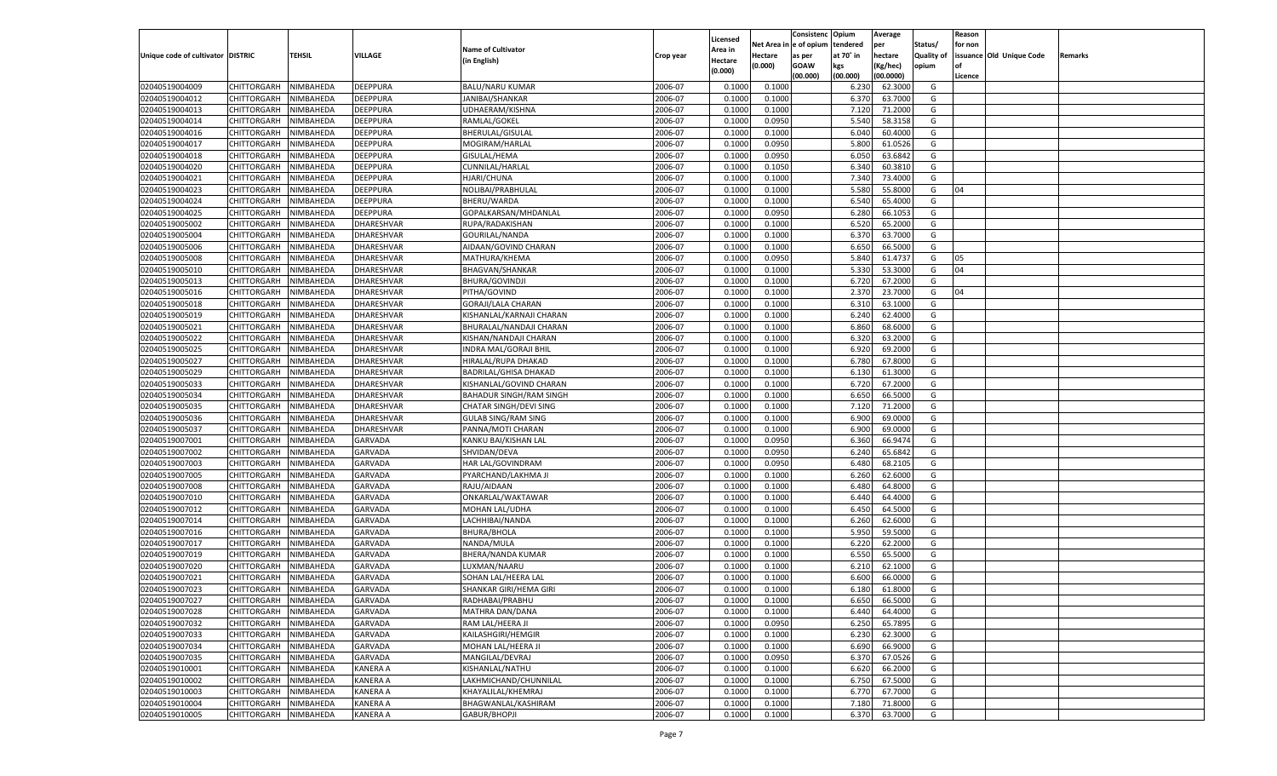|                                   |                       |                        |                                  |                                |           |                    |                  | Consistenc    | Opium          | Average            |                   | Reason  |                          |         |
|-----------------------------------|-----------------------|------------------------|----------------------------------|--------------------------------|-----------|--------------------|------------------|---------------|----------------|--------------------|-------------------|---------|--------------------------|---------|
|                                   |                       |                        |                                  | <b>Name of Cultivator</b>      |           | Licensed           | Net Area i       | n  e of opium | tendered       | per                | Status/           | for non |                          |         |
| Unique code of cultivator DISTRIC |                       | TEHSIL                 | VILLAGE                          | (in English)                   | Crop year | Area in<br>Hectare | Hectare          | as per        | at 70° in      | hectare            | <b>Quality of</b> |         | issuance Old Unique Code | Remarks |
|                                   |                       |                        |                                  |                                |           | (0.000)            | (0.000)          | <b>GOAW</b>   | kgs            | (Kg/hec)           | opium             |         |                          |         |
|                                   |                       |                        |                                  |                                |           |                    |                  | (00.000)      | (00.000)       | (00.0000)          |                   | Licence |                          |         |
| 02040519004009                    | CHITTORGARH           | NIMBAHEDA              | DEEPPURA                         | <b>BALU/NARU KUMAR</b>         | 2006-07   | 0.1000             | 0.1000           |               | 6.23           | 62.3000            | G                 |         |                          |         |
| 02040519004012                    | CHITTORGARH           | NIMBAHEDA              | DEEPPURA                         | JANIBAI/SHANKAR                | 2006-07   | 0.1000             | 0.1000           |               | 6.370          | 63.7000            | G                 |         |                          |         |
| 02040519004013                    | CHITTORGARH           | NIMBAHEDA              | DEEPPURA                         | UDHAERAM/KISHNA                | 2006-07   | 0.1000             | 0.1000           |               | 7.120          | 71.2000            | G                 |         |                          |         |
| 02040519004014                    | CHITTORGARH           | NIMBAHEDA              | DEEPPURA                         | RAMLAL/GOKEL                   | 2006-07   | 0.1000             | 0.0950           |               | 5.540          | 58.3158            | G                 |         |                          |         |
| 02040519004016                    | CHITTORGARH           | NIMBAHEDA              | DEEPPURA                         | BHERULAL/GISULAL               | 2006-07   | 0.1000             | 0.1000           |               | 6.040          | 60.4000            | G                 |         |                          |         |
| 02040519004017                    | CHITTORGARH           | NIMBAHEDA              | DEEPPURA                         | MOGIRAM/HARLAL                 | 2006-07   | 0.1000             | 0.0950           |               | 5.800          | 61.0526            | G                 |         |                          |         |
| 02040519004018                    | CHITTORGARH           | NIMBAHEDA              | DEEPPURA                         | GISULAL/HEMA                   | 2006-07   | 0.1000             | 0.0950           |               | 6.050          | 63.6842            | G                 |         |                          |         |
| 02040519004020                    | CHITTORGARH           | NIMBAHEDA              | DEEPPURA                         | CUNNILAL/HARLAL                | 2006-07   | 0.1000             | 0.1050           |               | 6.340          | 60.3810            | G                 |         |                          |         |
| 02040519004021                    | CHITTORGARH           | NIMBAHEDA              | DEEPPURA                         | HJARI/CHUNA                    | 2006-07   | 0.1000             | 0.1000           |               | 7.340          | 73.4000            | G                 |         |                          |         |
| 02040519004023                    | CHITTORGARH           | NIMBAHEDA              | DEEPPURA                         | NOLIBAI/PRABHULAL              | 2006-07   | 0.1000             | 0.1000           |               | 5.580          | 55.8000            | G                 | 04      |                          |         |
| 02040519004024                    | CHITTORGARH           | NIMBAHEDA              | DEEPPURA                         | BHERU/WARDA                    | 2006-07   | 0.1000             | 0.1000           |               | 6.540          | 65.4000            | G                 |         |                          |         |
| 02040519004025                    | CHITTORGARH           | NIMBAHEDA              | DEEPPURA                         | GOPALKARSAN/MHDANLAL           | 2006-07   | 0.1000             | 0.0950           |               | 6.280          | 66.1053            | G                 |         |                          |         |
| 02040519005002                    | CHITTORGARH           | NIMBAHEDA              | DHARESHVAR                       | RUPA/RADAKISHAN                | 2006-07   | 0.1000             | 0.1000           |               | 6.520          | 65.2000            | G                 |         |                          |         |
| 02040519005004                    | CHITTORGARH           | NIMBAHEDA              | DHARESHVAR                       | GOURILAL/NANDA                 | 2006-07   | 0.1000             | 0.1000           |               | 6.370          | 63.7000            | G                 |         |                          |         |
| 02040519005006                    | CHITTORGARH           | NIMBAHEDA              | DHARESHVAR                       | AIDAAN/GOVIND CHARAN           | 2006-07   | 0.1000             | 0.1000           |               | 6.650          | 66.5000            | G                 |         |                          |         |
| 02040519005008                    | CHITTORGARH           | NIMBAHEDA              | DHARESHVAR                       | MATHURA/KHEMA                  | 2006-07   | 0.1000             | 0.0950           |               | 5.840          | 61.4737            | G                 | 05      |                          |         |
| 02040519005010                    | CHITTORGARH           | NIMBAHEDA              | DHARESHVAR                       | <b>BHAGVAN/SHANKAR</b>         | 2006-07   | 0.1000             | 0.1000           |               | 5.330          | 53.3000            | G                 | 04      |                          |         |
| 02040519005013                    | CHITTORGARH           | NIMBAHEDA              | DHARESHVAR                       | <b>BHURA/GOVINDJI</b>          | 2006-07   | 0.1000             | 0.1000           |               | 6.720          | 67.2000            | G                 |         |                          |         |
| 02040519005016                    | CHITTORGARH           | NIMBAHEDA              | DHARESHVAR                       | PITHA/GOVIND                   | 2006-07   | 0.1000             | 0.1000           |               | 2.370          | 23.7000            | G                 | 04      |                          |         |
| 02040519005018                    | CHITTORGARH           | NIMBAHEDA              | DHARESHVAR                       | <b>GORAJI/LALA CHARAN</b>      | 2006-07   | 0.1000             | 0.1000           |               | 6.310          | 63.1000            | G                 |         |                          |         |
| 02040519005019                    | CHITTORGARH           | NIMBAHEDA              | DHARESHVAR                       | KISHANLAL/KARNAJI CHARAN       | 2006-07   | 0.1000             | 0.1000           |               | 6.240          | 62.4000            | G                 |         |                          |         |
| 02040519005021                    | CHITTORGARH           | NIMBAHEDA              | DHARESHVAR                       | BHURALAL/NANDAJI CHARAN        | 2006-07   | 0.1000             | 0.1000           |               | 6.860          | 68.6000            | G                 |         |                          |         |
| 02040519005022                    | CHITTORGARH           | NIMBAHEDA              | DHARESHVAR                       | KISHAN/NANDAJI CHARAN          | 2006-07   | 0.1000             | 0.1000           |               | 6.320          | 63.2000            | G                 |         |                          |         |
| 02040519005025                    | CHITTORGARH           | NIMBAHEDA              | DHARESHVAR                       | <b>INDRA MAL/GORAJI BHIL</b>   | 2006-07   | 0.1000             | 0.1000           |               | 6.920          | 69.2000            | G                 |         |                          |         |
| 02040519005027                    | CHITTORGARH           | NIMBAHEDA              | DHARESHVAR                       | HIRALAL/RUPA DHAKAD            | 2006-07   | 0.1000             | 0.1000           |               | 6.780          | 67.8000            | G                 |         |                          |         |
| 02040519005029                    | CHITTORGARH           | NIMBAHEDA              | DHARESHVAR                       | <b>BADRILAL/GHISA DHAKAD</b>   | 2006-07   | 0.1000             | 0.1000           |               | 6.130          | 61.3000            | G                 |         |                          |         |
| 02040519005033                    | CHITTORGARH           | NIMBAHEDA              | DHARESHVAR                       | KISHANLAL/GOVIND CHARAN        | 2006-07   | 0.1000             | 0.1000           |               | 6.720          | 67.2000            | G                 |         |                          |         |
| 02040519005034                    | CHITTORGARH           | NIMBAHEDA              | DHARESHVAR                       | <b>BAHADUR SINGH/RAM SINGH</b> | 2006-07   | 0.1000             | 0.1000           |               | 6.650          | 66.5000            | G                 |         |                          |         |
| 02040519005035                    | CHITTORGARH           | NIMBAHEDA              | DHARESHVAR                       | CHATAR SINGH/DEVI SING         | 2006-07   | 0.1000             | 0.1000           |               | 7.120          | 71.2000            | G                 |         |                          |         |
| 02040519005036                    | CHITTORGARH           | NIMBAHEDA              | DHARESHVAR                       | <b>GULAB SING/RAM SING</b>     | 2006-07   | 0.1000             | 0.1000           |               | 6.900          | 69.0000            | G                 |         |                          |         |
| 02040519005037                    | CHITTORGARH           | NIMBAHEDA              | DHARESHVAR                       | PANNA/MOTI CHARAN              | 2006-07   | 0.1000             | 0.1000           |               | 6.900          | 69.0000            | G                 |         |                          |         |
| 02040519007001                    | CHITTORGARH           | NIMBAHEDA              | <b>GARVADA</b>                   | KANKU BAI/KISHAN LAL           | 2006-07   | 0.1000             | 0.0950           |               | 6.360          | 66.9474            | G                 |         |                          |         |
| 02040519007002                    | CHITTORGARH           | NIMBAHEDA              | <b>GARVADA</b>                   | SHVIDAN/DEVA                   | 2006-07   | 0.1000             | 0.0950           |               | 6.240          | 65.6842            | G                 |         |                          |         |
| 02040519007003                    | CHITTORGARH           | NIMBAHEDA              | <b>GARVADA</b>                   | HAR LAL/GOVINDRAM              | 2006-07   | 0.1000             | 0.0950           |               | 6.480          | 68.2105            | G                 |         |                          |         |
| 02040519007005                    | CHITTORGARH           | NIMBAHEDA              | <b>GARVADA</b>                   | PYARCHAND/LAKHMA JI            | 2006-07   | 0.1000             | 0.1000           |               | 6.260          | 62.6000            | G                 |         |                          |         |
| 02040519007008                    | CHITTORGARH           | NIMBAHEDA              | <b>GARVADA</b>                   | RAJU/AIDAAN                    | 2006-07   | 0.1000             | 0.1000           |               | 6.480          | 64.8000            | G                 |         |                          |         |
| 02040519007010                    | CHITTORGARH           | NIMBAHEDA              | <b>GARVADA</b>                   | ONKARLAL/WAKTAWAR              | 2006-07   | 0.1000             | 0.1000           |               | 6.440          | 64.4000            | G                 |         |                          |         |
| 02040519007012                    | CHITTORGARH           | NIMBAHEDA              | <b>GARVADA</b>                   | MOHAN LAL/UDHA                 | 2006-07   | 0.1000             | 0.1000           |               | 6.450          | 64.5000            | G                 |         |                          |         |
| 02040519007014                    | CHITTORGARH           | NIMBAHEDA              | <b>GARVADA</b>                   | LACHHIBAI/NANDA                | 2006-07   | 0.1000             | 0.1000           |               | 6.260          | 62.6000            | G                 |         |                          |         |
| 02040519007016                    | CHITTORGARH           | NIMBAHEDA              | <b>GARVADA</b>                   | <b>BHURA/BHOLA</b>             | 2006-07   | 0.1000             | 0.1000           |               | 5.950          | 59.5000            | G                 |         |                          |         |
| 02040519007017                    | CHITTORGARH           | NIMBAHEDA              | <b>GARVADA</b>                   | NANDA/MULA                     | 2006-07   | 0.1000             | 0.1000           |               | 6.220          | 62.2000            | G                 |         |                          |         |
| 02040519007019                    | CHITTORGARH           |                        |                                  |                                | 2006-07   | 0.1000             |                  |               |                |                    | G                 |         |                          |         |
| 02040519007020                    |                       | NIMBAHEDA<br>NIMBAHEDA | <b>GARVADA</b><br><b>GARVADA</b> | BHERA/NANDA KUMAR              | 2006-07   | 0.1000             | 0.1000<br>0.1000 |               | 6.550<br>6.210 | 65.5000<br>62.1000 | G                 |         |                          |         |
| 02040519007021                    | CHITTORGARH           |                        |                                  | LUXMAN/NAARU                   | 2006-07   | 0.1000             |                  |               | 6.600          | 66.0000            | G                 |         |                          |         |
|                                   | CHITTORGARH           | NIMBAHEDA              | <b>GARVADA</b>                   | SOHAN LAL/HEERA LAL            | 2006-07   |                    | 0.1000           |               |                | 61.8000            |                   |         |                          |         |
| 02040519007023                    | CHITTORGARH           | NIMBAHEDA              | GARVADA                          | SHANKAR GIRI/HEMA GIRI         |           | 0.1000             | 0.1000           |               | 6.180          |                    | G                 |         |                          |         |
| 02040519007027                    | CHITTORGARH NIMBAHEDA |                        | <b>GARVADA</b>                   | RADHABAI/PRABHU                | 2006-07   | 0.1000             | 0.1000           |               | 6.650          | 66.5000            | G                 |         |                          |         |
| 02040519007028                    | <b>CHITTORGARH</b>    | NIMBAHEDA              | <b>GARVADA</b>                   | MATHRA DAN/DANA                | 2006-07   | 0.1000             | 0.1000           |               | 6.440          | 64.4000            | G                 |         |                          |         |
| 02040519007032                    | CHITTORGARH           | NIMBAHEDA              | <b>GARVADA</b>                   | RAM LAL/HEERA JI               | 2006-07   | 0.1000             | 0.0950           |               | 6.250          | 65.7895            | G                 |         |                          |         |
| 02040519007033                    | CHITTORGARH           | NIMBAHEDA              | <b>GARVADA</b>                   | KAILASHGIRI/HEMGIR             | 2006-07   | 0.1000             | 0.1000           |               | 6.230          | 62.3000            | G                 |         |                          |         |
| 02040519007034                    | <b>CHITTORGARH</b>    | NIMBAHEDA              | <b>GARVADA</b>                   | MOHAN LAL/HEERA JI             | 2006-07   | 0.1000             | 0.1000           |               | 6.690          | 66.9000            | G                 |         |                          |         |
| 02040519007035                    | CHITTORGARH           | NIMBAHEDA              | <b>GARVADA</b>                   | MANGILAL/DEVRAJ                | 2006-07   | 0.1000             | 0.0950           |               | 6.370          | 67.0526            | G                 |         |                          |         |
| 02040519010001                    | <b>CHITTORGARH</b>    | NIMBAHEDA              | <b>KANERA A</b>                  | KISHANLAL/NATHU                | 2006-07   | 0.1000             | 0.1000           |               | 6.620          | 66.2000            | G                 |         |                          |         |
| 02040519010002                    | CHITTORGARH           | NIMBAHEDA              | <b>KANERA A</b>                  | LAKHMICHAND/CHUNNILAL          | 2006-07   | 0.1000             | 0.1000           |               | 6.750          | 67.5000            | G                 |         |                          |         |
| 02040519010003                    | CHITTORGARH           | NIMBAHEDA              | <b>KANERA A</b>                  | KHAYALILAL/KHEMRAJ             | 2006-07   | 0.1000             | 0.1000           |               | 6.770          | 67.7000            | G                 |         |                          |         |
| 02040519010004                    | <b>CHITTORGARH</b>    | NIMBAHEDA              | <b>KANERA A</b>                  | BHAGWANLAL/KASHIRAM            | 2006-07   | 0.1000             | 0.1000           |               | 7.180          | 71.8000            | G                 |         |                          |         |
| 02040519010005                    | <b>CHITTORGARH</b>    | NIMBAHEDA              | <b>KANERA A</b>                  | GABUR/BHOPJI                   | 2006-07   | 0.1000             | 0.1000           |               | 6.370          | 63.7000            | G                 |         |                          |         |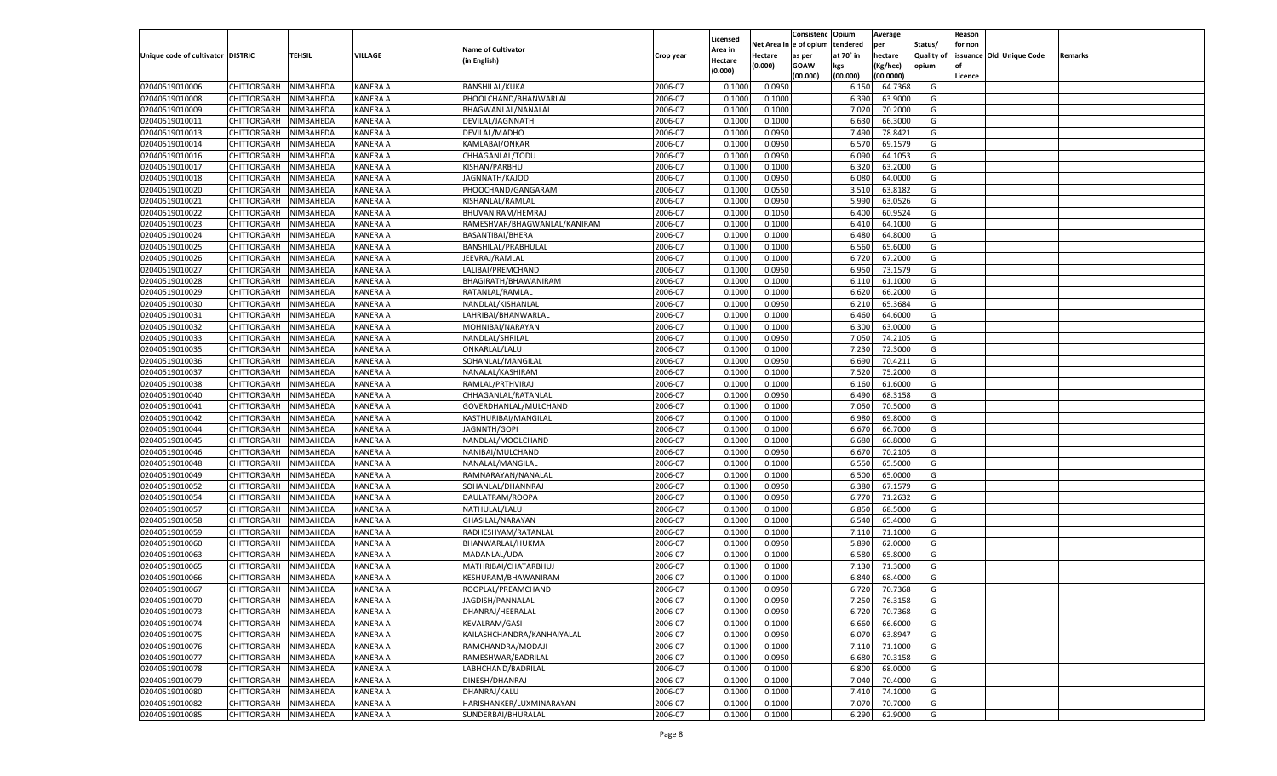|                                   |                       |               |                 |                              |           |                           |          | Consistenc  | Opium     | Average   |                   | Reason  |                          |         |
|-----------------------------------|-----------------------|---------------|-----------------|------------------------------|-----------|---------------------------|----------|-------------|-----------|-----------|-------------------|---------|--------------------------|---------|
|                                   |                       |               |                 | <b>Name of Cultivator</b>    |           | Licensed                  | Net Area | e of opium  | tendered  | per       | Status/           | for non |                          |         |
| Unique code of cultivator DISTRIC |                       | <b>TEHSIL</b> | VILLAGE         | (in English)                 | Crop year | <b>Area in</b><br>Hectare | Hectare  | as per      | at 70° in | hectare   | <b>Quality of</b> |         | issuance Old Unique Code | Remarks |
|                                   |                       |               |                 |                              |           | (0.000)                   | (0.000)  | <b>GOAW</b> | kgs       | (Kg/hec)  | opium             |         |                          |         |
|                                   |                       |               |                 |                              |           |                           |          | (00.000)    | (00.000)  | (00.0000) |                   | Licence |                          |         |
| 02040519010006                    | CHITTORGARH           | NIMBAHEDA     | KANERA A        | <b>BANSHILAL/KUKA</b>        | 2006-07   | 0.1000                    | 0.0950   |             | 6.150     | 64.7368   | G                 |         |                          |         |
| 02040519010008                    | CHITTORGARH           | NIMBAHEDA     | KANERA A        | PHOOLCHAND/BHANWARLAL        | 2006-07   | 0.1000                    | 0.1000   |             | 6.390     | 63.9000   | G                 |         |                          |         |
| 02040519010009                    | CHITTORGARH           | NIMBAHEDA     | KANERA A        | BHAGWANLAL/NANALAL           | 2006-07   | 0.1000                    | 0.1000   |             | 7.020     | 70.2000   | G                 |         |                          |         |
| 02040519010011                    | CHITTORGARH           | NIMBAHEDA     | KANERA A        | DEVILAL/JAGNNATH             | 2006-07   | 0.1000                    | 0.1000   |             | 6.630     | 66.3000   | G                 |         |                          |         |
| 02040519010013                    | CHITTORGARH           | NIMBAHEDA     | KANERA A        | DEVILAL/MADHO                | 2006-07   | 0.1000                    | 0.0950   |             | 7.490     | 78.8421   | G                 |         |                          |         |
| 02040519010014                    | CHITTORGARH           | NIMBAHEDA     | KANERA A        | KAMLABAI/ONKAR               | 2006-07   | 0.1000                    | 0.0950   |             | 6.570     | 69.1579   | G                 |         |                          |         |
| 02040519010016                    | CHITTORGARH           | NIMBAHEDA     | KANERA A        | CHHAGANLAL/TODU              | 2006-07   | 0.1000                    | 0.0950   |             | 6.090     | 64.105    | G                 |         |                          |         |
| 02040519010017                    | CHITTORGARH           | NIMBAHEDA     | KANERA A        | KISHAN/PARBHU                | 2006-07   | 0.1000                    | 0.1000   |             | 6.320     | 63.2000   | G                 |         |                          |         |
| 02040519010018                    | CHITTORGARH           | NIMBAHEDA     | KANERA A        | JAGNNATH/KAJOD               | 2006-07   | 0.1000                    | 0.0950   |             | 6.080     | 64.0000   | G                 |         |                          |         |
| 02040519010020                    | CHITTORGARH           | NIMBAHEDA     | KANERA A        | PHOOCHAND/GANGARAM           | 2006-07   | 0.1000                    | 0.0550   |             | 3.51(     | 63.8182   | G                 |         |                          |         |
| 02040519010021                    | CHITTORGARH           | NIMBAHEDA     | KANERA A        | KISHANLAL/RAMLAL             | 2006-07   | 0.1000                    | 0.0950   |             | 5.990     | 63.0526   | G                 |         |                          |         |
| 02040519010022                    | CHITTORGARH           | NIMBAHEDA     | KANERA A        | BHUVANIRAM/HEMRAJ            | 2006-07   | 0.1000                    | 0.1050   |             | 6.400     | 60.9524   | G                 |         |                          |         |
| 02040519010023                    | CHITTORGARH           | NIMBAHEDA     | KANERA A        | RAMESHVAR/BHAGWANLAL/KANIRAM | 2006-07   | 0.1000                    | 0.1000   |             | 6.41      | 64.1000   | G                 |         |                          |         |
| 02040519010024                    | CHITTORGARH           | NIMBAHEDA     | KANERA A        | BASANTIBAI/BHERA             | 2006-07   | 0.1000                    | 0.1000   |             | 6.480     | 64.8000   | G                 |         |                          |         |
| 02040519010025                    | CHITTORGARH           | NIMBAHEDA     | KANERA A        | BANSHILAL/PRABHULAL          | 2006-07   | 0.1000                    | 0.1000   |             | 6.560     | 65.6000   | G                 |         |                          |         |
| 02040519010026                    | CHITTORGARH           | NIMBAHEDA     | KANERA A        | JEEVRAJ/RAMLAL               | 2006-07   | 0.1000                    | 0.1000   |             | 6.720     | 67.2000   | G                 |         |                          |         |
| 02040519010027                    | CHITTORGARH           | NIMBAHEDA     | KANERA A        | LALIBAI/PREMCHAND            | 2006-07   | 0.1000                    | 0.0950   |             | 6.950     | 73.1579   | G                 |         |                          |         |
| 02040519010028                    | CHITTORGARH           | NIMBAHEDA     | KANERA A        | BHAGIRATH/BHAWANIRAM         | 2006-07   | 0.1000                    | 0.1000   |             | 6.110     | 61.1000   | G                 |         |                          |         |
| 02040519010029                    | CHITTORGARH           | NIMBAHEDA     | KANERA A        | RATANLAL/RAMLAL              | 2006-07   | 0.1000                    | 0.1000   |             | 6.620     | 66.2000   | G                 |         |                          |         |
| 02040519010030                    | CHITTORGARH           | NIMBAHEDA     | KANERA A        | NANDLAL/KISHANLAI            | 2006-07   | 0.1000                    | 0.0950   |             | 6.210     | 65.3684   | G                 |         |                          |         |
| 02040519010031                    | CHITTORGARH           | NIMBAHEDA     | KANERA A        | LAHRIBAI/BHANWARLAL          | 2006-07   | 0.1000                    | 0.1000   |             | 6.460     | 64.6000   | G                 |         |                          |         |
| 02040519010032                    | CHITTORGARH           | NIMBAHEDA     | KANERA A        | MOHNIBAI/NARAYAN             | 2006-07   | 0.1000                    | 0.1000   |             | 6.300     | 63.0000   | G                 |         |                          |         |
| 02040519010033                    | CHITTORGARH           | NIMBAHEDA     | KANERA A        | NANDLAL/SHRILAL              | 2006-07   | 0.1000                    | 0.0950   |             | 7.050     | 74.2105   | G                 |         |                          |         |
| 02040519010035                    | CHITTORGARH           | NIMBAHEDA     | KANERA A        | ONKARLAL/LALU                | 2006-07   | 0.1000                    | 0.1000   |             | 7.230     | 72.3000   | G                 |         |                          |         |
| 02040519010036                    | CHITTORGARH           | NIMBAHEDA     | KANERA A        | SOHANLAL/MANGILAL            | 2006-07   | 0.1000                    | 0.0950   |             | 6.690     | 70.4211   | G                 |         |                          |         |
| 02040519010037                    | CHITTORGARH           | NIMBAHEDA     | KANERA A        | NANALAL/KASHIRAM             | 2006-07   | 0.1000                    | 0.1000   |             | 7.520     | 75.2000   | G                 |         |                          |         |
| 02040519010038                    | CHITTORGARH           | NIMBAHEDA     | KANERA A        | RAMLAL/PRTHVIRAJ             | 2006-07   | 0.1000                    | 0.1000   |             | 6.160     | 61.6000   | G                 |         |                          |         |
| 02040519010040                    | CHITTORGARH           | NIMBAHEDA     | KANERA A        | CHHAGANLAL/RATANLAL          | 2006-07   | 0.1000                    | 0.0950   |             | 6.490     | 68.3158   | G                 |         |                          |         |
| 02040519010041                    | CHITTORGARH           | NIMBAHEDA     | KANERA A        | GOVERDHANLAL/MULCHAND        | 2006-07   | 0.1000                    | 0.1000   |             | 7.050     | 70.5000   | G                 |         |                          |         |
| 02040519010042                    | CHITTORGARH           | NIMBAHEDA     | KANERA A        | KASTHURIBAI/MANGILAL         | 2006-07   | 0.1000                    | 0.1000   |             | 6.980     | 69.8000   | G                 |         |                          |         |
| 02040519010044                    | CHITTORGARH           | NIMBAHEDA     | KANERA A        | JAGNNTH/GOPI                 | 2006-07   | 0.1000                    | 0.1000   |             | 6.670     | 66.7000   | G                 |         |                          |         |
| 02040519010045                    | CHITTORGARH           | NIMBAHEDA     | KANERA A        | NANDLAL/MOOLCHAND            | 2006-07   | 0.1000                    | 0.1000   |             | 6.680     | 66.8000   | G                 |         |                          |         |
| 02040519010046                    | CHITTORGARH           | NIMBAHEDA     | KANERA A        | NANIBAI/MULCHAND             | 2006-07   | 0.1000                    | 0.0950   |             | 6.670     | 70.210    | G                 |         |                          |         |
| 02040519010048                    | CHITTORGARH           | NIMBAHEDA     | KANERA A        | NANALAL/MANGILAL             | 2006-07   | 0.1000                    | 0.1000   |             | 6.550     | 65.5000   | G                 |         |                          |         |
| 02040519010049                    | CHITTORGARH           | NIMBAHEDA     | KANERA A        | RAMNARAYAN/NANALAI           | 2006-07   | 0.1000                    | 0.1000   |             | 6.500     | 65.0000   | G                 |         |                          |         |
| 02040519010052                    | CHITTORGARH           | NIMBAHEDA     | KANERA A        | SOHANLAL/DHANNRAJ            | 2006-07   | 0.1000                    | 0.0950   |             | 6.380     | 67.1579   | G                 |         |                          |         |
| 02040519010054                    | CHITTORGARH           | NIMBAHEDA     | KANERA A        | DAULATRAM/ROOPA              | 2006-07   | 0.1000                    | 0.0950   |             | 6.770     | 71.2632   | G                 |         |                          |         |
| 02040519010057                    | CHITTORGARH           | NIMBAHEDA     | KANERA A        | NATHULAL/LALU                | 2006-07   | 0.1000                    | 0.1000   |             | 6.85      | 68.5000   | G                 |         |                          |         |
| 02040519010058                    | CHITTORGARH           | NIMBAHEDA     | KANERA A        | GHASILAL/NARAYAN             | 2006-07   | 0.1000                    | 0.1000   |             | 6.540     | 65.4000   | G                 |         |                          |         |
| 02040519010059                    | CHITTORGARH           | NIMBAHEDA     | KANERA A        | RADHESHYAM/RATANLAI          | 2006-07   | 0.1000                    | 0.1000   |             | 7.11(     | 71.1000   | G                 |         |                          |         |
| 02040519010060                    | CHITTORGARH           | NIMBAHEDA     | KANERA A        | BHANWARLAL/HUKMA             | 2006-07   | 0.1000                    | 0.0950   |             | 5.890     | 62.0000   | G                 |         |                          |         |
| 02040519010063                    | CHITTORGARH           | NIMBAHEDA     | KANERA A        | MADANLAL/UDA                 | 2006-07   | 0.1000                    | 0.1000   |             | 6.580     | 65.8000   | G                 |         |                          |         |
| 02040519010065                    | CHITTORGARH           | NIMBAHEDA     | KANERA A        | MATHRIBAI/CHATARBHUJ         | 2006-07   | 0.1000                    | 0.1000   |             | 7.13(     | 71.3000   | G                 |         |                          |         |
| 02040519010066                    | CHITTORGARH           | NIMBAHEDA     | KANERA A        | KESHURAM/BHAWANIRAM          | 2006-07   | 0.1000                    | 0.1000   |             | 6.84      | 68.4000   | G                 |         |                          |         |
| 02040519010067                    |                       | NIMBAHEDA     | KANERA A        |                              | 2006-07   | 0.1000                    | 0.0950   |             | 6.720     | 70.7368   | G                 |         |                          |         |
| 02040519010070                    | CHITTORGARH           |               |                 | ROOPLAL/PREAMCHAND           |           |                           |          |             |           |           |                   |         |                          |         |
|                                   | CHITTORGARH NIMBAHEDA |               | <b>KANERA A</b> | JAGDISH/PANNALAL             | 2006-07   | 0.1000                    | 0.0950   |             | 7.250     | 76.3158   | G                 |         |                          |         |
| 02040519010073                    | <b>CHITTORGARH</b>    | NIMBAHEDA     | <b>KANERA A</b> | DHANRAJ/HEERALAL             | 2006-07   | 0.1000                    | 0.0950   |             | 6.720     | 70.7368   | G                 |         |                          |         |
| 02040519010074                    | CHITTORGARH           | NIMBAHEDA     | <b>KANERA A</b> | KEVALRAM/GASI                | 2006-07   | 0.1000                    | 0.1000   |             | 6.660     | 66.6000   | G                 |         |                          |         |
| 02040519010075                    | <b>CHITTORGARH</b>    | NIMBAHEDA     | <b>KANERA A</b> | KAILASHCHANDRA/KANHAIYALAL   | 2006-07   | 0.1000                    | 0.0950   |             | 6.070     | 63.8947   | G                 |         |                          |         |
| 02040519010076                    | <b>CHITTORGARH</b>    | NIMBAHEDA     | <b>KANERA A</b> | RAMCHANDRA/MODAJI            | 2006-07   | 0.1000                    | 0.1000   |             | 7.110     | 71.1000   | G                 |         |                          |         |
| 02040519010077                    | <b>CHITTORGARH</b>    | NIMBAHEDA     | <b>KANERA A</b> | RAMESHWAR/BADRILAL           | 2006-07   | 0.1000                    | 0.0950   |             | 6.680     | 70.3158   | G                 |         |                          |         |
| 02040519010078                    | <b>CHITTORGARH</b>    | NIMBAHEDA     | <b>KANERA A</b> | LABHCHAND/BADRILAL           | 2006-07   | 0.1000                    | 0.1000   |             | 6.800     | 68.0000   | G                 |         |                          |         |
| 02040519010079                    | <b>CHITTORGARH</b>    | NIMBAHEDA     | <b>KANERA A</b> | DINESH/DHANRAJ               | 2006-07   | 0.1000                    | 0.1000   |             | 7.040     | 70.4000   | G                 |         |                          |         |
| 02040519010080                    | <b>CHITTORGARH</b>    | NIMBAHEDA     | <b>KANERA A</b> | DHANRAJ/KALU                 | 2006-07   | 0.1000                    | 0.1000   |             | 7.410     | 74.1000   | G                 |         |                          |         |
| 02040519010082                    | <b>CHITTORGARH</b>    | NIMBAHEDA     | <b>KANERA A</b> | HARISHANKER/LUXMINARAYAN     | 2006-07   | 0.1000                    | 0.1000   |             | 7.070     | 70.7000   | G                 |         |                          |         |
| 02040519010085                    | <b>CHITTORGARH</b>    | NIMBAHEDA     | <b>KANERA A</b> | SUNDERBAI/BHURALAL           | 2006-07   | 0.1000                    | 0.1000   |             | 6.290     | 62.9000   | G                 |         |                          |         |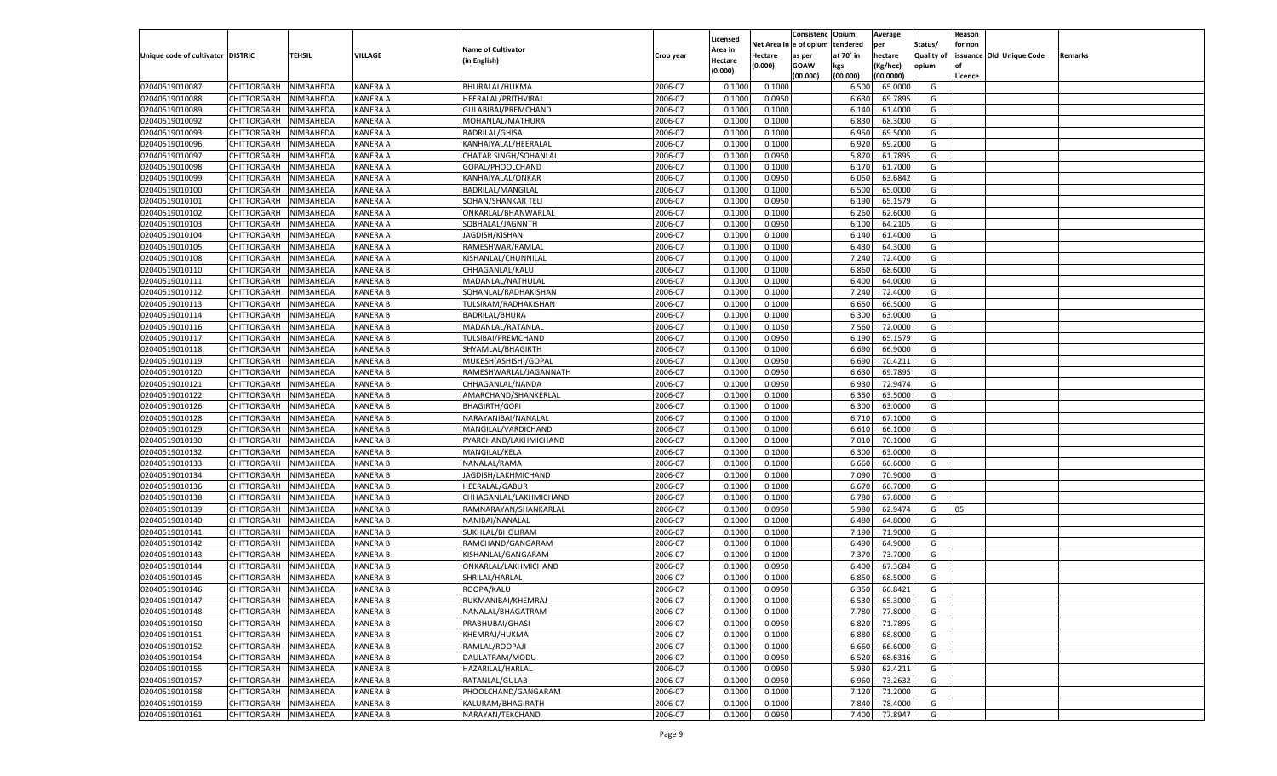|                                   |                       |               |                 |                           |           |                           |                  | Consistenc  | Opium     | Average            |                   | Reason  |                          |         |
|-----------------------------------|-----------------------|---------------|-----------------|---------------------------|-----------|---------------------------|------------------|-------------|-----------|--------------------|-------------------|---------|--------------------------|---------|
|                                   |                       |               |                 | <b>Name of Cultivator</b> |           | Licensed                  | Net Area         | e of opium  | tendered  | per                | Status/           | for non |                          |         |
| Unique code of cultivator DISTRIC |                       | <b>TEHSIL</b> | VILLAGE         | (in English)              | Crop year | <b>Area in</b><br>Hectare | Hectare          | as per      | at 70° in | hectare            | <b>Quality of</b> |         | issuance Old Unique Code | Remarks |
|                                   |                       |               |                 |                           |           | (0.000)                   | (0.000)          | <b>GOAW</b> | kgs       | (Kg/hec)           | opium             |         |                          |         |
|                                   |                       |               |                 |                           |           |                           |                  | (00.000)    | (00.000)  | (00.0000)          |                   | Licence |                          |         |
| 02040519010087                    | CHITTORGARH           | NIMBAHEDA     | KANERA A        | BHURALAL/HUKMA            | 2006-07   | 0.1000                    | 0.1000           |             | 6.500     | 65.0000            | G                 |         |                          |         |
| 02040519010088                    | CHITTORGARH           | NIMBAHEDA     | KANERA A        | HEERALAL/PRITHVIRAJ       | 2006-07   | 0.1000                    | 0.0950           |             | 6.630     | 69.7895            | G                 |         |                          |         |
| 02040519010089                    | CHITTORGARH           | NIMBAHEDA     | KANERA A        | GULABIBAI/PREMCHAND       | 2006-07   | 0.1000                    | 0.1000           |             | 6.140     | 61.4000            | G                 |         |                          |         |
| 02040519010092                    | CHITTORGARH           | NIMBAHEDA     | KANERA A        | MOHANLAL/MATHURA          | 2006-07   | 0.1000                    | 0.1000           |             | 6.83      | 68.3000            | G                 |         |                          |         |
| 02040519010093                    | CHITTORGARH           | NIMBAHEDA     | KANERA A        | <b>BADRILAL/GHISA</b>     | 2006-07   | 0.1000                    | 0.1000           |             | 6.950     | 69.5000            | G                 |         |                          |         |
| 02040519010096                    | CHITTORGARH           | NIMBAHEDA     | KANERA A        | KANHAIYALAL/HEERALAL      | 2006-07   | 0.1000                    | 0.1000           |             | 6.920     | 69.2000            | G                 |         |                          |         |
| 02040519010097                    | CHITTORGARH           | NIMBAHEDA     | KANERA A        | CHATAR SINGH/SOHANLAL     | 2006-07   | 0.1000                    | 0.0950           |             | 5.870     | 61.7895            | G                 |         |                          |         |
| 02040519010098                    | CHITTORGARH           | NIMBAHEDA     | KANERA A        | GOPAL/PHOOLCHAND          | 2006-07   | 0.1000                    | 0.1000           |             | 6.17      | 61.7000            | G                 |         |                          |         |
| 02040519010099                    | CHITTORGARH           | NIMBAHEDA     | KANERA A        | KANHAIYALAL/ONKAR         | 2006-07   | 0.1000                    | 0.0950           |             | 6.050     | 63.6842            | G                 |         |                          |         |
| 02040519010100                    | CHITTORGARH           | NIMBAHEDA     | KANERA A        | BADRILAL/MANGILAL         | 2006-07   | 0.1000                    | 0.1000           |             | 6.500     | 65.0000            | G                 |         |                          |         |
| 02040519010101                    | CHITTORGARH           | NIMBAHEDA     | KANERA A        | SOHAN/SHANKAR TEL         | 2006-07   | 0.1000                    | 0.0950           |             | 6.190     | 65.1579            | G                 |         |                          |         |
| 02040519010102                    | CHITTORGARH           | NIMBAHEDA     | KANERA A        | ONKARLAL/BHANWARLAL       | 2006-07   | 0.1000                    | 0.1000           |             | 6.260     | 62.6000            | G                 |         |                          |         |
| 02040519010103                    | CHITTORGARH           | NIMBAHEDA     | KANERA A        | SOBHALAL/JAGNNTH          | 2006-07   | 0.1000                    | 0.0950           |             | 6.100     | 64.2105            | G                 |         |                          |         |
| 02040519010104                    | CHITTORGARH           | NIMBAHEDA     | KANERA A        | JAGDISH/KISHAN            | 2006-07   | 0.1000                    | 0.1000           |             | 6.140     | 61.4000            | G                 |         |                          |         |
| 02040519010105                    | CHITTORGARH           | NIMBAHEDA     | KANERA A        | RAMESHWAR/RAMLAL          | 2006-07   | 0.1000                    | 0.1000           |             | 6.430     | 64.3000            | G                 |         |                          |         |
| 02040519010108                    | CHITTORGARH           | NIMBAHEDA     | KANERA A        | KISHANLAL/CHUNNILAL       | 2006-07   | 0.1000                    | 0.1000           |             | 7.240     | 72.4000            | G                 |         |                          |         |
| 02040519010110                    | CHITTORGARH           | NIMBAHEDA     | KANERA B        | CHHAGANLAL/KALU           | 2006-07   | 0.1000                    | 0.1000           |             | 6.860     | 68.6000            | G                 |         |                          |         |
| 02040519010111                    | CHITTORGARH           | NIMBAHEDA     | KANERA B        | MADANLAL/NATHULAL         | 2006-07   | 0.1000                    | 0.1000           |             | 6.400     | 64.0000            | G                 |         |                          |         |
| 02040519010112                    | CHITTORGARH           | NIMBAHEDA     | KANERA B        | SOHANLAL/RADHAKISHAN      | 2006-07   | 0.1000                    | 0.1000           |             | 7.240     | 72.4000            | G                 |         |                          |         |
| 02040519010113                    | CHITTORGARH           | NIMBAHEDA     | KANERA B        | TULSIRAM/RADHAKISHAN      | 2006-07   | 0.1000                    | 0.1000           |             | 6.650     | 66.5000            | G                 |         |                          |         |
| 02040519010114                    | CHITTORGARH           | NIMBAHEDA     | KANERA B        | <b>BADRILAL/BHURA</b>     | 2006-07   | 0.1000                    | 0.1000           |             | 6.300     | 63.0000            | G                 |         |                          |         |
| 02040519010116                    | CHITTORGARH           | NIMBAHEDA     | KANERA B        | MADANLAL/RATANLAL         | 2006-07   | 0.1000                    | 0.1050           |             | 7.560     | 72.0000            | G                 |         |                          |         |
| 02040519010117                    | CHITTORGARH           | NIMBAHEDA     | KANERA B        | TULSIBAI/PREMCHAND        | 2006-07   | 0.1000                    | 0.0950           |             | 6.190     | 65.1579            | G                 |         |                          |         |
| 02040519010118                    | CHITTORGARH           | NIMBAHEDA     | KANERA B        | SHYAMLAL/BHAGIRTH         | 2006-07   | 0.1000                    | 0.1000           |             | 6.690     | 66.9000            | G                 |         |                          |         |
| 02040519010119                    | CHITTORGARH           | NIMBAHEDA     | KANERA B        | MUKESH(ASHISH)/GOPAL      | 2006-07   | 0.1000                    | 0.0950           |             | 6.690     | 70.4211            | G                 |         |                          |         |
| 02040519010120                    | CHITTORGARH           | NIMBAHEDA     | KANERA B        | RAMESHWARLAL/JAGANNATH    | 2006-07   | 0.1000                    | 0.0950           |             | 6.630     | 69.7895            | G                 |         |                          |         |
| 02040519010121                    | CHITTORGARH           | NIMBAHEDA     | KANERA B        | CHHAGANLAL/NANDA          | 2006-07   | 0.1000                    | 0.0950           |             | 6.930     | 72.9474            | G                 |         |                          |         |
| 02040519010122                    | CHITTORGARH           | NIMBAHEDA     | KANERA B        | AMARCHAND/SHANKERLAL      | 2006-07   | 0.1000                    | 0.1000           |             | 6.350     | 63.5000            | G                 |         |                          |         |
| 02040519010126                    | CHITTORGARH           | NIMBAHEDA     | KANERA B        | <b>BHAGIRTH/GOPI</b>      | 2006-07   | 0.1000                    | 0.1000           |             | 6.300     | 63.0000            | G                 |         |                          |         |
| 02040519010128                    | CHITTORGARH           | NIMBAHEDA     | KANERA B        | NARAYANIBAI/NANALAL       | 2006-07   | 0.1000                    | 0.1000           |             | 6.710     | 67.1000            | G                 |         |                          |         |
| 02040519010129                    | CHITTORGARH           | NIMBAHEDA     | KANERA B        | MANGILAL/VARDICHAND       | 2006-07   | 0.1000                    | 0.1000           |             | 6.610     | 66.1000            | G                 |         |                          |         |
| 02040519010130                    | CHITTORGARH           | NIMBAHEDA     | KANERA B        | PYARCHAND/LAKHMICHAND     | 2006-07   | 0.1000                    | 0.1000           |             | 7.010     | 70.1000            | G                 |         |                          |         |
| 02040519010132                    | CHITTORGARH           | NIMBAHEDA     | KANERA B        | MANGILAL/KELA             | 2006-07   | 0.1000                    | 0.1000           |             | 6.300     | 63.0000            | G                 |         |                          |         |
| 02040519010133                    |                       |               | KANERA B        |                           | 2006-07   | 0.1000                    |                  |             | 6.660     |                    | G                 |         |                          |         |
|                                   | CHITTORGARH           | NIMBAHEDA     | KANERA B        | NANALAL/RAMA              | 2006-07   | 0.1000                    | 0.1000<br>0.1000 |             |           | 66.6000<br>70.9000 |                   |         |                          |         |
| 02040519010134                    | CHITTORGARH           | NIMBAHEDA     |                 | JAGDISH/LAKHMICHAND       |           |                           |                  |             | 7.090     |                    | G                 |         |                          |         |
| 02040519010136                    | CHITTORGARH           | NIMBAHEDA     | KANERA B        | <b>HEERALAL/GABUR</b>     | 2006-07   | 0.1000                    | 0.1000           |             | 6.67      | 66.7000            | G                 |         |                          |         |
| 02040519010138                    | CHITTORGARH           | NIMBAHEDA     | KANERA B        | CHHAGANLAL/LAKHMICHAND    | 2006-07   | 0.1000                    | 0.1000           |             | 6.780     | 67.8000            | G                 |         |                          |         |
| 02040519010139                    | CHITTORGARH           | NIMBAHEDA     | KANERA B        | RAMNARAYAN/SHANKARLAL     | 2006-07   | 0.1000                    | 0.0950           |             | 5.980     | 62.9474            | G                 | 05      |                          |         |
| 02040519010140                    | <b>CHITTORGARH</b>    | NIMBAHEDA     | KANERA B        | NANIBAI/NANALAL           | 2006-07   | 0.1000                    | 0.1000           |             | 6.480     | 64.8000            | G                 |         |                          |         |
| 02040519010141                    | CHITTORGARH           | NIMBAHEDA     | KANERA B        | SUKHLAL/BHOLIRAM          | 2006-07   | 0.1000                    | 0.1000           |             | 7.190     | 71.9000            | G                 |         |                          |         |
| 02040519010142                    | CHITTORGARH           | NIMBAHEDA     | KANERA B        | RAMCHAND/GANGARAM         | 2006-07   | 0.1000                    | 0.1000           |             | 6.490     | 64.9000            | G                 |         |                          |         |
| 02040519010143                    | CHITTORGARH           | NIMBAHEDA     | KANERA B        | KISHANLAL/GANGARAM        | 2006-07   | 0.1000                    | 0.1000           |             | 7.370     | 73.7000            | G                 |         |                          |         |
| 02040519010144                    | CHITTORGARH           | NIMBAHEDA     | KANERA B        | ONKARLAL/LAKHMICHAND      | 2006-07   | 0.1000                    | 0.0950           |             | 6.400     | 67.3684            | G                 |         |                          |         |
| 02040519010145                    | CHITTORGARH           | NIMBAHEDA     | KANERA B        | SHRILAL/HARLAL            | 2006-07   | 0.1000                    | 0.1000           |             | 6.85      | 68.5000            | G                 |         |                          |         |
| 02040519010146                    | CHITTORGARH           | NIMBAHEDA     | KANERA B        | ROOPA/KALU                | 2006-07   | 0.1000                    | 0.0950           |             | 6.350     | 66.8421            | G                 |         |                          |         |
| 02040519010147                    | CHITTORGARH NIMBAHEDA |               | <b>KANERA B</b> | RUKMANIBAI/KHEMRAJ        | 2006-07   | 0.1000                    | 0.1000           |             | 6.530     | 65.3000            | G                 |         |                          |         |
| 02040519010148                    | <b>CHITTORGARH</b>    | NIMBAHEDA     | <b>KANERA B</b> | NANALAL/BHAGATRAM         | 2006-07   | 0.1000                    | 0.1000           |             | 7.780     | 77.8000            | G                 |         |                          |         |
| 02040519010150                    | CHITTORGARH           | NIMBAHEDA     | <b>KANERA B</b> | PRABHUBAI/GHASI           | 2006-07   | 0.1000                    | 0.0950           |             | 6.820     | 71.7895            | G                 |         |                          |         |
| 02040519010151                    | <b>CHITTORGARH</b>    | NIMBAHEDA     | <b>KANERA B</b> | KHEMRAJ/HUKMA             | 2006-07   | 0.1000                    | 0.1000           |             | 6.880     | 68.8000            | G                 |         |                          |         |
| 02040519010152                    | <b>CHITTORGARH</b>    | NIMBAHEDA     | KANERA B        | RAMLAL/ROOPAJI            | 2006-07   | 0.1000                    | 0.1000           |             | 6.660     | 66.6000            | G                 |         |                          |         |
| 02040519010154                    | <b>CHITTORGARH</b>    | NIMBAHEDA     | <b>KANERA B</b> | DAULATRAM/MODU            | 2006-07   | 0.1000                    | 0.0950           |             | 6.520     | 68.6316            | G                 |         |                          |         |
| 02040519010155                    | <b>CHITTORGARH</b>    | NIMBAHEDA     | <b>KANERA B</b> | HAZARILAL/HARLAL          | 2006-07   | 0.1000                    | 0.0950           |             | 5.930     | 62.4211            | G                 |         |                          |         |
| 02040519010157                    | <b>CHITTORGARH</b>    | NIMBAHEDA     | <b>KANERA B</b> | RATANLAL/GULAB            | 2006-07   | 0.1000                    | 0.0950           |             | 6.960     | 73.2632            | G                 |         |                          |         |
| 02040519010158                    | <b>CHITTORGARH</b>    | NIMBAHEDA     | KANERA B        | PHOOLCHAND/GANGARAM       | 2006-07   | 0.1000                    | 0.1000           |             | 7.120     | 71.2000            | G                 |         |                          |         |
| 02040519010159                    | <b>CHITTORGARH</b>    | NIMBAHEDA     | <b>KANERA B</b> | KALURAM/BHAGIRATH         | 2006-07   | 0.1000                    | 0.1000           |             | 7.840     | 78.4000            | G                 |         |                          |         |
| 02040519010161                    | <b>CHITTORGARH</b>    | NIMBAHEDA     | <b>KANERA B</b> | NARAYAN/TEKCHAND          | 2006-07   | 0.1000                    | 0.0950           |             | 7.400     | 77.8947            | G                 |         |                          |         |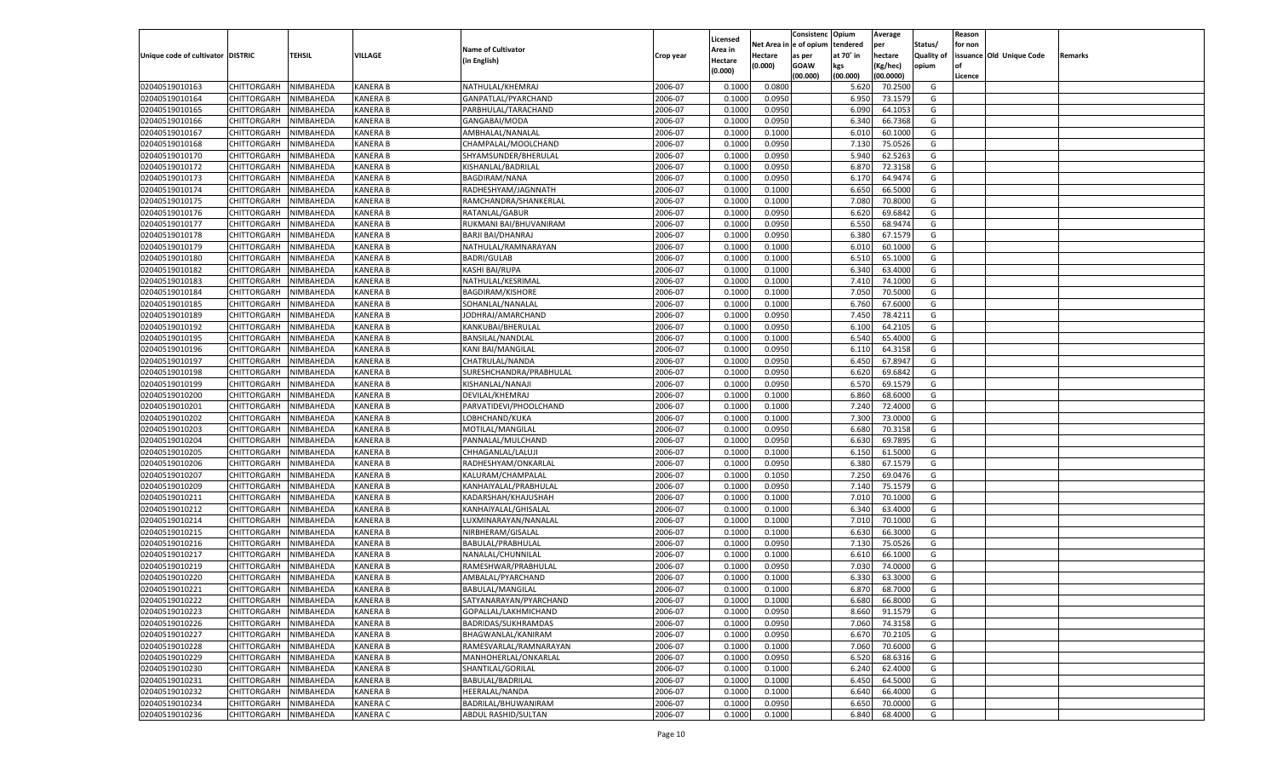|                                   |                       |                        |                 |                           |           |                     |            | Consistenc    | Opium     | Average   |                   | Reason  |                          |         |
|-----------------------------------|-----------------------|------------------------|-----------------|---------------------------|-----------|---------------------|------------|---------------|-----------|-----------|-------------------|---------|--------------------------|---------|
|                                   |                       |                        |                 | <b>Name of Cultivator</b> |           | Licensed<br>Area in | Net Area i | n le of opium | tendered  | per       | Status/           | for non |                          |         |
| Unique code of cultivator DISTRIC |                       | TEHSIL                 | VILLAGE         | (in English)              | Crop year | Hectare             | Hectare    | as per        | at 70° in | hectare   | <b>Quality of</b> |         | issuance Old Unique Code | Remarks |
|                                   |                       |                        |                 |                           |           | (0.000)             | (0.000)    | <b>GOAW</b>   | kgs       | (Kg/hec)  | opium             |         |                          |         |
|                                   |                       |                        |                 |                           |           |                     |            | (00.000)      | (00.000)  | (00.0000) |                   | Licence |                          |         |
| 02040519010163                    | CHITTORGARH           | NIMBAHEDA              | <b>KANERA B</b> | NATHULAL/KHEMRAJ          | 2006-07   | 0.1000              | 0.0800     |               | 5.620     | 70.2500   | G                 |         |                          |         |
| 02040519010164                    | CHITTORGARH           | NIMBAHEDA              | <b>KANERA B</b> | GANPATLAL/PYARCHAND       | 2006-07   | 0.1000              | 0.0950     |               | 6.950     | 73.1579   | G                 |         |                          |         |
| 02040519010165                    | CHITTORGARH           | NIMBAHEDA              | <b>KANERA B</b> | PARBHULAL/TARACHAND       | 2006-07   | 0.1000              | 0.0950     |               | 6.090     | 64.1053   | G                 |         |                          |         |
| 02040519010166                    | CHITTORGARH           | NIMBAHEDA              | <b>KANERA B</b> | GANGABAI/MODA             | 2006-07   | 0.1000              | 0.0950     |               | 6.340     | 66.7368   | G                 |         |                          |         |
| 02040519010167                    | CHITTORGARH           | NIMBAHEDA              | <b>KANERA B</b> | AMBHALAL/NANALAL          | 2006-07   | 0.1000              | 0.1000     |               | 6.010     | 60.1000   | G                 |         |                          |         |
| 02040519010168                    | CHITTORGARH           | NIMBAHEDA              | <b>KANERA B</b> | CHAMPALAL/MOOLCHAND       | 2006-07   | 0.1000              | 0.0950     |               | 7.13(     | 75.0526   | G                 |         |                          |         |
| 02040519010170                    | CHITTORGARH           | NIMBAHEDA              | <b>KANERA B</b> | SHYAMSUNDER/BHERULAL      | 2006-07   | 0.1000              | 0.0950     |               | 5.940     | 62.5263   | G                 |         |                          |         |
| 02040519010172                    | CHITTORGARH           | NIMBAHEDA              | <b>KANERA B</b> | KISHANLAL/BADRILAL        | 2006-07   | 0.1000              | 0.0950     |               | 6.870     | 72.3158   | G                 |         |                          |         |
| 02040519010173                    | CHITTORGARH           | NIMBAHEDA              | <b>KANERA B</b> | <b>BAGDIRAM/NANA</b>      | 2006-07   | 0.1000              | 0.0950     |               | 6.170     | 64.9474   | G                 |         |                          |         |
| 02040519010174                    | CHITTORGARH           | NIMBAHEDA              | <b>KANERA B</b> | RADHESHYAM/JAGNNATH       | 2006-07   | 0.1000              | 0.1000     |               | 6.650     | 66.5000   | G                 |         |                          |         |
| 02040519010175                    | CHITTORGARH           | NIMBAHEDA              | <b>KANERA B</b> | RAMCHANDRA/SHANKERLAI     | 2006-07   | 0.1000              | 0.1000     |               | 7.080     | 70.8000   | G                 |         |                          |         |
| 02040519010176                    | CHITTORGARH           | NIMBAHEDA              | <b>KANERA B</b> | RATANLAL/GABUR            | 2006-07   | 0.1000              | 0.0950     |               | 6.620     | 69.6842   | G                 |         |                          |         |
| 02040519010177                    | CHITTORGARH           | NIMBAHEDA              | <b>KANERA B</b> | RUKMANI BAI/BHUVANIRAM    | 2006-07   | 0.1000              | 0.0950     |               | 6.550     | 68.9474   | G                 |         |                          |         |
| 02040519010178                    | CHITTORGARH           | NIMBAHEDA              | KANERA B        | <b>BARJI BAI/DHANRAJ</b>  | 2006-07   | 0.1000              | 0.0950     |               | 6.380     | 67.1579   | G                 |         |                          |         |
| 02040519010179                    | CHITTORGARH           | NIMBAHEDA              | KANERA B        | NATHULAL/RAMNARAYAN       | 2006-07   | 0.1000              | 0.1000     |               | 6.010     | 60.1000   | G                 |         |                          |         |
| 02040519010180                    | CHITTORGARH           | NIMBAHEDA              | KANERA B        | <b>BADRI/GULAB</b>        | 2006-07   | 0.1000              | 0.1000     |               | 6.510     | 65.1000   | G                 |         |                          |         |
| 02040519010182                    | CHITTORGARH           | NIMBAHEDA              | KANERA B        | KASHI BAI/RUPA            | 2006-07   | 0.1000              | 0.1000     |               | 6.340     | 63.4000   | G                 |         |                          |         |
| 02040519010183                    | CHITTORGARH           | NIMBAHEDA              | KANERA B        | NATHULAL/KESRIMAL         | 2006-07   | 0.1000              | 0.1000     |               | 7.410     | 74.1000   | G                 |         |                          |         |
| 02040519010184                    | CHITTORGARH           | NIMBAHEDA              | KANERA B        | <b>BAGDIRAM/KISHORE</b>   | 2006-07   | 0.1000              | 0.1000     |               | 7.050     | 70.5000   | G                 |         |                          |         |
| 02040519010185                    | CHITTORGARH           | NIMBAHEDA              | KANERA B        | SOHANLAL/NANALAL          | 2006-07   | 0.1000              | 0.1000     |               | 6.760     | 67.6000   | G                 |         |                          |         |
| 02040519010189                    | CHITTORGARH           | NIMBAHEDA              | KANERA B        | JODHRAJ/AMARCHAND         | 2006-07   | 0.1000              | 0.0950     |               | 7.450     | 78.4211   | G                 |         |                          |         |
| 02040519010192                    | CHITTORGARH           | NIMBAHEDA              | KANERA B        | KANKUBAI/BHERULAL         | 2006-07   | 0.1000              | 0.0950     |               | 6.100     | 64.2105   | G                 |         |                          |         |
| 02040519010195                    | CHITTORGARH           | NIMBAHEDA              | KANERA B        | BANSILAL/NANDLAL          | 2006-07   | 0.1000              | 0.1000     |               | 6.540     | 65.4000   | G                 |         |                          |         |
| 02040519010196                    | CHITTORGARH           | NIMBAHEDA              | KANERA B        | <b>KANI BAI/MANGILAL</b>  | 2006-07   | 0.1000              | 0.0950     |               | 6.110     | 64.3158   | G                 |         |                          |         |
| 02040519010197                    | CHITTORGARH           | NIMBAHEDA              | KANERA B        | CHATRULAL/NANDA           | 2006-07   | 0.1000              | 0.0950     |               | 6.450     | 67.8947   | G                 |         |                          |         |
| 02040519010198                    | CHITTORGARH           | NIMBAHEDA              | KANERA B        | SURESHCHANDRA/PRABHULAL   | 2006-07   | 0.1000              | 0.0950     |               | 6.620     | 69.6842   | G                 |         |                          |         |
| 02040519010199                    | CHITTORGARH           | NIMBAHEDA              | KANERA B        | KISHANLAL/NANAJI          | 2006-07   | 0.1000              | 0.0950     |               | 6.570     | 69.1579   | G                 |         |                          |         |
| 02040519010200                    | CHITTORGARH           | NIMBAHEDA              | KANERA B        | DEVILAL/KHEMRAJ           | 2006-07   | 0.1000              | 0.1000     |               | 6.860     | 68.6000   | G                 |         |                          |         |
| 02040519010201                    | CHITTORGARH           | NIMBAHEDA              | KANERA B        | PARVATIDEVI/PHOOLCHAND    | 2006-07   | 0.1000              | 0.1000     |               | 7.240     | 72.4000   | G                 |         |                          |         |
| 02040519010202                    | CHITTORGARH           | NIMBAHEDA              | <b>KANERA B</b> | LOBHCHAND/KUKA            | 2006-07   | 0.1000              | 0.1000     |               | 7.300     | 73.0000   | G                 |         |                          |         |
| 02040519010203                    | CHITTORGARH           | NIMBAHEDA              | <b>KANERA B</b> | MOTILAL/MANGILAI          | 2006-07   | 0.1000              | 0.0950     |               | 6.680     | 70.3158   | G                 |         |                          |         |
| 02040519010204                    | CHITTORGARH           | NIMBAHEDA              | <b>KANERA B</b> | PANNALAL/MULCHAND         | 2006-07   | 0.1000              | 0.0950     |               | 6.630     | 69.7895   | G                 |         |                          |         |
| 02040519010205                    | CHITTORGARH           | NIMBAHEDA              | <b>KANERA B</b> | CHHAGANLAL/LALUJI         | 2006-07   | 0.1000              | 0.1000     |               | 6.150     | 61.5000   | G                 |         |                          |         |
| 02040519010206                    | CHITTORGARH           | NIMBAHEDA              | <b>KANERA B</b> | RADHESHYAM/ONKARLAI       | 2006-07   | 0.1000              | 0.0950     |               | 6.380     | 67.1579   | G                 |         |                          |         |
| 02040519010207                    | CHITTORGARH           | NIMBAHEDA              | <b>KANERA B</b> | KALURAM/CHAMPALAL         | 2006-07   | 0.1000              | 0.1050     |               | 7.250     | 69.0476   | G                 |         |                          |         |
| 02040519010209                    | CHITTORGARH           | NIMBAHEDA              | <b>KANERA B</b> | KANHAIYALAL/PRABHULAL     | 2006-07   | 0.1000              | 0.0950     |               | 7.140     | 75.1579   | G                 |         |                          |         |
| 02040519010211                    | CHITTORGARH           | NIMBAHEDA              | <b>KANERA B</b> | KADARSHAH/KHAJUSHAH       | 2006-07   | 0.1000              | 0.1000     |               | 7.010     | 70.1000   | G                 |         |                          |         |
| 02040519010212                    | CHITTORGARH           | NIMBAHEDA              | <b>KANERA B</b> | KANHAIYALAL/GHISALAL      | 2006-07   | 0.1000              | 0.1000     |               | 6.340     | 63.4000   | G                 |         |                          |         |
| 02040519010214                    | CHITTORGARH           | NIMBAHEDA              | <b>KANERA B</b> | LUXMINARAYAN/NANALAI      | 2006-07   | 0.1000              | 0.1000     |               | 7.010     | 70.1000   | G                 |         |                          |         |
| 02040519010215                    | CHITTORGARH           | NIMBAHEDA              | <b>KANERA B</b> | NIRBHERAM/GISALAL         | 2006-07   | 0.1000              | 0.1000     |               | 6.630     | 66.3000   | G                 |         |                          |         |
| 02040519010216                    | CHITTORGARH           | NIMBAHEDA              | <b>KANERA B</b> | BABULAL/PRABHULAL         | 2006-07   | 0.1000              | 0.0950     |               | 7.130     | 75.0526   | G                 |         |                          |         |
| 02040519010217                    | CHITTORGARH           | NIMBAHEDA              | <b>KANERA B</b> | NANALAL/CHUNNILAL         | 2006-07   | 0.1000              | 0.1000     |               | 6.610     | 66.1000   | G                 |         |                          |         |
| 02040519010219                    | CHITTORGARH           | NIMBAHEDA              | <b>KANERA B</b> | RAMESHWAR/PRABHULAL       | 2006-07   | 0.1000              | 0.0950     |               | 7.030     | 74.0000   | G                 |         |                          |         |
| 02040519010220                    |                       |                        |                 |                           | 2006-07   | 0.1000              | 0.1000     |               | 6.330     | 63.3000   | G                 |         |                          |         |
|                                   | CHITTORGARH           | NIMBAHEDA<br>NIMBAHEDA | KANERA B        | AMBALAL/PYARCHAND         | 2006-07   |                     |            |               | 6.870     | 68.7000   |                   |         |                          |         |
| 02040519010221                    | CHITTORGARH           |                        | <b>KANERA B</b> | BABULAL/MANGILAL          |           | 0.1000              | 0.1000     |               |           |           | G                 |         |                          |         |
| 02040519010222                    | CHITTORGARH NIMBAHEDA |                        | <b>KANERA B</b> | SATYANARAYAN/PYARCHAND    | 2006-07   | 0.1000              | 0.1000     |               | 6.680     | 66.8000   | G                 |         |                          |         |
| 02040519010223                    | <b>CHITTORGARH</b>    | <b>NIMBAHEDA</b>       | <b>KANERA B</b> | GOPALLAL/LAKHMICHAND      | 2006-07   | 0.1000              | 0.0950     |               | 8.660     | 91.1579   | G                 |         |                          |         |
| 02040519010226                    | CHITTORGARH           | NIMBAHEDA              | <b>KANERA B</b> | BADRIDAS/SUKHRAMDAS       | 2006-07   | 0.1000              | 0.0950     |               | 7.060     | 74.3158   | G                 |         |                          |         |
| 02040519010227                    | CHITTORGARH           | NIMBAHEDA              | <b>KANERA B</b> | BHAGWANLAL/KANIRAM        | 2006-07   | 0.1000              | 0.0950     |               | 6.670     | 70.2105   | G                 |         |                          |         |
| 02040519010228                    | <b>CHITTORGARH</b>    | NIMBAHEDA              | <b>KANERA B</b> | RAMESVARLAL/RAMNARAYAN    | 2006-07   | 0.1000              | 0.1000     |               | 7.060     | 70.6000   | G                 |         |                          |         |
| 02040519010229                    | CHITTORGARH           | NIMBAHEDA              | <b>KANERA B</b> | MANHOHERLAL/ONKARLAL      | 2006-07   | 0.1000              | 0.0950     |               | 6.520     | 68.6316   | G                 |         |                          |         |
| 02040519010230                    | <b>CHITTORGARH</b>    | NIMBAHEDA              | <b>KANERA B</b> | SHANTILAL/GORILAL         | 2006-07   | 0.1000              | 0.1000     |               | 6.240     | 62.4000   | G                 |         |                          |         |
| 02040519010231                    | CHITTORGARH           | NIMBAHEDA              | <b>KANERA B</b> | BABULAL/BADRILAL          | 2006-07   | 0.1000              | 0.1000     |               | 6.450     | 64.5000   | G                 |         |                          |         |
| 02040519010232                    | <b>CHITTORGARH</b>    | NIMBAHEDA              | <b>KANERA B</b> | HEERALAL/NANDA            | 2006-07   | 0.1000              | 0.1000     |               | 6.640     | 66.4000   | G                 |         |                          |         |
| 02040519010234                    | <b>CHITTORGARH</b>    | NIMBAHEDA              | <b>KANERA C</b> | BADRILAL/BHUWANIRAM       | 2006-07   | 0.1000              | 0.0950     |               | 6.650     | 70.0000   | G                 |         |                          |         |
| 02040519010236                    | <b>CHITTORGARH</b>    | NIMBAHEDA              | <b>KANERA C</b> | ABDUL RASHID/SULTAN       | 2006-07   | 0.1000              | 0.1000     |               | 6.840     | 68.4000   | G                 |         |                          |         |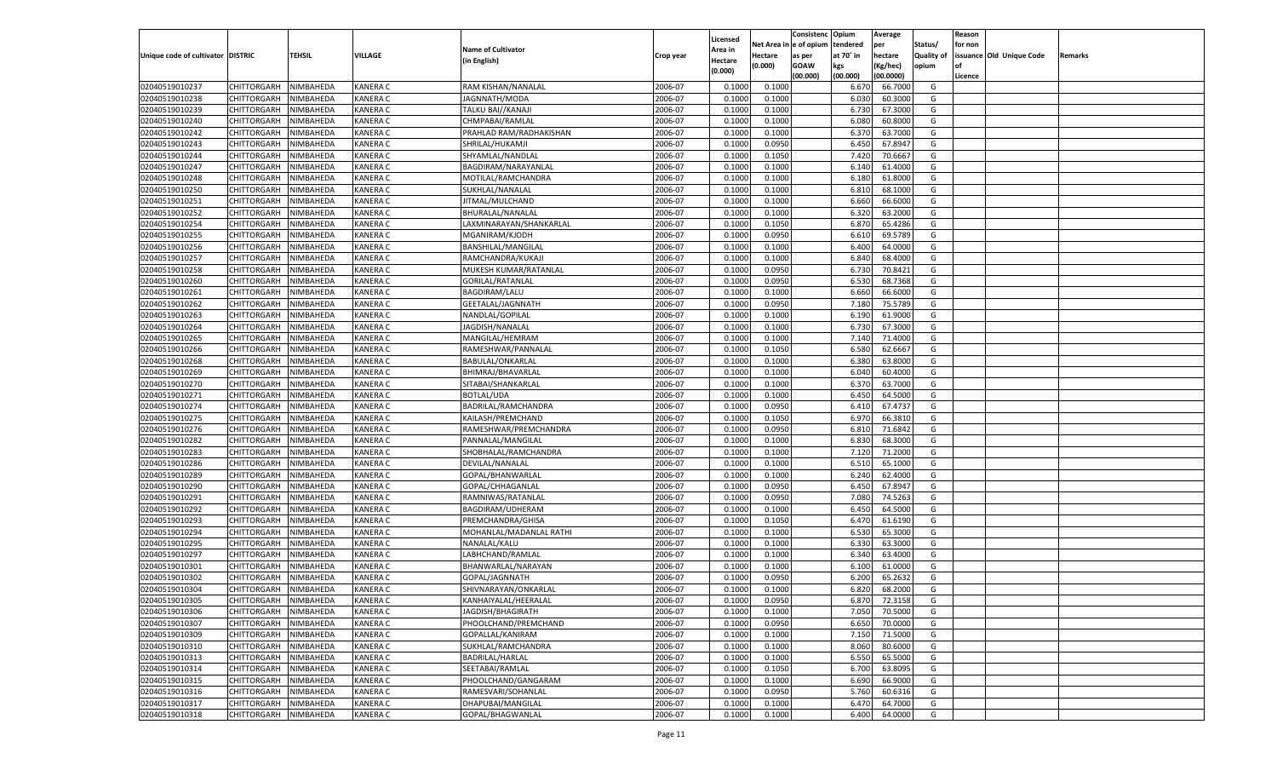|                                   |                                   |                        |                 |                           |                    |                     |                  | Consistenc   | Opium     | Average   |                   | Reason  |                          |         |
|-----------------------------------|-----------------------------------|------------------------|-----------------|---------------------------|--------------------|---------------------|------------------|--------------|-----------|-----------|-------------------|---------|--------------------------|---------|
|                                   |                                   |                        |                 | <b>Name of Cultivator</b> |                    | Licensed<br>Area in | Net Area iı      | n e of opium | tendered  | per       | Status/           | for non |                          |         |
| Unique code of cultivator DISTRIC |                                   | TEHSIL                 | VILLAGE         | (in English)              | Crop year          | Hectare             | Hectare          | as per       | at 70° in | hectare   | <b>Quality of</b> |         | issuance Old Unique Code | Remarks |
|                                   |                                   |                        |                 |                           |                    | (0.000)             | (0.000)          | <b>GOAW</b>  | kgs       | (Kg/hec)  | opium             |         |                          |         |
|                                   |                                   |                        |                 |                           |                    |                     |                  | (00.000)     | (00.000)  | (00.0000) |                   | Licence |                          |         |
| 02040519010237                    | CHITTORGARH                       | NIMBAHEDA              | <b>KANERA C</b> | RAM KISHAN/NANALAL        | 2006-07            | 0.1000              | 0.1000           |              | 6.670     | 66.7000   | G                 |         |                          |         |
| 02040519010238                    | CHITTORGARH                       | NIMBAHEDA              | <b>KANERA C</b> | JAGNNATH/MODA             | 2006-07            | 0.1000              | 0.1000           |              | 6.030     | 60.3000   | G                 |         |                          |         |
| 02040519010239                    | CHITTORGARH                       | NIMBAHEDA              | <b>KANERA C</b> | TALKU BAI//KANAJI         | 2006-07            | 0.1000              | 0.1000           |              | 6.730     | 67.3000   | G                 |         |                          |         |
| 02040519010240                    | CHITTORGARH                       | NIMBAHEDA              | <b>KANERA C</b> | CHMPABAI/RAMLAL           | 2006-07            | 0.1000              | 0.1000           |              | 6.080     | 60.8000   | G                 |         |                          |         |
| 02040519010242                    | CHITTORGARH                       | NIMBAHEDA              | <b>KANERA C</b> | PRAHLAD RAM/RADHAKISHAN   | 2006-07            | 0.1000              | 0.1000           |              | 6.370     | 63.7000   | G                 |         |                          |         |
| 02040519010243                    | CHITTORGARH                       | NIMBAHEDA              | <b>KANERA C</b> | SHRILAL/HUKAMJI           | 2006-07            | 0.1000              | 0.0950           |              | 6.450     | 67.8947   | G                 |         |                          |         |
| 02040519010244                    | CHITTORGARH                       | NIMBAHEDA              | <b>KANERA C</b> | SHYAMLAL/NANDLAL          | 2006-07            | 0.1000              | 0.1050           |              | 7.420     | 70.6667   | G                 |         |                          |         |
| 02040519010247                    | CHITTORGARH                       | NIMBAHEDA              | <b>KANERA C</b> | BAGDIRAM/NARAYANLAL       | 2006-07            | 0.1000              | 0.1000           |              | 6.140     | 61.4000   | G                 |         |                          |         |
| 02040519010248                    | CHITTORGARH                       | NIMBAHEDA              | <b>KANERA C</b> | MOTILAL/RAMCHANDRA        | 2006-07            | 0.1000              | 0.1000           |              | 6.180     | 61.8000   | G                 |         |                          |         |
| 02040519010250                    | CHITTORGARH                       | NIMBAHEDA              | <b>KANERA C</b> | SUKHLAL/NANALAL           | 2006-07            | 0.1000              | 0.1000           |              | 6.810     | 68.1000   | G                 |         |                          |         |
| 02040519010251                    | CHITTORGARH                       | NIMBAHEDA              | <b>KANERA C</b> | JITMAL/MULCHAND           | 2006-07            | 0.1000              | 0.1000           |              | 6.660     | 66.6000   | G                 |         |                          |         |
| 02040519010252                    | CHITTORGARH                       | NIMBAHEDA              | <b>KANERA C</b> | BHURALAL/NANALAL          | 2006-07            | 0.1000              | 0.1000           |              | 6.320     | 63.2000   | G                 |         |                          |         |
| 02040519010254                    | CHITTORGARH                       | NIMBAHEDA              | <b>KANERA C</b> | LAXMINARAYAN/SHANKARLAL   | 2006-07            | 0.1000              | 0.1050           |              | 6.870     | 65.4286   | G                 |         |                          |         |
| 02040519010255                    | CHITTORGARH                       | NIMBAHEDA              | KANERA C        | MGANIRAM/KJODH            | 2006-07            | 0.1000              | 0.0950           |              | 6.610     | 69.5789   | G                 |         |                          |         |
| 02040519010256                    | CHITTORGARH                       | NIMBAHEDA              | KANERA C        | BANSHILAL/MANGILAL        | 2006-07            | 0.1000              | 0.1000           |              | 6.400     | 64.0000   | G                 |         |                          |         |
| 02040519010257                    | CHITTORGARH                       | NIMBAHEDA              | KANERA C        | RAMCHANDRA/KUKAJI         | 2006-07            | 0.1000              | 0.1000           |              | 6.840     | 68.4000   | G                 |         |                          |         |
| 02040519010258                    | CHITTORGARH                       | NIMBAHEDA              | KANERA C        | MUKESH KUMAR/RATANLAL     | 2006-07            | 0.1000              | 0.0950           |              | 6.730     | 70.8421   | G                 |         |                          |         |
| 02040519010260                    | CHITTORGARH                       | NIMBAHEDA              | KANERA C        | <b>GORILAL/RATANLAL</b>   | 2006-07            | 0.1000              | 0.0950           |              | 6.530     | 68.7368   | G                 |         |                          |         |
| 02040519010261                    | CHITTORGARH                       | NIMBAHEDA              | KANERA C        | <b>BAGDIRAM/LALU</b>      | 2006-07            | 0.1000              | 0.1000           |              | 6.660     | 66.6000   | G                 |         |                          |         |
| 02040519010262                    | CHITTORGARH                       | NIMBAHEDA              | KANERA C        | GEETALAL/JAGNNATH         | 2006-07            | 0.1000              | 0.0950           |              | 7.180     | 75.5789   | G                 |         |                          |         |
| 02040519010263                    | CHITTORGARH                       | NIMBAHEDA              | KANERA C        | NANDLAL/GOPILAL           | 2006-07            | 0.1000              | 0.1000           |              | 6.190     | 61.9000   | G                 |         |                          |         |
| 02040519010264                    | CHITTORGARH                       | NIMBAHEDA              | KANERA C        | JAGDISH/NANALAL           | 2006-07            | 0.1000              | 0.1000           |              | 6.730     | 67.3000   | G                 |         |                          |         |
| 02040519010265                    | CHITTORGARH                       | NIMBAHEDA              | KANERA C        | MANGILAL/HEMRAM           | 2006-07            | 0.1000              | 0.1000           |              | 7.140     | 71.4000   | G                 |         |                          |         |
| 02040519010266                    | CHITTORGARH                       | NIMBAHEDA              | KANERA C        | RAMESHWAR/PANNALAL        | 2006-07            | 0.1000              | 0.1050           |              | 6.580     | 62.6667   | G                 |         |                          |         |
| 02040519010268                    | CHITTORGARH                       | NIMBAHEDA              | KANERA C        | <b>BABULAL/ONKARLAL</b>   | 2006-07            | 0.1000              | 0.1000           |              | 6.380     | 63.8000   | G                 |         |                          |         |
| 02040519010269                    | CHITTORGARH                       | NIMBAHEDA              | KANERA C        | BHIMRAJ/BHAVARLAI         | 2006-07            | 0.1000              | 0.1000           |              | 6.040     | 60.4000   | G                 |         |                          |         |
| 02040519010270                    | CHITTORGARH                       | NIMBAHEDA              | KANERA C        | SITABAI/SHANKARLAL        | 2006-07            | 0.1000              | 0.1000           |              | 6.370     | 63.7000   | G                 |         |                          |         |
| 02040519010271                    | CHITTORGARH                       | NIMBAHEDA              | KANERA C        | <b>BOTLAL/UDA</b>         | 2006-07            | 0.1000              | 0.1000           |              | 6.450     | 64.5000   | G                 |         |                          |         |
| 02040519010274                    | CHITTORGARH                       | NIMBAHEDA              | KANERA C        | BADRILAL/RAMCHANDRA       | 2006-07            | 0.1000              | 0.0950           |              | 6.410     | 67.4737   | G                 |         |                          |         |
| 02040519010275                    | CHITTORGARH                       | NIMBAHEDA              | <b>KANERA C</b> | KAILASH/PREMCHAND         | 2006-07            | 0.1000              | 0.1050           |              | 6.970     | 66.3810   | G                 |         |                          |         |
| 02040519010276                    | CHITTORGARH                       | NIMBAHEDA              | <b>KANERA C</b> | RAMESHWAR/PREMCHANDRA     | 2006-07            | 0.1000              | 0.0950           |              | 6.810     | 71.6842   | G                 |         |                          |         |
| 02040519010282                    | CHITTORGARH                       | NIMBAHEDA              | <b>KANERA C</b> | PANNALAL/MANGILAI         | 2006-07            | 0.1000              | 0.1000           |              | 6.830     | 68.3000   | G                 |         |                          |         |
| 02040519010283                    | CHITTORGARH                       | NIMBAHEDA              | <b>KANERA C</b> | SHOBHALAL/RAMCHANDRA      | 2006-07            | 0.1000              | 0.1000           |              | 7.120     | 71.2000   | G                 |         |                          |         |
| 02040519010286                    | CHITTORGARH                       | NIMBAHEDA              | <b>KANERA C</b> | DEVILAL/NANALAL           | 2006-07            | 0.1000              | 0.1000           |              | 6.510     | 65.1000   | G                 |         |                          |         |
| 02040519010289                    | CHITTORGARH                       | NIMBAHEDA              | <b>KANERA C</b> | GOPAL/BHANWARLAL          | 2006-07            | 0.1000              | 0.1000           |              | 6.240     | 62.4000   | G                 |         |                          |         |
| 02040519010290                    | CHITTORGARH                       | NIMBAHEDA              | <b>KANERA C</b> | GOPAL/CHHAGANLAL          | 2006-07            | 0.1000              | 0.0950           |              | 6.450     | 67.8947   | G                 |         |                          |         |
| 02040519010291                    | CHITTORGARH                       | NIMBAHEDA              | <b>KANERA C</b> | RAMNIWAS/RATANLAL         | 2006-07            | 0.1000              | 0.0950           |              | 7.080     | 74.5263   | G                 |         |                          |         |
| 02040519010292                    | CHITTORGARH                       | NIMBAHEDA              | <b>KANERA C</b> | BAGDIRAM/UDHERAM          | 2006-07            | 0.1000              | 0.1000           |              | 6.450     | 64.5000   | G                 |         |                          |         |
| 02040519010293                    | CHITTORGARH                       | NIMBAHEDA              | <b>KANERA C</b> | PREMCHANDRA/GHISA         | 2006-07            | 0.1000              | 0.1050           |              | 6.470     | 61.6190   | G                 |         |                          |         |
| 02040519010294                    | CHITTORGARH                       | NIMBAHEDA              | <b>KANERA C</b> | MOHANLAL/MADANLAL RATHI   | 2006-07            | 0.1000              | 0.1000           |              | 6.530     | 65.3000   | G                 |         |                          |         |
| 02040519010295                    | CHITTORGARH                       | NIMBAHEDA              | <b>KANERA C</b> | NANALAL/KALU              | 2006-07            | 0.1000              | 0.1000           |              | 6.330     | 63.3000   | G                 |         |                          |         |
| 02040519010297                    | CHITTORGARH                       | NIMBAHEDA              | <b>KANERA C</b> | LABHCHAND/RAMLAL          | 2006-07            | 0.1000              | 0.1000           |              | 6.340     | 63.4000   | G                 |         |                          |         |
| 02040519010301                    | CHITTORGARH                       | NIMBAHEDA              | <b>KANERA C</b> | BHANWARLAL/NARAYAN        | 2006-07            | 0.1000              | 0.1000           |              | 6.100     | 61.0000   | G                 |         |                          |         |
| 02040519010302                    | CHITTORGARH                       | NIMBAHEDA              | KANERA C        | GOPAL/JAGNNATH            | 2006-07            | 0.1000              | 0.0950           |              | 6.200     | 65.2632   | G                 |         |                          |         |
| 02040519010304                    | CHITTORGARH                       | NIMBAHEDA              | <b>KANERA C</b> | SHIVNARAYAN/ONKARLAL      | 2006-07            | 0.1000              | 0.1000           |              | 6.820     | 68.2000   | G                 |         |                          |         |
|                                   | CHITTORGARH NIMBAHEDA             |                        | <b>KANERA C</b> | KANHAIYALAL/HEERALAL      | 2006-07            | 0.1000              | 0.0950           |              | 6.870     | 72.3158   | G                 |         |                          |         |
| 02040519010305<br>02040519010306  |                                   | NIMBAHEDA              | <b>KANERA C</b> | JAGDISH/BHAGIRATH         | 2006-07            | 0.1000              | 0.1000           |              | 7.050     | 70.5000   | G                 |         |                          |         |
|                                   | <b>CHITTORGARH</b>                |                        |                 |                           |                    |                     |                  |              |           |           |                   |         |                          |         |
| 02040519010307<br>02040519010309  | CHITTORGARH                       | NIMBAHEDA<br>NIMBAHEDA | <b>KANERA C</b> | PHOOLCHAND/PREMCHAND      | 2006-07<br>2006-07 | 0.1000              | 0.0950<br>0.1000 |              | 6.650     | 70.0000   | G                 |         |                          |         |
| 02040519010310                    | CHITTORGARH<br><b>CHITTORGARH</b> |                        | <b>KANERA C</b> | GOPALLAL/KANIRAM          |                    | 0.1000              |                  |              | 7.150     | 71.5000   | G                 |         |                          |         |
|                                   |                                   | NIMBAHEDA              | <b>KANERA C</b> | SUKHLAL/RAMCHANDRA        | 2006-07            | 0.1000              | 0.1000           |              | 8.060     | 80.6000   | G                 |         |                          |         |
| 02040519010313                    | CHITTORGARH                       | NIMBAHEDA              | <b>KANERA C</b> | <b>BADRILAL/HARLAL</b>    | 2006-07            | 0.1000              | 0.1000           |              | 6.550     | 65.5000   | G                 |         |                          |         |
| 02040519010314                    | <b>CHITTORGARH</b>                | NIMBAHEDA              | <b>KANERA C</b> | SEETABAI/RAMLAL           | 2006-07            | 0.1000              | 0.1050           |              | 6.700     | 63.8095   | G                 |         |                          |         |
| 02040519010315                    | CHITTORGARH                       | NIMBAHEDA              | <b>KANERA C</b> | PHOOLCHAND/GANGARAM       | 2006-07            | 0.1000              | 0.1000           |              | 6.690     | 66.9000   | G                 |         |                          |         |
| 02040519010316                    | <b>CHITTORGARH</b>                | NIMBAHEDA              | <b>KANERA C</b> | RAMESVARI/SOHANLAL        | 2006-07            | 0.1000              | 0.0950           |              | 5.760     | 60.6316   | G                 |         |                          |         |
| 02040519010317                    | <b>CHITTORGARH</b>                | NIMBAHEDA              | <b>KANERA C</b> | DHAPUBAI/MANGILAL         | 2006-07            | 0.1000              | 0.1000           |              | 6.470     | 64.7000   | G                 |         |                          |         |
| 02040519010318                    | <b>CHITTORGARH</b>                | NIMBAHEDA              | <b>KANERA C</b> | GOPAL/BHAGWANLAL          | 2006-07            | 0.1000              | 0.1000           |              | 6.400     | 64.0000   | G                 |         |                          |         |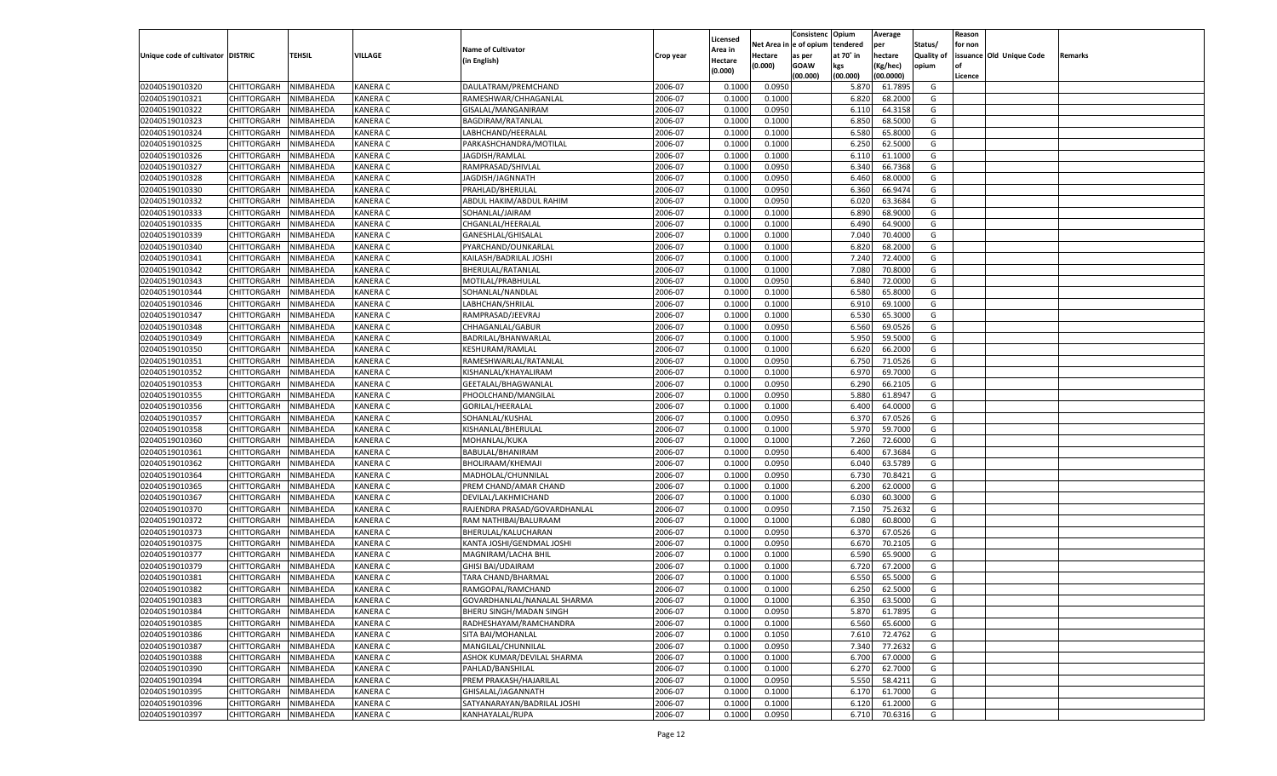|                                   |                       |           |                 |                              |           |          |            | Consistenc Opium |           | Average       |                   | Reason    |                          |         |
|-----------------------------------|-----------------------|-----------|-----------------|------------------------------|-----------|----------|------------|------------------|-----------|---------------|-------------------|-----------|--------------------------|---------|
|                                   |                       |           |                 |                              |           | Licensed | Net Area i | l e of opium     | tendered  | per           | Status/           | for non   |                          |         |
| Unique code of cultivator DISTRIC |                       | TEHSIL    | VILLAGE         | <b>Name of Cultivator</b>    | Crop year | Area in  | Hectare    | as per           | at 70° in | hectare       | <b>Quality of</b> |           | issuance Old Unique Code | Remarks |
|                                   |                       |           |                 | (in English)                 |           | Hectare  | (0.000)    | <b>GOAW</b>      | kgs       | (Kg/hec)      | opium             | <b>of</b> |                          |         |
|                                   |                       |           |                 |                              |           | (0.000)  |            | (00.000)         | (00.000)  | (00.0000)     |                   | Licence   |                          |         |
| 02040519010320                    | CHITTORGARH           | NIMBAHEDA | <b>KANERA C</b> | DAULATRAM/PREMCHAND          | 2006-07   | 0.1000   | 0.0950     |                  | 5.870     | 61.7895       | G                 |           |                          |         |
| 02040519010321                    | CHITTORGARH           | NIMBAHEDA | <b>KANERA C</b> | RAMESHWAR/CHHAGANLAL         | 2006-07   | 0.1000   | 0.1000     |                  | 6.820     | 68.2000       | G                 |           |                          |         |
| 02040519010322                    | CHITTORGARH           | NIMBAHEDA | <b>KANERA C</b> | GISALAL/MANGANIRAM           | 2006-07   | 0.1000   | 0.0950     |                  | 6.110     | 64.3158       | G                 |           |                          |         |
| 02040519010323                    | CHITTORGARH           | NIMBAHEDA | <b>KANERA C</b> | BAGDIRAM/RATANLAL            | 2006-07   | 0.1000   | 0.1000     |                  | 6.850     | 68.5000       | G                 |           |                          |         |
| 02040519010324                    | CHITTORGARH           | NIMBAHEDA | <b>KANERA C</b> | LABHCHAND/HEERALAL           | 2006-07   | 0.1000   | 0.1000     |                  | 6.580     | 65.8000       | G                 |           |                          |         |
| 02040519010325                    | CHITTORGARH           | NIMBAHEDA | <b>KANERA C</b> | PARKASHCHANDRA/MOTILAL       | 2006-07   | 0.1000   | 0.1000     |                  | 6.250     | 62.5000       | G                 |           |                          |         |
| 02040519010326                    | CHITTORGARH           | NIMBAHEDA | <b>KANERA C</b> | JAGDISH/RAMLAL               | 2006-07   | 0.1000   | 0.1000     |                  | 6.110     | 61.1000       | G                 |           |                          |         |
| 02040519010327                    | CHITTORGARH           | NIMBAHEDA | <b>KANERA C</b> | RAMPRASAD/SHIVLAL            | 2006-07   | 0.1000   | 0.0950     |                  | 6.340     | 66.7368       | G                 |           |                          |         |
| 02040519010328                    |                       | NIMBAHEDA | <b>KANERA C</b> |                              | 2006-07   | 0.1000   | 0.0950     |                  | 6.460     | 68.0000       | G                 |           |                          |         |
|                                   | CHITTORGARH           |           |                 | JAGDISH/JAGNNATH             |           |          |            |                  |           |               |                   |           |                          |         |
| 02040519010330                    | CHITTORGARH           | NIMBAHEDA | <b>KANERA C</b> | PRAHLAD/BHERULAL             | 2006-07   | 0.1000   | 0.0950     |                  | 6.360     | 66.9474       | G                 |           |                          |         |
| 02040519010332                    | CHITTORGARH           | NIMBAHEDA | <b>KANERA C</b> | ABDUL HAKIM/ABDUL RAHIM      | 2006-07   | 0.1000   | 0.0950     |                  | 6.020     | 63.3684       | G                 |           |                          |         |
| 02040519010333                    | CHITTORGARH           | NIMBAHEDA | <b>KANERA C</b> | SOHANLAL/JAIRAM              | 2006-07   | 0.1000   | 0.1000     |                  | 6.890     | 68.9000       | G                 |           |                          |         |
| 02040519010335                    | CHITTORGARH           | NIMBAHEDA | <b>KANERA C</b> | CHGANLAL/HEERALAI            | 2006-07   | 0.1000   | 0.1000     |                  | 6.490     | 64.9000       | G                 |           |                          |         |
| 02040519010339                    | CHITTORGARH           | NIMBAHEDA | <b>KANERA C</b> | GANESHLAL/GHISALAL           | 2006-07   | 0.1000   | 0.1000     |                  | 7.040     | 70.4000       | G                 |           |                          |         |
| 02040519010340                    | CHITTORGARH           | NIMBAHEDA | <b>KANERA C</b> | PYARCHAND/OUNKARLAL          | 2006-07   | 0.1000   | 0.1000     |                  | 6.820     | 68.2000       | G                 |           |                          |         |
| 02040519010341                    | CHITTORGARH           | NIMBAHEDA | <b>KANERA C</b> | KAILASH/BADRILAL JOSHI       | 2006-07   | 0.1000   | 0.1000     |                  | 7.240     | 72.4000       | G                 |           |                          |         |
| 02040519010342                    | CHITTORGARH           | NIMBAHEDA | <b>KANERA C</b> | BHERULAL/RATANLAL            | 2006-07   | 0.1000   | 0.1000     |                  | 7.080     | 70.8000       | G                 |           |                          |         |
| 02040519010343                    | CHITTORGARH           | NIMBAHEDA | <b>KANERA C</b> | MOTILAL/PRABHULAL            | 2006-07   | 0.1000   | 0.0950     |                  | 6.840     | 72.0000       | G                 |           |                          |         |
| 02040519010344                    | CHITTORGARH           | NIMBAHEDA | <b>KANERA C</b> | SOHANLAL/NANDLAL             | 2006-07   | 0.1000   | 0.1000     |                  | 6.580     | 65.8000       | G                 |           |                          |         |
| 02040519010346                    | CHITTORGARH           | NIMBAHEDA | <b>KANERA C</b> | LABHCHAN/SHRILAL             | 2006-07   | 0.1000   | 0.1000     |                  | 6.910     | 69.1000       | G                 |           |                          |         |
| 02040519010347                    | CHITTORGARH           | NIMBAHEDA | <b>KANERA C</b> | RAMPRASAD/JEEVRAJ            | 2006-07   | 0.1000   | 0.1000     |                  | 6.530     | 65.3000       | G                 |           |                          |         |
| 02040519010348                    | CHITTORGARH           | NIMBAHEDA | <b>KANERA C</b> | CHHAGANLAL/GABUR             | 2006-07   | 0.1000   | 0.0950     |                  | 6.560     | 69.0526       | G                 |           |                          |         |
| 02040519010349                    | CHITTORGARH           | NIMBAHEDA | <b>KANERA C</b> | BADRILAL/BHANWARLAL          | 2006-07   | 0.1000   | 0.1000     |                  | 5.950     | 59.5000       | G                 |           |                          |         |
| 02040519010350                    | CHITTORGARH           | NIMBAHEDA | <b>KANERA C</b> | <b>KESHURAM/RAMLAL</b>       | 2006-07   | 0.1000   | 0.1000     |                  | 6.620     | 66.2000       | G                 |           |                          |         |
| 02040519010351                    | CHITTORGARH           | NIMBAHEDA | <b>KANERA C</b> | RAMESHWARLAL/RATANLAL        | 2006-07   | 0.1000   | 0.0950     |                  | 6.750     | 71.0526       | G                 |           |                          |         |
| 02040519010352                    | CHITTORGARH           | NIMBAHEDA | <b>KANERA C</b> | KISHANLAL/KHAYALIRAM         | 2006-07   | 0.1000   | 0.1000     |                  | 6.970     | 69.7000       | G                 |           |                          |         |
| 02040519010353                    | CHITTORGARH           | NIMBAHEDA | <b>KANERA C</b> | GEETALAL/BHAGWANLAI          | 2006-07   | 0.1000   | 0.0950     |                  | 6.290     | 66.2105       | G                 |           |                          |         |
| 02040519010355                    | CHITTORGARH           | NIMBAHEDA | <b>KANERA C</b> | PHOOLCHAND/MANGILAL          | 2006-07   | 0.1000   | 0.0950     |                  | 5.880     | 61.8947       | G                 |           |                          |         |
| 02040519010356                    | CHITTORGARH           | NIMBAHEDA | <b>KANERA C</b> | GORILAL/HEERALAL             | 2006-07   | 0.1000   | 0.1000     |                  | 6.400     | 64.0000       | G                 |           |                          |         |
| 02040519010357                    | CHITTORGARH           | NIMBAHEDA | <b>KANERA C</b> | SOHANLAL/KUSHAL              | 2006-07   | 0.1000   | 0.0950     |                  | 6.37      | 67.0526       | G                 |           |                          |         |
| 02040519010358                    | CHITTORGARH           | NIMBAHEDA | <b>KANERA C</b> |                              | 2006-07   | 0.1000   | 0.1000     |                  | 5.970     | 59.7000       | G                 |           |                          |         |
|                                   |                       |           |                 | KISHANLAL/BHERULAL           |           |          |            |                  |           |               |                   |           |                          |         |
| 02040519010360                    | CHITTORGARH           | NIMBAHEDA | <b>KANERA C</b> | MOHANLAL/KUKA                | 2006-07   | 0.1000   | 0.1000     |                  | 7.260     | 72.6000       | G                 |           |                          |         |
| 02040519010361                    | CHITTORGARH           | NIMBAHEDA | <b>KANERA C</b> | BABULAL/BHANIRAM             | 2006-07   | 0.1000   | 0.0950     |                  | 6.400     | 67.3684       | G                 |           |                          |         |
| 02040519010362                    | CHITTORGARH           | NIMBAHEDA | <b>KANERA C</b> | BHOLIRAAM/KHEMAJI            | 2006-07   | 0.1000   | 0.0950     |                  | 6.040     | 63.5789       | G                 |           |                          |         |
| 02040519010364                    | CHITTORGARH           | NIMBAHEDA | <b>KANERA C</b> | MADHOLAL/CHUNNILAL           | 2006-07   | 0.1000   | 0.0950     |                  | 6.730     | 70.8421       | G                 |           |                          |         |
| 02040519010365                    | CHITTORGARH           | NIMBAHEDA | <b>KANERA C</b> | PREM CHAND/AMAR CHAND        | 2006-07   | 0.1000   | 0.1000     |                  | 6.200     | 62.0000       | G                 |           |                          |         |
| 02040519010367                    | CHITTORGARH           | NIMBAHEDA | <b>KANERA C</b> | DEVILAL/LAKHMICHAND          | 2006-07   | 0.1000   | 0.1000     |                  | 6.030     | 60.3000       | G                 |           |                          |         |
| 02040519010370                    | CHITTORGARH           | NIMBAHEDA | <b>KANERA C</b> | RAJENDRA PRASAD/GOVARDHANLAL | 2006-07   | 0.1000   | 0.0950     |                  | 7.15(     | 75.2632       | G                 |           |                          |         |
| 02040519010372                    | CHITTORGARH           | NIMBAHEDA | <b>KANERA C</b> | RAM NATHIBAI/BALURAAM        | 2006-07   | 0.1000   | 0.1000     |                  | 6.080     | 60.8000       | G                 |           |                          |         |
| 02040519010373                    | CHITTORGARH           | NIMBAHEDA | <b>KANERA C</b> | BHERULAL/KALUCHARAN          | 2006-07   | 0.1000   | 0.0950     |                  | 6.37      | 67.0526       | G                 |           |                          |         |
| 02040519010375                    | CHITTORGARH           | NIMBAHEDA | <b>KANERA C</b> | KANTA JOSHI/GENDMAL JOSHI    | 2006-07   | 0.1000   | 0.0950     |                  | 6.670     | 70.2105       | G                 |           |                          |         |
| 02040519010377                    | CHITTORGARH           | NIMBAHEDA | <b>KANERA C</b> | MAGNIRAM/LACHA BHII          | 2006-07   | 0.1000   | 0.1000     |                  | 6.590     | 65.9000       | G                 |           |                          |         |
| 02040519010379                    | CHITTORGARH           | NIMBAHEDA | <b>KANERA C</b> | <b>GHISI BAI/UDAIRAM</b>     | 2006-07   | 0.1000   | 0.1000     |                  | 6.720     | 67.2000       | G                 |           |                          |         |
| 02040519010381                    | CHITTORGARH           | NIMBAHEDA | <b>KANERA C</b> | TARA CHAND/BHARMAL           | 2006-07   | 0.1000   | 0.1000     |                  | 6.550     | 65.5000       | G                 |           |                          |         |
| 02040519010382                    | CHITTORGARH           | NIMBAHEDA | <b>KANERA C</b> | RAMGOPAL/RAMCHAND            | 2006-07   | 0.1000   | 0.1000     |                  | 6.250     | 62.5000       | G                 |           |                          |         |
| 02040519010383                    | CHITTORGARH NIMBAHEDA |           | <b>KANERA C</b> | GOVARDHANLAL/NANALAL SHARMA  | 2006-07   | 0.1000   | 0.1000     |                  | 6.350     | 63.5000       | G                 |           |                          |         |
| 02040519010384                    | CHITTORGARH           | NIMBAHEDA | <b>KANERA C</b> | BHERU SINGH/MADAN SINGH      | 2006-07   | 0.1000   | 0.0950     |                  | 5.870     | 61.7895       | G                 |           |                          |         |
| 02040519010385                    | CHITTORGARH           | NIMBAHEDA | <b>KANERA C</b> | RADHESHAYAM/RAMCHANDRA       | 2006-07   | 0.1000   | 0.1000     |                  | 6.560     | 65.6000       | G                 |           |                          |         |
| 02040519010386                    | CHITTORGARH           | NIMBAHEDA | <b>KANERA C</b> | SITA BAI/MOHANLAL            | 2006-07   | 0.1000   | 0.1050     |                  | 7.610     | 72.4762       | G                 |           |                          |         |
| 02040519010387                    | CHITTORGARH           | NIMBAHEDA | <b>KANERA C</b> | MANGILAL/CHUNNILAL           | 2006-07   | 0.1000   | 0.0950     |                  | 7.340     | 77.2632       | G                 |           |                          |         |
| 02040519010388                    | CHITTORGARH           | NIMBAHEDA | <b>KANERA C</b> | ASHOK KUMAR/DEVILAL SHARMA   | 2006-07   | 0.1000   | 0.1000     |                  | 6.700     | 67.0000       | G                 |           |                          |         |
| 02040519010390                    | CHITTORGARH           | NIMBAHEDA | <b>KANERA C</b> | PAHLAD/BANSHILAL             | 2006-07   | 0.1000   | 0.1000     |                  | 6.270     | 62.7000       | G                 |           |                          |         |
| 02040519010394                    | CHITTORGARH           | NIMBAHEDA | <b>KANERA C</b> | PREM PRAKASH/HAJARILAL       | 2006-07   | 0.1000   | 0.0950     |                  | 5.550     | 58.4211       | G                 |           |                          |         |
|                                   |                       | NIMBAHEDA |                 | GHISALAL/JAGANNATH           | 2006-07   |          |            |                  |           |               | G                 |           |                          |         |
| 02040519010395                    | CHITTORGARH           |           | <b>KANERA C</b> |                              |           | 0.1000   | 0.1000     |                  | 6.170     | 61.7000       |                   |           |                          |         |
| 02040519010396                    | CHITTORGARH           | NIMBAHEDA | <b>KANERA C</b> | SATYANARAYAN/BADRILAL JOSHI  | 2006-07   | 0.1000   | 0.1000     |                  | 6.120     | 61.2000       | G                 |           |                          |         |
| 02040519010397                    | CHITTORGARH           | NIMBAHEDA | <b>KANERA C</b> | KANHAYALAL/RUPA              | 2006-07   | 0.1000   | 0.0950     |                  |           | 6.710 70.6316 | G                 |           |                          |         |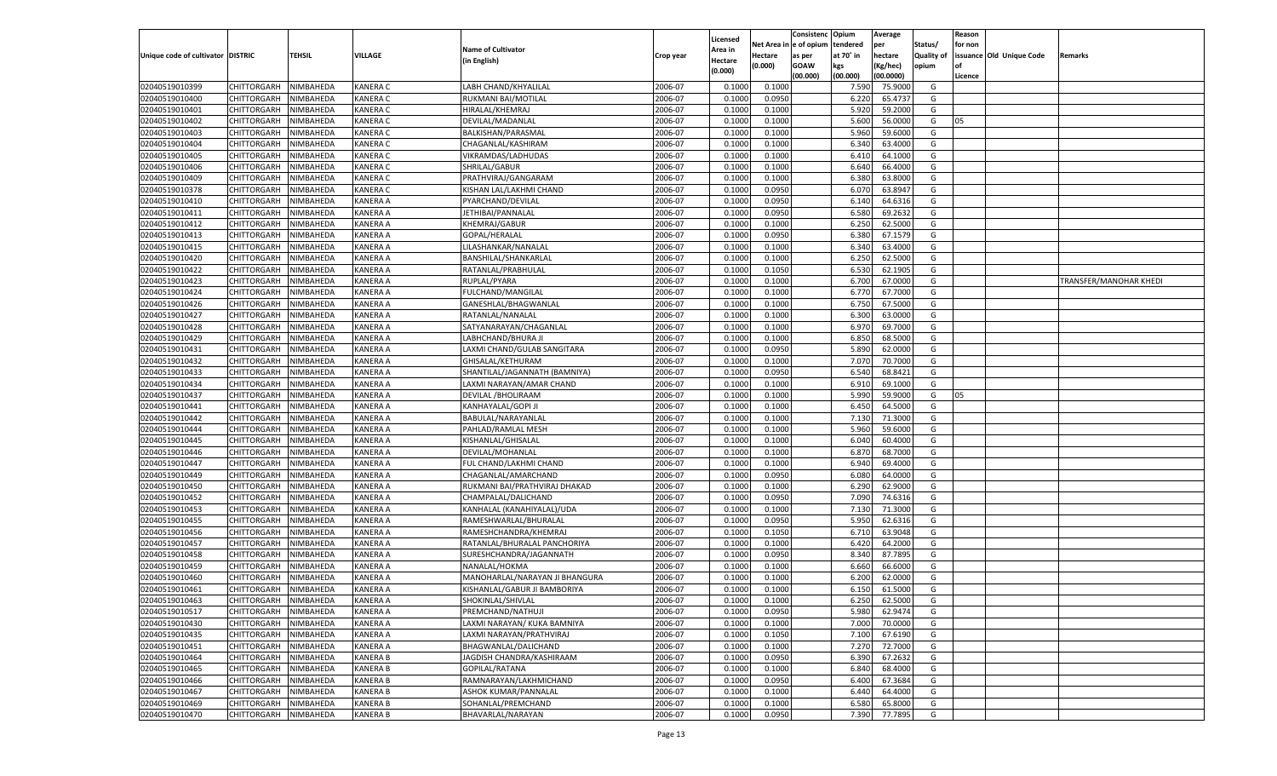|                                   |                       |                        |                 |                                                         |                    |                    |                  | Consistenc    | Opium     | Average            |                   | Reason  |                          |                        |
|-----------------------------------|-----------------------|------------------------|-----------------|---------------------------------------------------------|--------------------|--------------------|------------------|---------------|-----------|--------------------|-------------------|---------|--------------------------|------------------------|
|                                   |                       |                        |                 | <b>Name of Cultivator</b>                               |                    | Licensed           | Net Area iı      | n  e of opium | tendered  | per                | Status/           | for non |                          |                        |
| Unique code of cultivator DISTRIC |                       | TEHSIL                 | VILLAGE         | (in English)                                            | Crop year          | Area in<br>Hectare | Hectare          | as per        | at 70° in | hectare            | <b>Quality of</b> |         | issuance Old Unique Code | Remarks                |
|                                   |                       |                        |                 |                                                         |                    | (0.000)            | (0.000)          | <b>GOAW</b>   | kgs       | (Kg/hec)           | opium             |         |                          |                        |
|                                   |                       |                        |                 |                                                         |                    |                    |                  | (00.000)      | (00.000)  | (00.0000)          |                   | Licence |                          |                        |
| 02040519010399                    | CHITTORGARH           | NIMBAHEDA              | <b>KANERA C</b> | LABH CHAND/KHYALILAI                                    | 2006-07            | 0.1000             | 0.1000           |               | 7.590     | 75.9000            | G                 |         |                          |                        |
| 02040519010400                    | CHITTORGARH           | NIMBAHEDA              | <b>KANERA C</b> | RUKMANI BAI/MOTILAL                                     | 2006-07            | 0.1000             | 0.0950           |               | 6.220     | 65.4737            | G                 |         |                          |                        |
| 02040519010401                    | CHITTORGARH           | NIMBAHEDA              | <b>KANERA C</b> | HIRALAL/KHEMRAJ                                         | 2006-07            | 0.1000             | 0.1000           |               | 5.920     | 59.2000            | G                 |         |                          |                        |
| 02040519010402                    | CHITTORGARH           | NIMBAHEDA              | <b>KANERA C</b> | DEVILAL/MADANLAL                                        | 2006-07            | 0.1000             | 0.1000           |               | 5.600     | 56.0000            | G                 | 05      |                          |                        |
| 02040519010403                    | CHITTORGARH           | NIMBAHEDA              | <b>KANERA C</b> | BALKISHAN/PARASMAL                                      | 2006-07            | 0.1000             | 0.1000           |               | 5.960     | 59.6000            | G                 |         |                          |                        |
| 02040519010404                    | CHITTORGARH           | NIMBAHEDA              | <b>KANERA C</b> | CHAGANLAL/KASHIRAM                                      | 2006-07            | 0.1000             | 0.1000           |               | 6.340     | 63.4000            | G                 |         |                          |                        |
| 02040519010405                    | CHITTORGARH           | NIMBAHEDA              | <b>KANERA C</b> | VIKRAMDAS/LADHUDAS                                      | 2006-07            | 0.1000             | 0.1000           |               | 6.41      | 64.1000            | G                 |         |                          |                        |
| 02040519010406                    | CHITTORGARH           | NIMBAHEDA              | <b>KANERA C</b> | SHRILAL/GABUR                                           | 2006-07            | 0.1000             | 0.1000           |               | 6.640     | 66.4000            | G                 |         |                          |                        |
| 02040519010409                    | CHITTORGARH           | NIMBAHEDA              | <b>KANERA C</b> | PRATHVIRAJ/GANGARAM                                     | 2006-07            | 0.1000             | 0.1000           |               | 6.380     | 63.8000            | G                 |         |                          |                        |
| 02040519010378                    | CHITTORGARH           | NIMBAHEDA              | <b>KANERA C</b> | KISHAN LAL/LAKHMI CHAND                                 | 2006-07            | 0.1000             | 0.0950           |               | 6.070     | 63.8947            | G                 |         |                          |                        |
| 02040519010410                    | CHITTORGARH           | NIMBAHEDA              | <b>KANERA A</b> | PYARCHAND/DEVILAL                                       | 2006-07            | 0.1000             | 0.0950           |               | 6.140     | 64.6316            | G                 |         |                          |                        |
| 02040519010411                    | CHITTORGARH           | NIMBAHEDA              | <b>KANERA A</b> | JETHIBAI/PANNALAL                                       | 2006-07            | 0.1000             | 0.0950           |               | 6.580     | 69.2632            | G                 |         |                          |                        |
| 02040519010412                    | CHITTORGARH           | NIMBAHEDA              | <b>KANERA A</b> | KHEMRAJ/GABUR                                           | 2006-07            | 0.1000             | 0.1000           |               | 6.250     | 62.5000            | G                 |         |                          |                        |
| 02040519010413                    | CHITTORGARH           | NIMBAHEDA              | KANERA A        | GOPAL/HERALAL                                           | 2006-07            | 0.1000             | 0.0950           |               | 6.380     | 67.1579            | G                 |         |                          |                        |
| 02040519010415                    | CHITTORGARH           | NIMBAHEDA              | KANERA A        | LILASHANKAR/NANALAL                                     | 2006-07            | 0.1000             | 0.1000           |               | 6.340     | 63.4000            | G                 |         |                          |                        |
| 02040519010420                    | CHITTORGARH           | NIMBAHEDA              | KANERA A        | BANSHILAL/SHANKARLAL                                    | 2006-07            | 0.1000             | 0.1000           |               | 6.250     | 62.5000            | G                 |         |                          |                        |
| 02040519010422                    | CHITTORGARH           | NIMBAHEDA              | KANERA A        | RATANLAL/PRABHULAL                                      | 2006-07            | 0.1000             | 0.1050           |               | 6.530     | 62.1905            | G                 |         |                          |                        |
| 02040519010423                    | CHITTORGARH           | NIMBAHEDA              | KANERA A        | RUPLAL/PYARA                                            | 2006-07            | 0.1000             | 0.1000           |               | 6.700     | 67.0000            | G                 |         |                          | TRANSFER/MANOHAR KHEDI |
| 02040519010424                    | CHITTORGARH           | NIMBAHEDA              | KANERA A        | FULCHAND/MANGILAL                                       | 2006-07            | 0.1000             | 0.1000           |               | 6.770     | 67.7000            | G                 |         |                          |                        |
| 02040519010426                    | CHITTORGARH           | NIMBAHEDA              | KANERA A        | GANESHLAL/BHAGWANLAL                                    | 2006-07            | 0.1000             | 0.1000           |               | 6.750     | 67.5000            | G                 |         |                          |                        |
| 02040519010427                    | CHITTORGARH           | NIMBAHEDA              | KANERA A        | RATANLAL/NANALAL                                        | 2006-07            | 0.1000             | 0.1000           |               | 6.300     | 63.0000            | G                 |         |                          |                        |
| 02040519010428                    | CHITTORGARH           | NIMBAHEDA              | KANERA A        | SATYANARAYAN/CHAGANLAL                                  | 2006-07            | 0.1000             | 0.1000           |               | 6.970     | 69.7000            | G                 |         |                          |                        |
| 02040519010429                    | CHITTORGARH           | NIMBAHEDA              | KANERA A        | LABHCHAND/BHURA JI                                      | 2006-07            | 0.1000             | 0.1000           |               | 6.850     | 68.5000            | G                 |         |                          |                        |
| 02040519010431                    | CHITTORGARH           | NIMBAHEDA              | KANERA A        | LAXMI CHAND/GULAB SANGITARA                             | 2006-07            | 0.1000             | 0.0950           |               | 5.890     | 62.0000            | G                 |         |                          |                        |
| 02040519010432                    | CHITTORGARH           | NIMBAHEDA              | KANERA A        | GHISALAL/KETHURAM                                       | 2006-07            | 0.1000             | 0.1000           |               | 7.070     | 70.7000            | G                 |         |                          |                        |
| 02040519010433                    | CHITTORGARH           | NIMBAHEDA              | KANERA A        | SHANTILAL/JAGANNATH (BAMNIYA)                           | 2006-07            | 0.1000             | 0.0950           |               | 6.540     | 68.8421            | G                 |         |                          |                        |
| 02040519010434                    | CHITTORGARH           | NIMBAHEDA              | KANERA A        | LAXMI NARAYAN/AMAR CHAND                                | 2006-07            | 0.1000             | 0.1000           |               | 6.910     | 69.1000            | G                 |         |                          |                        |
| 02040519010437                    | CHITTORGARH           | NIMBAHEDA              | KANERA A        | DEVILAL / BHOLIRAAM                                     | 2006-07            | 0.1000             | 0.1000           |               | 5.990     | 59.9000            | G                 | 05      |                          |                        |
| 02040519010441                    | CHITTORGARH           | NIMBAHEDA              | KANERA A        | KANHAYALAL/GOPI JI                                      | 2006-07            | 0.1000             | 0.1000           |               | 6.450     | 64.5000            | G                 |         |                          |                        |
| 02040519010442                    | CHITTORGARH           | NIMBAHEDA              | KANERA A        | BABULAL/NARAYANLAL                                      | 2006-07            | 0.1000             | 0.1000           |               | 7.130     | 71.3000            | G                 |         |                          |                        |
| 02040519010444                    | CHITTORGARH           | NIMBAHEDA              | <b>KANERA A</b> | PAHLAD/RAMLAL MESH                                      | 2006-07            | 0.1000             | 0.1000           |               | 5.960     | 59.6000            | G                 |         |                          |                        |
| 02040519010445                    | CHITTORGARH           | NIMBAHEDA              | <b>KANERA A</b> | KISHANLAL/GHISALAL                                      | 2006-07            | 0.1000             | 0.1000           |               | 6.040     | 60.4000            | G                 |         |                          |                        |
| 02040519010446                    | CHITTORGARH           | NIMBAHEDA              | <b>KANERA A</b> | DEVILAL/MOHANLAL                                        | 2006-07            | 0.1000             | 0.1000           |               | 6.870     | 68.7000            | G                 |         |                          |                        |
| 02040519010447                    | CHITTORGARH           | NIMBAHEDA              | <b>KANERA A</b> | FUL CHAND/LAKHMI CHAND                                  | 2006-07            | 0.1000             | 0.1000           |               | 6.940     | 69.4000            | G                 |         |                          |                        |
| 02040519010449                    | CHITTORGARH           | NIMBAHEDA              | <b>KANERA A</b> | CHAGANLAL/AMARCHAND                                     | 2006-07            | 0.1000             | 0.0950           |               | 6.080     | 64.0000            | G                 |         |                          |                        |
| 02040519010450                    | CHITTORGARH           | NIMBAHEDA              | <b>KANERA A</b> | RUKMANI BAI/PRATHVIRAJ DHAKAD                           | 2006-07            | 0.1000             | 0.1000           |               | 6.290     | 62.9000            | G                 |         |                          |                        |
| 02040519010452                    | CHITTORGARH           | NIMBAHEDA              | <b>KANERA A</b> | CHAMPALAL/DALICHAND                                     | 2006-07            | 0.1000             | 0.0950           |               | 7.090     | 74.6316            | G                 |         |                          |                        |
| 02040519010453                    | CHITTORGARH           | NIMBAHEDA              | <b>KANERA A</b> | KANHALAL (KANAHIYALAL)/UDA                              | 2006-07            | 0.1000             | 0.1000           |               | 7.13(     | 71.3000            | G                 |         |                          |                        |
| 02040519010455                    | CHITTORGARH           | NIMBAHEDA              | <b>KANERA A</b> | RAMESHWARLAL/BHURALAI                                   | 2006-07            | 0.1000             | 0.0950           |               | 5.950     | 62.6316            | G                 |         |                          |                        |
| 02040519010456                    |                       |                        | <b>KANERA A</b> |                                                         | 2006-07            | 0.1000             |                  |               | 6.710     | 63.9048            | G                 |         |                          |                        |
| 02040519010457                    | CHITTORGARH           | NIMBAHEDA<br>NIMBAHEDA | <b>KANERA A</b> | RAMESHCHANDRA/KHEMRAJ                                   | 2006-07            | 0.1000             | 0.1050<br>0.1000 |               | 6.420     | 64.2000            | G                 |         |                          |                        |
| 02040519010458                    | CHITTORGARH           |                        | <b>KANERA A</b> | RATANLAL/BHURALAL PANCHORIYA<br>SURESHCHANDRA/JAGANNATH | 2006-07            | 0.1000             |                  |               | 8.340     | 87.7895            | G                 |         |                          |                        |
| 02040519010459                    | CHITTORGARH           | NIMBAHEDA<br>NIMBAHEDA | <b>KANERA A</b> | NANALAL/HOKMA                                           | 2006-07            |                    | 0.0950           |               |           |                    |                   |         |                          |                        |
|                                   | CHITTORGARH           |                        |                 |                                                         |                    | 0.1000             | 0.1000           |               | 6.660     | 66.6000            | G                 |         |                          |                        |
| 02040519010460                    | CHITTORGARH           | NIMBAHEDA<br>NIMBAHEDA | KANERA A        | MANOHARLAL/NARAYAN JI BHANGURA                          | 2006-07<br>2006-07 | 0.1000             | 0.1000           |               | 6.200     | 62.0000<br>61.5000 | G                 |         |                          |                        |
| 02040519010461                    | CHITTORGARH           |                        | <b>KANERA A</b> | KISHANLAL/GABUR JI BAMBORIYA                            |                    | 0.1000             | 0.1000           |               | 6.150     |                    | G                 |         |                          |                        |
| 02040519010463                    | CHITTORGARH NIMBAHEDA |                        | <b>KANERA A</b> | SHOKINLAL/SHIVLAL                                       | 2006-07            | 0.1000             | 0.1000           |               | 6.250     | 62.5000            | G                 |         |                          |                        |
| 02040519010517                    | <b>CHITTORGARH</b>    | NIMBAHEDA              | <b>KANERA A</b> | PREMCHAND/NATHUJI                                       | 2006-07            | 0.1000             | 0.0950           |               | 5.980     | 62.9474            | G                 |         |                          |                        |
| 02040519010430                    | CHITTORGARH           | NIMBAHEDA              | <b>KANERA A</b> | LAXMI NARAYAN/ KUKA BAMNIYA                             | 2006-07            | 0.1000             | 0.1000           |               | 7.000     | 70.0000            | G                 |         |                          |                        |
| 02040519010435                    | CHITTORGARH           | NIMBAHEDA              | <b>KANERA A</b> | LAXMI NARAYAN/PRATHVIRAJ                                | 2006-07            | 0.1000             | 0.1050           |               | 7.100     | 67.6190            | G                 |         |                          |                        |
| 02040519010451                    | <b>CHITTORGARH</b>    | NIMBAHEDA              | <b>KANERA A</b> | BHAGWANLAL/DALICHAND                                    | 2006-07            | 0.1000             | 0.1000           |               | 7.270     | 72.7000            | G                 |         |                          |                        |
| 02040519010464                    | CHITTORGARH           | NIMBAHEDA              | <b>KANERA B</b> | JAGDISH CHANDRA/KASHIRAAM                               | 2006-07            | 0.1000             | 0.0950           |               | 6.390     | 67.2632            | G                 |         |                          |                        |
| 02040519010465                    | <b>CHITTORGARH</b>    | NIMBAHEDA              | <b>KANERA B</b> | GOPILAL/RATANA                                          | 2006-07            | 0.1000             | 0.1000           |               | 6.840     | 68.4000            | G                 |         |                          |                        |
| 02040519010466                    | CHITTORGARH           | NIMBAHEDA              | <b>KANERA B</b> | RAMNARAYAN/LAKHMICHAND                                  | 2006-07            | 0.1000             | 0.0950           |               | 6.400     | 67.3684            | G                 |         |                          |                        |
| 02040519010467                    | CHITTORGARH           | NIMBAHEDA              | <b>KANERA B</b> | <b>ASHOK KUMAR/PANNALAL</b>                             | 2006-07            | 0.1000             | 0.1000           |               | 6.440     | 64.4000            | G                 |         |                          |                        |
| 02040519010469                    | <b>CHITTORGARH</b>    | NIMBAHEDA              | <b>KANERA B</b> | SOHANLAL/PREMCHAND                                      | 2006-07            | 0.1000             | 0.1000           |               | 6.580     | 65.8000            | G                 |         |                          |                        |
| 02040519010470                    | <b>CHITTORGARH</b>    | NIMBAHEDA              | <b>KANERA B</b> | BHAVARLAL/NARAYAN                                       | 2006-07            | 0.1000             | 0.0950           |               | 7.390     | 77.7895            | G                 |         |                          |                        |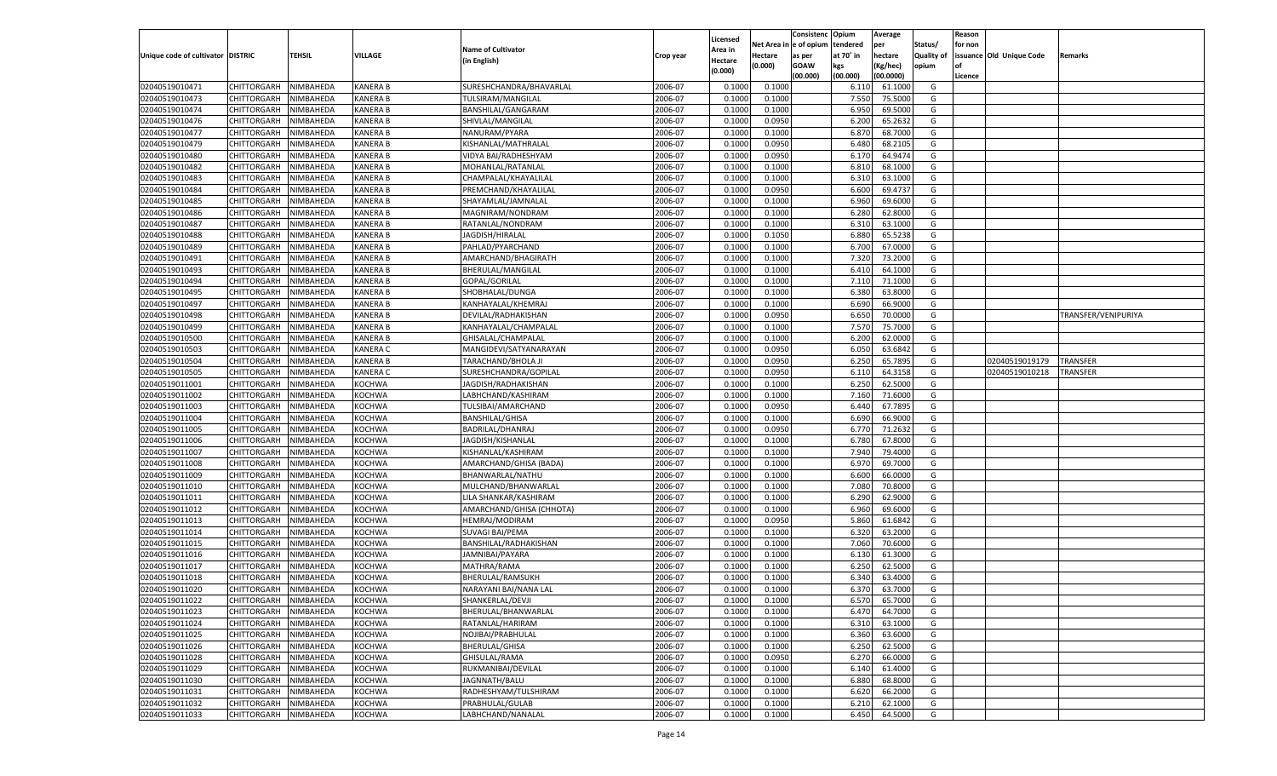|                                   |                       |                  |                 |                           |           |          |            | Consistenc    | Opium     | Average   |                   | Reason  |                          |                     |
|-----------------------------------|-----------------------|------------------|-----------------|---------------------------|-----------|----------|------------|---------------|-----------|-----------|-------------------|---------|--------------------------|---------------------|
|                                   |                       |                  |                 |                           |           | Licensed | Net Area i | n  e of opium | tendered  | per       | Status/           | for non |                          |                     |
| Unique code of cultivator DISTRIC |                       | TEHSIL           | VILLAGE         | <b>Name of Cultivator</b> | Crop year | Area in  | Hectare    | as per        | at 70° in | hectare   | <b>Quality of</b> |         | issuance Old Unique Code | Remarks             |
|                                   |                       |                  |                 | (in English)              |           | Hectare  | (0.000)    | <b>GOAW</b>   | kgs       | (Kg/hec)  | opium             |         |                          |                     |
|                                   |                       |                  |                 |                           |           | (0.000)  |            | (00.000)      | (00.000)  | (00.0000) |                   | Licence |                          |                     |
| 02040519010471                    | CHITTORGARH           | NIMBAHEDA        | <b>KANERA B</b> | SURESHCHANDRA/BHAVARLAL   | 2006-07   | 0.1000   | 0.1000     |               | 6.11      | 61.1000   | G                 |         |                          |                     |
| 02040519010473                    | CHITTORGARH           | NIMBAHEDA        | <b>KANERA B</b> | TULSIRAM/MANGILAL         | 2006-07   | 0.1000   | 0.1000     |               | 7.550     | 75.5000   | G                 |         |                          |                     |
| 02040519010474                    | CHITTORGARH           | NIMBAHEDA        | <b>KANERA B</b> | BANSHILAL/GANGARAM        | 2006-07   | 0.1000   | 0.1000     |               | 6.950     | 69.5000   | G                 |         |                          |                     |
| 02040519010476                    | CHITTORGARH           | NIMBAHEDA        | <b>KANERA B</b> | SHIVLAL/MANGILAL          | 2006-07   | 0.1000   | 0.0950     |               | 6.200     | 65.2632   | G                 |         |                          |                     |
| 02040519010477                    | CHITTORGARH           | NIMBAHEDA        | <b>KANERA B</b> | NANURAM/PYARA             | 2006-07   | 0.1000   | 0.1000     |               | 6.870     | 68.7000   | G                 |         |                          |                     |
| 02040519010479                    | CHITTORGARH           | NIMBAHEDA        | <b>KANERA B</b> | KISHANLAL/MATHRALAL       | 2006-07   | 0.1000   | 0.0950     |               | 6.480     | 68.2105   | G                 |         |                          |                     |
| 02040519010480                    | CHITTORGARH           | NIMBAHEDA        | <b>KANERA B</b> | VIDYA BAI/RADHESHYAM      | 2006-07   | 0.1000   | 0.0950     |               | 6.170     | 64.9474   | G                 |         |                          |                     |
| 02040519010482                    | CHITTORGARH           | NIMBAHEDA        | <b>KANERA B</b> | MOHANLAL/RATANLAL         | 2006-07   | 0.1000   | 0.1000     |               | 6.810     | 68.1000   | G                 |         |                          |                     |
| 02040519010483                    | CHITTORGARH           | NIMBAHEDA        | <b>KANERA B</b> | CHAMPALAL/KHAYALILAL      | 2006-07   | 0.1000   | 0.1000     |               | 6.310     | 63.1000   | G                 |         |                          |                     |
| 02040519010484                    |                       |                  |                 | PREMCHAND/KHAYALILAL      | 2006-07   |          |            |               |           |           | G                 |         |                          |                     |
|                                   | CHITTORGARH           | NIMBAHEDA        | <b>KANERA B</b> |                           |           | 0.1000   | 0.0950     |               | 6.600     | 69.4737   |                   |         |                          |                     |
| 02040519010485                    | CHITTORGARH           | NIMBAHEDA        | <b>KANERA B</b> | SHAYAMLAL/JAMNALAL        | 2006-07   | 0.1000   | 0.1000     |               | 6.960     | 69.6000   | G                 |         |                          |                     |
| 02040519010486                    | CHITTORGARH           | NIMBAHEDA        | <b>KANERA B</b> | MAGNIRAM/NONDRAM          | 2006-07   | 0.1000   | 0.1000     |               | 6.280     | 62.8000   | G                 |         |                          |                     |
| 02040519010487                    | CHITTORGARH           | NIMBAHEDA        | <b>KANERA B</b> | RATANLAL/NONDRAM          | 2006-07   | 0.1000   | 0.1000     |               | 6.310     | 63.1000   | G                 |         |                          |                     |
| 02040519010488                    | CHITTORGARH           | NIMBAHEDA        | KANERA B        | JAGDISH/HIRALAL           | 2006-07   | 0.1000   | 0.1050     |               | 6.880     | 65.5238   | G                 |         |                          |                     |
| 02040519010489                    | CHITTORGARH           | NIMBAHEDA        | KANERA B        | PAHLAD/PYARCHAND          | 2006-07   | 0.1000   | 0.1000     |               | 6.700     | 67.0000   | G                 |         |                          |                     |
| 02040519010491                    | CHITTORGARH           | NIMBAHEDA        | KANERA B        | AMARCHAND/BHAGIRATH       | 2006-07   | 0.1000   | 0.1000     |               | 7.320     | 73.2000   | G                 |         |                          |                     |
| 02040519010493                    | CHITTORGARH           | NIMBAHEDA        | KANERA B        | BHERULAL/MANGILAL         | 2006-07   | 0.1000   | 0.1000     |               | 6.410     | 64.1000   | G                 |         |                          |                     |
| 02040519010494                    | CHITTORGARH           | NIMBAHEDA        | KANERA B        | GOPAL/GORILAL             | 2006-07   | 0.1000   | 0.1000     |               | 7.110     | 71.1000   | G                 |         |                          |                     |
| 02040519010495                    | CHITTORGARH           | NIMBAHEDA        | KANERA B        | SHOBHALAL/DUNGA           | 2006-07   | 0.1000   | 0.1000     |               | 6.380     | 63.8000   | G                 |         |                          |                     |
| 02040519010497                    | CHITTORGARH           | NIMBAHEDA        | KANERA B        | KANHAYALAL/KHEMRAJ        | 2006-07   | 0.1000   | 0.1000     |               | 6.690     | 66.9000   | G                 |         |                          |                     |
| 02040519010498                    | CHITTORGARH           | NIMBAHEDA        | KANERA B        | DEVILAL/RADHAKISHAN       | 2006-07   | 0.1000   | 0.0950     |               | 6.650     | 70.0000   | G                 |         |                          | TRANSFER/VENIPURIYA |
| 02040519010499                    | CHITTORGARH           | NIMBAHEDA        | KANERA B        | KANHAYALAL/CHAMPALAL      | 2006-07   | 0.1000   | 0.1000     |               | 7.570     | 75.7000   | G                 |         |                          |                     |
| 02040519010500                    | CHITTORGARH           | NIMBAHEDA        | KANERA B        | GHISALAL/CHAMPALAL        | 2006-07   | 0.1000   | 0.1000     |               | 6.200     | 62.0000   | G                 |         |                          |                     |
| 02040519010503                    | CHITTORGARH           | NIMBAHEDA        | KANERA C        | MANGIDEVI/SATYANARAYAN    | 2006-07   | 0.1000   | 0.0950     |               | 6.050     | 63.6842   | G                 |         |                          |                     |
| 02040519010504                    | CHITTORGARH           | NIMBAHEDA        | KANERA B        | TARACHAND/BHOLA JI        | 2006-07   | 0.1000   | 0.0950     |               | 6.250     | 65.7895   | G                 |         | 02040519019179           | <b>TRANSFER</b>     |
| 02040519010505                    | CHITTORGARH           | NIMBAHEDA        | KANERA C        | SURESHCHANDRA/GOPILAL     | 2006-07   | 0.1000   | 0.0950     |               | 6.110     | 64.3158   | G                 |         | 02040519010218           | TRANSFER            |
| 02040519011001                    | CHITTORGARH           | NIMBAHEDA        | KOCHWA          | JAGDISH/RADHAKISHAN       | 2006-07   | 0.1000   | 0.1000     |               | 6.250     | 62.5000   | G                 |         |                          |                     |
| 02040519011002                    | CHITTORGARH           | NIMBAHEDA        | KOCHWA          | LABHCHAND/KASHIRAM        | 2006-07   | 0.1000   | 0.1000     |               | 7.160     | 71.6000   | G                 |         |                          |                     |
| 02040519011003                    | CHITTORGARH           | NIMBAHEDA        | KOCHWA          | TULSIBAI/AMARCHAND        | 2006-07   | 0.1000   | 0.0950     |               | 6.440     | 67.7895   | G                 |         |                          |                     |
| 02040519011004                    | CHITTORGARH           | NIMBAHEDA        | <b>KOCHWA</b>   | <b>BANSHILAL/GHISA</b>    | 2006-07   | 0.1000   | 0.1000     |               | 6.690     | 66.9000   | G                 |         |                          |                     |
| 02040519011005                    | CHITTORGARH           | NIMBAHEDA        | <b>KOCHWA</b>   | BADRILAL/DHANRAJ          | 2006-07   | 0.1000   | 0.0950     |               | 6.770     | 71.2632   | G                 |         |                          |                     |
|                                   |                       |                  |                 |                           |           |          |            |               | 6.780     | 67.8000   |                   |         |                          |                     |
| 02040519011006                    | CHITTORGARH           | NIMBAHEDA        | <b>KOCHWA</b>   | JAGDISH/KISHANLAL         | 2006-07   | 0.1000   | 0.1000     |               |           |           | G                 |         |                          |                     |
| 02040519011007                    | CHITTORGARH           | NIMBAHEDA        | <b>KOCHWA</b>   | KISHANLAL/KASHIRAM        | 2006-07   | 0.1000   | 0.1000     |               | 7.940     | 79.4000   | G                 |         |                          |                     |
| 02040519011008                    | CHITTORGARH           | NIMBAHEDA        | <b>KOCHWA</b>   | AMARCHAND/GHISA (BADA)    | 2006-07   | 0.1000   | 0.1000     |               | 6.970     | 69.7000   | G                 |         |                          |                     |
| 02040519011009                    | CHITTORGARH           | NIMBAHEDA        | <b>KOCHWA</b>   | BHANWARLAL/NATHU          | 2006-07   | 0.1000   | 0.1000     |               | 6.600     | 66.0000   | G                 |         |                          |                     |
| 02040519011010                    | CHITTORGARH           | NIMBAHEDA        | <b>KOCHWA</b>   | MULCHAND/BHANWARLAL       | 2006-07   | 0.1000   | 0.1000     |               | 7.080     | 70.8000   | G                 |         |                          |                     |
| 02040519011011                    | CHITTORGARH           | NIMBAHEDA        | <b>KOCHWA</b>   | LILA SHANKAR/KASHIRAM     | 2006-07   | 0.1000   | 0.1000     |               | 6.290     | 62.9000   | G                 |         |                          |                     |
| 02040519011012                    | CHITTORGARH           | NIMBAHEDA        | <b>KOCHWA</b>   | AMARCHAND/GHISA (CHHOTA)  | 2006-07   | 0.1000   | 0.1000     |               | 6.960     | 69.6000   | G                 |         |                          |                     |
| 02040519011013                    | CHITTORGARH           | NIMBAHEDA        | <b>KOCHWA</b>   | HEMRAJ/MODIRAM            | 2006-07   | 0.1000   | 0.0950     |               | 5.860     | 61.6842   | G                 |         |                          |                     |
| 02040519011014                    | CHITTORGARH           | NIMBAHEDA        | <b>KOCHWA</b>   | SUVAGI BAI/PEMA           | 2006-07   | 0.1000   | 0.1000     |               | 6.320     | 63.2000   | G                 |         |                          |                     |
| 02040519011015                    | CHITTORGARH           | NIMBAHEDA        | <b>KOCHWA</b>   | BANSHILAL/RADHAKISHAN     | 2006-07   | 0.1000   | 0.1000     |               | 7.060     | 70.6000   | G                 |         |                          |                     |
| 02040519011016                    | CHITTORGARH           | NIMBAHEDA        | <b>KOCHWA</b>   | JAMNIBAI/PAYARA           | 2006-07   | 0.1000   | 0.1000     |               | 6.13(     | 61.3000   | G                 |         |                          |                     |
| 02040519011017                    | CHITTORGARH           | NIMBAHEDA        | <b>KOCHWA</b>   | MATHRA/RAMA               | 2006-07   | 0.1000   | 0.1000     |               | 6.250     | 62.5000   | G                 |         |                          |                     |
| 02040519011018                    | CHITTORGARH           | NIMBAHEDA        | <b>KOCHWA</b>   | BHERULAL/RAMSUKH          | 2006-07   | 0.1000   | 0.1000     |               | 6.34      | 63.4000   | G                 |         |                          |                     |
| 02040519011020                    | CHITTORGARH           | NIMBAHEDA        | <b>KOCHWA</b>   | NARAYANI BAI/NANA LAL     | 2006-07   | 0.1000   | 0.1000     |               | 6.370     | 63.7000   | G                 |         |                          |                     |
| 02040519011022                    | CHITTORGARH NIMBAHEDA |                  | <b>KOCHWA</b>   | SHANKERLAL/DEVJI          | 2006-07   | 0.1000   | 0.1000     |               | 6.570     | 65.7000   | G                 |         |                          |                     |
| 02040519011023                    | <b>CHITTORGARH</b>    | <b>NIMBAHEDA</b> | <b>KOCHWA</b>   | BHERULAL/BHANWARLAL       | 2006-07   | 0.1000   | 0.1000     |               | 6.470     | 64.7000   | G                 |         |                          |                     |
| 02040519011024                    | CHITTORGARH           | NIMBAHEDA        | KOCHWA          | RATANLAL/HARIRAM          | 2006-07   | 0.1000   | 0.1000     |               | 6.310     | 63.1000   | G                 |         |                          |                     |
| 02040519011025                    | CHITTORGARH           | NIMBAHEDA        | <b>KOCHWA</b>   | NOJIBAI/PRABHULAL         | 2006-07   | 0.1000   | 0.1000     |               | 6.360     | 63.6000   | G                 |         |                          |                     |
| 02040519011026                    | CHITTORGARH           | NIMBAHEDA        | KOCHWA          | BHERULAL/GHISA            | 2006-07   | 0.1000   | 0.1000     |               | 6.250     | 62.5000   | G                 |         |                          |                     |
| 02040519011028                    | CHITTORGARH           | NIMBAHEDA        | <b>KOCHWA</b>   | GHISULAL/RAMA             | 2006-07   | 0.1000   | 0.0950     |               | 6.270     | 66.0000   | G                 |         |                          |                     |
| 02040519011029                    | <b>CHITTORGARH</b>    | NIMBAHEDA        | <b>KOCHWA</b>   | RUKMANIBAI/DEVILAL        | 2006-07   | 0.1000   | 0.1000     |               | 6.140     | 61.4000   | G                 |         |                          |                     |
| 02040519011030                    | CHITTORGARH           | NIMBAHEDA        | <b>KOCHWA</b>   | JAGNNATH/BALU             | 2006-07   | 0.1000   | 0.1000     |               | 6.880     | 68.8000   | G                 |         |                          |                     |
| 02040519011031                    | CHITTORGARH           | NIMBAHEDA        | KOCHWA          | RADHESHYAM/TULSHIRAM      | 2006-07   | 0.1000   | 0.1000     |               | 6.620     | 66.2000   | G                 |         |                          |                     |
| 02040519011032                    | CHITTORGARH           | NIMBAHEDA        | <b>KOCHWA</b>   | PRABHULAL/GULAB           | 2006-07   | 0.1000   | 0.1000     |               | 6.210     | 62.1000   | G                 |         |                          |                     |
| 02040519011033                    | CHITTORGARH           |                  |                 | LABHCHAND/NANALAL         | 2006-07   |          | 0.1000     |               | 6.450     | 64.5000   | G                 |         |                          |                     |
|                                   |                       | NIMBAHEDA        | <b>KOCHWA</b>   |                           |           | 0.1000   |            |               |           |           |                   |         |                          |                     |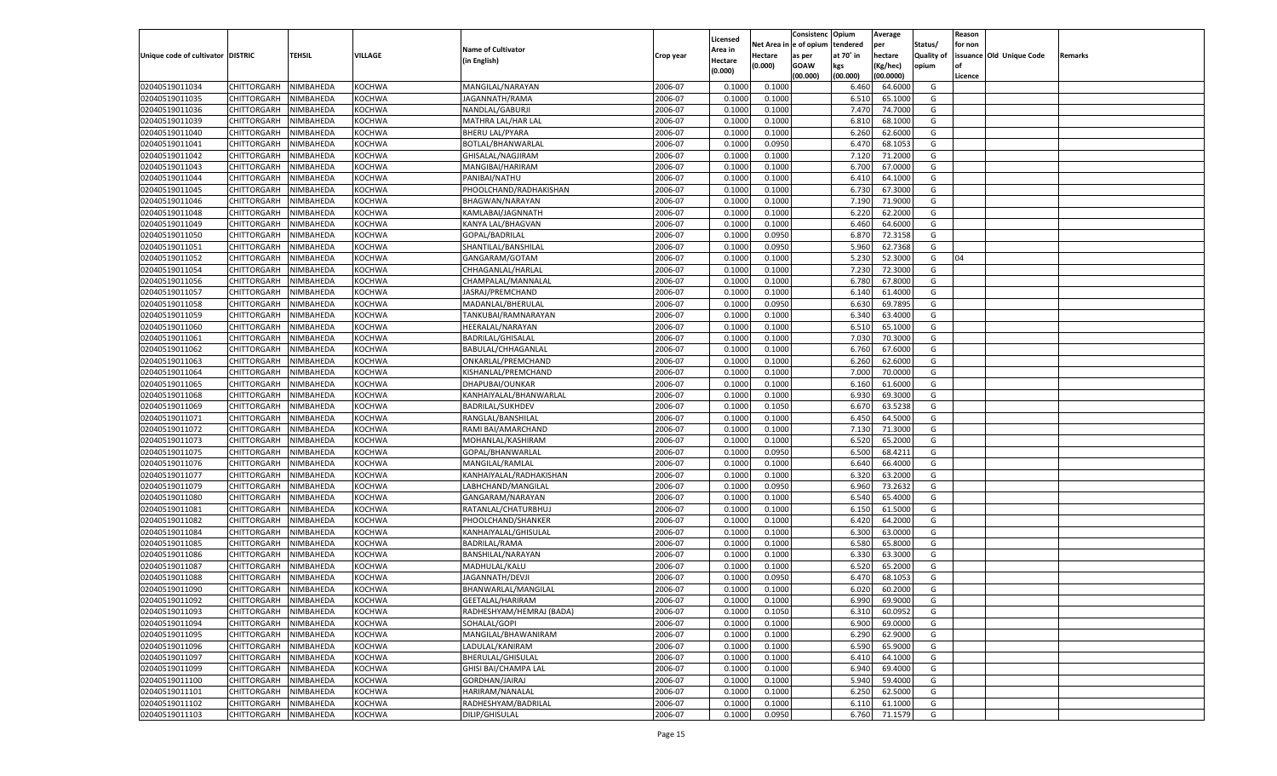|                                   |                       |           |               |                           |           |          |            | Consistenc   | Opium     | Average   |                   | Reason  |                          |         |
|-----------------------------------|-----------------------|-----------|---------------|---------------------------|-----------|----------|------------|--------------|-----------|-----------|-------------------|---------|--------------------------|---------|
|                                   |                       |           |               |                           |           | Licensed | Net Area i | n e of opium | tendered  | per       | Status/           | for non |                          |         |
| Unique code of cultivator DISTRIC |                       | TEHSIL    | VILLAGE       | <b>Name of Cultivator</b> | Crop year | Area in  | Hectare    | as per       | at 70° in | hectare   | <b>Quality of</b> |         | issuance Old Unique Code | Remarks |
|                                   |                       |           |               | (in English)              |           | Hectare  | (0.000)    | <b>GOAW</b>  | kgs       | (Kg/hec)  | opium             |         |                          |         |
|                                   |                       |           |               |                           |           | (0.000)  |            | (00.000)     | (00.000)  | (00.0000) |                   | Licence |                          |         |
| 02040519011034                    | CHITTORGARH           | NIMBAHEDA | <b>KOCHWA</b> | MANGILAL/NARAYAN          | 2006-07   | 0.1000   | 0.1000     |              | 6.460     | 64.6000   | G                 |         |                          |         |
| 02040519011035                    | CHITTORGARH           | NIMBAHEDA | KOCHWA        | JAGANNATH/RAMA            | 2006-07   | 0.1000   | 0.1000     |              | 6.510     | 65.1000   | G                 |         |                          |         |
| 02040519011036                    | CHITTORGARH           | NIMBAHEDA | <b>KOCHWA</b> | NANDLAL/GABURJI           | 2006-07   | 0.1000   | 0.1000     |              | 7.470     | 74.7000   | G                 |         |                          |         |
| 02040519011039                    | CHITTORGARH           | NIMBAHEDA | <b>KOCHWA</b> | MATHRA LAL/HAR LAL        | 2006-07   | 0.1000   | 0.1000     |              | 6.810     | 68.1000   | G                 |         |                          |         |
| 02040519011040                    | CHITTORGARH           | NIMBAHEDA | <b>KOCHWA</b> | <b>BHERU LAL/PYARA</b>    | 2006-07   | 0.1000   | 0.1000     |              | 6.260     | 62.6000   | G                 |         |                          |         |
| 02040519011041                    | CHITTORGARH           | NIMBAHEDA | KOCHWA        | BOTLAL/BHANWARLAL         | 2006-07   | 0.1000   | 0.0950     |              | 6.470     | 68.1053   | G                 |         |                          |         |
| 02040519011042                    | CHITTORGARH           | NIMBAHEDA | <b>KOCHWA</b> | GHISALAL/NAGJIRAM         | 2006-07   | 0.1000   | 0.1000     |              | 7.120     | 71.2000   | G                 |         |                          |         |
| 02040519011043                    | CHITTORGARH           | NIMBAHEDA | <b>KOCHWA</b> | MANGIBAI/HARIRAM          | 2006-07   | 0.1000   | 0.1000     |              | 6.700     | 67.0000   | G                 |         |                          |         |
| 02040519011044                    | CHITTORGARH           | NIMBAHEDA | <b>KOCHWA</b> | PANIBAI/NATHU             | 2006-07   | 0.1000   | 0.1000     |              | 6.41      | 64.1000   | G                 |         |                          |         |
| 02040519011045                    |                       |           |               | PHOOLCHAND/RADHAKISHAN    | 2006-07   |          |            |              |           |           | G                 |         |                          |         |
|                                   | CHITTORGARH           | NIMBAHEDA | KOCHWA        |                           |           | 0.1000   | 0.1000     |              | 6.730     | 67.3000   |                   |         |                          |         |
| 02040519011046                    | CHITTORGARH           | NIMBAHEDA | <b>KOCHWA</b> | BHAGWAN/NARAYAN           | 2006-07   | 0.1000   | 0.1000     |              | 7.190     | 71.9000   | G                 |         |                          |         |
| 02040519011048                    | CHITTORGARH           | NIMBAHEDA | <b>KOCHWA</b> | KAMLABAI/JAGNNATH         | 2006-07   | 0.1000   | 0.1000     |              | 6.220     | 62.2000   | G                 |         |                          |         |
| 02040519011049                    | CHITTORGARH           | NIMBAHEDA | <b>KOCHWA</b> | KANYA LAL/BHAGVAN         | 2006-07   | 0.1000   | 0.1000     |              | 6.460     | 64.6000   | G                 |         |                          |         |
| 02040519011050                    | CHITTORGARH           | NIMBAHEDA | KOCHWA        | GOPAL/BADRILAL            | 2006-07   | 0.1000   | 0.0950     |              | 6.870     | 72.3158   | G                 |         |                          |         |
| 02040519011051                    | CHITTORGARH           | NIMBAHEDA | KOCHWA        | SHANTILAL/BANSHILAI       | 2006-07   | 0.1000   | 0.0950     |              | 5.960     | 62.7368   | G                 |         |                          |         |
| 02040519011052                    | CHITTORGARH           | NIMBAHEDA | KOCHWA        | GANGARAM/GOTAM            | 2006-07   | 0.1000   | 0.1000     |              | 5.230     | 52.3000   | G                 | 04      |                          |         |
| 02040519011054                    | CHITTORGARH           | NIMBAHEDA | KOCHWA        | CHHAGANLAL/HARLAL         | 2006-07   | 0.1000   | 0.1000     |              | 7.230     | 72.3000   | G                 |         |                          |         |
| 02040519011056                    | CHITTORGARH           | NIMBAHEDA | KOCHWA        | CHAMPALAL/MANNALAI        | 2006-07   | 0.1000   | 0.1000     |              | 6.780     | 67.8000   | G                 |         |                          |         |
| 02040519011057                    | CHITTORGARH           | NIMBAHEDA | KOCHWA        | JASRAJ/PREMCHAND          | 2006-07   | 0.1000   | 0.1000     |              | 6.140     | 61.4000   | G                 |         |                          |         |
| 02040519011058                    | CHITTORGARH           | NIMBAHEDA | KOCHWA        | MADANLAL/BHERULAL         | 2006-07   | 0.1000   | 0.0950     |              | 6.630     | 69.7895   | G                 |         |                          |         |
| 02040519011059                    | CHITTORGARH           | NIMBAHEDA | KOCHWA        | TANKUBAI/RAMNARAYAN       | 2006-07   | 0.1000   | 0.1000     |              | 6.340     | 63.4000   | G                 |         |                          |         |
| 02040519011060                    | CHITTORGARH           | NIMBAHEDA | KOCHWA        | HEERALAL/NARAYAN          | 2006-07   | 0.1000   | 0.1000     |              | 6.510     | 65.1000   | G                 |         |                          |         |
| 02040519011061                    | CHITTORGARH           | NIMBAHEDA | KOCHWA        | BADRILAL/GHISALAL         | 2006-07   | 0.1000   | 0.1000     |              | 7.030     | 70.3000   | G                 |         |                          |         |
| 02040519011062                    | CHITTORGARH           | NIMBAHEDA | KOCHWA        | BABULAL/CHHAGANLAL        | 2006-07   | 0.1000   | 0.1000     |              | 6.760     | 67.6000   | G                 |         |                          |         |
| 02040519011063                    | CHITTORGARH           | NIMBAHEDA | KOCHWA        | ONKARLAL/PREMCHAND        | 2006-07   | 0.1000   | 0.1000     |              | 6.260     | 62.6000   | G                 |         |                          |         |
| 02040519011064                    | CHITTORGARH           | NIMBAHEDA | KOCHWA        | KISHANLAL/PREMCHAND       | 2006-07   | 0.1000   | 0.1000     |              | 7.000     | 70.0000   | G                 |         |                          |         |
| 02040519011065                    | CHITTORGARH           | NIMBAHEDA | KOCHWA        | DHAPUBAI/OUNKAR           | 2006-07   | 0.1000   | 0.1000     |              | 6.160     | 61.6000   | G                 |         |                          |         |
| 02040519011068                    | CHITTORGARH           | NIMBAHEDA | KOCHWA        | KANHAIYALAL/BHANWARLAL    | 2006-07   | 0.1000   | 0.1000     |              | 6.930     | 69.3000   | G                 |         |                          |         |
| 02040519011069                    | CHITTORGARH           | NIMBAHEDA | KOCHWA        | <b>BADRILAL/SUKHDEV</b>   | 2006-07   | 0.1000   | 0.1050     |              | 6.670     | 63.5238   | G                 |         |                          |         |
| 02040519011071                    | CHITTORGARH           | NIMBAHEDA | <b>KOCHWA</b> | RANGLAL/BANSHILAL         | 2006-07   | 0.1000   | 0.1000     |              | 6.450     | 64.5000   | G                 |         |                          |         |
| 02040519011072                    | CHITTORGARH           | NIMBAHEDA | <b>KOCHWA</b> | RAMI BAI/AMARCHAND        | 2006-07   | 0.1000   | 0.1000     |              | 7.13(     | 71.3000   | G                 |         |                          |         |
|                                   |                       |           |               |                           |           |          |            |              | 6.520     | 65.2000   |                   |         |                          |         |
| 02040519011073                    | CHITTORGARH           | NIMBAHEDA | <b>KOCHWA</b> | MOHANLAL/KASHIRAM         | 2006-07   | 0.1000   | 0.1000     |              |           |           | G                 |         |                          |         |
| 02040519011075                    | CHITTORGARH           | NIMBAHEDA | <b>KOCHWA</b> | GOPAL/BHANWARLAL          | 2006-07   | 0.1000   | 0.0950     |              | 6.500     | 68.4211   | G                 |         |                          |         |
| 02040519011076                    | CHITTORGARH           | NIMBAHEDA | <b>KOCHWA</b> | MANGILAL/RAMLAL           | 2006-07   | 0.1000   | 0.1000     |              | 6.640     | 66.4000   | G                 |         |                          |         |
| 02040519011077                    | CHITTORGARH           | NIMBAHEDA | <b>KOCHWA</b> | KANHAIYALAL/RADHAKISHAN   | 2006-07   | 0.1000   | 0.1000     |              | 6.320     | 63.2000   | G                 |         |                          |         |
| 02040519011079                    | CHITTORGARH           | NIMBAHEDA | <b>KOCHWA</b> | LABHCHAND/MANGILAL        | 2006-07   | 0.1000   | 0.0950     |              | 6.960     | 73.2632   | G                 |         |                          |         |
| 02040519011080                    | CHITTORGARH           | NIMBAHEDA | <b>KOCHWA</b> | GANGARAM/NARAYAN          | 2006-07   | 0.1000   | 0.1000     |              | 6.540     | 65.4000   | G                 |         |                          |         |
| 02040519011081                    | CHITTORGARH           | NIMBAHEDA | <b>KOCHWA</b> | RATANLAL/CHATURBHUJ       | 2006-07   | 0.1000   | 0.1000     |              | 6.15      | 61.5000   | G                 |         |                          |         |
| 02040519011082                    | CHITTORGARH           | NIMBAHEDA | <b>KOCHWA</b> | PHOOLCHAND/SHANKER        | 2006-07   | 0.1000   | 0.1000     |              | 6.420     | 64.2000   | G                 |         |                          |         |
| 02040519011084                    | CHITTORGARH           | NIMBAHEDA | <b>KOCHWA</b> | KANHAIYALAL/GHISULAL      | 2006-07   | 0.1000   | 0.1000     |              | 6.300     | 63.0000   | G                 |         |                          |         |
| 02040519011085                    | CHITTORGARH           | NIMBAHEDA | <b>KOCHWA</b> | <b>BADRILAL/RAMA</b>      | 2006-07   | 0.1000   | 0.1000     |              | 6.580     | 65.8000   | G                 |         |                          |         |
| 02040519011086                    | CHITTORGARH           | NIMBAHEDA | <b>KOCHWA</b> | BANSHILAL/NARAYAN         | 2006-07   | 0.1000   | 0.1000     |              | 6.330     | 63.3000   | G                 |         |                          |         |
| 02040519011087                    | CHITTORGARH           | NIMBAHEDA | <b>KOCHWA</b> | MADHULAL/KALU             | 2006-07   | 0.1000   | 0.1000     |              | 6.520     | 65.2000   | G                 |         |                          |         |
| 02040519011088                    | CHITTORGARH           | NIMBAHEDA | <b>KOCHWA</b> | JAGANNATH/DEVJI           | 2006-07   | 0.1000   | 0.0950     |              | 6.47      | 68.1053   | G                 |         |                          |         |
| 02040519011090                    | CHITTORGARH           | NIMBAHEDA | <b>KOCHWA</b> | BHANWARLAL/MANGILAL       | 2006-07   | 0.1000   | 0.1000     |              | 6.020     | 60.2000   | G                 |         |                          |         |
| 02040519011092                    | CHITTORGARH NIMBAHEDA |           | <b>KOCHWA</b> | GEETALAL/HARIRAM          | 2006-07   | 0.1000   | 0.1000     |              | 6.990     | 69.9000   | G                 |         |                          |         |
| 02040519011093                    | <b>CHITTORGARH</b>    | NIMBAHEDA | <b>KOCHWA</b> | RADHESHYAM/HEMRAJ (BADA)  | 2006-07   | 0.1000   | 0.1050     |              | 6.310     | 60.0952   | G                 |         |                          |         |
| 02040519011094                    | CHITTORGARH           | NIMBAHEDA | KOCHWA        | SOHALAL/GOPI              | 2006-07   | 0.1000   | 0.1000     |              | 6.900     | 69.0000   | G                 |         |                          |         |
| 02040519011095                    | CHITTORGARH           | NIMBAHEDA | <b>KOCHWA</b> | MANGILAL/BHAWANIRAM       | 2006-07   | 0.1000   | 0.1000     |              | 6.290     | 62.9000   | G                 |         |                          |         |
| 02040519011096                    | CHITTORGARH           | NIMBAHEDA | KOCHWA        | LADULAL/KANIRAM           | 2006-07   | 0.1000   | 0.1000     |              | 6.590     | 65.9000   | G                 |         |                          |         |
| 02040519011097                    | CHITTORGARH           | NIMBAHEDA | <b>KOCHWA</b> | BHERULAL/GHISULAL         | 2006-07   | 0.1000   | 0.1000     |              | 6.410     | 64.1000   | G                 |         |                          |         |
| 02040519011099                    | <b>CHITTORGARH</b>    | NIMBAHEDA | <b>KOCHWA</b> | GHISI BAI/CHAMPA LAL      | 2006-07   | 0.1000   | 0.1000     |              | 6.940     | 69.4000   | G                 |         |                          |         |
| 02040519011100                    | CHITTORGARH           | NIMBAHEDA | <b>KOCHWA</b> | GORDHAN/JAIRAJ            | 2006-07   | 0.1000   | 0.1000     |              | 5.940     | 59.4000   | G                 |         |                          |         |
| 02040519011101                    | <b>CHITTORGARH</b>    | NIMBAHEDA | KOCHWA        | HARIRAM/NANALAL           | 2006-07   | 0.1000   | 0.1000     |              | 6.250     | 62.5000   | G                 |         |                          |         |
| 02040519011102                    | <b>CHITTORGARH</b>    | NIMBAHEDA | <b>KOCHWA</b> | RADHESHYAM/BADRILAL       | 2006-07   | 0.1000   | 0.1000     |              | 6.110     | 61.1000   | G                 |         |                          |         |
| 02040519011103                    | CHITTORGARH           |           |               |                           | 2006-07   |          |            |              |           | 71.1579   | G                 |         |                          |         |
|                                   |                       | NIMBAHEDA | <b>KOCHWA</b> | DILIP/GHISULAL            |           | 0.1000   | 0.0950     |              | 6.760     |           |                   |         |                          |         |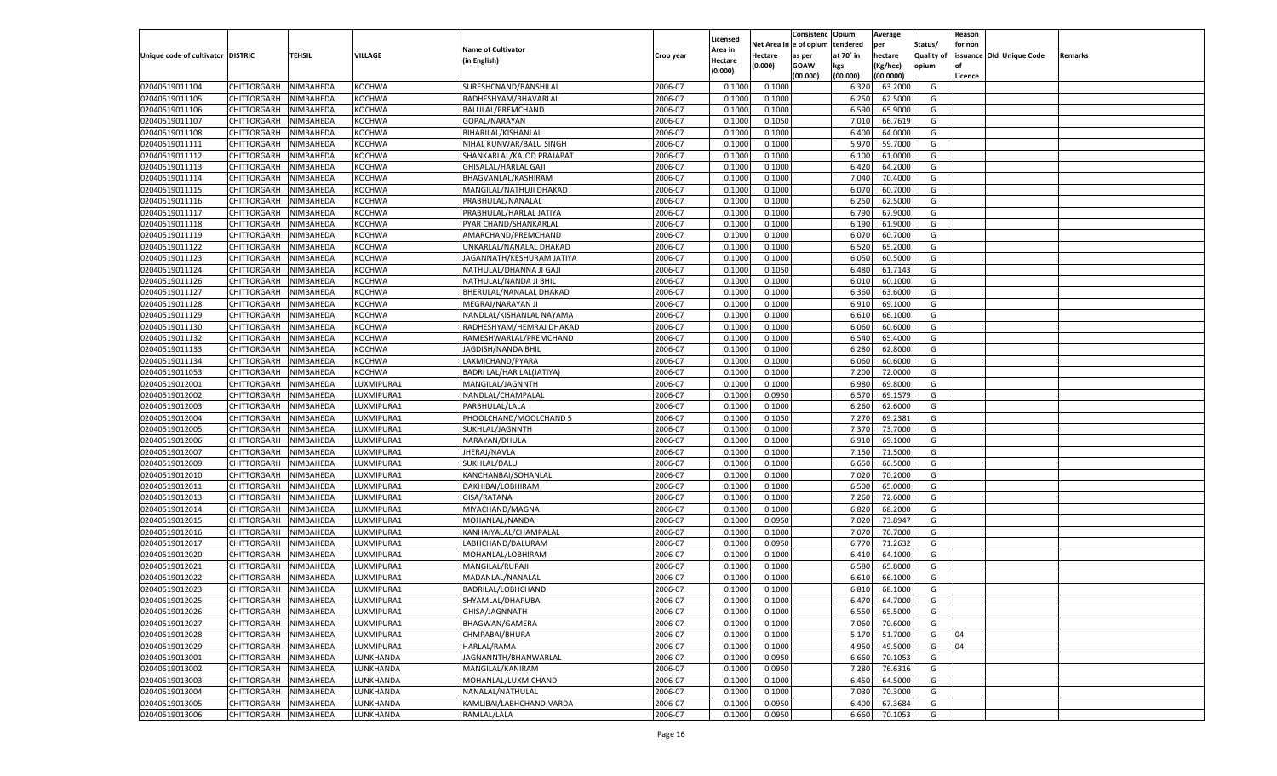|                                   |                       |               |            |                           |           |                           |          | Consistenc  | Opium     | Average   |                   | Reason  |                          |         |
|-----------------------------------|-----------------------|---------------|------------|---------------------------|-----------|---------------------------|----------|-------------|-----------|-----------|-------------------|---------|--------------------------|---------|
|                                   |                       |               |            | <b>Name of Cultivator</b> |           | Licensed                  | Net Area | e of opium  | tendered  | per       | Status/           | for non |                          |         |
| Unique code of cultivator DISTRIC |                       | <b>TEHSIL</b> | VILLAGE    | (in English)              | Crop year | <b>Area in</b><br>Hectare | Hectare  | as per      | at 70° in | hectare   | <b>Quality of</b> |         | issuance Old Unique Code | Remarks |
|                                   |                       |               |            |                           |           | (0.000)                   | (0.000)  | <b>GOAW</b> | kgs       | (Kg/hec)  | opium             |         |                          |         |
|                                   |                       |               |            |                           |           |                           |          | (00.000)    | (00.000)  | (00.0000) |                   | Licence |                          |         |
| 02040519011104                    | CHITTORGARH           | NIMBAHEDA     | KOCHWA     | SURESHCNAND/BANSHILAL     | 2006-07   | 0.1000                    | 0.1000   |             | 6.320     | 63.2000   | G                 |         |                          |         |
| 02040519011105                    | CHITTORGARH           | NIMBAHEDA     | KOCHWA     | RADHESHYAM/BHAVARLAL      | 2006-07   | 0.1000                    | 0.1000   |             | 6.250     | 62.5000   | G                 |         |                          |         |
| 02040519011106                    | CHITTORGARH           | NIMBAHEDA     | KOCHWA     | BALULAL/PREMCHAND         | 2006-07   | 0.1000                    | 0.1000   |             | 6.590     | 65.9000   | G                 |         |                          |         |
| 02040519011107                    | CHITTORGARH           | NIMBAHEDA     | KOCHWA     | GOPAL/NARAYAN             | 2006-07   | 0.1000                    | 0.1050   |             | 7.010     | 66.7619   | G                 |         |                          |         |
| 02040519011108                    | CHITTORGARH           | NIMBAHEDA     | KOCHWA     | BIHARILAL/KISHANLAL       | 2006-07   | 0.1000                    | 0.1000   |             | 6.400     | 64.0000   | G                 |         |                          |         |
| 02040519011111                    | CHITTORGARH           | NIMBAHEDA     | KOCHWA     | NIHAL KUNWAR/BALU SINGH   | 2006-07   | 0.1000                    | 0.1000   |             | 5.970     | 59.7000   | G                 |         |                          |         |
| 02040519011112                    | CHITTORGARH           | NIMBAHEDA     | KOCHWA     | SHANKARLAL/KAJOD PRAJAPAT | 2006-07   | 0.1000                    | 0.1000   |             | 6.100     | 61.0000   | G                 |         |                          |         |
| 02040519011113                    | CHITTORGARH           | NIMBAHEDA     | KOCHWA     | GHISALAL/HARLAL GAJI      | 2006-07   | 0.1000                    | 0.1000   |             | 6.420     | 64.2000   | G                 |         |                          |         |
| 02040519011114                    | CHITTORGARH           | NIMBAHEDA     | KOCHWA     | BHAGVANLAL/KASHIRAM       | 2006-07   | 0.1000                    | 0.1000   |             | 7.040     | 70.4000   | G                 |         |                          |         |
| 02040519011115                    | CHITTORGARH           | NIMBAHEDA     | KOCHWA     | MANGILAL/NATHUJI DHAKAD   | 2006-07   | 0.1000                    | 0.1000   |             | 6.07      | 60.7000   | G                 |         |                          |         |
| 02040519011116                    | CHITTORGARH           | NIMBAHEDA     | KOCHWA     | PRABHULAL/NANALAL         | 2006-07   | 0.1000                    | 0.1000   |             | 6.250     | 62.5000   | G                 |         |                          |         |
| 02040519011117                    | CHITTORGARH           | NIMBAHEDA     | KOCHWA     | PRABHULAL/HARLAL JATIYA   | 2006-07   | 0.1000                    | 0.1000   |             | 6.790     | 67.9000   | G                 |         |                          |         |
| 02040519011118                    | CHITTORGARH           | NIMBAHEDA     | KOCHWA     | PYAR CHAND/SHANKARLAL     | 2006-07   | 0.1000                    | 0.1000   |             | 6.190     | 61.9000   | G                 |         |                          |         |
| 02040519011119                    | CHITTORGARH           | NIMBAHEDA     | KOCHWA     | AMARCHAND/PREMCHAND       | 2006-07   | 0.1000                    | 0.1000   |             | 6.070     | 60.7000   | G                 |         |                          |         |
| 02040519011122                    | CHITTORGARH           | NIMBAHEDA     | KOCHWA     | UNKARLAL/NANALAL DHAKAD   | 2006-07   | 0.1000                    | 0.1000   |             | 6.520     | 65.2000   | G                 |         |                          |         |
| 02040519011123                    | CHITTORGARH           | NIMBAHEDA     | KOCHWA     | JAGANNATH/KESHURAM JATIYA | 2006-07   | 0.1000                    | 0.1000   |             | 6.050     | 60.5000   | G                 |         |                          |         |
| 02040519011124                    | CHITTORGARH           | NIMBAHEDA     | KOCHWA     | NATHULAL/DHANNA JI GAJI   | 2006-07   | 0.1000                    | 0.1050   |             | 6.480     | 61.7143   | G                 |         |                          |         |
| 02040519011126                    | CHITTORGARH           | NIMBAHEDA     | KOCHWA     | NATHULAL/NANDA JI BHIL    | 2006-07   | 0.1000                    | 0.1000   |             | 6.010     | 60.1000   | G                 |         |                          |         |
| 02040519011127                    | CHITTORGARH           | NIMBAHEDA     | KOCHWA     | BHERULAL/NANALAL DHAKAD   | 2006-07   | 0.1000                    | 0.1000   |             | 6.360     | 63.6000   | G                 |         |                          |         |
| 02040519011128                    | CHITTORGARH           | NIMBAHEDA     | KOCHWA     | MEGRAJ/NARAYAN JI         | 2006-07   | 0.1000                    | 0.1000   |             | 6.910     | 69.1000   | G                 |         |                          |         |
| 02040519011129                    | CHITTORGARH           | NIMBAHEDA     | KOCHWA     | NANDLAL/KISHANLAL NAYAMA  | 2006-07   | 0.1000                    | 0.1000   |             | 6.610     | 66.1000   | G                 |         |                          |         |
| 02040519011130                    | CHITTORGARH           | NIMBAHEDA     | KOCHWA     | RADHESHYAM/HEMRAJ DHAKAD  | 2006-07   | 0.1000                    | 0.1000   |             | 6.060     | 60.6000   | G                 |         |                          |         |
| 02040519011132                    | CHITTORGARH           | NIMBAHEDA     | KOCHWA     | RAMESHWARLAL/PREMCHAND    | 2006-07   | 0.1000                    | 0.1000   |             | 6.540     | 65.4000   | G                 |         |                          |         |
| 02040519011133                    | CHITTORGARH           | NIMBAHEDA     | KOCHWA     | JAGDISH/NANDA BHIL        | 2006-07   | 0.1000                    | 0.1000   |             | 6.280     | 62.8000   | G                 |         |                          |         |
| 02040519011134                    | CHITTORGARH           | NIMBAHEDA     | KOCHWA     | LAXMICHAND/PYARA          | 2006-07   | 0.1000                    | 0.1000   |             | 6.060     | 60.6000   | G                 |         |                          |         |
| 02040519011053                    | CHITTORGARH           | NIMBAHEDA     | KOCHWA     | BADRI LAL/HAR LAL(JATIYA) | 2006-07   | 0.1000                    | 0.1000   |             | 7.200     | 72.0000   | G                 |         |                          |         |
| 02040519012001                    | CHITTORGARH           | NIMBAHEDA     | UXMIPURA1  | MANGILAL/JAGNNTH          | 2006-07   | 0.1000                    | 0.1000   |             | 6.980     | 69.8000   | G                 |         |                          |         |
| 02040519012002                    | CHITTORGARH           | NIMBAHEDA     | UXMIPURA1  | NANDLAL/CHAMPALAL         | 2006-07   | 0.1000                    | 0.0950   |             | 6.570     | 69.1579   | G                 |         |                          |         |
| 02040519012003                    | CHITTORGARH           | NIMBAHEDA     | UXMIPURA1  | PARBHULAL/LALA            | 2006-07   | 0.1000                    | 0.1000   |             | 6.260     | 62.6000   | G                 |         |                          |         |
| 02040519012004                    | CHITTORGARH           | NIMBAHEDA     | LUXMIPURA1 | PHOOLCHAND/MOOLCHAND 5    | 2006-07   | 0.1000                    | 0.1050   |             | 7.270     | 69.2381   | G                 |         |                          |         |
| 02040519012005                    | CHITTORGARH           | NIMBAHEDA     | LUXMIPURA1 | SUKHLAL/JAGNNTH           | 2006-07   | 0.1000                    | 0.1000   |             | 7.370     | 73.7000   | G                 |         |                          |         |
| 02040519012006                    | CHITTORGARH           | NIMBAHEDA     | LUXMIPURA1 | NARAYAN/DHULA             | 2006-07   | 0.1000                    | 0.1000   |             | 6.910     | 69.1000   | G                 |         |                          |         |
| 02040519012007                    | CHITTORGARH           | NIMBAHEDA     | LUXMIPURA1 | JHERAJ/NAVLA              | 2006-07   | 0.1000                    | 0.1000   |             | 7.150     | 71.5000   | G                 |         |                          |         |
| 02040519012009                    | CHITTORGARH           | NIMBAHEDA     | LUXMIPURA1 | SUKHLAL/DALU              | 2006-07   | 0.1000                    | 0.1000   |             | 6.650     | 66.5000   | G                 |         |                          |         |
| 02040519012010                    | <b>CHITTORGARH</b>    | NIMBAHEDA     | LUXMIPURA1 | KANCHANBAI/SOHANLAL       | 2006-07   | 0.1000                    | 0.1000   |             | 7.020     | 70.2000   | G                 |         |                          |         |
| 02040519012011                    | CHITTORGARH           | NIMBAHEDA     | LUXMIPURA1 | DAKHIBAI/LOBHIRAM         | 2006-07   | 0.1000                    | 0.1000   |             | 6.500     | 65.0000   | G                 |         |                          |         |
| 02040519012013                    | CHITTORGARH           | NIMBAHEDA     | LUXMIPURA1 | GISA/RATANA               | 2006-07   | 0.1000                    | 0.1000   |             | 7.260     | 72.6000   | G                 |         |                          |         |
| 02040519012014                    | CHITTORGARH           | NIMBAHEDA     | LUXMIPURA1 | MIYACHAND/MAGNA           | 2006-07   | 0.1000                    | 0.1000   |             | 6.820     | 68.2000   | G                 |         |                          |         |
| 02040519012015                    | <b>CHITTORGARH</b>    | NIMBAHEDA     | LUXMIPURA1 | MOHANLAL/NANDA            | 2006-07   | 0.1000                    | 0.0950   |             | 7.020     | 73.8947   | G                 |         |                          |         |
| 02040519012016                    | CHITTORGARH           | NIMBAHEDA     | LUXMIPURA1 | KANHAIYALAL/CHAMPALAL     | 2006-07   | 0.1000                    | 0.1000   |             | 7.070     | 70.7000   | G                 |         |                          |         |
| 02040519012017                    | CHITTORGARH           | NIMBAHEDA     | LUXMIPURA1 | LABHCHAND/DALURAM         | 2006-07   | 0.1000                    | 0.0950   |             | 6.770     | 71.2632   | G                 |         |                          |         |
| 02040519012020                    | CHITTORGARH           | NIMBAHEDA     | LUXMIPURA1 | MOHANLAL/LOBHIRAM         | 2006-07   | 0.1000                    | 0.1000   |             | 6.41      | 64.1000   | G                 |         |                          |         |
| 02040519012021                    | CHITTORGARH           | NIMBAHEDA     | LUXMIPURA1 | MANGILAL/RUPAJI           | 2006-07   | 0.1000                    | 0.1000   |             | 6.580     | 65.8000   | G                 |         |                          |         |
| 02040519012022                    | CHITTORGARH           | NIMBAHEDA     | LUXMIPURA1 | MADANLAL/NANALAL          | 2006-07   | 0.1000                    | 0.1000   |             | 6.610     | 66.1000   | G                 |         |                          |         |
| 02040519012023                    |                       | NIMBAHEDA     |            |                           | 2006-07   | 0.1000                    | 0.1000   |             | 6.810     | 68.1000   | G                 |         |                          |         |
| 02040519012025                    | CHITTORGARH           |               | LUXMIPURA1 | BADRILAL/LOBHCHAND        |           |                           |          |             |           |           |                   |         |                          |         |
|                                   | CHITTORGARH NIMBAHEDA |               | LUXMIPURA1 | SHYAMLAL/DHAPUBAI         | 2006-07   | 0.1000                    | 0.1000   |             | 6.470     | 64.7000   | G                 |         |                          |         |
| 02040519012026                    | <b>CHITTORGARH</b>    | NIMBAHEDA     | LUXMIPURA1 | GHISA/JAGNNATH            | 2006-07   | 0.1000                    | 0.1000   |             | 6.550     | 65.5000   | G                 |         |                          |         |
| 02040519012027                    | CHITTORGARH           | NIMBAHEDA     | LUXMIPURA1 | BHAGWAN/GAMERA            | 2006-07   | 0.1000                    | 0.1000   |             | 7.060     | 70.6000   | G                 |         |                          |         |
| 02040519012028                    | <b>CHITTORGARH</b>    | NIMBAHEDA     | LUXMIPURA1 | CHMPABAI/BHURA            | 2006-07   | 0.1000                    | 0.1000   |             | 5.170     | 51.7000   | G                 | 04      |                          |         |
| 02040519012029                    | <b>CHITTORGARH</b>    | NIMBAHEDA     | LUXMIPURA1 | HARLAL/RAMA               | 2006-07   | 0.1000                    | 0.1000   |             | 4.950     | 49.5000   | G                 | 04      |                          |         |
| 02040519013001                    | <b>CHITTORGARH</b>    | NIMBAHEDA     | LUNKHANDA  | JAGNANNTH/BHANWARLAL      | 2006-07   | 0.1000                    | 0.0950   |             | 6.660     | 70.1053   | G                 |         |                          |         |
| 02040519013002                    | <b>CHITTORGARH</b>    | NIMBAHEDA     | LUNKHANDA  | MANGILAL/KANIRAM          | 2006-07   | 0.1000                    | 0.0950   |             | 7.280     | 76.6316   | G                 |         |                          |         |
| 02040519013003                    | <b>CHITTORGARH</b>    | NIMBAHEDA     | LUNKHANDA  | MOHANLAL/LUXMICHAND       | 2006-07   | 0.1000                    | 0.1000   |             | 6.450     | 64.5000   | G                 |         |                          |         |
| 02040519013004                    | <b>CHITTORGARH</b>    | NIMBAHEDA     | LUNKHANDA  | NANALAL/NATHULAL          | 2006-07   | 0.1000                    | 0.1000   |             | 7.030     | 70.3000   | G                 |         |                          |         |
| 02040519013005                    | <b>CHITTORGARH</b>    | NIMBAHEDA     | LUNKHANDA  | KAMLIBAI/LABHCHAND-VARDA  | 2006-07   | 0.1000                    | 0.0950   |             | 6.400     | 67.3684   | G                 |         |                          |         |
| 02040519013006                    | <b>CHITTORGARH</b>    | NIMBAHEDA     | LUNKHANDA  | RAMLAL/LALA               | 2006-07   | 0.1000                    | 0.0950   |             | 6.660     | 70.1053   | G                 |         |                          |         |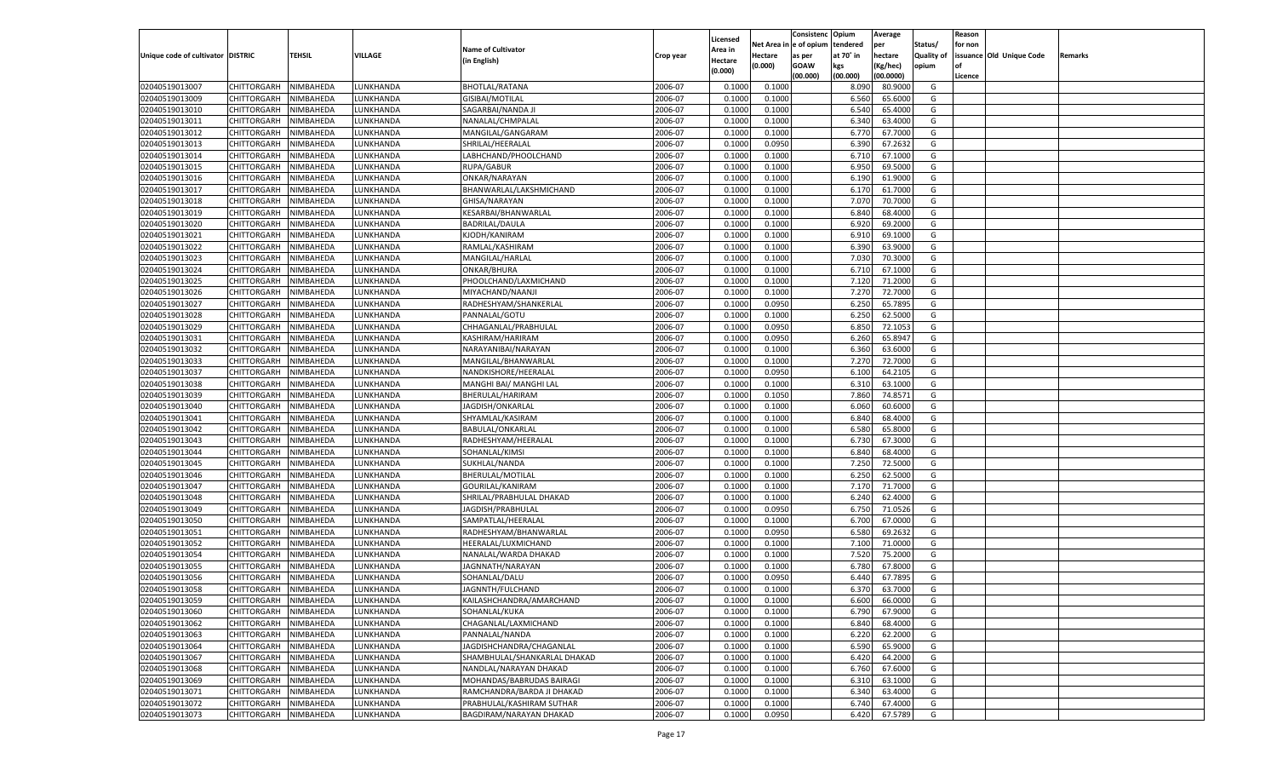|                                   |                            |               |                 |                                            |           |                           |          | Consistenc  | Opium     | Average   |                   | Reason  |                          |         |
|-----------------------------------|----------------------------|---------------|-----------------|--------------------------------------------|-----------|---------------------------|----------|-------------|-----------|-----------|-------------------|---------|--------------------------|---------|
|                                   |                            |               |                 | <b>Name of Cultivator</b>                  |           | Licensed                  | Net Area | e of opium  | tendered  | per       | Status/           | for non |                          |         |
| Unique code of cultivator DISTRIC |                            | <b>TEHSIL</b> | VILLAGE         | (in English)                               | Crop year | <b>Area in</b><br>Hectare | Hectare  | as per      | at 70° in | hectare   | <b>Quality of</b> |         | issuance Old Unique Code | Remarks |
|                                   |                            |               |                 |                                            |           | (0.000)                   | (0.000)  | <b>GOAW</b> | kgs       | (Kg/hec)  | opium             |         |                          |         |
|                                   |                            |               |                 |                                            |           |                           |          | (00.000)    | (00.000)  | (00.0000) |                   | Licence |                          |         |
| 02040519013007                    | CHITTORGARH                | NIMBAHEDA     | LUNKHANDA       | <b>BHOTLAL/RATANA</b>                      | 2006-07   | 0.1000                    | 0.1000   |             | 8.090     | 80.9000   | G                 |         |                          |         |
| 02040519013009                    | CHITTORGARH                | NIMBAHEDA     | LUNKHANDA       | GISIBAI/MOTILAL                            | 2006-07   | 0.1000                    | 0.1000   |             | 6.560     | 65.6000   | G                 |         |                          |         |
| 02040519013010                    | CHITTORGARH                | NIMBAHEDA     | LUNKHANDA       | SAGARBAI/NANDA J                           | 2006-07   | 0.1000                    | 0.1000   |             | 6.540     | 65.4000   | G                 |         |                          |         |
| 02040519013011                    | CHITTORGARH                | NIMBAHEDA     | LUNKHANDA       | NANALAL/CHMPALAL                           | 2006-07   | 0.1000                    | 0.1000   |             | 6.340     | 63.4000   | G                 |         |                          |         |
| 02040519013012                    | CHITTORGARH                | NIMBAHEDA     | UNKHANDA.       | MANGILAL/GANGARAM                          | 2006-07   | 0.1000                    | 0.1000   |             | 6.770     | 67.7000   | G                 |         |                          |         |
| 02040519013013                    | CHITTORGARH                | NIMBAHEDA     | UNKHANDA.       | SHRILAL/HEERALAL                           | 2006-07   | 0.1000                    | 0.0950   |             | 6.390     | 67.2632   | G                 |         |                          |         |
| 02040519013014                    | CHITTORGARH                | NIMBAHEDA     | LUNKHANDA       | LABHCHAND/PHOOLCHAND                       | 2006-07   | 0.1000                    | 0.1000   |             | 6.710     | 67.1000   | G                 |         |                          |         |
| 02040519013015                    | CHITTORGARH                | NIMBAHEDA     | LUNKHANDA       | RUPA/GABUR                                 | 2006-07   | 0.1000                    | 0.1000   |             | 6.950     | 69.5000   | G                 |         |                          |         |
| 02040519013016                    | CHITTORGARH                | NIMBAHEDA     | UNKHANDA.       | ONKAR/NARAYAN                              | 2006-07   | 0.1000                    | 0.1000   |             | 6.190     | 61.9000   | G                 |         |                          |         |
| 02040519013017                    | CHITTORGARH                | NIMBAHEDA     | UNKHANDA.       | BHANWARLAL/LAKSHMICHAND                    | 2006-07   | 0.1000                    | 0.1000   |             | 6.170     | 61.7000   | G                 |         |                          |         |
| 02040519013018                    | CHITTORGARH                | NIMBAHEDA     | LUNKHANDA       | GHISA/NARAYAN                              | 2006-07   | 0.1000                    | 0.1000   |             | 7.070     | 70.7000   | G                 |         |                          |         |
| 02040519013019                    | CHITTORGARH                | NIMBAHEDA     | LUNKHANDA       | KESARBAI/BHANWARLAL                        | 2006-07   | 0.1000                    | 0.1000   |             | 6.840     | 68.4000   | G                 |         |                          |         |
| 02040519013020                    | CHITTORGARH                | NIMBAHEDA     | UNKHANDA.       | <b>BADRILAL/DAULA</b>                      | 2006-07   | 0.1000                    | 0.1000   |             | 6.920     | 69.2000   | G                 |         |                          |         |
| 02040519013021                    | CHITTORGARH                | NIMBAHEDA     | <b>UNKHANDA</b> | KJODH/KANIRAM                              | 2006-07   | 0.1000                    | 0.1000   |             | 6.910     | 69.1000   | G                 |         |                          |         |
| 02040519013022                    | CHITTORGARH                | NIMBAHEDA     | <b>UNKHANDA</b> | RAMLAL/KASHIRAM                            | 2006-07   | 0.1000                    | 0.1000   |             | 6.390     | 63.9000   | G                 |         |                          |         |
| 02040519013023                    | CHITTORGARH                | NIMBAHEDA     | UNKHANDA        | MANGILAL/HARLAL                            | 2006-07   | 0.1000                    | 0.1000   |             | 7.030     | 70.3000   | G                 |         |                          |         |
| 02040519013024                    | CHITTORGARH                | NIMBAHEDA     | <b>UNKHANDA</b> | ONKAR/BHURA                                | 2006-07   | 0.1000                    | 0.1000   |             | 6.710     | 67.1000   | G                 |         |                          |         |
| 02040519013025                    | CHITTORGARH                | NIMBAHEDA     | UNKHANDA        | PHOOLCHAND/LAXMICHAND                      | 2006-07   | 0.1000                    | 0.1000   |             | 7.120     | 71.2000   | G                 |         |                          |         |
| 02040519013026                    | CHITTORGARH                | NIMBAHEDA     | <b>UNKHANDA</b> | MIYACHAND/NAANJI                           | 2006-07   | 0.1000                    | 0.1000   |             | 7.270     | 72.7000   | G                 |         |                          |         |
| 02040519013027                    | CHITTORGARH                | NIMBAHEDA     | <b>UNKHANDA</b> | RADHESHYAM/SHANKERLAL                      | 2006-07   | 0.1000                    | 0.0950   |             | 6.250     | 65.7895   | G                 |         |                          |         |
| 02040519013028                    | CHITTORGARH                | NIMBAHEDA     | <b>UNKHANDA</b> | PANNALAL/GOTU                              | 2006-07   | 0.1000                    | 0.1000   |             | 6.250     | 62.5000   | G                 |         |                          |         |
| 02040519013029                    | CHITTORGARH                | NIMBAHEDA     | UNKHANDA        | CHHAGANLAL/PRABHULAL                       | 2006-07   | 0.1000                    | 0.0950   |             | 6.850     | 72.105    | G                 |         |                          |         |
| 02040519013031                    |                            |               | <b>UNKHANDA</b> | KASHIRAM/HARIRAM                           | 2006-07   | 0.1000                    | 0.0950   |             |           | 65.8947   | G                 |         |                          |         |
|                                   | CHITTORGARH<br>CHITTORGARH | NIMBAHEDA     |                 |                                            |           |                           |          |             | 6.260     | 63.6000   |                   |         |                          |         |
| 02040519013032                    |                            | NIMBAHEDA     | <b>UNKHANDA</b> | NARAYANIBAI/NARAYAN<br>MANGILAL/BHANWARLAL | 2006-07   | 0.1000                    | 0.1000   |             | 6.360     |           | G                 |         |                          |         |
| 02040519013033                    | CHITTORGARH                | NIMBAHEDA     | <b>UNKHANDA</b> |                                            | 2006-07   | 0.1000                    | 0.1000   |             | 7.270     | 72.7000   | G                 |         |                          |         |
| 02040519013037                    | CHITTORGARH                | NIMBAHEDA     | UNKHANDA        | NANDKISHORE/HEERALAL                       | 2006-07   | 0.1000                    | 0.0950   |             | 6.100     | 64.2105   | G                 |         |                          |         |
| 02040519013038                    | CHITTORGARH                | NIMBAHEDA     | <b>UNKHANDA</b> | MANGHI BAI/ MANGHI LAL                     | 2006-07   | 0.1000                    | 0.1000   |             | 6.310     | 63.1000   | G                 |         |                          |         |
| 02040519013039                    | CHITTORGARH                | NIMBAHEDA     | <b>UNKHANDA</b> | BHERULAL/HARIRAM                           | 2006-07   | 0.1000                    | 0.1050   |             | 7.860     | 74.8571   | G                 |         |                          |         |
| 02040519013040                    | CHITTORGARH                | NIMBAHEDA     | <b>UNKHANDA</b> | JAGDISH/ONKARLAL                           | 2006-07   | 0.1000                    | 0.1000   |             | 6.060     | 60.6000   | G                 |         |                          |         |
| 02040519013041                    | CHITTORGARH                | NIMBAHEDA     | LUNKHANDA       | SHYAMLAL/KASIRAM                           | 2006-07   | 0.1000                    | 0.1000   |             | 6.840     | 68.4000   | G                 |         |                          |         |
| 02040519013042                    | CHITTORGARH                | NIMBAHEDA     | LUNKHANDA       | BABULAL/ONKARLAL                           | 2006-07   | 0.1000                    | 0.1000   |             | 6.580     | 65.8000   | G                 |         |                          |         |
| 02040519013043                    | CHITTORGARH                | NIMBAHEDA     | LUNKHANDA       | RADHESHYAM/HEERALAL                        | 2006-07   | 0.1000                    | 0.1000   |             | 6.730     | 67.3000   | G                 |         |                          |         |
| 02040519013044                    | CHITTORGARH                | NIMBAHEDA     | LUNKHANDA       | SOHANLAL/KIMSI                             | 2006-07   | 0.1000                    | 0.1000   |             | 6.840     | 68.4000   | G                 |         |                          |         |
| 02040519013045                    | CHITTORGARH                | NIMBAHEDA     | LUNKHANDA       | SUKHLAL/NANDA                              | 2006-07   | 0.1000                    | 0.1000   |             | 7.250     | 72.5000   | G                 |         |                          |         |
| 02040519013046                    | CHITTORGARH                | NIMBAHEDA     | LUNKHANDA       | BHERULAL/MOTILAL                           | 2006-07   | 0.1000                    | 0.1000   |             | 6.250     | 62.5000   | G                 |         |                          |         |
| 02040519013047                    | CHITTORGARH                | NIMBAHEDA     | LUNKHANDA       | GOURILAL/KANIRAM                           | 2006-07   | 0.1000                    | 0.1000   |             | 7.170     | 71.7000   | G                 |         |                          |         |
| 02040519013048                    | CHITTORGARH                | NIMBAHEDA     | LUNKHANDA       | SHRILAL/PRABHULAL DHAKAD                   | 2006-07   | 0.1000                    | 0.1000   |             | 6.240     | 62.4000   | G                 |         |                          |         |
| 02040519013049                    | CHITTORGARH                | NIMBAHEDA     | LUNKHANDA       | JAGDISH/PRABHULAL                          | 2006-07   | 0.1000                    | 0.0950   |             | 6.750     | 71.0526   | G                 |         |                          |         |
| 02040519013050                    | CHITTORGARH                | NIMBAHEDA     | LUNKHANDA       | SAMPATLAL/HEERALAI                         | 2006-07   | 0.1000                    | 0.1000   |             | 6.700     | 67.0000   | G                 |         |                          |         |
| 02040519013051                    | CHITTORGARH                | NIMBAHEDA     | LUNKHANDA       | RADHESHYAM/BHANWARLAL                      | 2006-07   | 0.1000                    | 0.0950   |             | 6.580     | 69.2632   | G                 |         |                          |         |
| 02040519013052                    | CHITTORGARH                | NIMBAHEDA     | LUNKHANDA       | HEERALAL/LUXMICHAND                        | 2006-07   | 0.1000                    | 0.1000   |             | 7.100     | 71.0000   | G                 |         |                          |         |
| 02040519013054                    | CHITTORGARH                | NIMBAHEDA     | LUNKHANDA       | NANALAL/WARDA DHAKAD                       | 2006-07   | 0.1000                    | 0.1000   |             | 7.520     | 75.2000   | G                 |         |                          |         |
| 02040519013055                    | CHITTORGARH                | NIMBAHEDA     | LUNKHANDA       | JAGNNATH/NARAYAN                           | 2006-07   | 0.1000                    | 0.1000   |             | 6.780     | 67.8000   | G                 |         |                          |         |
| 02040519013056                    | CHITTORGARH                | NIMBAHEDA     | LUNKHANDA       | SOHANLAL/DALU                              | 2006-07   | 0.1000                    | 0.0950   |             | 6.44      | 67.7895   | G                 |         |                          |         |
| 02040519013058                    | CHITTORGARH                | NIMBAHEDA     | LUNKHANDA       | JAGNNTH/FULCHAND                           | 2006-07   | 0.1000                    | 0.1000   |             | 6.370     | 63.7000   | G                 |         |                          |         |
| 02040519013059                    | CHITTORGARH NIMBAHEDA      |               | LUNKHANDA       | KAILASHCHANDRA/AMARCHAND                   | 2006-07   | 0.1000                    | 0.1000   |             | 6.600     | 66.0000   | G                 |         |                          |         |
| 02040519013060                    | <b>CHITTORGARH</b>         | NIMBAHEDA     | LUNKHANDA       | SOHANLAL/KUKA                              | 2006-07   | 0.1000                    | 0.1000   |             | 6.790     | 67.9000   | G                 |         |                          |         |
| 02040519013062                    | CHITTORGARH                | NIMBAHEDA     | LUNKHANDA       | CHAGANLAL/LAXMICHAND                       | 2006-07   | 0.1000                    | 0.1000   |             | 6.840     | 68.4000   | G                 |         |                          |         |
| 02040519013063                    | <b>CHITTORGARH</b>         | NIMBAHEDA     | LUNKHANDA       | PANNALAL/NANDA                             | 2006-07   | 0.1000                    | 0.1000   |             | 6.220     | 62.2000   | G                 |         |                          |         |
| 02040519013064                    | <b>CHITTORGARH</b>         | NIMBAHEDA     | LUNKHANDA       | JAGDISHCHANDRA/CHAGANLAL                   | 2006-07   | 0.1000                    | 0.1000   |             | 6.590     | 65.9000   | G                 |         |                          |         |
| 02040519013067                    | <b>CHITTORGARH</b>         | NIMBAHEDA     | LUNKHANDA       | SHAMBHULAL/SHANKARLAL DHAKAD               | 2006-07   | 0.1000                    | 0.1000   |             | 6.420     | 64.2000   | G                 |         |                          |         |
| 02040519013068                    | <b>CHITTORGARH</b>         | NIMBAHEDA     | LUNKHANDA       | NANDLAL/NARAYAN DHAKAD                     | 2006-07   | 0.1000                    | 0.1000   |             | 6.760     | 67.6000   | G                 |         |                          |         |
| 02040519013069                    | <b>CHITTORGARH</b>         | NIMBAHEDA     | LUNKHANDA       | MOHANDAS/BABRUDAS BAIRAGI                  | 2006-07   | 0.1000                    | 0.1000   |             | 6.310     | 63.1000   | G                 |         |                          |         |
| 02040519013071                    | <b>CHITTORGARH</b>         | NIMBAHEDA     | LUNKHANDA       | RAMCHANDRA/BARDA JI DHAKAD                 | 2006-07   | 0.1000                    | 0.1000   |             | 6.340     | 63.4000   | G                 |         |                          |         |
| 02040519013072                    | <b>CHITTORGARH</b>         | NIMBAHEDA     | LUNKHANDA       | PRABHULAL/KASHIRAM SUTHAR                  | 2006-07   | 0.1000                    | 0.1000   |             | 6.740     | 67.4000   | G                 |         |                          |         |
| 02040519013073                    | <b>CHITTORGARH</b>         | NIMBAHEDA     | LUNKHANDA       | BAGDIRAM/NARAYAN DHAKAD                    | 2006-07   | 0.1000                    | 0.0950   |             | 6.420     | 67.5789   | G                 |         |                          |         |
|                                   |                            |               |                 |                                            |           |                           |          |             |           |           |                   |         |                          |         |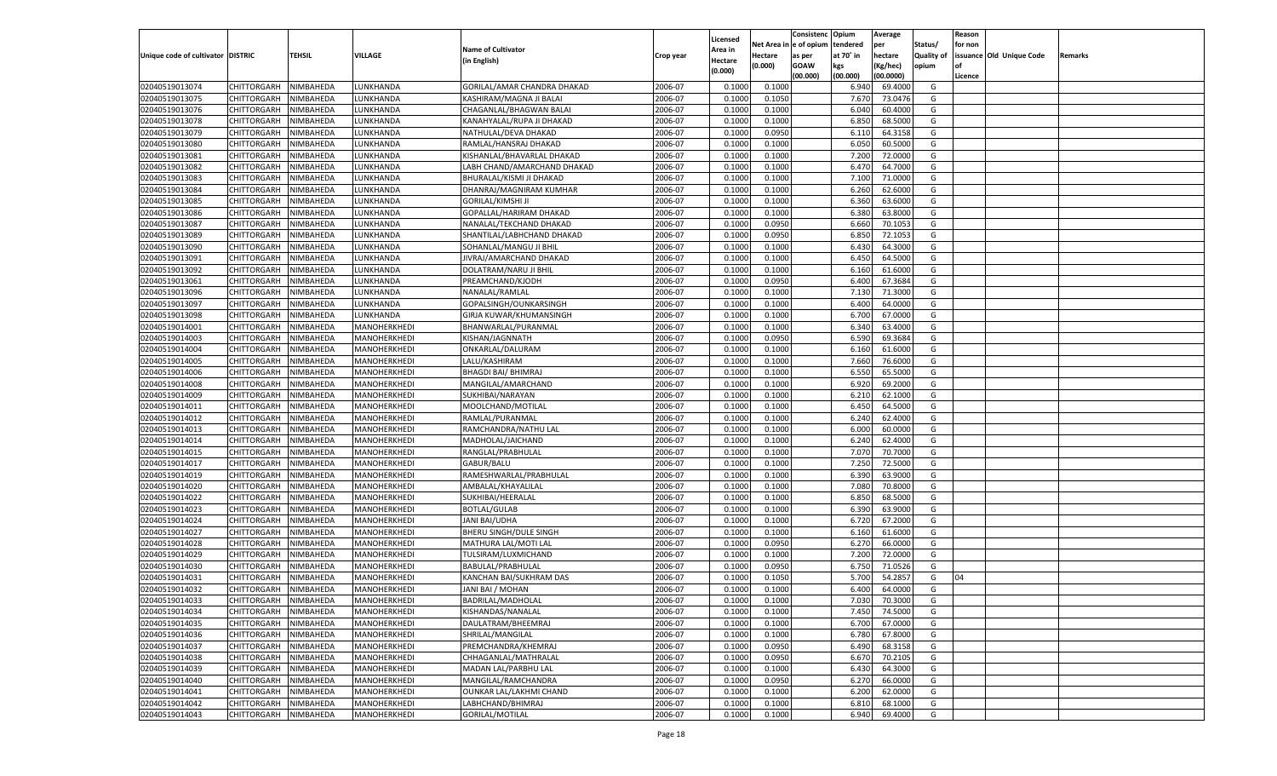|                                   |                       |                        |                              |                             |           |                    |                  | Consistenc    | Opium     | Average   |            | Reason  |                          |         |
|-----------------------------------|-----------------------|------------------------|------------------------------|-----------------------------|-----------|--------------------|------------------|---------------|-----------|-----------|------------|---------|--------------------------|---------|
|                                   |                       |                        |                              |                             |           | Licensed           | Net Area iı      | n  e of opium | tendered  | per       | Status/    | for non |                          |         |
| Unique code of cultivator DISTRIC |                       | TEHSIL                 | <b>VILLAGE</b>               | <b>Name of Cultivator</b>   | Crop year | Area in            | Hectare          | as per        | at 70° in | hectare   | Quality of |         | issuance Old Unique Code | Remarks |
|                                   |                       |                        |                              | (in English)                |           | Hectare<br>(0.000) | (0.000)          | <b>GOAW</b>   | kgs       | (Kg/hec)  | opium      |         |                          |         |
|                                   |                       |                        |                              |                             |           |                    |                  | (00.000)      | (00.000)  | (00.0000) |            | Licence |                          |         |
| 02040519013074                    | CHITTORGARH           | NIMBAHEDA              | LUNKHANDA                    | GORILAL/AMAR CHANDRA DHAKAD | 2006-07   | 0.1000             | 0.1000           |               | 6.940     | 69.4000   | G          |         |                          |         |
| 02040519013075                    | CHITTORGARH           | NIMBAHEDA              | LUNKHANDA                    | KASHIRAM/MAGNA JI BALAI     | 2006-07   | 0.1000             | 0.1050           |               | 7.670     | 73.0476   | G          |         |                          |         |
| 02040519013076                    | CHITTORGARH           | NIMBAHEDA              | LUNKHANDA                    | CHAGANLAL/BHAGWAN BALAI     | 2006-07   | 0.1000             | 0.1000           |               | 6.040     | 60.4000   | G          |         |                          |         |
| 02040519013078                    | CHITTORGARH           | NIMBAHEDA              | LUNKHANDA                    | KANAHYALAL/RUPA JI DHAKAD   | 2006-07   | 0.1000             | 0.1000           |               | 6.850     | 68.5000   | G          |         |                          |         |
| 02040519013079                    | CHITTORGARH           | NIMBAHEDA              | LUNKHANDA                    | NATHULAL/DEVA DHAKAD        | 2006-07   | 0.1000             | 0.0950           |               | 6.11      | 64.3158   | G          |         |                          |         |
| 02040519013080                    | CHITTORGARH           | NIMBAHEDA              | LUNKHANDA                    | RAMLAL/HANSRAJ DHAKAD       | 2006-07   | 0.1000             | 0.1000           |               | 6.050     | 60.5000   | G          |         |                          |         |
| 02040519013081                    | CHITTORGARH           | NIMBAHEDA              | LUNKHANDA                    | KISHANLAL/BHAVARLAL DHAKAD  | 2006-07   | 0.1000             | 0.1000           |               | 7.200     | 72.0000   | G          |         |                          |         |
| 02040519013082                    | CHITTORGARH           | NIMBAHEDA              | LUNKHANDA                    | LABH CHAND/AMARCHAND DHAKAD | 2006-07   | 0.1000             | 0.1000           |               | 6.470     | 64.7000   | G          |         |                          |         |
| 02040519013083                    | CHITTORGARH           | NIMBAHEDA              | LUNKHANDA                    | BHURALAL/KISMI JI DHAKAD    | 2006-07   | 0.1000             | 0.1000           |               | 7.100     | 71.0000   | G          |         |                          |         |
| 02040519013084                    | CHITTORGARH           | NIMBAHEDA              | LUNKHANDA                    | DHANRAJ/MAGNIRAM KUMHAR     | 2006-07   | 0.1000             | 0.1000           |               | 6.260     | 62.6000   | G          |         |                          |         |
| 02040519013085                    | CHITTORGARH           | NIMBAHEDA              | LUNKHANDA                    | <b>GORILAL/KIMSHI JI</b>    | 2006-07   | 0.1000             | 0.1000           |               | 6.360     | 63.6000   | G          |         |                          |         |
| 02040519013086                    | CHITTORGARH           | NIMBAHEDA              | LUNKHANDA                    | GOPALLAL/HARIRAM DHAKAD     | 2006-07   | 0.1000             | 0.1000           |               | 6.380     | 63.8000   | G          |         |                          |         |
| 02040519013087                    | CHITTORGARH           | NIMBAHEDA              | LUNKHANDA                    | NANALAL/TEKCHAND DHAKAD     | 2006-07   | 0.1000             | 0.0950           |               | 6.660     | 70.1053   | G          |         |                          |         |
| 02040519013089                    | CHITTORGARH           | NIMBAHEDA              | UNKHANDA.                    | SHANTILAL/LABHCHAND DHAKAD  | 2006-07   | 0.1000             | 0.0950           |               | 6.850     | 72.1053   | G          |         |                          |         |
| 02040519013090                    | CHITTORGARH           | NIMBAHEDA              | <b>UNKHANDA</b>              | SOHANLAL/MANGU JI BHIL      | 2006-07   | 0.1000             | 0.1000           |               | 6.430     | 64.3000   | G          |         |                          |         |
| 02040519013091                    | CHITTORGARH           | NIMBAHEDA              | <b>UNKHANDA</b>              | JIVRAJ/AMARCHAND DHAKAD     | 2006-07   | 0.1000             | 0.1000           |               | 6.450     | 64.5000   | G          |         |                          |         |
| 02040519013092                    | CHITTORGARH           | NIMBAHEDA              | UNKHANDA                     | DOLATRAM/NARU JI BHIL       | 2006-07   | 0.1000             | 0.1000           |               | 6.160     | 61.6000   | G          |         |                          |         |
| 02040519013061                    | CHITTORGARH           | NIMBAHEDA              | UNKHANDA.                    | PREAMCHAND/KJODH            | 2006-07   | 0.1000             | 0.0950           |               | 6.400     | 67.3684   | G          |         |                          |         |
| 02040519013096                    | CHITTORGARH           | NIMBAHEDA              | UNKHANDA                     | NANALAL/RAMLAL              | 2006-07   | 0.1000             | 0.1000           |               | 7.130     | 71.3000   | G          |         |                          |         |
| 02040519013097                    | CHITTORGARH           | NIMBAHEDA              | UNKHANDA.                    | GOPALSINGH/OUNKARSINGH      | 2006-07   | 0.1000             | 0.1000           |               | 6.400     | 64.0000   | G          |         |                          |         |
| 02040519013098                    | CHITTORGARH           | NIMBAHEDA              | UNKHANDA                     | GIRJA KUWAR/KHUMANSINGH     | 2006-07   | 0.1000             | 0.1000           |               | 6.700     | 67.0000   | G          |         |                          |         |
| 02040519014001                    | CHITTORGARH           | NIMBAHEDA              | MANOHERKHEDI                 | BHANWARLAL/PURANMAL         | 2006-07   | 0.1000             | 0.1000           |               | 6.340     | 63.4000   | G          |         |                          |         |
| 02040519014003                    | CHITTORGARH           | NIMBAHEDA              | MANOHERKHEDI                 | KISHAN/JAGNNATH             | 2006-07   | 0.1000             | 0.0950           |               | 6.590     | 69.3684   | G          |         |                          |         |
| 02040519014004                    | CHITTORGARH           | NIMBAHEDA              | MANOHERKHEDI                 | ONKARLAL/DALURAM            | 2006-07   | 0.1000             | 0.1000           |               | 6.160     | 61.6000   | G          |         |                          |         |
| 02040519014005                    | CHITTORGARH           | NIMBAHEDA              | MANOHERKHEDI                 | LALU/KASHIRAM               | 2006-07   | 0.1000             | 0.1000           |               | 7.660     | 76.6000   | G          |         |                          |         |
| 02040519014006                    | CHITTORGARH           | NIMBAHEDA              | MANOHERKHEDI                 | <b>BHAGDI BAI/ BHIMRAJ</b>  | 2006-07   | 0.1000             | 0.1000           |               | 6.550     | 65.5000   | G          |         |                          |         |
| 02040519014008                    | CHITTORGARH           | NIMBAHEDA              | MANOHERKHEDI                 | MANGILAL/AMARCHAND          | 2006-07   | 0.1000             | 0.1000           |               | 6.920     | 69.2000   | G          |         |                          |         |
| 02040519014009                    | CHITTORGARH           | NIMBAHEDA              | MANOHERKHEDI                 | SUKHIBAI/NARAYAN            | 2006-07   | 0.1000             | 0.1000           |               | 6.210     | 62.1000   | G          |         |                          |         |
| 02040519014011                    | CHITTORGARH           | NIMBAHEDA              | MANOHERKHEDI                 | MOOLCHAND/MOTILAL           | 2006-07   | 0.1000             | 0.1000           |               | 6.450     | 64.5000   | G          |         |                          |         |
| 02040519014012                    | CHITTORGARH           | NIMBAHEDA              | MANOHERKHEDI                 | RAMLAL/PURANMAL             | 2006-07   | 0.1000             | 0.1000           |               | 6.240     | 62.4000   | G          |         |                          |         |
| 02040519014013                    | CHITTORGARH           | NIMBAHEDA              | MANOHERKHEDI                 | RAMCHANDRA/NATHU LAL        | 2006-07   | 0.1000             | 0.1000           |               | 6.000     | 60.0000   | G          |         |                          |         |
| 02040519014014                    | CHITTORGARH           | NIMBAHEDA              | MANOHERKHEDI                 | MADHOLAL/JAICHAND           | 2006-07   | 0.1000             | 0.1000           |               | 6.240     | 62.4000   | G          |         |                          |         |
| 02040519014015                    | CHITTORGARH           | NIMBAHEDA              | MANOHERKHEDI                 | RANGLAL/PRABHULAL           | 2006-07   | 0.1000             | 0.1000           |               | 7.070     | 70.7000   | G          |         |                          |         |
| 02040519014017                    | CHITTORGARH           | NIMBAHEDA              | MANOHERKHEDI                 | GABUR/BALU                  | 2006-07   | 0.1000             | 0.1000           |               | 7.250     | 72.5000   | G          |         |                          |         |
| 02040519014019                    | CHITTORGARH           | NIMBAHEDA              | MANOHERKHEDI                 | RAMESHWARLAL/PRABHULAL      | 2006-07   | 0.1000             | 0.1000           |               | 6.390     | 63.9000   | G          |         |                          |         |
| 02040519014020                    | CHITTORGARH           | NIMBAHEDA              | MANOHERKHEDI                 | AMBALAL/KHAYALILAI          | 2006-07   | 0.1000             | 0.1000           |               | 7.080     | 70.8000   | G          |         |                          |         |
| 02040519014022                    | CHITTORGARH           | NIMBAHEDA              | MANOHERKHEDI                 | SUKHIBAI/HEERALAL           | 2006-07   | 0.1000             | 0.1000           |               | 6.850     | 68.5000   | G          |         |                          |         |
| 02040519014023                    | CHITTORGARH           | NIMBAHEDA              | MANOHERKHEDI                 | <b>BOTLAL/GULAB</b>         | 2006-07   | 0.1000             | 0.1000           |               | 6.390     | 63.9000   | G          |         |                          |         |
| 02040519014024                    | CHITTORGARH           | NIMBAHEDA              | MANOHERKHEDI                 | <b>JANI BAI/UDHA</b>        | 2006-07   | 0.1000             | 0.1000           |               | 6.720     | 67.2000   | G          |         |                          |         |
| 02040519014027                    |                       |                        |                              |                             | 2006-07   | 0.1000             |                  |               | 6.160     | 61.6000   | G          |         |                          |         |
| 02040519014028                    | CHITTORGARH           | NIMBAHEDA<br>NIMBAHEDA | MANOHERKHEDI<br>MANOHERKHEDI | BHERU SINGH/DULE SINGH      | 2006-07   | 0.1000             | 0.1000<br>0.0950 |               | 6.270     | 66.0000   | G          |         |                          |         |
| 02040519014029                    | CHITTORGARH           |                        |                              | MATHURA LAL/MOTI LAL        | 2006-07   | 0.1000             |                  |               | 7.200     | 72.0000   | G          |         |                          |         |
|                                   | CHITTORGARH           | NIMBAHEDA              | MANOHERKHEDI<br>MANOHERKHEDI | TULSIRAM/LUXMICHAND         | 2006-07   |                    | 0.1000           |               |           | 71.0526   |            |         |                          |         |
| 02040519014030                    | CHITTORGARH           | NIMBAHEDA              |                              | BABULAL/PRABHULAL           |           | 0.1000             | 0.0950           |               | 6.750     |           | G          |         |                          |         |
| 02040519014031                    | CHITTORGARH           | NIMBAHEDA              | MANOHERKHEDI                 | KANCHAN BAI/SUKHRAM DAS     | 2006-07   | 0.1000             | 0.1050           |               | 5.700     | 54.285    | G          | 04      |                          |         |
| 02040519014032                    | CHITTORGARH           | NIMBAHEDA              | MANOHERKHEDI                 | JANI BAI / MOHAN            | 2006-07   | 0.1000             | 0.1000           |               | 6.400     | 64.0000   | G          |         |                          |         |
| 02040519014033                    | CHITTORGARH NIMBAHEDA |                        | MANOHERKHEDI                 | BADRILAL/MADHOLAL           | 2006-07   | 0.1000             | 0.1000           |               | 7.030     | 70.3000   | G          |         |                          |         |
| 02040519014034                    | <b>CHITTORGARH</b>    | NIMBAHEDA              | MANOHERKHEDI                 | KISHANDAS/NANALAL           | 2006-07   | 0.1000             | 0.1000           |               | 7.450     | 74.5000   | G          |         |                          |         |
| 02040519014035                    | CHITTORGARH           | NIMBAHEDA              | MANOHERKHEDI                 | DAULATRAM/BHEEMRAJ          | 2006-07   | 0.1000             | 0.1000           |               | 6.700     | 67.0000   | G          |         |                          |         |
| 02040519014036                    | CHITTORGARH           | NIMBAHEDA              | MANOHERKHEDI                 | SHRILAL/MANGILAL            | 2006-07   | 0.1000             | 0.1000           |               | 6.780     | 67.8000   | G          |         |                          |         |
| 02040519014037                    | <b>CHITTORGARH</b>    | NIMBAHEDA              | MANOHERKHEDI                 | PREMCHANDRA/KHEMRAJ         | 2006-07   | 0.1000             | 0.0950           |               | 6.490     | 68.3158   | G          |         |                          |         |
| 02040519014038                    | <b>CHITTORGARH</b>    | NIMBAHEDA              | MANOHERKHEDI                 | CHHAGANLAL/MATHRALAL        | 2006-07   | 0.1000             | 0.0950           |               | 6.670     | 70.2105   | G          |         |                          |         |
| 02040519014039                    | CHITTORGARH           | NIMBAHEDA              | MANOHERKHEDI                 | MADAN LAL/PARBHU LAL        | 2006-07   | 0.1000             | 0.1000           |               | 6.430     | 64.3000   | G          |         |                          |         |
| 02040519014040                    | CHITTORGARH           | NIMBAHEDA              | MANOHERKHEDI                 | MANGILAL/RAMCHANDRA         | 2006-07   | 0.1000             | 0.0950           |               | 6.270     | 66.0000   | G          |         |                          |         |
| 02040519014041                    | CHITTORGARH           | NIMBAHEDA              | MANOHERKHEDI                 | OUNKAR LAL/LAKHMI CHAND     | 2006-07   | 0.1000             | 0.1000           |               | 6.200     | 62.0000   | G          |         |                          |         |
| 02040519014042                    | <b>CHITTORGARH</b>    | NIMBAHEDA              | MANOHERKHEDI                 | LABHCHAND/BHIMRAJ           | 2006-07   | 0.1000             | 0.1000           |               | 6.810     | 68.1000   | G          |         |                          |         |
| 02040519014043                    | <b>CHITTORGARH</b>    | NIMBAHEDA              | MANOHERKHEDI                 | <b>GORILAL/MOTILAL</b>      | 2006-07   | 0.1000             | 0.1000           |               | 6.940     | 69.4000   | G          |         |                          |         |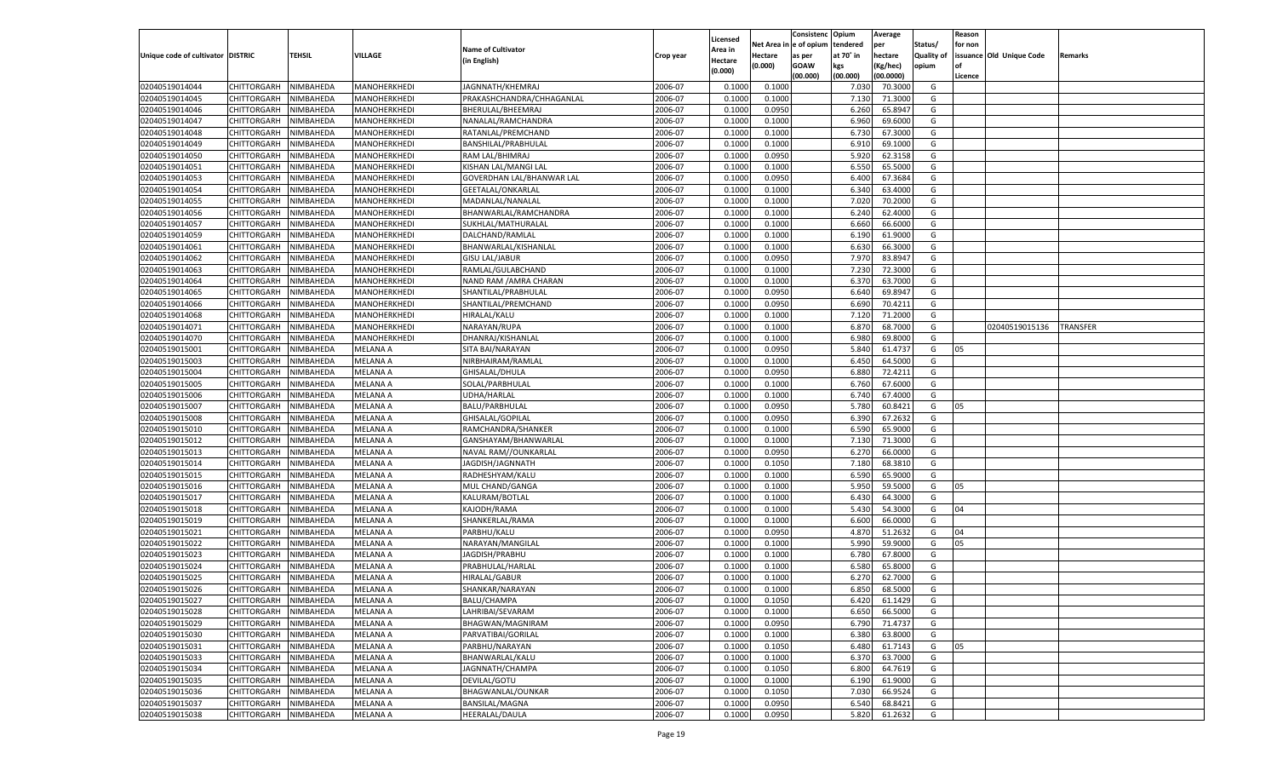|                                   |                    |           |                 |                                  |           |                    |             | Consistenc    | Opium     | Average   |            | Reason  |                          |                 |
|-----------------------------------|--------------------|-----------|-----------------|----------------------------------|-----------|--------------------|-------------|---------------|-----------|-----------|------------|---------|--------------------------|-----------------|
|                                   |                    |           |                 |                                  |           | Licensed           | Net Area iı | n  e of opium | tendered  | per       | Status/    | for non |                          |                 |
| Unique code of cultivator DISTRIC |                    | TEHSIL    | <b>VILLAGE</b>  | <b>Name of Cultivator</b>        | Crop year | Area in            | Hectare     | as per        | at 70° in | hectare   | Quality of |         | issuance Old Unique Code | Remarks         |
|                                   |                    |           |                 | (in English)                     |           | Hectare<br>(0.000) | (0.000)     | <b>GOAW</b>   | kgs       | (Kg/hec)  | opium      |         |                          |                 |
|                                   |                    |           |                 |                                  |           |                    |             | (00.000)      | (00.000)  | (00.0000) |            | Licence |                          |                 |
| 02040519014044                    | CHITTORGARH        | NIMBAHEDA | MANOHERKHEDI    | JAGNNATH/KHEMRAJ                 | 2006-07   | 0.1000             | 0.1000      |               | 7.030     | 70.3000   | G          |         |                          |                 |
| 02040519014045                    | CHITTORGARH        | NIMBAHEDA | MANOHERKHEDI    | PRAKASHCHANDRA/CHHAGANLAL        | 2006-07   | 0.1000             | 0.1000      |               | 7.13(     | 71.3000   | G          |         |                          |                 |
| 02040519014046                    | CHITTORGARH        | NIMBAHEDA | MANOHERKHEDI    | BHERULAL/BHEEMRAJ                | 2006-07   | 0.1000             | 0.0950      |               | 6.260     | 65.8947   | G          |         |                          |                 |
| 02040519014047                    | CHITTORGARH        | NIMBAHEDA | MANOHERKHEDI    | NANALAL/RAMCHANDRA               | 2006-07   | 0.1000             | 0.1000      |               | 6.960     | 69.6000   | G          |         |                          |                 |
| 02040519014048                    | CHITTORGARH        | NIMBAHEDA | MANOHERKHEDI    | RATANLAL/PREMCHAND               | 2006-07   | 0.1000             | 0.1000      |               | 6.730     | 67.3000   | G          |         |                          |                 |
| 02040519014049                    | CHITTORGARH        | NIMBAHEDA | MANOHERKHEDI    | BANSHILAL/PRABHULAL              | 2006-07   | 0.1000             | 0.1000      |               | 6.910     | 69.1000   | G          |         |                          |                 |
| 02040519014050                    | CHITTORGARH        | NIMBAHEDA | MANOHERKHEDI    | RAM LAL/BHIMRAJ                  | 2006-07   | 0.1000             | 0.0950      |               | 5.920     | 62.3158   | G          |         |                          |                 |
| 02040519014051                    | CHITTORGARH        | NIMBAHEDA | MANOHERKHEDI    | KISHAN LAL/MANGI LAL             | 2006-07   | 0.1000             | 0.1000      |               | 6.550     | 65.5000   | G          |         |                          |                 |
| 02040519014053                    | CHITTORGARH        | NIMBAHEDA | MANOHERKHEDI    | <b>GOVERDHAN LAL/BHANWAR LAL</b> | 2006-07   | 0.1000             | 0.0950      |               | 6.400     | 67.3684   | G          |         |                          |                 |
| 02040519014054                    | CHITTORGARH        | NIMBAHEDA | MANOHERKHEDI    | GEETALAL/ONKARLAL                | 2006-07   | 0.1000             | 0.1000      |               | 6.340     | 63.4000   | G          |         |                          |                 |
| 02040519014055                    | CHITTORGARH        | NIMBAHEDA | MANOHERKHEDI    | MADANLAL/NANALAL                 | 2006-07   | 0.1000             | 0.1000      |               | 7.020     | 70.2000   | G          |         |                          |                 |
| 02040519014056                    | CHITTORGARH        | NIMBAHEDA | MANOHERKHEDI    | BHANWARLAL/RAMCHANDRA            | 2006-07   | 0.1000             | 0.1000      |               | 6.240     | 62.4000   | G          |         |                          |                 |
| 02040519014057                    | CHITTORGARH        | NIMBAHEDA | MANOHERKHEDI    | SUKHLAL/MATHURALAL               | 2006-07   | 0.1000             | 0.1000      |               | 6.660     | 66.6000   | G          |         |                          |                 |
| 02040519014059                    | CHITTORGARH        | NIMBAHEDA | MANOHERKHEDI    | DALCHAND/RAMLAL                  | 2006-07   | 0.1000             | 0.1000      |               | 6.190     | 61.9000   | G          |         |                          |                 |
| 02040519014061                    | CHITTORGARH        | NIMBAHEDA | MANOHERKHEDI    | BHANWARLAL/KISHANLAL             | 2006-07   | 0.1000             | 0.1000      |               | 6.630     | 66.3000   | G          |         |                          |                 |
| 02040519014062                    | CHITTORGARH        | NIMBAHEDA | MANOHERKHEDI    | <b>GISU LAL/JABUR</b>            | 2006-07   | 0.1000             | 0.0950      |               | 7.970     | 83.8947   | G          |         |                          |                 |
| 02040519014063                    | CHITTORGARH        | NIMBAHEDA | MANOHERKHEDI    | RAMLAL/GULABCHAND                | 2006-07   | 0.1000             | 0.1000      |               | 7.230     | 72.3000   | G          |         |                          |                 |
| 02040519014064                    | CHITTORGARH        | NIMBAHEDA | MANOHERKHEDI    | NAND RAM / AMRA CHARAN           | 2006-07   | 0.1000             | 0.1000      |               | 6.370     | 63.7000   | G          |         |                          |                 |
| 02040519014065                    | CHITTORGARH        | NIMBAHEDA | MANOHERKHEDI    | SHANTILAL/PRABHULAL              | 2006-07   | 0.1000             | 0.0950      |               | 6.640     | 69.8947   | G          |         |                          |                 |
| 02040519014066                    | CHITTORGARH        | NIMBAHEDA | MANOHERKHEDI    | SHANTILAL/PREMCHAND              | 2006-07   | 0.1000             | 0.0950      |               | 6.690     | 70.4211   | G          |         |                          |                 |
| 02040519014068                    | CHITTORGARH        | NIMBAHEDA | MANOHERKHEDI    | HIRALAL/KALU                     | 2006-07   | 0.1000             | 0.1000      |               | 7.120     | 71.2000   | G          |         |                          |                 |
| 02040519014071                    | CHITTORGARH        | NIMBAHEDA | MANOHERKHEDI    | NARAYAN/RUPA                     | 2006-07   | 0.1000             | 0.1000      |               | 6.870     | 68.7000   | G          |         | 02040519015136           | <b>TRANSFER</b> |
| 02040519014070                    | CHITTORGARH        | NIMBAHEDA | MANOHERKHEDI    | DHANRAJ/KISHANLAL                | 2006-07   | 0.1000             | 0.1000      |               | 6.980     | 69.8000   | G          |         |                          |                 |
| 02040519015001                    | CHITTORGARH        | NIMBAHEDA | MELANA A        | SITA BAI/NARAYAN                 | 2006-07   | 0.1000             | 0.0950      |               | 5.840     | 61.4737   | G          | 05      |                          |                 |
| 02040519015003                    | CHITTORGARH        | NIMBAHEDA | <b>MELANA A</b> | NIRBHAIRAM/RAMLAL                | 2006-07   | 0.1000             | 0.1000      |               | 6.450     | 64.5000   | G          |         |                          |                 |
| 02040519015004                    | CHITTORGARH        | NIMBAHEDA | MELANA A        | GHISALAL/DHULA                   | 2006-07   | 0.1000             | 0.0950      |               | 6.880     | 72.4211   | G          |         |                          |                 |
| 02040519015005                    | CHITTORGARH        | NIMBAHEDA | MELANA A        | SOLAL/PARBHULAL                  | 2006-07   | 0.1000             | 0.1000      |               | 6.760     | 67.6000   | G          |         |                          |                 |
| 02040519015006                    | CHITTORGARH        | NIMBAHEDA | MELANA A        | <b>UDHA/HARLAL</b>               | 2006-07   | 0.1000             | 0.1000      |               | 6.740     | 67.4000   | G          |         |                          |                 |
| 02040519015007                    | CHITTORGARH        | NIMBAHEDA | MELANA A        | <b>BALU/PARBHULAL</b>            | 2006-07   | 0.1000             | 0.0950      |               | 5.780     | 60.8421   | G          | 05      |                          |                 |
| 02040519015008                    | CHITTORGARH        | NIMBAHEDA | MELANA A        | GHISALAL/GOPILAL                 | 2006-07   | 0.1000             | 0.0950      |               | 6.390     | 67.2632   | G          |         |                          |                 |
| 02040519015010                    |                    |           | <b>MELANA A</b> |                                  | 2006-07   | 0.1000             | 0.1000      |               | 6.590     | 65.9000   | G          |         |                          |                 |
|                                   | CHITTORGARH        | NIMBAHEDA |                 | RAMCHANDRA/SHANKER               |           |                    |             |               | 7.130     | 71.3000   |            |         |                          |                 |
| 02040519015012                    | CHITTORGARH        | NIMBAHEDA | MELANA A        | GANSHAYAM/BHANWARLAL             | 2006-07   | 0.1000             | 0.1000      |               |           |           | G          |         |                          |                 |
| 02040519015013                    | CHITTORGARH        | NIMBAHEDA | <b>MELANA A</b> | NAVAL RAM//OUNKARLAL             | 2006-07   | 0.1000             | 0.0950      |               | 6.270     | 66.0000   | G          |         |                          |                 |
| 02040519015014                    | CHITTORGARH        | NIMBAHEDA | MELANA A        | JAGDISH/JAGNNATH                 | 2006-07   | 0.1000             | 0.1050      |               | 7.180     | 68.3810   | G          |         |                          |                 |
| 02040519015015                    | CHITTORGARH        | NIMBAHEDA | <b>MELANA A</b> | RADHESHYAM/KALU                  | 2006-07   | 0.1000             | 0.1000      |               | 6.590     | 65.9000   | G          |         |                          |                 |
| 02040519015016                    | CHITTORGARH        | NIMBAHEDA | MELANA A        | MUL CHAND/GANGA                  | 2006-07   | 0.1000             | 0.1000      |               | 5.950     | 59.5000   | G          | 05      |                          |                 |
| 02040519015017                    | CHITTORGARH        | NIMBAHEDA | <b>MELANA A</b> | KALURAM/BOTLAL                   | 2006-07   | 0.1000             | 0.1000      |               | 6.430     | 64.3000   | G          |         |                          |                 |
| 02040519015018                    | CHITTORGARH        | NIMBAHEDA | MELANA A        | KAJODH/RAMA                      | 2006-07   | 0.1000             | 0.1000      |               | 5.430     | 54.3000   | G          | 04      |                          |                 |
| 02040519015019                    | CHITTORGARH        | NIMBAHEDA | <b>MELANA A</b> | SHANKERLAL/RAMA                  | 2006-07   | 0.1000             | 0.1000      |               | 6.600     | 66.0000   | G          |         |                          |                 |
| 02040519015021                    | CHITTORGARH        | NIMBAHEDA | MELANA A        | PARBHU/KALU                      | 2006-07   | 0.1000             | 0.0950      |               | 4.870     | 51.2632   | G          | 04      |                          |                 |
| 02040519015022                    | CHITTORGARH        | NIMBAHEDA | <b>MELANA A</b> | NARAYAN/MANGILAL                 | 2006-07   | 0.1000             | 0.1000      |               | 5.990     | 59.9000   | G          | 05      |                          |                 |
| 02040519015023                    | CHITTORGARH        | NIMBAHEDA | MELANA A        | JAGDISH/PRABHU                   | 2006-07   | 0.1000             | 0.1000      |               | 6.780     | 67.8000   | G          |         |                          |                 |
| 02040519015024                    | CHITTORGARH        | NIMBAHEDA | <b>MELANA A</b> | PRABHULAL/HARLAI                 | 2006-07   | 0.1000             | 0.1000      |               | 6.580     | 65.8000   | G          |         |                          |                 |
| 02040519015025                    | CHITTORGARH        | NIMBAHEDA | MELANA A        | <b>HIRALAL/GABUR</b>             | 2006-07   | 0.1000             | 0.1000      |               | 6.270     | 62.7000   | G          |         |                          |                 |
| 02040519015026                    | CHITTORGARH        | NIMBAHEDA | MELANA A        | SHANKAR/NARAYAN                  | 2006-07   | 0.1000             | 0.1000      |               | 6.850     | 68.5000   | G          |         |                          |                 |
| 02040519015027                    | CHITTORGARH        | NIMBAHEDA | <b>MELANA A</b> | BALU/CHAMPA                      | 2006-07   | 0.1000             | 0.1050      |               | 6.420     | 61.1429   | G          |         |                          |                 |
| 02040519015028                    | <b>CHITTORGARH</b> | NIMBAHEDA | <b>MELANA A</b> | LAHRIBAI/SEVARAM                 | 2006-07   | 0.1000             | 0.1000      |               | 6.650     | 66.5000   | G          |         |                          |                 |
| 02040519015029                    | CHITTORGARH        | NIMBAHEDA | <b>MELANA A</b> | BHAGWAN/MAGNIRAM                 | 2006-07   | 0.1000             | 0.0950      |               | 6.790     | 71.4737   | G          |         |                          |                 |
| 02040519015030                    | CHITTORGARH        | NIMBAHEDA | <b>MELANA A</b> | PARVATIBAI/GORILAL               | 2006-07   | 0.1000             | 0.1000      |               | 6.380     | 63.8000   | G          |         |                          |                 |
| 02040519015031                    | CHITTORGARH        | NIMBAHEDA | <b>MELANA A</b> | PARBHU/NARAYAN                   | 2006-07   | 0.1000             | 0.1050      |               | 6.480     | 61.7143   | G          | 05      |                          |                 |
| 02040519015033                    | <b>CHITTORGARH</b> | NIMBAHEDA | <b>MELANA A</b> | BHANWARLAL/KALU                  | 2006-07   | 0.1000             | 0.1000      |               | 6.370     | 63.7000   | G          |         |                          |                 |
| 02040519015034                    | CHITTORGARH        | NIMBAHEDA | <b>MELANA A</b> | JAGNNATH/CHAMPA                  | 2006-07   | 0.1000             | 0.1050      |               | 6.800     | 64.7619   | G          |         |                          |                 |
| 02040519015035                    | CHITTORGARH        | NIMBAHEDA | <b>MELANA A</b> | DEVILAL/GOTU                     | 2006-07   | 0.1000             | 0.1000      |               | 6.190     | 61.9000   | G          |         |                          |                 |
| 02040519015036                    | CHITTORGARH        | NIMBAHEDA | <b>MELANA A</b> | BHAGWANLAL/OUNKAR                | 2006-07   | 0.1000             | 0.1050      |               | 7.030     | 66.9524   | G          |         |                          |                 |
| 02040519015037                    | <b>CHITTORGARH</b> | NIMBAHEDA | <b>MELANA A</b> | BANSILAL/MAGNA                   | 2006-07   | 0.1000             | 0.0950      |               | 6.540     | 68.8421   | G          |         |                          |                 |
| 02040519015038                    | <b>CHITTORGARH</b> | NIMBAHEDA | <b>MELANA A</b> | HEERALAL/DAULA                   | 2006-07   | 0.1000             | 0.0950      |               | 5.820     | 61.2632   | G          |         |                          |                 |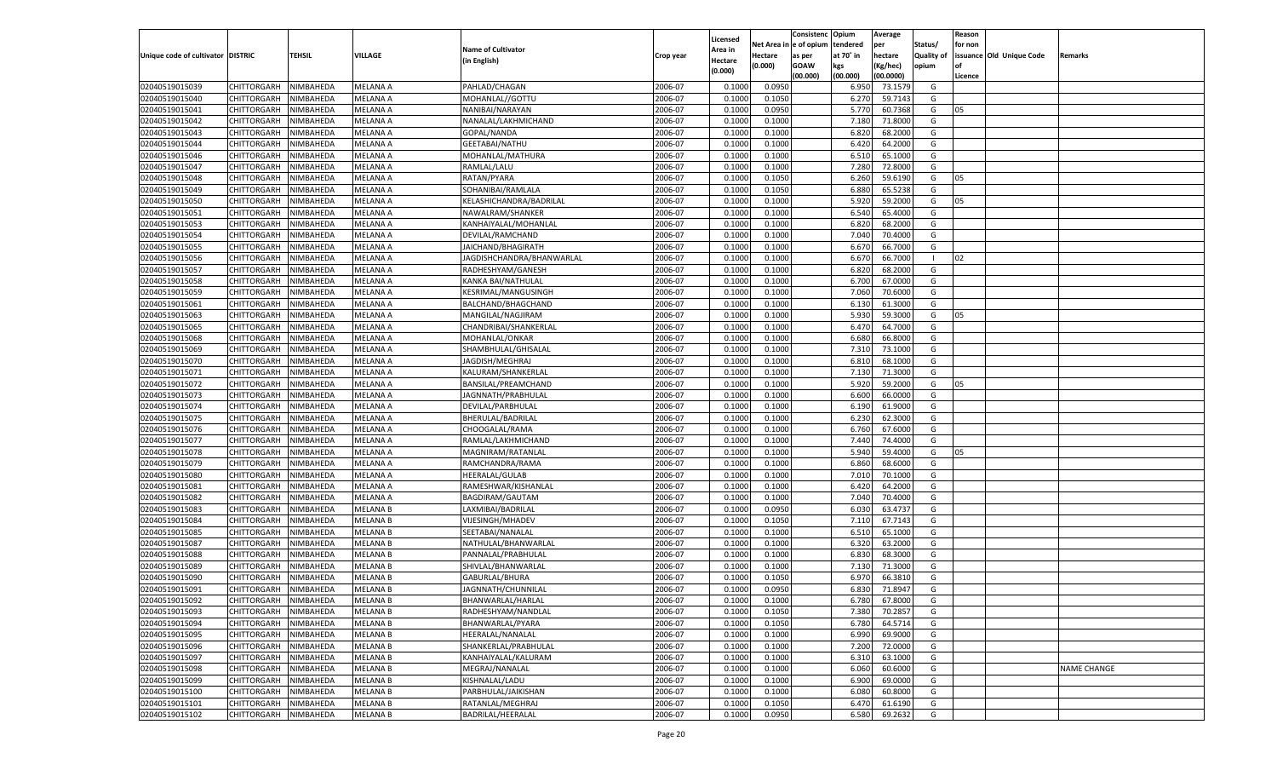|                                   |                       |               |                 |                                          |                    |                           |          | Consistenc  | Opium     | Average   |                   | Reason  |                          |             |
|-----------------------------------|-----------------------|---------------|-----------------|------------------------------------------|--------------------|---------------------------|----------|-------------|-----------|-----------|-------------------|---------|--------------------------|-------------|
|                                   |                       |               |                 | <b>Name of Cultivator</b>                |                    | Licensed                  | Net Area | e of opium  | tendered  | per       | Status/           | for non |                          |             |
| Unique code of cultivator DISTRIC |                       | <b>TEHSIL</b> | VILLAGE         | (in English)                             | Crop year          | <b>Area in</b><br>Hectare | Hectare  | as per      | at 70° in | hectare   | <b>Quality of</b> |         | issuance Old Unique Code | Remarks     |
|                                   |                       |               |                 |                                          |                    | (0.000)                   | (0.000)  | <b>GOAW</b> | kgs       | (Kg/hec)  | opium             |         |                          |             |
|                                   |                       |               |                 |                                          |                    |                           |          | (00.000)    | (00.000)  | (00.0000) |                   | Licence |                          |             |
| 02040519015039                    | CHITTORGARH           | NIMBAHEDA     | <b>MELANA A</b> | PAHLAD/CHAGAN                            | 2006-07            | 0.1000                    | 0.0950   |             | 6.950     | 73.1579   | G                 |         |                          |             |
| 02040519015040                    | CHITTORGARH           | NIMBAHEDA     | MELANA A        | MOHANLAL//GOTTU                          | 2006-07            | 0.1000                    | 0.1050   |             | 6.27      | 59.7143   | G                 |         |                          |             |
| 02040519015041                    | CHITTORGARH           | NIMBAHEDA     | MELANA A        | NANIBAI/NARAYAN                          | 2006-07            | 0.1000                    | 0.0950   |             | 5.770     | 60.7368   | G                 | 05      |                          |             |
| 02040519015042                    | CHITTORGARH           | NIMBAHEDA     | MELANA A        | NANALAL/LAKHMICHAND                      | 2006-07            | 0.1000                    | 0.1000   |             | 7.180     | 71.8000   | G                 |         |                          |             |
| 02040519015043                    | CHITTORGARH           | NIMBAHEDA     | MELANA A        | GOPAL/NANDA                              | 2006-07            | 0.1000                    | 0.1000   |             | 6.820     | 68.2000   | G                 |         |                          |             |
| 02040519015044                    | CHITTORGARH           | NIMBAHEDA     | MELANA A        | <b>GEETABAI/NATHU</b>                    | 2006-07            | 0.1000                    | 0.1000   |             | 6.420     | 64.2000   | G                 |         |                          |             |
| 02040519015046                    | CHITTORGARH           | NIMBAHEDA     | MELANA A        | MOHANLAL/MATHURA                         | 2006-07            | 0.1000                    | 0.1000   |             | 6.510     | 65.1000   | G                 |         |                          |             |
| 02040519015047                    | CHITTORGARH           | NIMBAHEDA     | MELANA A        | RAMLAL/LALU                              | 2006-07            | 0.1000                    | 0.1000   |             | 7.280     | 72.8000   | G                 |         |                          |             |
| 02040519015048                    | CHITTORGARH           | NIMBAHEDA     | MELANA A        | RATAN/PYARA                              | 2006-07            | 0.1000                    | 0.1050   |             | 6.260     | 59.6190   | G                 | 05      |                          |             |
| 02040519015049                    | CHITTORGARH           | NIMBAHEDA     | MELANA A        | SOHANIBAI/RAMLALA                        | 2006-07            | 0.1000                    | 0.1050   |             | 6.880     | 65.5238   | G                 |         |                          |             |
| 02040519015050                    | CHITTORGARH           | NIMBAHEDA     | MELANA A        | KELASHICHANDRA/BADRILAL                  | 2006-07            | 0.1000                    | 0.1000   |             | 5.920     | 59.2000   | G                 | 05      |                          |             |
| 02040519015051                    | CHITTORGARH           | NIMBAHEDA     | MELANA A        | NAWALRAM/SHANKER                         | 2006-07            | 0.1000                    | 0.1000   |             | 6.540     | 65.4000   | G                 |         |                          |             |
| 02040519015053                    | CHITTORGARH           | NIMBAHEDA     | MELANA A        | KANHAIYALAL/MOHANLAL                     | 2006-07            | 0.1000                    | 0.1000   |             | 6.820     | 68.2000   | G                 |         |                          |             |
| 02040519015054                    | CHITTORGARH           | NIMBAHEDA     | MELANA A        | DEVILAL/RAMCHAND                         | 2006-07            | 0.1000                    | 0.1000   |             | 7.040     | 70.4000   | G                 |         |                          |             |
| 02040519015055                    | CHITTORGARH           | NIMBAHEDA     | MELANA A        | JAICHAND/BHAGIRATH                       | 2006-07            | 0.1000                    | 0.1000   |             | 6.670     | 66.7000   | G                 |         |                          |             |
| 02040519015056                    | CHITTORGARH           | NIMBAHEDA     | MELANA A        | JAGDISHCHANDRA/BHANWARLAL                | 2006-07            | 0.1000                    | 0.1000   |             | 6.670     | 66.7000   | - 1               | 02      |                          |             |
| 02040519015057                    | CHITTORGARH           | NIMBAHEDA     | <b>MELANA A</b> | RADHESHYAM/GANESH                        | 2006-07            | 0.1000                    | 0.1000   |             | 6.820     | 68.2000   | G                 |         |                          |             |
| 02040519015058                    | CHITTORGARH           | NIMBAHEDA     | MELANA A        | KANKA BAI/NATHULAL                       | 2006-07            | 0.1000                    | 0.1000   |             | 6.700     | 67.0000   | G                 |         |                          |             |
| 02040519015059                    | CHITTORGARH           | NIMBAHEDA     | MELANA A        | KESRIMAL/MANGUSINGH                      | 2006-07            | 0.1000                    | 0.1000   |             | 7.060     | 70.6000   | G                 |         |                          |             |
| 02040519015061                    | CHITTORGARH           | NIMBAHEDA     | MELANA A        | BALCHAND/BHAGCHAND                       | 2006-07            | 0.1000                    | 0.1000   |             | 6.13(     | 61.3000   | G                 |         |                          |             |
| 02040519015063                    | CHITTORGARH           | NIMBAHEDA     | <b>MELANA A</b> | MANGILAL/NAGJIRAM                        | 2006-07            | 0.1000                    | 0.1000   |             | 5.930     | 59.3000   | G                 | 05      |                          |             |
| 02040519015065                    | CHITTORGARH           | NIMBAHEDA     | MELANA A        | CHANDRIBAI/SHANKERLAL                    | 2006-07            | 0.1000                    | 0.1000   |             | 6.47      | 64.7000   | G                 |         |                          |             |
| 02040519015068                    | CHITTORGARH           | NIMBAHEDA     | MELANA A        | MOHANLAL/ONKAR                           | 2006-07            | 0.1000                    | 0.1000   |             | 6.680     | 66.8000   | G                 |         |                          |             |
| 02040519015069                    | CHITTORGARH           | NIMBAHEDA     | MELANA A        | SHAMBHULAL/GHISALAL                      | 2006-07            | 0.1000                    | 0.1000   |             | 7.310     | 73.1000   | G                 |         |                          |             |
| 02040519015070                    | CHITTORGARH           | NIMBAHEDA     | <b>MELANA A</b> | JAGDISH/MEGHRAJ                          | 2006-07            | 0.1000                    | 0.1000   |             | 6.810     | 68.1000   | G                 |         |                          |             |
| 02040519015071                    | CHITTORGARH           | NIMBAHEDA     | MELANA A        | KALURAM/SHANKERLAL                       | 2006-07            | 0.1000                    | 0.1000   |             | 7.130     | 71.3000   | G                 |         |                          |             |
| 02040519015072                    | CHITTORGARH           | NIMBAHEDA     | MELANA A        | BANSILAL/PREAMCHAND                      | 2006-07            | 0.1000                    | 0.1000   |             | 5.920     | 59.2000   | G                 | 05      |                          |             |
| 02040519015073                    | CHITTORGARH           | NIMBAHEDA     | MELANA A        | JAGNNATH/PRABHULAL                       | 2006-07            | 0.1000                    | 0.1000   |             | 6.600     | 66.0000   | G                 |         |                          |             |
| 02040519015074                    | CHITTORGARH           | NIMBAHEDA     | <b>MELANA A</b> | DEVILAL/PARBHULAL                        | 2006-07            | 0.1000                    | 0.1000   |             | 6.190     | 61.9000   | G                 |         |                          |             |
| 02040519015075                    | CHITTORGARH           | NIMBAHEDA     | MELANA A        | BHERULAL/BADRILAL                        | 2006-07            | 0.1000                    | 0.1000   |             | 6.230     | 62.3000   | G                 |         |                          |             |
| 02040519015076                    | CHITTORGARH           | NIMBAHEDA     | <b>MELANA A</b> | CHOOGALAL/RAMA                           | 2006-07            | 0.1000                    | 0.1000   |             | 6.760     | 67.6000   | G                 |         |                          |             |
| 02040519015077                    | CHITTORGARH           | NIMBAHEDA     | MELANA A        | RAMLAL/LAKHMICHAND                       | 2006-07            | 0.1000                    | 0.1000   |             | 7.440     | 74.4000   | G                 |         |                          |             |
| 02040519015078                    | CHITTORGARH           | NIMBAHEDA     | <b>MELANA A</b> | MAGNIRAM/RATANLAI                        | 2006-07            | 0.1000                    | 0.1000   |             | 5.940     | 59.4000   | G                 | 05      |                          |             |
| 02040519015079                    | CHITTORGARH           | NIMBAHEDA     | MELANA A        | RAMCHANDRA/RAMA                          | 2006-07            | 0.1000                    | 0.1000   |             | 6.860     | 68.6000   | G                 |         |                          |             |
| 02040519015080                    | CHITTORGARH           | NIMBAHEDA     | <b>MELANA A</b> | <b>HEERALAL/GULAB</b>                    | 2006-07            | 0.1000                    | 0.1000   |             | 7.010     | 70.1000   | G                 |         |                          |             |
| 02040519015081                    | CHITTORGARH           | NIMBAHEDA     | MELANA A        | RAMESHWAR/KISHANLAL                      | 2006-07            | 0.1000                    | 0.1000   |             | 6.420     | 64.2000   | G                 |         |                          |             |
| 02040519015082                    | CHITTORGARH           | NIMBAHEDA     | <b>MELANA A</b> | BAGDIRAM/GAUTAM                          | 2006-07            | 0.1000                    | 0.1000   |             | 7.040     | 70.4000   | G                 |         |                          |             |
| 02040519015083                    | CHITTORGARH           | NIMBAHEDA     | MELANA B        | LAXMIBAI/BADRILAL                        | 2006-07            | 0.1000                    | 0.0950   |             | 6.030     | 63.4737   | G                 |         |                          |             |
| 02040519015084                    | CHITTORGARH           | NIMBAHEDA     | <b>MELANA B</b> | <b>VIJESINGH/MHADEV</b>                  | 2006-07            | 0.1000                    | 0.1050   |             | 7.11(     | 67.7143   | G                 |         |                          |             |
| 02040519015085                    | CHITTORGARH           | NIMBAHEDA     | MELANA B        | SEETABAI/NANALAL                         | 2006-07            | 0.1000                    | 0.1000   |             | 6.510     | 65.1000   | G                 |         |                          |             |
| 02040519015087                    | CHITTORGARH           | NIMBAHEDA     | <b>MELANA B</b> | NATHULAL/BHANWARLAL                      | 2006-07            | 0.1000                    | 0.1000   |             | 6.320     | 63.2000   | G                 |         |                          |             |
| 02040519015088                    | CHITTORGARH           | NIMBAHEDA     | MELANA B        | PANNALAL/PRABHULAL                       | 2006-07            | 0.1000                    | 0.1000   |             | 6.83      | 68.3000   | G                 |         |                          |             |
| 02040519015089                    | CHITTORGARH           | NIMBAHEDA     | <b>MELANA B</b> | SHIVLAL/BHANWARLAL                       | 2006-07            | 0.1000                    | 0.1000   |             | 7.13(     | 71.3000   | G                 |         |                          |             |
| 02040519015090                    | CHITTORGARH           | NIMBAHEDA     | MELANA B        | GABURLAL/BHURA                           | 2006-07            | 0.1000                    | 0.1050   |             | 6.97      | 66.3810   | G                 |         |                          |             |
| 02040519015091                    | CHITTORGARH           | NIMBAHEDA     | <b>MELANA B</b> | JAGNNATH/CHUNNILAL                       | 2006-07            | 0.1000                    | 0.0950   |             | 6.830     | 71.8947   | G                 |         |                          |             |
|                                   | CHITTORGARH NIMBAHEDA |               | <b>MELANA B</b> | BHANWARLAL/HARLAL                        | 2006-07            | 0.1000                    | 0.1000   |             | 6.780     | 67.8000   | G                 |         |                          |             |
| 02040519015092                    |                       |               |                 |                                          |                    |                           |          |             |           |           |                   |         |                          |             |
| 02040519015093<br>02040519015094  | <b>CHITTORGARH</b>    | NIMBAHEDA     | <b>MELANA B</b> | RADHESHYAM/NANDLAL                       | 2006-07            | 0.1000                    | 0.1050   |             | 7.380     | 70.2857   | G                 |         |                          |             |
| 02040519015095                    | CHITTORGARH           | NIMBAHEDA     | <b>MELANA B</b> | BHANWARLAL/PYARA                         | 2006-07<br>2006-07 | 0.1000<br>0.1000          | 0.1050   |             | 6.780     | 64.5714   | G<br>G            |         |                          |             |
|                                   | <b>CHITTORGARH</b>    | NIMBAHEDA     | <b>MELANA B</b> | HEERALAL/NANALAL<br>SHANKERLAL/PRABHULAL |                    |                           | 0.1000   |             | 6.990     | 69.9000   |                   |         |                          |             |
| 02040519015096                    | <b>CHITTORGARH</b>    | NIMBAHEDA     | <b>MELANA B</b> |                                          | 2006-07            | 0.1000                    | 0.1000   |             | 7.200     | 72.0000   | G                 |         |                          |             |
| 02040519015097                    | <b>CHITTORGARH</b>    | NIMBAHEDA     | <b>MELANA B</b> | KANHAIYALAL/KALURAM                      | 2006-07            | 0.1000                    | 0.1000   |             | 6.310     | 63.1000   | G                 |         |                          |             |
| 02040519015098                    | <b>CHITTORGARH</b>    | NIMBAHEDA     | <b>MELANA B</b> | MEGRAJ/NANALAL                           | 2006-07            | 0.1000                    | 0.1000   |             | 6.060     | 60.6000   | G                 |         |                          | NAME CHANGE |
| 02040519015099                    | <b>CHITTORGARH</b>    | NIMBAHEDA     | <b>MELANA B</b> | KISHNALAL/LADU                           | 2006-07            | 0.1000                    | 0.1000   |             | 6.900     | 69.0000   | G                 |         |                          |             |
| 02040519015100                    | <b>CHITTORGARH</b>    | NIMBAHEDA     | <b>MELANA B</b> | PARBHULAL/JAIKISHAN                      | 2006-07            | 0.1000                    | 0.1000   |             | 6.080     | 60.8000   | G                 |         |                          |             |
| 02040519015101                    | <b>CHITTORGARH</b>    | NIMBAHEDA     | <b>MELANA B</b> | RATANLAL/MEGHRAJ                         | 2006-07            | 0.1000                    | 0.1050   |             | 6.470     | 61.6190   | G                 |         |                          |             |
| 02040519015102                    | <b>CHITTORGARH</b>    | NIMBAHEDA     | <b>MELANA B</b> | BADRILAL/HEERALAL                        | 2006-07            | 0.1000                    | 0.0950   |             | 6.580     | 69.2632   | G                 |         |                          |             |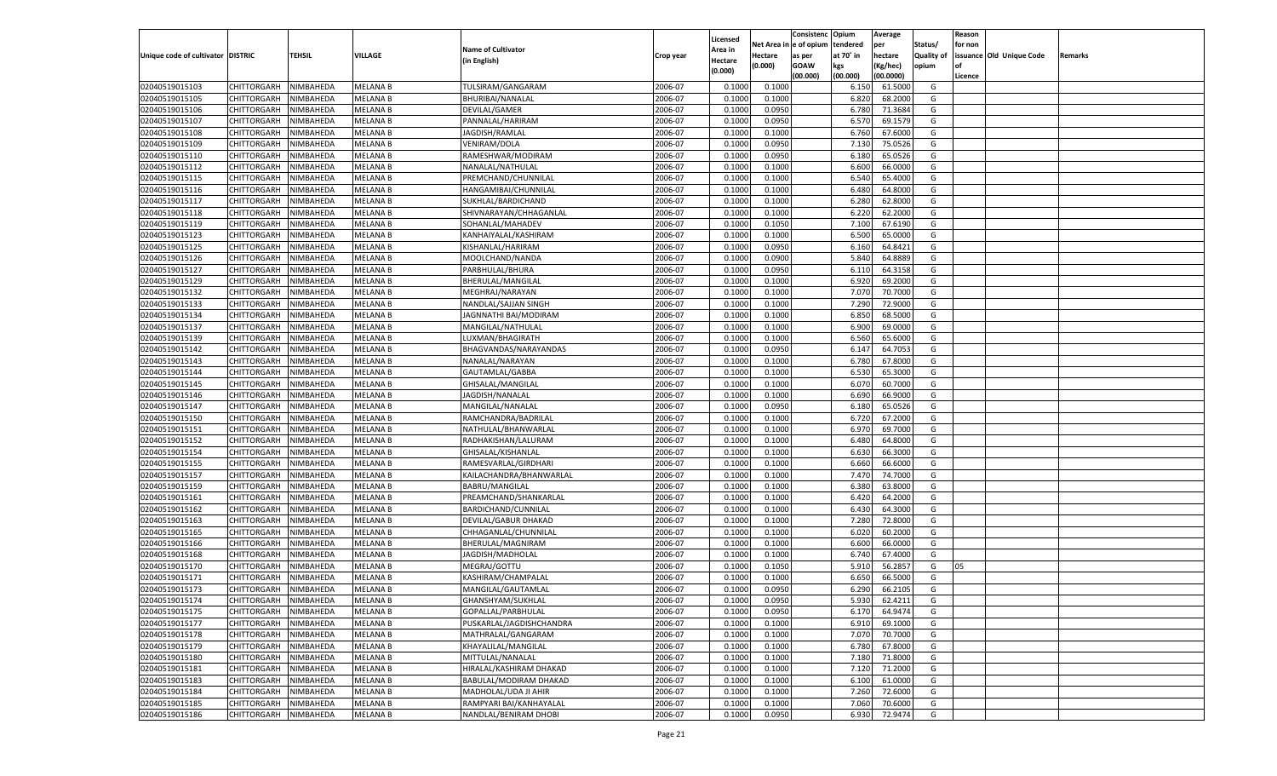|                                   |                       |               |                 |                           |           |                           |          | Consistenc  | Opium     | Average   |                   | Reason  |                          |         |
|-----------------------------------|-----------------------|---------------|-----------------|---------------------------|-----------|---------------------------|----------|-------------|-----------|-----------|-------------------|---------|--------------------------|---------|
|                                   |                       |               |                 | <b>Name of Cultivator</b> |           | Licensed                  | Net Area | e of opium  | tendered  | per       | Status/           | for non |                          |         |
| Unique code of cultivator DISTRIC |                       | <b>TEHSIL</b> | VILLAGE         | (in English)              | Crop year | <b>Area in</b><br>Hectare | Hectare  | as per      | at 70° in | hectare   | <b>Quality of</b> |         | issuance Old Unique Code | Remarks |
|                                   |                       |               |                 |                           |           | (0.000)                   | (0.000)  | <b>GOAW</b> | kgs       | (Kg/hec)  | opium             |         |                          |         |
|                                   |                       |               |                 |                           |           |                           |          | (00.000)    | (00.000)  | (00.0000) |                   | Licence |                          |         |
| 02040519015103                    | CHITTORGARH           | NIMBAHEDA     | <b>MELANA B</b> | TULSIRAM/GANGARAM         | 2006-07   | 0.1000                    | 0.1000   |             | 6.150     | 61.5000   | G                 |         |                          |         |
| 02040519015105                    | CHITTORGARH           | NIMBAHEDA     | MELANA B        | BHURIBAI/NANALAL          | 2006-07   | 0.1000                    | 0.1000   |             | 6.820     | 68.2000   | G                 |         |                          |         |
| 02040519015106                    | CHITTORGARH           | NIMBAHEDA     | MELANA B        | DEVILAL/GAMER             | 2006-07   | 0.1000                    | 0.0950   |             | 6.780     | 71.3684   | G                 |         |                          |         |
| 02040519015107                    | CHITTORGARH           | NIMBAHEDA     | MELANA B        | PANNALAL/HARIRAM          | 2006-07   | 0.1000                    | 0.0950   |             | 6.57      | 69.1579   | G                 |         |                          |         |
| 02040519015108                    | CHITTORGARH           | NIMBAHEDA     | MELANA B        | JAGDISH/RAMLAI            | 2006-07   | 0.1000                    | 0.1000   |             | 6.760     | 67.6000   | G                 |         |                          |         |
| 02040519015109                    | CHITTORGARH           | NIMBAHEDA     | MELANA B        | VENIRAM/DOLA              | 2006-07   | 0.1000                    | 0.0950   |             | 7.13(     | 75.0526   | G                 |         |                          |         |
| 02040519015110                    | CHITTORGARH           | NIMBAHEDA     | MELANA B        | RAMESHWAR/MODIRAM         | 2006-07   | 0.1000                    | 0.0950   |             | 6.180     | 65.0526   | G                 |         |                          |         |
| 02040519015112                    | CHITTORGARH           | NIMBAHEDA     | MELANA B        | NANALAL/NATHULAL          | 2006-07   | 0.1000                    | 0.1000   |             | 6.600     | 66.0000   | G                 |         |                          |         |
| 02040519015115                    | CHITTORGARH           | NIMBAHEDA     | MELANA B        | PREMCHAND/CHUNNILAL       | 2006-07   | 0.1000                    | 0.1000   |             | 6.540     | 65.4000   | G                 |         |                          |         |
| 02040519015116                    | CHITTORGARH           | NIMBAHEDA     | MELANA B        | HANGAMIBAI/CHUNNILAL      | 2006-07   | 0.1000                    | 0.1000   |             | 6.480     | 64.8000   | G                 |         |                          |         |
| 02040519015117                    | CHITTORGARH           | NIMBAHEDA     | MELANA B        | SUKHLAL/BARDICHAND        | 2006-07   | 0.1000                    | 0.1000   |             | 6.280     | 62.8000   | G                 |         |                          |         |
| 02040519015118                    | CHITTORGARH           | NIMBAHEDA     | MELANA B        | SHIVNARAYAN/CHHAGANLAL    | 2006-07   | 0.1000                    | 0.1000   |             | 6.220     | 62.2000   | G                 |         |                          |         |
| 02040519015119                    | CHITTORGARH           | NIMBAHEDA     | MELANA B        | SOHANLAL/MAHADEV          | 2006-07   | 0.1000                    | 0.1050   |             | 7.100     | 67.6190   | G                 |         |                          |         |
| 02040519015123                    | CHITTORGARH           | NIMBAHEDA     | MELANA B        | KANHAIYALAL/KASHIRAM      | 2006-07   | 0.1000                    | 0.1000   |             | 6.500     | 65.0000   | G                 |         |                          |         |
| 02040519015125                    | CHITTORGARH           | NIMBAHEDA     | MELANA B        | KISHANLAL/HARIRAM         | 2006-07   | 0.1000                    | 0.0950   |             | 6.160     | 64.8421   | G                 |         |                          |         |
| 02040519015126                    | CHITTORGARH           | NIMBAHEDA     | MELANA B        | MOOLCHAND/NANDA           | 2006-07   | 0.1000                    | 0.0900   |             | 5.840     | 64.8889   | G                 |         |                          |         |
| 02040519015127                    | CHITTORGARH           | NIMBAHEDA     | <b>MELANA B</b> | PARBHULAL/BHURA           | 2006-07   | 0.1000                    | 0.0950   |             | 6.110     | 64.3158   | G                 |         |                          |         |
| 02040519015129                    | CHITTORGARH           | NIMBAHEDA     | MELANA B        | BHERULAL/MANGILAL         | 2006-07   | 0.1000                    | 0.1000   |             | 6.920     | 69.2000   | G                 |         |                          |         |
| 02040519015132                    | CHITTORGARH           | NIMBAHEDA     | MELANA B        | MEGHRAJ/NARAYAN           | 2006-07   | 0.1000                    | 0.1000   |             | 7.070     | 70.7000   | G                 |         |                          |         |
| 02040519015133                    | CHITTORGARH           | NIMBAHEDA     | MELANA B        | NANDLAL/SAJJAN SINGH      | 2006-07   | 0.1000                    | 0.1000   |             | 7.290     | 72.9000   | G                 |         |                          |         |
| 02040519015134                    | CHITTORGARH           | NIMBAHEDA     | <b>MELANA B</b> | JAGNNATHI BAI/MODIRAM     | 2006-07   | 0.1000                    | 0.1000   |             | 6.850     | 68.5000   | G                 |         |                          |         |
| 02040519015137                    | CHITTORGARH           | NIMBAHEDA     | MELANA B        | MANGILAL/NATHULAL         | 2006-07   | 0.1000                    | 0.1000   |             | 6.900     | 69.0000   | G                 |         |                          |         |
| 02040519015139                    | CHITTORGARH           | NIMBAHEDA     | MELANA B        | LUXMAN/BHAGIRATH          | 2006-07   | 0.1000                    | 0.1000   |             | 6.560     | 65.6000   | G                 |         |                          |         |
| 02040519015142                    | CHITTORGARH           | NIMBAHEDA     | MELANA B        | BHAGVANDAS/NARAYANDAS     | 2006-07   | 0.1000                    | 0.0950   |             | 6.147     | 64.7053   | G                 |         |                          |         |
| 02040519015143                    | CHITTORGARH           | NIMBAHEDA     | <b>MELANA B</b> | NANALAL/NARAYAN           | 2006-07   | 0.1000                    | 0.1000   |             | 6.780     | 67.8000   | G                 |         |                          |         |
| 02040519015144                    | CHITTORGARH           | NIMBAHEDA     | MELANA B        | GAUTAMLAL/GABBA           | 2006-07   | 0.1000                    | 0.1000   |             | 6.530     | 65.3000   | G                 |         |                          |         |
| 02040519015145                    | CHITTORGARH           | NIMBAHEDA     | <b>MELANA B</b> | GHISALAL/MANGILAL         | 2006-07   | 0.1000                    | 0.1000   |             | 6.070     | 60.7000   | G                 |         |                          |         |
| 02040519015146                    | CHITTORGARH           | NIMBAHEDA     | MELANA B        | JAGDISH/NANALAL           | 2006-07   | 0.1000                    | 0.1000   |             | 6.690     | 66.9000   | G                 |         |                          |         |
| 02040519015147                    | CHITTORGARH           | NIMBAHEDA     | <b>MELANA B</b> | MANGILAL/NANALAL          | 2006-07   | 0.1000                    | 0.0950   |             | 6.180     | 65.0526   | G                 |         |                          |         |
| 02040519015150                    | CHITTORGARH           | NIMBAHEDA     | MELANA B        | RAMCHANDRA/BADRILAL       | 2006-07   | 0.1000                    | 0.1000   |             | 6.720     | 67.2000   | G                 |         |                          |         |
| 02040519015151                    | CHITTORGARH           | NIMBAHEDA     | <b>MELANA B</b> | NATHULAL/BHANWARLAI       | 2006-07   | 0.1000                    | 0.1000   |             | 6.970     | 69.7000   | G                 |         |                          |         |
| 02040519015152                    | CHITTORGARH           | NIMBAHEDA     | <b>MELANA B</b> | RADHAKISHAN/LALURAM       | 2006-07   | 0.1000                    | 0.1000   |             | 6.480     | 64.8000   | G                 |         |                          |         |
| 02040519015154                    | CHITTORGARH           | NIMBAHEDA     | <b>MELANA B</b> | GHISALAL/KISHANLAL        | 2006-07   | 0.1000                    | 0.1000   |             | 6.630     | 66.3000   | G                 |         |                          |         |
| 02040519015155                    | CHITTORGARH           | NIMBAHEDA     | MELANA B        | RAMESVARLAL/GIRDHARI      | 2006-07   | 0.1000                    | 0.1000   |             | 6.660     | 66.6000   | G                 |         |                          |         |
| 02040519015157                    | CHITTORGARH           | NIMBAHEDA     | <b>MELANA B</b> | KAILACHANDRA/BHANWARLAL   | 2006-07   | 0.1000                    | 0.1000   |             | 7.470     | 74.7000   | G                 |         |                          |         |
| 02040519015159                    | CHITTORGARH           | NIMBAHEDA     | <b>MELANA B</b> | BABRU/MANGILAL            | 2006-07   | 0.1000                    | 0.1000   |             | 6.380     | 63.8000   | G                 |         |                          |         |
| 02040519015161                    | CHITTORGARH           | NIMBAHEDA     | <b>MELANA B</b> | PREAMCHAND/SHANKARLAL     | 2006-07   | 0.1000                    | 0.1000   |             | 6.420     | 64.2000   | G                 |         |                          |         |
| 02040519015162                    | CHITTORGARH           | NIMBAHEDA     | MELANA B        | BARDICHAND/CUNNILAL       | 2006-07   | 0.1000                    | 0.1000   |             | 6.430     | 64.3000   | G                 |         |                          |         |
| 02040519015163                    | CHITTORGARH           | NIMBAHEDA     | <b>MELANA B</b> | DEVILAL/GABUR DHAKAD      | 2006-07   | 0.1000                    | 0.1000   |             | 7.280     | 72.8000   | G                 |         |                          |         |
| 02040519015165                    | CHITTORGARH           | NIMBAHEDA     | MELANA B        | CHHAGANLAL/CHUNNILAL      | 2006-07   | 0.1000                    | 0.1000   |             | 6.020     | 60.2000   | G                 |         |                          |         |
| 02040519015166                    | CHITTORGARH           | NIMBAHEDA     | <b>MELANA B</b> | BHERULAL/MAGNIRAM         | 2006-07   | 0.1000                    | 0.1000   |             | 6.600     | 66.0000   | G                 |         |                          |         |
| 02040519015168                    | CHITTORGARH           | NIMBAHEDA     | MELANA B        | JAGDISH/MADHOLAL          | 2006-07   | 0.1000                    | 0.1000   |             | 6.740     | 67.4000   | G                 |         |                          |         |
| 02040519015170                    | CHITTORGARH           | NIMBAHEDA     | <b>MELANA B</b> | MEGRAJ/GOTTU              | 2006-07   | 0.1000                    | 0.1050   |             | 5.910     | 56.285    | G                 | 05      |                          |         |
| 02040519015171                    | CHITTORGARH           | NIMBAHEDA     | MELANA B        | KASHIRAM/CHAMPALAL        | 2006-07   | 0.1000                    | 0.1000   |             | 6.65      | 66.5000   | G                 |         |                          |         |
| 02040519015173                    |                       | NIMBAHEDA     | <b>MELANA B</b> |                           | 2006-07   | 0.1000                    | 0.0950   |             | 6.290     | 66.2105   | G                 |         |                          |         |
|                                   | CHITTORGARH           |               |                 | MANGILAL/GAUTAMLAL        |           |                           |          |             |           |           |                   |         |                          |         |
| 02040519015174                    | CHITTORGARH NIMBAHEDA | NIMBAHEDA     | <b>MELANA B</b> | GHANSHYAM/SUKHLAL         | 2006-07   | 0.1000                    | 0.0950   |             | 5.930     | 62.4211   | G                 |         |                          |         |
| 02040519015175                    | <b>CHITTORGARH</b>    |               | <b>MELANA B</b> | GOPALLAL/PARBHULAL        | 2006-07   | 0.1000                    | 0.0950   |             | 6.170     | 64.9474   | G                 |         |                          |         |
| 02040519015177                    | <b>CHITTORGARH</b>    | NIMBAHEDA     | <b>MELANA B</b> | PUSKARLAL/JAGDISHCHANDRA  | 2006-07   | 0.1000                    | 0.1000   |             | 6.910     | 69.1000   | G                 |         |                          |         |
| 02040519015178                    | <b>CHITTORGARH</b>    | NIMBAHEDA     | <b>MELANA B</b> | MATHRALAL/GANGARAM        | 2006-07   | 0.1000                    | 0.1000   |             | 7.070     | 70.7000   | G                 |         |                          |         |
| 02040519015179                    | <b>CHITTORGARH</b>    | NIMBAHEDA     | <b>MELANA B</b> | KHAYALILAL/MANGILAL       | 2006-07   | 0.1000                    | 0.1000   |             | 6.780     | 67.8000   | G                 |         |                          |         |
| 02040519015180                    | <b>CHITTORGARH</b>    | NIMBAHEDA     | <b>MELANA B</b> | MITTULAL/NANALAL          | 2006-07   | 0.1000                    | 0.1000   |             | 7.180     | 71.8000   | G                 |         |                          |         |
| 02040519015181                    | <b>CHITTORGARH</b>    | NIMBAHEDA     | <b>MELANA B</b> | HIRALAL/KASHIRAM DHAKAD   | 2006-07   | 0.1000                    | 0.1000   |             | 7.120     | 71.2000   | G                 |         |                          |         |
| 02040519015183                    | <b>CHITTORGARH</b>    | NIMBAHEDA     | <b>MELANA B</b> | BABULAL/MODIRAM DHAKAD    | 2006-07   | 0.1000                    | 0.1000   |             | 6.100     | 61.0000   | G                 |         |                          |         |
| 02040519015184                    | <b>CHITTORGARH</b>    | NIMBAHEDA     | <b>MELANA B</b> | MADHOLAL/UDA JI AHIR      | 2006-07   | 0.1000                    | 0.1000   |             | 7.260     | 72.6000   | G                 |         |                          |         |
| 02040519015185                    | <b>CHITTORGARH</b>    | NIMBAHEDA     | <b>MELANA B</b> | RAMPYARI BAI/KANHAYALAL   | 2006-07   | 0.1000                    | 0.1000   |             | 7.060     | 70.6000   | G                 |         |                          |         |
| 02040519015186                    | <b>CHITTORGARH</b>    | NIMBAHEDA     | <b>MELANA B</b> | NANDLAL/BENIRAM DHOBI     | 2006-07   | 0.1000                    | 0.0950   |             | 6.930     | 72.9474   | G                 |         |                          |         |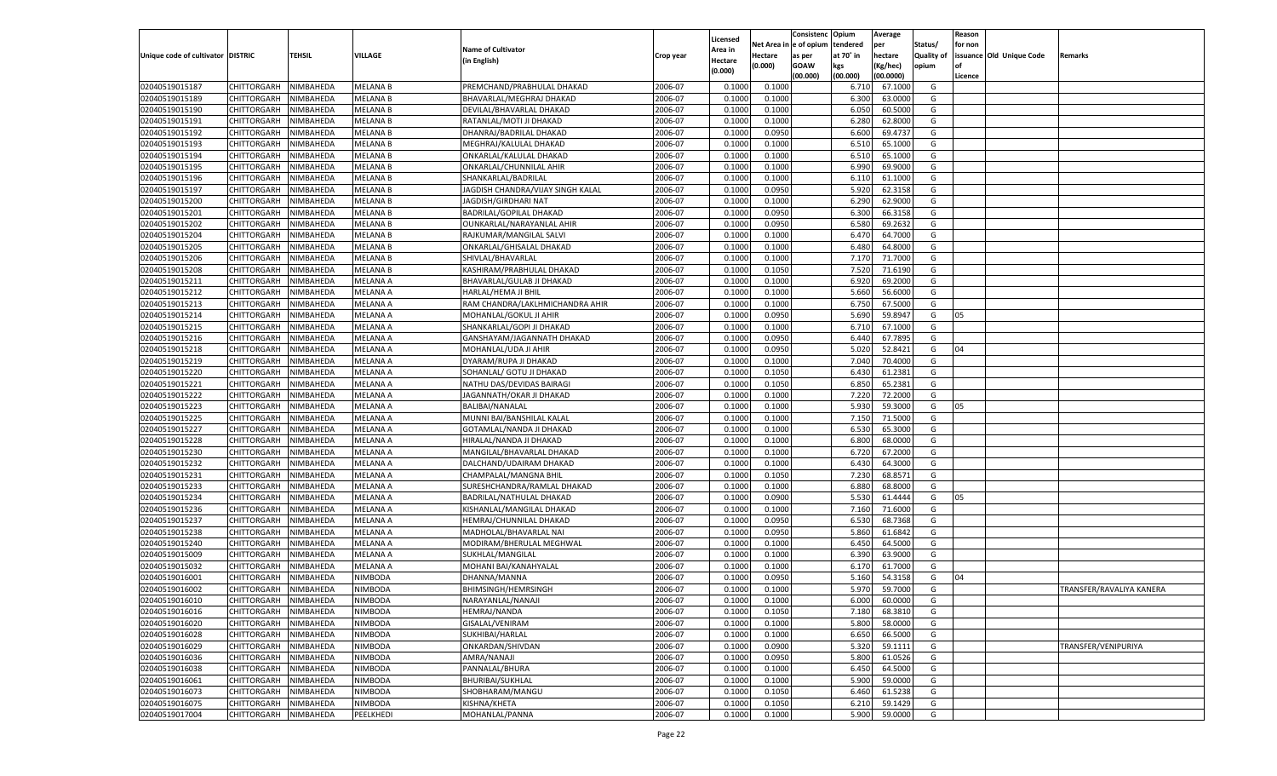|                                   |                    |           |                                  |                                   |           |                    |             | Consistenc    | Opium     | Average   |            | Reason  |                          |                          |
|-----------------------------------|--------------------|-----------|----------------------------------|-----------------------------------|-----------|--------------------|-------------|---------------|-----------|-----------|------------|---------|--------------------------|--------------------------|
|                                   |                    |           |                                  | <b>Name of Cultivator</b>         |           | Licensed           | Net Area iı | n  e of opium | tendered  | per       | Status/    | for non |                          |                          |
| Unique code of cultivator DISTRIC |                    | TEHSIL    | <b>VILLAGE</b>                   | (in English)                      | Crop year | Area in<br>Hectare | Hectare     | as per        | at 70° in | hectare   | Quality of |         | issuance Old Unique Code | Remarks                  |
|                                   |                    |           |                                  |                                   |           | (0.000)            | (0.000)     | <b>GOAW</b>   | kgs       | (Kg/hec)  | opium      |         |                          |                          |
|                                   |                    |           |                                  |                                   |           |                    |             | (00.000)      | (00.000)  | (00.0000) |            | Licence |                          |                          |
| 02040519015187                    | CHITTORGARH        | NIMBAHEDA | <b>MELANA B</b>                  | PREMCHAND/PRABHULAL DHAKAD        | 2006-07   | 0.1000             | 0.1000      |               | 6.710     | 67.1000   | G          |         |                          |                          |
| 02040519015189                    | CHITTORGARH        | NIMBAHEDA | <b>MELANA B</b>                  | BHAVARLAL/MEGHRAJ DHAKAD          | 2006-07   | 0.1000             | 0.1000      |               | 6.300     | 63.0000   | G          |         |                          |                          |
| 02040519015190                    | CHITTORGARH        | NIMBAHEDA | <b>MELANA B</b>                  | DEVILAL/BHAVARLAL DHAKAD          | 2006-07   | 0.1000             | 0.1000      |               | 6.050     | 60.5000   | G          |         |                          |                          |
| 02040519015191                    | CHITTORGARH        | NIMBAHEDA | <b>MELANA B</b>                  | RATANLAL/MOTI JI DHAKAD           | 2006-07   | 0.1000             | 0.1000      |               | 6.280     | 62.8000   | G          |         |                          |                          |
| 02040519015192                    | CHITTORGARH        | NIMBAHEDA | <b>MELANA B</b>                  | DHANRAJ/BADRILAL DHAKAD           | 2006-07   | 0.1000             | 0.0950      |               | 6.600     | 69.4737   | G          |         |                          |                          |
| 02040519015193                    | CHITTORGARH        | NIMBAHEDA | <b>MELANA B</b>                  | MEGHRAJ/KALULAL DHAKAD            | 2006-07   | 0.1000             | 0.1000      |               | 6.510     | 65.1000   | G          |         |                          |                          |
| 02040519015194                    | CHITTORGARH        | NIMBAHEDA | <b>MELANA B</b>                  | ONKARLAL/KALULAL DHAKAD           | 2006-07   | 0.1000             | 0.1000      |               | 6.510     | 65.1000   | G          |         |                          |                          |
| 02040519015195                    | CHITTORGARH        | NIMBAHEDA | <b>MELANA B</b>                  | ONKARLAL/CHUNNILAL AHIR           | 2006-07   | 0.1000             | 0.1000      |               | 6.990     | 69.9000   | G          |         |                          |                          |
| 02040519015196                    | CHITTORGARH        | NIMBAHEDA | <b>MELANA B</b>                  | SHANKARLAL/BADRILAL               | 2006-07   | 0.1000             | 0.1000      |               | 6.11      | 61.1000   | G          |         |                          |                          |
| 02040519015197                    | CHITTORGARH        | NIMBAHEDA | <b>MELANA B</b>                  | JAGDISH CHANDRA/VIJAY SINGH KALAL | 2006-07   | 0.1000             | 0.0950      |               | 5.920     | 62.3158   | G          |         |                          |                          |
| 02040519015200                    | CHITTORGARH        | NIMBAHEDA | <b>MELANA B</b>                  | JAGDISH/GIRDHARI NAT              | 2006-07   | 0.1000             | 0.1000      |               | 6.290     | 62.9000   | G          |         |                          |                          |
| 02040519015201                    | CHITTORGARH        | NIMBAHEDA | <b>MELANA B</b>                  | <b>BADRILAL/GOPILAL DHAKAD</b>    | 2006-07   | 0.1000             | 0.0950      |               | 6.300     | 66.3158   | G          |         |                          |                          |
| 02040519015202                    | CHITTORGARH        | NIMBAHEDA | <b>MELANA B</b>                  | OUNKARLAL/NARAYANLAL AHIR         | 2006-07   | 0.1000             | 0.0950      |               | 6.580     | 69.2632   | G          |         |                          |                          |
| 02040519015204                    | CHITTORGARH        | NIMBAHEDA | <b>MELANA B</b>                  | RAJKUMAR/MANGILAL SALVI           | 2006-07   | 0.1000             | 0.1000      |               | 6.470     | 64.7000   | G          |         |                          |                          |
| 02040519015205                    | CHITTORGARH        | NIMBAHEDA | <b>MELANA B</b>                  | ONKARLAL/GHISALAL DHAKAD          | 2006-07   | 0.1000             | 0.1000      |               | 6.480     | 64.8000   | G          |         |                          |                          |
| 02040519015206                    | CHITTORGARH        | NIMBAHEDA | <b>MELANA B</b>                  | SHIVLAL/BHAVARLAL                 | 2006-07   | 0.1000             | 0.1000      |               | 7.170     | 71.7000   | G          |         |                          |                          |
| 02040519015208                    | CHITTORGARH        | NIMBAHEDA | <b>MELANA B</b>                  | KASHIRAM/PRABHULAL DHAKAD         | 2006-07   | 0.1000             | 0.1050      |               | 7.520     | 71.6190   | G          |         |                          |                          |
| 02040519015211                    | CHITTORGARH        | NIMBAHEDA | MELANA A                         | BHAVARLAL/GULAB JI DHAKAD         | 2006-07   | 0.1000             | 0.1000      |               | 6.920     | 69.2000   | G          |         |                          |                          |
| 02040519015212                    | CHITTORGARH        | NIMBAHEDA | MELANA A                         | HARLAL/HEMA JI BHIL               | 2006-07   | 0.1000             | 0.1000      |               | 5.660     | 56.6000   | G          |         |                          |                          |
| 02040519015213                    | CHITTORGARH        | NIMBAHEDA | MELANA A                         | RAM CHANDRA/LAKLHMICHANDRA AHIR   | 2006-07   | 0.1000             | 0.1000      |               | 6.750     | 67.5000   | G          |         |                          |                          |
| 02040519015214                    | CHITTORGARH        | NIMBAHEDA | <b>MELANA A</b>                  | MOHANLAL/GOKUL JI AHIR            | 2006-07   | 0.1000             | 0.0950      |               | 5.690     | 59.8947   | G          | 05      |                          |                          |
| 02040519015215                    | CHITTORGARH        | NIMBAHEDA | MELANA A                         | SHANKARLAL/GOPI JI DHAKAD         | 2006-07   | 0.1000             | 0.1000      |               | 6.710     | 67.1000   | G          |         |                          |                          |
| 02040519015216                    | CHITTORGARH        | NIMBAHEDA | MELANA A                         | GANSHAYAM/JAGANNATH DHAKAD        | 2006-07   | 0.1000             | 0.0950      |               | 6.440     | 67.7895   | G          |         |                          |                          |
| 02040519015218                    | CHITTORGARH        | NIMBAHEDA | MELANA A                         | MOHANLAL/UDA JI AHIR              | 2006-07   | 0.1000             | 0.0950      |               | 5.020     | 52.8421   | G          | 04      |                          |                          |
| 02040519015219                    | CHITTORGARH        | NIMBAHEDA | <b>MELANA A</b>                  | DYARAM/RUPA JI DHAKAD             | 2006-07   | 0.1000             | 0.1000      |               | 7.040     | 70.4000   | G          |         |                          |                          |
| 02040519015220                    | CHITTORGARH        | NIMBAHEDA | MELANA A                         | SOHANLAL/ GOTU JI DHAKAD          | 2006-07   | 0.1000             | 0.1050      |               | 6.430     | 61.2381   | G          |         |                          |                          |
| 02040519015221                    | CHITTORGARH        | NIMBAHEDA | MELANA A                         | NATHU DAS/DEVIDAS BAIRAGI         | 2006-07   | 0.1000             | 0.1050      |               | 6.850     | 65.2381   | G          |         |                          |                          |
| 02040519015222                    | CHITTORGARH        | NIMBAHEDA | MELANA A                         | JAGANNATH/OKAR JI DHAKAD          | 2006-07   | 0.1000             | 0.1000      |               | 7.220     | 72.2000   | G          |         |                          |                          |
| 02040519015223                    | CHITTORGARH        | NIMBAHEDA | <b>MELANA A</b>                  | BALIBAI/NANALAL                   | 2006-07   | 0.1000             | 0.1000      |               | 5.930     | 59.3000   | G          | 05      |                          |                          |
| 02040519015225                    | CHITTORGARH        | NIMBAHEDA | MELANA A                         | MUNNI BAI/BANSHILAL KALAL         | 2006-07   | 0.1000             | 0.1000      |               | 7.150     | 71.5000   | G          |         |                          |                          |
| 02040519015227                    | CHITTORGARH        | NIMBAHEDA | <b>MELANA A</b>                  | GOTAMLAL/NANDA JI DHAKAD          | 2006-07   | 0.1000             | 0.1000      |               | 6.530     | 65.3000   | G          |         |                          |                          |
| 02040519015228                    | CHITTORGARH        | NIMBAHEDA | MELANA A                         | HIRALAL/NANDA JI DHAKAD           | 2006-07   | 0.1000             | 0.1000      |               | 6.800     | 68.0000   | G          |         |                          |                          |
| 02040519015230                    | CHITTORGARH        | NIMBAHEDA | <b>MELANA A</b>                  | MANGILAL/BHAVARLAL DHAKAD         | 2006-07   | 0.1000             | 0.1000      |               | 6.720     | 67.2000   | G          |         |                          |                          |
| 02040519015232                    | CHITTORGARH        | NIMBAHEDA | MELANA A                         | DALCHAND/UDAIRAM DHAKAD           | 2006-07   | 0.1000             | 0.1000      |               | 6.430     | 64.3000   | G          |         |                          |                          |
| 02040519015231                    | CHITTORGARH        | NIMBAHEDA | <b>MELANA A</b>                  | CHAMPALAL/MANGNA BHIL             | 2006-07   | 0.1000             | 0.1050      |               | 7.23      | 68.8571   | G          |         |                          |                          |
| 02040519015233                    | CHITTORGARH        | NIMBAHEDA | MELANA A                         | SURESHCHANDRA/RAMLAL DHAKAD       | 2006-07   | 0.1000             | 0.1000      |               | 6.880     | 68.8000   | G          |         |                          |                          |
| 02040519015234                    | CHITTORGARH        | NIMBAHEDA | <b>MELANA A</b>                  | BADRILAL/NATHULAL DHAKAD          | 2006-07   | 0.1000             | 0.0900      |               | 5.530     | 61.4444   | G          | 05      |                          |                          |
| 02040519015236                    | CHITTORGARH        | NIMBAHEDA | MELANA A                         | KISHANLAL/MANGILAL DHAKAD         | 2006-07   | 0.1000             | 0.1000      |               | 7.160     | 71.6000   | G          |         |                          |                          |
| 02040519015237                    | CHITTORGARH        | NIMBAHEDA | <b>MELANA A</b>                  | HEMRAJ/CHUNNILAL DHAKAD           | 2006-07   | 0.1000             | 0.0950      |               | 6.530     | 68.7368   | G          |         |                          |                          |
| 02040519015238                    | CHITTORGARH        | NIMBAHEDA | MELANA A                         | MADHOLAL/BHAVARLAL NA             | 2006-07   | 0.1000             | 0.0950      |               | 5.860     | 61.6842   | G          |         |                          |                          |
| 02040519015240                    | CHITTORGARH        | NIMBAHEDA | <b>MELANA A</b>                  | MODIRAM/BHERULAL MEGHWAL          | 2006-07   | 0.1000             | 0.1000      |               | 6.450     | 64.5000   | G          |         |                          |                          |
| 02040519015009                    | CHITTORGARH        | NIMBAHEDA | MELANA A                         | SUKHLAL/MANGILAL                  | 2006-07   | 0.1000             | 0.1000      |               | 6.390     | 63.9000   | G          |         |                          |                          |
| 02040519015032                    | CHITTORGARH        | NIMBAHEDA | <b>MELANA A</b>                  | MOHANI BAI/KANAHYALAL             | 2006-07   | 0.1000             | 0.1000      |               | 6.170     | 61.7000   | G          |         |                          |                          |
| 02040519016001                    | CHITTORGARH        | NIMBAHEDA | NIMBODA                          | DHANNA/MANNA                      | 2006-07   | 0.1000             | 0.0950      |               | 5.160     | 54.3158   | G          | 04      |                          |                          |
| 02040519016002                    | CHITTORGARH        | NIMBAHEDA | NIMBODA                          | <b>BHIMSINGH/HEMRSINGH</b>        | 2006-07   | 0.1000             | 0.1000      |               | 5.970     | 59.7000   | G          |         |                          | TRANSFER/RAVALIYA KANERA |
| 02040519016010                    | CHITTORGARH        | NIMBAHEDA | <b>NIMBODA</b>                   | NARAYANLAL/NANAJI                 | 2006-07   | 0.1000             | 0.1000      |               | 6.000     | 60.0000   | G          |         |                          |                          |
| 02040519016016                    | <b>CHITTORGARH</b> | NIMBAHEDA | <b>NIMBODA</b>                   | HEMRAJ/NANDA                      | 2006-07   | 0.1000             | 0.1050      |               | 7.180     | 68.3810   | G          |         |                          |                          |
| 02040519016020                    | CHITTORGARH        | NIMBAHEDA | NIMBODA                          | GISALAL/VENIRAM                   | 2006-07   | 0.1000             | 0.1000      |               | 5.800     | 58.0000   | G          |         |                          |                          |
| 02040519016028                    | CHITTORGARH        | NIMBAHEDA | <b>NIMBODA</b>                   | SUKHIBAI/HARLAL                   | 2006-07   | 0.1000             | 0.1000      |               | 6.650     | 66.5000   | G          |         |                          |                          |
| 02040519016029                    | CHITTORGARH        | NIMBAHEDA | NIMBODA                          | ONKARDAN/SHIVDAN                  | 2006-07   | 0.1000             | 0.0900      |               | 5.320     | 59.1111   | G          |         |                          | TRANSFER/VENIPURIYA      |
| 02040519016036                    | CHITTORGARH        | NIMBAHEDA | <b>NIMBODA</b>                   | AMRA/NANAJI                       | 2006-07   | 0.1000             | 0.0950      |               | 5.800     | 61.0526   | G          |         |                          |                          |
| 02040519016038                    | CHITTORGARH        | NIMBAHEDA |                                  |                                   | 2006-07   |                    | 0.1000      |               | 6.450     | 64.5000   | G          |         |                          |                          |
|                                   |                    |           | <b>NIMBODA</b><br><b>NIMBODA</b> | PANNALAL/BHURA                    | 2006-07   | 0.1000             |             |               |           |           | G          |         |                          |                          |
| 02040519016061                    | CHITTORGARH        | NIMBAHEDA |                                  | <b>BHURIBAI/SUKHLAL</b>           |           | 0.1000             | 0.1000      |               | 5.900     | 59.0000   |            |         |                          |                          |
| 02040519016073                    | CHITTORGARH        | NIMBAHEDA | NIMBODA                          | SHOBHARAM/MANGU                   | 2006-07   | 0.1000             | 0.1050      |               | 6.460     | 61.5238   | G          |         |                          |                          |
| 02040519016075                    | CHITTORGARH        | NIMBAHEDA | <b>NIMBODA</b>                   | KISHNA/KHETA                      | 2006-07   | 0.1000             | 0.1050      |               | 6.210     | 59.1429   | G          |         |                          |                          |
| 02040519017004                    | CHITTORGARH        | NIMBAHEDA | PEELKHEDI                        | MOHANLAL/PANNA                    | 2006-07   | 0.1000             | 0.1000      |               | 5.900     | 59.0000   | G          |         |                          |                          |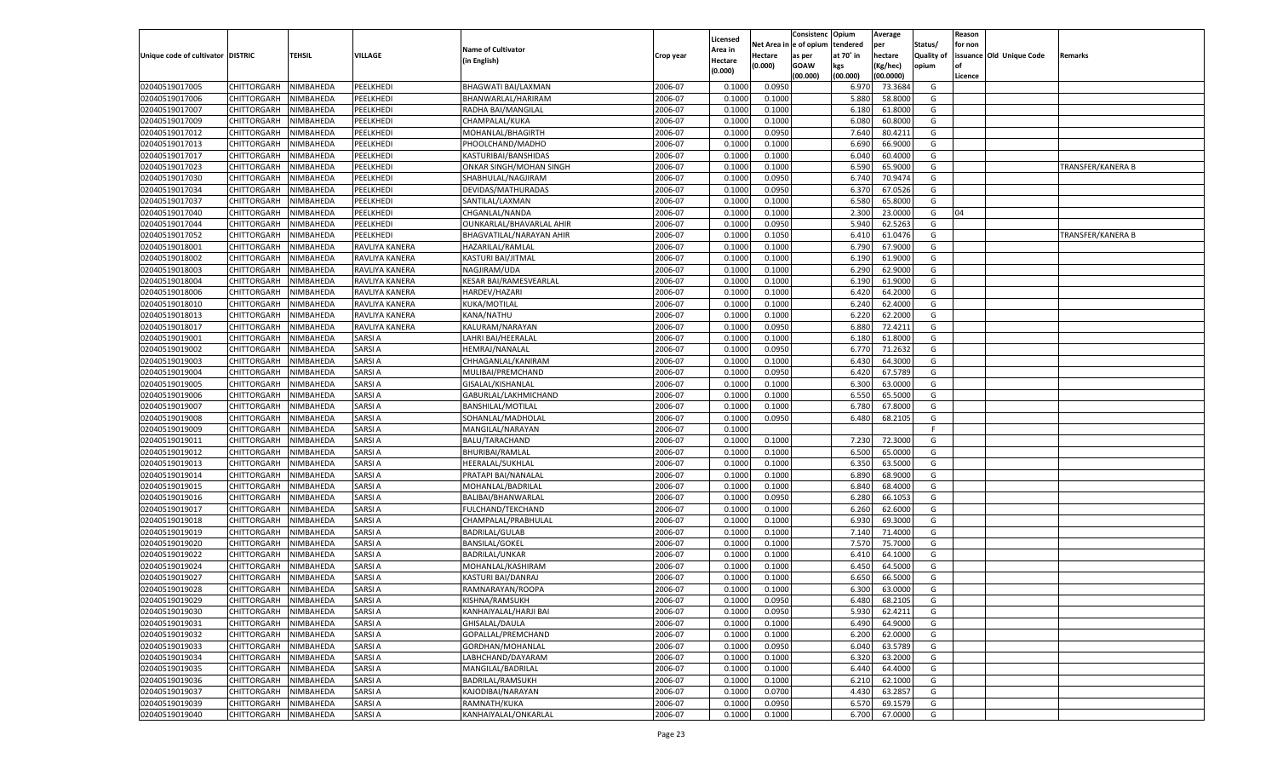|                                   |                                          |                        |                                |                                         |                    |                     |                  | Consistenc    | Opium          | Average            |                   | Reason  |                          |                   |
|-----------------------------------|------------------------------------------|------------------------|--------------------------------|-----------------------------------------|--------------------|---------------------|------------------|---------------|----------------|--------------------|-------------------|---------|--------------------------|-------------------|
|                                   |                                          |                        |                                | <b>Name of Cultivator</b>               |                    | Licensed<br>Area in | Net Area i       | n  e of opium | tendered       | per                | Status/           | for non |                          |                   |
| Unique code of cultivator DISTRIC |                                          | TEHSIL                 | VILLAGE                        | (in English)                            | Crop year          | Hectare             | Hectare          | as per        | at 70° in      | hectare            | <b>Quality of</b> |         | issuance Old Unique Code | Remarks           |
|                                   |                                          |                        |                                |                                         |                    | (0.000)             | (0.000)          | <b>GOAW</b>   | kgs            | (Kg/hec)           | opium             |         |                          |                   |
|                                   |                                          |                        |                                |                                         |                    |                     |                  | (00.000)      | (00.000)       | (00.0000)          |                   | Licence |                          |                   |
| 02040519017005                    | CHITTORGARH                              | NIMBAHEDA              | PEELKHEDI                      | BHAGWATI BAI/LAXMAN                     | 2006-07            | 0.1000              | 0.0950           |               | 6.970          | 73.3684            | G                 |         |                          |                   |
| 02040519017006                    | CHITTORGARH                              | NIMBAHEDA              | PEELKHEDI                      | BHANWARLAL/HARIRAM                      | 2006-07            | 0.1000              | 0.1000           |               | 5.880          | 58.8000            | G                 |         |                          |                   |
| 02040519017007                    | CHITTORGARH                              | NIMBAHEDA              | PEELKHEDI                      | RADHA BAI/MANGILAL                      | 2006-07            | 0.1000              | 0.1000           |               | 6.180          | 61.8000            | G                 |         |                          |                   |
| 02040519017009                    | CHITTORGARH                              | NIMBAHEDA              | PEELKHEDI                      | CHAMPALAL/KUKA                          | 2006-07            | 0.1000              | 0.1000           |               | 6.080          | 60.8000            | G                 |         |                          |                   |
| 02040519017012                    | CHITTORGARH                              | NIMBAHEDA              | PEELKHEDI                      | MOHANLAL/BHAGIRTH                       | 2006-07            | 0.1000              | 0.0950           |               | 7.640          | 80.4211            | G                 |         |                          |                   |
| 02040519017013                    | CHITTORGARH                              | NIMBAHEDA              | PEELKHEDI                      | PHOOLCHAND/MADHO                        | 2006-07            | 0.1000              | 0.1000           |               | 6.690          | 66.9000            | G                 |         |                          |                   |
| 02040519017017                    | CHITTORGARH                              | NIMBAHEDA              | PEELKHEDI                      | KASTURIBAI/BANSHIDAS                    | 2006-07            | 0.1000              | 0.1000           |               | 6.040          | 60.4000            | G                 |         |                          |                   |
| 02040519017023                    | CHITTORGARH                              | NIMBAHEDA              | PEELKHEDI                      | ONKAR SINGH/MOHAN SINGH                 | 2006-07            | 0.1000              | 0.1000           |               | 6.590          | 65.9000            | G                 |         |                          | TRANSFER/KANERA B |
| 02040519017030                    | CHITTORGARH                              | NIMBAHEDA              | PEELKHEDI                      | SHABHULAL/NAGJIRAM                      | 2006-07            | 0.1000              | 0.0950           |               | 6.740          | 70.9474            | G                 |         |                          |                   |
| 02040519017034                    | CHITTORGARH                              | NIMBAHEDA              | PEELKHEDI                      | DEVIDAS/MATHURADAS                      | 2006-07            | 0.1000              | 0.0950           |               | 6.370          | 67.0526            | G                 |         |                          |                   |
| 02040519017037                    | CHITTORGARH                              | NIMBAHEDA              | PEELKHEDI                      | SANTILAL/LAXMAN                         | 2006-07            | 0.1000              | 0.1000           |               | 6.580          | 65.8000            | G                 |         |                          |                   |
| 02040519017040                    | CHITTORGARH                              | NIMBAHEDA              | PEELKHEDI                      | CHGANLAL/NANDA                          | 2006-07            | 0.1000              | 0.1000           |               | 2.300          | 23.0000            | G                 | 04      |                          |                   |
| 02040519017044                    | CHITTORGARH                              | NIMBAHEDA              | PEELKHEDI                      | OUNKARLAL/BHAVARLAL AHIR                | 2006-07            | 0.1000              | 0.0950           |               | 5.940          | 62.5263            | G                 |         |                          |                   |
| 02040519017052                    | CHITTORGARH                              | NIMBAHEDA              | PEELKHEDI                      | BHAGVATILAL/NARAYAN AHIR                | 2006-07            | 0.1000              | 0.1050           |               | 6.410          | 61.0476            | G                 |         |                          | TRANSFER/KANERA B |
| 02040519018001                    | CHITTORGARH                              | NIMBAHEDA              | RAVLIYA KANERA                 | HAZARILAL/RAMLAL                        | 2006-07            | 0.1000              | 0.1000           |               | 6.790          | 67.9000            | G                 |         |                          |                   |
| 02040519018002                    | CHITTORGARH                              | NIMBAHEDA              | RAVLIYA KANERA                 | KASTURI BAI/JITMAL                      | 2006-07            | 0.1000              | 0.1000           |               | 6.190          | 61.9000            | G                 |         |                          |                   |
| 02040519018003                    | CHITTORGARH                              | NIMBAHEDA              | RAVLIYA KANERA                 | NAGJIRAM/UDA                            | 2006-07            | 0.1000              | 0.1000           |               | 6.290          | 62.9000            | G                 |         |                          |                   |
| 02040519018004                    | CHITTORGARH                              | NIMBAHEDA              | RAVLIYA KANERA                 | <b>KESAR BAI/RAMESVEARLAL</b>           | 2006-07            | 0.1000              | 0.1000           |               | 6.190          | 61.9000            | G                 |         |                          |                   |
| 02040519018006                    | CHITTORGARH                              | NIMBAHEDA              | RAVLIYA KANERA                 | HARDEV/HAZARI                           | 2006-07            | 0.1000              | 0.1000           |               | 6.420          | 64.2000            | G                 |         |                          |                   |
| 02040519018010                    | CHITTORGARH                              | NIMBAHEDA              | RAVLIYA KANERA                 | KUKA/MOTILAL                            | 2006-07            | 0.1000              | 0.1000           |               | 6.240          | 62.4000            | G                 |         |                          |                   |
| 02040519018013                    | CHITTORGARH                              | NIMBAHEDA              | RAVLIYA KANERA                 | KANA/NATHU                              | 2006-07            | 0.1000              | 0.1000           |               | 6.220          | 62.2000            | G                 |         |                          |                   |
| 02040519018017                    | CHITTORGARH                              | NIMBAHEDA              | RAVLIYA KANERA                 | KALURAM/NARAYAN                         | 2006-07            | 0.1000              | 0.0950           |               | 6.880          | 72.4211            | G                 |         |                          |                   |
| 02040519019001                    | CHITTORGARH                              | NIMBAHEDA              | <b>SARSIA</b>                  | LAHRI BAI/HEERALAI                      | 2006-07            | 0.1000              | 0.1000           |               | 6.180          | 61.8000            | G                 |         |                          |                   |
| 02040519019002                    | CHITTORGARH                              | NIMBAHEDA              | <b>SARSIA</b>                  | HEMRAJ/NANALAL                          | 2006-07            | 0.1000              | 0.0950           |               | 6.770          | 71.2632            | G                 |         |                          |                   |
| 02040519019003                    | CHITTORGARH                              | NIMBAHEDA              | <b>SARSIA</b>                  | CHHAGANLAL/KANIRAM                      | 2006-07            | 0.1000              | 0.1000           |               | 6.430          | 64.3000            | G                 |         |                          |                   |
| 02040519019004                    | CHITTORGARH                              | NIMBAHEDA              | <b>SARSIA</b>                  | MULIBAI/PREMCHAND                       | 2006-07            | 0.1000              | 0.0950           |               | 6.420          | 67.5789            | G                 |         |                          |                   |
| 02040519019005                    | CHITTORGARH                              | NIMBAHEDA              | <b>SARSIA</b>                  | GISALAL/KISHANLAL                       | 2006-07            | 0.1000              | 0.1000           |               | 6.300          | 63.0000            | G                 |         |                          |                   |
| 02040519019006                    | CHITTORGARH                              | NIMBAHEDA              | <b>SARSIA</b>                  | GABURLAL/LAKHMICHAND                    | 2006-07            | 0.1000              | 0.1000           |               | 6.550          | 65.5000            | G                 |         |                          |                   |
| 02040519019007                    | CHITTORGARH                              | NIMBAHEDA              | <b>SARSIA</b>                  | <b>BANSHILAL/MOTILAI</b>                | 2006-07            | 0.1000              | 0.1000           |               | 6.780          | 67.8000            | G                 |         |                          |                   |
| 02040519019008                    | CHITTORGARH                              | NIMBAHEDA              | <b>SARSIA</b>                  | SOHANLAL/MADHOLAL                       | 2006-07            | 0.1000              | 0.0950           |               | 6.480          | 68.2105            | G                 |         |                          |                   |
| 02040519019009                    | CHITTORGARH                              | NIMBAHEDA              | <b>SARSIA</b>                  | MANGILAL/NARAYAN                        | 2006-07            | 0.1000              |                  |               |                |                    | F.                |         |                          |                   |
| 02040519019011                    | CHITTORGARH                              | NIMBAHEDA              | <b>SARSIA</b>                  | BALU/TARACHAND                          | 2006-07            | 0.1000              | 0.1000           |               | 7.230          | 72.3000            | G                 |         |                          |                   |
| 02040519019012                    | CHITTORGARH                              | NIMBAHEDA              | <b>SARSIA</b>                  | BHURIBAI/RAMLAL                         | 2006-07            | 0.1000              | 0.1000           |               | 6.500          | 65.0000            | G                 |         |                          |                   |
| 02040519019013                    | CHITTORGARH                              | NIMBAHEDA              | <b>SARSIA</b>                  | HEERALAL/SUKHLAL                        | 2006-07            | 0.1000              | 0.1000           |               | 6.350          | 63.5000            | G                 |         |                          |                   |
| 02040519019014                    | CHITTORGARH                              | NIMBAHEDA              | <b>SARSIA</b>                  | PRATAPI BAI/NANALAL                     | 2006-07            | 0.1000              | 0.1000           |               | 6.890          | 68.9000            | G                 |         |                          |                   |
| 02040519019015                    | CHITTORGARH                              | NIMBAHEDA              | <b>SARSIA</b>                  | MOHANLAL/BADRILAL                       | 2006-07            | 0.1000              | 0.1000           |               | 6.840          | 68.4000            | G                 |         |                          |                   |
| 02040519019016                    | CHITTORGARH                              | NIMBAHEDA              | <b>SARSIA</b>                  | BALIBAI/BHANWARLAI                      | 2006-07            | 0.1000              | 0.0950           |               | 6.280          | 66.105             | G                 |         |                          |                   |
| 02040519019017                    | CHITTORGARH                              | NIMBAHEDA              | SARSI A                        | FULCHAND/TEKCHAND                       | 2006-07            | 0.1000              | 0.1000           |               | 6.260          | 62.6000            | G                 |         |                          |                   |
| 02040519019018                    | CHITTORGARH                              | NIMBAHEDA              | <b>SARSIA</b>                  | CHAMPALAL/PRABHULAL                     | 2006-07            | 0.1000              | 0.1000           |               | 6.930          | 69.3000            | G                 |         |                          |                   |
| 02040519019019                    | CHITTORGARH                              | NIMBAHEDA              | <b>SARSIA</b>                  | <b>BADRILAL/GULAB</b>                   | 2006-07            | 0.1000              | 0.1000           |               | 7.140          | 71.4000            | G                 |         |                          |                   |
| 02040519019020                    | CHITTORGARH                              | NIMBAHEDA              | <b>SARSIA</b>                  | <b>BANSILAL/GOKEL</b>                   | 2006-07            | 0.1000              | 0.1000           |               | 7.570          | 75.7000            | G                 |         |                          |                   |
| 02040519019022                    | CHITTORGARH                              | NIMBAHEDA              | SARSI A                        | <b>BADRILAL/UNKAR</b>                   | 2006-07            | 0.1000              | 0.1000           |               | 6.41           | 64.1000            | G                 |         |                          |                   |
| 02040519019024                    | CHITTORGARH                              | NIMBAHEDA              | <b>SARSIA</b>                  | MOHANLAL/KASHIRAM                       | 2006-07            | 0.1000              | 0.1000           |               | 6.450          | 64.5000            | G                 |         |                          |                   |
| 02040519019027                    | CHITTORGARH                              | NIMBAHEDA              | <b>SARSIA</b>                  | KASTURI BAI/DANRAJ                      | 2006-07            | 0.1000              | 0.1000           |               | 6.650          | 66.5000            | G                 |         |                          |                   |
| 02040519019028                    | CHITTORGARH                              | NIMBAHEDA              | <b>SARSIA</b>                  | RAMNARAYAN/ROOPA                        | 2006-07            | 0.1000              | 0.1000           |               | 6.300          | 63.0000            | G                 |         |                          |                   |
|                                   | CHITTORGARH NIMBAHEDA                    |                        | <b>SARSIA</b>                  | KISHNA/RAMSUKH                          | 2006-07            | 0.1000              | 0.0950           |               | 6.480          | 68.2105            | G                 |         |                          |                   |
| 02040519019029                    |                                          |                        |                                |                                         |                    |                     |                  |               |                |                    |                   |         |                          |                   |
| 02040519019030<br>02040519019031  | <b>CHITTORGARH</b><br><b>CHITTORGARH</b> | NIMBAHEDA<br>NIMBAHEDA | <b>SARSIA</b><br><b>SARSIA</b> | KANHAIYALAL/HARJI BAI<br>GHISALAL/DAULA | 2006-07<br>2006-07 | 0.1000              | 0.0950<br>0.1000 |               | 5.930<br>6.490 | 62.4211<br>64.9000 | G<br>G            |         |                          |                   |
|                                   |                                          |                        |                                |                                         |                    | 0.1000              |                  |               |                |                    |                   |         |                          |                   |
| 02040519019032                    | <b>CHITTORGARH</b>                       | NIMBAHEDA              | <b>SARSIA</b>                  | GOPALLAL/PREMCHAND                      | 2006-07            | 0.1000              | 0.1000           |               | 6.200          | 62.0000            | G                 |         |                          |                   |
| 02040519019033                    | CHITTORGARH                              | NIMBAHEDA              | <b>SARSIA</b>                  | GORDHAN/MOHANLAL                        | 2006-07            | 0.1000              | 0.0950           |               | 6.040          | 63.5789            | G                 |         |                          |                   |
| 02040519019034                    | CHITTORGARH                              | NIMBAHEDA              | <b>SARSIA</b>                  | LABHCHAND/DAYARAM                       | 2006-07            | 0.1000              | 0.1000           |               | 6.320          | 63.2000            | G                 |         |                          |                   |
| 02040519019035                    | <b>CHITTORGARH</b>                       | NIMBAHEDA              | <b>SARSIA</b>                  | MANGILAL/BADRILAL                       | 2006-07            | 0.1000              | 0.1000           |               | 6.440          | 64.4000            | G                 |         |                          |                   |
| 02040519019036                    | CHITTORGARH                              | NIMBAHEDA              | <b>SARSIA</b>                  | BADRILAL/RAMSUKH                        | 2006-07            | 0.1000              | 0.1000           |               | 6.210          | 62.1000            | G                 |         |                          |                   |
| 02040519019037                    | <b>CHITTORGARH</b>                       | NIMBAHEDA              | <b>SARSIA</b>                  | KAJODIBAI/NARAYAN                       | 2006-07            | 0.1000              | 0.0700           |               | 4.430          | 63.2857            | G                 |         |                          |                   |
| 02040519019039                    | <b>CHITTORGARH</b>                       | NIMBAHEDA              | <b>SARSIA</b>                  | RAMNATH/KUKA                            | 2006-07            | 0.1000              | 0.0950           |               | 6.570          | 69.1579            | G                 |         |                          |                   |
| 02040519019040                    | <b>CHITTORGARH</b>                       | NIMBAHEDA              | <b>SARSIA</b>                  | KANHAIYALAL/ONKARLAL                    | 2006-07            | 0.1000              | 0.1000           |               | 6.700          | 67.0000            | G                 |         |                          |                   |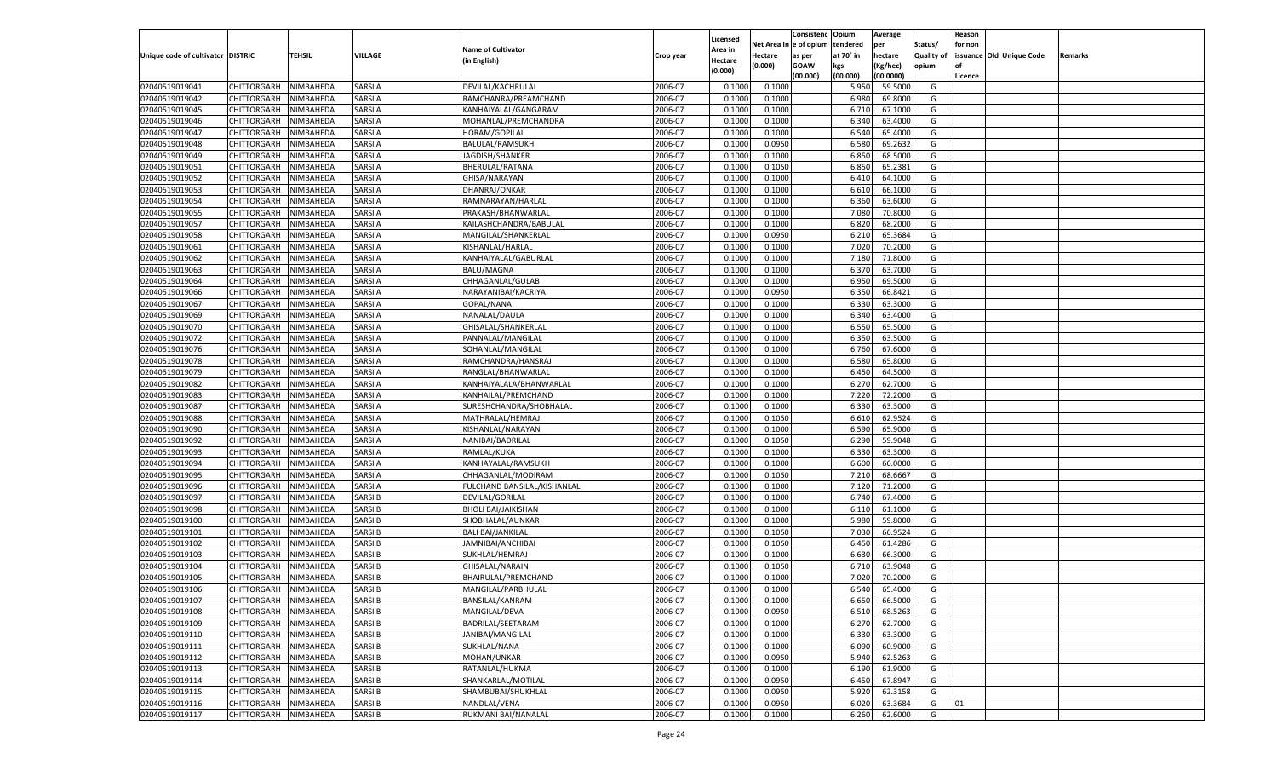|                                   |                       |                  |               |                             |           |                    |            | Consistenc   | Opium     | Average   |            | Reason  |                          |         |
|-----------------------------------|-----------------------|------------------|---------------|-----------------------------|-----------|--------------------|------------|--------------|-----------|-----------|------------|---------|--------------------------|---------|
|                                   |                       |                  |               | <b>Name of Cultivator</b>   |           | Licensed           | Net Area i | n e of opium | tendered  | per       | Status/    | for non |                          |         |
| Unique code of cultivator DISTRIC |                       | TEHSIL           | VILLAGE       |                             | Crop year | Area in            | Hectare    | as per       | at 70° in | hectare   | Quality of |         | issuance Old Unique Code | Remarks |
|                                   |                       |                  |               | (in English)                |           | Hectare<br>(0.000) | (0.000)    | <b>GOAW</b>  | kgs       | (Kg/hec)  | opium      |         |                          |         |
|                                   |                       |                  |               |                             |           |                    |            | (00.000)     | (00.000)  | (00.0000) |            | Licence |                          |         |
| 02040519019041                    | CHITTORGARH           | NIMBAHEDA        | <b>SARSIA</b> | DEVILAL/KACHRULAL           | 2006-07   | 0.1000             | 0.1000     |              | 5.950     | 59.5000   | G          |         |                          |         |
| 02040519019042                    | CHITTORGARH           | NIMBAHEDA        | <b>SARSIA</b> | RAMCHANRA/PREAMCHAND        | 2006-07   | 0.1000             | 0.1000     |              | 6.980     | 69.8000   | G          |         |                          |         |
| 02040519019045                    | CHITTORGARH           | NIMBAHEDA        | <b>SARSIA</b> | KANHAIYALAL/GANGARAM        | 2006-07   | 0.1000             | 0.1000     |              | 6.710     | 67.1000   | G          |         |                          |         |
| 02040519019046                    | CHITTORGARH           | NIMBAHEDA        | SARSI A       | MOHANLAL/PREMCHANDRA        | 2006-07   | 0.1000             | 0.1000     |              | 6.340     | 63.4000   | G          |         |                          |         |
| 02040519019047                    | CHITTORGARH           | NIMBAHEDA        | SARSI A       | <b>HORAM/GOPILAL</b>        | 2006-07   | 0.1000             | 0.1000     |              | 6.540     | 65.4000   | G          |         |                          |         |
| 02040519019048                    | CHITTORGARH           | NIMBAHEDA        | SARSI A       | BALULAL/RAMSUKH             | 2006-07   | 0.1000             | 0.0950     |              | 6.580     | 69.2632   | G          |         |                          |         |
| 02040519019049                    | CHITTORGARH           | NIMBAHEDA        | <b>SARSIA</b> | JAGDISH/SHANKER             | 2006-07   | 0.1000             | 0.1000     |              | 6.850     | 68.5000   | G          |         |                          |         |
| 02040519019051                    | CHITTORGARH           | NIMBAHEDA        | SARSI A       | BHERULAL/RATANA             | 2006-07   | 0.1000             | 0.1050     |              | 6.850     | 65.2381   | G          |         |                          |         |
| 02040519019052                    | CHITTORGARH           | NIMBAHEDA        | <b>SARSIA</b> | GHISA/NARAYAN               | 2006-07   | 0.1000             | 0.1000     |              | 6.410     | 64.1000   | G          |         |                          |         |
| 02040519019053                    | CHITTORGARH           | NIMBAHEDA        | SARSI A       | DHANRAJ/ONKAR               | 2006-07   | 0.1000             | 0.1000     |              | 6.610     | 66.1000   | G          |         |                          |         |
| 02040519019054                    | CHITTORGARH           | NIMBAHEDA        | <b>SARSIA</b> | RAMNARAYAN/HARLAL           | 2006-07   | 0.1000             | 0.1000     |              | 6.360     | 63.6000   | G          |         |                          |         |
| 02040519019055                    | CHITTORGARH           | NIMBAHEDA        | SARSI A       | PRAKASH/BHANWARLAL          | 2006-07   | 0.1000             | 0.1000     |              | 7.080     | 70.8000   | G          |         |                          |         |
| 02040519019057                    | CHITTORGARH           | NIMBAHEDA        | <b>SARSIA</b> | KAILASHCHANDRA/BABULAL      | 2006-07   | 0.1000             | 0.1000     |              | 6.820     | 68.2000   | G          |         |                          |         |
| 02040519019058                    | CHITTORGARH           | NIMBAHEDA        | <b>SARSIA</b> | MANGILAL/SHANKERLAL         | 2006-07   | 0.1000             | 0.0950     |              | 6.210     | 65.3684   | G          |         |                          |         |
| 02040519019061                    | CHITTORGARH           | NIMBAHEDA        | <b>SARSIA</b> | KISHANLAL/HARLAL            | 2006-07   | 0.1000             | 0.1000     |              | 7.020     | 70.2000   | G          |         |                          |         |
| 02040519019062                    | CHITTORGARH           | NIMBAHEDA        | <b>SARSIA</b> | KANHAIYALAL/GABURLAL        | 2006-07   | 0.1000             | 0.1000     |              | 7.180     | 71.8000   | G          |         |                          |         |
| 02040519019063                    | CHITTORGARH           | NIMBAHEDA        | <b>SARSIA</b> | <b>BALU/MAGNA</b>           | 2006-07   | 0.1000             | 0.1000     |              | 6.370     | 63.7000   | G          |         |                          |         |
| 02040519019064                    | CHITTORGARH           | NIMBAHEDA        | <b>SARSIA</b> | CHHAGANLAL/GULAB            | 2006-07   | 0.1000             | 0.1000     |              | 6.950     | 69.5000   | G          |         |                          |         |
| 02040519019066                    | CHITTORGARH           | NIMBAHEDA        | <b>SARSIA</b> | NARAYANIBAI/KACRIYA         | 2006-07   | 0.1000             | 0.0950     |              | 6.350     | 66.8421   | G          |         |                          |         |
| 02040519019067                    | CHITTORGARH           | NIMBAHEDA        | <b>SARSIA</b> | GOPAL/NANA                  | 2006-07   | 0.1000             | 0.1000     |              | 6.330     | 63.3000   | G          |         |                          |         |
| 02040519019069                    | CHITTORGARH           | NIMBAHEDA        | <b>SARSIA</b> | NANALAL/DAULA               | 2006-07   | 0.1000             | 0.1000     |              | 6.340     | 63.4000   | G          |         |                          |         |
| 02040519019070                    | CHITTORGARH           | NIMBAHEDA        | <b>SARSIA</b> | GHISALAL/SHANKERLAL         | 2006-07   | 0.1000             | 0.1000     |              | 6.550     | 65.5000   | G          |         |                          |         |
| 02040519019072                    | CHITTORGARH           | NIMBAHEDA        | <b>SARSIA</b> | PANNALAL/MANGILAL           | 2006-07   | 0.1000             | 0.1000     |              | 6.350     | 63.5000   | G          |         |                          |         |
| 02040519019076                    | CHITTORGARH           | NIMBAHEDA        | <b>SARSIA</b> | SOHANLAL/MANGILAL           | 2006-07   | 0.1000             | 0.1000     |              | 6.760     | 67.6000   | G          |         |                          |         |
| 02040519019078                    | CHITTORGARH           | NIMBAHEDA        | <b>SARSIA</b> | RAMCHANDRA/HANSRAJ          | 2006-07   | 0.1000             | 0.1000     |              | 6.580     | 65.8000   | G          |         |                          |         |
| 02040519019079                    | CHITTORGARH           | NIMBAHEDA        | <b>SARSIA</b> | RANGLAL/BHANWARLAL          | 2006-07   | 0.1000             | 0.1000     |              | 6.450     | 64.5000   | G          |         |                          |         |
| 02040519019082                    | CHITTORGARH           | NIMBAHEDA        | <b>SARSIA</b> | KANHAIYALALA/BHANWARLAL     | 2006-07   | 0.1000             | 0.1000     |              | 6.270     | 62.7000   | G          |         |                          |         |
| 02040519019083                    | CHITTORGARH           | NIMBAHEDA        | <b>SARSIA</b> | KANHAILAL/PREMCHAND         | 2006-07   | 0.1000             | 0.1000     |              | 7.220     | 72.2000   | G          |         |                          |         |
| 02040519019087                    | CHITTORGARH           | NIMBAHEDA        | <b>SARSIA</b> | SURESHCHANDRA/SHOBHALAI     | 2006-07   | 0.1000             | 0.1000     |              | 6.330     | 63.3000   | G          |         |                          |         |
| 02040519019088                    | CHITTORGARH           | NIMBAHEDA        | <b>SARSIA</b> | MATHRALAL/HEMRAJ            | 2006-07   | 0.1000             | 0.1050     |              | 6.610     | 62.9524   | G          |         |                          |         |
| 02040519019090                    | CHITTORGARH           | NIMBAHEDA        | <b>SARSIA</b> | KISHANLAL/NARAYAN           | 2006-07   | 0.1000             | 0.1000     |              | 6.590     | 65.9000   | G          |         |                          |         |
| 02040519019092                    | CHITTORGARH           | NIMBAHEDA        | <b>SARSIA</b> | NANIBAI/BADRILAL            | 2006-07   | 0.1000             | 0.1050     |              | 6.290     | 59.9048   | G          |         |                          |         |
| 02040519019093                    | CHITTORGARH           | NIMBAHEDA        | <b>SARSIA</b> | RAMLAL/KUKA                 | 2006-07   | 0.1000             | 0.1000     |              | 6.330     | 63.3000   | G          |         |                          |         |
| 02040519019094                    | CHITTORGARH           | NIMBAHEDA        | <b>SARSIA</b> | KANHAYALAL/RAMSUKH          | 2006-07   | 0.1000             | 0.1000     |              | 6.600     | 66.0000   | G          |         |                          |         |
| 02040519019095                    | CHITTORGARH           | NIMBAHEDA        | <b>SARSIA</b> | CHHAGANLAL/MODIRAM          | 2006-07   | 0.1000             | 0.1050     |              | 7.210     | 68.6667   | G          |         |                          |         |
| 02040519019096                    | CHITTORGARH           | NIMBAHEDA        | <b>SARSIA</b> | FULCHAND BANSILAL/KISHANLAL | 2006-07   | 0.1000             | 0.1000     |              | 7.120     | 71.2000   | G          |         |                          |         |
| 02040519019097                    | CHITTORGARH           | NIMBAHEDA        | <b>SARSIB</b> | DEVILAL/GORILAL             | 2006-07   | 0.1000             | 0.1000     |              | 6.740     | 67.4000   | G          |         |                          |         |
| 02040519019098                    | CHITTORGARH           | NIMBAHEDA        | <b>SARSIB</b> | <b>BHOLI BAI/JAIKISHAN</b>  | 2006-07   | 0.1000             | 0.1000     |              | 6.11      | 61.1000   | G          |         |                          |         |
| 02040519019100                    | CHITTORGARH           | NIMBAHEDA        | <b>SARSIB</b> | SHOBHALAL/AUNKAR            | 2006-07   | 0.1000             | 0.1000     |              | 5.980     | 59.8000   | G          |         |                          |         |
| 02040519019101                    | CHITTORGARH           | NIMBAHEDA        | <b>SARSIB</b> | <b>BALI BAI/JANKILAL</b>    | 2006-07   | 0.1000             | 0.1050     |              | 7.030     | 66.9524   | G          |         |                          |         |
| 02040519019102                    | CHITTORGARH           | NIMBAHEDA        | <b>SARSIB</b> | JAMNIBAI/ANCHIBAI           | 2006-07   | 0.1000             | 0.1050     |              | 6.450     | 61.4286   | G          |         |                          |         |
| 02040519019103                    | CHITTORGARH           | NIMBAHEDA        | SARSI B       | SUKHLAL/HEMRAJ              | 2006-07   | 0.1000             | 0.1000     |              | 6.630     | 66.3000   | G          |         |                          |         |
| 02040519019104                    | CHITTORGARH           | NIMBAHEDA        | <b>SARSIB</b> | GHISALAL/NARAIN             | 2006-07   | 0.1000             | 0.1050     |              | 6.710     | 63.9048   | G          |         |                          |         |
| 02040519019105                    | CHITTORGARH           | NIMBAHEDA        | <b>SARSIB</b> | BHAIRULAL/PREMCHAND         | 2006-07   | 0.1000             | 0.1000     |              | 7.020     | 70.2000   | G          |         |                          |         |
| 02040519019106                    | CHITTORGARH           | NIMBAHEDA        | <b>SARSIB</b> | MANGILAL/PARBHULAL          | 2006-07   | 0.1000             | 0.1000     |              | 6.540     | 65.4000   | G          |         |                          |         |
| 02040519019107                    | CHITTORGARH NIMBAHEDA |                  | <b>SARSIB</b> | BANSILAL/KANRAM             | 2006-07   | 0.1000             | 0.1000     |              | 6.650     | 66.5000   | G          |         |                          |         |
| 02040519019108                    | <b>CHITTORGARH</b>    | <b>NIMBAHEDA</b> | <b>SARSIB</b> | MANGILAL/DEVA               | 2006-07   | 0.1000             | 0.0950     |              | 6.510     | 68.5263   | G          |         |                          |         |
| 02040519019109                    | <b>CHITTORGARH</b>    | NIMBAHEDA        | <b>SARSIB</b> | BADRILAL/SEETARAM           | 2006-07   | 0.1000             | 0.1000     |              | 6.270     | 62.7000   | G          |         |                          |         |
| 02040519019110                    | CHITTORGARH           | NIMBAHEDA        | <b>SARSIB</b> | JANIBAI/MANGILAL            | 2006-07   | 0.1000             | 0.1000     |              | 6.330     | 63.3000   | G          |         |                          |         |
| 02040519019111                    | CHITTORGARH           | NIMBAHEDA        | <b>SARSIB</b> | SUKHLAL/NANA                | 2006-07   | 0.1000             | 0.1000     |              | 6.090     | 60.9000   | G          |         |                          |         |
| 02040519019112                    | CHITTORGARH           | NIMBAHEDA        | <b>SARSIB</b> | MOHAN/UNKAR                 | 2006-07   | 0.1000             | 0.0950     |              | 5.940     | 62.5263   | G          |         |                          |         |
| 02040519019113                    | <b>CHITTORGARH</b>    | NIMBAHEDA        | <b>SARSIB</b> | RATANLAL/HUKMA              | 2006-07   | 0.1000             | 0.1000     |              | 6.190     | 61.9000   | G          |         |                          |         |
| 02040519019114                    | CHITTORGARH           | NIMBAHEDA        | <b>SARSIB</b> | SHANKARLAL/MOTILAL          | 2006-07   | 0.1000             | 0.0950     |              | 6.450     | 67.8947   | G          |         |                          |         |
| 02040519019115                    | <b>CHITTORGARH</b>    | NIMBAHEDA        | <b>SARSIB</b> | SHAMBUBAI/SHUKHLAL          | 2006-07   | 0.1000             | 0.0950     |              | 5.920     | 62.3158   | G          |         |                          |         |
| 02040519019116                    | <b>CHITTORGARH</b>    | NIMBAHEDA        | <b>SARSIB</b> | NANDLAL/VENA                | 2006-07   | 0.1000             | 0.0950     |              | 6.020     | 63.3684   | G          | 01      |                          |         |
| 02040519019117                    | <b>CHITTORGARH</b>    |                  | <b>SARSIB</b> | RUKMANI BAI/NANALAL         | 2006-07   |                    |            |              | 6.260     | 62.6000   | G          |         |                          |         |
|                                   |                       | NIMBAHEDA        |               |                             |           | 0.1000             | 0.1000     |              |           |           |            |         |                          |         |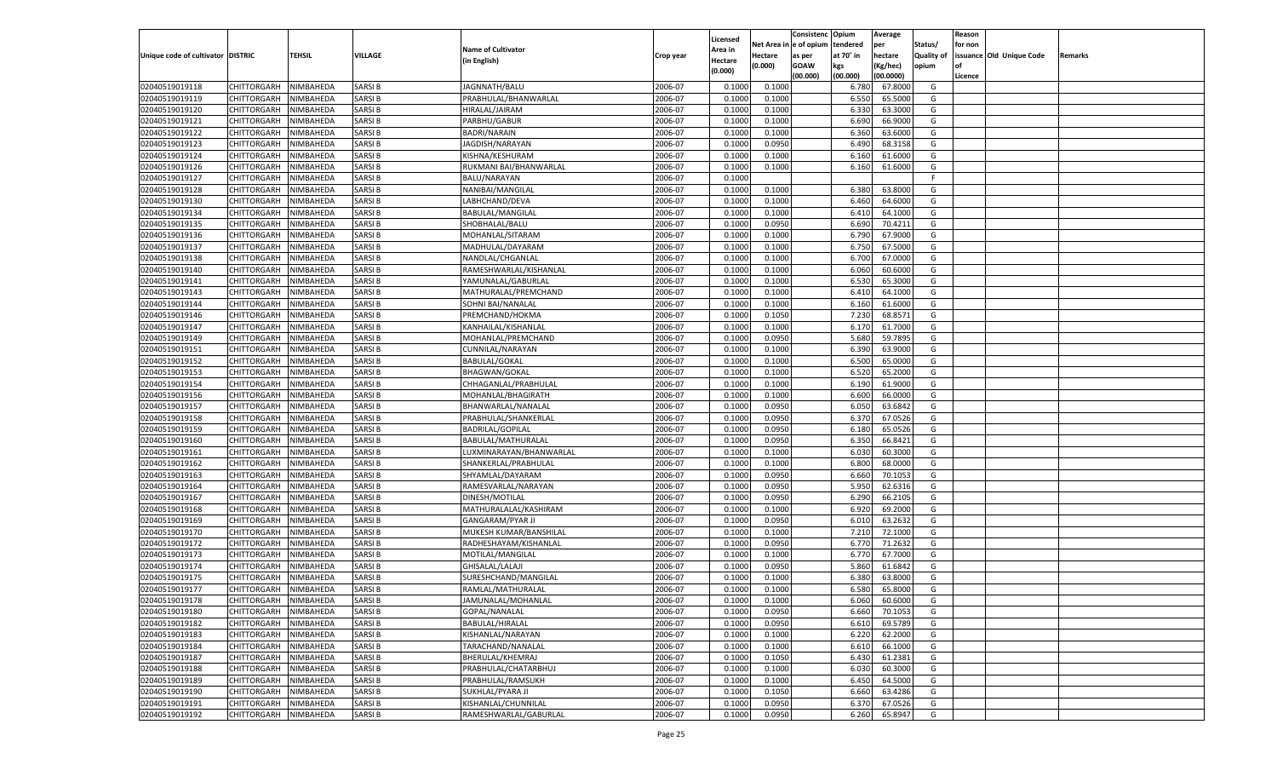|                                   |                       |           |               |                           |           |                    |                  | Consistenc   | Opium     | Average   |            | Reason  |                          |         |
|-----------------------------------|-----------------------|-----------|---------------|---------------------------|-----------|--------------------|------------------|--------------|-----------|-----------|------------|---------|--------------------------|---------|
|                                   |                       |           |               | <b>Name of Cultivator</b> |           | Licensed           | Net Area i       | n e of opium | tendered  | per       | Status/    | for non |                          |         |
| Unique code of cultivator DISTRIC |                       | TEHSIL    | VILLAGE       |                           | Crop year | Area in            | Hectare          | as per       | at 70° in | hectare   | Quality of |         | issuance Old Unique Code | Remarks |
|                                   |                       |           |               | (in English)              |           | Hectare<br>(0.000) | (0.000)          | <b>GOAW</b>  | kgs       | (Kg/hec)  | opium      |         |                          |         |
|                                   |                       |           |               |                           |           |                    |                  | (00.000)     | (00.000)  | (00.0000) |            | Licence |                          |         |
| 02040519019118                    | CHITTORGARH           | NIMBAHEDA | <b>SARSIB</b> | JAGNNATH/BALU             | 2006-07   | 0.1000             | 0.1000           |              | 6.780     | 67.8000   | G          |         |                          |         |
| 02040519019119                    | CHITTORGARH           | NIMBAHEDA | <b>SARSIB</b> | PRABHULAL/BHANWARLAL      | 2006-07   | 0.100              | 0.1000           |              | 6.550     | 65.5000   | G          |         |                          |         |
| 02040519019120                    | CHITTORGARH           | NIMBAHEDA | <b>SARSIB</b> | HIRALAL/JAIRAM            | 2006-07   | 0.1000             | 0.1000           |              | 6.330     | 63.3000   | G          |         |                          |         |
| 02040519019121                    | CHITTORGARH           | NIMBAHEDA | <b>SARSIB</b> | PARBHU/GABUR              | 2006-07   | 0.1000             | 0.1000           |              | 6.690     | 66.9000   | G          |         |                          |         |
| 02040519019122                    | CHITTORGARH           | NIMBAHEDA | <b>SARSIB</b> | <b>BADRI/NARAIN</b>       | 2006-07   | 0.1000             | 0.1000           |              | 6.360     | 63.6000   | G          |         |                          |         |
| 02040519019123                    | CHITTORGARH           | NIMBAHEDA | SARSI B       | JAGDISH/NARAYAN           | 2006-07   | 0.1000             | 0.0950           |              | 6.490     | 68.3158   | G          |         |                          |         |
| 02040519019124                    | CHITTORGARH           | NIMBAHEDA | <b>SARSIB</b> | KISHNA/KESHURAM           | 2006-07   | 0.1000             | 0.1000           |              | 6.160     | 61.6000   | G          |         |                          |         |
| 02040519019126                    | CHITTORGARH           | NIMBAHEDA | <b>SARSIB</b> | RUKMANI BAI/BHANWARLAL    | 2006-07   | 0.1000             | 0.1000           |              | 6.160     | 61.6000   | G          |         |                          |         |
| 02040519019127                    | CHITTORGARH           | NIMBAHEDA | <b>SARSIB</b> | BALU/NARAYAN              | 2006-07   | 0.1000             |                  |              |           |           | F.         |         |                          |         |
| 02040519019128                    | CHITTORGARH           | NIMBAHEDA | SARSI B       | NANIBAI/MANGILAL          | 2006-07   | 0.1000             | 0.1000           |              | 6.380     | 63.8000   | G          |         |                          |         |
| 02040519019130                    | CHITTORGARH           | NIMBAHEDA | <b>SARSIB</b> | LABHCHAND/DEVA            | 2006-07   | 0.1000             | 0.1000           |              | 6.460     | 64.6000   | G          |         |                          |         |
| 02040519019134                    | CHITTORGARH           | NIMBAHEDA | <b>SARSIB</b> | BABULAL/MANGILAL          | 2006-07   | 0.1000             | 0.1000           |              | 6.41      | 64.1000   | G          |         |                          |         |
| 02040519019135                    | CHITTORGARH           | NIMBAHEDA | <b>SARSIB</b> | SHOBHALAL/BALU            | 2006-07   | 0.1000             | 0.0950           |              | 6.690     | 70.4211   | G          |         |                          |         |
| 02040519019136                    | CHITTORGARH           | NIMBAHEDA | <b>SARSIB</b> | MOHANLAL/SITARAM          | 2006-07   | 0.1000             | 0.1000           |              | 6.790     | 67.9000   | G          |         |                          |         |
| 02040519019137                    | CHITTORGARH           | NIMBAHEDA | <b>SARSIB</b> | MADHULAL/DAYARAM          | 2006-07   | 0.1000             | 0.1000           |              | 6.750     | 67.5000   | G          |         |                          |         |
| 02040519019138                    | CHITTORGARH           | NIMBAHEDA | <b>SARSIB</b> | NANDLAL/CHGANLAL          | 2006-07   | 0.1000             | 0.1000           |              | 6.700     | 67.0000   | G          |         |                          |         |
| 02040519019140                    | CHITTORGARH           | NIMBAHEDA | <b>SARSIB</b> | RAMESHWARLAL/KISHANLAL    | 2006-07   | 0.1000             | 0.1000           |              | 6.060     | 60.6000   | G          |         |                          |         |
| 02040519019141                    | CHITTORGARH           | NIMBAHEDA | <b>SARSIB</b> | YAMUNALAL/GABURLAI        | 2006-07   | 0.1000             | 0.1000           |              | 6.530     | 65.3000   | G          |         |                          |         |
| 02040519019143                    | CHITTORGARH           | NIMBAHEDA | <b>SARSIB</b> | MATHURALAL/PREMCHAND      | 2006-07   | 0.1000             | 0.1000           |              | 6.410     | 64.1000   | G          |         |                          |         |
| 02040519019144                    | CHITTORGARH           | NIMBAHEDA | <b>SARSIB</b> | SOHNI BAI/NANALAL         | 2006-07   | 0.1000             | 0.1000           |              | 6.160     | 61.6000   | G          |         |                          |         |
| 02040519019146                    | CHITTORGARH           | NIMBAHEDA | <b>SARSIB</b> | PREMCHAND/HOKMA           | 2006-07   | 0.1000             | 0.1050           |              | 7.230     | 68.8571   | G          |         |                          |         |
| 02040519019147                    | CHITTORGARH           | NIMBAHEDA | <b>SARSIB</b> | KANHAILAL/KISHANLAL       | 2006-07   | 0.1000             | 0.1000           |              | 6.170     | 61.7000   | G          |         |                          |         |
| 02040519019149                    | CHITTORGARH           | NIMBAHEDA | <b>SARSIB</b> | MOHANLAL/PREMCHAND        | 2006-07   | 0.1000             | 0.0950           |              | 5.680     | 59.7895   | G          |         |                          |         |
| 02040519019151                    | CHITTORGARH           | NIMBAHEDA | <b>SARSIB</b> | CUNNILAL/NARAYAN          | 2006-07   | 0.1000             | 0.1000           |              | 6.390     | 63.9000   | G          |         |                          |         |
| 02040519019152                    | CHITTORGARH           | NIMBAHEDA | <b>SARSIB</b> | <b>BABULAL/GOKAL</b>      | 2006-07   | 0.1000             | 0.1000           |              | 6.500     | 65.0000   | G          |         |                          |         |
| 02040519019153                    | CHITTORGARH           | NIMBAHEDA | <b>SARSIB</b> | <b>BHAGWAN/GOKAL</b>      | 2006-07   | 0.1000             | 0.1000           |              | 6.520     | 65.2000   | G          |         |                          |         |
| 02040519019154                    | CHITTORGARH           | NIMBAHEDA | <b>SARSIB</b> | CHHAGANLAL/PRABHULAI      | 2006-07   | 0.1000             | 0.1000           |              | 6.190     | 61.9000   | G          |         |                          |         |
| 02040519019156                    | CHITTORGARH           | NIMBAHEDA | <b>SARSIB</b> | MOHANLAL/BHAGIRATH        | 2006-07   | 0.1000             | 0.1000           |              | 6.600     | 66.0000   | G          |         |                          |         |
| 02040519019157                    | CHITTORGARH           | NIMBAHEDA | <b>SARSIB</b> | BHANWARLAL/NANALAI        | 2006-07   | 0.1000             | 0.0950           |              | 6.050     | 63.6842   | G          |         |                          |         |
| 02040519019158                    | CHITTORGARH           | NIMBAHEDA | <b>SARSIB</b> | PRABHULAL/SHANKERLAL      | 2006-07   | 0.1000             | 0.0950           |              | 6.370     | 67.0526   | G          |         |                          |         |
| 02040519019159                    | CHITTORGARH           | NIMBAHEDA | <b>SARSIB</b> | <b>BADRILAL/GOPILAL</b>   | 2006-07   | 0.1000             | 0.0950           |              | 6.180     | 65.0526   | G          |         |                          |         |
| 02040519019160                    | CHITTORGARH           | NIMBAHEDA | <b>SARSIB</b> | BABULAL/MATHURALAL        | 2006-07   | 0.1000             | 0.0950           |              | 6.350     | 66.8421   | G          |         |                          |         |
| 02040519019161                    | CHITTORGARH           | NIMBAHEDA | <b>SARSIB</b> | LUXMINARAYAN/BHANWARLAL   | 2006-07   | 0.1000             | 0.1000           |              | 6.030     | 60.3000   | G          |         |                          |         |
| 02040519019162                    |                       | NIMBAHEDA | <b>SARSIB</b> |                           | 2006-07   | 0.1000             |                  |              | 6.800     | 68.0000   | G          |         |                          |         |
|                                   | CHITTORGARH           | NIMBAHEDA | <b>SARSIB</b> | SHANKERLAL/PRABHULAL      | 2006-07   |                    | 0.1000<br>0.0950 |              |           | 70.105    |            |         |                          |         |
| 02040519019163                    | CHITTORGARH           |           |               | SHYAMLAL/DAYARAM          |           | 0.1000             |                  |              | 6.660     |           | G          |         |                          |         |
| 02040519019164                    | CHITTORGARH           | NIMBAHEDA | <b>SARSIB</b> | RAMESVARLAL/NARAYAN       | 2006-07   | 0.1000             | 0.0950           |              | 5.950     | 62.6316   | G          |         |                          |         |
| 02040519019167                    | CHITTORGARH           | NIMBAHEDA | <b>SARSIB</b> | DINESH/MOTILAL            | 2006-07   | 0.1000             | 0.0950           |              | 6.290     | 66.2105   | G          |         |                          |         |
| 02040519019168                    | CHITTORGARH           | NIMBAHEDA | <b>SARSIB</b> | MATHURALALAL/KASHIRAM     | 2006-07   | 0.1000             | 0.1000           |              | 6.920     | 69.2000   | G          |         |                          |         |
| 02040519019169                    | CHITTORGARH           | NIMBAHEDA | <b>SARSIB</b> | <b>GANGARAM/PYAR JI</b>   | 2006-07   | 0.1000             | 0.0950           |              | 6.010     | 63.2632   | G          |         |                          |         |
| 02040519019170                    | CHITTORGARH           | NIMBAHEDA | <b>SARSIB</b> | MUKESH KUMAR/BANSHILAL    | 2006-07   | 0.1000             | 0.1000           |              | 7.210     | 72.1000   | G          |         |                          |         |
| 02040519019172                    | CHITTORGARH           | NIMBAHEDA | <b>SARSIB</b> | RADHESHAYAM/KISHANLAL     | 2006-07   | 0.1000             | 0.0950           |              | 6.770     | 71.2632   | G          |         |                          |         |
| 02040519019173                    | CHITTORGARH           | NIMBAHEDA | SARSI B       | MOTILAL/MANGILAL          | 2006-07   | 0.1000             | 0.1000           |              | 6.770     | 67.7000   | G          |         |                          |         |
| 02040519019174                    | CHITTORGARH           | NIMBAHEDA | <b>SARSIB</b> | GHISALAL/LALAJI           | 2006-07   | 0.1000             | 0.0950           |              | 5.860     | 61.6842   | G          |         |                          |         |
| 02040519019175                    | CHITTORGARH           | NIMBAHEDA | <b>SARSIB</b> | SURESHCHAND/MANGILAL      | 2006-07   | 0.1000             | 0.1000           |              | 6.380     | 63.8000   | G          |         |                          |         |
| 02040519019177                    | CHITTORGARH           | NIMBAHEDA | <b>SARSIB</b> | RAMLAL/MATHURALAL         | 2006-07   | 0.1000             | 0.1000           |              | 6.580     | 65.8000   | G          |         |                          |         |
| 02040519019178                    | CHITTORGARH NIMBAHEDA |           | <b>SARSIB</b> | JAMUNALAL/MOHANLAL        | 2006-07   | 0.1000             | 0.1000           |              | 6.060     | 60.6000   | G          |         |                          |         |
| 02040519019180                    | <b>CHITTORGARH</b>    | NIMBAHEDA | <b>SARSIB</b> | GOPAL/NANALAL             | 2006-07   | 0.1000             | 0.0950           |              | 6.660     | 70.1053   | G          |         |                          |         |
| 02040519019182                    | CHITTORGARH           | NIMBAHEDA | <b>SARSIB</b> | BABULAL/HIRALAL           | 2006-07   | 0.1000             | 0.0950           |              | 6.610     | 69.5789   | G          |         |                          |         |
| 02040519019183                    | <b>CHITTORGARH</b>    | NIMBAHEDA | <b>SARSIB</b> | KISHANLAL/NARAYAN         | 2006-07   | 0.1000             | 0.1000           |              | 6.220     | 62.2000   | G          |         |                          |         |
| 02040519019184                    | <b>CHITTORGARH</b>    | NIMBAHEDA | <b>SARSIB</b> | TARACHAND/NANALAL         | 2006-07   | 0.1000             | 0.1000           |              | 6.610     | 66.1000   | G          |         |                          |         |
| 02040519019187                    | CHITTORGARH           | NIMBAHEDA | <b>SARSIB</b> | BHERULAL/KHEMRAJ          | 2006-07   | 0.1000             | 0.1050           |              | 6.430     | 61.2381   | G          |         |                          |         |
| 02040519019188                    | <b>CHITTORGARH</b>    | NIMBAHEDA | <b>SARSIB</b> | PRABHULAL/CHATARBHUJ      | 2006-07   | 0.1000             | 0.1000           |              | 6.030     | 60.3000   | G          |         |                          |         |
| 02040519019189                    | CHITTORGARH           | NIMBAHEDA | <b>SARSIB</b> | PRABHULAL/RAMSUKH         | 2006-07   | 0.1000             | 0.1000           |              | 6.450     | 64.5000   | G          |         |                          |         |
| 02040519019190                    | <b>CHITTORGARH</b>    | NIMBAHEDA | <b>SARSIB</b> | SUKHLAL/PYARA JI          | 2006-07   | 0.1000             | 0.1050           |              | 6.660     | 63.4286   | G          |         |                          |         |
| 02040519019191                    | CHITTORGARH           | NIMBAHEDA | <b>SARSIB</b> | KISHANLAL/CHUNNILAL       | 2006-07   | 0.1000             | 0.0950           |              | 6.370     | 67.0526   | G          |         |                          |         |
| 02040519019192                    | CHITTORGARH           | NIMBAHEDA | <b>SARSIB</b> | RAMESHWARLAL/GABURLAL     | 2006-07   | 0.1000             | 0.0950           |              | 6.260     | 65.8947   | G          |         |                          |         |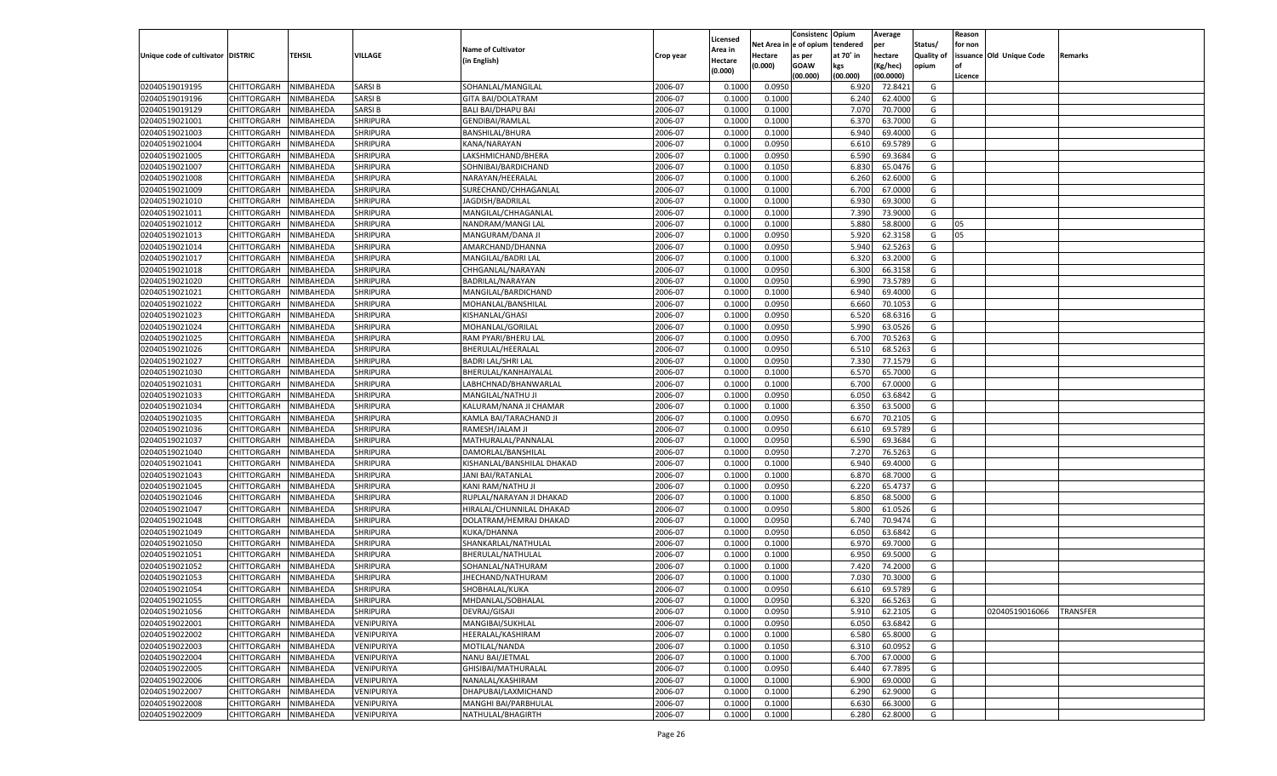|                                   |                       |           |                 |                            |           |                    |            | Consistenc    | Opium     | Average   |            | Reason  |                          |                 |
|-----------------------------------|-----------------------|-----------|-----------------|----------------------------|-----------|--------------------|------------|---------------|-----------|-----------|------------|---------|--------------------------|-----------------|
|                                   |                       |           |                 |                            |           | Licensed           | Net Area i | n  e of opium | tendered  | per       | Status/    | for non |                          |                 |
| Unique code of cultivator DISTRIC |                       | TEHSIL    | VILLAGE         | <b>Name of Cultivator</b>  | Crop year | Area in            | Hectare    | as per        | at 70° in | hectare   | Quality of |         | issuance Old Unique Code | Remarks         |
|                                   |                       |           |                 | (in English)               |           | Hectare<br>(0.000) | (0.000)    | <b>GOAW</b>   | kgs       | (Kg/hec)  | opium      |         |                          |                 |
|                                   |                       |           |                 |                            |           |                    |            | (00.000)      | (00.000)  | (00.0000) |            | Licence |                          |                 |
| 02040519019195                    | CHITTORGARH           | NIMBAHEDA | <b>SARSIB</b>   | SOHANLAL/MANGILAL          | 2006-07   | 0.1000             | 0.0950     |               | 6.920     | 72.8421   | G          |         |                          |                 |
| 02040519019196                    | CHITTORGARH           | NIMBAHEDA | <b>SARSIB</b>   | <b>GITA BAI/DOLATRAM</b>   | 2006-07   | 0.1000             | 0.1000     |               | 6.240     | 62.4000   | G          |         |                          |                 |
| 02040519019129                    | CHITTORGARH           | NIMBAHEDA | <b>SARSIB</b>   | <b>BALI BAI/DHAPU BAI</b>  | 2006-07   | 0.1000             | 0.1000     |               | 7.070     | 70.7000   | G          |         |                          |                 |
| 02040519021001                    | CHITTORGARH           | NIMBAHEDA | <b>SHRIPURA</b> | <b>GENDIBAI/RAMLAL</b>     | 2006-07   | 0.1000             | 0.1000     |               | 6.370     | 63.7000   | G          |         |                          |                 |
| 02040519021003                    | CHITTORGARH           | NIMBAHEDA | SHRIPURA        | <b>BANSHILAL/BHURA</b>     | 2006-07   | 0.1000             | 0.1000     |               | 6.940     | 69.4000   | G          |         |                          |                 |
| 02040519021004                    | CHITTORGARH           | NIMBAHEDA | <b>SHRIPURA</b> | KANA/NARAYAN               | 2006-07   | 0.1000             | 0.0950     |               | 6.610     | 69.5789   | G          |         |                          |                 |
| 02040519021005                    | CHITTORGARH           | NIMBAHEDA | <b>SHRIPURA</b> | LAKSHMICHAND/BHERA         | 2006-07   | 0.1000             | 0.0950     |               | 6.590     | 69.3684   | G          |         |                          |                 |
| 02040519021007                    | CHITTORGARH           | NIMBAHEDA | <b>SHRIPURA</b> | SOHNIBAI/BARDICHAND        | 2006-07   | 0.1000             | 0.1050     |               | 6.830     | 65.0476   | G          |         |                          |                 |
| 02040519021008                    | CHITTORGARH           | NIMBAHEDA | SHRIPURA        | NARAYAN/HEERALAL           | 2006-07   | 0.1000             | 0.1000     |               | 6.260     | 62.6000   | G          |         |                          |                 |
| 02040519021009                    | CHITTORGARH           | NIMBAHEDA | <b>SHRIPURA</b> | SURECHAND/CHHAGANLAL       | 2006-07   | 0.1000             | 0.1000     |               | 6.700     | 67.0000   | G          |         |                          |                 |
| 02040519021010                    | CHITTORGARH           | NIMBAHEDA | <b>SHRIPURA</b> | JAGDISH/BADRILAL           | 2006-07   | 0.1000             | 0.1000     |               | 6.930     | 69.3000   | G          |         |                          |                 |
| 02040519021011                    | CHITTORGARH           | NIMBAHEDA | <b>SHRIPURA</b> | MANGILAL/CHHAGANLAL        | 2006-07   | 0.1000             | 0.1000     |               | 7.390     | 73.9000   | G          |         |                          |                 |
| 02040519021012                    | CHITTORGARH           | NIMBAHEDA | SHRIPURA        | NANDRAM/MANGI LAL          | 2006-07   | 0.1000             | 0.1000     |               | 5.880     | 58.8000   | G          | 05      |                          |                 |
| 02040519021013                    | CHITTORGARH           | NIMBAHEDA | SHRIPURA        | MANGURAM/DANA JI           | 2006-07   | 0.1000             | 0.0950     |               | 5.920     | 62.3158   | G          | 05      |                          |                 |
| 02040519021014                    | CHITTORGARH           | NIMBAHEDA | <b>SHRIPURA</b> | AMARCHAND/DHANNA           | 2006-07   | 0.1000             | 0.0950     |               | 5.940     | 62.5263   | G          |         |                          |                 |
| 02040519021017                    | CHITTORGARH           | NIMBAHEDA | SHRIPURA        | MANGILAL/BADRI LAL         | 2006-07   | 0.1000             | 0.1000     |               | 6.320     | 63.2000   | G          |         |                          |                 |
|                                   | CHITTORGARH           |           | <b>SHRIPURA</b> | CHHGANLAL/NARAYAN          | 2006-07   |                    | 0.0950     |               | 6.300     | 66.3158   | G          |         |                          |                 |
| 02040519021018                    |                       | NIMBAHEDA |                 |                            |           | 0.1000             |            |               |           |           |            |         |                          |                 |
| 02040519021020                    | CHITTORGARH           | NIMBAHEDA | SHRIPURA        | BADRILAL/NARAYAN           | 2006-07   | 0.1000             | 0.0950     |               | 6.990     | 73.5789   | G          |         |                          |                 |
| 02040519021021                    | CHITTORGARH           | NIMBAHEDA | <b>SHRIPURA</b> | MANGILAL/BARDICHAND        | 2006-07   | 0.1000             | 0.1000     |               | 6.940     | 69.4000   | G          |         |                          |                 |
| 02040519021022                    | CHITTORGARH           | NIMBAHEDA | SHRIPURA        | MOHANLAL/BANSHILAL         | 2006-07   | 0.1000             | 0.0950     |               | 6.660     | 70.1053   | G          |         |                          |                 |
| 02040519021023                    | CHITTORGARH           | NIMBAHEDA | <b>SHRIPURA</b> | KISHANLAL/GHASI            | 2006-07   | 0.1000             | 0.0950     |               | 6.520     | 68.6316   | G          |         |                          |                 |
| 02040519021024                    | CHITTORGARH           | NIMBAHEDA | SHRIPURA        | MOHANLAL/GORILAL           | 2006-07   | 0.1000             | 0.0950     |               | 5.990     | 63.0526   | G          |         |                          |                 |
| 02040519021025                    | CHITTORGARH           | NIMBAHEDA | <b>SHRIPURA</b> | RAM PYARI/BHERU LAL        | 2006-07   | 0.1000             | 0.0950     |               | 6.700     | 70.5263   | G          |         |                          |                 |
| 02040519021026                    | CHITTORGARH           | NIMBAHEDA | SHRIPURA        | BHERULAL/HEERALAL          | 2006-07   | 0.1000             | 0.0950     |               | 6.510     | 68.5263   | G          |         |                          |                 |
| 02040519021027                    | CHITTORGARH           | NIMBAHEDA | <b>SHRIPURA</b> | <b>BADRI LAL/SHRI LAL</b>  | 2006-07   | 0.1000             | 0.0950     |               | 7.330     | 77.1579   | G          |         |                          |                 |
| 02040519021030                    | CHITTORGARH           | NIMBAHEDA | SHRIPURA        | BHERULAL/KANHAIYALAL       | 2006-07   | 0.1000             | 0.1000     |               | 6.570     | 65.7000   | G          |         |                          |                 |
| 02040519021031                    | CHITTORGARH           | NIMBAHEDA | <b>SHRIPURA</b> | LABHCHNAD/BHANWARLAL       | 2006-07   | 0.1000             | 0.1000     |               | 6.700     | 67.0000   | G          |         |                          |                 |
| 02040519021033                    | CHITTORGARH           | NIMBAHEDA | SHRIPURA        | MANGILAL/NATHU JI          | 2006-07   | 0.1000             | 0.0950     |               | 6.050     | 63.6842   | G          |         |                          |                 |
| 02040519021034                    | CHITTORGARH           | NIMBAHEDA | <b>SHRIPURA</b> | KALURAM/NANA JI CHAMAR     | 2006-07   | 0.1000             | 0.1000     |               | 6.350     | 63.5000   | G          |         |                          |                 |
| 02040519021035                    | CHITTORGARH           | NIMBAHEDA | <b>SHRIPURA</b> | KAMLA BAI/TARACHAND JI     | 2006-07   | 0.1000             | 0.0950     |               | 6.670     | 70.2105   | G          |         |                          |                 |
| 02040519021036                    | CHITTORGARH           | NIMBAHEDA | <b>SHRIPURA</b> | RAMESH/JALAM JI            | 2006-07   | 0.1000             | 0.0950     |               | 6.610     | 69.5789   | G          |         |                          |                 |
| 02040519021037                    | CHITTORGARH           | NIMBAHEDA | SHRIPURA        | MATHURALAL/PANNALAL        | 2006-07   | 0.1000             | 0.0950     |               | 6.590     | 69.3684   | G          |         |                          |                 |
| 02040519021040                    | CHITTORGARH           | NIMBAHEDA | <b>SHRIPURA</b> | DAMORLAL/BANSHILAL         | 2006-07   | 0.1000             | 0.0950     |               | 7.270     | 76.5263   | G          |         |                          |                 |
| 02040519021041                    | CHITTORGARH           | NIMBAHEDA | <b>SHRIPURA</b> | KISHANLAL/BANSHILAL DHAKAD | 2006-07   | 0.1000             | 0.1000     |               | 6.940     | 69.4000   | G          |         |                          |                 |
| 02040519021043                    | CHITTORGARH           | NIMBAHEDA | <b>SHRIPURA</b> | JANI BAI/RATANLAL          | 2006-07   | 0.1000             | 0.1000     |               | 6.870     | 68.7000   | G          |         |                          |                 |
| 02040519021045                    | CHITTORGARH           | NIMBAHEDA | SHRIPURA        | KANI RAM/NATHU JI          | 2006-07   | 0.1000             | 0.0950     |               | 6.220     | 65.4737   | G          |         |                          |                 |
| 02040519021046                    | CHITTORGARH           | NIMBAHEDA | <b>SHRIPURA</b> | RUPLAL/NARAYAN JI DHAKAD   | 2006-07   | 0.1000             | 0.1000     |               | 6.850     | 68.5000   | G          |         |                          |                 |
| 02040519021047                    | CHITTORGARH           | NIMBAHEDA | <b>SHRIPURA</b> | HIRALAL/CHUNNILAL DHAKAD   | 2006-07   | 0.1000             | 0.0950     |               | 5.800     | 61.0526   | G          |         |                          |                 |
| 02040519021048                    | CHITTORGARH           | NIMBAHEDA | <b>SHRIPURA</b> | DOLATRAM/HEMRAJ DHAKAD     | 2006-07   | 0.1000             | 0.0950     |               | 6.740     | 70.9474   | G          |         |                          |                 |
| 02040519021049                    | CHITTORGARH           | NIMBAHEDA | <b>SHRIPURA</b> | KUKA/DHANNA                | 2006-07   | 0.1000             | 0.0950     |               | 6.050     | 63.6842   | G          |         |                          |                 |
| 02040519021050                    | CHITTORGARH           | NIMBAHEDA | <b>SHRIPURA</b> | SHANKARLAL/NATHULAL        | 2006-07   | 0.1000             | 0.1000     |               | 6.970     | 69.7000   | G          |         |                          |                 |
| 02040519021051                    | CHITTORGARH           | NIMBAHEDA | <b>SHRIPURA</b> | BHERULAL/NATHULAL          | 2006-07   | 0.1000             | 0.1000     |               | 6.950     | 69.5000   | G          |         |                          |                 |
| 02040519021052                    | CHITTORGARH           | NIMBAHEDA | <b>SHRIPURA</b> | SOHANLAL/NATHURAM          | 2006-07   | 0.1000             | 0.1000     |               | 7.420     | 74.2000   | G          |         |                          |                 |
| 02040519021053                    | CHITTORGARH           | NIMBAHEDA | <b>SHRIPURA</b> | JHECHAND/NATHURAM          | 2006-07   | 0.1000             | 0.1000     |               | 7.030     | 70.3000   | G          |         |                          |                 |
| 02040519021054                    | CHITTORGARH           | NIMBAHEDA | <b>SHRIPURA</b> | SHOBHALAL/KUKA             | 2006-07   | 0.1000             | 0.0950     |               | 6.610     | 69.5789   | G          |         |                          |                 |
| 02040519021055                    | CHITTORGARH NIMBAHEDA |           | <b>SHRIPURA</b> | MHDANLAL/SOBHALAL          | 2006-07   | 0.1000             | 0.0950     |               | 6.320     | 66.5263   | G          |         |                          |                 |
| 02040519021056                    | <b>CHITTORGARH</b>    | NIMBAHEDA | <b>SHRIPURA</b> | DEVRAJ/GISAJI              | 2006-07   | 0.1000             | 0.0950     |               | 5.910     | 62.2105   | G          |         | 02040519016066           | <b>TRANSFER</b> |
| 02040519022001                    |                       |           |                 |                            |           |                    |            |               |           |           |            |         |                          |                 |
|                                   | CHITTORGARH           | NIMBAHEDA | VENIPURIYA      | MANGIBAI/SUKHLAL           | 2006-07   | 0.1000             | 0.0950     |               | 6.050     | 63.6842   | G          |         |                          |                 |
| 02040519022002                    | <b>CHITTORGARH</b>    | NIMBAHEDA | VENIPURIYA      | HEERALAL/KASHIRAM          | 2006-07   | 0.1000             | 0.1000     |               | 6.580     | 65.8000   | G          |         |                          |                 |
| 02040519022003                    | <b>CHITTORGARH</b>    | NIMBAHEDA | VENIPURIYA      | MOTILAL/NANDA              | 2006-07   | 0.1000             | 0.1050     |               | 6.310     | 60.0952   | G          |         |                          |                 |
| 02040519022004                    | CHITTORGARH           | NIMBAHEDA | VENIPURIYA      | NANU BAI/JETMAL            | 2006-07   | 0.1000             | 0.1000     |               | 6.700     | 67.0000   | G          |         |                          |                 |
| 02040519022005                    | <b>CHITTORGARH</b>    | NIMBAHEDA | VENIPURIYA      | GHISIBAI/MATHURALAL        | 2006-07   | 0.1000             | 0.0950     |               | 6.440     | 67.7895   | G          |         |                          |                 |
| 02040519022006                    | CHITTORGARH           | NIMBAHEDA | VENIPURIYA      | NANALAL/KASHIRAM           | 2006-07   | 0.1000             | 0.1000     |               | 6.900     | 69.0000   | G          |         |                          |                 |
| 02040519022007                    | <b>CHITTORGARH</b>    | NIMBAHEDA | VENIPURIYA      | DHAPUBAI/LAXMICHAND        | 2006-07   | 0.1000             | 0.1000     |               | 6.290     | 62.9000   | G          |         |                          |                 |
| 02040519022008                    | CHITTORGARH           | NIMBAHEDA | VENIPURIYA      | MANGHI BAI/PARBHULAL       | 2006-07   | 0.1000             | 0.1000     |               | 6.630     | 66.3000   | G          |         |                          |                 |
| 02040519022009                    | CHITTORGARH           | NIMBAHEDA | VENIPURIYA      | NATHULAL/BHAGIRTH          | 2006-07   | 0.1000             | 0.1000     |               | 6.280     | 62.8000   | G          |         |                          |                 |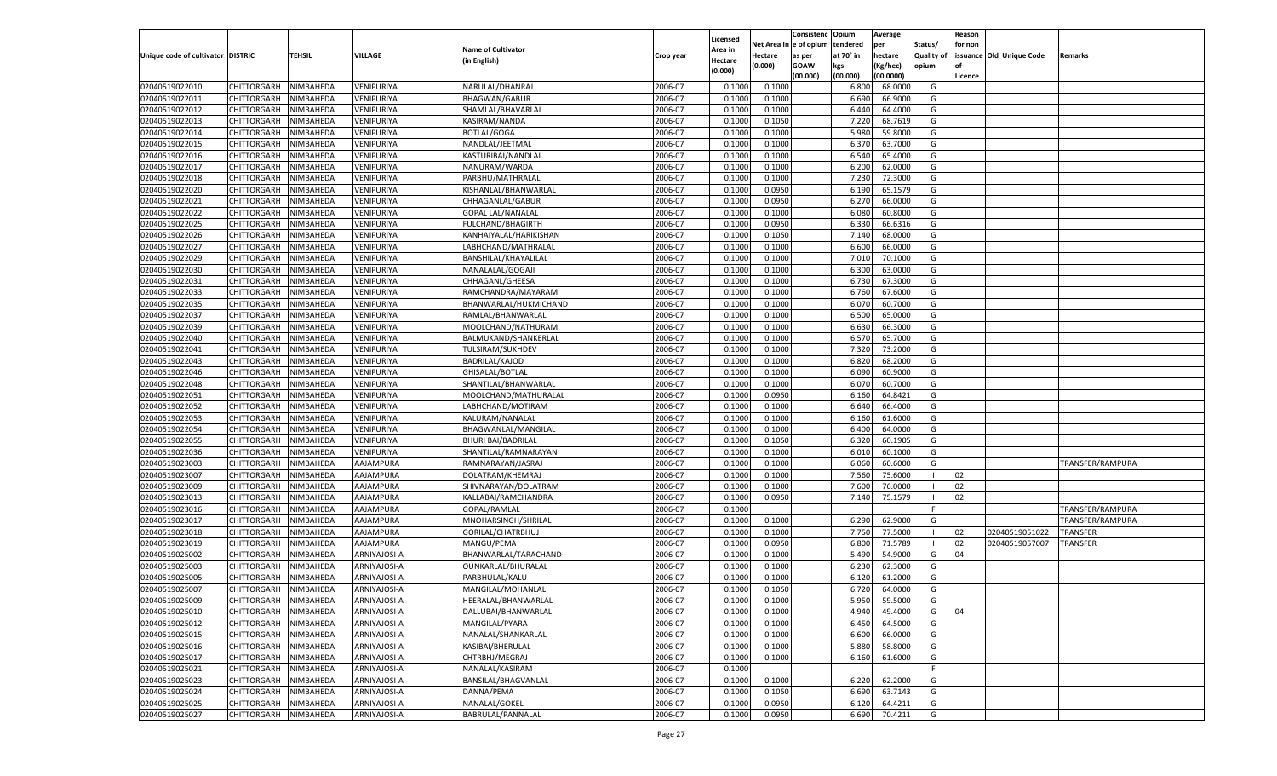|                                   |                    |           |              |                           |           | Licensed |         | Consistenc Opium       |           | Average   |                   | Reason  |                          |                  |
|-----------------------------------|--------------------|-----------|--------------|---------------------------|-----------|----------|---------|------------------------|-----------|-----------|-------------------|---------|--------------------------|------------------|
|                                   |                    |           |              | <b>Name of Cultivator</b> |           | Area in  |         | Net Area in e of opium | tendered  | per       | Status/           | for non |                          |                  |
| Unique code of cultivator DISTRIC |                    | TEHSIL    | VILLAGE      | (in English)              | Crop year | Hectare  | Hectare | as per                 | at 70° in | hectare   | <b>Quality of</b> |         | issuance Old Unique Code | <b>Remarks</b>   |
|                                   |                    |           |              |                           |           | (0.000)  | (0.000) | <b>GOAW</b>            | kgs       | (Kg/hec)  | opium             |         |                          |                  |
|                                   |                    |           |              |                           |           |          |         | (00.000)               | (00.000)  | (00.0000) |                   | Licence |                          |                  |
| 02040519022010                    | CHITTORGARH        | NIMBAHEDA | VENIPURIYA   | NARULAL/DHANRAJ           | 2006-07   | 0.1000   | 0.1000  |                        | 6.800     | 68.0000   | G                 |         |                          |                  |
| 02040519022011                    | CHITTORGARH        | NIMBAHEDA | VENIPURIYA   | <b>BHAGWAN/GABUR</b>      | 2006-07   | 0.1000   | 0.1000  |                        | 6.690     | 66.9000   | G                 |         |                          |                  |
| 02040519022012                    | CHITTORGARH        | NIMBAHEDA | VENIPURIYA   | SHAMLAL/BHAVARLAL         | 2006-07   | 0.1000   | 0.1000  |                        | 6.440     | 64.4000   | G                 |         |                          |                  |
| 02040519022013                    | CHITTORGARH        | NIMBAHEDA | VENIPURIYA   | KASIRAM/NANDA             | 2006-07   | 0.1000   | 0.1050  |                        | 7.220     | 68.7619   | G                 |         |                          |                  |
| 02040519022014                    | CHITTORGARH        | NIMBAHEDA | VENIPURIYA   | <b>BOTLAL/GOGA</b>        | 2006-07   | 0.1000   | 0.1000  |                        | 5.980     | 59.8000   | G                 |         |                          |                  |
| 02040519022015                    | CHITTORGARH        | NIMBAHEDA | VENIPURIYA   | NANDLAL/JEETMAL           | 2006-07   | 0.1000   | 0.1000  |                        | 6.370     | 63.7000   | G                 |         |                          |                  |
| 02040519022016                    | CHITTORGARH        | NIMBAHEDA | VENIPURIYA   | KASTURIBAI/NANDLAL        | 2006-07   | 0.1000   | 0.1000  |                        | 6.540     | 65.4000   | G                 |         |                          |                  |
| 02040519022017                    | CHITTORGARH        | NIMBAHEDA | VENIPURIYA   | NANURAM/WARDA             | 2006-07   | 0.1000   | 0.1000  |                        | 6.200     | 62.0000   | G                 |         |                          |                  |
| 02040519022018                    | CHITTORGARH        | NIMBAHEDA | VENIPURIYA   | PARBHU/MATHRALAL          | 2006-07   | 0.1000   | 0.1000  |                        | 7.23      | 72.3000   | G                 |         |                          |                  |
| 02040519022020                    | CHITTORGARH        | NIMBAHEDA | VENIPURIYA   | KISHANLAL/BHANWARLAL      | 2006-07   | 0.1000   | 0.0950  |                        | 6.190     | 65.1579   | G                 |         |                          |                  |
| 02040519022021                    | CHITTORGARH        | NIMBAHEDA | VENIPURIYA   | CHHAGANLAL/GABUF          | 2006-07   | 0.1000   | 0.0950  |                        | 6.27      | 66.0000   | G                 |         |                          |                  |
| 02040519022022                    | CHITTORGARH        | NIMBAHEDA | VENIPURIYA   | <b>GOPAL LAL/NANALAL</b>  | 2006-07   | 0.1000   | 0.1000  |                        | 6.080     | 60.8000   | G                 |         |                          |                  |
| 02040519022025                    | CHITTORGARH        | NIMBAHEDA | VENIPURIYA   | <b>FULCHAND/BHAGIRTH</b>  | 2006-07   | 0.1000   | 0.0950  |                        | 6.330     | 66.6316   | G                 |         |                          |                  |
| 02040519022026                    | CHITTORGARH        | NIMBAHEDA | VENIPURIYA   | KANHAIYALAL/HARIKISHAN    | 2006-07   | 0.1000   | 0.1050  |                        | 7.140     | 68.0000   | G                 |         |                          |                  |
| 02040519022027                    | CHITTORGARH        | NIMBAHEDA | VENIPURIYA   | LABHCHAND/MATHRALAL       | 2006-07   | 0.1000   | 0.1000  |                        | 6.600     | 66.0000   | G                 |         |                          |                  |
| 02040519022029                    | CHITTORGARH        | NIMBAHEDA | VENIPURIYA   | BANSHILAL/KHAYALILAL      | 2006-07   | 0.1000   | 0.1000  |                        | 7.010     | 70.1000   | G                 |         |                          |                  |
| 02040519022030                    | CHITTORGARH        | NIMBAHEDA | VENIPURIYA   | NANALALAL/GOGAJI          | 2006-07   | 0.1000   | 0.1000  |                        | 6.300     | 63.0000   | G                 |         |                          |                  |
| 02040519022031                    | CHITTORGARH        | NIMBAHEDA | VENIPURIYA   | CHHAGANL/GHEESA           | 2006-07   | 0.1000   | 0.1000  |                        | 6.730     | 67.3000   | G                 |         |                          |                  |
| 02040519022033                    | CHITTORGARH        | NIMBAHEDA | VENIPURIYA   | RAMCHANDRA/MAYARAM        | 2006-07   | 0.1000   | 0.1000  |                        | 6.760     | 67.6000   | G                 |         |                          |                  |
| 02040519022035                    | CHITTORGARH        | NIMBAHEDA | VENIPURIYA   | BHANWARLAL/HUKMICHAND     | 2006-07   | 0.1000   | 0.1000  |                        | 6.070     | 60.7000   | G                 |         |                          |                  |
| 02040519022037                    | CHITTORGARH        | NIMBAHEDA | VENIPURIYA   | RAMLAL/BHANWARLAL         | 2006-07   | 0.1000   | 0.1000  |                        | 6.500     | 65.0000   | G                 |         |                          |                  |
| 02040519022039                    | CHITTORGARH        | NIMBAHEDA | VENIPURIYA   | MOOLCHAND/NATHURAM        | 2006-07   | 0.1000   | 0.1000  |                        | 6.630     | 66.3000   | G                 |         |                          |                  |
| 02040519022040                    | CHITTORGARH        | NIMBAHEDA | VENIPURIYA   | BALMUKAND/SHANKERLAL      | 2006-07   | 0.1000   | 0.1000  |                        | 6.570     | 65.7000   | G                 |         |                          |                  |
| 02040519022041                    | CHITTORGARH        | NIMBAHEDA | VENIPURIYA   | <b>TULSIRAM/SUKHDEV</b>   | 2006-07   | 0.1000   | 0.1000  |                        | 7.320     | 73.2000   | G                 |         |                          |                  |
| 02040519022043                    | CHITTORGARH        | NIMBAHEDA | VENIPURIYA   | <b>BADRILAL/KAJOD</b>     | 2006-07   | 0.1000   | 0.1000  |                        | 6.820     | 68.2000   | G                 |         |                          |                  |
| 02040519022046                    | CHITTORGARH        | NIMBAHEDA | VENIPURIYA   | GHISALAL/BOTLAL           | 2006-07   | 0.1000   | 0.1000  |                        | 6.090     | 60.9000   | G                 |         |                          |                  |
| 02040519022048                    | CHITTORGARH        | NIMBAHEDA | VENIPURIYA   | SHANTILAL/BHANWARLAL      | 2006-07   | 0.1000   | 0.1000  |                        | 6.070     | 60.7000   | G                 |         |                          |                  |
| 02040519022051                    | CHITTORGARH        | NIMBAHEDA | VENIPURIYA   | MOOLCHAND/MATHURALAL      | 2006-07   | 0.1000   | 0.0950  |                        | 6.160     | 64.8421   | G                 |         |                          |                  |
| 02040519022052                    | CHITTORGARH        | NIMBAHEDA | VENIPURIYA   | LABHCHAND/MOTIRAM         | 2006-07   | 0.1000   | 0.1000  |                        | 6.640     | 66.4000   | G                 |         |                          |                  |
| 02040519022053                    | CHITTORGARH        | NIMBAHEDA | VENIPURIYA   | KALURAM/NANALAL           | 2006-07   | 0.1000   | 0.1000  |                        | 6.160     | 61.6000   | G                 |         |                          |                  |
| 02040519022054                    | CHITTORGARH        | NIMBAHEDA | VENIPURIYA   | BHAGWANLAL/MANGILAL       | 2006-07   | 0.1000   | 0.1000  |                        | 6.400     | 64.0000   | G                 |         |                          |                  |
| 02040519022055                    | CHITTORGARH        | NIMBAHEDA | VENIPURIYA   | <b>BHURI BAI/BADRILAL</b> | 2006-07   | 0.1000   | 0.1050  |                        | 6.320     | 60.1905   | G                 |         |                          |                  |
| 02040519022036                    | CHITTORGARH        | NIMBAHEDA | VENIPURIYA   | SHANTILAL/RAMNARAYAN      | 2006-07   | 0.1000   | 0.1000  |                        | 6.010     | 60.1000   | G                 |         |                          |                  |
| 02040519023003                    | CHITTORGARH        | NIMBAHEDA | AAJAMPURA    | RAMNARAYAN/JASRAJ         | 2006-07   | 0.1000   | 0.1000  |                        | 6.060     | 60.6000   | G                 |         |                          | TRANSFER/RAMPURA |
| 02040519023007                    | CHITTORGARH        | NIMBAHEDA | AAJAMPURA    | DOLATRAM/KHEMRAJ          | 2006-07   | 0.1000   | 0.1000  |                        | 7.560     | 75.6000   |                   | 02      |                          |                  |
| 02040519023009                    | CHITTORGARH        | NIMBAHEDA | AAJAMPURA    | SHIVNARAYAN/DOLATRAM      | 2006-07   | 0.1000   | 0.1000  |                        | 7.600     | 76.0000   | - 1               | 02      |                          |                  |
| 02040519023013                    | CHITTORGARH        | NIMBAHEDA | AAJAMPURA    | KALLABAI/RAMCHANDRA       | 2006-07   | 0.1000   | 0.0950  |                        | 7.140     | 75.1579   | - 1               | 02      |                          |                  |
| 02040519023016                    | CHITTORGARH        | NIMBAHEDA | AAJAMPURA    | GOPAL/RAMLAL              | 2006-07   | 0.1000   |         |                        |           |           | F.                |         |                          | TRANSFER/RAMPURA |
| 02040519023017                    | CHITTORGARH        | NIMBAHEDA | AAJAMPURA    | MNOHARSINGH/SHRILAI       | 2006-07   | 0.1000   | 0.1000  |                        | 6.290     | 62.9000   | G                 |         |                          | TRANSFER/RAMPURA |
| 02040519023018                    | CHITTORGARH        | NIMBAHEDA | AAJAMPURA    | GORILAL/CHATRBHUJ         | 2006-07   | 0.1000   | 0.1000  |                        | 7.750     | 77.5000   | - 1               | 02      | 02040519051022           | TRANSFER         |
| 02040519023019                    | CHITTORGARH        | NIMBAHEDA | AAJAMPURA    | MANGU/PEMA                | 2006-07   | 0.1000   | 0.0950  |                        | 6.800     | 71.5789   |                   | 02      | 02040519057007           | TRANSFER         |
| 02040519025002                    | CHITTORGARH        | NIMBAHEDA | ARNIYAJOSI-A | BHANWARLAL/TARACHAND      | 2006-07   | 0.1000   | 0.1000  |                        | 5.490     | 54.9000   | G                 | 04      |                          |                  |
| 02040519025003                    | CHITTORGARH        | NIMBAHEDA | ARNIYAJOSI-A | OUNKARLAL/BHURALAL        | 2006-07   | 0.1000   | 0.1000  |                        | 6.23      | 62.3000   | G                 |         |                          |                  |
| 02040519025005                    | CHITTORGARH        | NIMBAHEDA | ARNIYAJOSI-A | PARBHULAL/KALU            | 2006-07   | 0.1000   | 0.1000  |                        | 6.120     | 61.2000   | G                 |         |                          |                  |
| 02040519025007                    | CHITTORGARH        | NIMBAHEDA | ARNIYAJOSI-A | MANGILAL/MOHANLAI         | 2006-07   | 0.1000   | 0.1050  |                        | 6.720     | 64.0000   | G                 |         |                          |                  |
| 02040519025009                    | CHITTORGARH        | NIMBAHEDA | ARNIYAJOSI-A | HEERALAL/BHANWARLAL       | 2006-07   | 0.1000   | 0.1000  |                        | 5.950     | 59.5000   | G                 |         |                          |                  |
| 02040519025010                    | CHITTORGARH        | NIMBAHEDA | ARNIYAJOSI-A | DALLUBAI/BHANWARLAL       | 2006-07   | 0.1000   | 0.1000  |                        | 4.940     | 49.4000   | G                 | 04      |                          |                  |
| 02040519025012                    | <b>CHITTORGARH</b> | NIMBAHEDA | ARNIYAJOSI-A | MANGILAL/PYARA            | 2006-07   | 0.1000   | 0.1000  |                        | 6.450     | 64.5000   | G                 |         |                          |                  |
| 02040519025015                    | <b>CHITTORGARH</b> | NIMBAHEDA | ARNIYAJOSI-A | NANALAL/SHANKARLAL        | 2006-07   | 0.1000   | 0.1000  |                        | 6.600     | 66.0000   | G                 |         |                          |                  |
| 02040519025016                    | <b>CHITTORGARH</b> | NIMBAHEDA | ARNIYAJOSI-A | KASIBAI/BHERULAL          | 2006-07   | 0.1000   | 0.1000  |                        | 5.880     | 58.8000   | G                 |         |                          |                  |
| 02040519025017                    | <b>CHITTORGARH</b> | NIMBAHEDA | ARNIYAJOSI-A | CHTRBHJ/MEGRAJ            | 2006-07   | 0.1000   | 0.1000  |                        | 6.160     | 61.6000   | G                 |         |                          |                  |
| 02040519025021                    |                    |           | ARNIYAJOSI-A |                           | 2006-07   |          |         |                        |           |           | F.                |         |                          |                  |
|                                   | <b>CHITTORGARH</b> | NIMBAHEDA |              | NANALAL/KASIRAM           |           | 0.1000   |         |                        |           |           | G                 |         |                          |                  |
| 02040519025023                    | <b>CHITTORGARH</b> | NIMBAHEDA | ARNIYAJOSI-A | BANSILAL/BHAGVANLAL       | 2006-07   | 0.1000   | 0.1000  |                        | 6.220     | 62.2000   | G                 |         |                          |                  |
| 02040519025024                    | <b>CHITTORGARH</b> | NIMBAHEDA | ARNIYAJOSI-A | DANNA/PEMA                | 2006-07   | 0.1000   | 0.1050  |                        | 6.690     | 63.7143   | G                 |         |                          |                  |
| 02040519025025                    | <b>CHITTORGARH</b> | NIMBAHEDA | ARNIYAJOSI-A | NANALAL/GOKEL             | 2006-07   | 0.1000   | 0.0950  |                        | 6.120     | 64.4211   |                   |         |                          |                  |
| 02040519025027                    | <b>CHITTORGARH</b> | NIMBAHEDA | ARNIYAJOSI-A | BABRULAL/PANNALAL         | 2006-07   | 0.1000   | 0.0950  |                        | 6.690     | 70.4211   | G                 |         |                          |                  |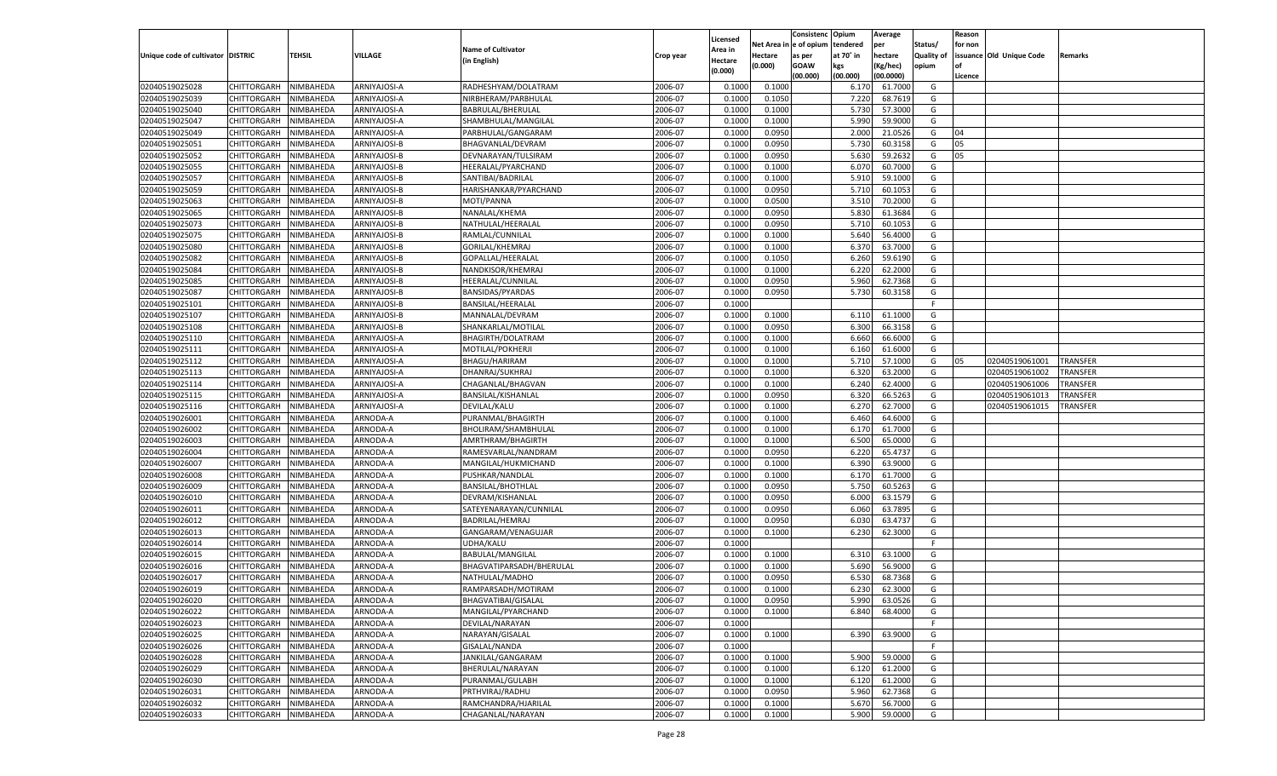|                                   |                                      |           |                |                           |           |                    |             | Consistenc    | Opium     | Average   |                   | Reason  |                          |                 |
|-----------------------------------|--------------------------------------|-----------|----------------|---------------------------|-----------|--------------------|-------------|---------------|-----------|-----------|-------------------|---------|--------------------------|-----------------|
|                                   |                                      |           |                | <b>Name of Cultivator</b> |           | Licensed           | Net Area iı | n  e of opium | tendered  | per       | Status/           | for non |                          |                 |
| Unique code of cultivator DISTRIC |                                      | TEHSIL    | <b>VILLAGE</b> | (in English)              | Crop year | Area in<br>Hectare | Hectare     | as per        | at 70° in | hectare   | <b>Quality of</b> |         | issuance Old Unique Code | Remarks         |
|                                   |                                      |           |                |                           |           | (0.000)            | (0.000)     | <b>GOAW</b>   | kgs       | (Kg/hec)  | opium             |         |                          |                 |
|                                   |                                      |           |                |                           |           |                    |             | (00.000)      | (00.000)  | (00.0000) |                   | Licence |                          |                 |
| 02040519025028                    | CHITTORGARH                          | NIMBAHEDA | ARNIYAJOSI-A   | RADHESHYAM/DOLATRAM       | 2006-07   | 0.1000             | 0.1000      |               | 6.170     | 61.7000   | G                 |         |                          |                 |
| 02040519025039                    | CHITTORGARH                          | NIMBAHEDA | ARNIYAJOSI-A   | NIRBHERAM/PARBHULAL       | 2006-07   | 0.1000             | 0.1050      |               | 7.220     | 68.7619   | G                 |         |                          |                 |
| 02040519025040                    | CHITTORGARH                          | NIMBAHEDA | ARNIYAJOSI-A   | BABRULAL/BHERULAL         | 2006-07   | 0.1000             | 0.1000      |               | 5.730     | 57.3000   | G                 |         |                          |                 |
| 02040519025047                    | CHITTORGARH                          | NIMBAHEDA | ARNIYAJOSI-A   | SHAMBHULAL/MANGILAL       | 2006-07   | 0.1000             | 0.1000      |               | 5.990     | 59.9000   | G                 |         |                          |                 |
| 02040519025049                    | CHITTORGARH                          | NIMBAHEDA | ARNIYAJOSI-A   | PARBHULAL/GANGARAM        | 2006-07   | 0.1000             | 0.0950      |               | 2.000     | 21.0526   | G                 | 04      |                          |                 |
| 02040519025051                    | CHITTORGARH                          | NIMBAHEDA | ARNIYAJOSI-B   | BHAGVANLAL/DEVRAM         | 2006-07   | 0.1000             | 0.0950      |               | 5.730     | 60.3158   | G                 | 05      |                          |                 |
| 02040519025052                    | CHITTORGARH                          | NIMBAHEDA | ARNIYAJOSI-B   | DEVNARAYAN/TULSIRAM       | 2006-07   | 0.1000             | 0.0950      |               | 5.630     | 59.2632   | G                 | 05      |                          |                 |
| 02040519025055                    | CHITTORGARH                          | NIMBAHEDA | ARNIYAJOSI-B   | HEERALAL/PYARCHAND        | 2006-07   | 0.1000             | 0.1000      |               | 6.070     | 60.7000   | G                 |         |                          |                 |
| 02040519025057                    | CHITTORGARH                          | NIMBAHEDA | ARNIYAJOSI-B   | SANTIBAI/BADRILAL         | 2006-07   | 0.1000             | 0.1000      |               | 5.910     | 59.1000   | G                 |         |                          |                 |
| 02040519025059                    | CHITTORGARH                          | NIMBAHEDA | ARNIYAJOSI-B   | HARISHANKAR/PYARCHAND     | 2006-07   | 0.1000             | 0.0950      |               | 5.710     | 60.1053   | G                 |         |                          |                 |
| 02040519025063                    | CHITTORGARH                          | NIMBAHEDA | ARNIYAJOSI-B   | MOTI/PANNA                | 2006-07   | 0.1000             | 0.0500      |               | 3.510     | 70.2000   | G                 |         |                          |                 |
| 02040519025065                    | CHITTORGARH                          | NIMBAHEDA | ARNIYAJOSI-B   | NANALAL/KHEMA             | 2006-07   | 0.1000             | 0.0950      |               | 5.830     | 61.3684   | G                 |         |                          |                 |
| 02040519025073                    | CHITTORGARH                          | NIMBAHEDA | ARNIYAJOSI-B   | NATHULAL/HEERALAI         | 2006-07   | 0.1000             | 0.0950      |               | 5.710     | 60.1053   | G                 |         |                          |                 |
| 02040519025075                    | CHITTORGARH                          | NIMBAHEDA | ARNIYAJOSI-B   | RAMLAL/CUNNILAL           | 2006-07   | 0.1000             | 0.1000      |               | 5.640     | 56.4000   | G                 |         |                          |                 |
| 02040519025080                    | CHITTORGARH                          | NIMBAHEDA | ARNIYAJOSI-B   | GORILAL/KHEMRAJ           | 2006-07   | 0.1000             | 0.1000      |               | 6.370     | 63.7000   | G                 |         |                          |                 |
| 02040519025082                    | CHITTORGARH                          | NIMBAHEDA | ARNIYAJOSI-B   | GOPALLAL/HEERALAI         | 2006-07   | 0.1000             | 0.1050      |               | 6.260     | 59.6190   | G                 |         |                          |                 |
| 02040519025084                    | CHITTORGARH                          | NIMBAHEDA | ARNIYAJOSI-B   | NANDKISOR/KHEMRAJ         | 2006-07   | 0.1000             | 0.1000      |               | 6.220     | 62.2000   | G                 |         |                          |                 |
| 02040519025085                    | CHITTORGARH                          | NIMBAHEDA | ARNIYAJOSI-B   | HEERALAL/CUNNILAL         | 2006-07   | 0.1000             | 0.0950      |               | 5.960     | 62.7368   | G                 |         |                          |                 |
| 02040519025087                    | CHITTORGARH                          | NIMBAHEDA | ARNIYAJOSI-B   | <b>BANSIDAS/PYARDAS</b>   | 2006-07   | 0.1000             | 0.0950      |               | 5.730     | 60.3158   | G                 |         |                          |                 |
| 02040519025101                    | CHITTORGARH                          | NIMBAHEDA | ARNIYAJOSI-B   | BANSILAL/HEERALAI         | 2006-07   | 0.1000             |             |               |           |           | F.                |         |                          |                 |
| 02040519025107                    | CHITTORGARH                          | NIMBAHEDA | ARNIYAJOSI-B   | MANNALAL/DEVRAM           | 2006-07   | 0.1000             | 0.1000      |               | 6.110     | 61.1000   | G                 |         |                          |                 |
| 02040519025108                    | CHITTORGARH                          | NIMBAHEDA | ARNIYAJOSI-B   | SHANKARLAL/MOTILAL        | 2006-07   | 0.1000             | 0.0950      |               | 6.300     | 66.3158   | G                 |         |                          |                 |
| 02040519025110                    | CHITTORGARH                          | NIMBAHEDA | ARNIYAJOSI-A   | BHAGIRTH/DOLATRAM         | 2006-07   | 0.1000             | 0.1000      |               | 6.660     | 66.6000   | G                 |         |                          |                 |
| 02040519025111                    | CHITTORGARH                          | NIMBAHEDA | ARNIYAJOSI-A   | MOTILAL/POKHERJI          | 2006-07   | 0.1000             | 0.1000      |               | 6.160     | 61.6000   | G                 |         |                          |                 |
| 02040519025112                    | CHITTORGARH                          | NIMBAHEDA | ARNIYAJOSI-A   | BHAGU/HARIRAM             | 2006-07   | 0.1000             | 0.1000      |               | 5.710     | 57.1000   | G                 | 05      | 02040519061001           | <b>TRANSFER</b> |
| 02040519025113                    | CHITTORGARH                          | NIMBAHEDA | ARNIYAJOSI-A   | DHANRAJ/SUKHRAJ           | 2006-07   | 0.1000             | 0.1000      |               | 6.320     | 63.2000   | G                 |         | 02040519061002           | TRANSFER        |
| 02040519025114                    | CHITTORGARH                          | NIMBAHEDA | ARNIYAJOSI-A   | CHAGANLAL/BHAGVAN         | 2006-07   | 0.1000             | 0.1000      |               | 6.240     | 62.4000   | G                 |         | 02040519061006           | TRANSFER        |
| 02040519025115                    | CHITTORGARH                          | NIMBAHEDA | ARNIYAJOSI-A   | BANSILAL/KISHANLAL        | 2006-07   | 0.1000             | 0.0950      |               | 6.320     | 66.5263   | G                 |         | 02040519061013           | TRANSFER        |
| 02040519025116                    | CHITTORGARH                          | NIMBAHEDA | ARNIYAJOSI-A   | DEVILAL/KALU              | 2006-07   | 0.1000             | 0.1000      |               | 6.270     | 62.7000   | G                 |         | 02040519061015           | TRANSFER        |
| 02040519026001                    | CHITTORGARH                          | NIMBAHEDA | ARNODA-A       | PURANMAL/BHAGIRTH         | 2006-07   | 0.1000             | 0.1000      |               | 6.460     | 64.6000   | G                 |         |                          |                 |
| 02040519026002                    | CHITTORGARH                          | NIMBAHEDA | ARNODA-A       | BHOLIRAM/SHAMBHULAL       | 2006-07   | 0.1000             | 0.1000      |               | 6.170     | 61.7000   | G                 |         |                          |                 |
| 02040519026003                    | CHITTORGARH                          | NIMBAHEDA | ARNODA-A       | AMRTHRAM/BHAGIRTH         | 2006-07   | 0.1000             | 0.1000      |               | 6.500     | 65.0000   | G                 |         |                          |                 |
| 02040519026004                    | CHITTORGARH                          | NIMBAHEDA | ARNODA-A       | RAMESVARLAL/NANDRAM       | 2006-07   | 0.1000             | 0.0950      |               | 6.220     | 65.4737   | G                 |         |                          |                 |
| 02040519026007                    | CHITTORGARH                          | NIMBAHEDA | ARNODA-A       | MANGILAL/HUKMICHAND       | 2006-07   | 0.1000             | 0.1000      |               | 6.390     | 63.9000   | G                 |         |                          |                 |
| 02040519026008                    | CHITTORGARH                          | NIMBAHEDA | ARNODA-A       | PUSHKAR/NANDLAL           | 2006-07   | 0.1000             | 0.1000      |               | 6.170     | 61.7000   | G                 |         |                          |                 |
| 02040519026009                    | CHITTORGARH                          | NIMBAHEDA | ARNODA-A       | <b>BANSILAL/BHOTHLAL</b>  | 2006-07   | 0.1000             | 0.0950      |               | 5.750     | 60.5263   | G                 |         |                          |                 |
| 02040519026010                    | CHITTORGARH                          | NIMBAHEDA | ARNODA-A       | DEVRAM/KISHANLAL          | 2006-07   | 0.1000             | 0.0950      |               | 6.000     | 63.1579   | G                 |         |                          |                 |
| 02040519026011                    | CHITTORGARH                          | NIMBAHEDA | ARNODA-A       | SATEYENARAYAN/CUNNILAL    | 2006-07   | 0.1000             | 0.0950      |               | 6.060     | 63.7895   | G                 |         |                          |                 |
| 02040519026012                    | CHITTORGARH                          | NIMBAHEDA | ARNODA-A       | BADRILAL/HEMRAJ           | 2006-07   | 0.1000             | 0.0950      |               | 6.030     | 63.4737   | G                 |         |                          |                 |
| 02040519026013                    | CHITTORGARH                          | NIMBAHEDA | ARNODA-A       | GANGARAM/VENAGUJAR        | 2006-07   | 0.1000             | 0.1000      |               | 6.230     | 62.3000   | G                 |         |                          |                 |
| 02040519026014                    | CHITTORGARH                          | NIMBAHEDA | ARNODA-A       | UDHA/KALU                 | 2006-07   | 0.1000             |             |               |           |           | F.                |         |                          |                 |
| 02040519026015                    | CHITTORGARH                          | NIMBAHEDA | ARNODA-A       | BABULAL/MANGILAL          | 2006-07   | 0.1000             | 0.1000      |               | 6.310     | 63.1000   | G                 |         |                          |                 |
| 02040519026016                    | CHITTORGARH                          | NIMBAHEDA | ARNODA-A       | BHAGVATIPARSADH/BHERULAL  | 2006-07   | 0.1000             | 0.1000      |               | 5.690     | 56.9000   | G                 |         |                          |                 |
| 02040519026017                    | CHITTORGARH                          | NIMBAHEDA | ARNODA-A       | NATHULAL/MADHO            | 2006-07   | 0.1000             | 0.0950      |               | 6.530     | 68.7368   | G                 |         |                          |                 |
| 02040519026019                    |                                      | NIMBAHEDA |                |                           | 2006-07   | 0.1000             | 0.1000      |               | 6.230     | 62.3000   | G                 |         |                          |                 |
|                                   | CHITTORGARH<br>CHITTORGARH NIMBAHEDA |           | ARNODA-A       | RAMPARSADH/MOTIRAM        |           |                    |             |               |           |           |                   |         |                          |                 |
| 02040519026020                    |                                      |           | ARNODA-A       | BHAGVATIBAI/GISALAL       | 2006-07   | 0.1000             | 0.0950      |               | 5.990     | 63.0526   | G                 |         |                          |                 |
| 02040519026022                    | <b>CHITTORGARH</b>                   | NIMBAHEDA | ARNODA-A       | MANGILAL/PYARCHAND        | 2006-07   | 0.1000             | 0.1000      |               | 6.840     | 68.4000   | G                 |         |                          |                 |
| 02040519026023                    | CHITTORGARH                          | NIMBAHEDA | ARNODA-A       | DEVILAL/NARAYAN           | 2006-07   | 0.1000             |             |               |           |           | F.                |         |                          |                 |
| 02040519026025                    | CHITTORGARH                          | NIMBAHEDA | ARNODA-A       | NARAYAN/GISALAL           | 2006-07   | 0.1000             | 0.1000      |               | 6.390     | 63.9000   | G                 |         |                          |                 |
| 02040519026026                    | <b>CHITTORGARH</b>                   | NIMBAHEDA | ARNODA-A       | GISALAL/NANDA             | 2006-07   | 0.1000             |             |               |           |           | F.                |         |                          |                 |
| 02040519026028                    | CHITTORGARH                          | NIMBAHEDA | ARNODA-A       | JANKILAL/GANGARAM         | 2006-07   | 0.1000             | 0.1000      |               | 5.900     | 59.0000   | G                 |         |                          |                 |
| 02040519026029                    | <b>CHITTORGARH</b>                   | NIMBAHEDA | ARNODA-A       | BHERULAL/NARAYAN          | 2006-07   | 0.1000             | 0.1000      |               | 6.120     | 61.2000   | G                 |         |                          |                 |
| 02040519026030                    | CHITTORGARH                          | NIMBAHEDA | ARNODA-A       | PURANMAL/GULABH           | 2006-07   | 0.1000             | 0.1000      |               | 6.120     | 61.2000   | G                 |         |                          |                 |
| 02040519026031                    | CHITTORGARH                          | NIMBAHEDA | ARNODA-A       | PRTHVIRAJ/RADHU           | 2006-07   | 0.1000             | 0.0950      |               | 5.960     | 62.7368   | G                 |         |                          |                 |
| 02040519026032                    | CHITTORGARH                          | NIMBAHEDA | ARNODA-A       | RAMCHANDRA/HJARILAL       | 2006-07   | 0.1000             | 0.1000      |               | 5.670     | 56.7000   | G                 |         |                          |                 |
| 02040519026033                    | <b>CHITTORGARH</b>                   | NIMBAHEDA | ARNODA-A       | CHAGANLAL/NARAYAN         | 2006-07   | 0.1000             | 0.1000      |               | 5.900     | 59.0000   | G                 |         |                          |                 |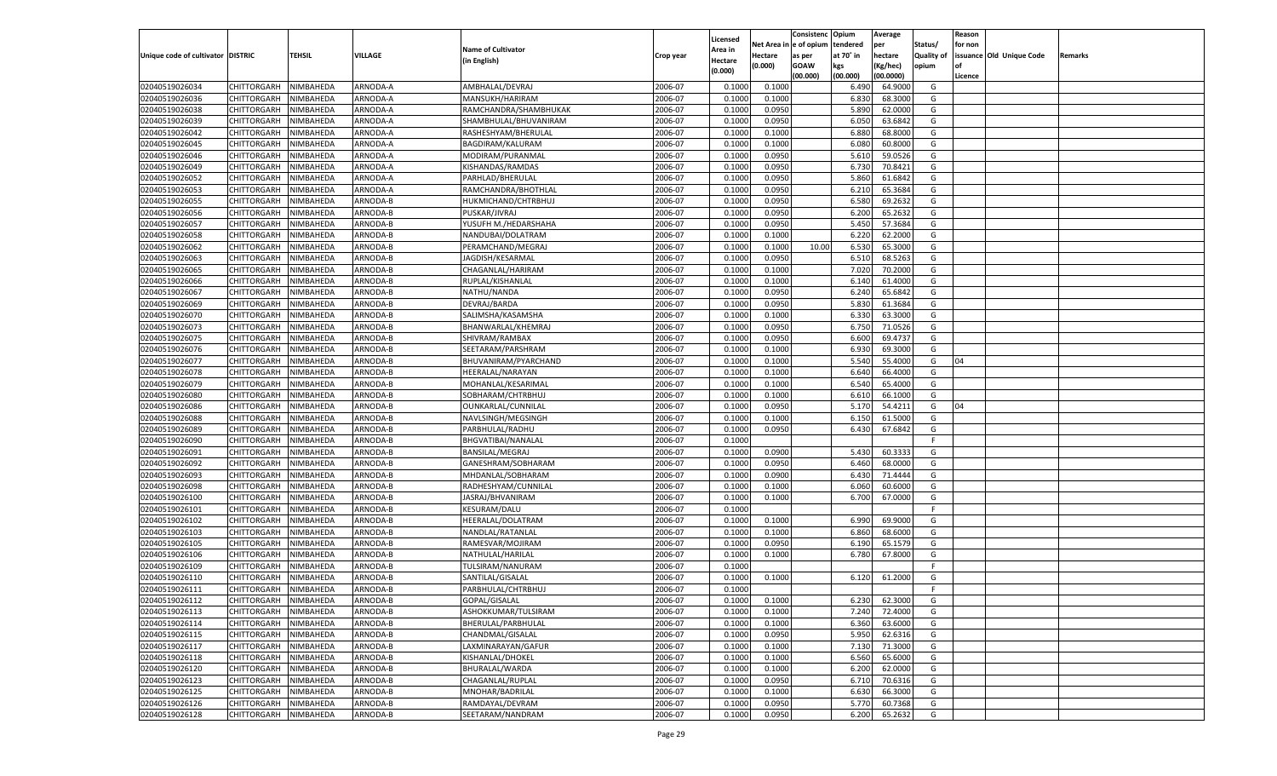|                                   |                       |               |          |                                     |           |                           |          | Consistenc  | Opium     | Average   |                   | Reason  |                          |         |
|-----------------------------------|-----------------------|---------------|----------|-------------------------------------|-----------|---------------------------|----------|-------------|-----------|-----------|-------------------|---------|--------------------------|---------|
|                                   |                       |               |          | <b>Name of Cultivator</b>           |           | Licensed                  | Net Area | e of opium  | tendered  | per       | Status/           | for non |                          |         |
| Unique code of cultivator DISTRIC |                       | <b>TEHSIL</b> | VILLAGE  | (in English)                        | Crop year | <b>Area in</b><br>Hectare | Hectare  | as per      | at 70° in | hectare   | <b>Quality of</b> |         | issuance Old Unique Code | Remarks |
|                                   |                       |               |          |                                     |           | (0.000)                   | (0.000)  | <b>GOAW</b> | kgs       | (Kg/hec)  | opium             |         |                          |         |
|                                   |                       |               |          |                                     |           |                           |          | (00.000)    | (00.000)  | (00.0000) |                   | Licence |                          |         |
| 02040519026034                    | CHITTORGARH           | NIMBAHEDA     | ARNODA-A | AMBHALAL/DEVRAJ                     | 2006-07   | 0.1000                    | 0.1000   |             | 6.490     | 64.9000   | G                 |         |                          |         |
| 02040519026036                    | CHITTORGARH           | NIMBAHEDA     | ARNODA-A | MANSUKH/HARIRAM                     | 2006-07   | 0.1000                    | 0.1000   |             | 6.830     | 68.3000   | G                 |         |                          |         |
| 02040519026038                    | CHITTORGARH           | NIMBAHEDA     | ARNODA-A | RAMCHANDRA/SHAMBHUKAK               | 2006-07   | 0.1000                    | 0.0950   |             | 5.890     | 62.0000   | G                 |         |                          |         |
| 02040519026039                    | CHITTORGARH           | NIMBAHEDA     | ARNODA-A | SHAMBHULAL/BHUVANIRAM               | 2006-07   | 0.1000                    | 0.0950   |             | 6.050     | 63.6842   | G                 |         |                          |         |
| 02040519026042                    | CHITTORGARH           | NIMBAHEDA     | ARNODA-A | RASHESHYAM/BHERULAL                 | 2006-07   | 0.1000                    | 0.1000   |             | 6.880     | 68.8000   | G                 |         |                          |         |
| 02040519026045                    | CHITTORGARH           | NIMBAHEDA     | ARNODA-A | BAGDIRAM/KALURAM                    | 2006-07   | 0.1000                    | 0.1000   |             | 6.080     | 60.8000   | G                 |         |                          |         |
| 02040519026046                    | CHITTORGARH           | NIMBAHEDA     | ARNODA-A | MODIRAM/PURANMAL                    | 2006-07   | 0.1000                    | 0.0950   |             | 5.610     | 59.0526   | G                 |         |                          |         |
| 02040519026049                    | CHITTORGARH           | NIMBAHEDA     | ARNODA-A | KISHANDAS/RAMDAS                    | 2006-07   | 0.1000                    | 0.0950   |             | 6.73      | 70.8421   | G                 |         |                          |         |
| 02040519026052                    | CHITTORGARH           | NIMBAHEDA     | ARNODA-A | PARHLAD/BHERULAL                    | 2006-07   | 0.1000                    | 0.0950   |             | 5.860     | 61.6842   | G                 |         |                          |         |
| 02040519026053                    | CHITTORGARH           | NIMBAHEDA     | ARNODA-A | RAMCHANDRA/BHOTHLAL                 | 2006-07   | 0.1000                    | 0.0950   |             | 6.210     | 65.3684   | G                 |         |                          |         |
| 02040519026055                    | CHITTORGARH           | NIMBAHEDA     | ARNODA-B | HUKMICHAND/CHTRBHUJ                 | 2006-07   | 0.1000                    | 0.0950   |             | 6.580     | 69.263    | G                 |         |                          |         |
| 02040519026056                    | CHITTORGARH           | NIMBAHEDA     | ARNODA-B | PUSKAR/JIVRAJ                       | 2006-07   | 0.1000                    | 0.0950   |             | 6.200     | 65.2632   | G                 |         |                          |         |
| 02040519026057                    | CHITTORGARH           | NIMBAHEDA     | ARNODA-B | YUSUFH M./HEDARSHAHA                | 2006-07   | 0.1000                    | 0.0950   |             | 5.450     | 57.3684   | G                 |         |                          |         |
| 02040519026058                    | CHITTORGARH           | NIMBAHEDA     | ARNODA-B | NANDUBAI/DOLATRAM                   | 2006-07   | 0.1000                    | 0.1000   |             | 6.220     | 62.2000   | G                 |         |                          |         |
| 02040519026062                    | CHITTORGARH           | NIMBAHEDA     | ARNODA-B | PERAMCHAND/MEGRAJ                   | 2006-07   | 0.1000                    | 0.1000   | 10.00       | 6.530     | 65.3000   | G                 |         |                          |         |
| 02040519026063                    | CHITTORGARH           | NIMBAHEDA     | ARNODA-B | JAGDISH/KESARMAL                    | 2006-07   | 0.1000                    | 0.0950   |             | 6.510     | 68.5263   | G                 |         |                          |         |
| 02040519026065                    | CHITTORGARH           | NIMBAHEDA     | ARNODA-B | CHAGANLAL/HARIRAM                   | 2006-07   | 0.1000                    | 0.1000   |             | 7.020     | 70.2000   | G                 |         |                          |         |
| 02040519026066                    | CHITTORGARH           | NIMBAHEDA     | ARNODA-B | RUPLAL/KISHANLAL                    | 2006-07   | 0.1000                    | 0.1000   |             | 6.140     | 61.4000   | G                 |         |                          |         |
| 02040519026067                    | CHITTORGARH           | NIMBAHEDA     | ARNODA-B | NATHU/NANDA                         | 2006-07   | 0.1000                    | 0.0950   |             | 6.240     | 65.6842   | G                 |         |                          |         |
| 02040519026069                    | CHITTORGARH           | NIMBAHEDA     | ARNODA-B | DEVRAJ/BARDA                        | 2006-07   | 0.1000                    | 0.0950   |             | 5.830     | 61.3684   | G                 |         |                          |         |
| 02040519026070                    | CHITTORGARH           | NIMBAHEDA     | ARNODA-B | SALIMSHA/KASAMSHA                   | 2006-07   | 0.1000                    | 0.1000   |             | 6.330     | 63.3000   | G                 |         |                          |         |
| 02040519026073                    | CHITTORGARH           | NIMBAHEDA     | ARNODA-B | BHANWARLAL/KHEMRAJ                  | 2006-07   | 0.1000                    | 0.0950   |             | 6.750     | 71.0526   | G                 |         |                          |         |
| 02040519026075                    | CHITTORGARH           | NIMBAHEDA     | ARNODA-B | SHIVRAM/RAMBAX                      | 2006-07   | 0.1000                    | 0.0950   |             | 6.600     | 69.4737   | G                 |         |                          |         |
| 02040519026076                    | CHITTORGARH           | NIMBAHEDA     | ARNODA-B | SEETARAM/PARSHRAM                   | 2006-07   | 0.1000                    | 0.1000   |             | 6.930     | 69.3000   | G                 |         |                          |         |
| 02040519026077                    | CHITTORGARH           | NIMBAHEDA     | ARNODA-B | BHUVANIRAM/PYARCHAND                | 2006-07   | 0.1000                    | 0.1000   |             | 5.540     | 55.4000   | G                 | 04      |                          |         |
| 02040519026078                    | CHITTORGARH           | NIMBAHEDA     | ARNODA-B | HEERALAL/NARAYAN                    | 2006-07   | 0.1000                    | 0.1000   |             | 6.640     | 66.4000   | G                 |         |                          |         |
| 02040519026079                    | CHITTORGARH           | NIMBAHEDA     | ARNODA-B | MOHANLAL/KESARIMAL                  | 2006-07   | 0.1000                    | 0.1000   |             | 6.540     | 65.4000   | G                 |         |                          |         |
| 02040519026080                    | CHITTORGARH           | NIMBAHEDA     | ARNODA-B | SOBHARAM/CHTRBHUJ                   | 2006-07   | 0.1000                    | 0.1000   |             | 6.610     | 66.1000   | G                 |         |                          |         |
| 02040519026086                    | CHITTORGARH           | NIMBAHEDA     | ARNODA-B | OUNKARLAL/CUNNILAL                  | 2006-07   | 0.1000                    | 0.0950   |             | 5.170     | 54.4211   | G                 | 04      |                          |         |
| 02040519026088                    | CHITTORGARH           | NIMBAHEDA     | ARNODA-B | NAVLSINGH/MEGSINGH                  | 2006-07   | 0.1000                    | 0.1000   |             | 6.150     | 61.5000   | G                 |         |                          |         |
| 02040519026089                    | CHITTORGARH           | NIMBAHEDA     | ARNODA-B | PARBHULAL/RADHU                     | 2006-07   | 0.1000                    | 0.0950   |             | 6.430     | 67.6842   | G                 |         |                          |         |
| 02040519026090                    | CHITTORGARH           | NIMBAHEDA     | ARNODA-B | BHGVATIBAI/NANALAL                  | 2006-07   | 0.1000                    |          |             |           |           | F.                |         |                          |         |
| 02040519026091                    | CHITTORGARH           | NIMBAHEDA     | ARNODA-B | BANSILAL/MEGRAJ                     | 2006-07   | 0.1000                    | 0.0900   |             | 5.430     | 60.3333   | G                 |         |                          |         |
| 02040519026092                    | CHITTORGARH           | NIMBAHEDA     | ARNODA-B | GANESHRAM/SOBHARAM                  | 2006-07   | 0.1000                    | 0.0950   |             | 6.460     | 68.0000   | G                 |         |                          |         |
| 02040519026093                    | CHITTORGARH           | NIMBAHEDA     | ARNODA-B | MHDANLAL/SOBHARAM                   | 2006-07   | 0.1000                    | 0.0900   |             | 6.43      | 71.4444   | G                 |         |                          |         |
| 02040519026098                    | CHITTORGARH           | NIMBAHEDA     | ARNODA-B | RADHESHYAM/CUNNILAL                 | 2006-07   | 0.1000                    | 0.1000   |             | 6.060     | 60.6000   | G                 |         |                          |         |
| 02040519026100                    | CHITTORGARH           | NIMBAHEDA     | ARNODA-B | JASRAJ/BHVANIRAM                    | 2006-07   | 0.1000                    | 0.1000   |             | 6.700     | 67.0000   | G                 |         |                          |         |
| 02040519026101                    | CHITTORGARH           | NIMBAHEDA     | ARNODA-B | <b>KESURAM/DALU</b>                 | 2006-07   | 0.1000                    |          |             |           |           | F.                |         |                          |         |
| 02040519026102                    | CHITTORGARH           | NIMBAHEDA     | ARNODA-B | HEERALAL/DOLATRAM                   | 2006-07   | 0.1000                    | 0.1000   |             | 6.990     | 69.9000   | G                 |         |                          |         |
| 02040519026103                    | CHITTORGARH           | NIMBAHEDA     | ARNODA-B | NANDLAL/RATANLAL                    | 2006-07   | 0.1000                    | 0.1000   |             | 6.860     | 68.6000   | G                 |         |                          |         |
| 02040519026105                    | CHITTORGARH           | NIMBAHEDA     | ARNODA-B | RAMESVAR/MOJIRAM                    | 2006-07   | 0.1000                    | 0.0950   |             | 6.190     | 65.1579   | G                 |         |                          |         |
| 02040519026106                    | CHITTORGARH           | NIMBAHEDA     | ARNODA-B | NATHULAL/HARILAL                    | 2006-07   | 0.1000                    | 0.1000   |             | 6.780     | 67.8000   | G                 |         |                          |         |
| 02040519026109                    | CHITTORGARH           | NIMBAHEDA     | ARNODA-B | TULSIRAM/NANURAM                    | 2006-07   | 0.1000                    |          |             |           |           | F.                |         |                          |         |
| 02040519026110                    | CHITTORGARH           | NIMBAHEDA     | ARNODA-B | SANTILAL/GISALAL                    | 2006-07   | 0.1000                    | 0.1000   |             | 6.120     | 61.2000   | G                 |         |                          |         |
| 02040519026111                    |                       | NIMBAHEDA     | ARNODA-B |                                     | 2006-07   | 0.1000                    |          |             |           |           | F.                |         |                          |         |
|                                   | CHITTORGARH           |               |          | PARBHULAL/CHTRBHUJ<br>GOPAL/GISALAL |           |                           |          |             |           |           |                   |         |                          |         |
| 02040519026112                    | CHITTORGARH NIMBAHEDA |               | ARNODA-B |                                     | 2006-07   | 0.1000                    | 0.1000   |             | 6.230     | 62.3000   | G                 |         |                          |         |
| 02040519026113                    | <b>CHITTORGARH</b>    | NIMBAHEDA     | ARNODA-B | ASHOKKUMAR/TULSIRAM                 | 2006-07   | 0.1000                    | 0.1000   |             | 7.240     | 72.4000   | G                 |         |                          |         |
| 02040519026114                    | CHITTORGARH           | NIMBAHEDA     | ARNODA-B | BHERULAL/PARBHULAL                  | 2006-07   | 0.1000                    | 0.1000   |             | 6.360     | 63.6000   | G                 |         |                          |         |
| 02040519026115                    | <b>CHITTORGARH</b>    | NIMBAHEDA     | ARNODA-B | CHANDMAL/GISALAL                    | 2006-07   | 0.1000                    | 0.0950   |             | 5.950     | 62.6316   | G                 |         |                          |         |
| 02040519026117                    | <b>CHITTORGARH</b>    | NIMBAHEDA     | ARNODA-B | LAXMINARAYAN/GAFUR                  | 2006-07   | 0.1000                    | 0.1000   |             | 7.130     | 71.3000   | G                 |         |                          |         |
| 02040519026118                    | <b>CHITTORGARH</b>    | NIMBAHEDA     | ARNODA-B | KISHANLAL/DHOKEL                    | 2006-07   | 0.1000                    | 0.1000   |             | 6.560     | 65.6000   | G                 |         |                          |         |
| 02040519026120                    | <b>CHITTORGARH</b>    | NIMBAHEDA     | ARNODA-B | BHURALAL/WARDA                      | 2006-07   | 0.1000                    | 0.1000   |             | 6.200     | 62.0000   | G                 |         |                          |         |
| 02040519026123                    | <b>CHITTORGARH</b>    | NIMBAHEDA     | ARNODA-B | CHAGANLAL/RUPLAL                    | 2006-07   | 0.1000                    | 0.0950   |             | 6.710     | 70.6316   | G                 |         |                          |         |
| 02040519026125                    | <b>CHITTORGARH</b>    | NIMBAHEDA     | ARNODA-B | MNOHAR/BADRILAL                     | 2006-07   | 0.1000                    | 0.1000   |             | 6.630     | 66.3000   | G                 |         |                          |         |
| 02040519026126                    | <b>CHITTORGARH</b>    | NIMBAHEDA     | ARNODA-B | RAMDAYAL/DEVRAM                     | 2006-07   | 0.1000                    | 0.0950   |             | 5.770     | 60.7368   | G                 |         |                          |         |
| 02040519026128                    | <b>CHITTORGARH</b>    | NIMBAHEDA     | ARNODA-B | SEETARAM/NANDRAM                    | 2006-07   | 0.1000                    | 0.0950   |             | 6.200     | 65.2632   | G                 |         |                          |         |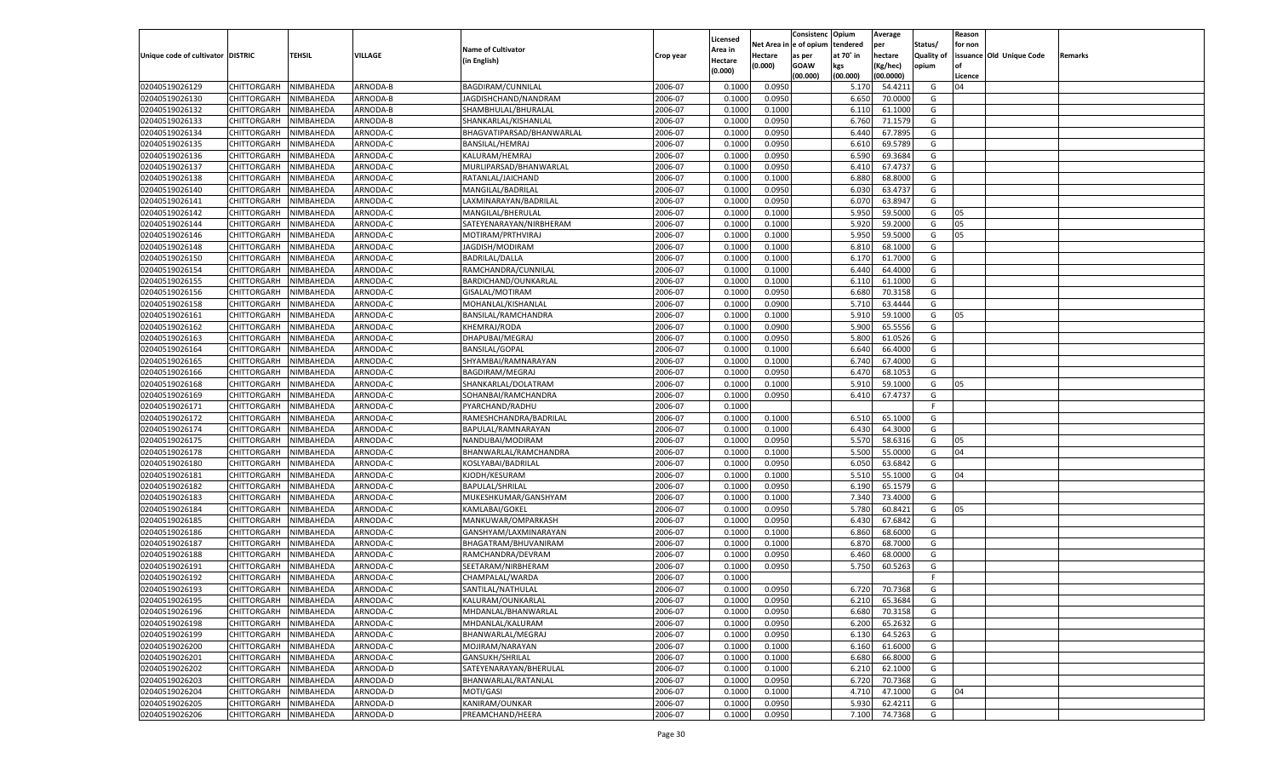|                                   |                            |           |                      |                           |                    |                    |            | Consistenc    | Opium     | Average   |                   | Reason  |                          |         |
|-----------------------------------|----------------------------|-----------|----------------------|---------------------------|--------------------|--------------------|------------|---------------|-----------|-----------|-------------------|---------|--------------------------|---------|
|                                   |                            |           |                      |                           |                    | Licensed           | Net Area i | n  e of opium | tendered  | per       | Status/           | for non |                          |         |
| Unique code of cultivator DISTRIC |                            | TEHSIL    | VILLAGE              | <b>Name of Cultivator</b> | Crop year          | Area in            | Hectare    | as per        | at 70° in | hectare   | <b>Quality of</b> |         | issuance Old Unique Code | Remarks |
|                                   |                            |           |                      | (in English)              |                    | Hectare<br>(0.000) | (0.000)    | <b>GOAW</b>   | kgs       | (Kg/hec)  | opium             |         |                          |         |
|                                   |                            |           |                      |                           |                    |                    |            | (00.000)      | (00.000)  | (00.0000) |                   | Licence |                          |         |
| 02040519026129                    | CHITTORGARH                | NIMBAHEDA | ARNODA-B             | BAGDIRAM/CUNNILAL         | 2006-07            | 0.1000             | 0.0950     |               | 5.170     | 54.4211   | G                 | 04      |                          |         |
| 02040519026130                    | CHITTORGARH                | NIMBAHEDA | ARNODA-B             | JAGDISHCHAND/NANDRAM      | 2006-07            | 0.1000             | 0.0950     |               | 6.650     | 70.0000   | G                 |         |                          |         |
| 02040519026132                    | CHITTORGARH                | NIMBAHEDA | ARNODA-B             | SHAMBHULAL/BHURALAL       | 2006-07            | 0.1000             | 0.1000     |               | 6.11      | 61.1000   | G                 |         |                          |         |
| 02040519026133                    | CHITTORGARH                | NIMBAHEDA | ARNODA-B             | SHANKARLAL/KISHANLAL      | 2006-07            | 0.1000             | 0.0950     |               | 6.760     | 71.1579   | G                 |         |                          |         |
| 02040519026134                    | CHITTORGARH                | NIMBAHEDA | ARNODA-C             | BHAGVATIPARSAD/BHANWARLAL | 2006-07            | 0.1000             | 0.0950     |               | 6.440     | 67.7895   | G                 |         |                          |         |
| 02040519026135                    | CHITTORGARH                | NIMBAHEDA | ARNODA-C             | BANSILAL/HEMRAJ           | 2006-07            | 0.1000             | 0.0950     |               | 6.610     | 69.5789   | G                 |         |                          |         |
| 02040519026136                    | CHITTORGARH                | NIMBAHEDA | ARNODA-C             | KALURAM/HEMRAJ            | 2006-07            | 0.1000             | 0.0950     |               | 6.590     | 69.3684   | G                 |         |                          |         |
| 02040519026137                    | CHITTORGARH                | NIMBAHEDA | ARNODA-C             | MURLIPARSAD/BHANWARLAL    | 2006-07            | 0.1000             | 0.0950     |               | 6.41      | 67.4737   | G                 |         |                          |         |
| 02040519026138                    | CHITTORGARH                | NIMBAHEDA | ARNODA-C             | RATANLAL/JAICHAND         | 2006-07            | 0.1000             | 0.1000     |               | 6.880     | 68.8000   | G                 |         |                          |         |
| 02040519026140                    | CHITTORGARH                | NIMBAHEDA | ARNODA-C             | MANGILAL/BADRILAL         | 2006-07            | 0.1000             | 0.0950     |               | 6.030     | 63.4737   | G                 |         |                          |         |
| 02040519026141                    | CHITTORGARH                | NIMBAHEDA | ARNODA-C             | LAXMINARAYAN/BADRILAL     | 2006-07            | 0.1000             | 0.0950     |               | 6.070     | 63.8947   | G                 |         |                          |         |
| 02040519026142                    | CHITTORGARH                | NIMBAHEDA | ARNODA-C             | MANGILAL/BHERULAL         | 2006-07            | 0.1000             | 0.1000     |               | 5.950     | 59.5000   | G                 | 05      |                          |         |
| 02040519026144                    | CHITTORGARH                | NIMBAHEDA | ARNODA-C             | SATEYENARAYAN/NIRBHERAM   | 2006-07            | 0.1000             | 0.1000     |               | 5.920     | 59.2000   | G                 | 05      |                          |         |
| 02040519026146                    | CHITTORGARH                | NIMBAHEDA | ARNODA-C             | MOTIRAM/PRTHVIRAJ         | 2006-07            | 0.1000             | 0.1000     |               | 5.950     | 59.5000   | G                 | 05      |                          |         |
| 02040519026148                    | CHITTORGARH                | NIMBAHEDA | ARNODA-C             | JAGDISH/MODIRAM           | 2006-07            | 0.1000             | 0.1000     |               | 6.810     | 68.1000   | G                 |         |                          |         |
| 02040519026150                    | CHITTORGARH                | NIMBAHEDA | ARNODA-C             | <b>BADRILAL/DALLA</b>     | 2006-07            | 0.1000             | 0.1000     |               | 6.170     | 61.7000   | G                 |         |                          |         |
| 02040519026154                    | CHITTORGARH                | NIMBAHEDA | ARNODA-C             | RAMCHANDRA/CUNNILAL       | 2006-07            | 0.1000             | 0.1000     |               | 6.440     | 64.4000   | G                 |         |                          |         |
| 02040519026155                    | CHITTORGARH                | NIMBAHEDA | ARNODA-C             | BARDICHAND/OUNKARLAL      | 2006-07            | 0.1000             | 0.1000     |               | 6.110     | 61.1000   | G                 |         |                          |         |
| 02040519026156                    | CHITTORGARH                | NIMBAHEDA | ARNODA-C             | GISALAL/MOTIRAM           | 2006-07            | 0.1000             | 0.0950     |               | 6.680     | 70.3158   | G                 |         |                          |         |
| 02040519026158                    | CHITTORGARH                | NIMBAHEDA | ARNODA-C             | MOHANLAL/KISHANLAL        | 2006-07            | 0.1000             | 0.0900     |               | 5.710     | 63.4444   | G                 |         |                          |         |
| 02040519026161                    | CHITTORGARH                | NIMBAHEDA | ARNODA-C             | BANSILAL/RAMCHANDRA       | 2006-07            | 0.1000             | 0.1000     |               | 5.910     | 59.1000   | G                 | 05      |                          |         |
| 02040519026162                    | CHITTORGARH                | NIMBAHEDA | ARNODA-C             | KHEMRAJ/RODA              | 2006-07            | 0.1000             | 0.0900     |               | 5.900     | 65.5556   | G                 |         |                          |         |
| 02040519026163                    | CHITTORGARH                | NIMBAHEDA | ARNODA-C             | DHAPUBAI/MEGRAJ           | 2006-07            | 0.1000             | 0.0950     |               | 5.800     | 61.0526   | G                 |         |                          |         |
| 02040519026164                    | CHITTORGARH                | NIMBAHEDA | ARNODA-C             | <b>BANSILAL/GOPAL</b>     | 2006-07            | 0.1000             | 0.1000     |               | 6.640     | 66.4000   | G                 |         |                          |         |
| 02040519026165                    | CHITTORGARH                | NIMBAHEDA | ARNODA-C             | SHYAMBAI/RAMNARAYAN       | 2006-07            | 0.1000             | 0.1000     |               | 6.740     | 67.4000   | G                 |         |                          |         |
| 02040519026166                    |                            |           |                      |                           | 2006-07            | 0.1000             | 0.0950     |               | 6.470     | 68.1053   | G                 |         |                          |         |
| 02040519026168                    | CHITTORGARH                | NIMBAHEDA | ARNODA-C<br>ARNODA-C | BAGDIRAM/MEGRAJ           | 2006-07            | 0.1000             | 0.1000     |               | 5.910     | 59.1000   | G                 | 05      |                          |         |
|                                   | CHITTORGARH<br>CHITTORGARH | NIMBAHEDA |                      | SHANKARLAL/DOLATRAM       |                    |                    |            |               | 6.410     |           |                   |         |                          |         |
| 02040519026169                    | CHITTORGARH                | NIMBAHEDA | ARNODA-C<br>ARNODA-C | SOHANBAI/RAMCHANDRA       | 2006-07<br>2006-07 | 0.1000<br>0.1000   | 0.0950     |               |           | 67.4737   | G<br>F.           |         |                          |         |
| 02040519026171                    |                            | NIMBAHEDA |                      | PYARCHAND/RADHU           |                    |                    |            |               |           |           |                   |         |                          |         |
| 02040519026172                    | CHITTORGARH                | NIMBAHEDA | ARNODA-C             | RAMESHCHANDRA/BADRILAL    | 2006-07            | 0.1000             | 0.1000     |               | 6.510     | 65.1000   | G                 |         |                          |         |
| 02040519026174                    | CHITTORGARH                | NIMBAHEDA | ARNODA-C             | BAPULAL/RAMNARAYAN        | 2006-07            | 0.1000             | 0.1000     |               | 6.430     | 64.3000   | G                 |         |                          |         |
| 02040519026175                    | CHITTORGARH                | NIMBAHEDA | ARNODA-C             | NANDUBAI/MODIRAM          | 2006-07            | 0.1000             | 0.0950     |               | 5.570     | 58.6316   | G                 | 05      |                          |         |
| 02040519026178                    | CHITTORGARH                | NIMBAHEDA | ARNODA-C             | BHANWARLAL/RAMCHANDRA     | 2006-07            | 0.1000             | 0.1000     |               | 5.500     | 55.0000   | G                 | 04      |                          |         |
| 02040519026180                    | CHITTORGARH                | NIMBAHEDA | ARNODA-C             | KOSLYABAI/BADRILAL        | 2006-07            | 0.1000             | 0.0950     |               | 6.050     | 63.6842   | G                 |         |                          |         |
| 02040519026181                    | CHITTORGARH                | NIMBAHEDA | ARNODA-C             | KJODH/KESURAM             | 2006-07            | 0.1000             | 0.1000     |               | 5.510     | 55.1000   | G                 | 04      |                          |         |
| 02040519026182                    | CHITTORGARH                | NIMBAHEDA | ARNODA-C             | <b>BAPULAL/SHRILAL</b>    | 2006-07            | 0.1000             | 0.0950     |               | 6.190     | 65.1579   | G                 |         |                          |         |
| 02040519026183                    | CHITTORGARH                | NIMBAHEDA | ARNODA-C             | MUKESHKUMAR/GANSHYAM      | 2006-07            | 0.1000             | 0.1000     |               | 7.340     | 73.4000   | G                 |         |                          |         |
| 02040519026184                    | CHITTORGARH                | NIMBAHEDA | ARNODA-C             | KAMLABAI/GOKEL            | 2006-07            | 0.1000             | 0.0950     |               | 5.780     | 60.8421   | G                 | 05      |                          |         |
| 02040519026185                    | CHITTORGARH                | NIMBAHEDA | ARNODA-C             | MANKUWAR/OMPARKASH        | 2006-07            | 0.1000             | 0.0950     |               | 6.430     | 67.6842   | G                 |         |                          |         |
| 02040519026186                    | CHITTORGARH                | NIMBAHEDA | ARNODA-C             | GANSHYAM/LAXMINARAYAN     | 2006-07            | 0.1000             | 0.1000     |               | 6.860     | 68.6000   | G                 |         |                          |         |
| 02040519026187                    | CHITTORGARH                | NIMBAHEDA | ARNODA-C             | BHAGATRAM/BHUVANIRAM      | 2006-07            | 0.1000             | 0.1000     |               | 6.870     | 68.7000   | G                 |         |                          |         |
| 02040519026188                    | CHITTORGARH                | NIMBAHEDA | ARNODA-C             | RAMCHANDRA/DEVRAM         | 2006-07            | 0.1000             | 0.0950     |               | 6.460     | 68.0000   | G                 |         |                          |         |
| 02040519026191                    | CHITTORGARH                | NIMBAHEDA | ARNODA-C             | SEETARAM/NIRBHERAM        | 2006-07            | 0.1000             | 0.0950     |               | 5.750     | 60.5263   | G                 |         |                          |         |
| 02040519026192                    | CHITTORGARH                | NIMBAHEDA | ARNODA-C             | CHAMPALAL/WARDA           | 2006-07            | 0.1000             |            |               |           |           | F                 |         |                          |         |
| 02040519026193                    | CHITTORGARH                | NIMBAHEDA | ARNODA-C             | SANTILAL/NATHULAL         | 2006-07            | 0.1000             | 0.0950     |               | 6.720     | 70.7368   | G                 |         |                          |         |
| 02040519026195                    | CHITTORGARH NIMBAHEDA      |           | ARNODA-C             | KALURAM/OUNKARLAL         | 2006-07            | 0.1000             | 0.0950     |               | 6.210     | 65.3684   | G                 |         |                          |         |
| 02040519026196                    | <b>CHITTORGARH</b>         | NIMBAHEDA | ARNODA-C             | MHDANLAL/BHANWARLAL       | 2006-07            | 0.1000             | 0.0950     |               | 6.680     | 70.3158   | G                 |         |                          |         |
| 02040519026198                    | CHITTORGARH                | NIMBAHEDA | ARNODA-C             | MHDANLAL/KALURAM          | 2006-07            | 0.1000             | 0.0950     |               | 6.200     | 65.2632   | G                 |         |                          |         |
| 02040519026199                    | CHITTORGARH                | NIMBAHEDA | ARNODA-C             | BHANWARLAL/MEGRAJ         | 2006-07            | 0.1000             | 0.0950     |               | 6.130     | 64.5263   | G                 |         |                          |         |
| 02040519026200                    | CHITTORGARH                | NIMBAHEDA | ARNODA-C             | MOJIRAM/NARAYAN           | 2006-07            | 0.1000             | 0.1000     |               | 6.160     | 61.6000   | G                 |         |                          |         |
| 02040519026201                    | CHITTORGARH                | NIMBAHEDA | ARNODA-C             | <b>GANSUKH/SHRILAL</b>    | 2006-07            | 0.1000             | 0.1000     |               | 6.680     | 66.8000   | G                 |         |                          |         |
| 02040519026202                    | <b>CHITTORGARH</b>         | NIMBAHEDA | ARNODA-D             | SATEYENARAYAN/BHERULAL    | 2006-07            | 0.1000             | 0.1000     |               | 6.210     | 62.1000   | G                 |         |                          |         |
| 02040519026203                    | CHITTORGARH                | NIMBAHEDA | ARNODA-D             | BHANWARLAL/RATANLAL       | 2006-07            | 0.1000             | 0.0950     |               | 6.720     | 70.7368   | G                 |         |                          |         |
| 02040519026204                    | CHITTORGARH                | NIMBAHEDA | ARNODA-D             | MOTI/GASI                 | 2006-07            | 0.1000             | 0.1000     |               | 4.710     | 47.1000   | G                 | 04      |                          |         |
| 02040519026205                    | <b>CHITTORGARH</b>         | NIMBAHEDA | ARNODA-D             | KANIRAM/OUNKAR            | 2006-07            | 0.1000             | 0.0950     |               | 5.930     | 62.4211   | G                 |         |                          |         |
| 02040519026206                    | CHITTORGARH                | NIMBAHEDA | ARNODA-D             | PREAMCHAND/HEERA          | 2006-07            | 0.1000             | 0.0950     |               | 7.100     | 74.7368   | G                 |         |                          |         |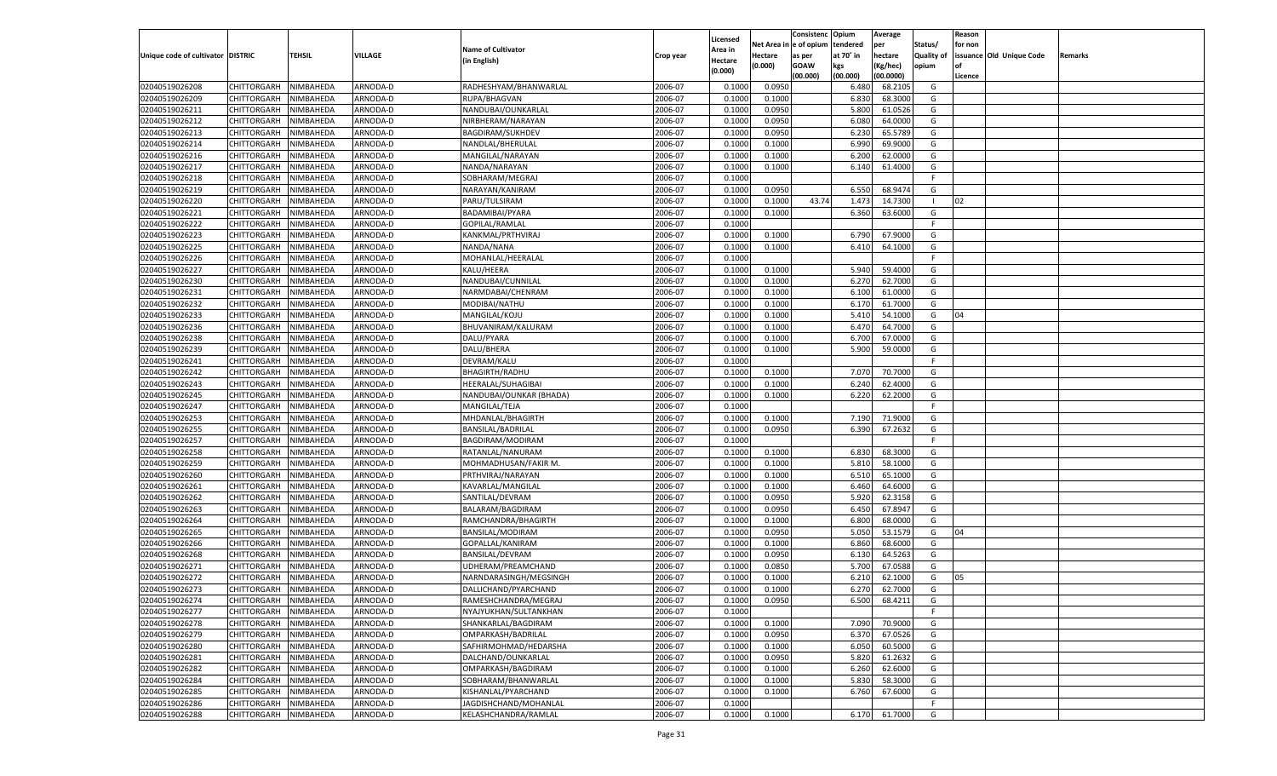|                                   |                       |                        |          |                           |                    |                           |                  | Consistenc  | Opium         | Average            |                   | Reason  |                          |         |
|-----------------------------------|-----------------------|------------------------|----------|---------------------------|--------------------|---------------------------|------------------|-------------|---------------|--------------------|-------------------|---------|--------------------------|---------|
|                                   |                       |                        |          | <b>Name of Cultivator</b> |                    | Licensed                  | Net Area         | e of opium  | tendered      | per                | Status/           | for non |                          |         |
| Unique code of cultivator DISTRIC |                       | <b>TEHSIL</b>          | VILLAGE  | (in English)              | Crop year          | <b>Area in</b><br>Hectare | Hectare          | as per      | at 70° in     | hectare            | <b>Quality of</b> |         | issuance Old Unique Code | Remarks |
|                                   |                       |                        |          |                           |                    | (0.000)                   | (0.000)          | <b>GOAW</b> | kgs           | (Kg/hec)           | opium             |         |                          |         |
|                                   |                       |                        |          |                           |                    |                           |                  | (00.000)    | (00.000)      | (00.0000)          |                   | Licence |                          |         |
| 02040519026208                    | CHITTORGARH           | NIMBAHEDA              | ARNODA-D | RADHESHYAM/BHANWARLAL     | 2006-07            | 0.1000                    | 0.0950           |             | 6.480         | 68.210             | G                 |         |                          |         |
| 02040519026209                    | CHITTORGARH           | NIMBAHEDA              | ARNODA-D | RUPA/BHAGVAN              | 2006-07            | 0.1000                    | 0.1000           |             | 6.83          | 68.3000            | G                 |         |                          |         |
| 02040519026211                    | CHITTORGARH           | NIMBAHEDA              | ARNODA-D | NANDUBAI/OUNKARLAL        | 2006-07            | 0.1000                    | 0.0950           |             | 5.800         | 61.0526            | G                 |         |                          |         |
| 02040519026212                    | CHITTORGARH           | NIMBAHEDA              | ARNODA-D | NIRBHERAM/NARAYAN         | 2006-07            | 0.1000                    | 0.0950           |             | 6.08          | 64.0000            | G                 |         |                          |         |
| 02040519026213                    | CHITTORGARH           | NIMBAHEDA              | ARNODA-D | BAGDIRAM/SUKHDEV          | 2006-07            | 0.1000                    | 0.0950           |             | 6.23          | 65.5789            | G                 |         |                          |         |
| 02040519026214                    | CHITTORGARH           | NIMBAHEDA              | ARNODA-D | NANDLAL/BHERULAL          | 2006-07            | 0.1000                    | 0.1000           |             | 6.990         | 69.9000            | G                 |         |                          |         |
| 02040519026216                    | CHITTORGARH           | NIMBAHEDA              | ARNODA-D | MANGILAL/NARAYAN          | 2006-07            | 0.1000                    | 0.1000           |             | 6.200         | 62.0000            | G                 |         |                          |         |
| 02040519026217                    | CHITTORGARH           | NIMBAHEDA              | ARNODA-D | NANDA/NARAYAN             | 2006-07            | 0.1000                    | 0.1000           |             | 6.140         | 61.4000            | G                 |         |                          |         |
| 02040519026218                    | CHITTORGARH           | NIMBAHEDA              | ARNODA-D | SOBHARAM/MEGRAJ           | 2006-07            | 0.1000                    |                  |             |               |                    | F.                |         |                          |         |
| 02040519026219                    | CHITTORGARH           | NIMBAHEDA              | ARNODA-D | NARAYAN/KANIRAM           | 2006-07            | 0.1000                    | 0.0950           |             | 6.550         | 68.947             | G                 |         |                          |         |
| 02040519026220                    | CHITTORGARH           | NIMBAHEDA              | ARNODA-D | PARU/TULSIRAM             | 2006-07            | 0.1000                    | 0.1000           | 43.74       | 1.473         | 14.7300            | -1                | 02      |                          |         |
| 02040519026221                    | CHITTORGARH           | NIMBAHEDA              | ARNODA-D | BADAMIBAI/PYARA           | 2006-07            | 0.1000                    | 0.1000           |             | 6.360         | 63.6000            | G                 |         |                          |         |
| 02040519026222                    | CHITTORGARH           | NIMBAHEDA              | ARNODA-D | GOPILAL/RAMLAL            | 2006-07            | 0.1000                    |                  |             |               |                    | F.                |         |                          |         |
| 02040519026223                    | CHITTORGARH           | NIMBAHEDA              | ARNODA-D | KANKMAL/PRTHVIRAJ         | 2006-07            | 0.1000                    | 0.1000           |             | 6.790         | 67.9000            | G                 |         |                          |         |
| 02040519026225                    | CHITTORGARH           | NIMBAHEDA              | ARNODA-D | NANDA/NANA                | 2006-07            | 0.1000                    | 0.1000           |             | 6.410         | 64.1000            | G                 |         |                          |         |
| 02040519026226                    | CHITTORGARH           | NIMBAHEDA              | ARNODA-D | MOHANLAL/HEERALAL         | 2006-07            | 0.1000                    |                  |             |               |                    | F.                |         |                          |         |
| 02040519026227                    | CHITTORGARH           | NIMBAHEDA              | ARNODA-D | KALU/HEERA                | 2006-07            | 0.1000                    | 0.1000           |             | 5.940         | 59.4000            | G                 |         |                          |         |
| 02040519026230                    | CHITTORGARH           | NIMBAHEDA              | ARNODA-D | NANDUBAI/CUNNILAL         | 2006-07            | 0.1000                    | 0.1000           |             | 6.27          | 62.7000            | G                 |         |                          |         |
| 02040519026231                    | CHITTORGARH           | NIMBAHEDA              | ARNODA-D | NARMDABAI/CHENRAM         | 2006-07            | 0.1000                    | 0.1000           |             | 6.100         | 61.0000            | G                 |         |                          |         |
| 02040519026232                    | CHITTORGARH           | NIMBAHEDA              | ARNODA-D | MODIBAI/NATHU             | 2006-07            | 0.1000                    | 0.1000           |             | 6.170         | 61.7000            | G                 |         |                          |         |
| 02040519026233                    | CHITTORGARH           | NIMBAHEDA              | ARNODA-D | MANGILAL/KOJU             | 2006-07            | 0.1000                    | 0.1000           |             | 5.410         | 54.1000            | G                 | 04      |                          |         |
| 02040519026236                    | CHITTORGARH           | NIMBAHEDA              | ARNODA-D | BHUVANIRAM/KALURAM        | 2006-07            | 0.1000                    | 0.1000           |             | 6.470         | 64.7000            | G                 |         |                          |         |
| 02040519026238                    | CHITTORGARH           | NIMBAHEDA              | ARNODA-D | DALU/PYARA                | 2006-07            | 0.1000                    | 0.1000           |             | 6.700         | 67.0000            | G                 |         |                          |         |
| 02040519026239                    | CHITTORGARH           | NIMBAHEDA              | ARNODA-D | DALU/BHERA                | 2006-07            | 0.1000                    | 0.1000           |             | 5.900         | 59.0000            | G                 |         |                          |         |
| 02040519026241                    | CHITTORGARH           | NIMBAHEDA              | ARNODA-D | DEVRAM/KALU               | 2006-07            | 0.1000                    |                  |             |               |                    | F                 |         |                          |         |
| 02040519026242                    | CHITTORGARH           | NIMBAHEDA              | ARNODA-D | <b>BHAGIRTH/RADHU</b>     | 2006-07            | 0.1000                    | 0.1000           |             | 7.070         | 70.7000            | G                 |         |                          |         |
| 02040519026243                    | CHITTORGARH           | NIMBAHEDA              | ARNODA-D | HEERALAL/SUHAGIBAI        | 2006-07            | 0.1000                    | 0.1000           |             | 6.240         | 62.4000            | G                 |         |                          |         |
| 02040519026245                    | CHITTORGARH           | NIMBAHEDA              | ARNODA-D | NANDUBAI/OUNKAR (BHADA)   | 2006-07            | 0.1000                    | 0.1000           |             | 6.220         | 62.2000            | G                 |         |                          |         |
| 02040519026247                    | CHITTORGARH           | NIMBAHEDA              | ARNODA-D | MANGILAL/TEJA             | 2006-07            | 0.1000                    |                  |             |               |                    | F                 |         |                          |         |
| 02040519026253                    | CHITTORGARH           | NIMBAHEDA              | ARNODA-D | MHDANLAL/BHAGIRTH         | 2006-07            | 0.1000                    | 0.1000           |             | 7.190         | 71.9000            | G                 |         |                          |         |
| 02040519026255                    | CHITTORGARH           | NIMBAHEDA              | ARNODA-D | BANSILAL/BADRILAL         | 2006-07            | 0.1000                    | 0.0950           |             | 6.390         | 67.2632            | G                 |         |                          |         |
| 02040519026257                    | CHITTORGARH           | NIMBAHEDA              | ARNODA-D | BAGDIRAM/MODIRAM          | 2006-07            | 0.1000                    |                  |             |               |                    | F.                |         |                          |         |
| 02040519026258                    | CHITTORGARH           | NIMBAHEDA              | ARNODA-D | RATANLAL/NANURAM          | 2006-07            | 0.1000                    | 0.1000           |             | 6.830         | 68.3000            | G                 |         |                          |         |
| 02040519026259                    | CHITTORGARH           | NIMBAHEDA              | ARNODA-D | MOHMADHUSAN/FAKIR M       | 2006-07            | 0.1000                    | 0.1000           |             | 5.810         | 58.1000            | G                 |         |                          |         |
| 02040519026260                    | CHITTORGARH           | NIMBAHEDA              | ARNODA-D | PRTHVIRAJ/NARAYAN         | 2006-07            | 0.1000                    | 0.1000           |             | 6.510         | 65.1000            | G                 |         |                          |         |
| 02040519026261                    | CHITTORGARH           | NIMBAHEDA              | ARNODA-D | KAVARLAL/MANGILAL         | 2006-07            | 0.1000                    | 0.1000           |             | 6.460         | 64.6000            | G                 |         |                          |         |
| 02040519026262                    | CHITTORGARH           | NIMBAHEDA              | ARNODA-D | SANTILAL/DEVRAM           | 2006-07            | 0.1000                    | 0.0950           |             | 5.920         | 62.3158            | G                 |         |                          |         |
| 02040519026263                    | CHITTORGARH           | NIMBAHEDA              | ARNODA-D | BALARAM/BAGDIRAM          | 2006-07            | 0.1000                    | 0.0950           |             | 6.450         | 67.8947            | G                 |         |                          |         |
| 02040519026264                    | CHITTORGARH           | NIMBAHEDA              | ARNODA-D | RAMCHANDRA/BHAGIRTH       | 2006-07            | 0.1000                    | 0.1000           |             | 6.800         | 68.0000            | G                 |         |                          |         |
| 02040519026265                    | CHITTORGARH           | NIMBAHEDA              | ARNODA-D | BANSILAL/MODIRAM          | 2006-07            | 0.1000                    | 0.0950           |             | 5.050         | 53.1579            | G                 | 04      |                          |         |
| 02040519026266                    | CHITTORGARH           | NIMBAHEDA              | ARNODA-D | GOPALLAL/KANIRAM          | 2006-07            | 0.1000                    | 0.1000           |             | 6.860         | 68.6000            | G                 |         |                          |         |
| 02040519026268                    |                       |                        | ARNODA-D | <b>BANSILAL/DEVRAM</b>    | 2006-07            |                           |                  |             |               | 64.5263            | G                 |         |                          |         |
|                                   | CHITTORGARH           | NIMBAHEDA<br>NIMBAHEDA | ARNODA-D | UDHERAM/PREAMCHAND        |                    | 0.1000                    | 0.0950           |             | 6.130         |                    |                   |         |                          |         |
| 02040519026271                    | CHITTORGARH           |                        |          |                           | 2006-07            | 0.1000                    | 0.0850           |             | 5.700<br>6.21 | 67.0588            | G                 |         |                          |         |
| 02040519026272                    | CHITTORGARH           | NIMBAHEDA<br>NIMBAHEDA | ARNODA-D | NARNDARASINGH/MEGSINGH    | 2006-07<br>2006-07 | 0.1000                    | 0.1000<br>0.1000 |             |               | 62.1000<br>62.7000 | G                 | 05      |                          |         |
| 02040519026273                    | CHITTORGARH           |                        | ARNODA-D | DALLICHAND/PYARCHAND      |                    | 0.1000                    |                  |             | 6.270         |                    | G                 |         |                          |         |
| 02040519026274                    | CHITTORGARH NIMBAHEDA |                        | ARNODA-D | RAMESHCHANDRA/MEGRAJ      | 2006-07            | 0.1000                    | 0.0950           |             | 6.500         | 68.4211            | G                 |         |                          |         |
| 02040519026277                    | <b>CHITTORGARH</b>    | NIMBAHEDA              | ARNODA-D | NYAJYUKHAN/SULTANKHAN     | 2006-07            | 0.1000                    |                  |             |               |                    | -F                |         |                          |         |
| 02040519026278                    | CHITTORGARH           | NIMBAHEDA              | ARNODA-D | SHANKARLAL/BAGDIRAM       | 2006-07            | 0.1000                    | 0.1000           |             | 7.090         | 70.9000            | G                 |         |                          |         |
| 02040519026279                    | <b>CHITTORGARH</b>    | NIMBAHEDA              | ARNODA-D | OMPARKASH/BADRILAL        | 2006-07            | 0.1000                    | 0.0950           |             | 6.370         | 67.0526            | G                 |         |                          |         |
| 02040519026280                    | <b>CHITTORGARH</b>    | NIMBAHEDA              | ARNODA-D | SAFHIRMOHMAD/HEDARSHA     | 2006-07            | 0.1000                    | 0.1000           |             | 6.050         | 60.5000            | G                 |         |                          |         |
| 02040519026281                    | <b>CHITTORGARH</b>    | NIMBAHEDA              | ARNODA-D | DALCHAND/OUNKARLAL        | 2006-07            | 0.1000                    | 0.0950           |             | 5.820         | 61.2632            | G                 |         |                          |         |
| 02040519026282                    | <b>CHITTORGARH</b>    | NIMBAHEDA              | ARNODA-D | OMPARKASH/BAGDIRAM        | 2006-07            | 0.1000                    | 0.1000           |             | 6.260         | 62.6000            | G                 |         |                          |         |
| 02040519026284                    | <b>CHITTORGARH</b>    | NIMBAHEDA              | ARNODA-D | SOBHARAM/BHANWARLAL       | 2006-07            | 0.1000                    | 0.1000           |             | 5.830         | 58.3000            | G                 |         |                          |         |
| 02040519026285                    | CHITTORGARH           | NIMBAHEDA              | ARNODA-D | KISHANLAL/PYARCHAND       | 2006-07            | 0.1000                    | 0.1000           |             | 6.760         | 67.6000            | G                 |         |                          |         |
| 02040519026286                    | <b>CHITTORGARH</b>    | NIMBAHEDA              | ARNODA-D | JAGDISHCHAND/MOHANLAL     | 2006-07            | 0.1000                    |                  |             |               |                    | F                 |         |                          |         |
| 02040519026288                    | CHITTORGARH           | NIMBAHEDA              | ARNODA-D | KELASHCHANDRA/RAMLAL      | 2006-07            | 0.1000                    | 0.1000           |             | 6.170         | 61.7000            | G                 |         |                          |         |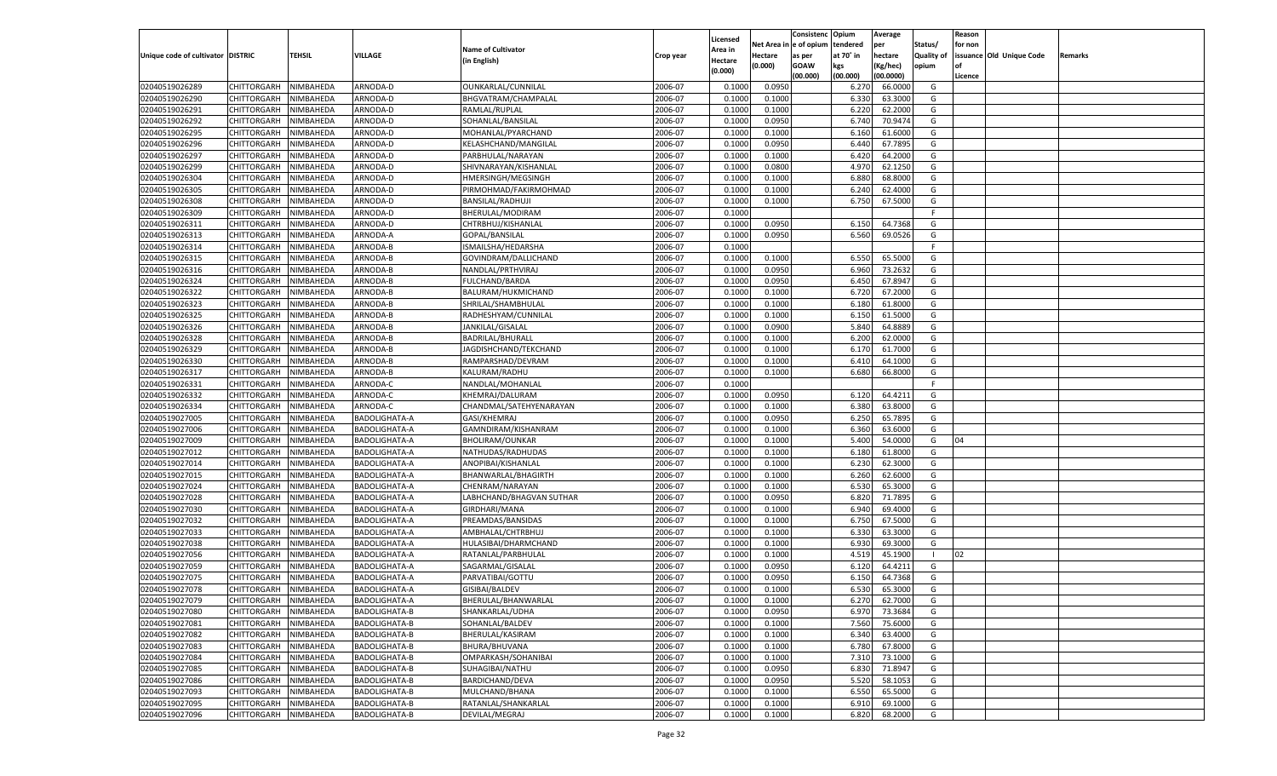|                                   |                       |           |                      |                           |           |                     |             | Consistenc    | Opium     | Average   |            | Reason  |                          |         |
|-----------------------------------|-----------------------|-----------|----------------------|---------------------------|-----------|---------------------|-------------|---------------|-----------|-----------|------------|---------|--------------------------|---------|
|                                   |                       |           |                      | <b>Name of Cultivator</b> |           | Licensed<br>Area in | Net Area iı | n  e of opium | tendered  | per       | Status/    | for non |                          |         |
| Unique code of cultivator DISTRIC |                       | TEHSIL    | <b>VILLAGE</b>       | (in English)              | Crop year | Hectare             | Hectare     | as per        | at 70° in | hectare   | Quality of |         | issuance Old Unique Code | Remarks |
|                                   |                       |           |                      |                           |           | (0.000)             | (0.000)     | <b>GOAW</b>   | kgs       | (Kg/hec)  | opium      |         |                          |         |
|                                   |                       |           |                      |                           |           |                     |             | (00.000)      | (00.000)  | (00.0000) |            | Licence |                          |         |
| 02040519026289                    | CHITTORGARH           | NIMBAHEDA | ARNODA-D             | OUNKARLAL/CUNNILAL        | 2006-07   | 0.1000              | 0.0950      |               | 6.27      | 66.0000   | G          |         |                          |         |
| 02040519026290                    | CHITTORGARH           | NIMBAHEDA | ARNODA-D             | BHGVATRAM/CHAMPALAL       | 2006-07   | 0.1000              | 0.1000      |               | 6.330     | 63.3000   | G          |         |                          |         |
| 02040519026291                    | CHITTORGARH           | NIMBAHEDA | ARNODA-D             | RAMLAL/RUPLAL             | 2006-07   | 0.1000              | 0.1000      |               | 6.220     | 62.2000   | G          |         |                          |         |
| 02040519026292                    | CHITTORGARH           | NIMBAHEDA | ARNODA-D             | SOHANLAL/BANSILAL         | 2006-07   | 0.1000              | 0.0950      |               | 6.740     | 70.9474   | G          |         |                          |         |
| 02040519026295                    | CHITTORGARH           | NIMBAHEDA | ARNODA-D             | MOHANLAL/PYARCHAND        | 2006-07   | 0.1000              | 0.1000      |               | 6.160     | 61.6000   | G          |         |                          |         |
| 02040519026296                    | CHITTORGARH           | NIMBAHEDA | ARNODA-D             | KELASHCHAND/MANGILAL      | 2006-07   | 0.1000              | 0.0950      |               | 6.440     | 67.7895   | G          |         |                          |         |
| 02040519026297                    | CHITTORGARH           | NIMBAHEDA | ARNODA-D             | PARBHULAL/NARAYAN         | 2006-07   | 0.1000              | 0.1000      |               | 6.420     | 64.2000   | G          |         |                          |         |
| 02040519026299                    | CHITTORGARH           | NIMBAHEDA | ARNODA-D             | SHIVNARAYAN/KISHANLAL     | 2006-07   | 0.1000              | 0.0800      |               | 4.970     | 62.1250   | G          |         |                          |         |
| 02040519026304                    | CHITTORGARH           | NIMBAHEDA | ARNODA-D             | HMERSINGH/MEGSINGH        | 2006-07   | 0.1000              | 0.1000      |               | 6.880     | 68.8000   | G          |         |                          |         |
| 02040519026305                    | CHITTORGARH           | NIMBAHEDA | ARNODA-D             | PIRMOHMAD/FAKIRMOHMAD     | 2006-07   | 0.1000              | 0.1000      |               | 6.240     | 62.4000   | G          |         |                          |         |
| 02040519026308                    | CHITTORGARH           | NIMBAHEDA | ARNODA-D             | <b>BANSILAL/RADHUJI</b>   | 2006-07   | 0.1000              | 0.1000      |               | 6.750     | 67.5000   | G          |         |                          |         |
| 02040519026309                    | CHITTORGARH           | NIMBAHEDA | ARNODA-D             | BHERULAL/MODIRAM          | 2006-07   | 0.1000              |             |               |           |           | E          |         |                          |         |
| 02040519026311                    | CHITTORGARH           | NIMBAHEDA | ARNODA-D             | CHTRBHUJ/KISHANLAL        | 2006-07   | 0.1000              | 0.0950      |               | 6.150     | 64.7368   | G          |         |                          |         |
| 02040519026313                    | CHITTORGARH           | NIMBAHEDA | ARNODA-A             | GOPAL/BANSILAL            | 2006-07   | 0.1000              | 0.0950      |               | 6.560     | 69.0526   | G          |         |                          |         |
| 02040519026314                    | CHITTORGARH           | NIMBAHEDA | ARNODA-B             | ISMAILSHA/HEDARSHA        | 2006-07   | 0.1000              |             |               |           |           | F.         |         |                          |         |
| 02040519026315                    | CHITTORGARH           | NIMBAHEDA | ARNODA-B             | GOVINDRAM/DALLICHAND      | 2006-07   | 0.1000              | 0.1000      |               | 6.550     | 65.5000   | G          |         |                          |         |
| 02040519026316                    | CHITTORGARH           | NIMBAHEDA | ARNODA-B             | NANDLAL/PRTHVIRAJ         | 2006-07   | 0.1000              | 0.0950      |               | 6.960     | 73.2632   | G          |         |                          |         |
| 02040519026324                    | CHITTORGARH           | NIMBAHEDA | ARNODA-B             | FULCHAND/BARDA            | 2006-07   | 0.1000              | 0.0950      |               | 6.450     | 67.8947   | G          |         |                          |         |
| 02040519026322                    | CHITTORGARH           | NIMBAHEDA | ARNODA-B             | BALURAM/HUKMICHAND        | 2006-07   | 0.1000              | 0.1000      |               | 6.720     | 67.2000   | G          |         |                          |         |
| 02040519026323                    | CHITTORGARH           | NIMBAHEDA | ARNODA-B             | SHRILAL/SHAMBHULAL        | 2006-07   | 0.1000              | 0.1000      |               | 6.180     | 61.8000   | G          |         |                          |         |
| 02040519026325                    | CHITTORGARH           | NIMBAHEDA | ARNODA-B             | RADHESHYAM/CUNNILAL       | 2006-07   | 0.1000              | 0.1000      |               | 6.150     | 61.5000   | G          |         |                          |         |
| 02040519026326                    | CHITTORGARH           | NIMBAHEDA | ARNODA-B             | JANKILAL/GISALAL          | 2006-07   | 0.1000              | 0.0900      |               | 5.840     | 64.8889   | G          |         |                          |         |
| 02040519026328                    | CHITTORGARH           | NIMBAHEDA | ARNODA-B             | BADRILAL/BHURALI          | 2006-07   | 0.1000              | 0.1000      |               | 6.200     | 62.0000   | G          |         |                          |         |
| 02040519026329                    | CHITTORGARH           | NIMBAHEDA | ARNODA-B             | JAGDISHCHAND/TEKCHAND     | 2006-07   | 0.1000              | 0.1000      |               | 6.170     | 61.7000   | G          |         |                          |         |
| 02040519026330                    | CHITTORGARH           | NIMBAHEDA | ARNODA-B             | RAMPARSHAD/DEVRAM         | 2006-07   | 0.1000              | 0.1000      |               | 6.410     | 64.1000   | G          |         |                          |         |
| 02040519026317                    | CHITTORGARH           | NIMBAHEDA | ARNODA-B             | KALURAM/RADHU             | 2006-07   | 0.1000              | 0.1000      |               | 6.680     | 66.8000   | G          |         |                          |         |
| 02040519026331                    | CHITTORGARH           | NIMBAHEDA | ARNODA-C             | NANDLAL/MOHANLAL          | 2006-07   | 0.1000              |             |               |           |           | F.         |         |                          |         |
| 02040519026332                    | CHITTORGARH           | NIMBAHEDA | ARNODA-C             | KHEMRAJ/DALURAM           | 2006-07   | 0.1000              | 0.0950      |               | 6.120     | 64.4211   | G          |         |                          |         |
| 02040519026334                    | CHITTORGARH           | NIMBAHEDA | ARNODA-C             | CHANDMAL/SATEHYENARAYAN   | 2006-07   | 0.1000              | 0.1000      |               | 6.380     | 63.8000   | G          |         |                          |         |
| 02040519027005                    | CHITTORGARH           | NIMBAHEDA | <b>BADOLIGHATA-A</b> | GASI/KHEMRAJ              | 2006-07   | 0.1000              | 0.0950      |               | 6.250     | 65.7895   | G          |         |                          |         |
| 02040519027006                    | CHITTORGARH           | NIMBAHEDA | <b>BADOLIGHATA-A</b> | GAMNDIRAM/KISHANRAM       | 2006-07   | 0.1000              | 0.1000      |               | 6.360     | 63.6000   | G          |         |                          |         |
| 02040519027009                    | CHITTORGARH           | NIMBAHEDA | <b>BADOLIGHATA-A</b> | <b>BHOLIRAM/OUNKAR</b>    | 2006-07   | 0.1000              | 0.1000      |               | 5.400     | 54.0000   | G          | 04      |                          |         |
| 02040519027012                    | CHITTORGARH           | NIMBAHEDA | <b>BADOLIGHATA-A</b> | NATHUDAS/RADHUDAS         | 2006-07   | 0.1000              | 0.1000      |               | 6.180     | 61.8000   | G          |         |                          |         |
| 02040519027014                    | CHITTORGARH           | NIMBAHEDA | <b>BADOLIGHATA-A</b> | ANOPIBAI/KISHANLAL        | 2006-07   | 0.1000              | 0.1000      |               | 6.23      | 62.3000   | G          |         |                          |         |
| 02040519027015                    |                       |           |                      |                           | 2006-07   | 0.1000              | 0.1000      |               | 6.260     | 62.6000   | G          |         |                          |         |
| 02040519027024                    | CHITTORGARH           | NIMBAHEDA | <b>BADOLIGHATA-A</b> | BHANWARLAL/BHAGIRTH       | 2006-07   | 0.1000              | 0.1000      |               | 6.530     | 65.3000   | G          |         |                          |         |
|                                   | CHITTORGARH           | NIMBAHEDA | <b>BADOLIGHATA-A</b> | CHENRAM/NARAYAN           | 2006-07   |                     |             |               |           | 71.7895   |            |         |                          |         |
| 02040519027028                    | CHITTORGARH           | NIMBAHEDA | <b>BADOLIGHATA-A</b> | LABHCHAND/BHAGVAN SUTHAR  |           | 0.1000              | 0.0950      |               | 6.820     |           | G          |         |                          |         |
| 02040519027030                    | CHITTORGARH           | NIMBAHEDA | <b>BADOLIGHATA-A</b> | GIRDHARI/MANA             | 2006-07   | 0.1000              | 0.1000      |               | 6.940     | 69.4000   | G          |         |                          |         |
| 02040519027032                    | CHITTORGARH           | NIMBAHEDA | <b>BADOLIGHATA-A</b> | PREAMDAS/BANSIDAS         | 2006-07   | 0.1000              | 0.1000      |               | 6.750     | 67.5000   | G          |         |                          |         |
| 02040519027033                    | CHITTORGARH           | NIMBAHEDA | <b>BADOLIGHATA-A</b> | AMBHALAL/CHTRBHUJ         | 2006-07   | 0.1000              | 0.1000      |               | 6.330     | 63.3000   | G          |         |                          |         |
| 02040519027038                    | CHITTORGARH           | NIMBAHEDA | <b>BADOLIGHATA-A</b> | HULASIBAI/DHARMCHAND      | 2006-07   | 0.1000              | 0.1000      |               | 6.930     | 69.3000   | G          |         |                          |         |
| 02040519027056                    | CHITTORGARH           | NIMBAHEDA | <b>BADOLIGHATA-A</b> | RATANLAL/PARBHULAL        | 2006-07   | 0.1000              | 0.1000      |               | 4.519     | 45.1900   | - 1        | 02      |                          |         |
| 02040519027059                    | CHITTORGARH           | NIMBAHEDA | <b>BADOLIGHATA-A</b> | SAGARMAL/GISALAL          | 2006-07   | 0.1000              | 0.0950      |               | 6.120     | 64.4211   | G          |         |                          |         |
| 02040519027075                    | CHITTORGARH           | NIMBAHEDA | <b>BADOLIGHATA-A</b> | PARVATIBAI/GOTTU          | 2006-07   | 0.1000              | 0.0950      |               | 6.150     | 64.7368   | G          |         |                          |         |
| 02040519027078                    | CHITTORGARH           | NIMBAHEDA | <b>BADOLIGHATA-A</b> | GISIBAI/BALDEV            | 2006-07   | 0.1000              | 0.1000      |               | 6.530     | 65.3000   | G          |         |                          |         |
| 02040519027079                    | CHITTORGARH NIMBAHEDA |           | <b>BADOLIGHATA-A</b> | BHERULAL/BHANWARLAL       | 2006-07   | 0.1000              | 0.1000      |               | 6.270     | 62.7000   | G          |         |                          |         |
| 02040519027080                    | <b>CHITTORGARH</b>    | NIMBAHEDA | BADOLIGHATA-B        | SHANKARLAL/UDHA           | 2006-07   | 0.1000              | 0.0950      |               | 6.970     | 73.3684   | G          |         |                          |         |
| 02040519027081                    | CHITTORGARH           | NIMBAHEDA | BADOLIGHATA-B        | SOHANLAL/BALDEV           | 2006-07   | 0.1000              | 0.1000      |               | 7.560     | 75.6000   | G          |         |                          |         |
| 02040519027082                    | CHITTORGARH           | NIMBAHEDA | BADOLIGHATA-B        | BHERULAL/KASIRAM          | 2006-07   | 0.1000              | 0.1000      |               | 6.340     | 63.4000   | G          |         |                          |         |
| 02040519027083                    | CHITTORGARH           | NIMBAHEDA | <b>BADOLIGHATA-B</b> | BHURA/BHUVANA             | 2006-07   | 0.1000              | 0.1000      |               | 6.780     | 67.8000   | G          |         |                          |         |
| 02040519027084                    | CHITTORGARH           | NIMBAHEDA | BADOLIGHATA-B        | OMPARKASH/SOHANIBAI       | 2006-07   | 0.1000              | 0.1000      |               | 7.310     | 73.1000   | G          |         |                          |         |
| 02040519027085                    | CHITTORGARH           | NIMBAHEDA | BADOLIGHATA-B        | SUHAGIBAI/NATHU           | 2006-07   | 0.1000              | 0.0950      |               | 6.830     | 71.8947   | G          |         |                          |         |
| 02040519027086                    | <b>CHITTORGARH</b>    | NIMBAHEDA | <b>BADOLIGHATA-B</b> | BARDICHAND/DEVA           | 2006-07   | 0.1000              | 0.0950      |               | 5.520     | 58.1053   | G          |         |                          |         |
| 02040519027093                    | CHITTORGARH           | NIMBAHEDA | BADOLIGHATA-B        | MULCHAND/BHANA            | 2006-07   | 0.1000              | 0.1000      |               | 6.550     | 65.5000   | G          |         |                          |         |
| 02040519027095                    | CHITTORGARH           | NIMBAHEDA | BADOLIGHATA-B        | RATANLAL/SHANKARLAL       | 2006-07   | 0.1000              | 0.1000      |               | 6.910     | 69.1000   | G          |         |                          |         |
| 02040519027096                    | <b>CHITTORGARH</b>    | NIMBAHEDA | BADOLIGHATA-B        | DEVILAL/MEGRAJ            | 2006-07   | 0.1000              | 0.1000      |               | 6.820     | 68.2000   | G          |         |                          |         |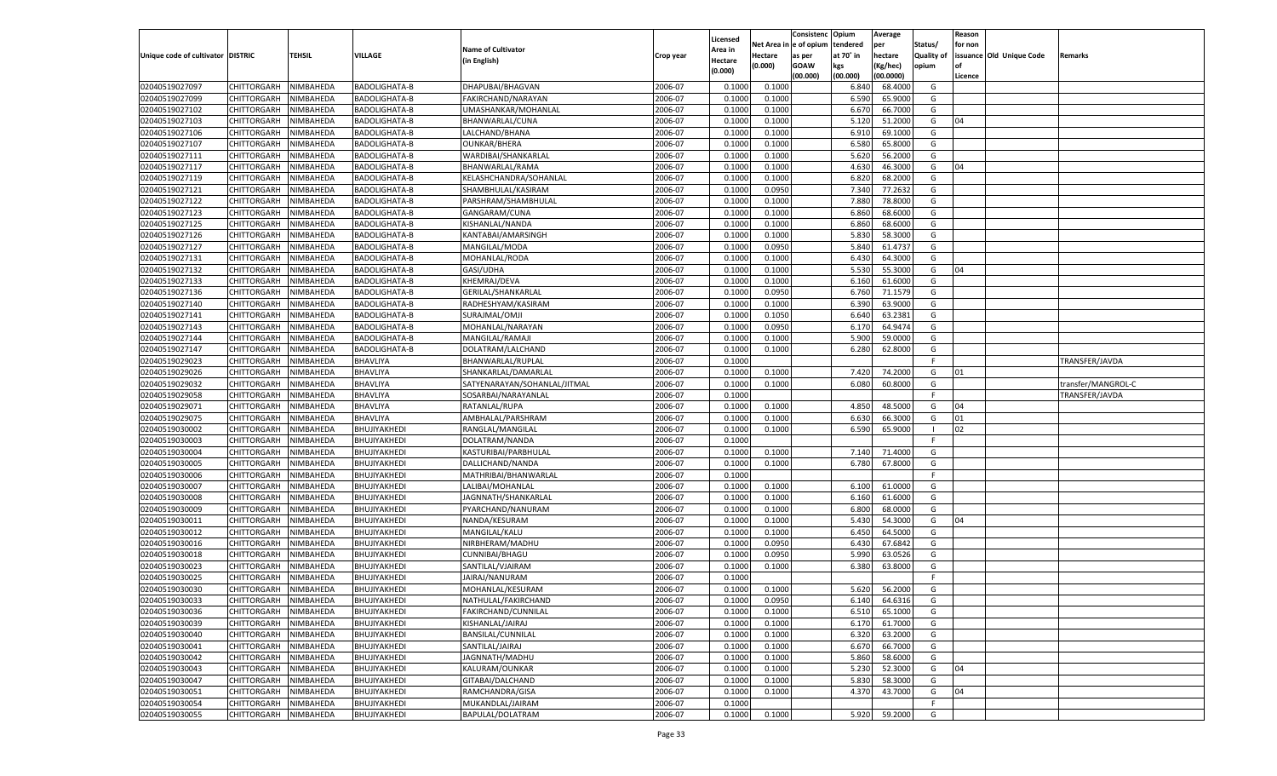|                                   |                    |           |                      |                              |           |          |             | Consistenc    | Opium     | Average   |            | Reason  |                          |                    |
|-----------------------------------|--------------------|-----------|----------------------|------------------------------|-----------|----------|-------------|---------------|-----------|-----------|------------|---------|--------------------------|--------------------|
|                                   |                    |           |                      |                              |           | Licensed | Net Area iı | n  e of opium | tendered  | per       | Status/    | for non |                          |                    |
| Unique code of cultivator DISTRIC |                    | TEHSIL    | <b>VILLAGE</b>       | <b>Name of Cultivator</b>    | Crop year | Area in  | Hectare     | as per        | at 70° in | hectare   | Quality of |         | issuance Old Unique Code | Remarks            |
|                                   |                    |           |                      | (in English)                 |           | Hectare  | (0.000)     | <b>GOAW</b>   | kgs       | (Kg/hec)  | opium      |         |                          |                    |
|                                   |                    |           |                      |                              |           | (0.000)  |             | (00.000)      | (00.000)  | (00.0000) |            | Licence |                          |                    |
| 02040519027097                    | CHITTORGARH        | NIMBAHEDA | <b>BADOLIGHATA-B</b> | DHAPUBAI/BHAGVAN             | 2006-07   | 0.1000   | 0.1000      |               | 6.840     | 68.4000   | G          |         |                          |                    |
| 02040519027099                    | CHITTORGARH        | NIMBAHEDA | <b>BADOLIGHATA-B</b> | FAKIRCHAND/NARAYAN           | 2006-07   | 0.1000   | 0.1000      |               | 6.590     | 65.9000   | G          |         |                          |                    |
| 02040519027102                    | CHITTORGARH        | NIMBAHEDA | <b>BADOLIGHATA-B</b> | UMASHANKAR/MOHANLAL          | 2006-07   | 0.1000   | 0.1000      |               | 6.670     | 66.7000   | G          |         |                          |                    |
| 02040519027103                    | CHITTORGARH        | NIMBAHEDA | <b>BADOLIGHATA-B</b> | BHANWARLAL/CUNA              | 2006-07   | 0.1000   | 0.1000      |               | 5.120     | 51.2000   | G          | 04      |                          |                    |
| 02040519027106                    | CHITTORGARH        | NIMBAHEDA | <b>BADOLIGHATA-B</b> | LALCHAND/BHANA               | 2006-07   | 0.1000   | 0.1000      |               | 6.910     | 69.1000   | G          |         |                          |                    |
| 02040519027107                    | CHITTORGARH        | NIMBAHEDA | <b>BADOLIGHATA-B</b> | <b>OUNKAR/BHERA</b>          | 2006-07   | 0.1000   | 0.1000      |               | 6.580     | 65.8000   | G          |         |                          |                    |
| 02040519027111                    | CHITTORGARH        | NIMBAHEDA | <b>BADOLIGHATA-B</b> | WARDIBAI/SHANKARLAL          | 2006-07   | 0.1000   | 0.1000      |               | 5.620     | 56.2000   | G          |         |                          |                    |
| 02040519027117                    | CHITTORGARH        | NIMBAHEDA | <b>BADOLIGHATA-B</b> | BHANWARLAL/RAMA              | 2006-07   | 0.1000   | 0.1000      |               | 4.630     | 46.3000   | G          | 04      |                          |                    |
| 02040519027119                    | CHITTORGARH        | NIMBAHEDA | <b>BADOLIGHATA-B</b> | KELASHCHANDRA/SOHANLAL       | 2006-07   | 0.1000   | 0.1000      |               | 6.820     | 68.2000   | G          |         |                          |                    |
|                                   |                    |           |                      |                              | 2006-07   |          |             |               |           | 77.2632   | G          |         |                          |                    |
| 02040519027121                    | CHITTORGARH        | NIMBAHEDA | <b>BADOLIGHATA-B</b> | SHAMBHULAL/KASIRAM           |           | 0.1000   | 0.0950      |               | 7.340     |           |            |         |                          |                    |
| 02040519027122                    | CHITTORGARH        | NIMBAHEDA | <b>BADOLIGHATA-B</b> | PARSHRAM/SHAMBHULAL          | 2006-07   | 0.1000   | 0.1000      |               | 7.880     | 78.8000   | G          |         |                          |                    |
| 02040519027123                    | CHITTORGARH        | NIMBAHEDA | <b>BADOLIGHATA-B</b> | GANGARAM/CUNA                | 2006-07   | 0.1000   | 0.1000      |               | 6.860     | 68.6000   | G          |         |                          |                    |
| 02040519027125                    | CHITTORGARH        | NIMBAHEDA | <b>BADOLIGHATA-B</b> | KISHANLAL/NANDA              | 2006-07   | 0.1000   | 0.1000      |               | 6.860     | 68.6000   | G          |         |                          |                    |
| 02040519027126                    | CHITTORGARH        | NIMBAHEDA | <b>BADOLIGHATA-B</b> | KANTABAI/AMARSINGH           | 2006-07   | 0.1000   | 0.1000      |               | 5.830     | 58.3000   | G          |         |                          |                    |
| 02040519027127                    | CHITTORGARH        | NIMBAHEDA | <b>BADOLIGHATA-B</b> | MANGILAL/MODA                | 2006-07   | 0.1000   | 0.0950      |               | 5.840     | 61.4737   | G          |         |                          |                    |
| 02040519027131                    | CHITTORGARH        | NIMBAHEDA | BADOLIGHATA-B        | MOHANLAL/RODA                | 2006-07   | 0.1000   | 0.1000      |               | 6.430     | 64.3000   | G          |         |                          |                    |
| 02040519027132                    | CHITTORGARH        | NIMBAHEDA | <b>BADOLIGHATA-B</b> | GASI/UDHA                    | 2006-07   | 0.1000   | 0.1000      |               | 5.530     | 55.3000   | G          | 04      |                          |                    |
| 02040519027133                    | CHITTORGARH        | NIMBAHEDA | BADOLIGHATA-B        | KHEMRAJ/DEVA                 | 2006-07   | 0.1000   | 0.1000      |               | 6.160     | 61.6000   | G          |         |                          |                    |
| 02040519027136                    | CHITTORGARH        | NIMBAHEDA | <b>BADOLIGHATA-B</b> | GERILAL/SHANKARLAL           | 2006-07   | 0.1000   | 0.0950      |               | 6.760     | 71.1579   | G          |         |                          |                    |
| 02040519027140                    | CHITTORGARH        | NIMBAHEDA | BADOLIGHATA-B        | RADHESHYAM/KASIRAM           | 2006-07   | 0.1000   | 0.1000      |               | 6.390     | 63.9000   | G          |         |                          |                    |
| 02040519027141                    | CHITTORGARH        | NIMBAHEDA | <b>BADOLIGHATA-B</b> | SURAJMAL/OMJI                | 2006-07   | 0.1000   | 0.1050      |               | 6.640     | 63.2381   | G          |         |                          |                    |
| 02040519027143                    | CHITTORGARH        | NIMBAHEDA | BADOLIGHATA-B        | MOHANLAL/NARAYAN             | 2006-07   | 0.1000   | 0.0950      |               | 6.170     | 64.9474   | G          |         |                          |                    |
| 02040519027144                    | CHITTORGARH        | NIMBAHEDA | <b>BADOLIGHATA-B</b> | MANGILAL/RAMAJI              | 2006-07   | 0.1000   | 0.1000      |               | 5.900     | 59.0000   | G          |         |                          |                    |
| 02040519027147                    | CHITTORGARH        | NIMBAHEDA | BADOLIGHATA-B        | DOLATRAM/LALCHAND            | 2006-07   | 0.1000   | 0.1000      |               | 6.280     | 62.8000   | G          |         |                          |                    |
| 02040519029023                    | CHITTORGARH        | NIMBAHEDA | BHAVLIYA             | BHANWARLAL/RUPLAL            | 2006-07   | 0.1000   |             |               |           |           | F.         |         |                          | TRANSFER/JAVDA     |
| 02040519029026                    | CHITTORGARH        | NIMBAHEDA | BHAVLIYA             | SHANKARLAL/DAMARLAL          | 2006-07   | 0.1000   | 0.1000      |               | 7.420     | 74.2000   | G          | 01      |                          |                    |
| 02040519029032                    | CHITTORGARH        | NIMBAHEDA | BHAVLIYA             | SATYENARAYAN/SOHANLAL/JITMAL | 2006-07   | 0.1000   | 0.1000      |               | 6.080     | 60.8000   | G          |         |                          | transfer/MANGROL-C |
| 02040519029058                    | CHITTORGARH        | NIMBAHEDA | BHAVLIYA             | SOSARBAI/NARAYANLAL          | 2006-07   | 0.1000   |             |               |           |           | F.         |         |                          | TRANSFER/JAVDA     |
| 02040519029071                    | CHITTORGARH        | NIMBAHEDA | BHAVLIYA             | RATANLAL/RUPA                | 2006-07   | 0.1000   | 0.1000      |               | 4.850     | 48.5000   | G          | 04      |                          |                    |
| 02040519029075                    |                    |           |                      |                              | 2006-07   | 0.1000   | 0.1000      |               | 6.630     | 66.3000   | G          | 01      |                          |                    |
|                                   | CHITTORGARH        | NIMBAHEDA | BHAVLIYA             | AMBHALAL/PARSHRAM            |           |          |             |               |           | 65.9000   | - 1        |         |                          |                    |
| 02040519030002                    | CHITTORGARH        | NIMBAHEDA | BHUJIYAKHEDI         | RANGLAL/MANGILAL             | 2006-07   | 0.1000   | 0.1000      |               | 6.590     |           |            | 02      |                          |                    |
| 02040519030003                    | CHITTORGARH        | NIMBAHEDA | BHUJIYAKHEDI         | DOLATRAM/NANDA               | 2006-07   | 0.1000   |             |               |           |           | F          |         |                          |                    |
| 02040519030004                    | CHITTORGARH        | NIMBAHEDA | BHUJIYAKHEDI         | KASTURIBAI/PARBHULAL         | 2006-07   | 0.1000   | 0.1000      |               | 7.140     | 71.4000   | G          |         |                          |                    |
| 02040519030005                    | CHITTORGARH        | NIMBAHEDA | BHUJIYAKHEDI         | DALLICHAND/NANDA             | 2006-07   | 0.1000   | 0.1000      |               | 6.780     | 67.8000   | G          |         |                          |                    |
| 02040519030006                    | CHITTORGARH        | NIMBAHEDA | BHUJIYAKHEDI         | MATHRIBAI/BHANWARLAL         | 2006-07   | 0.1000   |             |               |           |           | F.         |         |                          |                    |
| 02040519030007                    | CHITTORGARH        | NIMBAHEDA | BHUJIYAKHEDI         | LALIBAI/MOHANLAL             | 2006-07   | 0.1000   | 0.1000      |               | 6.100     | 61.0000   | G          |         |                          |                    |
| 02040519030008                    | CHITTORGARH        | NIMBAHEDA | BHUJIYAKHEDI         | JAGNNATH/SHANKARLAL          | 2006-07   | 0.1000   | 0.1000      |               | 6.160     | 61.6000   | G          |         |                          |                    |
| 02040519030009                    | CHITTORGARH        | NIMBAHEDA | BHUJIYAKHEDI         | PYARCHAND/NANURAM            | 2006-07   | 0.1000   | 0.1000      |               | 6.800     | 68.0000   | G          |         |                          |                    |
| 02040519030011                    | CHITTORGARH        | NIMBAHEDA | BHUJIYAKHEDI         | NANDA/KESURAM                | 2006-07   | 0.1000   | 0.1000      |               | 5.430     | 54.3000   | G          | 04      |                          |                    |
| 02040519030012                    | CHITTORGARH        | NIMBAHEDA | BHUJIYAKHEDI         | MANGILAL/KALU                | 2006-07   | 0.1000   | 0.1000      |               | 6.450     | 64.5000   | G          |         |                          |                    |
| 02040519030016                    | CHITTORGARH        | NIMBAHEDA | BHUJIYAKHEDI         | NIRBHERAM/MADHU              | 2006-07   | 0.1000   | 0.0950      |               | 6.430     | 67.6842   | G          |         |                          |                    |
| 02040519030018                    | CHITTORGARH        | NIMBAHEDA | BHUJIYAKHEDI         | CUNNIBAI/BHAGU               | 2006-07   | 0.1000   | 0.0950      |               | 5.990     | 63.0526   | G          |         |                          |                    |
| 02040519030023                    | CHITTORGARH        | NIMBAHEDA | BHUJIYAKHEDI         | SANTILAL/VJAIRAM             | 2006-07   | 0.1000   | 0.1000      |               | 6.380     | 63.8000   | G          |         |                          |                    |
| 02040519030025                    | CHITTORGARH        | NIMBAHEDA | BHUJIYAKHEDI         | JAIRAJ/NANURAM               | 2006-07   | 0.1000   |             |               |           |           | F          |         |                          |                    |
| 02040519030030                    | CHITTORGARH        | NIMBAHEDA | BHUJIYAKHEDI         | MOHANLAL/KESURAM             | 2006-07   | 0.1000   | 0.1000      |               | 5.620     | 56.2000   | G          |         |                          |                    |
| 02040519030033                    | CHITTORGARH        | NIMBAHEDA | BHUJIYAKHEDI         | NATHULAL/FAKIRCHAND          | 2006-07   | 0.1000   | 0.0950      |               | 6.140     | 64.6316   | G          |         |                          |                    |
| 02040519030036                    | <b>CHITTORGARH</b> | NIMBAHEDA | BHUJIYAKHEDI         | FAKIRCHAND/CUNNILAL          | 2006-07   | 0.1000   | 0.1000      |               | 6.510     | 65.1000   | G          |         |                          |                    |
| 02040519030039                    | <b>CHITTORGARH</b> | NIMBAHEDA | BHUJIYAKHEDI         | KISHANLAL/JAIRAJ             | 2006-07   | 0.1000   | 0.1000      |               | 6.170     | 61.7000   | G          |         |                          |                    |
| 02040519030040                    | <b>CHITTORGARH</b> | NIMBAHEDA | BHUJIYAKHEDI         | <b>BANSILAL/CUNNILAL</b>     | 2006-07   | 0.1000   | 0.1000      |               | 6.320     | 63.2000   | G          |         |                          |                    |
| 02040519030041                    | CHITTORGARH        | NIMBAHEDA | BHUJIYAKHEDI         | SANTILAL/JAIRAJ              | 2006-07   | 0.1000   | 0.1000      |               | 6.670     | 66.7000   | G          |         |                          |                    |
| 02040519030042                    | CHITTORGARH        | NIMBAHEDA | BHUJIYAKHEDI         | JAGNNATH/MADHU               | 2006-07   | 0.1000   | 0.1000      |               | 5.860     | 58.6000   | G          |         |                          |                    |
| 02040519030043                    | CHITTORGARH        | NIMBAHEDA | BHUJIYAKHEDI         |                              | 2006-07   |          | 0.1000      |               | 5.230     | 52.3000   | G          | 04      |                          |                    |
|                                   |                    |           |                      | KALURAM/OUNKAR               |           | 0.1000   |             |               |           |           |            |         |                          |                    |
| 02040519030047                    | CHITTORGARH        | NIMBAHEDA | BHUJIYAKHEDI         | GITABAI/DALCHAND             | 2006-07   | 0.1000   | 0.1000      |               | 5.830     | 58.3000   | G          |         |                          |                    |
| 02040519030051                    | CHITTORGARH        | NIMBAHEDA | BHUJIYAKHEDI         | RAMCHANDRA/GISA              | 2006-07   | 0.1000   | 0.1000      |               | 4.370     | 43.7000   | G          | 04      |                          |                    |
| 02040519030054                    | CHITTORGARH        | NIMBAHEDA | BHUJIYAKHEDI         | MUKANDLAL/JAIRAM             | 2006-07   | 0.1000   |             |               |           |           | -F         |         |                          |                    |
| 02040519030055                    | <b>CHITTORGARH</b> | NIMBAHEDA | BHUJIYAKHEDI         | BAPULAL/DOLATRAM             | 2006-07   | 0.1000   | 0.1000      |               | 5.920     | 59.2000   | G          |         |                          |                    |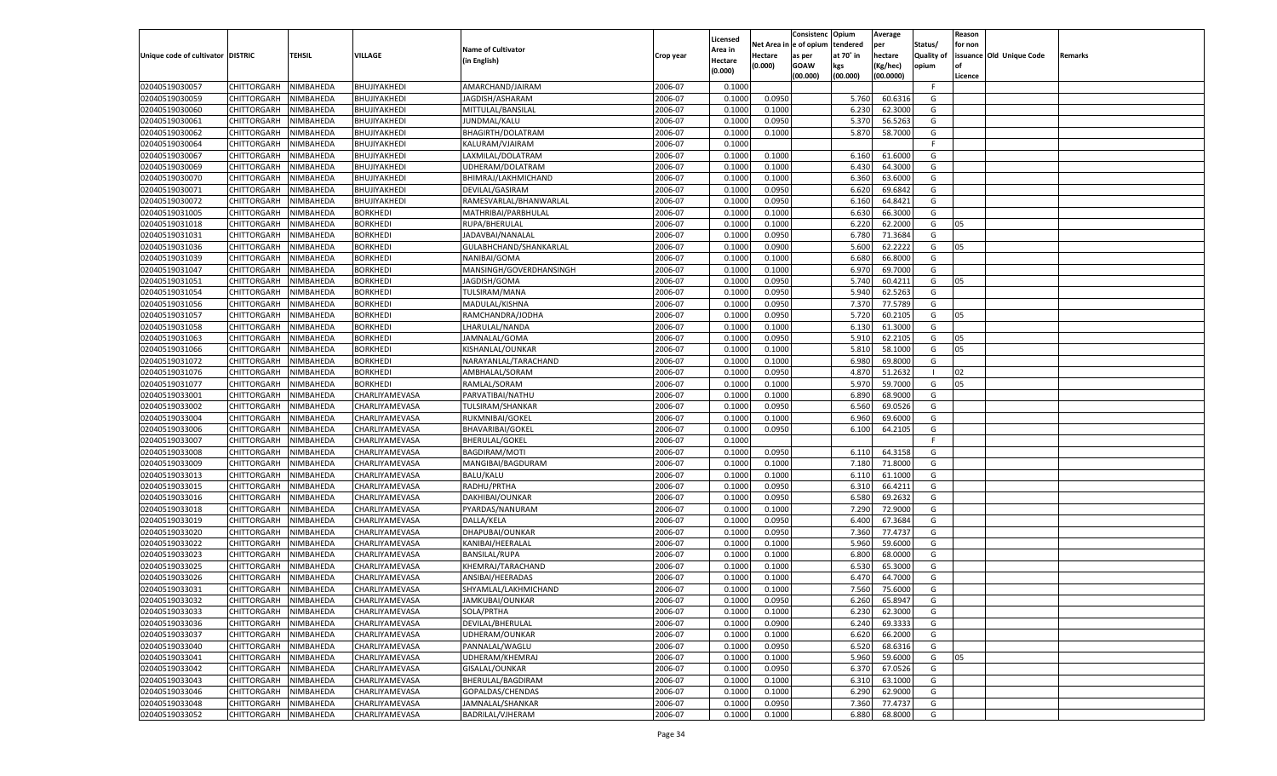|                                   |                    |           |                 |                           |           |                    |         | Consistenc Opium       |           | Average   |            | Reason  |                          |                |
|-----------------------------------|--------------------|-----------|-----------------|---------------------------|-----------|--------------------|---------|------------------------|-----------|-----------|------------|---------|--------------------------|----------------|
|                                   |                    |           |                 | <b>Name of Cultivator</b> |           | Licensed           |         | Net Area in e of opium | tendered  | per       | Status/    | for non |                          |                |
| Unique code of cultivator DISTRIC |                    | TEHSIL    | VILLAGE         |                           | Crop year | Area in            | Hectare | as per                 | at 70° in | hectare   | Quality of |         | issuance Old Unique Code | <b>Remarks</b> |
|                                   |                    |           |                 | (in English)              |           | Hectare<br>(0.000) | (0.000) | <b>GOAW</b>            | kgs       | (Kg/hec)  | opium      |         |                          |                |
|                                   |                    |           |                 |                           |           |                    |         | (00.000)               | (00.000)  | (00.0000) |            | Licence |                          |                |
| 02040519030057                    | CHITTORGARH        | NIMBAHEDA | BHUJIYAKHEDI    | AMARCHAND/JAIRAM          | 2006-07   | 0.1000             |         |                        |           |           | -F.        |         |                          |                |
| 02040519030059                    | CHITTORGARH        | NIMBAHEDA | BHUJIYAKHEDI    | JAGDISH/ASHARAM           | 2006-07   | 0.1000             | 0.0950  |                        | 5.760     | 60.6316   | G          |         |                          |                |
| 02040519030060                    | CHITTORGARH        | NIMBAHEDA | BHUJIYAKHEDI    | MITTULAL/BANSILAI         | 2006-07   | 0.1000             | 0.1000  |                        | 6.230     | 62.3000   | G          |         |                          |                |
| 02040519030061                    | CHITTORGARH        | NIMBAHEDA | BHUJIYAKHEDI    | JUNDMAL/KALU              | 2006-07   | 0.1000             | 0.0950  |                        | 5.370     | 56.5263   | G          |         |                          |                |
| 02040519030062                    | CHITTORGARH        | NIMBAHEDA | BHUJIYAKHEDI    | BHAGIRTH/DOLATRAM         | 2006-07   | 0.1000             | 0.1000  |                        | 5.870     | 58.7000   | G          |         |                          |                |
| 02040519030064                    | CHITTORGARH        | NIMBAHEDA | BHUJIYAKHEDI    | KALURAM/VJAIRAM           | 2006-07   | 0.1000             |         |                        |           |           | F.         |         |                          |                |
| 02040519030067                    | CHITTORGARH        | NIMBAHEDA | BHUJIYAKHEDI    | LAXMILAL/DOLATRAM         | 2006-07   | 0.1000             | 0.1000  |                        | 6.160     | 61.6000   | G          |         |                          |                |
| 02040519030069                    | CHITTORGARH        | NIMBAHEDA | BHUJIYAKHEDI    | UDHERAM/DOLATRAM          | 2006-07   | 0.1000             | 0.1000  |                        | 6.430     | 64.3000   | G          |         |                          |                |
| 02040519030070                    | CHITTORGARH        | NIMBAHEDA | BHUJIYAKHEDI    | BHIMRAJ/LAKHMICHAND       | 2006-07   | 0.1000             | 0.1000  |                        | 6.360     | 63.6000   | G          |         |                          |                |
| 02040519030071                    | CHITTORGARH        | NIMBAHEDA | BHUJIYAKHEDI    | DEVILAL/GASIRAM           | 2006-07   | 0.1000             | 0.0950  |                        | 6.620     | 69.6842   | G          |         |                          |                |
| 02040519030072                    | CHITTORGARH        | NIMBAHEDA | BHUJIYAKHEDI    | RAMESVARLAL/BHANWARLAL    | 2006-07   | 0.1000             | 0.0950  |                        | 6.160     | 64.8421   | G          |         |                          |                |
| 02040519031005                    | CHITTORGARH        | NIMBAHEDA | <b>BORKHEDI</b> | MATHRIBAI/PARBHULAL       | 2006-07   | 0.1000             | 0.1000  |                        | 6.630     | 66.3000   | G          |         |                          |                |
| 02040519031018                    | CHITTORGARH        | NIMBAHEDA | <b>BORKHEDI</b> | RUPA/BHERULAL             | 2006-07   | 0.1000             | 0.1000  |                        | 6.220     | 62.2000   | G          | 05      |                          |                |
| 02040519031031                    | CHITTORGARH        | NIMBAHEDA | BORKHEDI        | JADAVBAI/NANALAL          | 2006-07   | 0.100              | 0.0950  |                        | 6.780     | 71.3684   | G          |         |                          |                |
| 02040519031036                    | CHITTORGARH        | NIMBAHEDA | BORKHEDI        | GULABHCHAND/SHANKARLAL    | 2006-07   | 0.1000             | 0.0900  |                        | 5.600     | 62.2222   | G          | 05      |                          |                |
| 02040519031039                    | CHITTORGARH        | NIMBAHEDA | BORKHEDI        | NANIBAI/GOMA              | 2006-07   | 0.1000             | 0.1000  |                        | 6.680     | 66.8000   | G          |         |                          |                |
| 02040519031047                    | CHITTORGARH        | NIMBAHEDA | <b>BORKHEDI</b> | MANSINGH/GOVERDHANSINGH   | 2006-07   | 0.1000             | 0.1000  |                        | 6.970     | 69.7000   | G          |         |                          |                |
| 02040519031051                    | CHITTORGARH        | NIMBAHEDA | BORKHEDI        | JAGDISH/GOMA              | 2006-07   | 0.1000             | 0.0950  |                        | 5.740     | 60.4211   | G          | 05      |                          |                |
| 02040519031054                    | CHITTORGARH        | NIMBAHEDA | BORKHEDI        | TULSIRAM/MANA             | 2006-07   | 0.1000             | 0.0950  |                        | 5.940     | 62.5263   | G          |         |                          |                |
| 02040519031056                    | CHITTORGARH        | NIMBAHEDA | BORKHEDI        | MADULAL/KISHNA            | 2006-07   | 0.1000             | 0.0950  |                        | 7.370     | 77.5789   | G          |         |                          |                |
| 02040519031057                    | CHITTORGARH        | NIMBAHEDA | <b>BORKHEDI</b> | RAMCHANDRA/JODHA          | 2006-07   | 0.1000             | 0.0950  |                        | 5.720     | 60.2105   | G          | 05      |                          |                |
| 02040519031058                    | CHITTORGARH        | NIMBAHEDA | BORKHEDI        | LHARULAL/NANDA            | 2006-07   | 0.1000             | 0.1000  |                        | 6.130     | 61.3000   | G          |         |                          |                |
| 02040519031063                    | CHITTORGARH        | NIMBAHEDA | BORKHEDI        | JAMNALAL/GOMA             | 2006-07   | 0.1000             | 0.0950  |                        | 5.910     | 62.2105   | G          | 05      |                          |                |
| 02040519031066                    | CHITTORGARH        | NIMBAHEDA | BORKHEDI        | KISHANLAL/OUNKAR          | 2006-07   | 0.1000             | 0.1000  |                        | 5.810     | 58.1000   | G          | 05      |                          |                |
| 02040519031072                    | CHITTORGARH        | NIMBAHEDA | <b>BORKHEDI</b> | NARAYANLAL/TARACHAND      | 2006-07   | 0.1000             | 0.1000  |                        | 6.980     | 69.8000   | G          |         |                          |                |
| 02040519031076                    | CHITTORGARH        | NIMBAHEDA | BORKHEDI        | AMBHALAL/SORAM            | 2006-07   | 0.1000             | 0.0950  |                        | 4.870     | 51.2632   |            | 02      |                          |                |
| 02040519031077                    | CHITTORGARH        | NIMBAHEDA | BORKHEDI        | RAMLAL/SORAM              | 2006-07   | 0.1000             | 0.1000  |                        | 5.970     | 59.7000   | G          | 05      |                          |                |
| 02040519033001                    | CHITTORGARH        | NIMBAHEDA | CHARLIYAMEVASA  | PARVATIBAI/NATHU          | 2006-07   | 0.1000             | 0.1000  |                        | 6.890     | 68.9000   | G          |         |                          |                |
| 02040519033002                    | CHITTORGARH        | NIMBAHEDA | CHARLIYAMEVASA  | <b>TULSIRAM/SHANKAR</b>   | 2006-07   | 0.1000             | 0.0950  |                        | 6.560     | 69.0526   | G          |         |                          |                |
| 02040519033004                    | CHITTORGARH        | NIMBAHEDA | CHARLIYAMEVASA  | RUKMNIBAI/GOKEL           | 2006-07   | 0.1000             | 0.1000  |                        | 6.960     | 69.6000   | G          |         |                          |                |
|                                   |                    |           |                 |                           | 2006-07   |                    |         |                        |           |           |            |         |                          |                |
| 02040519033006                    | CHITTORGARH        | NIMBAHEDA | CHARLIYAMEVASA  | BHAVARIBAI/GOKEL          | 2006-07   | 0.1000<br>0.1000   | 0.0950  |                        | 6.100     | 64.2105   | G<br>-F    |         |                          |                |
| 02040519033007                    | CHITTORGARH        | NIMBAHEDA | CHARLIYAMEVASA  | <b>BHERULAL/GOKEL</b>     |           |                    |         |                        |           |           | G          |         |                          |                |
| 02040519033008                    | CHITTORGARH        | NIMBAHEDA | CHARLIYAMEVASA  | <b>BAGDIRAM/MOTI</b>      | 2006-07   | 0.1000             | 0.0950  |                        | 6.11      | 64.3158   |            |         |                          |                |
| 02040519033009                    | CHITTORGARH        | NIMBAHEDA | CHARLIYAMEVASA  | MANGIBAI/BAGDURAM         | 2006-07   | 0.1000             | 0.1000  |                        | 7.180     | 71.8000   | G          |         |                          |                |
| 02040519033013                    | CHITTORGARH        | NIMBAHEDA | CHARLIYAMEVASA  | BALU/KALU                 | 2006-07   | 0.1000             | 0.1000  |                        | 6.110     | 61.1000   | G          |         |                          |                |
| 02040519033015                    | CHITTORGARH        | NIMBAHEDA | CHARLIYAMEVASA  | RADHU/PRTHA               | 2006-07   | 0.1000             | 0.0950  |                        | 6.310     | 66.4211   | G          |         |                          |                |
| 02040519033016                    | CHITTORGARH        | NIMBAHEDA | CHARLIYAMEVASA  | DAKHIBAI/OUNKAR           | 2006-07   | 0.1000             | 0.0950  |                        | 6.580     | 69.2632   | G          |         |                          |                |
| 02040519033018                    | CHITTORGARH        | NIMBAHEDA | CHARLIYAMEVASA  | PYARDAS/NANURAM           | 2006-07   | 0.1000             | 0.1000  |                        | 7.290     | 72.9000   | G          |         |                          |                |
| 02040519033019                    | CHITTORGARH        | NIMBAHEDA | CHARLIYAMEVASA  | DALLA/KELA                | 2006-07   | 0.1000             | 0.0950  |                        | 6.400     | 67.3684   | G          |         |                          |                |
| 02040519033020                    | CHITTORGARH        | NIMBAHEDA | CHARLIYAMEVASA  | DHAPUBAI/OUNKAR           | 2006-07   | 0.1000             | 0.0950  |                        | 7.360     | 77.4737   | G          |         |                          |                |
| 02040519033022                    | CHITTORGARH        | NIMBAHEDA | CHARLIYAMEVASA  | KANIBAI/HEERALAL          | 2006-07   | 0.1000             | 0.1000  |                        | 5.960     | 59.6000   | G          |         |                          |                |
| 02040519033023                    | CHITTORGARH        | NIMBAHEDA | CHARLIYAMEVASA  | <b>BANSILAL/RUPA</b>      | 2006-07   | 0.1000             | 0.1000  |                        | 6.800     | 68.0000   | G          |         |                          |                |
| 02040519033025                    | CHITTORGARH        | NIMBAHEDA | CHARLIYAMEVASA  | KHEMRAJ/TARACHAND         | 2006-07   | 0.1000             | 0.1000  |                        | 6.530     | 65.3000   | G          |         |                          |                |
| 02040519033026                    | CHITTORGARH        | NIMBAHEDA | CHARLIYAMEVASA  | ANSIBAI/HEERADAS          | 2006-07   | 0.100              | 0.1000  |                        | 6.470     | 64.7000   | G          |         |                          |                |
| 02040519033031                    | CHITTORGARH        | NIMBAHEDA | CHARLIYAMEVASA  | SHYAMLAL/LAKHMICHAND      | 2006-07   | 0.1000             | 0.1000  |                        | 7.560     | 75.6000   | G          |         |                          |                |
| 02040519033032                    | CHITTORGARH        | NIMBAHEDA | CHARLIYAMEVASA  | JAMKUBAI/OUNKAR           | 2006-07   | 0.1000             | 0.0950  |                        | 6.260     | 65.8947   | G          |         |                          |                |
| 02040519033033                    | <b>CHITTORGARH</b> | NIMBAHEDA | CHARLIYAMEVASA  | SOLA/PRTHA                | 2006-07   | 0.1000             | 0.1000  |                        | 6.230     | 62.3000   | G          |         |                          |                |
| 02040519033036                    | <b>CHITTORGARH</b> | NIMBAHEDA | CHARLIYAMEVASA  | DEVILAL/BHERULAL          | 2006-07   | 0.1000             | 0.0900  |                        | 6.240     | 69.3333   | G          |         |                          |                |
| 02040519033037                    | <b>CHITTORGARH</b> | NIMBAHEDA | CHARLIYAMEVASA  | UDHERAM/OUNKAR            | 2006-07   | 0.1000             | 0.1000  |                        | 6.620     | 66.2000   | G          |         |                          |                |
| 02040519033040                    | <b>CHITTORGARH</b> | NIMBAHEDA | CHARLIYAMEVASA  | PANNALAL/WAGLU            | 2006-07   | 0.1000             | 0.0950  |                        | 6.520     | 68.6316   | G          |         |                          |                |
| 02040519033041                    | <b>CHITTORGARH</b> | NIMBAHEDA | CHARLIYAMEVASA  | UDHERAM/KHEMRAJ           | 2006-07   | 0.1000             | 0.1000  |                        | 5.960     | 59.6000   | G          | 05      |                          |                |
| 02040519033042                    | <b>CHITTORGARH</b> | NIMBAHEDA | CHARLIYAMEVASA  | GISALAL/OUNKAR            | 2006-07   | 0.1000             | 0.0950  |                        | 6.370     | 67.0526   | G          |         |                          |                |
| 02040519033043                    | <b>CHITTORGARH</b> | NIMBAHEDA | CHARLIYAMEVASA  | BHERULAL/BAGDIRAM         | 2006-07   | 0.1000             | 0.1000  |                        | 6.310     | 63.1000   | G          |         |                          |                |
| 02040519033046                    | <b>CHITTORGARH</b> | NIMBAHEDA | CHARLIYAMEVASA  | GOPALDAS/CHENDAS          | 2006-07   | 0.1000             | 0.1000  |                        | 6.290     | 62.9000   | G          |         |                          |                |
| 02040519033048                    | <b>CHITTORGARH</b> | NIMBAHEDA | CHARLIYAMEVASA  | JAMNALAL/SHANKAR          | 2006-07   | 0.1000             | 0.0950  |                        | 7.360     | 77.4737   | G          |         |                          |                |
| 02040519033052                    | <b>CHITTORGARH</b> | NIMBAHEDA | CHARLIYAMEVASA  | BADRILAL/VJHERAM          | 2006-07   | 0.1000             | 0.1000  |                        | 6.880     | 68.8000   | G          |         |                          |                |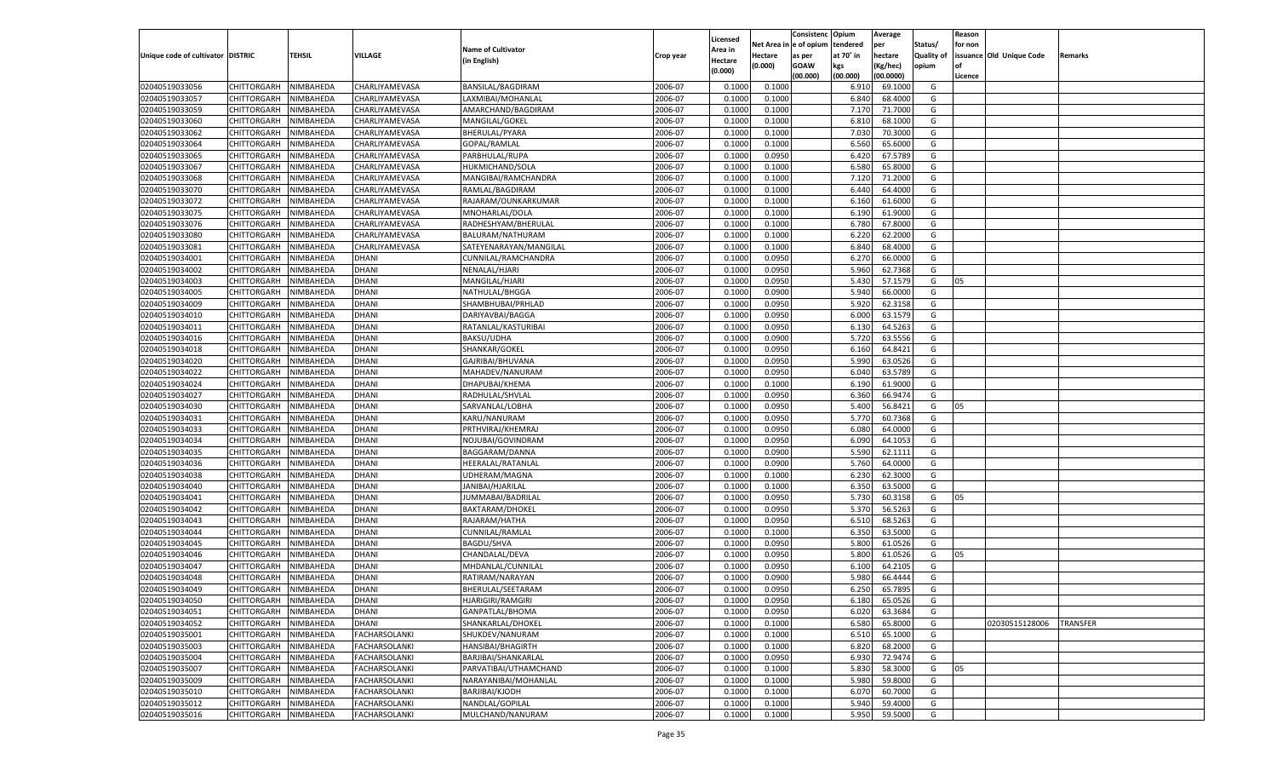|                                   |                       |               |                      |                           |           |                           |          | Consistenc  | Opium     | Average   |                   | Reason  |                          |                 |
|-----------------------------------|-----------------------|---------------|----------------------|---------------------------|-----------|---------------------------|----------|-------------|-----------|-----------|-------------------|---------|--------------------------|-----------------|
|                                   |                       |               |                      | <b>Name of Cultivator</b> |           | Licensed                  | Net Area | e of opium  | tendered  | per       | Status/           | for non |                          |                 |
| Unique code of cultivator DISTRIC |                       | <b>TEHSIL</b> | VILLAGE              | (in English)              | Crop year | <b>Area in</b><br>Hectare | Hectare  | as per      | at 70° in | hectare   | <b>Quality of</b> |         | issuance Old Unique Code | Remarks         |
|                                   |                       |               |                      |                           |           | (0.000)                   | (0.000)  | <b>GOAW</b> | kgs       | (Kg/hec)  | opium             |         |                          |                 |
|                                   |                       |               |                      |                           |           |                           |          | (00.000)    | (00.000)  | (00.0000) |                   | Licence |                          |                 |
| 02040519033056                    | CHITTORGARH           | NIMBAHEDA     | CHARLIYAMEVASA       | BANSILAL/BAGDIRAM         | 2006-07   | 0.1000                    | 0.1000   |             | 6.910     | 69.1000   | G                 |         |                          |                 |
| 02040519033057                    | CHITTORGARH           | NIMBAHEDA     | CHARLIYAMEVASA       | LAXMIBAI/MOHANLAL         | 2006-07   | 0.1000                    | 0.1000   |             | 6.840     | 68.4000   | G                 |         |                          |                 |
| 02040519033059                    | CHITTORGARH           | NIMBAHEDA     | CHARLIYAMEVASA       | AMARCHAND/BAGDIRAM        | 2006-07   | 0.1000                    | 0.1000   |             | 7.17      | 71.7000   | G                 |         |                          |                 |
| 02040519033060                    | CHITTORGARH           | NIMBAHEDA     | CHARLIYAMEVASA       | MANGILAL/GOKEL            | 2006-07   | 0.1000                    | 0.1000   |             | 6.810     | 68.1000   | G                 |         |                          |                 |
| 02040519033062                    | CHITTORGARH           | NIMBAHEDA     | CHARLIYAMEVASA       | BHERULAL/PYARA            | 2006-07   | 0.1000                    | 0.1000   |             | 7.030     | 70.3000   | G                 |         |                          |                 |
| 02040519033064                    | CHITTORGARH           | NIMBAHEDA     | CHARLIYAMEVASA       | GOPAL/RAMLAL              | 2006-07   | 0.1000                    | 0.1000   |             | 6.560     | 65.6000   | G                 |         |                          |                 |
| 02040519033065                    | CHITTORGARH           | NIMBAHEDA     | CHARLIYAMEVASA       | PARBHULAL/RUPA            | 2006-07   | 0.1000                    | 0.0950   |             | 6.420     | 67.5789   | G                 |         |                          |                 |
| 02040519033067                    | CHITTORGARH           | NIMBAHEDA     | CHARLIYAMEVASA       | HUKMICHAND/SOLA           | 2006-07   | 0.1000                    | 0.1000   |             | 6.580     | 65.8000   | G                 |         |                          |                 |
| 02040519033068                    | CHITTORGARH           | NIMBAHEDA     | CHARLIYAMEVASA       | MANGIBAI/RAMCHANDRA       | 2006-07   | 0.1000                    | 0.1000   |             | 7.120     | 71.2000   | G                 |         |                          |                 |
| 02040519033070                    | CHITTORGARH           | NIMBAHEDA     | CHARLIYAMEVASA       | RAMLAL/BAGDIRAM           | 2006-07   | 0.1000                    | 0.1000   |             | 6.440     | 64.4000   | G                 |         |                          |                 |
| 02040519033072                    | CHITTORGARH           | NIMBAHEDA     | CHARLIYAMEVASA       | RAJARAM/OUNKARKUMAR       | 2006-07   | 0.1000                    | 0.1000   |             | 6.160     | 61.6000   | G                 |         |                          |                 |
| 02040519033075                    | CHITTORGARH           | NIMBAHEDA     | CHARLIYAMEVASA       | MNOHARLAL/DOLA            | 2006-07   | 0.1000                    | 0.1000   |             | 6.190     | 61.9000   | G                 |         |                          |                 |
| 02040519033076                    | CHITTORGARH           | NIMBAHEDA     | CHARLIYAMEVASA       | RADHESHYAM/BHERULAL       | 2006-07   | 0.1000                    | 0.1000   |             | 6.780     | 67.8000   | G                 |         |                          |                 |
| 02040519033080                    | CHITTORGARH           | NIMBAHEDA     | CHARLIYAMEVASA       | BALURAM/NATHURAM          | 2006-07   | 0.1000                    | 0.1000   |             | 6.220     | 62.2000   | G                 |         |                          |                 |
| 02040519033081                    | CHITTORGARH           | NIMBAHEDA     | CHARLIYAMEVASA       | SATEYENARAYAN/MANGILAL    | 2006-07   | 0.1000                    | 0.1000   |             | 6.840     | 68.4000   | G                 |         |                          |                 |
| 02040519034001                    | CHITTORGARH           | NIMBAHEDA     | DHANI                | CUNNILAL/RAMCHANDRA       | 2006-07   | 0.1000                    | 0.0950   |             | 6.27      | 66.0000   | G                 |         |                          |                 |
| 02040519034002                    | CHITTORGARH           | NIMBAHEDA     | DHANI                | NENALAL/HJARI             | 2006-07   | 0.1000                    | 0.0950   |             | 5.960     | 62.7368   | G                 |         |                          |                 |
| 02040519034003                    | CHITTORGARH           | NIMBAHEDA     | DHANI                | MANGILAL/HJARI            | 2006-07   | 0.1000                    | 0.0950   |             | 5.430     | 57.1579   | G                 | 05      |                          |                 |
| 02040519034005                    | CHITTORGARH           | NIMBAHEDA     | DHANI                | NATHULAL/BHGGA            | 2006-07   | 0.1000                    | 0.0900   |             | 5.940     | 66.0000   | G                 |         |                          |                 |
| 02040519034009                    | CHITTORGARH           | NIMBAHEDA     | DHANI                | SHAMBHUBAI/PRHLAD         | 2006-07   | 0.1000                    | 0.0950   |             | 5.920     | 62.3158   | G                 |         |                          |                 |
| 02040519034010                    | CHITTORGARH           | NIMBAHEDA     | DHANI                | DARIYAVBAI/BAGGA          | 2006-07   | 0.1000                    | 0.0950   |             | 6.000     | 63.1579   | G                 |         |                          |                 |
| 02040519034011                    | CHITTORGARH           | NIMBAHEDA     | DHANI                | RATANLAL/KASTURIBAI       | 2006-07   | 0.1000                    | 0.0950   |             | 6.13(     | 64.5263   | G                 |         |                          |                 |
| 02040519034016                    | CHITTORGARH           | NIMBAHEDA     | DHANI                | BAKSU/UDHA                | 2006-07   | 0.1000                    | 0.0900   |             | 5.720     | 63.5556   | G                 |         |                          |                 |
| 02040519034018                    | CHITTORGARH           | NIMBAHEDA     | DHANI                | SHANKAR/GOKEL             | 2006-07   | 0.1000                    | 0.0950   |             | 6.160     | 64.8421   | G                 |         |                          |                 |
| 02040519034020                    | CHITTORGARH           | NIMBAHEDA     | DHANI                | GAJRIBAI/BHUVANA          | 2006-07   | 0.1000                    | 0.0950   |             | 5.990     | 63.0526   | G                 |         |                          |                 |
| 02040519034022                    | CHITTORGARH           | NIMBAHEDA     | DHANI                | MAHADEV/NANURAM           | 2006-07   | 0.1000                    | 0.0950   |             | 6.040     | 63.5789   | G                 |         |                          |                 |
| 02040519034024                    | CHITTORGARH           | NIMBAHEDA     | DHANI                | DHAPUBAI/KHEMA            | 2006-07   | 0.1000                    | 0.1000   |             | 6.190     | 61.9000   | G                 |         |                          |                 |
| 02040519034027                    | CHITTORGARH           | NIMBAHEDA     | DHANI                | RADHULAL/SHVLAL           | 2006-07   | 0.1000                    | 0.0950   |             | 6.360     | 66.9474   | G                 |         |                          |                 |
| 02040519034030                    | CHITTORGARH           | NIMBAHEDA     | DHANI                | SARVANLAL/LOBHA           | 2006-07   | 0.1000                    | 0.0950   |             | 5.400     | 56.8421   | G                 | 05      |                          |                 |
| 02040519034031                    | CHITTORGARH           | NIMBAHEDA     | DHANI                | KARU/NANURAM              | 2006-07   | 0.1000                    | 0.0950   |             | 5.770     | 60.7368   | G                 |         |                          |                 |
| 02040519034033                    | CHITTORGARH           | NIMBAHEDA     | <b>DHANI</b>         | PRTHVIRAJ/KHEMRAJ         | 2006-07   | 0.1000                    | 0.0950   |             | 6.080     | 64.0000   | G                 |         |                          |                 |
| 02040519034034                    | CHITTORGARH           | NIMBAHEDA     | DHANI                | NOJUBAI/GOVINDRAM         | 2006-07   | 0.1000                    | 0.0950   |             | 6.090     | 64.105    | G                 |         |                          |                 |
| 02040519034035                    | CHITTORGARH           | NIMBAHEDA     | DHANI                | BAGGARAM/DANNA            | 2006-07   | 0.1000                    | 0.0900   |             | 5.590     | 62.1111   | G                 |         |                          |                 |
| 02040519034036                    | CHITTORGARH           | NIMBAHEDA     | DHANI                | HEERALAL/RATANLAI         | 2006-07   | 0.1000                    | 0.0900   |             | 5.760     | 64.0000   | G                 |         |                          |                 |
| 02040519034038                    |                       |               | <b>DHANI</b>         |                           | 2006-07   | 0.1000                    | 0.1000   |             | 6.230     | 62.3000   | G                 |         |                          |                 |
| 02040519034040                    | CHITTORGARH           | NIMBAHEDA     |                      | UDHERAM/MAGNA             | 2006-07   | 0.1000                    |          |             | 6.350     | 63.5000   | G                 |         |                          |                 |
|                                   | CHITTORGARH           | NIMBAHEDA     | DHANI<br>DHANI       | JANIBAI/HJARILAL          | 2006-07   | 0.1000                    | 0.1000   |             |           | 60.3158   |                   |         |                          |                 |
| 02040519034041                    | CHITTORGARH           | NIMBAHEDA     |                      | JUMMABAI/BADRILAL         |           |                           | 0.0950   |             | 5.730     |           | G                 | 05      |                          |                 |
| 02040519034042                    | CHITTORGARH           | NIMBAHEDA     | DHANI                | <b>BAKTARAM/DHOKEL</b>    | 2006-07   | 0.1000                    | 0.0950   |             | 5.370     | 56.5263   | G                 |         |                          |                 |
| 02040519034043                    | CHITTORGARH           | NIMBAHEDA     | <b>DHANI</b>         | RAJARAM/HATHA             | 2006-07   | 0.1000                    | 0.0950   |             | 6.510     | 68.5263   | G                 |         |                          |                 |
| 02040519034044                    | CHITTORGARH           | NIMBAHEDA     | DHANI                | CUNNILAL/RAMLAL           | 2006-07   | 0.1000                    | 0.1000   |             | 6.350     | 63.5000   | G                 |         |                          |                 |
| 02040519034045                    | CHITTORGARH           | NIMBAHEDA     | DHANI                | <b>BAGDU/SHVA</b>         | 2006-07   | 0.1000                    | 0.0950   |             | 5.800     | 61.0526   | G                 |         |                          |                 |
| 02040519034046                    | CHITTORGARH           | NIMBAHEDA     | DHANI                | CHANDALAL/DEVA            | 2006-07   | 0.1000                    | 0.0950   |             | 5.800     | 61.0526   | G                 | 05      |                          |                 |
| 02040519034047                    | CHITTORGARH           | NIMBAHEDA     | <b>DHANI</b>         | MHDANLAL/CUNNILAL         | 2006-07   | 0.1000                    | 0.0950   |             | 6.100     | 64.2105   | G                 |         |                          |                 |
| 02040519034048                    | CHITTORGARH           | NIMBAHEDA     | DHANI                | RATIRAM/NARAYAN           | 2006-07   | 0.1000                    | 0.0900   |             | 5.980     | 66.4444   | G                 |         |                          |                 |
| 02040519034049                    | CHITTORGARH           | NIMBAHEDA     | DHANI                | BHERULAL/SEETARAM         | 2006-07   | 0.1000                    | 0.0950   |             | 6.250     | 65.7895   | G                 |         |                          |                 |
| 02040519034050                    | CHITTORGARH NIMBAHEDA |               | <b>DHANI</b>         | HJARIGIRI/RAMGIRI         | 2006-07   | 0.1000                    | 0.0950   |             | 6.180     | 65.0526   | G                 |         |                          |                 |
| 02040519034051                    | <b>CHITTORGARH</b>    | NIMBAHEDA     | <b>DHANI</b>         | GANPATLAL/BHOMA           | 2006-07   | 0.1000                    | 0.0950   |             | 6.020     | 63.3684   | G                 |         |                          |                 |
| 02040519034052                    | <b>CHITTORGARH</b>    | NIMBAHEDA     | DHANI                | SHANKARLAL/DHOKEL         | 2006-07   | 0.1000                    | 0.1000   |             | 6.580     | 65.8000   | G                 |         | 02030515128006           | <b>TRANSFER</b> |
| 02040519035001                    | <b>CHITTORGARH</b>    | NIMBAHEDA     | FACHARSOLANKI        | SHUKDEV/NANURAM           | 2006-07   | 0.1000                    | 0.1000   |             | 6.510     | 65.1000   | G                 |         |                          |                 |
| 02040519035003                    | <b>CHITTORGARH</b>    | NIMBAHEDA     | <b>FACHARSOLANKI</b> | HANSIBAI/BHAGIRTH         | 2006-07   | 0.1000                    | 0.1000   |             | 6.820     | 68.2000   | G                 |         |                          |                 |
| 02040519035004                    | <b>CHITTORGARH</b>    | NIMBAHEDA     | <b>FACHARSOLANKI</b> | BARJIBAI/SHANKARLAL       | 2006-07   | 0.1000                    | 0.0950   |             | 6.930     | 72.9474   | G                 |         |                          |                 |
| 02040519035007                    | <b>CHITTORGARH</b>    | NIMBAHEDA     | <b>FACHARSOLANKI</b> | PARVATIBAI/UTHAMCHAND     | 2006-07   | 0.1000                    | 0.1000   |             | 5.830     | 58.3000   | G                 | 05      |                          |                 |
| 02040519035009                    | <b>CHITTORGARH</b>    | NIMBAHEDA     | <b>FACHARSOLANKI</b> | NARAYANIBAI/MOHANLAL      | 2006-07   | 0.1000                    | 0.1000   |             | 5.980     | 59.8000   | G                 |         |                          |                 |
| 02040519035010                    | <b>CHITTORGARH</b>    | NIMBAHEDA     | <b>FACHARSOLANKI</b> | BARJIBAI/KJODH            | 2006-07   | 0.1000                    | 0.1000   |             | 6.070     | 60.7000   | G                 |         |                          |                 |
| 02040519035012                    | <b>CHITTORGARH</b>    | NIMBAHEDA     | FACHARSOLANKI        | NANDLAL/GOPILAL           | 2006-07   | 0.1000                    | 0.1000   |             | 5.940     | 59.4000   | G                 |         |                          |                 |
| 02040519035016                    | <b>CHITTORGARH</b>    | NIMBAHEDA     | <b>FACHARSOLANKI</b> | MULCHAND/NANURAM          | 2006-07   | 0.1000                    | 0.1000   |             | 5.950     | 59.5000   | G                 |         |                          |                 |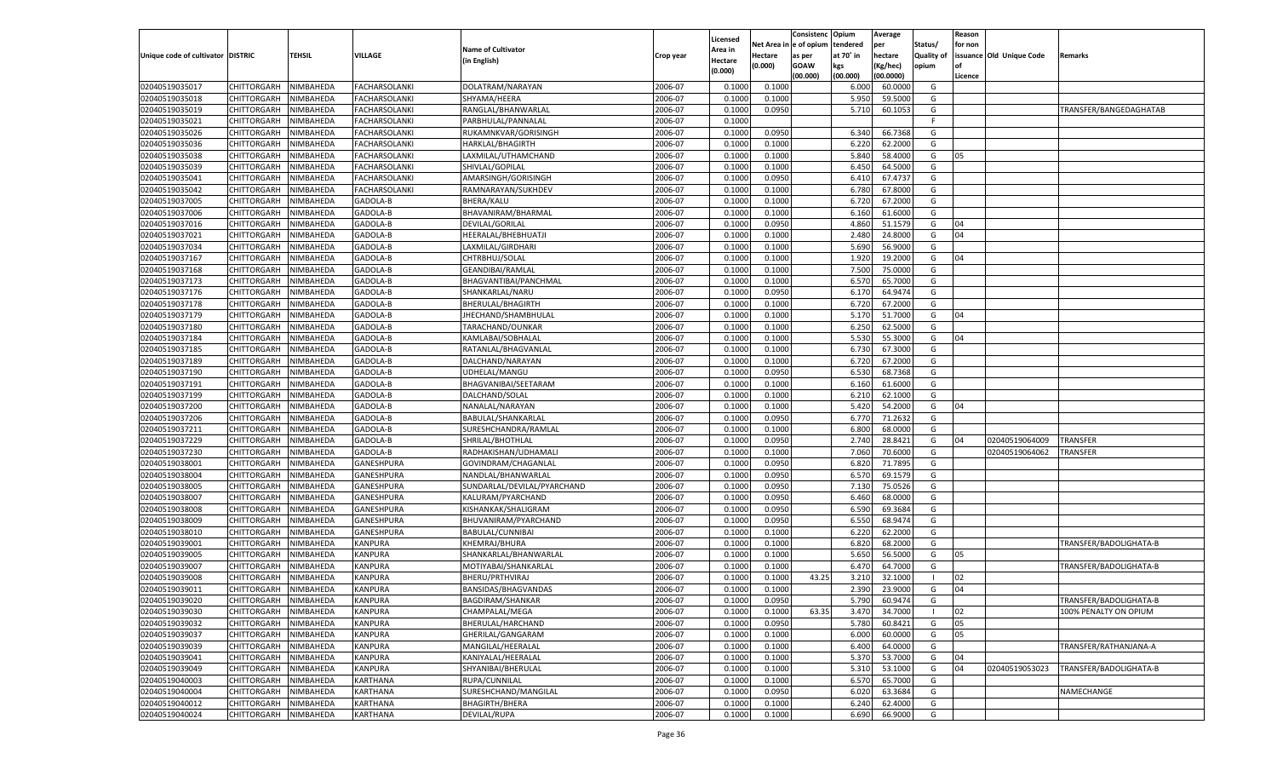|                                   |                       |                        |                           |                             |           |                    |            | Consistenc    | Opium     | Average   |                   | Reason  |                          |                        |
|-----------------------------------|-----------------------|------------------------|---------------------------|-----------------------------|-----------|--------------------|------------|---------------|-----------|-----------|-------------------|---------|--------------------------|------------------------|
|                                   |                       |                        |                           | <b>Name of Cultivator</b>   |           | Licensed           | Net Area i | n  e of opium | tendered  | per       | Status/           | for non |                          |                        |
| Unique code of cultivator DISTRIC |                       | TEHSIL                 | VILLAGE                   | (in English)                | Crop year | Area in<br>Hectare | Hectare    | as per        | at 70° in | hectare   | <b>Quality of</b> |         | issuance Old Unique Code | Remarks                |
|                                   |                       |                        |                           |                             |           | (0.000)            | (0.000)    | <b>GOAW</b>   | kgs       | (Kg/hec)  | opium             |         |                          |                        |
|                                   |                       |                        |                           |                             |           |                    |            | (00.000)      | (00.000)  | (00.0000) |                   | Licence |                          |                        |
| 02040519035017                    | CHITTORGARH           | NIMBAHEDA              | <b>FACHARSOLANKI</b>      | DOLATRAM/NARAYAN            | 2006-07   | 0.100              | 0.1000     |               | 6.000     | 60.0000   | G                 |         |                          |                        |
| 02040519035018                    | CHITTORGARH           | NIMBAHEDA              | <b>FACHARSOLANKI</b>      | SHYAMA/HEERA                | 2006-07   | 0.100              | 0.1000     |               | 5.950     | 59.5000   | G                 |         |                          |                        |
| 02040519035019                    | CHITTORGARH           | NIMBAHEDA              | <b>FACHARSOLANKI</b>      | RANGLAL/BHANWARLAL          | 2006-07   | 0.1000             | 0.0950     |               | 5.710     | 60.1053   | G                 |         |                          | TRANSFER/BANGEDAGHATAB |
| 02040519035021                    | CHITTORGARH           | NIMBAHEDA              | <b>FACHARSOLANKI</b>      | PARBHULAL/PANNALAL          | 2006-07   | 0.1000             |            |               |           |           | E                 |         |                          |                        |
| 02040519035026                    | CHITTORGARH           | NIMBAHEDA              | <b>FACHARSOLANKI</b>      | RUKAMNKVAR/GORISINGH        | 2006-07   | 0.1000             | 0.0950     |               | 6.340     | 66.7368   | G                 |         |                          |                        |
| 02040519035036                    | CHITTORGARH           | NIMBAHEDA              | <b>FACHARSOLANKI</b>      | HARKLAL/BHAGIRTH            | 2006-07   | 0.1000             | 0.1000     |               | 6.220     | 62.2000   | G                 |         |                          |                        |
| 02040519035038                    | CHITTORGARH           | NIMBAHEDA              | <b>FACHARSOLANKI</b>      | LAXMILAL/UTHAMCHAND         | 2006-07   | 0.1000             | 0.1000     |               | 5.840     | 58.4000   | G                 | 05      |                          |                        |
| 02040519035039                    | CHITTORGARH           | NIMBAHEDA              | <b>FACHARSOLANKI</b>      | SHIVLAL/GOPILAL             | 2006-07   | 0.1000             | 0.1000     |               | 6.450     | 64.5000   | G                 |         |                          |                        |
| 02040519035041                    | CHITTORGARH           | NIMBAHEDA              | <b>FACHARSOLANKI</b>      | AMARSINGH/GORISINGH         | 2006-07   | 0.1000             | 0.0950     |               | 6.41      | 67.4737   | G                 |         |                          |                        |
| 02040519035042                    | CHITTORGARH           | NIMBAHEDA              | FACHARSOLANKI             | RAMNARAYAN/SUKHDEV          | 2006-07   | 0.1000             | 0.1000     |               | 6.780     | 67.8000   | G                 |         |                          |                        |
| 02040519037005                    | CHITTORGARH           | NIMBAHEDA              | GADOLA-B                  | <b>BHERA/KALU</b>           | 2006-07   | 0.1000             | 0.1000     |               | 6.720     | 67.2000   | G                 |         |                          |                        |
| 02040519037006                    | CHITTORGARH           | NIMBAHEDA              | GADOLA-B                  | BHAVANIRAM/BHARMAL          | 2006-07   | 0.1000             | 0.1000     |               | 6.160     | 61.6000   | G                 |         |                          |                        |
| 02040519037016                    | CHITTORGARH           | NIMBAHEDA              | GADOLA-B                  | DEVILAL/GORILAL             | 2006-07   | 0.1000             | 0.0950     |               | 4.860     | 51.1579   | G                 | 04      |                          |                        |
| 02040519037021                    | CHITTORGARH           | NIMBAHEDA              | GADOLA-B                  | HEERALAL/BHEBHUATJI         | 2006-07   | 0.1000             | 0.1000     |               | 2.480     | 24.8000   | G                 | 04      |                          |                        |
| 02040519037034                    | CHITTORGARH           | NIMBAHEDA              | GADOLA-B                  | LAXMILAL/GIRDHARI           | 2006-07   | 0.1000             | 0.1000     |               | 5.690     | 56.9000   | G                 |         |                          |                        |
| 02040519037167                    | CHITTORGARH           | NIMBAHEDA              | GADOLA-B                  | CHTRBHUJ/SOLAL              | 2006-07   | 0.1000             | 0.1000     |               | 1.920     | 19.2000   | G                 | 04      |                          |                        |
| 02040519037168                    | CHITTORGARH           | NIMBAHEDA              | GADOLA-B                  | <b>GEANDIBAI/RAMLAL</b>     | 2006-07   | 0.1000             | 0.1000     |               | 7.500     | 75.0000   | G                 |         |                          |                        |
| 02040519037173                    | CHITTORGARH           | NIMBAHEDA              | GADOLA-B                  | BHAGVANTIBAI/PANCHMAL       | 2006-07   | 0.1000             | 0.1000     |               | 6.570     | 65.7000   | G                 |         |                          |                        |
| 02040519037176                    | CHITTORGARH           | NIMBAHEDA              | GADOLA-B                  | SHANKARLAL/NARU             | 2006-07   | 0.1000             | 0.0950     |               | 6.170     | 64.9474   | G                 |         |                          |                        |
| 02040519037178                    | CHITTORGARH           | NIMBAHEDA              | GADOLA-B                  | BHERULAL/BHAGIRTH           | 2006-07   | 0.1000             | 0.1000     |               | 6.720     | 67.2000   | G                 |         |                          |                        |
| 02040519037179                    | CHITTORGARH           | NIMBAHEDA              | GADOLA-B                  | JHECHAND/SHAMBHULAL         | 2006-07   | 0.1000             | 0.1000     |               | 5.170     | 51.7000   | G                 | 04      |                          |                        |
| 02040519037180                    | CHITTORGARH           | NIMBAHEDA              | GADOLA-B                  | TARACHAND/OUNKAR            | 2006-07   | 0.1000             | 0.1000     |               | 6.250     | 62.5000   | G                 |         |                          |                        |
| 02040519037184                    | CHITTORGARH           | NIMBAHEDA              | GADOLA-B                  | KAMLABAI/SOBHALAL           | 2006-07   | 0.1000             | 0.1000     |               | 5.530     | 55.3000   | G                 | 04      |                          |                        |
| 02040519037185                    | CHITTORGARH           | NIMBAHEDA              | GADOLA-B                  | RATANLAL/BHAGVANLAL         | 2006-07   | 0.1000             | 0.1000     |               | 6.730     | 67.3000   | G                 |         |                          |                        |
| 02040519037189                    | CHITTORGARH           | NIMBAHEDA              | GADOLA-B                  | DALCHAND/NARAYAN            | 2006-07   | 0.1000             | 0.1000     |               | 6.720     | 67.2000   | G                 |         |                          |                        |
| 02040519037190                    | CHITTORGARH           | NIMBAHEDA              | GADOLA-B                  | UDHELAL/MANGU               | 2006-07   | 0.1000             | 0.0950     |               | 6.530     | 68.7368   | G                 |         |                          |                        |
| 02040519037191                    | CHITTORGARH           | NIMBAHEDA              | GADOLA-B                  | BHAGVANIBAI/SEETARAM        | 2006-07   | 0.1000             | 0.1000     |               | 6.160     | 61.6000   | G                 |         |                          |                        |
| 02040519037199                    | CHITTORGARH           | NIMBAHEDA              | GADOLA-B                  | DALCHAND/SOLAL              | 2006-07   | 0.1000             | 0.1000     |               | 6.210     | 62.1000   | G                 |         |                          |                        |
| 02040519037200                    | CHITTORGARH           | NIMBAHEDA              | GADOLA-B                  | NANALAL/NARAYAN             | 2006-07   | 0.1000             | 0.1000     |               | 5.420     | 54.2000   | G                 | 04      |                          |                        |
| 02040519037206                    | CHITTORGARH           | NIMBAHEDA              | GADOLA-B                  | BABULAL/SHANKARLAL          | 2006-07   | 0.1000             | 0.0950     |               | 6.770     | 71.2632   | G                 |         |                          |                        |
| 02040519037211                    | CHITTORGARH           | NIMBAHEDA              | GADOLA-B                  | SURESHCHANDRA/RAMLAL        | 2006-07   | 0.1000             | 0.1000     |               | 6.800     | 68.0000   | G                 |         |                          |                        |
| 02040519037229                    | CHITTORGARH           | NIMBAHEDA              | GADOLA-B                  | SHRILAL/BHOTHLAL            | 2006-07   | 0.1000             | 0.0950     |               | 2.740     | 28.8421   | G                 | 04      | 02040519064009           | TRANSFER               |
| 02040519037230                    | CHITTORGARH           | NIMBAHEDA              | GADOLA-B                  | RADHAKISHAN/UDHAMALI        | 2006-07   | 0.1000             | 0.1000     |               | 7.060     | 70.6000   | G                 |         | 02040519064062           | TRANSFER               |
| 02040519038001                    | CHITTORGARH           | NIMBAHEDA              | GANESHPURA                | GOVINDRAM/CHAGANLAL         | 2006-07   | 0.1000             | 0.0950     |               | 6.820     | 71.7895   | G                 |         |                          |                        |
| 02040519038004                    | CHITTORGARH           | NIMBAHEDA              | GANESHPURA                | NANDLAL/BHANWARLAL          | 2006-07   | 0.1000             | 0.0950     |               | 6.570     | 69.1579   | G                 |         |                          |                        |
| 02040519038005                    | CHITTORGARH           | NIMBAHEDA              | GANESHPURA                | SUNDARLAL/DEVILAL/PYARCHAND | 2006-07   | 0.1000             | 0.0950     |               | 7.13(     | 75.0526   | G                 |         |                          |                        |
| 02040519038007                    | CHITTORGARH           | NIMBAHEDA              | GANESHPURA                | KALURAM/PYARCHAND           | 2006-07   | 0.1000             | 0.0950     |               | 6.460     | 68.0000   | G                 |         |                          |                        |
| 02040519038008                    | CHITTORGARH           | NIMBAHEDA              | GANESHPURA                | KISHANKAK/SHALIGRAM         | 2006-07   | 0.1000             | 0.0950     |               | 6.590     | 69.3684   | G                 |         |                          |                        |
| 02040519038009                    | CHITTORGARH           | NIMBAHEDA              | GANESHPURA                | BHUVANIRAM/PYARCHAND        | 2006-07   | 0.1000             | 0.0950     |               | 6.550     | 68.9474   | G                 |         |                          |                        |
| 02040519038010                    | CHITTORGARH           | NIMBAHEDA              | GANESHPURA                | <b>BABULAL/CUNNIBAI</b>     | 2006-07   | 0.1000             | 0.1000     |               | 6.220     | 62.2000   | G                 |         |                          |                        |
| 02040519039001                    | CHITTORGARH           | NIMBAHEDA              | <b>KANPURA</b>            | KHEMRAJ/BHURA               | 2006-07   | 0.1000             | 0.1000     |               | 6.820     | 68.2000   | G                 |         |                          | TRANSFER/BADOLIGHATA-B |
| 02040519039005                    | CHITTORGARH           | NIMBAHEDA              | KANPURA                   | SHANKARLAL/BHANWARLAL       | 2006-07   | 0.1000             | 0.1000     |               | 5.650     | 56.5000   | G                 | 05      |                          |                        |
| 02040519039007                    | CHITTORGARH           | NIMBAHEDA              | <b>KANPURA</b>            | MOTIYABAI/SHANKARLAL        | 2006-07   | 0.1000             | 0.1000     |               | 6.470     | 64.7000   | G                 |         |                          | TRANSFER/BADOLIGHATA-B |
| 02040519039008                    |                       |                        |                           |                             | 2006-07   | 0.1000             |            | 43.25         | 3.210     | 32.1000   | - 1               | 02      |                          |                        |
|                                   | CHITTORGARH           | NIMBAHEDA<br>NIMBAHEDA | KANPURA<br><b>KANPURA</b> | BHERU/PRTHVIRAJ             | 2006-07   |                    | 0.1000     |               | 2.390     | 23.9000   |                   | 04      |                          |                        |
| 02040519039011                    | CHITTORGARH           |                        |                           | BANSIDAS/BHAGVANDAS         |           | 0.1000             | 0.1000     |               |           |           | G                 |         |                          |                        |
| 02040519039020                    | CHITTORGARH NIMBAHEDA |                        | <b>KANPURA</b>            | BAGDIRAM/SHANKAR            | 2006-07   | 0.1000             | 0.0950     |               | 5.790     | 60.9474   | G                 |         |                          | TRANSFER/BADOLIGHATA-B |
| 02040519039030                    | <b>CHITTORGARH</b>    | NIMBAHEDA              | <b>KANPURA</b>            | CHAMPALAL/MEGA              | 2006-07   | 0.1000             | 0.1000     | 63.35         | 3.470     | 34.7000   | - 1               | 02      |                          | 100% PENALTY ON OPIUM  |
| 02040519039032                    | CHITTORGARH           | NIMBAHEDA              | KANPURA                   | BHERULAL/HARCHAND           | 2006-07   | 0.1000             | 0.0950     |               | 5.780     | 60.8421   | G                 | 05      |                          |                        |
| 02040519039037                    | CHITTORGARH           | NIMBAHEDA              | KANPURA                   | GHERILAL/GANGARAM           | 2006-07   | 0.1000             | 0.1000     |               | 6.000     | 60.0000   | G                 | 05      |                          |                        |
| 02040519039039                    | <b>CHITTORGARH</b>    | NIMBAHEDA              | KANPURA                   | MANGILAL/HEERALAL           | 2006-07   | 0.1000             | 0.1000     |               | 6.400     | 64.0000   | G                 |         |                          | TRANSFER/RATHANJANA-A  |
| 02040519039041                    | CHITTORGARH           | NIMBAHEDA              | KANPURA                   | KANIYALAL/HEERALAL          | 2006-07   | 0.1000             | 0.1000     |               | 5.370     | 53.7000   | G                 | 04      |                          |                        |
| 02040519039049                    | CHITTORGARH           | NIMBAHEDA              | KANPURA                   | SHYANIBAI/BHERULAL          | 2006-07   | 0.1000             | 0.1000     |               | 5.310     | 53.1000   | G                 | 04      | 02040519053023           | TRANSFER/BADOLIGHATA-B |
| 02040519040003                    | CHITTORGARH           | NIMBAHEDA              | KARTHANA                  | RUPA/CUNNILAL               | 2006-07   | 0.1000             | 0.1000     |               | 6.570     | 65.7000   | G                 |         |                          |                        |
| 02040519040004                    | CHITTORGARH           | NIMBAHEDA              | KARTHANA                  | SURESHCHAND/MANGILAL        | 2006-07   | 0.1000             | 0.0950     |               | 6.020     | 63.3684   | G                 |         |                          | NAMECHANGE             |
| 02040519040012                    | CHITTORGARH           | NIMBAHEDA              | KARTHANA                  | <b>BHAGIRTH/BHERA</b>       | 2006-07   | 0.1000             | 0.1000     |               | 6.240     | 62.4000   | G                 |         |                          |                        |
| 02040519040024                    | CHITTORGARH           | NIMBAHEDA              | <b>KARTHANA</b>           | <b>DEVILAL/RUPA</b>         | 2006-07   | 0.1000             | 0.1000     |               | 6.690     | 66.9000   | G                 |         |                          |                        |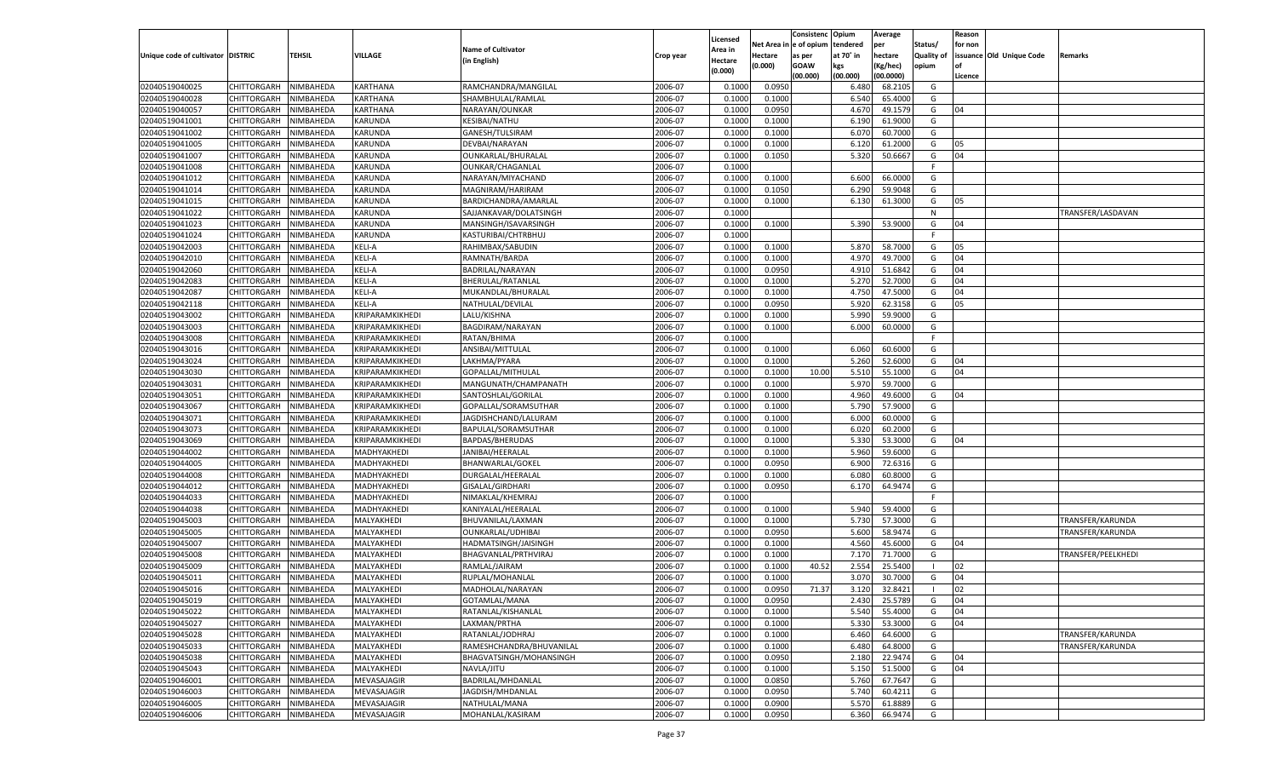|                                   |                       |           |                 |                           |           |                     |            | Consistenc  | Opium     | Average   |                   | Reason  |                          |                   |
|-----------------------------------|-----------------------|-----------|-----------------|---------------------------|-----------|---------------------|------------|-------------|-----------|-----------|-------------------|---------|--------------------------|-------------------|
|                                   |                       |           |                 | <b>Name of Cultivator</b> |           | Licensed<br>Area in | Net Area i | le of opium | tendered  | per       | Status/           | for non |                          |                   |
| Unique code of cultivator DISTRIC |                       | TEHSIL    | <b>VILLAGE</b>  | (in English)              | Crop year | Hectare             | Hectare    | as per      | at 70° in | hectare   | <b>Quality of</b> |         | issuance Old Unique Code | Remarks           |
|                                   |                       |           |                 |                           |           | (0.000)             | (0.000)    | <b>GOAW</b> | kgs       | (Kg/hec)  | opium             |         |                          |                   |
|                                   |                       |           |                 |                           |           |                     |            | (00.000)    | (00.000)  | (00.0000) |                   | Licence |                          |                   |
| 02040519040025                    | CHITTORGARH           | NIMBAHEDA | KARTHANA        | RAMCHANDRA/MANGILAL       | 2006-07   | 0.100               | 0.0950     |             | 6.480     | 68.2105   | G                 |         |                          |                   |
| 02040519040028                    | CHITTORGARH           | NIMBAHEDA | KARTHANA        | SHAMBHULAL/RAMLAL         | 2006-07   | 0.100               | 0.1000     |             | 6.540     | 65.4000   | G                 |         |                          |                   |
| 02040519040057                    | CHITTORGARH           | NIMBAHEDA | KARTHANA        | NARAYAN/OUNKAR            | 2006-07   | 0.1000              | 0.0950     |             | 4.670     | 49.1579   | G                 | 04      |                          |                   |
| 02040519041001                    | CHITTORGARH           | NIMBAHEDA | KARUNDA         | KESIBAI/NATHU             | 2006-07   | 0.1000              | 0.1000     |             | 6.190     | 61.9000   | G                 |         |                          |                   |
| 02040519041002                    | CHITTORGARH           | NIMBAHEDA | KARUNDA         | GANESH/TULSIRAM           | 2006-07   | 0.1000              | 0.1000     |             | 6.070     | 60.7000   | G                 |         |                          |                   |
| 02040519041005                    | CHITTORGARH           | NIMBAHEDA | KARUNDA         | DEVBAI/NARAYAN            | 2006-07   | 0.1000              | 0.1000     |             | 6.120     | 61.2000   | G                 | 05      |                          |                   |
| 02040519041007                    | CHITTORGARH           | NIMBAHEDA | KARUNDA         | OUNKARLAL/BHURALAL        | 2006-07   | 0.1000              | 0.1050     |             | 5.320     | 50.6667   | G                 | 04      |                          |                   |
| 02040519041008                    | CHITTORGARH           | NIMBAHEDA | KARUNDA         | OUNKAR/CHAGANLAL          | 2006-07   | 0.1000              |            |             |           |           | E                 |         |                          |                   |
| 02040519041012                    | CHITTORGARH           | NIMBAHEDA | KARUNDA         | NARAYAN/MIYACHAND         | 2006-07   | 0.1000              | 0.1000     |             | 6.600     | 66.0000   | G                 |         |                          |                   |
| 02040519041014                    | CHITTORGARH           | NIMBAHEDA | KARUNDA         | MAGNIRAM/HARIRAM          | 2006-07   | 0.1000              | 0.1050     |             | 6.290     | 59.9048   | G                 |         |                          |                   |
| 02040519041015                    | CHITTORGARH           | NIMBAHEDA | KARUNDA         | BARDICHANDRA/AMARLAI      | 2006-07   | 0.1000              | 0.1000     |             | 6.130     | 61.3000   | G                 | 05      |                          |                   |
| 02040519041022                    | CHITTORGARH           | NIMBAHEDA | KARUNDA         | SAJJANKAVAR/DOLATSINGH    | 2006-07   | 0.1000              |            |             |           |           | N                 |         |                          | TRANSFER/LASDAVAN |
| 02040519041023                    | CHITTORGARH           | NIMBAHEDA | KARUNDA         | MANSINGH/ISAVARSINGH      | 2006-07   | 0.1000              | 0.1000     |             | 5.390     | 53.9000   | G                 | 04      |                          |                   |
| 02040519041024                    | CHITTORGARH           | NIMBAHEDA | KARUNDA         | KASTURIBAI/CHTRBHUJ       | 2006-07   | 0.1000              |            |             |           |           | E                 |         |                          |                   |
| 02040519042003                    | CHITTORGARH           | NIMBAHEDA | KELI-A          | RAHIMBAX/SABUDIN          | 2006-07   | 0.1000              | 0.1000     |             | 5.870     | 58.7000   | G                 | 05      |                          |                   |
| 02040519042010                    | CHITTORGARH           | NIMBAHEDA | KELI-A          | RAMNATH/BARDA             | 2006-07   | 0.1000              | 0.1000     |             | 4.970     | 49.7000   | G                 | 04      |                          |                   |
| 02040519042060                    | CHITTORGARH           | NIMBAHEDA | KELI-A          | BADRILAL/NARAYAN          | 2006-07   | 0.1000              | 0.0950     |             | 4.910     | 51.6842   | G                 | 04      |                          |                   |
| 02040519042083                    | CHITTORGARH           | NIMBAHEDA | KELI-A          | BHERULAL/RATANLAL         | 2006-07   | 0.1000              | 0.1000     |             | 5.270     | 52.7000   | G                 | 04      |                          |                   |
| 02040519042087                    | CHITTORGARH           | NIMBAHEDA | KELI-A          | MUKANDLAL/BHURALAL        | 2006-07   | 0.1000              | 0.1000     |             | 4.750     | 47.5000   | G                 | 04      |                          |                   |
| 02040519042118                    | CHITTORGARH           | NIMBAHEDA | KELI-A          | NATHULAL/DEVILAL          | 2006-07   | 0.1000              | 0.0950     |             | 5.920     | 62.3158   | G                 | 05      |                          |                   |
| 02040519043002                    | CHITTORGARH           | NIMBAHEDA | KRIPARAMKIKHEDI | LALU/KISHNA               | 2006-07   | 0.1000              | 0.1000     |             | 5.990     | 59.9000   | G                 |         |                          |                   |
| 02040519043003                    | CHITTORGARH           | NIMBAHEDA | KRIPARAMKIKHEDI | BAGDIRAM/NARAYAN          | 2006-07   | 0.1000              | 0.1000     |             | 6.000     | 60.0000   | G                 |         |                          |                   |
| 02040519043008                    | CHITTORGARH           | NIMBAHEDA | KRIPARAMKIKHEDI | RATAN/BHIMA               | 2006-07   | 0.1000              |            |             |           |           | F.                |         |                          |                   |
| 02040519043016                    | CHITTORGARH           | NIMBAHEDA | KRIPARAMKIKHEDI | ANSIBAI/MITTULAL          | 2006-07   | 0.1000              | 0.1000     |             | 6.060     | 60.6000   | G                 |         |                          |                   |
| 02040519043024                    | CHITTORGARH           | NIMBAHEDA | KRIPARAMKIKHEDI | LAKHMA/PYARA              | 2006-07   | 0.1000              | 0.1000     |             | 5.260     | 52.6000   | G                 | 04      |                          |                   |
| 02040519043030                    | CHITTORGARH           | NIMBAHEDA | KRIPARAMKIKHEDI | GOPALLAL/MITHULAL         | 2006-07   | 0.1000              | 0.1000     | 10.00       | 5.510     | 55.1000   | G                 | 04      |                          |                   |
| 02040519043031                    | CHITTORGARH           | NIMBAHEDA | KRIPARAMKIKHEDI | MANGUNATH/CHAMPANATH      | 2006-07   | 0.1000              | 0.1000     |             | 5.970     | 59.7000   | G                 |         |                          |                   |
| 02040519043051                    | CHITTORGARH           | NIMBAHEDA | KRIPARAMKIKHEDI | SANTOSHLAL/GORILAL        | 2006-07   | 0.1000              | 0.1000     |             | 4.960     | 49.6000   | G                 | 04      |                          |                   |
| 02040519043067                    | CHITTORGARH           | NIMBAHEDA | KRIPARAMKIKHEDI | GOPALLAL/SORAMSUTHAR      | 2006-07   | 0.1000              | 0.1000     |             | 5.790     | 57.9000   | G                 |         |                          |                   |
| 02040519043071                    | CHITTORGARH           | NIMBAHEDA | KRIPARAMKIKHEDI | JAGDISHCHAND/LALURAM      | 2006-07   | 0.1000              | 0.1000     |             | 6.000     | 60.0000   | G                 |         |                          |                   |
| 02040519043073                    | CHITTORGARH           | NIMBAHEDA | KRIPARAMKIKHEDI | BAPULAL/SORAMSUTHAR       | 2006-07   | 0.1000              | 0.1000     |             | 6.020     | 60.2000   | G                 |         |                          |                   |
| 02040519043069                    | CHITTORGARH           | NIMBAHEDA | KRIPARAMKIKHEDI | BAPDAS/BHERUDAS           | 2006-07   | 0.1000              | 0.1000     |             | 5.330     | 53.3000   | G                 | 04      |                          |                   |
| 02040519044002                    | CHITTORGARH           | NIMBAHEDA | MADHYAKHEDI     | JANIBAI/HEERALAL          | 2006-07   | 0.1000              | 0.1000     |             | 5.960     | 59.6000   | G                 |         |                          |                   |
| 02040519044005                    | CHITTORGARH           | NIMBAHEDA | MADHYAKHEDI     | BHANWARLAL/GOKEI          | 2006-07   | 0.1000              | 0.0950     |             | 6.900     | 72.6316   | G                 |         |                          |                   |
| 02040519044008                    | CHITTORGARH           | NIMBAHEDA | MADHYAKHEDI     | DURGALAL/HEERALAI         | 2006-07   | 0.1000              | 0.1000     |             | 6.080     | 60.8000   | G                 |         |                          |                   |
| 02040519044012                    | CHITTORGARH           | NIMBAHEDA | MADHYAKHEDI     | GISALAL/GIRDHARI          | 2006-07   | 0.1000              | 0.0950     |             | 6.170     | 64.9474   | G                 |         |                          |                   |
| 02040519044033                    | CHITTORGARH           | NIMBAHEDA | MADHYAKHEDI     | NIMAKLAL/KHEMRAJ          | 2006-07   | 0.1000              |            |             |           |           | F.                |         |                          |                   |
| 02040519044038                    | CHITTORGARH           | NIMBAHEDA | MADHYAKHEDI     | KANIYALAL/HEERALAL        | 2006-07   | 0.1000              | 0.1000     |             | 5.940     | 59.4000   | G                 |         |                          |                   |
| 02040519045003                    | CHITTORGARH           | NIMBAHEDA | MALYAKHEDI      | BHUVANILAL/LAXMAN         | 2006-07   | 0.1000              | 0.1000     |             | 5.730     | 57.3000   | G                 |         |                          | TRANSFER/KARUNDA  |
| 02040519045005                    | CHITTORGARH           | NIMBAHEDA | MALYAKHEDI      | OUNKARLAL/UDHIBAI         | 2006-07   | 0.1000              | 0.0950     |             | 5.600     | 58.9474   | G                 |         |                          | TRANSFER/KARUNDA  |
| 02040519045007                    | CHITTORGARH           | NIMBAHEDA | MALYAKHEDI      | HADMATSINGH/JAISINGH      | 2006-07   | 0.1000              | 0.1000     |             | 4.560     | 45.6000   | G                 | 04      |                          |                   |
| 02040519045008                    | CHITTORGARH           | NIMBAHEDA | MALYAKHEDI      | BHAGVANLAL/PRTHVIRAJ      | 2006-07   | 0.1000              | 0.1000     |             | 7.170     | 71.7000   | G                 |         |                          | TRANSFER/PEELKHED |
| 02040519045009                    | CHITTORGARH           | NIMBAHEDA | MALYAKHEDI      | RAMLAL/JAIRAM             | 2006-07   | 0.1000              | 0.1000     | 40.52       | 2.554     | 25.5400   | - 1               | 02      |                          |                   |
| 02040519045011                    | CHITTORGARH           | NIMBAHEDA | MALYAKHEDI      | RUPLAL/MOHANLAL           | 2006-07   | 0.1000              | 0.1000     |             | 3.070     | 30.7000   | G                 | 04      |                          |                   |
| 02040519045016                    | CHITTORGARH           | NIMBAHEDA | MALYAKHEDI      | MADHOLAL/NARAYAN          | 2006-07   | 0.1000              | 0.0950     | 71.37       | 3.120     | 32.8421   |                   | 02      |                          |                   |
| 02040519045019                    | CHITTORGARH NIMBAHEDA |           | MALYAKHEDI      | GOTAMLAL/MANA             | 2006-07   | 0.1000              | 0.0950     |             | 2.430     | 25.5789   | G                 | 04      |                          |                   |
| 02040519045022                    | <b>CHITTORGARH</b>    | NIMBAHEDA | MALYAKHEDI      | RATANLAL/KISHANLAL        | 2006-07   | 0.1000              | 0.1000     |             | 5.540     | 55.4000   | G                 | 04      |                          |                   |
| 02040519045027                    | CHITTORGARH           | NIMBAHEDA | MALYAKHEDI      | LAXMAN/PRTHA              | 2006-07   | 0.1000              | 0.1000     |             | 5.330     | 53.3000   | G                 | 04      |                          |                   |
| 02040519045028                    | CHITTORGARH           | NIMBAHEDA | MALYAKHEDI      | RATANLAL/JODHRAJ          | 2006-07   | 0.1000              | 0.1000     |             | 6.460     | 64.6000   | G                 |         |                          | TRANSFER/KARUNDA  |
| 02040519045033                    | CHITTORGARH           | NIMBAHEDA | MALYAKHEDI      | RAMESHCHANDRA/BHUVANILAL  | 2006-07   | 0.1000              | 0.1000     |             | 6.480     | 64.8000   | G                 |         |                          | TRANSFER/KARUNDA  |
| 02040519045038                    | CHITTORGARH           | NIMBAHEDA | MALYAKHEDI      | BHAGVATSINGH/MOHANSINGH   | 2006-07   | 0.1000              | 0.0950     |             | 2.180     | 22.9474   | G                 | 04      |                          |                   |
| 02040519045043                    | CHITTORGARH           | NIMBAHEDA | MALYAKHEDI      | NAVLA/JITU                | 2006-07   | 0.1000              | 0.1000     |             | 5.150     | 51.5000   | G                 | 04      |                          |                   |
| 02040519046001                    | CHITTORGARH           | NIMBAHEDA | MEVASAJAGIR     | BADRILAL/MHDANLAL         | 2006-07   | 0.1000              | 0.0850     |             | 5.760     | 67.7647   | G                 |         |                          |                   |
| 02040519046003                    | CHITTORGARH           | NIMBAHEDA | MEVASAJAGIR     | JAGDISH/MHDANLAL          | 2006-07   | 0.1000              | 0.0950     |             | 5.740     | 60.4211   | G                 |         |                          |                   |
| 02040519046005                    | CHITTORGARH           | NIMBAHEDA | MEVASAJAGIR     | NATHULAL/MANA             | 2006-07   | 0.1000              | 0.0900     |             | 5.570     | 61.8889   | G                 |         |                          |                   |
| 02040519046006                    | CHITTORGARH           | NIMBAHEDA | MEVASAJAGIR     | MOHANLAL/KASIRAM          | 2006-07   | 0.1000              | 0.0950     |             | 6.360     | 66.9474   | G                 |         |                          |                   |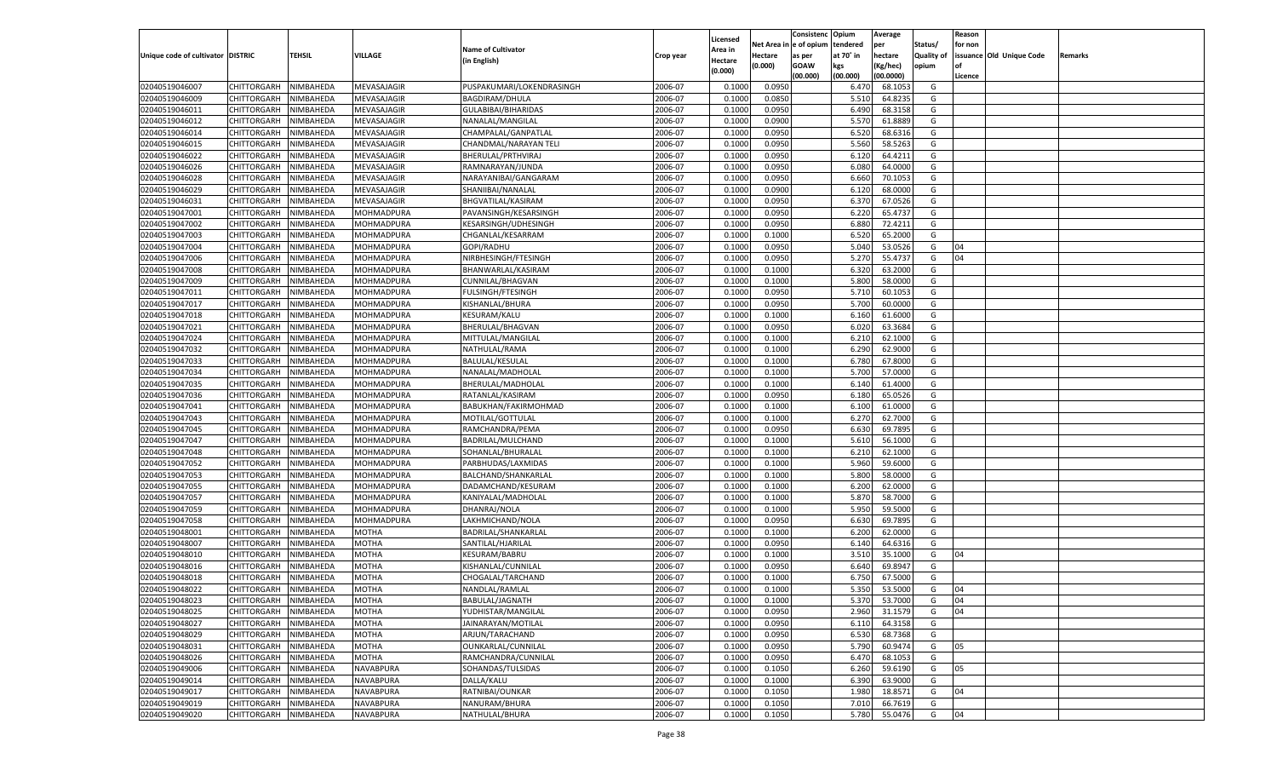|                                   |                       |               |                          |                           |           |                           |                  | Consistenc  | Opium     | Average   |                   | Reason  |                          |         |
|-----------------------------------|-----------------------|---------------|--------------------------|---------------------------|-----------|---------------------------|------------------|-------------|-----------|-----------|-------------------|---------|--------------------------|---------|
|                                   |                       |               |                          | <b>Name of Cultivator</b> |           | Licensed                  | Net Area         | le of opium | tendered  | per       | Status/           | for non |                          |         |
| Unique code of cultivator DISTRIC |                       | <b>TEHSIL</b> | VILLAGE                  | (in English)              | Crop year | <b>Area in</b><br>Hectare | Hectare          | as per      | at 70° in | hectare   | <b>Quality of</b> |         | issuance Old Unique Code | Remarks |
|                                   |                       |               |                          |                           |           | (0.000)                   | (0.000)          | <b>GOAW</b> | kgs       | (Kg/hec)  | opium             |         |                          |         |
|                                   |                       |               |                          |                           |           |                           |                  | (00.000)    | (00.000)  | (00.0000) |                   | Licence |                          |         |
| 02040519046007                    | CHITTORGARH           | NIMBAHEDA     | MEVASAJAGIR              | PUSPAKUMARI/LOKENDRASINGH | 2006-07   | 0.1000                    | 0.0950           |             | 6.470     | 68.105    | G                 |         |                          |         |
| 02040519046009                    | CHITTORGARH           | NIMBAHEDA     | MEVASAJAGIR              | BAGDIRAM/DHULA            | 2006-07   | 0.1000                    | 0.0850           |             | 5.510     | 64.8235   | G                 |         |                          |         |
| 02040519046011                    | CHITTORGARH           | NIMBAHEDA     | MEVASAJAGIR              | GULABIBAI/BIHARIDAS       | 2006-07   | 0.1000                    | 0.0950           |             | 6.490     | 68.3158   | G                 |         |                          |         |
| 02040519046012                    | CHITTORGARH           | NIMBAHEDA     | MEVASAJAGIR              | NANALAL/MANGILAL          | 2006-07   | 0.1000                    | 0.0900           |             | 5.570     | 61.8889   | G                 |         |                          |         |
| 02040519046014                    | CHITTORGARH           | NIMBAHEDA     | MEVASAJAGIR              | CHAMPALAL/GANPATLAL       | 2006-07   | 0.1000                    | 0.0950           |             | 6.520     | 68.6316   | G                 |         |                          |         |
| 02040519046015                    | CHITTORGARH           | NIMBAHEDA     | MEVASAJAGIR              | CHANDMAL/NARAYAN TELI     | 2006-07   | 0.1000                    | 0.0950           |             | 5.560     | 58.5263   | G                 |         |                          |         |
| 02040519046022                    | CHITTORGARH           | NIMBAHEDA     | MEVASAJAGIR              | BHERULAL/PRTHVIRAJ        | 2006-07   | 0.1000                    | 0.0950           |             | 6.120     | 64.4211   | G                 |         |                          |         |
| 02040519046026                    | CHITTORGARH           | NIMBAHEDA     | MEVASAJAGIR              | RAMNARAYAN/JUNDA          | 2006-07   | 0.1000                    | 0.0950           |             | 6.080     | 64.0000   | G                 |         |                          |         |
| 02040519046028                    | CHITTORGARH           | NIMBAHEDA     | MEVASAJAGIR              | NARAYANIBAI/GANGARAM      | 2006-07   | 0.1000                    | 0.0950           |             | 6.660     | 70.105    | G                 |         |                          |         |
| 02040519046029                    | CHITTORGARH           | NIMBAHEDA     | MEVASAJAGIR              | SHANIIBAI/NANALAL         | 2006-07   | 0.1000                    | 0.0900           |             | 6.120     | 68.0000   | G                 |         |                          |         |
| 02040519046031                    | CHITTORGARH           | NIMBAHEDA     | MEVASAJAGIR              | BHGVATILAL/KASIRAM        | 2006-07   | 0.1000                    | 0.0950           |             | 6.370     | 67.0526   | G                 |         |                          |         |
| 02040519047001                    | CHITTORGARH           | NIMBAHEDA     | MOHMADPURA               | PAVANSINGH/KESARSINGH     | 2006-07   | 0.1000                    | 0.0950           |             | 6.220     | 65.4737   | G                 |         |                          |         |
| 02040519047002                    | CHITTORGARH           | NIMBAHEDA     | MOHMADPURA               | KESARSINGH/UDHESINGH      | 2006-07   | 0.1000                    | 0.0950           |             | 6.880     | 72.4211   | G                 |         |                          |         |
| 02040519047003                    | CHITTORGARH           | NIMBAHEDA     | MOHMADPURA               | CHGANLAL/KESARRAM         | 2006-07   | 0.1000                    | 0.1000           |             | 6.520     | 65.2000   | G                 |         |                          |         |
| 02040519047004                    | CHITTORGARH           | NIMBAHEDA     | MOHMADPURA               | GOPI/RADHU                | 2006-07   | 0.1000                    | 0.0950           |             | 5.040     | 53.0526   | G                 | 04      |                          |         |
| 02040519047006                    | CHITTORGARH           | NIMBAHEDA     | MOHMADPURA               | NIRBHESINGH/FTESINGH      | 2006-07   | 0.1000                    | 0.0950           |             | 5.270     | 55.4737   | G                 | 04      |                          |         |
| 02040519047008                    | CHITTORGARH           | NIMBAHEDA     | MOHMADPURA               | BHANWARLAL/KASIRAM        | 2006-07   | 0.1000                    | 0.1000           |             | 6.320     | 63.2000   | G                 |         |                          |         |
| 02040519047009                    | CHITTORGARH           | NIMBAHEDA     | MOHMADPURA               | CUNNILAL/BHAGVAN          | 2006-07   | 0.1000                    | 0.1000           |             | 5.800     | 58.0000   | G                 |         |                          |         |
| 02040519047011                    | CHITTORGARH           | NIMBAHEDA     | MOHMADPURA               | FULSINGH/FTESINGH         | 2006-07   | 0.1000                    | 0.0950           |             | 5.710     | 60.1053   | G                 |         |                          |         |
| 02040519047017                    | CHITTORGARH           | NIMBAHEDA     | MOHMADPURA               | KISHANLAL/BHURA           | 2006-07   | 0.1000                    | 0.0950           |             | 5.700     | 60.0000   | G                 |         |                          |         |
| 02040519047018                    | CHITTORGARH           | NIMBAHEDA     | MOHMADPURA               | KESURAM/KALU              | 2006-07   | 0.1000                    | 0.1000           |             | 6.160     | 61.6000   | G                 |         |                          |         |
| 02040519047021                    | CHITTORGARH           | NIMBAHEDA     | MOHMADPURA               | BHERULAL/BHAGVAN          | 2006-07   | 0.1000                    | 0.0950           |             | 6.020     | 63.3684   | G                 |         |                          |         |
| 02040519047024                    | CHITTORGARH           | NIMBAHEDA     | MOHMADPURA               | MITTULAL/MANGILAL         | 2006-07   | 0.1000                    | 0.1000           |             | 6.210     | 62.1000   | G                 |         |                          |         |
| 02040519047032                    | CHITTORGARH           | NIMBAHEDA     | MOHMADPURA               | NATHULAL/RAMA             | 2006-07   | 0.1000                    | 0.1000           |             | 6.290     | 62.9000   | G                 |         |                          |         |
| 02040519047033                    | CHITTORGARH           | NIMBAHEDA     | MOHMADPURA               | <b>BALULAL/KESULAL</b>    | 2006-07   | 0.1000                    | 0.1000           |             | 6.780     | 67.8000   | G                 |         |                          |         |
| 02040519047034                    | CHITTORGARH           | NIMBAHEDA     | MOHMADPURA               | NANALAL/MADHOLAL          | 2006-07   | 0.1000                    | 0.1000           |             | 5.700     | 57.0000   | G                 |         |                          |         |
| 02040519047035                    | CHITTORGARH           | NIMBAHEDA     | MOHMADPURA               | BHERULAL/MADHOLAL         | 2006-07   | 0.1000                    | 0.1000           |             | 6.140     | 61.4000   | G                 |         |                          |         |
| 02040519047036                    | CHITTORGARH           | NIMBAHEDA     | MOHMADPURA               | RATANLAL/KASIRAM          | 2006-07   | 0.1000                    | 0.0950           |             | 6.180     | 65.0526   | G                 |         |                          |         |
| 02040519047041                    | CHITTORGARH           | NIMBAHEDA     | MOHMADPURA               | BABUKHAN/FAKIRMOHMAD      | 2006-07   | 0.1000                    | 0.1000           |             | 6.100     | 61.0000   | G                 |         |                          |         |
| 02040519047043                    | CHITTORGARH           | NIMBAHEDA     | MOHMADPURA               | MOTILAL/GOTTULAL          | 2006-07   | 0.1000                    | 0.1000           |             | 6.270     | 62.7000   | G                 |         |                          |         |
| 02040519047045                    | CHITTORGARH           | NIMBAHEDA     | MOHMADPURA               | RAMCHANDRA/PEMA           | 2006-07   | 0.1000                    | 0.0950           |             | 6.630     | 69.7895   | G                 |         |                          |         |
| 02040519047047                    | CHITTORGARH           | NIMBAHEDA     | MOHMADPURA               | BADRILAL/MULCHAND         | 2006-07   | 0.1000                    | 0.1000           |             | 5.610     | 56.1000   | G                 |         |                          |         |
| 02040519047048                    | CHITTORGARH           | NIMBAHEDA     | MOHMADPURA               | SOHANLAL/BHURALAL         | 2006-07   | 0.1000                    | 0.1000           |             | 6.210     | 62.1000   | G                 |         |                          |         |
| 02040519047052                    | CHITTORGARH           | NIMBAHEDA     | MOHMADPURA               | PARBHUDAS/LAXMIDAS        | 2006-07   | 0.1000                    | 0.1000           |             | 5.960     | 59.6000   | G                 |         |                          |         |
| 02040519047053                    |                       | NIMBAHEDA     |                          |                           | 2006-07   | 0.1000                    | 0.1000           |             | 5.800     | 58.0000   | G                 |         |                          |         |
| 02040519047055                    | CHITTORGARH           |               | MOHMADPURA               | BALCHAND/SHANKARLAI       | 2006-07   | 0.1000                    |                  |             | 6.200     | 62.0000   | G                 |         |                          |         |
|                                   | CHITTORGARH           | NIMBAHEDA     | MOHMADPURA<br>MOHMADPURA | DADAMCHAND/KESURAM        | 2006-07   | 0.1000                    | 0.1000<br>0.1000 |             |           |           |                   |         |                          |         |
| 02040519047057                    | CHITTORGARH           | NIMBAHEDA     |                          | KANIYALAL/MADHOLAL        |           |                           |                  |             | 5.870     | 58.7000   | G                 |         |                          |         |
| 02040519047059                    | CHITTORGARH           | NIMBAHEDA     | MOHMADPURA               | DHANRAJ/NOLA              | 2006-07   | 0.1000                    | 0.1000           |             | 5.950     | 59.5000   | G                 |         |                          |         |
| 02040519047058                    | CHITTORGARH           | NIMBAHEDA     | MOHMADPURA               | LAKHMICHAND/NOLA          | 2006-07   | 0.1000                    | 0.0950           |             | 6.630     | 69.7895   | G                 |         |                          |         |
| 02040519048001                    | CHITTORGARH           | NIMBAHEDA     | MOTHA                    | BADRILAL/SHANKARLAL       | 2006-07   | 0.1000                    | 0.1000           |             | 6.200     | 62.0000   | G                 |         |                          |         |
| 02040519048007                    | CHITTORGARH           | NIMBAHEDA     | MOTHA                    | SANTILAL/HJARILAI         | 2006-07   | 0.1000                    | 0.0950           |             | 6.140     | 64.6316   | G                 |         |                          |         |
| 02040519048010                    | CHITTORGARH           | NIMBAHEDA     | MOTHA                    | KESURAM/BABRU             | 2006-07   | 0.1000                    | 0.1000           |             | 3.510     | 35.1000   | G                 | 04      |                          |         |
| 02040519048016                    | CHITTORGARH           | NIMBAHEDA     | MOTHA                    | KISHANLAL/CUNNILAL        | 2006-07   | 0.1000                    | 0.0950           |             | 6.640     | 69.8947   | G                 |         |                          |         |
| 02040519048018                    | CHITTORGARH           | NIMBAHEDA     | MOTHA                    | CHOGALAL/TARCHAND         | 2006-07   | 0.1000                    | 0.1000           |             | 6.750     | 67.5000   | G                 |         |                          |         |
| 02040519048022                    | CHITTORGARH           | NIMBAHEDA     | MOTHA                    | NANDLAL/RAMLAL            | 2006-07   | 0.1000                    | 0.1000           |             | 5.350     | 53.5000   | G                 | 04      |                          |         |
| 02040519048023                    | CHITTORGARH NIMBAHEDA |               | <b>MOTHA</b>             | BABULAL/JAGNATH           | 2006-07   | 0.1000                    | 0.1000           |             | 5.370     | 53.7000   | G                 | 04      |                          |         |
| 02040519048025                    | <b>CHITTORGARH</b>    | NIMBAHEDA     | <b>MOTHA</b>             | YUDHISTAR/MANGILAL        | 2006-07   | 0.1000                    | 0.0950           |             | 2.960     | 31.1579   | G                 | 04      |                          |         |
| 02040519048027                    | CHITTORGARH           | NIMBAHEDA     | <b>MOTHA</b>             | JAINARAYAN/MOTILAL        | 2006-07   | 0.1000                    | 0.0950           |             | 6.110     | 64.3158   | G                 |         |                          |         |
| 02040519048029                    | <b>CHITTORGARH</b>    | NIMBAHEDA     | <b>MOTHA</b>             | ARJUN/TARACHAND           | 2006-07   | 0.1000                    | 0.0950           |             | 6.530     | 68.7368   | G                 |         |                          |         |
| 02040519048031                    | <b>CHITTORGARH</b>    | NIMBAHEDA     | <b>MOTHA</b>             | OUNKARLAL/CUNNILAL        | 2006-07   | 0.1000                    | 0.0950           |             | 5.790     | 60.9474   | G                 | 05      |                          |         |
| 02040519048026                    | <b>CHITTORGARH</b>    | NIMBAHEDA     | MOTHA                    | RAMCHANDRA/CUNNILAL       | 2006-07   | 0.1000                    | 0.0950           |             | 6.470     | 68.1053   | G                 |         |                          |         |
| 02040519049006                    | <b>CHITTORGARH</b>    | NIMBAHEDA     | NAVABPURA                | SOHANDAS/TULSIDAS         | 2006-07   | 0.1000                    | 0.1050           |             | 6.260     | 59.6190   | G                 | 05      |                          |         |
| 02040519049014                    | <b>CHITTORGARH</b>    | NIMBAHEDA     | NAVABPURA                | DALLA/KALU                | 2006-07   | 0.1000                    | 0.1000           |             | 6.390     | 63.9000   | G                 |         |                          |         |
| 02040519049017                    | <b>CHITTORGARH</b>    | NIMBAHEDA     | NAVABPURA                | RATNIBAI/OUNKAR           | 2006-07   | 0.1000                    | 0.1050           |             | 1.980     | 18.8571   | G                 | 04      |                          |         |
| 02040519049019                    | <b>CHITTORGARH</b>    | NIMBAHEDA     | NAVABPURA                | NANURAM/BHURA             | 2006-07   | 0.1000                    | 0.1050           |             | 7.010     | 66.7619   | G                 |         |                          |         |
| 02040519049020                    | <b>CHITTORGARH</b>    | NIMBAHEDA     | <b>NAVABPURA</b>         | NATHULAL/BHURA            | 2006-07   | 0.1000                    | 0.1050           |             | 5.780     | 55.0476   | G                 | 04      |                          |         |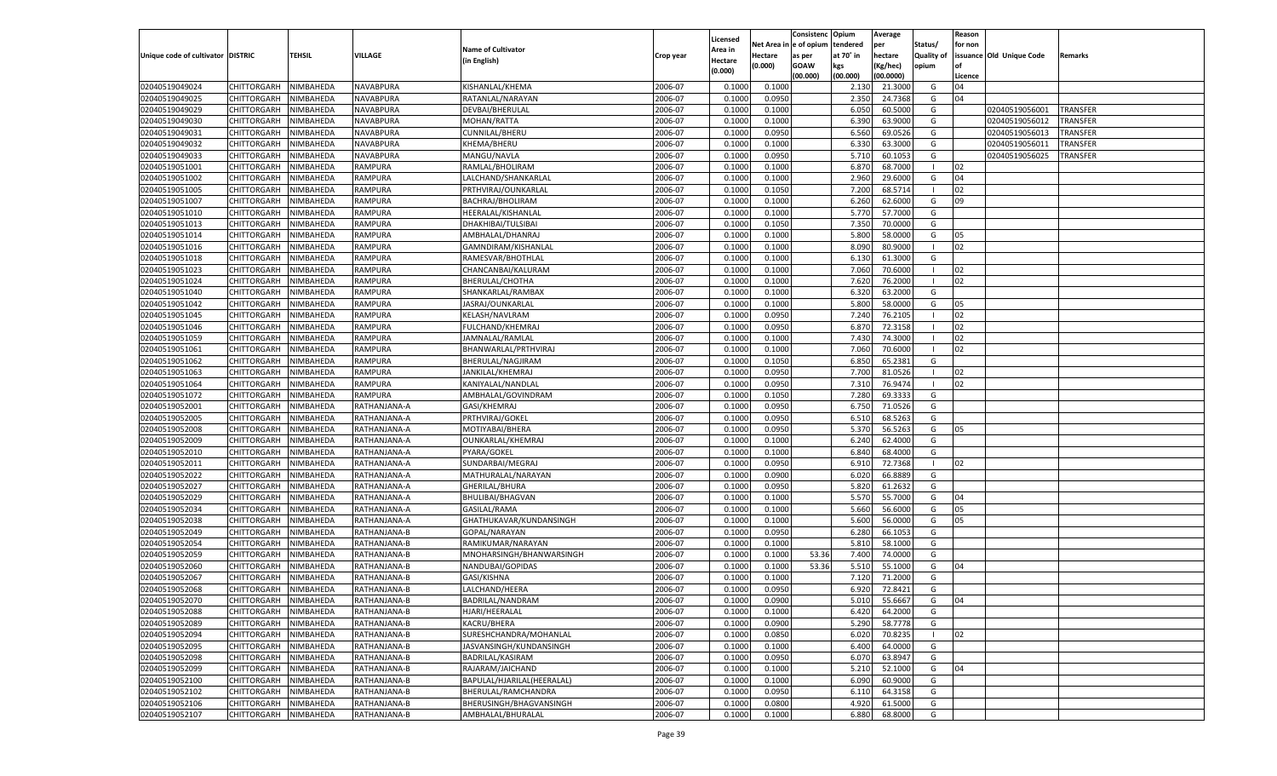|                                   |                            |                        |              |                                               |           |                           |                  | Consistenc  | Opium             | Average            |                   | Reason  |                          |          |
|-----------------------------------|----------------------------|------------------------|--------------|-----------------------------------------------|-----------|---------------------------|------------------|-------------|-------------------|--------------------|-------------------|---------|--------------------------|----------|
|                                   |                            |                        |              | <b>Name of Cultivator</b>                     |           | Licensed                  | Net Area         | e of opium  | tendered          | per                | Status/           | for non |                          |          |
| Unique code of cultivator DISTRIC |                            | <b>TEHSIL</b>          | VILLAGE      | (in English)                                  | Crop year | <b>Area in</b><br>Hectare | Hectare          | as per      | at 70° in         | hectare            | <b>Quality of</b> |         | issuance Old Unique Code | Remarks  |
|                                   |                            |                        |              |                                               |           | (0.000)                   | (0.000)          | <b>GOAW</b> | kgs               | (Kg/hec)           | opium             |         |                          |          |
|                                   |                            |                        |              |                                               |           |                           |                  | (00.000)    | (00.000)          | (00.0000)          |                   | Licence |                          |          |
| 02040519049024                    | CHITTORGARH                | NIMBAHEDA              | NAVABPURA    | KISHANLAL/KHEMA                               | 2006-07   | 0.1000                    | 0.1000           |             | 2.13 <sub>0</sub> | 21.3000            | G                 | 04      |                          |          |
| 02040519049025                    | CHITTORGARH                | NIMBAHEDA              | NAVABPURA    | RATANLAL/NARAYAN                              | 2006-07   | 0.1000                    | 0.0950           |             | 2.350             | 24.7368            | G                 | 04      |                          |          |
| 02040519049029                    | CHITTORGARH                | NIMBAHEDA              | NAVABPURA    | DEVBAI/BHERULAL                               | 2006-07   | 0.1000                    | 0.1000           |             | 6.050             | 60.5000            | G                 |         | 02040519056001           | TRANSFER |
| 02040519049030                    | CHITTORGARH                | NIMBAHEDA              | NAVABPURA    | MOHAN/RATTA                                   | 2006-07   | 0.1000                    | 0.1000           |             | 6.390             | 63.9000            | G                 |         | 02040519056012           | TRANSFER |
| 02040519049031                    | CHITTORGARH                | NIMBAHEDA              | NAVABPURA    | CUNNILAL/BHERU                                | 2006-07   | 0.1000                    | 0.0950           |             | 6.560             | 69.0526            | G                 |         | 02040519056013           | TRANSFER |
| 02040519049032                    | CHITTORGARH                | NIMBAHEDA              | NAVABPURA    | KHEMA/BHERU                                   | 2006-07   | 0.1000                    | 0.1000           |             | 6.330             | 63.3000            | G                 |         | 02040519056011           | TRANSFER |
| 02040519049033                    | CHITTORGARH                | NIMBAHEDA              | NAVABPURA    | MANGU/NAVLA                                   | 2006-07   | 0.1000                    | 0.0950           |             | 5.710             | 60.1053            | G                 |         | 02040519056025           | TRANSFER |
| 02040519051001                    | CHITTORGARH                | NIMBAHEDA              | RAMPURA      | RAMLAL/BHOLIRAM                               | 2006-07   | 0.1000                    | 0.1000           |             | 6.87              | 68.7000            | - 1               | 02      |                          |          |
| 02040519051002                    | CHITTORGARH                | NIMBAHEDA              | RAMPURA      | LALCHAND/SHANKARLAL                           | 2006-07   | 0.1000                    | 0.1000           |             | 2.960             | 29.6000            | G                 | 04      |                          |          |
| 02040519051005                    | CHITTORGARH                | NIMBAHEDA              | RAMPURA      | PRTHVIRAJ/OUNKARLAL                           | 2006-07   | 0.1000                    | 0.1050           |             | 7.200             | 68.5714            | - 1               | 02      |                          |          |
| 02040519051007                    | CHITTORGARH                | NIMBAHEDA              | RAMPURA      | BACHRAJ/BHOLIRAM                              | 2006-07   | 0.1000                    | 0.1000           |             | 6.260             | 62.6000            | G                 | 09      |                          |          |
| 02040519051010                    | CHITTORGARH                | NIMBAHEDA              | RAMPURA      | HEERALAL/KISHANLAL                            | 2006-07   | 0.1000                    | 0.1000           |             | 5.77              | 57.7000            | G                 |         |                          |          |
| 02040519051013                    | CHITTORGARH                | NIMBAHEDA              | RAMPURA      | DHAKHIBAI/TULSIBAI                            | 2006-07   | 0.1000                    | 0.1050           |             | 7.350             | 70.0000            | G                 |         |                          |          |
| 02040519051014                    | CHITTORGARH                | NIMBAHEDA              | RAMPURA      | AMBHALAL/DHANRAJ                              | 2006-07   | 0.1000                    | 0.1000           |             | 5.800             | 58.0000            | G                 | 05      |                          |          |
| 02040519051016                    | CHITTORGARH                | NIMBAHEDA              | RAMPURA      | GAMNDIRAM/KISHANLAI                           | 2006-07   | 0.1000                    | 0.1000           |             | 8.090             | 80.9000            | - 1               | 02      |                          |          |
| 02040519051018                    | CHITTORGARH                | NIMBAHEDA              | RAMPURA      | RAMESVAR/BHOTHLAL                             | 2006-07   | 0.1000                    | 0.1000           |             | 6.130             | 61.3000            | G                 |         |                          |          |
| 02040519051023                    | CHITTORGARH                | NIMBAHEDA              | RAMPURA      | CHANCANBAI/KALURAM                            | 2006-07   | 0.1000                    | 0.1000           |             | 7.060             | 70.6000            | $\blacksquare$    | 02      |                          |          |
| 02040519051024                    | CHITTORGARH                | NIMBAHEDA              | RAMPURA      | BHERULAL/CHOTHA                               | 2006-07   | 0.1000                    | 0.1000           |             | 7.620             | 76.2000            | $\blacksquare$    | 02      |                          |          |
| 02040519051040                    | CHITTORGARH                | NIMBAHEDA              | RAMPURA      | SHANKARLAL/RAMBAX                             | 2006-07   | 0.1000                    | 0.1000           |             | 6.320             | 63.2000            | G                 |         |                          |          |
| 02040519051042                    | CHITTORGARH                | NIMBAHEDA              | RAMPURA      | JASRAJ/OUNKARLAL                              | 2006-07   | 0.1000                    | 0.1000           |             | 5.800             | 58.0000            | G                 | 05      |                          |          |
| 02040519051045                    | CHITTORGARH                | NIMBAHEDA              | RAMPURA      | KELASH/NAVLRAM                                | 2006-07   | 0.1000                    | 0.0950           |             | 7.240             | 76.2105            | $\blacksquare$    | 02      |                          |          |
| 02040519051046                    | CHITTORGARH                | NIMBAHEDA              | RAMPURA      | <b>FULCHAND/KHEMRAJ</b>                       | 2006-07   | 0.1000                    | 0.0950           |             | 6.870             | 72.3158            | - 1               | 02      |                          |          |
| 02040519051059                    | CHITTORGARH                | NIMBAHEDA              | RAMPURA      | JAMNALAL/RAMLAL                               | 2006-07   | 0.1000                    | 0.1000           |             | 7.430             | 74.3000            | - 1               | 02      |                          |          |
| 02040519051061                    | CHITTORGARH                | NIMBAHEDA              | RAMPURA      | BHANWARLAL/PRTHVIRAJ                          | 2006-07   | 0.1000                    | 0.1000           |             | 7.060             | 70.6000            | - 1               | 02      |                          |          |
| 02040519051062                    | CHITTORGARH                | NIMBAHEDA              | RAMPURA      | BHERULAL/NAGJIRAM                             | 2006-07   | 0.1000                    | 0.1050           |             | 6.850             | 65.2381            | G                 |         |                          |          |
| 02040519051063                    | CHITTORGARH                | NIMBAHEDA              | RAMPURA      | JANKILAL/KHEMRAJ                              | 2006-07   | 0.1000                    | 0.0950           |             | 7.700             | 81.0526            | $\blacksquare$    | 02      |                          |          |
| 02040519051064                    | CHITTORGARH                | NIMBAHEDA              | RAMPURA      | KANIYALAL/NANDLAI                             | 2006-07   | 0.1000                    | 0.0950           |             | 7.310             | 76.9474            | - 1               | 02      |                          |          |
| 02040519051072                    | CHITTORGARH                | NIMBAHEDA              | RAMPURA      | AMBHALAL/GOVINDRAM                            | 2006-07   | 0.1000                    | 0.1050           |             | 7.280             | 69.3333            | G                 |         |                          |          |
| 02040519052001                    | CHITTORGARH                | NIMBAHEDA              | RATHANJANA-A | GASI/KHEMRAJ                                  | 2006-07   | 0.1000                    | 0.0950           |             | 6.750             | 71.0526            | G                 |         |                          |          |
| 02040519052005                    | CHITTORGARH                | NIMBAHEDA              | RATHANJANA-A | PRTHVIRAJ/GOKEL                               | 2006-07   | 0.1000                    | 0.0950           |             | 6.510             | 68.5263            | G                 |         |                          |          |
| 02040519052008                    | CHITTORGARH                | NIMBAHEDA              | RATHANJANA-A | MOTIYABAI/BHERA                               | 2006-07   | 0.1000                    | 0.0950           |             | 5.370             | 56.5263            | G                 | 05      |                          |          |
| 02040519052009                    | CHITTORGARH                | NIMBAHEDA              | RATHANJANA-A | OUNKARLAL/KHEMRAJ                             | 2006-07   | 0.1000                    | 0.1000           |             | 6.240             | 62.4000            | G                 |         |                          |          |
| 02040519052010                    | CHITTORGARH                | NIMBAHEDA              | RATHANJANA-A | PYARA/GOKEL                                   | 2006-07   | 0.1000                    | 0.1000           |             | 6.840             | 68.4000            | G                 |         |                          |          |
| 02040519052011                    | CHITTORGARH                | NIMBAHEDA              | RATHANJANA-A | SUNDARBAI/MEGRAJ                              | 2006-07   | 0.1000                    | 0.0950           |             | 6.910             | 72.7368            | - 1               | 02      |                          |          |
| 02040519052022                    | CHITTORGARH                | NIMBAHEDA              | RATHANJANA-A | MATHURALAL/NARAYAN                            | 2006-07   | 0.1000                    | 0.0900           |             | 6.020             | 66.8889            | G                 |         |                          |          |
| 02040519052027                    | CHITTORGARH                | NIMBAHEDA              | RATHANJANA-A | GHERILAL/BHURA                                | 2006-07   | 0.1000                    | 0.0950           |             | 5.820             | 61.2632            | G                 |         |                          |          |
| 02040519052029                    | CHITTORGARH                | NIMBAHEDA              | RATHANJANA-A | BHULIBAI/BHAGVAN                              | 2006-07   | 0.1000                    | 0.1000           |             | 5.570             | 55.7000            | G                 | 04      |                          |          |
| 02040519052034                    | CHITTORGARH                | NIMBAHEDA              | RATHANJANA-A | GASILAL/RAMA                                  | 2006-07   | 0.1000                    | 0.1000           |             | 5.660             | 56.6000            | G                 | 05      |                          |          |
| 02040519052038                    | CHITTORGARH                | NIMBAHEDA              | RATHANJANA-A | GHATHUKAVAR/KUNDANSINGH                       | 2006-07   | 0.1000                    | 0.1000           |             | 5.600             | 56.0000            | G                 | 05      |                          |          |
| 02040519052049                    |                            |                        |              | GOPAL/NARAYAN                                 | 2006-07   |                           |                  |             | 6.280             | 66.1053            | G                 |         |                          |          |
| 02040519052054                    | CHITTORGARH                | NIMBAHEDA<br>NIMBAHEDA | RATHANJANA-B |                                               | 2006-07   | 0.1000                    | 0.0950<br>0.1000 |             | 5.810             |                    | G                 |         |                          |          |
| 02040519052059                    | CHITTORGARH                |                        | RATHANJANA-B | RAMIKUMAR/NARAYAN<br>MNOHARSINGH/BHANWARSINGH | 2006-07   | 0.1000                    |                  |             |                   | 58.1000<br>74.0000 | G                 |         |                          |          |
| 02040519052060                    | CHITTORGARH<br>CHITTORGARH | NIMBAHEDA              | RATHANJANA-B |                                               |           | 0.1000                    | 0.1000           | 53.36       | 7.400             |                    |                   |         |                          |          |
|                                   |                            | NIMBAHEDA              | RATHANJANA-B | NANDUBAI/GOPIDAS                              | 2006-07   | 0.1000                    | 0.1000           | 53.36       | 5.510             | 55.1000            | G                 | 04      |                          |          |
| 02040519052067                    | CHITTORGARH                | NIMBAHEDA              | RATHANJANA-B | GASI/KISHNA                                   | 2006-07   | 0.1000                    | 0.1000           |             | 7.120             | 71.2000            | G                 |         |                          |          |
| 02040519052068                    | CHITTORGARH                | NIMBAHEDA              | RATHANJANA-B | LALCHAND/HEERA                                | 2006-07   | 0.1000                    | 0.0950           |             | 6.920             | 72.8421            | G                 |         |                          |          |
| 02040519052070                    | CHITTORGARH NIMBAHEDA      |                        | RATHANJANA-B | BADRILAL/NANDRAM                              | 2006-07   | 0.1000                    | 0.0900           |             | 5.010             | 55.6667            | G                 | 04      |                          |          |
| 02040519052088                    | <b>CHITTORGARH</b>         | NIMBAHEDA              | RATHANJANA-B | HJARI/HEERALAL                                | 2006-07   | 0.1000                    | 0.1000           |             | 6.420             | 64.2000            | G                 |         |                          |          |
| 02040519052089                    | CHITTORGARH                | NIMBAHEDA              | RATHANJANA-B | KACRU/BHERA                                   | 2006-07   | 0.1000                    | 0.0900           |             | 5.290             | 58.7778            | G                 |         |                          |          |
| 02040519052094                    | <b>CHITTORGARH</b>         | NIMBAHEDA              | RATHANJANA-B | SURESHCHANDRA/MOHANLAL                        | 2006-07   | 0.1000                    | 0.0850           |             | 6.020             | 70.8235            | $\blacksquare$    | 02      |                          |          |
| 02040519052095                    | <b>CHITTORGARH</b>         | NIMBAHEDA              | RATHANJANA-B | JASVANSINGH/KUNDANSINGH                       | 2006-07   | 0.1000                    | 0.1000           |             | 6.400             | 64.0000            | G                 |         |                          |          |
| 02040519052098                    | <b>CHITTORGARH</b>         | NIMBAHEDA              | RATHANJANA-B | BADRILAL/KASIRAM                              | 2006-07   | 0.1000                    | 0.0950           |             | 6.070             | 63.8947            | G                 |         |                          |          |
| 02040519052099                    | <b>CHITTORGARH</b>         | NIMBAHEDA              | RATHANJANA-B | RAJARAM/JAICHAND                              | 2006-07   | 0.1000                    | 0.1000           |             | 5.210             | 52.1000            | G                 | 04      |                          |          |
| 02040519052100                    | <b>CHITTORGARH</b>         | NIMBAHEDA              | RATHANJANA-B | BAPULAL/HJARILAL(HEERALAL)                    | 2006-07   | 0.1000                    | 0.1000           |             | 6.090             | 60.9000            | G                 |         |                          |          |
| 02040519052102                    | <b>CHITTORGARH</b>         | NIMBAHEDA              | RATHANJANA-B | BHERULAL/RAMCHANDRA                           | 2006-07   | 0.1000                    | 0.0950           |             | 6.110             | 64.3158            | G                 |         |                          |          |
| 02040519052106                    | <b>CHITTORGARH</b>         | NIMBAHEDA              | RATHANJANA-B | BHERUSINGH/BHAGVANSINGH                       | 2006-07   | 0.1000                    | 0.0800           |             | 4.920             | 61.5000            | G                 |         |                          |          |
| 02040519052107                    | <b>CHITTORGARH</b>         | NIMBAHEDA              | RATHANJANA-B | AMBHALAL/BHURALAL                             | 2006-07   | 0.1000                    | 0.1000           |             | 6.880             | 68.8000            | G                 |         |                          |          |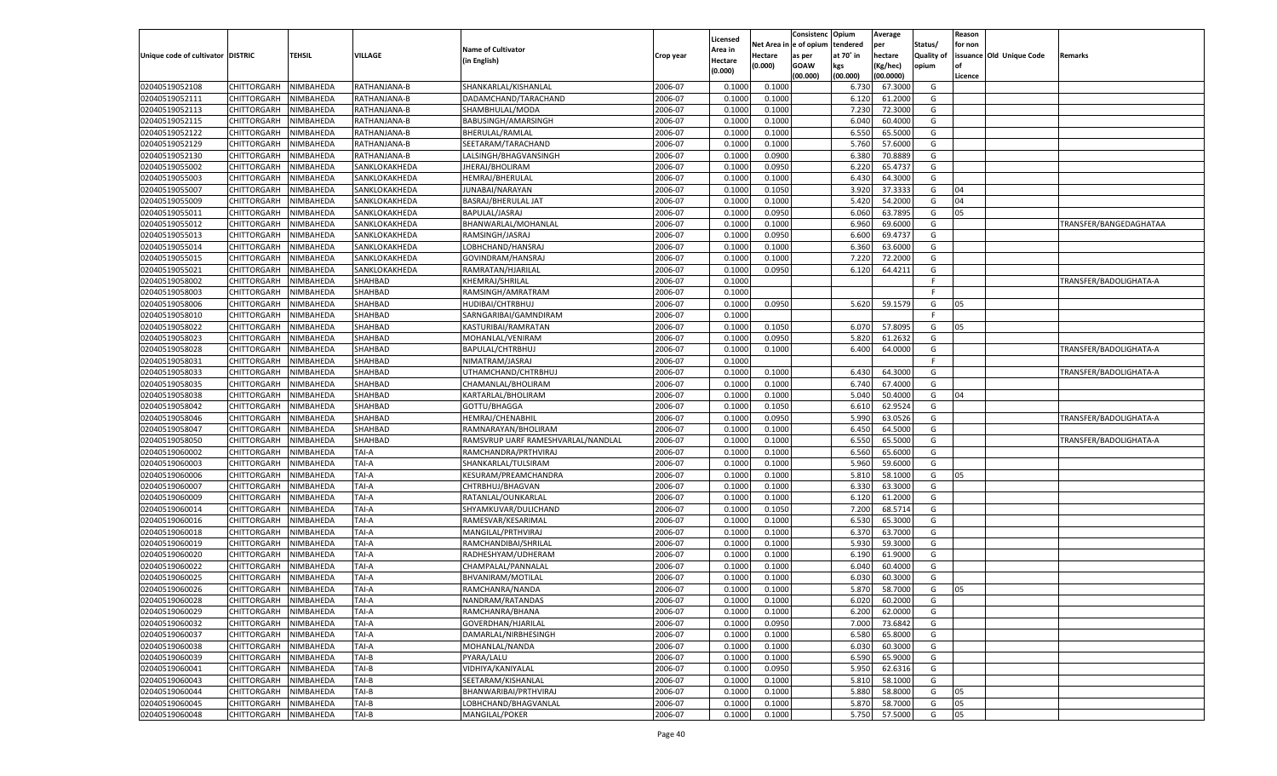|                                     |                       |               |                |                                    |           |                     |                        | Consistenc | Opium     | Average   |                   | Reason  |                          |                        |
|-------------------------------------|-----------------------|---------------|----------------|------------------------------------|-----------|---------------------|------------------------|------------|-----------|-----------|-------------------|---------|--------------------------|------------------------|
|                                     |                       |               |                | <b>Name of Cultivator</b>          |           | Licensed<br>Area in | Net Area in e of opium |            | tendered  | per       | Status/           | for non |                          |                        |
| Unique code of cultivator   DISTRIC |                       | <b>TEHSIL</b> | VILLAGE        | (in English)                       | Crop year | Hectare             | Hectare                | as per     | at 70° in | hectare   | <b>Quality of</b> |         | issuance Old Unique Code | Remarks                |
|                                     |                       |               |                |                                    |           | (0.000)             | (0.000)                | GOAW       | kgs       | Kg/hec)   | opium             |         |                          |                        |
|                                     |                       |               |                |                                    |           |                     |                        | (00.000)   | (00.000)  | (00.0000) |                   | Licence |                          |                        |
| 02040519052108                      | CHITTORGARH           | NIMBAHEDA     | RATHANJANA-B   | SHANKARLAL/KISHANLAL               | 2006-07   | 0.1000              | 0.100                  |            | 6.730     | 67.3000   | G                 |         |                          |                        |
| 02040519052111                      | CHITTORGARH           | NIMBAHEDA     | RATHANJANA-B   | DADAMCHAND/TARACHAND               | 2006-07   | 0.1000              | 0.1000                 |            | 6.120     | 61.200    | G                 |         |                          |                        |
| 02040519052113                      | CHITTORGARH           | NIMBAHEDA     | RATHANJANA-B   | SHAMBHULAL/MODA                    | 2006-07   | 0.1000              | 0.1000                 |            | 7.230     | 72.3000   | G                 |         |                          |                        |
| 02040519052115                      | CHITTORGARH           | NIMBAHEDA     | RATHANJANA-B   | BABUSINGH/AMARSINGH                | 2006-07   | 0.1000              | 0.1000                 |            | 6.040     | 60.4000   | G                 |         |                          |                        |
| 02040519052122                      | CHITTORGARH           | NIMBAHEDA     | RATHANJANA-B   | BHERULAL/RAMLAL                    | 2006-07   | 0.1000              | 0.1000                 |            | 6.550     | 65.500    | G                 |         |                          |                        |
| 02040519052129                      | CHITTORGARH           | NIMBAHEDA     | RATHANJANA-B   | SEETARAM/TARACHAND                 | 2006-07   | 0.1000              | 0.1000                 |            | 5.760     | 57.600    | G                 |         |                          |                        |
| 02040519052130                      | CHITTORGARH           | NIMBAHEDA     | RATHANJANA-B   | LALSINGH/BHAGVANSINGH              | 2006-07   | 0.1000              | 0.0900                 |            | 6.380     | 70.888    | G                 |         |                          |                        |
| 02040519055002                      | CHITTORGARH           | NIMBAHEDA     | SANKLOKAKHEDA  | JHERAJ/BHOLIRAM                    | 2006-07   | 0.1000              | 0.0950                 |            | 6.220     | 65.473    | G                 |         |                          |                        |
| 02040519055003                      | CHITTORGARH           | NIMBAHEDA     | SANKLOKAKHEDA  | HEMRAJ/BHERULAL                    | 2006-07   | 0.1000              | 0.1000                 |            | 6.430     | 64.300    | G                 |         |                          |                        |
| 02040519055007                      | CHITTORGARH           | NIMBAHEDA     | SANKLOKAKHEDA  | JUNABAI/NARAYAN                    | 2006-07   | 0.1000              | 0.1050                 |            | 3.920     | 37.333    | G                 | 04      |                          |                        |
| 02040519055009                      | CHITTORGARH           | NIMBAHEDA     | SANKLOKAKHEDA  | BASRAJ/BHERULAL JAT                | 2006-07   | 0.1000              | 0.1000                 |            | 5.420     | 54.200    | G                 | 04      |                          |                        |
| 02040519055011                      | CHITTORGARH           | NIMBAHEDA     | SANKLOKAKHEDA  | BAPULAL/JASRAJ                     | 2006-07   | 0.1000              | 0.0950                 |            | 6.060     | 63.789    | G                 | 05      |                          |                        |
| 02040519055012                      | CHITTORGARH           | NIMBAHEDA     | SANKLOKAKHEDA  | BHANWARLAL/MOHANLAL                | 2006-07   | 0.1000              | 0.1000                 |            | 6.960     | 69.600    | G                 |         |                          | TRANSFER/BANGEDAGHATAA |
| 02040519055013                      | CHITTORGARH           | NIMBAHEDA     | SANKLOKAKHEDA  | RAMSINGH/JASRAJ                    | 2006-07   | 0.1000              | 0.0950                 |            | 6.600     | 69.473    | G                 |         |                          |                        |
| 02040519055014                      | CHITTORGARH           | NIMBAHEDA     | SANKLOKAKHEDA  | LOBHCHAND/HANSRAJ                  | 2006-07   | 0.1000              | 0.1000                 |            | 6.360     | 63.6000   | G                 |         |                          |                        |
| 02040519055015                      | CHITTORGARH           | NIMBAHEDA     | SANKLOKAKHEDA  | GOVINDRAM/HANSRAJ                  | 2006-07   | 0.1000              | 0.1000                 |            | 7.220     | 72.2000   | G                 |         |                          |                        |
| 02040519055021                      | CHITTORGARH           | NIMBAHEDA     | SANKLOKAKHEDA  | RAMRATAN/HJARILAL                  | 2006-07   | 0.1000              | 0.0950                 |            | 6.120     | 64.421    | G                 |         |                          |                        |
| 02040519058002                      | CHITTORGARH           | NIMBAHEDA     | SHAHBAD        | KHEMRAJ/SHRILAL                    | 2006-07   | 0.1000              |                        |            |           |           | $\mathsf{F}$      |         |                          | TRANSFER/BADOLIGHATA-A |
| 02040519058003                      | CHITTORGARH           | NIMBAHEDA     | SHAHBAD        | RAMSINGH/AMRATRAM                  | 2006-07   | 0.1000              |                        |            |           |           | F                 |         |                          |                        |
| 02040519058006                      | CHITTORGARH           | NIMBAHEDA     | SHAHBAD        | HUDIBAI/CHTRBHUJ                   | 2006-07   | 0.1000              | 0.0950                 |            | 5.620     | 59.1579   | G                 | 05      |                          |                        |
| 02040519058010                      | CHITTORGARH           | NIMBAHEDA     | SHAHBAD        | SARNGARIBAI/GAMNDIRAM              | 2006-07   | 0.1000              |                        |            |           |           | F                 |         |                          |                        |
| 02040519058022                      | CHITTORGARH           | NIMBAHEDA     | SHAHBAD        | KASTURIBAI/RAMRATAN                | 2006-07   | 0.1000              | 0.1050                 |            | 6.070     | 57.8095   | G                 | 05      |                          |                        |
| 02040519058023                      | CHITTORGARH           | NIMBAHEDA     | SHAHBAD        | MOHANLAL/VENIRAM                   | 2006-07   | 0.1000              | 0.0950                 |            | 5.820     | 61.2632   | G                 |         |                          |                        |
| 02040519058028                      | CHITTORGARH           | NIMBAHEDA     | SHAHBAD        | BAPULAL/CHTRBHUJ                   | 2006-07   | 0.1000              | 0.1000                 |            | 6.400     | 64.0000   | G                 |         |                          | TRANSFER/BADOLIGHATA-A |
| 02040519058031                      | CHITTORGARH           | NIMBAHEDA     | SHAHBAD        | NIMATRAM/JASRAJ                    | 2006-07   | 0.1000              |                        |            |           |           | F                 |         |                          |                        |
| 02040519058033                      | CHITTORGARH           | NIMBAHEDA     | SHAHBAD        | UTHAMCHAND/CHTRBHUJ                | 2006-07   | 0.1000              | 0.1000                 |            | 6.430     | 64.3000   | G                 |         |                          | TRANSFER/BADOLIGHATA-A |
| 02040519058035                      | CHITTORGARH           | NIMBAHEDA     | SHAHBAD        | CHAMANLAL/BHOLIRAM                 | 2006-07   | 0.1000              | 0.1000                 |            | 6.740     | 67.4000   | G                 |         |                          |                        |
| 02040519058038                      | CHITTORGARH           | NIMBAHEDA     | SHAHBAD        | KARTARLAL/BHOLIRAM                 | 2006-07   | 0.1000              | 0.1000                 |            | 5.040     | 50.4000   | G                 | 04      |                          |                        |
| 02040519058042                      | CHITTORGARH           | NIMBAHEDA     | SHAHBAD        | GOTTU/BHAGGA                       | 2006-07   | 0.1000              | 0.1050                 |            | 6.610     | 62.9524   | G                 |         |                          |                        |
| 02040519058046                      | CHITTORGARH           | NIMBAHEDA     | SHAHBAD        | HEMRAJ/CHENABHIL                   | 2006-07   | 0.1000              | 0.0950                 |            | 5.990     | 63.0526   | G                 |         |                          | TRANSFER/BADOLIGHATA-A |
| 02040519058047                      | CHITTORGARH           | NIMBAHEDA     | SHAHBAD        | RAMNARAYAN/BHOLIRAM                | 2006-07   | 0.1000              | 0.1000                 |            | 6.450     | 64.500    | G                 |         |                          |                        |
| 02040519058050                      | CHITTORGARH           | NIMBAHEDA     | SHAHBAD        | RAMSVRUP UARF RAMESHVARLAL/NANDLAL | 2006-07   | 0.1000              | 0.1000                 |            | 6.550     | 65.500    | G                 |         |                          | TRANSFER/BADOLIGHATA-A |
| 02040519060002                      |                       | NIMBAHEDA     | TAI-A          |                                    | 2006-07   | 0.1000              | 0.1000                 |            | 6.560     | 65.600    | G                 |         |                          |                        |
| 02040519060003                      | CHITTORGARH           |               |                | RAMCHANDRA/PRTHVIRAJ               | 2006-07   |                     |                        |            | 5.960     | 59.600    | G                 |         |                          |                        |
|                                     | CHITTORGARH           | NIMBAHEDA     | TAI-A<br>TAI-A | SHANKARLAL/TULSIRAM                |           | 0.1000              | 0.1000                 |            |           |           |                   |         |                          |                        |
| 02040519060006                      | CHITTORGARH           | NIMBAHEDA     |                | KESURAM/PREAMCHANDRA               | 2006-07   | 0.1000              | 0.1000                 |            | 5.810     | 58.100    | G                 | 05      |                          |                        |
| 02040519060007                      | CHITTORGARH           | NIMBAHEDA     | TAI-A          | CHTRBHUJ/BHAGVAN                   | 2006-07   | 0.1000              | 0.1000                 |            | 6.330     | 63.3000   | G                 |         |                          |                        |
| 02040519060009                      | CHITTORGARH           | NIMBAHEDA     | TAI-A          | RATANLAL/OUNKARLAL                 | 2006-07   | 0.1000              | 0.1000                 |            | 6.120     | 61.200    | G                 |         |                          |                        |
| 02040519060014                      | CHITTORGARH           | NIMBAHEDA     | TAI-A          | SHYAMKUVAR/DULICHAND               | 2006-07   | 0.1000              | 0.1050                 |            | 7.200     | 68.571    | G                 |         |                          |                        |
| 02040519060016                      | CHITTORGARH           | NIMBAHEDA     | TAI-A          | RAMESVAR/KESARIMAI                 | 2006-07   | 0.1000              | 0.1000                 |            | 6.530     | 65.300    | G                 |         |                          |                        |
| 02040519060018                      | CHITTORGARH           | NIMBAHEDA     | TAI-A          | MANGILAL/PRTHVIRAJ                 | 2006-07   | 0.1000              | 0.1000                 |            | 6.370     | 63.700    | G                 |         |                          |                        |
| 02040519060019                      | CHITTORGARH           | NIMBAHEDA     | TAI-A          | RAMCHANDIBAI/SHRILAL               | 2006-07   | 0.1000              | 0.1000                 |            | 5.930     | 59.300    | G                 |         |                          |                        |
| 02040519060020                      | CHITTORGARH           | NIMBAHEDA     | TAI-A          | RADHESHYAM/UDHERAM                 | 2006-07   | 0.1000              | 0.1000                 |            | 6.190     | 61.900    | G                 |         |                          |                        |
| 02040519060022                      | CHITTORGARH           | NIMBAHEDA     | TAI-A          | CHAMPALAL/PANNALAI                 | 2006-07   | 0.1000              | 0.1000                 |            | 6.040     | 60.400    | G                 |         |                          |                        |
| 02040519060025                      | CHITTORGARH           | NIMBAHEDA     | TAI-A          | BHVANIRAM/MOTILAL                  | 2006-07   | 0.1000              | 0.1000                 |            | 6.03      | 60.300    | G                 |         |                          |                        |
| 02040519060026                      | CHITTORGARH           | NIMBAHEDA     | TAI-A          | RAMCHANRA/NANDA                    | 2006-07   | 0.1000              | 0.1000                 |            | 5.870     | 58.7000   | G                 | 05      |                          |                        |
| 02040519060028                      | CHITTORGARH NIMBAHEDA |               | <b>TAI-A</b>   | NANDRAM/RATANDAS                   | 2006-07   | 0.1000              | 0.1000                 |            | 6.020     | 60.2000   | G                 |         |                          |                        |
| 02040519060029                      | CHITTORGARH           | NIMBAHEDA     | TAI-A          | RAMCHANRA/BHANA                    | 2006-07   | 0.1000              | 0.1000                 |            | 6.200     | 62.0000   | G                 |         |                          |                        |
| 02040519060032                      | CHITTORGARH           | NIMBAHEDA     | TAI-A          | GOVERDHAN/HJARILAL                 | 2006-07   | 0.1000              | 0.0950                 |            | 7.000     | 73.6842   | G                 |         |                          |                        |
| 02040519060037                      | <b>CHITTORGARH</b>    | NIMBAHEDA     | TAI-A          | DAMARLAL/NIRBHESINGH               | 2006-07   | 0.1000              | 0.1000                 |            | 6.580     | 65.8000   | G                 |         |                          |                        |
| 02040519060038                      | CHITTORGARH           | NIMBAHEDA     | TAI-A          | MOHANLAL/NANDA                     | 2006-07   | 0.1000              | 0.1000                 |            | 6.030     | 60.3000   | G                 |         |                          |                        |
| 02040519060039                      | <b>CHITTORGARH</b>    | NIMBAHEDA     | TAI-B          | PYARA/LALU                         | 2006-07   | 0.1000              | 0.1000                 |            | 6.590     | 65.9000   | G                 |         |                          |                        |
| 02040519060041                      | <b>CHITTORGARH</b>    | NIMBAHEDA     | TAI-B          | VIDHIYA/KANIYALAL                  | 2006-07   | 0.1000              | 0.0950                 |            | 5.950     | 62.6316   | G                 |         |                          |                        |
| 02040519060043                      | <b>CHITTORGARH</b>    | NIMBAHEDA     | TAI-B          | SEETARAM/KISHANLAL                 | 2006-07   | 0.1000              | 0.1000                 |            | 5.810     | 58.1000   | G                 |         |                          |                        |
| 02040519060044                      | CHITTORGARH           | NIMBAHEDA     | TAI-B          | BHANWARIBAI/PRTHVIRAJ              | 2006-07   | 0.1000              | 0.1000                 |            | 5.880     | 58.8000   | G                 | 05      |                          |                        |
| 02040519060045                      | CHITTORGARH           | NIMBAHEDA     | TAI-B          | LOBHCHAND/BHAGVANLAL               | 2006-07   | 0.1000              | 0.1000                 |            | 5.870     | 58.7000   | G                 | 05      |                          |                        |
| 02040519060048                      | CHITTORGARH           | NIMBAHEDA     | TAI-B          | MANGILAL/POKER                     | 2006-07   | 0.1000              | 0.1000                 |            | 5.750     | 57.5000   | G                 | 05      |                          |                        |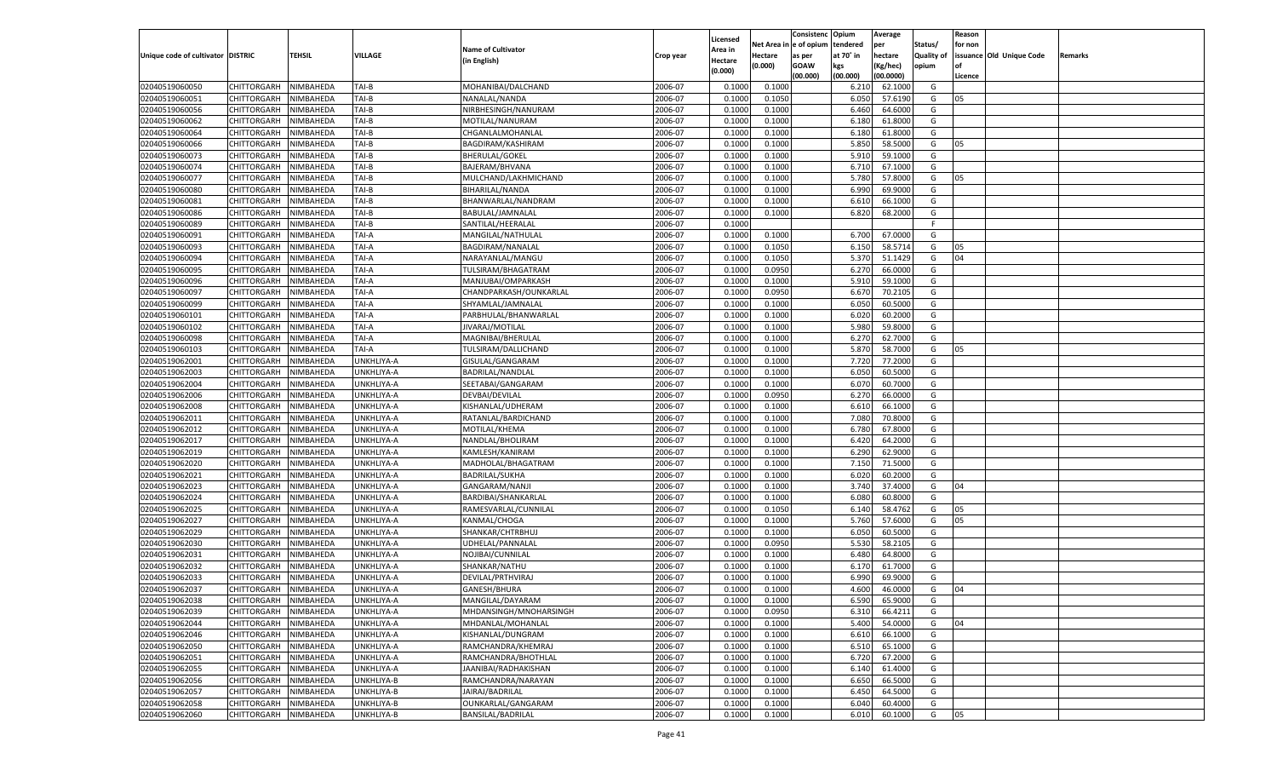|                                   |                       |                        |            |                                         |           |                    |          | Consistenc  | Opium     | Average   |                   | Reason  |                          |         |
|-----------------------------------|-----------------------|------------------------|------------|-----------------------------------------|-----------|--------------------|----------|-------------|-----------|-----------|-------------------|---------|--------------------------|---------|
|                                   |                       |                        |            | <b>Name of Cultivator</b>               |           | Licensed           | Net Area | e of opium  | tendered  | per       | Status/           | for non |                          |         |
| Unique code of cultivator DISTRIC |                       | <b>TEHSIL</b>          | VILLAGE    |                                         | Crop year | \rea in            | Hectare  | as per      | at 70° in | hectare   | <b>Quality of</b> |         | issuance Old Unique Code | Remarks |
|                                   |                       |                        |            | (in English)                            |           | Hectare<br>(0.000) | (0.000)  | <b>GOAW</b> | kgs       | (Kg/hec)  | opium             |         |                          |         |
|                                   |                       |                        |            |                                         |           |                    |          | (00.000)    | (00.000)  | (00.0000) |                   | Licence |                          |         |
| 02040519060050                    | CHITTORGARH           | NIMBAHEDA              | TAI-B      | MOHANIBAI/DALCHAND                      | 2006-07   | 0.1000             | 0.1000   |             | 6.210     | 62.1000   | G                 |         |                          |         |
| 02040519060051                    | CHITTORGARH           | NIMBAHEDA              | TAI-B      | NANALAL/NANDA                           | 2006-07   | 0.1000             | 0.1050   |             | 6.050     | 57.6190   | G                 | 05      |                          |         |
| 02040519060056                    | CHITTORGARH           | NIMBAHEDA              | TAI-B      | NIRBHESINGH/NANURAM                     | 2006-07   | 0.1000             | 0.1000   |             | 6.460     | 64.6000   | G                 |         |                          |         |
| 02040519060062                    | CHITTORGARH           | NIMBAHEDA              | TAI-B      | MOTILAL/NANURAM                         | 2006-07   | 0.1000             | 0.1000   |             | 6.180     | 61.8000   | G                 |         |                          |         |
| 02040519060064                    | CHITTORGARH           | NIMBAHEDA              | TAI-B      | CHGANLALMOHANLAL                        | 2006-07   | 0.1000             | 0.1000   |             | 6.180     | 61.8000   | G                 |         |                          |         |
| 02040519060066                    | CHITTORGARH           | NIMBAHEDA              | TAI-B      | BAGDIRAM/KASHIRAM                       | 2006-07   | 0.1000             | 0.1000   |             | 5.850     | 58.5000   | G                 | 05      |                          |         |
| 02040519060073                    | CHITTORGARH           | NIMBAHEDA              | TAI-B      | <b>BHERULAL/GOKEL</b>                   | 2006-07   | 0.1000             | 0.1000   |             | 5.910     | 59.1000   | G                 |         |                          |         |
| 02040519060074                    | CHITTORGARH           | NIMBAHEDA              | TAI-B      | BAJERAM/BHVANA                          | 2006-07   | 0.1000             | 0.1000   |             | 6.710     | 67.1000   | G                 |         |                          |         |
| 02040519060077                    | CHITTORGARH           | NIMBAHEDA              | TAI-B      | MULCHAND/LAKHMICHAND                    | 2006-07   | 0.1000             | 0.1000   |             | 5.780     | 57.8000   | G                 | 05      |                          |         |
| 02040519060080                    | CHITTORGARH           | NIMBAHEDA              | TAI-B      | BIHARILAL/NANDA                         | 2006-07   | 0.1000             | 0.1000   |             | 6.990     | 69.9000   | G                 |         |                          |         |
| 02040519060081                    | CHITTORGARH           | NIMBAHEDA              | TAI-B      | BHANWARLAL/NANDRAM                      | 2006-07   | 0.1000             | 0.1000   |             | 6.610     | 66.1000   | G                 |         |                          |         |
| 02040519060086                    | CHITTORGARH           | NIMBAHEDA              | TAI-B      | BABULAL/JAMNALAL                        | 2006-07   | 0.1000             | 0.1000   |             | 6.820     | 68.2000   | G                 |         |                          |         |
| 02040519060089                    | CHITTORGARH           | NIMBAHEDA              | TAI-B      | SANTILAL/HEERALAL                       | 2006-07   | 0.1000             |          |             |           |           | F.                |         |                          |         |
| 02040519060091                    | CHITTORGARH           | NIMBAHEDA              | TAI-A      | MANGILAL/NATHULAL                       | 2006-07   | 0.1000             | 0.1000   |             | 6.700     | 67.0000   | G                 |         |                          |         |
| 02040519060093                    | CHITTORGARH           | NIMBAHEDA              | TAI-A      | BAGDIRAM/NANALAL                        | 2006-07   | 0.1000             | 0.1050   |             | 6.150     | 58.5714   | G                 | 05      |                          |         |
| 02040519060094                    | CHITTORGARH           | NIMBAHEDA              | TAI-A      | NARAYANLAL/MANGU                        | 2006-07   | 0.1000             | 0.1050   |             | 5.370     | 51.1429   | G                 | 04      |                          |         |
| 02040519060095                    | CHITTORGARH           | NIMBAHEDA              | TAI-A      | TULSIRAM/BHAGATRAM                      | 2006-07   | 0.1000             | 0.0950   |             | 6.270     | 66.0000   | G                 |         |                          |         |
| 02040519060096                    | CHITTORGARH           | NIMBAHEDA              | TAI-A      | MANJUBAI/OMPARKASH                      | 2006-07   | 0.1000             | 0.1000   |             | 5.910     | 59.1000   | G                 |         |                          |         |
| 02040519060097                    | CHITTORGARH           | NIMBAHEDA              | TAI-A      | CHANDPARKASH/OUNKARLAL                  | 2006-07   | 0.1000             | 0.0950   |             | 6.670     | 70.2105   | G                 |         |                          |         |
| 02040519060099                    | CHITTORGARH           | NIMBAHEDA              | TAI-A      | SHYAMLAL/JAMNALAL                       | 2006-07   | 0.1000             | 0.1000   |             | 6.050     | 60.5000   | G                 |         |                          |         |
| 02040519060101                    | CHITTORGARH           | NIMBAHEDA              | TAI-A      | PARBHULAL/BHANWARLAL                    | 2006-07   | 0.1000             | 0.1000   |             | 6.020     | 60.2000   | G                 |         |                          |         |
| 02040519060102                    | CHITTORGARH           | NIMBAHEDA              | TAI-A      | JIVARAJ/MOTILAL                         | 2006-07   | 0.1000             | 0.1000   |             | 5.980     | 59.8000   | G                 |         |                          |         |
| 02040519060098                    | CHITTORGARH           | NIMBAHEDA              | TAI-A      | MAGNIBAI/BHERULAL                       | 2006-07   | 0.1000             | 0.1000   |             | 6.270     | 62.7000   | G                 |         |                          |         |
| 02040519060103                    | CHITTORGARH           |                        | TAI-A      |                                         | 2006-07   | 0.1000             | 0.1000   |             | 5.870     | 58.7000   | G                 | 05      |                          |         |
| 02040519062001                    |                       | NIMBAHEDA<br>NIMBAHEDA | UNKHLIYA-A | TULSIRAM/DALLICHAND<br>GISULAL/GANGARAM | 2006-07   | 0.1000             | 0.1000   |             | 7.720     | 77.2000   | G                 |         |                          |         |
|                                   | CHITTORGARH           |                        |            | BADRILAL/NANDLAL                        |           |                    |          |             | 6.050     | 60.5000   |                   |         |                          |         |
| 02040519062003                    | CHITTORGARH           | NIMBAHEDA              | UNKHLIYA-A |                                         | 2006-07   | 0.1000             | 0.1000   |             |           |           | G                 |         |                          |         |
| 02040519062004                    | CHITTORGARH           | NIMBAHEDA              | UNKHLIYA-A | SEETABAI/GANGARAM                       | 2006-07   | 0.1000             | 0.1000   |             | 6.070     | 60.7000   | G                 |         |                          |         |
| 02040519062006                    | CHITTORGARH           | NIMBAHEDA              | UNKHLIYA-A | DEVBAI/DEVILAL                          | 2006-07   | 0.1000             | 0.0950   |             | 6.270     | 66.0000   | G                 |         |                          |         |
| 02040519062008                    | CHITTORGARH           | NIMBAHEDA              | UNKHLIYA-A | KISHANLAL/UDHERAM                       | 2006-07   | 0.1000             | 0.1000   |             | 6.610     | 66.1000   | G                 |         |                          |         |
| 02040519062011                    | CHITTORGARH           | NIMBAHEDA              | UNKHLIYA-A | RATANLAL/BARDICHAND                     | 2006-07   | 0.1000             | 0.1000   |             | 7.080     | 70.8000   | G                 |         |                          |         |
| 02040519062012                    | CHITTORGARH           | NIMBAHEDA              | UNKHLIYA-A | MOTILAL/KHEMA                           | 2006-07   | 0.1000             | 0.1000   |             | 6.780     | 67.8000   | G                 |         |                          |         |
| 02040519062017                    | CHITTORGARH           | NIMBAHEDA              | UNKHLIYA-A | NANDLAL/BHOLIRAM                        | 2006-07   | 0.1000             | 0.1000   |             | 6.420     | 64.2000   | G                 |         |                          |         |
| 02040519062019                    | CHITTORGARH           | NIMBAHEDA              | UNKHLIYA-A | KAMLESH/KANIRAM                         | 2006-07   | 0.1000             | 0.1000   |             | 6.290     | 62.9000   | G                 |         |                          |         |
| 02040519062020                    | CHITTORGARH           | NIMBAHEDA              | UNKHLIYA-A | MADHOLAL/BHAGATRAM                      | 2006-07   | 0.1000             | 0.1000   |             | 7.150     | 71.5000   | G                 |         |                          |         |
| 02040519062021                    | CHITTORGARH           | NIMBAHEDA              | UNKHLIYA-A | <b>BADRILAL/SUKHA</b>                   | 2006-07   | 0.1000             | 0.1000   |             | 6.020     | 60.2000   | G                 |         |                          |         |
| 02040519062023                    | CHITTORGARH           | NIMBAHEDA              | UNKHLIYA-A | GANGARAM/NANJI                          | 2006-07   | 0.1000             | 0.1000   |             | 3.740     | 37.4000   | G                 | 04      |                          |         |
| 02040519062024                    | CHITTORGARH           | NIMBAHEDA              | UNKHLIYA-A | BARDIBAI/SHANKARLAL                     | 2006-07   | 0.1000             | 0.1000   |             | 6.080     | 60.8000   | G                 |         |                          |         |
| 02040519062025                    | CHITTORGARH           | NIMBAHEDA              | UNKHLIYA-A | RAMESVARLAL/CUNNILAL                    | 2006-07   | 0.1000             | 0.1050   |             | 6.140     | 58.4762   | G                 | 05      |                          |         |
| 02040519062027                    | CHITTORGARH           | NIMBAHEDA              | UNKHLIYA-A | KANMAL/CHOGA                            | 2006-07   | 0.1000             | 0.1000   |             | 5.760     | 57.6000   | G                 | 05      |                          |         |
| 02040519062029                    | CHITTORGARH           | NIMBAHEDA              | UNKHLIYA-A | SHANKAR/CHTRBHUJ                        | 2006-07   | 0.1000             | 0.1000   |             | 6.050     | 60.5000   | G                 |         |                          |         |
| 02040519062030                    | CHITTORGARH           | NIMBAHEDA              | UNKHLIYA-A | UDHELAL/PANNALAI                        | 2006-07   | 0.1000             | 0.0950   |             | 5.530     | 58.2105   | G                 |         |                          |         |
| 02040519062031                    | CHITTORGARH           | NIMBAHEDA              | UNKHLIYA-A | NOJIBAI/CUNNILAL                        | 2006-07   | 0.1000             | 0.1000   |             | 6.480     | 64.8000   | G                 |         |                          |         |
| 02040519062032                    | CHITTORGARH           | NIMBAHEDA              | UNKHLIYA-A | SHANKAR/NATHU                           | 2006-07   | 0.1000             | 0.1000   |             | 6.170     | 61.7000   | G                 |         |                          |         |
| 02040519062033                    | CHITTORGARH           | NIMBAHEDA              | UNKHLIYA-A | DEVILAL/PRTHVIRAJ                       | 2006-07   | 0.1000             | 0.1000   |             | 6.99      | 69.9000   | G                 |         |                          |         |
| 02040519062037                    | CHITTORGARH           | NIMBAHEDA              | UNKHLIYA-A | GANESH/BHURA                            | 2006-07   | 0.1000             | 0.1000   |             | 4.600     | 46.0000   | G                 | 04      |                          |         |
| 02040519062038                    | CHITTORGARH NIMBAHEDA |                        | UNKHLIYA-A | MANGILAL/DAYARAM                        | 2006-07   | 0.1000             | 0.1000   |             | 6.590     | 65.9000   | G                 |         |                          |         |
| 02040519062039                    | <b>CHITTORGARH</b>    | NIMBAHEDA              | UNKHLIYA-A | MHDANSINGH/MNOHARSINGH                  | 2006-07   | 0.1000             | 0.0950   |             | 6.310     | 66.4211   | G                 |         |                          |         |
| 02040519062044                    | CHITTORGARH           | NIMBAHEDA              | UNKHLIYA-A | MHDANLAL/MOHANLAL                       | 2006-07   | 0.1000             | 0.1000   |             | 5.400     | 54.0000   | G                 | 04      |                          |         |
| 02040519062046                    | <b>CHITTORGARH</b>    | NIMBAHEDA              | UNKHLIYA-A | KISHANLAL/DUNGRAM                       | 2006-07   | 0.1000             | 0.1000   |             | 6.610     | 66.1000   | G                 |         |                          |         |
| 02040519062050                    | <b>CHITTORGARH</b>    | NIMBAHEDA              | UNKHLIYA-A | RAMCHANDRA/KHEMRAJ                      | 2006-07   | 0.1000             | 0.1000   |             | 6.510     | 65.1000   | G                 |         |                          |         |
| 02040519062051                    | <b>CHITTORGARH</b>    | NIMBAHEDA              | UNKHLIYA-A | RAMCHANDRA/BHOTHLAL                     | 2006-07   | 0.1000             | 0.1000   |             | 6.720     | 67.2000   | G                 |         |                          |         |
| 02040519062055                    | <b>CHITTORGARH</b>    | NIMBAHEDA              | UNKHLIYA-A | JAANIBAI/RADHAKISHAN                    | 2006-07   | 0.1000             | 0.1000   |             | 6.140     | 61.4000   | G                 |         |                          |         |
| 02040519062056                    | <b>CHITTORGARH</b>    | NIMBAHEDA              | UNKHLIYA-B | RAMCHANDRA/NARAYAN                      | 2006-07   | 0.1000             | 0.1000   |             | 6.650     | 66.5000   | G                 |         |                          |         |
| 02040519062057                    | <b>CHITTORGARH</b>    | NIMBAHEDA              | UNKHLIYA-B | JAIRAJ/BADRILAL                         | 2006-07   | 0.1000             | 0.1000   |             | 6.450     | 64.5000   | G                 |         |                          |         |
| 02040519062058                    | <b>CHITTORGARH</b>    | NIMBAHEDA              | UNKHLIYA-B | OUNKARLAL/GANGARAM                      | 2006-07   | 0.1000             | 0.1000   |             | 6.040     | 60.4000   | G                 |         |                          |         |
| 02040519062060                    | <b>CHITTORGARH</b>    | NIMBAHEDA              | UNKHLIYA-B | <b>BANSILAL/BADRILAL</b>                | 2006-07   | 0.1000             | 0.1000   |             | 6.010     | 60.1000   | G                 | 05      |                          |         |
|                                   |                       |                        |            |                                         |           |                    |          |             |           |           |                   |         |                          |         |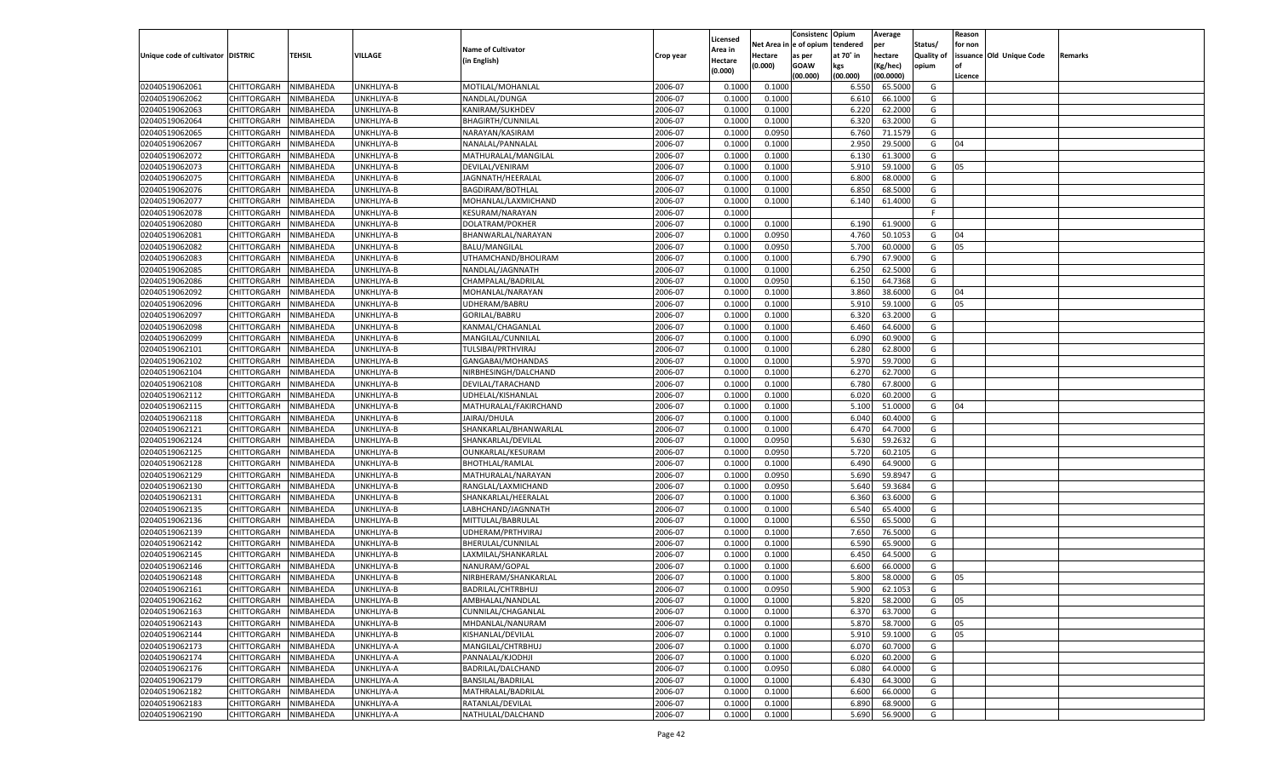|                                   |                       |                        |                          |                                         |           |                    |                  | Consistenc  | Opium     | Average   |                   | Reason  |                          |         |
|-----------------------------------|-----------------------|------------------------|--------------------------|-----------------------------------------|-----------|--------------------|------------------|-------------|-----------|-----------|-------------------|---------|--------------------------|---------|
|                                   |                       |                        |                          |                                         |           | Licensed           | Net Area         | e of opium  | tendered  | per       | Status/           | for non |                          |         |
| Unique code of cultivator DISTRIC |                       | <b>TEHSIL</b>          | VILLAGE                  | <b>Name of Cultivator</b>               | Crop year | <b>Area in</b>     | Hectare          | as per      | at 70° in | hectare   | <b>Quality of</b> |         | issuance Old Unique Code | Remarks |
|                                   |                       |                        |                          | (in English)                            |           | Hectare<br>(0.000) | (0.000)          | <b>GOAW</b> | kgs       | (Kg/hec)  | opium             |         |                          |         |
|                                   |                       |                        |                          |                                         |           |                    |                  | (00.000)    | (00.000)  | (00.0000) |                   | Licence |                          |         |
| 02040519062061                    | CHITTORGARH           | NIMBAHEDA              | UNKHLIYA-B               | MOTILAL/MOHANLAL                        | 2006-07   | 0.1000             | 0.1000           |             | 6.550     | 65.5000   | G                 |         |                          |         |
| 02040519062062                    | CHITTORGARH           | NIMBAHEDA              | UNKHLIYA-B               | NANDLAL/DUNGA                           | 2006-07   | 0.1000             | 0.1000           |             | 6.610     | 66.1000   | G                 |         |                          |         |
| 02040519062063                    | CHITTORGARH           | NIMBAHEDA              | UNKHLIYA-B               | KANIRAM/SUKHDEV                         | 2006-07   | 0.1000             | 0.1000           |             | 6.220     | 62.2000   | G                 |         |                          |         |
| 02040519062064                    | CHITTORGARH           | NIMBAHEDA              | UNKHLIYA-B               | <b>BHAGIRTH/CUNNILAL</b>                | 2006-07   | 0.1000             | 0.1000           |             | 6.320     | 63.2000   | G                 |         |                          |         |
| 02040519062065                    | CHITTORGARH           | NIMBAHEDA              | UNKHLIYA-B               | NARAYAN/KASIRAM                         | 2006-07   | 0.1000             | 0.0950           |             | 6.760     | 71.1579   | G                 |         |                          |         |
| 02040519062067                    | CHITTORGARH           | NIMBAHEDA              | UNKHLIYA-B               | NANALAL/PANNALAI                        | 2006-07   | 0.1000             | 0.1000           |             | 2.950     | 29.5000   | G                 | 04      |                          |         |
| 02040519062072                    | CHITTORGARH           | NIMBAHEDA              | UNKHLIYA-B               | MATHURALAL/MANGILAL                     | 2006-07   | 0.1000             | 0.1000           |             | 6.130     | 61.3000   | G                 |         |                          |         |
| 02040519062073                    | CHITTORGARH           | NIMBAHEDA              | UNKHLIYA-B               | DEVILAL/VENIRAM                         | 2006-07   | 0.1000             | 0.1000           |             | 5.910     | 59.1000   | G                 | 05      |                          |         |
| 02040519062075                    | CHITTORGARH           | NIMBAHEDA              | UNKHLIYA-B               | JAGNNATH/HEERALAL                       | 2006-07   | 0.1000             | 0.1000           |             | 6.800     | 68.0000   | G                 |         |                          |         |
| 02040519062076                    | CHITTORGARH           | NIMBAHEDA              | UNKHLIYA-B               | BAGDIRAM/BOTHLAL                        | 2006-07   | 0.1000             | 0.1000           |             | 6.850     | 68.5000   | G                 |         |                          |         |
| 02040519062077                    | CHITTORGARH           | NIMBAHEDA              | UNKHLIYA-B               | MOHANLAL/LAXMICHAND                     | 2006-07   | 0.1000             | 0.1000           |             | 6.140     | 61.4000   | G                 |         |                          |         |
| 02040519062078                    | CHITTORGARH           | NIMBAHEDA              | UNKHLIYA-B               | KESURAM/NARAYAN                         | 2006-07   | 0.1000             |                  |             |           |           | F.                |         |                          |         |
| 02040519062080                    | CHITTORGARH           | NIMBAHEDA              | UNKHLIYA-B               | DOLATRAM/POKHER                         | 2006-07   | 0.1000             | 0.1000           |             | 6.190     | 61.9000   | G                 |         |                          |         |
| 02040519062081                    | CHITTORGARH           | NIMBAHEDA              | UNKHLIYA-B               | BHANWARLAL/NARAYAN                      | 2006-07   | 0.1000             | 0.0950           |             | 4.760     | 50.105    | G                 | 04      |                          |         |
| 02040519062082                    | CHITTORGARH           | NIMBAHEDA              | UNKHLIYA-B               | <b>BALU/MANGILAL</b>                    | 2006-07   | 0.1000             | 0.0950           |             | 5.700     | 60.0000   | G                 | 05      |                          |         |
| 02040519062083                    | CHITTORGARH           | NIMBAHEDA              | UNKHLIYA-B               | UTHAMCHAND/BHOLIRAM                     | 2006-07   | 0.1000             | 0.1000           |             | 6.790     | 67.9000   | G                 |         |                          |         |
| 02040519062085                    | CHITTORGARH           | NIMBAHEDA              | UNKHLIYA-B               | NANDLAL/JAGNNATH                        | 2006-07   | 0.1000             | 0.1000           |             | 6.250     | 62.5000   | G                 |         |                          |         |
| 02040519062086                    | CHITTORGARH           | NIMBAHEDA              | UNKHLIYA-B               | CHAMPALAL/BADRILAL                      | 2006-07   | 0.1000             | 0.0950           |             | 6.15(     | 64.7368   | G                 |         |                          |         |
| 02040519062092                    | CHITTORGARH           | NIMBAHEDA              | UNKHLIYA-B               | MOHANLAL/NARAYAN                        | 2006-07   | 0.1000             | 0.1000           |             | 3.860     | 38.6000   | G                 | 04      |                          |         |
| 02040519062096                    | CHITTORGARH           | NIMBAHEDA              | UNKHLIYA-B               | UDHERAM/BABRU                           | 2006-07   | 0.1000             | 0.1000           |             | 5.910     | 59.1000   | G                 | 05      |                          |         |
| 02040519062097                    | CHITTORGARH           | NIMBAHEDA              | UNKHLIYA-B               | GORILAL/BABRU                           | 2006-07   | 0.1000             | 0.1000           |             | 6.320     | 63.2000   | G                 |         |                          |         |
| 02040519062098                    | CHITTORGARH           | NIMBAHEDA              | UNKHLIYA-B               | KANMAL/CHAGANLAL                        | 2006-07   | 0.1000             | 0.1000           |             | 6.460     | 64.6000   | G                 |         |                          |         |
| 02040519062099                    | CHITTORGARH           | NIMBAHEDA              | UNKHLIYA-B               | MANGILAL/CUNNILAL                       | 2006-07   | 0.1000             | 0.1000           |             | 6.090     | 60.9000   | G                 |         |                          |         |
| 02040519062101                    | CHITTORGARH           |                        |                          |                                         | 2006-07   | 0.1000             |                  |             | 6.280     | 62.8000   | G                 |         |                          |         |
| 02040519062102                    |                       | NIMBAHEDA<br>NIMBAHEDA | UNKHLIYA-B<br>UNKHLIYA-B | TULSIBAI/PRTHVIRAJ<br>GANGABAI/MOHANDAS | 2006-07   | 0.1000             | 0.1000<br>0.1000 |             | 5.970     | 59.7000   | G                 |         |                          |         |
|                                   | CHITTORGARH           |                        |                          |                                         |           |                    |                  |             | 6.27      |           |                   |         |                          |         |
| 02040519062104                    | CHITTORGARH           | NIMBAHEDA              | UNKHLIYA-B               | NIRBHESINGH/DALCHAND                    | 2006-07   | 0.1000             | 0.1000           |             |           | 62.7000   | G                 |         |                          |         |
| 02040519062108                    | CHITTORGARH           | NIMBAHEDA              | UNKHLIYA-B               | DEVILAL/TARACHAND                       | 2006-07   | 0.1000             | 0.1000           |             | 6.780     | 67.8000   | G                 |         |                          |         |
| 02040519062112                    | CHITTORGARH           | NIMBAHEDA              | UNKHLIYA-B               | UDHELAL/KISHANLAL                       | 2006-07   | 0.1000             | 0.1000           |             | 6.020     | 60.2000   | G                 |         |                          |         |
| 02040519062115                    | CHITTORGARH           | NIMBAHEDA              | UNKHLIYA-B               | MATHURALAL/FAKIRCHAND                   | 2006-07   | 0.1000             | 0.1000           |             | 5.100     | 51.0000   | G                 | 04      |                          |         |
| 02040519062118                    | CHITTORGARH           | NIMBAHEDA              | UNKHLIYA-B               | JAIRAJ/DHULA                            | 2006-07   | 0.1000             | 0.1000           |             | 6.040     | 60.4000   | G                 |         |                          |         |
| 02040519062121                    | CHITTORGARH           | NIMBAHEDA              | UNKHLIYA-B               | SHANKARLAL/BHANWARLAL                   | 2006-07   | 0.1000             | 0.1000           |             | 6.470     | 64.7000   | G                 |         |                          |         |
| 02040519062124                    | CHITTORGARH           | NIMBAHEDA              | UNKHLIYA-B               | SHANKARLAL/DEVILAL                      | 2006-07   | 0.1000             | 0.0950           |             | 5.630     | 59.2632   | G                 |         |                          |         |
| 02040519062125                    | CHITTORGARH           | NIMBAHEDA              | UNKHLIYA-B               | OUNKARLAL/KESURAM                       | 2006-07   | 0.1000             | 0.0950           |             | 5.720     | 60.2105   | G                 |         |                          |         |
| 02040519062128                    | CHITTORGARH           | NIMBAHEDA              | UNKHLIYA-B               | <b>BHOTHLAL/RAMLAL</b>                  | 2006-07   | 0.1000             | 0.1000           |             | 6.490     | 64.9000   | G                 |         |                          |         |
| 02040519062129                    | CHITTORGARH           | NIMBAHEDA              | UNKHLIYA-B               | MATHURALAL/NARAYAN                      | 2006-07   | 0.1000             | 0.0950           |             | 5.690     | 59.8947   | G                 |         |                          |         |
| 02040519062130                    | CHITTORGARH           | NIMBAHEDA              | UNKHLIYA-B               | RANGLAL/LAXMICHAND                      | 2006-07   | 0.1000             | 0.0950           |             | 5.640     | 59.3684   | G                 |         |                          |         |
| 02040519062131                    | CHITTORGARH           | NIMBAHEDA              | UNKHLIYA-B               | SHANKARLAL/HEERALAL                     | 2006-07   | 0.1000             | 0.1000           |             | 6.360     | 63.6000   | G                 |         |                          |         |
| 02040519062135                    | CHITTORGARH           | NIMBAHEDA              | UNKHLIYA-B               | LABHCHAND/JAGNNATH                      | 2006-07   | 0.1000             | 0.1000           |             | 6.540     | 65.4000   | G                 |         |                          |         |
| 02040519062136                    | CHITTORGARH           | NIMBAHEDA              | UNKHLIYA-B               | MITTULAL/BABRULAL                       | 2006-07   | 0.1000             | 0.1000           |             | 6.550     | 65.5000   | G                 |         |                          |         |
| 02040519062139                    | CHITTORGARH           | NIMBAHEDA              | UNKHLIYA-B               | UDHERAM/PRTHVIRAJ                       | 2006-07   | 0.1000             | 0.1000           |             | 7.650     | 76.5000   | G                 |         |                          |         |
| 02040519062142                    | CHITTORGARH           | NIMBAHEDA              | UNKHLIYA-B               | BHERULAL/CUNNILAL                       | 2006-07   | 0.1000             | 0.1000           |             | 6.590     | 65.9000   | G                 |         |                          |         |
| 02040519062145                    | CHITTORGARH           | NIMBAHEDA              | UNKHLIYA-B               | LAXMILAL/SHANKARLAL                     | 2006-07   | 0.1000             | 0.1000           |             | 6.450     | 64.5000   | G                 |         |                          |         |
| 02040519062146                    | CHITTORGARH           | NIMBAHEDA              | UNKHLIYA-B               | NANURAM/GOPAL                           | 2006-07   | 0.1000             | 0.1000           |             | 6.600     | 66.0000   | G                 |         |                          |         |
| 02040519062148                    | CHITTORGARH           | NIMBAHEDA              | UNKHLIYA-B               | NIRBHERAM/SHANKARLAL                    | 2006-07   | 0.1000             | 0.1000           |             | 5.800     | 58.0000   | G                 | 05      |                          |         |
| 02040519062161                    | CHITTORGARH           | NIMBAHEDA              | UNKHLIYA-B               | BADRILAL/CHTRBHUJ                       | 2006-07   | 0.1000             | 0.0950           |             | 5.900     | 62.1053   | G                 |         |                          |         |
| 02040519062162                    | CHITTORGARH NIMBAHEDA |                        | UNKHLIYA-B               | AMBHALAL/NANDLAL                        | 2006-07   | 0.1000             | 0.1000           |             | 5.820     | 58.2000   | G                 | 05      |                          |         |
| 02040519062163                    | <b>CHITTORGARH</b>    | NIMBAHEDA              | UNKHLIYA-B               | CUNNILAL/CHAGANLAL                      | 2006-07   | 0.1000             | 0.1000           |             | 6.370     | 63.7000   | G                 |         |                          |         |
| 02040519062143                    | CHITTORGARH           | NIMBAHEDA              | UNKHLIYA-B               | MHDANLAL/NANURAM                        | 2006-07   | 0.1000             | 0.1000           |             | 5.870     | 58.7000   | G                 | 05      |                          |         |
| 02040519062144                    | <b>CHITTORGARH</b>    | NIMBAHEDA              | UNKHLIYA-B               | KISHANLAL/DEVILAL                       | 2006-07   | 0.1000             | 0.1000           |             | 5.910     | 59.1000   | G                 | 05      |                          |         |
| 02040519062173                    | <b>CHITTORGARH</b>    | NIMBAHEDA              | UNKHLIYA-A               | MANGILAL/CHTRBHUJ                       | 2006-07   | 0.1000             | 0.1000           |             | 6.070     | 60.7000   | G                 |         |                          |         |
| 02040519062174                    | <b>CHITTORGARH</b>    | NIMBAHEDA              | UNKHLIYA-A               | PANNALAL/KJODHJI                        | 2006-07   | 0.1000             | 0.1000           |             | 6.020     | 60.2000   | G                 |         |                          |         |
| 02040519062176                    | <b>CHITTORGARH</b>    | NIMBAHEDA              | UNKHLIYA-A               | BADRILAL/DALCHAND                       | 2006-07   | 0.1000             | 0.0950           |             | 6.080     | 64.0000   | G                 |         |                          |         |
| 02040519062179                    | <b>CHITTORGARH</b>    | NIMBAHEDA              | UNKHLIYA-A               | <b>BANSILAL/BADRILAL</b>                | 2006-07   | 0.1000             | 0.1000           |             | 6.430     | 64.3000   | G                 |         |                          |         |
| 02040519062182                    | <b>CHITTORGARH</b>    | NIMBAHEDA              | UNKHLIYA-A               | MATHRALAL/BADRILAL                      | 2006-07   | 0.1000             | 0.1000           |             | 6.600     | 66.0000   | G                 |         |                          |         |
| 02040519062183                    | <b>CHITTORGARH</b>    | NIMBAHEDA              | UNKHLIYA-A               | RATANLAL/DEVILAL                        | 2006-07   | 0.1000             | 0.1000           |             | 6.890     | 68.9000   | G                 |         |                          |         |
| 02040519062190                    | <b>CHITTORGARH</b>    | NIMBAHEDA              | UNKHLIYA-A               | NATHULAL/DALCHAND                       | 2006-07   | 0.1000             | 0.1000           |             | 5.690     | 56.9000   | G                 |         |                          |         |
|                                   |                       |                        |                          |                                         |           |                    |                  |             |           |           |                   |         |                          |         |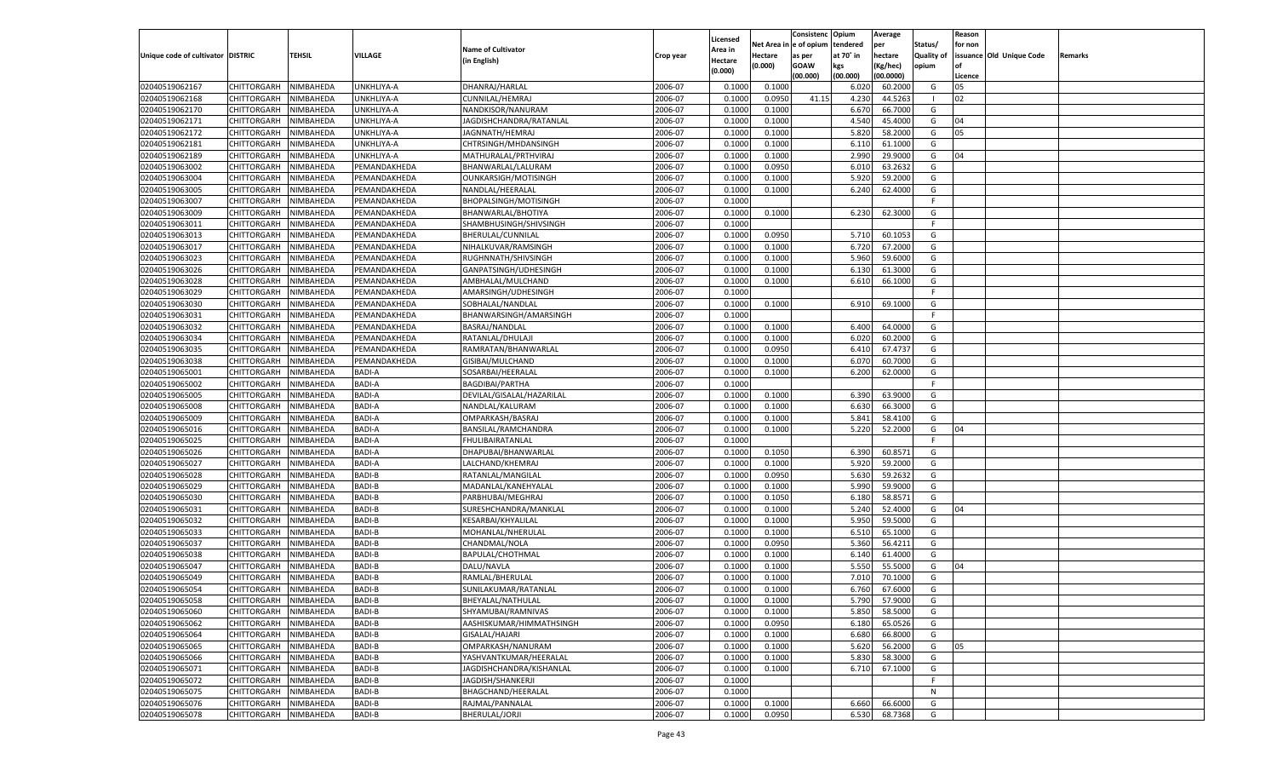|                                   |                       |               |               |                           |                    |                    |            | Consistenc Opium |           | Average   |                   | Reason  |                          |                |
|-----------------------------------|-----------------------|---------------|---------------|---------------------------|--------------------|--------------------|------------|------------------|-----------|-----------|-------------------|---------|--------------------------|----------------|
|                                   |                       |               |               | <b>Name of Cultivator</b> |                    | Licensed           | Net Area i | n  e of opium    | tendered  | per       | Status/           | for non |                          |                |
| Unique code of cultivator DISTRIC |                       | <b>TEHSIL</b> | VILLAGE       |                           | Crop year          | \rea in            | Hectare    | as per           | at 70° in | hectare   | <b>Quality of</b> |         | issuance Old Unique Code | <b>Remarks</b> |
|                                   |                       |               |               | (in English)              |                    | Hectare<br>(0.000) | (0.000)    | <b>GOAW</b>      | kgs       | (Kg/hec)  | opium             |         |                          |                |
|                                   |                       |               |               |                           |                    |                    |            | (00.000)         | (00.000)  | (00.0000) |                   | Licence |                          |                |
| 02040519062167                    | CHITTORGARH           | NIMBAHEDA     | UNKHLIYA-A    | DHANRAJ/HARLAL            | 2006-07            | 0.1000             | 0.1000     |                  | 6.02(     | 60.2000   | G                 | 05      |                          |                |
| 02040519062168                    | CHITTORGARH           | NIMBAHEDA     | UNKHLIYA-A    | CUNNILAL/HEMRAJ           | 2006-07            | 0.1000             | 0.0950     | 41.15            | 4.23      | 44.5263   |                   | 02      |                          |                |
| 02040519062170                    | CHITTORGARH           | NIMBAHEDA     | UNKHLIYA-A    | NANDKISOR/NANURAM         | 2006-07            | 0.1000             | 0.1000     |                  | 6.670     | 66.7000   | G                 |         |                          |                |
| 02040519062171                    | CHITTORGARH           | NIMBAHEDA     | UNKHLIYA-A    | JAGDISHCHANDRA/RATANLAL   | 2006-07            | 0.1000             | 0.1000     |                  | 4.540     | 45.4000   | G                 | 04      |                          |                |
| 02040519062172                    | CHITTORGARH           | NIMBAHEDA     | UNKHLIYA-A    | JAGNNATH/HEMRAJ           | 2006-07            | 0.1000             | 0.1000     |                  | 5.820     | 58.2000   | G                 | 05      |                          |                |
| 02040519062181                    | CHITTORGARH           | NIMBAHEDA     | UNKHLIYA-A    | CHTRSINGH/MHDANSINGH      | 2006-07            | 0.1000             | 0.1000     |                  | 6.11      | 61.1000   | G                 |         |                          |                |
| 02040519062189                    | CHITTORGARH           | NIMBAHEDA     | UNKHLIYA-A    | MATHURALAL/PRTHVIRAJ      | 2006-07            | 0.1000             | 0.1000     |                  | 2.990     | 29.9000   | G                 | 04      |                          |                |
| 02040519063002                    | CHITTORGARH           | NIMBAHEDA     | PEMANDAKHEDA  | BHANWARLAL/LALURAM        | 2006-07            | 0.1000             | 0.0950     |                  | 6.010     | 63.2632   | G                 |         |                          |                |
| 02040519063004                    | CHITTORGARH           | NIMBAHEDA     | PEMANDAKHEDA  | OUNKARSIGH/MOTISINGH      | 2006-07            | 0.1000             | 0.1000     |                  | 5.920     | 59.2000   | G                 |         |                          |                |
| 02040519063005                    | CHITTORGARH           | NIMBAHEDA     | PEMANDAKHEDA  | NANDLAL/HEERALAL          | 2006-07            | 0.1000             | 0.1000     |                  | 6.240     | 62.4000   | G                 |         |                          |                |
| 02040519063007                    | CHITTORGARH           | NIMBAHEDA     | PEMANDAKHEDA  | BHOPALSINGH/MOTISINGH     | 2006-07            | 0.1000             |            |                  |           |           | F                 |         |                          |                |
| 02040519063009                    | CHITTORGARH           | NIMBAHEDA     | PEMANDAKHEDA  | BHANWARLAL/BHOTIYA        | 2006-07            | 0.1000             | 0.1000     |                  | 6.230     | 62.3000   | G                 |         |                          |                |
| 02040519063011                    | CHITTORGARH           | NIMBAHEDA     | PEMANDAKHEDA  | SHAMBHUSINGH/SHIVSINGH    | 2006-07            | 0.1000             |            |                  |           |           | F                 |         |                          |                |
| 02040519063013                    | CHITTORGARH           | NIMBAHEDA     | PEMANDAKHEDA  | BHERULAL/CUNNILAL         | 2006-07            | 0.1000             | 0.0950     |                  | 5.710     | 60.105    | G                 |         |                          |                |
| 02040519063017                    | CHITTORGARH           | NIMBAHEDA     | PEMANDAKHEDA  | NIHALKUVAR/RAMSINGH       | 2006-07            | 0.1000             | 0.1000     |                  | 6.720     | 67.2000   | G                 |         |                          |                |
| 02040519063023                    | CHITTORGARH           | NIMBAHEDA     | PEMANDAKHEDA  | RUGHNNATH/SHIVSINGH       | 2006-07            | 0.1000             | 0.1000     |                  | 5.960     | 59.6000   | G                 |         |                          |                |
| 02040519063026                    | CHITTORGARH           | NIMBAHEDA     | PEMANDAKHEDA  | GANPATSINGH/UDHESINGH     | 2006-07            | 0.1000             | 0.1000     |                  | 6.130     | 61.3000   | G                 |         |                          |                |
| 02040519063028                    | CHITTORGARH           | NIMBAHEDA     | PEMANDAKHEDA  | AMBHALAL/MULCHAND         | 2006-07            | 0.1000             | 0.1000     |                  | 6.610     | 66.1000   | G                 |         |                          |                |
| 02040519063029                    | CHITTORGARH           | NIMBAHEDA     | PEMANDAKHEDA  | AMARSINGH/UDHESINGH       | 2006-07            | 0.1000             |            |                  |           |           | F.                |         |                          |                |
| 02040519063030                    | CHITTORGARH           | NIMBAHEDA     | PEMANDAKHEDA  | SOBHALAL/NANDLAL          | 2006-07            | 0.1000             | 0.1000     |                  | 6.910     | 69.1000   | G                 |         |                          |                |
| 02040519063031                    | CHITTORGARH           | NIMBAHEDA     | PEMANDAKHEDA  | BHANWARSINGH/AMARSINGH    | 2006-07            | 0.1000             |            |                  |           |           | F.                |         |                          |                |
| 02040519063032                    | CHITTORGARH           | NIMBAHEDA     | PEMANDAKHEDA  | BASRAJ/NANDLAL            | 2006-07            | 0.1000             | 0.1000     |                  | 6.400     | 64.0000   | G                 |         |                          |                |
| 02040519063034                    | CHITTORGARH           | NIMBAHEDA     | PEMANDAKHEDA  | RATANLAL/DHULAJI          | 2006-07            | 0.1000             | 0.1000     |                  | 6.020     | 60.2000   | G                 |         |                          |                |
|                                   |                       |               |               |                           |                    | 0.1000             |            |                  | 6.410     | 67.4737   |                   |         |                          |                |
| 02040519063035<br>02040519063038  | CHITTORGARH           | NIMBAHEDA     | PEMANDAKHEDA  | RAMRATAN/BHANWARLAL       | 2006-07<br>2006-07 |                    | 0.0950     |                  |           |           | G                 |         |                          |                |
| 02040519065001                    | CHITTORGARH           | NIMBAHEDA     | PEMANDAKHEDA  | GISIBAI/MULCHAND          |                    | 0.1000             | 0.1000     |                  | 6.070     | 60.7000   | G                 |         |                          |                |
|                                   | CHITTORGARH           | NIMBAHEDA     | BADI-A        | SOSARBAI/HEERALAI         | 2006-07            | 0.1000             | 0.1000     |                  | 6.200     | 62.0000   | G<br>F.           |         |                          |                |
| 02040519065002                    | CHITTORGARH           | NIMBAHEDA     | BADI-A        | <b>BAGDIBAI/PARTHA</b>    | 2006-07            | 0.1000             |            |                  |           |           |                   |         |                          |                |
| 02040519065005                    | CHITTORGARH           | NIMBAHEDA     | BADI-A        | DEVILAL/GISALAL/HAZARILAL | 2006-07            | 0.1000             | 0.1000     |                  | 6.390     | 63.9000   | G                 |         |                          |                |
| 02040519065008                    | CHITTORGARH           | NIMBAHEDA     | <b>BADI-A</b> | NANDLAL/KALURAM           | 2006-07            | 0.1000             | 0.1000     |                  | 6.630     | 66.3000   | G                 |         |                          |                |
| 02040519065009                    | CHITTORGARH           | NIMBAHEDA     | BADI-A        | OMPARKASH/BASRAJ          | 2006-07            | 0.1000             | 0.1000     |                  | 5.841     | 58.4100   | G                 |         |                          |                |
| 02040519065016                    | CHITTORGARH           | NIMBAHEDA     | <b>BADI-A</b> | BANSILAL/RAMCHANDRA       | 2006-07            | 0.1000             | 0.1000     |                  | 5.220     | 52.2000   | G                 | 04      |                          |                |
| 02040519065025                    | CHITTORGARH           | NIMBAHEDA     | BADI-A        | FHULIBAIRATANLAL          | 2006-07            | 0.1000             |            |                  |           |           | F.                |         |                          |                |
| 02040519065026                    | CHITTORGARH           | NIMBAHEDA     | <b>BADI-A</b> | DHAPUBAI/BHANWARLAL       | 2006-07            | 0.1000             | 0.1050     |                  | 6.390     | 60.8571   | G                 |         |                          |                |
| 02040519065027                    | CHITTORGARH           | NIMBAHEDA     | BADI-A        | LALCHAND/KHEMRAJ          | 2006-07            | 0.1000             | 0.1000     |                  | 5.920     | 59.2000   | G                 |         |                          |                |
| 02040519065028                    | CHITTORGARH           | NIMBAHEDA     | <b>BADI-B</b> | RATANLAL/MANGILAL         | 2006-07            | 0.1000             | 0.0950     |                  | 5.630     | 59.2632   | G                 |         |                          |                |
| 02040519065029                    | CHITTORGARH           | NIMBAHEDA     | <b>BADI-B</b> | MADANLAL/KANEHYALAL       | 2006-07            | 0.1000             | 0.1000     |                  | 5.990     | 59.9000   | G                 |         |                          |                |
| 02040519065030                    | CHITTORGARH           | NIMBAHEDA     | <b>BADI-B</b> | PARBHUBAI/MEGHRAJ         | 2006-07            | 0.1000             | 0.1050     |                  | 6.180     | 58.8571   | G                 |         |                          |                |
| 02040519065031                    | CHITTORGARH           | NIMBAHEDA     | <b>BADI-B</b> | SURESHCHANDRA/MANKLAL     | 2006-07            | 0.1000             | 0.1000     |                  | 5.240     | 52.4000   | G                 | 04      |                          |                |
| 02040519065032                    | CHITTORGARH           | NIMBAHEDA     | <b>BADI-B</b> | KESARBAI/KHYALILAL        | 2006-07            | 0.1000             | 0.1000     |                  | 5.950     | 59.5000   | G                 |         |                          |                |
| 02040519065033                    | CHITTORGARH           | NIMBAHEDA     | <b>BADI-B</b> | MOHANLAL/NHERULAL         | 2006-07            | 0.1000             | 0.1000     |                  | 6.510     | 65.1000   | G                 |         |                          |                |
| 02040519065037                    | CHITTORGARH           | NIMBAHEDA     | <b>BADI-B</b> | CHANDMAL/NOLA             | 2006-07            | 0.1000             | 0.0950     |                  | 5.360     | 56.4211   | G                 |         |                          |                |
| 02040519065038                    | CHITTORGARH           | NIMBAHEDA     | <b>BADI-B</b> | BAPULAL/CHOTHMAL          | 2006-07            | 0.1000             | 0.1000     |                  | 6.140     | 61.4000   | G                 |         |                          |                |
| 02040519065047                    | CHITTORGARH           | NIMBAHEDA     | <b>BADI-B</b> | DALU/NAVLA                | 2006-07            | 0.1000             | 0.1000     |                  | 5.550     | 55.5000   | G                 | 04      |                          |                |
| 02040519065049                    | CHITTORGARH           | NIMBAHEDA     | <b>BADI-B</b> | RAMLAL/BHERULAL           | 2006-07            | 0.1000             | 0.1000     |                  | 7.01      | 70.1000   | G                 |         |                          |                |
| 02040519065054                    | CHITTORGARH           | NIMBAHEDA     | <b>BADI-B</b> | SUNILAKUMAR/RATANLAL      | 2006-07            | 0.1000             | 0.1000     |                  | 6.760     | 67.6000   | G                 |         |                          |                |
| 02040519065058                    | CHITTORGARH NIMBAHEDA |               | <b>BADI-B</b> | BHEYALAL/NATHULAL         | 2006-07            | 0.1000             | 0.1000     |                  | 5.790     | 57.9000   | G                 |         |                          |                |
| 02040519065060                    | CHITTORGARH           | NIMBAHEDA     | <b>BADI-B</b> | SHYAMUBAI/RAMNIVAS        | 2006-07            | 0.1000             | 0.1000     |                  | 5.850     | 58.5000   | G                 |         |                          |                |
| 02040519065062                    | CHITTORGARH           | NIMBAHEDA     | BADI-B        | AASHISKUMAR/HIMMATHSINGH  | 2006-07            | 0.1000             | 0.0950     |                  | 6.180     | 65.0526   | G                 |         |                          |                |
| 02040519065064                    | <b>CHITTORGARH</b>    | NIMBAHEDA     | BADI-B        | GISALAL/HAJARI            | 2006-07            | 0.1000             | 0.1000     |                  | 6.680     | 66.8000   | G                 |         |                          |                |
| 02040519065065                    | <b>CHITTORGARH</b>    | NIMBAHEDA     | BADI-B        | OMPARKASH/NANURAM         | 2006-07            | 0.1000             | 0.1000     |                  | 5.620     | 56.2000   | G                 | 05      |                          |                |
| 02040519065066                    | <b>CHITTORGARH</b>    | NIMBAHEDA     | BADI-B        | YASHVANTKUMAR/HEERALAL    | 2006-07            | 0.1000             | 0.1000     |                  | 5.830     | 58.3000   | G                 |         |                          |                |
| 02040519065071                    | CHITTORGARH           | NIMBAHEDA     | BADI-B        | JAGDISHCHANDRA/KISHANLAL  | 2006-07            | 0.1000             | 0.1000     |                  | 6.710     | 67.1000   | G                 |         |                          |                |
| 02040519065072                    | <b>CHITTORGARH</b>    | NIMBAHEDA     | BADI-B        | JAGDISH/SHANKERJI         | 2006-07            | 0.1000             |            |                  |           |           | F.                |         |                          |                |
| 02040519065075                    | <b>CHITTORGARH</b>    | NIMBAHEDA     | BADI-B        | BHAGCHAND/HEERALAL        | 2006-07            | 0.1000             |            |                  |           |           | N                 |         |                          |                |
| 02040519065076                    | <b>CHITTORGARH</b>    | NIMBAHEDA     | <b>BADI-B</b> | RAJMAL/PANNALAL           | 2006-07            | 0.1000             | 0.1000     |                  | 6.660     | 66.6000   | G                 |         |                          |                |
| 02040519065078                    | CHITTORGARH           | NIMBAHEDA     | <b>BADI-B</b> | BHERULAL/JORJI            | 2006-07            | 0.1000             | 0.0950     |                  | 6.530     | 68.7368   | G                 |         |                          |                |
|                                   |                       |               |               |                           |                    |                    |            |                  |           |           |                   |         |                          |                |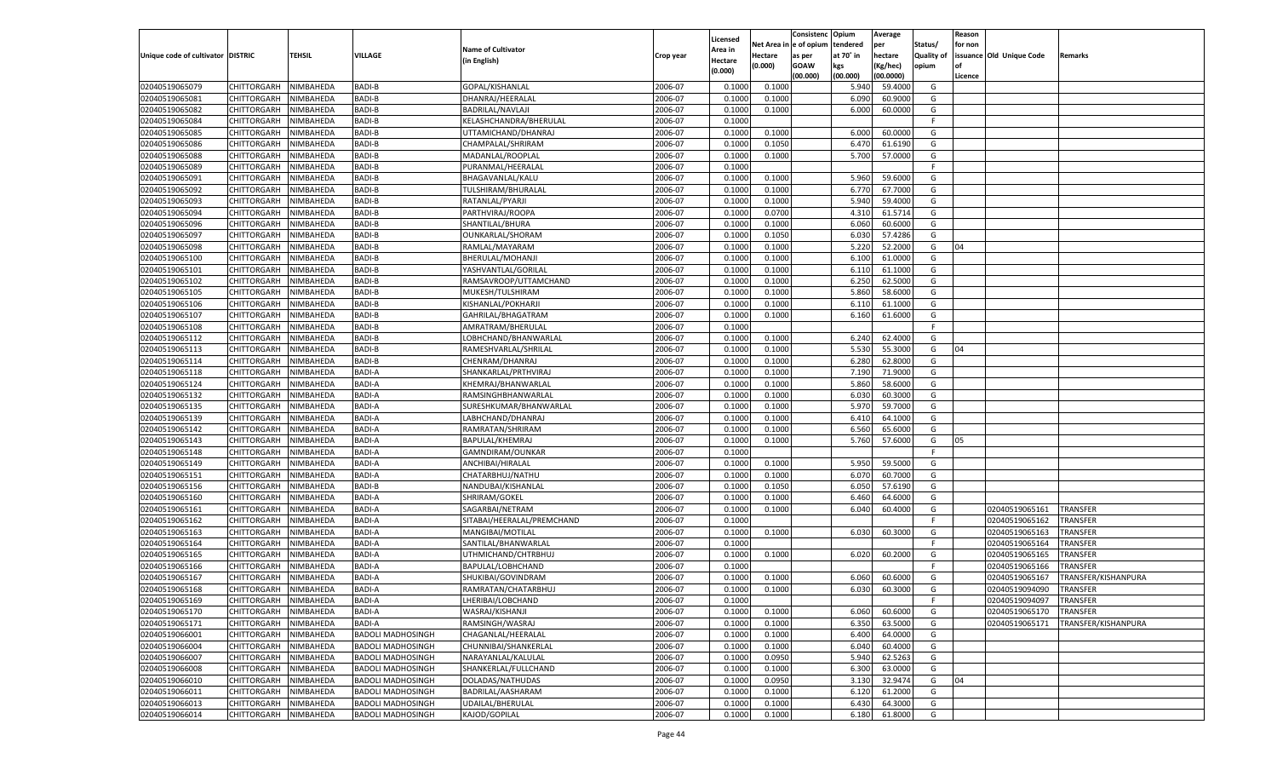|                                   |                            |                        |                                |                                         |                    |                     |             | Consistenc    | Opium     | Average   |                   | Reason  |                                  |                     |
|-----------------------------------|----------------------------|------------------------|--------------------------------|-----------------------------------------|--------------------|---------------------|-------------|---------------|-----------|-----------|-------------------|---------|----------------------------------|---------------------|
|                                   |                            |                        |                                | <b>Name of Cultivator</b>               |                    | Licensed<br>Area in | Net Area iı | n  e of opium | tendered  | per       | Status/           | for non |                                  |                     |
| Unique code of cultivator DISTRIC |                            | TEHSIL                 | <b>VILLAGE</b>                 | (in English)                            | Crop year          | Hectare             | Hectare     | as per        | at 70° in | hectare   | <b>Quality of</b> |         | issuance Old Unique Code         | Remarks             |
|                                   |                            |                        |                                |                                         |                    | (0.000)             | (0.000)     | <b>GOAW</b>   | kgs       | (Kg/hec)  | opium             |         |                                  |                     |
|                                   |                            |                        |                                |                                         |                    |                     |             | (00.000)      | (00.000)  | (00.0000) |                   | Licence |                                  |                     |
| 02040519065079                    | CHITTORGARH                | NIMBAHEDA              | <b>BADI-B</b>                  | GOPAL/KISHANLAL                         | 2006-07            | 0.100               | 0.1000      |               | 5.940     | 59.4000   | G                 |         |                                  |                     |
| 02040519065081                    | CHITTORGARH                | NIMBAHEDA              | <b>BADI-B</b>                  | DHANRAJ/HEERALAI                        | 2006-07            | 0.1000              | 0.1000      |               | 6.090     | 60.9000   | G                 |         |                                  |                     |
| 02040519065082                    | CHITTORGARH                | NIMBAHEDA              | <b>BADI-B</b>                  | BADRILAL/NAVLAJI                        | 2006-07            | 0.1000              | 0.1000      |               | 6.000     | 60.0000   | G                 |         |                                  |                     |
| 02040519065084                    | CHITTORGARH                | NIMBAHEDA              | BADI-B                         | KELASHCHANDRA/BHERULAL                  | 2006-07            | 0.1000              |             |               |           |           | E                 |         |                                  |                     |
| 02040519065085                    | CHITTORGARH                | NIMBAHEDA              | <b>BADI-B</b>                  | UTTAMICHAND/DHANRAJ                     | 2006-07            | 0.1000              | 0.1000      |               | 6.000     | 60.0000   | G                 |         |                                  |                     |
| 02040519065086                    | CHITTORGARH                | NIMBAHEDA              | <b>BADI-B</b>                  | CHAMPALAL/SHRIRAM                       | 2006-07            | 0.1000              | 0.1050      |               | 6.47      | 61.6190   | G                 |         |                                  |                     |
| 02040519065088                    | CHITTORGARH                | NIMBAHEDA              | <b>BADI-B</b>                  | MADANLAL/ROOPLAL                        | 2006-07            | 0.1000              | 0.1000      |               | 5.700     | 57.0000   | G                 |         |                                  |                     |
| 02040519065089                    | CHITTORGARH                | NIMBAHEDA              | BADI-B                         | PURANMAL/HEERALAL                       | 2006-07            | 0.1000              |             |               |           |           | E                 |         |                                  |                     |
| 02040519065091                    | CHITTORGARH                | NIMBAHEDA              | <b>BADI-B</b>                  | BHAGAVANLAL/KALU                        | 2006-07            | 0.1000              | 0.1000      |               | 5.960     | 59.6000   | G                 |         |                                  |                     |
| 02040519065092                    | CHITTORGARH                | NIMBAHEDA              | <b>BADI-B</b>                  | TULSHIRAM/BHURALAL                      | 2006-07            | 0.1000              | 0.1000      |               | 6.770     | 67.7000   | G                 |         |                                  |                     |
| 02040519065093                    | CHITTORGARH                | NIMBAHEDA              | <b>BADI-B</b>                  | RATANLAL/PYARJI                         | 2006-07            | 0.1000              | 0.1000      |               | 5.940     | 59.4000   | G                 |         |                                  |                     |
| 02040519065094                    | CHITTORGARH                | NIMBAHEDA              | BADI-B                         | PARTHVIRAJ/ROOPA                        | 2006-07            | 0.1000              | 0.0700      |               | 4.310     | 61.5714   | G                 |         |                                  |                     |
| 02040519065096                    | CHITTORGARH                | NIMBAHEDA              | <b>BADI-B</b>                  | SHANTILAL/BHURA                         | 2006-07            | 0.1000              | 0.1000      |               | 6.060     | 60.6000   | G                 |         |                                  |                     |
| 02040519065097                    | CHITTORGARH                | NIMBAHEDA              | <b>BADI-B</b>                  | OUNKARLAL/SHORAM                        | 2006-07            | 0.1000              | 0.1050      |               | 6.030     | 57.4286   | G                 |         |                                  |                     |
| 02040519065098                    | CHITTORGARH                | NIMBAHEDA              | <b>BADI-B</b>                  | RAMLAL/MAYARAM                          | 2006-07            | 0.1000              | 0.1000      |               | 5.220     | 52.2000   | G                 | 04      |                                  |                     |
| 02040519065100                    | CHITTORGARH                | NIMBAHEDA              | <b>BADI-B</b>                  | BHERULAL/MOHANJI                        | 2006-07            | 0.1000              | 0.1000      |               | 6.100     | 61.0000   | G                 |         |                                  |                     |
| 02040519065101                    | CHITTORGARH                | NIMBAHEDA              | <b>BADI-B</b>                  | YASHVANTLAL/GORILAL                     | 2006-07            | 0.1000              | 0.1000      |               | 6.110     | 61.1000   | G                 |         |                                  |                     |
| 02040519065102                    | CHITTORGARH                | NIMBAHEDA              | <b>BADI-B</b>                  | RAMSAVROOP/UTTAMCHAND                   | 2006-07            | 0.1000              | 0.1000      |               | 6.250     | 62.5000   | G                 |         |                                  |                     |
| 02040519065105                    | CHITTORGARH                | NIMBAHEDA              | <b>BADI-B</b>                  | MUKESH/TULSHIRAM                        | 2006-07            | 0.1000              | 0.1000      |               | 5.860     | 58.6000   | G                 |         |                                  |                     |
| 02040519065106                    | CHITTORGARH                | NIMBAHEDA              | <b>BADI-B</b>                  | KISHANLAL/POKHARJI                      | 2006-07            | 0.1000              | 0.1000      |               | 6.110     | 61.1000   | G                 |         |                                  |                     |
| 02040519065107                    | CHITTORGARH                | NIMBAHEDA              | <b>BADI-B</b>                  | GAHRILAL/BHAGATRAM                      | 2006-07            | 0.1000              | 0.1000      |               | 6.160     | 61.6000   | G                 |         |                                  |                     |
| 02040519065108                    | CHITTORGARH                | NIMBAHEDA              | <b>BADI-B</b>                  | AMRATRAM/BHERULAL                       | 2006-07            | 0.1000              |             |               |           |           | F.                |         |                                  |                     |
| 02040519065112                    | CHITTORGARH                | NIMBAHEDA              | <b>BADI-B</b>                  | LOBHCHAND/BHANWARLAL                    | 2006-07            | 0.1000              | 0.1000      |               | 6.240     | 62.4000   | G                 |         |                                  |                     |
| 02040519065113                    | CHITTORGARH                | NIMBAHEDA              | <b>BADI-B</b>                  | RAMESHVARLAL/SHRILAL                    | 2006-07            | 0.1000              | 0.1000      |               | 5.530     | 55.3000   | G                 | 04      |                                  |                     |
| 02040519065114                    | CHITTORGARH                | NIMBAHEDA              | <b>BADI-B</b>                  | CHENRAM/DHANRAJ                         | 2006-07            | 0.1000              | 0.1000      |               | 6.280     | 62.8000   | G                 |         |                                  |                     |
| 02040519065118                    | CHITTORGARH                | NIMBAHEDA              | BADI-A                         | SHANKARLAL/PRTHVIRAJ                    | 2006-07            | 0.1000              | 0.1000      |               | 7.190     | 71.9000   | G                 |         |                                  |                     |
| 02040519065124                    | CHITTORGARH                | NIMBAHEDA              | <b>BADI-A</b>                  | KHEMRAJ/BHANWARLAL                      | 2006-07            | 0.1000              | 0.1000      |               | 5.860     | 58.6000   | G                 |         |                                  |                     |
| 02040519065132                    | CHITTORGARH                | NIMBAHEDA              | BADI-A                         | RAMSINGHBHANWARLAI                      | 2006-07            | 0.1000              | 0.1000      |               | 6.030     | 60.3000   | G                 |         |                                  |                     |
| 02040519065135                    | CHITTORGARH                | NIMBAHEDA              | <b>BADI-A</b>                  | SURESHKUMAR/BHANWARLAL                  | 2006-07            | 0.1000              | 0.1000      |               | 5.970     | 59.7000   | G                 |         |                                  |                     |
| 02040519065139                    | CHITTORGARH                | NIMBAHEDA              | <b>BADI-A</b>                  | LABHCHAND/DHANRAJ                       | 2006-07            | 0.1000              | 0.1000      |               | 6.410     | 64.1000   | G                 |         |                                  |                     |
| 02040519065142                    | CHITTORGARH                | NIMBAHEDA              | <b>BADI-A</b>                  | RAMRATAN/SHRIRAM                        | 2006-07            | 0.1000              | 0.1000      |               | 6.560     | 65.6000   | G                 |         |                                  |                     |
| 02040519065143                    | CHITTORGARH                | NIMBAHEDA              | <b>BADI-A</b>                  | BAPULAL/KHEMRAJ                         | 2006-07            | 0.1000              | 0.1000      |               | 5.760     | 57.6000   | G                 | 05      |                                  |                     |
| 02040519065148                    | CHITTORGARH                | NIMBAHEDA              | <b>BADI-A</b>                  | GAMNDIRAM/OUNKAR                        | 2006-07            | 0.1000              |             |               |           |           | F.                |         |                                  |                     |
| 02040519065149                    | CHITTORGARH                | NIMBAHEDA              | <b>BADI-A</b>                  | ANCHIBAI/HIRALAL                        | 2006-07            | 0.1000              | 0.1000      |               | 5.950     | 59.5000   | G                 |         |                                  |                     |
| 02040519065151                    | CHITTORGARH                | NIMBAHEDA              | <b>BADI-A</b>                  | CHATARBHUJ/NATHU                        | 2006-07            | 0.1000              | 0.1000      |               | 6.070     | 60.7000   | G                 |         |                                  |                     |
| 02040519065156                    | CHITTORGARH                | NIMBAHEDA              | <b>BADI-B</b>                  | NANDUBAI/KISHANLAL                      | 2006-07            | 0.1000              | 0.1050      |               | 6.050     | 57.6190   | G                 |         |                                  |                     |
| 02040519065160                    | CHITTORGARH                | NIMBAHEDA              | <b>BADI-A</b>                  | SHRIRAM/GOKEL                           | 2006-07            | 0.1000              | 0.1000      |               | 6.460     | 64.6000   | G                 |         |                                  |                     |
| 02040519065161                    | CHITTORGARH                | NIMBAHEDA              | <b>BADI-A</b>                  | SAGARBAI/NETRAM                         | 2006-07            | 0.1000              | 0.1000      |               | 6.040     | 60.4000   | G                 |         | 02040519065161                   | <b>TRANSFER</b>     |
| 02040519065162                    | CHITTORGARH                | NIMBAHEDA              | <b>BADI-A</b>                  | SITABAI/HEERALAL/PREMCHAND              | 2006-07            | 0.1000              |             |               |           |           | F.                |         | 02040519065162                   | TRANSFER            |
| 02040519065163                    |                            |                        | <b>BADI-A</b>                  |                                         | 2006-07            | 0.1000              | 0.1000      |               | 6.030     | 60.3000   | G                 |         |                                  | TRANSFER            |
| 02040519065164                    | CHITTORGARH                | NIMBAHEDA<br>NIMBAHEDA | <b>BADI-A</b>                  | MANGIBAI/MOTILAL                        | 2006-07            | 0.1000              |             |               |           |           | F.                |         | 02040519065163<br>02040519065164 | TRANSFER            |
| 02040519065165                    | CHITTORGARH<br>CHITTORGARH |                        | <b>BADI-A</b>                  | SANTILAL/BHANWARLAL                     | 2006-07            | 0.1000              |             |               |           | 60.2000   | G                 |         |                                  |                     |
|                                   |                            | NIMBAHEDA              | <b>BADI-A</b>                  | UTHMICHAND/CHTRBHUJ                     | 2006-07            |                     | 0.1000      |               | 6.020     |           | E                 |         | 02040519065165                   | TRANSFER            |
| 02040519065166                    | CHITTORGARH                | NIMBAHEDA              |                                | BAPULAL/LOBHCHAND<br>SHUKIBAI/GOVINDRAM |                    | 0.1000              |             |               |           | 60.6000   |                   |         | 02040519065166                   | TRANSFER            |
| 02040519065167                    | CHITTORGARH                | NIMBAHEDA<br>NIMBAHEDA | <b>BADI-A</b><br><b>BADI-A</b> |                                         | 2006-07<br>2006-07 | 0.1000              | 0.1000      |               | 6.060     | 60.3000   | G                 |         | 02040519065167<br>02040519094090 | TRANSFER/KISHANPURA |
| 02040519065168                    | CHITTORGARH                |                        |                                | RAMRATAN/CHATARBHUJ                     |                    | 0.1000              | 0.1000      |               | 6.030     |           | G                 |         |                                  | TRANSFER            |
| 02040519065169                    | CHITTORGARH NIMBAHEDA      |                        | <b>BADI-A</b>                  | LHERIBAI/LOBCHAND                       | 2006-07            | 0.1000              |             |               |           |           |                   |         | 02040519094097                   | <b>TRANSFER</b>     |
| 02040519065170                    | <b>CHITTORGARH</b>         | NIMBAHEDA              | <b>BADI-A</b>                  | WASRAJ/KISHANJI                         | 2006-07            | 0.1000              | 0.1000      |               | 6.060     | 60.6000   | G                 |         | 02040519065170                   | <b>TRANSFER</b>     |
| 02040519065171                    | <b>CHITTORGARH</b>         | NIMBAHEDA              | <b>BADI-A</b>                  | RAMSINGH/WASRAJ                         | 2006-07            | 0.1000              | 0.1000      |               | 6.350     | 63.5000   | G                 |         | 02040519065171                   | TRANSFER/KISHANPURA |
| 02040519066001                    | CHITTORGARH                | NIMBAHEDA              | <b>BADOLI MADHOSINGH</b>       | CHAGANLAL/HEERALAL                      | 2006-07            | 0.1000              | 0.1000      |               | 6.400     | 64.0000   | G                 |         |                                  |                     |
| 02040519066004                    | CHITTORGARH                | NIMBAHEDA              | <b>BADOLI MADHOSINGH</b>       | CHUNNIBAI/SHANKERLAL                    | 2006-07            | 0.1000              | 0.1000      |               | 6.040     | 60.4000   | G                 |         |                                  |                     |
| 02040519066007                    | <b>CHITTORGARH</b>         | NIMBAHEDA              | <b>BADOLI MADHOSINGH</b>       | NARAYANLAL/KALULAL                      | 2006-07            | 0.1000              | 0.0950      |               | 5.940     | 62.5263   | G                 |         |                                  |                     |
| 02040519066008                    | CHITTORGARH                | NIMBAHEDA              | <b>BADOLI MADHOSINGH</b>       | SHANKERLAL/FULLCHAND                    | 2006-07            | 0.1000              | 0.1000      |               | 6.300     | 63.0000   | G                 |         |                                  |                     |
| 02040519066010                    | CHITTORGARH                | NIMBAHEDA              | <b>BADOLI MADHOSINGH</b>       | DOLADAS/NATHUDAS                        | 2006-07            | 0.1000              | 0.0950      |               | 3.130     | 32.9474   | G                 | 04      |                                  |                     |
| 02040519066011                    | <b>CHITTORGARH</b>         | NIMBAHEDA              | <b>BADOLI MADHOSINGH</b>       | BADRILAL/AASHARAM                       | 2006-07            | 0.1000              | 0.1000      |               | 6.120     | 61.2000   | G                 |         |                                  |                     |
| 02040519066013                    | <b>CHITTORGARH</b>         | NIMBAHEDA              | <b>BADOLI MADHOSINGH</b>       | UDAILAL/BHERULAL                        | 2006-07            | 0.1000              | 0.1000      |               | 6.430     | 64.3000   | G                 |         |                                  |                     |
| 02040519066014                    | <b>CHITTORGARH</b>         | NIMBAHEDA              | <b>BADOLI MADHOSINGH</b>       | KAJOD/GOPILAL                           | 2006-07            | 0.1000              | 0.1000      |               | 6.180     | 61.8000   | G                 |         |                                  |                     |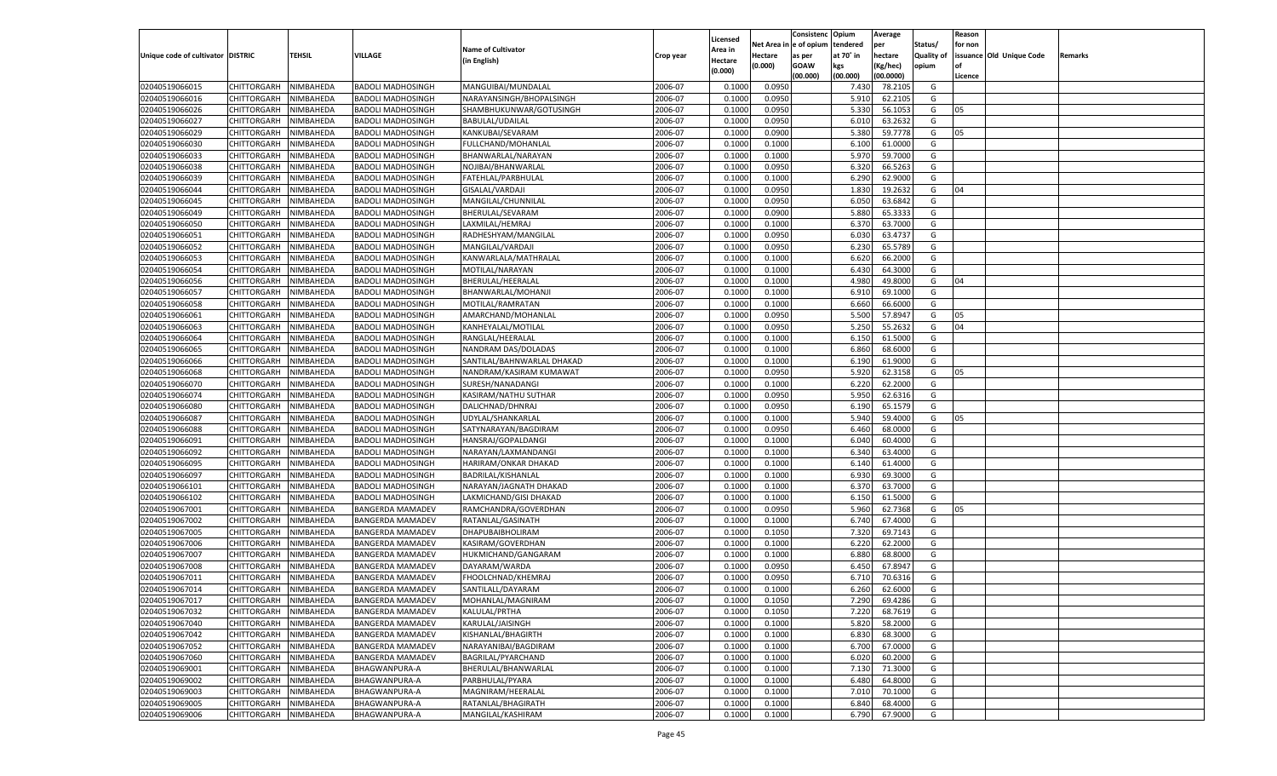|                                   |                       |               |                                                      |                            |           |                           |          | Consistenc  | Opium     | Average   |                   | Reason  |                          |         |
|-----------------------------------|-----------------------|---------------|------------------------------------------------------|----------------------------|-----------|---------------------------|----------|-------------|-----------|-----------|-------------------|---------|--------------------------|---------|
|                                   |                       |               |                                                      | <b>Name of Cultivator</b>  |           | Licensed                  | Net Area | e of opium  | tendered  | per       | Status/           | for non |                          |         |
| Unique code of cultivator DISTRIC |                       | <b>TEHSIL</b> | VILLAGE                                              | (in English)               | Crop year | <b>Area in</b><br>Hectare | Hectare  | as per      | at 70° in | hectare   | <b>Quality of</b> |         | issuance Old Unique Code | Remarks |
|                                   |                       |               |                                                      |                            |           | (0.000)                   | (0.000)  | <b>GOAW</b> | kgs       | (Kg/hec)  | opium             |         |                          |         |
|                                   |                       |               |                                                      |                            |           |                           |          | (00.000)    | (00.000)  | (00.0000) |                   | Licence |                          |         |
| 02040519066015                    | CHITTORGARH           | NIMBAHEDA     | <b>BADOLI MADHOSINGH</b>                             | MANGUIBAI/MUNDALAL         | 2006-07   | 0.1000                    | 0.0950   |             | 7.430     | 78.210    | G                 |         |                          |         |
| 02040519066016                    | CHITTORGARH           | NIMBAHEDA     | <b>BADOLI MADHOSINGH</b>                             | NARAYANSINGH/BHOPALSINGH   | 2006-07   | 0.1000                    | 0.0950   |             | 5.910     | 62.2105   | G                 |         |                          |         |
| 02040519066026                    | CHITTORGARH           | NIMBAHEDA     | <b>BADOLI MADHOSINGH</b>                             | SHAMBHUKUNWAR/GOTUSINGH    | 2006-07   | 0.1000                    | 0.0950   |             | 5.330     | 56.105    | G                 | 05      |                          |         |
| 02040519066027                    | CHITTORGARH           | NIMBAHEDA     | <b>BADOLI MADHOSINGH</b>                             | <b>BABULAL/UDAILAL</b>     | 2006-07   | 0.1000                    | 0.0950   |             | 6.010     | 63.2632   | G                 |         |                          |         |
| 02040519066029                    | CHITTORGARH           | NIMBAHEDA     | <b>BADOLI MADHOSINGH</b>                             | KANKUBAI/SEVARAM           | 2006-07   | 0.1000                    | 0.0900   |             | 5.380     | 59.7778   | G                 | 05      |                          |         |
| 02040519066030                    | CHITTORGARH           | NIMBAHEDA     | <b>BADOLI MADHOSINGH</b>                             | FULLCHAND/MOHANLAI         | 2006-07   | 0.1000                    | 0.1000   |             | 6.100     | 61.0000   | G                 |         |                          |         |
| 02040519066033                    | CHITTORGARH           | NIMBAHEDA     | <b>BADOLI MADHOSINGH</b>                             | BHANWARLAL/NARAYAN         | 2006-07   | 0.1000                    | 0.1000   |             | 5.970     | 59.7000   | G                 |         |                          |         |
| 02040519066038                    | CHITTORGARH           | NIMBAHEDA     | <b>BADOLI MADHOSINGH</b>                             | NOJIBAI/BHANWARLAL         | 2006-07   | 0.1000                    | 0.0950   |             | 6.320     | 66.5263   | G                 |         |                          |         |
| 02040519066039                    | CHITTORGARH           | NIMBAHEDA     | <b>BADOLI MADHOSINGH</b>                             | FATEHLAL/PARBHULAL         | 2006-07   | 0.1000                    | 0.1000   |             | 6.290     | 62.9000   | G                 |         |                          |         |
| 02040519066044                    | CHITTORGARH           | NIMBAHEDA     | <b>BADOLI MADHOSINGH</b>                             | GISALAL/VARDAJI            | 2006-07   | 0.1000                    | 0.0950   |             | 1.830     | 19.2632   | G                 | 04      |                          |         |
| 02040519066045                    | CHITTORGARH           | NIMBAHEDA     | <b>BADOLI MADHOSINGH</b>                             | MANGILAL/CHUNNILAL         | 2006-07   | 0.1000                    | 0.0950   |             | 6.050     | 63.6842   | G                 |         |                          |         |
| 02040519066049                    | CHITTORGARH           | NIMBAHEDA     | <b>BADOLI MADHOSINGH</b>                             | BHERULAL/SEVARAM           | 2006-07   | 0.1000                    | 0.0900   |             | 5.880     | 65.3333   | G                 |         |                          |         |
| 02040519066050                    | CHITTORGARH           | NIMBAHEDA     | <b>BADOLI MADHOSINGH</b>                             | LAXMILAL/HEMRAJ            | 2006-07   | 0.1000                    | 0.1000   |             | 6.37      | 63.7000   | G                 |         |                          |         |
| 02040519066051                    | CHITTORGARH           | NIMBAHEDA     | <b>BADOLI MADHOSINGH</b>                             | RADHESHYAM/MANGILAL        | 2006-07   | 0.1000                    | 0.0950   |             | 6.030     | 63.4737   | G                 |         |                          |         |
| 02040519066052                    | CHITTORGARH           | NIMBAHEDA     | <b>BADOLI MADHOSINGH</b>                             | MANGILAL/VARDAJI           | 2006-07   | 0.1000                    | 0.0950   |             | 6.230     | 65.5789   | G                 |         |                          |         |
| 02040519066053                    | CHITTORGARH           | NIMBAHEDA     | <b>BADOLI MADHOSINGH</b>                             | KANWARLALA/MATHRALAL       | 2006-07   | 0.1000                    | 0.1000   |             | 6.620     | 66.2000   | G                 |         |                          |         |
| 02040519066054                    | CHITTORGARH           | NIMBAHEDA     | <b>BADOLI MADHOSINGH</b>                             | MOTILAL/NARAYAN            | 2006-07   | 0.1000                    | 0.1000   |             | 6.430     | 64.3000   | G                 |         |                          |         |
| 02040519066056                    | CHITTORGARH           | NIMBAHEDA     | <b>BADOLI MADHOSINGH</b>                             | BHERULAL/HEERALAL          | 2006-07   | 0.1000                    | 0.1000   |             | 4.980     | 49.8000   | G                 | 04      |                          |         |
| 02040519066057                    | CHITTORGARH           | NIMBAHEDA     | <b>BADOLI MADHOSINGH</b>                             | BHANWARLAL/MOHANJI         | 2006-07   | 0.1000                    | 0.1000   |             | 6.910     | 69.1000   | G                 |         |                          |         |
| 02040519066058                    | CHITTORGARH           | NIMBAHEDA     | <b>BADOLI MADHOSINGH</b>                             | MOTILAL/RAMRATAN           | 2006-07   | 0.1000                    | 0.1000   |             | 6.660     | 66.6000   | G                 |         |                          |         |
| 02040519066061                    | CHITTORGARH           | NIMBAHEDA     | <b>BADOLI MADHOSINGH</b>                             | AMARCHAND/MOHANLAL         | 2006-07   | 0.1000                    | 0.0950   |             | 5.500     | 57.8947   | G                 | 05      |                          |         |
| 02040519066063                    | CHITTORGARH           | NIMBAHEDA     | <b>BADOLI MADHOSINGH</b>                             | KANHEYALAL/MOTILAL         | 2006-07   | 0.1000                    | 0.0950   |             | 5.25      | 55.2632   | G                 | 04      |                          |         |
| 02040519066064                    | CHITTORGARH           | NIMBAHEDA     | <b>BADOLI MADHOSINGH</b>                             | RANGLAL/HEERALAL           | 2006-07   | 0.1000                    | 0.1000   |             | 6.150     | 61.5000   | G                 |         |                          |         |
| 02040519066065                    | CHITTORGARH           | NIMBAHEDA     | <b>BADOLI MADHOSINGH</b>                             | NANDRAM DAS/DOLADAS        | 2006-07   | 0.1000                    | 0.1000   |             | 6.860     | 68.6000   | G                 |         |                          |         |
| 02040519066066                    | CHITTORGARH           | NIMBAHEDA     | <b>BADOLI MADHOSINGH</b>                             | SANTILAL/BAHNWARLAL DHAKAD | 2006-07   | 0.1000                    | 0.1000   |             | 6.190     | 61.9000   | G                 |         |                          |         |
| 02040519066068                    | CHITTORGARH           | NIMBAHEDA     | <b>BADOLI MADHOSINGH</b>                             | NANDRAM/KASIRAM KUMAWAT    | 2006-07   | 0.1000                    | 0.0950   |             | 5.920     | 62.3158   | G                 | 05      |                          |         |
| 02040519066070                    | CHITTORGARH           | NIMBAHEDA     | <b>BADOLI MADHOSINGH</b>                             | SURESH/NANADANGI           | 2006-07   | 0.1000                    | 0.1000   |             | 6.220     | 62.2000   | G                 |         |                          |         |
| 02040519066074                    | CHITTORGARH           | NIMBAHEDA     | <b>BADOLI MADHOSINGH</b>                             | KASIRAM/NATHU SUTHAR       | 2006-07   | 0.1000                    | 0.0950   |             | 5.950     | 62.6316   | G                 |         |                          |         |
| 02040519066080                    | CHITTORGARH           | NIMBAHEDA     | <b>BADOLI MADHOSINGH</b>                             | DALICHNAD/DHNRAJ           | 2006-07   | 0.1000                    | 0.0950   |             | 6.190     | 65.1579   | G                 |         |                          |         |
| 02040519066087                    | CHITTORGARH           | NIMBAHEDA     | <b>BADOLI MADHOSINGH</b>                             | UDYLAL/SHANKARLAL          | 2006-07   | 0.1000                    | 0.1000   |             | 5.940     | 59.4000   | G                 | 05      |                          |         |
| 02040519066088                    | CHITTORGARH           | NIMBAHEDA     | <b>BADOLI MADHOSINGH</b>                             | SATYNARAYAN/BAGDIRAM       | 2006-07   | 0.1000                    | 0.0950   |             | 6.460     | 68.0000   | G                 |         |                          |         |
| 02040519066091                    | CHITTORGARH           | NIMBAHEDA     | <b>BADOLI MADHOSINGH</b>                             | HANSRAJ/GOPALDANGI         | 2006-07   | 0.1000                    | 0.1000   |             | 6.040     | 60.4000   | G                 |         |                          |         |
| 02040519066092                    | CHITTORGARH           | NIMBAHEDA     | <b>BADOLI MADHOSINGH</b>                             | NARAYAN/LAXMANDANGI        | 2006-07   | 0.1000                    | 0.1000   |             | 6.340     | 63.4000   | G                 |         |                          |         |
| 02040519066095                    | CHITTORGARH           | NIMBAHEDA     | <b>BADOLI MADHOSINGH</b>                             | HARIRAM/ONKAR DHAKAD       | 2006-07   | 0.1000                    | 0.1000   |             | 6.140     | 61.4000   | G                 |         |                          |         |
| 02040519066097                    |                       | NIMBAHEDA     |                                                      |                            | 2006-07   | 0.1000                    | 0.1000   |             | 6.930     | 69.3000   | G                 |         |                          |         |
| 02040519066101                    | CHITTORGARH           |               | <b>BADOLI MADHOSINGH</b><br><b>BADOLI MADHOSINGH</b> | BADRILAL/KISHANLAL         | 2006-07   | 0.1000                    |          |             | 6.370     | 63.7000   | G                 |         |                          |         |
|                                   | CHITTORGARH           | NIMBAHEDA     |                                                      | NARAYAN/JAGNATH DHAKAD     |           | 0.1000                    | 0.1000   |             |           |           |                   |         |                          |         |
| 02040519066102                    | CHITTORGARH           | NIMBAHEDA     | <b>BADOLI MADHOSINGH</b>                             | LAKMICHAND/GISI DHAKAD     | 2006-07   |                           | 0.1000   |             | 6.150     | 61.5000   | G                 |         |                          |         |
| 02040519067001                    | CHITTORGARH           | NIMBAHEDA     | <b>BANGERDA MAMADEV</b>                              | RAMCHANDRA/GOVERDHAN       | 2006-07   | 0.1000                    | 0.0950   |             | 5.960     | 62.7368   | G                 | 05      |                          |         |
| 02040519067002                    | CHITTORGARH           | NIMBAHEDA     | <b>BANGERDA MAMADEV</b>                              | RATANLAL/GASINATH          | 2006-07   | 0.1000                    | 0.1000   |             | 6.740     | 67.4000   | G                 |         |                          |         |
| 02040519067005                    | CHITTORGARH           | NIMBAHEDA     | <b>BANGERDA MAMADEV</b>                              | DHAPUBAIBHOLIRAM           | 2006-07   | 0.1000                    | 0.1050   |             | 7.320     | 69.7143   | G                 |         |                          |         |
| 02040519067006                    | CHITTORGARH           | NIMBAHEDA     | <b>BANGERDA MAMADEV</b>                              | KASIRAM/GOVERDHAN          | 2006-07   | 0.1000                    | 0.1000   |             | 6.220     | 62.2000   | G                 |         |                          |         |
| 02040519067007                    | CHITTORGARH           | NIMBAHEDA     | <b>BANGERDA MAMADEV</b>                              | HUKMICHAND/GANGARAM        | 2006-07   | 0.1000                    | 0.1000   |             | 6.880     | 68.8000   | G                 |         |                          |         |
| 02040519067008                    | CHITTORGARH           | NIMBAHEDA     | <b>BANGERDA MAMADEV</b>                              | DAYARAM/WARDA              | 2006-07   | 0.1000                    | 0.0950   |             | 6.450     | 67.8947   | G                 |         |                          |         |
| 02040519067011                    | CHITTORGARH           | NIMBAHEDA     | BANGERDA MAMADEV                                     | FHOOLCHNAD/KHEMRAJ         | 2006-07   | 0.1000                    | 0.0950   |             | 6.710     | 70.6316   | G                 |         |                          |         |
| 02040519067014                    | CHITTORGARH           | NIMBAHEDA     | <b>BANGERDA MAMADEV</b>                              | SANTILALL/DAYARAM          | 2006-07   | 0.1000                    | 0.1000   |             | 6.260     | 62.6000   | G                 |         |                          |         |
| 02040519067017                    | CHITTORGARH NIMBAHEDA |               | <b>BANGERDA MAMADEV</b>                              | MOHANLAL/MAGNIRAM          | 2006-07   | 0.1000                    | 0.1050   |             | 7.290     | 69.4286   | G                 |         |                          |         |
| 02040519067032                    | <b>CHITTORGARH</b>    | NIMBAHEDA     | <b>BANGERDA MAMADEV</b>                              | KALULAL/PRTHA              | 2006-07   | 0.1000                    | 0.1050   |             | 7.220     | 68.7619   | G                 |         |                          |         |
| 02040519067040                    | <b>CHITTORGARH</b>    | NIMBAHEDA     | <b>BANGERDA MAMADEV</b>                              | KARULAL/JAISINGH           | 2006-07   | 0.1000                    | 0.1000   |             | 5.820     | 58.2000   | G                 |         |                          |         |
| 02040519067042                    | <b>CHITTORGARH</b>    | NIMBAHEDA     | <b>BANGERDA MAMADEV</b>                              | KISHANLAL/BHAGIRTH         | 2006-07   | 0.1000                    | 0.1000   |             | 6.830     | 68.3000   | G                 |         |                          |         |
| 02040519067052                    | <b>CHITTORGARH</b>    | NIMBAHEDA     | <b>BANGERDA MAMADEV</b>                              | NARAYANIBAI/BAGDIRAM       | 2006-07   | 0.1000                    | 0.1000   |             | 6.700     | 67.0000   | G                 |         |                          |         |
| 02040519067060                    | <b>CHITTORGARH</b>    | NIMBAHEDA     | <b>BANGERDA MAMADEV</b>                              | BAGRILAL/PYARCHAND         | 2006-07   | 0.1000                    | 0.1000   |             | 6.020     | 60.2000   | G                 |         |                          |         |
| 02040519069001                    | <b>CHITTORGARH</b>    | NIMBAHEDA     | BHAGWANPURA-A                                        | BHERULAL/BHANWARLAL        | 2006-07   | 0.1000                    | 0.1000   |             | 7.130     | 71.3000   | G                 |         |                          |         |
| 02040519069002                    | <b>CHITTORGARH</b>    | NIMBAHEDA     | <b>BHAGWANPURA-A</b>                                 | PARBHULAL/PYARA            | 2006-07   | 0.1000                    | 0.1000   |             | 6.480     | 64.8000   | G                 |         |                          |         |
| 02040519069003                    | <b>CHITTORGARH</b>    | NIMBAHEDA     | BHAGWANPURA-A                                        | MAGNIRAM/HEERALAL          | 2006-07   | 0.1000                    | 0.1000   |             | 7.010     | 70.1000   | G                 |         |                          |         |
| 02040519069005                    | <b>CHITTORGARH</b>    | NIMBAHEDA     | BHAGWANPURA-A                                        | RATANLAL/BHAGIRATH         | 2006-07   | 0.1000                    | 0.1000   |             | 6.840     | 68.4000   | G                 |         |                          |         |
| 02040519069006                    | CHITTORGARH           | NIMBAHEDA     | <b>BHAGWANPURA-A</b>                                 | MANGILAL/KASHIRAM          | 2006-07   | 0.1000                    | 0.1000   |             | 6.790     | 67.9000   | G                 |         |                          |         |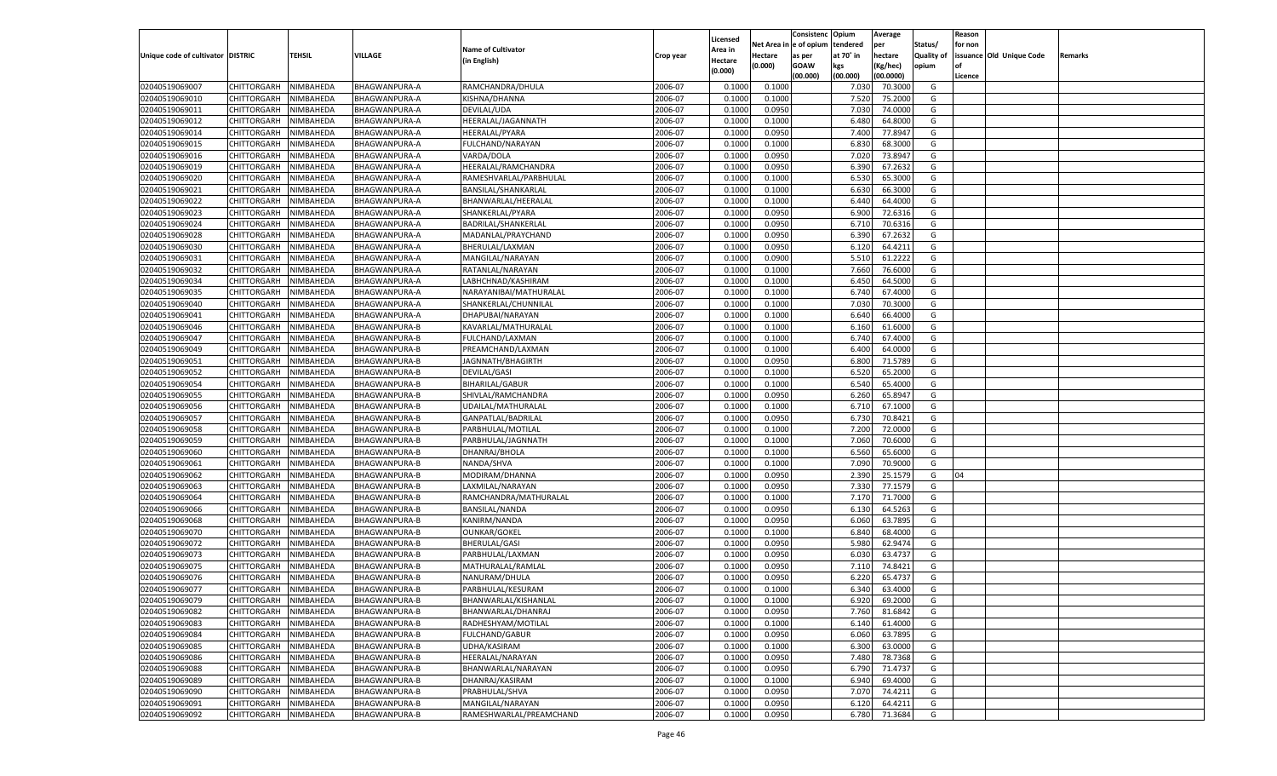|                                   |                       |           |                      |                           |           |                    |            | Consistenc    | Opium     | Average   |                   | Reason  |                          |         |
|-----------------------------------|-----------------------|-----------|----------------------|---------------------------|-----------|--------------------|------------|---------------|-----------|-----------|-------------------|---------|--------------------------|---------|
|                                   |                       |           |                      | <b>Name of Cultivator</b> |           | Licensed           | Net Area i | n  e of opium | tendered  | per       | Status/           | for non |                          |         |
| Unique code of cultivator DISTRIC |                       | TEHSIL    | <b>VILLAGE</b>       | (in English)              | Crop year | Area in<br>Hectare | Hectare    | as per        | at 70° in | hectare   | <b>Quality of</b> |         | issuance Old Unique Code | Remarks |
|                                   |                       |           |                      |                           |           | (0.000)            | (0.000)    | <b>GOAW</b>   | kgs       | (Kg/hec)  | opium             |         |                          |         |
|                                   |                       |           |                      |                           |           |                    |            | (00.000)      | (00.000)  | (00.0000) |                   | Licence |                          |         |
| 02040519069007                    | CHITTORGARH           | NIMBAHEDA | BHAGWANPURA-A        | RAMCHANDRA/DHULA          | 2006-07   | 0.1000             | 0.1000     |               | 7.030     | 70.3000   | G                 |         |                          |         |
| 02040519069010                    | CHITTORGARH           | NIMBAHEDA | BHAGWANPURA-A        | KISHNA/DHANNA             | 2006-07   | 0.1000             | 0.1000     |               | 7.520     | 75.2000   | G                 |         |                          |         |
| 02040519069011                    | CHITTORGARH           | NIMBAHEDA | BHAGWANPURA-A        | DEVILAL/UDA               | 2006-07   | 0.1000             | 0.0950     |               | 7.030     | 74.0000   | G                 |         |                          |         |
| 02040519069012                    | CHITTORGARH           | NIMBAHEDA | BHAGWANPURA-A        | HEERALAL/JAGANNATH        | 2006-07   | 0.1000             | 0.1000     |               | 6.480     | 64.8000   | G                 |         |                          |         |
| 02040519069014                    | CHITTORGARH           | NIMBAHEDA | BHAGWANPURA-A        | HEERALAL/PYARA            | 2006-07   | 0.1000             | 0.0950     |               | 7.400     | 77.8947   | G                 |         |                          |         |
| 02040519069015                    | CHITTORGARH           | NIMBAHEDA | BHAGWANPURA-A        | FULCHAND/NARAYAN          | 2006-07   | 0.1000             | 0.1000     |               | 6.830     | 68.3000   | G                 |         |                          |         |
| 02040519069016                    | CHITTORGARH           | NIMBAHEDA | BHAGWANPURA-A        | VARDA/DOLA                | 2006-07   | 0.1000             | 0.0950     |               | 7.020     | 73.8947   | G                 |         |                          |         |
| 02040519069019                    | CHITTORGARH           | NIMBAHEDA | BHAGWANPURA-A        | HEERALAL/RAMCHANDRA       | 2006-07   | 0.1000             | 0.0950     |               | 6.390     | 67.2632   | G                 |         |                          |         |
| 02040519069020                    | CHITTORGARH           | NIMBAHEDA | <b>BHAGWANPURA-A</b> | RAMESHVARLAL/PARBHULAL    | 2006-07   | 0.1000             | 0.1000     |               | 6.530     | 65.3000   | G                 |         |                          |         |
| 02040519069021                    | CHITTORGARH           | NIMBAHEDA | BHAGWANPURA-A        | BANSILAL/SHANKARLAL       | 2006-07   | 0.1000             | 0.1000     |               | 6.630     | 66.3000   | G                 |         |                          |         |
| 02040519069022                    | CHITTORGARH           | NIMBAHEDA | BHAGWANPURA-A        | BHANWARLAL/HEERALAL       | 2006-07   | 0.1000             | 0.1000     |               | 6.440     | 64.4000   | G                 |         |                          |         |
| 02040519069023                    | CHITTORGARH           | NIMBAHEDA | BHAGWANPURA-A        | SHANKERLAL/PYARA          | 2006-07   | 0.1000             | 0.0950     |               | 6.900     | 72.6316   | G                 |         |                          |         |
| 02040519069024                    | CHITTORGARH           | NIMBAHEDA | BHAGWANPURA-A        | BADRILAL/SHANKERLAL       | 2006-07   | 0.1000             | 0.0950     |               | 6.710     | 70.6316   | G                 |         |                          |         |
| 02040519069028                    | CHITTORGARH           | NIMBAHEDA | BHAGWANPURA-A        | MADANLAL/PRAYCHAND        | 2006-07   | 0.1000             | 0.0950     |               | 6.390     | 67.2632   | G                 |         |                          |         |
| 02040519069030                    | CHITTORGARH           | NIMBAHEDA | BHAGWANPURA-A        | BHERULAL/LAXMAN           | 2006-07   | 0.1000             | 0.0950     |               | 6.120     | 64.4211   | G                 |         |                          |         |
| 02040519069031                    | CHITTORGARH           | NIMBAHEDA | BHAGWANPURA-A        | MANGILAL/NARAYAN          | 2006-07   | 0.1000             | 0.0900     |               | 5.510     | 61.2222   | G                 |         |                          |         |
| 02040519069032                    | CHITTORGARH           | NIMBAHEDA | BHAGWANPURA-A        | RATANLAL/NARAYAN          | 2006-07   | 0.1000             | 0.1000     |               | 7.660     | 76.6000   | G                 |         |                          |         |
| 02040519069034                    | CHITTORGARH           | NIMBAHEDA | BHAGWANPURA-A        | LABHCHNAD/KASHIRAM        | 2006-07   | 0.1000             | 0.1000     |               | 6.450     | 64.5000   | G                 |         |                          |         |
| 02040519069035                    | CHITTORGARH           | NIMBAHEDA | BHAGWANPURA-A        | NARAYANIBAI/MATHURALAL    | 2006-07   | 0.1000             | 0.1000     |               | 6.740     | 67.4000   | G                 |         |                          |         |
| 02040519069040                    | CHITTORGARH           | NIMBAHEDA | BHAGWANPURA-A        | SHANKERLAL/CHUNNILAL      | 2006-07   | 0.1000             | 0.1000     |               | 7.030     | 70.3000   | G                 |         |                          |         |
| 02040519069041                    | CHITTORGARH           | NIMBAHEDA | BHAGWANPURA-A        | DHAPUBAI/NARAYAN          | 2006-07   | 0.1000             | 0.1000     |               | 6.640     | 66.4000   | G                 |         |                          |         |
| 02040519069046                    | CHITTORGARH           | NIMBAHEDA | BHAGWANPURA-B        | KAVARLAL/MATHURALAL       | 2006-07   | 0.1000             | 0.1000     |               | 6.160     | 61.6000   | G                 |         |                          |         |
| 02040519069047                    | CHITTORGARH           | NIMBAHEDA | <b>BHAGWANPURA-B</b> | FULCHAND/LAXMAN           | 2006-07   | 0.1000             | 0.1000     |               | 6.740     | 67.4000   | G                 |         |                          |         |
| 02040519069049                    | CHITTORGARH           | NIMBAHEDA | BHAGWANPURA-B        | PREAMCHAND/LAXMAN         | 2006-07   | 0.1000             | 0.1000     |               | 6.400     | 64.0000   | G                 |         |                          |         |
| 02040519069051                    | CHITTORGARH           | NIMBAHEDA | <b>BHAGWANPURA-B</b> | JAGNNATH/BHAGIRTH         | 2006-07   | 0.1000             | 0.0950     |               | 6.800     | 71.5789   | G                 |         |                          |         |
| 02040519069052                    | CHITTORGARH           | NIMBAHEDA | BHAGWANPURA-B        | DEVILAL/GASI              | 2006-07   | 0.1000             | 0.1000     |               | 6.520     | 65.2000   | G                 |         |                          |         |
| 02040519069054                    | CHITTORGARH           | NIMBAHEDA | <b>BHAGWANPURA-B</b> | <b>BIHARILAL/GABUR</b>    | 2006-07   | 0.1000             | 0.1000     |               | 6.540     | 65.4000   | G                 |         |                          |         |
| 02040519069055                    | CHITTORGARH           | NIMBAHEDA | BHAGWANPURA-B        | SHIVLAL/RAMCHANDRA        | 2006-07   | 0.1000             | 0.0950     |               | 6.260     | 65.8947   | G                 |         |                          |         |
| 02040519069056                    | CHITTORGARH           | NIMBAHEDA | <b>BHAGWANPURA-B</b> | UDAILAL/MATHURALAL        | 2006-07   | 0.1000             | 0.1000     |               | 6.710     | 67.1000   | G                 |         |                          |         |
| 02040519069057                    | CHITTORGARH           | NIMBAHEDA | <b>BHAGWANPURA-B</b> | GANPATLAL/BADRILAL        | 2006-07   | 0.1000             | 0.0950     |               | 6.730     | 70.8421   | G                 |         |                          |         |
| 02040519069058                    | CHITTORGARH           | NIMBAHEDA | <b>BHAGWANPURA-B</b> | PARBHULAL/MOTILAL         | 2006-07   | 0.1000             | 0.1000     |               | 7.200     | 72.0000   | G                 |         |                          |         |
| 02040519069059                    | CHITTORGARH           | NIMBAHEDA | <b>BHAGWANPURA-B</b> | PARBHULAL/JAGNNATH        | 2006-07   | 0.1000             | 0.1000     |               | 7.060     | 70.6000   | G                 |         |                          |         |
| 02040519069060                    | CHITTORGARH           | NIMBAHEDA | <b>BHAGWANPURA-B</b> | DHANRAJ/BHOLA             | 2006-07   | 0.1000             | 0.1000     |               | 6.560     | 65.6000   | G                 |         |                          |         |
| 02040519069061                    | CHITTORGARH           | NIMBAHEDA | <b>BHAGWANPURA-B</b> | NANDA/SHVA                | 2006-07   | 0.1000             | 0.1000     |               | 7.090     | 70.9000   | G                 |         |                          |         |
| 02040519069062                    | CHITTORGARH           | NIMBAHEDA | <b>BHAGWANPURA-B</b> | MODIRAM/DHANNA            | 2006-07   | 0.1000             | 0.0950     |               | 2.390     | 25.1579   | G                 | 04      |                          |         |
| 02040519069063                    | CHITTORGARH           | NIMBAHEDA | <b>BHAGWANPURA-B</b> | LAXMILAL/NARAYAN          | 2006-07   | 0.1000             | 0.0950     |               | 7.330     | 77.1579   | G                 |         |                          |         |
| 02040519069064                    | CHITTORGARH           | NIMBAHEDA | <b>BHAGWANPURA-B</b> | RAMCHANDRA/MATHURALAL     | 2006-07   | 0.1000             | 0.1000     |               | 7.170     | 71.7000   | G                 |         |                          |         |
| 02040519069066                    | CHITTORGARH           | NIMBAHEDA | <b>BHAGWANPURA-B</b> | BANSILAL/NANDA            | 2006-07   | 0.1000             | 0.0950     |               | 6.13(     | 64.5263   | G                 |         |                          |         |
| 02040519069068                    | CHITTORGARH           | NIMBAHEDA | <b>BHAGWANPURA-B</b> | KANIRM/NANDA              | 2006-07   | 0.1000             | 0.0950     |               | 6.060     | 63.7895   | G                 |         |                          |         |
| 02040519069070                    | CHITTORGARH           | NIMBAHEDA | <b>BHAGWANPURA-B</b> | <b>OUNKAR/GOKEL</b>       | 2006-07   | 0.1000             | 0.1000     |               | 6.840     | 68.4000   | G                 |         |                          |         |
| 02040519069072                    | CHITTORGARH           | NIMBAHEDA | <b>BHAGWANPURA-B</b> | <b>BHERULAL/GASI</b>      | 2006-07   | 0.1000             | 0.0950     |               | 5.980     | 62.9474   | G                 |         |                          |         |
| 02040519069073                    | CHITTORGARH           | NIMBAHEDA | <b>BHAGWANPURA-B</b> | PARBHULAL/LAXMAN          | 2006-07   | 0.1000             | 0.0950     |               | 6.030     | 63.4737   | G                 |         |                          |         |
| 02040519069075                    | CHITTORGARH           | NIMBAHEDA | <b>BHAGWANPURA-B</b> | MATHURALAL/RAMLAL         | 2006-07   | 0.1000             | 0.0950     |               | 7.11      | 74.8421   | G                 |         |                          |         |
| 02040519069076                    |                       |           |                      | NANURAM/DHULA             | 2006-07   | 0.1000             |            |               | 6.220     | 65.473    | G                 |         |                          |         |
|                                   | CHITTORGARH           | NIMBAHEDA | <b>BHAGWANPURA-B</b> |                           | 2006-07   |                    | 0.0950     |               |           | 63.4000   |                   |         |                          |         |
| 02040519069077                    | CHITTORGARH           | NIMBAHEDA | <b>BHAGWANPURA-B</b> | PARBHULAL/KESURAM         |           | 0.1000             | 0.1000     |               | 6.340     |           | G                 |         |                          |         |
| 02040519069079                    | CHITTORGARH NIMBAHEDA |           | <b>BHAGWANPURA-B</b> | BHANWARLAL/KISHANLAL      | 2006-07   | 0.1000             | 0.1000     |               | 6.920     | 69.2000   | G                 |         |                          |         |
| 02040519069082                    | <b>CHITTORGARH</b>    | NIMBAHEDA | BHAGWANPURA-B        | BHANWARLAL/DHANRAJ        | 2006-07   | 0.1000             | 0.0950     |               | 7.760     | 81.6842   | G                 |         |                          |         |
| 02040519069083                    | CHITTORGARH           | NIMBAHEDA | <b>BHAGWANPURA-B</b> | RADHESHYAM/MOTILAL        | 2006-07   | 0.1000             | 0.1000     |               | 6.140     | 61.4000   | G                 |         |                          |         |
| 02040519069084                    | CHITTORGARH           | NIMBAHEDA | <b>BHAGWANPURA-B</b> | <b>FULCHAND/GABUR</b>     | 2006-07   | 0.1000             | 0.0950     |               | 6.060     | 63.7895   | G                 |         |                          |         |
| 02040519069085                    | <b>CHITTORGARH</b>    | NIMBAHEDA | <b>BHAGWANPURA-B</b> | UDHA/KASIRAM              | 2006-07   | 0.1000             | 0.1000     |               | 6.300     | 63.0000   | G                 |         |                          |         |
| 02040519069086                    | <b>CHITTORGARH</b>    | NIMBAHEDA | <b>BHAGWANPURA-B</b> | HEERALAL/NARAYAN          | 2006-07   | 0.1000             | 0.0950     |               | 7.480     | 78.7368   | G                 |         |                          |         |
| 02040519069088                    | CHITTORGARH           | NIMBAHEDA | <b>BHAGWANPURA-B</b> | BHANWARLAL/NARAYAN        | 2006-07   | 0.1000             | 0.0950     |               | 6.790     | 71.4737   | G                 |         |                          |         |
| 02040519069089                    | CHITTORGARH           | NIMBAHEDA | <b>BHAGWANPURA-B</b> | DHANRAJ/KASIRAM           | 2006-07   | 0.1000             | 0.1000     |               | 6.940     | 69.4000   | G                 |         |                          |         |
| 02040519069090                    | CHITTORGARH           | NIMBAHEDA | <b>BHAGWANPURA-B</b> | PRABHULAL/SHVA            | 2006-07   | 0.1000             | 0.0950     |               | 7.070     | 74.4211   | G                 |         |                          |         |
| 02040519069091                    | <b>CHITTORGARH</b>    | NIMBAHEDA | <b>BHAGWANPURA-B</b> | MANGILAL/NARAYAN          | 2006-07   | 0.1000             | 0.0950     |               | 6.120     | 64.4211   | G                 |         |                          |         |
| 02040519069092                    | CHITTORGARH           | NIMBAHEDA | <b>BHAGWANPURA-B</b> | RAMESHWARLAL/PREAMCHAND   | 2006-07   | 0.1000             | 0.0950     |               | 6.780     | 71.3684   | G                 |         |                          |         |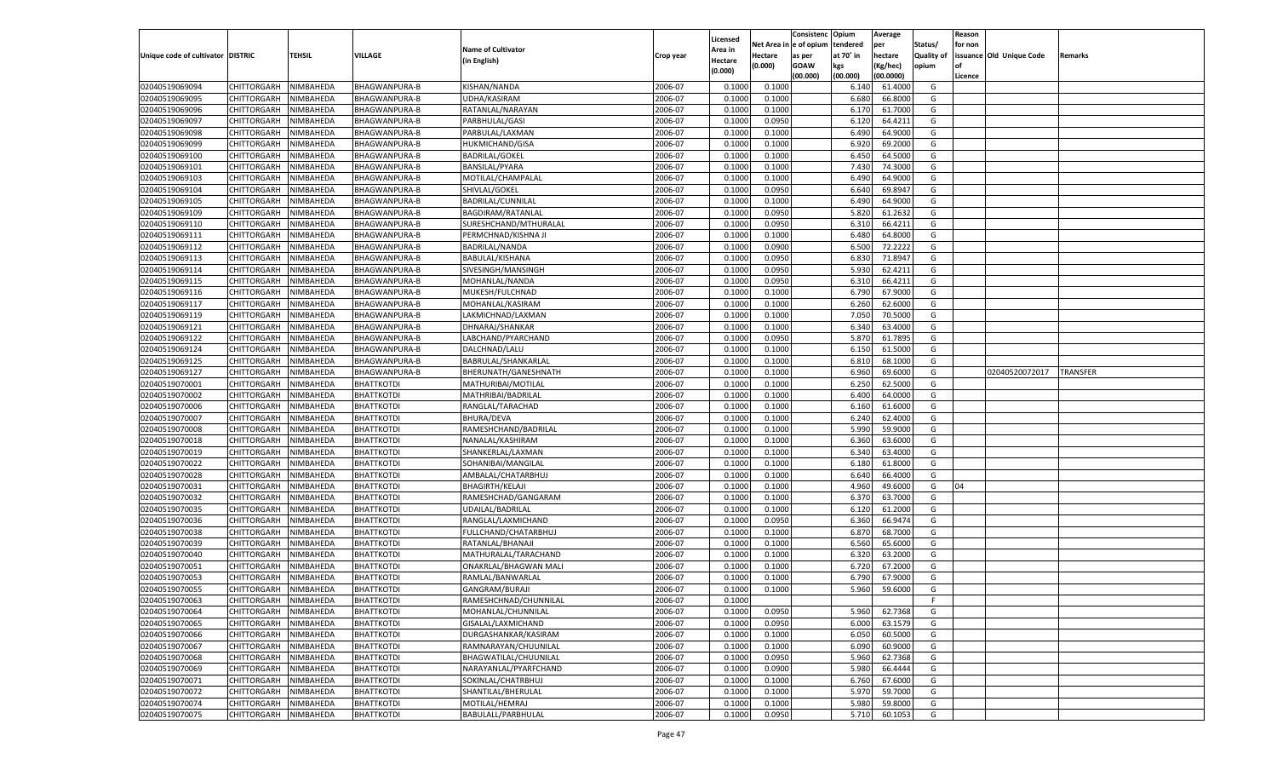|                                   |                       |           |                      |                           |           |                    |             | Consistenc    | Opium          | Average   |                   | Reason  |                          |                 |
|-----------------------------------|-----------------------|-----------|----------------------|---------------------------|-----------|--------------------|-------------|---------------|----------------|-----------|-------------------|---------|--------------------------|-----------------|
|                                   |                       |           |                      | <b>Name of Cultivator</b> |           | Licensed           | Net Area iı | n  e of opium | tendered       | per       | Status/           | for non |                          |                 |
| Unique code of cultivator DISTRIC |                       | TEHSIL    | <b>VILLAGE</b>       | (in English)              | Crop year | Area in<br>Hectare | Hectare     | as per        | at 70° in      | hectare   | <b>Quality of</b> |         | issuance Old Unique Code | Remarks         |
|                                   |                       |           |                      |                           |           | (0.000)            | (0.000)     | <b>GOAW</b>   | kgs            | (Kg/hec)  | opium             |         |                          |                 |
|                                   |                       |           |                      |                           |           |                    |             | (00.000)      | (00.000)       | (00.0000) |                   | Licence |                          |                 |
| 02040519069094                    | CHITTORGARH           | NIMBAHEDA | BHAGWANPURA-B        | KISHAN/NANDA              | 2006-07   | 0.1000             | 0.1000      |               | 6.140          | 61.4000   | G                 |         |                          |                 |
| 02040519069095                    | CHITTORGARH           | NIMBAHEDA | BHAGWANPURA-B        | <b>UDHA/KASIRAM</b>       | 2006-07   | 0.1000             | 0.1000      |               | 6.680          | 66.8000   | G                 |         |                          |                 |
| 02040519069096                    | CHITTORGARH           | NIMBAHEDA | <b>BHAGWANPURA-B</b> | RATANLAL/NARAYAN          | 2006-07   | 0.1000             | 0.1000      |               | 6.170          | 61.7000   | G                 |         |                          |                 |
| 02040519069097                    | CHITTORGARH           | NIMBAHEDA | <b>BHAGWANPURA-B</b> | PARBHULAL/GASI            | 2006-07   | 0.1000             | 0.0950      |               | 6.120          | 64.4211   | G                 |         |                          |                 |
| 02040519069098                    | CHITTORGARH           | NIMBAHEDA | <b>BHAGWANPURA-B</b> | PARBULAL/LAXMAN           | 2006-07   | 0.1000             | 0.1000      |               | 6.490          | 64.9000   | G                 |         |                          |                 |
| 02040519069099                    | CHITTORGARH           | NIMBAHEDA | <b>BHAGWANPURA-B</b> | <b>HUKMICHAND/GISA</b>    | 2006-07   | 0.1000             | 0.1000      |               | 6.920          | 69.2000   | G                 |         |                          |                 |
| 02040519069100                    | CHITTORGARH           | NIMBAHEDA | <b>BHAGWANPURA-B</b> | <b>BADRILAL/GOKEL</b>     | 2006-07   | 0.1000             | 0.1000      |               | 6.450          | 64.5000   | G                 |         |                          |                 |
| 02040519069101                    | CHITTORGARH           | NIMBAHEDA | <b>BHAGWANPURA-B</b> | <b>BANSILAL/PYARA</b>     | 2006-07   | 0.1000             | 0.1000      |               | 7.430          | 74.3000   | G                 |         |                          |                 |
| 02040519069103                    | CHITTORGARH           | NIMBAHEDA | <b>BHAGWANPURA-B</b> | MOTILAL/CHAMPALAL         | 2006-07   | 0.1000             | 0.1000      |               | 6.490          | 64.9000   | G                 |         |                          |                 |
| 02040519069104                    | CHITTORGARH           | NIMBAHEDA | <b>BHAGWANPURA-B</b> | SHIVLAL/GOKEL             | 2006-07   | 0.1000             | 0.0950      |               | 6.640          | 69.8947   | G                 |         |                          |                 |
| 02040519069105                    | CHITTORGARH           | NIMBAHEDA | <b>BHAGWANPURA-B</b> | BADRILAL/CUNNILAL         | 2006-07   | 0.1000             | 0.1000      |               | 6.490          | 64.9000   | G                 |         |                          |                 |
| 02040519069109                    | CHITTORGARH           | NIMBAHEDA | <b>BHAGWANPURA-B</b> | BAGDIRAM/RATANLAL         | 2006-07   | 0.1000             | 0.0950      |               | 5.820          | 61.2632   | G                 |         |                          |                 |
| 02040519069110                    | CHITTORGARH           | NIMBAHEDA | <b>BHAGWANPURA-B</b> | SURESHCHAND/MTHURALAL     | 2006-07   | 0.1000             | 0.0950      |               | 6.310          | 66.4211   | G                 |         |                          |                 |
| 02040519069111                    | CHITTORGARH           | NIMBAHEDA | BHAGWANPURA-B        | PERMCHNAD/KISHNA JI       | 2006-07   | 0.1000             | 0.1000      |               | 6.480          | 64.8000   | G                 |         |                          |                 |
| 02040519069112                    | CHITTORGARH           | NIMBAHEDA | <b>BHAGWANPURA-B</b> | BADRILAL/NANDA            | 2006-07   | 0.1000             | 0.0900      |               | 6.500          | 72.2222   | G                 |         |                          |                 |
| 02040519069113                    | CHITTORGARH           | NIMBAHEDA | BHAGWANPURA-B        | BABULAL/KISHANA           | 2006-07   | 0.1000             | 0.0950      |               | 6.830          | 71.8947   | G                 |         |                          |                 |
| 02040519069114                    | CHITTORGARH           | NIMBAHEDA | <b>BHAGWANPURA-B</b> | SIVESINGH/MANSINGH        | 2006-07   | 0.1000             | 0.0950      |               | 5.930          | 62.4211   | G                 |         |                          |                 |
| 02040519069115                    | CHITTORGARH           | NIMBAHEDA | BHAGWANPURA-B        | MOHANLAL/NANDA            | 2006-07   | 0.1000             | 0.0950      |               | 6.310          | 66.4211   | G                 |         |                          |                 |
| 02040519069116                    | CHITTORGARH           | NIMBAHEDA | <b>BHAGWANPURA-B</b> | MUKESH/FULCHNAD           | 2006-07   | 0.1000             | 0.1000      |               | 6.790          | 67.9000   | G                 |         |                          |                 |
| 02040519069117                    | CHITTORGARH           | NIMBAHEDA | <b>BHAGWANPURA-B</b> | MOHANLAL/KASIRAM          | 2006-07   | 0.1000             | 0.1000      |               | 6.260          | 62.6000   | G                 |         |                          |                 |
| 02040519069119                    | CHITTORGARH           | NIMBAHEDA | <b>BHAGWANPURA-B</b> | LAKMICHNAD/LAXMAN         | 2006-07   | 0.1000             | 0.1000      |               | 7.050          | 70.5000   | G                 |         |                          |                 |
| 02040519069121                    | CHITTORGARH           | NIMBAHEDA | BHAGWANPURA-B        | DHNARAJ/SHANKAR           | 2006-07   | 0.1000             | 0.1000      |               | 6.340          | 63.4000   | G                 |         |                          |                 |
| 02040519069122                    | CHITTORGARH           | NIMBAHEDA | <b>BHAGWANPURA-B</b> | LABCHAND/PYARCHAND        | 2006-07   | 0.1000             | 0.0950      |               | 5.870          | 61.7895   | G                 |         |                          |                 |
| 02040519069124                    | CHITTORGARH           | NIMBAHEDA | <b>BHAGWANPURA-B</b> | DALCHNAD/LALU             | 2006-07   | 0.1000             | 0.1000      |               | 6.150          | 61.5000   | G                 |         |                          |                 |
| 02040519069125                    | CHITTORGARH           | NIMBAHEDA | BHAGWANPURA-B        | BABRULAL/SHANKARLAL       | 2006-07   | 0.1000             | 0.1000      |               | 6.810          | 68.1000   | G                 |         |                          |                 |
| 02040519069127                    | CHITTORGARH           | NIMBAHEDA | BHAGWANPURA-B        | BHERUNATH/GANESHNATH      | 2006-07   | 0.1000             | 0.1000      |               | 6.960          | 69.6000   | G                 |         | 02040520072017           | <b>TRANSFER</b> |
| 02040519070001                    | CHITTORGARH           | NIMBAHEDA | <b>BHATTKOTDI</b>    | MATHURIBAI/MOTILAL        | 2006-07   | 0.1000             | 0.1000      |               | 6.250          | 62.5000   | G                 |         |                          |                 |
| 02040519070002                    | CHITTORGARH           | NIMBAHEDA | <b>BHATTKOTDI</b>    | MATHRIBAI/BADRILAL        | 2006-07   | 0.1000             | 0.1000      |               | 6.400          | 64.0000   | G                 |         |                          |                 |
| 02040519070006                    | CHITTORGARH           | NIMBAHEDA | <b>BHATTKOTDI</b>    | RANGLAL/TARACHAD          | 2006-07   | 0.1000             | 0.1000      |               | 6.160          | 61.6000   | G                 |         |                          |                 |
| 02040519070007                    | CHITTORGARH           | NIMBAHEDA | <b>BHATTKOTDI</b>    | <b>BHURA/DEVA</b>         | 2006-07   | 0.1000             | 0.1000      |               | 6.240          | 62.4000   | G                 |         |                          |                 |
| 02040519070008                    | CHITTORGARH           | NIMBAHEDA | <b>BHATTKOTDI</b>    | RAMESHCHAND/BADRILAL      | 2006-07   | 0.1000             | 0.1000      |               | 5.990          | 59.9000   | G                 |         |                          |                 |
| 02040519070018                    | CHITTORGARH           | NIMBAHEDA | <b>BHATTKOTDI</b>    | NANALAL/KASHIRAM          | 2006-07   | 0.1000             | 0.1000      |               | 6.360          | 63.6000   | G                 |         |                          |                 |
| 02040519070019                    | CHITTORGARH           | NIMBAHEDA | <b>BHATTKOTDI</b>    | SHANKERLAL/LAXMAN         | 2006-07   | 0.1000             | 0.1000      |               | 6.340          | 63.4000   | G                 |         |                          |                 |
| 02040519070022                    | CHITTORGARH           | NIMBAHEDA | <b>BHATTKOTDI</b>    | SOHANIBAI/MANGILAL        | 2006-07   | 0.1000             | 0.1000      |               | 6.180          | 61.8000   | G                 |         |                          |                 |
| 02040519070028                    |                       |           |                      |                           | 2006-07   | 0.1000             | 0.1000      |               |                | 66.4000   | G                 |         |                          |                 |
| 02040519070031                    | CHITTORGARH           | NIMBAHEDA | <b>BHATTKOTDI</b>    | AMBALAL/CHATARBHUJ        | 2006-07   | 0.1000             |             |               | 6.640<br>4.960 | 49.6000   | G                 | 04      |                          |                 |
|                                   | CHITTORGARH           | NIMBAHEDA | <b>BHATTKOTDI</b>    | <b>BHAGIRTH/KELAJI</b>    | 2006-07   |                    | 0.1000      |               |                |           |                   |         |                          |                 |
| 02040519070032                    | CHITTORGARH           | NIMBAHEDA | <b>BHATTKOTDI</b>    | RAMESHCHAD/GANGARAM       |           | 0.1000             | 0.1000      |               | 6.370          | 63.7000   | G                 |         |                          |                 |
| 02040519070035                    | CHITTORGARH           | NIMBAHEDA | <b>BHATTKOTDI</b>    | UDAILAL/BADRILAL          | 2006-07   | 0.1000             | 0.1000      |               | 6.120          | 61.2000   | G                 |         |                          |                 |
| 02040519070036                    | CHITTORGARH           | NIMBAHEDA | <b>BHATTKOTDI</b>    | RANGLAL/LAXMICHAND        | 2006-07   | 0.1000             | 0.0950      |               | 6.360          | 66.9474   | G                 |         |                          |                 |
| 02040519070038                    | CHITTORGARH           | NIMBAHEDA | <b>BHATTKOTDI</b>    | FULLCHAND/CHATARBHUJ      | 2006-07   | 0.1000             | 0.1000      |               | 6.870          | 68.7000   | G                 |         |                          |                 |
| 02040519070039                    | CHITTORGARH           | NIMBAHEDA | <b>BHATTKOTDI</b>    | RATANLAL/BHANAJI          | 2006-07   | 0.1000             | 0.1000      |               | 6.560          | 65.6000   | G                 |         |                          |                 |
| 02040519070040                    | CHITTORGARH           | NIMBAHEDA | <b>BHATTKOTDI</b>    | MATHURALAL/TARACHAND      | 2006-07   | 0.1000             | 0.1000      |               | 6.320          | 63.2000   | G                 |         |                          |                 |
| 02040519070051                    | CHITTORGARH           | NIMBAHEDA | <b>BHATTKOTDI</b>    | ONAKRLAL/BHAGWAN MALI     | 2006-07   | 0.1000             | 0.1000      |               | 6.720          | 67.2000   | G                 |         |                          |                 |
| 02040519070053                    | CHITTORGARH           | NIMBAHEDA | <b>BHATTKOTDI</b>    | RAMLAL/BANWARLAL          | 2006-07   | 0.1000             | 0.1000      |               | 6.790          | 67.9000   | G                 |         |                          |                 |
| 02040519070055                    | CHITTORGARH           | NIMBAHEDA | <b>BHATTKOTDI</b>    | GANGRAM/BURAJI            | 2006-07   | 0.1000             | 0.1000      |               | 5.960          | 59.6000   | G                 |         |                          |                 |
| 02040519070063                    | CHITTORGARH NIMBAHEDA |           | <b>BHATTKOTDI</b>    | RAMESHCHNAD/CHUNNILAL     | 2006-07   | 0.1000             |             |               |                |           |                   |         |                          |                 |
| 02040519070064                    | <b>CHITTORGARH</b>    | NIMBAHEDA | <b>BHATTKOTDI</b>    | MOHANLAL/CHUNNILAL        | 2006-07   | 0.1000             | 0.0950      |               | 5.960          | 62.7368   | G                 |         |                          |                 |
| 02040519070065                    | CHITTORGARH           | NIMBAHEDA | <b>BHATTKOTDI</b>    | GISALAL/LAXMICHAND        | 2006-07   | 0.1000             | 0.0950      |               | 6.000          | 63.1579   | G                 |         |                          |                 |
| 02040519070066                    | CHITTORGARH           | NIMBAHEDA | <b>BHATTKOTDI</b>    | DURGASHANKAR/KASIRAM      | 2006-07   | 0.1000             | 0.1000      |               | 6.050          | 60.5000   | G                 |         |                          |                 |
| 02040519070067                    | CHITTORGARH           | NIMBAHEDA | <b>BHATTKOTDI</b>    | RAMNARAYAN/CHUUNILAL      | 2006-07   | 0.1000             | 0.1000      |               | 6.090          | 60.9000   | G                 |         |                          |                 |
| 02040519070068                    | CHITTORGARH           | NIMBAHEDA | <b>BHATTKOTDI</b>    | BHAGWATILAL/CHUUNILAL     | 2006-07   | 0.1000             | 0.0950      |               | 5.960          | 62.7368   | G                 |         |                          |                 |
| 02040519070069                    | CHITTORGARH           | NIMBAHEDA | <b>BHATTKOTDI</b>    | NARAYANLAL/PYARFCHAND     | 2006-07   | 0.1000             | 0.0900      |               | 5.980          | 66.4444   | G                 |         |                          |                 |
| 02040519070071                    | CHITTORGARH           | NIMBAHEDA | <b>BHATTKOTDI</b>    | SOKINLAL/CHATRBHUJ        | 2006-07   | 0.1000             | 0.1000      |               | 6.760          | 67.6000   | G                 |         |                          |                 |
| 02040519070072                    | <b>CHITTORGARH</b>    | NIMBAHEDA | <b>BHATTKOTDI</b>    | SHANTILAL/BHERULAL        | 2006-07   | 0.1000             | 0.1000      |               | 5.970          | 59.7000   | G                 |         |                          |                 |
| 02040519070074                    | <b>CHITTORGARH</b>    | NIMBAHEDA | <b>BHATTKOTDI</b>    | MOTILAL/HEMRAJ            | 2006-07   | 0.1000             | 0.1000      |               | 5.980          | 59.8000   | G                 |         |                          |                 |
| 02040519070075                    | <b>CHITTORGARH</b>    | NIMBAHEDA | <b>BHATTKOTDI</b>    | BABULALL/PARBHULAL        | 2006-07   | 0.1000             | 0.0950      |               | 5.710          | 60.1053   | G                 |         |                          |                 |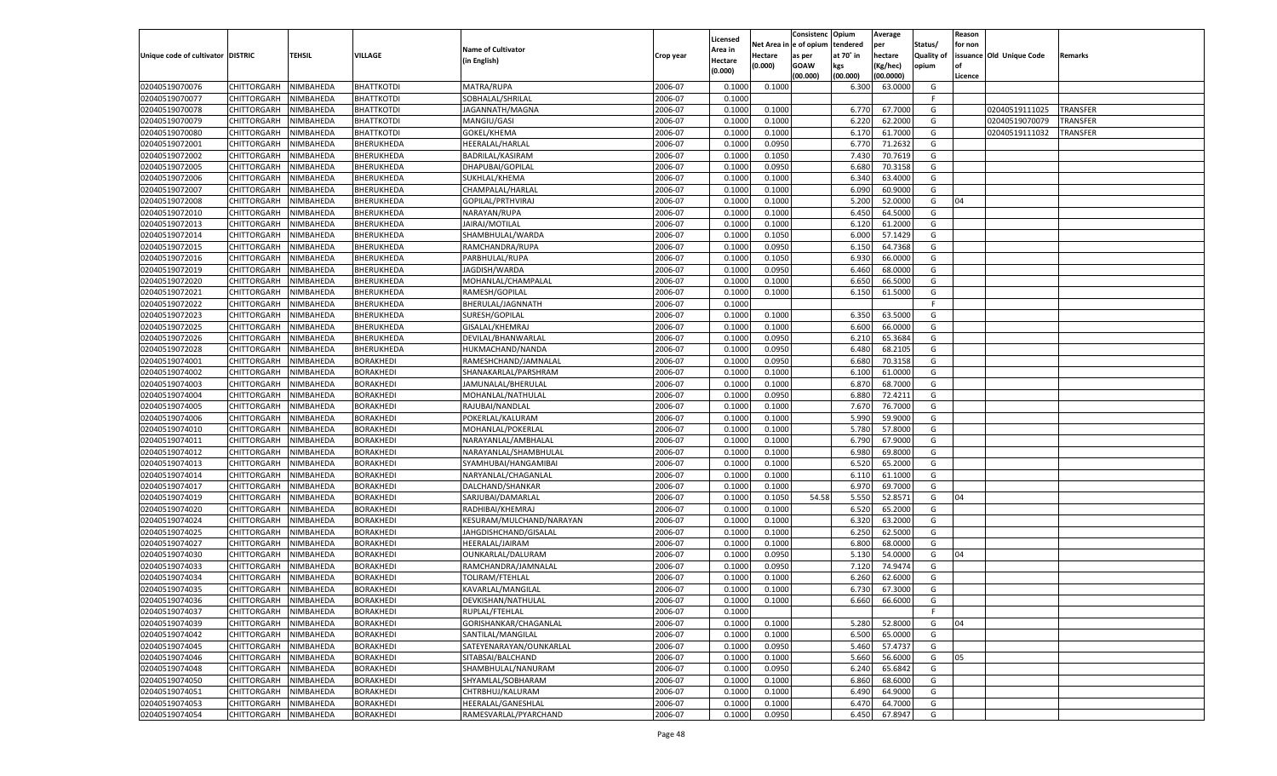|                                   |                       |               |                                      |                           |                    |                           |          | Consistenc  | Opium     | Average   |                   | Reason  |                          |                 |
|-----------------------------------|-----------------------|---------------|--------------------------------------|---------------------------|--------------------|---------------------------|----------|-------------|-----------|-----------|-------------------|---------|--------------------------|-----------------|
|                                   |                       |               |                                      | <b>Name of Cultivator</b> |                    | Licensed                  | Net Area | e of opium  | tendered  | per       | Status/           | for non |                          |                 |
| Unique code of cultivator DISTRIC |                       | <b>TEHSIL</b> | VILLAGE                              | (in English)              | Crop year          | <b>Area in</b><br>Hectare | Hectare  | as per      | at 70° in | hectare   | <b>Quality of</b> |         | issuance Old Unique Code | Remarks         |
|                                   |                       |               |                                      |                           |                    | (0.000)                   | (0.000)  | <b>GOAW</b> | kgs       | (Kg/hec)  | opium             |         |                          |                 |
|                                   |                       |               |                                      |                           |                    |                           |          | (00.000)    | (00.000)  | (00.0000) |                   | Licence |                          |                 |
| 02040519070076                    | CHITTORGARH           | NIMBAHEDA     | <b>BHATTKOTDI</b>                    | MATRA/RUPA                | 2006-07            | 0.1000                    | 0.1000   |             | 6.300     | 63.0000   | G                 |         |                          |                 |
| 02040519070077                    | CHITTORGARH           | NIMBAHEDA     | BHATTKOTDI                           | SOBHALAL/SHRILAL          | 2006-07            | 0.1000                    |          |             |           |           | F.                |         |                          |                 |
| 02040519070078                    | CHITTORGARH           | NIMBAHEDA     | <b>BHATTKOTDI</b>                    | JAGANNATH/MAGNA           | 2006-07            | 0.1000                    | 0.1000   |             | 6.77      | 67.7000   | G                 |         | 02040519111025           | TRANSFER        |
| 02040519070079                    | CHITTORGARH           | NIMBAHEDA     | <b>BHATTKOTDI</b>                    | MANGIU/GASI               | 2006-07            | 0.1000                    | 0.1000   |             | 6.220     | 62.2000   | G                 |         | 02040519070079           | TRANSFER        |
| 02040519070080                    | CHITTORGARH           | NIMBAHEDA     | <b>BHATTKOTDI</b>                    | GOKEL/KHEMA               | 2006-07            | 0.1000                    | 0.1000   |             | 6.170     | 61.7000   | G                 |         | 02040519111032           | <b>TRANSFER</b> |
| 02040519072001                    | CHITTORGARH           | NIMBAHEDA     | BHERUKHEDA                           | HEERALAL/HARLAL           | 2006-07            | 0.1000                    | 0.0950   |             | 6.770     | 71.2632   | G                 |         |                          |                 |
| 02040519072002                    | CHITTORGARH           | NIMBAHEDA     | BHERUKHEDA                           | BADRILAL/KASIRAM          | 2006-07            | 0.1000                    | 0.1050   |             | 7.430     | 70.7619   | G                 |         |                          |                 |
| 02040519072005                    | CHITTORGARH           | NIMBAHEDA     | BHERUKHEDA                           | DHAPUBAI/GOPILAL          | 2006-07            | 0.1000                    | 0.0950   |             | 6.680     | 70.3158   | G                 |         |                          |                 |
| 02040519072006                    | CHITTORGARH           | NIMBAHEDA     | BHERUKHEDA                           | SUKHLAL/KHEMA             | 2006-07            | 0.1000                    | 0.1000   |             | 6.340     | 63.4000   | G                 |         |                          |                 |
| 02040519072007                    | CHITTORGARH           | NIMBAHEDA     | BHERUKHEDA                           | CHAMPALAL/HARLAI          | 2006-07            | 0.1000                    | 0.1000   |             | 6.090     | 60.9000   | G                 |         |                          |                 |
| 02040519072008                    | CHITTORGARH           | NIMBAHEDA     | BHERUKHEDA                           | GOPILAL/PRTHVIRAJ         | 2006-07            | 0.1000                    | 0.1000   |             | 5.200     | 52.0000   | G                 | 04      |                          |                 |
| 02040519072010                    | CHITTORGARH           | NIMBAHEDA     | BHERUKHEDA                           | NARAYAN/RUPA              | 2006-07            | 0.1000                    | 0.1000   |             | 6.450     | 64.5000   | G                 |         |                          |                 |
| 02040519072013                    | CHITTORGARH           | NIMBAHEDA     | BHERUKHEDA                           | JAIRAJ/MOTILAL            | 2006-07            | 0.1000                    | 0.1000   |             | 6.120     | 61.2000   | G                 |         |                          |                 |
| 02040519072014                    | CHITTORGARH           | NIMBAHEDA     | BHERUKHEDA                           | SHAMBHULAL/WARDA          | 2006-07            | 0.1000                    | 0.1050   |             | 6.000     | 57.1429   | G                 |         |                          |                 |
| 02040519072015                    | CHITTORGARH           | NIMBAHEDA     | BHERUKHEDA                           | RAMCHANDRA/RUPA           | 2006-07            | 0.1000                    | 0.0950   |             | 6.150     | 64.7368   | G                 |         |                          |                 |
| 02040519072016                    | CHITTORGARH           | NIMBAHEDA     | BHERUKHEDA                           | PARBHULAL/RUPA            | 2006-07            | 0.1000                    | 0.1050   |             | 6.930     | 66.0000   | G                 |         |                          |                 |
| 02040519072019                    | CHITTORGARH           | NIMBAHEDA     | BHERUKHEDA                           | JAGDISH/WARDA             | 2006-07            | 0.1000                    | 0.0950   |             | 6.460     | 68.0000   | G                 |         |                          |                 |
| 02040519072020                    | CHITTORGARH           | NIMBAHEDA     | BHERUKHEDA                           | MOHANLAL/CHAMPALAL        | 2006-07            | 0.1000                    | 0.1000   |             | 6.650     | 66.5000   | G                 |         |                          |                 |
| 02040519072021                    | CHITTORGARH           | NIMBAHEDA     | BHERUKHEDA                           | RAMESH/GOPILAL            | 2006-07            | 0.1000                    | 0.1000   |             | 6.150     | 61.5000   | G                 |         |                          |                 |
| 02040519072022                    | CHITTORGARH           | NIMBAHEDA     | BHERUKHEDA                           | BHERULAL/JAGNNATH         | 2006-07            | 0.1000                    |          |             |           |           | F.                |         |                          |                 |
| 02040519072023                    | CHITTORGARH           | NIMBAHEDA     | BHERUKHEDA                           | SURESH/GOPILAL            | 2006-07            | 0.1000                    | 0.1000   |             | 6.350     | 63.5000   | G                 |         |                          |                 |
| 02040519072025                    | CHITTORGARH           | NIMBAHEDA     | BHERUKHEDA                           | <b>GISALAL/KHEMRAJ</b>    | 2006-07            | 0.1000                    | 0.1000   |             | 6.600     | 66.0000   | G                 |         |                          |                 |
| 02040519072026                    | CHITTORGARH           | NIMBAHEDA     | BHERUKHEDA                           | DEVILAL/BHANWARLAL        | 2006-07            | 0.1000                    | 0.0950   |             | 6.210     | 65.3684   | G                 |         |                          |                 |
| 02040519072028                    | CHITTORGARH           | NIMBAHEDA     | BHERUKHEDA                           | HUKMACHAND/NANDA          | 2006-07            | 0.1000                    | 0.0950   |             | 6.480     | 68.2105   | G                 |         |                          |                 |
| 02040519074001                    | CHITTORGARH           | NIMBAHEDA     | BORAKHEDI                            | RAMESHCHAND/JAMNALAL      | 2006-07            | 0.1000                    | 0.0950   |             | 6.680     | 70.3158   | G                 |         |                          |                 |
| 02040519074002                    | CHITTORGARH           | NIMBAHEDA     | BORAKHEDI                            | SHANAKARLAL/PARSHRAM      | 2006-07            | 0.1000                    | 0.1000   |             | 6.100     | 61.0000   | G                 |         |                          |                 |
| 02040519074003                    | CHITTORGARH           | NIMBAHEDA     | BORAKHEDI                            | JAMUNALAL/BHERULAL        | 2006-07            | 0.1000                    | 0.1000   |             | 6.870     | 68.7000   | G                 |         |                          |                 |
| 02040519074004                    | CHITTORGARH           | NIMBAHEDA     | BORAKHEDI                            | MOHANLAL/NATHULAL         | 2006-07            | 0.1000                    | 0.0950   |             | 6.880     | 72.4211   | G                 |         |                          |                 |
| 02040519074005                    | CHITTORGARH           | NIMBAHEDA     | BORAKHEDI                            | RAJUBAI/NANDLAL           | 2006-07            | 0.1000                    | 0.1000   |             | 7.670     | 76.7000   | G                 |         |                          |                 |
| 02040519074006                    | CHITTORGARH           | NIMBAHEDA     | BORAKHEDI                            | POKERLAL/KALURAM          | 2006-07            | 0.1000                    | 0.1000   |             | 5.990     | 59.9000   | G                 |         |                          |                 |
| 02040519074010                    | CHITTORGARH           | NIMBAHEDA     | <b>BORAKHEDI</b>                     | MOHANLAL/POKERLAL         | 2006-07            | 0.1000                    | 0.1000   |             | 5.780     | 57.8000   | G                 |         |                          |                 |
| 02040519074011                    | CHITTORGARH           | NIMBAHEDA     | BORAKHEDI                            | NARAYANLAL/AMBHALAI       | 2006-07            | 0.1000                    | 0.1000   |             | 6.790     | 67.9000   | G                 |         |                          |                 |
| 02040519074012                    | CHITTORGARH           | NIMBAHEDA     | BORAKHEDI                            | NARAYANLAL/SHAMBHULAL     | 2006-07            | 0.1000                    | 0.1000   |             | 6.980     | 69.8000   | G                 |         |                          |                 |
| 02040519074013                    | CHITTORGARH           | NIMBAHEDA     | BORAKHEDI                            | SYAMHUBAI/HANGAMIBAI      | 2006-07            | 0.1000                    | 0.1000   |             | 6.520     | 65.2000   | G                 |         |                          |                 |
| 02040519074014                    | CHITTORGARH           | NIMBAHEDA     | <b>BORAKHEDI</b>                     | NARYANLAL/CHAGANLAL       | 2006-07            | 0.1000                    | 0.1000   |             | 6.110     | 61.1000   | G                 |         |                          |                 |
| 02040519074017                    | CHITTORGARH           | NIMBAHEDA     | BORAKHEDI                            | DALCHAND/SHANKAR          | 2006-07            | 0.1000                    | 0.1000   |             | 6.970     | 69.7000   | G                 |         |                          |                 |
| 02040519074019                    | CHITTORGARH           | NIMBAHEDA     | BORAKHEDI                            | SARJUBAI/DAMARLAI         | 2006-07            | 0.1000                    | 0.1050   | 54.58       | 5.550     | 52.8571   | G                 | 04      |                          |                 |
| 02040519074020                    | CHITTORGARH           | NIMBAHEDA     | BORAKHEDI                            | RADHIBAI/KHEMRAJ          | 2006-07            | 0.1000                    | 0.1000   |             | 6.520     | 65.2000   | G                 |         |                          |                 |
| 02040519074024                    | CHITTORGARH           | NIMBAHEDA     | <b>BORAKHEDI</b>                     | KESURAM/MULCHAND/NARAYAN  | 2006-07            | 0.1000                    | 0.1000   |             | 6.320     | 63.2000   | G                 |         |                          |                 |
| 02040519074025                    | CHITTORGARH           | NIMBAHEDA     | BORAKHEDI                            | JAHGDISHCHAND/GISALAL     | 2006-07            | 0.1000                    | 0.1000   |             | 6.250     | 62.5000   | G                 |         |                          |                 |
| 02040519074027                    | CHITTORGARH           | NIMBAHEDA     | BORAKHEDI                            | HEERALAL/JAIRAM           | 2006-07            | 0.1000                    | 0.1000   |             | 6.800     | 68.0000   | G                 |         |                          |                 |
| 02040519074030                    | CHITTORGARH           | NIMBAHEDA     | BORAKHEDI                            | OUNKARLAL/DALURAM         | 2006-07            | 0.1000                    | 0.0950   |             | 5.13(     | 54.0000   | G                 | 04      |                          |                 |
| 02040519074033                    | CHITTORGARH           | NIMBAHEDA     | <b>BORAKHEDI</b>                     | RAMCHANDRA/JAMNALAL       | 2006-07            | 0.1000                    | 0.0950   |             | 7.120     | 74.947    | G                 |         |                          |                 |
| 02040519074034                    | CHITTORGARH           | NIMBAHEDA     | BORAKHEDI                            | TOLIRAM/FTEHLAL           | 2006-07            | 0.1000                    | 0.1000   |             | 6.260     | 62.6000   | G                 |         |                          |                 |
| 02040519074035                    | CHITTORGARH           | NIMBAHEDA     | BORAKHEDI                            | KAVARLAL/MANGILAL         | 2006-07            | 0.1000                    | 0.1000   |             | 6.730     | 67.3000   | G                 |         |                          |                 |
| 02040519074036                    | CHITTORGARH NIMBAHEDA |               | <b>BORAKHEDI</b>                     | DEVKISHAN/NATHULAL        | 2006-07            | 0.1000                    | 0.1000   |             |           |           | G                 |         |                          |                 |
| 02040519074037                    |                       | NIMBAHEDA     | <b>BORAKHEDI</b>                     | RUPLAL/FTEHLAL            | 2006-07            | 0.1000                    |          |             | 6.660     | 66.6000   | F                 |         |                          |                 |
|                                   | <b>CHITTORGARH</b>    |               |                                      |                           |                    |                           |          |             |           |           |                   |         |                          |                 |
| 02040519074039                    | CHITTORGARH           | NIMBAHEDA     | <b>BORAKHEDI</b>                     | GORISHANKAR/CHAGANLAL     | 2006-07<br>2006-07 | 0.1000                    | 0.1000   |             | 5.280     | 52.8000   | G                 | 04      |                          |                 |
| 02040519074042                    | <b>CHITTORGARH</b>    | NIMBAHEDA     | <b>BORAKHEDI</b>                     | SANTILAL/MANGILAL         |                    | 0.1000                    | 0.1000   |             | 6.500     | 65.0000   | G                 |         |                          |                 |
| 02040519074045                    | <b>CHITTORGARH</b>    | NIMBAHEDA     | <b>BORAKHEDI</b><br><b>BORAKHEDI</b> | SATEYENARAYAN/OUNKARLAL   | 2006-07            | 0.1000                    | 0.0950   |             | 5.460     | 57.4737   | G                 |         |                          |                 |
| 02040519074046                    | <b>CHITTORGARH</b>    | NIMBAHEDA     |                                      | SITABSAI/BALCHAND         | 2006-07            | 0.1000                    | 0.1000   |             | 5.660     | 56.6000   | G                 | 05      |                          |                 |
| 02040519074048                    | <b>CHITTORGARH</b>    | NIMBAHEDA     | BORAKHEDI                            | SHAMBHULAL/NANURAM        | 2006-07            | 0.1000                    | 0.0950   |             | 6.240     | 65.6842   | G                 |         |                          |                 |
| 02040519074050                    | <b>CHITTORGARH</b>    | NIMBAHEDA     | <b>BORAKHEDI</b>                     | SHYAMLAL/SOBHARAM         | 2006-07            | 0.1000                    | 0.1000   |             | 6.860     | 68.6000   | G                 |         |                          |                 |
| 02040519074051                    | <b>CHITTORGARH</b>    | NIMBAHEDA     | <b>BORAKHEDI</b>                     | CHTRBHUJ/KALURAM          | 2006-07            | 0.1000                    | 0.1000   |             | 6.490     | 64.9000   | G                 |         |                          |                 |
| 02040519074053                    | <b>CHITTORGARH</b>    | NIMBAHEDA     | <b>BORAKHEDI</b>                     | HEERALAL/GANESHLAL        | 2006-07            | 0.1000                    | 0.1000   |             | 6.470     | 64.7000   | G                 |         |                          |                 |
| 02040519074054                    | CHITTORGARH           | NIMBAHEDA     | <b>BORAKHEDI</b>                     | RAMESVARLAL/PYARCHAND     | 2006-07            | 0.1000                    | 0.0950   |             | 6.450     | 67.8947   | G                 |         |                          |                 |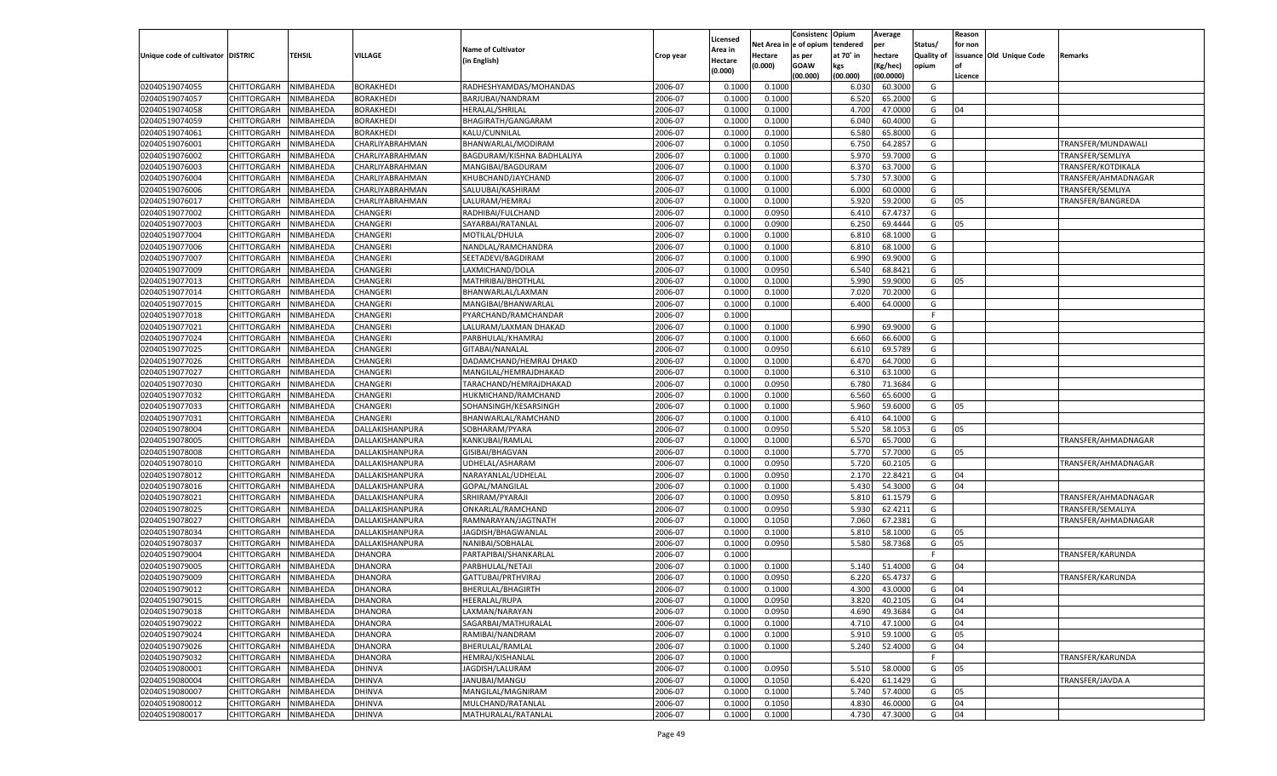|                                     |                       |               |                  |                            |           | Licensed |         | Consistenc             | Opium     | Average   |                   | Reason  |                          |                     |
|-------------------------------------|-----------------------|---------------|------------------|----------------------------|-----------|----------|---------|------------------------|-----------|-----------|-------------------|---------|--------------------------|---------------------|
|                                     |                       |               |                  | <b>Name of Cultivator</b>  |           | Area in  |         | Net Area in e of opium | tendered  | per       | Status/           | for non |                          |                     |
| Unique code of cultivator   DISTRIC |                       | <b>TEHSIL</b> | VILLAGE          | (in English)               | Crop year | Hectare  | Hectare | as per                 | at 70° in | hectare   | <b>Quality of</b> |         | issuance Old Unique Code | Remarks             |
|                                     |                       |               |                  |                            |           | (0.000)  | (0.000) | GOAW                   | kgs       | Kg/hec)   | opium             |         |                          |                     |
|                                     |                       |               |                  |                            |           |          |         | (00.000)               | (00.000)  | (00.0000) |                   | Licence |                          |                     |
| 02040519074055                      | CHITTORGARH           | NIMBAHEDA     | <b>BORAKHEDI</b> | RADHESHYAMDAS/MOHANDAS     | 2006-07   | 0.1000   | 0.100   |                        | 6.03      | 60.300    | G                 |         |                          |                     |
| 02040519074057                      | CHITTORGARH           | NIMBAHEDA     | BORAKHEDI        | BARJUBAI/NANDRAM           | 2006-07   | 0.1000   | 0.1000  |                        | 6.520     | 65.200    | G                 |         |                          |                     |
| 02040519074058                      | CHITTORGARH           | NIMBAHEDA     | BORAKHEDI        | HERALAL/SHRILAL            | 2006-07   | 0.1000   | 0.1000  |                        | 4.700     | 47.000    | G                 | 04      |                          |                     |
| 02040519074059                      | CHITTORGARH           | NIMBAHEDA     | BORAKHEDI        | BHAGIRATH/GANGARAM         | 2006-07   | 0.1000   | 0.1000  |                        | 6.040     | 60.4000   | G                 |         |                          |                     |
| 02040519074061                      | CHITTORGARH           | NIMBAHEDA     | BORAKHEDI        | KALU/CUNNILAL              | 2006-07   | 0.1000   | 0.1000  |                        | 6.580     | 65.800    | G                 |         |                          |                     |
| 02040519076001                      | CHITTORGARH           | NIMBAHEDA     | CHARLIYABRAHMAN  | BHANWARLAL/MODIRAM         | 2006-07   | 0.1000   | 0.1050  |                        | 6.750     | 64.285    | G                 |         |                          | TRANSFER/MUNDAWALI  |
| 02040519076002                      | CHITTORGARH           | NIMBAHEDA     | CHARLIYABRAHMAN  | BAGDURAM/KISHNA BADHLALIYA | 2006-07   | 0.1000   | 0.1000  |                        | 5.970     | 59.700    | G                 |         |                          | TRANSFER/SEMLIYA    |
| 02040519076003                      | CHITTORGARH           | NIMBAHEDA     | CHARLIYABRAHMAN  | MANGIBAI/BAGDURAM          | 2006-07   | 0.1000   | 0.1000  |                        | 6.370     | 63.700    | G                 |         |                          | TRANSFER/KOTDIKALA  |
| 02040519076004                      | CHITTORGARH           | NIMBAHEDA     | CHARLIYABRAHMAN  | KHUBCHAND/JAYCHAND         | 2006-07   | 0.1000   | 0.1000  |                        | 5.730     | 57.300    | G                 |         |                          | TRANSFER/AHMADNAGAR |
| 02040519076006                      | CHITTORGARH           | NIMBAHEDA     | CHARLIYABRAHMAN  | SALUUBAI/KASHIRAM          | 2006-07   | 0.1000   | 0.1000  |                        | 6.000     | 60.000    | G                 |         |                          | TRANSFER/SEMLIYA    |
| 02040519076017                      | CHITTORGARH           | NIMBAHEDA     | CHARLIYABRAHMAN  | LALURAM/HEMRAJ             | 2006-07   | 0.1000   | 0.1000  |                        | 5.920     | 59.200    | G                 | 05      |                          | TRANSFER/BANGREDA   |
| 02040519077002                      | CHITTORGARH           | NIMBAHEDA     | CHANGERI         | RADHIBAI/FULCHAND          | 2006-07   | 0.1000   | 0.0950  |                        | 6.410     | 67.473    | G                 |         |                          |                     |
| 02040519077003                      | CHITTORGARH           | NIMBAHEDA     | CHANGERI         | SAYARBAI/RATANLAL          | 2006-07   | 0.1000   | 0.0900  |                        | 6.250     | 69.4444   | G                 | 05      |                          |                     |
| 02040519077004                      | CHITTORGARH           | NIMBAHEDA     | CHANGERI         | MOTILAL/DHULA              | 2006-07   | 0.1000   | 0.1000  |                        | 6.810     | 68.1000   | G                 |         |                          |                     |
| 02040519077006                      | CHITTORGARH           | NIMBAHEDA     | CHANGERI         | NANDLAL/RAMCHANDRA         | 2006-07   | 0.1000   | 0.1000  |                        | 6.810     | 68.1000   | G                 |         |                          |                     |
| 02040519077007                      | CHITTORGARH           | NIMBAHEDA     | CHANGERI         | SEETADEVI/BAGDIRAM         | 2006-07   | 0.1000   | 0.1000  |                        | 6.990     | 69.900    | G                 |         |                          |                     |
| 02040519077009                      | CHITTORGARH           | NIMBAHEDA     | CHANGERI         | LAXMICHAND/DOLA            | 2006-07   | 0.1000   | 0.0950  |                        | 6.540     | 68.842    | G                 |         |                          |                     |
| 02040519077013                      | CHITTORGARH           | NIMBAHEDA     | CHANGERI         | MATHRIBAI/BHOTHLAL         | 2006-07   | 0.1000   | 0.1000  |                        | 5.990     | 59.9000   | G                 | 05      |                          |                     |
| 02040519077014                      | CHITTORGARH           | NIMBAHEDA     | CHANGERI         | BHANWARLAL/LAXMAN          | 2006-07   | 0.1000   | 0.1000  |                        | 7.020     | 70.2000   | G                 |         |                          |                     |
| 02040519077015                      | CHITTORGARH           | NIMBAHEDA     | CHANGERI         | MANGIBAI/BHANWARLAI        | 2006-07   | 0.1000   | 0.1000  |                        | 6.400     | 64.0000   | G                 |         |                          |                     |
| 02040519077018                      | CHITTORGARH           | NIMBAHEDA     | CHANGERI         | PYARCHAND/RAMCHANDAR       | 2006-07   | 0.1000   |         |                        |           |           | F                 |         |                          |                     |
| 02040519077021                      | CHITTORGARH           | NIMBAHEDA     | CHANGERI         | LALURAM/LAXMAN DHAKAD      | 2006-07   | 0.1000   | 0.1000  |                        | 6.990     | 69.9000   | G                 |         |                          |                     |
| 02040519077024                      | CHITTORGARH           | NIMBAHEDA     | CHANGERI         | PARBHULAL/KHAMRAJ          | 2006-07   | 0.1000   | 0.1000  |                        | 6.660     | 66.600    | G                 |         |                          |                     |
| 02040519077025                      | CHITTORGARH           | NIMBAHEDA     | CHANGERI         | GITABAI/NANALAL            | 2006-07   | 0.1000   | 0.0950  |                        | 6.610     | 69.5789   | G                 |         |                          |                     |
| 02040519077026                      | CHITTORGARH           | NIMBAHEDA     | CHANGERI         | DADAMCHAND/HEMRAJ DHAKD    | 2006-07   | 0.1000   | 0.1000  |                        | 6.470     | 64.7000   | G                 |         |                          |                     |
| 02040519077027                      | CHITTORGARH           | NIMBAHEDA     | CHANGERI         | MANGILAL/HEMRAJDHAKAD      | 2006-07   | 0.1000   | 0.1000  |                        | 6.310     | 63.1000   | G                 |         |                          |                     |
| 02040519077030                      | CHITTORGARH           | NIMBAHEDA     | CHANGERI         | TARACHAND/HEMRAJDHAKAD     | 2006-07   | 0.1000   | 0.0950  |                        | 6.780     | 71.3684   | G                 |         |                          |                     |
| 02040519077032                      | CHITTORGARH           | NIMBAHEDA     | CHANGERI         | HUKMICHAND/RAMCHAND        | 2006-07   | 0.1000   | 0.1000  |                        | 6.560     | 65.600    | G                 |         |                          |                     |
| 02040519077033                      | CHITTORGARH           | NIMBAHEDA     | CHANGERI         | SOHANSINGH/KESARSINGH      | 2006-07   | 0.1000   | 0.1000  |                        | 5.960     | 59.6000   | G                 | 05      |                          |                     |
| 02040519077031                      | CHITTORGARH           | NIMBAHEDA     | CHANGERI         | BHANWARLAL/RAMCHAND        | 2006-07   | 0.1000   | 0.1000  |                        | 6.410     | 64.1000   | G                 |         |                          |                     |
| 02040519078004                      | CHITTORGARH           | NIMBAHEDA     | DALLAKISHANPURA  | SOBHARAM/PYARA             | 2006-07   | 0.1000   | 0.0950  |                        | 5.520     | 58.105    | G                 | 05      |                          |                     |
| 02040519078005                      | CHITTORGARH           | NIMBAHEDA     | DALLAKISHANPURA  | KANKUBAI/RAMLAL            | 2006-07   | 0.1000   | 0.1000  |                        | 6.570     | 65.700    | G                 |         |                          | TRANSFER/AHMADNAGAR |
| 02040519078008                      | CHITTORGARH           | NIMBAHEDA     | DALLAKISHANPURA  | GISIBAI/BHAGVAN            | 2006-07   | 0.1000   | 0.1000  |                        | 5.770     | 57.700    | G                 | 05      |                          |                     |
| 02040519078010                      | CHITTORGARH           | NIMBAHEDA     | DALLAKISHANPURA  | UDHELAL/ASHARAM            | 2006-07   | 0.1000   | 0.0950  |                        | 5.720     | 60.210    | G                 |         |                          | TRANSFER/AHMADNAGAR |
| 02040519078012                      | CHITTORGARH           | NIMBAHEDA     | DALLAKISHANPURA  | NARAYANLAL/UDHELAL         | 2006-07   | 0.1000   | 0.0950  |                        | 2.170     | 22.8421   | G                 | 04      |                          |                     |
| 02040519078016                      | CHITTORGARH           | NIMBAHEDA     | DALLAKISHANPURA  | GOPAL/MANGILAL             | 2006-07   | 0.1000   | 0.1000  |                        | 5.430     | 54.3000   | G                 | 04      |                          |                     |
| 02040519078021                      | CHITTORGARH           | NIMBAHEDA     | DALLAKISHANPURA  | SRHIRAM/PYARAJI            | 2006-07   | 0.1000   | 0.0950  |                        | 5.810     | 61.157    | G                 |         |                          | TRANSFER/AHMADNAGAR |
| 02040519078025                      | CHITTORGARH           | NIMBAHEDA     | DALLAKISHANPURA  | ONKARLAL/RAMCHAND          | 2006-07   | 0.1000   | 0.0950  |                        | 5.930     | 62.421    | G                 |         |                          | TRANSFER/SEMALIYA   |
| 02040519078027                      | CHITTORGARH           | NIMBAHEDA     | DALLAKISHANPURA  | RAMNARAYAN/JAGTNATH        | 2006-07   | 0.1000   | 0.1050  |                        | 7.060     | 67.238    | G                 |         |                          | TRANSFER/AHMADNAGAR |
| 02040519078034                      | CHITTORGARH           | NIMBAHEDA     | DALLAKISHANPURA  | JAGDISH/BHAGWANLAL         | 2006-07   | 0.1000   | 0.1000  |                        | 5.810     | 58.100    | G                 | 05      |                          |                     |
| 02040519078037                      | CHITTORGARH           | NIMBAHEDA     | DALLAKISHANPURA  | NANIBAI/SOBHALAL           | 2006-07   | 0.1000   | 0.0950  |                        | 5.580     | 58.736    | G                 | 05      |                          |                     |
| 02040519079004                      | CHITTORGARH           | NIMBAHEDA     | DHANORA          | PARTAPIBAI/SHANKARLAI      | 2006-07   | 0.1000   |         |                        |           |           | - F               |         |                          | TRANSFER/KARUNDA    |
| 02040519079005                      | CHITTORGARH           | NIMBAHEDA     | <b>DHANORA</b>   | PARBHULAL/NETAJI           | 2006-07   | 0.1000   | 0.1000  |                        | 5.140     | 51.400    | G                 | 04      |                          |                     |
| 02040519079009                      | CHITTORGARH           | NIMBAHEDA     | DHANORA          | GATTUBAI/PRTHVIRAJ         | 2006-07   | 0.1000   | 0.0950  |                        | 6.220     | 65.473    | G                 |         |                          | TRANSFER/KARUNDA    |
| 02040519079012                      | CHITTORGARH           | NIMBAHEDA     | <b>DHANORA</b>   | BHERULAL/BHAGIRTH          | 2006-07   | 0.1000   | 0.1000  |                        | 4.300     | 43.0000   | G                 | 04      |                          |                     |
| 02040519079015                      | CHITTORGARH NIMBAHEDA |               | <b>DHANORA</b>   | <b>HEERALAL/RUPA</b>       | 2006-07   | 0.1000   | 0.0950  |                        | 3.820     | 40.2105   | G                 | 04      |                          |                     |
| 02040519079018                      | CHITTORGARH           | NIMBAHEDA     | <b>DHANORA</b>   | LAXMAN/NARAYAN             | 2006-07   | 0.1000   | 0.0950  |                        | 4.690     | 49.3684   | G                 | 04      |                          |                     |
| 02040519079022                      | CHITTORGARH           | NIMBAHEDA     | <b>DHANORA</b>   | SAGARBAI/MATHURALAL        | 2006-07   | 0.1000   | 0.1000  |                        | 4.710     | 47.1000   | G                 | 04      |                          |                     |
| 02040519079024                      | CHITTORGARH           | NIMBAHEDA     | <b>DHANORA</b>   | RAMIBAI/NANDRAM            | 2006-07   | 0.1000   | 0.1000  |                        | 5.910     | 59.1000   | G                 | 05      |                          |                     |
| 02040519079026                      | <b>CHITTORGARH</b>    | NIMBAHEDA     | <b>DHANORA</b>   | BHERULAL/RAMLAL            | 2006-07   | 0.1000   | 0.1000  |                        | 5.240     | 52.4000   | G                 | 04      |                          |                     |
| 02040519079032                      | CHITTORGARH           | NIMBAHEDA     | <b>DHANORA</b>   | HEMRAJ/KISHANLAL           | 2006-07   | 0.1000   |         |                        |           |           | F                 |         |                          | TRANSFER/KARUNDA    |
| 02040519080001                      | CHITTORGARH           | NIMBAHEDA     | DHINVA           | JAGDISH/LALURAM            | 2006-07   | 0.1000   | 0.0950  |                        | 5.510     | 58.0000   | G                 | 05      |                          |                     |
| 02040519080004                      | CHITTORGARH           | NIMBAHEDA     | <b>DHINVA</b>    | JANUBAI/MANGU              | 2006-07   | 0.1000   | 0.1050  |                        | 6.420     | 61.1429   | G                 |         |                          | TRANSFER/JAVDA A    |
| 02040519080007                      | CHITTORGARH           | NIMBAHEDA     | DHINVA           | MANGILAL/MAGNIRAM          | 2006-07   | 0.1000   | 0.1000  |                        | 5.740     | 57.4000   | G                 | 05      |                          |                     |
| 02040519080012                      | <b>CHITTORGARH</b>    | NIMBAHEDA     | <b>DHINVA</b>    | MULCHAND/RATANLAL          | 2006-07   | 0.1000   | 0.1050  |                        | 4.830     | 46.0000   | G                 | 04      |                          |                     |
| 02040519080017                      | CHITTORGARH           | NIMBAHEDA     | <b>DHINVA</b>    | MATHURALAL/RATANLAL        | 2006-07   | 0.1000   | 0.1000  |                        | 4.730     | 47.3000   | G                 | 04      |                          |                     |
|                                     |                       |               |                  |                            |           |          |         |                        |           |           |                   |         |                          |                     |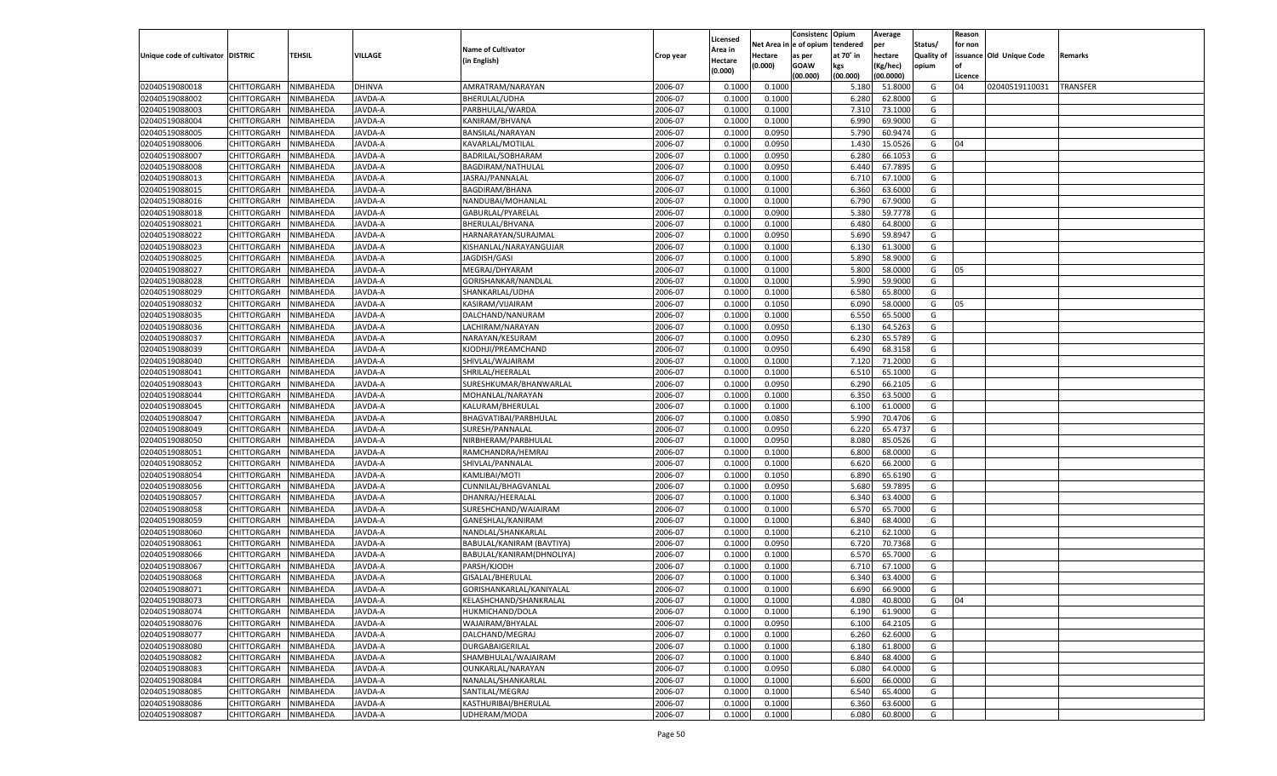|                                   |                       |               |                |                           |           |                     |         | Consistenc Opium       |           | Average   |                   | Reason  |                          |                 |
|-----------------------------------|-----------------------|---------------|----------------|---------------------------|-----------|---------------------|---------|------------------------|-----------|-----------|-------------------|---------|--------------------------|-----------------|
|                                   |                       |               |                | <b>Name of Cultivator</b> |           | Licensed<br>Area in |         | Net Area in e of opium | tendered  | per       | Status/           | for non |                          |                 |
| Unique code of cultivator DISTRIC |                       | <b>TEHSIL</b> | VILLAGE        | (in English)              | Crop year | Hectare             | Hectare | as per                 | at 70° in | hectare   | <b>Quality of</b> |         | issuance Old Unique Code | Remarks         |
|                                   |                       |               |                |                           |           | (0.000)             | (0.000) | <b>GOAW</b>            | kgs       | (Kg/hec)  | opium             |         |                          |                 |
|                                   |                       |               |                |                           |           |                     |         | (00.000)               | (00.000)  | (00.0000) |                   | Licence |                          |                 |
| 02040519080018                    | CHITTORGARH           | NIMBAHEDA     | <b>DHINVA</b>  | AMRATRAM/NARAYAN          | 2006-07   | 0.1000              | 0.1000  |                        | 5.180     | 51.8000   | G                 | 04      | 02040519110031           | <b>TRANSFER</b> |
| 02040519088002                    | CHITTORGARH           | NIMBAHEDA     | <b>JAVDA-A</b> | BHERULAL/UDHA             | 2006-07   | 0.1000              | 0.1000  |                        | 6.280     | 62.8000   | G                 |         |                          |                 |
| 02040519088003                    | CHITTORGARH           | NIMBAHEDA     | <b>JAVDA-A</b> | PARBHULAL/WARDA           | 2006-07   | 0.1000              | 0.1000  |                        | 7.310     | 73.1000   | G                 |         |                          |                 |
| 02040519088004                    | CHITTORGARH           | NIMBAHEDA     | <b>JAVDA-A</b> | KANIRAM/BHVANA            | 2006-07   | 0.1000              | 0.1000  |                        | 6.990     | 69.9000   | G                 |         |                          |                 |
| 02040519088005                    | CHITTORGARH           | NIMBAHEDA     | <b>JAVDA-A</b> | BANSILAL/NARAYAN          | 2006-07   | 0.1000              | 0.0950  |                        | 5.790     | 60.9474   | G                 |         |                          |                 |
| 02040519088006                    | CHITTORGARH           | NIMBAHEDA     | <b>JAVDA-A</b> | KAVARLAL/MOTILAL          | 2006-07   | 0.1000              | 0.0950  |                        | 1.430     | 15.0526   | G                 | 04      |                          |                 |
| 02040519088007                    | CHITTORGARH           | NIMBAHEDA     | <b>JAVDA-A</b> | BADRILAL/SOBHARAM         | 2006-07   | 0.1000              | 0.0950  |                        | 6.280     | 66.1053   | G                 |         |                          |                 |
| 02040519088008                    | CHITTORGARH           | NIMBAHEDA     | <b>JAVDA-A</b> | BAGDIRAM/NATHULAL         | 2006-07   | 0.1000              | 0.0950  |                        | 6.440     | 67.7895   | G                 |         |                          |                 |
| 02040519088013                    | CHITTORGARH           | NIMBAHEDA     | <b>JAVDA-A</b> | JASRAJ/PANNALAL           | 2006-07   | 0.1000              | 0.1000  |                        | 6.710     | 67.1000   | G                 |         |                          |                 |
| 02040519088015                    | CHITTORGARH           | NIMBAHEDA     | <b>JAVDA-A</b> | <b>BAGDIRAM/BHANA</b>     | 2006-07   | 0.1000              | 0.1000  |                        | 6.360     | 63.6000   | G                 |         |                          |                 |
| 02040519088016                    | CHITTORGARH           | NIMBAHEDA     | <b>JAVDA-A</b> | NANDUBAI/MOHANLAI         | 2006-07   | 0.1000              | 0.1000  |                        | 6.790     | 67.9000   | G                 |         |                          |                 |
| 02040519088018                    | CHITTORGARH           | NIMBAHEDA     | <b>JAVDA-A</b> | GABURLAL/PYARELAL         | 2006-07   | 0.1000              | 0.0900  |                        | 5.380     | 59.7778   | G                 |         |                          |                 |
| 02040519088021                    | CHITTORGARH           | NIMBAHEDA     | <b>JAVDA-A</b> | BHERULAL/BHVANA           | 2006-07   | 0.1000              | 0.1000  |                        | 6.480     | 64.8000   | G                 |         |                          |                 |
| 02040519088022                    | CHITTORGARH           | NIMBAHEDA     | AVDA-A         | HARNARAYAN/SURAJMAL       | 2006-07   | 0.1000              | 0.0950  |                        | 5.690     | 59.8947   | G                 |         |                          |                 |
| 02040519088023                    | CHITTORGARH           | NIMBAHEDA     | AVDA-A         | KISHANLAL/NARAYANGUJAR    | 2006-07   | 0.1000              | 0.1000  |                        | 6.130     | 61.3000   | G                 |         |                          |                 |
| 02040519088025                    | CHITTORGARH           | NIMBAHEDA     | AVDA-A         | JAGDISH/GASI              | 2006-07   | 0.1000              | 0.1000  |                        | 5.890     | 58.9000   | G                 |         |                          |                 |
| 02040519088027                    | CHITTORGARH           | NIMBAHEDA     | AVDA-A         | MEGRAJ/DHYARAM            | 2006-07   | 0.1000              | 0.1000  |                        | 5.800     | 58.0000   | G                 | 05      |                          |                 |
| 02040519088028                    | CHITTORGARH           | NIMBAHEDA     | AVDA-A         | GORISHANKAR/NANDLAL       | 2006-07   | 0.1000              | 0.1000  |                        | 5.990     | 59.9000   | G                 |         |                          |                 |
| 02040519088029                    | CHITTORGARH           | NIMBAHEDA     | AVDA-A         | SHANKARLAL/UDHA           | 2006-07   | 0.1000              | 0.1000  |                        | 6.580     | 65.8000   | G                 |         |                          |                 |
| 02040519088032                    | CHITTORGARH           | NIMBAHEDA     | AVDA-A         | KASIRAM/VIJAIRAM          | 2006-07   | 0.1000              | 0.1050  |                        | 6.090     | 58.0000   | G                 | 05      |                          |                 |
| 02040519088035                    | CHITTORGARH           | NIMBAHEDA     | AVDA-A         | DALCHAND/NANURAM          | 2006-07   | 0.1000              | 0.1000  |                        | 6.550     | 65.5000   | G                 |         |                          |                 |
| 02040519088036                    | CHITTORGARH           | NIMBAHEDA     | AVDA-A         | LACHIRAM/NARAYAN          | 2006-07   | 0.1000              | 0.0950  |                        | 6.130     | 64.5263   | G                 |         |                          |                 |
| 02040519088037                    | CHITTORGARH           | NIMBAHEDA     | AVDA-A         | NARAYAN/KESURAM           | 2006-07   | 0.1000              | 0.0950  |                        | 6.230     | 65.5789   | G                 |         |                          |                 |
| 02040519088039                    | CHITTORGARH           | NIMBAHEDA     | AVDA-A         | KJODHJI/PREAMCHAND        | 2006-07   | 0.1000              | 0.0950  |                        | 6.490     | 68.3158   | G                 |         |                          |                 |
| 02040519088040                    | CHITTORGARH           | NIMBAHEDA     | AVDA-A         | SHIVLAL/WAJAIRAM          | 2006-07   | 0.1000              | 0.1000  |                        | 7.120     | 71.2000   | G                 |         |                          |                 |
| 02040519088041                    | CHITTORGARH           | NIMBAHEDA     | AVDA-A         | SHRILAL/HEERALAL          | 2006-07   | 0.1000              | 0.1000  |                        | 6.510     | 65.1000   | G                 |         |                          |                 |
| 02040519088043                    | CHITTORGARH           | NIMBAHEDA     | AVDA-A         | SURESHKUMAR/BHANWARLAL    | 2006-07   | 0.1000              | 0.0950  |                        | 6.290     | 66.2105   | G                 |         |                          |                 |
| 02040519088044                    | CHITTORGARH           | NIMBAHEDA     | AVDA-A         | MOHANLAL/NARAYAN          | 2006-07   | 0.1000              | 0.1000  |                        | 6.350     | 63.5000   | G                 |         |                          |                 |
| 02040519088045                    | CHITTORGARH           | NIMBAHEDA     | AVDA-A         | KALURAM/BHERULAL          | 2006-07   | 0.1000              | 0.1000  |                        | 6.100     | 61.0000   | G                 |         |                          |                 |
| 02040519088047                    | CHITTORGARH           | NIMBAHEDA     | AVDA-A         | BHAGVATIBAI/PARBHULAL     | 2006-07   | 0.1000              | 0.0850  |                        | 5.990     | 70.4706   | G                 |         |                          |                 |
| 02040519088049                    |                       | NIMBAHEDA     | <b>AVDA-A</b>  |                           | 2006-07   | 0.1000              | 0.0950  |                        | 6.220     | 65.4737   | G                 |         |                          |                 |
|                                   | <b>CHITTORGARH</b>    |               |                | SURESH/PANNALAL           |           |                     |         |                        |           |           |                   |         |                          |                 |
| 02040519088050                    | CHITTORGARH           | NIMBAHEDA     | AVDA-A         | NIRBHERAM/PARBHULAL       | 2006-07   | 0.1000              | 0.0950  |                        | 8.080     | 85.0526   | G                 |         |                          |                 |
| 02040519088051                    | <b>CHITTORGARH</b>    | NIMBAHEDA     | <b>AVDA-A</b>  | RAMCHANDRA/HEMRAJ         | 2006-07   | 0.1000              | 0.1000  |                        | 6.800     | 68.0000   | G                 |         |                          |                 |
| 02040519088052                    | CHITTORGARH           | NIMBAHEDA     | <b>AVDA-A</b>  | SHIVLAL/PANNALAL          | 2006-07   | 0.1000              | 0.1000  |                        | 6.620     | 66.2000   | G                 |         |                          |                 |
| 02040519088054                    | <b>CHITTORGARH</b>    | NIMBAHEDA     | <b>AVDA-A</b>  | KAMLIBAI/MOTI             | 2006-07   | 0.1000              | 0.1050  |                        | 6.890     | 65.6190   | G                 |         |                          |                 |
| 02040519088056                    | CHITTORGARH           | NIMBAHEDA     | <b>AVDA-A</b>  | CUNNILAL/BHAGVANLAL       | 2006-07   | 0.1000              | 0.0950  |                        | 5.680     | 59.7895   | G                 |         |                          |                 |
| 02040519088057                    | <b>CHITTORGARH</b>    | NIMBAHEDA     | AVDA-A         | DHANRAJ/HEERALAI          | 2006-07   | 0.1000              | 0.1000  |                        | 6.340     | 63.4000   | G                 |         |                          |                 |
| 02040519088058                    | CHITTORGARH           | NIMBAHEDA     | <b>AVDA-A</b>  | SURESHCHAND/WAJAIRAM      | 2006-07   | 0.1000              | 0.1000  |                        | 6.570     | 65.7000   | G                 |         |                          |                 |
| 02040519088059                    | <b>CHITTORGARH</b>    | NIMBAHEDA     | <b>AVDA-A</b>  | GANESHLAL/KANIRAM         | 2006-07   | 0.1000              | 0.1000  |                        | 6.840     | 68.4000   | G                 |         |                          |                 |
| 02040519088060                    | CHITTORGARH           | NIMBAHEDA     | <b>AVDA-A</b>  | NANDLAL/SHANKARLAL        | 2006-07   | 0.1000              | 0.1000  |                        | 6.210     | 62.1000   | G                 |         |                          |                 |
| 02040519088061                    | <b>CHITTORGARH</b>    | NIMBAHEDA     | <b>AVDA-A</b>  | BABULAL/KANIRAM (BAVTIYA) | 2006-07   | 0.1000              | 0.0950  |                        | 6.720     | 70.7368   | G                 |         |                          |                 |
| 02040519088066                    | CHITTORGARH           | NIMBAHEDA     | AVDA-A         | BABULAL/KANIRAM(DHNOLIYA) | 2006-07   | 0.1000              | 0.1000  |                        | 6.570     | 65.7000   | G                 |         |                          |                 |
| 02040519088067                    | CHITTORGARH           | NIMBAHEDA     | <b>AVDA-A</b>  | PARSH/KJODH               | 2006-07   | 0.1000              | 0.1000  |                        | 6.710     | 67.1000   | G                 |         |                          |                 |
| 02040519088068                    | CHITTORGARH           | NIMBAHEDA     | AVDA-A         | GISALAL/BHERULAL          | 2006-07   | 0.1000              | 0.1000  |                        | 6.340     | 63.4000   | G                 |         |                          |                 |
| 02040519088071                    | CHITTORGARH           | NIMBAHEDA     | <b>AVDA-A</b>  | GORISHANKARLAL/KANIYALAL  | 2006-07   | 0.1000              | 0.1000  |                        | 6.690     | 66.9000   | G                 |         |                          |                 |
| 02040519088073                    | CHITTORGARH NIMBAHEDA |               | JAVDA-A        | KELASHCHAND/SHANKRALAL    | 2006-07   | 0.1000              | 0.1000  |                        | 4.080     | 40.8000   | G                 | 04      |                          |                 |
| 02040519088074                    | <b>CHITTORGARH</b>    | NIMBAHEDA     | JAVDA-A        | HUKMICHAND/DOLA           | 2006-07   | 0.1000              | 0.1000  |                        | 6.190     | 61.9000   | G                 |         |                          |                 |
| 02040519088076                    | <b>CHITTORGARH</b>    | NIMBAHEDA     | <b>JAVDA-A</b> | WAJAIRAM/BHYALAL          | 2006-07   | 0.1000              | 0.0950  |                        | 6.100     | 64.2105   | G                 |         |                          |                 |
| 02040519088077                    | <b>CHITTORGARH</b>    | NIMBAHEDA     | <b>JAVDA-A</b> | DALCHAND/MEGRAJ           | 2006-07   | 0.1000              | 0.1000  |                        | 6.260     | 62.6000   | G                 |         |                          |                 |
| 02040519088080                    | <b>CHITTORGARH</b>    | NIMBAHEDA     | <b>JAVDA-A</b> | DURGABAIGERILAL           | 2006-07   | 0.1000              | 0.1000  |                        | 6.180     | 61.8000   | G                 |         |                          |                 |
| 02040519088082                    | <b>CHITTORGARH</b>    | NIMBAHEDA     | <b>JAVDA-A</b> | SHAMBHULAL/WAJAIRAM       | 2006-07   | 0.1000              | 0.1000  |                        | 6.840     | 68.4000   | G                 |         |                          |                 |
| 02040519088083                    | <b>CHITTORGARH</b>    | NIMBAHEDA     | <b>JAVDA-A</b> | OUNKARLAL/NARAYAN         | 2006-07   | 0.1000              | 0.0950  |                        | 6.080     | 64.0000   | G                 |         |                          |                 |
| 02040519088084                    | <b>CHITTORGARH</b>    | NIMBAHEDA     | <b>JAVDA-A</b> | NANALAL/SHANKARLAL        | 2006-07   | 0.1000              | 0.1000  |                        | 6.600     | 66.0000   | G                 |         |                          |                 |
| 02040519088085                    | <b>CHITTORGARH</b>    | NIMBAHEDA     | <b>JAVDA-A</b> | SANTILAL/MEGRAJ           | 2006-07   | 0.1000              | 0.1000  |                        | 6.540     | 65.4000   | G                 |         |                          |                 |
| 02040519088086                    | <b>CHITTORGARH</b>    | NIMBAHEDA     | <b>JAVDA-A</b> | KASTHURIBAI/BHERULAL      | 2006-07   | 0.1000              | 0.1000  |                        | 6.360     | 63.6000   | G                 |         |                          |                 |
| 02040519088087                    | <b>CHITTORGARH</b>    | NIMBAHEDA     | JAVDA-A        | UDHERAM/MODA              | 2006-07   | 0.1000              | 0.1000  |                        | 6.080     | 60.8000   | G                 |         |                          |                 |
|                                   |                       |               |                |                           |           |                     |         |                        |           |           |                   |         |                          |                 |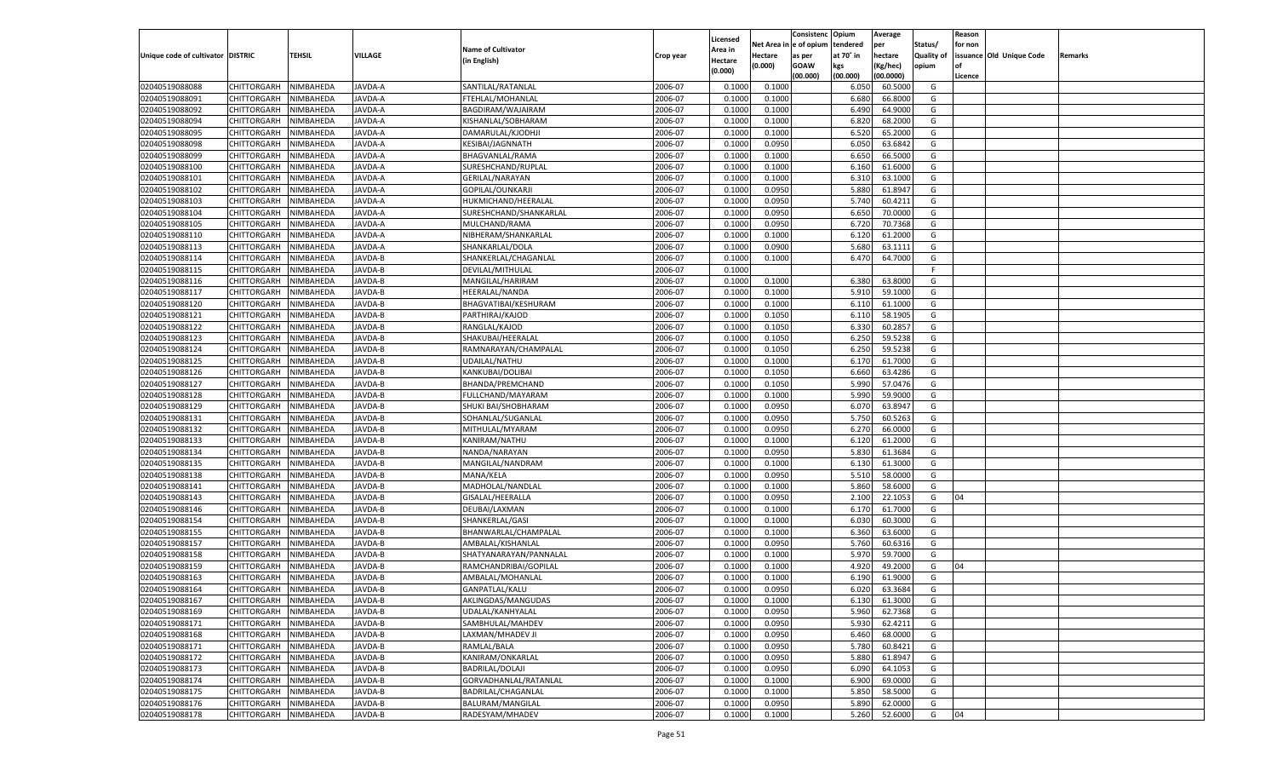|                                   |                       |                        |                  |                                       |           |                    |          | Consistenc  | Opium     | Average   |                   | Reason  |                          |         |
|-----------------------------------|-----------------------|------------------------|------------------|---------------------------------------|-----------|--------------------|----------|-------------|-----------|-----------|-------------------|---------|--------------------------|---------|
|                                   |                       |                        |                  |                                       |           | Licensed           | Net Area | e of opium  | tendered  | per       | Status/           | for non |                          |         |
| Unique code of cultivator DISTRIC |                       | <b>TEHSIL</b>          | VILLAGE          | <b>Name of Cultivator</b>             | Crop year | <b>Area in</b>     | Hectare  | as per      | at 70° in | hectare   | <b>Quality of</b> |         | issuance Old Unique Code | Remarks |
|                                   |                       |                        |                  | (in English)                          |           | Hectare<br>(0.000) | (0.000)  | <b>GOAW</b> | kgs       | (Kg/hec)  | opium             |         |                          |         |
|                                   |                       |                        |                  |                                       |           |                    |          | (00.000)    | (00.000)  | (00.0000) |                   | Licence |                          |         |
| 02040519088088                    | CHITTORGARH           | NIMBAHEDA              | JAVDA-A          | SANTILAL/RATANLAL                     | 2006-07   | 0.1000             | 0.1000   |             | 6.050     | 60.5000   | G                 |         |                          |         |
| 02040519088091                    | CHITTORGARH           | NIMBAHEDA              | <b>JAVDA-A</b>   | FTEHLAL/MOHANLAL                      | 2006-07   | 0.1000             | 0.1000   |             | 6.680     | 66.8000   | G                 |         |                          |         |
| 02040519088092                    | CHITTORGARH           | NIMBAHEDA              | JAVDA-A          | BAGDIRAM/WAJAIRAM                     | 2006-07   | 0.1000             | 0.1000   |             | 6.490     | 64.9000   | G                 |         |                          |         |
| 02040519088094                    | CHITTORGARH           | NIMBAHEDA              | JAVDA-A          | KISHANLAL/SOBHARAM                    | 2006-07   | 0.1000             | 0.1000   |             | 6.820     | 68.2000   | G                 |         |                          |         |
| 02040519088095                    | CHITTORGARH           | NIMBAHEDA              | JAVDA-A          | DAMARULAL/KJODHJI                     | 2006-07   | 0.1000             | 0.1000   |             | 6.520     | 65.2000   | G                 |         |                          |         |
| 02040519088098                    | CHITTORGARH           | NIMBAHEDA              | <b>JAVDA-A</b>   | KESIBAI/JAGNNATH                      | 2006-07   | 0.1000             | 0.0950   |             | 6.050     | 63.6842   | G                 |         |                          |         |
| 02040519088099                    | CHITTORGARH           | NIMBAHEDA              | JAVDA-A          | BHAGVANLAL/RAMA                       | 2006-07   | 0.1000             | 0.1000   |             | 6.650     | 66.5000   | G                 |         |                          |         |
| 02040519088100                    | CHITTORGARH           | NIMBAHEDA              | <b>JAVDA-A</b>   | SURESHCHAND/RUPLAL                    | 2006-07   | 0.1000             | 0.1000   |             | 6.160     | 61.6000   | G                 |         |                          |         |
| 02040519088101                    | CHITTORGARH           | NIMBAHEDA              | JAVDA-A          | GERILAL/NARAYAN                       | 2006-07   | 0.1000             | 0.1000   |             | 6.310     | 63.1000   | G                 |         |                          |         |
| 02040519088102                    | CHITTORGARH           | NIMBAHEDA              | <b>JAVDA-A</b>   | GOPILAL/OUNKARJI                      | 2006-07   | 0.1000             | 0.0950   |             | 5.880     | 61.8947   | G                 |         |                          |         |
| 02040519088103                    | CHITTORGARH           | NIMBAHEDA              | JAVDA-A          | HUKMICHAND/HEERALAL                   | 2006-07   | 0.1000             | 0.0950   |             | 5.740     | 60.4211   | G                 |         |                          |         |
| 02040519088104                    | CHITTORGARH           | NIMBAHEDA              | <b>JAVDA-A</b>   | SURESHCHAND/SHANKARLAL                | 2006-07   | 0.1000             | 0.0950   |             | 6.650     | 70.0000   | G                 |         |                          |         |
| 02040519088105                    | CHITTORGARH           | NIMBAHEDA              | JAVDA-A          | MULCHAND/RAMA                         | 2006-07   | 0.1000             | 0.0950   |             | 6.720     | 70.7368   | G                 |         |                          |         |
| 02040519088110                    | CHITTORGARH           | NIMBAHEDA              | AVDA-A           | NIBHERAM/SHANKARLAL                   | 2006-07   | 0.1000             | 0.1000   |             | 6.120     | 61.2000   | G                 |         |                          |         |
| 02040519088113                    | CHITTORGARH           | NIMBAHEDA              | AVDA-A           | SHANKARLAL/DOLA                       | 2006-07   | 0.1000             | 0.0900   |             | 5.680     | 63.1111   | G                 |         |                          |         |
| 02040519088114                    | CHITTORGARH           | NIMBAHEDA              | AVDA-B           | SHANKERLAL/CHAGANLAL                  | 2006-07   | 0.1000             | 0.1000   |             | 6.470     | 64.7000   | G                 |         |                          |         |
| 02040519088115                    | CHITTORGARH           | NIMBAHEDA              | AVDA-B           | DEVILAL/MITHULAL                      | 2006-07   | 0.1000             |          |             |           |           | F                 |         |                          |         |
| 02040519088116                    | CHITTORGARH           | NIMBAHEDA              | AVDA-B           | MANGILAL/HARIRAM                      | 2006-07   | 0.1000             | 0.1000   |             | 6.380     | 63.8000   | G                 |         |                          |         |
| 02040519088117                    | CHITTORGARH           | NIMBAHEDA              | AVDA-B           | HEERALAL/NANDA                        | 2006-07   | 0.1000             | 0.1000   |             | 5.910     | 59.1000   | G                 |         |                          |         |
| 02040519088120                    | CHITTORGARH           | NIMBAHEDA              | AVDA-B           | BHAGVATIBAI/KESHURAM                  | 2006-07   | 0.1000             | 0.1000   |             | 6.110     | 61.1000   | G                 |         |                          |         |
| 02040519088121                    | CHITTORGARH           | NIMBAHEDA              | AVDA-B           | PARTHIRAJ/KAJOD                       | 2006-07   | 0.1000             | 0.1050   |             | 6.110     | 58.1905   | G                 |         |                          |         |
| 02040519088122                    | CHITTORGARH           | NIMBAHEDA              | AVDA-B           | RANGLAL/KAJOD                         | 2006-07   | 0.1000             | 0.1050   |             | 6.330     | 60.285    | G                 |         |                          |         |
| 02040519088123                    | CHITTORGARH           | NIMBAHEDA              | AVDA-B           | SHAKUBAI/HEERALAL                     | 2006-07   | 0.1000             | 0.1050   |             | 6.250     | 59.5238   | G                 |         |                          |         |
| 02040519088124                    |                       |                        |                  |                                       | 2006-07   | 0.1000             | 0.1050   |             | 6.250     | 59.5238   | G                 |         |                          |         |
| 02040519088125                    | CHITTORGARH           | NIMBAHEDA<br>NIMBAHEDA | AVDA-B<br>AVDA-B | RAMNARAYAN/CHAMPALAL<br>UDAILAL/NATHU | 2006-07   | 0.1000             | 0.1000   |             |           | 61.7000   | G                 |         |                          |         |
|                                   | CHITTORGARH           |                        |                  |                                       |           |                    |          |             | 6.170     |           |                   |         |                          |         |
| 02040519088126                    | CHITTORGARH           | NIMBAHEDA              | AVDA-B           | KANKUBAI/DOLIBAI                      | 2006-07   | 0.1000             | 0.1050   |             | 6.660     | 63.4286   | G                 |         |                          |         |
| 02040519088127                    | CHITTORGARH           | NIMBAHEDA              | AVDA-B           | BHANDA/PREMCHAND                      | 2006-07   | 0.1000             | 0.1050   |             | 5.990     | 57.0476   | G                 |         |                          |         |
| 02040519088128                    | CHITTORGARH           | NIMBAHEDA              | AVDA-B           | FULLCHAND/MAYARAM                     | 2006-07   | 0.1000             | 0.1000   |             | 5.990     | 59.9000   | G                 |         |                          |         |
| 02040519088129                    | CHITTORGARH           | NIMBAHEDA              | AVDA-B           | SHUKI BAI/SHOBHARAM                   | 2006-07   | 0.1000             | 0.0950   |             | 6.070     | 63.8947   | G                 |         |                          |         |
| 02040519088131                    | CHITTORGARH           | NIMBAHEDA              | AVDA-B           | SOHANLAL/SUGANLAL                     | 2006-07   | 0.1000             | 0.0950   |             | 5.750     | 60.5263   | G                 |         |                          |         |
| 02040519088132                    | CHITTORGARH           | NIMBAHEDA              | <b>JAVDA-B</b>   | MITHULAL/MYARAM                       | 2006-07   | 0.1000             | 0.0950   |             | 6.27      | 66.0000   | G                 |         |                          |         |
| 02040519088133                    | CHITTORGARH           | NIMBAHEDA              | JAVDA-B          | KANIRAM/NATHU                         | 2006-07   | 0.1000             | 0.1000   |             | 6.120     | 61.2000   | G                 |         |                          |         |
| 02040519088134                    | CHITTORGARH           | NIMBAHEDA              | <b>JAVDA-B</b>   | NANDA/NARAYAN                         | 2006-07   | 0.1000             | 0.0950   |             | 5.830     | 61.3684   | G                 |         |                          |         |
| 02040519088135                    | CHITTORGARH           | NIMBAHEDA              | JAVDA-B          | MANGILAL/NANDRAM                      | 2006-07   | 0.1000             | 0.1000   |             | 6.130     | 61.3000   | G                 |         |                          |         |
| 02040519088138                    | CHITTORGARH           | NIMBAHEDA              | <b>JAVDA-B</b>   | MANA/KELA                             | 2006-07   | 0.1000             | 0.0950   |             | 5.510     | 58.0000   | G                 |         |                          |         |
| 02040519088141                    | CHITTORGARH           | NIMBAHEDA              | JAVDA-B          | MADHOLAL/NANDLAL                      | 2006-07   | 0.1000             | 0.1000   |             | 5.860     | 58.6000   | G                 |         |                          |         |
| 02040519088143                    | CHITTORGARH           | NIMBAHEDA              | <b>JAVDA-B</b>   | GISALAL/HEERALLA                      | 2006-07   | 0.1000             | 0.0950   |             | 2.100     | 22.1053   | G                 | 04      |                          |         |
| 02040519088146                    | CHITTORGARH           | NIMBAHEDA              | AVDA-B           | DEUBAI/LAXMAN                         | 2006-07   | 0.1000             | 0.1000   |             | 6.170     | 61.7000   | G                 |         |                          |         |
| 02040519088154                    | CHITTORGARH           | NIMBAHEDA              | <b>JAVDA-B</b>   | SHANKERLAL/GASI                       | 2006-07   | 0.1000             | 0.1000   |             | 6.030     | 60.3000   | G                 |         |                          |         |
| 02040519088155                    | CHITTORGARH           | NIMBAHEDA              | JAVDA-B          | BHANWARLAL/CHAMPALAL                  | 2006-07   | 0.1000             | 0.1000   |             | 6.360     | 63.6000   | G                 |         |                          |         |
| 02040519088157                    | CHITTORGARH           | NIMBAHEDA              | <b>JAVDA-B</b>   | AMBALAL/KISHANLAL                     | 2006-07   | 0.1000             | 0.0950   |             | 5.760     | 60.6316   | G                 |         |                          |         |
| 02040519088158                    | CHITTORGARH           | NIMBAHEDA              | AVDA-B           | SHATYANARAYAN/PANNALAI                | 2006-07   | 0.1000             | 0.1000   |             | 5.970     | 59.7000   | G                 |         |                          |         |
| 02040519088159                    | CHITTORGARH           | NIMBAHEDA              | <b>JAVDA-B</b>   | RAMCHANDRIBAI/GOPILAL                 | 2006-07   | 0.1000             | 0.1000   |             | 4.92      | 49.2000   | G                 | 04      |                          |         |
| 02040519088163                    | CHITTORGARH           | NIMBAHEDA              | AVDA-B           | AMBALAL/MOHANLAL                      | 2006-07   | 0.1000             | 0.1000   |             | 6.190     | 61.9000   | G                 |         |                          |         |
| 02040519088164                    | CHITTORGARH           | NIMBAHEDA              | JAVDA-B          | GANPATLAL/KALU                        | 2006-07   | 0.1000             | 0.0950   |             | 6.020     | 63.3684   | G                 |         |                          |         |
| 02040519088167                    | CHITTORGARH NIMBAHEDA |                        | JAVDA-B          | AKLINGDAS/MANGUDAS                    | 2006-07   | 0.1000             | 0.1000   |             | 6.130     | 61.3000   | G                 |         |                          |         |
| 02040519088169                    | <b>CHITTORGARH</b>    | NIMBAHEDA              | JAVDA-B          | UDALAL/KANHYALAL                      | 2006-07   | 0.1000             | 0.0950   |             | 5.960     | 62.7368   | G                 |         |                          |         |
| 02040519088171                    | CHITTORGARH           | NIMBAHEDA              | JAVDA-B          | SAMBHULAL/MAHDEV                      | 2006-07   | 0.1000             | 0.0950   |             | 5.930     | 62.4211   | G                 |         |                          |         |
| 02040519088168                    | <b>CHITTORGARH</b>    | NIMBAHEDA              | JAVDA-B          | LAXMAN/MHADEV JI                      | 2006-07   | 0.1000             | 0.0950   |             | 6.460     | 68.0000   | G                 |         |                          |         |
| 02040519088171                    | <b>CHITTORGARH</b>    | NIMBAHEDA              | JAVDA-B          | RAMLAL/BALA                           | 2006-07   | 0.1000             | 0.0950   |             | 5.780     | 60.8421   | G                 |         |                          |         |
| 02040519088172                    | <b>CHITTORGARH</b>    | NIMBAHEDA              | JAVDA-B          | KANIRAM/ONKARLAL                      | 2006-07   | 0.1000             | 0.0950   |             | 5.880     | 61.8947   | G                 |         |                          |         |
| 02040519088173                    | CHITTORGARH           | NIMBAHEDA              | JAVDA-B          | BADRILAL/DOLAJI                       | 2006-07   | 0.1000             | 0.0950   |             | 6.090     | 64.1053   | G                 |         |                          |         |
| 02040519088174                    | <b>CHITTORGARH</b>    | NIMBAHEDA              | JAVDA-B          | GORVADHANLAL/RATANLAL                 | 2006-07   | 0.1000             | 0.1000   |             | 6.900     | 69.0000   | G                 |         |                          |         |
| 02040519088175                    | <b>CHITTORGARH</b>    | NIMBAHEDA              | JAVDA-B          | BADRILAL/CHAGANLAL                    | 2006-07   | 0.1000             | 0.1000   |             | 5.850     | 58.5000   | G                 |         |                          |         |
| 02040519088176                    | <b>CHITTORGARH</b>    | NIMBAHEDA              | JAVDA-B          | BALURAM/MANGILAL                      | 2006-07   | 0.1000             | 0.0950   |             | 5.890     | 62.0000   | G                 |         |                          |         |
| 02040519088178                    | <b>CHITTORGARH</b>    | NIMBAHEDA              | JAVDA-B          | RADESYAM/MHADEV                       | 2006-07   | 0.1000             | 0.1000   |             | 5.260     | 52.6000   | G                 | 04      |                          |         |
|                                   |                       |                        |                  |                                       |           |                    |          |             |           |           |                   |         |                          |         |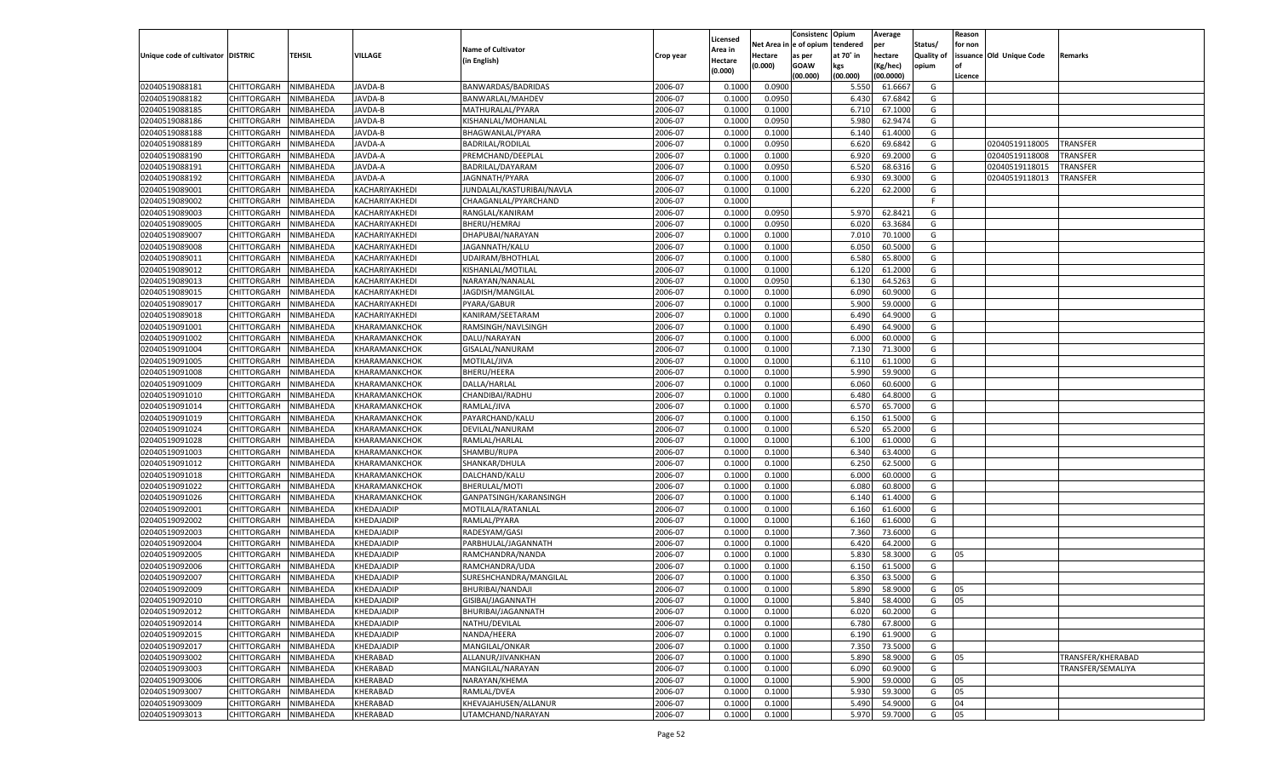|                                   |                            |                        |                          |                                          |           |                    |                  | Consistenc    | Opium     | Average            |                   | Reason  |                          |                   |
|-----------------------------------|----------------------------|------------------------|--------------------------|------------------------------------------|-----------|--------------------|------------------|---------------|-----------|--------------------|-------------------|---------|--------------------------|-------------------|
|                                   |                            |                        |                          | <b>Name of Cultivator</b>                |           | Licensed           | Net Area i       | n  e of opium | tendered  | per                | Status/           | for non |                          |                   |
| Unique code of cultivator DISTRIC |                            | TEHSIL                 | <b>VILLAGE</b>           | (in English)                             | Crop year | Area in<br>Hectare | Hectare          | as per        | at 70° in | hectare            | <b>Quality of</b> |         | issuance Old Unique Code | Remarks           |
|                                   |                            |                        |                          |                                          |           | (0.000)            | (0.000)          | <b>GOAW</b>   | kgs       | (Kg/hec)           | opium             |         |                          |                   |
|                                   |                            |                        |                          |                                          |           |                    |                  | (00.000)      | (00.000)  | (00.0000)          |                   | Licence |                          |                   |
| 02040519088181                    | CHITTORGARH                | NIMBAHEDA              | JAVDA-B                  | BANWARDAS/BADRIDAS                       | 2006-07   | 0.1000             | 0.0900           |               | 5.550     | 61.6667            | G                 |         |                          |                   |
| 02040519088182                    | CHITTORGARH                | NIMBAHEDA              | JAVDA-B                  | BANWARLAL/MAHDEV                         | 2006-07   | 0.1000             | 0.0950           |               | 6.430     | 67.6842            | G                 |         |                          |                   |
| 02040519088185                    | CHITTORGARH                | NIMBAHEDA              | JAVDA-B                  | MATHURALAL/PYARA                         | 2006-07   | 0.1000             | 0.1000           |               | 6.710     | 67.1000            | G                 |         |                          |                   |
| 02040519088186                    | CHITTORGARH                | NIMBAHEDA              | JAVDA-B                  | KISHANLAL/MOHANLAL                       | 2006-07   | 0.1000             | 0.0950           |               | 5.980     | 62.9474            | G                 |         |                          |                   |
| 02040519088188                    | CHITTORGARH                | NIMBAHEDA              | JAVDA-B                  | BHAGWANLAL/PYARA                         | 2006-07   | 0.1000             | 0.1000           |               | 6.140     | 61.4000            | G                 |         |                          |                   |
| 02040519088189                    | CHITTORGARH                | NIMBAHEDA              | JAVDA-A                  | <b>BADRILAL/RODILAL</b>                  | 2006-07   | 0.1000             | 0.0950           |               | 6.620     | 69.6842            | G                 |         | 02040519118005           | TRANSFER          |
| 02040519088190                    | CHITTORGARH                | NIMBAHEDA              | JAVDA-A                  | PREMCHAND/DEEPLAL                        | 2006-07   | 0.1000             | 0.1000           |               | 6.920     | 69.2000            | G                 |         | 02040519118008           | TRANSFER          |
| 02040519088191                    | CHITTORGARH                | NIMBAHEDA              | JAVDA-A                  | BADRILAL/DAYARAM                         | 2006-07   | 0.1000             | 0.0950           |               | 6.520     | 68.6316            | G                 |         | 02040519118015           | TRANSFER          |
| 02040519088192                    | CHITTORGARH                | NIMBAHEDA              | JAVDA-A                  | JAGNNATH/PYARA                           | 2006-07   | 0.1000             | 0.1000           |               | 6.930     | 69.3000            | G                 |         | 02040519118013           | TRANSFER          |
| 02040519089001                    | CHITTORGARH                | NIMBAHEDA              | KACHARIYAKHEDI           | JUNDALAL/KASTURIBAI/NAVLA                | 2006-07   | 0.1000             | 0.1000           |               | 6.220     | 62.2000            | G                 |         |                          |                   |
| 02040519089002                    | CHITTORGARH                | NIMBAHEDA              | KACHARIYAKHEDI           | CHAAGANLAL/PYARCHAND                     | 2006-07   | 0.1000             |                  |               |           |                    | F.                |         |                          |                   |
| 02040519089003                    | CHITTORGARH                | NIMBAHEDA              | KACHARIYAKHEDI           | RANGLAL/KANIRAM                          | 2006-07   | 0.1000             | 0.0950           |               | 5.970     | 62.8421            | G                 |         |                          |                   |
| 02040519089005                    | CHITTORGARH                | NIMBAHEDA              | KACHARIYAKHEDI           | BHERU/HEMRAJ                             | 2006-07   | 0.1000             | 0.0950           |               | 6.020     | 63.3684            | G                 |         |                          |                   |
| 02040519089007                    | CHITTORGARH                | NIMBAHEDA              | KACHARIYAKHEDI           | DHAPUBAI/NARAYAN                         | 2006-07   | 0.1000             | 0.1000           |               | 7.010     | 70.1000            | G                 |         |                          |                   |
| 02040519089008                    | CHITTORGARH                | NIMBAHEDA              | KACHARIYAKHEDI           | JAGANNATH/KALU                           | 2006-07   | 0.1000             | 0.1000           |               | 6.050     | 60.5000            | G                 |         |                          |                   |
| 02040519089011                    | CHITTORGARH                | NIMBAHEDA              | KACHARIYAKHEDI           | UDAIRAM/BHOTHLAL                         | 2006-07   | 0.1000             | 0.1000           |               | 6.580     | 65.8000            | G                 |         |                          |                   |
| 02040519089012                    | CHITTORGARH                | NIMBAHEDA              | KACHARIYAKHEDI           | KISHANLAL/MOTILAI                        | 2006-07   | 0.1000             | 0.1000           |               | 6.120     | 61.2000            | G                 |         |                          |                   |
| 02040519089013                    | CHITTORGARH                | NIMBAHEDA              | KACHARIYAKHEDI           | NARAYAN/NANALAI                          | 2006-07   | 0.1000             | 0.0950           |               | 6.130     | 64.5263            | G                 |         |                          |                   |
| 02040519089015                    | CHITTORGARH                | NIMBAHEDA              | KACHARIYAKHEDI           | JAGDISH/MANGILAL                         | 2006-07   | 0.1000             | 0.1000           |               | 6.090     | 60.9000            | G                 |         |                          |                   |
| 02040519089017                    | CHITTORGARH                | NIMBAHEDA              | KACHARIYAKHEDI           | PYARA/GABUR                              | 2006-07   | 0.1000             | 0.1000           |               | 5.900     | 59.0000            | G                 |         |                          |                   |
| 02040519089018                    | CHITTORGARH                | NIMBAHEDA              | KACHARIYAKHEDI           | KANIRAM/SEETARAM                         | 2006-07   | 0.1000             | 0.1000           |               | 6.490     | 64.9000            | G                 |         |                          |                   |
| 02040519091001                    | CHITTORGARH                | NIMBAHEDA              | KHARAMANKCHOK            | RAMSINGH/NAVLSINGH                       | 2006-07   | 0.1000             | 0.1000           |               | 6.490     | 64.9000            | G                 |         |                          |                   |
| 02040519091002                    | CHITTORGARH                | NIMBAHEDA              | KHARAMANKCHOK            | DALU/NARAYAN                             | 2006-07   | 0.1000             | 0.1000           |               | 6.000     | 60.0000            | G                 |         |                          |                   |
| 02040519091004                    | CHITTORGARH                | NIMBAHEDA              | KHARAMANKCHOK            | GISALAL/NANURAM                          | 2006-07   | 0.1000             | 0.1000           |               | 7.130     | 71.3000            | G                 |         |                          |                   |
| 02040519091005                    | CHITTORGARH                | NIMBAHEDA              | KHARAMANKCHOK            | MOTILAL/JIVA                             | 2006-07   | 0.1000             | 0.1000           |               | 6.110     | 61.1000            | G                 |         |                          |                   |
| 02040519091008                    | CHITTORGARH                | NIMBAHEDA              | KHARAMANKCHOK            | <b>BHERU/HEERA</b>                       | 2006-07   | 0.1000             | 0.1000           |               | 5.990     | 59.9000            | G                 |         |                          |                   |
| 02040519091009                    | CHITTORGARH                | NIMBAHEDA              | KHARAMANKCHOK            | DALLA/HARLAL                             | 2006-07   | 0.1000             | 0.1000           |               | 6.060     | 60.6000            | G                 |         |                          |                   |
| 02040519091010                    | CHITTORGARH                | NIMBAHEDA              | KHARAMANKCHOK            | CHANDIBAI/RADHU                          | 2006-07   | 0.1000             | 0.1000           |               | 6.480     | 64.8000            | G                 |         |                          |                   |
| 02040519091014                    | CHITTORGARH                | NIMBAHEDA              | KHARAMANKCHOK            | RAMLAL/JIVA                              | 2006-07   | 0.1000             | 0.1000           |               | 6.570     | 65.7000            | G                 |         |                          |                   |
| 02040519091019                    | CHITTORGARH                | NIMBAHEDA              | KHARAMANKCHOK            | PAYARCHAND/KALU                          | 2006-07   | 0.1000             | 0.1000           |               | 6.150     | 61.5000            | G                 |         |                          |                   |
| 02040519091024                    | CHITTORGARH                | NIMBAHEDA              | KHARAMANKCHOK            | DEVILAL/NANURAM                          | 2006-07   | 0.1000             | 0.1000           |               | 6.520     | 65.2000            | G                 |         |                          |                   |
| 02040519091028                    | CHITTORGARH                | NIMBAHEDA              | KHARAMANKCHOK            | RAMLAL/HARLAL                            | 2006-07   | 0.1000             | 0.1000           |               | 6.100     | 61.0000            | G                 |         |                          |                   |
| 02040519091003                    | CHITTORGARH                | NIMBAHEDA              | KHARAMANKCHOK            | SHAMBU/RUPA                              | 2006-07   | 0.1000             | 0.1000           |               | 6.340     | 63.4000            | G                 |         |                          |                   |
| 02040519091012                    | CHITTORGARH                | NIMBAHEDA              | KHARAMANKCHOK            | SHANKAR/DHULA                            | 2006-07   | 0.1000             | 0.1000           |               | 6.250     | 62.5000            | G                 |         |                          |                   |
| 02040519091018                    | CHITTORGARH                | NIMBAHEDA              | KHARAMANKCHOK            | DALCHAND/KALU                            | 2006-07   | 0.1000             | 0.1000           |               | 6.000     | 60.0000            | G                 |         |                          |                   |
| 02040519091022                    | CHITTORGARH                | NIMBAHEDA              | KHARAMANKCHOK            | BHERULAL/MOTI                            | 2006-07   | 0.1000             | 0.1000           |               | 6.080     | 60.8000            | G                 |         |                          |                   |
| 02040519091026                    | CHITTORGARH                | NIMBAHEDA              | KHARAMANKCHOK            | GANPATSINGH/KARANSINGH                   | 2006-07   | 0.1000             | 0.1000           |               | 6.140     | 61.4000            | G                 |         |                          |                   |
| 02040519092001                    | CHITTORGARH                | NIMBAHEDA              | KHEDAJADIP               | MOTILALA/RATANLAL                        | 2006-07   | 0.1000             | 0.1000           |               | 6.160     | 61.6000            | G                 |         |                          |                   |
| 02040519092002                    | CHITTORGARH                | NIMBAHEDA              | KHEDAJADIP               | RAMLAL/PYARA                             | 2006-07   | 0.1000             | 0.1000           |               | 6.160     | 61.6000            | G                 |         |                          |                   |
| 02040519092003                    | CHITTORGARH                | NIMBAHEDA              | KHEDAJADIP               | RADESYAM/GASI                            | 2006-07   | 0.1000             | 0.1000           |               | 7.360     | 73.6000            | G                 |         |                          |                   |
| 02040519092004                    | CHITTORGARH                | NIMBAHEDA              | KHEDAJADIP               | PARBHULAL/JAGANNATH                      | 2006-07   | 0.1000             | 0.1000           |               | 6.420     | 64.2000            | G                 |         |                          |                   |
| 02040519092005                    |                            |                        |                          |                                          | 2006-07   | 0.1000             |                  |               | 5.830     |                    | G                 | 05      |                          |                   |
| 02040519092006                    | CHITTORGARH<br>CHITTORGARH | NIMBAHEDA<br>NIMBAHEDA | KHEDAJADIP               | RAMCHANDRA/NANDA                         | 2006-07   | 0.1000             | 0.1000<br>0.1000 |               | 6.150     | 58.3000<br>61.5000 | G                 |         |                          |                   |
| 02040519092007                    |                            |                        | KHEDAJADIP               | RAMCHANDRA/UDA<br>SURESHCHANDRA/MANGILAL | 2006-07   | 0.1000             |                  |               | 6.350     | 63.5000            | G                 |         |                          |                   |
|                                   | CHITTORGARH                | NIMBAHEDA              | KHEDAJADIP<br>KHEDAJADIP |                                          | 2006-07   |                    | 0.1000           |               | 5.890     | 58.9000            |                   |         |                          |                   |
| 02040519092009                    | CHITTORGARH                | NIMBAHEDA              |                          | BHURIBAI/NANDAJI                         |           | 0.1000             | 0.1000           |               |           |                    | G                 | 05      |                          |                   |
| 02040519092010                    | CHITTORGARH NIMBAHEDA      |                        | KHEDAJADIP               | GISIBAI/JAGANNATH                        | 2006-07   | 0.1000             | 0.1000           |               | 5.840     | 58.4000            | G                 | 05      |                          |                   |
| 02040519092012                    | <b>CHITTORGARH</b>         | NIMBAHEDA              | KHEDAJADIP               | BHURIBAI/JAGANNATH                       | 2006-07   | 0.1000             | 0.1000           |               | 6.020     | 60.2000            | G                 |         |                          |                   |
| 02040519092014                    | CHITTORGARH                | NIMBAHEDA              | KHEDAJADIP               | NATHU/DEVILAL                            | 2006-07   | 0.1000             | 0.1000           |               | 6.780     | 67.8000            | G                 |         |                          |                   |
| 02040519092015                    | CHITTORGARH                | NIMBAHEDA              | KHEDAJADIP               | NANDA/HEERA                              | 2006-07   | 0.1000             | 0.1000           |               | 6.190     | 61.9000            | G                 |         |                          |                   |
| 02040519092017                    | CHITTORGARH                | NIMBAHEDA              | KHEDAJADIP               | MANGILAL/ONKAR                           | 2006-07   | 0.1000             | 0.1000           |               | 7.350     | 73.5000            | G                 |         |                          |                   |
| 02040519093002                    | CHITTORGARH                | NIMBAHEDA              | KHERABAD                 | ALLANUR/JIVANKHAN                        | 2006-07   | 0.1000             | 0.1000           |               | 5.890     | 58.9000            | G                 | 05      |                          | TRANSFER/KHERABAD |
| 02040519093003                    | <b>CHITTORGARH</b>         | NIMBAHEDA              | KHERABAD                 | MANGILAL/NARAYAN                         | 2006-07   | 0.1000             | 0.1000           |               | 6.090     | 60.9000            | G                 |         |                          | TRANSFER/SEMALIYA |
| 02040519093006                    | CHITTORGARH                | NIMBAHEDA              | KHERABAD                 | NARAYAN/KHEMA                            | 2006-07   | 0.1000             | 0.1000           |               | 5.900     | 59.0000            | G                 | 05      |                          |                   |
| 02040519093007                    | CHITTORGARH                | NIMBAHEDA              | KHERABAD                 | RAMLAL/DVEA                              | 2006-07   | 0.1000             | 0.1000           |               | 5.930     | 59.3000            | G                 | 05      |                          |                   |
| 02040519093009                    | <b>CHITTORGARH</b>         | NIMBAHEDA              | KHERABAD                 | KHEVAJAHUSEN/ALLANUR                     | 2006-07   | 0.1000             | 0.1000           |               | 5.490     | 54.9000            | G                 | 04      |                          |                   |
| 02040519093013                    | CHITTORGARH                | NIMBAHEDA              | KHERABAD                 | UTAMCHAND/NARAYAN                        | 2006-07   | 0.1000             | 0.1000           |               | 5.970     | 59.7000            | G                 | 05      |                          |                   |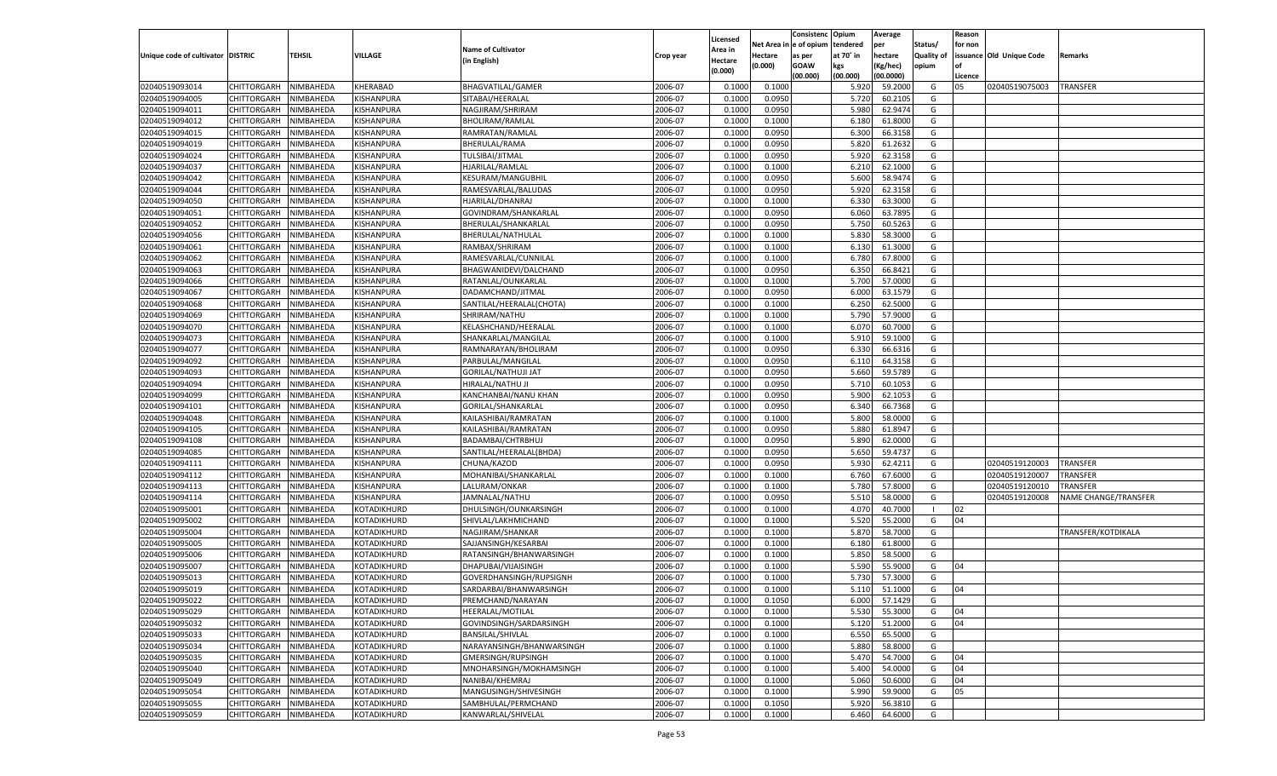|                                   |                                   |                        |                    |                                             |                    |                           |                  | Consistenc  | Opium          | Average            |                   | Reason   |                          |                      |
|-----------------------------------|-----------------------------------|------------------------|--------------------|---------------------------------------------|--------------------|---------------------------|------------------|-------------|----------------|--------------------|-------------------|----------|--------------------------|----------------------|
|                                   |                                   |                        |                    | <b>Name of Cultivator</b>                   |                    | Licensed                  | Net Area         | e of opium  | tendered       | per                | Status/           | for non  |                          |                      |
| Unique code of cultivator DISTRIC |                                   | <b>TEHSIL</b>          | VILLAGE            | (in English)                                | Crop year          | <b>Area in</b><br>Hectare | Hectare          | as per      | at 70° in      | hectare            | <b>Quality of</b> |          | issuance Old Unique Code | Remarks              |
|                                   |                                   |                        |                    |                                             |                    | (0.000)                   | (0.000)          | <b>GOAW</b> | kgs            | (Kg/hec)           | opium             |          |                          |                      |
|                                   |                                   |                        |                    |                                             |                    |                           |                  | (00.000)    | (00.000)       | (00.0000)          |                   | Licence  |                          |                      |
| 02040519093014                    | CHITTORGARH                       | NIMBAHEDA              | KHERABAD           | <b>BHAGVATILAL/GAMER</b>                    | 2006-07            | 0.1000                    | 0.1000           |             | 5.920          | 59.2000            | G                 | 05       | 02040519075003           | <b>TRANSFER</b>      |
| 02040519094005                    | CHITTORGARH                       | NIMBAHEDA              | KISHANPURA         | SITABAI/HEERALAL                            | 2006-07            | 0.1000                    | 0.0950           |             | 5.720          | 60.2105            | G                 |          |                          |                      |
| 02040519094011                    | CHITTORGARH                       | NIMBAHEDA              | KISHANPURA         | NAGJIRAM/SHRIRAM                            | 2006-07            | 0.1000                    | 0.0950           |             | 5.980          | 62.9474            | G                 |          |                          |                      |
| 02040519094012                    | CHITTORGARH                       | NIMBAHEDA              | KISHANPURA         | BHOLIRAM/RAMLAL                             | 2006-07            | 0.1000                    | 0.1000           |             | 6.180          | 61.8000            | G                 |          |                          |                      |
| 02040519094015                    | CHITTORGARH                       | NIMBAHEDA              | KISHANPURA         | RAMRATAN/RAMLAI                             | 2006-07            | 0.1000                    | 0.0950           |             | 6.300          | 66.3158            | G                 |          |                          |                      |
| 02040519094019                    | CHITTORGARH                       | NIMBAHEDA              | KISHANPURA         | BHERULAL/RAMA                               | 2006-07            | 0.1000                    | 0.0950           |             | 5.820          | 61.263             | G                 |          |                          |                      |
| 02040519094024                    | CHITTORGARH                       | NIMBAHEDA              | KISHANPURA         | TULSIBAI/JITMAL                             | 2006-07            | 0.1000                    | 0.0950           |             | 5.920          | 62.3158            | G                 |          |                          |                      |
| 02040519094037                    | CHITTORGARH                       | NIMBAHEDA              | KISHANPURA         | HJARILAL/RAMLAL                             | 2006-07            | 0.1000                    | 0.1000           |             | 6.21           | 62.1000            | G                 |          |                          |                      |
| 02040519094042                    | CHITTORGARH                       | NIMBAHEDA              | KISHANPURA         | KESURAM/MANGUBHIL                           | 2006-07            | 0.1000                    | 0.0950           |             | 5.600          | 58.9474            | G                 |          |                          |                      |
| 02040519094044                    | CHITTORGARH                       | NIMBAHEDA              | KISHANPURA         | RAMESVARLAL/BALUDAS                         | 2006-07            | 0.1000                    | 0.0950           |             | 5.920          | 62.3158            | G                 |          |                          |                      |
| 02040519094050                    | CHITTORGARH                       | NIMBAHEDA              | KISHANPURA         | HJARILAL/DHANRAJ                            | 2006-07            | 0.1000                    | 0.1000           |             | 6.330          | 63.3000            | G                 |          |                          |                      |
| 02040519094051                    | CHITTORGARH                       | NIMBAHEDA              | KISHANPURA         | GOVINDRAM/SHANKARLAL                        | 2006-07            | 0.1000                    | 0.0950           |             | 6.060          | 63.7895            | G                 |          |                          |                      |
| 02040519094052                    | CHITTORGARH                       | NIMBAHEDA              | KISHANPURA         | BHERULAL/SHANKARLAL                         | 2006-07            | 0.1000                    | 0.0950           |             | 5.750          | 60.5263            | G                 |          |                          |                      |
| 02040519094056                    | CHITTORGARH                       | NIMBAHEDA              | KISHANPURA         | BHERULAL/NATHULAL                           | 2006-07            | 0.1000                    | 0.1000           |             | 5.830          | 58.3000            | G                 |          |                          |                      |
| 02040519094061                    | CHITTORGARH                       | NIMBAHEDA              | KISHANPURA         | RAMBAX/SHRIRAM                              | 2006-07            | 0.1000                    | 0.1000           |             | 6.130          | 61.3000            | G                 |          |                          |                      |
| 02040519094062                    | CHITTORGARH                       | NIMBAHEDA              | KISHANPURA         | RAMESVARLAL/CUNNILAL                        | 2006-07            | 0.1000                    | 0.1000           |             | 6.780          | 67.8000            | G                 |          |                          |                      |
| 02040519094063                    | CHITTORGARH                       | NIMBAHEDA              | KISHANPURA         | BHAGWANIDEVI/DALCHAND                       | 2006-07            | 0.1000                    | 0.0950           |             | 6.350          | 66.8421            | G                 |          |                          |                      |
| 02040519094066                    | CHITTORGARH                       | NIMBAHEDA              | KISHANPURA         | RATANLAL/OUNKARLAL                          | 2006-07            | 0.1000                    | 0.1000           |             | 5.700          | 57.0000            | G                 |          |                          |                      |
| 02040519094067                    | CHITTORGARH                       | NIMBAHEDA              | KISHANPURA         | DADAMCHAND/JITMAL                           | 2006-07            | 0.1000                    | 0.0950           |             | 6.000          | 63.1579            | G                 |          |                          |                      |
| 02040519094068                    | CHITTORGARH                       | NIMBAHEDA              | KISHANPURA         | SANTILAL/HEERALAL(CHOTA)                    | 2006-07            | 0.1000                    | 0.1000           |             | 6.250          | 62.5000            | G                 |          |                          |                      |
| 02040519094069                    | CHITTORGARH                       | NIMBAHEDA              | KISHANPURA         | SHRIRAM/NATHU                               | 2006-07            | 0.1000                    | 0.1000           |             | 5.790          | 57.9000            | G                 |          |                          |                      |
| 02040519094070                    | CHITTORGARH                       | NIMBAHEDA              | KISHANPURA         | KELASHCHAND/HEERALAL                        | 2006-07            | 0.1000                    | 0.1000           |             | 6.070          | 60.7000            | G                 |          |                          |                      |
| 02040519094073                    | CHITTORGARH                       | NIMBAHEDA              | KISHANPURA         | SHANKARLAL/MANGILAL                         | 2006-07            | 0.1000                    | 0.1000           |             | 5.910          | 59.1000            | G                 |          |                          |                      |
| 02040519094077                    | CHITTORGARH                       | NIMBAHEDA              | KISHANPURA         | RAMNARAYAN/BHOLIRAM                         | 2006-07            | 0.1000                    | 0.0950           |             | 6.330          | 66.6316            | G                 |          |                          |                      |
| 02040519094092                    | CHITTORGARH                       | NIMBAHEDA              | KISHANPURA         | PARBULAL/MANGILAL                           | 2006-07            | 0.1000                    | 0.0950           |             | 6.110          | 64.3158            | G                 |          |                          |                      |
| 02040519094093                    | CHITTORGARH                       | NIMBAHEDA              | KISHANPURA         | GORILAL/NATHUJI JAT                         | 2006-07            | 0.1000                    | 0.0950           |             | 5.660          | 59.5789            | G                 |          |                          |                      |
| 02040519094094                    | CHITTORGARH                       | NIMBAHEDA              | KISHANPURA         | HIRALAL/NATHU JI                            | 2006-07            | 0.1000                    | 0.0950           |             | 5.710          | 60.105             | G                 |          |                          |                      |
| 02040519094099                    | CHITTORGARH                       | NIMBAHEDA              | KISHANPURA         | KANCHANBAI/NANU KHAN                        | 2006-07            | 0.1000                    | 0.0950           |             | 5.900          | 62.1053            | G                 |          |                          |                      |
| 02040519094101                    | CHITTORGARH                       | NIMBAHEDA              | KISHANPURA         | GORILAL/SHANKARLAL                          | 2006-07            | 0.1000                    | 0.0950           |             | 6.340          | 66.7368            | G                 |          |                          |                      |
| 02040519094048                    | CHITTORGARH                       | NIMBAHEDA              | KISHANPURA         | KAILASHIBAI/RAMRATAN                        | 2006-07            | 0.1000                    | 0.1000           |             | 5.800          | 58.0000            | G                 |          |                          |                      |
| 02040519094105                    | CHITTORGARH                       | NIMBAHEDA              | KISHANPURA         | KAILASHIBAI/RAMRATAN                        | 2006-07            | 0.1000                    | 0.0950           |             | 5.880          | 61.8947            | G                 |          |                          |                      |
| 02040519094108                    | CHITTORGARH                       | NIMBAHEDA              | KISHANPURA         | BADAMBAI/CHTRBHUJ                           | 2006-07            | 0.1000                    | 0.0950           |             | 5.890          | 62.0000            | G                 |          |                          |                      |
| 02040519094085                    | CHITTORGARH                       | NIMBAHEDA              | KISHANPURA         | SANTILAL/HEERALAL(BHDA)                     | 2006-07            | 0.1000                    | 0.0950           |             | 5.650          | 59.4737            | G                 |          |                          |                      |
| 02040519094111                    | CHITTORGARH                       | NIMBAHEDA              | KISHANPURA         | CHUNA/KAZOD                                 | 2006-07            | 0.1000                    | 0.0950           |             | 5.930          | 62.4211            | G                 |          | 02040519120003           | <b>TRANSFER</b>      |
| 02040519094112                    | CHITTORGARH                       | NIMBAHEDA              | KISHANPURA         | MOHANIBAI/SHANKARLAL                        | 2006-07            | 0.1000                    | 0.1000           |             | 6.760          | 67.6000            | G                 |          | 02040519120007           | <b>TRANSFER</b>      |
| 02040519094113                    | CHITTORGARH                       | NIMBAHEDA              | KISHANPURA         | LALURAM/ONKAR                               | 2006-07            | 0.1000                    | 0.1000           |             | 5.780          | 57.8000            | G                 |          | 02040519120010           | TRANSFER             |
| 02040519094114                    | CHITTORGARH                       | NIMBAHEDA              | KISHANPURA         | JAMNALAL/NATHU                              | 2006-07            | 0.1000                    | 0.0950           |             | 5.510          | 58.0000            | G                 |          | 02040519120008           | NAME CHANGE/TRANSFER |
| 02040519095001                    | CHITTORGARH                       | NIMBAHEDA              | KOTADIKHURD        | DHULSINGH/OUNKARSINGH                       | 2006-07            | 0.1000                    | 0.1000           |             | 4.07           | 40.7000            | - 1               | 02       |                          |                      |
| 02040519095002                    | CHITTORGARH                       | NIMBAHEDA              | KOTADIKHURD        | SHIVLAL/LAKHMICHAND                         | 2006-07            | 0.1000                    | 0.1000           |             | 5.520          | 55.2000            | G                 | 04       |                          |                      |
| 02040519095004                    | CHITTORGARH                       | NIMBAHEDA              | KOTADIKHURD        | NAGJIRAM/SHANKAR                            | 2006-07            | 0.1000                    | 0.1000           |             | 5.870          | 58.7000            | G                 |          |                          | TRANSFER/KOTDIKALA   |
| 02040519095005                    | CHITTORGARH                       | NIMBAHEDA              | KOTADIKHURD        | SAJJANSINGH/KESARBAI                        | 2006-07            | 0.1000                    | 0.1000           |             | 6.180          | 61.8000            | G                 |          |                          |                      |
| 02040519095006                    | CHITTORGARH                       | NIMBAHEDA              | KOTADIKHURD        | RATANSINGH/BHANWARSINGH                     | 2006-07            | 0.1000                    | 0.1000           |             | 5.850          | 58.5000            | G                 |          |                          |                      |
| 02040519095007                    | CHITTORGARH                       | NIMBAHEDA              | KOTADIKHURD        | DHAPUBAI/VIJAISINGH                         | 2006-07            | 0.1000                    | 0.1000           |             | 5.590          | 55.9000            | G                 | 04       |                          |                      |
| 02040519095013                    | CHITTORGARH                       | NIMBAHEDA              | KOTADIKHURD        | GOVERDHANSINGH/RUPSIGNH                     | 2006-07            | 0.1000                    | 0.1000           |             | 5.730          | 57.3000            | G                 |          |                          |                      |
| 02040519095019                    | CHITTORGARH                       | NIMBAHEDA              | KOTADIKHURD        | SARDARBAI/BHANWARSINGH                      | 2006-07            | 0.1000                    | 0.1000           |             | 5.110          | 51.1000            | G                 | 04       |                          |                      |
| 02040519095022                    | CHITTORGARH NIMBAHEDA             |                        | KOTADIKHURD        | PREMCHAND/NARAYAN                           | 2006-07            | 0.1000                    | 0.1050           |             | 6.000          | 57.1429            | G                 |          |                          |                      |
|                                   |                                   |                        | <b>KOTADIKHURD</b> |                                             |                    |                           |                  |             |                |                    |                   |          |                          |                      |
| 02040519095029<br>02040519095032  | <b>CHITTORGARH</b><br>CHITTORGARH | NIMBAHEDA<br>NIMBAHEDA | KOTADIKHURD        | HEERALAL/MOTILAL<br>GOVINDSINGH/SARDARSINGH | 2006-07<br>2006-07 | 0.1000                    | 0.1000<br>0.1000 |             | 5.530<br>5.120 | 55.3000<br>51.2000 | G<br>G            | 04<br>04 |                          |                      |
|                                   |                                   |                        |                    |                                             | 2006-07            | 0.1000                    |                  |             |                |                    |                   |          |                          |                      |
| 02040519095033                    | <b>CHITTORGARH</b>                | NIMBAHEDA              | KOTADIKHURD        | <b>BANSILAL/SHIVLAL</b>                     |                    | 0.1000                    | 0.1000           |             | 6.550          | 65.5000            | G                 |          |                          |                      |
| 02040519095034                    | <b>CHITTORGARH</b>                | NIMBAHEDA              | KOTADIKHURD        | NARAYANSINGH/BHANWARSINGH                   | 2006-07            | 0.1000                    | 0.1000           |             | 5.880          | 58.8000            | G                 |          |                          |                      |
| 02040519095035                    | <b>CHITTORGARH</b>                | NIMBAHEDA              | KOTADIKHURD        | GMERSINGH/RUPSINGH                          | 2006-07            | 0.1000                    | 0.1000           |             | 5.470          | 54.7000            | G                 | 04       |                          |                      |
| 02040519095040                    | <b>CHITTORGARH</b>                | NIMBAHEDA              | KOTADIKHURD        | MNOHARSINGH/MOKHAMSINGH                     | 2006-07            | 0.1000                    | 0.1000           |             | 5.400          | 54.0000            | G                 | 04       |                          |                      |
| 02040519095049                    | <b>CHITTORGARH</b>                | NIMBAHEDA              | KOTADIKHURD        | NANIBAI/KHEMRAJ                             | 2006-07            | 0.1000                    | 0.1000           |             | 5.060          | 50.6000            | G                 | 04       |                          |                      |
| 02040519095054                    | <b>CHITTORGARH</b>                | NIMBAHEDA              | KOTADIKHURD        | MANGUSINGH/SHIVESINGH                       | 2006-07            | 0.1000                    | 0.1000           |             | 5.990          | 59.9000            | G                 | 05       |                          |                      |
| 02040519095055                    | <b>CHITTORGARH</b>                | NIMBAHEDA              | KOTADIKHURD        | SAMBHULAL/PERMCHAND                         | 2006-07            | 0.1000                    | 0.1050           |             | 5.920          | 56.3810            | G                 |          |                          |                      |
| 02040519095059                    | <b>CHITTORGARH</b>                | NIMBAHEDA              | KOTADIKHURD        | KANWARLAL/SHIVELAL                          | 2006-07            | 0.1000                    | 0.1000           |             | 6.460          | 64.6000            | G                 |          |                          |                      |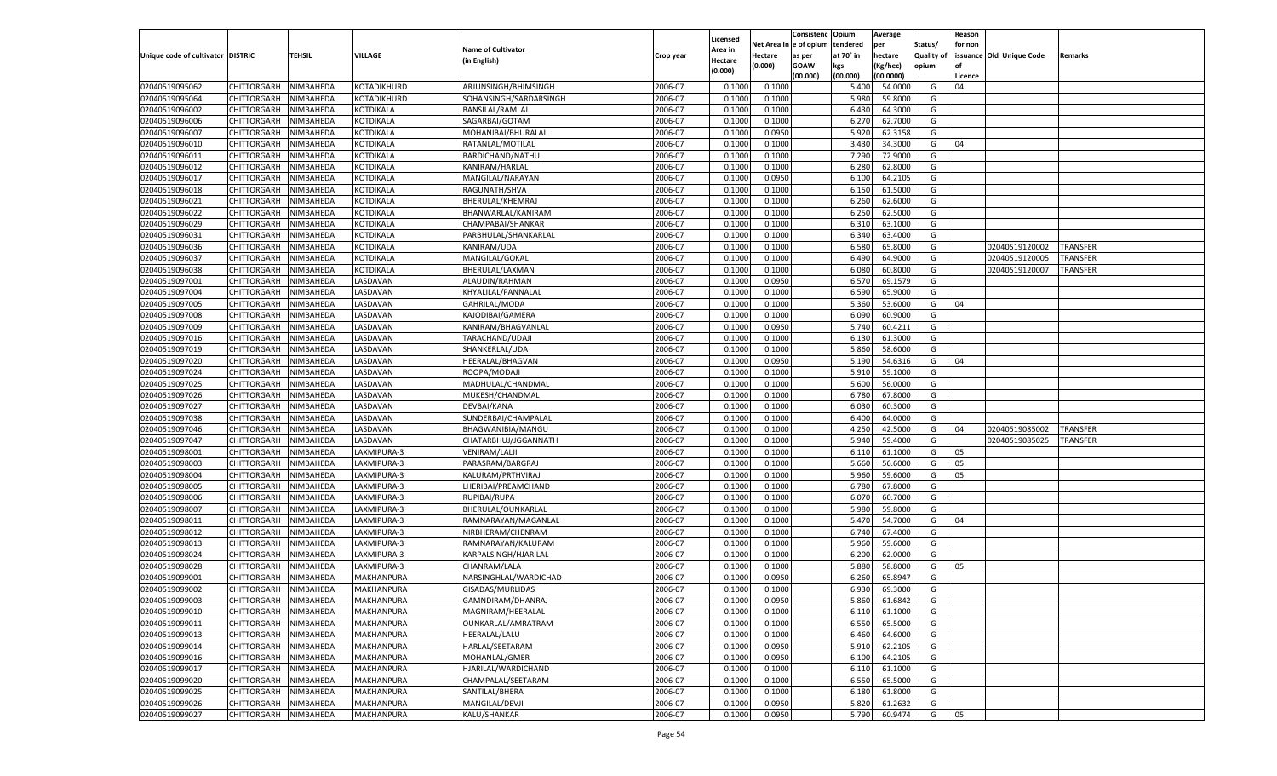|                                   |                       |           |                |                           |           |                    |            | Consistenc    | Opium     | Average   |                   | Reason  |                          |          |
|-----------------------------------|-----------------------|-----------|----------------|---------------------------|-----------|--------------------|------------|---------------|-----------|-----------|-------------------|---------|--------------------------|----------|
|                                   |                       |           |                | <b>Name of Cultivator</b> |           | Licensed           | Net Area i | n  e of opium | tendered  | per       | Status/           | for non |                          |          |
| Unique code of cultivator DISTRIC |                       | TEHSIL    | <b>VILLAGE</b> |                           | Crop year | Area in            | Hectare    | as per        | at 70° in | hectare   | <b>Quality of</b> |         | issuance Old Unique Code | Remarks  |
|                                   |                       |           |                | (in English)              |           | Hectare<br>(0.000) | (0.000)    | <b>GOAW</b>   | kgs       | (Kg/hec)  | opium             |         |                          |          |
|                                   |                       |           |                |                           |           |                    |            | (00.000)      | (00.000)  | (00.0000) |                   | Licence |                          |          |
| 02040519095062                    | CHITTORGARH           | NIMBAHEDA | KOTADIKHURD    | ARJUNSINGH/BHIMSINGH      | 2006-07   | 0.1000             | 0.1000     |               | 5.400     | 54.0000   | G                 | 04      |                          |          |
| 02040519095064                    | CHITTORGARH           | NIMBAHEDA | KOTADIKHURD    | SOHANSINGH/SARDARSINGH    | 2006-07   | 0.1000             | 0.1000     |               | 5.980     | 59.8000   | G                 |         |                          |          |
| 02040519096002                    | CHITTORGARH           | NIMBAHEDA | KOTDIKALA      | <b>BANSILAL/RAMLAL</b>    | 2006-07   | 0.1000             | 0.1000     |               | 6.430     | 64.3000   | G                 |         |                          |          |
| 02040519096006                    | CHITTORGARH           | NIMBAHEDA | KOTDIKALA      | SAGARBAI/GOTAM            | 2006-07   | 0.1000             | 0.1000     |               | 6.27      | 62.7000   | G                 |         |                          |          |
| 02040519096007                    | CHITTORGARH           | NIMBAHEDA | KOTDIKALA      | MOHANIBAI/BHURALAL        | 2006-07   | 0.1000             | 0.0950     |               | 5.920     | 62.3158   | G                 |         |                          |          |
| 02040519096010                    | CHITTORGARH           | NIMBAHEDA | KOTDIKALA      | RATANLAL/MOTILAL          | 2006-07   | 0.1000             | 0.1000     |               | 3.430     | 34.3000   | G                 | 04      |                          |          |
| 02040519096011                    | CHITTORGARH           | NIMBAHEDA | KOTDIKALA      | BARDICHAND/NATHU          | 2006-07   | 0.1000             | 0.1000     |               | 7.290     | 72.9000   | G                 |         |                          |          |
| 02040519096012                    | CHITTORGARH           | NIMBAHEDA | KOTDIKALA      | KANIRAM/HARLAL            | 2006-07   | 0.1000             | 0.1000     |               | 6.280     | 62.8000   | G                 |         |                          |          |
| 02040519096017                    | CHITTORGARH           | NIMBAHEDA | KOTDIKALA      | MANGILAL/NARAYAN          | 2006-07   | 0.1000             | 0.0950     |               | 6.100     | 64.2105   | G                 |         |                          |          |
| 02040519096018                    | CHITTORGARH           | NIMBAHEDA | KOTDIKALA      | RAGUNATH/SHVA             | 2006-07   | 0.1000             | 0.1000     |               | 6.150     | 61.5000   | G                 |         |                          |          |
| 02040519096021                    | CHITTORGARH           | NIMBAHEDA | KOTDIKALA      | BHERULAL/KHEMRAJ          | 2006-07   | 0.1000             | 0.1000     |               | 6.260     | 62.6000   | G                 |         |                          |          |
| 02040519096022                    | CHITTORGARH           | NIMBAHEDA | KOTDIKALA      | BHANWARLAL/KANIRAM        | 2006-07   | 0.1000             | 0.1000     |               | 6.250     | 62.5000   | G                 |         |                          |          |
| 02040519096029                    | CHITTORGARH           | NIMBAHEDA | KOTDIKALA      | CHAMPABAI/SHANKAR         | 2006-07   | 0.1000             | 0.1000     |               | 6.310     | 63.1000   | G                 |         |                          |          |
| 02040519096031                    | CHITTORGARH           | NIMBAHEDA | KOTDIKALA      | PARBHULAL/SHANKARLAL      | 2006-07   | 0.1000             | 0.1000     |               | 6.340     | 63.4000   | G                 |         |                          |          |
| 02040519096036                    | CHITTORGARH           | NIMBAHEDA | KOTDIKALA      | KANIRAM/UDA               | 2006-07   | 0.1000             | 0.1000     |               | 6.580     | 65.8000   | G                 |         | 02040519120002           | TRANSFER |
| 02040519096037                    | CHITTORGARH           | NIMBAHEDA | KOTDIKALA      | MANGILAL/GOKAL            | 2006-07   | 0.1000             | 0.1000     |               | 6.490     | 64.9000   | G                 |         | 02040519120005           | TRANSFER |
| 02040519096038                    | CHITTORGARH           | NIMBAHEDA | KOTDIKALA      | BHERULAL/LAXMAN           | 2006-07   | 0.1000             | 0.1000     |               | 6.080     | 60.8000   | G                 |         | 02040519120007           | TRANSFER |
| 02040519097001                    | CHITTORGARH           | NIMBAHEDA | <b>ASDAVAN</b> | ALAUDIN/RAHMAN            | 2006-07   | 0.1000             | 0.0950     |               | 6.570     | 69.1579   | G                 |         |                          |          |
| 02040519097004                    | CHITTORGARH           | NIMBAHEDA | <b>ASDAVAN</b> | KHYALILAL/PANNALAL        | 2006-07   | 0.1000             | 0.1000     |               | 6.590     | 65.9000   | G                 |         |                          |          |
| 02040519097005                    | CHITTORGARH           | NIMBAHEDA | <b>ASDAVAN</b> | GAHRILAL/MODA             | 2006-07   | 0.1000             | 0.1000     |               | 5.360     | 53.6000   | G                 | 04      |                          |          |
| 02040519097008                    | CHITTORGARH           | NIMBAHEDA | <b>ASDAVAN</b> | KAJODIBAI/GAMERA          | 2006-07   | 0.1000             | 0.1000     |               | 6.090     | 60.9000   | G                 |         |                          |          |
| 02040519097009                    | CHITTORGARH           | NIMBAHEDA | <b>ASDAVAN</b> | KANIRAM/BHAGVANLAL        | 2006-07   | 0.1000             | 0.0950     |               | 5.740     | 60.4211   | G                 |         |                          |          |
| 02040519097016                    | CHITTORGARH           | NIMBAHEDA | <b>ASDAVAN</b> | TARACHAND/UDAJI           | 2006-07   | 0.1000             | 0.1000     |               | 6.130     | 61.3000   | G                 |         |                          |          |
| 02040519097019                    | CHITTORGARH           | NIMBAHEDA | <b>ASDAVAN</b> | SHANKERLAL/UDA            | 2006-07   | 0.1000             | 0.1000     |               | 5.860     | 58.6000   | G                 |         |                          |          |
| 02040519097020                    | CHITTORGARH           | NIMBAHEDA | <b>ASDAVAN</b> | HEERALAL/BHAGVAN          | 2006-07   | 0.1000             | 0.0950     |               | 5.190     | 54.6316   | G                 | 04      |                          |          |
| 02040519097024                    | CHITTORGARH           | NIMBAHEDA | <b>ASDAVAN</b> | ROOPA/MODAJI              | 2006-07   | 0.1000             | 0.1000     |               | 5.910     | 59.1000   | G                 |         |                          |          |
| 02040519097025                    | CHITTORGARH           | NIMBAHEDA | <b>ASDAVAN</b> | MADHULAL/CHANDMAL         | 2006-07   | 0.1000             | 0.1000     |               | 5.600     | 56.0000   | G                 |         |                          |          |
| 02040519097026                    | CHITTORGARH           | NIMBAHEDA | <b>ASDAVAN</b> | MUKESH/CHANDMAL           | 2006-07   | 0.1000             | 0.1000     |               | 6.780     | 67.8000   | G                 |         |                          |          |
| 02040519097027                    | CHITTORGARH           | NIMBAHEDA | <b>ASDAVAN</b> | DEVBAI/KANA               | 2006-07   | 0.1000             | 0.1000     |               | 6.030     | 60.3000   | G                 |         |                          |          |
| 02040519097038                    | CHITTORGARH           | NIMBAHEDA | LASDAVAN       | SUNDERBAI/CHAMPALAL       | 2006-07   | 0.1000             | 0.1000     |               | 6.400     | 64.0000   | G                 |         |                          |          |
| 02040519097046                    | CHITTORGARH           | NIMBAHEDA | LASDAVAN       | BHAGWANIBIA/MANGU         | 2006-07   | 0.1000             | 0.1000     |               | 4.250     | 42.5000   | G                 | 04      | 02040519085002           | TRANSFER |
| 02040519097047                    | CHITTORGARH           | NIMBAHEDA | LASDAVAN       | CHATARBHUJ/JGGANNATH      | 2006-07   | 0.1000             | 0.1000     |               | 5.940     | 59.4000   | G                 |         | 02040519085025           | TRANSFER |
| 02040519098001                    | CHITTORGARH           | NIMBAHEDA | LAXMIPURA-3    | <b>VENIRAM/LALJI</b>      | 2006-07   | 0.1000             | 0.1000     |               | 6.110     | 61.1000   | G                 | 05      |                          |          |
| 02040519098003                    | CHITTORGARH           | NIMBAHEDA | LAXMIPURA-3    | PARASRAM/BARGRAJ          | 2006-07   | 0.1000             | 0.1000     |               | 5.660     | 56.6000   | G                 | 05      |                          |          |
| 02040519098004                    | CHITTORGARH           | NIMBAHEDA | LAXMIPURA-3    | KALURAM/PRTHVIRAJ         | 2006-07   | 0.1000             | 0.1000     |               | 5.960     | 59.6000   | G                 | 05      |                          |          |
| 02040519098005                    | CHITTORGARH           | NIMBAHEDA | LAXMIPURA-3    | LHERIBAI/PREAMCHAND       | 2006-07   | 0.1000             | 0.1000     |               | 6.780     | 67.8000   | G                 |         |                          |          |
| 02040519098006                    | CHITTORGARH           | NIMBAHEDA | LAXMIPURA-3    | RUPIBAI/RUPA              | 2006-07   | 0.1000             | 0.1000     |               | 6.070     | 60.7000   | G                 |         |                          |          |
| 02040519098007                    | CHITTORGARH           | NIMBAHEDA | LAXMIPURA-3    | BHERULAL/OUNKARLAL        | 2006-07   | 0.1000             | 0.1000     |               | 5.980     | 59.8000   | G                 |         |                          |          |
| 02040519098011                    | CHITTORGARH           | NIMBAHEDA | LAXMIPURA-3    | RAMNARAYAN/MAGANLAL       | 2006-07   | 0.1000             | 0.1000     |               | 5.470     | 54.7000   | G                 | 04      |                          |          |
| 02040519098012                    | CHITTORGARH           | NIMBAHEDA | LAXMIPURA-3    | NIRBHERAM/CHENRAM         | 2006-07   | 0.1000             | 0.1000     |               | 6.740     | 67.4000   | G                 |         |                          |          |
| 02040519098013                    | CHITTORGARH           | NIMBAHEDA | LAXMIPURA-3    | RAMNARAYAN/KALURAM        | 2006-07   | 0.1000             | 0.1000     |               | 5.960     | 59.6000   | G                 |         |                          |          |
| 02040519098024                    | CHITTORGARH           | NIMBAHEDA | LAXMIPURA-3    | KARPALSINGH/HJARILAL      | 2006-07   | 0.1000             | 0.1000     |               | 6.200     | 62.0000   | G                 |         |                          |          |
| 02040519098028                    | CHITTORGARH           | NIMBAHEDA | LAXMIPURA-3    | CHANRAM/LALA              | 2006-07   | 0.1000             | 0.1000     |               | 5.880     | 58.8000   | G                 | 05      |                          |          |
| 02040519099001                    | CHITTORGARH           | NIMBAHEDA | MAKHANPURA     | NARSINGHLAL/WARDICHAD     | 2006-07   | 0.1000             | 0.0950     |               | 6.260     | 65.8947   | G                 |         |                          |          |
| 02040519099002                    | CHITTORGARH           | NIMBAHEDA | MAKHANPURA     | GISADAS/MURLIDAS          | 2006-07   | 0.1000             | 0.1000     |               | 6.930     | 69.3000   | G                 |         |                          |          |
| 02040519099003                    | CHITTORGARH NIMBAHEDA |           | MAKHANPURA     | GAMNDIRAM/DHANRAJ         | 2006-07   | 0.1000             | 0.0950     |               | 5.860     | 61.6842   | G                 |         |                          |          |
| 02040519099010                    | <b>CHITTORGARH</b>    | NIMBAHEDA | MAKHANPURA     | MAGNIRAM/HEERALAL         | 2006-07   | 0.1000             | 0.1000     |               | 6.110     | 61.1000   | G                 |         |                          |          |
| 02040519099011                    | <b>CHITTORGARH</b>    | NIMBAHEDA | MAKHANPURA     | OUNKARLAL/AMRATRAM        | 2006-07   | 0.1000             | 0.1000     |               | 6.550     | 65.5000   | G                 |         |                          |          |
| 02040519099013                    | <b>CHITTORGARH</b>    | NIMBAHEDA | MAKHANPURA     | <b>HEERALAL/LALU</b>      | 2006-07   | 0.1000             | 0.1000     |               | 6.460     | 64.6000   | G                 |         |                          |          |
| 02040519099014                    | <b>CHITTORGARH</b>    | NIMBAHEDA | MAKHANPURA     | HARLAL/SEETARAM           | 2006-07   | 0.1000             | 0.0950     |               | 5.910     | 62.2105   | G                 |         |                          |          |
| 02040519099016                    | CHITTORGARH           | NIMBAHEDA | MAKHANPURA     | MOHANLAL/GMER             | 2006-07   | 0.1000             | 0.0950     |               | 6.100     | 64.2105   | G                 |         |                          |          |
| 02040519099017                    | CHITTORGARH           | NIMBAHEDA | MAKHANPURA     | HJARILAL/WARDICHAND       | 2006-07   | 0.1000             | 0.1000     |               | 6.110     | 61.1000   | G                 |         |                          |          |
| 02040519099020                    | CHITTORGARH           | NIMBAHEDA | MAKHANPURA     | CHAMPALAL/SEETARAM        | 2006-07   | 0.1000             | 0.1000     |               | 6.550     | 65.5000   | G                 |         |                          |          |
| 02040519099025                    | CHITTORGARH           | NIMBAHEDA | MAKHANPURA     | SANTILAL/BHERA            | 2006-07   | 0.1000             | 0.1000     |               | 6.180     | 61.8000   | G                 |         |                          |          |
| 02040519099026                    | <b>CHITTORGARH</b>    | NIMBAHEDA | MAKHANPURA     | MANGILAL/DEVJI            | 2006-07   | 0.1000             | 0.0950     |               | 5.820     | 61.2632   | G                 |         |                          |          |
| 02040519099027                    | CHITTORGARH           | NIMBAHEDA | MAKHANPURA     | KALU/SHANKAR              | 2006-07   |                    | 0.0950     |               | 5.790     | 60.9474   | G                 | 05      |                          |          |
|                                   |                       |           |                |                           |           | 0.1000             |            |               |           |           |                   |         |                          |          |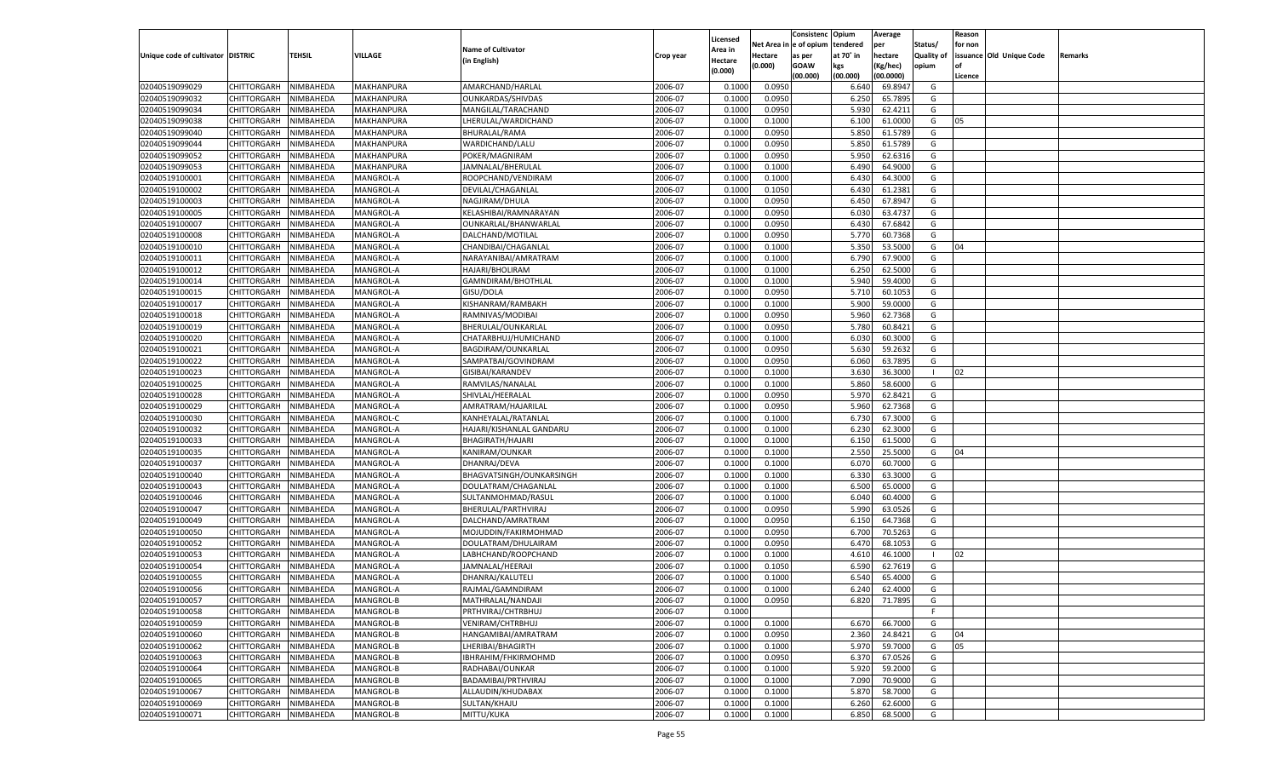|                                   |                       |               |                   |                           |           |                    |            | Consistenc Opium |           | Average   |                   | Reason  |                          |                |
|-----------------------------------|-----------------------|---------------|-------------------|---------------------------|-----------|--------------------|------------|------------------|-----------|-----------|-------------------|---------|--------------------------|----------------|
|                                   |                       |               |                   | <b>Name of Cultivator</b> |           | Licensed           | Net Area i | n  e of opium    | tendered  | per       | Status/           | for non |                          |                |
| Unique code of cultivator DISTRIC |                       | <b>TEHSIL</b> | VILLAGE           |                           | Crop year | \rea in            | Hectare    | as per           | at 70° in | hectare   | <b>Quality of</b> |         | issuance Old Unique Code | <b>Remarks</b> |
|                                   |                       |               |                   | (in English)              |           | Hectare<br>(0.000) | (0.000)    | <b>GOAW</b>      | kgs       | (Kg/hec)  | opium             |         |                          |                |
|                                   |                       |               |                   |                           |           |                    |            | (00.000)         | (00.000)  | (00.0000) |                   | Licence |                          |                |
| 02040519099029                    | CHITTORGARH           | NIMBAHEDA     | MAKHANPURA        | AMARCHAND/HARLAL          | 2006-07   | 0.1000             | 0.0950     |                  | 6.640     | 69.8947   | G                 |         |                          |                |
| 02040519099032                    | CHITTORGARH           | NIMBAHEDA     | MAKHANPURA        | OUNKARDAS/SHIVDAS         | 2006-07   | 0.1000             | 0.0950     |                  | 6.25      | 65.7895   | G                 |         |                          |                |
| 02040519099034                    | CHITTORGARH           | NIMBAHEDA     | MAKHANPURA        | MANGILAL/TARACHAND        | 2006-07   | 0.1000             | 0.0950     |                  | 5.930     | 62.4211   | G                 |         |                          |                |
| 02040519099038                    | CHITTORGARH           | NIMBAHEDA     | <b>MAKHANPURA</b> | LHERULAL/WARDICHAND       | 2006-07   | 0.1000             | 0.1000     |                  | 6.100     | 61.0000   | G                 | 05      |                          |                |
| 02040519099040                    | CHITTORGARH           | NIMBAHEDA     | MAKHANPURA        | BHURALAL/RAMA             | 2006-07   | 0.1000             | 0.0950     |                  | 5.850     | 61.5789   | G                 |         |                          |                |
| 02040519099044                    | CHITTORGARH           | NIMBAHEDA     | MAKHANPURA        | WARDICHAND/LALU           | 2006-07   | 0.1000             | 0.0950     |                  | 5.850     | 61.5789   | G                 |         |                          |                |
| 02040519099052                    | CHITTORGARH           | NIMBAHEDA     | MAKHANPURA        | POKER/MAGNIRAM            | 2006-07   | 0.1000             | 0.0950     |                  | 5.950     | 62.6316   | G                 |         |                          |                |
| 02040519099053                    | CHITTORGARH           | NIMBAHEDA     | MAKHANPURA        | JAMNALAL/BHERULAL         | 2006-07   | 0.1000             | 0.1000     |                  | 6.490     | 64.9000   | G                 |         |                          |                |
| 02040519100001                    | CHITTORGARH           | NIMBAHEDA     | MANGROL-A         | ROOPCHAND/VENDIRAM        | 2006-07   | 0.1000             | 0.1000     |                  | 6.430     | 64.3000   | G                 |         |                          |                |
| 02040519100002                    | CHITTORGARH           | NIMBAHEDA     | MANGROL-A         | DEVILAL/CHAGANLAL         | 2006-07   | 0.1000             | 0.1050     |                  | 6.430     | 61.2381   | G                 |         |                          |                |
| 02040519100003                    | CHITTORGARH           | NIMBAHEDA     | MANGROL-A         | NAGJIRAM/DHULA            | 2006-07   | 0.1000             | 0.0950     |                  | 6.450     | 67.8947   | G                 |         |                          |                |
| 02040519100005                    | CHITTORGARH           | NIMBAHEDA     | MANGROL-A         | KELASHIBAI/RAMNARAYAN     | 2006-07   | 0.1000             | 0.0950     |                  | 6.030     | 63.4737   | G                 |         |                          |                |
|                                   |                       |               |                   |                           | 2006-07   |                    | 0.0950     |                  |           | 67.6842   | G                 |         |                          |                |
| 02040519100007                    | CHITTORGARH           | NIMBAHEDA     | MANGROL-A         | OUNKARLAL/BHANWARLAL      |           | 0.1000             |            |                  | 6.430     |           |                   |         |                          |                |
| 02040519100008                    | CHITTORGARH           | NIMBAHEDA     | MANGROL-A         | DALCHAND/MOTILAL          | 2006-07   | 0.1000             | 0.0950     |                  | 5.77      | 60.7368   | G                 |         |                          |                |
| 02040519100010                    | CHITTORGARH           | NIMBAHEDA     | MANGROL-A         | CHANDIBAI/CHAGANLAL       | 2006-07   | 0.1000             | 0.1000     |                  | 5.350     | 53.5000   | G                 | 04      |                          |                |
| 02040519100011                    | CHITTORGARH           | NIMBAHEDA     | MANGROL-A         | NARAYANIBAI/AMRATRAM      | 2006-07   | 0.1000             | 0.1000     |                  | 6.790     | 67.9000   | G                 |         |                          |                |
| 02040519100012                    | CHITTORGARH           | NIMBAHEDA     | MANGROL-A         | HAJARI/BHOLIRAM           | 2006-07   | 0.1000             | 0.1000     |                  | 6.250     | 62.5000   | G                 |         |                          |                |
| 02040519100014                    | CHITTORGARH           | NIMBAHEDA     | MANGROL-A         | GAMNDIRAM/BHOTHLAL        | 2006-07   | 0.1000             | 0.1000     |                  | 5.940     | 59.4000   | G                 |         |                          |                |
| 02040519100015                    | CHITTORGARH           | NIMBAHEDA     | MANGROL-A         | GISU/DOLA                 | 2006-07   | 0.1000             | 0.0950     |                  | 5.710     | 60.1053   | G                 |         |                          |                |
| 02040519100017                    | CHITTORGARH           | NIMBAHEDA     | MANGROL-A         | KISHANRAM/RAMBAKH         | 2006-07   | 0.1000             | 0.1000     |                  | 5.900     | 59.0000   | G                 |         |                          |                |
| 02040519100018                    | CHITTORGARH           | NIMBAHEDA     | MANGROL-A         | RAMNIVAS/MODIBAI          | 2006-07   | 0.1000             | 0.0950     |                  | 5.960     | 62.7368   | G                 |         |                          |                |
| 02040519100019                    | CHITTORGARH           | NIMBAHEDA     | MANGROL-A         | BHERULAL/OUNKARLAL        | 2006-07   | 0.1000             | 0.0950     |                  | 5.780     | 60.8421   | G                 |         |                          |                |
| 02040519100020                    | CHITTORGARH           | NIMBAHEDA     | MANGROL-A         | CHATARBHUJ/HUMICHAND      | 2006-07   | 0.1000             | 0.1000     |                  | 6.030     | 60.3000   | G                 |         |                          |                |
| 02040519100021                    | CHITTORGARH           | NIMBAHEDA     | MANGROL-A         | BAGDIRAM/OUNKARLAL        | 2006-07   | 0.1000             | 0.0950     |                  | 5.630     | 59.2632   | G                 |         |                          |                |
| 02040519100022                    | CHITTORGARH           | NIMBAHEDA     | MANGROL-A         | SAMPATBAI/GOVINDRAM       | 2006-07   | 0.1000             | 0.0950     |                  | 6.060     | 63.7895   | G                 |         |                          |                |
| 02040519100023                    | CHITTORGARH           | NIMBAHEDA     | MANGROL-A         | GISIBAI/KARANDEV          | 2006-07   | 0.1000             | 0.1000     |                  | 3.630     | 36.3000   | - 1               | 02      |                          |                |
| 02040519100025                    | CHITTORGARH           | NIMBAHEDA     | MANGROL-A         | RAMVILAS/NANALAI          | 2006-07   | 0.1000             | 0.1000     |                  | 5.860     | 58.6000   | G                 |         |                          |                |
| 02040519100028                    | CHITTORGARH           | NIMBAHEDA     | MANGROL-A         | SHIVLAL/HEERALAL          | 2006-07   | 0.1000             | 0.0950     |                  | 5.970     | 62.8421   | G                 |         |                          |                |
| 02040519100029                    | CHITTORGARH           | NIMBAHEDA     | MANGROL-A         | AMRATRAM/HAJARILAL        | 2006-07   | 0.1000             | 0.0950     |                  | 5.960     | 62.7368   | G                 |         |                          |                |
| 02040519100030                    | CHITTORGARH           | NIMBAHEDA     | MANGROL-C         | KANHEYALAL/RATANLAL       | 2006-07   | 0.1000             | 0.1000     |                  | 6.730     | 67.3000   | G                 |         |                          |                |
| 02040519100032                    | CHITTORGARH           | NIMBAHEDA     | MANGROL-A         | HAJARI/KISHANLAL GANDARU  | 2006-07   | 0.1000             | 0.1000     |                  | 6.23      | 62.3000   | G                 |         |                          |                |
|                                   |                       |               |                   |                           |           |                    |            |                  |           |           |                   |         |                          |                |
| 02040519100033                    | CHITTORGARH           | NIMBAHEDA     | MANGROL-A         | BHAGIRATH/HAJARI          | 2006-07   | 0.1000             | 0.1000     |                  | 6.150     | 61.5000   | G                 |         |                          |                |
| 02040519100035                    | CHITTORGARH           | NIMBAHEDA     | MANGROL-A         | KANIRAM/OUNKAR            | 2006-07   | 0.1000             | 0.1000     |                  | 2.550     | 25.5000   | G                 | 04      |                          |                |
| 02040519100037                    | CHITTORGARH           | NIMBAHEDA     | MANGROL-A         | DHANRAJ/DEVA              | 2006-07   | 0.1000             | 0.1000     |                  | 6.070     | 60.7000   | G                 |         |                          |                |
| 02040519100040                    | CHITTORGARH           | NIMBAHEDA     | MANGROL-A         | BHAGVATSINGH/OUNKARSINGH  | 2006-07   | 0.1000             | 0.1000     |                  | 6.330     | 63.3000   | G                 |         |                          |                |
| 02040519100043                    | CHITTORGARH           | NIMBAHEDA     | MANGROL-A         | DOULATRAM/CHAGANLAL       | 2006-07   | 0.1000             | 0.1000     |                  | 6.500     | 65.0000   | G                 |         |                          |                |
| 02040519100046                    | CHITTORGARH           | NIMBAHEDA     | MANGROL-A         | SULTANMOHMAD/RASUL        | 2006-07   | 0.1000             | 0.1000     |                  | 6.040     | 60.4000   | G                 |         |                          |                |
| 02040519100047                    | CHITTORGARH           | NIMBAHEDA     | MANGROL-A         | BHERULAL/PARTHVIRAJ       | 2006-07   | 0.1000             | 0.0950     |                  | 5.990     | 63.0526   | G                 |         |                          |                |
| 02040519100049                    | CHITTORGARH           | NIMBAHEDA     | MANGROL-A         | DALCHAND/AMRATRAM         | 2006-07   | 0.1000             | 0.0950     |                  | 6.150     | 64.7368   | G                 |         |                          |                |
| 02040519100050                    | CHITTORGARH           | NIMBAHEDA     | MANGROL-A         | MOJUDDIN/FAKIRMOHMAD      | 2006-07   | 0.1000             | 0.0950     |                  | 6.700     | 70.5263   | G                 |         |                          |                |
| 02040519100052                    | CHITTORGARH           | NIMBAHEDA     | MANGROL-A         | DOULATRAM/DHULAIRAM       | 2006-07   | 0.1000             | 0.0950     |                  | 6.470     | 68.1053   | G                 |         |                          |                |
| 02040519100053                    | CHITTORGARH           | NIMBAHEDA     | MANGROL-A         | LABHCHAND/ROOPCHAND       | 2006-07   | 0.1000             | 0.1000     |                  | 4.610     | 46.1000   | - 1               | 02      |                          |                |
| 02040519100054                    | CHITTORGARH           | NIMBAHEDA     | MANGROL-A         | JAMNALAL/HEERAJI          | 2006-07   | 0.1000             | 0.1050     |                  | 6.590     | 62.7619   | G                 |         |                          |                |
| 02040519100055                    | CHITTORGARH           | NIMBAHEDA     | MANGROL-A         | DHANRAJ/KALUTELI          | 2006-07   | 0.1000             | 0.1000     |                  | 6.540     | 65.4000   | G                 |         |                          |                |
| 02040519100056                    | CHITTORGARH           | NIMBAHEDA     | MANGROL-A         | RAJMAL/GAMNDIRAM          | 2006-07   | 0.1000             | 0.1000     |                  | 6.240     | 62.4000   | G                 |         |                          |                |
| 02040519100057                    | CHITTORGARH NIMBAHEDA |               | <b>MANGROL-B</b>  | MATHRALAL/NANDAJI         | 2006-07   | 0.1000             | 0.0950     |                  | 6.820     | 71.7895   | G                 |         |                          |                |
| 02040519100058                    | CHITTORGARH           | NIMBAHEDA     | MANGROL-B         | PRTHVIRAJ/CHTRBHUJ        | 2006-07   | 0.1000             |            |                  |           |           | F.                |         |                          |                |
| 02040519100059                    | CHITTORGARH           | NIMBAHEDA     | MANGROL-B         | <b>VENIRAM/CHTRBHUJ</b>   | 2006-07   | 0.1000             | 0.1000     |                  | 6.670     | 66.7000   | G                 |         |                          |                |
| 02040519100060                    | <b>CHITTORGARH</b>    | NIMBAHEDA     | MANGROL-B         | HANGAMIBAI/AMRATRAM       | 2006-07   | 0.1000             | 0.0950     |                  | 2.360     | 24.8421   | G                 | 04      |                          |                |
| 02040519100062                    |                       |               | MANGROL-B         |                           | 2006-07   |                    |            |                  | 5.970     | 59.7000   | G                 | 05      |                          |                |
|                                   | <b>CHITTORGARH</b>    | NIMBAHEDA     |                   | LHERIBAI/BHAGIRTH         |           | 0.1000             | 0.1000     |                  |           |           |                   |         |                          |                |
| 02040519100063                    | CHITTORGARH           | NIMBAHEDA     | MANGROL-B         | IBHRAHIM/FHKIRMOHMD       | 2006-07   | 0.1000             | 0.0950     |                  | 6.370     | 67.0526   | G                 |         |                          |                |
| 02040519100064                    | CHITTORGARH           | NIMBAHEDA     | MANGROL-B         | RADHABAI/OUNKAR           | 2006-07   | 0.1000             | 0.1000     |                  | 5.920     | 59.2000   | G                 |         |                          |                |
| 02040519100065                    | <b>CHITTORGARH</b>    | NIMBAHEDA     | MANGROL-B         | BADAMIBAI/PRTHVIRAJ       | 2006-07   | 0.1000             | 0.1000     |                  | 7.090     | 70.9000   | G                 |         |                          |                |
| 02040519100067                    | <b>CHITTORGARH</b>    | NIMBAHEDA     | MANGROL-B         | ALLAUDIN/KHUDABAX         | 2006-07   | 0.1000             | 0.1000     |                  | 5.870     | 58.7000   | G                 |         |                          |                |
| 02040519100069                    | CHITTORGARH           | NIMBAHEDA     | MANGROL-B         | SULTAN/KHAJU              | 2006-07   | 0.1000             | 0.1000     |                  | 6.260     | 62.6000   | G                 |         |                          |                |
| 02040519100071                    | CHITTORGARH           | NIMBAHEDA     | MANGROL-B         | MITTU/KUKA                | 2006-07   | 0.1000             | 0.1000     |                  | 6.850     | 68.5000   | G                 |         |                          |                |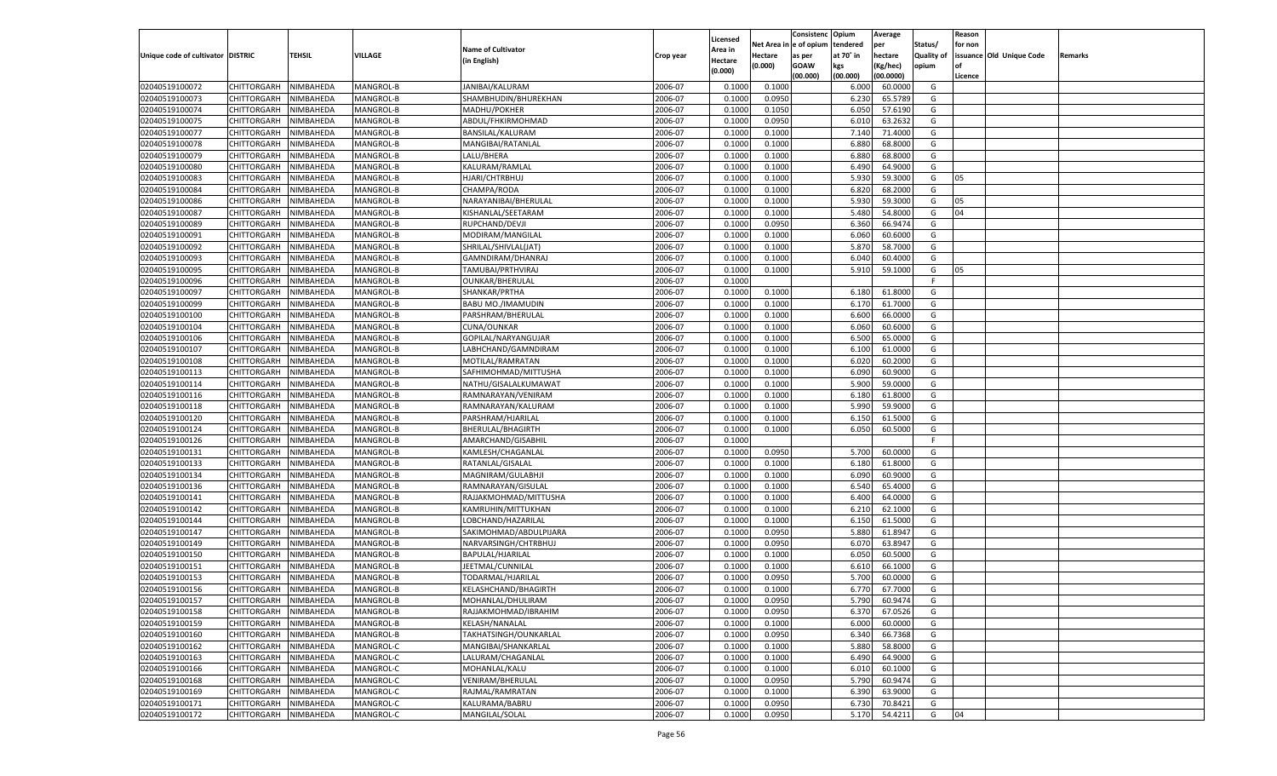|                                   |                       |               |           |                           |           |                    |            | Consistenc Opium |           | Average   |                   | Reason  |                          |                |
|-----------------------------------|-----------------------|---------------|-----------|---------------------------|-----------|--------------------|------------|------------------|-----------|-----------|-------------------|---------|--------------------------|----------------|
|                                   |                       |               |           | <b>Name of Cultivator</b> |           | Licensed           | Net Area i | n e of opium     | tendered  | per       | Status/           | for non |                          |                |
| Unique code of cultivator DISTRIC |                       | <b>TEHSIL</b> | VILLAGE   |                           | Crop year | \rea in            | Hectare    | as per           | at 70° in | hectare   | <b>Quality of</b> |         | issuance Old Unique Code | <b>Remarks</b> |
|                                   |                       |               |           | (in English)              |           | Hectare<br>(0.000) | (0.000)    | <b>GOAW</b>      | kgs       | (Kg/hec)  | opium             |         |                          |                |
|                                   |                       |               |           |                           |           |                    |            | (00.000)         | (00.000)  | (00.0000) |                   | Licence |                          |                |
| 02040519100072                    | CHITTORGARH           | NIMBAHEDA     | MANGROL-B | JANIBAI/KALURAM           | 2006-07   | 0.1000             | 0.1000     |                  | 6.000     | 60.0000   | G                 |         |                          |                |
| 02040519100073                    | CHITTORGARH           | NIMBAHEDA     | MANGROL-B | SHAMBHUDIN/BHUREKHAN      | 2006-07   | 0.1000             | 0.0950     |                  | 6.23      | 65.5789   | G                 |         |                          |                |
| 02040519100074                    | CHITTORGARH           | NIMBAHEDA     | MANGROL-B | MADHU/POKHER              | 2006-07   | 0.1000             | 0.1050     |                  | 6.050     | 57.6190   | G                 |         |                          |                |
| 02040519100075                    | CHITTORGARH           | NIMBAHEDA     | MANGROL-B | ABDUL/FHKIRMOHMAD         | 2006-07   | 0.1000             | 0.0950     |                  | 6.010     | 63.2632   | G                 |         |                          |                |
| 02040519100077                    | CHITTORGARH           | NIMBAHEDA     | MANGROL-B | BANSILAL/KALURAM          | 2006-07   | 0.1000             | 0.1000     |                  | 7.140     | 71.4000   | G                 |         |                          |                |
| 02040519100078                    | CHITTORGARH           | NIMBAHEDA     | MANGROL-B | MANGIBAI/RATANLAL         | 2006-07   | 0.1000             | 0.1000     |                  | 6.880     | 68.8000   | G                 |         |                          |                |
| 02040519100079                    | CHITTORGARH           | NIMBAHEDA     | MANGROL-B | LALU/BHERA                | 2006-07   | 0.1000             | 0.1000     |                  | 6.880     | 68.8000   | G                 |         |                          |                |
| 02040519100080                    | CHITTORGARH           | NIMBAHEDA     | MANGROL-B | KALURAM/RAMLAL            | 2006-07   | 0.1000             | 0.1000     |                  | 6.490     | 64.9000   | G                 |         |                          |                |
| 02040519100083                    | CHITTORGARH           | NIMBAHEDA     | MANGROL-B | HJARI/CHTRBHUJ            | 2006-07   | 0.1000             | 0.1000     |                  | 5.930     | 59.3000   | G                 | 05      |                          |                |
| 02040519100084                    | CHITTORGARH           | NIMBAHEDA     | MANGROL-B | CHAMPA/RODA               | 2006-07   | 0.1000             | 0.1000     |                  | 6.82      | 68.2000   | G                 |         |                          |                |
| 02040519100086                    | CHITTORGARH           | NIMBAHEDA     | MANGROL-B | NARAYANIBAI/BHERULAL      | 2006-07   | 0.1000             | 0.1000     |                  | 5.930     | 59.3000   | G                 | 05      |                          |                |
| 02040519100087                    | CHITTORGARH           | NIMBAHEDA     | MANGROL-B | KISHANLAL/SEETARAM        | 2006-07   | 0.1000             | 0.1000     |                  | 5.480     | 54.8000   | G                 | 04      |                          |                |
| 02040519100089                    | CHITTORGARH           | NIMBAHEDA     | MANGROL-B | RUPCHAND/DEVJI            | 2006-07   | 0.1000             | 0.0950     |                  | 6.360     | 66.9474   | G                 |         |                          |                |
| 02040519100091                    | CHITTORGARH           | NIMBAHEDA     | MANGROL-B | MODIRAM/MANGILAL          | 2006-07   | 0.1000             | 0.1000     |                  | 6.060     | 60.6000   | G                 |         |                          |                |
| 02040519100092                    | CHITTORGARH           | NIMBAHEDA     | MANGROL-B | SHRILAL/SHIVLAL(JAT)      | 2006-07   | 0.1000             | 0.1000     |                  | 5.870     | 58.7000   | G                 |         |                          |                |
| 02040519100093                    | CHITTORGARH           | NIMBAHEDA     | MANGROL-B | GAMNDIRAM/DHANRAJ         | 2006-07   | 0.1000             | 0.1000     |                  | 6.040     | 60.4000   | G                 |         |                          |                |
| 02040519100095                    | CHITTORGARH           | NIMBAHEDA     | MANGROL-B | TAMUBAI/PRTHVIRAJ         | 2006-07   | 0.1000             | 0.1000     |                  | 5.910     | 59.1000   | G                 | 05      |                          |                |
| 02040519100096                    | CHITTORGARH           | NIMBAHEDA     | MANGROL-B | <b>OUNKAR/BHERULAL</b>    | 2006-07   | 0.1000             |            |                  |           |           | F.                |         |                          |                |
| 02040519100097                    | CHITTORGARH           | NIMBAHEDA     | MANGROL-B | SHANKAR/PRTHA             | 2006-07   | 0.1000             | 0.1000     |                  | 6.180     | 61.8000   | G                 |         |                          |                |
| 02040519100099                    | CHITTORGARH           | NIMBAHEDA     | MANGROL-B | BABU MO./IMAMUDIN         | 2006-07   | 0.1000             | 0.1000     |                  | 6.17      | 61.7000   | G                 |         |                          |                |
| 02040519100100                    | CHITTORGARH           | NIMBAHEDA     | MANGROL-B | PARSHRAM/BHERULAL         | 2006-07   | 0.1000             | 0.1000     |                  | 6.600     | 66.0000   | G                 |         |                          |                |
|                                   |                       |               |           |                           | 2006-07   |                    |            |                  |           |           | G                 |         |                          |                |
| 02040519100104                    | CHITTORGARH           | NIMBAHEDA     | MANGROL-B | CUNA/OUNKAR               | 2006-07   | 0.1000             | 0.1000     |                  | 6.060     | 60.6000   |                   |         |                          |                |
| 02040519100106                    | CHITTORGARH           | NIMBAHEDA     | MANGROL-B | GOPILAL/NARYANGUJAR       |           | 0.1000             | 0.1000     |                  | 6.500     | 65.0000   | G                 |         |                          |                |
| 02040519100107                    | CHITTORGARH           | NIMBAHEDA     | MANGROL-B | LABHCHAND/GAMNDIRAM       | 2006-07   | 0.1000             | 0.1000     |                  | 6.100     | 61.0000   | G                 |         |                          |                |
| 02040519100108                    | CHITTORGARH           | NIMBAHEDA     | MANGROL-B | MOTILAL/RAMRATAN          | 2006-07   | 0.1000             | 0.1000     |                  | 6.020     | 60.2000   | G                 |         |                          |                |
| 02040519100113                    | CHITTORGARH           | NIMBAHEDA     | MANGROL-B | SAFHIMOHMAD/MITTUSHA      | 2006-07   | 0.1000             | 0.1000     |                  | 6.090     | 60.9000   | G                 |         |                          |                |
| 02040519100114                    | CHITTORGARH           | NIMBAHEDA     | MANGROL-B | NATHU/GISALALKUMAWAT      | 2006-07   | 0.1000             | 0.1000     |                  | 5.900     | 59.0000   | G                 |         |                          |                |
| 02040519100116                    | CHITTORGARH           | NIMBAHEDA     | MANGROL-B | RAMNARAYAN/VENIRAM        | 2006-07   | 0.1000             | 0.1000     |                  | 6.180     | 61.8000   | G                 |         |                          |                |
| 02040519100118                    | CHITTORGARH           | NIMBAHEDA     | MANGROL-B | RAMNARAYAN/KALURAM        | 2006-07   | 0.1000             | 0.1000     |                  | 5.990     | 59.9000   | G                 |         |                          |                |
| 02040519100120                    | CHITTORGARH           | NIMBAHEDA     | MANGROL-B | PARSHRAM/HJARILAL         | 2006-07   | 0.1000             | 0.1000     |                  | 6.150     | 61.5000   | G                 |         |                          |                |
| 02040519100124                    | CHITTORGARH           | NIMBAHEDA     | MANGROL-B | BHERULAL/BHAGIRTH         | 2006-07   | 0.1000             | 0.1000     |                  | 6.050     | 60.5000   | G                 |         |                          |                |
| 02040519100126                    | CHITTORGARH           | NIMBAHEDA     | MANGROL-B | AMARCHAND/GISABHIL        | 2006-07   | 0.1000             |            |                  |           |           | F.                |         |                          |                |
| 02040519100131                    | CHITTORGARH           | NIMBAHEDA     | MANGROL-B | KAMLESH/CHAGANLAL         | 2006-07   | 0.1000             | 0.0950     |                  | 5.700     | 60.0000   | G                 |         |                          |                |
| 02040519100133                    | CHITTORGARH           | NIMBAHEDA     | MANGROL-B | RATANLAL/GISALAL          | 2006-07   | 0.1000             | 0.1000     |                  | 6.180     | 61.8000   | G                 |         |                          |                |
| 02040519100134                    | CHITTORGARH           | NIMBAHEDA     | MANGROL-B | MAGNIRAM/GULABHJI         | 2006-07   | 0.1000             | 0.1000     |                  | 6.090     | 60.9000   | G                 |         |                          |                |
| 02040519100136                    | CHITTORGARH           | NIMBAHEDA     | MANGROL-B | RAMNARAYAN/GISULAL        | 2006-07   | 0.1000             | 0.1000     |                  | 6.540     | 65.4000   | G                 |         |                          |                |
| 02040519100141                    | CHITTORGARH           | NIMBAHEDA     | MANGROL-B | RAJJAKMOHMAD/MITTUSHA     | 2006-07   | 0.1000             | 0.1000     |                  | 6.400     | 64.0000   | G                 |         |                          |                |
| 02040519100142                    | CHITTORGARH           | NIMBAHEDA     | MANGROL-B | KAMRUHIN/MITTUKHAN        | 2006-07   | 0.1000             | 0.1000     |                  | 6.210     | 62.1000   | G                 |         |                          |                |
| 02040519100144                    | CHITTORGARH           | NIMBAHEDA     | MANGROL-B | LOBCHAND/HAZARILAL        | 2006-07   | 0.1000             | 0.1000     |                  | 6.150     | 61.5000   | G                 |         |                          |                |
| 02040519100147                    | CHITTORGARH           | NIMBAHEDA     | MANGROL-B | SAKIMOHMAD/ABDULPIJARA    | 2006-07   | 0.1000             | 0.0950     |                  | 5.880     | 61.8947   | G                 |         |                          |                |
| 02040519100149                    | CHITTORGARH           | NIMBAHEDA     | MANGROL-B | NARVARSINGH/CHTRBHUJ      | 2006-07   | 0.1000             | 0.0950     |                  | 6.070     | 63.8947   | G                 |         |                          |                |
| 02040519100150                    | CHITTORGARH           | NIMBAHEDA     | MANGROL-B | BAPULAL/HJARILAL          | 2006-07   | 0.1000             | 0.1000     |                  | 6.050     | 60.5000   | G                 |         |                          |                |
| 02040519100151                    | CHITTORGARH           | NIMBAHEDA     | MANGROL-B | JEETMAL/CUNNILAL          | 2006-07   | 0.1000             | 0.1000     |                  | 6.610     | 66.1000   | G                 |         |                          |                |
| 02040519100153                    | CHITTORGARH           | NIMBAHEDA     | MANGROL-B | TODARMAL/HJARILAI         | 2006-07   | 0.1000             | 0.0950     |                  | 5.700     | 60.0000   | G                 |         |                          |                |
| 02040519100156                    | CHITTORGARH           | NIMBAHEDA     | MANGROL-B | KELASHCHAND/BHAGIRTH      | 2006-07   | 0.1000             | 0.1000     |                  | 6.770     | 67.7000   | G                 |         |                          |                |
| 02040519100157                    | CHITTORGARH NIMBAHEDA |               | MANGROL-B | MOHANLAL/DHULIRAM         | 2006-07   | 0.1000             | 0.0950     |                  | 5.790     | 60.9474   | G                 |         |                          |                |
| 02040519100158                    | CHITTORGARH           | NIMBAHEDA     | MANGROL-B | RAJJAKMOHMAD/IBRAHIM      | 2006-07   | 0.1000             | 0.0950     |                  | 6.370     | 67.0526   | G                 |         |                          |                |
| 02040519100159                    | CHITTORGARH           | NIMBAHEDA     | MANGROL-B | KELASH/NANALAL            | 2006-07   | 0.1000             | 0.1000     |                  | 6.000     | 60.0000   | G                 |         |                          |                |
| 02040519100160                    | <b>CHITTORGARH</b>    | NIMBAHEDA     | MANGROL-B | TAKHATSINGH/OUNKARLAL     | 2006-07   | 0.1000             | 0.0950     |                  | 6.340     | 66.7368   | G                 |         |                          |                |
| 02040519100162                    | CHITTORGARH           | NIMBAHEDA     | MANGROL-C | MANGIBAI/SHANKARLAL       | 2006-07   | 0.1000             | 0.1000     |                  | 5.880     | 58.8000   | G                 |         |                          |                |
| 02040519100163                    | CHITTORGARH           | NIMBAHEDA     | MANGROL-C | LALURAM/CHAGANLAL         | 2006-07   | 0.1000             | 0.1000     |                  | 6.490     | 64.9000   | G                 |         |                          |                |
| 02040519100166                    | CHITTORGARH           | NIMBAHEDA     | MANGROL-C | MOHANLAL/KALU             | 2006-07   | 0.1000             | 0.1000     |                  | 6.010     | 60.1000   | G                 |         |                          |                |
| 02040519100168                    | CHITTORGARH           | NIMBAHEDA     | MANGROL-C | VENIRAM/BHERULAL          | 2006-07   | 0.1000             | 0.0950     |                  | 5.790     | 60.9474   | G                 |         |                          |                |
| 02040519100169                    | CHITTORGARH           | NIMBAHEDA     | MANGROL-C | RAJMAL/RAMRATAN           | 2006-07   | 0.1000             | 0.1000     |                  | 6.390     | 63.9000   | G                 |         |                          |                |
| 02040519100171                    | CHITTORGARH           | NIMBAHEDA     | MANGROL-C | KALURAMA/BABRU            | 2006-07   | 0.1000             | 0.0950     |                  | 6.730     | 70.8421   | G                 |         |                          |                |
| 02040519100172                    | CHITTORGARH           | NIMBAHEDA     | MANGROL-C | MANGILAL/SOLAL            | 2006-07   | 0.1000             | 0.0950     |                  | 5.170     | 54.4211   | G                 | 04      |                          |                |
|                                   |                       |               |           |                           |           |                    |            |                  |           |           |                   |         |                          |                |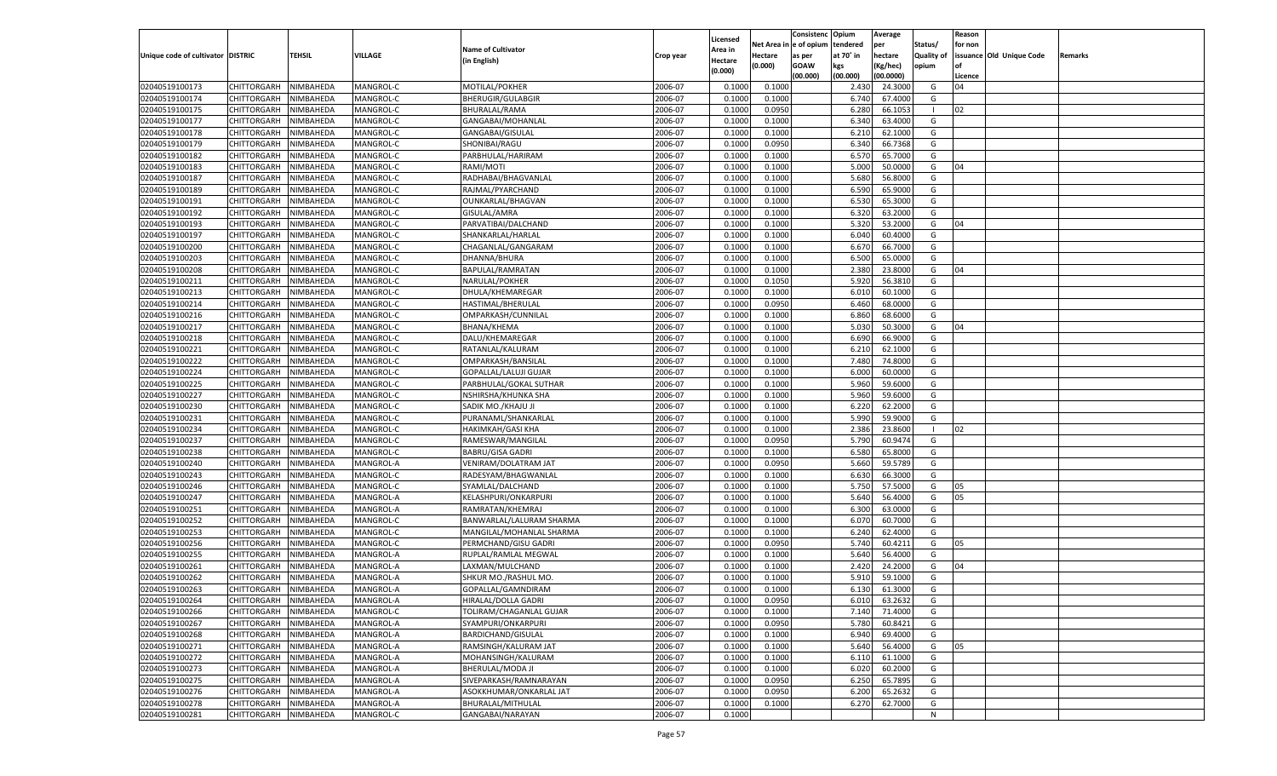|                                   |                       |               |           |                              |           |                    |          | Consistenc  | Opium     | Average   |                   | Reason  |                          |         |
|-----------------------------------|-----------------------|---------------|-----------|------------------------------|-----------|--------------------|----------|-------------|-----------|-----------|-------------------|---------|--------------------------|---------|
|                                   |                       |               |           |                              |           | Licensed           | Net Area | e of opium  | tendered  | per       | Status/           | for non |                          |         |
| Unique code of cultivator DISTRIC |                       | <b>TEHSIL</b> | VILLAGE   | <b>Name of Cultivator</b>    | Crop year | <b>Area in</b>     | Hectare  | as per      | at 70° in | hectare   | <b>Quality of</b> |         | issuance Old Unique Code | Remarks |
|                                   |                       |               |           | (in English)                 |           | Hectare<br>(0.000) | (0.000)  | <b>GOAW</b> | kgs       | (Kg/hec)  | opium             |         |                          |         |
|                                   |                       |               |           |                              |           |                    |          | (00.000)    | (00.000)  | (00.0000) |                   | Licence |                          |         |
| 02040519100173                    | CHITTORGARH           | NIMBAHEDA     | MANGROL-C | MOTILAL/POKHER               | 2006-07   | 0.1000             | 0.1000   |             | 2.430     | 24.3000   | G                 | 04      |                          |         |
| 02040519100174                    | CHITTORGARH           | NIMBAHEDA     | MANGROL-C | BHERUGIR/GULABGIR            | 2006-07   | 0.1000             | 0.1000   |             | 6.740     | 67.4000   | G                 |         |                          |         |
| 02040519100175                    | CHITTORGARH           | NIMBAHEDA     | MANGROL-C | BHURALAL/RAMA                | 2006-07   | 0.1000             | 0.0950   |             | 6.280     | 66.105    | - 1               | 02      |                          |         |
| 02040519100177                    | CHITTORGARH           | NIMBAHEDA     | MANGROL-C | GANGABAI/MOHANLAL            | 2006-07   | 0.1000             | 0.1000   |             | 6.340     | 63.4000   | G                 |         |                          |         |
| 02040519100178                    | CHITTORGARH           | NIMBAHEDA     | MANGROL-C | GANGABAI/GISULAL             | 2006-07   | 0.1000             | 0.1000   |             | 6.210     | 62.1000   | G                 |         |                          |         |
| 02040519100179                    | CHITTORGARH           | NIMBAHEDA     | MANGROL-C | SHONIBAI/RAGU                | 2006-07   | 0.1000             | 0.0950   |             | 6.340     | 66.7368   | G                 |         |                          |         |
| 02040519100182                    | CHITTORGARH           | NIMBAHEDA     | MANGROL-C | PARBHULAL/HARIRAM            | 2006-07   | 0.1000             | 0.1000   |             | 6.570     | 65.7000   | G                 |         |                          |         |
| 02040519100183                    | CHITTORGARH           | NIMBAHEDA     | MANGROL-C | RAMI/MOTI                    | 2006-07   | 0.1000             | 0.1000   |             | 5.000     | 50.0000   | G                 | 04      |                          |         |
| 02040519100187                    | CHITTORGARH           | NIMBAHEDA     | MANGROL-C | RADHABAI/BHAGVANLAL          | 2006-07   | 0.1000             | 0.1000   |             | 5.680     | 56.8000   | G                 |         |                          |         |
| 02040519100189                    | CHITTORGARH           | NIMBAHEDA     | MANGROL-C | RAJMAL/PYARCHAND             | 2006-07   | 0.1000             | 0.1000   |             | 6.590     | 65.9000   | G                 |         |                          |         |
| 02040519100191                    | CHITTORGARH           | NIMBAHEDA     | MANGROL-C | OUNKARLAL/BHAGVAN            | 2006-07   | 0.1000             | 0.1000   |             | 6.530     | 65.3000   | G                 |         |                          |         |
| 02040519100192                    | CHITTORGARH           | NIMBAHEDA     | MANGROL-C | GISULAL/AMRA                 | 2006-07   | 0.1000             | 0.1000   |             | 6.320     | 63.2000   | G                 |         |                          |         |
| 02040519100193                    | CHITTORGARH           | NIMBAHEDA     | MANGROL-C | PARVATIBAI/DALCHAND          | 2006-07   | 0.1000             | 0.1000   |             | 5.320     | 53.2000   | G                 | 04      |                          |         |
| 02040519100197                    | CHITTORGARH           | NIMBAHEDA     | MANGROL-C | SHANKARLAL/HARLAL            | 2006-07   | 0.1000             | 0.1000   |             | 6.040     | 60.4000   | G                 |         |                          |         |
| 02040519100200                    | CHITTORGARH           | NIMBAHEDA     | MANGROL-C | CHAGANLAL/GANGARAM           | 2006-07   | 0.1000             | 0.1000   |             | 6.670     | 66.7000   | G                 |         |                          |         |
| 02040519100203                    | CHITTORGARH           | NIMBAHEDA     | MANGROL-C | DHANNA/BHURA                 | 2006-07   | 0.1000             | 0.1000   |             | 6.500     | 65.0000   | G                 |         |                          |         |
| 02040519100208                    | CHITTORGARH           | NIMBAHEDA     | MANGROL-C | BAPULAL/RAMRATAN             | 2006-07   | 0.1000             | 0.1000   |             | 2.380     | 23.8000   | G                 | 04      |                          |         |
| 02040519100211                    | CHITTORGARH           | NIMBAHEDA     | MANGROL-C | NARULAL/POKHER               | 2006-07   | 0.1000             | 0.1050   |             | 5.920     | 56.3810   | G                 |         |                          |         |
| 02040519100213                    | CHITTORGARH           | NIMBAHEDA     | MANGROL-C | DHULA/KHEMAREGAR             | 2006-07   | 0.1000             | 0.1000   |             | 6.010     | 60.1000   | G                 |         |                          |         |
| 02040519100214                    | CHITTORGARH           | NIMBAHEDA     | MANGROL-C | HASTIMAL/BHERULAL            | 2006-07   | 0.1000             | 0.0950   |             | 6.460     | 68.0000   | G                 |         |                          |         |
| 02040519100216                    | CHITTORGARH           | NIMBAHEDA     | MANGROL-C | OMPARKASH/CUNNILAL           | 2006-07   | 0.1000             | 0.1000   |             | 6.860     | 68.6000   | G                 |         |                          |         |
| 02040519100217                    |                       |               |           |                              | 2006-07   | 0.1000             |          |             | 5.030     | 50.3000   | G                 | 04      |                          |         |
| 02040519100218                    | CHITTORGARH           | NIMBAHEDA     | MANGROL-C | BHANA/KHEMA                  |           |                    | 0.1000   |             |           |           |                   |         |                          |         |
|                                   | CHITTORGARH           | NIMBAHEDA     | MANGROL-C | DALU/KHEMAREGAR              | 2006-07   | 0.1000             | 0.1000   |             | 6.690     | 66.9000   | G                 |         |                          |         |
| 02040519100221                    | CHITTORGARH           | NIMBAHEDA     | MANGROL-C | RATANLAL/KALURAM             | 2006-07   | 0.1000             | 0.1000   |             | 6.210     | 62.1000   | G                 |         |                          |         |
| 02040519100222                    | CHITTORGARH           | NIMBAHEDA     | MANGROL-C | OMPARKASH/BANSILAL           | 2006-07   | 0.1000             | 0.1000   |             | 7.480     | 74.8000   | G                 |         |                          |         |
| 02040519100224                    | CHITTORGARH           | NIMBAHEDA     | MANGROL-C | <b>GOPALLAL/LALUJI GUJAR</b> | 2006-07   | 0.1000             | 0.1000   |             | 6.000     | 60.0000   | G                 |         |                          |         |
| 02040519100225                    | CHITTORGARH           | NIMBAHEDA     | MANGROL-C | PARBHULAL/GOKAL SUTHAR       | 2006-07   | 0.1000             | 0.1000   |             | 5.960     | 59.6000   | G                 |         |                          |         |
| 02040519100227                    | CHITTORGARH           | NIMBAHEDA     | MANGROL-C | NSHIRSHA/KHUNKA SHA          | 2006-07   | 0.1000             | 0.1000   |             | 5.960     | 59.6000   | G                 |         |                          |         |
| 02040519100230                    | CHITTORGARH           | NIMBAHEDA     | MANGROL-C | SADIK MO./KHAJU JI           | 2006-07   | 0.1000             | 0.1000   |             | 6.220     | 62.2000   | G                 |         |                          |         |
| 02040519100231                    | CHITTORGARH           | NIMBAHEDA     | MANGROL-C | PURANAML/SHANKARLAL          | 2006-07   | 0.1000             | 0.1000   |             | 5.990     | 59.9000   | G                 |         |                          |         |
| 02040519100234                    | CHITTORGARH           | NIMBAHEDA     | MANGROL-C | <b>HAKIMKAH/GASI KHA</b>     | 2006-07   | 0.1000             | 0.1000   |             | 2.386     | 23.8600   | - 1               | 02      |                          |         |
| 02040519100237                    | CHITTORGARH           | NIMBAHEDA     | MANGROL-C | RAMESWAR/MANGILAL            | 2006-07   | 0.1000             | 0.0950   |             | 5.790     | 60.9474   | G                 |         |                          |         |
| 02040519100238                    | CHITTORGARH           | NIMBAHEDA     | MANGROL-C | <b>BABRU/GISA GADRI</b>      | 2006-07   | 0.1000             | 0.1000   |             | 6.580     | 65.8000   | G                 |         |                          |         |
| 02040519100240                    | CHITTORGARH           | NIMBAHEDA     | MANGROL-A | VENIRAM/DOLATRAM JAT         | 2006-07   | 0.1000             | 0.0950   |             | 5.660     | 59.5789   | G                 |         |                          |         |
| 02040519100243                    | <b>CHITTORGARH</b>    | NIMBAHEDA     | MANGROL-C | RADESYAM/BHAGWANLAL          | 2006-07   | 0.1000             | 0.1000   |             | 6.630     | 66.3000   | G                 |         |                          |         |
| 02040519100246                    | CHITTORGARH           | NIMBAHEDA     | MANGROL-C | SYAMLAL/DALCHAND             | 2006-07   | 0.1000             | 0.1000   |             | 5.750     | 57.5000   | G                 | 05      |                          |         |
| 02040519100247                    | CHITTORGARH           | NIMBAHEDA     | MANGROL-A | KELASHPURI/ONKARPURI         | 2006-07   | 0.1000             | 0.1000   |             | 5.640     | 56.4000   | G                 | 05      |                          |         |
| 02040519100251                    | CHITTORGARH           | NIMBAHEDA     | MANGROL-A | RAMRATAN/KHEMRAJ             | 2006-07   | 0.1000             | 0.1000   |             | 6.300     | 63.0000   | G                 |         |                          |         |
| 02040519100252                    | <b>CHITTORGARH</b>    | NIMBAHEDA     | MANGROL-C | BANWARLAL/LALURAM SHARMA     | 2006-07   | 0.1000             | 0.1000   |             | 6.070     | 60.7000   | G                 |         |                          |         |
| 02040519100253                    | CHITTORGARH           | NIMBAHEDA     | MANGROL-C | MANGILAL/MOHANLAL SHARMA     | 2006-07   | 0.1000             | 0.1000   |             | 6.240     | 62.4000   | G                 |         |                          |         |
| 02040519100256                    | CHITTORGARH           | NIMBAHEDA     | MANGROL-C | PERMCHAND/GISU GADRI         | 2006-07   | 0.1000             | 0.0950   |             | 5.740     | 60.4211   | G                 | 05      |                          |         |
| 02040519100255                    | CHITTORGARH           | NIMBAHEDA     | MANGROL-A | RUPLAL/RAMLAL MEGWAL         | 2006-07   | 0.1000             | 0.1000   |             | 5.640     | 56.4000   | G                 |         |                          |         |
| 02040519100261                    | CHITTORGARH           | NIMBAHEDA     | MANGROL-A | LAXMAN/MULCHAND              | 2006-07   | 0.1000             | 0.1000   |             | 2.420     | 24.2000   | G                 | 04      |                          |         |
| 02040519100262                    | CHITTORGARH           | NIMBAHEDA     | MANGROL-A | SHKUR MO./RASHUL MO          | 2006-07   | 0.1000             | 0.1000   |             | 5.910     | 59.1000   | G                 |         |                          |         |
| 02040519100263                    | CHITTORGARH           | NIMBAHEDA     | MANGROL-A | GOPALLAL/GAMNDIRAM           | 2006-07   | 0.1000             | 0.1000   |             | 6.130     | 61.3000   | G                 |         |                          |         |
| 02040519100264                    | CHITTORGARH NIMBAHEDA |               | MANGROL-A | HIRALAL/DOLLA GADRI          | 2006-07   | 0.1000             | 0.0950   |             | 6.010     | 63.2632   | G                 |         |                          |         |
| 02040519100266                    | <b>CHITTORGARH</b>    | NIMBAHEDA     | MANGROL-C | TOLIRAM/CHAGANLAL GUJAR      | 2006-07   | 0.1000             | 0.1000   |             | 7.140     | 71.4000   | G                 |         |                          |         |
| 02040519100267                    | <b>CHITTORGARH</b>    | NIMBAHEDA     | MANGROL-A | SYAMPURI/ONKARPURI           | 2006-07   | 0.1000             | 0.0950   |             | 5.780     | 60.8421   | G                 |         |                          |         |
| 02040519100268                    | <b>CHITTORGARH</b>    | NIMBAHEDA     | MANGROL-A | <b>BARDICHAND/GISULAL</b>    | 2006-07   | 0.1000             | 0.1000   |             | 6.940     | 69.4000   | G                 |         |                          |         |
| 02040519100271                    | <b>CHITTORGARH</b>    | NIMBAHEDA     | MANGROL-A | RAMSINGH/KALURAM JAT         | 2006-07   | 0.1000             | 0.1000   |             | 5.640     | 56.4000   | G                 | 05      |                          |         |
| 02040519100272                    | <b>CHITTORGARH</b>    | NIMBAHEDA     | MANGROL-A | MOHANSINGH/KALURAM           | 2006-07   | 0.1000             | 0.1000   |             | 6.110     | 61.1000   | G                 |         |                          |         |
| 02040519100273                    | <b>CHITTORGARH</b>    | NIMBAHEDA     | MANGROL-A | BHERULAL/MODA JI             | 2006-07   | 0.1000             | 0.1000   |             | 6.020     | 60.2000   | G                 |         |                          |         |
| 02040519100275                    | <b>CHITTORGARH</b>    | NIMBAHEDA     | MANGROL-A | SIVEPARKASH/RAMNARAYAN       | 2006-07   | 0.1000             | 0.0950   |             | 6.250     | 65.7895   | G                 |         |                          |         |
| 02040519100276                    | <b>CHITTORGARH</b>    | NIMBAHEDA     | MANGROL-A | ASOKKHUMAR/ONKARLAL JAT      | 2006-07   | 0.1000             | 0.0950   |             | 6.200     | 65.2632   | G                 |         |                          |         |
| 02040519100278                    | <b>CHITTORGARH</b>    | NIMBAHEDA     | MANGROL-A | BHURALAL/MITHULAL            | 2006-07   | 0.1000             | 0.1000   |             | 6.270     | 62.7000   | G                 |         |                          |         |
| 02040519100281                    | <b>CHITTORGARH</b>    | NIMBAHEDA     | MANGROL-C | GANGABAI/NARAYAN             | 2006-07   | 0.1000             |          |             |           |           | N                 |         |                          |         |
|                                   |                       |               |           |                              |           |                    |          |             |           |           |                   |         |                          |         |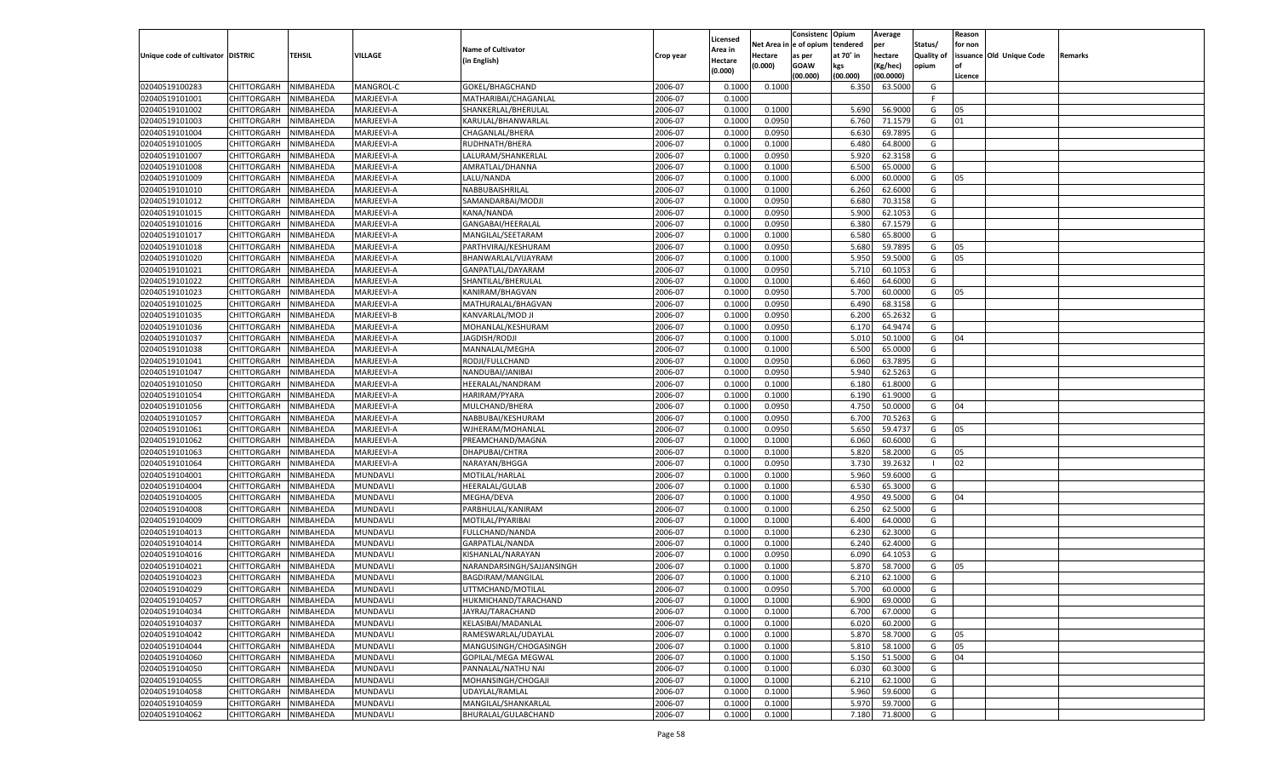|                                   |                            |               |                 |                            |           |                           |          | Consistenc  | Opium     | Average   |                   | Reason  |                          |         |
|-----------------------------------|----------------------------|---------------|-----------------|----------------------------|-----------|---------------------------|----------|-------------|-----------|-----------|-------------------|---------|--------------------------|---------|
|                                   |                            |               |                 | <b>Name of Cultivator</b>  |           | Licensed                  | Net Area | e of opium  | tendered  | per       | Status/           | for non |                          |         |
| Unique code of cultivator DISTRIC |                            | <b>TEHSIL</b> | VILLAGE         | (in English)               | Crop year | <b>Area in</b><br>Hectare | Hectare  | as per      | at 70° in | hectare   | <b>Quality of</b> |         | issuance Old Unique Code | Remarks |
|                                   |                            |               |                 |                            |           | (0.000)                   | (0.000)  | <b>GOAW</b> | kgs       | (Kg/hec)  | opium             |         |                          |         |
|                                   |                            |               |                 |                            |           |                           |          | (00.000)    | (00.000)  | (00.0000) |                   | Licence |                          |         |
| 02040519100283                    | CHITTORGARH                | NIMBAHEDA     | MANGROL-C       | GOKEL/BHAGCHAND            | 2006-07   | 0.1000                    | 0.1000   |             | 6.350     | 63.5000   | G                 |         |                          |         |
| 02040519101001                    | CHITTORGARH                | NIMBAHEDA     | MARJEEVI-A      | MATHARIBAI/CHAGANLAL       | 2006-07   | 0.1000                    |          |             |           |           | F.                |         |                          |         |
| 02040519101002                    | CHITTORGARH                | NIMBAHEDA     | MARJEEVI-A      | SHANKERLAL/BHERULAL        | 2006-07   | 0.1000                    | 0.1000   |             | 5.690     | 56.900    | G                 | 05      |                          |         |
| 02040519101003                    | CHITTORGARH                | NIMBAHEDA     | MARJEEVI-A      | KARULAL/BHANWARLAL         | 2006-07   | 0.1000                    | 0.0950   |             | 6.760     | 71.1579   | G                 | 01      |                          |         |
| 02040519101004                    | CHITTORGARH                | NIMBAHEDA     | MARJEEVI-A      | CHAGANLAL/BHERA            | 2006-07   | 0.1000                    | 0.0950   |             | 6.630     | 69.7895   | G                 |         |                          |         |
| 02040519101005                    | CHITTORGARH                | NIMBAHEDA     | MARJEEVI-A      | RUDHNATH/BHERA             | 2006-07   | 0.1000                    | 0.1000   |             | 6.480     | 64.8000   | G                 |         |                          |         |
| 02040519101007                    | CHITTORGARH                | NIMBAHEDA     | MARJEEVI-A      | LALURAM/SHANKERLAI         | 2006-07   | 0.1000                    | 0.0950   |             | 5.920     | 62.3158   | G                 |         |                          |         |
| 02040519101008                    | CHITTORGARH                | NIMBAHEDA     | MARJEEVI-A      | AMRATLAL/DHANNA            | 2006-07   | 0.1000                    | 0.1000   |             | 6.500     | 65.0000   | G                 |         |                          |         |
| 02040519101009                    | CHITTORGARH                | NIMBAHEDA     | MARJEEVI-A      | LALU/NANDA                 | 2006-07   | 0.1000                    | 0.1000   |             | 6.000     | 60.0000   | G                 | 05      |                          |         |
| 02040519101010                    | CHITTORGARH                | NIMBAHEDA     | MARJEEVI-A      | NABBUBAISHRILAL            | 2006-07   | 0.1000                    | 0.1000   |             | 6.260     | 62.6000   | G                 |         |                          |         |
| 02040519101012                    | CHITTORGARH                | NIMBAHEDA     | MARJEEVI-A      | SAMANDARBAI/MODJI          | 2006-07   | 0.1000                    | 0.0950   |             | 6.680     | 70.3158   | G                 |         |                          |         |
| 02040519101015                    | CHITTORGARH                | NIMBAHEDA     | MARJEEVI-A      | KANA/NANDA                 | 2006-07   | 0.1000                    | 0.0950   |             | 5.900     | 62.1053   | G                 |         |                          |         |
| 02040519101016                    | CHITTORGARH                | NIMBAHEDA     | MARJEEVI-A      | GANGABAI/HEERALAL          | 2006-07   | 0.1000                    | 0.0950   |             | 6.380     | 67.1579   | G                 |         |                          |         |
| 02040519101017                    | CHITTORGARH                | NIMBAHEDA     | MARJEEVI-A      | MANGILAL/SEETARAM          | 2006-07   | 0.1000                    | 0.1000   |             | 6.580     | 65.8000   | G                 |         |                          |         |
| 02040519101018                    | CHITTORGARH                | NIMBAHEDA     | MARJEEVI-A      | PARTHVIRAJ/KESHURAM        | 2006-07   | 0.1000                    | 0.0950   |             | 5.680     | 59.7895   | G                 | 05      |                          |         |
| 02040519101020                    | CHITTORGARH                | NIMBAHEDA     | MARJEEVI-A      | BHANWARLAL/VIJAYRAM        | 2006-07   | 0.1000                    | 0.1000   |             | 5.950     | 59.5000   | G                 | 05      |                          |         |
| 02040519101021                    | CHITTORGARH                | NIMBAHEDA     | MARJEEVI-A      | GANPATLAL/DAYARAM          | 2006-07   | 0.1000                    | 0.0950   |             | 5.710     | 60.1053   | G                 |         |                          |         |
| 02040519101022                    | CHITTORGARH                | NIMBAHEDA     | MARJEEVI-A      | SHANTILAL/BHERULAL         | 2006-07   | 0.1000                    | 0.1000   |             | 6.460     | 64.6000   | G                 |         |                          |         |
| 02040519101023                    | CHITTORGARH                | NIMBAHEDA     | MARJEEVI-A      | KANIRAM/BHAGVAN            | 2006-07   | 0.1000                    | 0.0950   |             | 5.700     | 60.0000   | G                 | 05      |                          |         |
| 02040519101025                    | CHITTORGARH                | NIMBAHEDA     | MARJEEVI-A      | MATHURALAL/BHAGVAN         | 2006-07   | 0.1000                    | 0.0950   |             | 6.490     | 68.3158   | G                 |         |                          |         |
| 02040519101035                    | CHITTORGARH                | NIMBAHEDA     | MARJEEVI-B      | KANVARLAL/MOD JI           | 2006-07   | 0.1000                    | 0.0950   |             | 6.200     | 65.2632   | G                 |         |                          |         |
| 02040519101036                    | CHITTORGARH                | NIMBAHEDA     | MARJEEVI-A      | MOHANLAL/KESHURAM          | 2006-07   | 0.1000                    | 0.0950   |             | 6.170     | 64.9474   | G                 |         |                          |         |
| 02040519101037                    | CHITTORGARH                | NIMBAHEDA     | MARJEEVI-A      | JAGDISH/RODJI              | 2006-07   | 0.1000                    | 0.1000   |             | 5.010     | 50.1000   | G                 | 04      |                          |         |
| 02040519101038                    | CHITTORGARH                | NIMBAHEDA     | MARJEEVI-A      | MANNALAL/MEGHA             | 2006-07   | 0.1000                    | 0.1000   |             | 6.500     | 65.0000   | G                 |         |                          |         |
| 02040519101041                    | CHITTORGARH                | NIMBAHEDA     | MARJEEVI-A      | RODJI/FULLCHAND            | 2006-07   | 0.1000                    | 0.0950   |             | 6.060     | 63.7895   | G                 |         |                          |         |
| 02040519101047                    | CHITTORGARH                | NIMBAHEDA     | MARJEEVI-A      | NANDUBAI/JANIBAI           | 2006-07   | 0.1000                    | 0.0950   |             | 5.940     | 62.5263   | G                 |         |                          |         |
| 02040519101050                    |                            |               | MARJEEVI-A      | HEERALAL/NANDRAM           | 2006-07   | 0.1000                    | 0.1000   |             |           | 61.8000   | G                 |         |                          |         |
|                                   | CHITTORGARH<br>CHITTORGARH | NIMBAHEDA     |                 | HARIRAM/PYARA              |           |                           |          |             | 6.180     | 61.9000   |                   |         |                          |         |
| 02040519101054                    | CHITTORGARH                | NIMBAHEDA     | MARJEEVI-A      |                            | 2006-07   | 0.1000                    | 0.1000   |             | 6.190     | 50.0000   | G<br>G            |         |                          |         |
| 02040519101056                    |                            | NIMBAHEDA     | MARJEEVI-A      | MULCHAND/BHERA             | 2006-07   | 0.1000                    | 0.0950   |             | 4.750     |           |                   | 04      |                          |         |
| 02040519101057                    | CHITTORGARH                | NIMBAHEDA     | MARJEEVI-A      | NABBUBAI/KESHURAM          | 2006-07   | 0.1000                    | 0.0950   |             | 6.700     | 70.5263   | G                 |         |                          |         |
| 02040519101061                    | CHITTORGARH                | NIMBAHEDA     | MARJEEVI-A      | WJHERAM/MOHANLAL           | 2006-07   | 0.1000                    | 0.0950   |             | 5.650     | 59.4737   | G                 | 05      |                          |         |
| 02040519101062                    | CHITTORGARH                | NIMBAHEDA     | MARJEEVI-A      | PREAMCHAND/MAGNA           | 2006-07   | 0.1000                    | 0.1000   |             | 6.060     | 60.6000   | G                 |         |                          |         |
| 02040519101063                    | <b>CHITTORGARH</b>         | NIMBAHEDA     | MARJEEVI-A      | DHAPUBAI/CHTRA             | 2006-07   | 0.1000                    | 0.1000   |             | 5.82      | 58.2000   | G                 | 05      |                          |         |
| 02040519101064                    | CHITTORGARH                | NIMBAHEDA     | MARJEEVI-A      | NARAYAN/BHGGA              | 2006-07   | 0.1000                    | 0.0950   |             | 3.730     | 39.2632   | - 1               | 02      |                          |         |
| 02040519104001                    | <b>CHITTORGARH</b>         | NIMBAHEDA     | MUNDAVLI        | MOTILAL/HARLAL             | 2006-07   | 0.1000                    | 0.1000   |             | 5.960     | 59.6000   | G                 |         |                          |         |
| 02040519104004                    | CHITTORGARH                | NIMBAHEDA     | MUNDAVLI        | HEERALAL/GULAB             | 2006-07   | 0.1000                    | 0.1000   |             | 6.530     | 65.3000   | G                 |         |                          |         |
| 02040519104005                    | CHITTORGARH                | NIMBAHEDA     | MUNDAVLI        | MEGHA/DEVA                 | 2006-07   | 0.1000                    | 0.1000   |             | 4.950     | 49.5000   | G                 | 04      |                          |         |
| 02040519104008                    | CHITTORGARH                | NIMBAHEDA     | MUNDAVLI        | PARBHULAL/KANIRAM          | 2006-07   | 0.1000                    | 0.1000   |             | 6.250     | 62.5000   | G                 |         |                          |         |
| 02040519104009                    | CHITTORGARH                | NIMBAHEDA     | MUNDAVLI        | MOTILAL/PYARIBAI           | 2006-07   | 0.1000                    | 0.1000   |             | 6.400     | 64.0000   | G                 |         |                          |         |
| 02040519104013                    | CHITTORGARH                | NIMBAHEDA     | MUNDAVLI        | FULLCHAND/NANDA            | 2006-07   | 0.1000                    | 0.1000   |             | 6.230     | 62.3000   | G                 |         |                          |         |
| 02040519104014                    | CHITTORGARH                | NIMBAHEDA     | MUNDAVLI        | GARPATLAL/NANDA            | 2006-07   | 0.1000                    | 0.1000   |             | 6.240     | 62.4000   | G                 |         |                          |         |
| 02040519104016                    | CHITTORGARH                | NIMBAHEDA     | MUNDAVLI        | KISHANLAL/NARAYAN          | 2006-07   | 0.1000                    | 0.0950   |             | 6.090     | 64.105    | G                 |         |                          |         |
| 02040519104021                    | CHITTORGARH                | NIMBAHEDA     | MUNDAVLI        | NARANDARSINGH/SAJJANSINGH  | 2006-07   | 0.1000                    | 0.1000   |             | 5.87      | 58.7000   | G                 | 05      |                          |         |
| 02040519104023                    | CHITTORGARH                | NIMBAHEDA     | MUNDAVLI        | BAGDIRAM/MANGILAL          | 2006-07   | 0.1000                    | 0.1000   |             | 6.21      | 62.1000   | G                 |         |                          |         |
| 02040519104029                    | CHITTORGARH                | NIMBAHEDA     | MUNDAVLI        | UTTMCHAND/MOTILAL          | 2006-07   | 0.1000                    | 0.0950   |             | 5.700     | 60.0000   | G                 |         |                          |         |
| 02040519104057                    | CHITTORGARH NIMBAHEDA      |               | MUNDAVLI        | HUKMICHAND/TARACHAND       | 2006-07   | 0.1000                    | 0.1000   |             | 6.900     | 69.0000   | G                 |         |                          |         |
| 02040519104034                    | <b>CHITTORGARH</b>         | NIMBAHEDA     | <b>MUNDAVLI</b> | JAYRAJ/TARACHAND           | 2006-07   | 0.1000                    | 0.1000   |             | 6.700     | 67.0000   | G                 |         |                          |         |
| 02040519104037                    | CHITTORGARH                | NIMBAHEDA     | MUNDAVLI        | KELASIBAI/MADANLAL         | 2006-07   | 0.1000                    | 0.1000   |             | 6.020     | 60.2000   | G                 |         |                          |         |
| 02040519104042                    | <b>CHITTORGARH</b>         | NIMBAHEDA     | MUNDAVLI        | RAMESWARLAL/UDAYLAL        | 2006-07   | 0.1000                    | 0.1000   |             | 5.870     | 58.7000   | G                 | 05      |                          |         |
| 02040519104044                    | <b>CHITTORGARH</b>         | NIMBAHEDA     | MUNDAVLI        | MANGUSINGH/CHOGASINGH      | 2006-07   | 0.1000                    | 0.1000   |             | 5.810     | 58.1000   | G                 | 05      |                          |         |
| 02040519104060                    | <b>CHITTORGARH</b>         | NIMBAHEDA     | MUNDAVLI        | <b>GOPILAL/MEGA MEGWAL</b> | 2006-07   | 0.1000                    | 0.1000   |             | 5.150     | 51.5000   | G                 | 04      |                          |         |
| 02040519104050                    | <b>CHITTORGARH</b>         | NIMBAHEDA     | MUNDAVLI        | PANNALAL/NATHU NAI         | 2006-07   | 0.1000                    | 0.1000   |             | 6.030     | 60.3000   | G                 |         |                          |         |
| 02040519104055                    | <b>CHITTORGARH</b>         | NIMBAHEDA     | MUNDAVLI        | MOHANSINGH/CHOGAJI         | 2006-07   | 0.1000                    | 0.1000   |             | 6.210     | 62.1000   | G                 |         |                          |         |
| 02040519104058                    | <b>CHITTORGARH</b>         | NIMBAHEDA     | MUNDAVLI        | UDAYLAL/RAMLAL             | 2006-07   | 0.1000                    | 0.1000   |             | 5.960     | 59.6000   | G                 |         |                          |         |
| 02040519104059                    | <b>CHITTORGARH</b>         | NIMBAHEDA     | <b>MUNDAVLI</b> | MANGILAL/SHANKARLAL        | 2006-07   | 0.1000                    | 0.1000   |             | 5.970     | 59.7000   | G                 |         |                          |         |
| 02040519104062                    | CHITTORGARH                | NIMBAHEDA     | MUNDAVLI        | BHURALAL/GULABCHAND        | 2006-07   | 0.1000                    | 0.1000   |             | 7.180     | 71.8000   | G                 |         |                          |         |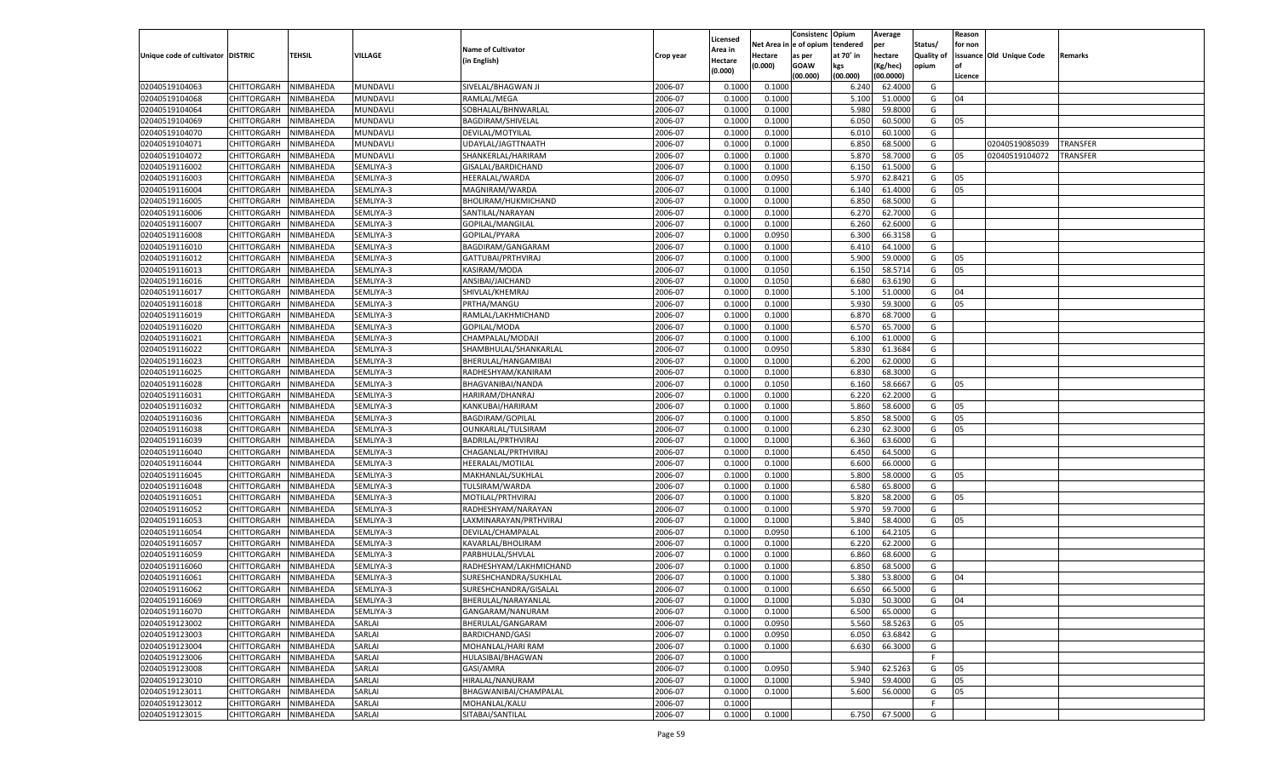|                                   |                       |               |           |                           |           |                    |          | Consistenc  | Opium     | Average   |                   | Reason  |                          |          |
|-----------------------------------|-----------------------|---------------|-----------|---------------------------|-----------|--------------------|----------|-------------|-----------|-----------|-------------------|---------|--------------------------|----------|
|                                   |                       |               |           |                           |           | Licensed           | Net Area | e of opium  | tendered  | per       | Status/           | for non |                          |          |
| Unique code of cultivator DISTRIC |                       | <b>TEHSIL</b> | VILLAGE   | <b>Name of Cultivator</b> | Crop year | <b>Area in</b>     | Hectare  | as per      | at 70° in | hectare   | <b>Quality of</b> |         | issuance Old Unique Code | Remarks  |
|                                   |                       |               |           | (in English)              |           | Hectare<br>(0.000) | (0.000)  | <b>GOAW</b> | kgs       | (Kg/hec)  | opium             |         |                          |          |
|                                   |                       |               |           |                           |           |                    |          | (00.000)    | (00.000)  | (00.0000) |                   | Licence |                          |          |
| 02040519104063                    | CHITTORGARH           | NIMBAHEDA     | MUNDAVLI  | SIVELAL/BHAGWAN JI        | 2006-07   | 0.1000             | 0.1000   |             | 6.240     | 62.4000   | G                 |         |                          |          |
| 02040519104068                    | CHITTORGARH           | NIMBAHEDA     | MUNDAVLI  | RAMLAL/MEGA               | 2006-07   | 0.1000             | 0.1000   |             | 5.100     | 51.0000   | G                 | 04      |                          |          |
| 02040519104064                    | CHITTORGARH           | NIMBAHEDA     | MUNDAVLI  | SOBHALAL/BHNWARLAL        | 2006-07   | 0.1000             | 0.1000   |             | 5.980     | 59.8000   | G                 |         |                          |          |
| 02040519104069                    | CHITTORGARH           | NIMBAHEDA     | MUNDAVLI  | BAGDIRAM/SHIVELAL         | 2006-07   | 0.1000             | 0.1000   |             | 6.050     | 60.5000   | G                 | 05      |                          |          |
| 02040519104070                    | CHITTORGARH           | NIMBAHEDA     | MUNDAVLI  | DEVILAL/MOTYILAL          | 2006-07   | 0.1000             | 0.1000   |             | 6.010     | 60.1000   | G                 |         |                          |          |
| 02040519104071                    | CHITTORGARH           | NIMBAHEDA     | MUNDAVLI  | UDAYLAL/JAGTTNAATH        | 2006-07   | 0.1000             | 0.1000   |             | 6.850     | 68.5000   | G                 |         | 02040519085039           | TRANSFER |
| 02040519104072                    | CHITTORGARH           | NIMBAHEDA     | MUNDAVLI  | SHANKERLAL/HARIRAM        | 2006-07   | 0.1000             | 0.1000   |             | 5.870     | 58.7000   | G                 | 05      | 02040519104072           | TRANSFER |
| 02040519116002                    | CHITTORGARH           | NIMBAHEDA     | SEMLIYA-3 | GISALAL/BARDICHAND        | 2006-07   | 0.1000             | 0.1000   |             | 6.150     | 61.5000   | G                 |         |                          |          |
| 02040519116003                    | CHITTORGARH           | NIMBAHEDA     | SEMLIYA-3 | HEERALAL/WARDA            | 2006-07   | 0.1000             | 0.0950   |             | 5.970     | 62.8421   | G                 | 05      |                          |          |
| 02040519116004                    | CHITTORGARH           | NIMBAHEDA     | SEMLIYA-3 | MAGNIRAM/WARDA            | 2006-07   | 0.1000             | 0.1000   |             | 6.140     | 61.4000   | G                 | 05      |                          |          |
| 02040519116005                    | CHITTORGARH           | NIMBAHEDA     | SEMLIYA-3 | BHOLIRAM/HUKMICHAND       | 2006-07   | 0.1000             | 0.1000   |             | 6.850     | 68.5000   | G                 |         |                          |          |
| 02040519116006                    | CHITTORGARH           | NIMBAHEDA     | SEMLIYA-3 | SANTILAL/NARAYAN          | 2006-07   | 0.1000             | 0.1000   |             | 6.27      | 62.7000   | G                 |         |                          |          |
| 02040519116007                    | CHITTORGARH           | NIMBAHEDA     | SEMLIYA-3 | GOPILAL/MANGILAL          | 2006-07   | 0.1000             | 0.1000   |             | 6.260     | 62.6000   | G                 |         |                          |          |
| 02040519116008                    | CHITTORGARH           | NIMBAHEDA     | SEMLIYA-3 | GOPILAL/PYARA             | 2006-07   | 0.1000             | 0.0950   |             | 6.300     | 66.3158   | G                 |         |                          |          |
| 02040519116010                    | CHITTORGARH           | NIMBAHEDA     | SEMLIYA-3 | BAGDIRAM/GANGARAM         | 2006-07   | 0.1000             | 0.1000   |             | 6.410     | 64.1000   | G                 |         |                          |          |
|                                   | CHITTORGARH           |               |           |                           |           |                    |          |             |           | 59.0000   |                   |         |                          |          |
| 02040519116012                    |                       | NIMBAHEDA     | SEMLIYA-3 | GATTUBAI/PRTHVIRAJ        | 2006-07   | 0.1000             | 0.1000   |             | 5.900     |           | G                 | 05      |                          |          |
| 02040519116013                    | CHITTORGARH           | NIMBAHEDA     | SEMLIYA-3 | KASIRAM/MODA              | 2006-07   | 0.1000             | 0.1050   |             | 6.150     | 58.5714   | G                 | 05      |                          |          |
| 02040519116016                    | CHITTORGARH           | NIMBAHEDA     | SEMLIYA-3 | ANSIBAI/JAICHAND          | 2006-07   | 0.1000             | 0.1050   |             | 6.680     | 63.6190   | G                 |         |                          |          |
| 02040519116017                    | CHITTORGARH           | NIMBAHEDA     | SEMLIYA-3 | SHIVLAL/KHEMRAJ           | 2006-07   | 0.1000             | 0.1000   |             | 5.100     | 51.0000   | G                 | 04      |                          |          |
| 02040519116018                    | CHITTORGARH           | NIMBAHEDA     | SEMLIYA-3 | PRTHA/MANGU               | 2006-07   | 0.1000             | 0.1000   |             | 5.930     | 59.3000   | G                 | 05      |                          |          |
| 02040519116019                    | CHITTORGARH           | NIMBAHEDA     | SEMLIYA-3 | RAMLAL/LAKHMICHAND        | 2006-07   | 0.1000             | 0.1000   |             | 6.870     | 68.7000   | G                 |         |                          |          |
| 02040519116020                    | CHITTORGARH           | NIMBAHEDA     | SEMLIYA-3 | GOPILAL/MODA              | 2006-07   | 0.1000             | 0.1000   |             | 6.570     | 65.7000   | G                 |         |                          |          |
| 02040519116021                    | CHITTORGARH           | NIMBAHEDA     | SEMLIYA-3 | CHAMPALAL/MODAJI          | 2006-07   | 0.1000             | 0.1000   |             | 6.100     | 61.0000   | G                 |         |                          |          |
| 02040519116022                    | CHITTORGARH           | NIMBAHEDA     | SEMLIYA-3 | SHAMBHULAL/SHANKARLAL     | 2006-07   | 0.1000             | 0.0950   |             | 5.830     | 61.3684   | G                 |         |                          |          |
| 02040519116023                    | CHITTORGARH           | NIMBAHEDA     | SEMLIYA-3 | BHERULAL/HANGAMIBAI       | 2006-07   | 0.1000             | 0.1000   |             | 6.200     | 62.0000   | G                 |         |                          |          |
| 02040519116025                    | CHITTORGARH           | NIMBAHEDA     | SEMLIYA-3 | RADHESHYAM/KANIRAM        | 2006-07   | 0.1000             | 0.1000   |             | 6.830     | 68.3000   | G                 |         |                          |          |
| 02040519116028                    | CHITTORGARH           | NIMBAHEDA     | SEMLIYA-3 | BHAGVANIBAI/NANDA         | 2006-07   | 0.1000             | 0.1050   |             | 6.160     | 58.6667   | G                 | 05      |                          |          |
| 02040519116031                    | CHITTORGARH           | NIMBAHEDA     | SEMLIYA-3 | HARIRAM/DHANRAJ           | 2006-07   | 0.1000             | 0.1000   |             | 6.220     | 62.2000   | G                 |         |                          |          |
| 02040519116032                    | CHITTORGARH           | NIMBAHEDA     | SEMLIYA-3 | KANKUBAI/HARIRAM          | 2006-07   | 0.1000             | 0.1000   |             | 5.860     | 58.6000   | G                 | 05      |                          |          |
| 02040519116036                    | CHITTORGARH           | NIMBAHEDA     | SEMLIYA-3 | <b>BAGDIRAM/GOPILAL</b>   | 2006-07   | 0.1000             | 0.1000   |             | 5.850     | 58.5000   | G                 | 05      |                          |          |
| 02040519116038                    | CHITTORGARH           | NIMBAHEDA     | SEMLIYA-3 | OUNKARLAL/TULSIRAM        | 2006-07   | 0.1000             | 0.1000   |             | 6.230     | 62.3000   | G                 | 05      |                          |          |
| 02040519116039                    | CHITTORGARH           | NIMBAHEDA     | SEMLIYA-3 | BADRILAL/PRTHVIRAJ        | 2006-07   | 0.1000             | 0.1000   |             | 6.360     | 63.6000   | G                 |         |                          |          |
| 02040519116040                    | CHITTORGARH           | NIMBAHEDA     | SEMLIYA-3 | CHAGANLAL/PRTHVIRAJ       | 2006-07   | 0.1000             | 0.1000   |             | 6.450     | 64.5000   | G                 |         |                          |          |
| 02040519116044                    | CHITTORGARH           | NIMBAHEDA     | SEMLIYA-3 | HEERALAL/MOTILAL          | 2006-07   | 0.1000             | 0.1000   |             | 6.600     | 66.0000   | G                 |         |                          |          |
| 02040519116045                    | CHITTORGARH           | NIMBAHEDA     | SEMLIYA-3 | MAKHANLAL/SUKHLAL         | 2006-07   | 0.1000             | 0.1000   |             | 5.800     | 58.0000   | G                 | 05      |                          |          |
| 02040519116048                    | CHITTORGARH           | NIMBAHEDA     | SEMLIYA-3 | TULSIRAM/WARDA            | 2006-07   | 0.1000             | 0.1000   |             | 6.580     | 65.8000   | G                 |         |                          |          |
| 02040519116051                    | CHITTORGARH           | NIMBAHEDA     | SEMLIYA-3 | MOTILAL/PRTHVIRAJ         | 2006-07   | 0.1000             | 0.1000   |             | 5.820     | 58.2000   | G                 | 05      |                          |          |
| 02040519116052                    | CHITTORGARH           | NIMBAHEDA     | SEMLIYA-3 | RADHESHYAM/NARAYAN        | 2006-07   | 0.1000             | 0.1000   |             | 5.970     | 59.7000   | G                 |         |                          |          |
| 02040519116053                    | CHITTORGARH           | NIMBAHEDA     | SEMLIYA-3 | LAXMINARAYAN/PRTHVIRAJ    | 2006-07   | 0.1000             | 0.1000   |             | 5.84      | 58.4000   | G                 | 05      |                          |          |
| 02040519116054                    |                       |               |           | DEVILAL/CHAMPALAL         | 2006-07   |                    |          |             |           | 64.2105   | G                 |         |                          |          |
|                                   | CHITTORGARH           | NIMBAHEDA     | SEMLIYA-3 |                           |           | 0.1000             | 0.0950   |             | 6.100     |           |                   |         |                          |          |
| 02040519116057                    | CHITTORGARH           | NIMBAHEDA     | SEMLIYA-3 | KAVARLAL/BHOLIRAM         | 2006-07   | 0.1000             | 0.1000   |             | 6.220     | 62.2000   | G                 |         |                          |          |
| 02040519116059                    | CHITTORGARH           | NIMBAHEDA     | SEMLIYA-3 | PARBHULAL/SHVLAL          | 2006-07   | 0.1000             | 0.1000   |             | 6.860     | 68.6000   | G                 |         |                          |          |
| 02040519116060                    | CHITTORGARH           | NIMBAHEDA     | SEMLIYA-3 | RADHESHYAM/LAKHMICHAND    | 2006-07   | 0.1000             | 0.1000   |             | 6.85      | 68.5000   | G                 |         |                          |          |
| 02040519116061                    | CHITTORGARH           | NIMBAHEDA     | SEMLIYA-3 | SURESHCHANDRA/SUKHLAL     | 2006-07   | 0.1000             | 0.1000   |             | 5.380     | 53.8000   | G                 | 04      |                          |          |
| 02040519116062                    | CHITTORGARH           | NIMBAHEDA     | SEMLIYA-3 | SURESHCHANDRA/GISALAI     | 2006-07   | 0.1000             | 0.1000   |             | 6.650     | 66.5000   | G                 |         |                          |          |
| 02040519116069                    | CHITTORGARH NIMBAHEDA |               | SEMLIYA-3 | BHERULAL/NARAYANLAL       | 2006-07   | 0.1000             | 0.1000   |             | 5.030     | 50.3000   | G                 | 04      |                          |          |
| 02040519116070                    | <b>CHITTORGARH</b>    | NIMBAHEDA     | SEMLIYA-3 | GANGARAM/NANURAM          | 2006-07   | 0.1000             | 0.1000   |             | 6.500     | 65.0000   | G                 |         |                          |          |
| 02040519123002                    | <b>CHITTORGARH</b>    | NIMBAHEDA     | SARLAI    | BHERULAL/GANGARAM         | 2006-07   | 0.1000             | 0.0950   |             | 5.560     | 58.5263   | G                 | 05      |                          |          |
| 02040519123003                    | <b>CHITTORGARH</b>    | NIMBAHEDA     | SARLAI    | <b>BARDICHAND/GASI</b>    | 2006-07   | 0.1000             | 0.0950   |             | 6.050     | 63.6842   | G                 |         |                          |          |
| 02040519123004                    | <b>CHITTORGARH</b>    | NIMBAHEDA     | SARLAI    | MOHANLAL/HARI RAM         | 2006-07   | 0.1000             | 0.1000   |             | 6.630     | 66.3000   | G                 |         |                          |          |
| 02040519123006                    | <b>CHITTORGARH</b>    | NIMBAHEDA     | SARLAI    | <b>HULASIBAI/BHAGWAN</b>  | 2006-07   | 0.1000             |          |             |           |           | F                 |         |                          |          |
| 02040519123008                    | <b>CHITTORGARH</b>    | NIMBAHEDA     | SARLAI    | GASI/AMRA                 | 2006-07   | 0.1000             | 0.0950   |             | 5.940     | 62.5263   | G                 | 05      |                          |          |
| 02040519123010                    | <b>CHITTORGARH</b>    | NIMBAHEDA     | SARLAI    | HIRALAL/NANURAM           | 2006-07   | 0.1000             | 0.1000   |             | 5.940     | 59.4000   | G                 | 05      |                          |          |
| 02040519123011                    | <b>CHITTORGARH</b>    | NIMBAHEDA     | SARLAI    | BHAGWANIBAI/CHAMPALAL     | 2006-07   | 0.1000             | 0.1000   |             | 5.600     | 56.0000   | G                 | 05      |                          |          |
| 02040519123012                    | <b>CHITTORGARH</b>    | NIMBAHEDA     | SARLAI    | MOHANLAL/KALU             | 2006-07   | 0.1000             |          |             |           |           | F                 |         |                          |          |
| 02040519123015                    | <b>CHITTORGARH</b>    | NIMBAHEDA     | SARLAI    | SITABAI/SANTILAL          | 2006-07   | 0.1000             | 0.1000   |             | 6.750     | 67.5000   | G                 |         |                          |          |
|                                   |                       |               |           |                           |           |                    |          |             |           |           |                   |         |                          |          |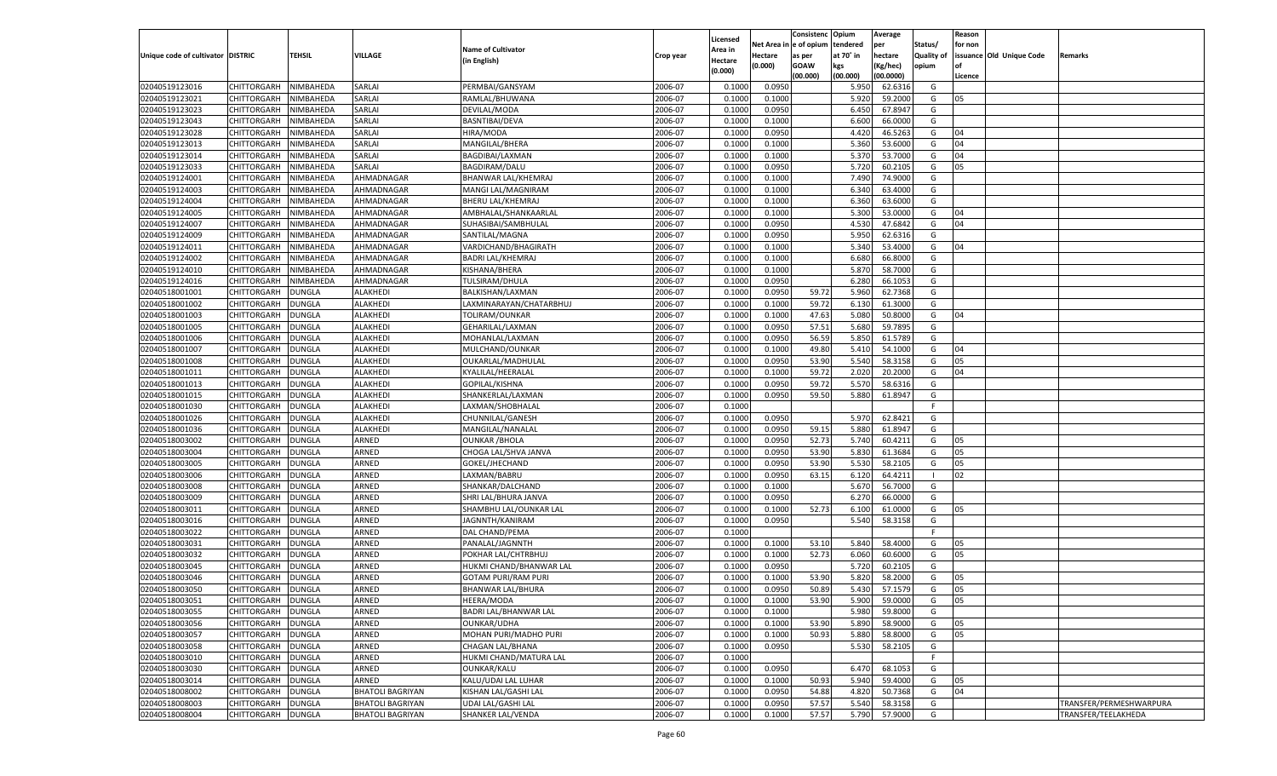|                                   |                    |               |                         |                            |                    | Licensed |         | Consistenc Opium       |           | Average   |                   | Reason  |                          |                         |
|-----------------------------------|--------------------|---------------|-------------------------|----------------------------|--------------------|----------|---------|------------------------|-----------|-----------|-------------------|---------|--------------------------|-------------------------|
|                                   |                    |               |                         | <b>Name of Cultivator</b>  |                    | Area in  |         | Net Area in e of opium | tendered  | per       | Status/           | for non |                          |                         |
| Unique code of cultivator DISTRIC |                    | TEHSIL        | VILLAGE                 | (in English)               | Crop year          | Hectare  | Hectare | as per                 | at 70° in | hectare   | <b>Quality of</b> |         | issuance Old Unique Code | <b>Remarks</b>          |
|                                   |                    |               |                         |                            |                    | (0.000)  | (0.000) | <b>GOAW</b>            | kgs       | (Kg/hec)  | opium             |         |                          |                         |
|                                   |                    |               |                         |                            |                    |          |         | (00.000)               | (00.000)  | (00.0000) |                   | Licence |                          |                         |
| 02040519123016                    | CHITTORGARH        | NIMBAHEDA     | <b>SARLAI</b>           | PERMBAI/GANSYAM            | 2006-07            | 0.1000   | 0.0950  |                        | 5.950     | 62.6316   | G                 |         |                          |                         |
| 02040519123021                    | CHITTORGARH        | NIMBAHEDA     | SARLAI                  | RAMLAL/BHUWANA             | 2006-07            | 0.1000   | 0.1000  |                        | 5.920     | 59.2000   | G                 | 05      |                          |                         |
| 02040519123023                    | CHITTORGARH        | NIMBAHEDA     | SARLAI                  | DEVILAL/MODA               | 2006-07            | 0.1000   | 0.0950  |                        | 6.450     | 67.8947   | G                 |         |                          |                         |
| 02040519123043                    | CHITTORGARH        | NIMBAHEDA     | SARLAI                  | BASNTIBAI/DEVA             | 2006-07            | 0.1000   | 0.1000  |                        | 6.600     | 66.0000   | G                 |         |                          |                         |
| 02040519123028                    | CHITTORGARH        | NIMBAHEDA     | SARLAI                  | HIRA/MODA                  | 2006-07            | 0.1000   | 0.0950  |                        | 4.420     | 46.5263   | G                 | 04      |                          |                         |
| 02040519123013                    | CHITTORGARH        | NIMBAHEDA     | SARLAI                  | MANGILAL/BHERA             | 2006-07            | 0.1000   | 0.1000  |                        | 5.360     | 53.6000   | G                 | 04      |                          |                         |
| 02040519123014                    | CHITTORGARH        | NIMBAHEDA     | SARLAI                  | BAGDIBAI/LAXMAN            | 2006-07            | 0.1000   | 0.1000  |                        | 5.370     | 53.7000   | G                 | 04      |                          |                         |
| 02040519123033                    | CHITTORGARH        | NIMBAHEDA     | SARLAI                  | <b>BAGDIRAM/DALU</b>       | 2006-07            | 0.1000   | 0.0950  |                        | 5.720     | 60.2105   | G                 | 05      |                          |                         |
| 02040519124001                    | CHITTORGARH        | NIMBAHEDA     | AHMADNAGAR              | BHANWAR LAL/KHEMRAJ        | 2006-07            | 0.1000   | 0.1000  |                        | 7.490     | 74.9000   | G                 |         |                          |                         |
| 02040519124003                    | CHITTORGARH        | NIMBAHEDA     | AHMADNAGAR              | MANGI LAL/MAGNIRAM         | 2006-07            | 0.1000   | 0.1000  |                        | 6.340     | 63.4000   | G                 |         |                          |                         |
| 02040519124004                    | CHITTORGARH        | NIMBAHEDA     | AHMADNAGAR              | <b>BHERU LAL/KHEMRAJ</b>   | 2006-07            | 0.1000   | 0.1000  |                        | 6.360     | 63.6000   | G                 |         |                          |                         |
| 02040519124005                    | CHITTORGARH        | NIMBAHEDA     | AHMADNAGAR              | AMBHALAL/SHANKAARLAL       | 2006-07            | 0.1000   | 0.1000  |                        | 5.300     | 53.0000   | G                 | 04      |                          |                         |
| 02040519124007                    | CHITTORGARH        | NIMBAHEDA     | AHMADNAGAR              | SUHASIBAI/SAMBHULAL        | 2006-07            | 0.1000   | 0.0950  |                        | 4.530     | 47.6842   | G                 | 04      |                          |                         |
| 02040519124009                    | CHITTORGARH        | NIMBAHEDA     | AHMADNAGAR              | SANTILAL/MAGNA             | 2006-07            | 0.1000   | 0.0950  |                        | 5.950     | 62.6316   | G                 |         |                          |                         |
| 02040519124011                    | CHITTORGARH        | NIMBAHEDA     | AHMADNAGAR              | VARDICHAND/BHAGIRATH       | 2006-07            | 0.1000   | 0.1000  |                        | 5.340     | 53.4000   | G                 | 04      |                          |                         |
| 02040519124002                    | CHITTORGARH        | NIMBAHEDA     | AHMADNAGAR              | <b>BADRI LAL/KHEMRAJ</b>   | 2006-07            | 0.1000   | 0.1000  |                        | 6.680     | 66.8000   | G                 |         |                          |                         |
| 02040519124010                    | CHITTORGARH        | NIMBAHEDA     | AHMADNAGAR              | KISHANA/BHERA              | 2006-07            | 0.1000   | 0.1000  |                        | 5.870     | 58.7000   | G                 |         |                          |                         |
| 02040519124016                    | CHITTORGARH        | NIMBAHEDA     | AHMADNAGAR              | TULSIRAM/DHULA             | 2006-07            | 0.1000   | 0.0950  |                        | 6.280     | 66.1053   | G                 |         |                          |                         |
| 02040518001001                    | CHITTORGARH        | DUNGLA        | ALAKHEDI                | BALKISHAN/LAXMAN           | 2006-07            | 0.1000   | 0.0950  | 59.72                  | 5.960     | 62.7368   | G                 |         |                          |                         |
| 02040518001002                    | CHITTORGARH        | DUNGLA        | ALAKHEDI                | LAXMINARAYAN/CHATARBHUJ    | 2006-07            | 0.1000   | 0.1000  | 59.72                  | 6.130     | 61.3000   | G                 |         |                          |                         |
| 02040518001003                    | CHITTORGARH        | DUNGLA        | ALAKHEDI                | TOLIRAM/OUNKAR             | 2006-07            | 0.1000   | 0.1000  | 47.63                  | 5.080     | 50.8000   | G                 | 04      |                          |                         |
| 02040518001005                    | CHITTORGARH        | DUNGLA        | ALAKHEDI                | GEHARILAL/LAXMAN           | 2006-07            | 0.1000   | 0.0950  | 57.51                  | 5.680     | 59.7895   | G                 |         |                          |                         |
| 02040518001006                    | CHITTORGARH        | DUNGLA        | ALAKHEDI                | MOHANLAL/LAXMAN            | 2006-07            | 0.1000   | 0.0950  | 56.59                  | 5.850     | 61.5789   | G                 |         |                          |                         |
| 02040518001007                    | CHITTORGARH        | DUNGLA        | ALAKHEDI                | MULCHAND/OUNKAR            | 2006-07            | 0.1000   | 0.1000  | 49.80                  | 5.410     | 54.1000   | G                 | 04      |                          |                         |
| 02040518001008                    | CHITTORGARH        | DUNGLA        | ALAKHEDI                | OUKARLAL/MADHULAL          | 2006-07            | 0.1000   | 0.0950  | 53.90                  | 5.540     | 58.3158   | G                 | 05      |                          |                         |
| 02040518001011                    | CHITTORGARH        | DUNGLA        | ALAKHEDI                | KYALILAL/HEERALAL          | 2006-07            | 0.100    | 0.1000  | 59.72                  | 2.020     | 20.2000   | G                 | 04      |                          |                         |
| 02040518001013                    | CHITTORGARH        | DUNGLA        | ALAKHEDI                | GOPILAL/KISHNA             | 2006-07            | 0.1000   | 0.0950  | 59.72                  | 5.570     | 58.6316   | G                 |         |                          |                         |
| 02040518001015                    | CHITTORGARH        | DUNGLA        | ALAKHEDI                | SHANKERLAL/LAXMAN          | 2006-07            | 0.1000   | 0.0950  | 59.50                  | 5.880     | 61.8947   | G                 |         |                          |                         |
| 02040518001030                    | CHITTORGARH        | DUNGLA        | ALAKHEDI                | LAXMAN/SHOBHALAL           | 2006-07            | 0.1000   |         |                        |           |           | F.                |         |                          |                         |
| 02040518001026                    | CHITTORGARH        | DUNGLA        | ALAKHEDI                | CHUNNILAL/GANESH           | 2006-07            | 0.1000   | 0.0950  |                        | 5.970     | 62.8421   | G                 |         |                          |                         |
| 02040518001036                    | CHITTORGARH        | DUNGLA        | ALAKHEDI                | MANGILAL/NANALAL           | 2006-07            | 0.1000   | 0.0950  | 59.15                  | 5.880     | 61.8947   | G                 |         |                          |                         |
| 02040518003002                    | CHITTORGARH        | DUNGLA        | ARNED                   | <b>OUNKAR / BHOLA</b>      | 2006-07            | 0.1000   | 0.0950  | 52.73                  | 5.740     | 60.4211   | G                 | 05      |                          |                         |
| 02040518003004                    | CHITTORGARH        | DUNGLA        | ARNED                   | CHOGA LAL/SHVA JANVA       | 2006-07            | 0.1000   | 0.0950  | 53.90                  | 5.830     | 61.3684   | G                 | 05      |                          |                         |
| 02040518003005                    | CHITTORGARH        | DUNGLA        | ARNED                   | GOKEL/JHECHAND             | 2006-07            | 0.1000   | 0.0950  | 53.90                  | 5.530     | 58.2105   | G                 | 05      |                          |                         |
| 02040518003006                    | CHITTORGARH        | DUNGLA        | ARNED                   | LAXMAN/BABRU               | 2006-07            | 0.1000   | 0.0950  | 63.15                  | 6.120     | 64.4211   | - 1               | 02      |                          |                         |
| 02040518003008                    | CHITTORGARH        | DUNGLA        | ARNED                   | SHANKAR/DALCHAND           | 2006-07            | 0.1000   | 0.1000  |                        | 5.670     | 56.7000   | G                 |         |                          |                         |
| 02040518003009                    | CHITTORGARH        | DUNGLA        | ARNED                   | SHRI LAL/BHURA JANVA       | 2006-07            | 0.1000   | 0.0950  |                        | 6.27      | 66.0000   | G                 |         |                          |                         |
| 02040518003011                    | CHITTORGARH        | DUNGLA        | ARNED                   | SHAMBHU LAL/OUNKAR LAL     | 2006-07            | 0.1000   | 0.1000  | 52.73                  | 6.100     | 61.0000   | G                 | 05      |                          |                         |
| 02040518003016                    | CHITTORGARH        | DUNGLA        | ARNED                   | JAGNNTH/KANIRAM            | 2006-07            | 0.1000   | 0.0950  |                        | 5.540     | 58.3158   | G                 |         |                          |                         |
| 02040518003022                    | CHITTORGARH        | DUNGLA        | ARNED                   | DAL CHAND/PEMA             | 2006-07            | 0.1000   |         |                        |           |           | F.                |         |                          |                         |
| 02040518003031                    | CHITTORGARH        | DUNGLA        | ARNED                   | PANALAL/JAGNNTH            | 2006-07            | 0.1000   | 0.1000  | 53.10                  | 5.840     | 58.4000   | G                 | 05      |                          |                         |
| 02040518003032                    | CHITTORGARH        | DUNGLA        | ARNED                   | POKHAR LAL/CHTRBHUJ        | 2006-07            | 0.1000   | 0.1000  | 52.73                  | 6.060     | 60.6000   | G                 | 05      |                          |                         |
| 02040518003045                    | CHITTORGARH        | DUNGLA        | ARNED                   | HUKMI CHAND/BHANWAR LAL    | 2006-07            | 0.100    | 0.0950  |                        | 5.720     | 60.2105   | G                 |         |                          |                         |
| 02040518003046                    | CHITTORGARH        | DUNGLA        | ARNED                   | <b>GOTAM PURI/RAM PURI</b> | 2006-07            | 0.100    | 0.1000  | 53.90                  | 5.820     | 58.2000   | G                 | 05      |                          |                         |
| 02040518003050                    | CHITTORGARH        | DUNGLA        | ARNED                   | BHANWAR LAL/BHURA          | 2006-07            | 0.1000   | 0.0950  | 50.89                  | 5.430     | 57.1579   | G                 | 05      |                          |                         |
|                                   |                    |               |                         |                            |                    |          |         |                        |           |           |                   |         |                          |                         |
| 02040518003051                    | CHITTORGARH        | <b>DUNGLA</b> | ARNED<br>ARNED          | HEERA/MODA                 | 2006-07<br>2006-07 | 0.1000   | 0.1000  | 53.90                  | 5.900     | 59.0000   | G                 | 05      |                          |                         |
| 02040518003055                    | <b>CHITTORGARH</b> | <b>DUNGLA</b> |                         | BADRI LAL/BHANWAR LAL      |                    | 0.1000   | 0.1000  |                        | 5.980     | 59.8000   | G                 |         |                          |                         |
| 02040518003056                    | <b>CHITTORGARH</b> | <b>DUNGLA</b> | ARNED                   | OUNKAR/UDHA                | 2006-07            | 0.1000   | 0.1000  | 53.90                  | 5.890     | 58.9000   | G                 | 05      |                          |                         |
| 02040518003057                    | <b>CHITTORGARH</b> | <b>DUNGLA</b> | ARNED                   | MOHAN PURI/MADHO PURI      | 2006-07            | 0.1000   | 0.1000  | 50.93                  | 5.880     | 58.8000   | G                 | 05      |                          |                         |
| 02040518003058                    | <b>CHITTORGARH</b> | <b>DUNGLA</b> | ARNED                   | CHAGAN LAL/BHANA           | 2006-07            | 0.1000   | 0.0950  |                        | 5.530     | 58.2105   | G                 |         |                          |                         |
| 02040518003010                    | <b>CHITTORGARH</b> | <b>DUNGLA</b> | ARNED                   | HUKMI CHAND/MATURA LAL     | 2006-07            | 0.1000   |         |                        |           |           | F                 |         |                          |                         |
| 02040518003030                    | <b>CHITTORGARH</b> | DUNGLA        | ARNED                   | OUNKAR/KALU                | 2006-07            | 0.1000   | 0.0950  |                        | 6.470     | 68.1053   | G                 |         |                          |                         |
| 02040518003014                    | <b>CHITTORGARH</b> | <b>DUNGLA</b> | ARNED                   | KALU/UDAI LAL LUHAR        | 2006-07            | 0.1000   | 0.1000  | 50.93                  | 5.940     | 59.4000   | G                 | 05      |                          |                         |
| 02040518008002                    | <b>CHITTORGARH</b> | DUNGLA        | <b>BHATOLI BAGRIYAN</b> | KISHAN LAL/GASHI LAL       | 2006-07            | 0.1000   | 0.0950  | 54.88                  | 4.820     | 50.7368   | G                 | 04      |                          |                         |
| 02040518008003                    | <b>CHITTORGARH</b> | <b>DUNGLA</b> | <b>BHATOLI BAGRIYAN</b> | UDAI LAL/GASHI LAL         | 2006-07            | 0.1000   | 0.0950  | 57.57                  | 5.540     | 58.3158   | G                 |         |                          | TRANSFER/PERMESHWARPURA |
| 02040518008004                    | <b>CHITTORGARH</b> | <b>DUNGLA</b> | <b>BHATOLI BAGRIYAN</b> | <b>SHANKER LAL/VENDA</b>   | 2006-07            | 0.1000   | 0.1000  | 57.57                  | 5.790     | 57.9000   | G                 |         |                          | TRANSFER/TEELAKHEDA     |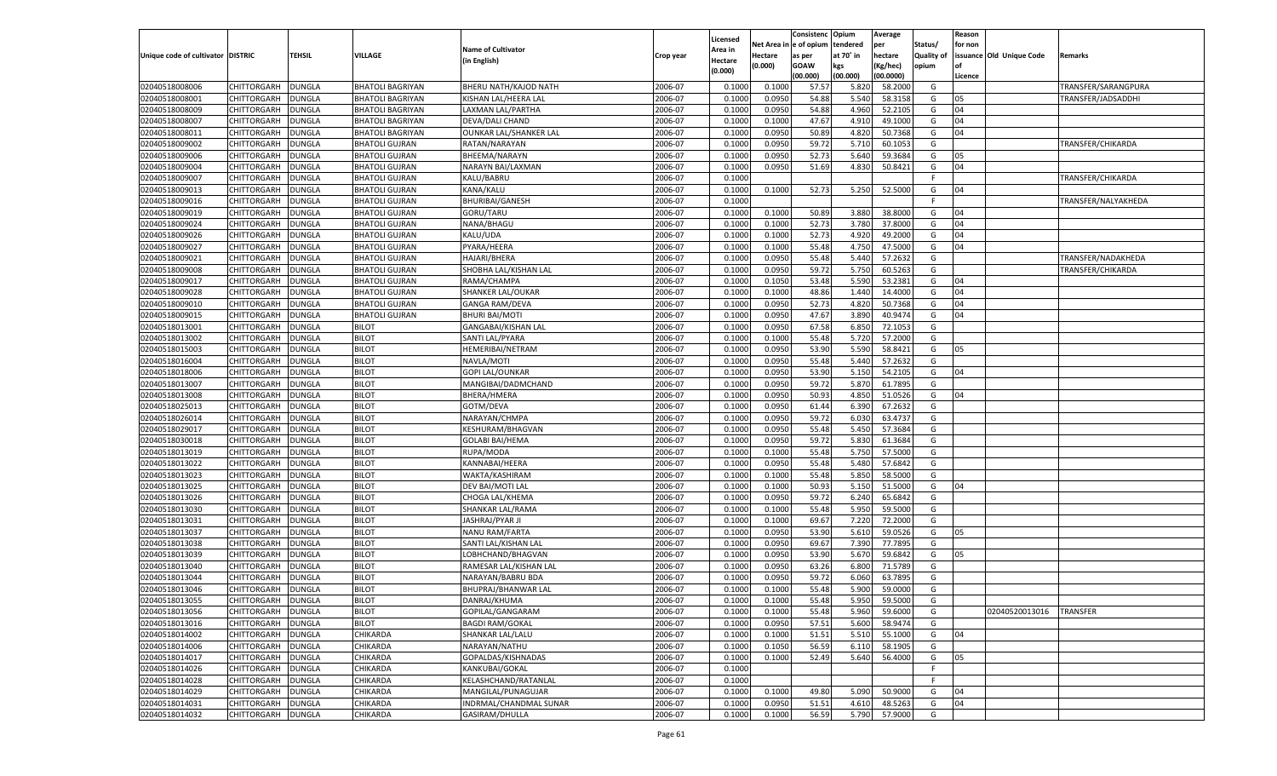|                                   |                    |               |                         |                           |           |          |            | Consistenc Opium |           | Average   |            | Reason  |                          |                     |
|-----------------------------------|--------------------|---------------|-------------------------|---------------------------|-----------|----------|------------|------------------|-----------|-----------|------------|---------|--------------------------|---------------------|
|                                   |                    |               |                         |                           |           | Licensed | Net Area i | e of opium       | tendered  | per       | Status/    | for non |                          |                     |
| Unique code of cultivator DISTRIC |                    | TEHSIL        | VILLAGE                 | <b>Name of Cultivator</b> | Crop year | Area in  | Hectare    | as per           | at 70° in | hectare   | Quality of |         | issuance Old Unique Code | Remarks             |
|                                   |                    |               |                         | (in English)              |           | Hectare  | (0.000)    | <b>GOAW</b>      | kgs       | (Kg/hec)  | opium      | of      |                          |                     |
|                                   |                    |               |                         |                           |           | (0.000)  |            | (00.000)         | (00.000)  | (00.0000) |            | Licence |                          |                     |
| 02040518008006                    | CHITTORGARH        | <b>DUNGLA</b> | <b>BHATOLI BAGRIYAN</b> | BHERU NATH/KAJOD NATH     | 2006-07   | 0.1000   | 0.1000     | 57.57            | 5.820     | 58.2000   | G          |         |                          | TRANSFER/SARANGPURA |
| 02040518008001                    | CHITTORGARH        | DUNGLA        | <b>BHATOLI BAGRIYAN</b> | KISHAN LAL/HEERA LAL      | 2006-07   | 0.1000   | 0.0950     | 54.88            | 5.540     | 58.3158   | G          | 05      |                          | TRANSFER/JADSADDHI  |
| 02040518008009                    | CHITTORGARH        | DUNGLA        | <b>BHATOLI BAGRIYAN</b> | LAXMAN LAL/PARTHA         | 2006-07   | 0.1000   | 0.0950     | 54.88            | 4.960     | 52.2105   | G          | 04      |                          |                     |
| 02040518008007                    | CHITTORGARH        | DUNGLA        | <b>BHATOLI BAGRIYAN</b> | DEVA/DALI CHAND           | 2006-07   | 0.1000   | 0.1000     | 47.67            | 4.910     | 49.1000   | G          | 04      |                          |                     |
| 02040518008011                    | CHITTORGARH        | DUNGLA        | <b>BHATOLI BAGRIYAN</b> | OUNKAR LAL/SHANKER LAL    | 2006-07   | 0.1000   | 0.0950     | 50.89            | 4.820     | 50.7368   | G          | 04      |                          |                     |
| 02040518009002                    | CHITTORGARH        | DUNGLA        | <b>BHATOLI GUJRAN</b>   | RATAN/NARAYAN             | 2006-07   | 0.1000   | 0.0950     | 59.72            | 5.710     | 60.1053   | G          |         |                          | TRANSFER/CHIKARDA   |
| 02040518009006                    | CHITTORGARH        | DUNGLA        | <b>BHATOLI GUJRAN</b>   | BHEEMA/NARAYN             | 2006-07   | 0.1000   | 0.0950     | 52.73            | 5.640     | 59.3684   | G          | 05      |                          |                     |
| 02040518009004                    | CHITTORGARH        | DUNGLA        | <b>BHATOLI GUJRAN</b>   | NARAYN BAI/LAXMAN         | 2006-07   | 0.1000   | 0.0950     | 51.69            | 4.830     | 50.8421   | G          | 04      |                          |                     |
| 02040518009007                    | CHITTORGARH        | DUNGLA        | <b>BHATOLI GUJRAN</b>   | KALU/BABRU                | 2006-07   | 0.1000   |            |                  |           |           | F          |         |                          | TRANSFER/CHIKARDA   |
| 02040518009013                    | CHITTORGARH        | DUNGLA        | <b>BHATOLI GUJRAN</b>   | KANA/KALU                 | 2006-07   | 0.1000   | 0.1000     | 52.73            | 5.250     | 52.5000   | G          | 04      |                          |                     |
| 02040518009016                    | CHITTORGARH        | DUNGLA        | <b>BHATOLI GUJRAN</b>   | <b>BHURIBAI/GANESH</b>    | 2006-07   | 0.1000   |            |                  |           |           | - F        |         |                          | TRANSFER/NALYAKHEDA |
| 02040518009019                    | CHITTORGARH        | DUNGLA        | <b>BHATOLI GUJRAN</b>   | GORU/TARU                 | 2006-07   | 0.1000   | 0.1000     | 50.89            | 3.880     | 38.8000   | G          | 04      |                          |                     |
| 02040518009024                    | CHITTORGARH        | DUNGLA        | <b>BHATOLI GUJRAN</b>   | NANA/BHAGU                | 2006-07   | 0.1000   | 0.1000     | 52.73            | 3.780     | 37.8000   | G          | 04      |                          |                     |
|                                   |                    |               |                         |                           | 2006-07   |          | 0.1000     |                  |           |           | G          | 04      |                          |                     |
| 02040518009026                    | CHITTORGARH        | DUNGLA        | <b>BHATOLI GUJRAN</b>   | KALU/UDA                  |           | 0.1000   |            | 52.73            | 4.920     | 49.2000   |            |         |                          |                     |
| 02040518009027                    | CHITTORGARH        | DUNGLA        | <b>BHATOLI GUJRAN</b>   | PYARA/HEERA               | 2006-07   | 0.1000   | 0.1000     | 55.48            | 4.750     | 47.5000   | G          | 04      |                          |                     |
| 02040518009021                    | CHITTORGARH        | DUNGLA        | <b>BHATOLI GUJRAN</b>   | HAJARI/BHERA              | 2006-07   | 0.1000   | 0.0950     | 55.48            | 5.440     | 57.2632   | G          |         |                          | TRANSFER/NADAKHEDA  |
| 02040518009008                    | CHITTORGARH        | DUNGLA        | <b>BHATOLI GUJRAN</b>   | SHOBHA LAL/KISHAN LAL     | 2006-07   | 0.1000   | 0.0950     | 59.72            | 5.750     | 60.5263   | G          |         |                          | TRANSFER/CHIKARDA   |
| 02040518009017                    | CHITTORGARH        | DUNGLA        | <b>BHATOLI GUJRAN</b>   | RAMA/CHAMPA               | 2006-07   | 0.1000   | 0.1050     | 53.48            | 5.590     | 53.2381   | G          | 04      |                          |                     |
| 02040518009028                    | CHITTORGARH        | DUNGLA        | <b>BHATOLI GUJRAN</b>   | SHANKER LAL/OUKAR         | 2006-07   | 0.1000   | 0.1000     | 48.86            | 1.440     | 14.4000   | G          | 04      |                          |                     |
| 02040518009010                    | CHITTORGARH        | DUNGLA        | <b>BHATOLI GUJRAN</b>   | <b>GANGA RAM/DEVA</b>     | 2006-07   | 0.1000   | 0.0950     | 52.73            | 4.820     | 50.7368   | G          | 04      |                          |                     |
| 02040518009015                    | CHITTORGARH        | DUNGLA        | <b>BHATOLI GUJRAN</b>   | <b>BHURI BAI/MOTI</b>     | 2006-07   | 0.1000   | 0.0950     | 47.67            | 3.890     | 40.9474   | G          | 04      |                          |                     |
| 02040518013001                    | CHITTORGARH        | DUNGLA        | <b>BILOT</b>            | GANGABAI/KISHAN LAL       | 2006-07   | 0.1000   | 0.0950     | 67.58            | 6.850     | 72.1053   | G          |         |                          |                     |
| 02040518013002                    | CHITTORGARH        | DUNGLA        | <b>BILOT</b>            | SANTI LAL/PYARA           | 2006-07   | 0.1000   | 0.1000     | 55.48            | 5.720     | 57.2000   | G          |         |                          |                     |
| 02040518015003                    | CHITTORGARH        | DUNGLA        | <b>BILOT</b>            | HEMERIBAI/NETRAM          | 2006-07   | 0.1000   | 0.0950     | 53.90            | 5.590     | 58.8421   | G          | 05      |                          |                     |
| 02040518016004                    | CHITTORGARH        | DUNGLA        | <b>BILOT</b>            | NAVLA/MOTI                | 2006-07   | 0.1000   | 0.0950     | 55.48            | 5.440     | 57.2632   | G          |         |                          |                     |
| 02040518018006                    | CHITTORGARH        | DUNGLA        | <b>BILOT</b>            | <b>GOPI LAL/OUNKAR</b>    | 2006-07   | 0.1000   | 0.0950     | 53.90            | 5.150     | 54.2105   | G          | 04      |                          |                     |
| 02040518013007                    | CHITTORGARH        | DUNGLA        | <b>BILOT</b>            | MANGIBAI/DADMCHAND        | 2006-07   | 0.1000   | 0.0950     | 59.72            | 5.870     | 61.7895   | G          |         |                          |                     |
| 02040518013008                    | CHITTORGARH        | DUNGLA        | <b>BILOT</b>            | BHERA/HMERA               | 2006-07   | 0.1000   | 0.0950     | 50.93            | 4.850     | 51.0526   | G          | 04      |                          |                     |
| 02040518025013                    | CHITTORGARH        | DUNGLA        | <b>BILOT</b>            | GOTM/DEVA                 | 2006-07   | 0.1000   | 0.0950     | 61.44            | 6.390     | 67.2632   | G          |         |                          |                     |
| 02040518026014                    | CHITTORGARH        | DUNGLA        | <b>BILOT</b>            | NARAYAN/CHMPA             | 2006-07   | 0.1000   | 0.0950     | 59.72            | 6.030     | 63.4737   | G          |         |                          |                     |
| 02040518029017                    | CHITTORGARH        | DUNGLA        | <b>BILOT</b>            | KESHURAM/BHAGVAN          | 2006-07   | 0.1000   | 0.0950     | 55.48            | 5.450     | 57.3684   | G          |         |                          |                     |
| 02040518030018                    | CHITTORGARH        | DUNGLA        | <b>BILOT</b>            | <b>GOLABI BAI/HEMA</b>    | 2006-07   | 0.1000   | 0.0950     | 59.72            | 5.830     | 61.3684   | G          |         |                          |                     |
| 02040518013019                    | CHITTORGARH        | DUNGLA        | <b>BILOT</b>            | RUPA/MODA                 | 2006-07   | 0.1000   | 0.1000     | 55.48            | 5.750     | 57.5000   | G          |         |                          |                     |
| 02040518013022                    | CHITTORGARH        | DUNGLA        | <b>BILOT</b>            | KANNABAI/HEERA            | 2006-07   | 0.1000   | 0.0950     | 55.48            | 5.480     | 57.6842   | G          |         |                          |                     |
| 02040518013023                    | CHITTORGARH        | DUNGLA        | <b>BILOT</b>            | WAKTA/KASHIRAM            | 2006-07   | 0.1000   | 0.1000     | 55.48            | 5.850     | 58.5000   | G          |         |                          |                     |
| 02040518013025                    |                    |               | <b>BILOT</b>            |                           | 2006-07   |          | 0.1000     |                  |           |           | G          | 04      |                          |                     |
|                                   | CHITTORGARH        | DUNGLA        |                         | DEV BAI/MOTI LAL          |           | 0.1000   |            | 50.93            | 5.150     | 51.5000   |            |         |                          |                     |
| 02040518013026                    | CHITTORGARH        | DUNGLA        | <b>BILOT</b>            | CHOGA LAL/KHEMA           | 2006-07   | 0.1000   | 0.0950     | 59.72            | 6.240     | 65.6842   | G          |         |                          |                     |
| 02040518013030                    | CHITTORGARH        | DUNGLA        | <b>BILOT</b>            | SHANKAR LAL/RAMA          | 2006-07   | 0.1000   | 0.1000     | 55.48            | 5.950     | 59.5000   | G          |         |                          |                     |
| 02040518013031                    | CHITTORGARH        | DUNGLA        | <b>BILOT</b>            | JASHRAJ/PYAR JI           | 2006-07   | 0.1000   | 0.1000     | 69.67            | 7.220     | 72.2000   | G          |         |                          |                     |
| 02040518013037                    | CHITTORGARH        | DUNGLA        | <b>BILOT</b>            | NANU RAM/FARTA            | 2006-07   | 0.1000   | 0.0950     | 53.90            | 5.610     | 59.0526   | G          | 05      |                          |                     |
| 02040518013038                    | CHITTORGARH        | DUNGLA        | <b>BILOT</b>            | SANTI LAL/KISHAN LAL      | 2006-07   | 0.1000   | 0.0950     | 69.67            | 7.390     | 77.7895   | G          |         |                          |                     |
| 02040518013039                    | CHITTORGARH        | DUNGLA        | <b>BILOT</b>            | LOBHCHAND/BHAGVAN         | 2006-07   | 0.1000   | 0.0950     | 53.90            | 5.670     | 59.6842   | G          | 05      |                          |                     |
| 02040518013040                    | CHITTORGARH        | DUNGLA        | <b>BILOT</b>            | RAMESAR LAL/KISHAN LAL    | 2006-07   | 0.1000   | 0.0950     | 63.26            | 6.800     | 71.5789   | G          |         |                          |                     |
| 02040518013044                    | CHITTORGARH        | DUNGLA        | <b>BILOT</b>            | NARAYAN/BABRU BDA         | 2006-07   | 0.1000   | 0.0950     | 59.72            | 6.060     | 63.7895   | G          |         |                          |                     |
| 02040518013046                    | CHITTORGARH        | DUNGLA        | <b>BILOT</b>            | BHUPRAJ/BHANWAR LAL       | 2006-07   | 0.1000   | 0.1000     | 55.48            | 5.900     | 59.0000   | G          |         |                          |                     |
| 02040518013055                    | CHITTORGARH        | DUNGLA        | <b>BILOT</b>            | DANRAJ/KHUMA              | 2006-07   | 0.1000   | 0.1000     | 55.48            | 5.950     | 59.5000   | G          |         |                          |                     |
| 02040518013056                    | CHITTORGARH        | <b>DUNGLA</b> | <b>BILOT</b>            | GOPILAL/GANGARAM          | 2006-07   | 0.1000   | 0.1000     | 55.48            | 5.960     | 59.6000   | G          |         | 02040520013016 TRANSFER  |                     |
| 02040518013016                    | CHITTORGARH        | <b>DUNGLA</b> | <b>BILOT</b>            | <b>BAGDI RAM/GOKAL</b>    | 2006-07   | 0.1000   | 0.0950     | 57.51            | 5.600     | 58.9474   | G          |         |                          |                     |
| 02040518014002                    | <b>CHITTORGARH</b> | <b>DUNGLA</b> | CHIKARDA                | SHANKAR LAL/LALU          | 2006-07   | 0.1000   | 0.1000     | 51.51            | 5.510     | 55.1000   | G          | 04      |                          |                     |
| 02040518014006                    | <b>CHITTORGARH</b> | <b>DUNGLA</b> | CHIKARDA                | NARAYAN/NATHU             | 2006-07   | 0.1000   | 0.1050     | 56.59            | 6.110     | 58.1905   | G          |         |                          |                     |
| 02040518014017                    | <b>CHITTORGARH</b> | <b>DUNGLA</b> | CHIKARDA                | GOPALDAS/KISHNADAS        | 2006-07   | 0.1000   | 0.1000     | 52.49            | 5.640     | 56.4000   | G          | 05      |                          |                     |
| 02040518014026                    | <b>CHITTORGARH</b> | <b>DUNGLA</b> | CHIKARDA                | KANKUBAI/GOKAL            | 2006-07   | 0.1000   |            |                  |           |           | - F        |         |                          |                     |
| 02040518014028                    | <b>CHITTORGARH</b> | DUNGLA        | CHIKARDA                | KELASHCHAND/RATANLAL      | 2006-07   | 0.1000   |            |                  |           |           | E          |         |                          |                     |
| 02040518014029                    | CHITTORGARH        | <b>DUNGLA</b> | CHIKARDA                | MANGILAL/PUNAGUJAR        | 2006-07   | 0.1000   | 0.1000     | 49.80            | 5.090     | 50.9000   | G          | 04      |                          |                     |
| 02040518014031                    | <b>CHITTORGARH</b> | <b>DUNGLA</b> | CHIKARDA                | INDRMAL/CHANDMAL SUNAR    | 2006-07   | 0.1000   | 0.0950     | 51.51            | 4.610     | 48.5263   | G          | 04      |                          |                     |
| 02040518014032                    |                    |               |                         | GASIRAM/DHULLA            |           |          |            |                  |           |           |            |         |                          |                     |
|                                   | CHITTORGARH        | <b>DUNGLA</b> | CHIKARDA                |                           | 2006-07   | 0.1000   | 0.1000     | 56.59            | 5.790     | 57.9000   | G          |         |                          |                     |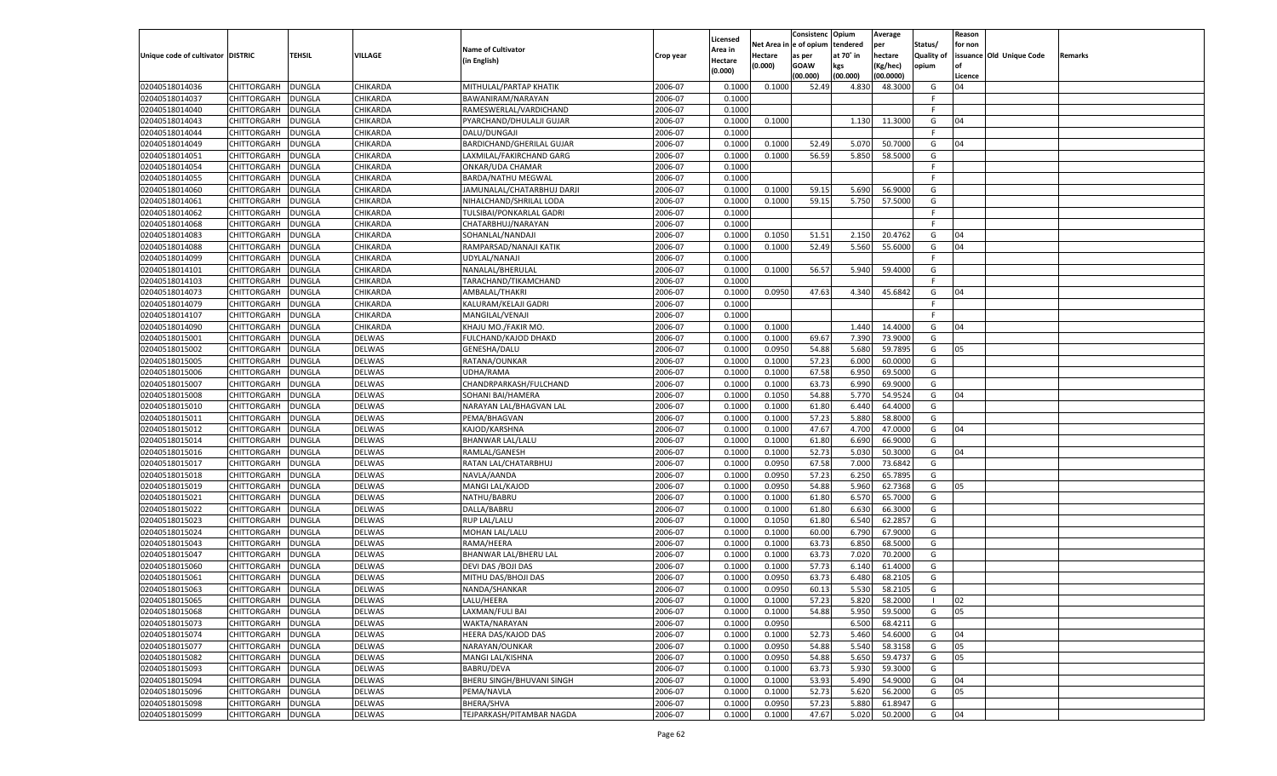|                                   |                    |               |               |                            |                    |                    |                  | Consistenc    | Opium     | Average   |            | Reason  |                          |         |
|-----------------------------------|--------------------|---------------|---------------|----------------------------|--------------------|--------------------|------------------|---------------|-----------|-----------|------------|---------|--------------------------|---------|
|                                   |                    |               |               |                            |                    | Licensed           | Net Area iı      | n  e of opium | tendered  | per       | Status/    | for non |                          |         |
| Unique code of cultivator DISTRIC |                    | TEHSIL        | VILLAGE       | <b>Name of Cultivator</b>  | Crop year          | Area in            | Hectare          | as per        | at 70° in | hectare   | Quality of |         | issuance Old Unique Code | Remarks |
|                                   |                    |               |               | (in English)               |                    | Hectare<br>(0.000) | (0.000)          | <b>GOAW</b>   | kgs       | (Kg/hec)  | opium      |         |                          |         |
|                                   |                    |               |               |                            |                    |                    |                  | (00.000)      | (00.000)  | (00.0000) |            | Licence |                          |         |
| 02040518014036                    | CHITTORGARH        | DUNGLA        | CHIKARDA      | MITHULAL/PARTAP KHATIK     | 2006-07            | 0.1000             | 0.1000           | 52.49         | 4.830     | 48.3000   | G          | 04      |                          |         |
| 02040518014037                    | CHITTORGARH        | DUNGLA        | CHIKARDA      | BAWANIRAM/NARAYAN          | 2006-07            | 0.1000             |                  |               |           |           | F          |         |                          |         |
| 02040518014040                    | CHITTORGARH        | DUNGLA        | CHIKARDA      | RAMESWERLAL/VARDICHAND     | 2006-07            | 0.1000             |                  |               |           |           | F.         |         |                          |         |
| 02040518014043                    | CHITTORGARH        | DUNGLA        | CHIKARDA      | PYARCHAND/DHULALJI GUJAR   | 2006-07            | 0.1000             | 0.1000           |               | 1.130     | 11.3000   | G          | 04      |                          |         |
| 02040518014044                    | CHITTORGARH        | DUNGLA        | CHIKARDA      | DALU/DUNGAJI               | 2006-07            | 0.1000             |                  |               |           |           | F.         |         |                          |         |
| 02040518014049                    | CHITTORGARH        | DUNGLA        | CHIKARDA      | BARDICHAND/GHERILAL GUJAR  | 2006-07            | 0.1000             | 0.1000           | 52.49         | 5.070     | 50.7000   | G          | 04      |                          |         |
| 02040518014051                    | CHITTORGARH        | DUNGLA        | CHIKARDA      | LAXMILAL/FAKIRCHAND GARG   | 2006-07            | 0.1000             | 0.1000           | 56.59         | 5.850     | 58.5000   | G          |         |                          |         |
| 02040518014054                    | CHITTORGARH        | DUNGLA        | CHIKARDA      | ONKAR/UDA CHAMAR           | 2006-07            | 0.1000             |                  |               |           |           | E          |         |                          |         |
| 02040518014055                    | CHITTORGARH        | DUNGLA        | CHIKARDA      | <b>BARDA/NATHU MEGWAL</b>  | 2006-07            | 0.1000             |                  |               |           |           | F.         |         |                          |         |
| 02040518014060                    | CHITTORGARH        | DUNGLA        | CHIKARDA      | JAMUNALAL/CHATARBHUJ DARJI | 2006-07            | 0.1000             | 0.1000           | 59.15         | 5.690     | 56.9000   | G          |         |                          |         |
| 02040518014061                    | CHITTORGARH        | DUNGLA        | CHIKARDA      | NIHALCHAND/SHRILAL LODA    | 2006-07            | 0.1000             | 0.1000           | 59.15         | 5.750     | 57.5000   | G          |         |                          |         |
| 02040518014062                    | CHITTORGARH        | DUNGLA        | CHIKARDA      | TULSIBAI/PONKARLAL GADRI   | 2006-07            | 0.1000             |                  |               |           |           | F.         |         |                          |         |
| 02040518014068                    | CHITTORGARH        | DUNGLA        | CHIKARDA      | CHATARBHUJ/NARAYAN         | 2006-07            | 0.1000             |                  |               |           |           | F.         |         |                          |         |
| 02040518014083                    | CHITTORGARH        | DUNGLA        | CHIKARDA      | SOHANLAL/NANDAJI           | 2006-07            | 0.1000             | 0.1050           | 51.51         | 2.150     | 20.4762   | G          | 04      |                          |         |
| 02040518014088                    | CHITTORGARH        | DUNGLA        | CHIKARDA      | RAMPARSAD/NANAJI KATIK     | 2006-07            | 0.1000             | 0.1000           | 52.49         | 5.560     | 55.6000   | G          | 04      |                          |         |
| 02040518014099                    | CHITTORGARH        | DUNGLA        | CHIKARDA      | UDYLAL/NANAJI              | 2006-07            | 0.1000             |                  |               |           |           | F.         |         |                          |         |
| 02040518014101                    | CHITTORGARH        | DUNGLA        | CHIKARDA      | NANALAL/BHERULAL           | 2006-07            | 0.1000             | 0.1000           | 56.57         | 5.940     | 59.4000   | G          |         |                          |         |
| 02040518014103                    | CHITTORGARH        | DUNGLA        | CHIKARDA      | TARACHAND/TIKAMCHAND       | 2006-07            | 0.1000             |                  |               |           |           | F.         |         |                          |         |
| 02040518014073                    | CHITTORGARH        | DUNGLA        | CHIKARDA      | AMBALAL/THAKRI             | 2006-07            | 0.1000             | 0.0950           | 47.63         | 4.340     | 45.6842   | G          | 04      |                          |         |
| 02040518014079                    | CHITTORGARH        | DUNGLA        | CHIKARDA      | KALURAM/KELAJI GADRI       | 2006-07            | 0.1000             |                  |               |           |           | F.         |         |                          |         |
| 02040518014107                    | CHITTORGARH        | DUNGLA        | CHIKARDA      | MANGILAL/VENAJI            | 2006-07            | 0.1000             |                  |               |           |           | F.         |         |                          |         |
| 02040518014090                    | CHITTORGARH        | DUNGLA        | CHIKARDA      | KHAJU MO./FAKIR MO         | 2006-07            | 0.1000             | 0.1000           |               | 1.440     | 14.4000   | G          | 04      |                          |         |
| 02040518015001                    | CHITTORGARH        | DUNGLA        | DELWAS        | FULCHAND/KAJOD DHAKD       | 2006-07            | 0.1000             | 0.1000           | 69.67         | 7.390     | 73.9000   | G          |         |                          |         |
| 02040518015002                    | CHITTORGARH        | DUNGLA        | DELWAS        | <b>GENESHA/DALU</b>        | 2006-07            | 0.1000             | 0.0950           | 54.88         | 5.680     | 59.7895   | G          | 05      |                          |         |
| 02040518015005                    | CHITTORGARH        | DUNGLA        | DELWAS        | RATANA/OUNKAR              | 2006-07            | 0.1000             | 0.1000           | 57.23         | 6.000     | 60.0000   | G          |         |                          |         |
| 02040518015006                    | CHITTORGARH        | DUNGLA        | DELWAS        | UDHA/RAMA                  | 2006-07            | 0.1000             | 0.1000           | 67.58         | 6.950     | 69.5000   | G          |         |                          |         |
| 02040518015007                    | CHITTORGARH        | DUNGLA        | DELWAS        | CHANDRPARKASH/FULCHAND     | 2006-07            | 0.1000             | 0.1000           | 63.73         | 6.990     | 69.9000   | G          |         |                          |         |
| 02040518015008                    | CHITTORGARH        | DUNGLA        | DELWAS        | SOHANI BAI/HAMERA          | 2006-07            | 0.1000             | 0.1050           | 54.88         | 5.770     | 54.9524   | G          | 04      |                          |         |
| 02040518015010                    | CHITTORGARH        | DUNGLA        | DELWAS        |                            | 2006-07            | 0.1000             | 0.1000           | 61.80         | 6.440     | 64.4000   | G          |         |                          |         |
|                                   |                    |               |               | NARAYAN LAL/BHAGVAN LAL    |                    |                    |                  |               |           | 58.8000   |            |         |                          |         |
| 02040518015011                    | CHITTORGARH        | DUNGLA        | <b>DELWAS</b> | PEMA/BHAGVAN               | 2006-07<br>2006-07 | 0.1000<br>0.1000   | 0.1000<br>0.1000 | 57.23         | 5.880     | 47.0000   | G          |         |                          |         |
| 02040518015012                    | CHITTORGARH        | DUNGLA        | DELWAS        | KAJOD/KARSHNA              |                    |                    |                  | 47.67         | 4.700     |           | G          | 04      |                          |         |
| 02040518015014                    | CHITTORGARH        | DUNGLA        | DELWAS        | BHANWAR LAL/LALU           | 2006-07            | 0.1000             | 0.1000           | 61.80         | 6.690     | 66.9000   | G          |         |                          |         |
| 02040518015016                    | CHITTORGARH        | <b>DUNGLA</b> | DELWAS        | RAMLAL/GANESH              | 2006-07            | 0.1000             | 0.1000           | 52.73         | 5.030     | 50.3000   | G          | 04      |                          |         |
| 02040518015017                    | CHITTORGARH        | DUNGLA        | <b>DELWAS</b> | RATAN LAL/CHATARBHUJ       | 2006-07            | 0.1000             | 0.0950           | 67.58         | 7.000     | 73.6842   | G          |         |                          |         |
| 02040518015018                    | CHITTORGARH        | DUNGLA        | DELWAS        | NAVLA/AANDA                | 2006-07            | 0.1000             | 0.0950           | 57.23         | 6.250     | 65.7895   | G          |         |                          |         |
| 02040518015019                    | CHITTORGARH        | DUNGLA        | <b>DELWAS</b> | MANGI LAL/KAJOD            | 2006-07            | 0.1000             | 0.0950           | 54.88         | 5.960     | 62.7368   | G          | 05      |                          |         |
| 02040518015021                    | CHITTORGARH        | <b>DUNGLA</b> | DELWAS        | NATHU/BABRU                | 2006-07            | 0.1000             | 0.1000           | 61.80         | 6.570     | 65.7000   | G          |         |                          |         |
| 02040518015022                    | CHITTORGARH        | DUNGLA        | <b>DELWAS</b> | DALLA/BABRU                | 2006-07            | 0.1000             | 0.1000           | 61.80         | 6.630     | 66.3000   | G          |         |                          |         |
| 02040518015023                    | CHITTORGARH        | DUNGLA        | DELWAS        | <b>RUP LAL/LALU</b>        | 2006-07            | 0.1000             | 0.1050           | 61.80         | 6.540     | 62.285    | G          |         |                          |         |
| 02040518015024                    | CHITTORGARH        | DUNGLA        | <b>DELWAS</b> | MOHAN LAL/LALU             | 2006-07            | 0.1000             | 0.1000           | 60.00         | 6.790     | 67.9000   | G          |         |                          |         |
| 02040518015043                    | CHITTORGARH        | <b>DUNGLA</b> | DELWAS        | RAMA/HEERA                 | 2006-07            | 0.1000             | 0.1000           | 63.73         | 6.850     | 68.5000   | G          |         |                          |         |
| 02040518015047                    | CHITTORGARH        | DUNGLA        | <b>DELWAS</b> | BHANWAR LAL/BHERU LAL      | 2006-07            | 0.1000             | 0.1000           | 63.73         | 7.020     | 70.2000   | G          |         |                          |         |
| 02040518015060                    | CHITTORGARH        | DUNGLA        | DELWAS        | DEVI DAS / BOJI DAS        | 2006-07            | 0.1000             | 0.1000           | 57.73         | 6.140     | 61.4000   | G          |         |                          |         |
| 02040518015061                    | CHITTORGARH        | DUNGLA        | <b>DELWAS</b> | MITHU DAS/BHOJI DAS        | 2006-07            | 0.1000             | 0.0950           | 63.73         | 6.480     | 68.2105   | G          |         |                          |         |
| 02040518015063                    | CHITTORGARH        | <b>DUNGLA</b> | DELWAS        | NANDA/SHANKAR              | 2006-07            | 0.1000             | 0.0950           | 60.13         | 5.530     | 58.2105   | G          |         |                          |         |
| 02040518015065                    | CHITTORGARH        | <b>DUNGLA</b> | <b>DELWAS</b> | LALU/HEERA                 | 2006-07            | 0.1000             | 0.1000           | 57.23         | 5.820     | 58.2000   |            | 02      |                          |         |
| 02040518015068                    | <b>CHITTORGARH</b> | <b>DUNGLA</b> | <b>DELWAS</b> | LAXMAN/FULI BAI            | 2006-07            | 0.1000             | 0.1000           | 54.88         | 5.950     | 59.5000   | G          | 05      |                          |         |
| 02040518015073                    | <b>CHITTORGARH</b> | <b>DUNGLA</b> | <b>DELWAS</b> | WAKTA/NARAYAN              | 2006-07            | 0.1000             | 0.0950           |               | 6.500     | 68.4211   | G          |         |                          |         |
| 02040518015074                    | CHITTORGARH        | <b>DUNGLA</b> | <b>DELWAS</b> | <b>HEERA DAS/KAJOD DAS</b> | 2006-07            | 0.1000             | 0.1000           | 52.73         | 5.460     | 54.6000   | G          | 04      |                          |         |
| 02040518015077                    | <b>CHITTORGARH</b> | <b>DUNGLA</b> | <b>DELWAS</b> | NARAYAN/OUNKAR             | 2006-07            | 0.1000             | 0.0950           | 54.88         | 5.540     | 58.3158   | G          | 05      |                          |         |
| 02040518015082                    | CHITTORGARH        | <b>DUNGLA</b> | <b>DELWAS</b> | MANGI LAL/KISHNA           | 2006-07            | 0.1000             | 0.0950           | 54.88         | 5.650     | 59.4737   | G          | 05      |                          |         |
| 02040518015093                    | <b>CHITTORGARH</b> | <b>DUNGLA</b> | <b>DELWAS</b> | BABRU/DEVA                 | 2006-07            | 0.1000             | 0.1000           | 63.73         | 5.930     | 59.3000   | G          |         |                          |         |
| 02040518015094                    | CHITTORGARH        | <b>DUNGLA</b> | <b>DELWAS</b> | BHERU SINGH/BHUVANI SINGH  | 2006-07            | 0.1000             | 0.1000           | 53.93         | 5.490     | 54.9000   | G          | 04      |                          |         |
| 02040518015096                    | <b>CHITTORGARH</b> | <b>DUNGLA</b> | <b>DELWAS</b> | PEMA/NAVLA                 | 2006-07            | 0.1000             | 0.1000           | 52.73         | 5.620     | 56.2000   | G          | 05      |                          |         |
| 02040518015098                    | <b>CHITTORGARH</b> | <b>DUNGLA</b> | <b>DELWAS</b> | BHERA/SHVA                 | 2006-07            | 0.1000             | 0.0950           | 57.23         | 5.880     | 61.8947   | G          |         |                          |         |
| 02040518015099                    | <b>CHITTORGARH</b> | <b>DUNGLA</b> | <b>DELWAS</b> | TEJPARKASH/PITAMBAR NAGDA  | 2006-07            | 0.1000             | 0.1000           | 47.67         | 5.020     | 50.2000   | G          | 04      |                          |         |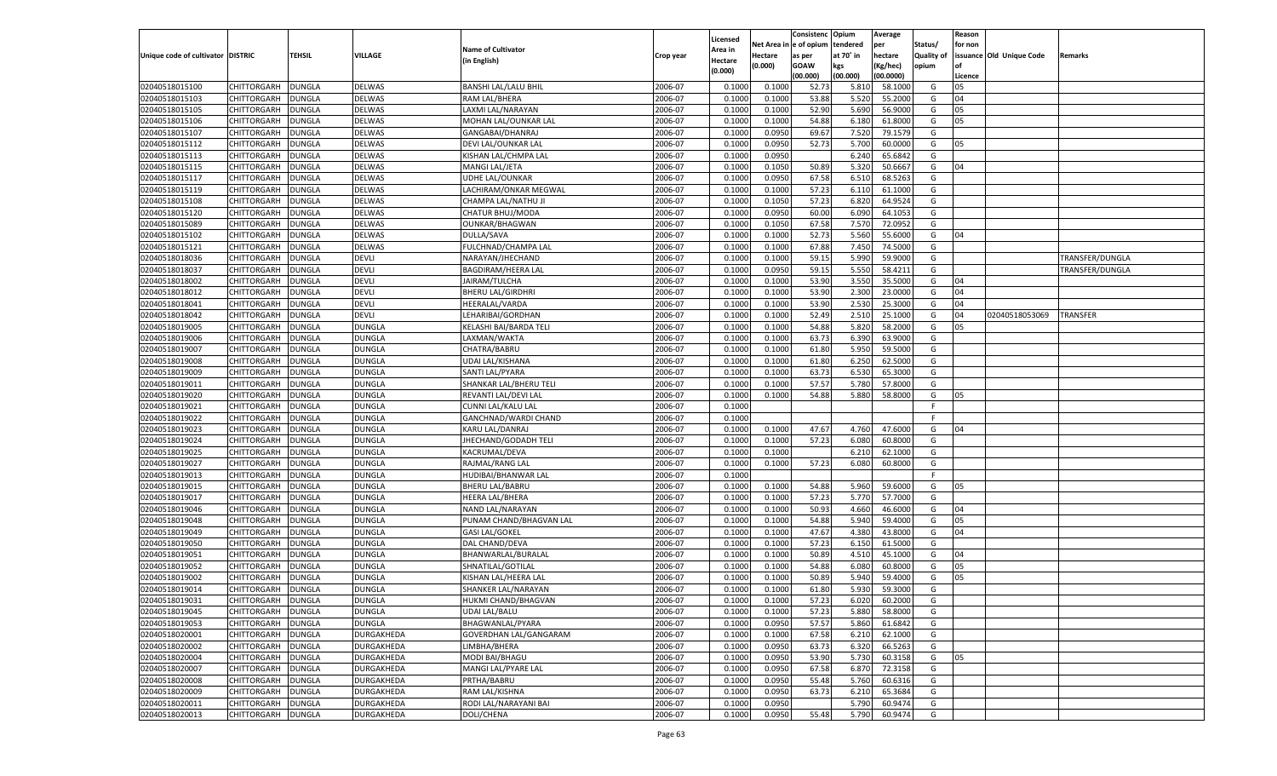|                                   |                      |               |                   |                             |           |          |            | Consistenc Opium |           | Average   |                   | Reason    |                          |                 |
|-----------------------------------|----------------------|---------------|-------------------|-----------------------------|-----------|----------|------------|------------------|-----------|-----------|-------------------|-----------|--------------------------|-----------------|
|                                   |                      |               |                   |                             |           | Licensed | Net Area i | l e of opium     | tendered  | per       | Status/           | for non   |                          |                 |
| Unique code of cultivator DISTRIC |                      | TEHSIL        | VILLAGE           | <b>Name of Cultivator</b>   | Crop year | Area in  | Hectare    | as per           | at 70° in | hectare   | <b>Quality of</b> |           | issuance Old Unique Code | Remarks         |
|                                   |                      |               |                   | (in English)                |           | Hectare  | (0.000)    | <b>GOAW</b>      | kgs       | (Kg/hec)  | opium             | <b>of</b> |                          |                 |
|                                   |                      |               |                   |                             |           | (0.000)  |            | (00.000)         | (00.000)  | (00.0000) |                   | Licence   |                          |                 |
| 02040518015100                    | CHITTORGARH          | <b>DUNGLA</b> | <b>DELWAS</b>     | <b>BANSHI LAL/LALU BHIL</b> | 2006-07   | 0.1000   | 0.1000     | 52.73            | 5.810     | 58.1000   | G                 | 05        |                          |                 |
| 02040518015103                    | CHITTORGARH          | DUNGLA        | <b>DELWAS</b>     | RAM LAL/BHERA               | 2006-07   | 0.1000   | 0.1000     | 53.88            | 5.520     | 55.2000   | G                 | 04        |                          |                 |
| 02040518015105                    | CHITTORGARH          | <b>DUNGLA</b> | DELWAS            | LAXMI LAL/NARAYAN           | 2006-07   | 0.1000   | 0.1000     | 52.90            | 5.690     | 56.9000   | G                 | 05        |                          |                 |
| 02040518015106                    | CHITTORGARH          | DUNGLA        | <b>DELWAS</b>     | MOHAN LAL/OUNKAR LAL        | 2006-07   | 0.1000   | 0.1000     | 54.88            | 6.180     | 61.8000   | G                 | 05        |                          |                 |
| 02040518015107                    | CHITTORGARH          | DUNGLA        | DELWAS            | GANGABAI/DHANRAJ            | 2006-07   | 0.1000   | 0.0950     | 69.67            | 7.520     | 79.1579   | G                 |           |                          |                 |
| 02040518015112                    | CHITTORGARH          | DUNGLA        | <b>DELWAS</b>     | DEVI LAL/OUNKAR LAL         | 2006-07   | 0.1000   | 0.0950     | 52.73            | 5.700     | 60.0000   | G                 | 05        |                          |                 |
| 02040518015113                    | CHITTORGARH          | DUNGLA        | DELWAS            | KISHAN LAL/CHMPA LAL        | 2006-07   | 0.1000   | 0.0950     |                  | 6.240     | 65.6842   | G                 |           |                          |                 |
| 02040518015115                    | CHITTORGARH          | DUNGLA        | <b>DELWAS</b>     | MANGI LAL/JETA              | 2006-07   | 0.1000   | 0.1050     | 50.89            | 5.320     | 50.6667   | G                 | 04        |                          |                 |
| 02040518015117                    | CHITTORGARH          | DUNGLA        | DELWAS            | UDHE LAL/OUNKAR             | 2006-07   | 0.1000   | 0.0950     | 67.58            | 6.510     | 68.5263   | G                 |           |                          |                 |
| 02040518015119                    | CHITTORGARH          | DUNGLA        | <b>DELWAS</b>     | LACHIRAM/ONKAR MEGWAL       | 2006-07   | 0.1000   | 0.1000     | 57.23            | 6.110     | 61.1000   | G                 |           |                          |                 |
| 02040518015108                    | CHITTORGARH          | DUNGLA        | DELWAS            | CHAMPA LAL/NATHU JI         | 2006-07   | 0.1000   | 0.1050     | 57.23            | 6.820     | 64.9524   | G                 |           |                          |                 |
| 02040518015120                    | CHITTORGARH          | DUNGLA        | <b>DELWAS</b>     | CHATUR BHUJ/MODA            | 2006-07   | 0.1000   | 0.0950     | 60.00            | 6.090     | 64.1053   | G                 |           |                          |                 |
| 02040518015089                    | CHITTORGARH          | DUNGLA        | DELWAS            | OUNKAR/BHAGWAN              | 2006-07   | 0.1000   | 0.1050     | 67.58            | 7.570     | 72.0952   | G                 |           |                          |                 |
| 02040518015102                    | CHITTORGARH          | DUNGLA        | <b>DELWAS</b>     | DULLA/SAVA                  | 2006-07   | 0.1000   | 0.1000     | 52.73            | 5.560     | 55.6000   | G                 | 04        |                          |                 |
| 02040518015121                    | CHITTORGARH          | <b>DUNGLA</b> | <b>DELWAS</b>     | FULCHNAD/CHAMPA LAL         | 2006-07   | 0.1000   | 0.1000     | 67.88            | 7.450     | 74.5000   | G                 |           |                          |                 |
| 02040518018036                    | CHITTORGARH          | <b>DUNGLA</b> | <b>DEVLI</b>      | NARAYAN/JHECHAND            | 2006-07   | 0.1000   | 0.1000     | 59.15            | 5.990     | 59.9000   | G                 |           |                          | TRANSFER/DUNGLA |
| 02040518018037                    | CHITTORGARH          | <b>DUNGLA</b> | <b>DEVLI</b>      | <b>BAGDIRAM/HEERA LAL</b>   | 2006-07   | 0.1000   | 0.0950     | 59.15            | 5.550     | 58.4211   | G                 |           |                          | TRANSFER/DUNGLA |
| 02040518018002                    | CHITTORGARH          | <b>DUNGLA</b> | <b>DEVLI</b>      | JAIRAM/TULCHA               | 2006-07   | 0.1000   | 0.1000     | 53.90            | 3.550     | 35.5000   | G                 | 04        |                          |                 |
| 02040518018012                    | CHITTORGARH          | <b>DUNGLA</b> | <b>DEVLI</b>      | <b>BHERU LAL/GIRDHRI</b>    | 2006-07   | 0.1000   | 0.1000     | 53.90            | 2.300     | 23.0000   | G                 | 04        |                          |                 |
| 02040518018041                    | CHITTORGARH          | <b>DUNGLA</b> | <b>DEVLI</b>      | <b>HEERALAL/VARDA</b>       | 2006-07   | 0.1000   | 0.1000     | 53.90            | 2.530     | 25.3000   | G                 | 04        |                          |                 |
| 02040518018042                    | CHITTORGARH          | <b>DUNGLA</b> | <b>DEVLI</b>      | LEHARIBAI/GORDHAN           | 2006-07   | 0.1000   | 0.1000     | 52.49            | 2.510     | 25.1000   | G                 | 04        | 02040518053069           | <b>TRANSFER</b> |
| 02040518019005                    | CHITTORGARH          | <b>DUNGLA</b> | <b>DUNGLA</b>     | KELASHI BAI/BARDA TELI      | 2006-07   | 0.1000   | 0.1000     | 54.88            | 5.820     | 58.2000   | G                 | 05        |                          |                 |
| 02040518019006                    | CHITTORGARH          | <b>DUNGLA</b> | <b>DUNGLA</b>     | LAXMAN/WAKTA                | 2006-07   | 0.1000   | 0.1000     | 63.73            | 6.390     | 63.9000   | G                 |           |                          |                 |
| 02040518019007                    | CHITTORGARH          | <b>DUNGLA</b> | <b>DUNGLA</b>     | CHATRA/BABRU                | 2006-07   | 0.1000   | 0.1000     | 61.80            | 5.950     | 59.5000   | G                 |           |                          |                 |
| 02040518019008                    | CHITTORGARH          | <b>DUNGLA</b> | <b>DUNGLA</b>     | <b>UDAI LAL/KISHANA</b>     | 2006-07   | 0.1000   | 0.1000     | 61.80            | 6.250     | 62.5000   | G                 |           |                          |                 |
| 02040518019009                    | CHITTORGARH          | <b>DUNGLA</b> | <b>DUNGLA</b>     | SANTI LAL/PYARA             | 2006-07   | 0.1000   | 0.1000     | 63.73            | 6.530     | 65.3000   | G                 |           |                          |                 |
| 02040518019011                    | CHITTORGARH          | <b>DUNGLA</b> | <b>DUNGLA</b>     | SHANKAR LAL/BHERU TELI      | 2006-07   | 0.1000   | 0.1000     | 57.57            | 5.780     | 57.8000   | G                 |           |                          |                 |
| 02040518019020                    | CHITTORGARH          | <b>DUNGLA</b> | <b>DUNGLA</b>     | REVANTI LAL/DEVI LAL        | 2006-07   | 0.1000   | 0.1000     | 54.88            | 5.880     | 58.8000   | G                 | 05        |                          |                 |
| 02040518019021                    | CHITTORGARH          | <b>DUNGLA</b> | <b>DUNGLA</b>     | CUNNI LAL/KALU LAL          | 2006-07   | 0.1000   |            |                  |           |           | F.                |           |                          |                 |
| 02040518019022                    | CHITTORGARH          | <b>DUNGLA</b> | <b>DUNGLA</b>     | GANCHNAD/WARDI CHAND        | 2006-07   | 0.1000   |            |                  |           |           | F                 |           |                          |                 |
|                                   | CHITTORGARH          |               | <b>DUNGLA</b>     |                             | 2006-07   | 0.1000   |            |                  | 4.760     | 47.6000   |                   |           |                          |                 |
| 02040518019023                    |                      | DUNGLA        |                   | KARU LAL/DANRAJ             |           |          | 0.1000     | 47.67            |           |           | G                 | 04        |                          |                 |
| 02040518019024                    | CHITTORGARH          | DUNGLA        | <b>DUNGLA</b>     | JHECHAND/GODADH TELI        | 2006-07   | 0.1000   | 0.1000     | 57.23            | 6.080     | 60.8000   | G                 |           |                          |                 |
| 02040518019025                    | CHITTORGARH          | DUNGLA        | <b>DUNGLA</b>     | KACRUMAL/DEVA               | 2006-07   | 0.1000   | 0.1000     |                  | 6.21      | 62.1000   | G                 |           |                          |                 |
| 02040518019027                    | CHITTORGARH          | DUNGLA        | <b>DUNGLA</b>     | RAJMAL/RANG LAL             | 2006-07   | 0.1000   | 0.1000     | 57.23            | 6.080     | 60.8000   | G                 |           |                          |                 |
| 02040518019013                    | CHITTORGARH          | DUNGLA        | <b>DUNGLA</b>     | HUDIBAI/BHANWAR LAL         | 2006-07   | 0.1000   |            |                  |           |           | F                 |           |                          |                 |
| 02040518019015                    | CHITTORGARH          | DUNGLA        | <b>DUNGLA</b>     | <b>BHERU LAL/BABRU</b>      | 2006-07   | 0.1000   | 0.1000     | 54.88            | 5.960     | 59.6000   | G                 | 05        |                          |                 |
| 02040518019017                    | CHITTORGARH          | DUNGLA        | <b>DUNGLA</b>     | <b>HEERA LAL/BHERA</b>      | 2006-07   | 0.1000   | 0.1000     | 57.23            | 5.770     | 57.7000   | G                 |           |                          |                 |
| 02040518019046                    | CHITTORGARH          | DUNGLA        | <b>DUNGLA</b>     | NAND LAL/NARAYAN            | 2006-07   | 0.1000   | 0.1000     | 50.93            | 4.660     | 46.6000   | G                 | 04        |                          |                 |
| 02040518019048                    | CHITTORGARH          | DUNGLA        | <b>DUNGLA</b>     | PUNAM CHAND/BHAGVAN LAL     | 2006-07   | 0.1000   | 0.1000     | 54.88            | 5.940     | 59.4000   | G                 | 05        |                          |                 |
| 02040518019049                    | CHITTORGARH          | DUNGLA        | <b>DUNGLA</b>     | <b>GASI LAL/GOKEL</b>       | 2006-07   | 0.1000   | 0.1000     | 47.67            | 4.380     | 43.8000   | G                 | 04        |                          |                 |
| 02040518019050                    | CHITTORGARH          | DUNGLA        | <b>DUNGLA</b>     | DAL CHAND/DEVA              | 2006-07   | 0.1000   | 0.1000     | 57.23            | 6.150     | 61.5000   | G                 |           |                          |                 |
| 02040518019051                    | CHITTORGARH          | DUNGLA        | <b>DUNGLA</b>     | BHANWARLAL/BURALAL          | 2006-07   | 0.1000   | 0.1000     | 50.89            | 4.510     | 45.1000   | G                 | 04        |                          |                 |
| 02040518019052                    | CHITTORGARH          | DUNGLA        | <b>DUNGLA</b>     | SHNATILAL/GOTILAL           | 2006-07   | 0.1000   | 0.1000     | 54.88            | 6.080     | 60.8000   | G                 | 05        |                          |                 |
| 02040518019002                    | CHITTORGARH          | DUNGLA        | <b>DUNGLA</b>     | KISHAN LAL/HEERA LAL        | 2006-07   | 0.1000   | 0.1000     | 50.89            | 5.940     | 59.4000   | G                 | 05        |                          |                 |
| 02040518019014                    | CHITTORGARH          | DUNGLA        | <b>DUNGLA</b>     | SHANKER LAL/NARAYAN         | 2006-07   | 0.1000   | 0.1000     | 61.80            | 5.930     | 59.3000   | G                 |           |                          |                 |
| 02040518019031                    | CHITTORGARH   DUNGLA |               | <b>DUNGLA</b>     | HUKMI CHAND/BHAGVAN         | 2006-07   | 0.1000   | 0.1000     | 57.23            | 6.020     | 60.2000   | G                 |           |                          |                 |
| 02040518019045                    | CHITTORGARH          | <b>DUNGLA</b> | <b>DUNGLA</b>     | UDAI LAL/BALU               | 2006-07   | 0.1000   | 0.1000     | 57.23            | 5.880     | 58.8000   | G                 |           |                          |                 |
| 02040518019053                    | CHITTORGARH          | <b>DUNGLA</b> | <b>DUNGLA</b>     | BHAGWANLAL/PYARA            | 2006-07   | 0.1000   | 0.0950     | 57.57            | 5.860     | 61.6842   | G                 |           |                          |                 |
| 02040518020001                    | CHITTORGARH          | <b>DUNGLA</b> | DURGAKHEDA        | GOVERDHAN LAL/GANGARAM      | 2006-07   | 0.1000   | 0.1000     | 67.58            | 6.210     | 62.1000   | G                 |           |                          |                 |
| 02040518020002                    | CHITTORGARH          | <b>DUNGLA</b> | DURGAKHEDA        | LIMBHA/BHERA                | 2006-07   | 0.1000   | 0.0950     | 63.73            | 6.320     | 66.5263   | G                 |           |                          |                 |
| 02040518020004                    | CHITTORGARH          | <b>DUNGLA</b> | DURGAKHEDA        | MODI BAI/BHAGU              | 2006-07   | 0.1000   | 0.0950     | 53.90            | 5.730     | 60.3158   | G                 | 05        |                          |                 |
| 02040518020007                    | CHITTORGARH          | <b>DUNGLA</b> | DURGAKHEDA        | MANGI LAL/PYARE LAL         | 2006-07   | 0.1000   | 0.0950     | 67.58            | 6.870     | 72.3158   | G                 |           |                          |                 |
| 02040518020008                    | CHITTORGARH          | DUNGLA        | DURGAKHEDA        | PRTHA/BABRU                 | 2006-07   | 0.1000   | 0.0950     | 55.48            | 5.760     | 60.6316   | G                 |           |                          |                 |
| 02040518020009                    | CHITTORGARH          | <b>DUNGLA</b> | DURGAKHEDA        | <b>RAM LAL/KISHNA</b>       | 2006-07   | 0.1000   | 0.0950     | 63.73            | 6.210     | 65.3684   | G                 |           |                          |                 |
| 02040518020011                    | CHITTORGARH          | <b>DUNGLA</b> | DURGAKHEDA        | RODI LAL/NARAYANI BAI       | 2006-07   | 0.1000   | 0.0950     |                  | 5.790     | 60.9474   | G                 |           |                          |                 |
| 02040518020013                    | CHITTORGARH          | <b>DUNGLA</b> | <b>DURGAKHEDA</b> | DOLI/CHENA                  | 2006-07   | 0.1000   | 0.0950     | 55.48            | 5.790     | 60.9474   | G                 |           |                          |                 |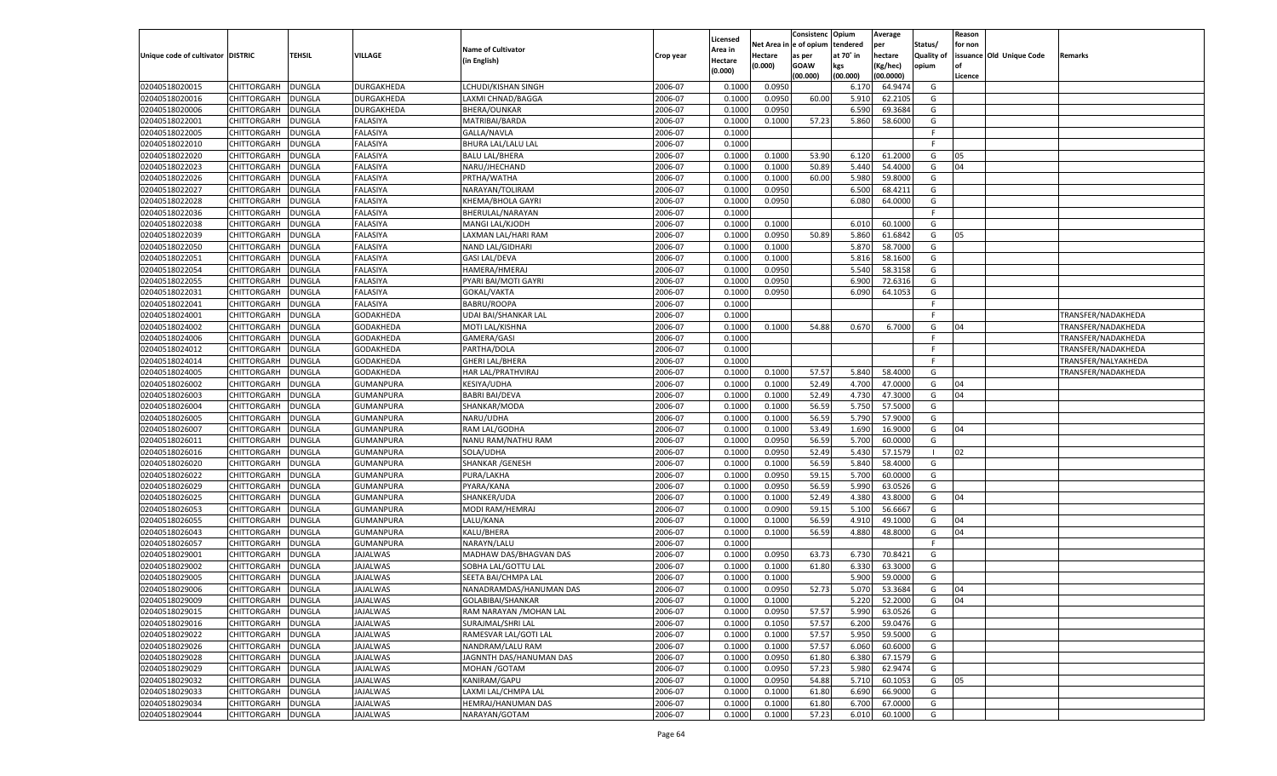|                                   |                    |               |                                      |                           |           |                     |                        | Consistenc Opium |           | Average       |                   | Reason  |                          |                     |
|-----------------------------------|--------------------|---------------|--------------------------------------|---------------------------|-----------|---------------------|------------------------|------------------|-----------|---------------|-------------------|---------|--------------------------|---------------------|
|                                   |                    |               |                                      | <b>Name of Cultivator</b> |           | Licensed<br>Area in | Net Area in e of opium |                  | tendered  | per           | Status/           | for non |                          |                     |
| Unique code of cultivator DISTRIC |                    | <b>TEHSIL</b> | VILLAGE                              | (in English)              | Crop year | Hectare             | Hectare                | as per           | at 70° in | hectare       | <b>Quality of</b> |         | issuance Old Unique Code | Remarks             |
|                                   |                    |               |                                      |                           |           | (0.000)             | (0.000)                | <b>GOAW</b>      | kgs       | (Kg/hec)      | opium             | lof     |                          |                     |
|                                   |                    |               |                                      |                           |           |                     |                        | (00.000)         | (00.000)  | (00.0000)     |                   | Licence |                          |                     |
| 02040518020015                    | <b>CHITTORGARH</b> | <b>DUNGLA</b> | <b>DURGAKHEDA</b>                    | LCHUDI/KISHAN SINGH       | 2006-07   | 0.1000              | 0.0950                 |                  | 6.170     | 64.9474       | G                 |         |                          |                     |
| 02040518020016                    | <b>CHITTORGARH</b> | <b>DUNGLA</b> | DURGAKHEDA                           | LAXMI CHNAD/BAGGA         | 2006-07   | 0.1000              | 0.0950                 | 60.00            | 5.910     | 62.2105       | G                 |         |                          |                     |
| 02040518020006                    | <b>CHITTORGARH</b> | <b>DUNGLA</b> | <b>DURGAKHEDA</b>                    | <b>BHERA/OUNKAR</b>       | 2006-07   | 0.1000              | 0.0950                 |                  | 6.590     | 69.3684       | G                 |         |                          |                     |
| 02040518022001                    | <b>CHITTORGARH</b> | <b>DUNGLA</b> | <b>FALASIYA</b>                      | MATRIBAI/BARDA            | 2006-07   | 0.1000              | 0.1000                 | 57.23            | 5.860     | 58.6000       | G                 |         |                          |                     |
| 02040518022005                    | <b>CHITTORGARH</b> | <b>DUNGLA</b> | <b>FALASIYA</b>                      | GALLA/NAVLA               | 2006-07   | 0.1000              |                        |                  |           |               | F.                |         |                          |                     |
| 02040518022010                    | <b>CHITTORGARH</b> | <b>DUNGLA</b> | <b>FALASIYA</b>                      | <b>BHURA LAL/LALU LAL</b> | 2006-07   | 0.1000              |                        |                  |           |               | F.                |         |                          |                     |
| 02040518022020                    | <b>CHITTORGARH</b> | <b>DUNGLA</b> | <b>FALASIYA</b>                      | <b>BALU LAL/BHERA</b>     | 2006-07   | 0.1000              | 0.1000                 | 53.90            | 6.120     | 61.2000       | G                 | 05      |                          |                     |
| 02040518022023                    | CHITTORGARH        | <b>DUNGLA</b> | <b>FALASIYA</b>                      | NARU/JHECHAND             | 2006-07   | 0.1000              | 0.1000                 | 50.89            | 5.440     | 54.4000       | G                 | 04      |                          |                     |
| 02040518022026                    | <b>CHITTORGARH</b> | <b>DUNGLA</b> | <b>FALASIYA</b>                      | PRTHA/WATHA               | 2006-07   | 0.1000              | 0.1000                 | 60.00            | 5.980     | 59.8000       | G                 |         |                          |                     |
| 02040518022027                    | <b>CHITTORGARH</b> | <b>DUNGLA</b> | <b>FALASIYA</b>                      | NARAYAN/TOLIRAM           | 2006-07   | 0.1000              | 0.0950                 |                  | 6.500     | 68.4211       | G                 |         |                          |                     |
| 02040518022028                    | <b>CHITTORGARH</b> | <b>DUNGLA</b> | <b>FALASIYA</b>                      | KHEMA/BHOLA GAYRI         | 2006-07   | 0.1000              | 0.0950                 |                  | 6.080     | 64.0000       | G                 |         |                          |                     |
| 02040518022036                    | CHITTORGARH        | <b>DUNGLA</b> | <b>FALASIYA</b>                      | BHERULAL/NARAYAN          | 2006-07   | 0.1000              |                        |                  |           |               | F.                |         |                          |                     |
| 02040518022038                    | <b>CHITTORGARH</b> | <b>DUNGLA</b> | <b>FALASIYA</b>                      | MANGI LAL/KJODH           | 2006-07   | 0.1000              | 0.1000                 |                  | 6.010     | 60.1000       | G                 |         |                          |                     |
| 02040518022039                    | CHITTORGARH        | <b>DUNGLA</b> | <b>FALASIYA</b>                      | LAXMAN LAL/HARI RAM       | 2006-07   | 0.1000              | 0.0950                 | 50.89            | 5.860     | 61.6842       | G                 | 05      |                          |                     |
| 02040518022050                    | CHITTORGARH        | <b>DUNGLA</b> | <b>FALASIYA</b>                      | NAND LAL/GIDHARI          | 2006-07   | 0.1000              | 0.1000                 |                  | 5.870     | 58.7000       | G                 |         |                          |                     |
| 02040518022051                    | CHITTORGARH        | <b>DUNGLA</b> | <b>FALASIYA</b>                      | <b>GASI LAL/DEVA</b>      | 2006-07   | 0.1000              | 0.1000                 |                  | 5.816     | 58.1600       | G                 |         |                          |                     |
| 02040518022054                    | CHITTORGARH        | <b>DUNGLA</b> | <b>FALASIYA</b>                      | HAMERA/HMERAJ             | 2006-07   | 0.1000              | 0.0950                 |                  | 5.540     | 58.3158       | G                 |         |                          |                     |
| 02040518022055                    | CHITTORGARH        | <b>DUNGLA</b> | <b>FALASIYA</b>                      | PYARI BAI/MOTI GAYRI      | 2006-07   | 0.1000              | 0.0950                 |                  | 6.900     | 72.6316       | G                 |         |                          |                     |
| 02040518022031                    | CHITTORGARH        | <b>DUNGLA</b> | <b>FALASIYA</b>                      | <b>GOKAL/VAKTA</b>        | 2006-07   | 0.1000              | 0.0950                 |                  | 6.090     | 64.1053       | G                 |         |                          |                     |
| 02040518022041                    | CHITTORGARH        | <b>DUNGLA</b> | <b>FALASIYA</b>                      | <b>BABRU/ROOPA</b>        | 2006-07   | 0.1000              |                        |                  |           |               | F.                |         |                          |                     |
| 02040518024001                    | CHITTORGARH        | <b>DUNGLA</b> | GODAKHEDA                            | UDAI BAI/SHANKAR LAL      | 2006-07   | 0.1000              |                        |                  |           |               | E                 |         |                          | TRANSFER/NADAKHEDA  |
| 02040518024002                    | CHITTORGARH        | <b>DUNGLA</b> | GODAKHEDA                            | MOTI LAL/KISHNA           | 2006-07   | 0.1000              | 0.1000                 | 54.88            | 0.670     | 6.7000        | G                 | 04      |                          | TRANSFER/NADAKHEDA  |
| 02040518024006                    | CHITTORGARH        | <b>DUNGLA</b> | GODAKHEDA                            | <b>GAMERA/GASI</b>        | 2006-07   | 0.1000              |                        |                  |           |               | F.                |         |                          | TRANSFER/NADAKHEDA  |
| 02040518024012                    | CHITTORGARH        | <b>DUNGLA</b> | GODAKHEDA                            | PARTHA/DOLA               | 2006-07   | 0.1000              |                        |                  |           |               | F.                |         |                          | TRANSFER/NADAKHEDA  |
| 02040518024014                    | CHITTORGARH        | <b>DUNGLA</b> | GODAKHEDA                            | <b>GHERI LAL/BHERA</b>    | 2006-07   | 0.1000              |                        |                  |           |               | F.                |         |                          | TRANSFER/NALYAKHEDA |
| 02040518024005                    | CHITTORGARH        | <b>DUNGLA</b> | GODAKHEDA                            | HAR LAL/PRATHVIRAJ        | 2006-07   | 0.1000              | 0.1000                 | 57.57            | 5.840     | 58.4000       | G                 |         |                          | TRANSFER/NADAKHEDA  |
| 02040518026002                    | CHITTORGARH        | <b>DUNGLA</b> | <b>GUMANPURA</b>                     | <b>KESIYA/UDHA</b>        | 2006-07   | 0.1000              | 0.1000                 | 52.49            | 4.700     | 47.0000       | G                 | 04      |                          |                     |
| 02040518026003                    | CHITTORGARH        | <b>DUNGLA</b> | <b>GUMANPURA</b>                     | <b>BABRI BAI/DEVA</b>     | 2006-07   | 0.1000              | 0.1000                 | 52.49            | 4.730     | 47.3000       | G                 | 04      |                          |                     |
| 02040518026004                    | <b>CHITTORGARH</b> | <b>DUNGLA</b> | <b>GUMANPURA</b>                     | SHANKAR/MODA              | 2006-07   | 0.1000              | 0.1000                 | 56.59            | 5.750     | 57.5000       | G                 |         |                          |                     |
| 02040518026005                    | CHITTORGARH        | <b>DUNGLA</b> | <b>GUMANPURA</b>                     | NARU/UDHA                 | 2006-07   | 0.1000              | 0.1000                 | 56.59            | 5.790     | 57.9000       | G                 |         |                          |                     |
| 02040518026007                    | <b>CHITTORGARH</b> | <b>DUNGLA</b> | GUMANPURA                            | RAM LAL/GODHA             | 2006-07   | 0.1000              | 0.1000                 | 53.49            | 1.690     | 16.9000       | G                 | 04      |                          |                     |
| 02040518026011                    | CHITTORGARH        | <b>DUNGLA</b> | <b>GUMANPURA</b>                     | NANU RAM/NATHU RAM        | 2006-07   | 0.1000              | 0.0950                 | 56.59            | 5.700     | 60.0000       | G                 |         |                          |                     |
| 02040518026016                    | <b>CHITTORGARH</b> | <b>DUNGLA</b> | <b>GUMANPURA</b>                     | SOLA/UDHA                 | 2006-07   | 0.1000              | 0.0950                 | 52.49            | 5.430     | 57.1579       | - 1               | 02      |                          |                     |
|                                   |                    |               |                                      |                           |           |                     |                        |                  |           | 58.4000       | G                 |         |                          |                     |
| 02040518026020                    | CHITTORGARH        | <b>DUNGLA</b> | <b>GUMANPURA</b><br><b>GUMANPURA</b> | <b>SHANKAR / GENESH</b>   | 2006-07   | 0.1000              | 0.1000                 | 56.59            | 5.840     | 60.0000       |                   |         |                          |                     |
| 02040518026022                    | <b>CHITTORGARH</b> | <b>DUNGLA</b> |                                      | PURA/LAKHA                | 2006-07   | 0.1000              | 0.0950                 | 59.15            | 5.700     |               | G                 |         |                          |                     |
| 02040518026029                    | CHITTORGARH        | <b>DUNGLA</b> | <b>GUMANPURA</b>                     | PYARA/KANA                | 2006-07   | 0.1000              | 0.0950                 | 56.59            | 5.990     | 63.0526       | G                 |         |                          |                     |
| 02040518026025                    | <b>CHITTORGARH</b> | <b>DUNGLA</b> | <b>GUMANPURA</b>                     | SHANKER/UDA               | 2006-07   | 0.1000              | 0.1000                 | 52.49            | 4.380     | 43.8000       | G                 | 04      |                          |                     |
| 02040518026053                    | CHITTORGARH        | <b>DUNGLA</b> | <b>GUMANPURA</b>                     | MODI RAM/HEMRAJ           | 2006-07   | 0.1000              | 0.0900                 | 59.15            | 5.100     | 56.6667       | G                 |         |                          |                     |
| 02040518026055                    | <b>CHITTORGARH</b> | <b>DUNGLA</b> | <b>GUMANPURA</b>                     | LALU/KANA                 | 2006-07   | 0.1000              | 0.1000                 | 56.59            | 4.910     | 49.1000       | G                 | 04      |                          |                     |
| 02040518026043                    | CHITTORGARH        | <b>DUNGLA</b> | <b>GUMANPURA</b>                     | KALU/BHERA                | 2006-07   | 0.1000              | 0.1000                 | 56.59            | 4.880     | 48.8000       | G                 | 04      |                          |                     |
| 02040518026057                    | <b>CHITTORGARH</b> | <b>DUNGLA</b> | <b>GUMANPURA</b>                     | NARAYN/LALU               | 2006-07   | 0.1000              |                        |                  |           |               | E                 |         |                          |                     |
| 02040518029001                    | CHITTORGARH        | <b>DUNGLA</b> | <b>JAJALWAS</b>                      | MADHAW DAS/BHAGVAN DAS    | 2006-07   | 0.1000              | 0.0950                 | 63.73            | 6.730     | 70.8421       | G                 |         |                          |                     |
| 02040518029002                    | CHITTORGARH        | <b>DUNGLA</b> | <b>JAJALWAS</b>                      | SOBHA LAL/GOTTU LAL       | 2006-07   | 0.1000              | 0.1000                 | 61.80            | 6.330     | 63.3000       | G                 |         |                          |                     |
| 02040518029005                    | CHITTORGARH        | <b>DUNGLA</b> | <b>JAJALWAS</b>                      | SEETA BAI/CHMPA LAL       | 2006-07   | 0.1000              | 0.1000                 |                  | 5.900     | 59.0000       | G                 |         |                          |                     |
| 02040518029006                    | <b>CHITTORGARH</b> | <b>DUNGLA</b> | <b>JAJALWAS</b>                      | NANADRAMDAS/HANUMAN DAS   | 2006-07   | 0.1000              | 0.0950                 | 52.73            | 5.070     | 53.3684       | G                 | 04      |                          |                     |
| 02040518029009                    | CHITTORGARH        | DUNGLA        | <b>JAJALWAS</b>                      | GOLABIBAI/SHANKAR         | 2006-07   | 0.1000              | 0.1000                 |                  |           | 5.220 52.2000 | G                 | 04      |                          |                     |
| 02040518029015                    | <b>CHITTORGARH</b> | <b>DUNGLA</b> | <b>JAJALWAS</b>                      | RAM NARAYAN / MOHAN LAL   | 2006-07   | 0.1000              | 0.0950                 | 57.57            | 5.990     | 63.0526       | G                 |         |                          |                     |
| 02040518029016                    | <b>CHITTORGARH</b> | <b>DUNGLA</b> | <b>JAJALWAS</b>                      | SURAJMAL/SHRI LAL         | 2006-07   | 0.1000              | 0.1050                 | 57.57            | 6.200     | 59.0476       | G                 |         |                          |                     |
| 02040518029022                    | <b>CHITTORGARH</b> | <b>DUNGLA</b> | <b>JAJALWAS</b>                      | RAMESVAR LAL/GOTI LAL     | 2006-07   | 0.1000              | 0.1000                 | 57.57            | 5.950     | 59.5000       | G                 |         |                          |                     |
| 02040518029026                    | <b>CHITTORGARH</b> | <b>DUNGLA</b> | <b>JAJALWAS</b>                      | NANDRAM/LALU RAM          | 2006-07   | 0.1000              | 0.1000                 | 57.57            | 6.060     | 60.6000       | G                 |         |                          |                     |
| 02040518029028                    | <b>CHITTORGARH</b> | <b>DUNGLA</b> | <b>JAJALWAS</b>                      | JAGNNTH DAS/HANUMAN DAS   | 2006-07   | 0.1000              | 0.0950                 | 61.80            | 6.380     | 67.1579       | G                 |         |                          |                     |
| 02040518029029                    | <b>CHITTORGARH</b> | <b>DUNGLA</b> | <b>JAJALWAS</b>                      | MOHAN / GOTAM             | 2006-07   | 0.1000              | 0.0950                 | 57.23            | 5.980     | 62.9474       | G                 |         |                          |                     |
| 02040518029032                    | <b>CHITTORGARH</b> | <b>DUNGLA</b> | <b>JAJALWAS</b>                      | KANIRAM/GAPU              | 2006-07   | 0.1000              | 0.0950                 | 54.88            | 5.710     | 60.1053       | G                 | 05      |                          |                     |
| 02040518029033                    | <b>CHITTORGARH</b> | <b>DUNGLA</b> | <b>JAJALWAS</b>                      | LAXMI LAL/CHMPA LAL       | 2006-07   | 0.1000              | 0.1000                 | 61.80            | 6.690     | 66.9000       | G                 |         |                          |                     |
| 02040518029034                    | <b>CHITTORGARH</b> | <b>DUNGLA</b> | <b>JAJALWAS</b>                      | HEMRAJ/HANUMAN DAS        | 2006-07   | 0.1000              | 0.1000                 | 61.80            | 6.700     | 67.0000       | G                 |         |                          |                     |
| 02040518029044                    | CHITTORGARH        | <b>DUNGLA</b> | <b>JAJALWAS</b>                      | NARAYAN/GOTAM             | 2006-07   | 0.1000              | 0.1000                 | 57.23            | 6.010     | 60.1000       | G                 |         |                          |                     |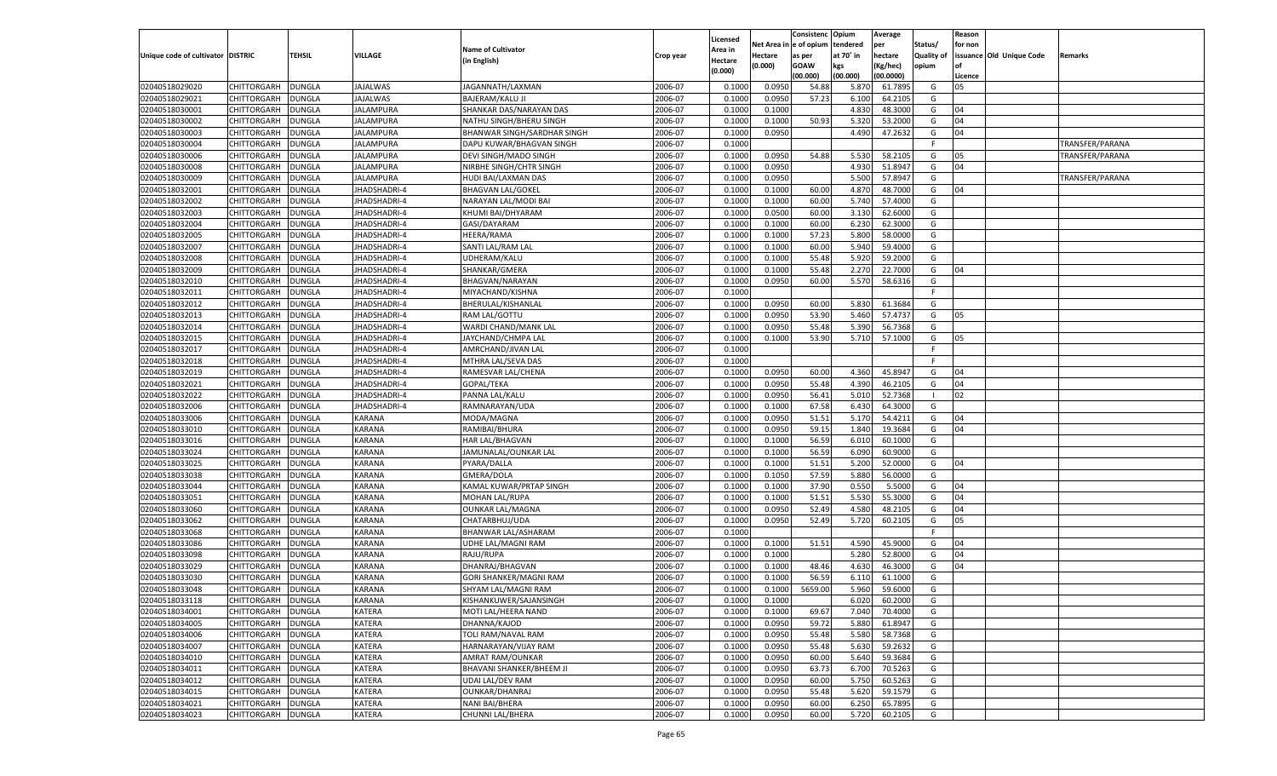|                                   |                    |               |                                |                                               |           |                     |            | Consistenc    | Opium     | Average   |            | Reason  |                          |                 |
|-----------------------------------|--------------------|---------------|--------------------------------|-----------------------------------------------|-----------|---------------------|------------|---------------|-----------|-----------|------------|---------|--------------------------|-----------------|
|                                   |                    |               |                                | <b>Name of Cultivator</b>                     |           | Licensed<br>Area in | Net Area i | n  e of opium | tendered  | per       | Status/    | for non |                          |                 |
| Unique code of cultivator DISTRIC |                    | TEHSIL        | VILLAGE                        | (in English)                                  | Crop year | Hectare             | Hectare    | as per        | at 70° in | hectare   | Quality of |         | issuance Old Unique Code | Remarks         |
|                                   |                    |               |                                |                                               |           | (0.000)             | (0.000)    | <b>GOAW</b>   | kgs       | (Kg/hec)  | opium      |         |                          |                 |
|                                   |                    |               |                                |                                               |           |                     |            | (00.000)      | (00.000)  | (00.0000) |            | Licence |                          |                 |
| 02040518029020                    | CHITTORGARH        | DUNGLA        | <b>JAJALWAS</b>                | JAGANNATH/LAXMAN                              | 2006-07   | 0.100               | 0.0950     | 54.88         | 5.870     | 61.7895   | G          | 05      |                          |                 |
| 02040518029021                    | CHITTORGARH        | DUNGLA        | JAJALWAS                       | <b>BAJERAM/KALU JI</b>                        | 2006-07   | 0.100               | 0.0950     | 57.23         | 6.100     | 64.2105   | G          |         |                          |                 |
| 02040518030001                    | CHITTORGARH        | DUNGLA        | JALAMPURA                      | SHANKAR DAS/NARAYAN DAS                       | 2006-07   | 0.1000              | 0.1000     |               | 4.830     | 48.3000   | G          | 04      |                          |                 |
| 02040518030002                    | CHITTORGARH        | DUNGLA        | JALAMPURA                      | NATHU SINGH/BHERU SINGH                       | 2006-07   | 0.1000              | 0.1000     | 50.93         | 5.320     | 53.2000   | G          | 04      |                          |                 |
| 02040518030003                    | CHITTORGARH        | DUNGLA        | JALAMPURA                      | BHANWAR SINGH/SARDHAR SINGH                   | 2006-07   | 0.1000              | 0.0950     |               | 4.490     | 47.2632   | G          | 04      |                          |                 |
| 02040518030004                    | CHITTORGARH        | DUNGLA        | JALAMPURA                      | DAPU KUWAR/BHAGVAN SINGH                      | 2006-07   | 0.1000              |            |               |           |           | -F         |         |                          | TRANSFER/PARANA |
| 02040518030006                    | CHITTORGARH        | DUNGLA        | JALAMPURA                      | DEVI SINGH/MADO SINGH                         | 2006-07   | 0.1000              | 0.0950     | 54.88         | 5.530     | 58.2105   | G          | 05      |                          | TRANSFER/PARANA |
| 02040518030008                    | CHITTORGARH        | DUNGLA        | JALAMPURA                      | NIRBHE SINGH/CHTR SINGH                       | 2006-07   | 0.1000              | 0.0950     |               | 4.930     | 51.8947   | G          | 04      |                          |                 |
| 02040518030009                    | CHITTORGARH        | DUNGLA        | <b>JALAMPURA</b>               | HUDI BAI/LAXMAN DAS                           | 2006-07   | 0.1000              | 0.0950     |               | 5.500     | 57.8947   | G          |         |                          | TRANSFER/PARANA |
| 02040518032001                    | CHITTORGARH        | DUNGLA        | JHADSHADRI-4                   | <b>BHAGVAN LAL/GOKEI</b>                      | 2006-07   | 0.1000              | 0.1000     | 60.00         | 4.870     | 48.7000   | G          | 04      |                          |                 |
| 02040518032002                    | CHITTORGARH        | DUNGLA        | JHADSHADRI-4                   | NARAYAN LAL/MODI BA                           | 2006-07   | 0.1000              | 0.1000     | 60.00         | 5.740     | 57.4000   | G          |         |                          |                 |
| 02040518032003                    | CHITTORGARH        | DUNGLA        | JHADSHADRI-4                   | KHUMI BAI/DHYARAM                             | 2006-07   | 0.1000              | 0.0500     | 60.00         | 3.13(     | 62.6000   | G          |         |                          |                 |
| 02040518032004                    | CHITTORGARH        | DUNGLA        | JHADSHADRI-4                   | GASI/DAYARAM                                  | 2006-07   | 0.1000              | 0.1000     | 60.00         | 6.23      | 62.3000   | G          |         |                          |                 |
| 02040518032005                    | CHITTORGARH        | DUNGLA        | JHADSHADRI-4                   | HEERA/RAMA                                    | 2006-07   | 0.1000              | 0.1000     | 57.23         | 5.800     | 58.0000   | G          |         |                          |                 |
| 02040518032007                    | CHITTORGARH        | DUNGLA        | <b>HADSHADRI-4</b>             | SANTI LAL/RAM LAL                             | 2006-07   | 0.1000              | 0.1000     | 60.00         | 5.940     | 59.4000   | G          |         |                          |                 |
| 02040518032008                    | CHITTORGARH        | DUNGLA        | <b>IHADSHADRI-4</b>            | UDHERAM/KALU                                  | 2006-07   | 0.1000              | 0.1000     | 55.48         | 5.920     | 59.2000   | G          |         |                          |                 |
| 02040518032009                    | CHITTORGARH        | DUNGLA        | <b>HADSHADRI-4</b>             | SHANKAR/GMERA                                 | 2006-07   | 0.1000              | 0.1000     | 55.48         | 2.270     | 22.7000   | G          | 04      |                          |                 |
| 02040518032010                    | CHITTORGARH        | DUNGLA        | JHADSHADRI-4                   | BHAGVAN/NARAYAN                               | 2006-07   | 0.1000              | 0.0950     | 60.00         | 5.570     | 58.6316   | G          |         |                          |                 |
| 02040518032011                    | CHITTORGARH        | DUNGLA        | <b>HADSHADRI-4</b>             | MIYACHAND/KISHNA                              | 2006-07   | 0.1000              |            |               |           |           | F.         |         |                          |                 |
| 02040518032012                    | CHITTORGARH        | DUNGLA        | <b>IHADSHADRI-4</b>            | BHERULAL/KISHANLAL                            | 2006-07   | 0.1000              | 0.0950     | 60.00         | 5.830     | 61.3684   | G          |         |                          |                 |
| 02040518032013                    | CHITTORGARH        | DUNGLA        | <b>HADSHADRI-4</b>             | RAM LAL/GOTTU                                 | 2006-07   | 0.1000              | 0.0950     | 53.90         | 5.460     | 57.4737   | G          | 05      |                          |                 |
| 02040518032014                    | CHITTORGARH        | DUNGLA        | JHADSHADRI-4                   | WARDI CHAND/MANK LAL                          | 2006-07   | 0.1000              | 0.0950     | 55.48         | 5.390     | 56.7368   | G          |         |                          |                 |
| 02040518032015                    | CHITTORGARH        | DUNGLA        | <b>HADSHADRI-4</b>             | JAYCHAND/CHMPA LAL                            | 2006-07   | 0.1000              | 0.1000     | 53.90         | 5.710     | 57.1000   | G          | 05      |                          |                 |
| 02040518032017                    | CHITTORGARH        | DUNGLA        | <b>IHADSHADRI-4</b>            | AMRCHAND/JIVAN LAL                            | 2006-07   | 0.1000              |            |               |           |           | F.         |         |                          |                 |
| 02040518032018                    | CHITTORGARH        | DUNGLA        | <b>HADSHADRI-4</b>             | MTHRA LAL/SEVA DAS                            | 2006-07   | 0.1000              |            |               |           |           | F.         |         |                          |                 |
| 02040518032019                    | CHITTORGARH        | DUNGLA        | JHADSHADRI-4                   | RAMESVAR LAL/CHENA                            | 2006-07   | 0.1000              | 0.0950     | 60.00         | 4.360     | 45.8947   | G          | 04      |                          |                 |
| 02040518032021                    | CHITTORGARH        | DUNGLA        | <b>HADSHADRI-4</b>             | GOPAL/TEKA                                    | 2006-07   | 0.1000              | 0.0950     | 55.48         | 4.390     | 46.2105   | G          | 04      |                          |                 |
| 02040518032022                    | CHITTORGARH        | DUNGLA        | <b>HADSHADRI-4</b>             | PANNA LAL/KALU                                | 2006-07   | 0.1000              | 0.0950     | 56.41         | 5.010     | 52.7368   | - 1        | 02      |                          |                 |
| 02040518032006                    | CHITTORGARH        | DUNGLA        | <b>HADSHADRI-4</b>             | RAMNARAYAN/UDA                                | 2006-07   | 0.1000              | 0.1000     | 67.58         | 6.430     | 64.3000   | G          |         |                          |                 |
| 02040518033006                    | CHITTORGARH        | DUNGLA        | <b>KARANA</b>                  | MODA/MAGNA                                    | 2006-07   | 0.1000              | 0.0950     | 51.51         | 5.170     | 54.4211   | G          | 04      |                          |                 |
| 02040518033010                    | CHITTORGARH        | DUNGLA        | KARANA                         | RAMIBAI/BHURA                                 | 2006-07   | 0.1000              | 0.0950     | 59.15         | 1.840     | 19.3684   | G          | 04      |                          |                 |
| 02040518033016                    | CHITTORGARH        | DUNGLA        | <b>KARANA</b>                  | <b>HAR LAL/BHAGVAN</b>                        | 2006-07   | 0.1000              | 0.1000     | 56.59         | 6.010     | 60.1000   | G          |         |                          |                 |
| 02040518033024                    | CHITTORGARH        | DUNGLA        | KARANA                         | JAMUNALAL/OUNKAR LAL                          | 2006-07   | 0.1000              | 0.1000     | 56.59         | 6.090     | 60.9000   | G          |         |                          |                 |
| 02040518033025                    | CHITTORGARH        | DUNGLA        | KARANA                         | PYARA/DALLA                                   | 2006-07   | 0.1000              | 0.1000     | 51.51         | 5.200     | 52.0000   | G          | 04      |                          |                 |
| 02040518033038                    | CHITTORGARH        | DUNGLA        | KARANA                         | GMERA/DOLA                                    | 2006-07   | 0.1000              | 0.1050     | 57.59         | 5.880     | 56.0000   | G          |         |                          |                 |
| 02040518033044                    | CHITTORGARH        | DUNGLA        | <b>KARANA</b>                  | KAMAL KUWAR/PRTAP SINGH                       | 2006-07   | 0.1000              | 0.1000     | 37.90         | 0.550     | 5.5000    | G          | 04      |                          |                 |
| 02040518033051                    | CHITTORGARH        | DUNGLA        | KARANA                         | <b>MOHAN LAL/RUPA</b>                         | 2006-07   | 0.1000              | 0.1000     | 51.51         | 5.530     | 55.3000   | G          | 04      |                          |                 |
| 02040518033060                    | CHITTORGARH        | DUNGLA        | KARANA                         | <b>OUNKAR LAL/MAGNA</b>                       | 2006-07   | 0.1000              | 0.0950     | 52.49         | 4.580     | 48.2105   | G          | 04      |                          |                 |
| 02040518033062                    | CHITTORGARH        | DUNGLA        | KARANA                         | CHATARBHUJ/UDA                                | 2006-07   | 0.1000              | 0.0950     | 52.49         | 5.720     | 60.2105   | G          | 05      |                          |                 |
| 02040518033068                    | CHITTORGARH        | DUNGLA        | <b>KARANA</b>                  | BHANWAR LAL/ASHARAM                           | 2006-07   | 0.1000              |            |               |           |           | F          |         |                          |                 |
| 02040518033086                    | CHITTORGARH        | DUNGLA        | <b>KARANA</b>                  | UDHE LAL/MAGNI RAM                            | 2006-07   | 0.1000              | 0.1000     | 51.51         | 4.590     | 45.9000   | G          | 04      |                          |                 |
| 02040518033098                    | CHITTORGARH        | DUNGLA        | <b>KARANA</b>                  | RAJU/RUPA                                     | 2006-07   | 0.1000              | 0.1000     |               | 5.280     | 52.8000   | G          | 04      |                          |                 |
| 02040518033029                    | CHITTORGARH        | DUNGLA        | <b>KARANA</b>                  | DHANRAJ/BHAGVAN                               | 2006-07   | 0.1000              | 0.1000     | 48.46         | 4.630     | 46.3000   | G          | 04      |                          |                 |
| 02040518033030                    |                    |               |                                |                                               | 2006-07   | 0.1000              | 0.1000     | 56.59         | 6.110     | 61.1000   | G          |         |                          |                 |
|                                   | CHITTORGARH        | DUNGLA        | <b>KARANA</b><br><b>KARANA</b> | GORI SHANKER/MAGNI RAM<br>SHYAM LAL/MAGNI RAM | 2006-07   |                     |            |               | 5.960     | 59.6000   |            |         |                          |                 |
| 02040518033048                    | CHITTORGARH        | <b>DUNGLA</b> |                                |                                               |           | 0.1000              | 0.1000     | 5659.00       |           |           | G          |         |                          |                 |
| 02040518033118                    | CHITTORGARH DUNGLA |               | <b>KARANA</b>                  | KISHANKUWER/SAJANSINGH                        | 2006-07   | 0.1000              | 0.1000     |               | 6.020     | 60.2000   | G          |         |                          |                 |
| 02040518034001                    | <b>CHITTORGARH</b> | <b>DUNGLA</b> | KATERA                         | MOTI LAL/HEERA NAND                           | 2006-07   | 0.1000              | 0.1000     | 69.67         | 7.040     | 70.4000   | G          |         |                          |                 |
| 02040518034005                    | <b>CHITTORGARH</b> | <b>DUNGLA</b> | KATERA                         | DHANNA/KAJOD                                  | 2006-07   | 0.1000              | 0.0950     | 59.72         | 5.880     | 61.8947   | G          |         |                          |                 |
| 02040518034006                    | CHITTORGARH        | <b>DUNGLA</b> | KATERA                         | TOLI RAM/NAVAL RAM                            | 2006-07   | 0.1000              | 0.0950     | 55.48         | 5.580     | 58.7368   | G          |         |                          |                 |
| 02040518034007                    | <b>CHITTORGARH</b> | <b>DUNGLA</b> | <b>KATERA</b>                  | HARNARAYAN/VIJAY RAM                          | 2006-07   | 0.1000              | 0.0950     | 55.48         | 5.630     | 59.2632   | G          |         |                          |                 |
| 02040518034010                    | CHITTORGARH        | <b>DUNGLA</b> | KATERA                         | <b>AMRAT RAM/OUNKAR</b>                       | 2006-07   | 0.1000              | 0.0950     | 60.00         | 5.640     | 59.3684   | G          |         |                          |                 |
| 02040518034011                    | <b>CHITTORGARH</b> | <b>DUNGLA</b> | KATERA                         | BHAVANI SHANKER/BHEEM JI                      | 2006-07   | 0.1000              | 0.0950     | 63.73         | 6.700     | 70.5263   | G          |         |                          |                 |
| 02040518034012                    | CHITTORGARH        | <b>DUNGLA</b> | KATERA                         | <b>UDAI LAL/DEV RAM</b>                       | 2006-07   | 0.1000              | 0.0950     | 60.00         | 5.750     | 60.5263   | G          |         |                          |                 |
| 02040518034015                    | <b>CHITTORGARH</b> | <b>DUNGLA</b> | <b>KATERA</b>                  | OUNKAR/DHANRAJ                                | 2006-07   | 0.1000              | 0.0950     | 55.48         | 5.620     | 59.1579   | G          |         |                          |                 |
| 02040518034021                    | <b>CHITTORGARH</b> | <b>DUNGLA</b> | KATERA                         | NANI BAI/BHERA                                | 2006-07   | 0.1000              | 0.0950     | 60.00         | 6.250     | 65.7895   | G          |         |                          |                 |
| 02040518034023                    | <b>CHITTORGARH</b> | <b>DUNGLA</b> | KATERA                         | CHUNNI LAL/BHERA                              | 2006-07   | 0.1000              | 0.0950     | 60.00         | 5.720     | 60.2105   | G          |         |                          |                 |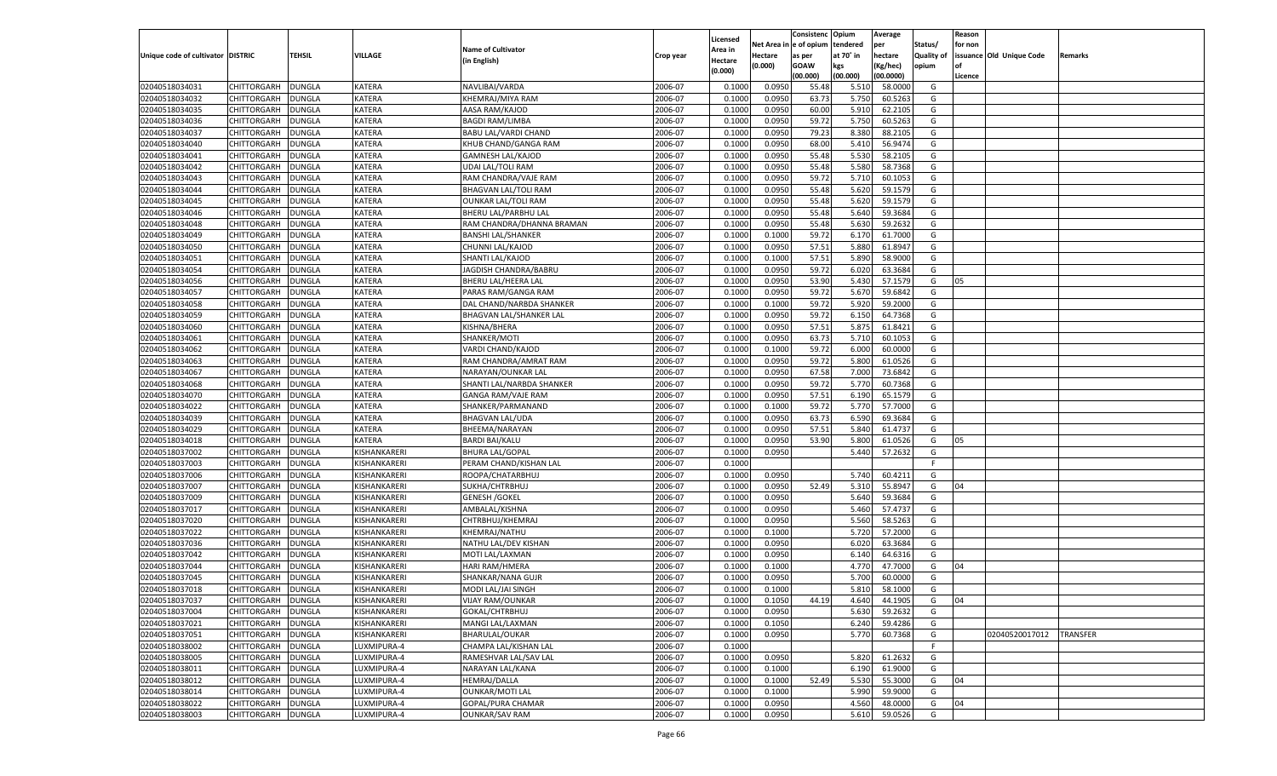|                                   |                    |               |              |                             |           |                  |          | Consistenc Opium |           | Average   |                   | Reason    |                          |                 |
|-----------------------------------|--------------------|---------------|--------------|-----------------------------|-----------|------------------|----------|------------------|-----------|-----------|-------------------|-----------|--------------------------|-----------------|
|                                   |                    |               |              |                             |           | Licensed         | Net Area | e of opium       | tendered  | per       | Status/           | for non   |                          |                 |
| Unique code of cultivator DISTRIC |                    | TEHSIL        | VILLAGE      | <b>Name of Cultivator</b>   | Crop year | Area in          | Hectare  | as per           | at 70˚ in | hectare   | <b>Quality of</b> |           | issuance Old Unique Code | Remarks         |
|                                   |                    |               |              | (in English)                |           | Hectare          | (0.000)  | <b>GOAW</b>      | kgs       | (Kg/hec)  | opium             | <b>of</b> |                          |                 |
|                                   |                    |               |              |                             |           | (0.000)          |          | (00.000)         | (00.000)  | (00.0000) |                   | Licence   |                          |                 |
| 02040518034031                    | CHITTORGARH        | <b>DUNGLA</b> | KATERA       | NAVLIBAI/VARDA              | 2006-07   | 0.1000           | 0.0950   | 55.48            | 5.510     | 58.0000   | G                 |           |                          |                 |
| 02040518034032                    | CHITTORGARH        | <b>DUNGLA</b> | KATERA       | KHEMRAJ/MIYA RAM            | 2006-07   | 0.1000           | 0.0950   | 63.73            | 5.750     | 60.526    | G                 |           |                          |                 |
| 02040518034035                    | <b>CHITTORGARH</b> | <b>DUNGLA</b> | KATERA       | AASA RAM/KAJOD              | 2006-07   | 0.1000           | 0.0950   | 60.00            | 5.910     | 62.2105   | G                 |           |                          |                 |
| 02040518034036                    | CHITTORGARH        | DUNGLA        | KATERA       | <b>BAGDI RAM/LIMBA</b>      | 2006-07   | 0.1000           | 0.0950   | 59.72            | 5.750     | 60.5263   | G                 |           |                          |                 |
| 02040518034037                    | CHITTORGARH        | <b>DUNGLA</b> | KATERA       | <b>BABU LAL/VARDI CHAND</b> | 2006-07   | 0.1000           | 0.0950   | 79.23            | 8.380     | 88.2105   | G                 |           |                          |                 |
| 02040518034040                    | CHITTORGARH        | <b>DUNGLA</b> | KATERA       | KHUB CHAND/GANGA RAM        | 2006-07   | 0.1000           | 0.0950   | 68.00            | 5.410     | 56.947    | G                 |           |                          |                 |
| 02040518034041                    | <b>CHITTORGARH</b> | <b>DUNGLA</b> | KATERA       | <b>GAMNESH LAL/KAJOD</b>    | 2006-07   | 0.1000           | 0.0950   | 55.48            | 5.530     | 58.210    | G                 |           |                          |                 |
| 02040518034042                    | CHITTORGARH        | DUNGLA        | KATERA       | UDAI LAL/TOLI RAM           | 2006-07   | 0.1000           | 0.0950   | 55.48            | 5.580     | 58.7368   | G                 |           |                          |                 |
| 02040518034043                    | CHITTORGARH        | <b>DUNGLA</b> | KATERA       | RAM CHANDRA/VAJE RAM        | 2006-07   | 0.1000           | 0.0950   | 59.72            | 5.710     | 60.105    | G                 |           |                          |                 |
| 02040518034044                    | CHITTORGARH        | <b>DUNGLA</b> | KATERA       | <b>BHAGVAN LAL/TOLI RAM</b> | 2006-07   | 0.1000           | 0.0950   | 55.48            | 5.620     | 59.1579   | G                 |           |                          |                 |
| 02040518034045                    | <b>CHITTORGARH</b> | <b>DUNGLA</b> | KATERA       | <b>OUNKAR LAL/TOLI RAM</b>  | 2006-07   | 0.1000           | 0.0950   | 55.48            | 5.620     | 59.1579   | G                 |           |                          |                 |
| 02040518034046                    | CHITTORGARH        | DUNGLA        | KATERA       | <b>BHERU LAL/PARBHU LAL</b> | 2006-07   | 0.1000           | 0.0950   | 55.48            | 5.640     | 59.3684   | G                 |           |                          |                 |
| 02040518034048                    | CHITTORGARH        | <b>DUNGLA</b> | KATERA       | RAM CHANDRA/DHANNA BRAMAN   | 2006-07   | 0.1000           | 0.0950   | 55.48            | 5.630     | 59.2632   | G                 |           |                          |                 |
| 02040518034049                    | CHITTORGARH        | DUNGLA        | KATERA       | <b>BANSHI LAL/SHANKER</b>   | 2006-07   | 0.1000           | 0.1000   | 59.72            | 6.170     | 61.7000   | G                 |           |                          |                 |
| 02040518034050                    | <b>CHITTORGARH</b> | <b>DUNGLA</b> | KATERA       | CHUNNI LAL/KAJOD            | 2006-07   | 0.1000           | 0.0950   | 57.51            | 5.880     | 61.8947   | G                 |           |                          |                 |
| 02040518034051                    | CHITTORGARH        | <b>DUNGLA</b> | KATERA       | SHANTI LAL/KAJOD            | 2006-07   | 0.1000           | 0.1000   | 57.51            | 5.890     | 58.9000   | G                 |           |                          |                 |
| 02040518034054                    | <b>CHITTORGARH</b> | <b>DUNGLA</b> | KATERA       | JAGDISH CHANDRA/BABRU       | 2006-07   | 0.1000           | 0.0950   | 59.72            | 6.020     | 63.3684   | G                 |           |                          |                 |
| 02040518034056                    | CHITTORGARH        | DUNGLA        | KATERA       | BHERU LAL/HEERA LAL         | 2006-07   | 0.1000           | 0.0950   | 53.90            | 5.430     | 57.1579   | G                 | 05        |                          |                 |
| 02040518034057                    | <b>CHITTORGARH</b> | <b>DUNGLA</b> | KATERA       | PARAS RAM/GANGA RAM         | 2006-07   | 0.1000           | 0.0950   | 59.72            | 5.670     | 59.6842   | G                 |           |                          |                 |
| 02040518034058                    | CHITTORGARH        | <b>DUNGLA</b> | KATERA       | DAL CHAND/NARBDA SHANKER    | 2006-07   | 0.1000           | 0.1000   | 59.72            | 5.920     | 59.2000   | G                 |           |                          |                 |
| 02040518034059                    | <b>CHITTORGARH</b> | <b>DUNGLA</b> | KATERA       | BHAGVAN LAL/SHANKER LAL     | 2006-07   | 0.1000           | 0.0950   | 59.72            | 6.150     | 64.7368   | G                 |           |                          |                 |
| 02040518034060                    | CHITTORGARH        | DUNGLA        | KATERA       | KISHNA/BHERA                | 2006-07   | 0.1000           | 0.0950   | 57.51            | 5.875     | 61.8421   | G                 |           |                          |                 |
| 02040518034061                    | <b>CHITTORGARH</b> | <b>DUNGLA</b> | KATERA       | SHANKER/MOTI                | 2006-07   | 0.1000           | 0.0950   | 63.73            | 5.710     | 60.1053   | G                 |           |                          |                 |
| 02040518034062                    | CHITTORGARH        | <b>DUNGLA</b> | KATERA       | VARDI CHAND/KAJOD           | 2006-07   | 0.1000           | 0.1000   | 59.72            | 6.000     | 60.0000   | G                 |           |                          |                 |
| 02040518034063                    | <b>CHITTORGARH</b> | <b>DUNGLA</b> | KATERA       | RAM CHANDRA/AMRAT RAM       | 2006-07   | 0.1000           | 0.0950   | 59.72            | 5.800     | 61.0526   | G                 |           |                          |                 |
| 02040518034067                    |                    |               | KATERA       | <b>NARAYAN/OUNKAR LAI</b>   | 2006-07   |                  | 0.0950   |                  | 7.000     | 73.6842   | G                 |           |                          |                 |
| 02040518034068                    | CHITTORGARH        | DUNGLA        | KATERA       |                             | 2006-07   | 0.1000<br>0.1000 | 0.0950   | 67.58            |           | 60.7368   | G                 |           |                          |                 |
|                                   | <b>CHITTORGARH</b> | <b>DUNGLA</b> |              | SHANTI LAL/NARBDA SHANKER   |           |                  |          | 59.72            | 5.770     |           |                   |           |                          |                 |
| 02040518034070                    | CHITTORGARH        | <b>DUNGLA</b> | KATERA       | GANGA RAM/VAJE RAM          | 2006-07   | 0.1000           | 0.0950   | 57.51            | 6.190     | 65.1579   | G                 |           |                          |                 |
| 02040518034022                    | <b>CHITTORGARH</b> | <b>DUNGLA</b> | KATERA       | SHANKER/PARMANAND           | 2006-07   | 0.1000           | 0.1000   | 59.72            | 5.770     | 57.7000   | G                 |           |                          |                 |
| 02040518034039                    | CHITTORGARH        | DUNGLA        | KATERA       | <b>BHAGVAN LAL/UDA</b>      | 2006-07   | 0.1000           | 0.0950   | 63.73            | 6.590     | 69.3684   | G                 |           |                          |                 |
| 02040518034029                    | CHITTORGARH        | DUNGLA        | KATERA       | BHEEMA/NARAYAN              | 2006-07   | 0.1000           | 0.0950   | 57.51            | 5.840     | 61.4737   | G                 |           |                          |                 |
| 02040518034018                    | CHITTORGARH        | DUNGLA        | KATERA       | <b>BARDI BAI/KALU</b>       | 2006-07   | 0.1000           | 0.0950   | 53.90            | 5.800     | 61.0526   | G                 | 05        |                          |                 |
| 02040518037002                    | CHITTORGARH        | DUNGLA        | KISHANKARERI | <b>BHURA LAL/GOPAL</b>      | 2006-07   | 0.1000           | 0.0950   |                  | 5.44(     | 57.2632   | G                 |           |                          |                 |
| 02040518037003                    | CHITTORGARH        | DUNGLA        | KISHANKARERI | PERAM CHAND/KISHAN LAL      | 2006-07   | 0.1000           |          |                  |           |           | F                 |           |                          |                 |
| 02040518037006                    | CHITTORGARH        | DUNGLA        | KISHANKARERI | ROOPA/CHATARBHU.            | 2006-07   | 0.1000           | 0.0950   |                  | 5.740     | 60.4211   | G                 |           |                          |                 |
| 02040518037007                    | CHITTORGARH        | DUNGLA        | KISHANKARERI | SUKHA/CHTRBHUJ              | 2006-07   | 0.1000           | 0.0950   | 52.49            | 5.31      | 55.8947   | G                 | 04        |                          |                 |
| 02040518037009                    | CHITTORGARH        | DUNGLA        | KISHANKARERI | <b>GENESH / GOKEL</b>       | 2006-07   | 0.1000           | 0.0950   |                  | 5.640     | 59.3684   | G                 |           |                          |                 |
| 02040518037017                    | CHITTORGARH        | DUNGLA        | KISHANKARERI | AMBALAL/KISHNA              | 2006-07   | 0.1000           | 0.0950   |                  | 5.460     | 57.4737   | G                 |           |                          |                 |
| 02040518037020                    | <b>CHITTORGARH</b> | DUNGLA        | KISHANKARERI | CHTRBHUJ/KHEMRAJ            | 2006-07   | 0.1000           | 0.0950   |                  | 5.560     | 58.5263   | G                 |           |                          |                 |
| 02040518037022                    | <b>CHITTORGARH</b> | DUNGLA        | KISHANKARERI | KHEMRAJ/NATHU               | 2006-07   | 0.1000           | 0.1000   |                  | 5.720     | 57.2000   | G                 |           |                          |                 |
| 02040518037036                    | <b>CHITTORGARH</b> | DUNGLA        | KISHANKARERI | NATHU LAL/DEV KISHAN        | 2006-07   | 0.1000           | 0.0950   |                  | 6.020     | 63.3684   | G                 |           |                          |                 |
| 02040518037042                    | CHITTORGARH        | DUNGLA        | KISHANKARERI | MOTI LAL/LAXMAN             | 2006-07   | 0.1000           | 0.0950   |                  | 6.140     | 64.6316   | G                 |           |                          |                 |
| 02040518037044                    | CHITTORGARH        | DUNGLA        | KISHANKARERI | HARI RAM/HMERA              | 2006-07   | 0.1000           | 0.1000   |                  | 4.77      | 47.7000   | G                 | 04        |                          |                 |
| 02040518037045                    | CHITTORGARH        | DUNGLA        | KISHANKARERI | SHANKAR/NANA GUJR           | 2006-07   | 0.1000           | 0.0950   |                  | 5.700     | 60.0000   | G                 |           |                          |                 |
| 02040518037018                    | CHITTORGARH        | <b>DUNGLA</b> | KISHANKARERI | MODI LAL/JAI SINGH          | 2006-07   | 0.1000           | 0.1000   |                  | 5.810     | 58.1000   | G                 |           |                          |                 |
| 02040518037037                    | <b>CHITTORGARH</b> | DUNGLA        | KISHANKARERI | <b>VIJAY RAM/OUNKAR</b>     | 2006-07   | 0.1000           | 0.1050   | 44.19            | 4.640     | 44.1905   | G                 | 04        |                          |                 |
| 02040518037004                    | <b>CHITTORGARH</b> | <b>DUNGLA</b> | KISHANKARERI | GOKAL/CHTRBHUJ              | 2006-07   | 0.1000           | 0.0950   |                  | 5.630     | 59.2632   | G                 |           |                          |                 |
| 02040518037021                    | CHITTORGARH        | <b>DUNGLA</b> | KISHANKARERI | MANGI LAL/LAXMAN            | 2006-07   | 0.1000           | 0.1050   |                  | 6.240     | 59.4286   | G                 |           |                          |                 |
| 02040518037051                    | <b>CHITTORGARH</b> | <b>DUNGLA</b> | KISHANKARERI | <b>BHARULAL/OUKAR</b>       | 2006-07   | 0.1000           | 0.0950   |                  | 5.770     | 60.7368   | G                 |           | 02040520017012           | <b>TRANSFER</b> |
| 02040518038002                    | <b>CHITTORGARH</b> | <b>DUNGLA</b> | LUXMIPURA-4  | CHAMPA LAL/KISHAN LAL       | 2006-07   | 0.1000           |          |                  |           |           | F                 |           |                          |                 |
| 02040518038005                    | <b>CHITTORGARH</b> | <b>DUNGLA</b> | LUXMIPURA-4  | RAMESHVAR LAL/SAV LAL       | 2006-07   | 0.1000           | 0.0950   |                  | 5.820     | 61.2632   | G                 |           |                          |                 |
| 02040518038011                    | <b>CHITTORGARH</b> | <b>DUNGLA</b> | LUXMIPURA-4  | NARAYAN LAL/KANA            | 2006-07   | 0.1000           | 0.1000   |                  | 6.190     | 61.9000   | G                 |           |                          |                 |
| 02040518038012                    | <b>CHITTORGARH</b> | <b>DUNGLA</b> | LUXMIPURA-4  | <b>HEMRAJ/DALLA</b>         | 2006-07   | 0.1000           | 0.1000   | 52.49            | 5.530     | 55.3000   | G                 | 04        |                          |                 |
| 02040518038014                    | CHITTORGARH        | <b>DUNGLA</b> | LUXMIPURA-4  | <b>OUNKAR/MOTI LAL</b>      | 2006-07   | 0.1000           | 0.1000   |                  | 5.990     | 59.9000   | G                 |           |                          |                 |
| 02040518038022                    | <b>CHITTORGARH</b> | <b>DUNGLA</b> | LUXMIPURA-4  | GOPAL/PURA CHAMAR           | 2006-07   | 0.1000           | 0.0950   |                  | 4.560     | 48.0000   | G                 | 04        |                          |                 |
| 02040518038003                    | <b>CHITTORGARH</b> | <b>DUNGLA</b> | LUXMIPURA-4  | <b>OUNKAR/SAV RAM</b>       | 2006-07   | 0.1000           | 0.0950   |                  | 5.610     | 59.0526   | G                 |           |                          |                 |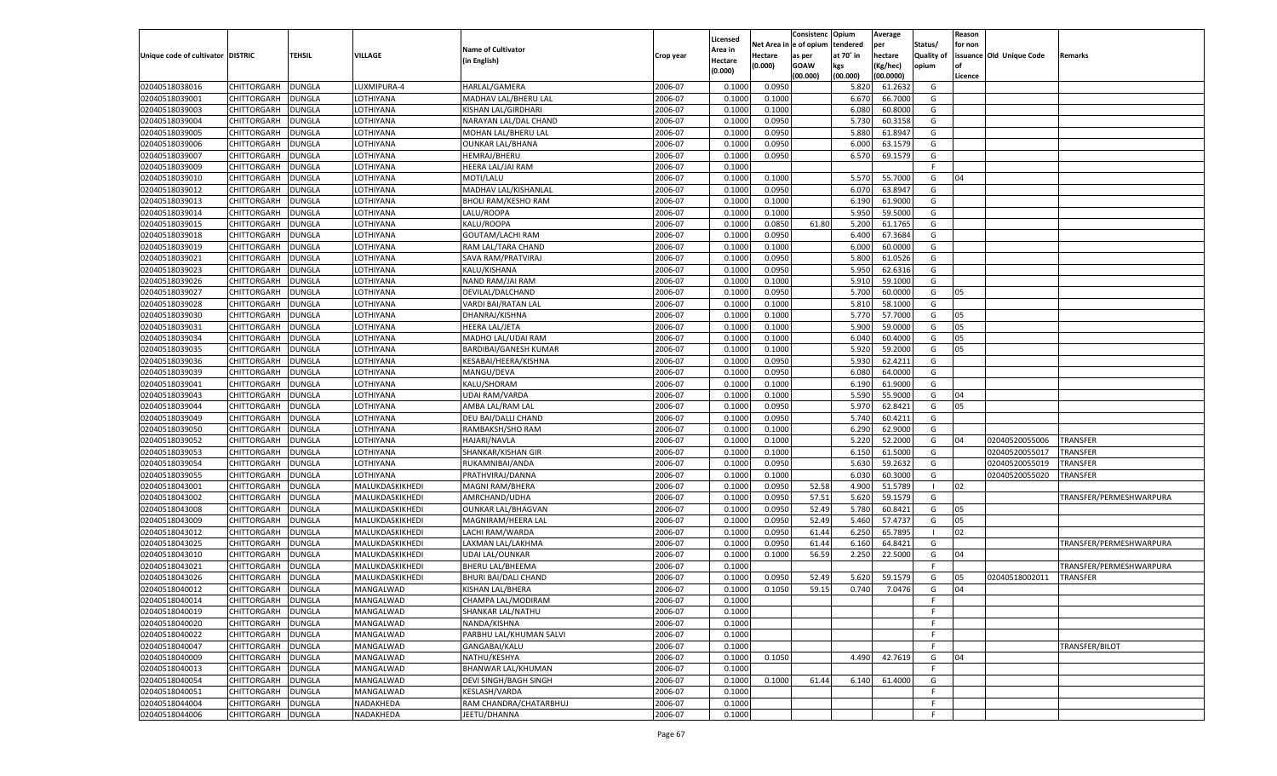|                                   |                            |               |                 |                                        |           |                    |            | Consistenc    | Opium     | Average   |                | Reason  |                          |                         |
|-----------------------------------|----------------------------|---------------|-----------------|----------------------------------------|-----------|--------------------|------------|---------------|-----------|-----------|----------------|---------|--------------------------|-------------------------|
|                                   |                            |               |                 | <b>Name of Cultivator</b>              |           | Licensed           | Net Area i | n  e of opium | tendered  | per       | Status/        | for non |                          |                         |
| Unique code of cultivator DISTRIC |                            | TEHSIL        | VILLAGE         | (in English)                           | Crop year | Area in<br>Hectare | Hectare    | as per        | at 70° in | hectare   | Quality of     |         | issuance Old Unique Code | Remarks                 |
|                                   |                            |               |                 |                                        |           | (0.000)            | (0.000)    | <b>GOAW</b>   | kgs       | (Kg/hec)  | opium          |         |                          |                         |
|                                   |                            |               |                 |                                        |           |                    |            | (00.000)      | (00.000)  | (00.0000) |                | Licence |                          |                         |
| 02040518038016                    | CHITTORGARH                | DUNGLA        | LUXMIPURA-4     | HARLAL/GAMERA                          | 2006-07   | 0.100              | 0.0950     |               | 5.820     | 61.2632   | G              |         |                          |                         |
| 02040518039001                    | CHITTORGARH                | DUNGLA        | LOTHIYANA       | MADHAV LAL/BHERU LAL                   | 2006-07   | 0.100              | 0.1000     |               | 6.670     | 66.7000   | G              |         |                          |                         |
| 02040518039003                    | CHITTORGARH                | DUNGLA        | LOTHIYANA       | KISHAN LAL/GIRDHARI                    | 2006-07   | 0.1000             | 0.1000     |               | 6.080     | 60.8000   | G              |         |                          |                         |
| 02040518039004                    | CHITTORGARH                | DUNGLA        | LOTHIYANA       | NARAYAN LAL/DAL CHAND                  | 2006-07   | 0.1000             | 0.0950     |               | 5.730     | 60.3158   | G              |         |                          |                         |
| 02040518039005                    | CHITTORGARH                | DUNGLA        | LOTHIYANA       | MOHAN LAL/BHERU LAL                    | 2006-07   | 0.1000             | 0.0950     |               | 5.880     | 61.8947   | G              |         |                          |                         |
| 02040518039006                    | CHITTORGARH                | DUNGLA        | LOTHIYANA       | <b>OUNKAR LAL/BHANA</b>                | 2006-07   | 0.1000             | 0.0950     |               | 6.000     | 63.1579   | G              |         |                          |                         |
| 02040518039007                    | CHITTORGARH                | DUNGLA        | LOTHIYANA       | <b>HEMRAJ/BHERU</b>                    | 2006-07   | 0.1000             | 0.0950     |               | 6.570     | 69.1579   | G              |         |                          |                         |
| 02040518039009                    | CHITTORGARH                | DUNGLA        | LOTHIYANA       | HEERA LAL/JAI RAM                      | 2006-07   | 0.1000             |            |               |           |           | E              |         |                          |                         |
| 02040518039010                    | CHITTORGARH                | DUNGLA        | LOTHIYANA       | MOTI/LALU                              | 2006-07   | 0.1000             | 0.1000     |               | 5.570     | 55.7000   | G              | 04      |                          |                         |
| 02040518039012                    | CHITTORGARH                | DUNGLA        | LOTHIYANA       | MADHAV LAL/KISHANLAL                   | 2006-07   | 0.1000             | 0.0950     |               | 6.070     | 63.8947   | G              |         |                          |                         |
| 02040518039013                    | CHITTORGARH                | DUNGLA        | LOTHIYANA       | <b>BHOLI RAM/KESHO RAM</b>             | 2006-07   | 0.1000             | 0.1000     |               | 6.190     | 61.9000   | G              |         |                          |                         |
| 02040518039014                    | CHITTORGARH                | DUNGLA        | LOTHIYANA       | LALU/ROOPA                             | 2006-07   | 0.1000             | 0.1000     |               | 5.950     | 59.5000   | G              |         |                          |                         |
| 02040518039015                    | CHITTORGARH                | DUNGLA        | LOTHIYANA       | KALU/ROOPA                             | 2006-07   | 0.1000             | 0.0850     | 61.80         | 5.200     | 61.1765   | G              |         |                          |                         |
| 02040518039018                    | CHITTORGARH                | DUNGLA        | LOTHIYANA       | GOUTAM/LACHI RAM                       | 2006-07   | 0.1000             | 0.0950     |               | 6.400     | 67.3684   | G              |         |                          |                         |
| 02040518039019                    | CHITTORGARH                | DUNGLA        | LOTHIYANA       | RAM LAL/TARA CHAND                     | 2006-07   | 0.1000             | 0.1000     |               | 6.000     | 60.0000   | G              |         |                          |                         |
| 02040518039021                    | CHITTORGARH                | DUNGLA        | LOTHIYANA       | SAVA RAM/PRATVIRAJ                     | 2006-07   | 0.1000             | 0.0950     |               | 5.800     | 61.0526   | G              |         |                          |                         |
| 02040518039023                    | CHITTORGARH                | DUNGLA        | LOTHIYANA       | KALU/KISHANA                           | 2006-07   | 0.1000             | 0.0950     |               | 5.950     | 62.6316   | G              |         |                          |                         |
| 02040518039026                    | CHITTORGARH                | DUNGLA        | LOTHIYANA       | NAND RAM/JAI RAM                       | 2006-07   | 0.1000             | 0.1000     |               | 5.910     | 59.1000   | G              |         |                          |                         |
| 02040518039027                    | CHITTORGARH                | DUNGLA        | LOTHIYANA       | DEVILAL/DALCHAND                       | 2006-07   | 0.1000             | 0.0950     |               | 5.700     | 60.0000   | G              | 05      |                          |                         |
| 02040518039028                    | CHITTORGARH                | DUNGLA        | LOTHIYANA       | VARDI BAI/RATAN LAL                    | 2006-07   | 0.1000             | 0.1000     |               | 5.810     | 58.1000   | G              |         |                          |                         |
| 02040518039030                    | CHITTORGARH                | DUNGLA        | LOTHIYANA       | DHANRAJ/KISHNA                         | 2006-07   | 0.1000             | 0.1000     |               | 5.770     | 57.7000   | G              | 05      |                          |                         |
| 02040518039031                    | CHITTORGARH                | DUNGLA        | LOTHIYANA       | <b>HEERA LAL/JETA</b>                  | 2006-07   | 0.1000             | 0.1000     |               | 5.900     | 59.0000   | G              | 05      |                          |                         |
| 02040518039034                    | CHITTORGARH                | DUNGLA        | LOTHIYANA       | MADHO LAL/UDAI RAM                     | 2006-07   | 0.1000             | 0.1000     |               | 6.040     | 60.4000   | G              | 05      |                          |                         |
| 02040518039035                    | CHITTORGARH                | DUNGLA        | LOTHIYANA       | BARDIBAI/GANESH KUMAR                  | 2006-07   | 0.1000             | 0.1000     |               | 5.920     | 59.2000   | G              | 05      |                          |                         |
| 02040518039036                    | CHITTORGARH                | DUNGLA        | LOTHIYANA       | KESABAI/HEERA/KISHNA                   | 2006-07   | 0.1000             | 0.0950     |               | 5.930     | 62.4211   | G              |         |                          |                         |
| 02040518039039                    | CHITTORGARH                | DUNGLA        | LOTHIYANA       | MANGU/DEVA                             | 2006-07   | 0.1000             | 0.0950     |               | 6.080     | 64.0000   | G              |         |                          |                         |
| 02040518039041                    | CHITTORGARH                | DUNGLA        | LOTHIYANA       | KALU/SHORAM                            | 2006-07   | 0.1000             | 0.1000     |               | 6.190     | 61.9000   | G              |         |                          |                         |
| 02040518039043                    | CHITTORGARH                | DUNGLA        | LOTHIYANA       | <b>UDAI RAM/VARDA</b>                  | 2006-07   | 0.1000             | 0.1000     |               | 5.590     | 55.9000   | G              | 04      |                          |                         |
| 02040518039044                    | CHITTORGARH                | DUNGLA        | LOTHIYANA       | AMBA LAL/RAM LAL                       | 2006-07   | 0.1000             | 0.0950     |               | 5.970     | 62.8421   | G              | 05      |                          |                         |
| 02040518039049                    | CHITTORGARH                | DUNGLA        | LOTHIYANA       | DEU BAI/DALLI CHAND                    | 2006-07   | 0.1000             | 0.0950     |               | 5.740     | 60.4211   | G              |         |                          |                         |
| 02040518039050                    | CHITTORGARH                | DUNGLA        | LOTHIYANA       | RAMBAKSH/SHO RAM                       | 2006-07   | 0.1000             | 0.1000     |               | 6.290     | 62.9000   | G              |         |                          |                         |
| 02040518039052                    | CHITTORGARH                | DUNGLA        | LOTHIYANA       | <b>HAJARI/NAVLA</b>                    | 2006-07   | 0.1000             | 0.1000     |               | 5.220     | 52.2000   | G              | 04      | 02040520055006           | TRANSFER                |
| 02040518039053                    | CHITTORGARH                | DUNGLA        | LOTHIYANA       | SHANKAR/KISHAN GIR                     | 2006-07   | 0.1000             | 0.1000     |               | 6.150     | 61.5000   | G              |         | 02040520055017           | TRANSFER                |
| 02040518039054                    | CHITTORGARH                | DUNGLA        | LOTHIYANA       | RUKAMNIBAI/ANDA                        | 2006-07   | 0.1000             | 0.0950     |               | 5.630     | 59.2632   | G              |         | 02040520055019           | TRANSFER                |
| 02040518039055                    | CHITTORGARH                | DUNGLA        | LOTHIYANA       | PRATHVIRAJ/DANNA                       | 2006-07   | 0.1000             | 0.1000     |               | 6.030     | 60.3000   | G              |         | 02040520055020           | TRANSFER                |
| 02040518043001                    | CHITTORGARH                | DUNGLA        | MALUKDASKIKHEDI | MAGNI RAM/BHERA                        | 2006-07   | 0.1000             | 0.0950     | 52.58         | 4.900     | 51.5789   | $\blacksquare$ | 02      |                          |                         |
| 02040518043002                    | CHITTORGARH                | DUNGLA        | MALUKDASKIKHEDI | AMRCHAND/UDHA                          | 2006-07   | 0.1000             | 0.0950     | 57.51         | 5.620     | 59.1579   | G              |         |                          | TRANSFER/PERMESHWARPURA |
| 02040518043008                    | CHITTORGARH                | DUNGLA        | MALUKDASKIKHEDI | <b>OUNKAR LAL/BHAGVAN</b>              | 2006-07   | 0.1000             | 0.0950     | 52.49         | 5.780     | 60.8421   | G              | 05      |                          |                         |
| 02040518043009                    | CHITTORGARH                | DUNGLA        | MALUKDASKIKHEDI | MAGNIRAM/HEERA LAL                     | 2006-07   | 0.1000             | 0.0950     | 52.49         | 5.460     | 57.4737   | G              | 05      |                          |                         |
| 02040518043012                    | CHITTORGARH                | DUNGLA        | MALUKDASKIKHEDI | LACHI RAM/WARDA                        | 2006-07   | 0.1000             | 0.0950     | 61.44         | 6.250     | 65.7895   | $\blacksquare$ | 02      |                          |                         |
| 02040518043025                    | CHITTORGARH                | DUNGLA        | MALUKDASKIKHEDI | LAXMAN LAL/LAKHMA                      | 2006-07   | 0.1000             | 0.0950     | 61.44         | 6.160     | 64.8421   | G              |         |                          | TRANSFER/PERMESHWARPURA |
| 02040518043010                    | CHITTORGARH                | DUNGLA        | MALUKDASKIKHEDI | <b>UDAI LAL/OUNKAR</b>                 | 2006-07   | 0.1000             | 0.1000     | 56.59         | 2.250     | 22.5000   | G              | 04      |                          |                         |
| 02040518043021                    | CHITTORGARH                | DUNGLA        | MALUKDASKIKHEDI | <b>BHERU LAL/BHEEMA</b>                | 2006-07   | 0.1000             |            |               |           |           | F.             |         |                          | TRANSFER/PERMESHWARPURA |
| 02040518043026                    | CHITTORGARH                | DUNGLA        | MALUKDASKIKHEDI | <b>BHURI BAI/DALI CHAND</b>            | 2006-07   | 0.1000             | 0.0950     | 52.49         | 5.620     | 59.1579   | G              | 05      | 02040518002011           | TRANSFER                |
| 02040518040012                    |                            | <b>DUNGLA</b> |                 |                                        | 2006-07   | 0.1000             | 0.1050     | 59.15         | 0.740     | 7.0476    | G              | 04      |                          |                         |
|                                   | CHITTORGARH<br>CHITTORGARH |               | MANGALWAD       | KISHAN LAL/BHERA<br>CHAMPA LAL/MODIRAM |           |                    |            |               |           |           |                |         |                          |                         |
| 02040518040014                    |                            | <b>DUNGLA</b> | MANGALWAD       |                                        | 2006-07   | 0.1000             |            |               |           |           | F.             |         |                          |                         |
| 02040518040019                    | <b>CHITTORGARH</b>         | <b>DUNGLA</b> | MANGALWAD       | SHANKAR LAL/NATHU                      | 2006-07   | 0.1000             |            |               |           |           | F.<br>F.       |         |                          |                         |
| 02040518040020                    | CHITTORGARH                | <b>DUNGLA</b> | MANGALWAD       | NANDA/KISHNA                           | 2006-07   | 0.1000             |            |               |           |           |                |         |                          |                         |
| 02040518040022                    | CHITTORGARH                | <b>DUNGLA</b> | MANGALWAD       | PARBHU LAL/KHUMAN SALVI                | 2006-07   | 0.1000             |            |               |           |           | F.             |         |                          |                         |
| 02040518040047                    | CHITTORGARH                | <b>DUNGLA</b> | MANGALWAD       | GANGABAI/KALU                          | 2006-07   | 0.1000             |            |               |           |           | F.             |         |                          | TRANSFER/BILOT          |
| 02040518040009                    | CHITTORGARH                | <b>DUNGLA</b> | MANGALWAD       | NATHU/KESHYA                           | 2006-07   | 0.1000             | 0.1050     |               | 4.490     | 42.7619   | G              | 04      |                          |                         |
| 02040518040013                    | CHITTORGARH                | <b>DUNGLA</b> | MANGALWAD       | BHANWAR LAL/KHUMAN                     | 2006-07   | 0.1000             |            |               |           |           | F              |         |                          |                         |
| 02040518040054                    | <b>CHITTORGARH</b>         | <b>DUNGLA</b> | MANGALWAD       | DEVI SINGH/BAGH SINGH                  | 2006-07   | 0.1000             | 0.1000     | 61.44         | 6.140     | 61.4000   | G              |         |                          |                         |
| 02040518040051                    | CHITTORGARH                | <b>DUNGLA</b> | MANGALWAD       | KESLASH/VARDA                          | 2006-07   | 0.1000             |            |               |           |           | F.             |         |                          |                         |
| 02040518044004                    | CHITTORGARH                | <b>DUNGLA</b> | NADAKHEDA       | RAM CHANDRA/CHATARBHUJ                 | 2006-07   | 0.1000             |            |               |           |           | F.             |         |                          |                         |
| 02040518044006                    | <b>CHITTORGARH</b>         | <b>DUNGLA</b> | NADAKHEDA       | JEETU/DHANNA                           | 2006-07   | 0.1000             |            |               |           |           | F.             |         |                          |                         |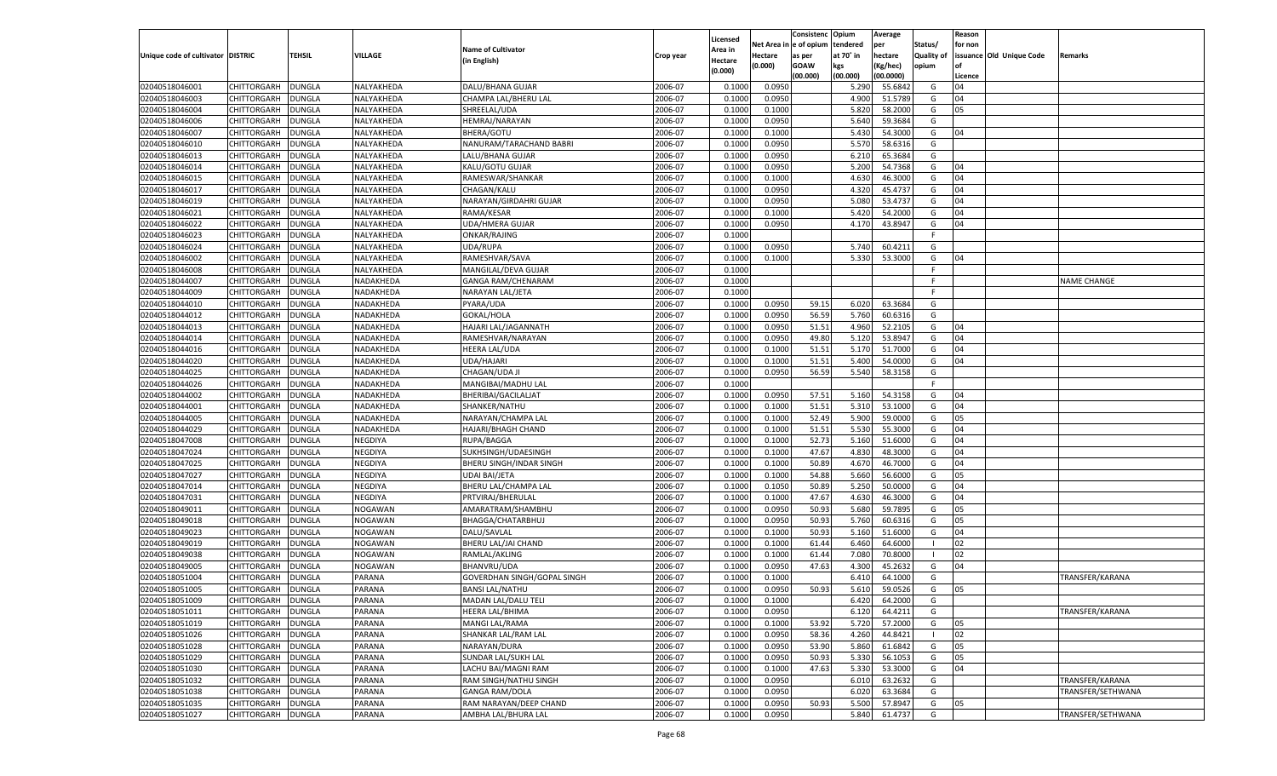| n e of opium<br>tendered<br>Net Area i<br>per<br>Status/<br>for non<br><b>Name of Cultivator</b><br>Area in<br><b>Quality of</b><br>issuance Old Unique Code<br>Unique code of cultivator DISTRIC<br>TEHSIL<br><b>VILLAGE</b><br>Hectare<br>at 70° in<br>hectare<br>as per<br>Remarks<br>Crop year<br>(in English)<br>Hectare<br>(0.000)<br><b>GOAW</b><br>kgs<br>(Kg/hec)<br>opium<br>(0.000)<br>(00.000)<br>(00.000)<br>(00.0000)<br>Licence<br>0.0950<br>02040518046001<br>CHITTORGARH<br><b>DUNGLA</b><br>NALYAKHEDA<br>DALU/BHANA GUJAR<br>2006-07<br>55.6842<br>0.1000<br>5.290<br>G<br>04<br>02040518046003<br>2006-07<br>0.0950<br>4.900<br>CHITTORGARH<br>DUNGLA<br>NALYAKHEDA<br>CHAMPA LAL/BHERU LAL<br>0.1000<br>51.5789<br>G<br>04<br>02040518046004<br>2006-07<br>0.1000<br>5.820<br>CHITTORGARH<br>DUNGLA<br>NALYAKHEDA<br>SHREELAL/UDA<br>0.1000<br>58.2000<br>G<br>05<br>02040518046006<br>2006-07<br>0.0950<br>5.640<br>59.3684<br>CHITTORGARH<br>DUNGLA<br>NALYAKHEDA<br>HEMRAJ/NARAYAN<br>0.1000<br>G<br>02040518046007<br>NALYAKHEDA<br>2006-07<br>0.1000<br>5.430<br>54.3000<br>CHITTORGARH<br>DUNGLA<br><b>BHERA/GOTU</b><br>0.1000<br>G<br>04<br>02040518046010<br>2006-07<br>5.570<br>CHITTORGARH<br>DUNGLA<br>NALYAKHEDA<br>NANURAM/TARACHAND BABRI<br>0.1000<br>0.0950<br>58.6316<br>G<br>02040518046013<br>LALU/BHANA GUJAR<br>2006-07<br>0.0950<br>CHITTORGARH<br>DUNGLA<br>NALYAKHEDA<br>0.1000<br>6.21<br>65.3684<br>G<br>02040518046014<br>2006-07<br>0.0950<br>5.200<br>CHITTORGARH<br>DUNGLA<br>NALYAKHEDA<br>KALU/GOTU GUJAR<br>0.1000<br>54.7368<br>G<br>04<br>2006-07<br>02040518046015<br>DUNGLA<br>NALYAKHEDA<br>0.1000<br>4.630<br>46.3000<br>04<br>CHITTORGARH<br>RAMESWAR/SHANKAR<br>0.1000<br>G<br>02040518046017<br>2006-07<br>4.320<br>CHITTORGARH<br>DUNGLA<br>NALYAKHEDA<br>CHAGAN/KALU<br>0.1000<br>0.0950<br>45.4737<br>G<br>04<br>02040518046019<br>2006-07<br>0.0950<br>5.080<br>CHITTORGARH<br>DUNGLA<br>NALYAKHEDA<br>NARAYAN/GIRDAHRI GUJAR<br>0.1000<br>53.4737<br>G<br>04<br>02040518046021<br>2006-07<br>5.420<br>CHITTORGARH<br>DUNGLA<br>NALYAKHEDA<br>RAMA/KESAR<br>0.1000<br>0.1000<br>54.2000<br>G<br>04<br>2006-07<br>02040518046022<br>DUNGLA<br>NALYAKHEDA<br>0.0950<br>43.8947<br>04<br>CHITTORGARH<br><b>UDA/HMERA GUJAR</b><br>0.1000<br>4.170<br>G<br>02040518046023<br>CHITTORGARH<br>NALYAKHEDA<br>ONKAR/RAJING<br>2006-07<br>0.1000<br>DUNGLA<br>E<br>02040518046024<br>CHITTORGARH<br>DUNGLA<br>NALYAKHEDA<br>UDA/RUPA<br>2006-07<br>0.1000<br>0.0950<br>5.740<br>60.4211<br>G<br>02040518046002<br>CHITTORGARH<br>NALYAKHEDA<br>2006-07<br>5.330<br>53.3000<br>DUNGLA<br>RAMESHVAR/SAVA<br>0.1000<br>0.1000<br>G<br>04<br>02040518046008<br>CHITTORGARH<br><b>DUNGLA</b><br>NALYAKHEDA<br>2006-07<br>0.1000<br>F<br>MANGILAL/DEVA GUJAR<br>02040518044007<br>CHITTORGARH<br>2006-07<br>DUNGLA<br>NADAKHEDA<br><b>GANGA RAM/CHENARAM</b><br>0.1000<br>F.<br>NAME CHANGE<br>02040518044009<br>CHITTORGARH<br>DUNGLA<br>NADAKHEDA<br>NARAYAN LAL/JETA<br>2006-07<br>0.1000<br>E<br>02040518044010<br>CHITTORGARH<br>PYARA/UDA<br>2006-07<br>0.0950<br>59.15<br>6.020<br>63.3684<br>DUNGLA<br>NADAKHEDA<br>0.1000<br>G<br>02040518044012<br>CHITTORGARH<br><b>DUNGLA</b><br>NADAKHEDA<br>GOKAL/HOLA<br>2006-07<br>0.1000<br>0.0950<br>56.59<br>5.760<br>G<br>60.6316<br>02040518044013<br>CHITTORGARH<br>HAJARI LAL/JAGANNATH<br>2006-07<br>0.0950<br>51.51<br>4.960<br>52.2105<br>DUNGLA<br>NADAKHEDA<br>0.1000<br>G<br>04<br>02040518044014<br>CHITTORGARH<br>DUNGLA<br>NADAKHEDA<br>2006-07<br>0.1000<br>0.0950<br>49.80<br>5.120<br>53.8947<br>RAMESHVAR/NARAYAN<br>G<br>04<br>02040518044016<br>CHITTORGARH<br>HEERA LAL/UDA<br>2006-07<br>0.1000<br>51.51<br>5.170<br>51.7000<br>DUNGLA<br>NADAKHEDA<br>0.1000<br>G<br>04<br>02040518044020<br>CHITTORGARH<br><b>DUNGLA</b><br>NADAKHEDA<br>UDA/HAJARI<br>2006-07<br>0.1000<br>0.1000<br>51.51<br>5.400<br>54.0000<br>G<br>04<br>02040518044025<br>CHITTORGARH<br>CHAGAN/UDA JI<br>2006-07<br>0.0950<br>56.59<br>5.540<br>58.3158<br>DUNGLA<br>NADAKHEDA<br>0.1000<br>G<br>02040518044026<br>CHITTORGARH<br>DUNGLA<br>NADAKHEDA<br>2006-07<br>0.1000<br>MANGIBAI/MADHU LAL<br>F.<br>02040518044002<br>CHITTORGARH<br>BHERIBAI/GACILALJAT<br>2006-07<br>0.0950<br>57.51<br>5.160<br>54.3158<br>DUNGLA<br>NADAKHEDA<br>0.1000<br>G<br>04<br>02040518044001<br>CHITTORGARH<br><b>DUNGLA</b><br>NADAKHEDA<br>2006-07<br>0.1000<br>0.1000<br>51.51<br>5.310<br>53.1000<br>G<br>04<br>SHANKER/NATHU<br>02040518044005<br>2006-07<br>0.1000<br>52.49<br>5.900<br>59.0000<br>CHITTORGARH<br>DUNGLA<br>NADAKHEDA<br>NARAYAN/CHAMPA LAL<br>0.1000<br>G<br>05<br>02040518044029<br><b>DUNGLA</b><br>NADAKHEDA<br>2006-07<br>0.1000<br>0.1000<br>51.51<br>5.530<br>55.3000<br>CHITTORGARH<br><b>HAJARI/BHAGH CHAND</b><br>G<br>04<br>02040518047008<br>2006-07<br>0.1000<br>52.73<br>5.160<br>51.6000<br>CHITTORGARH<br>DUNGLA<br>NEGDIYA<br>RUPA/BAGGA<br>0.1000<br>G<br>04<br>47.67<br>02040518047024<br><b>DUNGLA</b><br>NEGDIYA<br>2006-07<br>0.1000<br>0.1000<br>4.830<br>48.3000<br>CHITTORGARH<br>SUKHSINGH/UDAESINGH<br>G<br>04<br>02040518047025<br>2006-07<br>0.1000<br>0.1000<br>50.89<br>4.670<br>46.7000<br>CHITTORGARH<br>DUNGLA<br>NEGDIYA<br>BHERU SINGH/INDAR SINGH<br>G<br>04<br>02040518047027<br><b>DUNGLA</b><br>NEGDIYA<br>2006-07<br>0.1000<br>0.1000<br>54.88<br>5.660<br>56.6000<br>CHITTORGARH<br>UDAI BAI/JETA<br>G<br>05<br>02040518047014<br>2006-07<br>0.1050<br>50.89<br>5.250<br>50.0000<br>CHITTORGARH<br>DUNGLA<br>NEGDIYA<br>BHERU LAL/CHAMPA LAL<br>0.1000<br>G<br>04<br>47.67<br>02040518047031<br><b>DUNGLA</b><br>NEGDIYA<br>2006-07<br>0.1000<br>0.1000<br>4.630<br>46.3000<br>CHITTORGARH<br>PRTVIRAJ/BHERULAI<br>G<br>04<br>02040518049011<br><b>NOGAWAN</b><br>2006-07<br>0.1000<br>0.0950<br>50.93<br>5.680<br>59.7895<br>CHITTORGARH<br>DUNGLA<br>AMARATRAM/SHAMBHU<br>G<br>05<br>02040518049018<br><b>DUNGLA</b><br>NOGAWAN<br>BHAGGA/CHATARBHUJ<br>2006-07<br>0.1000<br>0.0950<br>50.93<br>5.760<br>60.6316<br>CHITTORGARH<br>G<br>05<br>02040518049023<br>2006-07<br>0.1000<br>50.93<br>5.160<br>51.6000<br>CHITTORGARH<br>DUNGLA<br>NOGAWAN<br>DALU/SAVLAL<br>0.1000<br>G<br>04<br>02040518049019<br><b>DUNGLA</b><br>NOGAWAN<br>2006-07<br>0.1000<br>0.1000<br>64.6000<br>02<br>CHITTORGARH<br>BHERU LAL/JAI CHAND<br>61.44<br>6.460<br>02040518049038<br>2006-07<br>7.080<br>02<br>CHITTORGARH<br>DUNGLA<br><b>NOGAWAN</b><br>RAMLAL/AKLING<br>0.1000<br>0.1000<br>61.44<br>70.8000<br>02040518049005<br><b>NOGAWAN</b><br>2006-07<br>0.0950<br>47.63<br>4.300<br>CHITTORGARH<br>DUNGLA<br><b>BHANVRU/UDA</b><br>0.1000<br>45.2632<br>G<br>04<br>02040518051004<br>2006-07<br>6.41<br>TRANSFER/KARANA<br>CHITTORGARH<br>DUNGLA<br>PARANA<br>GOVERDHAN SINGH/GOPAL SINGH<br>0.1000<br>0.1000<br>64.1000<br>G<br>02040518051005<br><b>DUNGLA</b><br>PARANA<br>2006-07<br>0.0950<br>50.93<br>5.610<br>59.0526<br>CHITTORGARH<br><b>BANSI LAL/NATHU</b><br>0.1000<br>G<br>05<br>02040518051009<br>CHITTORGARH<br><b>DUNGLA</b><br><b>PARANA</b><br>MADAN LAL/DALU TELI<br>2006-07<br>0.1000<br>0.1000<br>6.420<br>64.2000<br>G<br>02040518051011<br><b>DUNGLA</b><br>PARANA<br>HEERA LAL/BHIMA<br>2006-07<br>0.1000<br>0.0950<br>6.120<br>64.4211<br>TRANSFER/KARANA<br><b>CHITTORGARH</b><br>G<br>02040518051019<br>CHITTORGARH<br>MANGI LAL/RAMA<br>2006-07<br>0.1000<br>53.92<br>5.720<br>57.2000<br><b>DUNGLA</b><br>PARANA<br>0.1000<br>G<br>05<br>2006-07<br>58.36<br>02040518051026<br>CHITTORGARH<br><b>DUNGLA</b><br>PARANA<br>SHANKAR LAL/RAM LAL<br>0.0950<br>4.260<br>44.8421<br>02<br>0.1000<br>- 1<br>02040518051028<br>CHITTORGARH<br>PARANA<br>NARAYAN/DURA<br>2006-07<br>0.0950<br>53.90<br>5.860<br>61.6842<br><b>DUNGLA</b><br>0.1000<br>G<br>05<br>02040518051029<br>CHITTORGARH<br><b>DUNGLA</b><br>PARANA<br>SUNDAR LAL/SUKH LAL<br>2006-07<br>0.0950<br>50.93<br>5.330<br>56.1053<br>0.1000<br>G<br>05<br>02040518051030<br>CHITTORGARH<br>LACHU BAI/MAGNI RAM<br>2006-07<br>0.1000<br>47.63<br>5.330<br>53.3000<br>04<br><b>DUNGLA</b><br>PARANA<br>0.1000<br>G<br>02040518051032<br>CHITTORGARH<br><b>DUNGLA</b><br>PARANA<br>RAM SINGH/NATHU SINGH<br>2006-07<br>0.0950<br>6.010<br>63.2632<br>TRANSFER/KARANA<br>0.1000<br>G<br>02040518051038<br>CHITTORGARH<br>2006-07<br>0.0950<br>6.020<br>63.3684<br>TRANSFER/SETHWANA<br><b>DUNGLA</b><br>PARANA<br><b>GANGA RAM/DOLA</b><br>0.1000<br>G<br>02040518051035<br>CHITTORGARH<br><b>DUNGLA</b><br>PARANA<br>RAM NARAYAN/DEEP CHAND<br>2006-07<br>0.0950<br>50.93<br>5.500<br>57.8947<br>G<br>0.1000<br>05<br>02040518051027<br>AMBHA LAL/BHURA LAL<br>2006-07<br>0.0950<br>5.840<br>61.4737<br>G<br>TRANSFER/SETHWANA<br><b>CHITTORGARH</b><br><b>DUNGLA</b><br>PARANA<br>0.1000 |  |  |  |          | Consistenc | Opium | Average | Reason |  |
|------------------------------------------------------------------------------------------------------------------------------------------------------------------------------------------------------------------------------------------------------------------------------------------------------------------------------------------------------------------------------------------------------------------------------------------------------------------------------------------------------------------------------------------------------------------------------------------------------------------------------------------------------------------------------------------------------------------------------------------------------------------------------------------------------------------------------------------------------------------------------------------------------------------------------------------------------------------------------------------------------------------------------------------------------------------------------------------------------------------------------------------------------------------------------------------------------------------------------------------------------------------------------------------------------------------------------------------------------------------------------------------------------------------------------------------------------------------------------------------------------------------------------------------------------------------------------------------------------------------------------------------------------------------------------------------------------------------------------------------------------------------------------------------------------------------------------------------------------------------------------------------------------------------------------------------------------------------------------------------------------------------------------------------------------------------------------------------------------------------------------------------------------------------------------------------------------------------------------------------------------------------------------------------------------------------------------------------------------------------------------------------------------------------------------------------------------------------------------------------------------------------------------------------------------------------------------------------------------------------------------------------------------------------------------------------------------------------------------------------------------------------------------------------------------------------------------------------------------------------------------------------------------------------------------------------------------------------------------------------------------------------------------------------------------------------------------------------------------------------------------------------------------------------------------------------------------------------------------------------------------------------------------------------------------------------------------------------------------------------------------------------------------------------------------------------------------------------------------------------------------------------------------------------------------------------------------------------------------------------------------------------------------------------------------------------------------------------------------------------------------------------------------------------------------------------------------------------------------------------------------------------------------------------------------------------------------------------------------------------------------------------------------------------------------------------------------------------------------------------------------------------------------------------------------------------------------------------------------------------------------------------------------------------------------------------------------------------------------------------------------------------------------------------------------------------------------------------------------------------------------------------------------------------------------------------------------------------------------------------------------------------------------------------------------------------------------------------------------------------------------------------------------------------------------------------------------------------------------------------------------------------------------------------------------------------------------------------------------------------------------------------------------------------------------------------------------------------------------------------------------------------------------------------------------------------------------------------------------------------------------------------------------------------------------------------------------------------------------------------------------------------------------------------------------------------------------------------------------------------------------------------------------------------------------------------------------------------------------------------------------------------------------------------------------------------------------------------------------------------------------------------------------------------------------------------------------------------------------------------------------------------------------------------------------------------------------------------------------------------------------------------------------------------------------------------------------------------------------------------------------------------------------------------------------------------------------------------------------------------------------------------------------------------------------------------------------------------------------------------------------------------------------------------------------------------------------------------------------------------------------------------------------------------------------------------------------------------------------------------------------------------------------------------------------------------------------------------------------------------------------------------------------------------------------------------------------------------------------------------------------------------------------------------------------------------------------------------------------------------------------------------------------------------------------------------------------------------------------------------------------------------------------------------------------------------------------------------------------------------------------------------------------------------------------------------------------------------------------------------------------------------------------------------------------------------------------------------------------------------------------------------------------------------------------------------------------------------------------------------------------------------------------------------------------------------------------------------------------------------------------------------------------------------------------------------------------------------------------------------------------------------------------------------------------------------------------------------------------------------------------------------------------------------------------------------------------------------------------------------------------------------------------------------------------------------------------------------------------------------------------------------------------------------------------------------------------------------------------------------------------------------------------------------------------------------------------------------------------------------------------------------------------------------------------------------------------------------------------------------------------------------------------------------------------------------------------------------------------------------------------------------------------------------------------------------------------|--|--|--|----------|------------|-------|---------|--------|--|
|                                                                                                                                                                                                                                                                                                                                                                                                                                                                                                                                                                                                                                                                                                                                                                                                                                                                                                                                                                                                                                                                                                                                                                                                                                                                                                                                                                                                                                                                                                                                                                                                                                                                                                                                                                                                                                                                                                                                                                                                                                                                                                                                                                                                                                                                                                                                                                                                                                                                                                                                                                                                                                                                                                                                                                                                                                                                                                                                                                                                                                                                                                                                                                                                                                                                                                                                                                                                                                                                                                                                                                                                                                                                                                                                                                                                                                                                                                                                                                                                                                                                                                                                                                                                                                                                                                                                                                                                                                                                                                                                                                                                                                                                                                                                                                                                                                                                                                                                                                                                                                                                                                                                                                                                                                                                                                                                                                                                                                                                                                                                                                                                                                                                                                                                                                                                                                                                                                                                                                                                                                                                                                                                                                                                                                                                                                                                                                                                                                                                                                                                                                                                                                                                                                                                                                                                                                                                                                                                                                                                                                                                                                                                                                                                                                                                                                                                                                                                                                                                                                                                                                                                                                                                                                                                                                                                                                                                                                                                                                                                                                                                                                                                                                                                                                                                                                                                                                                                                                                                                                                                                                                                                                                                                                                                                                                                                              |  |  |  | Licensed |            |       |         |        |  |
|                                                                                                                                                                                                                                                                                                                                                                                                                                                                                                                                                                                                                                                                                                                                                                                                                                                                                                                                                                                                                                                                                                                                                                                                                                                                                                                                                                                                                                                                                                                                                                                                                                                                                                                                                                                                                                                                                                                                                                                                                                                                                                                                                                                                                                                                                                                                                                                                                                                                                                                                                                                                                                                                                                                                                                                                                                                                                                                                                                                                                                                                                                                                                                                                                                                                                                                                                                                                                                                                                                                                                                                                                                                                                                                                                                                                                                                                                                                                                                                                                                                                                                                                                                                                                                                                                                                                                                                                                                                                                                                                                                                                                                                                                                                                                                                                                                                                                                                                                                                                                                                                                                                                                                                                                                                                                                                                                                                                                                                                                                                                                                                                                                                                                                                                                                                                                                                                                                                                                                                                                                                                                                                                                                                                                                                                                                                                                                                                                                                                                                                                                                                                                                                                                                                                                                                                                                                                                                                                                                                                                                                                                                                                                                                                                                                                                                                                                                                                                                                                                                                                                                                                                                                                                                                                                                                                                                                                                                                                                                                                                                                                                                                                                                                                                                                                                                                                                                                                                                                                                                                                                                                                                                                                                                                                                                                                                              |  |  |  |          |            |       |         |        |  |
|                                                                                                                                                                                                                                                                                                                                                                                                                                                                                                                                                                                                                                                                                                                                                                                                                                                                                                                                                                                                                                                                                                                                                                                                                                                                                                                                                                                                                                                                                                                                                                                                                                                                                                                                                                                                                                                                                                                                                                                                                                                                                                                                                                                                                                                                                                                                                                                                                                                                                                                                                                                                                                                                                                                                                                                                                                                                                                                                                                                                                                                                                                                                                                                                                                                                                                                                                                                                                                                                                                                                                                                                                                                                                                                                                                                                                                                                                                                                                                                                                                                                                                                                                                                                                                                                                                                                                                                                                                                                                                                                                                                                                                                                                                                                                                                                                                                                                                                                                                                                                                                                                                                                                                                                                                                                                                                                                                                                                                                                                                                                                                                                                                                                                                                                                                                                                                                                                                                                                                                                                                                                                                                                                                                                                                                                                                                                                                                                                                                                                                                                                                                                                                                                                                                                                                                                                                                                                                                                                                                                                                                                                                                                                                                                                                                                                                                                                                                                                                                                                                                                                                                                                                                                                                                                                                                                                                                                                                                                                                                                                                                                                                                                                                                                                                                                                                                                                                                                                                                                                                                                                                                                                                                                                                                                                                                                                              |  |  |  |          |            |       |         |        |  |
|                                                                                                                                                                                                                                                                                                                                                                                                                                                                                                                                                                                                                                                                                                                                                                                                                                                                                                                                                                                                                                                                                                                                                                                                                                                                                                                                                                                                                                                                                                                                                                                                                                                                                                                                                                                                                                                                                                                                                                                                                                                                                                                                                                                                                                                                                                                                                                                                                                                                                                                                                                                                                                                                                                                                                                                                                                                                                                                                                                                                                                                                                                                                                                                                                                                                                                                                                                                                                                                                                                                                                                                                                                                                                                                                                                                                                                                                                                                                                                                                                                                                                                                                                                                                                                                                                                                                                                                                                                                                                                                                                                                                                                                                                                                                                                                                                                                                                                                                                                                                                                                                                                                                                                                                                                                                                                                                                                                                                                                                                                                                                                                                                                                                                                                                                                                                                                                                                                                                                                                                                                                                                                                                                                                                                                                                                                                                                                                                                                                                                                                                                                                                                                                                                                                                                                                                                                                                                                                                                                                                                                                                                                                                                                                                                                                                                                                                                                                                                                                                                                                                                                                                                                                                                                                                                                                                                                                                                                                                                                                                                                                                                                                                                                                                                                                                                                                                                                                                                                                                                                                                                                                                                                                                                                                                                                                                                              |  |  |  |          |            |       |         |        |  |
|                                                                                                                                                                                                                                                                                                                                                                                                                                                                                                                                                                                                                                                                                                                                                                                                                                                                                                                                                                                                                                                                                                                                                                                                                                                                                                                                                                                                                                                                                                                                                                                                                                                                                                                                                                                                                                                                                                                                                                                                                                                                                                                                                                                                                                                                                                                                                                                                                                                                                                                                                                                                                                                                                                                                                                                                                                                                                                                                                                                                                                                                                                                                                                                                                                                                                                                                                                                                                                                                                                                                                                                                                                                                                                                                                                                                                                                                                                                                                                                                                                                                                                                                                                                                                                                                                                                                                                                                                                                                                                                                                                                                                                                                                                                                                                                                                                                                                                                                                                                                                                                                                                                                                                                                                                                                                                                                                                                                                                                                                                                                                                                                                                                                                                                                                                                                                                                                                                                                                                                                                                                                                                                                                                                                                                                                                                                                                                                                                                                                                                                                                                                                                                                                                                                                                                                                                                                                                                                                                                                                                                                                                                                                                                                                                                                                                                                                                                                                                                                                                                                                                                                                                                                                                                                                                                                                                                                                                                                                                                                                                                                                                                                                                                                                                                                                                                                                                                                                                                                                                                                                                                                                                                                                                                                                                                                                                              |  |  |  |          |            |       |         |        |  |
|                                                                                                                                                                                                                                                                                                                                                                                                                                                                                                                                                                                                                                                                                                                                                                                                                                                                                                                                                                                                                                                                                                                                                                                                                                                                                                                                                                                                                                                                                                                                                                                                                                                                                                                                                                                                                                                                                                                                                                                                                                                                                                                                                                                                                                                                                                                                                                                                                                                                                                                                                                                                                                                                                                                                                                                                                                                                                                                                                                                                                                                                                                                                                                                                                                                                                                                                                                                                                                                                                                                                                                                                                                                                                                                                                                                                                                                                                                                                                                                                                                                                                                                                                                                                                                                                                                                                                                                                                                                                                                                                                                                                                                                                                                                                                                                                                                                                                                                                                                                                                                                                                                                                                                                                                                                                                                                                                                                                                                                                                                                                                                                                                                                                                                                                                                                                                                                                                                                                                                                                                                                                                                                                                                                                                                                                                                                                                                                                                                                                                                                                                                                                                                                                                                                                                                                                                                                                                                                                                                                                                                                                                                                                                                                                                                                                                                                                                                                                                                                                                                                                                                                                                                                                                                                                                                                                                                                                                                                                                                                                                                                                                                                                                                                                                                                                                                                                                                                                                                                                                                                                                                                                                                                                                                                                                                                                                              |  |  |  |          |            |       |         |        |  |
|                                                                                                                                                                                                                                                                                                                                                                                                                                                                                                                                                                                                                                                                                                                                                                                                                                                                                                                                                                                                                                                                                                                                                                                                                                                                                                                                                                                                                                                                                                                                                                                                                                                                                                                                                                                                                                                                                                                                                                                                                                                                                                                                                                                                                                                                                                                                                                                                                                                                                                                                                                                                                                                                                                                                                                                                                                                                                                                                                                                                                                                                                                                                                                                                                                                                                                                                                                                                                                                                                                                                                                                                                                                                                                                                                                                                                                                                                                                                                                                                                                                                                                                                                                                                                                                                                                                                                                                                                                                                                                                                                                                                                                                                                                                                                                                                                                                                                                                                                                                                                                                                                                                                                                                                                                                                                                                                                                                                                                                                                                                                                                                                                                                                                                                                                                                                                                                                                                                                                                                                                                                                                                                                                                                                                                                                                                                                                                                                                                                                                                                                                                                                                                                                                                                                                                                                                                                                                                                                                                                                                                                                                                                                                                                                                                                                                                                                                                                                                                                                                                                                                                                                                                                                                                                                                                                                                                                                                                                                                                                                                                                                                                                                                                                                                                                                                                                                                                                                                                                                                                                                                                                                                                                                                                                                                                                                                              |  |  |  |          |            |       |         |        |  |
|                                                                                                                                                                                                                                                                                                                                                                                                                                                                                                                                                                                                                                                                                                                                                                                                                                                                                                                                                                                                                                                                                                                                                                                                                                                                                                                                                                                                                                                                                                                                                                                                                                                                                                                                                                                                                                                                                                                                                                                                                                                                                                                                                                                                                                                                                                                                                                                                                                                                                                                                                                                                                                                                                                                                                                                                                                                                                                                                                                                                                                                                                                                                                                                                                                                                                                                                                                                                                                                                                                                                                                                                                                                                                                                                                                                                                                                                                                                                                                                                                                                                                                                                                                                                                                                                                                                                                                                                                                                                                                                                                                                                                                                                                                                                                                                                                                                                                                                                                                                                                                                                                                                                                                                                                                                                                                                                                                                                                                                                                                                                                                                                                                                                                                                                                                                                                                                                                                                                                                                                                                                                                                                                                                                                                                                                                                                                                                                                                                                                                                                                                                                                                                                                                                                                                                                                                                                                                                                                                                                                                                                                                                                                                                                                                                                                                                                                                                                                                                                                                                                                                                                                                                                                                                                                                                                                                                                                                                                                                                                                                                                                                                                                                                                                                                                                                                                                                                                                                                                                                                                                                                                                                                                                                                                                                                                                                              |  |  |  |          |            |       |         |        |  |
|                                                                                                                                                                                                                                                                                                                                                                                                                                                                                                                                                                                                                                                                                                                                                                                                                                                                                                                                                                                                                                                                                                                                                                                                                                                                                                                                                                                                                                                                                                                                                                                                                                                                                                                                                                                                                                                                                                                                                                                                                                                                                                                                                                                                                                                                                                                                                                                                                                                                                                                                                                                                                                                                                                                                                                                                                                                                                                                                                                                                                                                                                                                                                                                                                                                                                                                                                                                                                                                                                                                                                                                                                                                                                                                                                                                                                                                                                                                                                                                                                                                                                                                                                                                                                                                                                                                                                                                                                                                                                                                                                                                                                                                                                                                                                                                                                                                                                                                                                                                                                                                                                                                                                                                                                                                                                                                                                                                                                                                                                                                                                                                                                                                                                                                                                                                                                                                                                                                                                                                                                                                                                                                                                                                                                                                                                                                                                                                                                                                                                                                                                                                                                                                                                                                                                                                                                                                                                                                                                                                                                                                                                                                                                                                                                                                                                                                                                                                                                                                                                                                                                                                                                                                                                                                                                                                                                                                                                                                                                                                                                                                                                                                                                                                                                                                                                                                                                                                                                                                                                                                                                                                                                                                                                                                                                                                                                              |  |  |  |          |            |       |         |        |  |
|                                                                                                                                                                                                                                                                                                                                                                                                                                                                                                                                                                                                                                                                                                                                                                                                                                                                                                                                                                                                                                                                                                                                                                                                                                                                                                                                                                                                                                                                                                                                                                                                                                                                                                                                                                                                                                                                                                                                                                                                                                                                                                                                                                                                                                                                                                                                                                                                                                                                                                                                                                                                                                                                                                                                                                                                                                                                                                                                                                                                                                                                                                                                                                                                                                                                                                                                                                                                                                                                                                                                                                                                                                                                                                                                                                                                                                                                                                                                                                                                                                                                                                                                                                                                                                                                                                                                                                                                                                                                                                                                                                                                                                                                                                                                                                                                                                                                                                                                                                                                                                                                                                                                                                                                                                                                                                                                                                                                                                                                                                                                                                                                                                                                                                                                                                                                                                                                                                                                                                                                                                                                                                                                                                                                                                                                                                                                                                                                                                                                                                                                                                                                                                                                                                                                                                                                                                                                                                                                                                                                                                                                                                                                                                                                                                                                                                                                                                                                                                                                                                                                                                                                                                                                                                                                                                                                                                                                                                                                                                                                                                                                                                                                                                                                                                                                                                                                                                                                                                                                                                                                                                                                                                                                                                                                                                                                                              |  |  |  |          |            |       |         |        |  |
|                                                                                                                                                                                                                                                                                                                                                                                                                                                                                                                                                                                                                                                                                                                                                                                                                                                                                                                                                                                                                                                                                                                                                                                                                                                                                                                                                                                                                                                                                                                                                                                                                                                                                                                                                                                                                                                                                                                                                                                                                                                                                                                                                                                                                                                                                                                                                                                                                                                                                                                                                                                                                                                                                                                                                                                                                                                                                                                                                                                                                                                                                                                                                                                                                                                                                                                                                                                                                                                                                                                                                                                                                                                                                                                                                                                                                                                                                                                                                                                                                                                                                                                                                                                                                                                                                                                                                                                                                                                                                                                                                                                                                                                                                                                                                                                                                                                                                                                                                                                                                                                                                                                                                                                                                                                                                                                                                                                                                                                                                                                                                                                                                                                                                                                                                                                                                                                                                                                                                                                                                                                                                                                                                                                                                                                                                                                                                                                                                                                                                                                                                                                                                                                                                                                                                                                                                                                                                                                                                                                                                                                                                                                                                                                                                                                                                                                                                                                                                                                                                                                                                                                                                                                                                                                                                                                                                                                                                                                                                                                                                                                                                                                                                                                                                                                                                                                                                                                                                                                                                                                                                                                                                                                                                                                                                                                                                              |  |  |  |          |            |       |         |        |  |
|                                                                                                                                                                                                                                                                                                                                                                                                                                                                                                                                                                                                                                                                                                                                                                                                                                                                                                                                                                                                                                                                                                                                                                                                                                                                                                                                                                                                                                                                                                                                                                                                                                                                                                                                                                                                                                                                                                                                                                                                                                                                                                                                                                                                                                                                                                                                                                                                                                                                                                                                                                                                                                                                                                                                                                                                                                                                                                                                                                                                                                                                                                                                                                                                                                                                                                                                                                                                                                                                                                                                                                                                                                                                                                                                                                                                                                                                                                                                                                                                                                                                                                                                                                                                                                                                                                                                                                                                                                                                                                                                                                                                                                                                                                                                                                                                                                                                                                                                                                                                                                                                                                                                                                                                                                                                                                                                                                                                                                                                                                                                                                                                                                                                                                                                                                                                                                                                                                                                                                                                                                                                                                                                                                                                                                                                                                                                                                                                                                                                                                                                                                                                                                                                                                                                                                                                                                                                                                                                                                                                                                                                                                                                                                                                                                                                                                                                                                                                                                                                                                                                                                                                                                                                                                                                                                                                                                                                                                                                                                                                                                                                                                                                                                                                                                                                                                                                                                                                                                                                                                                                                                                                                                                                                                                                                                                                                              |  |  |  |          |            |       |         |        |  |
|                                                                                                                                                                                                                                                                                                                                                                                                                                                                                                                                                                                                                                                                                                                                                                                                                                                                                                                                                                                                                                                                                                                                                                                                                                                                                                                                                                                                                                                                                                                                                                                                                                                                                                                                                                                                                                                                                                                                                                                                                                                                                                                                                                                                                                                                                                                                                                                                                                                                                                                                                                                                                                                                                                                                                                                                                                                                                                                                                                                                                                                                                                                                                                                                                                                                                                                                                                                                                                                                                                                                                                                                                                                                                                                                                                                                                                                                                                                                                                                                                                                                                                                                                                                                                                                                                                                                                                                                                                                                                                                                                                                                                                                                                                                                                                                                                                                                                                                                                                                                                                                                                                                                                                                                                                                                                                                                                                                                                                                                                                                                                                                                                                                                                                                                                                                                                                                                                                                                                                                                                                                                                                                                                                                                                                                                                                                                                                                                                                                                                                                                                                                                                                                                                                                                                                                                                                                                                                                                                                                                                                                                                                                                                                                                                                                                                                                                                                                                                                                                                                                                                                                                                                                                                                                                                                                                                                                                                                                                                                                                                                                                                                                                                                                                                                                                                                                                                                                                                                                                                                                                                                                                                                                                                                                                                                                                                              |  |  |  |          |            |       |         |        |  |
|                                                                                                                                                                                                                                                                                                                                                                                                                                                                                                                                                                                                                                                                                                                                                                                                                                                                                                                                                                                                                                                                                                                                                                                                                                                                                                                                                                                                                                                                                                                                                                                                                                                                                                                                                                                                                                                                                                                                                                                                                                                                                                                                                                                                                                                                                                                                                                                                                                                                                                                                                                                                                                                                                                                                                                                                                                                                                                                                                                                                                                                                                                                                                                                                                                                                                                                                                                                                                                                                                                                                                                                                                                                                                                                                                                                                                                                                                                                                                                                                                                                                                                                                                                                                                                                                                                                                                                                                                                                                                                                                                                                                                                                                                                                                                                                                                                                                                                                                                                                                                                                                                                                                                                                                                                                                                                                                                                                                                                                                                                                                                                                                                                                                                                                                                                                                                                                                                                                                                                                                                                                                                                                                                                                                                                                                                                                                                                                                                                                                                                                                                                                                                                                                                                                                                                                                                                                                                                                                                                                                                                                                                                                                                                                                                                                                                                                                                                                                                                                                                                                                                                                                                                                                                                                                                                                                                                                                                                                                                                                                                                                                                                                                                                                                                                                                                                                                                                                                                                                                                                                                                                                                                                                                                                                                                                                                                              |  |  |  |          |            |       |         |        |  |
|                                                                                                                                                                                                                                                                                                                                                                                                                                                                                                                                                                                                                                                                                                                                                                                                                                                                                                                                                                                                                                                                                                                                                                                                                                                                                                                                                                                                                                                                                                                                                                                                                                                                                                                                                                                                                                                                                                                                                                                                                                                                                                                                                                                                                                                                                                                                                                                                                                                                                                                                                                                                                                                                                                                                                                                                                                                                                                                                                                                                                                                                                                                                                                                                                                                                                                                                                                                                                                                                                                                                                                                                                                                                                                                                                                                                                                                                                                                                                                                                                                                                                                                                                                                                                                                                                                                                                                                                                                                                                                                                                                                                                                                                                                                                                                                                                                                                                                                                                                                                                                                                                                                                                                                                                                                                                                                                                                                                                                                                                                                                                                                                                                                                                                                                                                                                                                                                                                                                                                                                                                                                                                                                                                                                                                                                                                                                                                                                                                                                                                                                                                                                                                                                                                                                                                                                                                                                                                                                                                                                                                                                                                                                                                                                                                                                                                                                                                                                                                                                                                                                                                                                                                                                                                                                                                                                                                                                                                                                                                                                                                                                                                                                                                                                                                                                                                                                                                                                                                                                                                                                                                                                                                                                                                                                                                                                                              |  |  |  |          |            |       |         |        |  |
|                                                                                                                                                                                                                                                                                                                                                                                                                                                                                                                                                                                                                                                                                                                                                                                                                                                                                                                                                                                                                                                                                                                                                                                                                                                                                                                                                                                                                                                                                                                                                                                                                                                                                                                                                                                                                                                                                                                                                                                                                                                                                                                                                                                                                                                                                                                                                                                                                                                                                                                                                                                                                                                                                                                                                                                                                                                                                                                                                                                                                                                                                                                                                                                                                                                                                                                                                                                                                                                                                                                                                                                                                                                                                                                                                                                                                                                                                                                                                                                                                                                                                                                                                                                                                                                                                                                                                                                                                                                                                                                                                                                                                                                                                                                                                                                                                                                                                                                                                                                                                                                                                                                                                                                                                                                                                                                                                                                                                                                                                                                                                                                                                                                                                                                                                                                                                                                                                                                                                                                                                                                                                                                                                                                                                                                                                                                                                                                                                                                                                                                                                                                                                                                                                                                                                                                                                                                                                                                                                                                                                                                                                                                                                                                                                                                                                                                                                                                                                                                                                                                                                                                                                                                                                                                                                                                                                                                                                                                                                                                                                                                                                                                                                                                                                                                                                                                                                                                                                                                                                                                                                                                                                                                                                                                                                                                                                              |  |  |  |          |            |       |         |        |  |
|                                                                                                                                                                                                                                                                                                                                                                                                                                                                                                                                                                                                                                                                                                                                                                                                                                                                                                                                                                                                                                                                                                                                                                                                                                                                                                                                                                                                                                                                                                                                                                                                                                                                                                                                                                                                                                                                                                                                                                                                                                                                                                                                                                                                                                                                                                                                                                                                                                                                                                                                                                                                                                                                                                                                                                                                                                                                                                                                                                                                                                                                                                                                                                                                                                                                                                                                                                                                                                                                                                                                                                                                                                                                                                                                                                                                                                                                                                                                                                                                                                                                                                                                                                                                                                                                                                                                                                                                                                                                                                                                                                                                                                                                                                                                                                                                                                                                                                                                                                                                                                                                                                                                                                                                                                                                                                                                                                                                                                                                                                                                                                                                                                                                                                                                                                                                                                                                                                                                                                                                                                                                                                                                                                                                                                                                                                                                                                                                                                                                                                                                                                                                                                                                                                                                                                                                                                                                                                                                                                                                                                                                                                                                                                                                                                                                                                                                                                                                                                                                                                                                                                                                                                                                                                                                                                                                                                                                                                                                                                                                                                                                                                                                                                                                                                                                                                                                                                                                                                                                                                                                                                                                                                                                                                                                                                                                                              |  |  |  |          |            |       |         |        |  |
|                                                                                                                                                                                                                                                                                                                                                                                                                                                                                                                                                                                                                                                                                                                                                                                                                                                                                                                                                                                                                                                                                                                                                                                                                                                                                                                                                                                                                                                                                                                                                                                                                                                                                                                                                                                                                                                                                                                                                                                                                                                                                                                                                                                                                                                                                                                                                                                                                                                                                                                                                                                                                                                                                                                                                                                                                                                                                                                                                                                                                                                                                                                                                                                                                                                                                                                                                                                                                                                                                                                                                                                                                                                                                                                                                                                                                                                                                                                                                                                                                                                                                                                                                                                                                                                                                                                                                                                                                                                                                                                                                                                                                                                                                                                                                                                                                                                                                                                                                                                                                                                                                                                                                                                                                                                                                                                                                                                                                                                                                                                                                                                                                                                                                                                                                                                                                                                                                                                                                                                                                                                                                                                                                                                                                                                                                                                                                                                                                                                                                                                                                                                                                                                                                                                                                                                                                                                                                                                                                                                                                                                                                                                                                                                                                                                                                                                                                                                                                                                                                                                                                                                                                                                                                                                                                                                                                                                                                                                                                                                                                                                                                                                                                                                                                                                                                                                                                                                                                                                                                                                                                                                                                                                                                                                                                                                                                              |  |  |  |          |            |       |         |        |  |
|                                                                                                                                                                                                                                                                                                                                                                                                                                                                                                                                                                                                                                                                                                                                                                                                                                                                                                                                                                                                                                                                                                                                                                                                                                                                                                                                                                                                                                                                                                                                                                                                                                                                                                                                                                                                                                                                                                                                                                                                                                                                                                                                                                                                                                                                                                                                                                                                                                                                                                                                                                                                                                                                                                                                                                                                                                                                                                                                                                                                                                                                                                                                                                                                                                                                                                                                                                                                                                                                                                                                                                                                                                                                                                                                                                                                                                                                                                                                                                                                                                                                                                                                                                                                                                                                                                                                                                                                                                                                                                                                                                                                                                                                                                                                                                                                                                                                                                                                                                                                                                                                                                                                                                                                                                                                                                                                                                                                                                                                                                                                                                                                                                                                                                                                                                                                                                                                                                                                                                                                                                                                                                                                                                                                                                                                                                                                                                                                                                                                                                                                                                                                                                                                                                                                                                                                                                                                                                                                                                                                                                                                                                                                                                                                                                                                                                                                                                                                                                                                                                                                                                                                                                                                                                                                                                                                                                                                                                                                                                                                                                                                                                                                                                                                                                                                                                                                                                                                                                                                                                                                                                                                                                                                                                                                                                                                                              |  |  |  |          |            |       |         |        |  |
|                                                                                                                                                                                                                                                                                                                                                                                                                                                                                                                                                                                                                                                                                                                                                                                                                                                                                                                                                                                                                                                                                                                                                                                                                                                                                                                                                                                                                                                                                                                                                                                                                                                                                                                                                                                                                                                                                                                                                                                                                                                                                                                                                                                                                                                                                                                                                                                                                                                                                                                                                                                                                                                                                                                                                                                                                                                                                                                                                                                                                                                                                                                                                                                                                                                                                                                                                                                                                                                                                                                                                                                                                                                                                                                                                                                                                                                                                                                                                                                                                                                                                                                                                                                                                                                                                                                                                                                                                                                                                                                                                                                                                                                                                                                                                                                                                                                                                                                                                                                                                                                                                                                                                                                                                                                                                                                                                                                                                                                                                                                                                                                                                                                                                                                                                                                                                                                                                                                                                                                                                                                                                                                                                                                                                                                                                                                                                                                                                                                                                                                                                                                                                                                                                                                                                                                                                                                                                                                                                                                                                                                                                                                                                                                                                                                                                                                                                                                                                                                                                                                                                                                                                                                                                                                                                                                                                                                                                                                                                                                                                                                                                                                                                                                                                                                                                                                                                                                                                                                                                                                                                                                                                                                                                                                                                                                                                              |  |  |  |          |            |       |         |        |  |
|                                                                                                                                                                                                                                                                                                                                                                                                                                                                                                                                                                                                                                                                                                                                                                                                                                                                                                                                                                                                                                                                                                                                                                                                                                                                                                                                                                                                                                                                                                                                                                                                                                                                                                                                                                                                                                                                                                                                                                                                                                                                                                                                                                                                                                                                                                                                                                                                                                                                                                                                                                                                                                                                                                                                                                                                                                                                                                                                                                                                                                                                                                                                                                                                                                                                                                                                                                                                                                                                                                                                                                                                                                                                                                                                                                                                                                                                                                                                                                                                                                                                                                                                                                                                                                                                                                                                                                                                                                                                                                                                                                                                                                                                                                                                                                                                                                                                                                                                                                                                                                                                                                                                                                                                                                                                                                                                                                                                                                                                                                                                                                                                                                                                                                                                                                                                                                                                                                                                                                                                                                                                                                                                                                                                                                                                                                                                                                                                                                                                                                                                                                                                                                                                                                                                                                                                                                                                                                                                                                                                                                                                                                                                                                                                                                                                                                                                                                                                                                                                                                                                                                                                                                                                                                                                                                                                                                                                                                                                                                                                                                                                                                                                                                                                                                                                                                                                                                                                                                                                                                                                                                                                                                                                                                                                                                                                                              |  |  |  |          |            |       |         |        |  |
|                                                                                                                                                                                                                                                                                                                                                                                                                                                                                                                                                                                                                                                                                                                                                                                                                                                                                                                                                                                                                                                                                                                                                                                                                                                                                                                                                                                                                                                                                                                                                                                                                                                                                                                                                                                                                                                                                                                                                                                                                                                                                                                                                                                                                                                                                                                                                                                                                                                                                                                                                                                                                                                                                                                                                                                                                                                                                                                                                                                                                                                                                                                                                                                                                                                                                                                                                                                                                                                                                                                                                                                                                                                                                                                                                                                                                                                                                                                                                                                                                                                                                                                                                                                                                                                                                                                                                                                                                                                                                                                                                                                                                                                                                                                                                                                                                                                                                                                                                                                                                                                                                                                                                                                                                                                                                                                                                                                                                                                                                                                                                                                                                                                                                                                                                                                                                                                                                                                                                                                                                                                                                                                                                                                                                                                                                                                                                                                                                                                                                                                                                                                                                                                                                                                                                                                                                                                                                                                                                                                                                                                                                                                                                                                                                                                                                                                                                                                                                                                                                                                                                                                                                                                                                                                                                                                                                                                                                                                                                                                                                                                                                                                                                                                                                                                                                                                                                                                                                                                                                                                                                                                                                                                                                                                                                                                                                              |  |  |  |          |            |       |         |        |  |
|                                                                                                                                                                                                                                                                                                                                                                                                                                                                                                                                                                                                                                                                                                                                                                                                                                                                                                                                                                                                                                                                                                                                                                                                                                                                                                                                                                                                                                                                                                                                                                                                                                                                                                                                                                                                                                                                                                                                                                                                                                                                                                                                                                                                                                                                                                                                                                                                                                                                                                                                                                                                                                                                                                                                                                                                                                                                                                                                                                                                                                                                                                                                                                                                                                                                                                                                                                                                                                                                                                                                                                                                                                                                                                                                                                                                                                                                                                                                                                                                                                                                                                                                                                                                                                                                                                                                                                                                                                                                                                                                                                                                                                                                                                                                                                                                                                                                                                                                                                                                                                                                                                                                                                                                                                                                                                                                                                                                                                                                                                                                                                                                                                                                                                                                                                                                                                                                                                                                                                                                                                                                                                                                                                                                                                                                                                                                                                                                                                                                                                                                                                                                                                                                                                                                                                                                                                                                                                                                                                                                                                                                                                                                                                                                                                                                                                                                                                                                                                                                                                                                                                                                                                                                                                                                                                                                                                                                                                                                                                                                                                                                                                                                                                                                                                                                                                                                                                                                                                                                                                                                                                                                                                                                                                                                                                                                                              |  |  |  |          |            |       |         |        |  |
|                                                                                                                                                                                                                                                                                                                                                                                                                                                                                                                                                                                                                                                                                                                                                                                                                                                                                                                                                                                                                                                                                                                                                                                                                                                                                                                                                                                                                                                                                                                                                                                                                                                                                                                                                                                                                                                                                                                                                                                                                                                                                                                                                                                                                                                                                                                                                                                                                                                                                                                                                                                                                                                                                                                                                                                                                                                                                                                                                                                                                                                                                                                                                                                                                                                                                                                                                                                                                                                                                                                                                                                                                                                                                                                                                                                                                                                                                                                                                                                                                                                                                                                                                                                                                                                                                                                                                                                                                                                                                                                                                                                                                                                                                                                                                                                                                                                                                                                                                                                                                                                                                                                                                                                                                                                                                                                                                                                                                                                                                                                                                                                                                                                                                                                                                                                                                                                                                                                                                                                                                                                                                                                                                                                                                                                                                                                                                                                                                                                                                                                                                                                                                                                                                                                                                                                                                                                                                                                                                                                                                                                                                                                                                                                                                                                                                                                                                                                                                                                                                                                                                                                                                                                                                                                                                                                                                                                                                                                                                                                                                                                                                                                                                                                                                                                                                                                                                                                                                                                                                                                                                                                                                                                                                                                                                                                                                              |  |  |  |          |            |       |         |        |  |
|                                                                                                                                                                                                                                                                                                                                                                                                                                                                                                                                                                                                                                                                                                                                                                                                                                                                                                                                                                                                                                                                                                                                                                                                                                                                                                                                                                                                                                                                                                                                                                                                                                                                                                                                                                                                                                                                                                                                                                                                                                                                                                                                                                                                                                                                                                                                                                                                                                                                                                                                                                                                                                                                                                                                                                                                                                                                                                                                                                                                                                                                                                                                                                                                                                                                                                                                                                                                                                                                                                                                                                                                                                                                                                                                                                                                                                                                                                                                                                                                                                                                                                                                                                                                                                                                                                                                                                                                                                                                                                                                                                                                                                                                                                                                                                                                                                                                                                                                                                                                                                                                                                                                                                                                                                                                                                                                                                                                                                                                                                                                                                                                                                                                                                                                                                                                                                                                                                                                                                                                                                                                                                                                                                                                                                                                                                                                                                                                                                                                                                                                                                                                                                                                                                                                                                                                                                                                                                                                                                                                                                                                                                                                                                                                                                                                                                                                                                                                                                                                                                                                                                                                                                                                                                                                                                                                                                                                                                                                                                                                                                                                                                                                                                                                                                                                                                                                                                                                                                                                                                                                                                                                                                                                                                                                                                                                                              |  |  |  |          |            |       |         |        |  |
|                                                                                                                                                                                                                                                                                                                                                                                                                                                                                                                                                                                                                                                                                                                                                                                                                                                                                                                                                                                                                                                                                                                                                                                                                                                                                                                                                                                                                                                                                                                                                                                                                                                                                                                                                                                                                                                                                                                                                                                                                                                                                                                                                                                                                                                                                                                                                                                                                                                                                                                                                                                                                                                                                                                                                                                                                                                                                                                                                                                                                                                                                                                                                                                                                                                                                                                                                                                                                                                                                                                                                                                                                                                                                                                                                                                                                                                                                                                                                                                                                                                                                                                                                                                                                                                                                                                                                                                                                                                                                                                                                                                                                                                                                                                                                                                                                                                                                                                                                                                                                                                                                                                                                                                                                                                                                                                                                                                                                                                                                                                                                                                                                                                                                                                                                                                                                                                                                                                                                                                                                                                                                                                                                                                                                                                                                                                                                                                                                                                                                                                                                                                                                                                                                                                                                                                                                                                                                                                                                                                                                                                                                                                                                                                                                                                                                                                                                                                                                                                                                                                                                                                                                                                                                                                                                                                                                                                                                                                                                                                                                                                                                                                                                                                                                                                                                                                                                                                                                                                                                                                                                                                                                                                                                                                                                                                                                              |  |  |  |          |            |       |         |        |  |
|                                                                                                                                                                                                                                                                                                                                                                                                                                                                                                                                                                                                                                                                                                                                                                                                                                                                                                                                                                                                                                                                                                                                                                                                                                                                                                                                                                                                                                                                                                                                                                                                                                                                                                                                                                                                                                                                                                                                                                                                                                                                                                                                                                                                                                                                                                                                                                                                                                                                                                                                                                                                                                                                                                                                                                                                                                                                                                                                                                                                                                                                                                                                                                                                                                                                                                                                                                                                                                                                                                                                                                                                                                                                                                                                                                                                                                                                                                                                                                                                                                                                                                                                                                                                                                                                                                                                                                                                                                                                                                                                                                                                                                                                                                                                                                                                                                                                                                                                                                                                                                                                                                                                                                                                                                                                                                                                                                                                                                                                                                                                                                                                                                                                                                                                                                                                                                                                                                                                                                                                                                                                                                                                                                                                                                                                                                                                                                                                                                                                                                                                                                                                                                                                                                                                                                                                                                                                                                                                                                                                                                                                                                                                                                                                                                                                                                                                                                                                                                                                                                                                                                                                                                                                                                                                                                                                                                                                                                                                                                                                                                                                                                                                                                                                                                                                                                                                                                                                                                                                                                                                                                                                                                                                                                                                                                                                                              |  |  |  |          |            |       |         |        |  |
|                                                                                                                                                                                                                                                                                                                                                                                                                                                                                                                                                                                                                                                                                                                                                                                                                                                                                                                                                                                                                                                                                                                                                                                                                                                                                                                                                                                                                                                                                                                                                                                                                                                                                                                                                                                                                                                                                                                                                                                                                                                                                                                                                                                                                                                                                                                                                                                                                                                                                                                                                                                                                                                                                                                                                                                                                                                                                                                                                                                                                                                                                                                                                                                                                                                                                                                                                                                                                                                                                                                                                                                                                                                                                                                                                                                                                                                                                                                                                                                                                                                                                                                                                                                                                                                                                                                                                                                                                                                                                                                                                                                                                                                                                                                                                                                                                                                                                                                                                                                                                                                                                                                                                                                                                                                                                                                                                                                                                                                                                                                                                                                                                                                                                                                                                                                                                                                                                                                                                                                                                                                                                                                                                                                                                                                                                                                                                                                                                                                                                                                                                                                                                                                                                                                                                                                                                                                                                                                                                                                                                                                                                                                                                                                                                                                                                                                                                                                                                                                                                                                                                                                                                                                                                                                                                                                                                                                                                                                                                                                                                                                                                                                                                                                                                                                                                                                                                                                                                                                                                                                                                                                                                                                                                                                                                                                                                              |  |  |  |          |            |       |         |        |  |
|                                                                                                                                                                                                                                                                                                                                                                                                                                                                                                                                                                                                                                                                                                                                                                                                                                                                                                                                                                                                                                                                                                                                                                                                                                                                                                                                                                                                                                                                                                                                                                                                                                                                                                                                                                                                                                                                                                                                                                                                                                                                                                                                                                                                                                                                                                                                                                                                                                                                                                                                                                                                                                                                                                                                                                                                                                                                                                                                                                                                                                                                                                                                                                                                                                                                                                                                                                                                                                                                                                                                                                                                                                                                                                                                                                                                                                                                                                                                                                                                                                                                                                                                                                                                                                                                                                                                                                                                                                                                                                                                                                                                                                                                                                                                                                                                                                                                                                                                                                                                                                                                                                                                                                                                                                                                                                                                                                                                                                                                                                                                                                                                                                                                                                                                                                                                                                                                                                                                                                                                                                                                                                                                                                                                                                                                                                                                                                                                                                                                                                                                                                                                                                                                                                                                                                                                                                                                                                                                                                                                                                                                                                                                                                                                                                                                                                                                                                                                                                                                                                                                                                                                                                                                                                                                                                                                                                                                                                                                                                                                                                                                                                                                                                                                                                                                                                                                                                                                                                                                                                                                                                                                                                                                                                                                                                                                                              |  |  |  |          |            |       |         |        |  |
|                                                                                                                                                                                                                                                                                                                                                                                                                                                                                                                                                                                                                                                                                                                                                                                                                                                                                                                                                                                                                                                                                                                                                                                                                                                                                                                                                                                                                                                                                                                                                                                                                                                                                                                                                                                                                                                                                                                                                                                                                                                                                                                                                                                                                                                                                                                                                                                                                                                                                                                                                                                                                                                                                                                                                                                                                                                                                                                                                                                                                                                                                                                                                                                                                                                                                                                                                                                                                                                                                                                                                                                                                                                                                                                                                                                                                                                                                                                                                                                                                                                                                                                                                                                                                                                                                                                                                                                                                                                                                                                                                                                                                                                                                                                                                                                                                                                                                                                                                                                                                                                                                                                                                                                                                                                                                                                                                                                                                                                                                                                                                                                                                                                                                                                                                                                                                                                                                                                                                                                                                                                                                                                                                                                                                                                                                                                                                                                                                                                                                                                                                                                                                                                                                                                                                                                                                                                                                                                                                                                                                                                                                                                                                                                                                                                                                                                                                                                                                                                                                                                                                                                                                                                                                                                                                                                                                                                                                                                                                                                                                                                                                                                                                                                                                                                                                                                                                                                                                                                                                                                                                                                                                                                                                                                                                                                                                              |  |  |  |          |            |       |         |        |  |
|                                                                                                                                                                                                                                                                                                                                                                                                                                                                                                                                                                                                                                                                                                                                                                                                                                                                                                                                                                                                                                                                                                                                                                                                                                                                                                                                                                                                                                                                                                                                                                                                                                                                                                                                                                                                                                                                                                                                                                                                                                                                                                                                                                                                                                                                                                                                                                                                                                                                                                                                                                                                                                                                                                                                                                                                                                                                                                                                                                                                                                                                                                                                                                                                                                                                                                                                                                                                                                                                                                                                                                                                                                                                                                                                                                                                                                                                                                                                                                                                                                                                                                                                                                                                                                                                                                                                                                                                                                                                                                                                                                                                                                                                                                                                                                                                                                                                                                                                                                                                                                                                                                                                                                                                                                                                                                                                                                                                                                                                                                                                                                                                                                                                                                                                                                                                                                                                                                                                                                                                                                                                                                                                                                                                                                                                                                                                                                                                                                                                                                                                                                                                                                                                                                                                                                                                                                                                                                                                                                                                                                                                                                                                                                                                                                                                                                                                                                                                                                                                                                                                                                                                                                                                                                                                                                                                                                                                                                                                                                                                                                                                                                                                                                                                                                                                                                                                                                                                                                                                                                                                                                                                                                                                                                                                                                                                                              |  |  |  |          |            |       |         |        |  |
|                                                                                                                                                                                                                                                                                                                                                                                                                                                                                                                                                                                                                                                                                                                                                                                                                                                                                                                                                                                                                                                                                                                                                                                                                                                                                                                                                                                                                                                                                                                                                                                                                                                                                                                                                                                                                                                                                                                                                                                                                                                                                                                                                                                                                                                                                                                                                                                                                                                                                                                                                                                                                                                                                                                                                                                                                                                                                                                                                                                                                                                                                                                                                                                                                                                                                                                                                                                                                                                                                                                                                                                                                                                                                                                                                                                                                                                                                                                                                                                                                                                                                                                                                                                                                                                                                                                                                                                                                                                                                                                                                                                                                                                                                                                                                                                                                                                                                                                                                                                                                                                                                                                                                                                                                                                                                                                                                                                                                                                                                                                                                                                                                                                                                                                                                                                                                                                                                                                                                                                                                                                                                                                                                                                                                                                                                                                                                                                                                                                                                                                                                                                                                                                                                                                                                                                                                                                                                                                                                                                                                                                                                                                                                                                                                                                                                                                                                                                                                                                                                                                                                                                                                                                                                                                                                                                                                                                                                                                                                                                                                                                                                                                                                                                                                                                                                                                                                                                                                                                                                                                                                                                                                                                                                                                                                                                                                              |  |  |  |          |            |       |         |        |  |
|                                                                                                                                                                                                                                                                                                                                                                                                                                                                                                                                                                                                                                                                                                                                                                                                                                                                                                                                                                                                                                                                                                                                                                                                                                                                                                                                                                                                                                                                                                                                                                                                                                                                                                                                                                                                                                                                                                                                                                                                                                                                                                                                                                                                                                                                                                                                                                                                                                                                                                                                                                                                                                                                                                                                                                                                                                                                                                                                                                                                                                                                                                                                                                                                                                                                                                                                                                                                                                                                                                                                                                                                                                                                                                                                                                                                                                                                                                                                                                                                                                                                                                                                                                                                                                                                                                                                                                                                                                                                                                                                                                                                                                                                                                                                                                                                                                                                                                                                                                                                                                                                                                                                                                                                                                                                                                                                                                                                                                                                                                                                                                                                                                                                                                                                                                                                                                                                                                                                                                                                                                                                                                                                                                                                                                                                                                                                                                                                                                                                                                                                                                                                                                                                                                                                                                                                                                                                                                                                                                                                                                                                                                                                                                                                                                                                                                                                                                                                                                                                                                                                                                                                                                                                                                                                                                                                                                                                                                                                                                                                                                                                                                                                                                                                                                                                                                                                                                                                                                                                                                                                                                                                                                                                                                                                                                                                                              |  |  |  |          |            |       |         |        |  |
|                                                                                                                                                                                                                                                                                                                                                                                                                                                                                                                                                                                                                                                                                                                                                                                                                                                                                                                                                                                                                                                                                                                                                                                                                                                                                                                                                                                                                                                                                                                                                                                                                                                                                                                                                                                                                                                                                                                                                                                                                                                                                                                                                                                                                                                                                                                                                                                                                                                                                                                                                                                                                                                                                                                                                                                                                                                                                                                                                                                                                                                                                                                                                                                                                                                                                                                                                                                                                                                                                                                                                                                                                                                                                                                                                                                                                                                                                                                                                                                                                                                                                                                                                                                                                                                                                                                                                                                                                                                                                                                                                                                                                                                                                                                                                                                                                                                                                                                                                                                                                                                                                                                                                                                                                                                                                                                                                                                                                                                                                                                                                                                                                                                                                                                                                                                                                                                                                                                                                                                                                                                                                                                                                                                                                                                                                                                                                                                                                                                                                                                                                                                                                                                                                                                                                                                                                                                                                                                                                                                                                                                                                                                                                                                                                                                                                                                                                                                                                                                                                                                                                                                                                                                                                                                                                                                                                                                                                                                                                                                                                                                                                                                                                                                                                                                                                                                                                                                                                                                                                                                                                                                                                                                                                                                                                                                                                              |  |  |  |          |            |       |         |        |  |
|                                                                                                                                                                                                                                                                                                                                                                                                                                                                                                                                                                                                                                                                                                                                                                                                                                                                                                                                                                                                                                                                                                                                                                                                                                                                                                                                                                                                                                                                                                                                                                                                                                                                                                                                                                                                                                                                                                                                                                                                                                                                                                                                                                                                                                                                                                                                                                                                                                                                                                                                                                                                                                                                                                                                                                                                                                                                                                                                                                                                                                                                                                                                                                                                                                                                                                                                                                                                                                                                                                                                                                                                                                                                                                                                                                                                                                                                                                                                                                                                                                                                                                                                                                                                                                                                                                                                                                                                                                                                                                                                                                                                                                                                                                                                                                                                                                                                                                                                                                                                                                                                                                                                                                                                                                                                                                                                                                                                                                                                                                                                                                                                                                                                                                                                                                                                                                                                                                                                                                                                                                                                                                                                                                                                                                                                                                                                                                                                                                                                                                                                                                                                                                                                                                                                                                                                                                                                                                                                                                                                                                                                                                                                                                                                                                                                                                                                                                                                                                                                                                                                                                                                                                                                                                                                                                                                                                                                                                                                                                                                                                                                                                                                                                                                                                                                                                                                                                                                                                                                                                                                                                                                                                                                                                                                                                                                                              |  |  |  |          |            |       |         |        |  |
|                                                                                                                                                                                                                                                                                                                                                                                                                                                                                                                                                                                                                                                                                                                                                                                                                                                                                                                                                                                                                                                                                                                                                                                                                                                                                                                                                                                                                                                                                                                                                                                                                                                                                                                                                                                                                                                                                                                                                                                                                                                                                                                                                                                                                                                                                                                                                                                                                                                                                                                                                                                                                                                                                                                                                                                                                                                                                                                                                                                                                                                                                                                                                                                                                                                                                                                                                                                                                                                                                                                                                                                                                                                                                                                                                                                                                                                                                                                                                                                                                                                                                                                                                                                                                                                                                                                                                                                                                                                                                                                                                                                                                                                                                                                                                                                                                                                                                                                                                                                                                                                                                                                                                                                                                                                                                                                                                                                                                                                                                                                                                                                                                                                                                                                                                                                                                                                                                                                                                                                                                                                                                                                                                                                                                                                                                                                                                                                                                                                                                                                                                                                                                                                                                                                                                                                                                                                                                                                                                                                                                                                                                                                                                                                                                                                                                                                                                                                                                                                                                                                                                                                                                                                                                                                                                                                                                                                                                                                                                                                                                                                                                                                                                                                                                                                                                                                                                                                                                                                                                                                                                                                                                                                                                                                                                                                                                              |  |  |  |          |            |       |         |        |  |
|                                                                                                                                                                                                                                                                                                                                                                                                                                                                                                                                                                                                                                                                                                                                                                                                                                                                                                                                                                                                                                                                                                                                                                                                                                                                                                                                                                                                                                                                                                                                                                                                                                                                                                                                                                                                                                                                                                                                                                                                                                                                                                                                                                                                                                                                                                                                                                                                                                                                                                                                                                                                                                                                                                                                                                                                                                                                                                                                                                                                                                                                                                                                                                                                                                                                                                                                                                                                                                                                                                                                                                                                                                                                                                                                                                                                                                                                                                                                                                                                                                                                                                                                                                                                                                                                                                                                                                                                                                                                                                                                                                                                                                                                                                                                                                                                                                                                                                                                                                                                                                                                                                                                                                                                                                                                                                                                                                                                                                                                                                                                                                                                                                                                                                                                                                                                                                                                                                                                                                                                                                                                                                                                                                                                                                                                                                                                                                                                                                                                                                                                                                                                                                                                                                                                                                                                                                                                                                                                                                                                                                                                                                                                                                                                                                                                                                                                                                                                                                                                                                                                                                                                                                                                                                                                                                                                                                                                                                                                                                                                                                                                                                                                                                                                                                                                                                                                                                                                                                                                                                                                                                                                                                                                                                                                                                                                                              |  |  |  |          |            |       |         |        |  |
|                                                                                                                                                                                                                                                                                                                                                                                                                                                                                                                                                                                                                                                                                                                                                                                                                                                                                                                                                                                                                                                                                                                                                                                                                                                                                                                                                                                                                                                                                                                                                                                                                                                                                                                                                                                                                                                                                                                                                                                                                                                                                                                                                                                                                                                                                                                                                                                                                                                                                                                                                                                                                                                                                                                                                                                                                                                                                                                                                                                                                                                                                                                                                                                                                                                                                                                                                                                                                                                                                                                                                                                                                                                                                                                                                                                                                                                                                                                                                                                                                                                                                                                                                                                                                                                                                                                                                                                                                                                                                                                                                                                                                                                                                                                                                                                                                                                                                                                                                                                                                                                                                                                                                                                                                                                                                                                                                                                                                                                                                                                                                                                                                                                                                                                                                                                                                                                                                                                                                                                                                                                                                                                                                                                                                                                                                                                                                                                                                                                                                                                                                                                                                                                                                                                                                                                                                                                                                                                                                                                                                                                                                                                                                                                                                                                                                                                                                                                                                                                                                                                                                                                                                                                                                                                                                                                                                                                                                                                                                                                                                                                                                                                                                                                                                                                                                                                                                                                                                                                                                                                                                                                                                                                                                                                                                                                                                              |  |  |  |          |            |       |         |        |  |
|                                                                                                                                                                                                                                                                                                                                                                                                                                                                                                                                                                                                                                                                                                                                                                                                                                                                                                                                                                                                                                                                                                                                                                                                                                                                                                                                                                                                                                                                                                                                                                                                                                                                                                                                                                                                                                                                                                                                                                                                                                                                                                                                                                                                                                                                                                                                                                                                                                                                                                                                                                                                                                                                                                                                                                                                                                                                                                                                                                                                                                                                                                                                                                                                                                                                                                                                                                                                                                                                                                                                                                                                                                                                                                                                                                                                                                                                                                                                                                                                                                                                                                                                                                                                                                                                                                                                                                                                                                                                                                                                                                                                                                                                                                                                                                                                                                                                                                                                                                                                                                                                                                                                                                                                                                                                                                                                                                                                                                                                                                                                                                                                                                                                                                                                                                                                                                                                                                                                                                                                                                                                                                                                                                                                                                                                                                                                                                                                                                                                                                                                                                                                                                                                                                                                                                                                                                                                                                                                                                                                                                                                                                                                                                                                                                                                                                                                                                                                                                                                                                                                                                                                                                                                                                                                                                                                                                                                                                                                                                                                                                                                                                                                                                                                                                                                                                                                                                                                                                                                                                                                                                                                                                                                                                                                                                                                                              |  |  |  |          |            |       |         |        |  |
|                                                                                                                                                                                                                                                                                                                                                                                                                                                                                                                                                                                                                                                                                                                                                                                                                                                                                                                                                                                                                                                                                                                                                                                                                                                                                                                                                                                                                                                                                                                                                                                                                                                                                                                                                                                                                                                                                                                                                                                                                                                                                                                                                                                                                                                                                                                                                                                                                                                                                                                                                                                                                                                                                                                                                                                                                                                                                                                                                                                                                                                                                                                                                                                                                                                                                                                                                                                                                                                                                                                                                                                                                                                                                                                                                                                                                                                                                                                                                                                                                                                                                                                                                                                                                                                                                                                                                                                                                                                                                                                                                                                                                                                                                                                                                                                                                                                                                                                                                                                                                                                                                                                                                                                                                                                                                                                                                                                                                                                                                                                                                                                                                                                                                                                                                                                                                                                                                                                                                                                                                                                                                                                                                                                                                                                                                                                                                                                                                                                                                                                                                                                                                                                                                                                                                                                                                                                                                                                                                                                                                                                                                                                                                                                                                                                                                                                                                                                                                                                                                                                                                                                                                                                                                                                                                                                                                                                                                                                                                                                                                                                                                                                                                                                                                                                                                                                                                                                                                                                                                                                                                                                                                                                                                                                                                                                                                              |  |  |  |          |            |       |         |        |  |
|                                                                                                                                                                                                                                                                                                                                                                                                                                                                                                                                                                                                                                                                                                                                                                                                                                                                                                                                                                                                                                                                                                                                                                                                                                                                                                                                                                                                                                                                                                                                                                                                                                                                                                                                                                                                                                                                                                                                                                                                                                                                                                                                                                                                                                                                                                                                                                                                                                                                                                                                                                                                                                                                                                                                                                                                                                                                                                                                                                                                                                                                                                                                                                                                                                                                                                                                                                                                                                                                                                                                                                                                                                                                                                                                                                                                                                                                                                                                                                                                                                                                                                                                                                                                                                                                                                                                                                                                                                                                                                                                                                                                                                                                                                                                                                                                                                                                                                                                                                                                                                                                                                                                                                                                                                                                                                                                                                                                                                                                                                                                                                                                                                                                                                                                                                                                                                                                                                                                                                                                                                                                                                                                                                                                                                                                                                                                                                                                                                                                                                                                                                                                                                                                                                                                                                                                                                                                                                                                                                                                                                                                                                                                                                                                                                                                                                                                                                                                                                                                                                                                                                                                                                                                                                                                                                                                                                                                                                                                                                                                                                                                                                                                                                                                                                                                                                                                                                                                                                                                                                                                                                                                                                                                                                                                                                                                                              |  |  |  |          |            |       |         |        |  |
|                                                                                                                                                                                                                                                                                                                                                                                                                                                                                                                                                                                                                                                                                                                                                                                                                                                                                                                                                                                                                                                                                                                                                                                                                                                                                                                                                                                                                                                                                                                                                                                                                                                                                                                                                                                                                                                                                                                                                                                                                                                                                                                                                                                                                                                                                                                                                                                                                                                                                                                                                                                                                                                                                                                                                                                                                                                                                                                                                                                                                                                                                                                                                                                                                                                                                                                                                                                                                                                                                                                                                                                                                                                                                                                                                                                                                                                                                                                                                                                                                                                                                                                                                                                                                                                                                                                                                                                                                                                                                                                                                                                                                                                                                                                                                                                                                                                                                                                                                                                                                                                                                                                                                                                                                                                                                                                                                                                                                                                                                                                                                                                                                                                                                                                                                                                                                                                                                                                                                                                                                                                                                                                                                                                                                                                                                                                                                                                                                                                                                                                                                                                                                                                                                                                                                                                                                                                                                                                                                                                                                                                                                                                                                                                                                                                                                                                                                                                                                                                                                                                                                                                                                                                                                                                                                                                                                                                                                                                                                                                                                                                                                                                                                                                                                                                                                                                                                                                                                                                                                                                                                                                                                                                                                                                                                                                                                              |  |  |  |          |            |       |         |        |  |
|                                                                                                                                                                                                                                                                                                                                                                                                                                                                                                                                                                                                                                                                                                                                                                                                                                                                                                                                                                                                                                                                                                                                                                                                                                                                                                                                                                                                                                                                                                                                                                                                                                                                                                                                                                                                                                                                                                                                                                                                                                                                                                                                                                                                                                                                                                                                                                                                                                                                                                                                                                                                                                                                                                                                                                                                                                                                                                                                                                                                                                                                                                                                                                                                                                                                                                                                                                                                                                                                                                                                                                                                                                                                                                                                                                                                                                                                                                                                                                                                                                                                                                                                                                                                                                                                                                                                                                                                                                                                                                                                                                                                                                                                                                                                                                                                                                                                                                                                                                                                                                                                                                                                                                                                                                                                                                                                                                                                                                                                                                                                                                                                                                                                                                                                                                                                                                                                                                                                                                                                                                                                                                                                                                                                                                                                                                                                                                                                                                                                                                                                                                                                                                                                                                                                                                                                                                                                                                                                                                                                                                                                                                                                                                                                                                                                                                                                                                                                                                                                                                                                                                                                                                                                                                                                                                                                                                                                                                                                                                                                                                                                                                                                                                                                                                                                                                                                                                                                                                                                                                                                                                                                                                                                                                                                                                                                                              |  |  |  |          |            |       |         |        |  |
|                                                                                                                                                                                                                                                                                                                                                                                                                                                                                                                                                                                                                                                                                                                                                                                                                                                                                                                                                                                                                                                                                                                                                                                                                                                                                                                                                                                                                                                                                                                                                                                                                                                                                                                                                                                                                                                                                                                                                                                                                                                                                                                                                                                                                                                                                                                                                                                                                                                                                                                                                                                                                                                                                                                                                                                                                                                                                                                                                                                                                                                                                                                                                                                                                                                                                                                                                                                                                                                                                                                                                                                                                                                                                                                                                                                                                                                                                                                                                                                                                                                                                                                                                                                                                                                                                                                                                                                                                                                                                                                                                                                                                                                                                                                                                                                                                                                                                                                                                                                                                                                                                                                                                                                                                                                                                                                                                                                                                                                                                                                                                                                                                                                                                                                                                                                                                                                                                                                                                                                                                                                                                                                                                                                                                                                                                                                                                                                                                                                                                                                                                                                                                                                                                                                                                                                                                                                                                                                                                                                                                                                                                                                                                                                                                                                                                                                                                                                                                                                                                                                                                                                                                                                                                                                                                                                                                                                                                                                                                                                                                                                                                                                                                                                                                                                                                                                                                                                                                                                                                                                                                                                                                                                                                                                                                                                                                              |  |  |  |          |            |       |         |        |  |
|                                                                                                                                                                                                                                                                                                                                                                                                                                                                                                                                                                                                                                                                                                                                                                                                                                                                                                                                                                                                                                                                                                                                                                                                                                                                                                                                                                                                                                                                                                                                                                                                                                                                                                                                                                                                                                                                                                                                                                                                                                                                                                                                                                                                                                                                                                                                                                                                                                                                                                                                                                                                                                                                                                                                                                                                                                                                                                                                                                                                                                                                                                                                                                                                                                                                                                                                                                                                                                                                                                                                                                                                                                                                                                                                                                                                                                                                                                                                                                                                                                                                                                                                                                                                                                                                                                                                                                                                                                                                                                                                                                                                                                                                                                                                                                                                                                                                                                                                                                                                                                                                                                                                                                                                                                                                                                                                                                                                                                                                                                                                                                                                                                                                                                                                                                                                                                                                                                                                                                                                                                                                                                                                                                                                                                                                                                                                                                                                                                                                                                                                                                                                                                                                                                                                                                                                                                                                                                                                                                                                                                                                                                                                                                                                                                                                                                                                                                                                                                                                                                                                                                                                                                                                                                                                                                                                                                                                                                                                                                                                                                                                                                                                                                                                                                                                                                                                                                                                                                                                                                                                                                                                                                                                                                                                                                                                                              |  |  |  |          |            |       |         |        |  |
|                                                                                                                                                                                                                                                                                                                                                                                                                                                                                                                                                                                                                                                                                                                                                                                                                                                                                                                                                                                                                                                                                                                                                                                                                                                                                                                                                                                                                                                                                                                                                                                                                                                                                                                                                                                                                                                                                                                                                                                                                                                                                                                                                                                                                                                                                                                                                                                                                                                                                                                                                                                                                                                                                                                                                                                                                                                                                                                                                                                                                                                                                                                                                                                                                                                                                                                                                                                                                                                                                                                                                                                                                                                                                                                                                                                                                                                                                                                                                                                                                                                                                                                                                                                                                                                                                                                                                                                                                                                                                                                                                                                                                                                                                                                                                                                                                                                                                                                                                                                                                                                                                                                                                                                                                                                                                                                                                                                                                                                                                                                                                                                                                                                                                                                                                                                                                                                                                                                                                                                                                                                                                                                                                                                                                                                                                                                                                                                                                                                                                                                                                                                                                                                                                                                                                                                                                                                                                                                                                                                                                                                                                                                                                                                                                                                                                                                                                                                                                                                                                                                                                                                                                                                                                                                                                                                                                                                                                                                                                                                                                                                                                                                                                                                                                                                                                                                                                                                                                                                                                                                                                                                                                                                                                                                                                                                                                              |  |  |  |          |            |       |         |        |  |
|                                                                                                                                                                                                                                                                                                                                                                                                                                                                                                                                                                                                                                                                                                                                                                                                                                                                                                                                                                                                                                                                                                                                                                                                                                                                                                                                                                                                                                                                                                                                                                                                                                                                                                                                                                                                                                                                                                                                                                                                                                                                                                                                                                                                                                                                                                                                                                                                                                                                                                                                                                                                                                                                                                                                                                                                                                                                                                                                                                                                                                                                                                                                                                                                                                                                                                                                                                                                                                                                                                                                                                                                                                                                                                                                                                                                                                                                                                                                                                                                                                                                                                                                                                                                                                                                                                                                                                                                                                                                                                                                                                                                                                                                                                                                                                                                                                                                                                                                                                                                                                                                                                                                                                                                                                                                                                                                                                                                                                                                                                                                                                                                                                                                                                                                                                                                                                                                                                                                                                                                                                                                                                                                                                                                                                                                                                                                                                                                                                                                                                                                                                                                                                                                                                                                                                                                                                                                                                                                                                                                                                                                                                                                                                                                                                                                                                                                                                                                                                                                                                                                                                                                                                                                                                                                                                                                                                                                                                                                                                                                                                                                                                                                                                                                                                                                                                                                                                                                                                                                                                                                                                                                                                                                                                                                                                                                                              |  |  |  |          |            |       |         |        |  |
|                                                                                                                                                                                                                                                                                                                                                                                                                                                                                                                                                                                                                                                                                                                                                                                                                                                                                                                                                                                                                                                                                                                                                                                                                                                                                                                                                                                                                                                                                                                                                                                                                                                                                                                                                                                                                                                                                                                                                                                                                                                                                                                                                                                                                                                                                                                                                                                                                                                                                                                                                                                                                                                                                                                                                                                                                                                                                                                                                                                                                                                                                                                                                                                                                                                                                                                                                                                                                                                                                                                                                                                                                                                                                                                                                                                                                                                                                                                                                                                                                                                                                                                                                                                                                                                                                                                                                                                                                                                                                                                                                                                                                                                                                                                                                                                                                                                                                                                                                                                                                                                                                                                                                                                                                                                                                                                                                                                                                                                                                                                                                                                                                                                                                                                                                                                                                                                                                                                                                                                                                                                                                                                                                                                                                                                                                                                                                                                                                                                                                                                                                                                                                                                                                                                                                                                                                                                                                                                                                                                                                                                                                                                                                                                                                                                                                                                                                                                                                                                                                                                                                                                                                                                                                                                                                                                                                                                                                                                                                                                                                                                                                                                                                                                                                                                                                                                                                                                                                                                                                                                                                                                                                                                                                                                                                                                                                              |  |  |  |          |            |       |         |        |  |
|                                                                                                                                                                                                                                                                                                                                                                                                                                                                                                                                                                                                                                                                                                                                                                                                                                                                                                                                                                                                                                                                                                                                                                                                                                                                                                                                                                                                                                                                                                                                                                                                                                                                                                                                                                                                                                                                                                                                                                                                                                                                                                                                                                                                                                                                                                                                                                                                                                                                                                                                                                                                                                                                                                                                                                                                                                                                                                                                                                                                                                                                                                                                                                                                                                                                                                                                                                                                                                                                                                                                                                                                                                                                                                                                                                                                                                                                                                                                                                                                                                                                                                                                                                                                                                                                                                                                                                                                                                                                                                                                                                                                                                                                                                                                                                                                                                                                                                                                                                                                                                                                                                                                                                                                                                                                                                                                                                                                                                                                                                                                                                                                                                                                                                                                                                                                                                                                                                                                                                                                                                                                                                                                                                                                                                                                                                                                                                                                                                                                                                                                                                                                                                                                                                                                                                                                                                                                                                                                                                                                                                                                                                                                                                                                                                                                                                                                                                                                                                                                                                                                                                                                                                                                                                                                                                                                                                                                                                                                                                                                                                                                                                                                                                                                                                                                                                                                                                                                                                                                                                                                                                                                                                                                                                                                                                                                                              |  |  |  |          |            |       |         |        |  |
|                                                                                                                                                                                                                                                                                                                                                                                                                                                                                                                                                                                                                                                                                                                                                                                                                                                                                                                                                                                                                                                                                                                                                                                                                                                                                                                                                                                                                                                                                                                                                                                                                                                                                                                                                                                                                                                                                                                                                                                                                                                                                                                                                                                                                                                                                                                                                                                                                                                                                                                                                                                                                                                                                                                                                                                                                                                                                                                                                                                                                                                                                                                                                                                                                                                                                                                                                                                                                                                                                                                                                                                                                                                                                                                                                                                                                                                                                                                                                                                                                                                                                                                                                                                                                                                                                                                                                                                                                                                                                                                                                                                                                                                                                                                                                                                                                                                                                                                                                                                                                                                                                                                                                                                                                                                                                                                                                                                                                                                                                                                                                                                                                                                                                                                                                                                                                                                                                                                                                                                                                                                                                                                                                                                                                                                                                                                                                                                                                                                                                                                                                                                                                                                                                                                                                                                                                                                                                                                                                                                                                                                                                                                                                                                                                                                                                                                                                                                                                                                                                                                                                                                                                                                                                                                                                                                                                                                                                                                                                                                                                                                                                                                                                                                                                                                                                                                                                                                                                                                                                                                                                                                                                                                                                                                                                                                                                              |  |  |  |          |            |       |         |        |  |
|                                                                                                                                                                                                                                                                                                                                                                                                                                                                                                                                                                                                                                                                                                                                                                                                                                                                                                                                                                                                                                                                                                                                                                                                                                                                                                                                                                                                                                                                                                                                                                                                                                                                                                                                                                                                                                                                                                                                                                                                                                                                                                                                                                                                                                                                                                                                                                                                                                                                                                                                                                                                                                                                                                                                                                                                                                                                                                                                                                                                                                                                                                                                                                                                                                                                                                                                                                                                                                                                                                                                                                                                                                                                                                                                                                                                                                                                                                                                                                                                                                                                                                                                                                                                                                                                                                                                                                                                                                                                                                                                                                                                                                                                                                                                                                                                                                                                                                                                                                                                                                                                                                                                                                                                                                                                                                                                                                                                                                                                                                                                                                                                                                                                                                                                                                                                                                                                                                                                                                                                                                                                                                                                                                                                                                                                                                                                                                                                                                                                                                                                                                                                                                                                                                                                                                                                                                                                                                                                                                                                                                                                                                                                                                                                                                                                                                                                                                                                                                                                                                                                                                                                                                                                                                                                                                                                                                                                                                                                                                                                                                                                                                                                                                                                                                                                                                                                                                                                                                                                                                                                                                                                                                                                                                                                                                                                                              |  |  |  |          |            |       |         |        |  |
|                                                                                                                                                                                                                                                                                                                                                                                                                                                                                                                                                                                                                                                                                                                                                                                                                                                                                                                                                                                                                                                                                                                                                                                                                                                                                                                                                                                                                                                                                                                                                                                                                                                                                                                                                                                                                                                                                                                                                                                                                                                                                                                                                                                                                                                                                                                                                                                                                                                                                                                                                                                                                                                                                                                                                                                                                                                                                                                                                                                                                                                                                                                                                                                                                                                                                                                                                                                                                                                                                                                                                                                                                                                                                                                                                                                                                                                                                                                                                                                                                                                                                                                                                                                                                                                                                                                                                                                                                                                                                                                                                                                                                                                                                                                                                                                                                                                                                                                                                                                                                                                                                                                                                                                                                                                                                                                                                                                                                                                                                                                                                                                                                                                                                                                                                                                                                                                                                                                                                                                                                                                                                                                                                                                                                                                                                                                                                                                                                                                                                                                                                                                                                                                                                                                                                                                                                                                                                                                                                                                                                                                                                                                                                                                                                                                                                                                                                                                                                                                                                                                                                                                                                                                                                                                                                                                                                                                                                                                                                                                                                                                                                                                                                                                                                                                                                                                                                                                                                                                                                                                                                                                                                                                                                                                                                                                                                              |  |  |  |          |            |       |         |        |  |
|                                                                                                                                                                                                                                                                                                                                                                                                                                                                                                                                                                                                                                                                                                                                                                                                                                                                                                                                                                                                                                                                                                                                                                                                                                                                                                                                                                                                                                                                                                                                                                                                                                                                                                                                                                                                                                                                                                                                                                                                                                                                                                                                                                                                                                                                                                                                                                                                                                                                                                                                                                                                                                                                                                                                                                                                                                                                                                                                                                                                                                                                                                                                                                                                                                                                                                                                                                                                                                                                                                                                                                                                                                                                                                                                                                                                                                                                                                                                                                                                                                                                                                                                                                                                                                                                                                                                                                                                                                                                                                                                                                                                                                                                                                                                                                                                                                                                                                                                                                                                                                                                                                                                                                                                                                                                                                                                                                                                                                                                                                                                                                                                                                                                                                                                                                                                                                                                                                                                                                                                                                                                                                                                                                                                                                                                                                                                                                                                                                                                                                                                                                                                                                                                                                                                                                                                                                                                                                                                                                                                                                                                                                                                                                                                                                                                                                                                                                                                                                                                                                                                                                                                                                                                                                                                                                                                                                                                                                                                                                                                                                                                                                                                                                                                                                                                                                                                                                                                                                                                                                                                                                                                                                                                                                                                                                                                                              |  |  |  |          |            |       |         |        |  |
|                                                                                                                                                                                                                                                                                                                                                                                                                                                                                                                                                                                                                                                                                                                                                                                                                                                                                                                                                                                                                                                                                                                                                                                                                                                                                                                                                                                                                                                                                                                                                                                                                                                                                                                                                                                                                                                                                                                                                                                                                                                                                                                                                                                                                                                                                                                                                                                                                                                                                                                                                                                                                                                                                                                                                                                                                                                                                                                                                                                                                                                                                                                                                                                                                                                                                                                                                                                                                                                                                                                                                                                                                                                                                                                                                                                                                                                                                                                                                                                                                                                                                                                                                                                                                                                                                                                                                                                                                                                                                                                                                                                                                                                                                                                                                                                                                                                                                                                                                                                                                                                                                                                                                                                                                                                                                                                                                                                                                                                                                                                                                                                                                                                                                                                                                                                                                                                                                                                                                                                                                                                                                                                                                                                                                                                                                                                                                                                                                                                                                                                                                                                                                                                                                                                                                                                                                                                                                                                                                                                                                                                                                                                                                                                                                                                                                                                                                                                                                                                                                                                                                                                                                                                                                                                                                                                                                                                                                                                                                                                                                                                                                                                                                                                                                                                                                                                                                                                                                                                                                                                                                                                                                                                                                                                                                                                                                              |  |  |  |          |            |       |         |        |  |
|                                                                                                                                                                                                                                                                                                                                                                                                                                                                                                                                                                                                                                                                                                                                                                                                                                                                                                                                                                                                                                                                                                                                                                                                                                                                                                                                                                                                                                                                                                                                                                                                                                                                                                                                                                                                                                                                                                                                                                                                                                                                                                                                                                                                                                                                                                                                                                                                                                                                                                                                                                                                                                                                                                                                                                                                                                                                                                                                                                                                                                                                                                                                                                                                                                                                                                                                                                                                                                                                                                                                                                                                                                                                                                                                                                                                                                                                                                                                                                                                                                                                                                                                                                                                                                                                                                                                                                                                                                                                                                                                                                                                                                                                                                                                                                                                                                                                                                                                                                                                                                                                                                                                                                                                                                                                                                                                                                                                                                                                                                                                                                                                                                                                                                                                                                                                                                                                                                                                                                                                                                                                                                                                                                                                                                                                                                                                                                                                                                                                                                                                                                                                                                                                                                                                                                                                                                                                                                                                                                                                                                                                                                                                                                                                                                                                                                                                                                                                                                                                                                                                                                                                                                                                                                                                                                                                                                                                                                                                                                                                                                                                                                                                                                                                                                                                                                                                                                                                                                                                                                                                                                                                                                                                                                                                                                                                                              |  |  |  |          |            |       |         |        |  |
|                                                                                                                                                                                                                                                                                                                                                                                                                                                                                                                                                                                                                                                                                                                                                                                                                                                                                                                                                                                                                                                                                                                                                                                                                                                                                                                                                                                                                                                                                                                                                                                                                                                                                                                                                                                                                                                                                                                                                                                                                                                                                                                                                                                                                                                                                                                                                                                                                                                                                                                                                                                                                                                                                                                                                                                                                                                                                                                                                                                                                                                                                                                                                                                                                                                                                                                                                                                                                                                                                                                                                                                                                                                                                                                                                                                                                                                                                                                                                                                                                                                                                                                                                                                                                                                                                                                                                                                                                                                                                                                                                                                                                                                                                                                                                                                                                                                                                                                                                                                                                                                                                                                                                                                                                                                                                                                                                                                                                                                                                                                                                                                                                                                                                                                                                                                                                                                                                                                                                                                                                                                                                                                                                                                                                                                                                                                                                                                                                                                                                                                                                                                                                                                                                                                                                                                                                                                                                                                                                                                                                                                                                                                                                                                                                                                                                                                                                                                                                                                                                                                                                                                                                                                                                                                                                                                                                                                                                                                                                                                                                                                                                                                                                                                                                                                                                                                                                                                                                                                                                                                                                                                                                                                                                                                                                                                                                              |  |  |  |          |            |       |         |        |  |
|                                                                                                                                                                                                                                                                                                                                                                                                                                                                                                                                                                                                                                                                                                                                                                                                                                                                                                                                                                                                                                                                                                                                                                                                                                                                                                                                                                                                                                                                                                                                                                                                                                                                                                                                                                                                                                                                                                                                                                                                                                                                                                                                                                                                                                                                                                                                                                                                                                                                                                                                                                                                                                                                                                                                                                                                                                                                                                                                                                                                                                                                                                                                                                                                                                                                                                                                                                                                                                                                                                                                                                                                                                                                                                                                                                                                                                                                                                                                                                                                                                                                                                                                                                                                                                                                                                                                                                                                                                                                                                                                                                                                                                                                                                                                                                                                                                                                                                                                                                                                                                                                                                                                                                                                                                                                                                                                                                                                                                                                                                                                                                                                                                                                                                                                                                                                                                                                                                                                                                                                                                                                                                                                                                                                                                                                                                                                                                                                                                                                                                                                                                                                                                                                                                                                                                                                                                                                                                                                                                                                                                                                                                                                                                                                                                                                                                                                                                                                                                                                                                                                                                                                                                                                                                                                                                                                                                                                                                                                                                                                                                                                                                                                                                                                                                                                                                                                                                                                                                                                                                                                                                                                                                                                                                                                                                                                                              |  |  |  |          |            |       |         |        |  |
|                                                                                                                                                                                                                                                                                                                                                                                                                                                                                                                                                                                                                                                                                                                                                                                                                                                                                                                                                                                                                                                                                                                                                                                                                                                                                                                                                                                                                                                                                                                                                                                                                                                                                                                                                                                                                                                                                                                                                                                                                                                                                                                                                                                                                                                                                                                                                                                                                                                                                                                                                                                                                                                                                                                                                                                                                                                                                                                                                                                                                                                                                                                                                                                                                                                                                                                                                                                                                                                                                                                                                                                                                                                                                                                                                                                                                                                                                                                                                                                                                                                                                                                                                                                                                                                                                                                                                                                                                                                                                                                                                                                                                                                                                                                                                                                                                                                                                                                                                                                                                                                                                                                                                                                                                                                                                                                                                                                                                                                                                                                                                                                                                                                                                                                                                                                                                                                                                                                                                                                                                                                                                                                                                                                                                                                                                                                                                                                                                                                                                                                                                                                                                                                                                                                                                                                                                                                                                                                                                                                                                                                                                                                                                                                                                                                                                                                                                                                                                                                                                                                                                                                                                                                                                                                                                                                                                                                                                                                                                                                                                                                                                                                                                                                                                                                                                                                                                                                                                                                                                                                                                                                                                                                                                                                                                                                                                              |  |  |  |          |            |       |         |        |  |
|                                                                                                                                                                                                                                                                                                                                                                                                                                                                                                                                                                                                                                                                                                                                                                                                                                                                                                                                                                                                                                                                                                                                                                                                                                                                                                                                                                                                                                                                                                                                                                                                                                                                                                                                                                                                                                                                                                                                                                                                                                                                                                                                                                                                                                                                                                                                                                                                                                                                                                                                                                                                                                                                                                                                                                                                                                                                                                                                                                                                                                                                                                                                                                                                                                                                                                                                                                                                                                                                                                                                                                                                                                                                                                                                                                                                                                                                                                                                                                                                                                                                                                                                                                                                                                                                                                                                                                                                                                                                                                                                                                                                                                                                                                                                                                                                                                                                                                                                                                                                                                                                                                                                                                                                                                                                                                                                                                                                                                                                                                                                                                                                                                                                                                                                                                                                                                                                                                                                                                                                                                                                                                                                                                                                                                                                                                                                                                                                                                                                                                                                                                                                                                                                                                                                                                                                                                                                                                                                                                                                                                                                                                                                                                                                                                                                                                                                                                                                                                                                                                                                                                                                                                                                                                                                                                                                                                                                                                                                                                                                                                                                                                                                                                                                                                                                                                                                                                                                                                                                                                                                                                                                                                                                                                                                                                                                                              |  |  |  |          |            |       |         |        |  |
|                                                                                                                                                                                                                                                                                                                                                                                                                                                                                                                                                                                                                                                                                                                                                                                                                                                                                                                                                                                                                                                                                                                                                                                                                                                                                                                                                                                                                                                                                                                                                                                                                                                                                                                                                                                                                                                                                                                                                                                                                                                                                                                                                                                                                                                                                                                                                                                                                                                                                                                                                                                                                                                                                                                                                                                                                                                                                                                                                                                                                                                                                                                                                                                                                                                                                                                                                                                                                                                                                                                                                                                                                                                                                                                                                                                                                                                                                                                                                                                                                                                                                                                                                                                                                                                                                                                                                                                                                                                                                                                                                                                                                                                                                                                                                                                                                                                                                                                                                                                                                                                                                                                                                                                                                                                                                                                                                                                                                                                                                                                                                                                                                                                                                                                                                                                                                                                                                                                                                                                                                                                                                                                                                                                                                                                                                                                                                                                                                                                                                                                                                                                                                                                                                                                                                                                                                                                                                                                                                                                                                                                                                                                                                                                                                                                                                                                                                                                                                                                                                                                                                                                                                                                                                                                                                                                                                                                                                                                                                                                                                                                                                                                                                                                                                                                                                                                                                                                                                                                                                                                                                                                                                                                                                                                                                                                                                              |  |  |  |          |            |       |         |        |  |
|                                                                                                                                                                                                                                                                                                                                                                                                                                                                                                                                                                                                                                                                                                                                                                                                                                                                                                                                                                                                                                                                                                                                                                                                                                                                                                                                                                                                                                                                                                                                                                                                                                                                                                                                                                                                                                                                                                                                                                                                                                                                                                                                                                                                                                                                                                                                                                                                                                                                                                                                                                                                                                                                                                                                                                                                                                                                                                                                                                                                                                                                                                                                                                                                                                                                                                                                                                                                                                                                                                                                                                                                                                                                                                                                                                                                                                                                                                                                                                                                                                                                                                                                                                                                                                                                                                                                                                                                                                                                                                                                                                                                                                                                                                                                                                                                                                                                                                                                                                                                                                                                                                                                                                                                                                                                                                                                                                                                                                                                                                                                                                                                                                                                                                                                                                                                                                                                                                                                                                                                                                                                                                                                                                                                                                                                                                                                                                                                                                                                                                                                                                                                                                                                                                                                                                                                                                                                                                                                                                                                                                                                                                                                                                                                                                                                                                                                                                                                                                                                                                                                                                                                                                                                                                                                                                                                                                                                                                                                                                                                                                                                                                                                                                                                                                                                                                                                                                                                                                                                                                                                                                                                                                                                                                                                                                                                                              |  |  |  |          |            |       |         |        |  |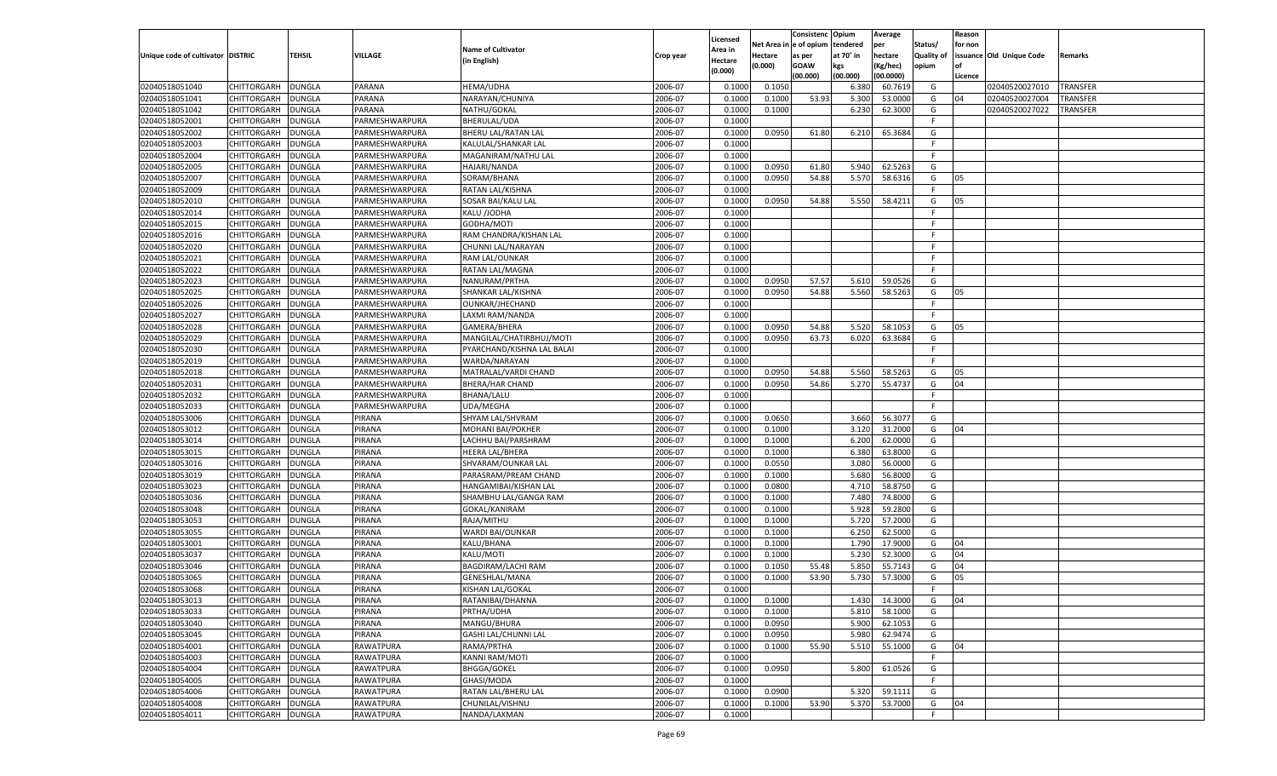|                                   |                    |               |                |                             |           |                           |                  | Consistenc  | Opium     | Average   |                   | Reason  |                          |                 |
|-----------------------------------|--------------------|---------------|----------------|-----------------------------|-----------|---------------------------|------------------|-------------|-----------|-----------|-------------------|---------|--------------------------|-----------------|
|                                   |                    |               |                | <b>Name of Cultivator</b>   |           | Licensed                  | Net Area         | e of opium  | tendered  | per       | Status/           | for non |                          |                 |
| Unique code of cultivator DISTRIC |                    | <b>TEHSIL</b> | VILLAGE        | (in English)                | Crop year | <b>Area in</b><br>Hectare | Hectare          | as per      | at 70° in | hectare   | <b>Quality of</b> |         | issuance Old Unique Code | Remarks         |
|                                   |                    |               |                |                             |           | (0.000)                   | (0.000)          | <b>GOAW</b> | kgs       | (Kg/hec)  | opium             |         |                          |                 |
|                                   |                    |               |                |                             |           |                           |                  | (00.000)    | (00.000)  | (00.0000) |                   | Licence |                          |                 |
| 02040518051040                    | CHITTORGARH        | <b>DUNGLA</b> | PARANA         | HEMA/UDHA                   | 2006-07   | 0.1000                    | 0.1050           |             | 6.380     | 60.7619   | G                 |         | 02040520027010           | <b>TRANSFER</b> |
| 02040518051041                    | CHITTORGARH        | DUNGLA        | PARANA         | NARAYAN/CHUNIYA             | 2006-07   | 0.1000                    | 0.1000           | 53.93       | 5.300     | 53.0000   | G                 | 04      | 02040520027004           | TRANSFER        |
| 02040518051042                    | CHITTORGARH        | DUNGLA        | PARANA         | NATHU/GOKAL                 | 2006-07   | 0.1000                    | 0.1000           |             | 6.23      | 62.3000   | G                 |         | 02040520027022           | TRANSFER        |
| 02040518052001                    | CHITTORGARH        | DUNGLA        | PARMESHWARPURA | BHERULAL/UDA                | 2006-07   | 0.1000                    |                  |             |           |           | F.                |         |                          |                 |
| 02040518052002                    | CHITTORGARH        | DUNGLA        | PARMESHWARPURA | BHERU LAL/RATAN LAL         | 2006-07   | 0.1000                    | 0.0950           | 61.80       | 6.210     | 65.3684   | G                 |         |                          |                 |
| 02040518052003                    | CHITTORGARH        | DUNGLA        | PARMESHWARPURA | KALULAL/SHANKAR LAL         | 2006-07   | 0.1000                    |                  |             |           |           | F.                |         |                          |                 |
| 02040518052004                    | CHITTORGARH        | DUNGLA        | PARMESHWARPURA | MAGANIRAM/NATHU LAL         | 2006-07   | 0.1000                    |                  |             |           |           | F.                |         |                          |                 |
| 02040518052005                    | CHITTORGARH        | DUNGLA        | PARMESHWARPURA | <b>HAJARI/NANDA</b>         | 2006-07   | 0.1000                    | 0.0950           | 61.80       | 5.940     | 62.5263   | G                 |         |                          |                 |
| 02040518052007                    | CHITTORGARH        | DUNGLA        | PARMESHWARPURA | SORAM/BHANA                 | 2006-07   | 0.1000                    | 0.0950           | 54.88       | 5.570     | 58.6316   | G                 | 05      |                          |                 |
| 02040518052009                    | CHITTORGARH        | DUNGLA        | PARMESHWARPURA | RATAN LAL/KISHNA            | 2006-07   | 0.1000                    |                  |             |           |           | F.                |         |                          |                 |
| 02040518052010                    | CHITTORGARH        | DUNGLA        | PARMESHWARPURA | SOSAR BAI/KALU LAL          | 2006-07   | 0.1000                    | 0.0950           | 54.88       | 5.550     | 58.4211   | G                 | 05      |                          |                 |
| 02040518052014                    | CHITTORGARH        | DUNGLA        | PARMESHWARPURA | KALU /JODHA                 | 2006-07   | 0.1000                    |                  |             |           |           | F.                |         |                          |                 |
| 02040518052015                    | CHITTORGARH        | DUNGLA        | PARMESHWARPURA | GODHA/MOTI                  | 2006-07   | 0.1000                    |                  |             |           |           | F.                |         |                          |                 |
| 02040518052016                    | CHITTORGARH        | DUNGLA        | PARMESHWARPURA | RAM CHANDRA/KISHAN LAL      | 2006-07   | 0.1000                    |                  |             |           |           | F.                |         |                          |                 |
| 02040518052020                    | CHITTORGARH        | <b>DUNGLA</b> | PARMESHWARPURA | CHUNNI LAL/NARAYAN          | 2006-07   | 0.1000                    |                  |             |           |           | F.                |         |                          |                 |
| 02040518052021                    | CHITTORGARH        | DUNGLA        | PARMESHWARPURA | RAM LAL/OUNKAR              | 2006-07   | 0.1000                    |                  |             |           |           | F.                |         |                          |                 |
| 02040518052022                    | CHITTORGARH        | <b>DUNGLA</b> | PARMESHWARPURA | RATAN LAL/MAGNA             | 2006-07   | 0.1000                    |                  |             |           |           | F.                |         |                          |                 |
| 02040518052023                    | CHITTORGARH        | DUNGLA        | PARMESHWARPURA | NANURAM/PRTHA               | 2006-07   | 0.1000                    | 0.0950           | 57.57       | 5.610     | 59.0526   | G                 |         |                          |                 |
| 02040518052025                    | CHITTORGARH        | <b>DUNGLA</b> | PARMESHWARPURA | SHANKAR LAL/KISHNA          | 2006-07   | 0.1000                    | 0.0950           | 54.88       | 5.560     | 58.5263   | G                 | 05      |                          |                 |
| 02040518052026                    | CHITTORGARH        | DUNGLA        | PARMESHWARPURA | OUNKAR/JHECHAND             | 2006-07   | 0.1000                    |                  |             |           |           | F.                |         |                          |                 |
| 02040518052027                    | CHITTORGARH        | <b>DUNGLA</b> | PARMESHWARPURA | LAXMI RAM/NANDA             | 2006-07   | 0.1000                    |                  |             |           |           | F.                |         |                          |                 |
| 02040518052028                    | CHITTORGARH        | DUNGLA        | PARMESHWARPURA | GAMERA/BHERA                | 2006-07   | 0.1000                    | 0.0950           | 54.88       | 5.520     | 58.1053   | G                 | 05      |                          |                 |
| 02040518052029                    | CHITTORGARH        | <b>DUNGLA</b> | PARMESHWARPURA | MANGILAL/CHATIRBHUJ/MOTI    | 2006-07   | 0.1000                    | 0.0950           | 63.73       | 6.020     | 63.3684   | G                 |         |                          |                 |
| 02040518052030                    | CHITTORGARH        | DUNGLA        | PARMESHWARPURA | PYARCHAND/KISHNA LAL BALAI  | 2006-07   | 0.1000                    |                  |             |           |           | F.                |         |                          |                 |
| 02040518052019                    | CHITTORGARH        | DUNGLA        | PARMESHWARPURA | WARDA/NARAYAN               | 2006-07   | 0.1000                    |                  |             |           |           | F.                |         |                          |                 |
| 02040518052018                    | CHITTORGARH        | DUNGLA        | PARMESHWARPURA | MATRALAL/VARDI CHAND        | 2006-07   | 0.1000                    | 0.0950           | 54.88       | 5.560     | 58.5263   | G                 | 05      |                          |                 |
| 02040518052031                    | CHITTORGARH        | <b>DUNGLA</b> | PARMESHWARPURA | BHERA/HAR CHAND             | 2006-07   | 0.1000                    | 0.0950           | 54.86       | 5.270     | 55.4737   | G                 | 04      |                          |                 |
| 02040518052032                    | CHITTORGARH        | DUNGLA        | PARMESHWARPURA | <b>BHANA/LALU</b>           | 2006-07   | 0.1000                    |                  |             |           |           | F.                |         |                          |                 |
| 02040518052033                    | CHITTORGARH        | DUNGLA        | PARMESHWARPURA | UDA/MEGHA                   | 2006-07   | 0.1000                    |                  |             |           |           | F.                |         |                          |                 |
| 02040518053006                    | CHITTORGARH        | <b>DUNGLA</b> | PIRANA         | SHYAM LAL/SHVRAM            | 2006-07   | 0.1000                    | 0.0650           |             | 3.660     | 56.3077   | G                 |         |                          |                 |
| 02040518053012                    | CHITTORGARH        | <b>DUNGLA</b> | PIRANA         | <b>MOHANI BAI/POKHER</b>    | 2006-07   | 0.1000                    | 0.1000           |             | 3.120     | 31.2000   | G                 | 04      |                          |                 |
| 02040518053014                    | CHITTORGARH        | <b>DUNGLA</b> | PIRANA         | LACHHU BAI/PARSHRAM         | 2006-07   | 0.1000                    | 0.1000           |             | 6.200     | 62.0000   | G                 |         |                          |                 |
| 02040518053015                    | <b>CHITTORGARH</b> | <b>DUNGLA</b> | PIRANA         | HEERA LAL/BHERA             | 2006-07   | 0.1000                    | 0.1000           |             | 6.380     | 63.8000   | G                 |         |                          |                 |
| 02040518053016                    | CHITTORGARH        | DUNGLA        | PIRANA         | SHVARAM/OUNKAR LAL          | 2006-07   | 0.1000                    | 0.0550           |             | 3.080     | 56.0000   | G                 |         |                          |                 |
| 02040518053019                    |                    |               | PIRANA         |                             | 2006-07   | 0.1000                    | 0.1000           |             | 5.680     | 56.8000   | G                 |         |                          |                 |
| 02040518053023                    | CHITTORGARH        | <b>DUNGLA</b> | PIRANA         | PARASRAM/PREAM CHAND        | 2006-07   | 0.1000                    |                  |             | 4.710     | 58.8750   | G                 |         |                          |                 |
|                                   | CHITTORGARH        | DUNGLA        | PIRANA         | HANGAMIBAI/KISHAN LAL       | 2006-07   | 0.1000                    | 0.0800<br>0.1000 |             |           | 74.8000   |                   |         |                          |                 |
| 02040518053036                    | CHITTORGARH        | <b>DUNGLA</b> |                | SHAMBHU LAL/GANGA RAM       |           |                           |                  |             | 7.480     | 59.2800   | G                 |         |                          |                 |
| 02040518053048                    | CHITTORGARH        | DUNGLA        | PIRANA         | GOKAL/KANIRAM               | 2006-07   | 0.1000                    | 0.1000           |             | 5.928     |           | G                 |         |                          |                 |
| 02040518053053                    | <b>CHITTORGARH</b> | <b>DUNGLA</b> | PIRANA         | RAJA/MITHU                  | 2006-07   | 0.1000                    | 0.1000           |             | 5.720     | 57.2000   | G                 |         |                          |                 |
| 02040518053055                    | CHITTORGARH        | DUNGLA        | PIRANA         | WARDI BAI/OUNKAR            | 2006-07   | 0.1000                    | 0.1000           |             | 6.250     | 62.5000   | G                 |         |                          |                 |
| 02040518053001                    | CHITTORGARH        | <b>DUNGLA</b> | PIRANA         | KALU/BHANA                  | 2006-07   | 0.1000                    | 0.1000           |             | 1.790     | 17.9000   | G                 | 04      |                          |                 |
| 02040518053037                    | CHITTORGARH        | DUNGLA        | PIRANA         | KALU/MOTI                   | 2006-07   | 0.1000                    | 0.1000           |             | 5.23      | 52.3000   | G                 | 04      |                          |                 |
| 02040518053046                    | CHITTORGARH        | <b>DUNGLA</b> | PIRANA         | <b>BAGDIRAM/LACHI RAM</b>   | 2006-07   | 0.1000                    | 0.1050           | 55.48       | 5.85      | 55.7143   | G                 | 04      |                          |                 |
| 02040518053065                    | CHITTORGARH        | DUNGLA        | PIRANA         | <b>GENESHLAL/MANA</b>       | 2006-07   | 0.1000                    | 0.1000           | 53.90       | 5.730     | 57.3000   | G                 | 05      |                          |                 |
| 02040518053068                    | CHITTORGARH        | <b>DUNGLA</b> | PIRANA         | <b>KISHAN LAL/GOKAL</b>     | 2006-07   | 0.1000                    |                  |             |           |           | F.                |         |                          |                 |
| 02040518053013                    | CHITTORGARH        | <b>DUNGLA</b> | <b>PIRANA</b>  | RATANIBAI/DHANNA            | 2006-07   | 0.1000                    | 0.1000           |             | 1.430     | 14.3000   | G                 | 04      |                          |                 |
| 02040518053033                    | <b>CHITTORGARH</b> | <b>DUNGLA</b> | PIRANA         | PRTHA/UDHA                  | 2006-07   | 0.1000                    | 0.1000           |             | 5.810     | 58.1000   | G                 |         |                          |                 |
| 02040518053040                    | CHITTORGARH        | <b>DUNGLA</b> | PIRANA         | MANGU/BHURA                 | 2006-07   | 0.1000                    | 0.0950           |             | 5.900     | 62.1053   | G                 |         |                          |                 |
| 02040518053045                    | <b>CHITTORGARH</b> | <b>DUNGLA</b> | PIRANA         | <b>GASHI LAL/CHUNNI LAL</b> | 2006-07   | 0.1000                    | 0.0950           |             | 5.980     | 62.9474   | G                 |         |                          |                 |
| 02040518054001                    | CHITTORGARH        | <b>DUNGLA</b> | RAWATPURA      | RAMA/PRTHA                  | 2006-07   | 0.1000                    | 0.1000           | 55.90       | 5.510     | 55.1000   | G                 | 04      |                          |                 |
| 02040518054003                    | <b>CHITTORGARH</b> | <b>DUNGLA</b> | RAWATPURA      | <b>KANNI RAM/MOTI</b>       | 2006-07   | 0.1000                    |                  |             |           |           | F                 |         |                          |                 |
| 02040518054004                    | <b>CHITTORGARH</b> | <b>DUNGLA</b> | RAWATPURA      | <b>BHGGA/GOKEL</b>          | 2006-07   | 0.1000                    | 0.0950           |             | 5.800     | 61.0526   | G                 |         |                          |                 |
| 02040518054005                    | <b>CHITTORGARH</b> | <b>DUNGLA</b> | RAWATPURA      | GHASI/MODA                  | 2006-07   | 0.1000                    |                  |             |           |           | F.                |         |                          |                 |
| 02040518054006                    | <b>CHITTORGARH</b> | <b>DUNGLA</b> | RAWATPURA      | RATAN LAL/BHERU LAL         | 2006-07   | 0.1000                    | 0.0900           |             | 5.320     | 59.1111   | G                 |         |                          |                 |
| 02040518054008                    | <b>CHITTORGARH</b> | <b>DUNGLA</b> | RAWATPURA      | CHUNILAL/VISHNU             | 2006-07   | 0.1000                    | 0.1000           | 53.90       | 5.370     | 53.7000   | G                 | 04      |                          |                 |
| 02040518054011                    | CHITTORGARH        | <b>DUNGLA</b> | RAWATPURA      | NANDA/LAXMAN                | 2006-07   | 0.1000                    |                  |             |           |           | F.                |         |                          |                 |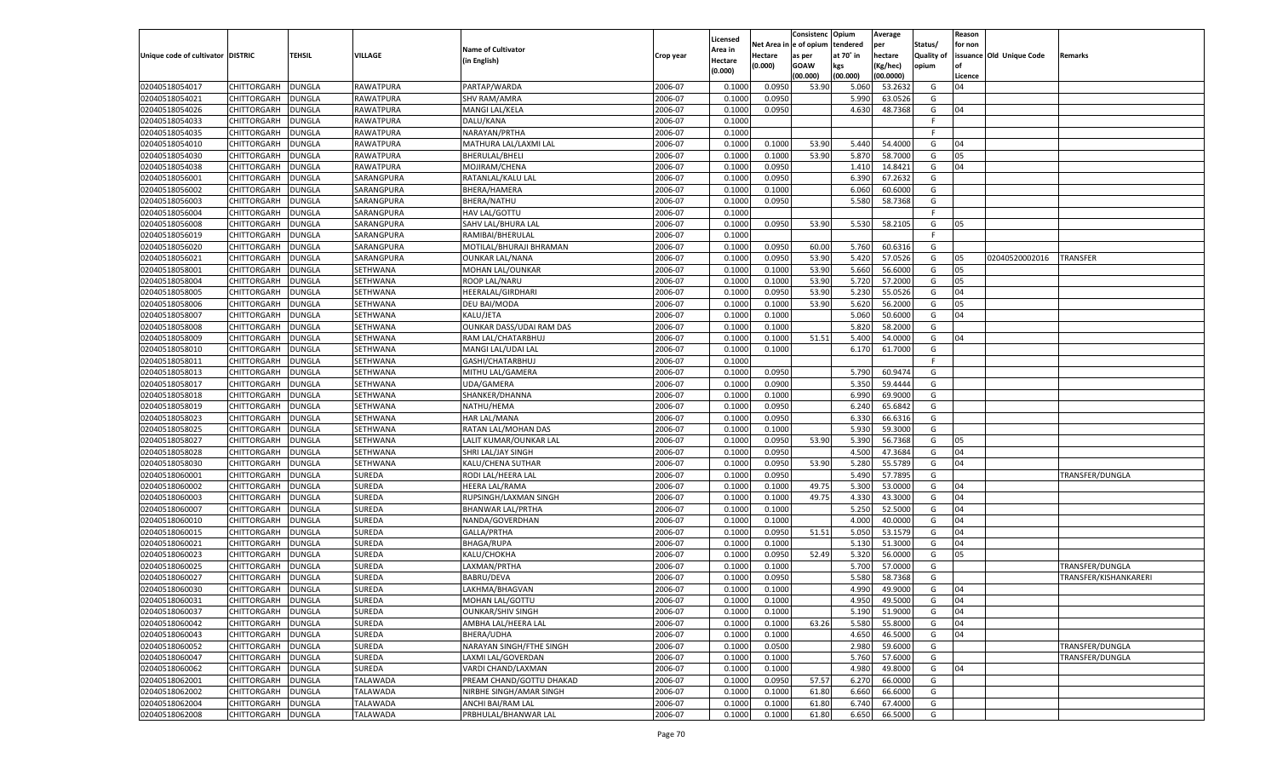|                                   |                    |               |                 |                           |           | Licensed         |                        | Consistenc        | Opium     | Average              |                   | Reason        |                          |                       |
|-----------------------------------|--------------------|---------------|-----------------|---------------------------|-----------|------------------|------------------------|-------------------|-----------|----------------------|-------------------|---------------|--------------------------|-----------------------|
|                                   |                    |               |                 | <b>Name of Cultivator</b> |           | Area in          | Net Area in e of opium |                   | tendered  | per                  | Status/           | for non       |                          |                       |
| Unique code of cultivator DISTRIC |                    | <b>TEHSIL</b> | <b>VILLAGE</b>  | (in English)              | Crop year | Hectare          | <b>Hectare</b>         | as per            | at 70° in | hectare              | <b>Quality of</b> |               | issuance Old Unique Code | Remarks               |
|                                   |                    |               |                 |                           |           | (0.000)          | (0.000)                | <b>GOAW</b>       | kgs       | (Kg/hec)             | opium             |               |                          |                       |
| 02040518054017                    | CHITTORGARH        | <b>DUNGLA</b> | RAWATPURA       | PARTAP/WARDA              | 2006-07   | 0.1000           | 0.0950                 | (00.000)<br>53.90 | (00.000)  | (00.0000)<br>53.2632 | G                 | Licence<br>04 |                          |                       |
|                                   | CHITTORGARH        |               |                 |                           |           |                  |                        |                   | 5.060     |                      |                   |               |                          |                       |
| 02040518054021                    | <b>CHITTORGARH</b> | <b>DUNGLA</b> | RAWATPURA       | <b>SHV RAM/AMRA</b>       | 2006-07   | 0.1000<br>0.1000 | 0.0950<br>0.0950       |                   | 5.990     | 63.0526              | G                 |               |                          |                       |
| 02040518054026<br>02040518054033  |                    | <b>DUNGLA</b> | RAWATPURA       | MANGI LAL/KELA            | 2006-07   |                  |                        |                   | 4.630     | 48.7368              | G<br>F.           | 04            |                          |                       |
|                                   | CHITTORGARH        | <b>DUNGLA</b> | RAWATPURA       | DALU/KANA                 | 2006-07   | 0.1000           |                        |                   |           |                      |                   |               |                          |                       |
| 02040518054035                    | CHITTORGARH        | <b>DUNGLA</b> | RAWATPURA       | NARAYAN/PRTHA             | 2006-07   | 0.1000           |                        |                   |           |                      | F.                |               |                          |                       |
| 02040518054010                    | CHITTORGARH        | <b>DUNGLA</b> | RAWATPURA       | MATHURA LAL/LAXMI LAL     | 2006-07   | 0.1000           | 0.1000                 | 53.90             | 5.440     | 54.4000              | G                 | 04            |                          |                       |
| 02040518054030                    | <b>CHITTORGARH</b> | <b>DUNGLA</b> | RAWATPURA       | <b>BHERULAL/BHELI</b>     | 2006-07   | 0.1000           | 0.1000                 | 53.90             | 5.870     | 58.7000              | G                 | 05            |                          |                       |
| 02040518054038                    | CHITTORGARH        | <b>DUNGLA</b> | RAWATPURA       | MOJIRAM/CHENA             | 2006-07   | 0.1000           | 0.0950                 |                   | 1.410     | 14.8421              | G                 | 04            |                          |                       |
| 02040518056001                    | CHITTORGARH        | <b>DUNGLA</b> | SARANGPURA      | RATANLAL/KALU LAL         | 2006-07   | 0.1000           | 0.0950                 |                   | 6.390     | 67.2632              | G                 |               |                          |                       |
| 02040518056002                    | CHITTORGARH        | <b>DUNGLA</b> | SARANGPURA      | BHERA/HAMERA              | 2006-07   | 0.1000           | 0.1000                 |                   | 6.060     | 60.6000              | G                 |               |                          |                       |
| 02040518056003                    | <b>CHITTORGARH</b> | <b>DUNGLA</b> | SARANGPURA      | <b>BHERA/NATHU</b>        | 2006-07   | 0.1000           | 0.0950                 |                   | 5.580     | 58.7368              | G                 |               |                          |                       |
| 02040518056004                    | CHITTORGARH        | <b>DUNGLA</b> | SARANGPURA      | <b>HAV LAL/GOTTU</b>      | 2006-07   | 0.1000           |                        |                   |           |                      | F.                |               |                          |                       |
| 02040518056008                    | CHITTORGARH        | <b>DUNGLA</b> | SARANGPURA      | SAHV LAL/BHURA LAL        | 2006-07   | 0.1000           | 0.0950                 | 53.90             | 5.530     | 58.2105              | G                 | 05            |                          |                       |
| 02040518056019                    | CHITTORGARH        | <b>DUNGLA</b> | SARANGPURA      | RAMIBAI/BHERULAL          | 2006-07   | 0.1000           |                        |                   |           |                      | F.                |               |                          |                       |
| 02040518056020                    | <b>CHITTORGARH</b> | <b>DUNGLA</b> | SARANGPURA      | MOTILAL/BHURAJI BHRAMAN   | 2006-07   | 0.1000           | 0.0950                 | 60.00             | 5.760     | 60.6316              | G                 |               |                          |                       |
| 02040518056021                    | CHITTORGARH        | <b>DUNGLA</b> | SARANGPURA      | <b>OUNKAR LAL/NANA</b>    | 2006-07   | 0.1000           | 0.0950                 | 53.90             | 5.420     | 57.0526              | G                 | 05            | 02040520002016           | TRANSFER              |
| 02040518058001                    | CHITTORGARH        | <b>DUNGLA</b> | SETHWANA        | MOHAN LAL/OUNKAR          | 2006-07   | 0.1000           | 0.1000                 | 53.90             | 5.660     | 56.6000              | G                 | 05            |                          |                       |
| 02040518058004                    | CHITTORGARH        | <b>DUNGLA</b> | SETHWANA        | ROOP LAL/NARU             | 2006-07   | 0.1000           | 0.1000                 | 53.90             | 5.720     | 57.2000              | G                 | 05            |                          |                       |
| 02040518058005                    | <b>CHITTORGARH</b> | <b>DUNGLA</b> | SETHWANA        | HEERALAL/GIRDHARI         | 2006-07   | 0.1000           | 0.0950                 | 53.90             | 5.230     | 55.0526              | G                 | 04            |                          |                       |
| 02040518058006                    | CHITTORGARH        | <b>DUNGLA</b> | SETHWANA        | DEU BAI/MODA              | 2006-07   | 0.1000           | 0.1000                 | 53.90             | 5.620     | 56.2000              | G                 | 05            |                          |                       |
| 02040518058007                    | CHITTORGARH        | <b>DUNGLA</b> | SETHWANA        | KALU/JETA                 | 2006-07   | 0.1000           | 0.1000                 |                   | 5.060     | 50.6000              | G                 | 04            |                          |                       |
| 02040518058008                    | CHITTORGARH        | <b>DUNGLA</b> | SETHWANA        | OUNKAR DASS/UDAI RAM DAS  | 2006-07   | 0.1000           | 0.1000                 |                   | 5.820     | 58.2000              | G                 |               |                          |                       |
| 02040518058009                    | <b>CHITTORGARH</b> | <b>DUNGLA</b> | SETHWANA        | RAM LAL/CHATARBHUJ        | 2006-07   | 0.1000           | 0.1000                 | 51.51             | 5.400     | 54.0000              | G                 | 04            |                          |                       |
| 02040518058010                    | CHITTORGARH        | <b>DUNGLA</b> | SETHWANA        | MANGI LAL/UDAI LAI        | 2006-07   | 0.1000           | 0.1000                 |                   | 6.170     | 61.7000              | G                 |               |                          |                       |
| 02040518058011                    | CHITTORGARH        | <b>DUNGLA</b> | SETHWANA        | GASHI/CHATARBHUJ          | 2006-07   | 0.1000           |                        |                   |           |                      | F                 |               |                          |                       |
| 02040518058013                    | CHITTORGARH        | <b>DUNGLA</b> | SETHWANA        | MITHU LAL/GAMERA          | 2006-07   | 0.1000           | 0.0950                 |                   | 5.790     | 60.9474              | G                 |               |                          |                       |
| 02040518058017                    | <b>CHITTORGARH</b> | <b>DUNGLA</b> | SETHWANA        | UDA/GAMERA                | 2006-07   | 0.1000           | 0.0900                 |                   | 5.350     | 59.4444              | G                 |               |                          |                       |
| 02040518058018                    | CHITTORGARH        | <b>DUNGLA</b> | SETHWANA        | SHANKER/DHANNA            | 2006-07   | 0.1000           | 0.1000                 |                   | 6.990     | 69.9000              | G                 |               |                          |                       |
|                                   |                    | <b>DUNGLA</b> |                 |                           | 2006-07   | 0.1000           | 0.0950                 |                   | 6.240     | 65.6842              | G                 |               |                          |                       |
| 02040518058019                    | <b>CHITTORGARH</b> |               | SETHWANA        | NATHU/HEMA                |           |                  |                        |                   |           |                      |                   |               |                          |                       |
| 02040518058023                    | CHITTORGARH        | <b>DUNGLA</b> | SETHWANA        | <b>HAR LAL/MANA</b>       | 2006-07   | 0.1000           | 0.0950                 |                   | 6.330     | 66.6316              | G                 |               |                          |                       |
| 02040518058025                    | <b>CHITTORGARH</b> | <b>DUNGLA</b> | SETHWANA        | RATAN LAL/MOHAN DAS       | 2006-07   | 0.1000           | 0.1000                 |                   | 5.930     | 59.3000              | G                 |               |                          |                       |
| 02040518058027                    | CHITTORGARH        | <b>DUNGLA</b> | SETHWANA        | LALIT KUMAR/OUNKAR LAL    | 2006-07   | 0.1000           | 0.0950                 | 53.90             | 5.390     | 56.7368              | G                 | 05            |                          |                       |
| 02040518058028                    | <b>CHITTORGARH</b> | <b>DUNGLA</b> | SETHWANA        | SHRI LAL/JAY SINGH        | 2006-07   | 0.1000           | 0.0950                 |                   | 4.500     | 47.3684              | G                 | 04            |                          |                       |
| 02040518058030                    | CHITTORGARH        | <b>DUNGLA</b> | SETHWANA        | KALU/CHENA SUTHAR         | 2006-07   | 0.1000           | 0.0950                 | 53.90             | 5.280     | 55.5789              | G                 | 04            |                          |                       |
| 02040518060001                    | <b>CHITTORGARH</b> | <b>DUNGLA</b> | <b>SUREDA</b>   | RODI LAL/HEERA LAL        | 2006-07   | 0.1000           | 0.0950                 |                   | 5.490     | 57.7895              | G                 |               |                          | TRANSFER/DUNGLA       |
| 02040518060002                    | CHITTORGARH        | <b>DUNGLA</b> | <b>SUREDA</b>   | <b>HEERA LAL/RAMA</b>     | 2006-07   | 0.1000           | 0.1000                 | 49.75             | 5.300     | 53.0000              | G                 | 04            |                          |                       |
| 02040518060003                    | <b>CHITTORGARH</b> | <b>DUNGLA</b> | <b>SUREDA</b>   | RUPSINGH/LAXMAN SINGH     | 2006-07   | 0.1000           | 0.1000                 | 49.75             | 4.330     | 43.3000              | G                 | 04            |                          |                       |
| 02040518060007                    | CHITTORGARH        | <b>DUNGLA</b> | <b>SUREDA</b>   | BHANWAR LAL/PRTHA         | 2006-07   | 0.1000           | 0.1000                 |                   | 5.250     | 52.5000              | G                 | 04            |                          |                       |
| 02040518060010                    | <b>CHITTORGARH</b> | <b>DUNGLA</b> | <b>SUREDA</b>   | NANDA/GOVERDHAN           | 2006-07   | 0.1000           | 0.1000                 |                   | 4.000     | 40.0000              | G                 | 04            |                          |                       |
| 02040518060015                    | CHITTORGARH        | <b>DUNGLA</b> | <b>SUREDA</b>   | GALLA/PRTHA               | 2006-07   | 0.1000           | 0.0950                 | 51.51             | 5.050     | 53.1579              | G                 | 04            |                          |                       |
| 02040518060021                    | <b>CHITTORGARH</b> | <b>DUNGLA</b> | <b>SUREDA</b>   | <b>BHAGA/RUPA</b>         | 2006-07   | 0.1000           | 0.1000                 |                   | 5.130     | 51.3000              | G                 | 04            |                          |                       |
| 02040518060023                    | CHITTORGARH        | <b>DUNGLA</b> | <b>SUREDA</b>   | KALU/CHOKHA               | 2006-07   | 0.1000           | 0.0950                 | 52.49             | 5.320     | 56.0000              | G                 | 05            |                          |                       |
| 02040518060025                    | <b>CHITTORGARH</b> | <b>DUNGLA</b> | <b>SUREDA</b>   | LAXMAN/PRTHA              | 2006-07   | 0.1000           | 0.1000                 |                   | 5.700     | 57.0000              | G                 |               |                          | TRANSFER/DUNGLA       |
| 02040518060027                    | CHITTORGARH        | <b>DUNGLA</b> | <b>SUREDA</b>   | <b>BABRU/DEVA</b>         | 2006-07   | 0.1000           | 0.0950                 |                   | 5.580     | 58.7368              | G                 |               |                          | FRANSFER/KISHANKARERI |
| 02040518060030                    | CHITTORGARH        | <b>DUNGLA</b> | <b>SUREDA</b>   | LAKHMA/BHAGVAN            | 2006-07   | 0.1000           | 0.1000                 |                   | 4.990     | 49.9000              | G                 | 04            |                          |                       |
| 02040518060031                    | CHITTORGARH DUNGLA |               | <b>SUREDA</b>   | MOHAN LAL/GOTTU           | 2006-07   | 0.1000           | 0.1000                 |                   | 4.950     | 49.5000              | G                 | 04            |                          |                       |
| 02040518060037                    | CHITTORGARH        | <b>DUNGLA</b> | <b>SUREDA</b>   | <b>OUNKAR/SHIV SINGH</b>  | 2006-07   | 0.1000           | 0.1000                 |                   | 5.190     | 51.9000              | G                 | 04            |                          |                       |
| 02040518060042                    | <b>CHITTORGARH</b> | <b>DUNGLA</b> | SUREDA          | AMBHA LAL/HEERA LAL       | 2006-07   | 0.1000           | 0.1000                 | 63.26             | 5.580     | 55.8000              | G                 | 04            |                          |                       |
| 02040518060043                    | CHITTORGARH        | <b>DUNGLA</b> | <b>SUREDA</b>   | BHERA/UDHA                | 2006-07   | 0.1000           | 0.1000                 |                   | 4.650     | 46.5000              | G                 | 04            |                          |                       |
| 02040518060052                    | <b>CHITTORGARH</b> | <b>DUNGLA</b> | <b>SUREDA</b>   | NARAYAN SINGH/FTHE SINGH  | 2006-07   | 0.1000           | 0.0500                 |                   | 2.980     | 59.6000              | G                 |               |                          | TRANSFER/DUNGLA       |
| 02040518060047                    | <b>CHITTORGARH</b> | <b>DUNGLA</b> | <b>SUREDA</b>   | LAXMI LAL/GOVERDAN        | 2006-07   | 0.1000           | 0.1000                 |                   | 5.760     | 57.6000              | G                 |               |                          | TRANSFER/DUNGLA       |
| 02040518060062                    | <b>CHITTORGARH</b> | <b>DUNGLA</b> | SUREDA          | VARDI CHAND/LAXMAN        | 2006-07   | 0.1000           | 0.1000                 |                   | 4.980     | 49.8000              | G                 | 04            |                          |                       |
| 02040518062001                    | CHITTORGARH        | <b>DUNGLA</b> | <b>TALAWADA</b> | PREAM CHAND/GOTTU DHAKAD  | 2006-07   | 0.1000           | 0.0950                 | 57.57             | 6.270     | 66.0000              | G                 |               |                          |                       |
| 02040518062002                    |                    |               | <b>TALAWADA</b> | NIRBHE SINGH/AMAR SINGH   | 2006-07   |                  | 0.1000                 | 61.80             | 6.660     | 66.6000              | G                 |               |                          |                       |
|                                   | <b>CHITTORGARH</b> | <b>DUNGLA</b> |                 |                           |           | 0.1000           |                        |                   |           |                      |                   |               |                          |                       |
| 02040518062004                    | <b>CHITTORGARH</b> | <b>DUNGLA</b> | <b>TALAWADA</b> | ANCHI BAI/RAM LAL         | 2006-07   | 0.1000           | 0.1000                 | 61.80             | 6.740     | 67.4000              | G                 |               |                          |                       |
| 02040518062008                    | <b>CHITTORGARH</b> | <b>DUNGLA</b> | <b>TALAWADA</b> | PRBHULAL/BHANWAR LAL      | 2006-07   | 0.1000           | 0.1000                 | 61.80             | 6.650     | 66.5000              | G                 |               |                          |                       |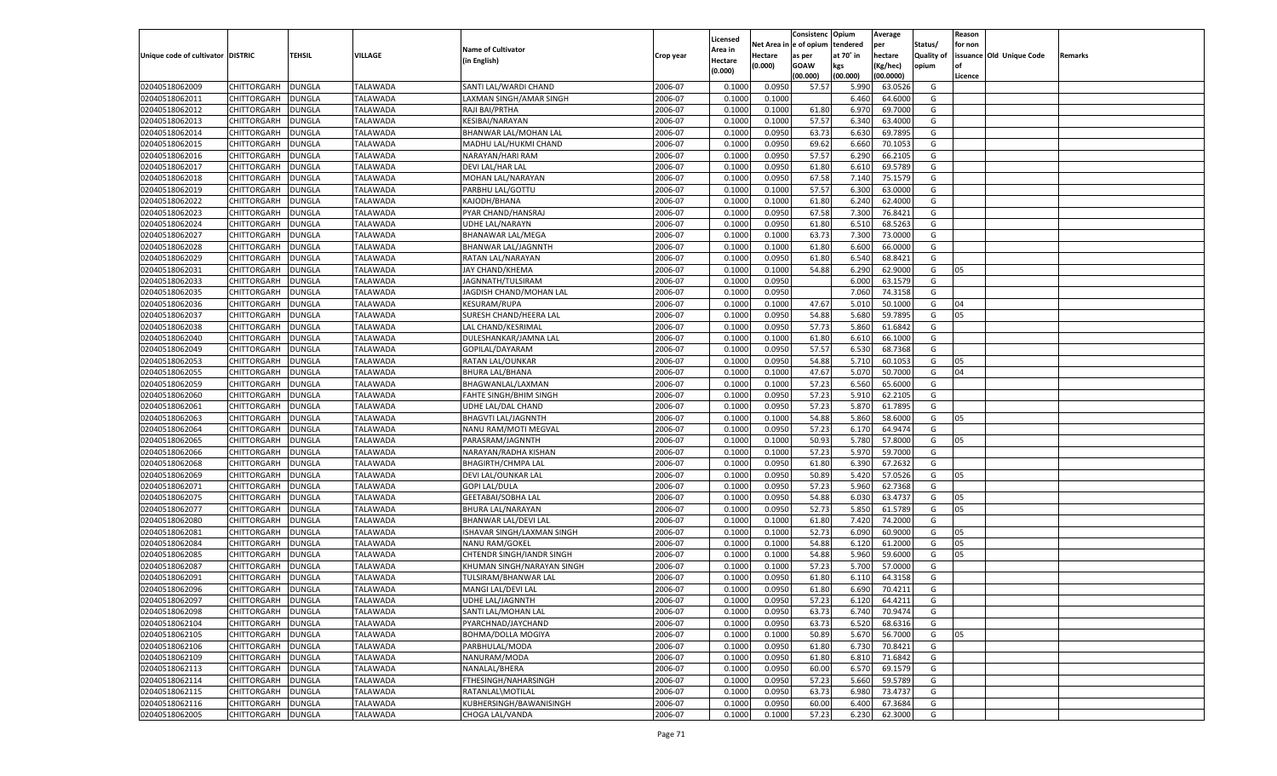|                                   |                    |               |                 |                                   |           |          |            | Consistenc Opium |           | Average   |                   | Reason    |                          |         |
|-----------------------------------|--------------------|---------------|-----------------|-----------------------------------|-----------|----------|------------|------------------|-----------|-----------|-------------------|-----------|--------------------------|---------|
|                                   |                    |               |                 |                                   |           | Licensed | Net Area i | l e of opium     | tendered  | per       | Status/           | for non   |                          |         |
| Unique code of cultivator DISTRIC |                    | TEHSIL        | VILLAGE         | <b>Name of Cultivator</b>         | Crop year | Area in  | Hectare    | as per           | at 70° in | hectare   | <b>Quality of</b> |           | issuance Old Unique Code | Remarks |
|                                   |                    |               |                 | (in English)                      |           | Hectare  | (0.000)    | <b>GOAW</b>      | kgs       | (Kg/hec)  | opium             | <b>of</b> |                          |         |
|                                   |                    |               |                 |                                   |           | (0.000)  |            | (00.000)         | (00.000)  | (00.0000) |                   | Licence   |                          |         |
| 02040518062009                    | CHITTORGARH        | <b>DUNGLA</b> | <b>TALAWADA</b> | SANTI LAL/WARDI CHAND             | 2006-07   | 0.1000   | 0.0950     | 57.57            | 5.990     | 63.0526   | G                 |           |                          |         |
| 02040518062011                    | CHITTORGARH        | DUNGLA        | TALAWADA        | LAXMAN SINGH/AMAR SINGH           | 2006-07   | 0.1000   | 0.1000     |                  | 6.460     | 64.6000   | G                 |           |                          |         |
| 02040518062012                    | CHITTORGARH        | DUNGLA        | <b>TALAWADA</b> | RAJI BAI/PRTHA                    | 2006-07   | 0.1000   | 0.1000     | 61.80            | 6.970     | 69.7000   | G                 |           |                          |         |
| 02040518062013                    | CHITTORGARH        | DUNGLA        | TALAWADA        | KESIBAI/NARAYAN                   | 2006-07   | 0.1000   | 0.1000     | 57.57            | 6.340     | 63.4000   | G                 |           |                          |         |
| 02040518062014                    | CHITTORGARH        | DUNGLA        | <b>TALAWADA</b> | BHANWAR LAL/MOHAN LAL             | 2006-07   | 0.1000   | 0.0950     | 63.73            | 6.630     | 69.7895   | G                 |           |                          |         |
| 02040518062015                    | CHITTORGARH        | DUNGLA        | TALAWADA        | MADHU LAL/HUKMI CHAND             | 2006-07   | 0.1000   | 0.0950     | 69.62            | 6.660     | 70.105    | G                 |           |                          |         |
| 02040518062016                    | CHITTORGARH        | DUNGLA        | <b>TALAWADA</b> | NARAYAN/HARI RAM                  | 2006-07   | 0.1000   | 0.0950     | 57.57            | 6.290     | 66.2105   | G                 |           |                          |         |
| 02040518062017                    | CHITTORGARH        | DUNGLA        | TALAWADA        | DEVI LAL/HAR LAL                  | 2006-07   | 0.1000   | 0.0950     | 61.80            | 6.610     | 69.5789   | G                 |           |                          |         |
| 02040518062018                    | CHITTORGARH        | DUNGLA        | <b>TALAWADA</b> | MOHAN LAL/NARAYAN                 | 2006-07   | 0.1000   | 0.0950     | 67.58            | 7.140     | 75.1579   | G                 |           |                          |         |
| 02040518062019                    | CHITTORGARH        | DUNGLA        | TALAWADA        | PARBHU LAL/GOTTU                  | 2006-07   | 0.1000   | 0.1000     | 57.57            | 6.300     | 63.0000   | G                 |           |                          |         |
| 02040518062022                    | CHITTORGARH        | DUNGLA        | <b>TALAWADA</b> | KAJODH/BHANA                      | 2006-07   | 0.1000   | 0.1000     | 61.80            | 6.240     | 62.4000   | G                 |           |                          |         |
| 02040518062023                    | CHITTORGARH        | DUNGLA        | TALAWADA        | PYAR CHAND/HANSRAJ                | 2006-07   | 0.1000   | 0.0950     | 67.58            | 7.300     | 76.8421   | G                 |           |                          |         |
| 02040518062024                    | CHITTORGARH        | DUNGLA        | <b>TALAWADA</b> | <b>UDHE LAL/NARAYN</b>            | 2006-07   | 0.1000   | 0.0950     | 61.80            | 6.510     | 68.5263   | G                 |           |                          |         |
| 02040518062027                    | CHITTORGARH        | DUNGLA        | <b>TALAWADA</b> | <b>BHANAWAR LAL/MEGA</b>          | 2006-07   | 0.1000   | 0.1000     | 63.73            | 7.300     | 73.0000   | G                 |           |                          |         |
| 02040518062028                    | CHITTORGARH        | <b>DUNGLA</b> | <b>TALAWADA</b> | BHANWAR LAL/JAGNNTH               | 2006-07   | 0.1000   | 0.1000     | 61.80            | 6.600     | 66.0000   | G                 |           |                          |         |
| 02040518062029                    | CHITTORGARH        | <b>DUNGLA</b> | TALAWADA        | RATAN LAL/NARAYAN                 | 2006-07   | 0.1000   | 0.0950     | 61.80            | 6.540     | 68.8421   | G                 |           |                          |         |
| 02040518062031                    | CHITTORGARH        | <b>DUNGLA</b> | <b>TALAWADA</b> | JAY CHAND/KHEMA                   | 2006-07   | 0.1000   | 0.1000     | 54.88            | 6.290     | 62.9000   | G                 | 05        |                          |         |
| 02040518062033                    | CHITTORGARH        | <b>DUNGLA</b> | <b>TALAWADA</b> | JAGNNATH/TULSIRAM                 | 2006-07   | 0.1000   | 0.0950     |                  | 6.000     | 63.1579   | G                 |           |                          |         |
| 02040518062035                    | CHITTORGARH        | <b>DUNGLA</b> | <b>TALAWADA</b> | JAGDISH CHAND/MOHAN LAL           | 2006-07   | 0.1000   | 0.0950     |                  | 7.060     | 74.3158   | G                 |           |                          |         |
| 02040518062036                    | CHITTORGARH        | <b>DUNGLA</b> | TALAWADA        | <b>KESURAM/RUPA</b>               | 2006-07   | 0.1000   | 0.1000     | 47.67            | 5.010     | 50.1000   | G                 | 04        |                          |         |
| 02040518062037                    | CHITTORGARH        | <b>DUNGLA</b> | <b>TALAWADA</b> | SURESH CHAND/HEERA LAL            | 2006-07   | 0.1000   | 0.0950     | 54.88            | 5.680     | 59.7895   | G                 | 05        |                          |         |
| 02040518062038                    | CHITTORGARH        | <b>DUNGLA</b> | <b>TALAWADA</b> | LAL CHAND/KESRIMAL                | 2006-07   | 0.1000   | 0.0950     | 57.73            | 5.860     | 61.6842   | G                 |           |                          |         |
| 02040518062040                    | CHITTORGARH        | <b>DUNGLA</b> | <b>TALAWADA</b> | DULESHANKAR/JAMNA LAL             | 2006-07   | 0.1000   | 0.1000     | 61.80            | 6.610     | 66.1000   | G                 |           |                          |         |
| 02040518062049                    | CHITTORGARH        | <b>DUNGLA</b> | TALAWADA        | GOPILAL/DAYARAM                   | 2006-07   | 0.1000   | 0.0950     | 57.57            | 6.530     | 68.7368   | G                 |           |                          |         |
| 02040518062053                    | CHITTORGARH        | <b>DUNGLA</b> | <b>TALAWADA</b> | RATAN LAL/OUNKAR                  | 2006-07   | 0.1000   | 0.0950     | 54.88            | 5.710     | 60.1053   | G                 | 05        |                          |         |
| 02040518062055                    | CHITTORGARH        | <b>DUNGLA</b> | <b>TALAWADA</b> | <b>BHURA LAL/BHANA</b>            | 2006-07   | 0.1000   | 0.1000     | 47.67            | 5.070     | 50.7000   | G                 | 04        |                          |         |
| 02040518062059                    | CHITTORGARH        | <b>DUNGLA</b> | <b>TALAWADA</b> | BHAGWANLAL/LAXMAN                 | 2006-07   | 0.1000   | 0.1000     | 57.23            | 6.560     | 65.6000   | G                 |           |                          |         |
| 02040518062060                    | CHITTORGARH        | <b>DUNGLA</b> | TALAWADA        | <b>FAHTE SINGH/BHIM SINGH</b>     | 2006-07   | 0.1000   | 0.0950     | 57.23            | 5.910     | 62.2105   | G                 |           |                          |         |
| 02040518062061                    | CHITTORGARH        | <b>DUNGLA</b> | <b>TALAWADA</b> | UDHE LAL/DAL CHAND                | 2006-07   | 0.1000   | 0.0950     | 57.23            | 5.870     | 61.7895   | G                 |           |                          |         |
| 02040518062063                    | CHITTORGARH        | DUNGLA        | <b>TALAWADA</b> | <b>BHAGVTI LAL/JAGNNTH</b>        | 2006-07   | 0.1000   | 0.1000     | 54.88            | 5.860     | 58.6000   | G                 | 05        |                          |         |
| 02040518062064                    | CHITTORGARH        | DUNGLA        | <b>TALAWADA</b> | NANU RAM/MOTI MEGVAL              | 2006-07   | 0.1000   | 0.0950     | 57.23            | 6.170     | 64.9474   | G                 |           |                          |         |
| 02040518062065                    | CHITTORGARH        | DUNGLA        | TALAWADA        | PARASRAM/JAGNNTH                  | 2006-07   | 0.1000   | 0.1000     | 50.93            | 5.780     | 57.8000   | G                 | 05        |                          |         |
| 02040518062066                    | CHITTORGARH        | DUNGLA        | <b>TALAWADA</b> | NARAYAN/RADHA KISHAN              | 2006-07   | 0.1000   | 0.1000     | 57.23            | 5.970     | 59.7000   | G                 |           |                          |         |
| 02040518062068                    | CHITTORGARH        | DUNGLA        | TALAWADA        | <b>BHAGIRTH/CHMPA LAL</b>         | 2006-07   | 0.1000   | 0.0950     | 61.80            | 6.390     | 67.2632   | G                 |           |                          |         |
| 02040518062069                    | CHITTORGARH        | DUNGLA        | <b>TALAWADA</b> |                                   | 2006-07   | 0.1000   | 0.0950     | 50.89            | 5.420     | 57.0526   | G                 | 05        |                          |         |
|                                   |                    |               |                 | DEVI LAL/OUNKAR LAL               | 2006-07   |          |            |                  |           |           | G                 |           |                          |         |
| 02040518062071                    | CHITTORGARH        | DUNGLA        | TALAWADA        | <b>GOPI LAL/DULA</b>              |           | 0.1000   | 0.0950     | 57.23            | 5.960     | 62.7368   |                   |           |                          |         |
| 02040518062075                    | CHITTORGARH        | DUNGLA        | <b>TALAWADA</b> | <b>GEETABAI/SOBHA LAL</b>         | 2006-07   | 0.1000   | 0.0950     | 54.88            | 6.030     | 63.4737   | G                 | 05        |                          |         |
| 02040518062077                    | CHITTORGARH        | DUNGLA        | TALAWADA        | BHURA LAL/NARAYAN                 | 2006-07   | 0.1000   | 0.0950     | 52.73            | 5.850     | 61.5789   | G                 | 05        |                          |         |
| 02040518062080                    | CHITTORGARH        | DUNGLA        | <b>TALAWADA</b> | BHANWAR LAL/DEVI LAL              | 2006-07   | 0.1000   | 0.1000     | 61.80            | 7.420     | 74.2000   | G                 |           |                          |         |
| 02040518062081                    | CHITTORGARH        | DUNGLA        | TALAWADA        | <b>ISHAVAR SINGH/LAXMAN SINGH</b> | 2006-07   | 0.1000   | 0.1000     | 52.73            | 6.090     | 60.9000   | G                 | 05        |                          |         |
| 02040518062084                    | CHITTORGARH        | <b>DUNGLA</b> | <b>TALAWADA</b> | <b>NANU RAM/GOKEL</b>             | 2006-07   | 0.1000   | 0.1000     | 54.88            | 6.120     | 61.2000   | G                 | 05        |                          |         |
| 02040518062085                    | CHITTORGARH        | DUNGLA        | TALAWADA        | CHTENDR SINGH/IANDR SINGH         | 2006-07   | 0.1000   | 0.1000     | 54.88            | 5.960     | 59.6000   | G                 | 05        |                          |         |
| 02040518062087                    | CHITTORGARH        | DUNGLA        | TALAWADA        | KHUMAN SINGH/NARAYAN SINGH        | 2006-07   | 0.1000   | 0.1000     | 57.23            | 5.700     | 57.0000   | G                 |           |                          |         |
| 02040518062091                    | CHITTORGARH        | DUNGLA        | TALAWADA        | TULSIRAM/BHANWAR LAL              | 2006-07   | 0.1000   | 0.0950     | 61.80            | 6.11      | 64.3158   | G                 |           |                          |         |
| 02040518062096                    | CHITTORGARH        | DUNGLA        | <b>TALAWADA</b> | MANGI LAL/DEVI LAL                | 2006-07   | 0.1000   | 0.0950     | 61.80            | 6.690     | 70.4211   | G                 |           |                          |         |
| 02040518062097                    | CHITTORGARH DUNGLA |               | <b>TALAWADA</b> | UDHE LAL/JAGNNTH                  | 2006-07   | 0.1000   | 0.0950     | 57.23            | 6.120     | 64.4211   | G                 |           |                          |         |
| 02040518062098                    | CHITTORGARH        | <b>DUNGLA</b> | <b>TALAWADA</b> | SANTI LAL/MOHAN LAL               | 2006-07   | 0.1000   | 0.0950     | 63.73            | 6.740     | 70.9474   | G                 |           |                          |         |
| 02040518062104                    | CHITTORGARH        | <b>DUNGLA</b> | <b>TALAWADA</b> | PYARCHNAD/JAYCHAND                | 2006-07   | 0.1000   | 0.0950     | 63.73            | 6.520     | 68.6316   | G                 |           |                          |         |
| 02040518062105                    | CHITTORGARH        | <b>DUNGLA</b> | <b>TALAWADA</b> | BOHMA/DOLLA MOGIYA                | 2006-07   | 0.1000   | 0.1000     | 50.89            | 5.670     | 56.7000   | G                 | 05        |                          |         |
| 02040518062106                    | CHITTORGARH        | <b>DUNGLA</b> | <b>TALAWADA</b> | PARBHULAL/MODA                    | 2006-07   | 0.1000   | 0.0950     | 61.80            | 6.730     | 70.8421   | G                 |           |                          |         |
| 02040518062109                    | CHITTORGARH        | <b>DUNGLA</b> | <b>TALAWADA</b> | NANURAM/MODA                      | 2006-07   | 0.1000   | 0.0950     | 61.80            | 6.810     | 71.6842   | G                 |           |                          |         |
| 02040518062113                    | CHITTORGARH        | <b>DUNGLA</b> | <b>TALAWADA</b> | NANALAL/BHERA                     | 2006-07   | 0.1000   | 0.0950     | 60.00            | 6.570     | 69.1579   | G                 |           |                          |         |
| 02040518062114                    | CHITTORGARH        | <b>DUNGLA</b> | <b>TALAWADA</b> | FTHESINGH/NAHARSINGH              | 2006-07   | 0.1000   | 0.0950     | 57.23            | 5.660     | 59.5789   | G                 |           |                          |         |
| 02040518062115                    | CHITTORGARH        | <b>DUNGLA</b> | <b>TALAWADA</b> | RATANLAL\MOTILAL                  | 2006-07   | 0.1000   | 0.0950     | 63.73            | 6.980     | 73.4737   | G                 |           |                          |         |
| 02040518062116                    | CHITTORGARH        | <b>DUNGLA</b> | <b>TALAWADA</b> | KUBHERSINGH/BAWANISINGH           | 2006-07   | 0.1000   | 0.0950     | 60.00            | 6.400     | 67.3684   | G                 |           |                          |         |
| 02040518062005                    | CHITTORGARH        | <b>DUNGLA</b> | <b>TALAWADA</b> | CHOGA LAL/VANDA                   | 2006-07   | 0.1000   | 0.1000     | 57.23            | 6.230     | 62.3000   | G                 |           |                          |         |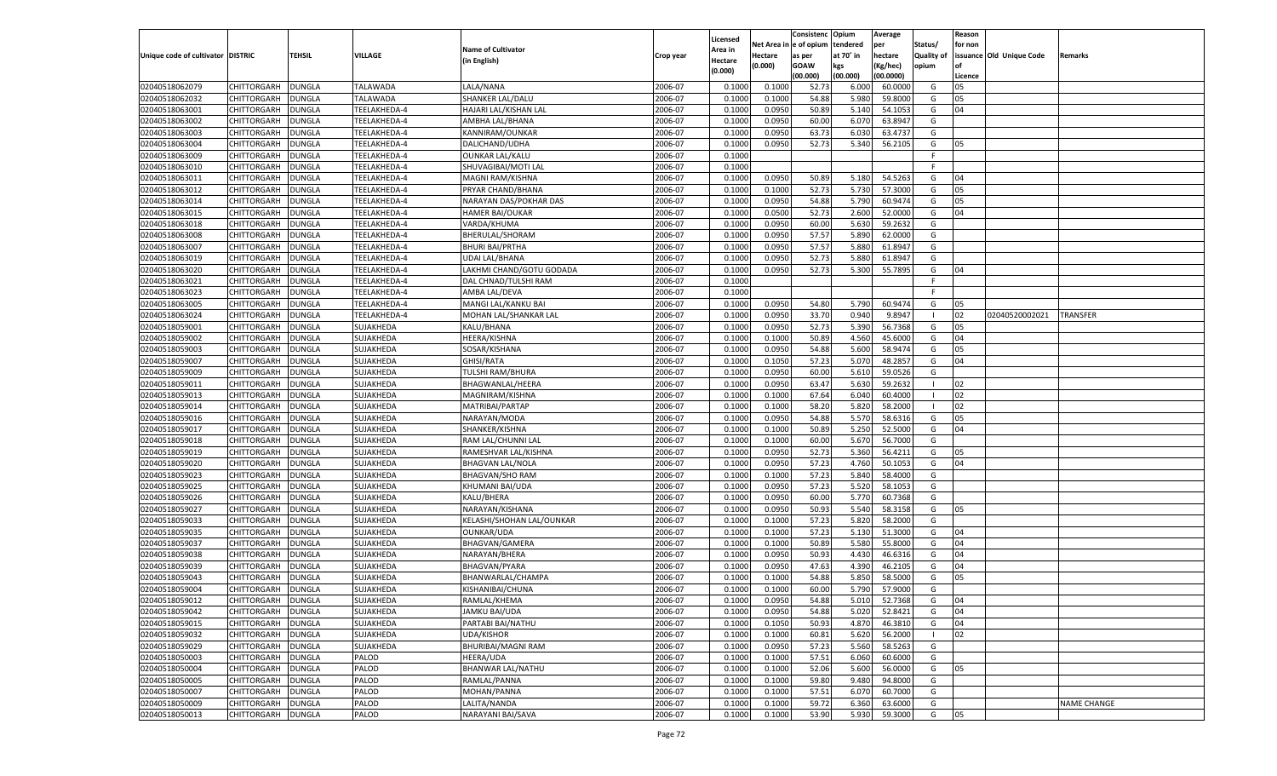|                                   |                                   |               |              |                           |           |                  |          | Consistenc Opium |           | Average   |                   | Reason    |                          |                    |
|-----------------------------------|-----------------------------------|---------------|--------------|---------------------------|-----------|------------------|----------|------------------|-----------|-----------|-------------------|-----------|--------------------------|--------------------|
|                                   |                                   |               |              |                           |           | Licensed         | Net Area | e of opium       | tendered  | per       | Status/           | for non   |                          |                    |
| Unique code of cultivator DISTRIC |                                   | TEHSIL        | VILLAGE      | <b>Name of Cultivator</b> | Crop year | Area in          | Hectare  | as per           | at 70° in | hectare   | <b>Quality of</b> |           | issuance Old Unique Code | Remarks            |
|                                   |                                   |               |              | (in English)              |           | Hectare          | (0.000)  | <b>GOAW</b>      | kgs       | (Kg/hec)  | opium             | <b>of</b> |                          |                    |
|                                   |                                   |               |              |                           |           | (0.000)          |          | (00.000)         | (00.000)  | (00.0000) |                   | Licence   |                          |                    |
| 02040518062079                    | CHITTORGARH                       | <b>DUNGLA</b> | TALAWADA     | LALA/NANA                 | 2006-07   | 0.1000           | 0.1000   | 52.73            | 6.000     | 60.0000   | G                 | 05        |                          |                    |
| 02040518062032                    | CHITTORGARH                       | <b>DUNGLA</b> | TALAWADA     | SHANKER LAL/DALU          | 2006-07   | 0.1000           | 0.1000   | 54.88            | 5.980     | 59.8000   | G                 | 05        |                          |                    |
| 02040518063001                    | <b>CHITTORGARH</b>                | <b>DUNGLA</b> | TEELAKHEDA-4 | HAJARI LAL/KISHAN LAL     | 2006-07   | 0.1000           | 0.0950   | 50.89            | 5.140     | 54.105    | G                 | 04        |                          |                    |
| 02040518063002                    | CHITTORGARH                       | DUNGLA        | TEELAKHEDA-4 | AMBHA LAL/BHANA           | 2006-07   | 0.1000           | 0.0950   | 60.00            | 6.070     | 63.8947   | G                 |           |                          |                    |
| 02040518063003                    | <b>CHITTORGARH</b>                | <b>DUNGLA</b> | TEELAKHEDA-4 | KANNIRAM/OUNKAR           | 2006-07   | 0.1000           | 0.0950   | 63.73            | 6.030     | 63.4737   | G                 |           |                          |                    |
| 02040518063004                    | CHITTORGARH                       | DUNGLA        | TEELAKHEDA-4 | DALICHAND/UDHA            | 2006-07   | 0.1000           | 0.0950   | 52.73            | 5.340     | 56.2105   | G                 | 05        |                          |                    |
| 02040518063009                    | <b>CHITTORGARH</b>                | <b>DUNGLA</b> | TEELAKHEDA-4 | <b>OUNKAR LAL/KALU</b>    | 2006-07   | 0.1000           |          |                  |           |           | F.                |           |                          |                    |
| 02040518063010                    | CHITTORGARH                       | DUNGLA        | TEELAKHEDA-4 | SHUVAGIBAI/MOTI LAL       | 2006-07   | 0.1000           |          |                  |           |           | F.                |           |                          |                    |
| 02040518063011                    | CHITTORGARH                       | <b>DUNGLA</b> | TEELAKHEDA-4 | MAGNI RAM/KISHNA          | 2006-07   | 0.1000           | 0.0950   | 50.89            | 5.180     | 54.5263   | G                 | 04        |                          |                    |
| 02040518063012                    | CHITTORGARH                       | <b>DUNGLA</b> | TEELAKHEDA-4 | PRYAR CHAND/BHANA         | 2006-07   | 0.1000           | 0.1000   | 52.73            | 5.730     | 57.3000   | G                 | 05        |                          |                    |
| 02040518063014                    | <b>CHITTORGARH</b>                | <b>DUNGLA</b> | TEELAKHEDA-4 | NARAYAN DAS/POKHAR DAS    | 2006-07   | 0.1000           | 0.0950   | 54.88            | 5.790     | 60.9474   | G                 | 05        |                          |                    |
| 02040518063015                    | CHITTORGARH                       | DUNGLA        | TEELAKHEDA-4 | HAMER BAI/OUKAR           | 2006-07   | 0.1000           | 0.0500   | 52.73            | 2.600     | 52.0000   | G                 | 04        |                          |                    |
| 02040518063018                    | CHITTORGARH                       | <b>DUNGLA</b> | TEELAKHEDA-4 | VARDA/KHUMA               | 2006-07   | 0.1000           | 0.0950   | 60.00            | 5.630     | 59.2632   | G                 |           |                          |                    |
| 02040518063008                    | CHITTORGARH                       | DUNGLA        | TEELAKHEDA-4 | <b>BHERULAL/SHORAM</b>    | 2006-07   | 0.1000           | 0.0950   | 57.57            | 5.890     | 62.0000   | G                 |           |                          |                    |
| 02040518063007                    | <b>CHITTORGARH</b>                | <b>DUNGLA</b> | TEELAKHEDA-4 | <b>BHURI BAI/PRTHA</b>    | 2006-07   | 0.1000           | 0.0950   | 57.57            | 5.880     | 61.8947   | G                 |           |                          |                    |
| 02040518063019                    | CHITTORGARH                       | <b>DUNGLA</b> | TEELAKHEDA-4 | <b>UDAI LAL/BHANA</b>     | 2006-07   | 0.1000           | 0.0950   | 52.73            | 5.880     | 61.8947   | G                 |           |                          |                    |
| 02040518063020                    | <b>CHITTORGARH</b>                | <b>DUNGLA</b> | TEELAKHEDA-4 | LAKHMI CHAND/GOTU GODADA  | 2006-07   | 0.1000           | 0.0950   | 52.73            | 5.300     | 55.7895   | G                 | 04        |                          |                    |
| 02040518063021                    | CHITTORGARH                       | DUNGLA        | TEELAKHEDA-4 | DAL CHNAD/TULSHI RAM      | 2006-07   | 0.1000           |          |                  |           |           | F                 |           |                          |                    |
| 02040518063023                    | <b>CHITTORGARH</b>                | <b>DUNGLA</b> | TEELAKHEDA-4 | AMBA LAL/DEVA             | 2006-07   | 0.1000           |          |                  |           |           | F                 |           |                          |                    |
| 02040518063005                    | CHITTORGARH                       | <b>DUNGLA</b> | TEELAKHEDA-4 | MANGI LAL/KANKU BAI       | 2006-07   | 0.1000           | 0.0950   | 54.80            | 5.790     | 60.9474   | G                 | 05        |                          |                    |
| 02040518063024                    | <b>CHITTORGARH</b>                | <b>DUNGLA</b> | TEELAKHEDA-4 | MOHAN LAL/SHANKAR LAL     | 2006-07   | 0.1000           | 0.0950   | 33.70            | 0.940     | 9.8947    | - 1               | 02        | 02040520002021           | <b>TRANSFER</b>    |
| 02040518059001                    | CHITTORGARH                       | DUNGLA        | SUJAKHEDA    | KALU/BHANA                | 2006-07   | 0.1000           | 0.0950   | 52.73            | 5.390     | 56.7368   | G                 | 05        |                          |                    |
| 02040518059002                    | <b>CHITTORGARH</b>                |               | SUJAKHEDA    | HEERA/KISHNA              | 2006-07   | 0.1000           | 0.1000   | 50.89            | 4.560     | 45.6000   | G                 | 04        |                          |                    |
|                                   |                                   | <b>DUNGLA</b> |              | SOSAR/KISHANA             | 2006-07   |                  | 0.0950   | 54.88            | 5.600     | 58.9474   |                   | 05        |                          |                    |
| 02040518059003                    | CHITTORGARH<br><b>CHITTORGARH</b> | <b>DUNGLA</b> | SUJAKHEDA    | <b>GHISI/RATA</b>         | 2006-07   | 0.1000<br>0.1000 | 0.1050   |                  | 5.070     | 48.2857   | G                 | 04        |                          |                    |
| 02040518059007                    |                                   | <b>DUNGLA</b> | SUJAKHEDA    |                           |           |                  |          | 57.23            |           |           | G                 |           |                          |                    |
| 02040518059009                    | CHITTORGARH                       | DUNGLA        | SUJAKHEDA    | <b>TULSHI RAM/BHURA</b>   | 2006-07   | 0.1000           | 0.0950   | 60.00            | 5.610     | 59.0526   | G                 |           |                          |                    |
| 02040518059011                    | <b>CHITTORGARH</b>                | <b>DUNGLA</b> | SUJAKHEDA    | BHAGWANLAL/HEERA          | 2006-07   | 0.1000           | 0.0950   | 63.47            | 5.630     | 59.2632   | - 1               | 02        |                          |                    |
| 02040518059013                    | CHITTORGARH                       | <b>DUNGLA</b> | SUJAKHEDA    | MAGNIRAM/KISHNA           | 2006-07   | 0.1000           | 0.1000   | 67.64            | 6.040     | 60.4000   | - 1               | 02        |                          |                    |
| 02040518059014                    | <b>CHITTORGARH</b>                | <b>DUNGLA</b> | SUJAKHEDA    | MATRIBAI/PARTAP           | 2006-07   | 0.1000           | 0.1000   | 58.20            | 5.820     | 58.2000   | - 1               | 02        |                          |                    |
| 02040518059016                    | CHITTORGARH                       | DUNGLA        | SUJAKHEDA    | NARAYAN/MODA              | 2006-07   | 0.1000           | 0.0950   | 54.88            | 5.570     | 58.6316   | G                 | 05        |                          |                    |
| 02040518059017                    | CHITTORGARH                       | DUNGLA        | SUJAKHEDA    | SHANKER/KISHNA            | 2006-07   | 0.1000           | 0.1000   | 50.89            | 5.250     | 52.5000   | G                 | 04        |                          |                    |
| 02040518059018                    | CHITTORGARH                       | DUNGLA        | SUJAKHEDA    | RAM LAL/CHUNNI LAL        | 2006-07   | 0.1000           | 0.1000   | 60.00            | 5.670     | 56.7000   | G                 |           |                          |                    |
| 02040518059019                    | CHITTORGARH                       | DUNGLA        | SUJAKHEDA    | RAMESHVAR LAL/KISHNA      | 2006-07   | 0.1000           | 0.0950   | 52.73            | 5.360     | 56.4211   | G                 | 05        |                          |                    |
| 02040518059020                    | CHITTORGARH                       | DUNGLA        | SUJAKHEDA    | <b>BHAGVAN LAL/NOLA</b>   | 2006-07   | 0.1000           | 0.0950   | 57.23            | 4.760     | 50.105    | G                 | 04        |                          |                    |
| 02040518059023                    | CHITTORGARH                       | DUNGLA        | SUJAKHEDA    | <b>BHAGVAN/SHO RAM</b>    | 2006-07   | 0.1000           | 0.1000   | 57.23            | 5.840     | 58.4000   | G                 |           |                          |                    |
| 02040518059025                    | CHITTORGARH                       | DUNGLA        | SUJAKHEDA    | KHUMANI BAI/UDA           | 2006-07   | 0.1000           | 0.0950   | 57.23            | 5.520     | 58.105    | G                 |           |                          |                    |
| 02040518059026                    | CHITTORGARH                       | DUNGLA        | SUJAKHEDA    | KALU/BHERA                | 2006-07   | 0.1000           | 0.0950   | 60.00            | 5.770     | 60.7368   | G                 |           |                          |                    |
| 02040518059027                    | CHITTORGARH                       | DUNGLA        | SUJAKHEDA    | NARAYAN/KISHANA           | 2006-07   | 0.1000           | 0.0950   | 50.93            | 5.540     | 58.3158   | G                 | 05        |                          |                    |
| 02040518059033                    | CHITTORGARH                       | DUNGLA        | SUJAKHEDA    | KELASHI/SHOHAN LAL/OUNKAR | 2006-07   | 0.1000           | 0.1000   | 57.23            | 5.820     | 58.2000   | G                 |           |                          |                    |
| 02040518059035                    | CHITTORGARH                       | DUNGLA        | SUJAKHEDA    | <b>OUNKAR/UDA</b>         | 2006-07   | 0.1000           | 0.1000   | 57.23            | 5.13(     | 51.3000   | G                 | 04        |                          |                    |
| 02040518059037                    | CHITTORGARH                       | DUNGLA        | SUJAKHEDA    | BHAGVAN/GAMERA            | 2006-07   | 0.1000           | 0.1000   | 50.89            | 5.580     | 55.8000   | G                 | 04        |                          |                    |
| 02040518059038                    | CHITTORGARH                       | DUNGLA        | SUJAKHEDA    | NARAYAN/BHERA             | 2006-07   | 0.1000           | 0.0950   | 50.93            | 4.430     | 46.6316   | G                 | 04        |                          |                    |
| 02040518059039                    | CHITTORGARH                       | DUNGLA        | SUJAKHEDA    | BHAGVAN/PYARA             | 2006-07   | 0.1000           | 0.0950   | 47.63            | 4.390     | 46.2105   | G                 | 04        |                          |                    |
| 02040518059043                    | CHITTORGARH                       | DUNGLA        | SUJAKHEDA    | BHANWARLAL/CHAMPA         | 2006-07   | 0.1000           | 0.1000   | 54.88            | 5.85      | 58.5000   | G                 | 05        |                          |                    |
| 02040518059004                    | CHITTORGARH                       | <b>DUNGLA</b> | SUJAKHEDA    | KISHANIBAI/CHUNA          | 2006-07   | 0.1000           | 0.1000   | 60.00            | 5.790     | 57.9000   | G                 |           |                          |                    |
| 02040518059012                    | CHITTORGARH                       | DUNGLA        | SUJAKHEDA    | RAMLAL/KHEMA              | 2006-07   | 0.1000           | 0.0950   | 54.88            | 5.010     | 52.7368   | G                 | 04        |                          |                    |
| 02040518059042                    | <b>CHITTORGARH</b>                | <b>DUNGLA</b> | SUJAKHEDA    | <b>JAMKU BAI/UDA</b>      | 2006-07   | 0.1000           | 0.0950   | 54.88            | 5.020     | 52.8421   | G                 | 04        |                          |                    |
| 02040518059015                    | <b>CHITTORGARH</b>                | <b>DUNGLA</b> | SUJAKHEDA    | PARTABI BAI/NATHU         | 2006-07   | 0.1000           | 0.1050   | 50.93            | 4.870     | 46.3810   | G                 | 04        |                          |                    |
| 02040518059032                    | <b>CHITTORGARH</b>                | <b>DUNGLA</b> | SUJAKHEDA    | <b>UDA/KISHOR</b>         | 2006-07   | 0.1000           | 0.1000   | 60.81            | 5.620     | 56.2000   | $\blacksquare$    | 02        |                          |                    |
| 02040518059029                    | <b>CHITTORGARH</b>                | <b>DUNGLA</b> | SUJAKHEDA    | <b>BHURIBAI/MAGNI RAM</b> | 2006-07   | 0.1000           | 0.0950   | 57.23            | 5.560     | 58.5263   | G                 |           |                          |                    |
| 02040518050003                    | <b>CHITTORGARH</b>                | <b>DUNGLA</b> | PALOD        | <b>HEERA/UDA</b>          | 2006-07   | 0.1000           | 0.1000   | 57.51            | 6.060     | 60.6000   | G                 |           |                          |                    |
| 02040518050004                    | <b>CHITTORGARH</b>                | <b>DUNGLA</b> | PALOD        | BHANWAR LAL/NATHU         | 2006-07   | 0.1000           | 0.1000   | 52.06            | 5.600     | 56.0000   | G                 | 05        |                          |                    |
| 02040518050005                    | <b>CHITTORGARH</b>                | <b>DUNGLA</b> | PALOD        | RAMLAL/PANNA              | 2006-07   | 0.1000           | 0.1000   | 59.80            | 9.480     | 94.8000   | G                 |           |                          |                    |
| 02040518050007                    | <b>CHITTORGARH</b>                | <b>DUNGLA</b> | PALOD        | MOHAN/PANNA               | 2006-07   | 0.1000           | 0.1000   | 57.51            | 6.070     | 60.7000   | G                 |           |                          |                    |
| 02040518050009                    | <b>CHITTORGARH</b>                | <b>DUNGLA</b> | PALOD        | LALITA/NANDA              | 2006-07   | 0.1000           | 0.1000   | 59.72            | 6.360     | 63.6000   | G                 |           |                          | <b>NAME CHANGE</b> |
| 02040518050013                    | <b>CHITTORGARH</b>                | <b>DUNGLA</b> | PALOD        | NARAYANI BAI/SAVA         | 2006-07   | 0.1000           | 0.1000   | 53.90            | 5.930     | 59.3000   | G                 | 05        |                          |                    |
|                                   |                                   |               |              |                           |           |                  |          |                  |           |           |                   |           |                          |                    |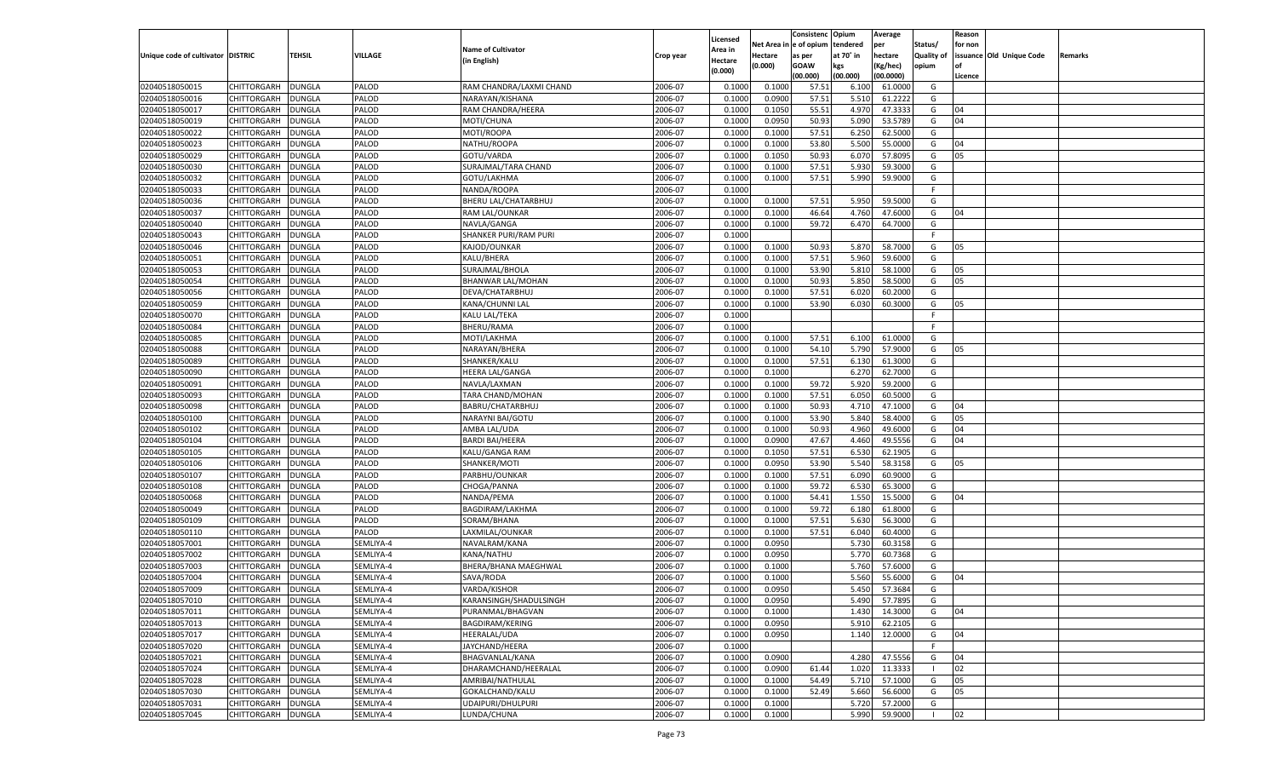| e of opium<br>Net Area<br>tendered<br>Status/<br>for non<br>per<br><b>Name of Cultivator</b><br><b>Area in</b><br><b>TEHSIL</b><br>VILLAGE<br>Unique code of cultivator DISTRIC<br>at 70° in<br>hectare<br><b>Quality of</b><br>issuance Old Unique Code<br>Hectare<br>Remarks<br>Crop year<br>as per<br>(in English)<br>Hectare<br>(0.000)<br><b>GOAW</b><br>kgs<br>(Kg/hec)<br>opium<br>(0.000)<br>(00.000)<br>(00.000)<br>(00.0000)<br>Licence<br>02040518050015<br>CHITTORGARH<br><b>DUNGLA</b><br>2006-07<br>PALOD<br>RAM CHANDRA/LAXMI CHAND<br>0.1000<br>0.1000<br>57.51<br>6.100<br>61.0000<br>G<br>02040518050016<br>PALOD<br>2006-07<br>57.51<br>5.510<br>CHITTORGARH<br>DUNGLA<br>NARAYAN/KISHANA<br>0.1000<br>0.0900<br>61.2222<br>G<br>PALOD<br>2006-07<br>55.51<br>4.970<br>02040518050017<br>CHITTORGARH<br>DUNGLA<br>RAM CHANDRA/HEERA<br>0.1000<br>0.1050<br>47.3333<br>G<br>04<br>02040518050019<br>PALOD<br>2006-07<br>0.0950<br>50.93<br>5.090<br>53.5789<br>04<br>CHITTORGARH<br>DUNGLA<br>MOTI/CHUNA<br>0.1000<br>G<br>02040518050022<br>PALOD<br>2006-07<br>57.51<br>6.250<br>62.5000<br>CHITTORGARH<br>DUNGLA<br>MOTI/ROOPA<br>0.1000<br>0.1000<br>G<br>02040518050023<br>PALOD<br>2006-07<br>53.80<br>5.500<br>CHITTORGARH<br>DUNGLA<br>NATHU/ROOPA<br>0.1000<br>0.1000<br>55.0000<br>G<br>04<br>PALOD<br>2006-07<br>50.93<br>02040518050029<br>CHITTORGARH<br>DUNGLA<br>GOTU/VARDA<br>0.1000<br>0.1050<br>6.070<br>57.8095<br>G<br>05<br>02040518050030<br>PALOD<br>2006-07<br>57.51<br>5.930<br>CHITTORGARH<br>DUNGLA<br>SURAJMAL/TARA CHAND<br>0.1000<br>0.1000<br>59.3000<br>G<br>PALOD<br>2006-07<br>57.51<br>5.990<br>59.9000<br>G<br>02040518050032<br>CHITTORGARH<br>DUNGLA<br>GOTU/LAKHMA<br>0.1000<br>0.1000<br>02040518050033<br>PALOD<br>2006-07<br>CHITTORGARH<br>DUNGLA<br>NANDA/ROOPA<br>0.1000<br>F.<br>PALOD<br>2006-07<br>0.1000<br>59.5000<br>02040518050036<br>CHITTORGARH<br>DUNGLA<br>BHERU LAL/CHATARBHUJ<br>0.1000<br>57.51<br>5.950<br>G<br>02040518050037<br>PALOD<br>2006-07<br>46.64<br>CHITTORGARH<br>DUNGLA<br>RAM LAL/OUNKAR<br>0.1000<br>0.1000<br>4.760<br>47.6000<br>G<br>04<br>02040518050040<br>PALOD<br>2006-07<br>59.72<br>64.7000<br>G<br>CHITTORGARH<br>DUNGLA<br>NAVLA/GANGA<br>0.1000<br>0.1000<br>6.470<br>02040518050043<br>PALOD<br>2006-07<br>CHITTORGARH<br>DUNGLA<br>SHANKER PURI/RAM PURI<br>0.1000<br>F.<br>02040518050046<br>PALOD<br>2006-07<br>0.1000<br>0.1000<br>50.93<br>5.870<br>58.7000<br>CHITTORGARH<br>DUNGLA<br>KAJOD/OUNKAR<br>G<br>05<br>02040518050051<br>CHITTORGARH<br>PALOD<br>2006-07<br>0.1000<br>57.51<br>5.960<br>59.6000<br>DUNGLA<br>KALU/BHERA<br>0.1000<br>G<br>02040518050053<br>DUNGLA<br>PALOD<br>SURAJMAL/BHOLA<br>2006-07<br>0.1000<br>0.1000<br>53.90<br>5.810<br>58.1000<br>G<br>CHITTORGARH<br>05<br>02040518050054<br>PALOD<br>2006-07<br>50.93<br>5.850<br>58.5000<br>CHITTORGARH<br>DUNGLA<br><b>BHANWAR LAL/MOHAN</b><br>0.1000<br>0.1000<br>G<br>05<br>02040518050056<br>PALOD<br>2006-07<br>0.1000<br>57.51<br>6.020<br>60.2000<br>CHITTORGARH<br>DUNGLA<br>DEVA/CHATARBHUJ<br>0.1000<br>G<br>02040518050059<br>CHITTORGARH<br>PALOD<br>2006-07<br>53.90<br>DUNGLA<br>KANA/CHUNNI LAL<br>0.1000<br>0.1000<br>6.030<br>60.3000<br>G<br>05<br>02040518050070<br>DUNGLA<br>PALOD<br>KALU LAL/TEKA<br>2006-07<br>0.1000<br>F<br>CHITTORGARH<br>02040518050084<br>PALOD<br><b>BHERU/RAMA</b><br>2006-07<br>CHITTORGARH<br>DUNGLA<br>0.1000<br>F.<br>02040518050085<br>PALOD<br>MOTI/LAKHMA<br>2006-07<br>0.1000<br>0.1000<br>57.51<br>6.100<br>61.0000<br>CHITTORGARH<br>DUNGLA<br>G<br>02040518050088<br>CHITTORGARH<br>PALOD<br>2006-07<br>54.10<br>5.790<br>57.9000<br>DUNGLA<br>NARAYAN/BHERA<br>0.1000<br>0.1000<br>G<br>05<br>02040518050089<br>CHITTORGARH<br>DUNGLA<br>PALOD<br>SHANKER/KALU<br>2006-07<br>0.1000<br>0.1000<br>57.51<br>6.130<br>61.3000<br>G<br>02040518050090<br>PALOD<br>2006-07<br>6.270<br>CHITTORGARH<br>DUNGLA<br>HEERA LAL/GANGA<br>0.1000<br>0.1000<br>62.7000<br>G<br>02040518050091<br>PALOD<br>2006-07<br>0.1000<br>0.1000<br>59.72<br>5.920<br>59.2000<br>CHITTORGARH<br><b>DUNGLA</b><br>NAVLA/LAXMAN<br>G<br>02040518050093<br>CHITTORGARH<br>PALOD<br>2006-07<br>0.1000<br>57.51<br>6.050<br>60.5000<br>DUNGLA<br>TARA CHAND/MOHAN<br>0.1000<br>G<br>02040518050098<br>CHITTORGARH<br>DUNGLA<br>PALOD<br>BABRU/CHATARBHUJ<br>2006-07<br>0.1000<br>0.1000<br>50.93<br>4.710<br>47.1000<br>G<br>04<br>02040518050100<br>PALOD<br>2006-07<br>53.90<br>5.840<br>CHITTORGARH<br><b>DUNGLA</b><br>NARAYNI BAI/GOTU<br>0.1000<br>0.1000<br>58.4000<br>G<br>05<br>02040518050102<br>PALOD<br>2006-07<br>0.1000<br>0.1000<br>50.93<br>4.960<br>49.6000<br>CHITTORGARH<br><b>DUNGLA</b><br>AMBA LAL/UDA<br>G<br>04<br>02040518050104<br>PALOD<br><b>BARDI BAI/HEERA</b><br>2006-07<br>0.0900<br>47.67<br>4.460<br>49.5556<br>CHITTORGARH<br>DUNGLA<br>0.1000<br>G<br>04<br>02040518050105<br>DUNGLA<br>PALOD<br>2006-07<br>0.1000<br>0.1050<br>57.51<br>6.530<br>62.1905<br>CHITTORGARH<br>KALU/GANGA RAM<br>G<br>02040518050106<br>PALOD<br>2006-07<br>0.0950<br>53.90<br>5.540<br>CHITTORGARH<br>DUNGLA<br>SHANKER/MOTI<br>0.1000<br>58.3158<br>G<br>05<br>02040518050107<br>PALOD<br>2006-07<br>0.1000<br>0.1000<br>57.51<br>6.090<br>60.9000<br>CHITTORGARH<br><b>DUNGLA</b><br>PARBHU/OUNKAR<br>G<br>02040518050108<br>PALOD<br>CHOGA/PANNA<br>2006-07<br>59.72<br>6.530<br>65.3000<br>CHITTORGARH<br>DUNGLA<br>0.1000<br>0.1000<br>G<br>02040518050068<br>DUNGLA<br>PALOD<br>NANDA/PEMA<br>2006-07<br>0.1000<br>0.1000<br>54.41<br>1.550<br>15.5000<br>CHITTORGARH<br>G<br>04<br>02040518050049<br>PALOD<br>2006-07<br>59.72<br>6.180<br>CHITTORGARH<br>DUNGLA<br>BAGDIRAM/LAKHMA<br>0.1000<br>0.1000<br>61.8000<br>G<br>02040518050109<br>PALOD<br>SORAM/BHANA<br>2006-07<br>0.1000<br>0.1000<br>57.51<br>5.630<br>56.3000<br>CHITTORGARH<br><b>DUNGLA</b><br>G<br>02040518050110<br>PALOD<br>LAXMILAL/OUNKAR<br>2006-07<br>57.51<br>6.040<br>CHITTORGARH<br>DUNGLA<br>0.1000<br>0.1000<br>60.4000<br>G<br>02040518057001<br>DUNGLA<br>SEMLIYA-4<br>2006-07<br>0.1000<br>0.0950<br>5.730<br>60.3158<br>CHITTORGARH<br>NAVALRAM/KANA<br>G<br>02040518057002<br>2006-07<br>5.770<br>CHITTORGARH<br>DUNGLA<br>SEMLIYA-4<br>KANA/NATHU<br>0.1000<br>0.0950<br>60.7368<br>G<br>SEMLIYA-4<br>2006-07<br>02040518057003<br>CHITTORGARH<br>DUNGLA<br>BHERA/BHANA MAEGHWAL<br>0.1000<br>0.1000<br>5.760<br>57.6000<br>G<br>02040518057004<br>2006-07<br>5.560<br>CHITTORGARH<br>DUNGLA<br>SEMLIYA-4<br>SAVA/RODA<br>0.1000<br>0.1000<br>55.6000<br>G<br>04<br>2006-07<br>0.0950<br>5.450<br>57.3684<br>02040518057009<br>CHITTORGARH<br><b>DUNGLA</b><br>SEMLIYA-4<br>VARDA/KISHOR<br>0.1000<br>G<br>CHITTORGARH   DUNGLA<br>SEMLIYA-4<br>KARANSINGH/SHADULSINGH<br>2006-07<br>0.1000<br>0.0950<br>5.490<br>57.7895<br>G<br><b>DUNGLA</b><br>SEMLIYA-4<br>PURANMAL/BHAGVAN<br>2006-07<br>0.1000<br>0.1000<br>1.430<br>14.3000<br><b>CHITTORGARH</b><br>G<br>04<br>CHITTORGARH<br><b>DUNGLA</b><br>SEMLIYA-4<br>BAGDIRAM/KERING<br>2006-07<br>0.1000<br>0.0950<br>5.910<br>62.2105<br>G<br>2006-07<br>02040518057017<br><b>CHITTORGARH</b><br><b>DUNGLA</b><br>SEMLIYA-4<br>HEERALAL/UDA<br>0.1000<br>0.0950<br>12.0000<br>04<br>1.140<br>G<br><b>CHITTORGARH</b><br><b>DUNGLA</b><br>SEMLIYA-4<br>JAYCHAND/HEERA<br>2006-07<br>0.1000<br>F.<br>02040518057021<br><b>CHITTORGARH</b><br><b>DUNGLA</b><br>SEMLIYA-4<br>BHAGVANLAL/KANA<br>2006-07<br>0.1000<br>0.0900<br>47.5556<br>4.280<br>G<br>04<br><b>CHITTORGARH</b><br><b>DUNGLA</b><br>SEMLIYA-4<br>DHARAMCHAND/HEERALAL<br>2006-07<br>0.0900<br>61.44<br>1.020<br>11.3333<br>02<br>0.1000<br>- 1<br>54.49<br>02040518057028<br><b>CHITTORGARH</b><br><b>DUNGLA</b><br>SEMLIYA-4<br>AMRIBAI/NATHULAL<br>2006-07<br>0.1000<br>0.1000<br>5.710<br>57.1000<br>G<br>05<br>02040518057030<br>CHITTORGARH<br><b>DUNGLA</b><br>SEMLIYA-4<br>GOKALCHAND/KALU<br>2006-07<br>0.1000<br>52.49<br>5.660<br>56.6000<br>05<br>0.1000<br>G<br>02040518057031<br><b>CHITTORGARH</b><br><b>DUNGLA</b><br>SEMLIYA-4<br>UDAIPURI/DHULPURI<br>2006-07<br>0.1000<br>0.1000<br>57.2000<br>5.720<br>G<br>02040518057045<br>CHITTORGARH<br><b>DUNGLA</b><br>SEMLIYA-4<br>LUNDA/CHUNA<br>2006-07<br>0.1000<br>5.990<br>59.9000<br>02<br>0.1000<br>$\blacksquare$ |                |  |  |          | Consistenc | Opium | Average | Reason |  |
|-----------------------------------------------------------------------------------------------------------------------------------------------------------------------------------------------------------------------------------------------------------------------------------------------------------------------------------------------------------------------------------------------------------------------------------------------------------------------------------------------------------------------------------------------------------------------------------------------------------------------------------------------------------------------------------------------------------------------------------------------------------------------------------------------------------------------------------------------------------------------------------------------------------------------------------------------------------------------------------------------------------------------------------------------------------------------------------------------------------------------------------------------------------------------------------------------------------------------------------------------------------------------------------------------------------------------------------------------------------------------------------------------------------------------------------------------------------------------------------------------------------------------------------------------------------------------------------------------------------------------------------------------------------------------------------------------------------------------------------------------------------------------------------------------------------------------------------------------------------------------------------------------------------------------------------------------------------------------------------------------------------------------------------------------------------------------------------------------------------------------------------------------------------------------------------------------------------------------------------------------------------------------------------------------------------------------------------------------------------------------------------------------------------------------------------------------------------------------------------------------------------------------------------------------------------------------------------------------------------------------------------------------------------------------------------------------------------------------------------------------------------------------------------------------------------------------------------------------------------------------------------------------------------------------------------------------------------------------------------------------------------------------------------------------------------------------------------------------------------------------------------------------------------------------------------------------------------------------------------------------------------------------------------------------------------------------------------------------------------------------------------------------------------------------------------------------------------------------------------------------------------------------------------------------------------------------------------------------------------------------------------------------------------------------------------------------------------------------------------------------------------------------------------------------------------------------------------------------------------------------------------------------------------------------------------------------------------------------------------------------------------------------------------------------------------------------------------------------------------------------------------------------------------------------------------------------------------------------------------------------------------------------------------------------------------------------------------------------------------------------------------------------------------------------------------------------------------------------------------------------------------------------------------------------------------------------------------------------------------------------------------------------------------------------------------------------------------------------------------------------------------------------------------------------------------------------------------------------------------------------------------------------------------------------------------------------------------------------------------------------------------------------------------------------------------------------------------------------------------------------------------------------------------------------------------------------------------------------------------------------------------------------------------------------------------------------------------------------------------------------------------------------------------------------------------------------------------------------------------------------------------------------------------------------------------------------------------------------------------------------------------------------------------------------------------------------------------------------------------------------------------------------------------------------------------------------------------------------------------------------------------------------------------------------------------------------------------------------------------------------------------------------------------------------------------------------------------------------------------------------------------------------------------------------------------------------------------------------------------------------------------------------------------------------------------------------------------------------------------------------------------------------------------------------------------------------------------------------------------------------------------------------------------------------------------------------------------------------------------------------------------------------------------------------------------------------------------------------------------------------------------------------------------------------------------------------------------------------------------------------------------------------------------------------------------------------------------------------------------------------------------------------------------------------------------------------------------------------------------------------------------------------------------------------------------------------------------------------------------------------------------------------------------------------------------------------------------------------------------------------------------------------------------------------------------------------------------------------------------------------------------------------------------------------------------------------------------------------------------------------------------------------------------------------------------------------------------------------------------------------------------------------------------------------------------------------------------------------------------------------------------------------------------------------------------------------------------------------------------------------------------------------------------------------------------------------------------------------------------------------------------------------------------------------------------------------------------------------------------------------------------------------------------------------------------------------------------------|----------------|--|--|----------|------------|-------|---------|--------|--|
|                                                                                                                                                                                                                                                                                                                                                                                                                                                                                                                                                                                                                                                                                                                                                                                                                                                                                                                                                                                                                                                                                                                                                                                                                                                                                                                                                                                                                                                                                                                                                                                                                                                                                                                                                                                                                                                                                                                                                                                                                                                                                                                                                                                                                                                                                                                                                                                                                                                                                                                                                                                                                                                                                                                                                                                                                                                                                                                                                                                                                                                                                                                                                                                                                                                                                                                                                                                                                                                                                                                                                                                                                                                                                                                                                                                                                                                                                                                                                                                                                                                                                                                                                                                                                                                                                                                                                                                                                                                                                                                                                                                                                                                                                                                                                                                                                                                                                                                                                                                                                                                                                                                                                                                                                                                                                                                                                                                                                                                                                                                                                                                                                                                                                                                                                                                                                                                                                                                                                                                                                                                                                                                                                                                                                                                                                                                                                                                                                                                                                                                                                                                                                                                                                                                                                                                                                                                                                                                                                                                                                                                                                                                                                                                                                                                                                                                                                                                                                                                                                                                                                                                                                                                                                                                                                                                                                                                                                                                                                                                                                                                                                                                                                                                                                                                                                                                                         |                |  |  | Licensed |            |       |         |        |  |
|                                                                                                                                                                                                                                                                                                                                                                                                                                                                                                                                                                                                                                                                                                                                                                                                                                                                                                                                                                                                                                                                                                                                                                                                                                                                                                                                                                                                                                                                                                                                                                                                                                                                                                                                                                                                                                                                                                                                                                                                                                                                                                                                                                                                                                                                                                                                                                                                                                                                                                                                                                                                                                                                                                                                                                                                                                                                                                                                                                                                                                                                                                                                                                                                                                                                                                                                                                                                                                                                                                                                                                                                                                                                                                                                                                                                                                                                                                                                                                                                                                                                                                                                                                                                                                                                                                                                                                                                                                                                                                                                                                                                                                                                                                                                                                                                                                                                                                                                                                                                                                                                                                                                                                                                                                                                                                                                                                                                                                                                                                                                                                                                                                                                                                                                                                                                                                                                                                                                                                                                                                                                                                                                                                                                                                                                                                                                                                                                                                                                                                                                                                                                                                                                                                                                                                                                                                                                                                                                                                                                                                                                                                                                                                                                                                                                                                                                                                                                                                                                                                                                                                                                                                                                                                                                                                                                                                                                                                                                                                                                                                                                                                                                                                                                                                                                                                                                         |                |  |  |          |            |       |         |        |  |
|                                                                                                                                                                                                                                                                                                                                                                                                                                                                                                                                                                                                                                                                                                                                                                                                                                                                                                                                                                                                                                                                                                                                                                                                                                                                                                                                                                                                                                                                                                                                                                                                                                                                                                                                                                                                                                                                                                                                                                                                                                                                                                                                                                                                                                                                                                                                                                                                                                                                                                                                                                                                                                                                                                                                                                                                                                                                                                                                                                                                                                                                                                                                                                                                                                                                                                                                                                                                                                                                                                                                                                                                                                                                                                                                                                                                                                                                                                                                                                                                                                                                                                                                                                                                                                                                                                                                                                                                                                                                                                                                                                                                                                                                                                                                                                                                                                                                                                                                                                                                                                                                                                                                                                                                                                                                                                                                                                                                                                                                                                                                                                                                                                                                                                                                                                                                                                                                                                                                                                                                                                                                                                                                                                                                                                                                                                                                                                                                                                                                                                                                                                                                                                                                                                                                                                                                                                                                                                                                                                                                                                                                                                                                                                                                                                                                                                                                                                                                                                                                                                                                                                                                                                                                                                                                                                                                                                                                                                                                                                                                                                                                                                                                                                                                                                                                                                                                         |                |  |  |          |            |       |         |        |  |
|                                                                                                                                                                                                                                                                                                                                                                                                                                                                                                                                                                                                                                                                                                                                                                                                                                                                                                                                                                                                                                                                                                                                                                                                                                                                                                                                                                                                                                                                                                                                                                                                                                                                                                                                                                                                                                                                                                                                                                                                                                                                                                                                                                                                                                                                                                                                                                                                                                                                                                                                                                                                                                                                                                                                                                                                                                                                                                                                                                                                                                                                                                                                                                                                                                                                                                                                                                                                                                                                                                                                                                                                                                                                                                                                                                                                                                                                                                                                                                                                                                                                                                                                                                                                                                                                                                                                                                                                                                                                                                                                                                                                                                                                                                                                                                                                                                                                                                                                                                                                                                                                                                                                                                                                                                                                                                                                                                                                                                                                                                                                                                                                                                                                                                                                                                                                                                                                                                                                                                                                                                                                                                                                                                                                                                                                                                                                                                                                                                                                                                                                                                                                                                                                                                                                                                                                                                                                                                                                                                                                                                                                                                                                                                                                                                                                                                                                                                                                                                                                                                                                                                                                                                                                                                                                                                                                                                                                                                                                                                                                                                                                                                                                                                                                                                                                                                                                         |                |  |  |          |            |       |         |        |  |
|                                                                                                                                                                                                                                                                                                                                                                                                                                                                                                                                                                                                                                                                                                                                                                                                                                                                                                                                                                                                                                                                                                                                                                                                                                                                                                                                                                                                                                                                                                                                                                                                                                                                                                                                                                                                                                                                                                                                                                                                                                                                                                                                                                                                                                                                                                                                                                                                                                                                                                                                                                                                                                                                                                                                                                                                                                                                                                                                                                                                                                                                                                                                                                                                                                                                                                                                                                                                                                                                                                                                                                                                                                                                                                                                                                                                                                                                                                                                                                                                                                                                                                                                                                                                                                                                                                                                                                                                                                                                                                                                                                                                                                                                                                                                                                                                                                                                                                                                                                                                                                                                                                                                                                                                                                                                                                                                                                                                                                                                                                                                                                                                                                                                                                                                                                                                                                                                                                                                                                                                                                                                                                                                                                                                                                                                                                                                                                                                                                                                                                                                                                                                                                                                                                                                                                                                                                                                                                                                                                                                                                                                                                                                                                                                                                                                                                                                                                                                                                                                                                                                                                                                                                                                                                                                                                                                                                                                                                                                                                                                                                                                                                                                                                                                                                                                                                                                         |                |  |  |          |            |       |         |        |  |
|                                                                                                                                                                                                                                                                                                                                                                                                                                                                                                                                                                                                                                                                                                                                                                                                                                                                                                                                                                                                                                                                                                                                                                                                                                                                                                                                                                                                                                                                                                                                                                                                                                                                                                                                                                                                                                                                                                                                                                                                                                                                                                                                                                                                                                                                                                                                                                                                                                                                                                                                                                                                                                                                                                                                                                                                                                                                                                                                                                                                                                                                                                                                                                                                                                                                                                                                                                                                                                                                                                                                                                                                                                                                                                                                                                                                                                                                                                                                                                                                                                                                                                                                                                                                                                                                                                                                                                                                                                                                                                                                                                                                                                                                                                                                                                                                                                                                                                                                                                                                                                                                                                                                                                                                                                                                                                                                                                                                                                                                                                                                                                                                                                                                                                                                                                                                                                                                                                                                                                                                                                                                                                                                                                                                                                                                                                                                                                                                                                                                                                                                                                                                                                                                                                                                                                                                                                                                                                                                                                                                                                                                                                                                                                                                                                                                                                                                                                                                                                                                                                                                                                                                                                                                                                                                                                                                                                                                                                                                                                                                                                                                                                                                                                                                                                                                                                                                         |                |  |  |          |            |       |         |        |  |
|                                                                                                                                                                                                                                                                                                                                                                                                                                                                                                                                                                                                                                                                                                                                                                                                                                                                                                                                                                                                                                                                                                                                                                                                                                                                                                                                                                                                                                                                                                                                                                                                                                                                                                                                                                                                                                                                                                                                                                                                                                                                                                                                                                                                                                                                                                                                                                                                                                                                                                                                                                                                                                                                                                                                                                                                                                                                                                                                                                                                                                                                                                                                                                                                                                                                                                                                                                                                                                                                                                                                                                                                                                                                                                                                                                                                                                                                                                                                                                                                                                                                                                                                                                                                                                                                                                                                                                                                                                                                                                                                                                                                                                                                                                                                                                                                                                                                                                                                                                                                                                                                                                                                                                                                                                                                                                                                                                                                                                                                                                                                                                                                                                                                                                                                                                                                                                                                                                                                                                                                                                                                                                                                                                                                                                                                                                                                                                                                                                                                                                                                                                                                                                                                                                                                                                                                                                                                                                                                                                                                                                                                                                                                                                                                                                                                                                                                                                                                                                                                                                                                                                                                                                                                                                                                                                                                                                                                                                                                                                                                                                                                                                                                                                                                                                                                                                                                         |                |  |  |          |            |       |         |        |  |
|                                                                                                                                                                                                                                                                                                                                                                                                                                                                                                                                                                                                                                                                                                                                                                                                                                                                                                                                                                                                                                                                                                                                                                                                                                                                                                                                                                                                                                                                                                                                                                                                                                                                                                                                                                                                                                                                                                                                                                                                                                                                                                                                                                                                                                                                                                                                                                                                                                                                                                                                                                                                                                                                                                                                                                                                                                                                                                                                                                                                                                                                                                                                                                                                                                                                                                                                                                                                                                                                                                                                                                                                                                                                                                                                                                                                                                                                                                                                                                                                                                                                                                                                                                                                                                                                                                                                                                                                                                                                                                                                                                                                                                                                                                                                                                                                                                                                                                                                                                                                                                                                                                                                                                                                                                                                                                                                                                                                                                                                                                                                                                                                                                                                                                                                                                                                                                                                                                                                                                                                                                                                                                                                                                                                                                                                                                                                                                                                                                                                                                                                                                                                                                                                                                                                                                                                                                                                                                                                                                                                                                                                                                                                                                                                                                                                                                                                                                                                                                                                                                                                                                                                                                                                                                                                                                                                                                                                                                                                                                                                                                                                                                                                                                                                                                                                                                                                         |                |  |  |          |            |       |         |        |  |
|                                                                                                                                                                                                                                                                                                                                                                                                                                                                                                                                                                                                                                                                                                                                                                                                                                                                                                                                                                                                                                                                                                                                                                                                                                                                                                                                                                                                                                                                                                                                                                                                                                                                                                                                                                                                                                                                                                                                                                                                                                                                                                                                                                                                                                                                                                                                                                                                                                                                                                                                                                                                                                                                                                                                                                                                                                                                                                                                                                                                                                                                                                                                                                                                                                                                                                                                                                                                                                                                                                                                                                                                                                                                                                                                                                                                                                                                                                                                                                                                                                                                                                                                                                                                                                                                                                                                                                                                                                                                                                                                                                                                                                                                                                                                                                                                                                                                                                                                                                                                                                                                                                                                                                                                                                                                                                                                                                                                                                                                                                                                                                                                                                                                                                                                                                                                                                                                                                                                                                                                                                                                                                                                                                                                                                                                                                                                                                                                                                                                                                                                                                                                                                                                                                                                                                                                                                                                                                                                                                                                                                                                                                                                                                                                                                                                                                                                                                                                                                                                                                                                                                                                                                                                                                                                                                                                                                                                                                                                                                                                                                                                                                                                                                                                                                                                                                                                         |                |  |  |          |            |       |         |        |  |
|                                                                                                                                                                                                                                                                                                                                                                                                                                                                                                                                                                                                                                                                                                                                                                                                                                                                                                                                                                                                                                                                                                                                                                                                                                                                                                                                                                                                                                                                                                                                                                                                                                                                                                                                                                                                                                                                                                                                                                                                                                                                                                                                                                                                                                                                                                                                                                                                                                                                                                                                                                                                                                                                                                                                                                                                                                                                                                                                                                                                                                                                                                                                                                                                                                                                                                                                                                                                                                                                                                                                                                                                                                                                                                                                                                                                                                                                                                                                                                                                                                                                                                                                                                                                                                                                                                                                                                                                                                                                                                                                                                                                                                                                                                                                                                                                                                                                                                                                                                                                                                                                                                                                                                                                                                                                                                                                                                                                                                                                                                                                                                                                                                                                                                                                                                                                                                                                                                                                                                                                                                                                                                                                                                                                                                                                                                                                                                                                                                                                                                                                                                                                                                                                                                                                                                                                                                                                                                                                                                                                                                                                                                                                                                                                                                                                                                                                                                                                                                                                                                                                                                                                                                                                                                                                                                                                                                                                                                                                                                                                                                                                                                                                                                                                                                                                                                                                         |                |  |  |          |            |       |         |        |  |
|                                                                                                                                                                                                                                                                                                                                                                                                                                                                                                                                                                                                                                                                                                                                                                                                                                                                                                                                                                                                                                                                                                                                                                                                                                                                                                                                                                                                                                                                                                                                                                                                                                                                                                                                                                                                                                                                                                                                                                                                                                                                                                                                                                                                                                                                                                                                                                                                                                                                                                                                                                                                                                                                                                                                                                                                                                                                                                                                                                                                                                                                                                                                                                                                                                                                                                                                                                                                                                                                                                                                                                                                                                                                                                                                                                                                                                                                                                                                                                                                                                                                                                                                                                                                                                                                                                                                                                                                                                                                                                                                                                                                                                                                                                                                                                                                                                                                                                                                                                                                                                                                                                                                                                                                                                                                                                                                                                                                                                                                                                                                                                                                                                                                                                                                                                                                                                                                                                                                                                                                                                                                                                                                                                                                                                                                                                                                                                                                                                                                                                                                                                                                                                                                                                                                                                                                                                                                                                                                                                                                                                                                                                                                                                                                                                                                                                                                                                                                                                                                                                                                                                                                                                                                                                                                                                                                                                                                                                                                                                                                                                                                                                                                                                                                                                                                                                                                         |                |  |  |          |            |       |         |        |  |
|                                                                                                                                                                                                                                                                                                                                                                                                                                                                                                                                                                                                                                                                                                                                                                                                                                                                                                                                                                                                                                                                                                                                                                                                                                                                                                                                                                                                                                                                                                                                                                                                                                                                                                                                                                                                                                                                                                                                                                                                                                                                                                                                                                                                                                                                                                                                                                                                                                                                                                                                                                                                                                                                                                                                                                                                                                                                                                                                                                                                                                                                                                                                                                                                                                                                                                                                                                                                                                                                                                                                                                                                                                                                                                                                                                                                                                                                                                                                                                                                                                                                                                                                                                                                                                                                                                                                                                                                                                                                                                                                                                                                                                                                                                                                                                                                                                                                                                                                                                                                                                                                                                                                                                                                                                                                                                                                                                                                                                                                                                                                                                                                                                                                                                                                                                                                                                                                                                                                                                                                                                                                                                                                                                                                                                                                                                                                                                                                                                                                                                                                                                                                                                                                                                                                                                                                                                                                                                                                                                                                                                                                                                                                                                                                                                                                                                                                                                                                                                                                                                                                                                                                                                                                                                                                                                                                                                                                                                                                                                                                                                                                                                                                                                                                                                                                                                                                         |                |  |  |          |            |       |         |        |  |
|                                                                                                                                                                                                                                                                                                                                                                                                                                                                                                                                                                                                                                                                                                                                                                                                                                                                                                                                                                                                                                                                                                                                                                                                                                                                                                                                                                                                                                                                                                                                                                                                                                                                                                                                                                                                                                                                                                                                                                                                                                                                                                                                                                                                                                                                                                                                                                                                                                                                                                                                                                                                                                                                                                                                                                                                                                                                                                                                                                                                                                                                                                                                                                                                                                                                                                                                                                                                                                                                                                                                                                                                                                                                                                                                                                                                                                                                                                                                                                                                                                                                                                                                                                                                                                                                                                                                                                                                                                                                                                                                                                                                                                                                                                                                                                                                                                                                                                                                                                                                                                                                                                                                                                                                                                                                                                                                                                                                                                                                                                                                                                                                                                                                                                                                                                                                                                                                                                                                                                                                                                                                                                                                                                                                                                                                                                                                                                                                                                                                                                                                                                                                                                                                                                                                                                                                                                                                                                                                                                                                                                                                                                                                                                                                                                                                                                                                                                                                                                                                                                                                                                                                                                                                                                                                                                                                                                                                                                                                                                                                                                                                                                                                                                                                                                                                                                                                         |                |  |  |          |            |       |         |        |  |
|                                                                                                                                                                                                                                                                                                                                                                                                                                                                                                                                                                                                                                                                                                                                                                                                                                                                                                                                                                                                                                                                                                                                                                                                                                                                                                                                                                                                                                                                                                                                                                                                                                                                                                                                                                                                                                                                                                                                                                                                                                                                                                                                                                                                                                                                                                                                                                                                                                                                                                                                                                                                                                                                                                                                                                                                                                                                                                                                                                                                                                                                                                                                                                                                                                                                                                                                                                                                                                                                                                                                                                                                                                                                                                                                                                                                                                                                                                                                                                                                                                                                                                                                                                                                                                                                                                                                                                                                                                                                                                                                                                                                                                                                                                                                                                                                                                                                                                                                                                                                                                                                                                                                                                                                                                                                                                                                                                                                                                                                                                                                                                                                                                                                                                                                                                                                                                                                                                                                                                                                                                                                                                                                                                                                                                                                                                                                                                                                                                                                                                                                                                                                                                                                                                                                                                                                                                                                                                                                                                                                                                                                                                                                                                                                                                                                                                                                                                                                                                                                                                                                                                                                                                                                                                                                                                                                                                                                                                                                                                                                                                                                                                                                                                                                                                                                                                                                         |                |  |  |          |            |       |         |        |  |
|                                                                                                                                                                                                                                                                                                                                                                                                                                                                                                                                                                                                                                                                                                                                                                                                                                                                                                                                                                                                                                                                                                                                                                                                                                                                                                                                                                                                                                                                                                                                                                                                                                                                                                                                                                                                                                                                                                                                                                                                                                                                                                                                                                                                                                                                                                                                                                                                                                                                                                                                                                                                                                                                                                                                                                                                                                                                                                                                                                                                                                                                                                                                                                                                                                                                                                                                                                                                                                                                                                                                                                                                                                                                                                                                                                                                                                                                                                                                                                                                                                                                                                                                                                                                                                                                                                                                                                                                                                                                                                                                                                                                                                                                                                                                                                                                                                                                                                                                                                                                                                                                                                                                                                                                                                                                                                                                                                                                                                                                                                                                                                                                                                                                                                                                                                                                                                                                                                                                                                                                                                                                                                                                                                                                                                                                                                                                                                                                                                                                                                                                                                                                                                                                                                                                                                                                                                                                                                                                                                                                                                                                                                                                                                                                                                                                                                                                                                                                                                                                                                                                                                                                                                                                                                                                                                                                                                                                                                                                                                                                                                                                                                                                                                                                                                                                                                                                         |                |  |  |          |            |       |         |        |  |
|                                                                                                                                                                                                                                                                                                                                                                                                                                                                                                                                                                                                                                                                                                                                                                                                                                                                                                                                                                                                                                                                                                                                                                                                                                                                                                                                                                                                                                                                                                                                                                                                                                                                                                                                                                                                                                                                                                                                                                                                                                                                                                                                                                                                                                                                                                                                                                                                                                                                                                                                                                                                                                                                                                                                                                                                                                                                                                                                                                                                                                                                                                                                                                                                                                                                                                                                                                                                                                                                                                                                                                                                                                                                                                                                                                                                                                                                                                                                                                                                                                                                                                                                                                                                                                                                                                                                                                                                                                                                                                                                                                                                                                                                                                                                                                                                                                                                                                                                                                                                                                                                                                                                                                                                                                                                                                                                                                                                                                                                                                                                                                                                                                                                                                                                                                                                                                                                                                                                                                                                                                                                                                                                                                                                                                                                                                                                                                                                                                                                                                                                                                                                                                                                                                                                                                                                                                                                                                                                                                                                                                                                                                                                                                                                                                                                                                                                                                                                                                                                                                                                                                                                                                                                                                                                                                                                                                                                                                                                                                                                                                                                                                                                                                                                                                                                                                                                         |                |  |  |          |            |       |         |        |  |
|                                                                                                                                                                                                                                                                                                                                                                                                                                                                                                                                                                                                                                                                                                                                                                                                                                                                                                                                                                                                                                                                                                                                                                                                                                                                                                                                                                                                                                                                                                                                                                                                                                                                                                                                                                                                                                                                                                                                                                                                                                                                                                                                                                                                                                                                                                                                                                                                                                                                                                                                                                                                                                                                                                                                                                                                                                                                                                                                                                                                                                                                                                                                                                                                                                                                                                                                                                                                                                                                                                                                                                                                                                                                                                                                                                                                                                                                                                                                                                                                                                                                                                                                                                                                                                                                                                                                                                                                                                                                                                                                                                                                                                                                                                                                                                                                                                                                                                                                                                                                                                                                                                                                                                                                                                                                                                                                                                                                                                                                                                                                                                                                                                                                                                                                                                                                                                                                                                                                                                                                                                                                                                                                                                                                                                                                                                                                                                                                                                                                                                                                                                                                                                                                                                                                                                                                                                                                                                                                                                                                                                                                                                                                                                                                                                                                                                                                                                                                                                                                                                                                                                                                                                                                                                                                                                                                                                                                                                                                                                                                                                                                                                                                                                                                                                                                                                                                         |                |  |  |          |            |       |         |        |  |
|                                                                                                                                                                                                                                                                                                                                                                                                                                                                                                                                                                                                                                                                                                                                                                                                                                                                                                                                                                                                                                                                                                                                                                                                                                                                                                                                                                                                                                                                                                                                                                                                                                                                                                                                                                                                                                                                                                                                                                                                                                                                                                                                                                                                                                                                                                                                                                                                                                                                                                                                                                                                                                                                                                                                                                                                                                                                                                                                                                                                                                                                                                                                                                                                                                                                                                                                                                                                                                                                                                                                                                                                                                                                                                                                                                                                                                                                                                                                                                                                                                                                                                                                                                                                                                                                                                                                                                                                                                                                                                                                                                                                                                                                                                                                                                                                                                                                                                                                                                                                                                                                                                                                                                                                                                                                                                                                                                                                                                                                                                                                                                                                                                                                                                                                                                                                                                                                                                                                                                                                                                                                                                                                                                                                                                                                                                                                                                                                                                                                                                                                                                                                                                                                                                                                                                                                                                                                                                                                                                                                                                                                                                                                                                                                                                                                                                                                                                                                                                                                                                                                                                                                                                                                                                                                                                                                                                                                                                                                                                                                                                                                                                                                                                                                                                                                                                                                         |                |  |  |          |            |       |         |        |  |
|                                                                                                                                                                                                                                                                                                                                                                                                                                                                                                                                                                                                                                                                                                                                                                                                                                                                                                                                                                                                                                                                                                                                                                                                                                                                                                                                                                                                                                                                                                                                                                                                                                                                                                                                                                                                                                                                                                                                                                                                                                                                                                                                                                                                                                                                                                                                                                                                                                                                                                                                                                                                                                                                                                                                                                                                                                                                                                                                                                                                                                                                                                                                                                                                                                                                                                                                                                                                                                                                                                                                                                                                                                                                                                                                                                                                                                                                                                                                                                                                                                                                                                                                                                                                                                                                                                                                                                                                                                                                                                                                                                                                                                                                                                                                                                                                                                                                                                                                                                                                                                                                                                                                                                                                                                                                                                                                                                                                                                                                                                                                                                                                                                                                                                                                                                                                                                                                                                                                                                                                                                                                                                                                                                                                                                                                                                                                                                                                                                                                                                                                                                                                                                                                                                                                                                                                                                                                                                                                                                                                                                                                                                                                                                                                                                                                                                                                                                                                                                                                                                                                                                                                                                                                                                                                                                                                                                                                                                                                                                                                                                                                                                                                                                                                                                                                                                                                         |                |  |  |          |            |       |         |        |  |
|                                                                                                                                                                                                                                                                                                                                                                                                                                                                                                                                                                                                                                                                                                                                                                                                                                                                                                                                                                                                                                                                                                                                                                                                                                                                                                                                                                                                                                                                                                                                                                                                                                                                                                                                                                                                                                                                                                                                                                                                                                                                                                                                                                                                                                                                                                                                                                                                                                                                                                                                                                                                                                                                                                                                                                                                                                                                                                                                                                                                                                                                                                                                                                                                                                                                                                                                                                                                                                                                                                                                                                                                                                                                                                                                                                                                                                                                                                                                                                                                                                                                                                                                                                                                                                                                                                                                                                                                                                                                                                                                                                                                                                                                                                                                                                                                                                                                                                                                                                                                                                                                                                                                                                                                                                                                                                                                                                                                                                                                                                                                                                                                                                                                                                                                                                                                                                                                                                                                                                                                                                                                                                                                                                                                                                                                                                                                                                                                                                                                                                                                                                                                                                                                                                                                                                                                                                                                                                                                                                                                                                                                                                                                                                                                                                                                                                                                                                                                                                                                                                                                                                                                                                                                                                                                                                                                                                                                                                                                                                                                                                                                                                                                                                                                                                                                                                                                         |                |  |  |          |            |       |         |        |  |
|                                                                                                                                                                                                                                                                                                                                                                                                                                                                                                                                                                                                                                                                                                                                                                                                                                                                                                                                                                                                                                                                                                                                                                                                                                                                                                                                                                                                                                                                                                                                                                                                                                                                                                                                                                                                                                                                                                                                                                                                                                                                                                                                                                                                                                                                                                                                                                                                                                                                                                                                                                                                                                                                                                                                                                                                                                                                                                                                                                                                                                                                                                                                                                                                                                                                                                                                                                                                                                                                                                                                                                                                                                                                                                                                                                                                                                                                                                                                                                                                                                                                                                                                                                                                                                                                                                                                                                                                                                                                                                                                                                                                                                                                                                                                                                                                                                                                                                                                                                                                                                                                                                                                                                                                                                                                                                                                                                                                                                                                                                                                                                                                                                                                                                                                                                                                                                                                                                                                                                                                                                                                                                                                                                                                                                                                                                                                                                                                                                                                                                                                                                                                                                                                                                                                                                                                                                                                                                                                                                                                                                                                                                                                                                                                                                                                                                                                                                                                                                                                                                                                                                                                                                                                                                                                                                                                                                                                                                                                                                                                                                                                                                                                                                                                                                                                                                                                         |                |  |  |          |            |       |         |        |  |
|                                                                                                                                                                                                                                                                                                                                                                                                                                                                                                                                                                                                                                                                                                                                                                                                                                                                                                                                                                                                                                                                                                                                                                                                                                                                                                                                                                                                                                                                                                                                                                                                                                                                                                                                                                                                                                                                                                                                                                                                                                                                                                                                                                                                                                                                                                                                                                                                                                                                                                                                                                                                                                                                                                                                                                                                                                                                                                                                                                                                                                                                                                                                                                                                                                                                                                                                                                                                                                                                                                                                                                                                                                                                                                                                                                                                                                                                                                                                                                                                                                                                                                                                                                                                                                                                                                                                                                                                                                                                                                                                                                                                                                                                                                                                                                                                                                                                                                                                                                                                                                                                                                                                                                                                                                                                                                                                                                                                                                                                                                                                                                                                                                                                                                                                                                                                                                                                                                                                                                                                                                                                                                                                                                                                                                                                                                                                                                                                                                                                                                                                                                                                                                                                                                                                                                                                                                                                                                                                                                                                                                                                                                                                                                                                                                                                                                                                                                                                                                                                                                                                                                                                                                                                                                                                                                                                                                                                                                                                                                                                                                                                                                                                                                                                                                                                                                                                         |                |  |  |          |            |       |         |        |  |
|                                                                                                                                                                                                                                                                                                                                                                                                                                                                                                                                                                                                                                                                                                                                                                                                                                                                                                                                                                                                                                                                                                                                                                                                                                                                                                                                                                                                                                                                                                                                                                                                                                                                                                                                                                                                                                                                                                                                                                                                                                                                                                                                                                                                                                                                                                                                                                                                                                                                                                                                                                                                                                                                                                                                                                                                                                                                                                                                                                                                                                                                                                                                                                                                                                                                                                                                                                                                                                                                                                                                                                                                                                                                                                                                                                                                                                                                                                                                                                                                                                                                                                                                                                                                                                                                                                                                                                                                                                                                                                                                                                                                                                                                                                                                                                                                                                                                                                                                                                                                                                                                                                                                                                                                                                                                                                                                                                                                                                                                                                                                                                                                                                                                                                                                                                                                                                                                                                                                                                                                                                                                                                                                                                                                                                                                                                                                                                                                                                                                                                                                                                                                                                                                                                                                                                                                                                                                                                                                                                                                                                                                                                                                                                                                                                                                                                                                                                                                                                                                                                                                                                                                                                                                                                                                                                                                                                                                                                                                                                                                                                                                                                                                                                                                                                                                                                                                         |                |  |  |          |            |       |         |        |  |
|                                                                                                                                                                                                                                                                                                                                                                                                                                                                                                                                                                                                                                                                                                                                                                                                                                                                                                                                                                                                                                                                                                                                                                                                                                                                                                                                                                                                                                                                                                                                                                                                                                                                                                                                                                                                                                                                                                                                                                                                                                                                                                                                                                                                                                                                                                                                                                                                                                                                                                                                                                                                                                                                                                                                                                                                                                                                                                                                                                                                                                                                                                                                                                                                                                                                                                                                                                                                                                                                                                                                                                                                                                                                                                                                                                                                                                                                                                                                                                                                                                                                                                                                                                                                                                                                                                                                                                                                                                                                                                                                                                                                                                                                                                                                                                                                                                                                                                                                                                                                                                                                                                                                                                                                                                                                                                                                                                                                                                                                                                                                                                                                                                                                                                                                                                                                                                                                                                                                                                                                                                                                                                                                                                                                                                                                                                                                                                                                                                                                                                                                                                                                                                                                                                                                                                                                                                                                                                                                                                                                                                                                                                                                                                                                                                                                                                                                                                                                                                                                                                                                                                                                                                                                                                                                                                                                                                                                                                                                                                                                                                                                                                                                                                                                                                                                                                                                         |                |  |  |          |            |       |         |        |  |
|                                                                                                                                                                                                                                                                                                                                                                                                                                                                                                                                                                                                                                                                                                                                                                                                                                                                                                                                                                                                                                                                                                                                                                                                                                                                                                                                                                                                                                                                                                                                                                                                                                                                                                                                                                                                                                                                                                                                                                                                                                                                                                                                                                                                                                                                                                                                                                                                                                                                                                                                                                                                                                                                                                                                                                                                                                                                                                                                                                                                                                                                                                                                                                                                                                                                                                                                                                                                                                                                                                                                                                                                                                                                                                                                                                                                                                                                                                                                                                                                                                                                                                                                                                                                                                                                                                                                                                                                                                                                                                                                                                                                                                                                                                                                                                                                                                                                                                                                                                                                                                                                                                                                                                                                                                                                                                                                                                                                                                                                                                                                                                                                                                                                                                                                                                                                                                                                                                                                                                                                                                                                                                                                                                                                                                                                                                                                                                                                                                                                                                                                                                                                                                                                                                                                                                                                                                                                                                                                                                                                                                                                                                                                                                                                                                                                                                                                                                                                                                                                                                                                                                                                                                                                                                                                                                                                                                                                                                                                                                                                                                                                                                                                                                                                                                                                                                                                         |                |  |  |          |            |       |         |        |  |
|                                                                                                                                                                                                                                                                                                                                                                                                                                                                                                                                                                                                                                                                                                                                                                                                                                                                                                                                                                                                                                                                                                                                                                                                                                                                                                                                                                                                                                                                                                                                                                                                                                                                                                                                                                                                                                                                                                                                                                                                                                                                                                                                                                                                                                                                                                                                                                                                                                                                                                                                                                                                                                                                                                                                                                                                                                                                                                                                                                                                                                                                                                                                                                                                                                                                                                                                                                                                                                                                                                                                                                                                                                                                                                                                                                                                                                                                                                                                                                                                                                                                                                                                                                                                                                                                                                                                                                                                                                                                                                                                                                                                                                                                                                                                                                                                                                                                                                                                                                                                                                                                                                                                                                                                                                                                                                                                                                                                                                                                                                                                                                                                                                                                                                                                                                                                                                                                                                                                                                                                                                                                                                                                                                                                                                                                                                                                                                                                                                                                                                                                                                                                                                                                                                                                                                                                                                                                                                                                                                                                                                                                                                                                                                                                                                                                                                                                                                                                                                                                                                                                                                                                                                                                                                                                                                                                                                                                                                                                                                                                                                                                                                                                                                                                                                                                                                                                         |                |  |  |          |            |       |         |        |  |
|                                                                                                                                                                                                                                                                                                                                                                                                                                                                                                                                                                                                                                                                                                                                                                                                                                                                                                                                                                                                                                                                                                                                                                                                                                                                                                                                                                                                                                                                                                                                                                                                                                                                                                                                                                                                                                                                                                                                                                                                                                                                                                                                                                                                                                                                                                                                                                                                                                                                                                                                                                                                                                                                                                                                                                                                                                                                                                                                                                                                                                                                                                                                                                                                                                                                                                                                                                                                                                                                                                                                                                                                                                                                                                                                                                                                                                                                                                                                                                                                                                                                                                                                                                                                                                                                                                                                                                                                                                                                                                                                                                                                                                                                                                                                                                                                                                                                                                                                                                                                                                                                                                                                                                                                                                                                                                                                                                                                                                                                                                                                                                                                                                                                                                                                                                                                                                                                                                                                                                                                                                                                                                                                                                                                                                                                                                                                                                                                                                                                                                                                                                                                                                                                                                                                                                                                                                                                                                                                                                                                                                                                                                                                                                                                                                                                                                                                                                                                                                                                                                                                                                                                                                                                                                                                                                                                                                                                                                                                                                                                                                                                                                                                                                                                                                                                                                                                         |                |  |  |          |            |       |         |        |  |
|                                                                                                                                                                                                                                                                                                                                                                                                                                                                                                                                                                                                                                                                                                                                                                                                                                                                                                                                                                                                                                                                                                                                                                                                                                                                                                                                                                                                                                                                                                                                                                                                                                                                                                                                                                                                                                                                                                                                                                                                                                                                                                                                                                                                                                                                                                                                                                                                                                                                                                                                                                                                                                                                                                                                                                                                                                                                                                                                                                                                                                                                                                                                                                                                                                                                                                                                                                                                                                                                                                                                                                                                                                                                                                                                                                                                                                                                                                                                                                                                                                                                                                                                                                                                                                                                                                                                                                                                                                                                                                                                                                                                                                                                                                                                                                                                                                                                                                                                                                                                                                                                                                                                                                                                                                                                                                                                                                                                                                                                                                                                                                                                                                                                                                                                                                                                                                                                                                                                                                                                                                                                                                                                                                                                                                                                                                                                                                                                                                                                                                                                                                                                                                                                                                                                                                                                                                                                                                                                                                                                                                                                                                                                                                                                                                                                                                                                                                                                                                                                                                                                                                                                                                                                                                                                                                                                                                                                                                                                                                                                                                                                                                                                                                                                                                                                                                                                         |                |  |  |          |            |       |         |        |  |
|                                                                                                                                                                                                                                                                                                                                                                                                                                                                                                                                                                                                                                                                                                                                                                                                                                                                                                                                                                                                                                                                                                                                                                                                                                                                                                                                                                                                                                                                                                                                                                                                                                                                                                                                                                                                                                                                                                                                                                                                                                                                                                                                                                                                                                                                                                                                                                                                                                                                                                                                                                                                                                                                                                                                                                                                                                                                                                                                                                                                                                                                                                                                                                                                                                                                                                                                                                                                                                                                                                                                                                                                                                                                                                                                                                                                                                                                                                                                                                                                                                                                                                                                                                                                                                                                                                                                                                                                                                                                                                                                                                                                                                                                                                                                                                                                                                                                                                                                                                                                                                                                                                                                                                                                                                                                                                                                                                                                                                                                                                                                                                                                                                                                                                                                                                                                                                                                                                                                                                                                                                                                                                                                                                                                                                                                                                                                                                                                                                                                                                                                                                                                                                                                                                                                                                                                                                                                                                                                                                                                                                                                                                                                                                                                                                                                                                                                                                                                                                                                                                                                                                                                                                                                                                                                                                                                                                                                                                                                                                                                                                                                                                                                                                                                                                                                                                                                         |                |  |  |          |            |       |         |        |  |
|                                                                                                                                                                                                                                                                                                                                                                                                                                                                                                                                                                                                                                                                                                                                                                                                                                                                                                                                                                                                                                                                                                                                                                                                                                                                                                                                                                                                                                                                                                                                                                                                                                                                                                                                                                                                                                                                                                                                                                                                                                                                                                                                                                                                                                                                                                                                                                                                                                                                                                                                                                                                                                                                                                                                                                                                                                                                                                                                                                                                                                                                                                                                                                                                                                                                                                                                                                                                                                                                                                                                                                                                                                                                                                                                                                                                                                                                                                                                                                                                                                                                                                                                                                                                                                                                                                                                                                                                                                                                                                                                                                                                                                                                                                                                                                                                                                                                                                                                                                                                                                                                                                                                                                                                                                                                                                                                                                                                                                                                                                                                                                                                                                                                                                                                                                                                                                                                                                                                                                                                                                                                                                                                                                                                                                                                                                                                                                                                                                                                                                                                                                                                                                                                                                                                                                                                                                                                                                                                                                                                                                                                                                                                                                                                                                                                                                                                                                                                                                                                                                                                                                                                                                                                                                                                                                                                                                                                                                                                                                                                                                                                                                                                                                                                                                                                                                                                         |                |  |  |          |            |       |         |        |  |
|                                                                                                                                                                                                                                                                                                                                                                                                                                                                                                                                                                                                                                                                                                                                                                                                                                                                                                                                                                                                                                                                                                                                                                                                                                                                                                                                                                                                                                                                                                                                                                                                                                                                                                                                                                                                                                                                                                                                                                                                                                                                                                                                                                                                                                                                                                                                                                                                                                                                                                                                                                                                                                                                                                                                                                                                                                                                                                                                                                                                                                                                                                                                                                                                                                                                                                                                                                                                                                                                                                                                                                                                                                                                                                                                                                                                                                                                                                                                                                                                                                                                                                                                                                                                                                                                                                                                                                                                                                                                                                                                                                                                                                                                                                                                                                                                                                                                                                                                                                                                                                                                                                                                                                                                                                                                                                                                                                                                                                                                                                                                                                                                                                                                                                                                                                                                                                                                                                                                                                                                                                                                                                                                                                                                                                                                                                                                                                                                                                                                                                                                                                                                                                                                                                                                                                                                                                                                                                                                                                                                                                                                                                                                                                                                                                                                                                                                                                                                                                                                                                                                                                                                                                                                                                                                                                                                                                                                                                                                                                                                                                                                                                                                                                                                                                                                                                                                         |                |  |  |          |            |       |         |        |  |
|                                                                                                                                                                                                                                                                                                                                                                                                                                                                                                                                                                                                                                                                                                                                                                                                                                                                                                                                                                                                                                                                                                                                                                                                                                                                                                                                                                                                                                                                                                                                                                                                                                                                                                                                                                                                                                                                                                                                                                                                                                                                                                                                                                                                                                                                                                                                                                                                                                                                                                                                                                                                                                                                                                                                                                                                                                                                                                                                                                                                                                                                                                                                                                                                                                                                                                                                                                                                                                                                                                                                                                                                                                                                                                                                                                                                                                                                                                                                                                                                                                                                                                                                                                                                                                                                                                                                                                                                                                                                                                                                                                                                                                                                                                                                                                                                                                                                                                                                                                                                                                                                                                                                                                                                                                                                                                                                                                                                                                                                                                                                                                                                                                                                                                                                                                                                                                                                                                                                                                                                                                                                                                                                                                                                                                                                                                                                                                                                                                                                                                                                                                                                                                                                                                                                                                                                                                                                                                                                                                                                                                                                                                                                                                                                                                                                                                                                                                                                                                                                                                                                                                                                                                                                                                                                                                                                                                                                                                                                                                                                                                                                                                                                                                                                                                                                                                                                         |                |  |  |          |            |       |         |        |  |
|                                                                                                                                                                                                                                                                                                                                                                                                                                                                                                                                                                                                                                                                                                                                                                                                                                                                                                                                                                                                                                                                                                                                                                                                                                                                                                                                                                                                                                                                                                                                                                                                                                                                                                                                                                                                                                                                                                                                                                                                                                                                                                                                                                                                                                                                                                                                                                                                                                                                                                                                                                                                                                                                                                                                                                                                                                                                                                                                                                                                                                                                                                                                                                                                                                                                                                                                                                                                                                                                                                                                                                                                                                                                                                                                                                                                                                                                                                                                                                                                                                                                                                                                                                                                                                                                                                                                                                                                                                                                                                                                                                                                                                                                                                                                                                                                                                                                                                                                                                                                                                                                                                                                                                                                                                                                                                                                                                                                                                                                                                                                                                                                                                                                                                                                                                                                                                                                                                                                                                                                                                                                                                                                                                                                                                                                                                                                                                                                                                                                                                                                                                                                                                                                                                                                                                                                                                                                                                                                                                                                                                                                                                                                                                                                                                                                                                                                                                                                                                                                                                                                                                                                                                                                                                                                                                                                                                                                                                                                                                                                                                                                                                                                                                                                                                                                                                                                         |                |  |  |          |            |       |         |        |  |
|                                                                                                                                                                                                                                                                                                                                                                                                                                                                                                                                                                                                                                                                                                                                                                                                                                                                                                                                                                                                                                                                                                                                                                                                                                                                                                                                                                                                                                                                                                                                                                                                                                                                                                                                                                                                                                                                                                                                                                                                                                                                                                                                                                                                                                                                                                                                                                                                                                                                                                                                                                                                                                                                                                                                                                                                                                                                                                                                                                                                                                                                                                                                                                                                                                                                                                                                                                                                                                                                                                                                                                                                                                                                                                                                                                                                                                                                                                                                                                                                                                                                                                                                                                                                                                                                                                                                                                                                                                                                                                                                                                                                                                                                                                                                                                                                                                                                                                                                                                                                                                                                                                                                                                                                                                                                                                                                                                                                                                                                                                                                                                                                                                                                                                                                                                                                                                                                                                                                                                                                                                                                                                                                                                                                                                                                                                                                                                                                                                                                                                                                                                                                                                                                                                                                                                                                                                                                                                                                                                                                                                                                                                                                                                                                                                                                                                                                                                                                                                                                                                                                                                                                                                                                                                                                                                                                                                                                                                                                                                                                                                                                                                                                                                                                                                                                                                                                         |                |  |  |          |            |       |         |        |  |
|                                                                                                                                                                                                                                                                                                                                                                                                                                                                                                                                                                                                                                                                                                                                                                                                                                                                                                                                                                                                                                                                                                                                                                                                                                                                                                                                                                                                                                                                                                                                                                                                                                                                                                                                                                                                                                                                                                                                                                                                                                                                                                                                                                                                                                                                                                                                                                                                                                                                                                                                                                                                                                                                                                                                                                                                                                                                                                                                                                                                                                                                                                                                                                                                                                                                                                                                                                                                                                                                                                                                                                                                                                                                                                                                                                                                                                                                                                                                                                                                                                                                                                                                                                                                                                                                                                                                                                                                                                                                                                                                                                                                                                                                                                                                                                                                                                                                                                                                                                                                                                                                                                                                                                                                                                                                                                                                                                                                                                                                                                                                                                                                                                                                                                                                                                                                                                                                                                                                                                                                                                                                                                                                                                                                                                                                                                                                                                                                                                                                                                                                                                                                                                                                                                                                                                                                                                                                                                                                                                                                                                                                                                                                                                                                                                                                                                                                                                                                                                                                                                                                                                                                                                                                                                                                                                                                                                                                                                                                                                                                                                                                                                                                                                                                                                                                                                                                         |                |  |  |          |            |       |         |        |  |
|                                                                                                                                                                                                                                                                                                                                                                                                                                                                                                                                                                                                                                                                                                                                                                                                                                                                                                                                                                                                                                                                                                                                                                                                                                                                                                                                                                                                                                                                                                                                                                                                                                                                                                                                                                                                                                                                                                                                                                                                                                                                                                                                                                                                                                                                                                                                                                                                                                                                                                                                                                                                                                                                                                                                                                                                                                                                                                                                                                                                                                                                                                                                                                                                                                                                                                                                                                                                                                                                                                                                                                                                                                                                                                                                                                                                                                                                                                                                                                                                                                                                                                                                                                                                                                                                                                                                                                                                                                                                                                                                                                                                                                                                                                                                                                                                                                                                                                                                                                                                                                                                                                                                                                                                                                                                                                                                                                                                                                                                                                                                                                                                                                                                                                                                                                                                                                                                                                                                                                                                                                                                                                                                                                                                                                                                                                                                                                                                                                                                                                                                                                                                                                                                                                                                                                                                                                                                                                                                                                                                                                                                                                                                                                                                                                                                                                                                                                                                                                                                                                                                                                                                                                                                                                                                                                                                                                                                                                                                                                                                                                                                                                                                                                                                                                                                                                                                         |                |  |  |          |            |       |         |        |  |
|                                                                                                                                                                                                                                                                                                                                                                                                                                                                                                                                                                                                                                                                                                                                                                                                                                                                                                                                                                                                                                                                                                                                                                                                                                                                                                                                                                                                                                                                                                                                                                                                                                                                                                                                                                                                                                                                                                                                                                                                                                                                                                                                                                                                                                                                                                                                                                                                                                                                                                                                                                                                                                                                                                                                                                                                                                                                                                                                                                                                                                                                                                                                                                                                                                                                                                                                                                                                                                                                                                                                                                                                                                                                                                                                                                                                                                                                                                                                                                                                                                                                                                                                                                                                                                                                                                                                                                                                                                                                                                                                                                                                                                                                                                                                                                                                                                                                                                                                                                                                                                                                                                                                                                                                                                                                                                                                                                                                                                                                                                                                                                                                                                                                                                                                                                                                                                                                                                                                                                                                                                                                                                                                                                                                                                                                                                                                                                                                                                                                                                                                                                                                                                                                                                                                                                                                                                                                                                                                                                                                                                                                                                                                                                                                                                                                                                                                                                                                                                                                                                                                                                                                                                                                                                                                                                                                                                                                                                                                                                                                                                                                                                                                                                                                                                                                                                                                         |                |  |  |          |            |       |         |        |  |
|                                                                                                                                                                                                                                                                                                                                                                                                                                                                                                                                                                                                                                                                                                                                                                                                                                                                                                                                                                                                                                                                                                                                                                                                                                                                                                                                                                                                                                                                                                                                                                                                                                                                                                                                                                                                                                                                                                                                                                                                                                                                                                                                                                                                                                                                                                                                                                                                                                                                                                                                                                                                                                                                                                                                                                                                                                                                                                                                                                                                                                                                                                                                                                                                                                                                                                                                                                                                                                                                                                                                                                                                                                                                                                                                                                                                                                                                                                                                                                                                                                                                                                                                                                                                                                                                                                                                                                                                                                                                                                                                                                                                                                                                                                                                                                                                                                                                                                                                                                                                                                                                                                                                                                                                                                                                                                                                                                                                                                                                                                                                                                                                                                                                                                                                                                                                                                                                                                                                                                                                                                                                                                                                                                                                                                                                                                                                                                                                                                                                                                                                                                                                                                                                                                                                                                                                                                                                                                                                                                                                                                                                                                                                                                                                                                                                                                                                                                                                                                                                                                                                                                                                                                                                                                                                                                                                                                                                                                                                                                                                                                                                                                                                                                                                                                                                                                                                         |                |  |  |          |            |       |         |        |  |
|                                                                                                                                                                                                                                                                                                                                                                                                                                                                                                                                                                                                                                                                                                                                                                                                                                                                                                                                                                                                                                                                                                                                                                                                                                                                                                                                                                                                                                                                                                                                                                                                                                                                                                                                                                                                                                                                                                                                                                                                                                                                                                                                                                                                                                                                                                                                                                                                                                                                                                                                                                                                                                                                                                                                                                                                                                                                                                                                                                                                                                                                                                                                                                                                                                                                                                                                                                                                                                                                                                                                                                                                                                                                                                                                                                                                                                                                                                                                                                                                                                                                                                                                                                                                                                                                                                                                                                                                                                                                                                                                                                                                                                                                                                                                                                                                                                                                                                                                                                                                                                                                                                                                                                                                                                                                                                                                                                                                                                                                                                                                                                                                                                                                                                                                                                                                                                                                                                                                                                                                                                                                                                                                                                                                                                                                                                                                                                                                                                                                                                                                                                                                                                                                                                                                                                                                                                                                                                                                                                                                                                                                                                                                                                                                                                                                                                                                                                                                                                                                                                                                                                                                                                                                                                                                                                                                                                                                                                                                                                                                                                                                                                                                                                                                                                                                                                                                         |                |  |  |          |            |       |         |        |  |
|                                                                                                                                                                                                                                                                                                                                                                                                                                                                                                                                                                                                                                                                                                                                                                                                                                                                                                                                                                                                                                                                                                                                                                                                                                                                                                                                                                                                                                                                                                                                                                                                                                                                                                                                                                                                                                                                                                                                                                                                                                                                                                                                                                                                                                                                                                                                                                                                                                                                                                                                                                                                                                                                                                                                                                                                                                                                                                                                                                                                                                                                                                                                                                                                                                                                                                                                                                                                                                                                                                                                                                                                                                                                                                                                                                                                                                                                                                                                                                                                                                                                                                                                                                                                                                                                                                                                                                                                                                                                                                                                                                                                                                                                                                                                                                                                                                                                                                                                                                                                                                                                                                                                                                                                                                                                                                                                                                                                                                                                                                                                                                                                                                                                                                                                                                                                                                                                                                                                                                                                                                                                                                                                                                                                                                                                                                                                                                                                                                                                                                                                                                                                                                                                                                                                                                                                                                                                                                                                                                                                                                                                                                                                                                                                                                                                                                                                                                                                                                                                                                                                                                                                                                                                                                                                                                                                                                                                                                                                                                                                                                                                                                                                                                                                                                                                                                                                         |                |  |  |          |            |       |         |        |  |
|                                                                                                                                                                                                                                                                                                                                                                                                                                                                                                                                                                                                                                                                                                                                                                                                                                                                                                                                                                                                                                                                                                                                                                                                                                                                                                                                                                                                                                                                                                                                                                                                                                                                                                                                                                                                                                                                                                                                                                                                                                                                                                                                                                                                                                                                                                                                                                                                                                                                                                                                                                                                                                                                                                                                                                                                                                                                                                                                                                                                                                                                                                                                                                                                                                                                                                                                                                                                                                                                                                                                                                                                                                                                                                                                                                                                                                                                                                                                                                                                                                                                                                                                                                                                                                                                                                                                                                                                                                                                                                                                                                                                                                                                                                                                                                                                                                                                                                                                                                                                                                                                                                                                                                                                                                                                                                                                                                                                                                                                                                                                                                                                                                                                                                                                                                                                                                                                                                                                                                                                                                                                                                                                                                                                                                                                                                                                                                                                                                                                                                                                                                                                                                                                                                                                                                                                                                                                                                                                                                                                                                                                                                                                                                                                                                                                                                                                                                                                                                                                                                                                                                                                                                                                                                                                                                                                                                                                                                                                                                                                                                                                                                                                                                                                                                                                                                                                         |                |  |  |          |            |       |         |        |  |
|                                                                                                                                                                                                                                                                                                                                                                                                                                                                                                                                                                                                                                                                                                                                                                                                                                                                                                                                                                                                                                                                                                                                                                                                                                                                                                                                                                                                                                                                                                                                                                                                                                                                                                                                                                                                                                                                                                                                                                                                                                                                                                                                                                                                                                                                                                                                                                                                                                                                                                                                                                                                                                                                                                                                                                                                                                                                                                                                                                                                                                                                                                                                                                                                                                                                                                                                                                                                                                                                                                                                                                                                                                                                                                                                                                                                                                                                                                                                                                                                                                                                                                                                                                                                                                                                                                                                                                                                                                                                                                                                                                                                                                                                                                                                                                                                                                                                                                                                                                                                                                                                                                                                                                                                                                                                                                                                                                                                                                                                                                                                                                                                                                                                                                                                                                                                                                                                                                                                                                                                                                                                                                                                                                                                                                                                                                                                                                                                                                                                                                                                                                                                                                                                                                                                                                                                                                                                                                                                                                                                                                                                                                                                                                                                                                                                                                                                                                                                                                                                                                                                                                                                                                                                                                                                                                                                                                                                                                                                                                                                                                                                                                                                                                                                                                                                                                                                         |                |  |  |          |            |       |         |        |  |
|                                                                                                                                                                                                                                                                                                                                                                                                                                                                                                                                                                                                                                                                                                                                                                                                                                                                                                                                                                                                                                                                                                                                                                                                                                                                                                                                                                                                                                                                                                                                                                                                                                                                                                                                                                                                                                                                                                                                                                                                                                                                                                                                                                                                                                                                                                                                                                                                                                                                                                                                                                                                                                                                                                                                                                                                                                                                                                                                                                                                                                                                                                                                                                                                                                                                                                                                                                                                                                                                                                                                                                                                                                                                                                                                                                                                                                                                                                                                                                                                                                                                                                                                                                                                                                                                                                                                                                                                                                                                                                                                                                                                                                                                                                                                                                                                                                                                                                                                                                                                                                                                                                                                                                                                                                                                                                                                                                                                                                                                                                                                                                                                                                                                                                                                                                                                                                                                                                                                                                                                                                                                                                                                                                                                                                                                                                                                                                                                                                                                                                                                                                                                                                                                                                                                                                                                                                                                                                                                                                                                                                                                                                                                                                                                                                                                                                                                                                                                                                                                                                                                                                                                                                                                                                                                                                                                                                                                                                                                                                                                                                                                                                                                                                                                                                                                                                                                         |                |  |  |          |            |       |         |        |  |
|                                                                                                                                                                                                                                                                                                                                                                                                                                                                                                                                                                                                                                                                                                                                                                                                                                                                                                                                                                                                                                                                                                                                                                                                                                                                                                                                                                                                                                                                                                                                                                                                                                                                                                                                                                                                                                                                                                                                                                                                                                                                                                                                                                                                                                                                                                                                                                                                                                                                                                                                                                                                                                                                                                                                                                                                                                                                                                                                                                                                                                                                                                                                                                                                                                                                                                                                                                                                                                                                                                                                                                                                                                                                                                                                                                                                                                                                                                                                                                                                                                                                                                                                                                                                                                                                                                                                                                                                                                                                                                                                                                                                                                                                                                                                                                                                                                                                                                                                                                                                                                                                                                                                                                                                                                                                                                                                                                                                                                                                                                                                                                                                                                                                                                                                                                                                                                                                                                                                                                                                                                                                                                                                                                                                                                                                                                                                                                                                                                                                                                                                                                                                                                                                                                                                                                                                                                                                                                                                                                                                                                                                                                                                                                                                                                                                                                                                                                                                                                                                                                                                                                                                                                                                                                                                                                                                                                                                                                                                                                                                                                                                                                                                                                                                                                                                                                                                         |                |  |  |          |            |       |         |        |  |
|                                                                                                                                                                                                                                                                                                                                                                                                                                                                                                                                                                                                                                                                                                                                                                                                                                                                                                                                                                                                                                                                                                                                                                                                                                                                                                                                                                                                                                                                                                                                                                                                                                                                                                                                                                                                                                                                                                                                                                                                                                                                                                                                                                                                                                                                                                                                                                                                                                                                                                                                                                                                                                                                                                                                                                                                                                                                                                                                                                                                                                                                                                                                                                                                                                                                                                                                                                                                                                                                                                                                                                                                                                                                                                                                                                                                                                                                                                                                                                                                                                                                                                                                                                                                                                                                                                                                                                                                                                                                                                                                                                                                                                                                                                                                                                                                                                                                                                                                                                                                                                                                                                                                                                                                                                                                                                                                                                                                                                                                                                                                                                                                                                                                                                                                                                                                                                                                                                                                                                                                                                                                                                                                                                                                                                                                                                                                                                                                                                                                                                                                                                                                                                                                                                                                                                                                                                                                                                                                                                                                                                                                                                                                                                                                                                                                                                                                                                                                                                                                                                                                                                                                                                                                                                                                                                                                                                                                                                                                                                                                                                                                                                                                                                                                                                                                                                                                         |                |  |  |          |            |       |         |        |  |
|                                                                                                                                                                                                                                                                                                                                                                                                                                                                                                                                                                                                                                                                                                                                                                                                                                                                                                                                                                                                                                                                                                                                                                                                                                                                                                                                                                                                                                                                                                                                                                                                                                                                                                                                                                                                                                                                                                                                                                                                                                                                                                                                                                                                                                                                                                                                                                                                                                                                                                                                                                                                                                                                                                                                                                                                                                                                                                                                                                                                                                                                                                                                                                                                                                                                                                                                                                                                                                                                                                                                                                                                                                                                                                                                                                                                                                                                                                                                                                                                                                                                                                                                                                                                                                                                                                                                                                                                                                                                                                                                                                                                                                                                                                                                                                                                                                                                                                                                                                                                                                                                                                                                                                                                                                                                                                                                                                                                                                                                                                                                                                                                                                                                                                                                                                                                                                                                                                                                                                                                                                                                                                                                                                                                                                                                                                                                                                                                                                                                                                                                                                                                                                                                                                                                                                                                                                                                                                                                                                                                                                                                                                                                                                                                                                                                                                                                                                                                                                                                                                                                                                                                                                                                                                                                                                                                                                                                                                                                                                                                                                                                                                                                                                                                                                                                                                                                         |                |  |  |          |            |       |         |        |  |
|                                                                                                                                                                                                                                                                                                                                                                                                                                                                                                                                                                                                                                                                                                                                                                                                                                                                                                                                                                                                                                                                                                                                                                                                                                                                                                                                                                                                                                                                                                                                                                                                                                                                                                                                                                                                                                                                                                                                                                                                                                                                                                                                                                                                                                                                                                                                                                                                                                                                                                                                                                                                                                                                                                                                                                                                                                                                                                                                                                                                                                                                                                                                                                                                                                                                                                                                                                                                                                                                                                                                                                                                                                                                                                                                                                                                                                                                                                                                                                                                                                                                                                                                                                                                                                                                                                                                                                                                                                                                                                                                                                                                                                                                                                                                                                                                                                                                                                                                                                                                                                                                                                                                                                                                                                                                                                                                                                                                                                                                                                                                                                                                                                                                                                                                                                                                                                                                                                                                                                                                                                                                                                                                                                                                                                                                                                                                                                                                                                                                                                                                                                                                                                                                                                                                                                                                                                                                                                                                                                                                                                                                                                                                                                                                                                                                                                                                                                                                                                                                                                                                                                                                                                                                                                                                                                                                                                                                                                                                                                                                                                                                                                                                                                                                                                                                                                                                         |                |  |  |          |            |       |         |        |  |
|                                                                                                                                                                                                                                                                                                                                                                                                                                                                                                                                                                                                                                                                                                                                                                                                                                                                                                                                                                                                                                                                                                                                                                                                                                                                                                                                                                                                                                                                                                                                                                                                                                                                                                                                                                                                                                                                                                                                                                                                                                                                                                                                                                                                                                                                                                                                                                                                                                                                                                                                                                                                                                                                                                                                                                                                                                                                                                                                                                                                                                                                                                                                                                                                                                                                                                                                                                                                                                                                                                                                                                                                                                                                                                                                                                                                                                                                                                                                                                                                                                                                                                                                                                                                                                                                                                                                                                                                                                                                                                                                                                                                                                                                                                                                                                                                                                                                                                                                                                                                                                                                                                                                                                                                                                                                                                                                                                                                                                                                                                                                                                                                                                                                                                                                                                                                                                                                                                                                                                                                                                                                                                                                                                                                                                                                                                                                                                                                                                                                                                                                                                                                                                                                                                                                                                                                                                                                                                                                                                                                                                                                                                                                                                                                                                                                                                                                                                                                                                                                                                                                                                                                                                                                                                                                                                                                                                                                                                                                                                                                                                                                                                                                                                                                                                                                                                                                         |                |  |  |          |            |       |         |        |  |
|                                                                                                                                                                                                                                                                                                                                                                                                                                                                                                                                                                                                                                                                                                                                                                                                                                                                                                                                                                                                                                                                                                                                                                                                                                                                                                                                                                                                                                                                                                                                                                                                                                                                                                                                                                                                                                                                                                                                                                                                                                                                                                                                                                                                                                                                                                                                                                                                                                                                                                                                                                                                                                                                                                                                                                                                                                                                                                                                                                                                                                                                                                                                                                                                                                                                                                                                                                                                                                                                                                                                                                                                                                                                                                                                                                                                                                                                                                                                                                                                                                                                                                                                                                                                                                                                                                                                                                                                                                                                                                                                                                                                                                                                                                                                                                                                                                                                                                                                                                                                                                                                                                                                                                                                                                                                                                                                                                                                                                                                                                                                                                                                                                                                                                                                                                                                                                                                                                                                                                                                                                                                                                                                                                                                                                                                                                                                                                                                                                                                                                                                                                                                                                                                                                                                                                                                                                                                                                                                                                                                                                                                                                                                                                                                                                                                                                                                                                                                                                                                                                                                                                                                                                                                                                                                                                                                                                                                                                                                                                                                                                                                                                                                                                                                                                                                                                                                         |                |  |  |          |            |       |         |        |  |
|                                                                                                                                                                                                                                                                                                                                                                                                                                                                                                                                                                                                                                                                                                                                                                                                                                                                                                                                                                                                                                                                                                                                                                                                                                                                                                                                                                                                                                                                                                                                                                                                                                                                                                                                                                                                                                                                                                                                                                                                                                                                                                                                                                                                                                                                                                                                                                                                                                                                                                                                                                                                                                                                                                                                                                                                                                                                                                                                                                                                                                                                                                                                                                                                                                                                                                                                                                                                                                                                                                                                                                                                                                                                                                                                                                                                                                                                                                                                                                                                                                                                                                                                                                                                                                                                                                                                                                                                                                                                                                                                                                                                                                                                                                                                                                                                                                                                                                                                                                                                                                                                                                                                                                                                                                                                                                                                                                                                                                                                                                                                                                                                                                                                                                                                                                                                                                                                                                                                                                                                                                                                                                                                                                                                                                                                                                                                                                                                                                                                                                                                                                                                                                                                                                                                                                                                                                                                                                                                                                                                                                                                                                                                                                                                                                                                                                                                                                                                                                                                                                                                                                                                                                                                                                                                                                                                                                                                                                                                                                                                                                                                                                                                                                                                                                                                                                                                         |                |  |  |          |            |       |         |        |  |
|                                                                                                                                                                                                                                                                                                                                                                                                                                                                                                                                                                                                                                                                                                                                                                                                                                                                                                                                                                                                                                                                                                                                                                                                                                                                                                                                                                                                                                                                                                                                                                                                                                                                                                                                                                                                                                                                                                                                                                                                                                                                                                                                                                                                                                                                                                                                                                                                                                                                                                                                                                                                                                                                                                                                                                                                                                                                                                                                                                                                                                                                                                                                                                                                                                                                                                                                                                                                                                                                                                                                                                                                                                                                                                                                                                                                                                                                                                                                                                                                                                                                                                                                                                                                                                                                                                                                                                                                                                                                                                                                                                                                                                                                                                                                                                                                                                                                                                                                                                                                                                                                                                                                                                                                                                                                                                                                                                                                                                                                                                                                                                                                                                                                                                                                                                                                                                                                                                                                                                                                                                                                                                                                                                                                                                                                                                                                                                                                                                                                                                                                                                                                                                                                                                                                                                                                                                                                                                                                                                                                                                                                                                                                                                                                                                                                                                                                                                                                                                                                                                                                                                                                                                                                                                                                                                                                                                                                                                                                                                                                                                                                                                                                                                                                                                                                                                                                         | 02040518057010 |  |  |          |            |       |         |        |  |
|                                                                                                                                                                                                                                                                                                                                                                                                                                                                                                                                                                                                                                                                                                                                                                                                                                                                                                                                                                                                                                                                                                                                                                                                                                                                                                                                                                                                                                                                                                                                                                                                                                                                                                                                                                                                                                                                                                                                                                                                                                                                                                                                                                                                                                                                                                                                                                                                                                                                                                                                                                                                                                                                                                                                                                                                                                                                                                                                                                                                                                                                                                                                                                                                                                                                                                                                                                                                                                                                                                                                                                                                                                                                                                                                                                                                                                                                                                                                                                                                                                                                                                                                                                                                                                                                                                                                                                                                                                                                                                                                                                                                                                                                                                                                                                                                                                                                                                                                                                                                                                                                                                                                                                                                                                                                                                                                                                                                                                                                                                                                                                                                                                                                                                                                                                                                                                                                                                                                                                                                                                                                                                                                                                                                                                                                                                                                                                                                                                                                                                                                                                                                                                                                                                                                                                                                                                                                                                                                                                                                                                                                                                                                                                                                                                                                                                                                                                                                                                                                                                                                                                                                                                                                                                                                                                                                                                                                                                                                                                                                                                                                                                                                                                                                                                                                                                                                         | 02040518057011 |  |  |          |            |       |         |        |  |
|                                                                                                                                                                                                                                                                                                                                                                                                                                                                                                                                                                                                                                                                                                                                                                                                                                                                                                                                                                                                                                                                                                                                                                                                                                                                                                                                                                                                                                                                                                                                                                                                                                                                                                                                                                                                                                                                                                                                                                                                                                                                                                                                                                                                                                                                                                                                                                                                                                                                                                                                                                                                                                                                                                                                                                                                                                                                                                                                                                                                                                                                                                                                                                                                                                                                                                                                                                                                                                                                                                                                                                                                                                                                                                                                                                                                                                                                                                                                                                                                                                                                                                                                                                                                                                                                                                                                                                                                                                                                                                                                                                                                                                                                                                                                                                                                                                                                                                                                                                                                                                                                                                                                                                                                                                                                                                                                                                                                                                                                                                                                                                                                                                                                                                                                                                                                                                                                                                                                                                                                                                                                                                                                                                                                                                                                                                                                                                                                                                                                                                                                                                                                                                                                                                                                                                                                                                                                                                                                                                                                                                                                                                                                                                                                                                                                                                                                                                                                                                                                                                                                                                                                                                                                                                                                                                                                                                                                                                                                                                                                                                                                                                                                                                                                                                                                                                                                         | 02040518057013 |  |  |          |            |       |         |        |  |
|                                                                                                                                                                                                                                                                                                                                                                                                                                                                                                                                                                                                                                                                                                                                                                                                                                                                                                                                                                                                                                                                                                                                                                                                                                                                                                                                                                                                                                                                                                                                                                                                                                                                                                                                                                                                                                                                                                                                                                                                                                                                                                                                                                                                                                                                                                                                                                                                                                                                                                                                                                                                                                                                                                                                                                                                                                                                                                                                                                                                                                                                                                                                                                                                                                                                                                                                                                                                                                                                                                                                                                                                                                                                                                                                                                                                                                                                                                                                                                                                                                                                                                                                                                                                                                                                                                                                                                                                                                                                                                                                                                                                                                                                                                                                                                                                                                                                                                                                                                                                                                                                                                                                                                                                                                                                                                                                                                                                                                                                                                                                                                                                                                                                                                                                                                                                                                                                                                                                                                                                                                                                                                                                                                                                                                                                                                                                                                                                                                                                                                                                                                                                                                                                                                                                                                                                                                                                                                                                                                                                                                                                                                                                                                                                                                                                                                                                                                                                                                                                                                                                                                                                                                                                                                                                                                                                                                                                                                                                                                                                                                                                                                                                                                                                                                                                                                                                         |                |  |  |          |            |       |         |        |  |
|                                                                                                                                                                                                                                                                                                                                                                                                                                                                                                                                                                                                                                                                                                                                                                                                                                                                                                                                                                                                                                                                                                                                                                                                                                                                                                                                                                                                                                                                                                                                                                                                                                                                                                                                                                                                                                                                                                                                                                                                                                                                                                                                                                                                                                                                                                                                                                                                                                                                                                                                                                                                                                                                                                                                                                                                                                                                                                                                                                                                                                                                                                                                                                                                                                                                                                                                                                                                                                                                                                                                                                                                                                                                                                                                                                                                                                                                                                                                                                                                                                                                                                                                                                                                                                                                                                                                                                                                                                                                                                                                                                                                                                                                                                                                                                                                                                                                                                                                                                                                                                                                                                                                                                                                                                                                                                                                                                                                                                                                                                                                                                                                                                                                                                                                                                                                                                                                                                                                                                                                                                                                                                                                                                                                                                                                                                                                                                                                                                                                                                                                                                                                                                                                                                                                                                                                                                                                                                                                                                                                                                                                                                                                                                                                                                                                                                                                                                                                                                                                                                                                                                                                                                                                                                                                                                                                                                                                                                                                                                                                                                                                                                                                                                                                                                                                                                                                         | 02040518057020 |  |  |          |            |       |         |        |  |
|                                                                                                                                                                                                                                                                                                                                                                                                                                                                                                                                                                                                                                                                                                                                                                                                                                                                                                                                                                                                                                                                                                                                                                                                                                                                                                                                                                                                                                                                                                                                                                                                                                                                                                                                                                                                                                                                                                                                                                                                                                                                                                                                                                                                                                                                                                                                                                                                                                                                                                                                                                                                                                                                                                                                                                                                                                                                                                                                                                                                                                                                                                                                                                                                                                                                                                                                                                                                                                                                                                                                                                                                                                                                                                                                                                                                                                                                                                                                                                                                                                                                                                                                                                                                                                                                                                                                                                                                                                                                                                                                                                                                                                                                                                                                                                                                                                                                                                                                                                                                                                                                                                                                                                                                                                                                                                                                                                                                                                                                                                                                                                                                                                                                                                                                                                                                                                                                                                                                                                                                                                                                                                                                                                                                                                                                                                                                                                                                                                                                                                                                                                                                                                                                                                                                                                                                                                                                                                                                                                                                                                                                                                                                                                                                                                                                                                                                                                                                                                                                                                                                                                                                                                                                                                                                                                                                                                                                                                                                                                                                                                                                                                                                                                                                                                                                                                                                         |                |  |  |          |            |       |         |        |  |
|                                                                                                                                                                                                                                                                                                                                                                                                                                                                                                                                                                                                                                                                                                                                                                                                                                                                                                                                                                                                                                                                                                                                                                                                                                                                                                                                                                                                                                                                                                                                                                                                                                                                                                                                                                                                                                                                                                                                                                                                                                                                                                                                                                                                                                                                                                                                                                                                                                                                                                                                                                                                                                                                                                                                                                                                                                                                                                                                                                                                                                                                                                                                                                                                                                                                                                                                                                                                                                                                                                                                                                                                                                                                                                                                                                                                                                                                                                                                                                                                                                                                                                                                                                                                                                                                                                                                                                                                                                                                                                                                                                                                                                                                                                                                                                                                                                                                                                                                                                                                                                                                                                                                                                                                                                                                                                                                                                                                                                                                                                                                                                                                                                                                                                                                                                                                                                                                                                                                                                                                                                                                                                                                                                                                                                                                                                                                                                                                                                                                                                                                                                                                                                                                                                                                                                                                                                                                                                                                                                                                                                                                                                                                                                                                                                                                                                                                                                                                                                                                                                                                                                                                                                                                                                                                                                                                                                                                                                                                                                                                                                                                                                                                                                                                                                                                                                                                         | 02040518057024 |  |  |          |            |       |         |        |  |
|                                                                                                                                                                                                                                                                                                                                                                                                                                                                                                                                                                                                                                                                                                                                                                                                                                                                                                                                                                                                                                                                                                                                                                                                                                                                                                                                                                                                                                                                                                                                                                                                                                                                                                                                                                                                                                                                                                                                                                                                                                                                                                                                                                                                                                                                                                                                                                                                                                                                                                                                                                                                                                                                                                                                                                                                                                                                                                                                                                                                                                                                                                                                                                                                                                                                                                                                                                                                                                                                                                                                                                                                                                                                                                                                                                                                                                                                                                                                                                                                                                                                                                                                                                                                                                                                                                                                                                                                                                                                                                                                                                                                                                                                                                                                                                                                                                                                                                                                                                                                                                                                                                                                                                                                                                                                                                                                                                                                                                                                                                                                                                                                                                                                                                                                                                                                                                                                                                                                                                                                                                                                                                                                                                                                                                                                                                                                                                                                                                                                                                                                                                                                                                                                                                                                                                                                                                                                                                                                                                                                                                                                                                                                                                                                                                                                                                                                                                                                                                                                                                                                                                                                                                                                                                                                                                                                                                                                                                                                                                                                                                                                                                                                                                                                                                                                                                                                         |                |  |  |          |            |       |         |        |  |
|                                                                                                                                                                                                                                                                                                                                                                                                                                                                                                                                                                                                                                                                                                                                                                                                                                                                                                                                                                                                                                                                                                                                                                                                                                                                                                                                                                                                                                                                                                                                                                                                                                                                                                                                                                                                                                                                                                                                                                                                                                                                                                                                                                                                                                                                                                                                                                                                                                                                                                                                                                                                                                                                                                                                                                                                                                                                                                                                                                                                                                                                                                                                                                                                                                                                                                                                                                                                                                                                                                                                                                                                                                                                                                                                                                                                                                                                                                                                                                                                                                                                                                                                                                                                                                                                                                                                                                                                                                                                                                                                                                                                                                                                                                                                                                                                                                                                                                                                                                                                                                                                                                                                                                                                                                                                                                                                                                                                                                                                                                                                                                                                                                                                                                                                                                                                                                                                                                                                                                                                                                                                                                                                                                                                                                                                                                                                                                                                                                                                                                                                                                                                                                                                                                                                                                                                                                                                                                                                                                                                                                                                                                                                                                                                                                                                                                                                                                                                                                                                                                                                                                                                                                                                                                                                                                                                                                                                                                                                                                                                                                                                                                                                                                                                                                                                                                                                         |                |  |  |          |            |       |         |        |  |
|                                                                                                                                                                                                                                                                                                                                                                                                                                                                                                                                                                                                                                                                                                                                                                                                                                                                                                                                                                                                                                                                                                                                                                                                                                                                                                                                                                                                                                                                                                                                                                                                                                                                                                                                                                                                                                                                                                                                                                                                                                                                                                                                                                                                                                                                                                                                                                                                                                                                                                                                                                                                                                                                                                                                                                                                                                                                                                                                                                                                                                                                                                                                                                                                                                                                                                                                                                                                                                                                                                                                                                                                                                                                                                                                                                                                                                                                                                                                                                                                                                                                                                                                                                                                                                                                                                                                                                                                                                                                                                                                                                                                                                                                                                                                                                                                                                                                                                                                                                                                                                                                                                                                                                                                                                                                                                                                                                                                                                                                                                                                                                                                                                                                                                                                                                                                                                                                                                                                                                                                                                                                                                                                                                                                                                                                                                                                                                                                                                                                                                                                                                                                                                                                                                                                                                                                                                                                                                                                                                                                                                                                                                                                                                                                                                                                                                                                                                                                                                                                                                                                                                                                                                                                                                                                                                                                                                                                                                                                                                                                                                                                                                                                                                                                                                                                                                                                         |                |  |  |          |            |       |         |        |  |
|                                                                                                                                                                                                                                                                                                                                                                                                                                                                                                                                                                                                                                                                                                                                                                                                                                                                                                                                                                                                                                                                                                                                                                                                                                                                                                                                                                                                                                                                                                                                                                                                                                                                                                                                                                                                                                                                                                                                                                                                                                                                                                                                                                                                                                                                                                                                                                                                                                                                                                                                                                                                                                                                                                                                                                                                                                                                                                                                                                                                                                                                                                                                                                                                                                                                                                                                                                                                                                                                                                                                                                                                                                                                                                                                                                                                                                                                                                                                                                                                                                                                                                                                                                                                                                                                                                                                                                                                                                                                                                                                                                                                                                                                                                                                                                                                                                                                                                                                                                                                                                                                                                                                                                                                                                                                                                                                                                                                                                                                                                                                                                                                                                                                                                                                                                                                                                                                                                                                                                                                                                                                                                                                                                                                                                                                                                                                                                                                                                                                                                                                                                                                                                                                                                                                                                                                                                                                                                                                                                                                                                                                                                                                                                                                                                                                                                                                                                                                                                                                                                                                                                                                                                                                                                                                                                                                                                                                                                                                                                                                                                                                                                                                                                                                                                                                                                                                         |                |  |  |          |            |       |         |        |  |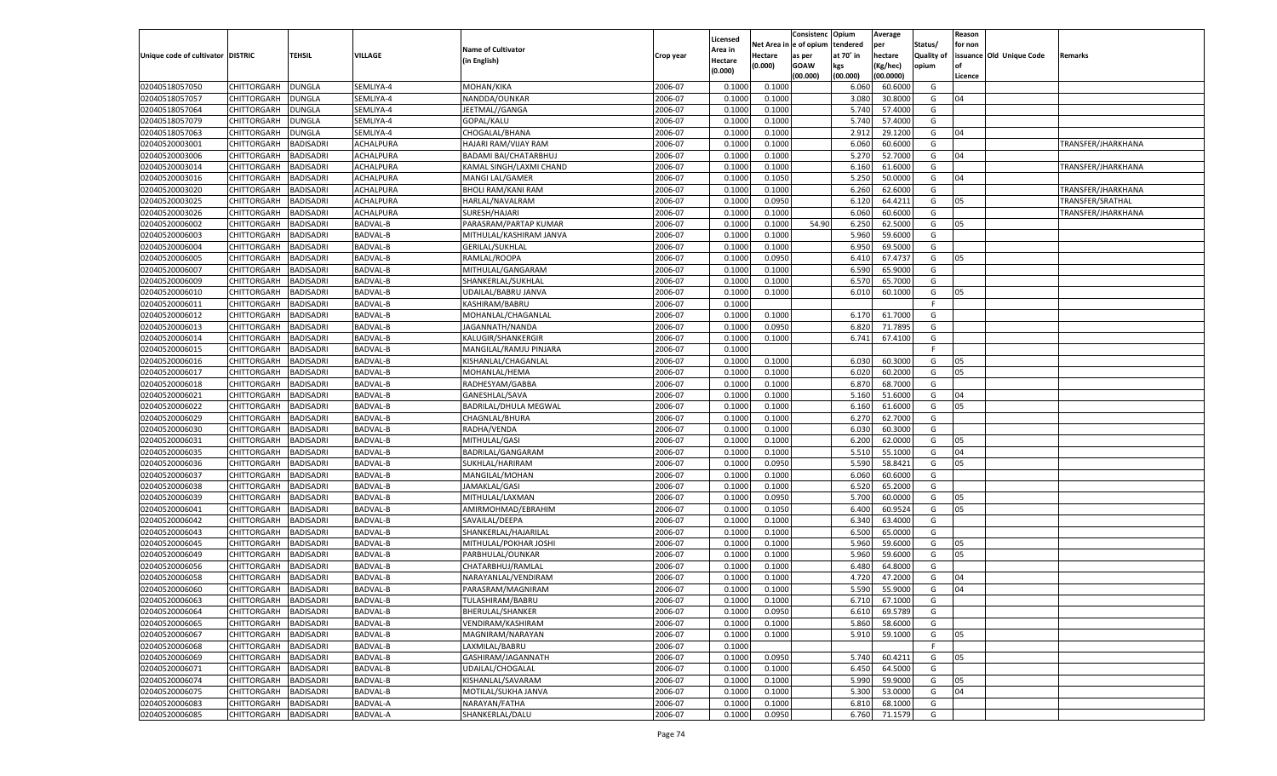|                                   |                       |                  |                 |                           |           |                    |            | Consistenc    | Opium     | Average   |            | Reason  |                          |                    |
|-----------------------------------|-----------------------|------------------|-----------------|---------------------------|-----------|--------------------|------------|---------------|-----------|-----------|------------|---------|--------------------------|--------------------|
|                                   |                       |                  |                 | <b>Name of Cultivator</b> |           | Licensed           | Net Area i | n  e of opium | tendered  | per       | Status/    | for non |                          |                    |
| Unique code of cultivator DISTRIC |                       | TEHSIL           | VILLAGE         |                           | Crop year | Area in            | Hectare    | as per        | at 70° in | hectare   | Quality of |         | issuance Old Unique Code | Remarks            |
|                                   |                       |                  |                 | (in English)              |           | Hectare<br>(0.000) | (0.000)    | <b>GOAW</b>   | kgs       | (Kg/hec)  | opium      |         |                          |                    |
|                                   |                       |                  |                 |                           |           |                    |            | (00.000)      | (00.000)  | (00.0000) |            | Licence |                          |                    |
| 02040518057050                    | CHITTORGARH           | DUNGLA           | SEMLIYA-4       | MOHAN/KIKA                | 2006-07   | 0.1000             | 0.1000     |               | 6.060     | 60.6000   | G          |         |                          |                    |
| 02040518057057                    | CHITTORGARH           | DUNGLA           | SEMLIYA-4       | NANDDA/OUNKAR             | 2006-07   | 0.100              | 0.1000     |               | 3.080     | 30.8000   | G          | 04      |                          |                    |
| 02040518057064                    | CHITTORGARH           | DUNGLA           | SEMLIYA-4       | JEETMAL//GANGA            | 2006-07   | 0.1000             | 0.1000     |               | 5.740     | 57.4000   | G          |         |                          |                    |
| 02040518057079                    | CHITTORGARH           | DUNGLA           | SEMLIYA-4       | GOPAL/KALU                | 2006-07   | 0.1000             | 0.1000     |               | 5.740     | 57.4000   | G          |         |                          |                    |
| 02040518057063                    | CHITTORGARH           | DUNGLA           | SEMLIYA-4       | CHOGALAL/BHANA            | 2006-07   | 0.1000             | 0.1000     |               | 2.912     | 29.1200   | G          | 04      |                          |                    |
| 02040520003001                    | CHITTORGARH           | BADISADRI        | ACHALPURA       | HAJARI RAM/VIJAY RAM      | 2006-07   | 0.1000             | 0.1000     |               | 6.060     | 60.6000   | G          |         |                          | TRANSFER/JHARKHANA |
| 02040520003006                    | CHITTORGARH           | BADISADRI        | ACHALPURA       | BADAMI BAI/CHATARBHUJ     | 2006-07   | 0.1000             | 0.1000     |               | 5.27      | 52.7000   | G          | 04      |                          |                    |
| 02040520003014                    | CHITTORGARH           | BADISADRI        | ACHALPURA       | KAMAL SINGH/LAXMI CHAND   | 2006-07   | 0.1000             | 0.1000     |               | 6.160     | 61.6000   | G          |         |                          | TRANSFER/JHARKHANA |
| 02040520003016                    | CHITTORGARH           | BADISADRI        | ACHALPURA       | MANGI LAL/GAMER           | 2006-07   | 0.1000             | 0.1050     |               | 5.250     | 50.0000   | G          | 04      |                          |                    |
| 02040520003020                    | CHITTORGARH           | BADISADRI        | ACHALPURA       | <b>BHOLI RAM/KANI RAM</b> | 2006-07   | 0.1000             | 0.1000     |               | 6.260     | 62.6000   | G          |         |                          | TRANSFER/JHARKHANA |
| 02040520003025                    | CHITTORGARH           | BADISADRI        | ACHALPURA       | HARLAL/NAVALRAM           | 2006-07   | 0.1000             | 0.0950     |               | 6.120     | 64.4211   | G          | 05      |                          | TRANSFER/SRATHAL   |
| 02040520003026                    | CHITTORGARH           | BADISADRI        | ACHALPURA       | SURESH/HAJARI             | 2006-07   | 0.1000             | 0.1000     |               | 6.060     | 60.6000   | G          |         |                          | TRANSFER/JHARKHANA |
| 02040520006002                    | CHITTORGARH           | BADISADRI        | BADVAL-B        | PARASRAM/PARTAP KUMAR     | 2006-07   | 0.1000             | 0.1000     | 54.90         | 6.250     | 62.5000   | G          | 05      |                          |                    |
| 02040520006003                    | CHITTORGARH           | BADISADRI        | BADVAL-B        | MITHULAL/KASHIRAM JANVA   | 2006-07   | 0.1000             | 0.1000     |               | 5.960     | 59.6000   | G          |         |                          |                    |
| 02040520006004                    | CHITTORGARH           | BADISADRI        | <b>BADVAL-B</b> | <b>GERILAL/SUKHLAL</b>    | 2006-07   | 0.1000             | 0.1000     |               | 6.950     | 69.5000   | G          |         |                          |                    |
| 02040520006005                    | CHITTORGARH           | BADISADRI        | BADVAL-B        | RAMLAL/ROOPA              | 2006-07   | 0.1000             | 0.0950     |               | 6.410     | 67.4737   | G          | 05      |                          |                    |
| 02040520006007                    | CHITTORGARH           | <b>BADISADRI</b> | <b>BADVAL-B</b> | MITHULAL/GANGARAM         | 2006-07   | 0.1000             | 0.1000     |               | 6.590     | 65.9000   | G          |         |                          |                    |
| 02040520006009                    | CHITTORGARH           | BADISADRI        | BADVAL-B        | SHANKERLAL/SUKHLAL        | 2006-07   | 0.1000             | 0.1000     |               | 6.570     | 65.7000   | G          |         |                          |                    |
| 02040520006010                    | CHITTORGARH           | BADISADRI        | <b>BADVAL-B</b> | UDAILAL/BABRU JANVA       | 2006-07   | 0.1000             | 0.1000     |               | 6.010     | 60.1000   | G          | 05      |                          |                    |
| 02040520006011                    | CHITTORGARH           | BADISADRI        | BADVAL-B        | KASHIRAM/BABRU            | 2006-07   | 0.1000             |            |               |           |           | F.         |         |                          |                    |
| 02040520006012                    | CHITTORGARH           | <b>BADISADRI</b> | <b>BADVAL-B</b> | MOHANLAL/CHAGANLAI        | 2006-07   | 0.1000             | 0.1000     |               | 6.170     | 61.7000   | G          |         |                          |                    |
| 02040520006013                    | CHITTORGARH           | BADISADRI        | BADVAL-B        | JAGANNATH/NANDA           | 2006-07   | 0.1000             | 0.0950     |               | 6.820     | 71.7895   | G          |         |                          |                    |
| 02040520006014                    | CHITTORGARH           | BADISADRI        | <b>BADVAL-B</b> | KALUGIR/SHANKERGIR        | 2006-07   | 0.1000             | 0.1000     |               | 6.741     | 67.4100   | G          |         |                          |                    |
| 02040520006015                    | CHITTORGARH           | BADISADRI        | BADVAL-B        | MANGILAL/RAMJU PINJARA    | 2006-07   | 0.1000             |            |               |           |           | F.         |         |                          |                    |
| 02040520006016                    | CHITTORGARH           | <b>BADISADRI</b> | <b>BADVAL-B</b> | KISHANLAL/CHAGANLAL       | 2006-07   | 0.1000             | 0.1000     |               | 6.030     | 60.3000   | G          | 05      |                          |                    |
| 02040520006017                    | CHITTORGARH           | BADISADRI        | BADVAL-B        | MOHANLAL/HEMA             | 2006-07   | 0.1000             | 0.1000     |               | 6.020     | 60.2000   | G          | 05      |                          |                    |
| 02040520006018                    | CHITTORGARH           | <b>BADISADRI</b> | <b>BADVAL-B</b> | RADHESYAM/GABBA           | 2006-07   | 0.1000             | 0.1000     |               | 6.870     | 68.7000   | G          |         |                          |                    |
| 02040520006021                    | CHITTORGARH           | BADISADRI        | BADVAL-B        | GANESHLAL/SAVA            | 2006-07   | 0.1000             | 0.1000     |               | 5.160     | 51.6000   | G          | 04      |                          |                    |
| 02040520006022                    | CHITTORGARH           | <b>BADISADRI</b> | <b>BADVAL-B</b> | BADRILAL/DHULA MEGWAL     | 2006-07   | 0.1000             | 0.1000     |               | 6.160     | 61.6000   | G          | 05      |                          |                    |
| 02040520006029                    | CHITTORGARH           | BADISADRI        | <b>BADVAL-B</b> | CHAGNLAL/BHURA            | 2006-07   | 0.1000             | 0.1000     |               | 6.270     | 62.7000   | G          |         |                          |                    |
| 02040520006030                    | CHITTORGARH           | <b>BADISADRI</b> | <b>BADVAL-B</b> | RADHA/VENDA               | 2006-07   | 0.1000             | 0.1000     |               | 6.030     | 60.3000   | G          |         |                          |                    |
| 02040520006031                    | CHITTORGARH           | <b>BADISADRI</b> | <b>BADVAL-B</b> | MITHULAL/GASI             | 2006-07   | 0.1000             | 0.1000     |               | 6.200     | 62.0000   | G          | 05      |                          |                    |
| 02040520006035                    | CHITTORGARH           | <b>BADISADRI</b> | <b>BADVAL-B</b> | BADRILAL/GANGARAM         | 2006-07   | 0.1000             | 0.1000     |               | 5.510     | 55.1000   | G          | 04      |                          |                    |
| 02040520006036                    | CHITTORGARH           | BADISADRI        | <b>BADVAL-B</b> | SUKHLAL/HARIRAM           | 2006-07   | 0.1000             | 0.0950     |               | 5.590     | 58.8421   | G          | 05      |                          |                    |
| 02040520006037                    | CHITTORGARH           | <b>BADISADRI</b> | <b>BADVAL-B</b> | MANGILAL/MOHAN            | 2006-07   | 0.1000             | 0.1000     |               | 6.060     | 60.6000   | G          |         |                          |                    |
| 02040520006038                    | CHITTORGARH           | <b>BADISADRI</b> | <b>BADVAL-B</b> | JAMAKLAL/GASI             | 2006-07   | 0.1000             | 0.1000     |               | 6.520     | 65.2000   | G          |         |                          |                    |
| 02040520006039                    | CHITTORGARH           | <b>BADISADRI</b> | <b>BADVAL-B</b> | MITHULAL/LAXMAN           | 2006-07   | 0.1000             | 0.0950     |               | 5.700     | 60.0000   | G          | 05      |                          |                    |
| 02040520006041                    | CHITTORGARH           | BADISADRI        | <b>BADVAL-B</b> | AMIRMOHMAD/EBRAHIM        | 2006-07   | 0.1000             | 0.1050     |               | 6.400     | 60.9524   | G          | 05      |                          |                    |
| 02040520006042                    | CHITTORGARH           | <b>BADISADRI</b> | <b>BADVAL-B</b> | SAVAILAL/DEEPA            | 2006-07   | 0.1000             | 0.1000     |               | 6.340     | 63.4000   | G          |         |                          |                    |
| 02040520006043                    | CHITTORGARH           | <b>BADISADRI</b> | <b>BADVAL-B</b> | SHANKERLAL/HAJARILAL      | 2006-07   | 0.1000             | 0.1000     |               | 6.500     | 65.0000   | G          |         |                          |                    |
| 02040520006045                    | CHITTORGARH           | <b>BADISADRI</b> | <b>BADVAL-B</b> | MITHULAL/POKHAR JOSHI     | 2006-07   | 0.1000             | 0.1000     |               | 5.960     | 59.6000   | G          | 05      |                          |                    |
| 02040520006049                    | CHITTORGARH           | BADISADRI        | BADVAL-B        | PARBHULAL/OUNKAR          | 2006-07   | 0.1000             | 0.1000     |               | 5.960     | 59.6000   | G          | 05      |                          |                    |
| 02040520006056                    | CHITTORGARH           | BADISADRI        | <b>BADVAL-B</b> | CHATARBHUJ/RAMLAI         | 2006-07   | 0.1000             | 0.1000     |               | 6.480     | 64.8000   | G          |         |                          |                    |
| 02040520006058                    | CHITTORGARH           | BADISADRI        | <b>BADVAL-B</b> | NARAYANLAL/VENDIRAM       | 2006-07   | 0.1000             | 0.1000     |               | 4.720     | 47.2000   | G          | 04      |                          |                    |
| 02040520006060                    | CHITTORGARH           | <b>BADISADRI</b> | BADVAL-B        | PARASRAM/MAGNIRAM         | 2006-07   | 0.1000             | 0.1000     |               | 5.590     | 55.9000   | G          | 04      |                          |                    |
| 02040520006063                    | CHITTORGARH BADISADRI |                  | <b>BADVAL-B</b> | TULASHIRAM/BABRU          | 2006-07   | 0.1000             | 0.1000     |               | 6.710     | 67.1000   | G          |         |                          |                    |
| 02040520006064                    | <b>CHITTORGARH</b>    | <b>BADISADRI</b> | <b>BADVAL-B</b> | BHERULAL/SHANKER          | 2006-07   | 0.1000             | 0.0950     |               | 6.610     | 69.5789   | G          |         |                          |                    |
| 02040520006065                    | CHITTORGARH           | <b>BADISADRI</b> | <b>BADVAL-B</b> | VENDIRAM/KASHIRAM         | 2006-07   | 0.1000             | 0.1000     |               | 5.860     | 58.6000   | G          |         |                          |                    |
| 02040520006067                    | <b>CHITTORGARH</b>    | <b>BADISADRI</b> | <b>BADVAL-B</b> | MAGNIRAM/NARAYAN          | 2006-07   | 0.1000             | 0.1000     |               | 5.910     | 59.1000   | G          | 05      |                          |                    |
| 02040520006068                    | <b>CHITTORGARH</b>    | <b>BADISADRI</b> | <b>BADVAL-B</b> | LAXMILAL/BABRU            | 2006-07   | 0.1000             |            |               |           |           | F          |         |                          |                    |
| 02040520006069                    | CHITTORGARH           | <b>BADISADRI</b> | <b>BADVAL-B</b> | GASHIRAM/JAGANNATH        | 2006-07   | 0.1000             | 0.0950     |               | 5.740     | 60.4211   | G          | 05      |                          |                    |
| 02040520006071                    | CHITTORGARH           | <b>BADISADRI</b> | <b>BADVAL-B</b> | UDAILAL/CHOGALAL          | 2006-07   | 0.1000             | 0.1000     |               | 6.450     | 64.5000   | G          |         |                          |                    |
| 02040520006074                    | CHITTORGARH           | <b>BADISADRI</b> | <b>BADVAL-B</b> | KISHANLAL/SAVARAM         | 2006-07   | 0.1000             | 0.1000     |               | 5.990     | 59.9000   | G          | 05      |                          |                    |
| 02040520006075                    | CHITTORGARH           | <b>BADISADRI</b> | <b>BADVAL-B</b> | MOTILAL/SUKHA JANVA       | 2006-07   | 0.1000             | 0.1000     |               | 5.300     | 53.0000   | G          | 04      |                          |                    |
| 02040520006083                    | <b>CHITTORGARH</b>    | <b>BADISADRI</b> | <b>BADVAL-A</b> | NARAYAN/FATHA             | 2006-07   | 0.1000             | 0.1000     |               | 6.810     | 68.1000   | G          |         |                          |                    |
|                                   |                       | <b>BADISADRI</b> |                 |                           |           |                    |            |               |           |           | G          |         |                          |                    |
| 02040520006085                    | <b>CHITTORGARH</b>    |                  | <b>BADVAL-A</b> | SHANKERLAL/DALU           | 2006-07   | 0.1000             | 0.0950     |               | 6.760     | 71.1579   |            |         |                          |                    |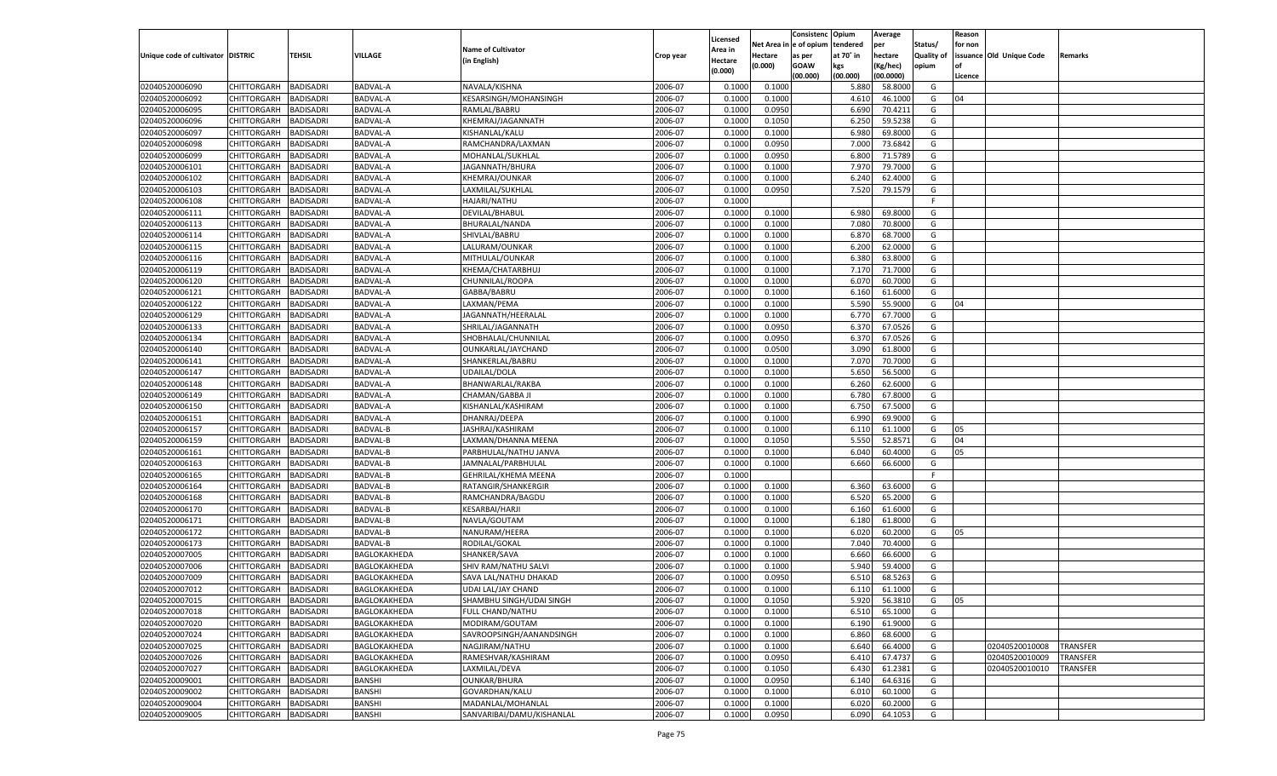|                                   |                                      |                  |                 |                           |           |                     |            | Consistenc    | Opium     | Average   |                   | Reason  |                          |                 |
|-----------------------------------|--------------------------------------|------------------|-----------------|---------------------------|-----------|---------------------|------------|---------------|-----------|-----------|-------------------|---------|--------------------------|-----------------|
|                                   |                                      |                  |                 | <b>Name of Cultivator</b> |           | Licensed<br>Area in | Net Area i | n  e of opium | tendered  | per       | Status/           | for non |                          |                 |
| Unique code of cultivator DISTRIC |                                      | TEHSIL           | VILLAGE         | (in English)              | Crop year | Hectare             | Hectare    | as per        | at 70° in | hectare   | <b>Quality of</b> |         | issuance Old Unique Code | Remarks         |
|                                   |                                      |                  |                 |                           |           | (0.000)             | (0.000)    | <b>GOAW</b>   | kgs       | (Kg/hec)  | opium             |         |                          |                 |
|                                   |                                      |                  |                 |                           |           |                     |            | (00.000)      | (00.000)  | (00.0000) |                   | Licence |                          |                 |
| 02040520006090                    | CHITTORGARH                          | <b>BADISADRI</b> | <b>BADVAL-A</b> | NAVALA/KISHNA             | 2006-07   | 0.1000              | 0.1000     |               | 5.880     | 58.8000   | G                 |         |                          |                 |
| 02040520006092                    | CHITTORGARH                          | BADISADRI        | BADVAL-A        | KESARSINGH/MOHANSINGH     | 2006-07   | 0.1000              | 0.1000     |               | 4.610     | 46.1000   | G                 | 04      |                          |                 |
| 02040520006095                    | CHITTORGARH                          | BADISADRI        | BADVAL-A        | RAMLAL/BABRU              | 2006-07   | 0.1000              | 0.0950     |               | 6.690     | 70.4211   | G                 |         |                          |                 |
| 02040520006096                    | CHITTORGARH                          | BADISADRI        | BADVAL-A        | KHEMRAJ/JAGANNATH         | 2006-07   | 0.1000              | 0.1050     |               | 6.250     | 59.5238   | G                 |         |                          |                 |
| 02040520006097                    | CHITTORGARH                          | BADISADRI        | BADVAL-A        | KISHANLAL/KALU            | 2006-07   | 0.1000              | 0.1000     |               | 6.980     | 69.8000   | G                 |         |                          |                 |
| 02040520006098                    | CHITTORGARH                          | BADISADRI        | BADVAL-A        | RAMCHANDRA/LAXMAN         | 2006-07   | 0.1000              | 0.0950     |               | 7.000     | 73.6842   | G                 |         |                          |                 |
| 02040520006099                    | CHITTORGARH                          | BADISADRI        | BADVAL-A        | MOHANLAL/SUKHLAL          | 2006-07   | 0.1000              | 0.0950     |               | 6.800     | 71.5789   | G                 |         |                          |                 |
| 02040520006101                    | CHITTORGARH                          | BADISADRI        | BADVAL-A        | JAGANNATH/BHURA           | 2006-07   | 0.1000              | 0.1000     |               | 7.970     | 79.7000   | G                 |         |                          |                 |
| 02040520006102                    | CHITTORGARH                          | BADISADRI        | BADVAL-A        | <b>KHEMRAJ/OUNKAR</b>     | 2006-07   | 0.1000              | 0.1000     |               | 6.240     | 62.4000   | G                 |         |                          |                 |
| 02040520006103                    | CHITTORGARH                          | BADISADRI        | BADVAL-A        | LAXMILAL/SUKHLAL          | 2006-07   | 0.1000              | 0.0950     |               | 7.520     | 79.1579   | G                 |         |                          |                 |
| 02040520006108                    | CHITTORGARH                          | BADISADRI        | BADVAL-A        | <b>HAJARI/NATHU</b>       | 2006-07   | 0.1000              |            |               |           |           | F.                |         |                          |                 |
| 02040520006111                    | CHITTORGARH                          | BADISADRI        | BADVAL-A        | DEVILAL/BHABUL            | 2006-07   | 0.1000              | 0.1000     |               | 6.980     | 69.8000   | G                 |         |                          |                 |
| 02040520006113                    | CHITTORGARH                          | BADISADRI        | BADVAL-A        | BHURALAL/NANDA            | 2006-07   | 0.1000              | 0.1000     |               | 7.080     | 70.8000   | G                 |         |                          |                 |
| 02040520006114                    | CHITTORGARH                          | BADISADRI        | BADVAL-A        | SHIVLAL/BABRU             | 2006-07   | 0.1000              | 0.1000     |               | 6.870     | 68.7000   | G                 |         |                          |                 |
| 02040520006115                    | CHITTORGARH                          | BADISADRI        | <b>BADVAL-A</b> | LALURAM/OUNKAR            | 2006-07   | 0.1000              | 0.1000     |               | 6.200     | 62.0000   | G                 |         |                          |                 |
| 02040520006116                    | CHITTORGARH                          | BADISADRI        | BADVAL-A        | MITHULAL/OUNKAR           | 2006-07   | 0.1000              | 0.1000     |               | 6.380     | 63.8000   | G                 |         |                          |                 |
| 02040520006119                    | CHITTORGARH                          | <b>BADISADRI</b> | BADVAL-A        | KHEMA/CHATARBHUJ          | 2006-07   | 0.1000              | 0.1000     |               | 7.170     | 71.7000   | G                 |         |                          |                 |
| 02040520006120                    | CHITTORGARH                          | BADISADRI        | BADVAL-A        | CHUNNILAL/ROOPA           | 2006-07   | 0.1000              | 0.1000     |               | 6.070     | 60.7000   | G                 |         |                          |                 |
| 02040520006121                    | CHITTORGARH                          | BADISADRI        | <b>BADVAL-A</b> | GABBA/BABRU               | 2006-07   | 0.1000              | 0.1000     |               | 6.160     | 61.6000   | G                 |         |                          |                 |
| 02040520006122                    | CHITTORGARH                          | BADISADRI        | BADVAL-A        | LAXMAN/PEMA               | 2006-07   | 0.1000              | 0.1000     |               | 5.590     | 55.9000   | G                 | 04      |                          |                 |
| 02040520006129                    | CHITTORGARH                          | <b>BADISADRI</b> | BADVAL-A        | JAGANNATH/HEERALAL        | 2006-07   | 0.1000              | 0.1000     |               | 6.770     | 67.7000   | G                 |         |                          |                 |
| 02040520006133                    | CHITTORGARH                          | BADISADRI        | BADVAL-A        | SHRILAL/JAGANNATH         | 2006-07   | 0.1000              | 0.0950     |               | 6.370     | 67.0526   | G                 |         |                          |                 |
| 02040520006134                    | CHITTORGARH                          | BADISADRI        | <b>BADVAL-A</b> | SHOBHALAL/CHUNNILAI       | 2006-07   | 0.1000              | 0.0950     |               | 6.370     | 67.0526   | G                 |         |                          |                 |
| 02040520006140                    | CHITTORGARH                          | BADISADRI        | BADVAL-A        | OUNKARLAL/JAYCHAND        | 2006-07   | 0.1000              | 0.0500     |               | 3.090     | 61.8000   | G                 |         |                          |                 |
| 02040520006141                    | CHITTORGARH                          | <b>BADISADRI</b> | BADVAL-A        | SHANKERLAL/BABRU          | 2006-07   | 0.1000              | 0.1000     |               | 7.070     | 70.7000   | G                 |         |                          |                 |
| 02040520006147                    | CHITTORGARH                          | BADISADRI        | BADVAL-A        | UDAILAL/DOLA              | 2006-07   | 0.1000              | 0.1000     |               | 5.650     | 56.5000   | G                 |         |                          |                 |
| 02040520006148                    | CHITTORGARH                          | BADISADRI        | <b>BADVAL-A</b> | BHANWARLAL/RAKBA          | 2006-07   | 0.1000              | 0.1000     |               | 6.260     | 62.6000   | G                 |         |                          |                 |
| 02040520006149                    | CHITTORGARH                          | BADISADRI        | BADVAL-A        | CHAMAN/GABBA JI           | 2006-07   | 0.1000              | 0.1000     |               | 6.780     | 67.8000   | G                 |         |                          |                 |
| 02040520006150                    | CHITTORGARH                          | BADISADRI        | BADVAL-A        | KISHANLAL/KASHIRAM        | 2006-07   | 0.1000              | 0.1000     |               | 6.750     | 67.5000   | G                 |         |                          |                 |
| 02040520006151                    | CHITTORGARH                          | BADISADRI        | BADVAL-A        | DHANRAJ/DEEPA             | 2006-07   | 0.1000              | 0.1000     |               | 6.990     | 69.9000   | G                 |         |                          |                 |
| 02040520006157                    | CHITTORGARH                          | <b>BADISADRI</b> | <b>BADVAL-B</b> | JASHRAJ/KASHIRAM          | 2006-07   | 0.1000              | 0.1000     |               | 6.110     | 61.1000   | G                 | 05      |                          |                 |
| 02040520006159                    | CHITTORGARH                          | <b>BADISADRI</b> | BADVAL-B        | LAXMAN/DHANNA MEENA       | 2006-07   | 0.1000              | 0.1050     |               | 5.550     | 52.8571   | G                 | 04      |                          |                 |
| 02040520006161                    | CHITTORGARH                          | <b>BADISADRI</b> | <b>BADVAL-B</b> | PARBHULAL/NATHU JANVA     | 2006-07   | 0.1000              | 0.1000     |               | 6.040     | 60.4000   | G                 | 05      |                          |                 |
| 02040520006163                    | CHITTORGARH                          | BADISADRI        | BADVAL-B        | JAMNALAL/PARBHULAL        | 2006-07   | 0.1000              | 0.1000     |               | 6.660     | 66.6000   | G                 |         |                          |                 |
| 02040520006165                    | CHITTORGARH                          | <b>BADISADRI</b> | <b>BADVAL-B</b> | GEHRILAL/KHEMA MEENA      | 2006-07   | 0.1000              |            |               |           |           | F.                |         |                          |                 |
| 02040520006164                    | CHITTORGARH                          | <b>BADISADRI</b> | BADVAL-B        | RATANGIR/SHANKERGIR       | 2006-07   | 0.1000              | 0.1000     |               | 6.360     | 63.6000   | G                 |         |                          |                 |
| 02040520006168                    | CHITTORGARH                          | <b>BADISADRI</b> | <b>BADVAL-B</b> | RAMCHANDRA/BAGDU          | 2006-07   | 0.1000              | 0.1000     |               | 6.520     | 65.2000   | G                 |         |                          |                 |
| 02040520006170                    | CHITTORGARH                          | BADISADRI        | BADVAL-B        | <b>KESARBAI/HARJI</b>     | 2006-07   | 0.1000              | 0.1000     |               | 6.160     | 61.6000   | G                 |         |                          |                 |
| 02040520006171                    | CHITTORGARH                          | <b>BADISADRI</b> | <b>BADVAL-B</b> | NAVLA/GOUTAM              | 2006-07   | 0.1000              | 0.1000     |               | 6.180     | 61.8000   | G                 |         |                          |                 |
| 02040520006172                    | CHITTORGARH                          | <b>BADISADRI</b> | BADVAL-B        | NANURAM/HEERA             | 2006-07   | 0.1000              | 0.1000     |               | 6.020     | 60.2000   | G                 | 05      |                          |                 |
| 02040520006173                    | CHITTORGARH                          | <b>BADISADRI</b> | <b>BADVAL-B</b> | RODILAL/GOKAL             | 2006-07   | 0.1000              | 0.1000     |               | 7.040     | 70.4000   | G                 |         |                          |                 |
| 02040520007005                    | CHITTORGARH                          | BADISADRI        | BAGLOKAKHEDA    | SHANKER/SAVA              | 2006-07   | 0.1000              | 0.1000     |               | 6.660     | 66.6000   | G                 |         |                          |                 |
| 02040520007006                    | CHITTORGARH                          | BADISADRI        | BAGLOKAKHEDA    | SHIV RAM/NATHU SALVI      | 2006-07   | 0.1000              | 0.1000     |               | 5.940     | 59.4000   | G                 |         |                          |                 |
| 02040520007009                    | CHITTORGARH                          | BADISADRI        | BAGLOKAKHEDA    | SAVA LAL/NATHU DHAKAD     | 2006-07   | 0.1000              | 0.0950     |               | 6.510     | 68.5263   | G                 |         |                          |                 |
| 02040520007012                    |                                      | <b>BADISADRI</b> |                 |                           | 2006-07   | 0.1000              | 0.1000     |               | 6.110     | 61.1000   | G                 |         |                          |                 |
|                                   | CHITTORGARH<br>CHITTORGARH BADISADRI |                  | BAGLOKAKHEDA    | UDAI LAL/JAY CHAND        |           |                     |            |               |           |           |                   |         |                          |                 |
| 02040520007015                    |                                      |                  | BAGLOKAKHEDA    | SHAMBHU SINGH/UDAI SINGH  | 2006-07   | 0.1000              | 0.1050     |               | 5.920     | 56.3810   | G                 | 05      |                          |                 |
| 02040520007018                    | <b>CHITTORGARH</b>                   | <b>BADISADRI</b> | BAGLOKAKHEDA    | FULL CHAND/NATHU          | 2006-07   | 0.1000              | 0.1000     |               | 6.510     | 65.1000   | G                 |         |                          |                 |
| 02040520007020                    | CHITTORGARH                          | <b>BADISADRI</b> | BAGLOKAKHEDA    | MODIRAM/GOUTAM            | 2006-07   | 0.1000              | 0.1000     |               | 6.190     | 61.9000   | G                 |         |                          |                 |
| 02040520007024                    | <b>CHITTORGARH</b>                   | <b>BADISADRI</b> | BAGLOKAKHEDA    | SAVROOPSINGH/AANANDSINGH  | 2006-07   | 0.1000              | 0.1000     |               | 6.860     | 68.6000   | G                 |         |                          |                 |
| 02040520007025                    | <b>CHITTORGARH</b>                   | <b>BADISADRI</b> | BAGLOKAKHEDA    | NAGJIRAM/NATHU            | 2006-07   | 0.1000              | 0.1000     |               | 6.640     | 66.4000   | G                 |         | 02040520010008           | <b>TRANSFER</b> |
| 02040520007026                    | CHITTORGARH                          | <b>BADISADRI</b> | BAGLOKAKHEDA    | RAMESHVAR/KASHIRAM        | 2006-07   | 0.1000              | 0.0950     |               | 6.410     | 67.4737   | G                 |         | 02040520010009           | <b>TRANSFER</b> |
| 02040520007027                    | CHITTORGARH                          | <b>BADISADRI</b> | BAGLOKAKHEDA    | LAXMILAL/DEVA             | 2006-07   | 0.1000              | 0.1050     |               | 6.430     | 61.2381   | G                 |         | 02040520010010           | TRANSFER        |
| 02040520009001                    | CHITTORGARH                          | <b>BADISADRI</b> | <b>BANSHI</b>   | <b>OUNKAR/BHURA</b>       | 2006-07   | 0.1000              | 0.0950     |               | 6.140     | 64.6316   | G                 |         |                          |                 |
| 02040520009002                    | CHITTORGARH                          | <b>BADISADRI</b> | <b>BANSHI</b>   | GOVARDHAN/KALU            | 2006-07   | 0.1000              | 0.1000     |               | 6.010     | 60.1000   | G                 |         |                          |                 |
| 02040520009004                    | <b>CHITTORGARH</b>                   | <b>BADISADRI</b> | <b>BANSHI</b>   | MADANLAL/MOHANLAL         | 2006-07   | 0.1000              | 0.1000     |               | 6.020     | 60.2000   | G                 |         |                          |                 |
| 02040520009005                    | <b>CHITTORGARH</b>                   | <b>BADISADRI</b> | <b>BANSHI</b>   | SANVARIBAI/DAMU/KISHANLAL | 2006-07   | 0.1000              | 0.0950     |               | 6.090     | 64.1053   | G                 |         |                          |                 |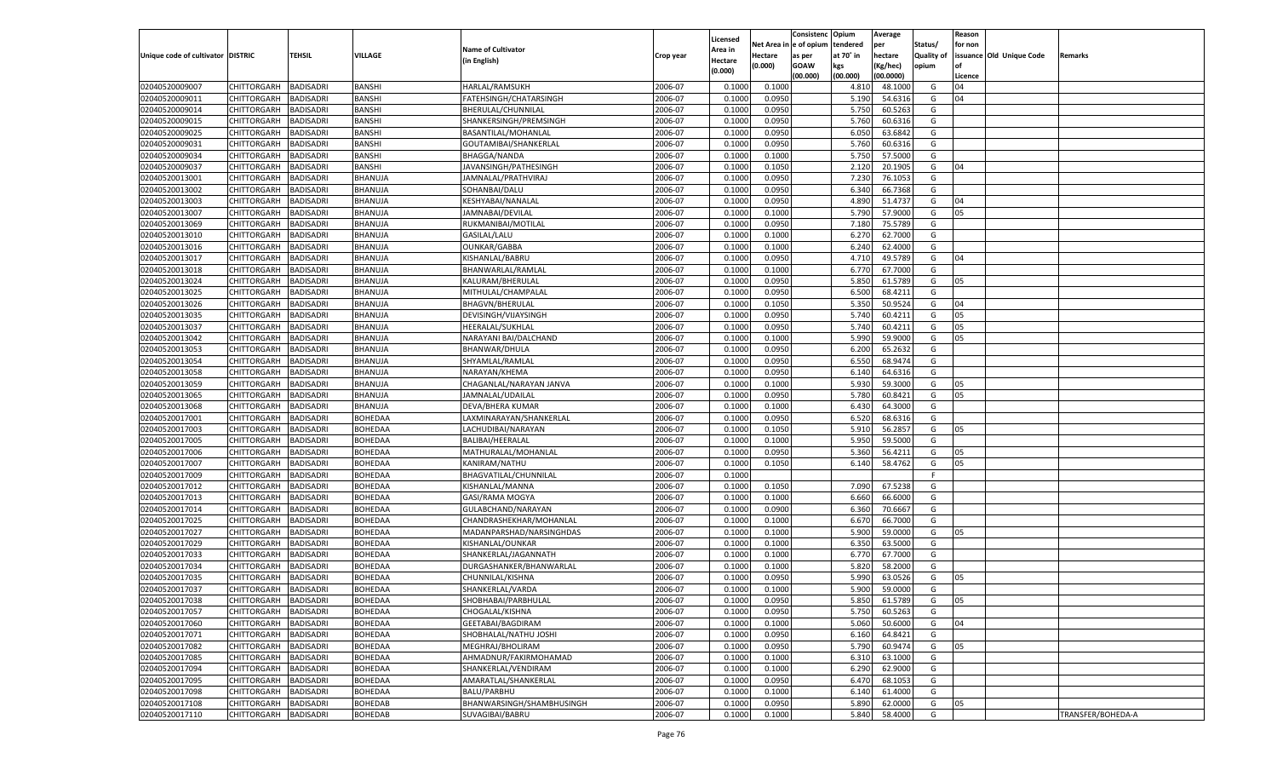|                                   |                    |                  |                |                           |           |          |         | Consistenc Opium       |           | Average   |                   | Reason  |                          |                   |
|-----------------------------------|--------------------|------------------|----------------|---------------------------|-----------|----------|---------|------------------------|-----------|-----------|-------------------|---------|--------------------------|-------------------|
|                                   |                    |                  |                | <b>Name of Cultivator</b> |           | Licensed |         | Net Area in e of opium | tendered  | per       | Status/           | for non |                          |                   |
| Unique code of cultivator DISTRIC |                    | TEHSIL           | VILLAGE        |                           | Crop year | Area in  | Hectare | as per                 | at 70° in | hectare   | <b>Quality of</b> |         | issuance Old Unique Code | <b>Remarks</b>    |
|                                   |                    |                  |                | (in English)              |           | Hectare  | (0.000) | <b>GOAW</b>            | kgs       | (Kg/hec)  | opium             |         |                          |                   |
|                                   |                    |                  |                |                           |           | (0.000)  |         | (00.000)               | (00.000)  | (00.0000) |                   | Licence |                          |                   |
| 02040520009007                    | CHITTORGARH        | <b>BADISADRI</b> | <b>BANSHI</b>  | <b>HARLAL/RAMSUKH</b>     | 2006-07   | 0.1000   | 0.1000  |                        | 4.810     | 48.1000   | G                 | 04      |                          |                   |
| 02040520009011                    | CHITTORGARH        | <b>BADISADRI</b> | <b>BANSHI</b>  | FATEHSINGH/CHATARSINGH    | 2006-07   | 0.1000   | 0.0950  |                        | 5.190     | 54.6316   | G                 | 04      |                          |                   |
| 02040520009014                    | CHITTORGARH        | <b>BADISADRI</b> | <b>BANSHI</b>  | BHERULAL/CHUNNILAL        | 2006-07   | 0.1000   | 0.0950  |                        | 5.750     | 60.5263   | G                 |         |                          |                   |
| 02040520009015                    | CHITTORGARH        | <b>BADISADRI</b> | BANSHI         | SHANKERSINGH/PREMSINGH    | 2006-07   | 0.1000   | 0.0950  |                        | 5.760     | 60.6316   | G                 |         |                          |                   |
| 02040520009025                    | CHITTORGARH        | <b>BADISADRI</b> | BANSHI         | BASANTILAL/MOHANLAL       | 2006-07   | 0.1000   | 0.0950  |                        | 6.050     | 63.6842   | G                 |         |                          |                   |
| 02040520009031                    | CHITTORGARH        | <b>BADISADRI</b> | <b>BANSHI</b>  | GOUTAMIBAI/SHANKERLAL     | 2006-07   | 0.1000   | 0.0950  |                        | 5.760     | 60.6316   | G                 |         |                          |                   |
| 02040520009034                    | CHITTORGARH        | <b>BADISADRI</b> | <b>BANSHI</b>  | <b>BHAGGA/NANDA</b>       | 2006-07   | 0.1000   | 0.1000  |                        | 5.750     | 57.5000   | G                 |         |                          |                   |
| 02040520009037                    | CHITTORGARH        | <b>BADISADRI</b> | BANSHI         | JAVANSINGH/PATHESINGH     | 2006-07   | 0.1000   | 0.1050  |                        | 2.120     | 20.1905   | G                 | 04      |                          |                   |
| 02040520013001                    |                    |                  |                |                           | 2006-07   |          |         |                        |           |           |                   |         |                          |                   |
|                                   | CHITTORGARH        | <b>BADISADRI</b> | BHANUJA        | JAMNALAL/PRATHVIRAJ       |           | 0.1000   | 0.0950  |                        | 7.23      | 76.1053   | G                 |         |                          |                   |
| 02040520013002                    | CHITTORGARH        | BADISADRI        | BHANUJA        | SOHANBAI/DALU             | 2006-07   | 0.1000   | 0.0950  |                        | 6.340     | 66.7368   | G                 |         |                          |                   |
| 02040520013003                    | CHITTORGARH        | <b>BADISADRI</b> | BHANUJA        | KESHYABAI/NANALAL         | 2006-07   | 0.1000   | 0.0950  |                        | 4.890     | 51.4737   | G                 | 04      |                          |                   |
| 02040520013007                    | CHITTORGARH        | <b>BADISADRI</b> | BHANUJA        | JAMNABAI/DEVILAL          | 2006-07   | 0.1000   | 0.1000  |                        | 5.790     | 57.9000   | G                 | 05      |                          |                   |
| 02040520013069                    | CHITTORGARH        | BADISADRI        | BHANUJA        | RUKMANIBAI/MOTILAL        | 2006-07   | 0.1000   | 0.0950  |                        | 7.180     | 75.5789   | G                 |         |                          |                   |
| 02040520013010                    | CHITTORGARH        | BADISADRI        | BHANUJA        | GASILAL/LALU              | 2006-07   | 0.100    | 0.1000  |                        | 6.270     | 62.7000   | G                 |         |                          |                   |
| 02040520013016                    | CHITTORGARH        | BADISADRI        | BHANUJA        | <b>OUNKAR/GABBA</b>       | 2006-07   | 0.1000   | 0.1000  |                        | 6.240     | 62.4000   | G                 |         |                          |                   |
| 02040520013017                    | CHITTORGARH        | BADISADRI        | BHANUJA        | KISHANLAL/BABRU           | 2006-07   | 0.1000   | 0.0950  |                        | 4.710     | 49.5789   | G                 | 04      |                          |                   |
| 02040520013018                    | CHITTORGARH        | BADISADRI        | BHANUJA        | BHANWARLAL/RAMLAL         | 2006-07   | 0.1000   | 0.1000  |                        | 6.770     | 67.7000   | G                 |         |                          |                   |
| 02040520013024                    | CHITTORGARH        | BADISADRI        | BHANUJA        | KALURAM/BHERULAL          | 2006-07   | 0.1000   | 0.0950  |                        | 5.850     | 61.5789   | G                 | 05      |                          |                   |
| 02040520013025                    | CHITTORGARH        | BADISADRI        | BHANUJA        | MITHULAL/CHAMPALAL        | 2006-07   | 0.1000   | 0.0950  |                        | 6.500     | 68.4211   | G                 |         |                          |                   |
| 02040520013026                    | CHITTORGARH        | BADISADRI        | BHANUJA        | <b>BHAGVN/BHERULAL</b>    | 2006-07   | 0.1000   | 0.1050  |                        | 5.350     | 50.9524   | G                 | 04      |                          |                   |
| 02040520013035                    | CHITTORGARH        | BADISADRI        | BHANUJA        | DEVISINGH/VIJAYSINGH      | 2006-07   | 0.1000   | 0.0950  |                        | 5.740     | 60.4211   | G                 | 05      |                          |                   |
| 02040520013037                    | CHITTORGARH        | BADISADRI        | BHANUJA        | HEERALAL/SUKHLAL          | 2006-07   | 0.1000   | 0.0950  |                        | 5.740     | 60.4211   | G                 | 05      |                          |                   |
| 02040520013042                    | CHITTORGARH        | BADISADRI        | BHANUJA        | NARAYANI BAI/DALCHAND     | 2006-07   | 0.1000   | 0.1000  |                        | 5.990     | 59.9000   | G                 | 05      |                          |                   |
| 02040520013053                    | CHITTORGARH        | BADISADRI        | BHANUJA        | BHANWAR/DHULA             | 2006-07   | 0.1000   | 0.0950  |                        | 6.200     | 65.2632   | G                 |         |                          |                   |
| 02040520013054                    | CHITTORGARH        | BADISADRI        | BHANUJA        | SHYAMLAL/RAMLAL           | 2006-07   | 0.1000   | 0.0950  |                        | 6.550     | 68.9474   | G                 |         |                          |                   |
| 02040520013058                    | CHITTORGARH        | BADISADRI        | BHANUJA        | NARAYAN/KHEMA             | 2006-07   | 0.1000   | 0.0950  |                        | 6.140     | 64.6316   | G                 |         |                          |                   |
| 02040520013059                    | CHITTORGARH        | BADISADRI        | BHANUJA        | CHAGANLAL/NARAYAN JANVA   | 2006-07   | 0.1000   | 0.1000  |                        | 5.930     | 59.3000   | G                 | 05      |                          |                   |
| 02040520013065                    | CHITTORGARH        | BADISADRI        | BHANUJA        | JAMNALAL/UDAILAL          | 2006-07   | 0.1000   | 0.0950  |                        | 5.780     | 60.8421   | G                 | 05      |                          |                   |
|                                   |                    |                  |                | DEVA/BHERA KUMAR          | 2006-07   | 0.1000   | 0.1000  |                        | 6.430     | 64.3000   | G                 |         |                          |                   |
| 02040520013068                    | CHITTORGARH        | <b>BADISADRI</b> | BHANUJA        |                           |           |          |         |                        |           |           |                   |         |                          |                   |
| 02040520017001                    | CHITTORGARH        | BADISADRI        | BOHEDAA        | LAXMINARAYAN/SHANKERLAL   | 2006-07   | 0.1000   | 0.0950  |                        | 6.520     | 68.6316   | G                 |         |                          |                   |
| 02040520017003                    | CHITTORGARH        | BADISADRI        | <b>BOHEDAA</b> | LACHUDIBAI/NARAYAN        | 2006-07   | 0.1000   | 0.1050  |                        | 5.910     | 56.2857   | G                 | 05      |                          |                   |
| 02040520017005                    | CHITTORGARH        | BADISADRI        | <b>BOHEDAA</b> | BALIBAI/HEERALAL          | 2006-07   | 0.1000   | 0.1000  |                        | 5.950     | 59.5000   | G                 |         |                          |                   |
| 02040520017006                    | CHITTORGARH        | BADISADRI        | <b>BOHEDAA</b> | MATHURALAL/MOHANLAL       | 2006-07   | 0.1000   | 0.0950  |                        | 5.360     | 56.4211   | G                 | 05      |                          |                   |
| 02040520017007                    | CHITTORGARH        | BADISADRI        | BOHEDAA        | KANIRAM/NATHU             | 2006-07   | 0.1000   | 0.1050  |                        | 6.140     | 58.4762   | G                 | 05      |                          |                   |
| 02040520017009                    | CHITTORGARH        | BADISADRI        | BOHEDAA        | BHAGVATILAL/CHUNNILAL     | 2006-07   | 0.1000   |         |                        |           |           | F.                |         |                          |                   |
| 02040520017012                    | CHITTORGARH        | BADISADRI        | <b>BOHEDAA</b> | KISHANLAL/MANNA           | 2006-07   | 0.1000   | 0.1050  |                        | 7.090     | 67.5238   | G                 |         |                          |                   |
| 02040520017013                    | CHITTORGARH        | BADISADRI        | <b>BOHEDAA</b> | GASI/RAMA MOGYA           | 2006-07   | 0.1000   | 0.1000  |                        | 6.660     | 66.6000   | G                 |         |                          |                   |
| 02040520017014                    | CHITTORGARH        | BADISADRI        | <b>BOHEDAA</b> | GULABCHAND/NARAYAN        | 2006-07   | 0.1000   | 0.0900  |                        | 6.360     | 70.6667   | G                 |         |                          |                   |
| 02040520017025                    | CHITTORGARH        | BADISADRI        | BOHEDAA        | CHANDRASHEKHAR/MOHANLAL   | 2006-07   | 0.1000   | 0.1000  |                        | 6.670     | 66.7000   | G                 |         |                          |                   |
| 02040520017027                    | CHITTORGARH        | BADISADRI        | <b>BOHEDAA</b> | MADANPARSHAD/NARSINGHDAS  | 2006-07   | 0.1000   | 0.1000  |                        | 5.900     | 59.0000   | G                 | 05      |                          |                   |
| 02040520017029                    | CHITTORGARH        | BADISADRI        | <b>BOHEDAA</b> | KISHANLAL/OUNKAR          | 2006-07   | 0.1000   | 0.1000  |                        | 6.350     | 63.5000   | G                 |         |                          |                   |
| 02040520017033                    | CHITTORGARH        | BADISADRI        | <b>BOHEDAA</b> | SHANKERLAL/JAGANNATH      | 2006-07   | 0.1000   | 0.1000  |                        | 6.770     | 67.7000   | G                 |         |                          |                   |
| 02040520017034                    | CHITTORGARH        | BADISADRI        | BOHEDAA        | DURGASHANKER/BHANWARLAL   | 2006-07   | 0.1000   | 0.1000  |                        | 5.820     | 58.2000   | G                 |         |                          |                   |
| 02040520017035                    | CHITTORGARH        | BADISADRI        | BOHEDAA        | CHUNNILAL/KISHNA          | 2006-07   | 0.1000   | 0.0950  |                        | 5.990     | 63.0526   | G                 | 05      |                          |                   |
| 02040520017037                    | CHITTORGARH        | BADISADRI        | <b>BOHEDAA</b> | SHANKERLAL/VARDA          | 2006-07   | 0.1000   | 0.1000  |                        | 5.900     | 59.0000   | G                 |         |                          |                   |
| 02040520017038                    | CHITTORGARH        | <b>BADISADRI</b> | <b>BOHEDAA</b> | SHOBHABAI/PARBHULAL       | 2006-07   | 0.1000   | 0.0950  |                        | 5.850     | 61.5789   | G                 | 05      |                          |                   |
| 02040520017057                    | <b>CHITTORGARH</b> | <b>BADISADRI</b> | BOHEDAA        | CHOGALAL/KISHNA           | 2006-07   | 0.1000   | 0.0950  |                        | 5.750     | 60.5263   | G                 |         |                          |                   |
| 02040520017060                    | <b>CHITTORGARH</b> | <b>BADISADRI</b> | BOHEDAA        | GEETABAI/BAGDIRAM         | 2006-07   | 0.1000   | 0.1000  |                        | 5.060     | 50.6000   | G                 | 04      |                          |                   |
| 02040520017071                    | <b>CHITTORGARH</b> | <b>BADISADRI</b> | BOHEDAA        | SHOBHALAL/NATHU JOSHI     | 2006-07   | 0.1000   | 0.0950  |                        | 6.160     | 64.8421   | G                 |         |                          |                   |
| 02040520017082                    |                    |                  |                | MEGHRAJ/BHOLIRAM          | 2006-07   |          |         |                        |           |           |                   |         |                          |                   |
|                                   | <b>CHITTORGARH</b> | <b>BADISADRI</b> | BOHEDAA        |                           |           | 0.1000   | 0.0950  |                        | 5.790     | 60.9474   | G                 | 05      |                          |                   |
| 02040520017085                    | CHITTORGARH        | <b>BADISADRI</b> | BOHEDAA        | AHMADNUR/FAKIRMOHAMAD     | 2006-07   | 0.1000   | 0.1000  |                        | 6.310     | 63.1000   | G                 |         |                          |                   |
| 02040520017094                    | <b>CHITTORGARH</b> | <b>BADISADRI</b> | BOHEDAA        | SHANKERLAL/VENDIRAM       | 2006-07   | 0.1000   | 0.1000  |                        | 6.290     | 62.9000   | G                 |         |                          |                   |
| 02040520017095                    | <b>CHITTORGARH</b> | BADISADRI        | BOHEDAA        | AMARATLAL/SHANKERLAL      | 2006-07   | 0.1000   | 0.0950  |                        | 6.470     | 68.1053   | G                 |         |                          |                   |
| 02040520017098                    | CHITTORGARH        | <b>BADISADRI</b> | BOHEDAA        | <b>BALU/PARBHU</b>        | 2006-07   | 0.1000   | 0.1000  |                        | 6.140     | 61.4000   | G                 |         |                          |                   |
| 02040520017108                    | <b>CHITTORGARH</b> | <b>BADISADRI</b> | BOHEDAB        | BHANWARSINGH/SHAMBHUSINGH | 2006-07   | 0.1000   | 0.0950  |                        | 5.890     | 62.0000   | G                 | 05      |                          |                   |
| 02040520017110                    | <b>CHITTORGARH</b> | <b>BADISADRI</b> | <b>BOHEDAB</b> | SUVAGIBAI/BABRU           | 2006-07   | 0.1000   | 0.1000  |                        | 5.840     | 58.4000   | G                 |         |                          | TRANSFER/BOHEDA-A |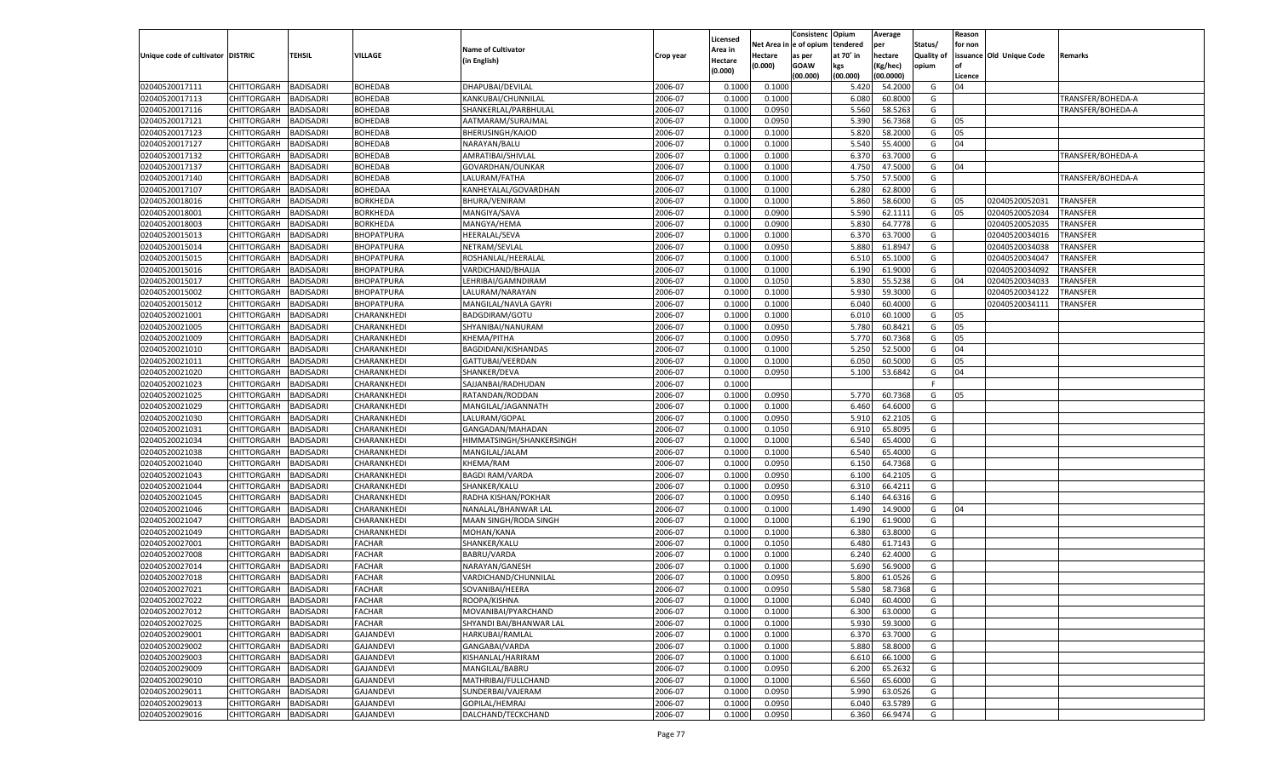|                                   |                       |                                      |                   |                           |           |                     |            | Consistenc    | Opium     | Average   |            | Reason  |                          |                   |
|-----------------------------------|-----------------------|--------------------------------------|-------------------|---------------------------|-----------|---------------------|------------|---------------|-----------|-----------|------------|---------|--------------------------|-------------------|
|                                   |                       |                                      |                   | <b>Name of Cultivator</b> |           | Licensed<br>Area in | Net Area i | n  e of opium | tendered  | per       | Status/    | for non |                          |                   |
| Unique code of cultivator DISTRIC |                       | TEHSIL                               | <b>VILLAGE</b>    | (in English)              | Crop year | Hectare             | Hectare    | as per        | at 70° in | hectare   | Quality of |         | issuance Old Unique Code | Remarks           |
|                                   |                       |                                      |                   |                           |           | (0.000)             | (0.000)    | <b>GOAW</b>   | kgs       | (Kg/hec)  | opium      |         |                          |                   |
|                                   |                       |                                      |                   |                           |           |                     |            | (00.000)      | (00.000)  | (00.0000) |            | Licence |                          |                   |
| 02040520017111                    | CHITTORGARH           | <b>BADISADRI</b>                     | <b>BOHEDAB</b>    | DHAPUBAI/DEVILAL          | 2006-07   | 0.100               | 0.1000     |               | 5.420     | 54.2000   | G          | 04      |                          |                   |
| 02040520017113                    | CHITTORGARH           | BADISADRI                            | <b>BOHEDAB</b>    | KANKUBAI/CHUNNILAL        | 2006-07   | 0.1000              | 0.1000     |               | 6.080     | 60.8000   | G          |         |                          | TRANSFER/BOHEDA-A |
| 02040520017116                    | CHITTORGARH           | BADISADRI                            | <b>BOHEDAB</b>    | SHANKERLAL/PARBHULAL      | 2006-07   | 0.1000              | 0.0950     |               | 5.560     | 58.5263   | G          |         |                          | TRANSFER/BOHEDA-A |
| 02040520017121                    | CHITTORGARH           | BADISADRI                            | <b>BOHEDAB</b>    | AATMARAM/SURAJMAL         | 2006-07   | 0.1000              | 0.0950     |               | 5.390     | 56.7368   | G          | 05      |                          |                   |
| 02040520017123                    | CHITTORGARH           | BADISADRI                            | BOHEDAB           | <b>BHERUSINGH/KAJOD</b>   | 2006-07   | 0.1000              | 0.1000     |               | 5.820     | 58.2000   | G          | 05      |                          |                   |
| 02040520017127                    | CHITTORGARH           | BADISADRI                            | BOHEDAB           | NARAYAN/BALU              | 2006-07   | 0.1000              | 0.1000     |               | 5.540     | 55.4000   | G          | 04      |                          |                   |
| 02040520017132                    | CHITTORGARH           | BADISADRI                            | <b>BOHEDAB</b>    | AMRATIBAI/SHIVLAL         | 2006-07   | 0.1000              | 0.1000     |               | 6.370     | 63.7000   | G          |         |                          | TRANSFER/BOHEDA-A |
| 02040520017137                    | CHITTORGARH           | BADISADRI                            | <b>BOHEDAB</b>    | GOVARDHAN/OUNKAR          | 2006-07   | 0.1000              | 0.1000     |               | 4.750     | 47.5000   | G          | 04      |                          |                   |
| 02040520017140                    | CHITTORGARH           | BADISADRI                            | BOHEDAB           | LALURAM/FATHA             | 2006-07   | 0.1000              | 0.1000     |               | 5.750     | 57.5000   | G          |         |                          | TRANSFER/BOHEDA-A |
| 02040520017107                    | CHITTORGARH           | BADISADRI                            | BOHEDAA           | KANHEYALAL/GOVARDHAN      | 2006-07   | 0.1000              | 0.1000     |               | 6.280     | 62.8000   | G          |         |                          |                   |
| 02040520018016                    | CHITTORGARH           | BADISADRI                            | BORKHEDA          | BHURA/VENIRAM             | 2006-07   | 0.1000              | 0.1000     |               | 5.860     | 58.6000   | G          | 05      | 02040520052031           | TRANSFER          |
| 02040520018001                    | CHITTORGARH           | BADISADRI                            | <b>BORKHEDA</b>   | MANGIYA/SAVA              | 2006-07   | 0.1000              | 0.0900     |               | 5.590     | 62.1111   | G          | 05      | 02040520052034           | TRANSFER          |
| 02040520018003                    | CHITTORGARH           | BADISADRI                            | <b>BORKHEDA</b>   | MANGYA/HEMA               | 2006-07   | 0.1000              | 0.0900     |               | 5.830     | 64.7778   | G          |         | 02040520052035           | TRANSFER          |
| 02040520015013                    | CHITTORGARH           | BADISADRI                            | <b>BHOPATPURA</b> | <b>HEERALAL/SEVA</b>      | 2006-07   | 0.1000              | 0.1000     |               | 6.370     | 63.7000   | G          |         | 02040520034016           | TRANSFER          |
| 02040520015014                    | CHITTORGARH           | <b>BADISADRI</b>                     | <b>BHOPATPURA</b> | NETRAM/SEVLAL             | 2006-07   | 0.1000              | 0.0950     |               | 5.880     | 61.8947   | G          |         | 02040520034038           | TRANSFER          |
| 02040520015015                    | CHITTORGARH           | BADISADRI                            | BHOPATPURA        | ROSHANLAL/HEERALAL        | 2006-07   | 0.1000              | 0.1000     |               | 6.510     | 65.1000   | G          |         | 02040520034047           | TRANSFER          |
| 02040520015016                    | CHITTORGARH           | <b>BADISADRI</b>                     | <b>BHOPATPURA</b> | VARDICHAND/BHAJJA         | 2006-07   | 0.1000              | 0.1000     |               | 6.190     | 61.9000   | G          |         | 02040520034092           | TRANSFER          |
| 02040520015017                    | CHITTORGARH           | BADISADRI                            | BHOPATPURA        | LEHRIBAI/GAMNDIRAM        | 2006-07   | 0.1000              | 0.1050     |               | 5.830     | 55.5238   | G          | 04      | 02040520034033           | TRANSFER          |
| 02040520015002                    | CHITTORGARH           | <b>BADISADRI</b>                     | BHOPATPURA        | LALURAM/NARAYAN           | 2006-07   | 0.1000              | 0.1000     |               | 5.930     | 59.3000   | G          |         | 02040520034122           | TRANSFER          |
| 02040520015012                    | CHITTORGARH           | BADISADRI                            | BHOPATPURA        | MANGILAL/NAVLA GAYRI      | 2006-07   | 0.1000              | 0.1000     |               | 6.040     | 60.4000   | G          |         | 02040520034111           | TRANSFER          |
| 02040520021001                    | CHITTORGARH           | <b>BADISADRI</b>                     | CHARANKHEDI       | BADGDIRAM/GOTU            | 2006-07   | 0.1000              | 0.1000     |               | 6.010     | 60.1000   | G          | 05      |                          |                   |
| 02040520021005                    | CHITTORGARH           | BADISADRI                            | CHARANKHEDI       | SHYANIBAI/NANURAM         | 2006-07   | 0.1000              | 0.0950     |               | 5.780     | 60.8421   | G          | 05      |                          |                   |
| 02040520021009                    | CHITTORGARH           | <b>BADISADRI</b>                     | CHARANKHEDI       | KHEMA/PITHA               | 2006-07   | 0.1000              | 0.0950     |               | 5.770     | 60.7368   | G          | 05      |                          |                   |
| 02040520021010                    | CHITTORGARH           | BADISADRI                            | CHARANKHEDI       | BAGDIDANI/KISHANDAS       | 2006-07   | 0.1000              | 0.1000     |               | 5.250     | 52.5000   | G          | 04      |                          |                   |
| 02040520021011                    | CHITTORGARH           | <b>BADISADRI</b>                     | CHARANKHEDI       | GATTUBAI/VEERDAN          | 2006-07   | 0.1000              | 0.1000     |               | 6.050     | 60.5000   | G          | 05      |                          |                   |
| 02040520021020                    | CHITTORGARH           | BADISADRI                            | CHARANKHEDI       | SHANKER/DEVA              | 2006-07   | 0.1000              | 0.0950     |               | 5.100     | 53.6842   | G          | 04      |                          |                   |
| 02040520021023                    | CHITTORGARH           | <b>BADISADRI</b>                     | CHARANKHEDI       | SAJJANBAI/RADHUDAN        | 2006-07   | 0.1000              |            |               |           |           | F.         |         |                          |                   |
| 02040520021025                    | CHITTORGARH           | BADISADRI                            | CHARANKHEDI       | RATANDAN/RODDAN           | 2006-07   | 0.1000              | 0.0950     |               | 5.770     | 60.7368   | G          | 05      |                          |                   |
| 02040520021029                    | CHITTORGARH           | <b>BADISADRI</b>                     | CHARANKHEDI       | MANGILAL/JAGANNATH        | 2006-07   | 0.1000              | 0.1000     |               | 6.460     | 64.6000   | G          |         |                          |                   |
| 02040520021030                    | CHITTORGARH           | BADISADRI                            | CHARANKHEDI       | LALURAM/GOPAL             | 2006-07   | 0.1000              | 0.0950     |               | 5.910     | 62.2105   | G          |         |                          |                   |
| 02040520021031                    | CHITTORGARH           | <b>BADISADRI</b>                     | CHARANKHEDI       | GANGADAN/MAHADAN          | 2006-07   | 0.1000              | 0.1050     |               | 6.910     | 65.8095   | G          |         |                          |                   |
| 02040520021034                    | CHITTORGARH           | <b>BADISADRI</b>                     | CHARANKHEDI       | HIMMATSINGH/SHANKERSINGH  | 2006-07   | 0.1000              | 0.1000     |               | 6.540     | 65.4000   | G          |         |                          |                   |
| 02040520021038                    | CHITTORGARH           | <b>BADISADRI</b>                     | CHARANKHEDI       | MANGILAL/JALAM            | 2006-07   | 0.1000              | 0.1000     |               | 6.540     | 65.4000   | G          |         |                          |                   |
| 02040520021040                    | CHITTORGARH           | BADISADRI                            | CHARANKHEDI       | KHEMA/RAM                 | 2006-07   | 0.1000              | 0.0950     |               | 6.15(     | 64.7368   | G          |         |                          |                   |
| 02040520021043                    |                       | <b>BADISADRI</b>                     |                   |                           | 2006-07   | 0.1000              | 0.0950     |               | 6.100     | 64.2105   | G          |         |                          |                   |
| 02040520021044                    | CHITTORGARH           |                                      | CHARANKHEDI       | <b>BAGDI RAM/VARDA</b>    | 2006-07   | 0.1000              |            |               | 6.31      | 66.4211   | G          |         |                          |                   |
|                                   | CHITTORGARH           | <b>BADISADRI</b><br><b>BADISADRI</b> | CHARANKHEDI       | SHANKER/KALU              | 2006-07   |                     | 0.0950     |               |           | 64.6316   |            |         |                          |                   |
| 02040520021045                    | CHITTORGARH           |                                      | CHARANKHEDI       | RADHA KISHAN/POKHAR       |           | 0.1000              | 0.0950     |               | 6.140     |           | G          |         |                          |                   |
| 02040520021046                    | CHITTORGARH           | BADISADRI                            | CHARANKHEDI       | NANALAL/BHANWAR LAL       | 2006-07   | 0.1000              | 0.1000     |               | 1.490     | 14.9000   | G          | 04      |                          |                   |
| 02040520021047                    | CHITTORGARH           | <b>BADISADRI</b>                     | CHARANKHEDI       | MAAN SINGH/RODA SINGH     | 2006-07   | 0.1000              | 0.1000     |               | 6.190     | 61.9000   | G          |         |                          |                   |
| 02040520021049                    | CHITTORGARH           | <b>BADISADRI</b>                     | CHARANKHEDI       | MOHAN/KANA                | 2006-07   | 0.1000              | 0.1000     |               | 6.380     | 63.8000   | G          |         |                          |                   |
| 02040520027001                    | CHITTORGARH           | <b>BADISADRI</b>                     | <b>FACHAR</b>     | SHANKER/KALU              | 2006-07   | 0.1000              | 0.1050     |               | 6.480     | 61.7143   | G          |         |                          |                   |
| 02040520027008                    | CHITTORGARH           | BADISADRI                            | <b>FACHAR</b>     | <b>BABRU/VARDA</b>        | 2006-07   | 0.1000              | 0.1000     |               | 6.240     | 62.4000   | G          |         |                          |                   |
| 02040520027014                    | CHITTORGARH           | BADISADRI                            | <b>FACHAR</b>     | NARAYAN/GANESH            | 2006-07   | 0.1000              | 0.1000     |               | 5.690     | 56.9000   | G          |         |                          |                   |
| 02040520027018                    | CHITTORGARH           | BADISADRI                            | <b>FACHAR</b>     | VARDICHAND/CHUNNILAL      | 2006-07   | 0.1000              | 0.0950     |               | 5.800     | 61.0526   | G          |         |                          |                   |
| 02040520027021                    | CHITTORGARH           | <b>BADISADRI</b>                     | <b>FACHAR</b>     | SOVANIBAI/HEERA           | 2006-07   | 0.1000              | 0.0950     |               | 5.580     | 58.7368   | G          |         |                          |                   |
| 02040520027022                    | CHITTORGARH BADISADRI |                                      | <b>FACHAR</b>     | ROOPA/KISHNA              | 2006-07   | 0.1000              | 0.1000     |               | 6.040     | 60.4000   | G          |         |                          |                   |
| 02040520027012                    | <b>CHITTORGARH</b>    | <b>BADISADRI</b>                     | <b>FACHAR</b>     | MOVANIBAI/PYARCHAND       | 2006-07   | 0.1000              | 0.1000     |               | 6.300     | 63.0000   | G          |         |                          |                   |
| 02040520027025                    | <b>CHITTORGARH</b>    | <b>BADISADRI</b>                     | <b>FACHAR</b>     | SHYANDI BAI/BHANWAR LAL   | 2006-07   | 0.1000              | 0.1000     |               | 5.930     | 59.3000   | G          |         |                          |                   |
| 02040520029001                    | CHITTORGARH           | <b>BADISADRI</b>                     | <b>GAJANDEVI</b>  | HARKUBAI/RAMLAL           | 2006-07   | 0.1000              | 0.1000     |               | 6.370     | 63.7000   | G          |         |                          |                   |
| 02040520029002                    | <b>CHITTORGARH</b>    | <b>BADISADRI</b>                     | <b>GAJANDEVI</b>  | GANGABAI/VARDA            | 2006-07   | 0.1000              | 0.1000     |               | 5.880     | 58.8000   | G          |         |                          |                   |
| 02040520029003                    | CHITTORGARH           | <b>BADISADRI</b>                     | <b>GAJANDEVI</b>  | KISHANLAL/HARIRAM         | 2006-07   | 0.1000              | 0.1000     |               | 6.610     | 66.1000   | G          |         |                          |                   |
| 02040520029009                    | <b>CHITTORGARH</b>    | <b>BADISADRI</b>                     | <b>GAJANDEVI</b>  | MANGILAL/BABRU            | 2006-07   | 0.1000              | 0.0950     |               | 6.200     | 65.2632   | G          |         |                          |                   |
| 02040520029010                    | CHITTORGARH           | <b>BADISADRI</b>                     | <b>GAJANDEVI</b>  | MATHRIBAI/FULLCHAND       | 2006-07   | 0.1000              | 0.1000     |               | 6.560     | 65.6000   | G          |         |                          |                   |
| 02040520029011                    | <b>CHITTORGARH</b>    | <b>BADISADRI</b>                     | <b>GAJANDEVI</b>  | SUNDERBAI/VAJERAM         | 2006-07   | 0.1000              | 0.0950     |               | 5.990     | 63.0526   | G          |         |                          |                   |
| 02040520029013                    | <b>CHITTORGARH</b>    | <b>BADISADRI</b>                     | <b>GAJANDEVI</b>  | GOPILAL/HEMRAJ            | 2006-07   | 0.1000              | 0.0950     |               | 6.040     | 63.5789   | G          |         |                          |                   |
| 02040520029016                    | <b>CHITTORGARH</b>    | <b>BADISADRI</b>                     | <b>GAJANDEVI</b>  | DALCHAND/TECKCHAND        | 2006-07   | 0.1000              | 0.0950     |               | 6.360     | 66.9474   | G          |         |                          |                   |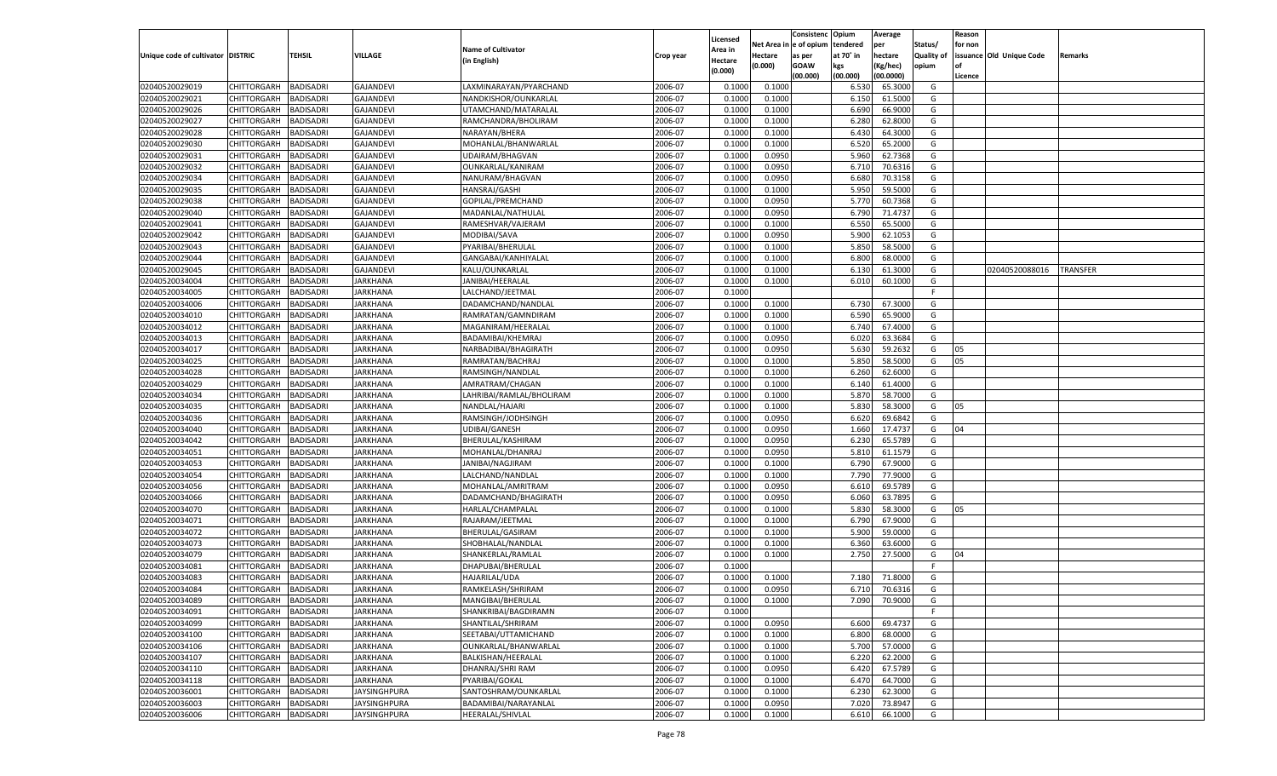|                                   |                    |                  |                     |                           |           |                    |         | Consistenc Opium       |           | Average   |            | Reason  |                          |                 |
|-----------------------------------|--------------------|------------------|---------------------|---------------------------|-----------|--------------------|---------|------------------------|-----------|-----------|------------|---------|--------------------------|-----------------|
|                                   |                    |                  |                     | <b>Name of Cultivator</b> |           | Licensed           |         | Net Area in e of opium | tendered  | per       | Status/    | for non |                          |                 |
| Unique code of cultivator DISTRIC |                    | TEHSIL           | VILLAGE             |                           | Crop year | Area in            | Hectare | as per                 | at 70° in | hectare   | Quality of |         | issuance Old Unique Code | <b>Remarks</b>  |
|                                   |                    |                  |                     | (in English)              |           | Hectare<br>(0.000) | (0.000) | <b>GOAW</b>            | kgs       | (Kg/hec)  | opium      |         |                          |                 |
|                                   |                    |                  |                     |                           |           |                    |         | (00.000)               | (00.000)  | (00.0000) |            | Licence |                          |                 |
| 02040520029019                    | CHITTORGARH        | <b>BADISADRI</b> | <b>GAJANDEVI</b>    | LAXMINARAYAN/PYARCHAND    | 2006-07   | 0.1000             | 0.1000  |                        | 6.530     | 65.3000   | G          |         |                          |                 |
| 02040520029021                    | CHITTORGARH        | <b>BADISADRI</b> | <b>GAJANDEVI</b>    | NANDKISHOR/OUNKARLAL      | 2006-07   | 0.1000             | 0.1000  |                        | 6.15      | 61.5000   | G          |         |                          |                 |
| 02040520029026                    | CHITTORGARH        | <b>BADISADRI</b> | <b>GAJANDEVI</b>    | UTAMCHAND/MATARALAL       | 2006-07   | 0.1000             | 0.1000  |                        | 6.690     | 66.9000   | G          |         |                          |                 |
| 02040520029027                    | CHITTORGARH        | <b>BADISADRI</b> | <b>GAJANDEVI</b>    | RAMCHANDRA/BHOLIRAM       | 2006-07   | 0.1000             | 0.1000  |                        | 6.280     | 62.8000   | G          |         |                          |                 |
| 02040520029028                    | CHITTORGARH        | <b>BADISADRI</b> | <b>GAJANDEVI</b>    | NARAYAN/BHERA             | 2006-07   | 0.1000             | 0.1000  |                        | 6.430     | 64.3000   | G          |         |                          |                 |
| 02040520029030                    | CHITTORGARH        | <b>BADISADRI</b> | <b>GAJANDEVI</b>    | MOHANLAL/BHANWARLAL       | 2006-07   | 0.1000             | 0.1000  |                        | 6.520     | 65.2000   | G          |         |                          |                 |
| 02040520029031                    | CHITTORGARH        | <b>BADISADRI</b> | <b>GAJANDEVI</b>    | UDAIRAM/BHAGVAN           | 2006-07   | 0.1000             | 0.0950  |                        | 5.960     | 62.7368   | G          |         |                          |                 |
| 02040520029032                    | CHITTORGARH        | <b>BADISADRI</b> | <b>GAJANDEVI</b>    | OUNKARLAL/KANIRAM         | 2006-07   | 0.1000             | 0.0950  |                        | 6.710     | 70.6316   | G          |         |                          |                 |
| 02040520029034                    | CHITTORGARH        | <b>BADISADRI</b> | <b>GAJANDEVI</b>    | NANURAM/BHAGVAN           | 2006-07   | 0.1000             | 0.0950  |                        | 6.680     | 70.3158   | G          |         |                          |                 |
| 02040520029035                    | CHITTORGARH        | <b>BADISADRI</b> | <b>GAJANDEVI</b>    | <b>HANSRAJ/GASHI</b>      | 2006-07   | 0.1000             | 0.1000  |                        | 5.950     | 59.5000   | G          |         |                          |                 |
| 02040520029038                    | CHITTORGARH        | <b>BADISADRI</b> | <b>GAJANDEVI</b>    | GOPILAL/PREMCHAND         | 2006-07   | 0.1000             | 0.0950  |                        | 5.770     | 60.7368   | G          |         |                          |                 |
| 02040520029040                    | CHITTORGARH        | <b>BADISADRI</b> | <b>GAJANDEVI</b>    | MADANLAL/NATHULAL         | 2006-07   | 0.1000             | 0.0950  |                        | 6.790     | 71.4737   | G          |         |                          |                 |
| 02040520029041                    | CHITTORGARH        | BADISADRI        | <b>GAJANDEVI</b>    | RAMESHVAR/VAJERAM         | 2006-07   | 0.1000             | 0.1000  |                        | 6.550     | 65.5000   | G          |         |                          |                 |
| 02040520029042                    | CHITTORGARH        | BADISADRI        | <b>GAJANDEVI</b>    | MODIBAI/SAVA              | 2006-07   | 0.1000             | 0.0950  |                        | 5.900     | 62.1053   | G          |         |                          |                 |
| 02040520029043                    | CHITTORGARH        | BADISADRI        | <b>GAJANDEVI</b>    | PYARIBAI/BHERULAL         | 2006-07   | 0.1000             | 0.1000  |                        | 5.850     | 58.5000   | G          |         |                          |                 |
| 02040520029044                    | CHITTORGARH        | BADISADRI        | <b>GAJANDEVI</b>    | GANGABAI/KANHIYALAL       | 2006-07   | 0.1000             | 0.1000  |                        | 6.800     | 68.0000   | G          |         |                          |                 |
| 02040520029045                    | CHITTORGARH        | BADISADRI        | <b>GAJANDEVI</b>    | KALU/OUNKARLAL            | 2006-07   | 0.1000             | 0.1000  |                        | 6.130     | 61.3000   | G          |         | 02040520088016           | <b>TRANSFER</b> |
| 02040520034004                    | CHITTORGARH        | BADISADRI        | JARKHANA            | JANIBAI/HEERALAL          | 2006-07   | 0.1000             | 0.1000  |                        | 6.010     | 60.1000   | G          |         |                          |                 |
| 02040520034005                    | CHITTORGARH        | BADISADRI        | JARKHANA            | LALCHAND/JEETMAL          | 2006-07   | 0.1000             |         |                        |           |           | F.         |         |                          |                 |
| 02040520034006                    | CHITTORGARH        | BADISADRI        | JARKHANA            | DADAMCHAND/NANDLAL        | 2006-07   | 0.1000             | 0.1000  |                        | 6.730     | 67.3000   | G          |         |                          |                 |
| 02040520034010                    | CHITTORGARH        | BADISADRI        | JARKHANA            | RAMRATAN/GAMNDIRAM        | 2006-07   | 0.1000             | 0.1000  |                        | 6.590     | 65.9000   | G          |         |                          |                 |
| 02040520034012                    | CHITTORGARH        | BADISADRI        | JARKHANA            | MAGANIRAM/HEERALAL        | 2006-07   | 0.1000             | 0.1000  |                        | 6.740     | 67.4000   | G          |         |                          |                 |
| 02040520034013                    | CHITTORGARH        | BADISADRI        | JARKHANA            | BADAMIBAI/KHEMRAJ         | 2006-07   | 0.1000             | 0.0950  |                        | 6.020     | 63.3684   | G          |         |                          |                 |
| 02040520034017                    | CHITTORGARH        | BADISADRI        | JARKHANA            | NARBADIBAI/BHAGIRATH      | 2006-07   | 0.1000             | 0.0950  |                        | 5.630     | 59.2632   | G          | 05      |                          |                 |
| 02040520034025                    | CHITTORGARH        | BADISADRI        | JARKHANA            | RAMRATAN/BACHRAJ          | 2006-07   | 0.1000             | 0.1000  |                        | 5.850     | 58.5000   | G          | 05      |                          |                 |
| 02040520034028                    | CHITTORGARH        | BADISADRI        | JARKHANA            | RAMSINGH/NANDLAL          | 2006-07   | 0.1000             | 0.1000  |                        | 6.260     | 62.6000   | G          |         |                          |                 |
| 02040520034029                    | CHITTORGARH        | BADISADRI        | JARKHANA            | AMRATRAM/CHAGAN           | 2006-07   | 0.1000             | 0.1000  |                        | 6.140     | 61.4000   | G          |         |                          |                 |
| 02040520034034                    | CHITTORGARH        | BADISADRI        | JARKHANA            | LAHRIBAI/RAMLAL/BHOLIRAM  | 2006-07   | 0.1000             | 0.1000  |                        | 5.870     | 58.7000   | G          |         |                          |                 |
| 02040520034035                    | CHITTORGARH        | <b>BADISADRI</b> | JARKHANA            | NANDLAL/HAJARI            | 2006-07   | 0.1000             | 0.1000  |                        | 5.830     | 58.3000   | G          | 05      |                          |                 |
| 02040520034036                    | CHITTORGARH        | BADISADRI        | JARKHANA            | RAMSINGH/JODHSINGH        | 2006-07   | 0.1000             | 0.0950  |                        | 6.620     | 69.6842   | G          |         |                          |                 |
|                                   |                    |                  |                     |                           | 2006-07   |                    | 0.0950  |                        |           |           | G          | 04      |                          |                 |
| 02040520034040                    | CHITTORGARH        | BADISADRI        | JARKHANA            | UDIBAI/GANESH             | 2006-07   | 0.1000<br>0.1000   |         |                        | 1.660     | 17.4737   | G          |         |                          |                 |
| 02040520034042                    | CHITTORGARH        | BADISADRI        | JARKHANA            | BHERULAL/KASHIRAM         |           |                    | 0.0950  |                        | 6.23      | 65.5789   | G          |         |                          |                 |
| 02040520034051                    | CHITTORGARH        | BADISADRI        | JARKHANA            | MOHANLAL/DHANRAJ          | 2006-07   | 0.1000             | 0.0950  |                        | 5.810     | 61.1579   |            |         |                          |                 |
| 02040520034053                    | CHITTORGARH        | BADISADRI        | JARKHANA            | JANIBAI/NAGJIRAM          | 2006-07   | 0.1000             | 0.1000  |                        | 6.790     | 67.9000   | G          |         |                          |                 |
| 02040520034054                    | CHITTORGARH        | BADISADRI        | JARKHANA            | LALCHAND/NANDLAL          | 2006-07   | 0.1000             | 0.1000  |                        | 7.790     | 77.9000   | G          |         |                          |                 |
| 02040520034056                    | CHITTORGARH        | BADISADRI        | JARKHANA            | MOHANLAL/AMRITRAM         | 2006-07   | 0.1000             | 0.0950  |                        | 6.610     | 69.5789   | G          |         |                          |                 |
| 02040520034066                    | CHITTORGARH        | BADISADRI        | JARKHANA            | DADAMCHAND/BHAGIRATH      | 2006-07   | 0.1000             | 0.0950  |                        | 6.060     | 63.7895   | G          |         |                          |                 |
| 02040520034070                    | CHITTORGARH        | BADISADRI        | JARKHANA            | HARLAL/CHAMPALAL          | 2006-07   | 0.1000             | 0.1000  |                        | 5.830     | 58.3000   | G          | 05      |                          |                 |
| 02040520034071                    | CHITTORGARH        | BADISADRI        | JARKHANA            | RAJARAM/JEETMAL           | 2006-07   | 0.1000             | 0.1000  |                        | 6.790     | 67.9000   | G          |         |                          |                 |
| 02040520034072                    | CHITTORGARH        | BADISADRI        | JARKHANA            | BHERULAL/GASIRAM          | 2006-07   | 0.1000             | 0.1000  |                        | 5.900     | 59.0000   | G          |         |                          |                 |
| 02040520034073                    | CHITTORGARH        | BADISADRI        | JARKHANA            | SHOBHALAL/NANDLAL         | 2006-07   | 0.1000             | 0.1000  |                        | 6.360     | 63.6000   | G          |         |                          |                 |
| 02040520034079                    | CHITTORGARH        | BADISADRI        | JARKHANA            | SHANKERLAL/RAMLAL         | 2006-07   | 0.1000             | 0.1000  |                        | 2.750     | 27.5000   | G          | 04      |                          |                 |
| 02040520034081                    | CHITTORGARH        | BADISADRI        | JARKHANA            | DHAPUBAI/BHERULAL         | 2006-07   | 0.1000             |         |                        |           |           | F.         |         |                          |                 |
| 02040520034083                    | CHITTORGARH        | BADISADRI        | JARKHANA            | HAJARILAL/UDA             | 2006-07   | 0.1000             | 0.1000  |                        | 7.180     | 71.8000   | G          |         |                          |                 |
| 02040520034084                    | CHITTORGARH        | BADISADRI        | JARKHANA            | RAMKELASH/SHRIRAM         | 2006-07   | 0.1000             | 0.0950  |                        | 6.710     | 70.6316   | G          |         |                          |                 |
| 02040520034089                    | CHITTORGARH        | <b>BADISADRI</b> | <b>JARKHANA</b>     | MANGIBAI/BHERULAL         | 2006-07   | 0.1000             | 0.1000  |                        | 7.090     | 70.9000   | G          |         |                          |                 |
| 02040520034091                    | <b>CHITTORGARH</b> | <b>BADISADRI</b> | <b>JARKHANA</b>     | SHANKRIBAI/BAGDIRAMN      | 2006-07   | 0.1000             |         |                        |           |           | F.         |         |                          |                 |
| 02040520034099                    | <b>CHITTORGARH</b> | <b>BADISADRI</b> | <b>JARKHANA</b>     | SHANTILAL/SHRIRAM         | 2006-07   | 0.1000             | 0.0950  |                        | 6.600     | 69.4737   | G          |         |                          |                 |
| 02040520034100                    | <b>CHITTORGARH</b> | <b>BADISADRI</b> | <b>JARKHANA</b>     | SEETABAI/UTTAMICHAND      | 2006-07   | 0.1000             | 0.1000  |                        | 6.800     | 68.0000   | G          |         |                          |                 |
| 02040520034106                    | <b>CHITTORGARH</b> | <b>BADISADRI</b> | <b>JARKHANA</b>     | OUNKARLAL/BHANWARLAL      | 2006-07   | 0.1000             | 0.1000  |                        | 5.700     | 57.0000   | G          |         |                          |                 |
| 02040520034107                    | <b>CHITTORGARH</b> | <b>BADISADRI</b> | <b>JARKHANA</b>     | BALKISHAN/HEERALAL        | 2006-07   | 0.1000             | 0.1000  |                        | 6.220     | 62.2000   | G          |         |                          |                 |
| 02040520034110                    | <b>CHITTORGARH</b> | <b>BADISADRI</b> | <b>JARKHANA</b>     | DHANRAJ/SHRI RAM          | 2006-07   | 0.1000             | 0.0950  |                        | 6.420     | 67.5789   | G          |         |                          |                 |
| 02040520034118                    | <b>CHITTORGARH</b> | <b>BADISADRI</b> | <b>JARKHANA</b>     | PYARIBAI/GOKAL            | 2006-07   | 0.1000             | 0.1000  |                        | 6.470     | 64.7000   | G          |         |                          |                 |
| 02040520036001                    | CHITTORGARH        | <b>BADISADRI</b> | JAYSINGHPURA        | SANTOSHRAM/OUNKARLAL      | 2006-07   | 0.1000             | 0.1000  |                        | 6.23      | 62.3000   | G          |         |                          |                 |
| 02040520036003                    | <b>CHITTORGARH</b> | <b>BADISADRI</b> | <b>JAYSINGHPURA</b> | BADAMIBAI/NARAYANLAL      | 2006-07   | 0.1000             | 0.0950  |                        | 7.020     | 73.8947   | G          |         |                          |                 |
| 02040520036006                    | <b>CHITTORGARH</b> | <b>BADISADRI</b> | <b>JAYSINGHPURA</b> | HEERALAL/SHIVLAL          | 2006-07   | 0.1000             | 0.1000  |                        | 6.610     | 66.1000   | G          |         |                          |                 |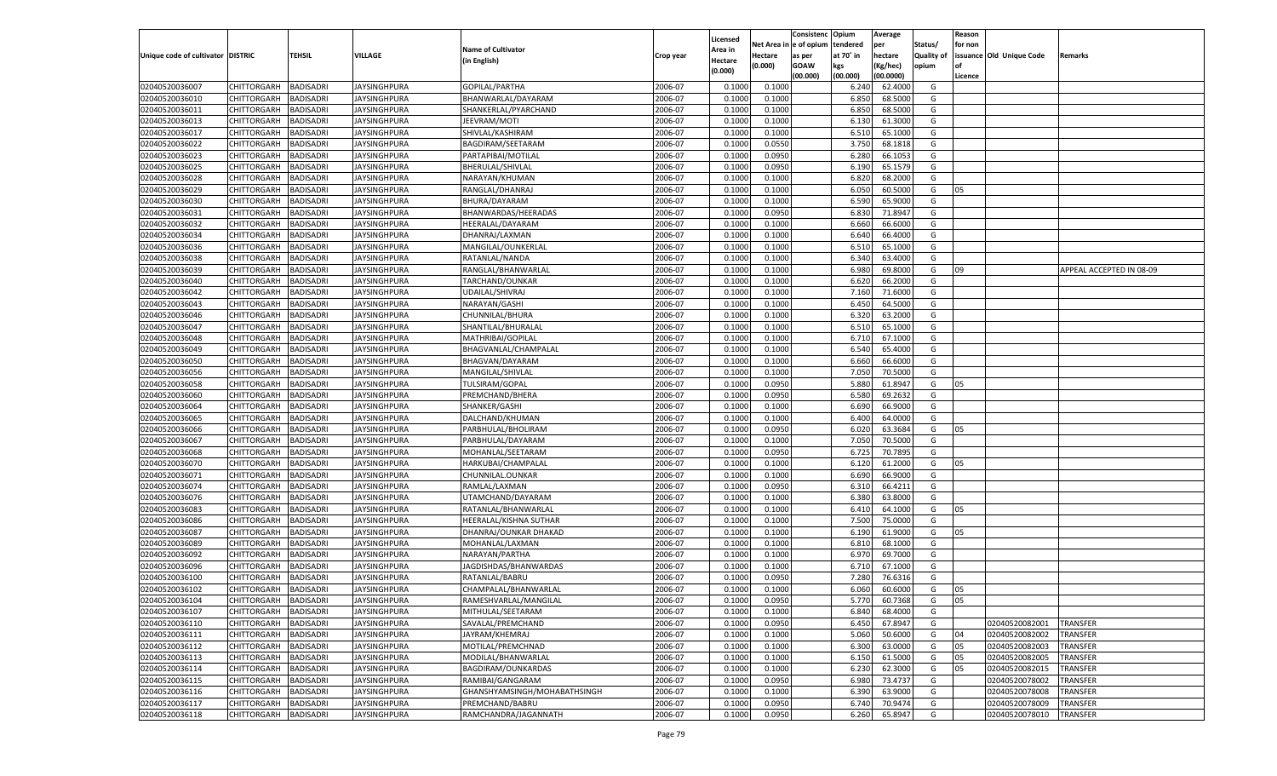|                                   |             |                  |                     |                              |           |          |            | Consistenc Opium |           | Average   |                   | Reason    |                          |                          |
|-----------------------------------|-------------|------------------|---------------------|------------------------------|-----------|----------|------------|------------------|-----------|-----------|-------------------|-----------|--------------------------|--------------------------|
|                                   |             |                  |                     |                              |           | Licensed | Net Area i | l e of opium     | tendered  | per       | Status/           | for non   |                          |                          |
| Unique code of cultivator DISTRIC |             | TEHSIL           | VILLAGE             | <b>Name of Cultivator</b>    | Crop year | Area in  | Hectare    | as per           | at 70° in | hectare   | <b>Quality of</b> |           | issuance Old Unique Code | Remarks                  |
|                                   |             |                  |                     | (in English)                 |           | Hectare  | (0.000)    | <b>GOAW</b>      | kgs       | (Kg/hec)  | opium             | <b>of</b> |                          |                          |
|                                   |             |                  |                     |                              |           | (0.000)  |            | (00.000)         | (00.000)  | (00.0000) |                   | Licence   |                          |                          |
| 02040520036007                    | CHITTORGARH | <b>BADISADRI</b> | JAYSINGHPURA        | GOPILAL/PARTHA               | 2006-07   | 0.1000   | 0.1000     |                  | 6.240     | 62.4000   | G                 |           |                          |                          |
| 02040520036010                    | CHITTORGARH | BADISADRI        | JAYSINGHPURA        | BHANWARLAL/DAYARAM           | 2006-07   | 0.1000   | 0.1000     |                  | 6.850     | 68.5000   | G                 |           |                          |                          |
| 02040520036011                    | CHITTORGARH | <b>BADISADRI</b> | JAYSINGHPURA        | SHANKERLAL/PYARCHAND         | 2006-07   | 0.1000   | 0.1000     |                  | 6.850     | 68.5000   | G                 |           |                          |                          |
| 02040520036013                    |             |                  | <b>JAYSINGHPURA</b> |                              |           |          |            |                  |           |           |                   |           |                          |                          |
|                                   | CHITTORGARH | <b>BADISADRI</b> |                     | JEEVRAM/MOTI                 | 2006-07   | 0.1000   | 0.1000     |                  | 6.130     | 61.3000   | G                 |           |                          |                          |
| 02040520036017                    | CHITTORGARH | BADISADRI        | JAYSINGHPURA        | SHIVLAL/KASHIRAM             | 2006-07   | 0.1000   | 0.1000     |                  | 6.510     | 65.1000   | G                 |           |                          |                          |
| 02040520036022                    | CHITTORGARH | BADISADRI        | JAYSINGHPURA        | BAGDIRAM/SEETARAM            | 2006-07   | 0.1000   | 0.0550     |                  | 3.750     | 68.1818   | G                 |           |                          |                          |
| 02040520036023                    | CHITTORGARH | <b>BADISADRI</b> | JAYSINGHPURA        | PARTAPIBAI/MOTILAL           | 2006-07   | 0.1000   | 0.0950     |                  | 6.280     | 66.1053   | G                 |           |                          |                          |
| 02040520036025                    | CHITTORGARH | <b>BADISADRI</b> | JAYSINGHPURA        | <b>BHERULAL/SHIVLAL</b>      | 2006-07   | 0.1000   | 0.0950     |                  | 6.190     | 65.1579   | G                 |           |                          |                          |
| 02040520036028                    | CHITTORGARH | BADISADRI        | JAYSINGHPURA        | NARAYAN/KHUMAN               | 2006-07   | 0.1000   | 0.1000     |                  | 6.820     | 68.2000   | G                 |           |                          |                          |
| 02040520036029                    | CHITTORGARH | BADISADRI        | JAYSINGHPURA        | RANGLAL/DHANRAJ              | 2006-07   | 0.1000   | 0.1000     |                  | 6.050     | 60.5000   | G                 | 05        |                          |                          |
| 02040520036030                    | CHITTORGARH | <b>BADISADRI</b> | JAYSINGHPURA        | BHURA/DAYARAM                | 2006-07   | 0.1000   | 0.1000     |                  | 6.590     | 65.9000   | G                 |           |                          |                          |
| 02040520036031                    | CHITTORGARH | <b>BADISADRI</b> | JAYSINGHPURA        | BHANWARDAS/HEERADAS          | 2006-07   | 0.1000   | 0.0950     |                  | 6.830     | 71.8947   | G                 |           |                          |                          |
| 02040520036032                    | CHITTORGARH | <b>BADISADRI</b> | JAYSINGHPURA        | HEERALAL/DAYARAM             | 2006-07   | 0.1000   | 0.1000     |                  | 6.660     | 66.6000   | G                 |           |                          |                          |
| 02040520036034                    | CHITTORGARH | <b>BADISADRI</b> | JAYSINGHPURA        | DHANRAJ/LAXMAN               | 2006-07   | 0.1000   | 0.1000     |                  | 6.640     | 66.4000   | G                 |           |                          |                          |
| 02040520036036                    | CHITTORGARH | <b>BADISADRI</b> | JAYSINGHPURA        | MANGILAL/OUNKERLAL           | 2006-07   | 0.1000   | 0.1000     |                  | 6.510     | 65.1000   | G                 |           |                          |                          |
| 02040520036038                    | CHITTORGARH | <b>BADISADRI</b> | JAYSINGHPURA        | RATANLAL/NANDA               | 2006-07   | 0.1000   | 0.1000     |                  | 6.340     | 63.4000   | G                 |           |                          |                          |
| 02040520036039                    | CHITTORGARH | <b>BADISADRI</b> | JAYSINGHPURA        | RANGLAL/BHANWARLAL           | 2006-07   | 0.1000   | 0.1000     |                  | 6.980     | 69.8000   | G                 | 09        |                          | APPEAL ACCEPTED IN 08-09 |
| 02040520036040                    | CHITTORGARH | <b>BADISADRI</b> | JAYSINGHPURA        | TARCHAND/OUNKAR              | 2006-07   | 0.1000   | 0.1000     |                  | 6.620     | 66.2000   | G                 |           |                          |                          |
|                                   |             |                  |                     |                              |           |          |            |                  |           |           |                   |           |                          |                          |
| 02040520036042                    | CHITTORGARH | <b>BADISADRI</b> | JAYSINGHPURA        | <b>UDAILAL/SHIVRAJ</b>       | 2006-07   | 0.1000   | 0.1000     |                  | 7.160     | 71.6000   | G                 |           |                          |                          |
| 02040520036043                    | CHITTORGARH | <b>BADISADRI</b> | <b>JAYSINGHPURA</b> | NARAYAN/GASHI                | 2006-07   | 0.1000   | 0.1000     |                  | 6.450     | 64.5000   | G                 |           |                          |                          |
| 02040520036046                    | CHITTORGARH | <b>BADISADRI</b> | <b>JAYSINGHPURA</b> | CHUNNILAL/BHURA              | 2006-07   | 0.1000   | 0.1000     |                  | 6.320     | 63.2000   | G                 |           |                          |                          |
| 02040520036047                    | CHITTORGARH | <b>BADISADRI</b> | <b>JAYSINGHPURA</b> | SHANTILAL/BHURALAL           | 2006-07   | 0.1000   | 0.1000     |                  | 6.510     | 65.1000   | G                 |           |                          |                          |
| 02040520036048                    | CHITTORGARH | <b>BADISADRI</b> | JAYSINGHPURA        | MATHRIBAI/GOPILAL            | 2006-07   | 0.1000   | 0.1000     |                  | 6.710     | 67.1000   | G                 |           |                          |                          |
| 02040520036049                    | CHITTORGARH | <b>BADISADRI</b> | JAYSINGHPURA        | BHAGVANLAL/CHAMPALAL         | 2006-07   | 0.1000   | 0.1000     |                  | 6.540     | 65.4000   | G                 |           |                          |                          |
| 02040520036050                    | CHITTORGARH | <b>BADISADRI</b> | <b>JAYSINGHPURA</b> | BHAGVAN/DAYARAM              | 2006-07   | 0.1000   | 0.1000     |                  | 6.660     | 66.6000   | G                 |           |                          |                          |
| 02040520036056                    | CHITTORGARH | <b>BADISADRI</b> | JAYSINGHPURA        | MANGILAL/SHIVLAL             | 2006-07   | 0.1000   | 0.1000     |                  | 7.050     | 70.5000   | G                 |           |                          |                          |
| 02040520036058                    | CHITTORGARH | <b>BADISADRI</b> | JAYSINGHPURA        | TULSIRAM/GOPAL               | 2006-07   | 0.1000   | 0.0950     |                  | 5.880     | 61.8947   | G                 | 05        |                          |                          |
| 02040520036060                    | CHITTORGARH | <b>BADISADRI</b> | JAYSINGHPURA        | PREMCHAND/BHERA              | 2006-07   | 0.1000   | 0.0950     |                  | 6.580     | 69.2632   | G                 |           |                          |                          |
| 02040520036064                    | CHITTORGARH | <b>BADISADRI</b> | JAYSINGHPURA        | SHANKER/GASHI                | 2006-07   | 0.1000   | 0.1000     |                  | 6.690     | 66.9000   | G                 |           |                          |                          |
| 02040520036065                    | CHITTORGARH | <b>BADISADRI</b> | JAYSINGHPURA        | DALCHAND/KHUMAN              | 2006-07   | 0.1000   | 0.1000     |                  | 6.400     | 64.0000   | G                 |           |                          |                          |
| 02040520036066                    | CHITTORGARH | <b>BADISADRI</b> | JAYSINGHPURA        | PARBHULAL/BHOLIRAM           | 2006-07   | 0.1000   | 0.0950     |                  | 6.020     | 63.3684   | G                 | 05        |                          |                          |
| 02040520036067                    | CHITTORGARH | <b>BADISADRI</b> | JAYSINGHPURA        | PARBHULAL/DAYARAM            | 2006-07   | 0.1000   | 0.1000     |                  | 7.050     | 70.5000   | G                 |           |                          |                          |
| 02040520036068                    | CHITTORGARH | <b>BADISADRI</b> | JAYSINGHPURA        | MOHANLAL/SEETARAM            | 2006-07   | 0.1000   | 0.0950     |                  | 6.725     | 70.7895   | G                 |           |                          |                          |
| 02040520036070                    | CHITTORGARH | BADISADRI        | JAYSINGHPURA        | HARKUBAI/CHAMPALAL           | 2006-07   | 0.1000   | 0.1000     |                  | 6.120     | 61.2000   | G                 | 05        |                          |                          |
| 02040520036071                    | CHITTORGARH | BADISADRI        |                     |                              | 2006-07   | 0.1000   | 0.1000     |                  | 6.690     | 66.9000   | G                 |           |                          |                          |
|                                   |             |                  | JAYSINGHPURA        | CHUNNILAL.OUNKAR             |           |          |            |                  |           |           |                   |           |                          |                          |
| 02040520036074                    | CHITTORGARH | BADISADRI        | JAYSINGHPURA        | RAMLAL/LAXMAN                | 2006-07   | 0.1000   | 0.0950     |                  | 6.310     | 66.4211   | G                 |           |                          |                          |
| 02040520036076                    | CHITTORGARH | <b>BADISADRI</b> | JAYSINGHPURA        | UTAMCHAND/DAYARAM            | 2006-07   | 0.1000   | 0.1000     |                  | 6.380     | 63.8000   | G                 |           |                          |                          |
| 02040520036083                    | CHITTORGARH | <b>BADISADRI</b> | JAYSINGHPURA        | RATANLAL/BHANWARLAL          | 2006-07   | 0.1000   | 0.1000     |                  | 6.41      | 64.1000   | G                 | 05        |                          |                          |
| 02040520036086                    | CHITTORGARH | BADISADRI        | JAYSINGHPURA        | HEERALAL/KISHNA SUTHAR       | 2006-07   | 0.1000   | 0.1000     |                  | 7.500     | 75.0000   | G                 |           |                          |                          |
| 02040520036087                    | CHITTORGARH | BADISADRI        | JAYSINGHPURA        | DHANRAJ/OUNKAR DHAKAD        | 2006-07   | 0.1000   | 0.1000     |                  | 6.190     | 61.9000   | G                 | 05        |                          |                          |
| 02040520036089                    | CHITTORGARH | <b>BADISADRI</b> | JAYSINGHPURA        | MOHANLAL/LAXMAN              | 2006-07   | 0.1000   | 0.1000     |                  | 6.810     | 68.1000   | G                 |           |                          |                          |
| 02040520036092                    | CHITTORGARH | BADISADRI        | JAYSINGHPURA        | NARAYAN/PARTHA               | 2006-07   | 0.1000   | 0.1000     |                  | 6.970     | 69.7000   | G                 |           |                          |                          |
| 02040520036096                    | CHITTORGARH | BADISADRI        | JAYSINGHPURA        | JAGDISHDAS/BHANWARDAS        | 2006-07   | 0.1000   | 0.1000     |                  | 6.710     | 67.1000   | G                 |           |                          |                          |
| 02040520036100                    | CHITTORGARH | BADISADRI        | JAYSINGHPURA        | RATANLAL/BABRU               | 2006-07   | 0.1000   | 0.0950     |                  | 7.280     | 76.6316   | G                 |           |                          |                          |
| 02040520036102                    | CHITTORGARH | BADISADRI        | <b>JAYSINGHPURA</b> | CHAMPALAL/BHANWARLAL         | 2006-07   | 0.1000   | 0.1000     |                  | 6.060     | 60.6000   | G                 | 05        |                          |                          |
| 02040520036104                    | CHITTORGARH | BADISADRI        | <b>JAYSINGHPURA</b> | RAMESHVARLAL/MANGILAL        | 2006-07   | 0.1000   | 0.0950     |                  | 5.770     | 60.7368   | G                 | 05        |                          |                          |
| 02040520036107                    | CHITTORGARH | <b>BADISADRI</b> | <b>JAYSINGHPURA</b> | MITHULAL/SEETARAM            | 2006-07   | 0.1000   | 0.1000     |                  | 6.840     | 68.4000   | G                 |           |                          |                          |
| 02040520036110                    | CHITTORGARH | <b>BADISADRI</b> | <b>JAYSINGHPURA</b> | SAVALAL/PREMCHAND            | 2006-07   | 0.1000   | 0.0950     |                  | 6.450     | 67.8947   | G                 |           | 02040520082001           | <b>TRANSFER</b>          |
| 02040520036111                    | CHITTORGARH | <b>BADISADRI</b> | <b>JAYSINGHPURA</b> | JAYRAM/KHEMRAJ               | 2006-07   | 0.1000   | 0.1000     |                  | 5.060     | 50.6000   | G                 | 04        | 02040520082002           | <b>TRANSFER</b>          |
| 02040520036112                    | CHITTORGARH | <b>BADISADRI</b> | <b>JAYSINGHPURA</b> | MOTILAL/PREMCHNAD            | 2006-07   | 0.1000   | 0.1000     |                  | 6.300     | 63.0000   | G                 | 05        | 02040520082003           | TRANSFER                 |
| 02040520036113                    | CHITTORGARH | <b>BADISADRI</b> | <b>JAYSINGHPURA</b> | MODILAL/BHANWARLAL           | 2006-07   | 0.1000   | 0.1000     |                  | 6.150     | 61.5000   | G                 | 05        | 02040520082005           | <b>TRANSFER</b>          |
| 02040520036114                    | CHITTORGARH | <b>BADISADRI</b> | <b>JAYSINGHPURA</b> | BAGDIRAM/OUNKARDAS           | 2006-07   | 0.1000   | 0.1000     |                  | 6.230     | 62.3000   | G                 | 05        | 02040520082015           | TRANSFER                 |
| 02040520036115                    | CHITTORGARH | <b>BADISADRI</b> | <b>JAYSINGHPURA</b> | RAMIBAI/GANGARAM             | 2006-07   | 0.1000   | 0.0950     |                  | 6.980     | 73.4737   | G                 |           | 02040520078002           | <b>TRANSFER</b>          |
| 02040520036116                    | CHITTORGARH | <b>BADISADRI</b> |                     | GHANSHYAMSINGH/MOHABATHSINGH | 2006-07   | 0.1000   |            |                  | 6.390     | 63.9000   | G                 |           | 02040520078008           | TRANSFER                 |
|                                   |             |                  | JAYSINGHPURA        |                              |           |          | 0.1000     |                  |           |           |                   |           |                          |                          |
| 02040520036117                    | CHITTORGARH | <b>BADISADRI</b> | <b>JAYSINGHPURA</b> | PREMCHAND/BABRU              | 2006-07   | 0.1000   | 0.0950     |                  | 6.740     | 70.9474   | G                 |           | 02040520078009           | TRANSFER                 |
| 02040520036118                    | CHITTORGARH | <b>BADISADRI</b> | <b>JAYSINGHPURA</b> | RAMCHANDRA/JAGANNATH         | 2006-07   | 0.1000   | 0.0950     |                  | 6.260     | 65.8947   | G                 |           | 02040520078010           | TRANSFER                 |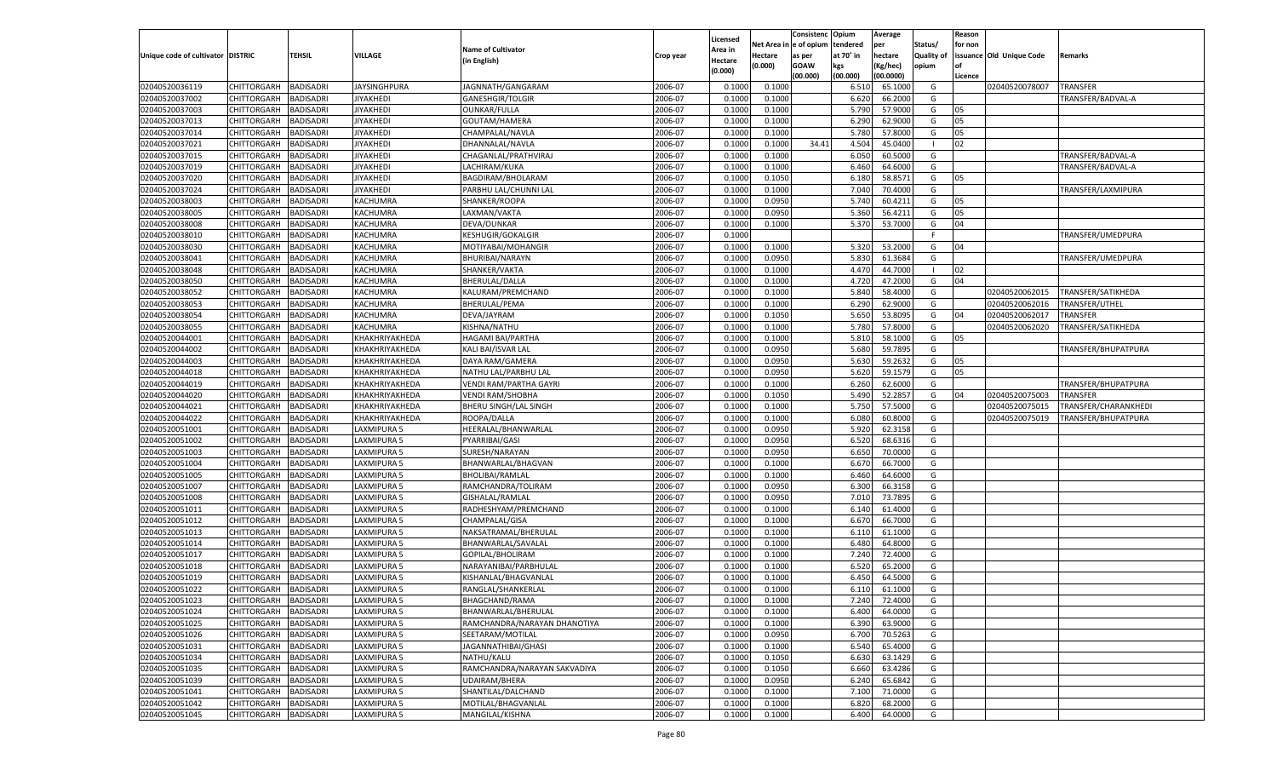|                                     |                       |                  |                    |                              |           |                     |                        | Consistenc | Opium     | Average   |                   | Reason  |                          |                      |
|-------------------------------------|-----------------------|------------------|--------------------|------------------------------|-----------|---------------------|------------------------|------------|-----------|-----------|-------------------|---------|--------------------------|----------------------|
|                                     |                       |                  |                    | <b>Name of Cultivator</b>    |           | Licensed<br>Area in | Net Area in e of opium |            | tendered  | per       | Status/           | for non |                          |                      |
| Unique code of cultivator   DISTRIC |                       | <b>TEHSIL</b>    | VILLAGE            | (in English)                 | Crop year | Hectare             | Hectare                | as per     | at 70° in | hectare   | <b>Quality of</b> |         | issuance Old Unique Code | Remarks              |
|                                     |                       |                  |                    |                              |           | (0.000)             | (0.000)                | GOAW       | kgs       | Kg/hec)   | opium             |         |                          |                      |
|                                     |                       |                  |                    |                              |           |                     |                        | (00.000)   | (00.000)  | (00.0000) |                   | Licence |                          |                      |
| 02040520036119                      | CHITTORGARH           | BADISADRI        | JAYSINGHPURA       | JAGNNATH/GANGARAM            | 2006-07   | 0.1000              | 0.100                  |            | 6.510     | 65.100    | G                 |         | 02040520078007           | <b>TRANSFER</b>      |
| 02040520037002                      | CHITTORGARH           | BADISADRI        | JIYAKHEDI          | GANESHGIR/TOLGIR             | 2006-07   | 0.1000              | 0.1000                 |            | 6.620     | 66.200    | G                 |         |                          | TRANSFER/BADVAL-A    |
| 02040520037003                      | CHITTORGARH           | BADISADRI        | <b>JIYAKHEDI</b>   | OUNKAR/FULLA                 | 2006-07   | 0.1000              | 0.1000                 |            | 5.790     | 57.900    | G                 | 05      |                          |                      |
| 02040520037013                      | CHITTORGARH           | BADISADRI        | JIYAKHEDI          | GOUTAM/HAMERA                | 2006-07   | 0.1000              | 0.1000                 |            | 6.290     | 62.9000   | G                 | 05      |                          |                      |
| 02040520037014                      | CHITTORGARH           | BADISADRI        | JIYAKHEDI          | CHAMPALAL/NAVLA              | 2006-07   | 0.1000              | 0.1000                 |            | 5.780     | 57.800    | G                 | 05      |                          |                      |
| 02040520037021                      | CHITTORGARH           | BADISADRI        | JIYAKHEDI          | DHANNALAL/NAVLA              | 2006-07   | 0.1000              | 0.1000                 | 34.41      | 4.504     | 45.040    |                   | 02      |                          |                      |
| 02040520037015                      | CHITTORGARH           | BADISADRI        | <b>JIYAKHEDI</b>   | CHAGANLAL/PRATHVIRAJ         | 2006-07   | 0.1000              | 0.1000                 |            | 6.050     | 60.500    | G                 |         |                          | TRANSFER/BADVAL-A    |
| 02040520037019                      | CHITTORGARH           | BADISADRI        | JIYAKHEDI          | LACHIRAM/KUKA                | 2006-07   | 0.1000              | 0.1000                 |            | 6.460     | 64.600    | G                 |         |                          | TRANSFER/BADVAL-A    |
| 02040520037020                      | CHITTORGARH           | BADISADRI        | JIYAKHEDI          | BAGDIRAM/BHOLARAM            | 2006-07   | 0.1000              | 0.1050                 |            | 6.180     | 58.857    | G                 | 05      |                          |                      |
| 02040520037024                      | CHITTORGARH           | BADISADRI        | JIYAKHEDI          | PARBHU LAL/CHUNNI LAL        | 2006-07   | 0.1000              | 0.1000                 |            | 7.040     | 70.400    | G                 |         |                          | TRANSFER/LAXMIPURA   |
| 02040520038003                      | CHITTORGARH           | BADISADRI        | KACHUMRA           | SHANKER/ROOPA                | 2006-07   | 0.1000              | 0.0950                 |            | 5.740     | 60.421    | G                 | 05      |                          |                      |
| 02040520038005                      | CHITTORGARH           | BADISADRI        | KACHUMRA           | LAXMAN/VAKTA                 | 2006-07   | 0.1000              | 0.0950                 |            | 5.360     | 56.421    | G                 | 05      |                          |                      |
| 02040520038008                      | CHITTORGARH           | BADISADRI        | KACHUMRA           | DEVA/OUNKAR                  | 2006-07   | 0.1000              | 0.1000                 |            | 5.370     | 53.700    | G                 | 04      |                          |                      |
| 02040520038010                      | CHITTORGARH           | BADISADRI        | KACHUMRA           | KESHUGIR/GOKALGIR            | 2006-07   | 0.1000              |                        |            |           |           | -F                |         |                          | TRANSFER/UMEDPURA    |
| 02040520038030                      | CHITTORGARH           | BADISADRI        | KACHUMRA           | MOTIYABAI/MOHANGIR           | 2006-07   | 0.1000              | 0.1000                 |            | 5.320     | 53.200    | G                 | 04      |                          |                      |
| 02040520038041                      | CHITTORGARH           | BADISADRI        | KACHUMRA           | BHURIBAI/NARAYN              | 2006-07   | 0.1000              | 0.0950                 |            | 5.830     | 61.3684   | G                 |         |                          | TRANSFER/UMEDPURA    |
| 02040520038048                      | CHITTORGARH           | BADISADRI        | KACHUMRA           | SHANKER/VAKTA                | 2006-07   | 0.1000              | 0.1000                 |            | 4.470     | 44.700    | - 1               | 02      |                          |                      |
| 02040520038050                      | CHITTORGARH           | BADISADRI        | KACHUMRA           | BHERULAL/DALLA               | 2006-07   | 0.1000              | 0.1000                 |            | 4.720     | 47.2000   | G                 | 04      |                          |                      |
| 02040520038052                      | CHITTORGARH           | BADISADRI        | KACHUMRA           | KALURAM/PREMCHAND            | 2006-07   | 0.1000              | 0.1000                 |            | 5.840     | 58.4000   | G                 |         | 02040520062015           | TRANSFER/SATIKHEDA   |
| 02040520038053                      | CHITTORGARH           | BADISADRI        | KACHUMRA           | BHERULAL/PEMA                | 2006-07   | 0.1000              | 0.1000                 |            | 6.290     | 62.9000   | G                 |         | 02040520062016           | TRANSFER/UTHEL       |
| 02040520038054                      | CHITTORGARH           | BADISADRI        | KACHUMRA           | DEVA/JAYRAM                  | 2006-07   | 0.1000              | 0.1050                 |            | 5.650     | 53.8095   | G                 | 04      | 02040520062017           | <b>TRANSFER</b>      |
| 02040520038055                      | CHITTORGARH           | BADISADRI        | KACHUMRA           | KISHNA/NATHU                 | 2006-07   | 0.1000              | 0.1000                 |            | 5.780     | 57.8000   | G                 |         | 02040520062020           | TRANSFER/SATIKHEDA   |
| 02040520044001                      | CHITTORGARH           | BADISADRI        | KHAKHRIYAKHEDA     | <b>HAGAMI BAI/PARTHA</b>     | 2006-07   | 0.1000              | 0.1000                 |            | 5.810     | 58.100    | G                 | 05      |                          |                      |
| 02040520044002                      | CHITTORGARH           | BADISADRI        | KHAKHRIYAKHEDA     | KALI BAI/ISVAR LAL           | 2006-07   | 0.1000              | 0.0950                 |            | 5.680     | 59.789    | G                 |         |                          | TRANSFER/BHUPATPURA  |
| 02040520044003                      | CHITTORGARH           | BADISADRI        | KHAKHRIYAKHEDA     | DAYA RAM/GAMERA              | 2006-07   | 0.1000              | 0.0950                 |            | 5.630     | 59.263    | G                 | 05      |                          |                      |
| 02040520044018                      | CHITTORGARH           | BADISADRI        | KHAKHRIYAKHEDA     | NATHU LAL/PARBHU LAL         | 2006-07   | 0.1000              | 0.0950                 |            | 5.620     | 59.157    | G                 | 05      |                          |                      |
| 02040520044019                      | CHITTORGARH           | BADISADRI        | KHAKHRIYAKHEDA     | VENDI RAM/PARTHA GAYRI       | 2006-07   | 0.1000              | 0.1000                 |            | 6.260     | 62.6000   | G                 |         |                          | TRANSFER/BHUPATPURA  |
| 02040520044020                      | CHITTORGARH           | BADISADRI        | KHAKHRIYAKHEDA     | <b>VENDI RAM/SHOBHA</b>      | 2006-07   | 0.1000              | 0.1050                 |            | 5.490     | 52.285    | G                 | 04      | 02040520075003           | <b>TRANSFER</b>      |
| 02040520044021                      | CHITTORGARH           | BADISADRI        | KHAKHRIYAKHEDA     | BHERU SINGH/LAL SINGH        | 2006-07   | 0.1000              | 0.1000                 |            | 5.750     | 57.5000   | G                 |         | 02040520075015           | TRANSFER/CHARANKHEDI |
| 02040520044022                      | CHITTORGARH           | BADISADRI        | KHAKHRIYAKHEDA     | ROOPA/DALLA                  | 2006-07   | 0.1000              | 0.1000                 |            | 6.080     | 60.8000   | G                 |         | 02040520075019           | TRANSFER/BHUPATPURA  |
| 02040520051001                      | CHITTORGARH           | BADISADRI        | LAXMIPURA 5        | HEERALAL/BHANWARLAL          | 2006-07   | 0.1000              | 0.0950                 |            | 5.920     | 62.3158   | G                 |         |                          |                      |
| 02040520051002                      | CHITTORGARH           | BADISADRI        | LAXMIPURA 5        | PYARRIBAI/GASI               | 2006-07   | 0.1000              | 0.0950                 |            | 6.520     | 68.631    | G                 |         |                          |                      |
| 02040520051003                      | CHITTORGARH           | BADISADRI        | LAXMIPURA 5        | SURESH/NARAYAN               | 2006-07   | 0.1000              | 0.0950                 |            | 6.650     | 70.000    | G                 |         |                          |                      |
| 02040520051004                      | CHITTORGARH           | BADISADRI        | LAXMIPURA 5        | BHANWARLAL/BHAGVAN           | 2006-07   | 0.1000              | 0.1000                 |            | 6.670     | 66.700    | G                 |         |                          |                      |
| 02040520051005                      | CHITTORGARH           | BADISADRI        | LAXMIPURA 5        | BHOLIBAI/RAMLAL              | 2006-07   | 0.1000              | 0.1000                 |            | 6.460     | 64.600    | G                 |         |                          |                      |
| 02040520051007                      | CHITTORGARH           | BADISADRI        | LAXMIPURA 5        | RAMCHANDRA/TOLIRAM           | 2006-07   | 0.1000              | 0.0950                 |            | 6.300     | 66.315    | G                 |         |                          |                      |
| 02040520051008                      | CHITTORGARH           | BADISADRI        | LAXMIPURA 5        | GISHALAL/RAMLAL              | 2006-07   | 0.1000              | 0.0950                 |            | 7.010     | 73.789    | G                 |         |                          |                      |
| 02040520051011                      | CHITTORGARH           | BADISADRI        | LAXMIPURA 5        | RADHESHYAM/PREMCHAND         | 2006-07   | 0.1000              | 0.1000                 |            | 6.140     | 61.400    | G                 |         |                          |                      |
| 02040520051012                      |                       | BADISADRI        |                    |                              | 2006-07   | 0.1000              | 0.1000                 |            |           | 66.700    | G                 |         |                          |                      |
|                                     | CHITTORGARH           |                  | LAXMIPURA 5        | CHAMPALAL/GISA               |           |                     |                        |            | 6.670     |           |                   |         |                          |                      |
| 02040520051013                      | CHITTORGARH           | BADISADRI        | LAXMIPURA 5        | NAKSATRAMAL/BHERULAL         | 2006-07   | 0.1000              | 0.1000                 |            | 6.110     | 61.100    | G                 |         |                          |                      |
| 02040520051014                      | CHITTORGARH           | BADISADRI        | LAXMIPURA 5        | BHANWARLAL/SAVALAL           | 2006-07   | 0.1000              | 0.1000                 |            | 6.480     | 64.800    | G                 |         |                          |                      |
| 02040520051017                      | CHITTORGARH           | BADISADRI        | LAXMIPURA 5        | GOPILAL/BHOLIRAM             | 2006-07   | 0.1000              | 0.1000                 |            | 7.240     | 72.400    | G                 |         |                          |                      |
| 02040520051018                      | CHITTORGARH           | BADISADRI        | LAXMIPURA 5        | NARAYANIBAI/PARBHULAL        | 2006-07   | 0.1000              | 0.1000                 |            | 6.520     | 65.200    | G                 |         |                          |                      |
| 02040520051019                      | CHITTORGARH           | BADISADRI        | LAXMIPURA 5        | KISHANLAL/BHAGVANLAL         | 2006-07   | 0.1000              | 0.1000                 |            | 6.450     | 64.500    | G                 |         |                          |                      |
| 02040520051022                      | CHITTORGARH           | BADISADRI        | LAXMIPURA 5        | RANGLAL/SHANKERLAI           | 2006-07   | 0.1000              | 0.1000                 |            | 6.110     | 61.100    | G                 |         |                          |                      |
| 02040520051023                      | CHITTORGARH BADISADRI |                  | LAXMIPURA 5        | BHAGCHAND/RAMA               | 2006-07   | 0.1000              | 0.1000                 |            | 7.240     | 72.4000   | G                 |         |                          |                      |
| 02040520051024                      | CHITTORGARH           | <b>BADISADRI</b> | LAXMIPURA 5        | BHANWARLAL/BHERULAL          | 2006-07   | 0.1000              | 0.1000                 |            | 6.400     | 64.0000   | G                 |         |                          |                      |
| 02040520051025                      | <b>CHITTORGARH</b>    | <b>BADISADRI</b> | LAXMIPURA 5        | RAMCHANDRA/NARAYAN DHANOTIYA | 2006-07   | 0.1000              | 0.1000                 |            | 6.390     | 63.9000   | G                 |         |                          |                      |
| 02040520051026                      | <b>CHITTORGARH</b>    | <b>BADISADRI</b> | LAXMIPURA 5        | SEETARAM/MOTILAL             | 2006-07   | 0.1000              | 0.0950                 |            | 6.700     | 70.5263   | G                 |         |                          |                      |
| 02040520051031                      | <b>CHITTORGARH</b>    | <b>BADISADRI</b> | LAXMIPURA 5        | JAGANNATHIBAI/GHASI          | 2006-07   | 0.1000              | 0.1000                 |            | 6.540     | 65.4000   | G                 |         |                          |                      |
| 02040520051034                      | CHITTORGARH           | <b>BADISADRI</b> | LAXMIPURA 5        | NATHU/KALU                   | 2006-07   | 0.1000              | 0.1050                 |            | 6.630     | 63.1429   | G                 |         |                          |                      |
| 02040520051035                      | <b>CHITTORGARH</b>    | <b>BADISADRI</b> | LAXMIPURA 5        | RAMCHANDRA/NARAYAN SAKVADIYA | 2006-07   | 0.1000              | 0.1050                 |            | 6.660     | 63.4286   | G                 |         |                          |                      |
| 02040520051039                      | <b>CHITTORGARH</b>    | <b>BADISADRI</b> | LAXMIPURA 5        | UDAIRAM/BHERA                | 2006-07   | 0.1000              | 0.0950                 |            | 6.240     | 65.6842   | G                 |         |                          |                      |
| 02040520051041                      | <b>CHITTORGARH</b>    | BADISADRI        | LAXMIPURA 5        | SHANTILAL/DALCHAND           | 2006-07   | 0.1000              | 0.1000                 |            | 7.100     | 71.0000   | G                 |         |                          |                      |
| 02040520051042                      | CHITTORGARH           | <b>BADISADRI</b> | LAXMIPURA 5        | MOTILAL/BHAGVANLAL           | 2006-07   | 0.1000              | 0.1000                 |            | 6.820     | 68.2000   | G                 |         |                          |                      |
| 02040520051045                      | CHITTORGARH           | <b>BADISADRI</b> | <b>LAXMIPURA 5</b> | MANGILAL/KISHNA              | 2006-07   | 0.1000              | 0.1000                 |            | 6.400     | 64.0000   | G                 |         |                          |                      |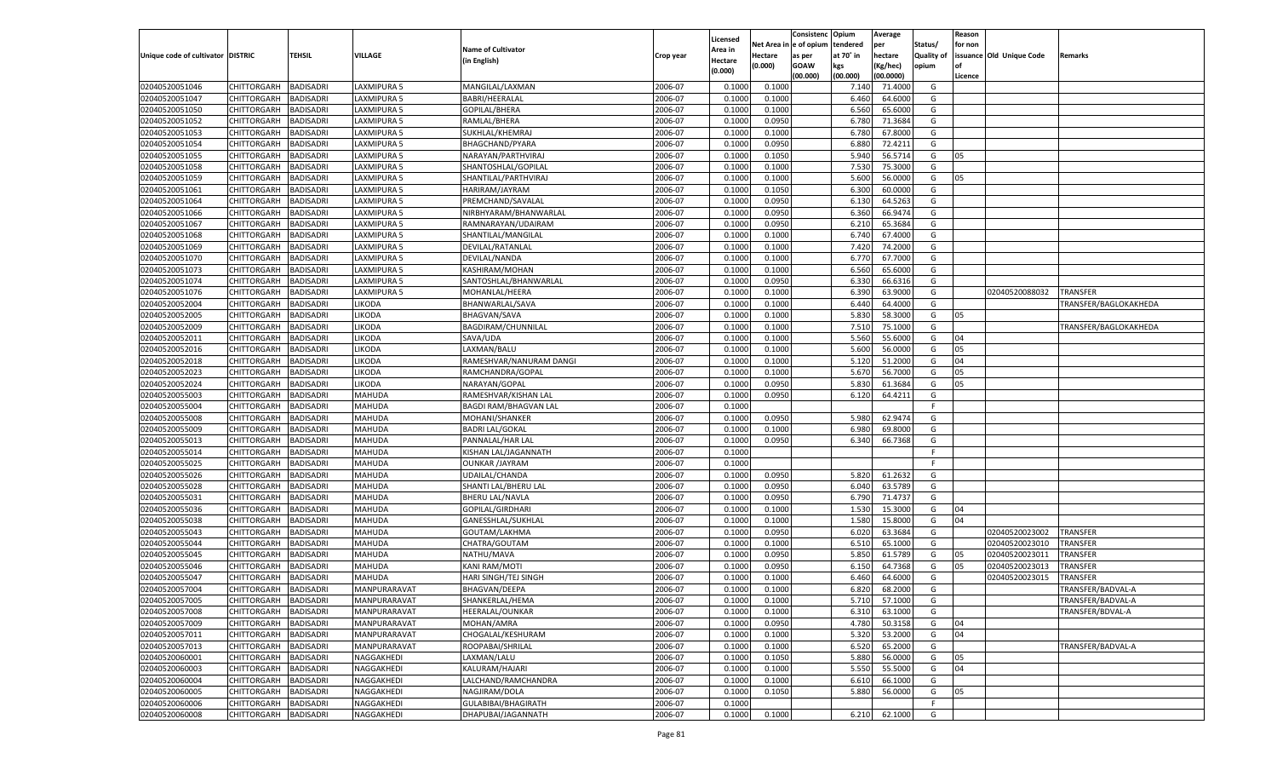|                                   |                       |                  |                    |                               |           | Licensed |                        | Consistenc  | Opium          | Average            |                   | Reason   |                          |                       |
|-----------------------------------|-----------------------|------------------|--------------------|-------------------------------|-----------|----------|------------------------|-------------|----------------|--------------------|-------------------|----------|--------------------------|-----------------------|
|                                   |                       |                  |                    | <b>Name of Cultivator</b>     |           | Area in  | Net Area in e of opium |             | tendered       | per                | Status/           | for non  |                          |                       |
| Unique code of cultivator DISTRIC |                       | <b>TEHSIL</b>    | <b>VILLAGE</b>     | (in English)                  | Crop year | Hectare  | <b>Hectare</b>         | as per      | at 70° in      | hectare            | <b>Quality of</b> |          | issuance Old Unique Code | Remarks               |
|                                   |                       |                  |                    |                               |           | (0.000)  | (0.000)                | <b>GOAW</b> | kgs            | (Kg/hec)           | opium             |          |                          |                       |
| 02040520051046                    | CHITTORGARH           | <b>BADISADRI</b> | LAXMIPURA 5        | MANGILAL/LAXMAN               | 2006-07   | 0.1000   | 0.1000                 | (00.000)    | (00.000)       | (00.0000)          | G                 | Licence  |                          |                       |
| 02040520051047                    | <b>CHITTORGARH</b>    | <b>BADISADRI</b> | <b>LAXMIPURA 5</b> | BABRI/HEERALAL                | 2006-07   | 0.1000   | 0.1000                 |             | 7.140<br>6.460 | 71.4000<br>64.6000 | G                 |          |                          |                       |
| 02040520051050                    | <b>CHITTORGARH</b>    | <b>BADISADRI</b> | LAXMIPURA 5        | GOPILAL/BHERA                 | 2006-07   | 0.1000   | 0.1000                 |             | 6.560          | 65.6000            | G                 |          |                          |                       |
| 02040520051052                    | CHITTORGARH           |                  | <b>LAXMIPURA 5</b> |                               | 2006-07   | 0.1000   | 0.0950                 |             | 6.780          | 71.3684            | G                 |          |                          |                       |
|                                   |                       | <b>BADISADRI</b> |                    | RAMLAL/BHERA                  |           |          |                        |             |                |                    |                   |          |                          |                       |
| 02040520051053                    | <b>CHITTORGARH</b>    | <b>BADISADRI</b> | LAXMIPURA 5        | SUKHLAL/KHEMRAJ               | 2006-07   | 0.1000   | 0.1000                 |             | 6.780          | 67.8000            | G                 |          |                          |                       |
| 02040520051054                    | CHITTORGARH           | <b>BADISADRI</b> | LAXMIPURA 5        | BHAGCHAND/PYARA               | 2006-07   | 0.1000   | 0.0950                 |             | 6.880          | 72.4211            | G                 |          |                          |                       |
| 02040520051055                    | <b>CHITTORGARH</b>    | <b>BADISADRI</b> | LAXMIPURA 5        | NARAYAN/PARTHVIRAJ            | 2006-07   | 0.1000   | 0.1050                 |             | 5.940          | 56.5714            | G                 | 05       |                          |                       |
| 02040520051058                    | CHITTORGARH           | <b>BADISADRI</b> | <b>LAXMIPURA 5</b> | SHANTOSHLAL/GOPILAL           | 2006-07   | 0.1000   | 0.1000                 |             | 7.530          | 75.3000            | G                 |          |                          |                       |
| 02040520051059                    | <b>CHITTORGARH</b>    | <b>BADISADRI</b> | LAXMIPURA 5        | SHANTILAL/PARTHVIRAJ          | 2006-07   | 0.1000   | 0.1000                 |             | 5.600          | 56.0000            | G                 | 05       |                          |                       |
| 02040520051061                    | CHITTORGARH           | <b>BADISADRI</b> | <b>LAXMIPURA 5</b> | HARIRAM/JAYRAM                | 2006-07   | 0.1000   | 0.1050                 |             | 6.300          | 60.0000            | G                 |          |                          |                       |
| 02040520051064                    | <b>CHITTORGARH</b>    | <b>BADISADRI</b> | LAXMIPURA 5        | PREMCHAND/SAVALAL             | 2006-07   | 0.1000   | 0.0950                 |             | 6.130          | 64.5263            | G                 |          |                          |                       |
| 02040520051066                    | CHITTORGARH           | <b>BADISADRI</b> | LAXMIPURA 5        | NIRBHYARAM/BHANWARLAL         | 2006-07   | 0.1000   | 0.0950                 |             | 6.360          | 66.9474            | G                 |          |                          |                       |
| 02040520051067                    | <b>CHITTORGARH</b>    | <b>BADISADRI</b> | LAXMIPURA 5        | RAMNARAYAN/UDAIRAM            | 2006-07   | 0.1000   | 0.0950                 |             | 6.210          | 65.3684            | G                 |          |                          |                       |
| 02040520051068                    | CHITTORGARH           | <b>BADISADRI</b> | LAXMIPURA 5        | SHANTILAL/MANGILAL            | 2006-07   | 0.1000   | 0.1000                 |             | 6.740          | 67.4000            | G                 |          |                          |                       |
| 02040520051069                    | <b>CHITTORGARH</b>    | <b>BADISADRI</b> | LAXMIPURA 5        | DEVILAL/RATANLAL              | 2006-07   | 0.1000   | 0.1000                 |             | 7.420          | 74.2000            | G                 |          |                          |                       |
| 02040520051070                    | CHITTORGARH           | <b>BADISADRI</b> | LAXMIPURA 5        | DEVILAL/NANDA                 | 2006-07   | 0.1000   | 0.1000                 |             | 6.770          | 67.7000            | G                 |          |                          |                       |
| 02040520051073                    | CHITTORGARH           | <b>BADISADRI</b> | LAXMIPURA 5        | KASHIRAM/MOHAN                | 2006-07   | 0.1000   | 0.1000                 |             | 6.560          | 65.6000            | G                 |          |                          |                       |
| 02040520051074                    | CHITTORGARH           | <b>BADISADRI</b> | LAXMIPURA 5        | SANTOSHLAL/BHANWARLAL         | 2006-07   | 0.1000   | 0.0950                 |             | 6.330          | 66.6316            | G                 |          |                          |                       |
| 02040520051076                    | <b>CHITTORGARH</b>    | <b>BADISADRI</b> | <b>LAXMIPURA 5</b> | MOHANLAL/HEERA                | 2006-07   | 0.1000   | 0.1000                 |             | 6.390          | 63.9000            | G                 |          | 02040520088032           | TRANSFER              |
| 02040520052004                    | CHITTORGARH           | <b>BADISADRI</b> | LIKODA             | BHANWARLAL/SAVA               | 2006-07   | 0.1000   | 0.1000                 |             | 6.440          | 64.4000            | G                 |          |                          | TRANSFER/BAGLOKAKHEDA |
| 02040520052005                    | CHITTORGARH           | <b>BADISADRI</b> | LIKODA             | <b>BHAGVAN/SAVA</b>           | 2006-07   | 0.1000   | 0.1000                 |             | 5.830          | 58.3000            | G                 | 05       |                          |                       |
| 02040520052009                    | CHITTORGARH           | <b>BADISADRI</b> | LIKODA             | BAGDIRAM/CHUNNILAL            | 2006-07   | 0.1000   | 0.1000                 |             | 7.510          | 75.1000            | G                 |          |                          | TRANSFER/BAGLOKAKHEDA |
| 02040520052011                    | <b>CHITTORGARH</b>    | <b>BADISADRI</b> | LIKODA             | SAVA/UDA                      | 2006-07   | 0.1000   | 0.1000                 |             | 5.560          | 55.6000            | G                 | 04       |                          |                       |
| 02040520052016                    | CHITTORGARH           | <b>BADISADRI</b> | LIKODA             | LAXMAN/BALU                   | 2006-07   | 0.1000   | 0.1000                 |             | 5.600          | 56.0000            | G                 | 05       |                          |                       |
| 02040520052018                    | CHITTORGARH           | <b>BADISADRI</b> | LIKODA             | RAMESHVAR/NANURAM DANGI       | 2006-07   | 0.1000   | 0.1000                 |             | 5.120          | 51.2000            | G                 | 04       |                          |                       |
| 02040520052023                    | CHITTORGARH           | <b>BADISADRI</b> | LIKODA             | RAMCHANDRA/GOPAL              | 2006-07   | 0.1000   | 0.1000                 |             | 5.670          | 56.7000            | G                 | 05       |                          |                       |
| 02040520052024                    | <b>CHITTORGARH</b>    | <b>BADISADRI</b> | LIKODA             | NARAYAN/GOPAL                 | 2006-07   | 0.1000   | 0.0950                 |             | 5.830          | 61.3684            | G                 | 05       |                          |                       |
| 02040520055003                    | CHITTORGARH           | <b>BADISADRI</b> | MAHUDA             | RAMESHVAR/KISHAN LAL          | 2006-07   | 0.1000   | 0.0950                 |             | 6.120          | 64.4211            | G                 |          |                          |                       |
| 02040520055004                    | CHITTORGARH           | <b>BADISADRI</b> | MAHUDA             | <b>BAGDI RAM/BHAGVAN LAL</b>  | 2006-07   | 0.1000   |                        |             |                |                    | F                 |          |                          |                       |
| 02040520055008                    | CHITTORGARH           | <b>BADISADRI</b> | MAHUDA             | MOHANI/SHANKER                | 2006-07   | 0.1000   | 0.0950                 |             | 5.980          | 62.9474            | G                 |          |                          |                       |
| 02040520055009                    | <b>CHITTORGARH</b>    | <b>BADISADRI</b> | MAHUDA             | <b>BADRI LAL/GOKAL</b>        | 2006-07   | 0.1000   | 0.1000                 |             | 6.980          | 69.8000            | G                 |          |                          |                       |
| 02040520055013                    | CHITTORGARH           | <b>BADISADRI</b> | <b>MAHUDA</b>      | PANNALAL/HAR LAL              | 2006-07   | 0.1000   | 0.0950                 |             | 6.340          | 66.7368            | G                 |          |                          |                       |
| 02040520055014                    | <b>CHITTORGARH</b>    | <b>BADISADRI</b> | <b>MAHUDA</b>      | KISHAN LAL/JAGANNATH          | 2006-07   | 0.1000   |                        |             |                |                    | F.                |          |                          |                       |
| 02040520055025                    | <b>CHITTORGARH</b>    | <b>BADISADRI</b> | MAHUDA             | <b>OUNKAR /JAYRAM</b>         | 2006-07   | 0.1000   |                        |             |                |                    | F.                |          |                          |                       |
| 02040520055026                    | <b>CHITTORGARH</b>    | <b>BADISADRI</b> | <b>MAHUDA</b>      | UDAILAL/CHANDA                | 2006-07   | 0.1000   | 0.0950                 |             | 5.820          | 61.2632            | G                 |          |                          |                       |
| 02040520055028                    | CHITTORGARH           | <b>BADISADRI</b> | <b>MAHUDA</b>      | SHANTI LAL/BHERU LAL          | 2006-07   | 0.1000   | 0.0950                 |             | 6.040          | 63.5789            | G                 |          |                          |                       |
| 02040520055031                    | <b>CHITTORGARH</b>    | <b>BADISADRI</b> | <b>MAHUDA</b>      | <b>BHERU LAL/NAVLA</b>        | 2006-07   | 0.1000   | 0.0950                 |             | 6.790          | 71.4737            | G                 |          |                          |                       |
| 02040520055036                    | <b>CHITTORGARH</b>    | <b>BADISADRI</b> | MAHUDA             | GOPILAL/GIRDHARI              | 2006-07   | 0.1000   | 0.1000                 |             | 1.530          | 15.3000            | G                 | 04       |                          |                       |
| 02040520055038                    | <b>CHITTORGARH</b>    | <b>BADISADRI</b> | <b>MAHUDA</b>      | GANESSHLAL/SUKHLAL            | 2006-07   | 0.1000   | 0.1000                 |             | 1.580          | 15.8000            | G                 | 04       |                          |                       |
| 02040520055043                    | CHITTORGARH           | <b>BADISADRI</b> | <b>MAHUDA</b>      | GOUTAM/LAKHMA                 | 2006-07   | 0.1000   | 0.0950                 |             | 6.020          | 63.3684            | G                 |          | 02040520023002           | TRANSFER              |
| 02040520055044                    | <b>CHITTORGARH</b>    | <b>BADISADRI</b> | <b>MAHUDA</b>      | CHATRA/GOUTAM                 | 2006-07   | 0.1000   | 0.1000                 |             | 6.510          | 65.1000            | G                 |          | 02040520023010           | TRANSFER              |
| 02040520055045                    | <b>CHITTORGARH</b>    | <b>BADISADRI</b> | <b>MAHUDA</b>      | NATHU/MAVA                    | 2006-07   | 0.1000   | 0.0950                 |             | 5.850          | 61.5789            | G                 | 05       | 02040520023011           | TRANSFER              |
| 02040520055046                    | <b>CHITTORGARH</b>    | <b>BADISADRI</b> | <b>MAHUDA</b>      | <b>KANI RAM/MOTI</b>          | 2006-07   | 0.1000   | 0.0950                 |             | 6.150          | 64.7368            | G                 | 05       | 02040520023013           | TRANSFER              |
| 02040520055047                    | CHITTORGARH           | <b>BADISADRI</b> | <b>MAHUDA</b>      | HARI SINGH/TEJ SINGH          | 2006-07   | 0.1000   | 0.1000                 |             | 6.460          | 64.6000            | G                 |          | 02040520023015           | TRANSFER              |
| 02040520057004                    | CHITTORGARH           | <b>BADISADRI</b> | MANPURARAVAT       | <b>BHAGVAN/DEEPA</b>          | 2006-07   | 0.1000   | 0.1000                 |             | 6.820          | 68.2000            | G                 |          |                          | TRANSFER/BADVAL-A     |
| 02040520057005                    | CHITTORGARH BADISADRI |                  | MANPURARAVAT       | SHANKERLAL/HEMA               | 2006-07   | 0.1000   | 0.1000                 |             |                | 5.710 57.1000      | G                 |          |                          | TRANSFER/BADVAL-A     |
| 02040520057008                    |                       |                  |                    |                               | 2006-07   | 0.1000   | 0.1000                 |             | 6.310          |                    |                   |          |                          |                       |
|                                   | <b>CHITTORGARH</b>    | <b>BADISADRI</b> | MANPURARAVAT       | HEERALAL/OUNKAR<br>MOHAN/AMRA |           |          |                        |             |                | 63.1000            | G<br>G            |          |                          | TRANSFER/BDVAL-A      |
| 02040520057009<br>02040520057011  | <b>CHITTORGARH</b>    | <b>BADISADRI</b> | MANPURARAVAT       |                               | 2006-07   | 0.1000   | 0.0950                 |             | 4.780          | 50.3158            |                   | 04<br>04 |                          |                       |
|                                   | CHITTORGARH           | <b>BADISADRI</b> | MANPURARAVAT       | CHOGALAL/KESHURAM             | 2006-07   | 0.1000   | 0.1000                 |             | 5.320          | 53.2000            | G                 |          |                          |                       |
| 02040520057013                    | <b>CHITTORGARH</b>    | <b>BADISADRI</b> | MANPURARAVAT       | ROOPABAI/SHRILAL              | 2006-07   | 0.1000   | 0.1000                 |             | 6.520          | 65.2000            | G                 |          |                          | TRANSFER/BADVAL-A     |
| 02040520060001                    | CHITTORGARH           | <b>BADISADRI</b> | NAGGAKHEDI         | LAXMAN/LALU                   | 2006-07   | 0.1000   | 0.1050                 |             | 5.880          | 56.0000            | G                 | 05       |                          |                       |
| 02040520060003                    | <b>CHITTORGARH</b>    | <b>BADISADRI</b> | NAGGAKHEDI         | KALURAM/HAJARI                | 2006-07   | 0.1000   | 0.1000                 |             | 5.550          | 55.5000            | G                 | 04       |                          |                       |
| 02040520060004                    | CHITTORGARH           | <b>BADISADRI</b> | NAGGAKHEDI         | LALCHAND/RAMCHANDRA           | 2006-07   | 0.1000   | 0.1000                 |             | 6.610          | 66.1000            | G                 |          |                          |                       |
| 02040520060005                    | <b>CHITTORGARH</b>    | <b>BADISADRI</b> | NAGGAKHEDI         | NAGJIRAM/DOLA                 | 2006-07   | 0.1000   | 0.1050                 |             | 5.880          | 56.0000            | G                 | 05       |                          |                       |
| 02040520060006                    | <b>CHITTORGARH</b>    | <b>BADISADRI</b> | NAGGAKHEDI         | GULABIBAI/BHAGIRATH           | 2006-07   | 0.1000   |                        |             |                |                    | F.                |          |                          |                       |
| 02040520060008                    | <b>CHITTORGARH</b>    | <b>BADISADRI</b> | NAGGAKHEDI         | DHAPUBAI/JAGANNATH            | 2006-07   | 0.1000   | 0.1000                 |             |                | 6.210 62.1000      | G                 |          |                          |                       |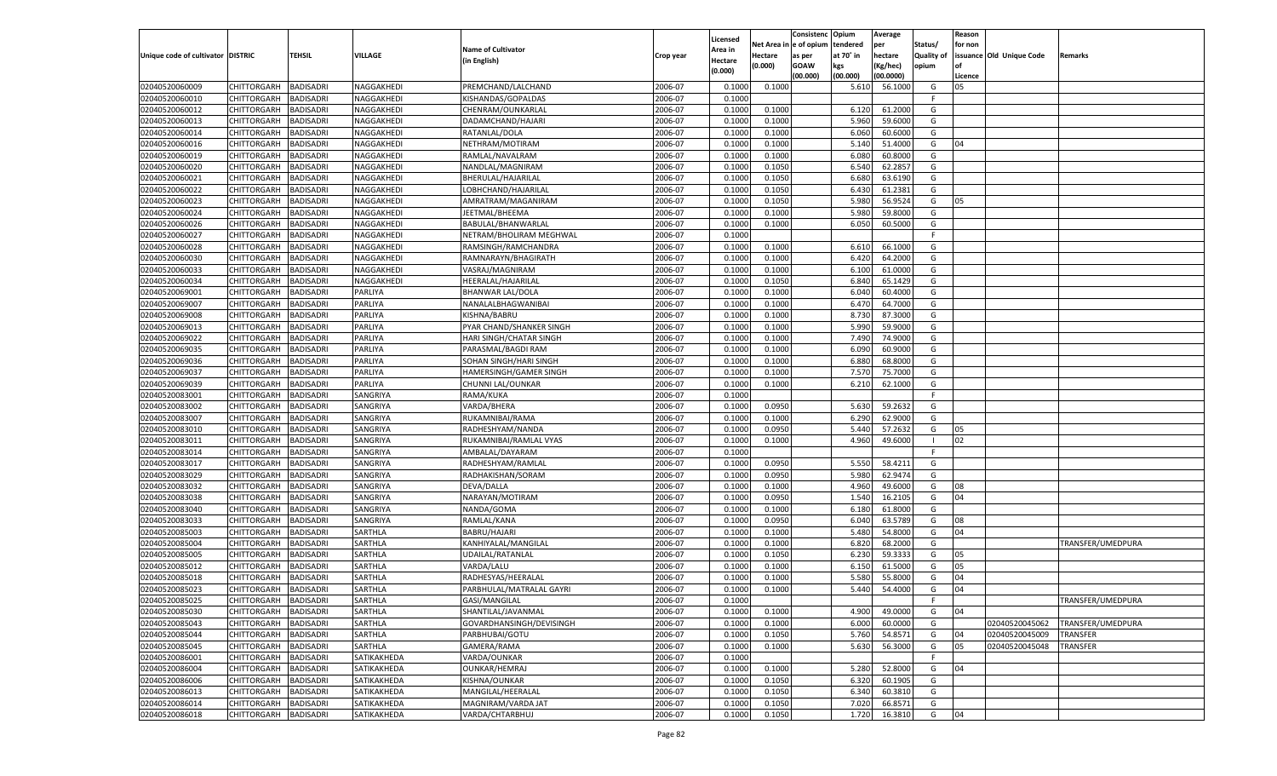|                                   |                       |                  |                |                           |           |          |            | Consistenc    | Opium     | Average   |                   | Reason  |                          |                   |
|-----------------------------------|-----------------------|------------------|----------------|---------------------------|-----------|----------|------------|---------------|-----------|-----------|-------------------|---------|--------------------------|-------------------|
|                                   |                       |                  |                |                           |           | Licensed | Net Area i | n  e of opium | tendered  | per       | Status/           | for non |                          |                   |
| Unique code of cultivator DISTRIC |                       | TEHSIL           | <b>VILLAGE</b> | <b>Name of Cultivator</b> | Crop year | Area in  | Hectare    | as per        | at 70° in | hectare   | <b>Quality of</b> |         | issuance Old Unique Code | Remarks           |
|                                   |                       |                  |                | (in English)              |           | Hectare  | (0.000)    | <b>GOAW</b>   | kgs       | (Kg/hec)  | opium             |         |                          |                   |
|                                   |                       |                  |                |                           |           | (0.000)  |            | (00.000)      | (00.000)  | (00.0000) |                   | Licence |                          |                   |
| 02040520060009                    | CHITTORGARH           | <b>BADISADRI</b> | NAGGAKHEDI     | PREMCHAND/LALCHAND        | 2006-07   | 0.1000   | 0.1000     |               | 5.610     | 56.1000   | G                 | 05      |                          |                   |
| 02040520060010                    | CHITTORGARH           | BADISADRI        | NAGGAKHEDI     | KISHANDAS/GOPALDAS        | 2006-07   | 0.1000   |            |               |           |           | E                 |         |                          |                   |
| 02040520060012                    | CHITTORGARH           | BADISADRI        | NAGGAKHEDI     | CHENRAM/OUNKARLAL         | 2006-07   | 0.1000   | 0.1000     |               | 6.120     | 61.2000   | G                 |         |                          |                   |
| 02040520060013                    | CHITTORGARH           | BADISADRI        | NAGGAKHEDI     | DADAMCHAND/HAJARI         | 2006-07   | 0.1000   | 0.1000     |               | 5.960     | 59.6000   | G                 |         |                          |                   |
| 02040520060014                    | CHITTORGARH           | BADISADRI        | NAGGAKHEDI     | RATANLAL/DOLA             | 2006-07   | 0.1000   | 0.1000     |               | 6.060     | 60.6000   | G                 |         |                          |                   |
| 02040520060016                    | CHITTORGARH           | BADISADRI        | NAGGAKHEDI     | NETHRAM/MOTIRAM           | 2006-07   | 0.1000   | 0.1000     |               | 5.140     | 51.4000   | G                 | 04      |                          |                   |
| 02040520060019                    | CHITTORGARH           | BADISADRI        | NAGGAKHEDI     | RAMLAL/NAVALRAM           | 2006-07   | 0.1000   | 0.1000     |               | 6.080     | 60.8000   | G                 |         |                          |                   |
| 02040520060020                    | CHITTORGARH           | BADISADRI        | NAGGAKHEDI     | NANDLAL/MAGNIRAM          | 2006-07   | 0.1000   | 0.1050     |               | 6.540     | 62.2857   | G                 |         |                          |                   |
| 02040520060021                    |                       |                  |                |                           |           |          |            |               |           |           |                   |         |                          |                   |
|                                   | CHITTORGARH           | BADISADRI        | NAGGAKHEDI     | BHERULAL/HAJARILAL        | 2006-07   | 0.1000   | 0.1050     |               | 6.680     | 63.6190   | G                 |         |                          |                   |
| 02040520060022                    | CHITTORGARH           | BADISADRI        | NAGGAKHEDI     | LOBHCHAND/HAJARILAL       | 2006-07   | 0.1000   | 0.1050     |               | 6.430     | 61.2381   | G                 |         |                          |                   |
| 02040520060023                    | CHITTORGARH           | BADISADRI        | NAGGAKHEDI     | AMRATRAM/MAGANIRAM        | 2006-07   | 0.1000   | 0.1050     |               | 5.980     | 56.9524   | G                 | 05      |                          |                   |
| 02040520060024                    | CHITTORGARH           | BADISADRI        | NAGGAKHEDI     | JEETMAL/BHEEMA            | 2006-07   | 0.1000   | 0.1000     |               | 5.980     | 59.8000   | G                 |         |                          |                   |
| 02040520060026                    | CHITTORGARH           | BADISADRI        | NAGGAKHEDI     | BABULAL/BHANWARLAL        | 2006-07   | 0.1000   | 0.1000     |               | 6.050     | 60.5000   | G                 |         |                          |                   |
| 02040520060027                    | CHITTORGARH           | BADISADRI        | NAGGAKHEDI     | NETRAM/BHOLIRAM MEGHWAL   | 2006-07   | 0.1000   |            |               |           |           | E                 |         |                          |                   |
| 02040520060028                    | CHITTORGARH           | <b>BADISADRI</b> | NAGGAKHEDI     | RAMSINGH/RAMCHANDRA       | 2006-07   | 0.1000   | 0.1000     |               | 6.610     | 66.1000   | G                 |         |                          |                   |
| 02040520060030                    | CHITTORGARH           | BADISADRI        | NAGGAKHEDI     | RAMNARAYN/BHAGIRATH       | 2006-07   | 0.1000   | 0.1000     |               | 6.420     | 64.2000   | G                 |         |                          |                   |
| 02040520060033                    | CHITTORGARH           | <b>BADISADRI</b> | NAGGAKHEDI     | VASRAJ/MAGNIRAM           | 2006-07   | 0.1000   | 0.1000     |               | 6.100     | 61.0000   | G                 |         |                          |                   |
| 02040520060034                    | CHITTORGARH           | BADISADRI        | NAGGAKHEDI     | HEERALAL/HAJARILAL        | 2006-07   | 0.1000   | 0.1050     |               | 6.840     | 65.1429   | G                 |         |                          |                   |
| 02040520069001                    | CHITTORGARH           | <b>BADISADRI</b> | PARLIYA        | <b>BHANWAR LAL/DOLA</b>   | 2006-07   | 0.1000   | 0.1000     |               | 6.040     | 60.4000   | G                 |         |                          |                   |
| 02040520069007                    | CHITTORGARH           | BADISADRI        | PARLIYA        | NANALALBHAGWANIBAI        | 2006-07   | 0.1000   | 0.1000     |               | 6.470     | 64.7000   | G                 |         |                          |                   |
| 02040520069008                    | CHITTORGARH           | <b>BADISADRI</b> | PARLIYA        | KISHNA/BABRU              | 2006-07   | 0.1000   | 0.1000     |               | 8.730     | 87.3000   | G                 |         |                          |                   |
| 02040520069013                    | CHITTORGARH           | BADISADRI        | PARLIYA        | PYAR CHAND/SHANKER SINGH  | 2006-07   | 0.1000   | 0.1000     |               | 5.990     | 59.9000   | G                 |         |                          |                   |
| 02040520069022                    | CHITTORGARH           | <b>BADISADRI</b> | PARLIYA        | HARI SINGH/CHATAR SINGH   | 2006-07   | 0.1000   | 0.1000     |               | 7.490     | 74.9000   | G                 |         |                          |                   |
| 02040520069035                    | CHITTORGARH           | BADISADRI        | PARLIYA        | PARASMAL/BAGDI RAM        | 2006-07   | 0.1000   | 0.1000     |               | 6.090     | 60.9000   | G                 |         |                          |                   |
| 02040520069036                    | CHITTORGARH           | <b>BADISADRI</b> | PARLIYA        | SOHAN SINGH/HARI SINGH    | 2006-07   | 0.1000   | 0.1000     |               | 6.880     | 68.8000   | G                 |         |                          |                   |
| 02040520069037                    | CHITTORGARH           | BADISADRI        | PARLIYA        | HAMERSINGH/GAMER SINGH    | 2006-07   | 0.1000   | 0.1000     |               | 7.570     | 75.7000   | G                 |         |                          |                   |
| 02040520069039                    | CHITTORGARH           | <b>BADISADRI</b> | PARLIYA        | CHUNNI LAL/OUNKAR         | 2006-07   | 0.1000   | 0.1000     |               | 6.210     | 62.1000   | G                 |         |                          |                   |
| 02040520083001                    | CHITTORGARH           | BADISADRI        | SANGRIYA       | RAMA/KUKA                 | 2006-07   | 0.1000   |            |               |           |           | F.                |         |                          |                   |
| 02040520083002                    | CHITTORGARH           | <b>BADISADRI</b> | SANGRIYA       | VARDA/BHERA               | 2006-07   | 0.1000   | 0.0950     |               | 5.630     | 59.2632   | G                 |         |                          |                   |
|                                   |                       |                  |                |                           |           |          |            |               |           |           |                   |         |                          |                   |
| 02040520083007                    | CHITTORGARH           | <b>BADISADRI</b> | SANGRIYA       | RUKAMNIBAI/RAMA           | 2006-07   | 0.1000   | 0.1000     |               | 6.290     | 62.9000   | G                 |         |                          |                   |
| 02040520083010                    | CHITTORGARH           | <b>BADISADRI</b> | SANGRIYA       | RADHESHYAM/NANDA          | 2006-07   | 0.1000   | 0.0950     |               | 5.440     | 57.2632   | G                 | 05      |                          |                   |
| 02040520083011                    | CHITTORGARH           | <b>BADISADRI</b> | SANGRIYA       | RUKAMNIBAI/RAMLAL VYAS    | 2006-07   | 0.1000   | 0.1000     |               | 4.960     | 49.6000   | - 1               | 02      |                          |                   |
| 02040520083014                    | CHITTORGARH           | <b>BADISADRI</b> | SANGRIYA       | AMBALAL/DAYARAM           | 2006-07   | 0.1000   |            |               |           |           | F.                |         |                          |                   |
| 02040520083017                    | CHITTORGARH           | BADISADRI        | SANGRIYA       | RADHESHYAM/RAMLAL         | 2006-07   | 0.1000   | 0.0950     |               | 5.550     | 58.4211   | G                 |         |                          |                   |
| 02040520083029                    | CHITTORGARH           | <b>BADISADRI</b> | SANGRIYA       | RADHAKISHAN/SORAM         | 2006-07   | 0.1000   | 0.0950     |               | 5.980     | 62.9474   | G                 |         |                          |                   |
| 02040520083032                    | CHITTORGARH           | <b>BADISADRI</b> | SANGRIYA       | DEVA/DALLA                | 2006-07   | 0.1000   | 0.1000     |               | 4.960     | 49.6000   | G                 | 08      |                          |                   |
| 02040520083038                    | CHITTORGARH           | <b>BADISADRI</b> | SANGRIYA       | NARAYAN/MOTIRAM           | 2006-07   | 0.1000   | 0.0950     |               | 1.540     | 16.2105   | G                 | 04      |                          |                   |
| 02040520083040                    | CHITTORGARH           | <b>BADISADRI</b> | SANGRIYA       | NANDA/GOMA                | 2006-07   | 0.1000   | 0.1000     |               | 6.180     | 61.8000   | G                 |         |                          |                   |
| 02040520083033                    | CHITTORGARH           | <b>BADISADRI</b> | SANGRIYA       | RAMLAL/KANA               | 2006-07   | 0.1000   | 0.0950     |               | 6.040     | 63.5789   | G                 | 08      |                          |                   |
| 02040520085003                    | CHITTORGARH           | <b>BADISADRI</b> | SARTHLA        | BABRU/HAJARI              | 2006-07   | 0.1000   | 0.1000     |               | 5.480     | 54.8000   | G                 | 04      |                          |                   |
| 02040520085004                    | CHITTORGARH           | <b>BADISADRI</b> | SARTHLA        | KANHIYALAL/MANGILAL       | 2006-07   | 0.1000   | 0.1000     |               | 6.820     | 68.2000   | G                 |         |                          | TRANSFER/UMEDPURA |
| 02040520085005                    | CHITTORGARH           | BADISADRI        | SARTHLA        | UDAILAL/RATANLAL          | 2006-07   | 0.1000   | 0.1050     |               | 6.23      | 59.3333   | G                 | 05      |                          |                   |
| 02040520085012                    | CHITTORGARH           | BADISADRI        | SARTHLA        | VARDA/LALU                | 2006-07   | 0.1000   | 0.1000     |               | 6.150     | 61.5000   | G                 | 05      |                          |                   |
| 02040520085018                    | CHITTORGARH           | BADISADRI        | SARTHLA        | RADHESYAS/HEERALAL        | 2006-07   | 0.1000   | 0.1000     |               | 5.580     | 55.8000   | G                 | 04      |                          |                   |
| 02040520085023                    | CHITTORGARH           | <b>BADISADRI</b> | SARTHLA        | PARBHULAL/MATRALAL GAYRI  | 2006-07   | 0.1000   | 0.1000     |               | 5.440     | 54.4000   | G                 | 04      |                          |                   |
| 02040520085025                    | CHITTORGARH BADISADRI |                  | SARTHLA        | GASI/MANGILAL             | 2006-07   | 0.1000   |            |               |           |           |                   |         |                          | TRANSFER/UMEDPURA |
| 02040520085030                    | <b>CHITTORGARH</b>    | <b>BADISADRI</b> | SARTHLA        | SHANTILAL/JAVANMAL        | 2006-07   | 0.1000   | 0.1000     |               | 4.900     | 49.0000   | G                 | 04      |                          |                   |
| 02040520085043                    | CHITTORGARH           | <b>BADISADRI</b> | SARTHLA        | GOVARDHANSINGH/DEVISINGH  | 2006-07   | 0.1000   | 0.1000     |               | 6.000     | 60.0000   | G                 |         | 02040520045062           | TRANSFER/UMEDPURA |
| 02040520085044                    | CHITTORGARH           | <b>BADISADRI</b> | SARTHLA        | PARBHUBAI/GOTU            | 2006-07   | 0.1000   | 0.1050     |               | 5.760     | 54.8571   | G                 | 04      | 02040520045009           | TRANSFER          |
| 02040520085045                    | <b>CHITTORGARH</b>    | <b>BADISADRI</b> | SARTHLA        | GAMERA/RAMA               | 2006-07   | 0.1000   | 0.1000     |               | 5.630     | 56.3000   | G                 | 05      | 02040520045048           | TRANSFER          |
| 02040520086001                    | CHITTORGARH           | <b>BADISADRI</b> | SATIKAKHEDA    | VARDA/OUNKAR              | 2006-07   | 0.1000   |            |               |           |           | F                 |         |                          |                   |
| 02040520086004                    |                       |                  |                | <b>OUNKAR/HEMRAJ</b>      |           |          |            |               |           |           |                   |         |                          |                   |
|                                   | CHITTORGARH           | <b>BADISADRI</b> | SATIKAKHEDA    |                           | 2006-07   | 0.1000   | 0.1000     |               | 5.280     | 52.8000   | G                 | 04      |                          |                   |
| 02040520086006                    | CHITTORGARH           | <b>BADISADRI</b> | SATIKAKHEDA    | KISHNA/OUNKAR             | 2006-07   | 0.1000   | 0.1050     |               | 6.320     | 60.1905   | G                 |         |                          |                   |
| 02040520086013                    | CHITTORGARH           | <b>BADISADRI</b> | SATIKAKHEDA    | MANGILAL/HEERALAL         | 2006-07   | 0.1000   | 0.1050     |               | 6.340     | 60.3810   | G                 |         |                          |                   |
| 02040520086014                    | CHITTORGARH           | <b>BADISADRI</b> | SATIKAKHEDA    | MAGNIRAM/VARDA JAT        | 2006-07   | 0.1000   | 0.1050     |               | 7.020     | 66.8571   | G                 |         |                          |                   |
| 02040520086018                    | CHITTORGARH           | <b>BADISADRI</b> | SATIKAKHEDA    | VARDA/CHTARBHUJ           | 2006-07   | 0.1000   | 0.1050     |               | 1.720     | 16.3810   | G                 | 04      |                          |                   |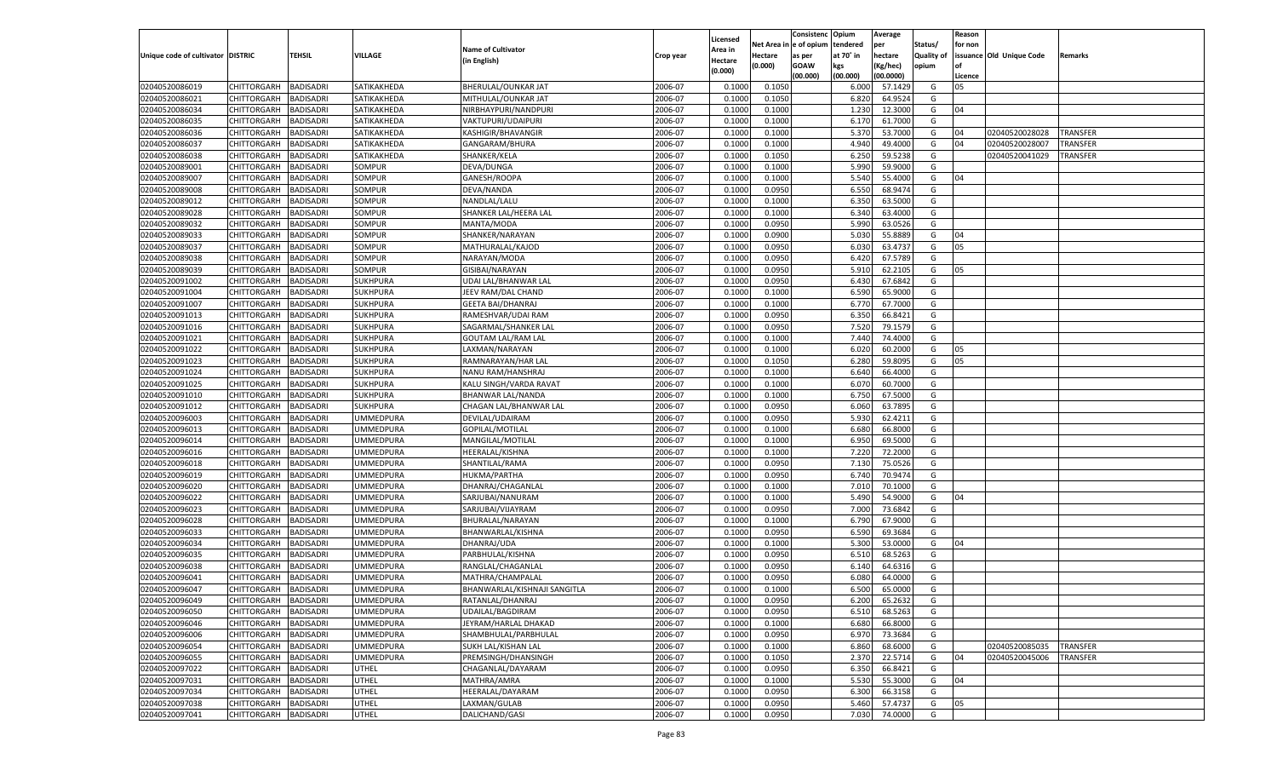|                                   |                       |                  |                  |                              |           |                    |            | Consistenc    | Opium     | Average   |                   | Reason  |                          |                 |
|-----------------------------------|-----------------------|------------------|------------------|------------------------------|-----------|--------------------|------------|---------------|-----------|-----------|-------------------|---------|--------------------------|-----------------|
|                                   |                       |                  |                  |                              |           | Licensed           | Net Area i | n  e of opium | tendered  | per       | Status/           | for non |                          |                 |
| Unique code of cultivator DISTRIC |                       | TEHSIL           | VILLAGE          | <b>Name of Cultivator</b>    | Crop year | Area in            | Hectare    | as per        | at 70° in | hectare   | <b>Quality of</b> |         | issuance Old Unique Code | Remarks         |
|                                   |                       |                  |                  | (in English)                 |           | Hectare<br>(0.000) | (0.000)    | <b>GOAW</b>   | kgs       | (Kg/hec)  | opium             |         |                          |                 |
|                                   |                       |                  |                  |                              |           |                    |            | (00.000)      | (00.000)  | (00.0000) |                   | Licence |                          |                 |
| 02040520086019                    | CHITTORGARH           | <b>BADISADRI</b> | SATIKAKHEDA      | BHERULAL/OUNKAR JAT          | 2006-07   | 0.1000             | 0.1050     |               | 6.000     | 57.1429   | G                 | 05      |                          |                 |
| 02040520086021                    | CHITTORGARH           | BADISADRI        | SATIKAKHEDA      | MITHULAL/OUNKAR JAT          | 2006-07   | 0.1000             | 0.1050     |               | 6.820     | 64.9524   | G                 |         |                          |                 |
| 02040520086034                    | CHITTORGARH           | BADISADRI        | SATIKAKHEDA      | NIRBHAYPURI/NANDPURI         | 2006-07   | 0.1000             | 0.1000     |               | 1.230     | 12.3000   | G                 | 04      |                          |                 |
| 02040520086035                    | CHITTORGARH           | BADISADRI        | SATIKAKHEDA      | VAKTUPURI/UDAIPURI           | 2006-07   | 0.1000             | 0.1000     |               | 6.170     | 61.7000   | G                 |         |                          |                 |
| 02040520086036                    | CHITTORGARH           | BADISADRI        | SATIKAKHEDA      | <b>KASHIGIR/BHAVANGIR</b>    | 2006-07   | 0.1000             | 0.1000     |               | 5.370     | 53.7000   | G                 | 04      | 02040520028028           | TRANSFER        |
| 02040520086037                    | CHITTORGARH           | BADISADRI        | SATIKAKHEDA      | GANGARAM/BHURA               | 2006-07   | 0.1000             | 0.1000     |               | 4.940     | 49.4000   | G                 | 04      | 02040520028007           | TRANSFER        |
| 02040520086038                    | CHITTORGARH           | BADISADRI        | SATIKAKHEDA      | SHANKER/KELA                 | 2006-07   | 0.1000             | 0.1050     |               | 6.250     | 59.5238   | G                 |         | 02040520041029           | TRANSFER        |
| 02040520089001                    | CHITTORGARH           | BADISADRI        | SOMPUR           | DEVA/DUNGA                   | 2006-07   | 0.1000             | 0.1000     |               | 5.990     | 59.9000   | G                 |         |                          |                 |
| 02040520089007                    | CHITTORGARH           | BADISADRI        | SOMPUR           | GANESH/ROOPA                 | 2006-07   | 0.1000             | 0.1000     |               | 5.540     | 55.4000   | G                 | 04      |                          |                 |
| 02040520089008                    | CHITTORGARH           | BADISADRI        | SOMPUR           | DEVA/NANDA                   | 2006-07   | 0.1000             | 0.0950     |               | 6.550     | 68.9474   | G                 |         |                          |                 |
| 02040520089012                    | CHITTORGARH           | BADISADRI        | SOMPUR           | NANDLAL/LALU                 | 2006-07   | 0.1000             | 0.1000     |               | 6.350     | 63.5000   | G                 |         |                          |                 |
| 02040520089028                    | CHITTORGARH           | BADISADRI        | SOMPUR           | SHANKER LAL/HEERA LAL        | 2006-07   | 0.1000             | 0.1000     |               | 6.340     | 63.4000   | G                 |         |                          |                 |
| 02040520089032                    | CHITTORGARH           | BADISADRI        | SOMPUR           | MANTA/MODA                   | 2006-07   | 0.1000             | 0.0950     |               | 5.990     | 63.0526   | G                 |         |                          |                 |
| 02040520089033                    | CHITTORGARH           | BADISADRI        | SOMPUR           | SHANKER/NARAYAN              | 2006-07   | 0.1000             | 0.0900     |               | 5.030     | 55.8889   | G                 | 04      |                          |                 |
| 02040520089037                    | CHITTORGARH           | <b>BADISADRI</b> | SOMPUR           | MATHURALAL/KAJOD             | 2006-07   | 0.1000             | 0.0950     |               | 6.030     | 63.4737   | G                 | 05      |                          |                 |
| 02040520089038                    | CHITTORGARH           | BADISADRI        | SOMPUR           | NARAYAN/MODA                 | 2006-07   | 0.1000             | 0.0950     |               | 6.420     | 67.5789   | G                 |         |                          |                 |
| 02040520089039                    | CHITTORGARH           | <b>BADISADRI</b> | SOMPUR           | GISIBAI/NARAYAN              | 2006-07   | 0.1000             | 0.0950     |               | 5.910     | 62.2105   | G                 | 05      |                          |                 |
| 02040520091002                    | CHITTORGARH           | BADISADRI        | SUKHPURA         | UDAI LAL/BHANWAR LAI         | 2006-07   | 0.1000             | 0.0950     |               | 6.430     | 67.6842   | G                 |         |                          |                 |
| 02040520091004                    | CHITTORGARH           | <b>BADISADRI</b> | SUKHPURA         | JEEV RAM/DAL CHAND           | 2006-07   | 0.1000             | 0.1000     |               | 6.590     | 65.9000   | G                 |         |                          |                 |
| 02040520091007                    | CHITTORGARH           | BADISADRI        | SUKHPURA         | <b>GEETA BAI/DHANRAJ</b>     | 2006-07   | 0.1000             | 0.1000     |               | 6.770     | 67.7000   | G                 |         |                          |                 |
| 02040520091013                    | CHITTORGARH           | <b>BADISADRI</b> | <b>SUKHPURA</b>  | RAMESHVAR/UDAI RAM           | 2006-07   | 0.1000             | 0.0950     |               | 6.350     | 66.8421   | G                 |         |                          |                 |
| 02040520091016                    | CHITTORGARH           | BADISADRI        | SUKHPURA         | SAGARMAL/SHANKER LAL         | 2006-07   | 0.1000             | 0.0950     |               | 7.520     | 79.1579   | G                 |         |                          |                 |
| 02040520091021                    | CHITTORGARH           | <b>BADISADRI</b> | <b>SUKHPURA</b>  | <b>GOUTAM LAL/RAM LAL</b>    | 2006-07   | 0.1000             | 0.1000     |               | 7.440     | 74.4000   | G                 |         |                          |                 |
| 02040520091022                    | CHITTORGARH           | BADISADRI        | <b>SUKHPURA</b>  | LAXMAN/NARAYAN               | 2006-07   | 0.1000             | 0.1000     |               | 6.020     | 60.2000   | G                 | 05      |                          |                 |
| 02040520091023                    | CHITTORGARH           | <b>BADISADRI</b> | SUKHPURA         | RAMNARAYAN/HAR LAL           | 2006-07   | 0.1000             | 0.1050     |               | 6.280     | 59.8095   | G                 | 05      |                          |                 |
| 02040520091024                    | CHITTORGARH           | BADISADRI        | SUKHPURA         | NANU RAM/HANSHRAJ            | 2006-07   | 0.1000             | 0.1000     |               | 6.640     | 66.4000   | G                 |         |                          |                 |
| 02040520091025                    | CHITTORGARH           | <b>BADISADRI</b> | SUKHPURA         | KALU SINGH/VARDA RAVAT       | 2006-07   | 0.1000             | 0.1000     |               | 6.070     | 60.7000   | G                 |         |                          |                 |
| 02040520091010                    | CHITTORGARH           | BADISADRI        | <b>SUKHPURA</b>  | BHANWAR LAL/NANDA            | 2006-07   | 0.1000             | 0.1000     |               | 6.750     | 67.5000   | G                 |         |                          |                 |
| 02040520091012                    | CHITTORGARH           | <b>BADISADRI</b> | <b>SUKHPURA</b>  | CHAGAN LAL/BHANWAR LAL       | 2006-07   | 0.1000             | 0.0950     |               | 6.060     | 63.7895   | G                 |         |                          |                 |
| 02040520096003                    | CHITTORGARH           | BADISADRI        | <b>UMMEDPURA</b> | DEVILAL/UDAIRAM              | 2006-07   | 0.1000             | 0.0950     |               | 5.930     | 62.4211   | G                 |         |                          |                 |
| 02040520096013                    | CHITTORGARH           | <b>BADISADRI</b> | UMMEDPURA        | GOPILAL/MOTILAL              | 2006-07   | 0.1000             | 0.1000     |               | 6.680     | 66.8000   | G                 |         |                          |                 |
| 02040520096014                    | CHITTORGARH           | <b>BADISADRI</b> | <b>UMMEDPURA</b> | MANGILAL/MOTILAI             | 2006-07   | 0.1000             | 0.1000     |               | 6.950     | 69.5000   | G                 |         |                          |                 |
| 02040520096016                    | CHITTORGARH           | <b>BADISADRI</b> | UMMEDPURA        | HEERALAL/KISHNA              | 2006-07   | 0.1000             | 0.1000     |               | 7.220     | 72.2000   | G                 |         |                          |                 |
| 02040520096018                    | CHITTORGARH           | BADISADRI        | <b>UMMEDPURA</b> | SHANTILAL/RAMA               | 2006-07   | 0.1000             | 0.0950     |               | 7.13(     | 75.0526   | G                 |         |                          |                 |
| 02040520096019                    | CHITTORGARH           | <b>BADISADRI</b> | <b>UMMEDPURA</b> | HUKMA/PARTHA                 | 2006-07   | 0.1000             | 0.0950     |               | 6.740     | 70.9474   | G                 |         |                          |                 |
| 02040520096020                    | CHITTORGARH           | <b>BADISADRI</b> | <b>UMMEDPURA</b> | DHANRAJ/CHAGANLAL            | 2006-07   | 0.1000             | 0.1000     |               | 7.010     | 70.1000   | G                 |         |                          |                 |
| 02040520096022                    | CHITTORGARH           | <b>BADISADRI</b> | UMMEDPURA        | SARJUBAI/NANURAM             | 2006-07   | 0.1000             | 0.1000     |               | 5.490     | 54.9000   | G                 | 04      |                          |                 |
| 02040520096023                    | CHITTORGARH           | BADISADRI        | <b>UMMEDPURA</b> | SARJUBAI/VIJAYRAM            | 2006-07   | 0.1000             | 0.0950     |               | 7.000     | 73.6842   | G                 |         |                          |                 |
| 02040520096028                    | CHITTORGARH           | <b>BADISADRI</b> | <b>UMMEDPURA</b> | BHURALAL/NARAYAN             | 2006-07   | 0.1000             | 0.1000     |               | 6.790     | 67.9000   | G                 |         |                          |                 |
| 02040520096033                    | CHITTORGARH           | <b>BADISADRI</b> | <b>UMMEDPURA</b> | BHANWARLAL/KISHNA            | 2006-07   | 0.1000             | 0.0950     |               | 6.590     | 69.3684   | G                 |         |                          |                 |
| 02040520096034                    | CHITTORGARH           | <b>BADISADRI</b> | <b>UMMEDPURA</b> | DHANRAJ/UDA                  | 2006-07   | 0.1000             | 0.1000     |               | 5.300     | 53.0000   | G                 | 04      |                          |                 |
| 02040520096035                    | CHITTORGARH           | BADISADRI        | <b>UMMEDPURA</b> | PARBHULAL/KISHNA             | 2006-07   | 0.1000             | 0.0950     |               | 6.510     | 68.5263   | G                 |         |                          |                 |
| 02040520096038                    | CHITTORGARH           | BADISADRI        | UMMEDPURA        | RANGLAL/CHAGANLAL            | 2006-07   | 0.1000             | 0.0950     |               | 6.140     | 64.6316   | G                 |         |                          |                 |
| 02040520096041                    | CHITTORGARH           | BADISADRI        | <b>UMMEDPURA</b> | MATHRA/CHAMPALAL             | 2006-07   | 0.1000             | 0.0950     |               | 6.080     | 64.0000   | G                 |         |                          |                 |
| 02040520096047                    | CHITTORGARH           | <b>BADISADRI</b> | <b>UMMEDPURA</b> | BHANWARLAL/KISHNAJI SANGITLA | 2006-07   | 0.1000             | 0.1000     |               | 6.500     | 65.0000   | G                 |         |                          |                 |
| 02040520096049                    | CHITTORGARH BADISADRI |                  | <b>UMMEDPURA</b> | RATANLAL/DHANRAJ             | 2006-07   | 0.1000             | 0.0950     |               | 6.200     | 65.2632   | G                 |         |                          |                 |
| 02040520096050                    | <b>CHITTORGARH</b>    | <b>BADISADRI</b> | <b>UMMEDPURA</b> | UDAILAL/BAGDIRAM             | 2006-07   | 0.1000             | 0.0950     |               | 6.510     | 68.5263   | G                 |         |                          |                 |
| 02040520096046                    | <b>CHITTORGARH</b>    | <b>BADISADRI</b> | <b>UMMEDPURA</b> | JEYRAM/HARLAL DHAKAD         | 2006-07   |                    | 0.1000     |               | 6.680     | 66.8000   | G                 |         |                          |                 |
|                                   |                       |                  |                  |                              | 2006-07   | 0.1000             |            |               |           | 73.3684   |                   |         |                          |                 |
| 02040520096006                    | CHITTORGARH           | <b>BADISADRI</b> | <b>UMMEDPURA</b> | SHAMBHULAL/PARBHULAL         |           | 0.1000             | 0.0950     |               | 6.970     |           | G                 |         |                          |                 |
| 02040520096054                    | CHITTORGARH           | <b>BADISADRI</b> | <b>UMMEDPURA</b> | SUKH LAL/KISHAN LAL          | 2006-07   | 0.1000             | 0.1000     |               | 6.860     | 68.6000   | G                 |         | 02040520085035           | <b>TRANSFER</b> |
| 02040520096055                    | <b>CHITTORGARH</b>    | <b>BADISADRI</b> | <b>UMMEDPURA</b> | PREMSINGH/DHANSINGH          | 2006-07   | 0.1000             | 0.1050     |               | 2.370     | 22.5714   | G                 | 04      | 02040520045006           | TRANSFER        |
| 02040520097022                    | CHITTORGARH           | <b>BADISADRI</b> | UTHEL            | CHAGANLAL/DAYARAM            | 2006-07   | 0.1000             | 0.0950     |               | 6.350     | 66.8421   | G                 |         |                          |                 |
| 02040520097031                    | CHITTORGARH           | <b>BADISADRI</b> | UTHEL            | MATHRA/AMRA                  | 2006-07   | 0.1000             | 0.1000     |               | 5.530     | 55.3000   | G                 | 04      |                          |                 |
| 02040520097034                    | CHITTORGARH           | <b>BADISADRI</b> | UTHEL            | HEERALAL/DAYARAM             | 2006-07   | 0.1000             | 0.0950     |               | 6.300     | 66.3158   | G                 |         |                          |                 |
| 02040520097038                    | <b>CHITTORGARH</b>    | <b>BADISADRI</b> | UTHEL            | LAXMAN/GULAB                 | 2006-07   | 0.1000             | 0.0950     |               | 5.460     | 57.4737   | G                 | 05      |                          |                 |
| 02040520097041                    | <b>CHITTORGARH</b>    | <b>BADISADRI</b> | UTHEL            | DALICHAND/GASI               | 2006-07   | 0.1000             | 0.0950     |               | 7.030     | 74.0000   | G                 |         |                          |                 |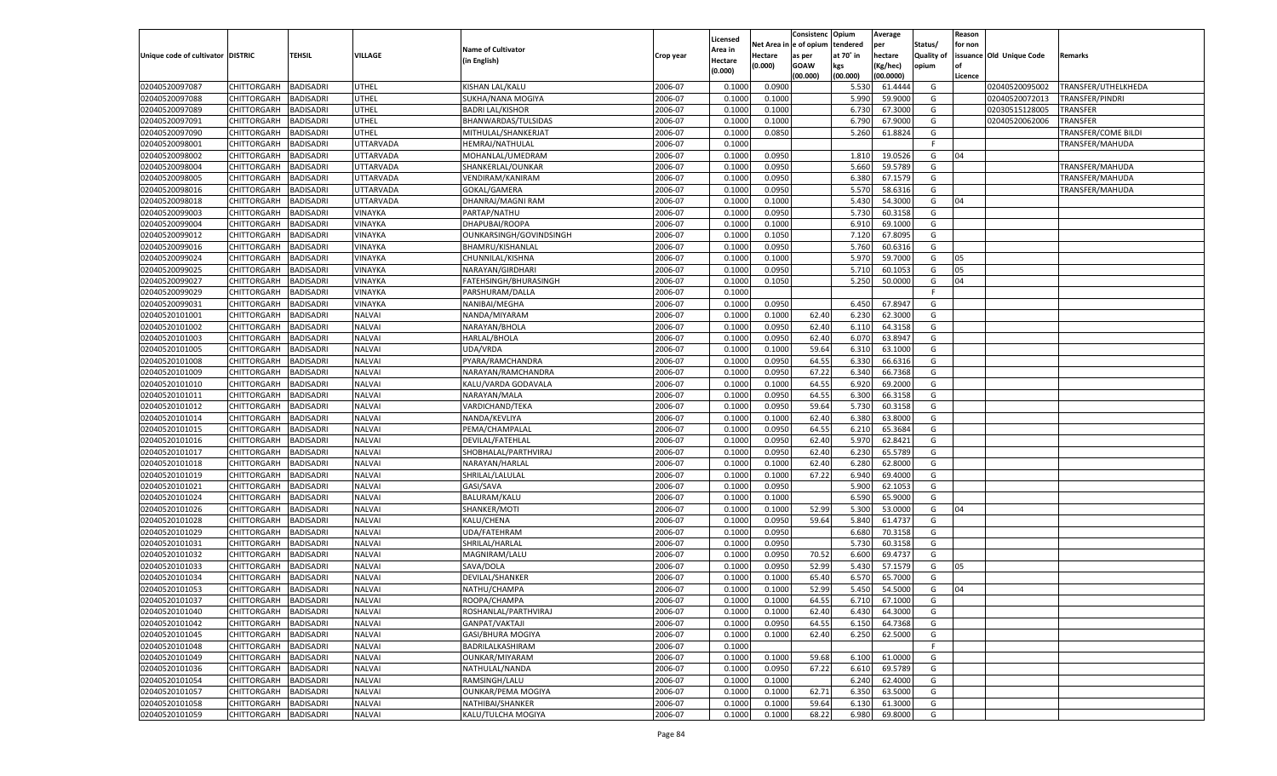|                                   |                       |                  |               |                           |           |                           |          | Consistenc  | Opium     | Average            |                   | Reason  |                          |                     |
|-----------------------------------|-----------------------|------------------|---------------|---------------------------|-----------|---------------------------|----------|-------------|-----------|--------------------|-------------------|---------|--------------------------|---------------------|
|                                   |                       |                  |               | <b>Name of Cultivator</b> |           | Licensed                  | Net Area | e of opium  | tendered  | per                | Status/           | for non |                          |                     |
| Unique code of cultivator DISTRIC |                       | <b>TEHSIL</b>    | VILLAGE       | (in English)              | Crop year | <b>Area in</b><br>Hectare | Hectare  | as per      | at 70° in | hectare            | <b>Quality of</b> |         | issuance Old Unique Code | Remarks             |
|                                   |                       |                  |               |                           |           | (0.000)                   | (0.000)  | <b>GOAW</b> | kgs       | (Kg/hec)           | opium             |         |                          |                     |
|                                   |                       |                  |               |                           |           |                           |          | (00.000)    | (00.000)  | (00.0000)          |                   | Licence |                          |                     |
| 02040520097087                    | CHITTORGARH           | <b>BADISADRI</b> | UTHEL         | KISHAN LAL/KALU           | 2006-07   | 0.1000                    | 0.0900   |             | 5.530     | 61.4444            | G                 |         | 02040520095002           | TRANSFER/UTHELKHEDA |
| 02040520097088                    | CHITTORGARH           | BADISADRI        | UTHEL         | SUKHA/NANA MOGIYA         | 2006-07   | 0.1000                    | 0.1000   |             | 5.990     | 59.9000            | G                 |         | 02040520072013           | TRANSFER/PINDRI     |
| 02040520097089                    | CHITTORGARH           | BADISADRI        | UTHEL         | <b>BADRI LAL/KISHOR</b>   | 2006-07   | 0.1000                    | 0.1000   |             | 6.73      | 67.3000            | G                 |         | 02030515128005           | TRANSFER            |
| 02040520097091                    | CHITTORGARH           | BADISADRI        | UTHEL         | BHANWARDAS/TULSIDAS       | 2006-07   | 0.1000                    | 0.1000   |             | 6.790     | 67.9000            | G                 |         | 02040520062006           | TRANSFER            |
| 02040520097090                    | CHITTORGARH           | BADISADRI        | UTHEL         | MITHULAL/SHANKERJAT       | 2006-07   | 0.1000                    | 0.0850   |             | 5.260     | 61.8824            | G                 |         |                          | TRANSFER/COME BILDI |
| 02040520098001                    | CHITTORGARH           | BADISADRI        | UTTARVADA     | HEMRAJ/NATHULAL           | 2006-07   | 0.1000                    |          |             |           |                    | F.                |         |                          | TRANSFER/MAHUDA     |
| 02040520098002                    | CHITTORGARH           | BADISADRI        | UTTARVADA     | MOHANLAL/UMEDRAM          | 2006-07   | 0.1000                    | 0.0950   |             | 1.810     | 19.0526            | G                 | 04      |                          |                     |
| 02040520098004                    | CHITTORGARH           | BADISADRI        | UTTARVADA     | SHANKERLAL/OUNKAR         | 2006-07   | 0.1000                    | 0.0950   |             | 5.660     | 59.5789            | G                 |         |                          | TRANSFER/MAHUDA     |
| 02040520098005                    | CHITTORGARH           | BADISADRI        | UTTARVADA     | VENDIRAM/KANIRAM          | 2006-07   | 0.1000                    | 0.0950   |             | 6.380     | 67.1579            | G                 |         |                          | TRANSFER/MAHUDA     |
| 02040520098016                    | CHITTORGARH           | BADISADRI        | UTTARVADA     | GOKAL/GAMERA              | 2006-07   | 0.1000                    | 0.0950   |             | 5.570     | 58.6316            | G                 |         |                          | TRANSFER/MAHUDA     |
| 02040520098018                    | CHITTORGARH           | BADISADRI        | UTTARVADA     | DHANRAJ/MAGNI RAM         | 2006-07   | 0.1000                    | 0.1000   |             | 5.430     | 54.3000            | G                 | 04      |                          |                     |
| 02040520099003                    | CHITTORGARH           | BADISADRI        | VINAYKA       | PARTAP/NATHU              | 2006-07   | 0.1000                    | 0.0950   |             | 5.730     | 60.3158            | G                 |         |                          |                     |
| 02040520099004                    | CHITTORGARH           | <b>BADISADRI</b> | VINAYKA       | DHAPUBAI/ROOPA            | 2006-07   | 0.1000                    | 0.1000   |             | 6.910     | 69.1000            | G                 |         |                          |                     |
| 02040520099012                    | CHITTORGARH           | BADISADRI        | VINAYKA       | OUNKARSINGH/GOVINDSINGH   | 2006-07   | 0.1000                    | 0.1050   |             | 7.120     | 67.8095            | G                 |         |                          |                     |
| 02040520099016                    | CHITTORGARH           | <b>BADISADRI</b> | VINAYKA       | BHAMRU/KISHANLAL          | 2006-07   | 0.1000                    | 0.0950   |             | 5.760     | 60.6316            | G                 |         |                          |                     |
| 02040520099024                    | CHITTORGARH           | BADISADRI        | VINAYKA       | CHUNNILAL/KISHNA          | 2006-07   | 0.1000                    | 0.1000   |             | 5.970     | 59.7000            | G                 | 05      |                          |                     |
| 02040520099025                    | CHITTORGARH           | <b>BADISADRI</b> | VINAYKA       | NARAYAN/GIRDHARI          | 2006-07   | 0.1000                    | 0.0950   |             | 5.710     | 60.1053            | G                 | 05      |                          |                     |
| 02040520099027                    | CHITTORGARH           | BADISADRI        | VINAYKA       | FATEHSINGH/BHURASINGH     | 2006-07   | 0.1000                    | 0.1050   |             | 5.250     | 50.0000            | G                 | 04      |                          |                     |
| 02040520099029                    | CHITTORGARH           | <b>BADISADRI</b> | VINAYKA       | PARSHURAM/DALLA           | 2006-07   | 0.1000                    |          |             |           |                    | F.                |         |                          |                     |
| 02040520099031                    | CHITTORGARH           | BADISADRI        | VINAYKA       | NANIBAI/MEGHA             | 2006-07   | 0.1000                    | 0.0950   |             | 6.450     | 67.8947            | G                 |         |                          |                     |
| 02040520101001                    | CHITTORGARH           | <b>BADISADRI</b> | NALVAI        | NANDA/MIYARAM             | 2006-07   | 0.1000                    | 0.1000   | 62.40       | 6.230     | 62.3000            | G                 |         |                          |                     |
| 02040520101002                    | CHITTORGARH           | BADISADRI        | NALVAI        | NARAYAN/BHOLA             | 2006-07   | 0.1000                    | 0.0950   | 62.40       | 6.110     | 64.3158            | G                 |         |                          |                     |
| 02040520101003                    | CHITTORGARH           | <b>BADISADRI</b> | <b>NALVAI</b> | <b>HARLAL/BHOLA</b>       | 2006-07   | 0.1000                    | 0.0950   | 62.40       | 6.070     | 63.8947            | G                 |         |                          |                     |
| 02040520101005                    | CHITTORGARH           | BADISADRI        | NALVAI        | UDA/VRDA                  | 2006-07   | 0.1000                    | 0.1000   | 59.64       | 6.310     | 63.1000            | G                 |         |                          |                     |
| 02040520101008                    | CHITTORGARH           | BADISADRI        | <b>NALVAI</b> | PYARA/RAMCHANDRA          | 2006-07   | 0.1000                    | 0.0950   | 64.55       | 6.330     | 66.6316            | G                 |         |                          |                     |
| 02040520101009                    | CHITTORGARH           | BADISADRI        | NALVAI        | NARAYAN/RAMCHANDRA        | 2006-07   | 0.1000                    | 0.0950   | 67.22       | 6.340     | 66.7368            | G                 |         |                          |                     |
| 02040520101010                    | CHITTORGARH           | <b>BADISADRI</b> | <b>NALVAI</b> | KALU/VARDA GODAVALA       | 2006-07   | 0.1000                    | 0.1000   | 64.55       | 6.920     | 69.2000            | G                 |         |                          |                     |
| 02040520101011                    | CHITTORGARH           | BADISADRI        | NALVAI        | NARAYAN/MALA              | 2006-07   | 0.1000                    | 0.0950   | 64.55       | 6.300     | 66.3158            | G                 |         |                          |                     |
| 02040520101012                    | CHITTORGARH           | BADISADRI        | <b>NALVAI</b> | VARDICHAND/TEKA           | 2006-07   | 0.1000                    | 0.0950   | 59.64       | 5.730     | 60.3158            | G                 |         |                          |                     |
| 02040520101014                    | CHITTORGARH           | BADISADRI        | <b>NALVAI</b> | NANDA/KEVLIYA             | 2006-07   | 0.1000                    | 0.1000   | 62.40       | 6.380     | 63.8000            | G                 |         |                          |                     |
| 02040520101015                    | CHITTORGARH           | <b>BADISADRI</b> | NALVAI        | PEMA/CHAMPALAL            | 2006-07   | 0.1000                    | 0.0950   | 64.55       | 6.210     | 65.3684            | G                 |         |                          |                     |
| 02040520101016                    | CHITTORGARH           | BADISADRI        | <b>NALVAI</b> | DEVILAL/FATEHLAL          | 2006-07   | 0.1000                    | 0.0950   | 62.40       | 5.970     | 62.8421            | G                 |         |                          |                     |
| 02040520101017                    | <b>CHITTORGARH</b>    | <b>BADISADRI</b> | <b>NALVAI</b> | SHOBHALAL/PARTHVIRAJ      | 2006-07   | 0.1000                    | 0.0950   | 62.40       | 6.230     | 65.5789            | G                 |         |                          |                     |
| 02040520101018                    | CHITTORGARH           | BADISADRI        | NALVAI        | NARAYAN/HARLAL            | 2006-07   | 0.1000                    | 0.1000   | 62.40       | 6.280     | 62.8000            | G                 |         |                          |                     |
| 02040520101019                    | <b>CHITTORGARH</b>    | <b>BADISADRI</b> | NALVAI        | SHRILAL/LALULAL           | 2006-07   | 0.1000                    | 0.1000   | 67.22       | 6.940     | 69.4000            | G                 |         |                          |                     |
| 02040520101021                    | CHITTORGARH           | BADISADRI        | NALVAI        | GASI/SAVA                 | 2006-07   | 0.1000                    | 0.0950   |             | 5.900     | 62.105             | G                 |         |                          |                     |
| 02040520101024                    |                       | <b>BADISADRI</b> | NALVAI        | <b>BALURAM/KALU</b>       | 2006-07   | 0.1000                    | 0.1000   |             | 6.590     | 65.9000            | G                 |         |                          |                     |
| 02040520101026                    | <b>CHITTORGARH</b>    | BADISADRI        | NALVAI        | SHANKER/MOTI              | 2006-07   |                           | 0.1000   | 52.99       | 5.300     |                    | G                 | 04      |                          |                     |
| 02040520101028                    | CHITTORGARH           | <b>BADISADRI</b> | NALVAI        | KALU/CHENA                | 2006-07   | 0.1000<br>0.1000          | 0.0950   | 59.64       | 5.840     | 53.0000<br>61.4737 | G                 |         |                          |                     |
| 02040520101029                    | <b>CHITTORGARH</b>    |                  |               |                           |           |                           |          |             |           | 70.3158            |                   |         |                          |                     |
|                                   | CHITTORGARH           | BADISADRI        | NALVAI        | UDA/FATEHRAM              | 2006-07   | 0.1000                    | 0.0950   |             | 6.680     |                    | G                 |         |                          |                     |
| 02040520101031                    | <b>CHITTORGARH</b>    | <b>BADISADRI</b> | NALVAI        | SHRILAL/HARLAL            | 2006-07   | 0.1000                    | 0.0950   |             | 5.730     | 60.3158            | G                 |         |                          |                     |
| 02040520101032                    | CHITTORGARH           | BADISADRI        | NALVAI        | MAGNIRAM/LALU             | 2006-07   | 0.1000                    | 0.0950   | 70.52       | 6.600     | 69.4737            | G                 |         |                          |                     |
| 02040520101033                    | CHITTORGARH           | BADISADRI        | NALVAI        | SAVA/DOLA                 | 2006-07   | 0.1000                    | 0.0950   | 52.99       | 5.430     | 57.1579            | G                 | 05      |                          |                     |
| 02040520101034                    | CHITTORGARH           | BADISADRI        | NALVAI        | DEVILAL/SHANKER           | 2006-07   | 0.1000                    | 0.1000   | 65.40       | 6.570     | 65.7000            | G                 |         |                          |                     |
| 02040520101053                    | CHITTORGARH           | <b>BADISADRI</b> | NALVAI        | NATHU/CHAMPA              | 2006-07   | 0.1000                    | 0.1000   | 52.99       | 5.450     | 54.5000            | G                 | 04      |                          |                     |
| 02040520101037                    | CHITTORGARH BADISADRI |                  | <b>NALVAI</b> | ROOPA/CHAMPA              | 2006-07   | 0.1000                    | 0.1000   | 64.55       | 6.710     | 67.1000            | G                 |         |                          |                     |
| 02040520101040                    | <b>CHITTORGARH</b>    | <b>BADISADRI</b> | <b>NALVAI</b> | ROSHANLAL/PARTHVIRAJ      | 2006-07   | 0.1000                    | 0.1000   | 62.40       | 6.430     | 64.3000            | G                 |         |                          |                     |
| 02040520101042                    | <b>CHITTORGARH</b>    | <b>BADISADRI</b> | <b>NALVAI</b> | GANPAT/VAKTAJI            | 2006-07   | 0.1000                    | 0.0950   | 64.55       | 6.150     | 64.7368            | G                 |         |                          |                     |
| 02040520101045                    | <b>CHITTORGARH</b>    | <b>BADISADRI</b> | <b>NALVAI</b> | GASI/BHURA MOGIYA         | 2006-07   | 0.1000                    | 0.1000   | 62.40       | 6.250     | 62.5000            | G                 |         |                          |                     |
| 02040520101048                    | <b>CHITTORGARH</b>    | <b>BADISADRI</b> | <b>NALVAI</b> | BADRILALKASHIRAM          | 2006-07   | 0.1000                    |          |             |           |                    | F.                |         |                          |                     |
| 02040520101049                    | <b>CHITTORGARH</b>    | <b>BADISADRI</b> | <b>NALVAI</b> | OUNKAR/MIYARAM            | 2006-07   | 0.1000                    | 0.1000   | 59.68       | 6.100     | 61.0000            | G                 |         |                          |                     |
| 02040520101036                    | <b>CHITTORGARH</b>    | <b>BADISADRI</b> | <b>NALVAI</b> | NATHULAL/NANDA            | 2006-07   | 0.1000                    | 0.0950   | 67.22       | 6.610     | 69.5789            | G                 |         |                          |                     |
| 02040520101054                    | <b>CHITTORGARH</b>    | <b>BADISADRI</b> | <b>NALVAI</b> | RAMSINGH/LALU             | 2006-07   | 0.1000                    | 0.1000   |             | 6.240     | 62.4000            | G                 |         |                          |                     |
| 02040520101057                    | <b>CHITTORGARH</b>    | <b>BADISADRI</b> | <b>NALVAI</b> | <b>OUNKAR/PEMA MOGIYA</b> | 2006-07   | 0.1000                    | 0.1000   | 62.71       | 6.350     | 63.5000            | G                 |         |                          |                     |
| 02040520101058                    | <b>CHITTORGARH</b>    | <b>BADISADRI</b> | <b>NALVAI</b> | NATHIBAI/SHANKER          | 2006-07   | 0.1000                    | 0.1000   | 59.64       | 6.130     | 61.3000            | G                 |         |                          |                     |
| 02040520101059                    | <b>CHITTORGARH</b>    | <b>BADISADRI</b> | NALVAI        | KALU/TULCHA MOGIYA        | 2006-07   | 0.1000                    | 0.1000   | 68.22       | 6.980     | 69.8000            | G                 |         |                          |                     |